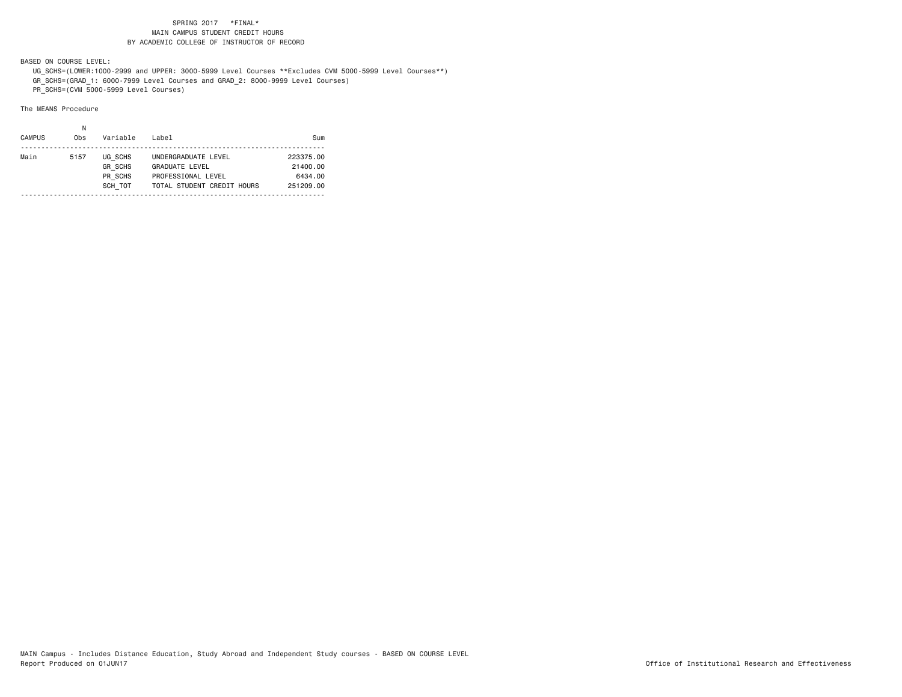BASED ON COURSE LEVEL:

 UG\_SCHS=(LOWER:1000-2999 and UPPER: 3000-5999 Level Courses \*\*Excludes CVM 5000-5999 Level Courses\*\*) GR\_SCHS=(GRAD\_1: 6000-7999 Level Courses and GRAD\_2: 8000-9999 Level Courses)

PR\_SCHS=(CVM 5000-5999 Level Courses)

| Main<br>UG SCHS<br>5157<br>UNDERGRADUATE LEVEL<br>223375.00<br><b>GR SCHS</b><br><b>GRADUATE LEVEL</b><br>21400.00<br>PR SCHS<br>PROFESSIONAL LEVEL<br>6434.00<br>SCH TOT<br>TOTAL STUDENT CREDIT HOURS<br>251209.00 | <b>CAMPUS</b> | Obs | Variable | Label | Sum |
|----------------------------------------------------------------------------------------------------------------------------------------------------------------------------------------------------------------------|---------------|-----|----------|-------|-----|
|                                                                                                                                                                                                                      |               |     |          |       |     |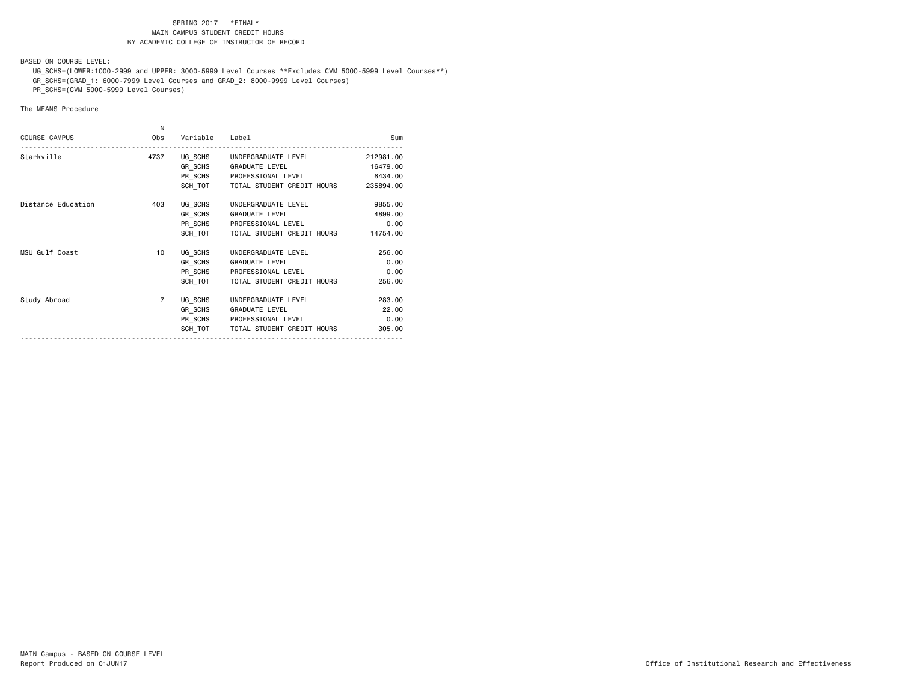BASED ON COURSE LEVEL:

 UG\_SCHS=(LOWER:1000-2999 and UPPER: 3000-5999 Level Courses \*\*Excludes CVM 5000-5999 Level Courses\*\*) GR\_SCHS=(GRAD\_1: 6000-7999 Level Courses and GRAD\_2: 8000-9999 Level Courses)

PR\_SCHS=(CVM 5000-5999 Level Courses)

|                      | N              |          |                                              |           |
|----------------------|----------------|----------|----------------------------------------------|-----------|
| <b>COURSE CAMPUS</b> | Obs            | Variable | Label                                        | Sum       |
| Starkville           | 4737           |          | UG SCHS UNDERGRADUATE LEVEL                  | 212981.00 |
|                      |                |          | GR SCHS GRADUATE LEVEL                       | 16479.00  |
|                      |                |          | PR_SCHS PROFESSIONAL LEVEL                   | 6434.00   |
|                      |                |          | SCH TOT TOTAL STUDENT CREDIT HOURS 235894.00 |           |
| Distance Education   | 403            | UG SCHS  | UNDERGRADUATE LEVEL                          | 9855,00   |
|                      |                |          | GR SCHS GRADUATE LEVEL                       | 4899.00   |
|                      |                |          | PR_SCHS PROFESSIONAL LEVEL                   | 0.00      |
|                      |                | SCH TOT  | TOTAL STUDENT CREDIT HOURS                   | 14754.00  |
| MSU Gulf Coast       | 10             | UG SCHS  | UNDERGRADUATE LEVEL                          | 256.00    |
|                      |                | GR SCHS  | <b>GRADUATE LEVEL</b>                        | 0.00      |
|                      |                |          | PR SCHS PROFESSIONAL LEVEL                   | 0.00      |
|                      |                | SCH TOT  | TOTAL STUDENT CREDIT HOURS                   | 256.00    |
| Study Abroad         | $\overline{7}$ | UG SCHS  | UNDERGRADUATE LEVEL                          | 283.00    |
|                      |                | GR SCHS  | <b>GRADUATE LEVEL</b>                        | 22.00     |
|                      |                |          | PR_SCHS PROFESSIONAL LEVEL                   | 0.00      |
|                      |                | SCH TOT  | TOTAL STUDENT CREDIT HOURS                   | 305,00    |
|                      |                |          |                                              |           |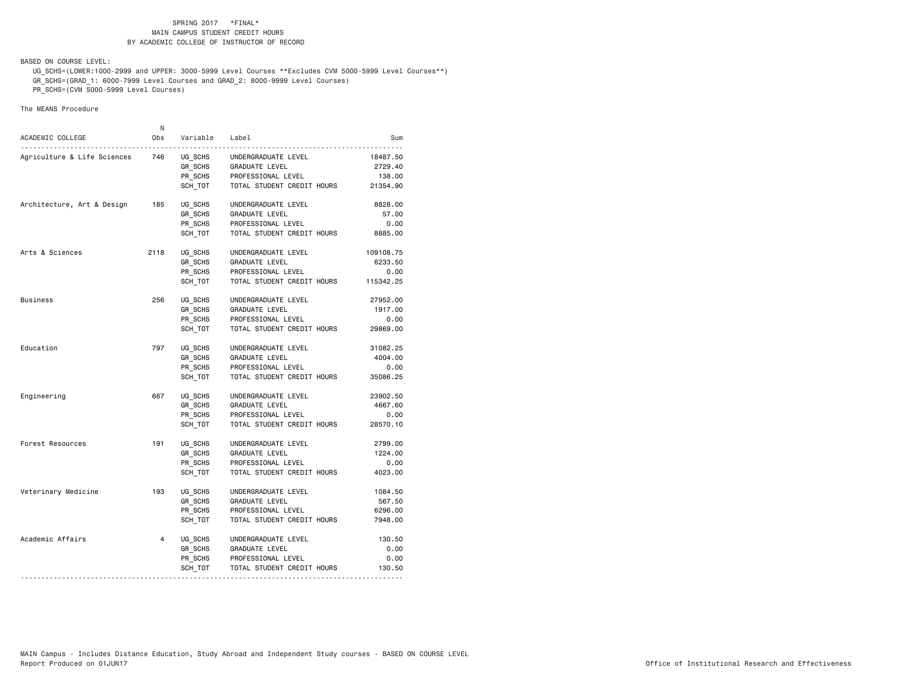BASED ON COURSE LEVEL:

 UG\_SCHS=(LOWER:1000-2999 and UPPER: 3000-5999 Level Courses \*\*Excludes CVM 5000-5999 Level Courses\*\*) GR\_SCHS=(GRAD\_1: 6000-7999 Level Courses and GRAD\_2: 8000-9999 Level Courses)

PR\_SCHS=(CVM 5000-5999 Level Courses)

| ACADEMIC COLLEGE            | N<br>0bs       | Variable | Label                      | Sum       |
|-----------------------------|----------------|----------|----------------------------|-----------|
|                             |                |          |                            |           |
| Agriculture & Life Sciences | 746            | UG SCHS  | UNDERGRADUATE LEVEL        | 18487.50  |
|                             |                | GR SCHS  | GRADUATE LEVEL             | 2729.40   |
|                             |                | PR SCHS  | PROFESSIONAL LEVEL         | 138.00    |
|                             |                | SCH_TOT  | TOTAL STUDENT CREDIT HOURS | 21354.90  |
| Architecture, Art & Design  | 185            | UG SCHS  | UNDERGRADUATE LEVEL        | 8828.00   |
|                             |                | GR SCHS  | <b>GRADUATE LEVEL</b>      | 57.00     |
|                             |                | PR SCHS  | PROFESSIONAL LEVEL         | 0.00      |
|                             |                | SCH TOT  | TOTAL STUDENT CREDIT HOURS | 8885.00   |
| Arts & Sciences             | 2118           | UG SCHS  | UNDERGRADUATE LEVEL        | 109108.75 |
|                             |                | GR SCHS  | <b>GRADUATE LEVEL</b>      | 6233.50   |
|                             |                | PR SCHS  | PROFESSIONAL LEVEL         | 0.00      |
|                             |                | SCH TOT  | TOTAL STUDENT CREDIT HOURS | 115342.25 |
| Business                    | 256            | UG_SCHS  | UNDERGRADUATE LEVEL        | 27952.00  |
|                             |                | GR_SCHS  | GRADUATE LEVEL             | 1917.00   |
|                             |                | PR SCHS  | PROFESSIONAL LEVEL         | 0.00      |
|                             |                | SCH TOT  | TOTAL STUDENT CREDIT HOURS | 29869.00  |
| Education                   | 797            | UG SCHS  | UNDERGRADUATE LEVEL        | 31082.25  |
|                             |                | GR SCHS  | <b>GRADUATE LEVEL</b>      | 4004.00   |
|                             |                | PR_SCHS  | PROFESSIONAL LEVEL         | 0.00      |
|                             |                | SCH TOT  | TOTAL STUDENT CREDIT HOURS | 35086.25  |
| Engineering                 | 667            | UG SCHS  | UNDERGRADUATE LEVEL        | 23902.50  |
|                             |                | GR SCHS  | GRADUATE LEVEL             | 4667.60   |
|                             |                | PR SCHS  | PROFESSIONAL LEVEL         | 0.00      |
|                             |                | SCH TOT  | TOTAL STUDENT CREDIT HOURS | 28570.10  |
| Forest Resources            | 191            | UG SCHS  | UNDERGRADUATE LEVEL        | 2799.00   |
|                             |                | GR SCHS  | GRADUATE LEVEL             | 1224.00   |
|                             |                | PR SCHS  | PROFESSIONAL LEVEL         | 0.00      |
|                             |                | SCH TOT  | TOTAL STUDENT CREDIT HOURS | 4023.00   |
| Veterinary Medicine         | 193            | UG SCHS  | UNDERGRADUATE LEVEL        | 1084.50   |
|                             |                | GR SCHS  | GRADUATE LEVEL             | 567.50    |
|                             |                | PR SCHS  | PROFESSIONAL LEVEL         | 6296.00   |
|                             |                | SCH TOT  | TOTAL STUDENT CREDIT HOURS | 7948.00   |
| Academic Affairs            | $\overline{4}$ | UG SCHS  | UNDERGRADUATE LEVEL        | 130.50    |
|                             |                | GR_SCHS  | GRADUATE LEVEL             | 0.00      |
|                             |                | PR_SCHS  | PROFESSIONAL LEVEL         | 0.00      |
|                             |                | SCH_TOT  | TOTAL STUDENT CREDIT HOURS | 130.50    |
|                             |                |          |                            |           |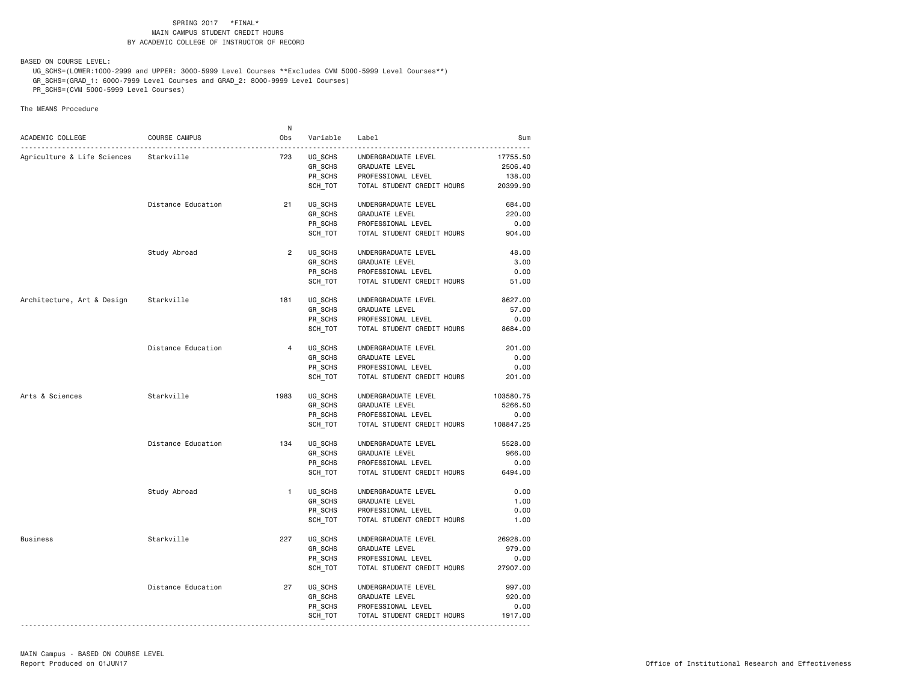BASED ON COURSE LEVEL:

 UG\_SCHS=(LOWER:1000-2999 and UPPER: 3000-5999 Level Courses \*\*Excludes CVM 5000-5999 Level Courses\*\*) GR\_SCHS=(GRAD\_1: 6000-7999 Level Courses and GRAD\_2: 8000-9999 Level Courses)

PR\_SCHS=(CVM 5000-5999 Level Courses)

|                             |                    | N              |                    |                            |           |
|-----------------------------|--------------------|----------------|--------------------|----------------------------|-----------|
| ACADEMIC COLLEGE            | COURSE CAMPUS      | Obs            | Variable           | Label                      | Sum       |
| Agriculture & Life Sciences | Starkville         | 723            |                    | UNDERGRADUATE LEVEL        | 17755.50  |
|                             |                    |                | UG_SCHS<br>GR SCHS | GRADUATE LEVEL             | 2506.40   |
|                             |                    |                | PR_SCHS            | PROFESSIONAL LEVEL         | 138.00    |
|                             |                    |                |                    |                            |           |
|                             |                    |                | SCH TOT            | TOTAL STUDENT CREDIT HOURS | 20399.90  |
|                             | Distance Education | 21             | UG SCHS            | UNDERGRADUATE LEVEL        | 684.00    |
|                             |                    |                | GR_SCHS            | GRADUATE LEVEL             | 220.00    |
|                             |                    |                | PR SCHS            | PROFESSIONAL LEVEL         | 0.00      |
|                             |                    |                | SCH TOT            | TOTAL STUDENT CREDIT HOURS | 904.00    |
|                             | Study Abroad       | $\overline{2}$ | UG_SCHS            | UNDERGRADUATE LEVEL        | 48.00     |
|                             |                    |                | GR_SCHS            | GRADUATE LEVEL             | 3.00      |
|                             |                    |                | PR_SCHS            | PROFESSIONAL LEVEL         | 0.00      |
|                             |                    |                |                    |                            |           |
|                             |                    |                | SCH_TOT            | TOTAL STUDENT CREDIT HOURS | 51.00     |
| Architecture, Art & Design  | Starkville         | 181            | UG SCHS            | UNDERGRADUATE LEVEL        | 8627.00   |
|                             |                    |                | GR SCHS            | GRADUATE LEVEL             | 57.00     |
|                             |                    |                | PR_SCHS            | PROFESSIONAL LEVEL         | 0.00      |
|                             |                    |                | SCH_TOT            | TOTAL STUDENT CREDIT HOURS | 8684.00   |
|                             |                    |                |                    |                            |           |
|                             | Distance Education | $\overline{4}$ | UG_SCHS            | UNDERGRADUATE LEVEL        | 201.00    |
|                             |                    |                | GR_SCHS            | <b>GRADUATE LEVEL</b>      | 0.00      |
|                             |                    |                | PR SCHS            | PROFESSIONAL LEVEL         | 0.00      |
|                             |                    |                | SCH_TOT            | TOTAL STUDENT CREDIT HOURS | 201.00    |
| Arts & Sciences             | Starkville         | 1983           | UG_SCHS            | UNDERGRADUATE LEVEL        | 103580.75 |
|                             |                    |                | GR SCHS            | GRADUATE LEVEL             | 5266.50   |
|                             |                    |                | PR_SCHS            | PROFESSIONAL LEVEL         | 0.00      |
|                             |                    |                | SCH_TOT            | TOTAL STUDENT CREDIT HOURS | 108847.25 |
|                             |                    |                |                    |                            |           |
|                             | Distance Education | 134            | UG SCHS            | UNDERGRADUATE LEVEL        | 5528.00   |
|                             |                    |                | GR_SCHS            | GRADUATE LEVEL             | 966.00    |
|                             |                    |                | PR_SCHS            | PROFESSIONAL LEVEL         | 0.00      |
|                             |                    |                | SCH TOT            | TOTAL STUDENT CREDIT HOURS | 6494.00   |
|                             | Study Abroad       | $\mathbf{1}$   | UG_SCHS            | UNDERGRADUATE LEVEL        | 0.00      |
|                             |                    |                | GR SCHS            | GRADUATE LEVEL             | 1.00      |
|                             |                    |                | PR_SCHS            | PROFESSIONAL LEVEL         | 0.00      |
|                             |                    |                |                    | TOTAL STUDENT CREDIT HOURS | 1.00      |
|                             |                    |                | SCH_TOT            |                            |           |
| Business                    | Starkville         | 227            | UG SCHS            | UNDERGRADUATE LEVEL        | 26928.00  |
|                             |                    |                | GR_SCHS            | <b>GRADUATE LEVEL</b>      | 979.00    |
|                             |                    |                | PR_SCHS            | PROFESSIONAL LEVEL         | 0.00      |
|                             |                    |                | SCH TOT            | TOTAL STUDENT CREDIT HOURS | 27907.00  |
|                             | Distance Education | 27             | UG SCHS            | UNDERGRADUATE LEVEL        | 997.00    |
|                             |                    |                | GR_SCHS            | <b>GRADUATE LEVEL</b>      | 920.00    |
|                             |                    |                | PR SCHS            | PROFESSIONAL LEVEL         | 0.00      |
|                             |                    |                |                    |                            |           |
|                             |                    |                | SCH_TOT            | TOTAL STUDENT CREDIT HOURS | 1917.00   |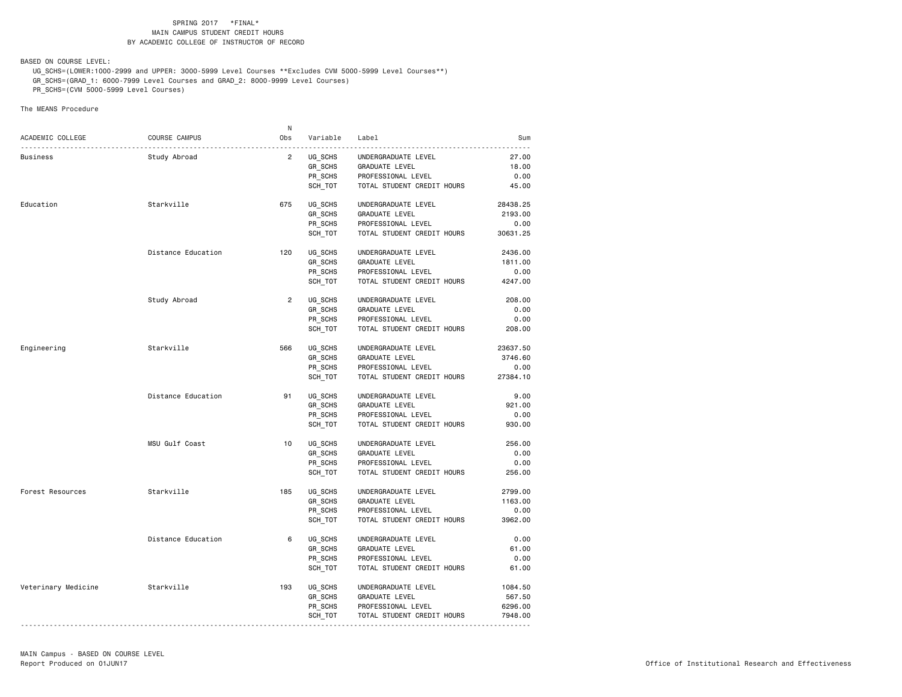BASED ON COURSE LEVEL:

 UG\_SCHS=(LOWER:1000-2999 and UPPER: 3000-5999 Level Courses \*\*Excludes CVM 5000-5999 Level Courses\*\*) GR\_SCHS=(GRAD\_1: 6000-7999 Level Courses and GRAD\_2: 8000-9999 Level Courses)

PR\_SCHS=(CVM 5000-5999 Level Courses)

The MEANS Procedure

|                     |                    | N              |          |                            |          |
|---------------------|--------------------|----------------|----------|----------------------------|----------|
| ACADEMIC COLLEGE    | COURSE CAMPUS      | Obs            | Variable | Label                      | Sum      |
| Business            | Study Abroad       | $\overline{2}$ | UG SCHS  | UNDERGRADUATE LEVEL        | 27.00    |
|                     |                    |                | GR SCHS  | GRADUATE LEVEL             | 18.00    |
|                     |                    |                | PR SCHS  | PROFESSIONAL LEVEL         | 0.00     |
|                     |                    |                |          |                            |          |
|                     |                    |                | SCH_TOT  | TOTAL STUDENT CREDIT HOURS | 45.00    |
| Education           | Starkville         | 675            | UG SCHS  | UNDERGRADUATE LEVEL        | 28438.25 |
|                     |                    |                | GR SCHS  | GRADUATE LEVEL             | 2193.00  |
|                     |                    |                | PR_SCHS  | PROFESSIONAL LEVEL         | 0.00     |
|                     |                    |                | SCH TOT  | TOTAL STUDENT CREDIT HOURS | 30631.25 |
|                     | Distance Education | 120            | UG_SCHS  | UNDERGRADUATE LEVEL        | 2436.00  |
|                     |                    |                | GR_SCHS  | GRADUATE LEVEL             | 1811.00  |
|                     |                    |                | PR_SCHS  | PROFESSIONAL LEVEL         | 0.00     |
|                     |                    |                |          |                            |          |
|                     |                    |                | SCH TOT  | TOTAL STUDENT CREDIT HOURS | 4247.00  |
|                     | Study Abroad       | $\overline{2}$ | UG SCHS  | UNDERGRADUATE LEVEL        | 208,00   |
|                     |                    |                | GR SCHS  | GRADUATE LEVEL             | 0.00     |
|                     |                    |                | PR_SCHS  | PROFESSIONAL LEVEL         | 0.00     |
|                     |                    |                | SCH_TOT  | TOTAL STUDENT CREDIT HOURS | 208.00   |
| Engineering         | Starkville         | 566            | UG SCHS  | UNDERGRADUATE LEVEL        | 23637.50 |
|                     |                    |                | GR_SCHS  | GRADUATE LEVEL             | 3746.60  |
|                     |                    |                | PR SCHS  | PROFESSIONAL LEVEL         | 0.00     |
|                     |                    |                | SCH_TOT  | TOTAL STUDENT CREDIT HOURS | 27384.10 |
|                     |                    |                |          |                            |          |
|                     | Distance Education | 91             | UG_SCHS  | UNDERGRADUATE LEVEL        | 9.00     |
|                     |                    |                | GR_SCHS  | GRADUATE LEVEL             | 921.00   |
|                     |                    |                | PR_SCHS  | PROFESSIONAL LEVEL         | 0.00     |
|                     |                    |                | SCH TOT  | TOTAL STUDENT CREDIT HOURS | 930.00   |
|                     | MSU Gulf Coast     | 10             | UG_SCHS  | UNDERGRADUATE LEVEL        | 256.00   |
|                     |                    |                | GR SCHS  | GRADUATE LEVEL             | 0.00     |
|                     |                    |                | PR_SCHS  | PROFESSIONAL LEVEL         | 0.00     |
|                     |                    |                | SCH_TOT  | TOTAL STUDENT CREDIT HOURS | 256.00   |
| Forest Resources    | Starkville         | 185            | UG SCHS  | UNDERGRADUATE LEVEL        | 2799.00  |
|                     |                    |                | GR_SCHS  | <b>GRADUATE LEVEL</b>      | 1163.00  |
|                     |                    |                |          | PROFESSIONAL LEVEL         | 0.00     |
|                     |                    |                | PR_SCHS  |                            |          |
|                     |                    |                | SCH TOT  | TOTAL STUDENT CREDIT HOURS | 3962.00  |
|                     | Distance Education | 6              | UG SCHS  | UNDERGRADUATE LEVEL        | 0.00     |
|                     |                    |                | GR_SCHS  | GRADUATE LEVEL             | 61.00    |
|                     |                    |                | PR_SCHS  | PROFESSIONAL LEVEL         | 0.00     |
|                     |                    |                | SCH_TOT  | TOTAL STUDENT CREDIT HOURS | 61.00    |
| Veterinary Medicine | Starkville         | 193            | UG_SCHS  | UNDERGRADUATE LEVEL        | 1084.50  |
|                     |                    |                | GR_SCHS  | GRADUATE LEVEL             | 567.50   |
|                     |                    |                | PR SCHS  | PROFESSIONAL LEVEL         | 6296.00  |
|                     |                    |                | SCH_TOT  | TOTAL STUDENT CREDIT HOURS | 7948.00  |
|                     |                    |                |          |                            |          |

----------------------------------------------------------------------------------------------------------------------------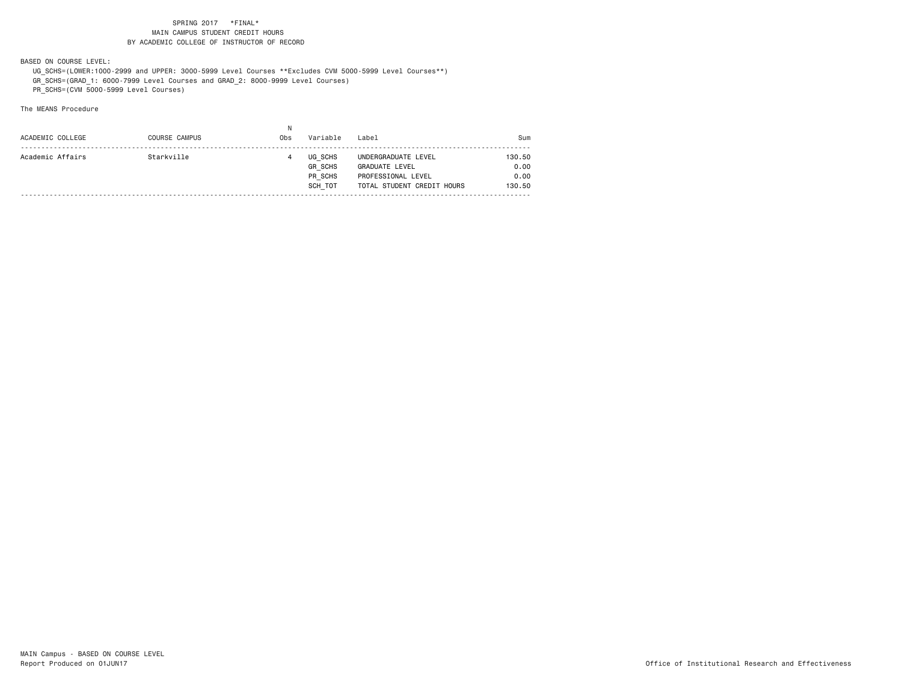BASED ON COURSE LEVEL:

 UG\_SCHS=(LOWER:1000-2999 and UPPER: 3000-5999 Level Courses \*\*Excludes CVM 5000-5999 Level Courses\*\*) GR\_SCHS=(GRAD\_1: 6000-7999 Level Courses and GRAD\_2: 8000-9999 Level Courses)

PR\_SCHS=(CVM 5000-5999 Level Courses)

| ACADEMIC COLLEGE | <b>COURSE CAMPUS</b> | Obs | Variable                                        | Label                                                                                            | Sum                              |
|------------------|----------------------|-----|-------------------------------------------------|--------------------------------------------------------------------------------------------------|----------------------------------|
| Academic Affairs | Starkville           |     | UG SCHS<br><b>GR SCHS</b><br>PR SCHS<br>SCH TOT | UNDERGRADUATE LEVEL<br><b>GRADUATE LEVEL</b><br>PROFESSIONAL LEVEL<br>TOTAL STUDENT CREDIT HOURS | 130.50<br>0.00<br>0.00<br>130.50 |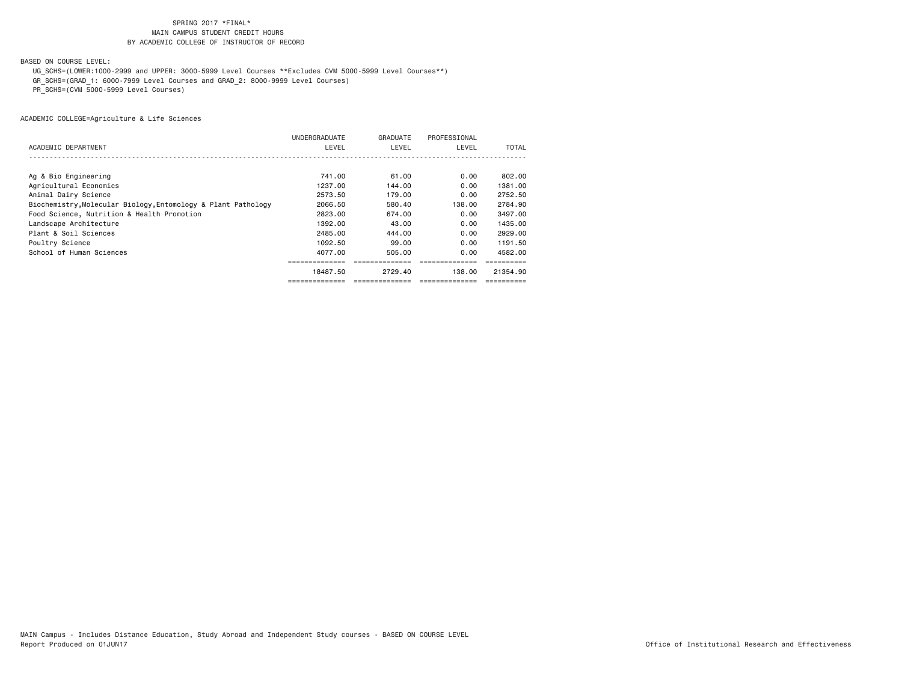BASED ON COURSE LEVEL:

UG\_SCHS=(LOWER:1000-2999 and UPPER: 3000-5999 Level Courses \*\*Excludes CVM 5000-5999 Level Courses\*\*)

GR\_SCHS=(GRAD\_1: 6000-7999 Level Courses and GRAD\_2: 8000-9999 Level Courses)

PR\_SCHS=(CVM 5000-5999 Level Courses)

| ACADEMIC DEPARTMENT                                           | UNDERGRADUATE<br>LEVEL | GRADUATE<br>LEVEL | PROFESSIONAL<br>LEVEL | TOTAL    |
|---------------------------------------------------------------|------------------------|-------------------|-----------------------|----------|
|                                                               |                        |                   |                       |          |
| Ag & Bio Engineering                                          | 741.00                 | 61.00             | 0.00                  | 802.00   |
| Agricultural Economics                                        | 1237.00                | 144.00            | 0.00                  | 1381.00  |
| Animal Dairy Science                                          | 2573.50                | 179.00            | 0.00                  | 2752.50  |
| Biochemistry, Molecular Biology, Entomology & Plant Pathology | 2066.50                | 580.40            | 138.00                | 2784.90  |
| Food Science, Nutrition & Health Promotion                    | 2823.00                | 674.00            | 0.00                  | 3497.00  |
| Landscape Architecture                                        | 1392.00                | 43.00             | 0.00                  | 1435.00  |
| Plant & Soil Sciences                                         | 2485.00                | 444.00            | 0.00                  | 2929.00  |
| Poultry Science                                               | 1092.50                | 99.00             | 0.00                  | 1191.50  |
| School of Human Sciences                                      | 4077.00                | 505.00            | 0.00                  | 4582.00  |
|                                                               |                        | ===============   |                       |          |
|                                                               | 18487.50               | 2729.40           | 138.00                | 21354.90 |
|                                                               |                        |                   |                       |          |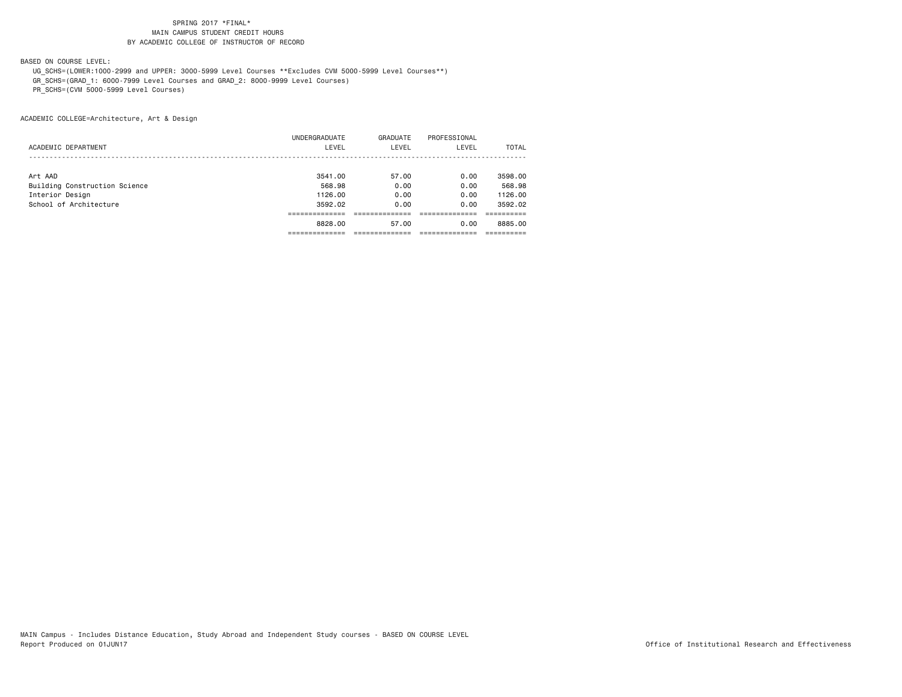BASED ON COURSE LEVEL:

 UG\_SCHS=(LOWER:1000-2999 and UPPER: 3000-5999 Level Courses \*\*Excludes CVM 5000-5999 Level Courses\*\*) GR\_SCHS=(GRAD\_1: 6000-7999 Level Courses and GRAD\_2: 8000-9999 Level Courses)

PR\_SCHS=(CVM 5000-5999 Level Courses)

ACADEMIC COLLEGE=Architecture, Art & Design

 UNDERGRADUATE GRADUATE PROFESSIONAL ACADEMIC DEPARTMENT LEVEL LEVEL LEVEL TOTAL ------------------------------------------------------------------------------------------------------------------------- Art AAD 3541.00 57.00 0.00 3598.00 Building Construction Science 568.98 0.00 0.00 568.98 Interior Design 1126.00 0.00 0.00 1126.00 School of Architecture 3592.02 0.00 0.00 3592.02 ============== ============== ============== ========== 8828.00 57.00 0.00 8885.00============== ============== ============== ==========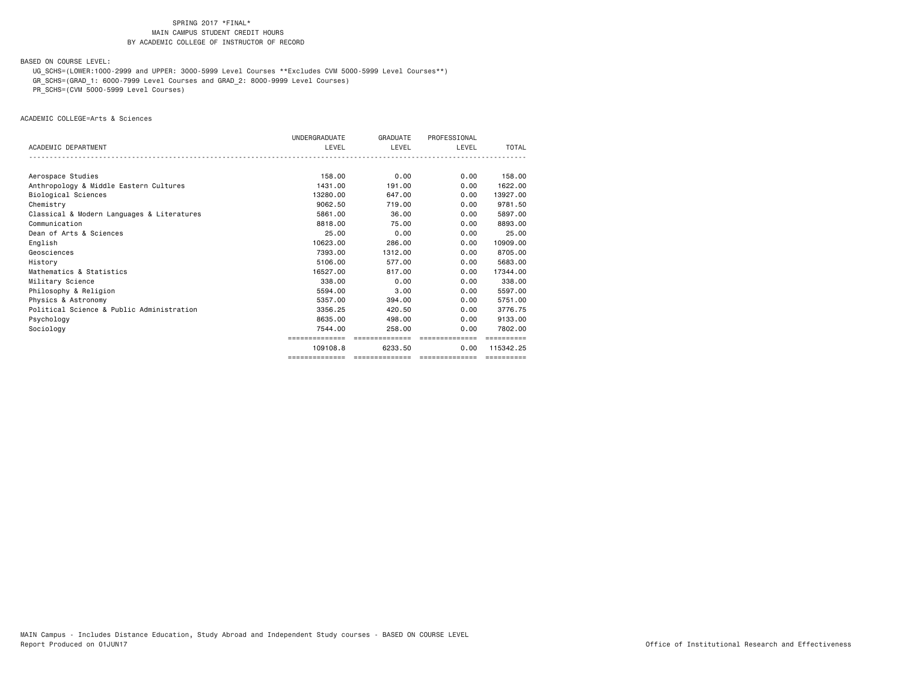BASED ON COURSE LEVEL:

UG\_SCHS=(LOWER:1000-2999 and UPPER: 3000-5999 Level Courses \*\*Excludes CVM 5000-5999 Level Courses\*\*)

GR\_SCHS=(GRAD\_1: 6000-7999 Level Courses and GRAD\_2: 8000-9999 Level Courses)

PR\_SCHS=(CVM 5000-5999 Level Courses)

ACADEMIC COLLEGE=Arts & Sciences

|                                            | <b>UNDERGRADUATE</b> | GRADUATE       | PROFESSIONAL                   |            |
|--------------------------------------------|----------------------|----------------|--------------------------------|------------|
| ACADEMIC DEPARTMENT                        | LEVEL                | LEVEL          | LEVEL                          | TOTAL      |
|                                            |                      |                |                                |            |
| Aerospace Studies                          | 158,00               | 0.00           | 0.00                           | 158.00     |
| Anthropology & Middle Eastern Cultures     | 1431.00              | 191.00         | 0.00                           | 1622.00    |
| Biological Sciences                        | 13280.00             | 647.00         | 0.00                           | 13927.00   |
| Chemistry                                  | 9062.50              | 719.00         | 0.00                           | 9781.50    |
| Classical & Modern Languages & Literatures | 5861.00              | 36.00          | 0.00                           | 5897.00    |
| Communication                              | 8818,00              | 75.00          | 0.00                           | 8893.00    |
| Dean of Arts & Sciences                    | 25.00                | 0.00           | 0.00                           | 25.00      |
| English                                    | 10623.00             | 286,00         | 0.00                           | 10909.00   |
| Geosciences                                | 7393.00              | 1312,00        | 0.00                           | 8705.00    |
| History                                    | 5106.00              | 577.00         | 0.00                           | 5683.00    |
| Mathematics & Statistics                   | 16527.00             | 817,00         | 0.00                           | 17344.00   |
| Military Science                           | 338,00               | 0.00           | 0.00                           | 338,00     |
| Philosophy & Religion                      | 5594.00              | 3.00           | 0.00                           | 5597.00    |
| Physics & Astronomy                        | 5357.00              | 394,00         | 0.00                           | 5751.00    |
| Political Science & Public Administration  | 3356.25              | 420.50         | 0.00                           | 3776.75    |
| Psychology                                 | 8635,00              | 498,00         | 0.00                           | 9133.00    |
| Sociology                                  | 7544.00              | 258.00         | 0.00                           | 7802.00    |
|                                            | ==============       | ============== | ==============                 |            |
|                                            | 109108.8             | 6233.50        | 0.00                           | 115342.25  |
|                                            | ==============       |                | ============================== | ========== |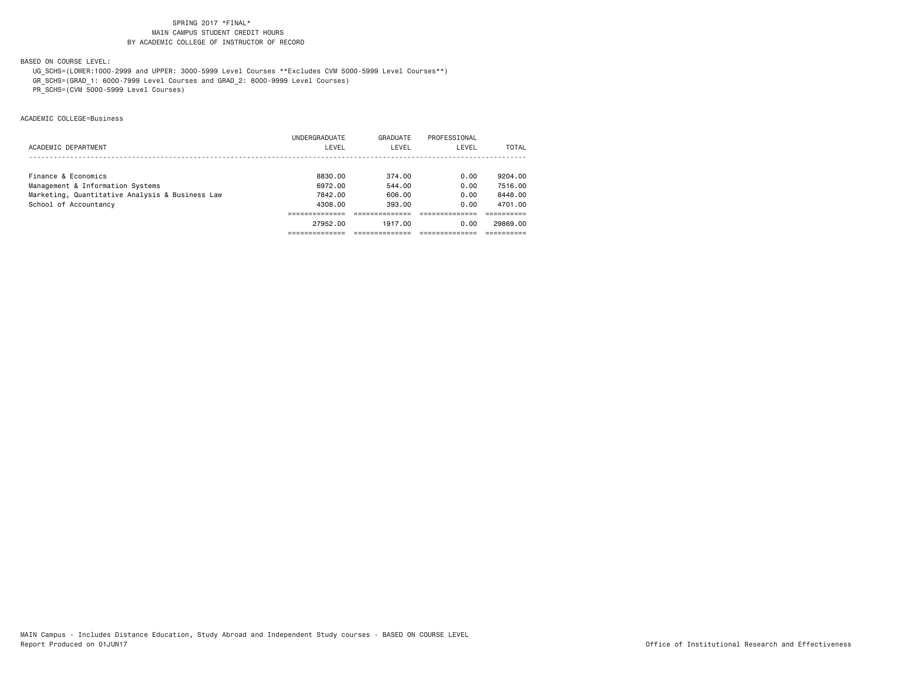BASED ON COURSE LEVEL:

UG\_SCHS=(LOWER:1000-2999 and UPPER: 3000-5999 Level Courses \*\*Excludes CVM 5000-5999 Level Courses\*\*)

GR\_SCHS=(GRAD\_1: 6000-7999 Level Courses and GRAD\_2: 8000-9999 Level Courses)

PR\_SCHS=(CVM 5000-5999 Level Courses)

ACADEMIC COLLEGE=Business

|                                                 | 27952.00      | 1917.00  | 0.00         | 29869,00 |
|-------------------------------------------------|---------------|----------|--------------|----------|
|                                                 |               |          |              |          |
| School of Accountancy                           | 4308.00       | 393.00   | 0.00         | 4701.00  |
| Marketing, Quantitative Analysis & Business Law | 7842.00       | 606,00   | 0.00         | 8448.00  |
| Management & Information Systems                | 6972.00       | 544.00   | 0.00         | 7516.00  |
| Finance & Economics                             | 8830.00       | 374.00   | 0.00         | 9204.00  |
|                                                 |               |          |              |          |
| ACADEMIC DEPARTMENT                             | LEVEL         | LEVEL    | LEVEL        | TOTAL    |
|                                                 | UNDERGRADUATE | GRADUATE | PROFESSIONAL |          |
|                                                 |               |          |              |          |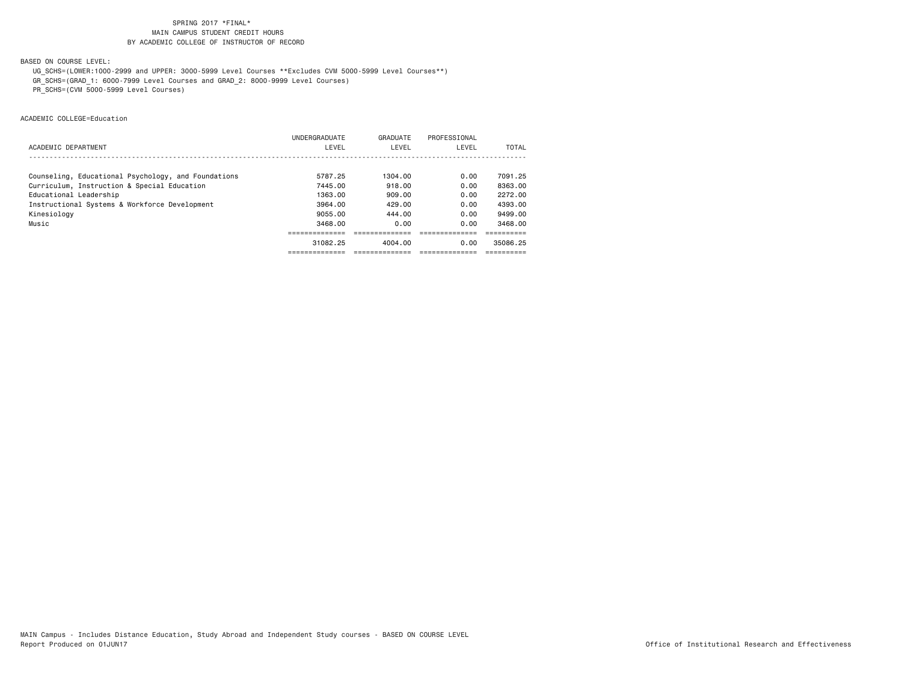BASED ON COURSE LEVEL:

UG\_SCHS=(LOWER:1000-2999 and UPPER: 3000-5999 Level Courses \*\*Excludes CVM 5000-5999 Level Courses\*\*)

GR\_SCHS=(GRAD\_1: 6000-7999 Level Courses and GRAD\_2: 8000-9999 Level Courses)

PR\_SCHS=(CVM 5000-5999 Level Courses)

ACADEMIC COLLEGE=Education

|                                                     | UNDERGRADUATE | GRADUATE | PROFESSIONAL |          |
|-----------------------------------------------------|---------------|----------|--------------|----------|
| ACADEMIC DEPARTMENT                                 | LEVEL         | LEVEL    | LEVEL        | TOTAL    |
|                                                     |               |          |              |          |
| Counseling, Educational Psychology, and Foundations | 5787.25       | 1304.00  | 0.00         | 7091.25  |
| Curriculum, Instruction & Special Education         | 7445.00       | 918.00   | 0.00         | 8363.00  |
| Educational Leadership                              | 1363.00       | 909.00   | 0.00         | 2272.00  |
| Instructional Systems & Workforce Development       | 3964.00       | 429.00   | 0.00         | 4393.00  |
| Kinesiology                                         | 9055.00       | 444.00   | 0.00         | 9499.00  |
| Music                                               | 3468.00       | 0.00     | 0.00         | 3468.00  |
|                                                     |               |          |              |          |
|                                                     | 31082.25      | 4004.00  | 0.00         | 35086.25 |
|                                                     |               |          |              |          |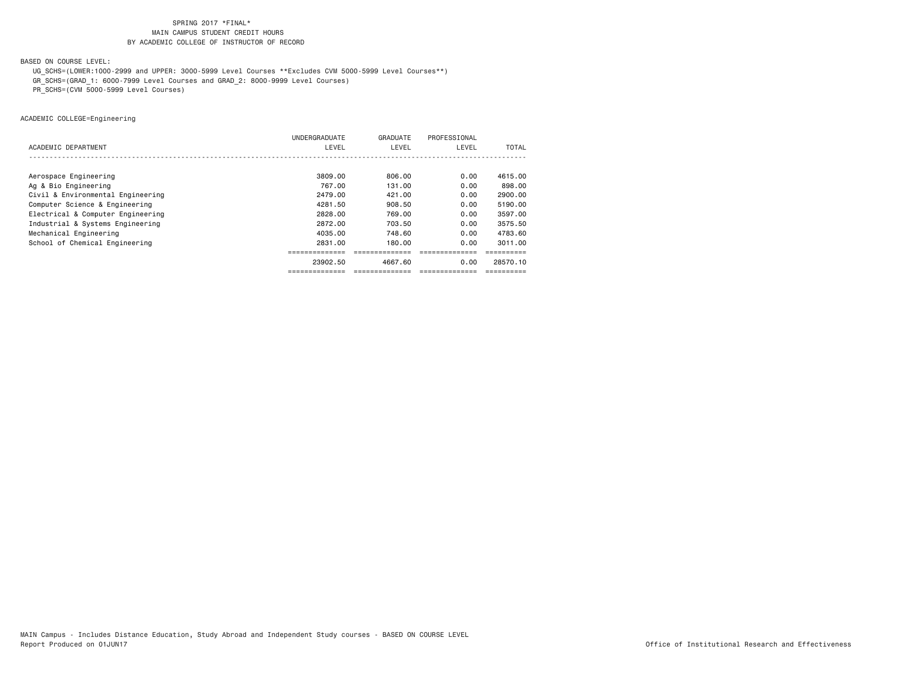BASED ON COURSE LEVEL:

UG\_SCHS=(LOWER:1000-2999 and UPPER: 3000-5999 Level Courses \*\*Excludes CVM 5000-5999 Level Courses\*\*)

GR\_SCHS=(GRAD\_1: 6000-7999 Level Courses and GRAD\_2: 8000-9999 Level Courses)

PR\_SCHS=(CVM 5000-5999 Level Courses)

ACADEMIC COLLEGE=Engineering

|                                   | UNDERGRADUATE  | GRADUATE      | PROFESSIONAL    |          |
|-----------------------------------|----------------|---------------|-----------------|----------|
| ACADEMIC DEPARTMENT               | LEVEL          | LEVEL         | LEVEL           | TOTAL    |
|                                   |                |               |                 |          |
| Aerospace Engineering             | 3809.00        | 806.00        | 0.00            | 4615,00  |
| Ag & Bio Engineering              | 767.00         | 131.00        | 0.00            | 898.00   |
| Civil & Environmental Engineering | 2479.00        | 421,00        | 0.00            | 2900.00  |
| Computer Science & Engineering    | 4281.50        | 908.50        | 0.00            | 5190.00  |
| Electrical & Computer Engineering | 2828.00        | 769,00        | 0.00            | 3597.00  |
| Industrial & Systems Engineering  | 2872.00        | 703.50        | 0.00            | 3575.50  |
| Mechanical Engineering            | 4035.00        | 748.60        | 0.00            | 4783.60  |
| School of Chemical Engineering    | 2831.00        | 180.00        | 0.00            | 3011.00  |
|                                   |                |               |                 |          |
|                                   | 23902.50       | 4667.60       | 0.00            | 28570.10 |
|                                   | ============== | ------------- | =============== |          |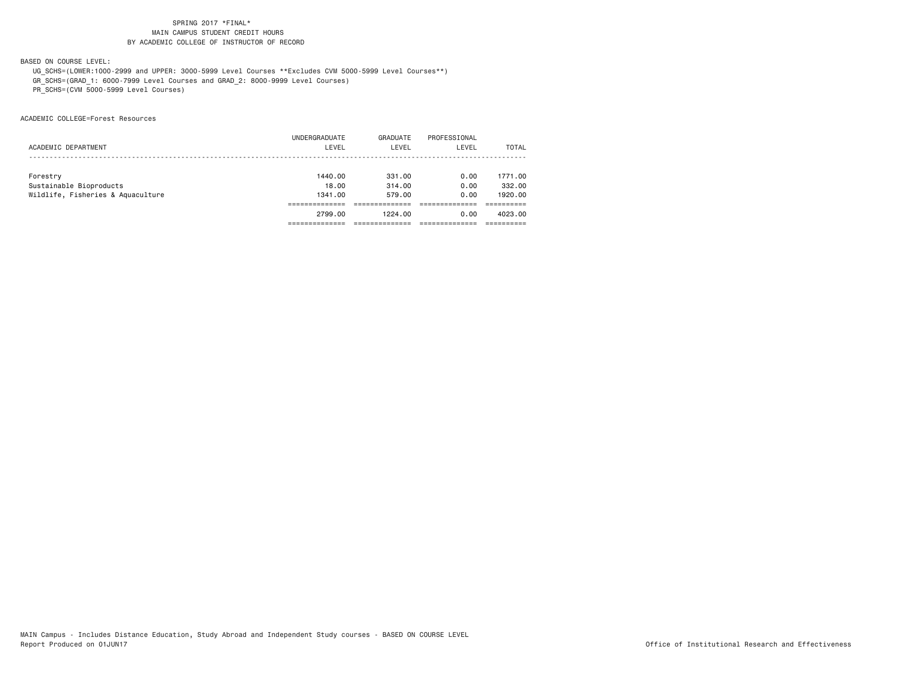BASED ON COURSE LEVEL:

 UG\_SCHS=(LOWER:1000-2999 and UPPER: 3000-5999 Level Courses \*\*Excludes CVM 5000-5999 Level Courses\*\*) GR\_SCHS=(GRAD\_1: 6000-7999 Level Courses and GRAD\_2: 8000-9999 Level Courses)

PR\_SCHS=(CVM 5000-5999 Level Courses)

ACADEMIC COLLEGE=Forest Resources

|                                   | 2799.00       | 1224.00  | 0.00         | 4023.00 |
|-----------------------------------|---------------|----------|--------------|---------|
|                                   |               |          |              |         |
| Wildlife, Fisheries & Aquaculture | 1341.00       | 579.00   | 0.00         | 1920.00 |
| Sustainable Bioproducts           | 18.00         | 314.00   | 0.00         | 332,00  |
| Forestry                          | 1440.00       | 331.00   | 0.00         | 1771.00 |
|                                   |               |          |              |         |
| ACADEMIC DEPARTMENT               | LEVEL         | LEVEL    | LEVEL        | TOTAL   |
|                                   | UNDERGRADUATE | GRADUATE | PROFESSIONAL |         |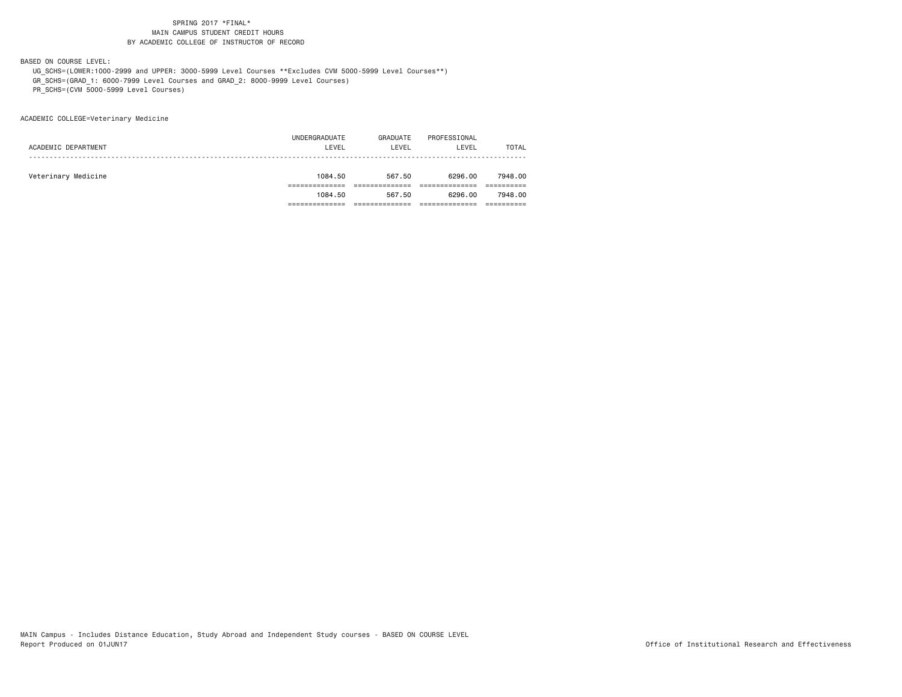BASED ON COURSE LEVEL:

 UG\_SCHS=(LOWER:1000-2999 and UPPER: 3000-5999 Level Courses \*\*Excludes CVM 5000-5999 Level Courses\*\*) GR\_SCHS=(GRAD\_1: 6000-7999 Level Courses and GRAD\_2: 8000-9999 Level Courses)

PR\_SCHS=(CVM 5000-5999 Level Courses)

ACADEMIC COLLEGE=Veterinary Medicine

|                     | 1084.50       | 567.50   | 6296.00      | 7948,00      |
|---------------------|---------------|----------|--------------|--------------|
|                     |               |          |              |              |
| Veterinary Medicine | 1084.50       | 567.50   | 6296.00      | 7948,00      |
|                     |               |          |              |              |
| ACADEMIC DEPARTMENT | LEVEL         | LEVEL    | LEVEL        | <b>TOTAL</b> |
|                     | UNDERGRADUATE | GRADUATE | PROFESSIONAL |              |
|                     |               |          |              |              |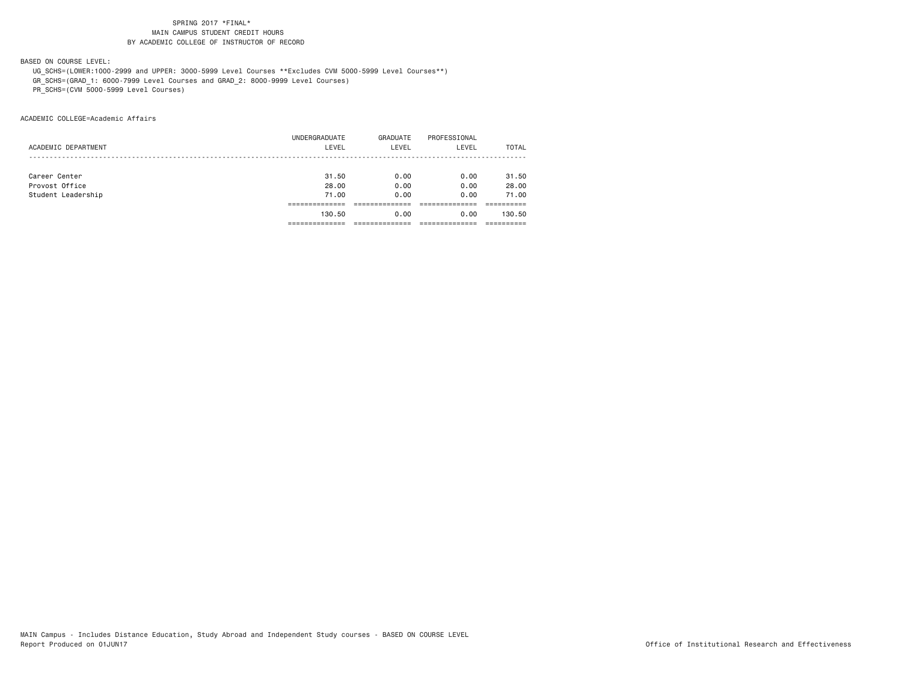BASED ON COURSE LEVEL:

UG\_SCHS=(LOWER:1000-2999 and UPPER: 3000-5999 Level Courses \*\*Excludes CVM 5000-5999 Level Courses\*\*)

GR\_SCHS=(GRAD\_1: 6000-7999 Level Courses and GRAD\_2: 8000-9999 Level Courses)

PR\_SCHS=(CVM 5000-5999 Level Courses)

ACADEMIC COLLEGE=Academic Affairs

|                     | UNDERGRADUATE | GRADUATE | PROFESSIONAL |        |
|---------------------|---------------|----------|--------------|--------|
| ACADEMIC DEPARTMENT | LEVEL         | LEVEL    | LEVEL        | TOTAL  |
|                     |               |          |              |        |
|                     |               |          |              |        |
| Career Center       | 31.50         | 0.00     | 0.00         | 31.50  |
| Provost Office      | 28,00         | 0.00     | 0.00         | 28.00  |
| Student Leadership  | 71.00         | 0.00     | 0.00         | 71.00  |
|                     |               |          |              |        |
|                     | 130.50        | 0.00     | 0.00         | 130.50 |
|                     |               |          |              |        |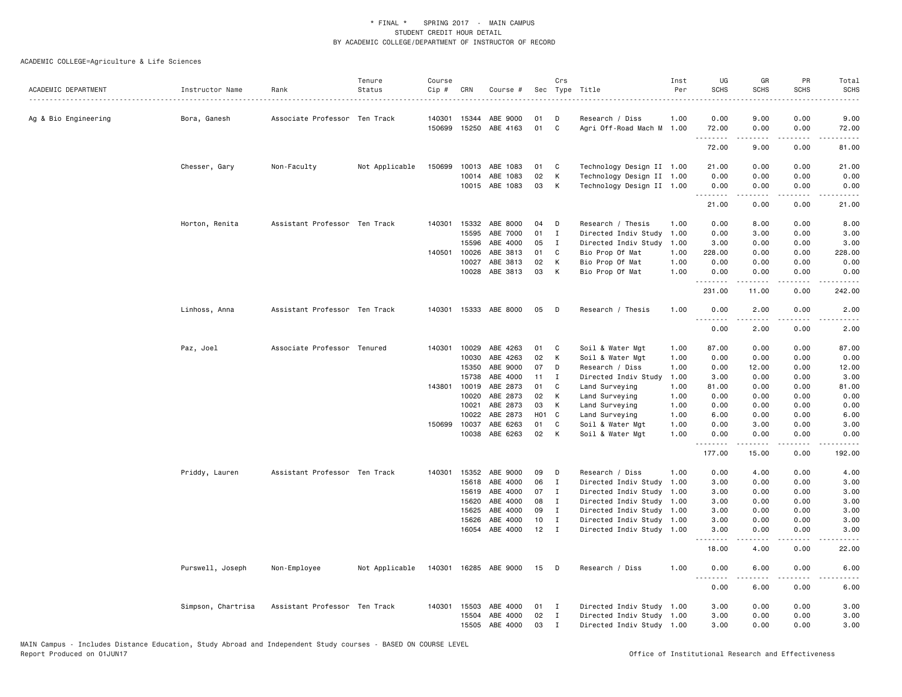| 0.00<br>9.00<br>0.00<br>9.00<br>Associate Professor Ten Track<br>140301 15344<br>ABE 9000<br>01<br>D<br>Research / Diss<br>1.00<br>Ag & Bio Engineering<br>Bora, Ganesh<br>15250<br>01<br>C<br>Agri Off-Road Mach M 1.00<br>0.00<br>150699<br>ABE 4163<br>72.00<br>0.00<br>72.00<br>.<br>$- - - -$<br>.<br>$\frac{1}{2}$<br>9.00<br>0.00<br>72.00<br>81.00<br>Chesser, Gary<br>Non-Faculty<br>Not Applicable<br>10013 ABE 1083<br>01<br>Technology Design II 1.00<br>21.00<br>0.00<br>0.00<br>21.00<br>150699<br>C<br>02<br>К<br>Technology Design II 1.00<br>0.00<br>10014<br>ABE 1083<br>0.00<br>0.00<br>0.00<br>10015 ABE 1083<br>03<br>K<br>Technology Design II 1.00<br>0.00<br>0.00<br>0.00<br>0.00<br><u>.</u><br>21.00<br>0.00<br>0.00<br>21.00<br>Assistant Professor Ten Track<br>140301 15332<br>ABE 8000<br>Research / Thesis<br>0.00<br>8.00<br>0.00<br>8.00<br>Horton, Renita<br>04<br>D<br>1.00<br>15595<br>ABE 7000<br>01<br>$\mathbf I$<br>Directed Indiv Study<br>1.00<br>0.00<br>3.00<br>0.00<br>3.00<br>15596<br>ABE 4000<br>05<br>3.00<br>0.00<br>0.00<br>I<br>Directed Indiv Study<br>1.00<br>3.00<br>140501 10026<br>ABE 3813<br>01<br>C<br>Bio Prop Of Mat<br>1.00<br>228.00<br>0.00<br>0.00<br>228.00<br>10027<br>ABE 3813<br>02<br>К<br>Bio Prop Of Mat<br>1.00<br>0.00<br>0.00<br>0.00<br>0.00<br>10028<br>ABE 3813<br>03<br>К<br>1.00<br>0.00<br>0.00<br>Bio Prop Of Mat<br>0.00<br>0.00<br>.<br>$\frac{1}{2}$<br>.<br>.<br>231.00<br>11.00<br>0.00<br>242.00<br>Linhoss, Anna<br>Assistant Professor Ten Track<br>15333 ABE 8000<br>05<br>Research / Thesis<br>1.00<br>0.00<br>2.00<br>0.00<br>2.00<br>140301<br>D<br>.<br>.<br>0.00<br>2.00<br>0.00<br>2.00<br>Associate Professor Tenured<br>140301<br>10029<br>ABE 4263<br>01<br>Soil & Water Mgt<br>87.00<br>0.00<br>0.00<br>87.00<br>Paz, Joel<br>C<br>1.00<br>02<br>10030<br>ABE 4263<br>К<br>Soil & Water Mgt<br>1.00<br>0.00<br>0.00<br>0.00<br>0.00<br>15350<br>ABE 9000<br>07<br>D<br>Research / Diss<br>1.00<br>0.00<br>12.00<br>0.00<br>12.00<br>15738<br>ABE 4000<br>11<br>$\mathbf I$<br>Directed Indiv Study<br>3.00<br>0.00<br>0.00<br>3.00<br>1.00<br>143801<br>10019<br>ABE 2873<br>01<br>Land Surveying<br>1.00<br>81.00<br>0.00<br>81.00<br>C<br>0.00<br>10020<br>ABE 2873<br>02<br>К<br>Land Surveying<br>1.00<br>0.00<br>0.00<br>0.00<br>0.00<br>10021<br>ABE 2873<br>03<br>К<br>0.00<br>0.00<br>0.00<br>0.00<br>Land Surveying<br>1.00<br>ABE 2873<br>H <sub>01</sub> C<br>10022<br>Land Surveying<br>1.00<br>6.00<br>0.00<br>0.00<br>6.00<br>ABE 6263<br>01<br>150699<br>10037<br>C<br>Soil & Water Mgt<br>1.00<br>0.00<br>3.00<br>0.00<br>3.00<br>ABE 6263<br>02<br>10038<br>K<br>Soil & Water Mgt<br>1.00<br>0.00<br>0.00<br>0.00<br>0.00<br>$\omega$ $\omega$ $\omega$ $\omega$<br>177.00<br>15.00<br>0.00<br>192.00<br>Assistant Professor Ten Track<br>140301 15352<br>ABE 9000<br>09<br>Research / Diss<br>1.00<br>0.00<br>4.00<br>0.00<br>4.00<br>Priddy, Lauren<br>D<br>ABE 4000<br>06<br>0.00<br>15618<br>$\mathbf I$<br>Directed Indiv Study<br>1.00<br>3.00<br>0.00<br>3.00<br>07<br>15619<br>ABE 4000<br>Directed Indiv Study<br>1.00<br>3.00<br>0.00<br>0.00<br>3.00<br>I<br>15620<br>ABE 4000<br>08<br>Directed Indiv Study<br>3.00<br>0.00<br>Ι.<br>1.00<br>0.00<br>3.00<br>ABE 4000<br>09<br>3.00<br>0.00<br>0.00<br>3.00<br>15625<br>I<br>Directed Indiv Study 1.00<br>15626<br>ABE 4000<br>10<br>Directed Indiv Study<br>3.00<br>0.00<br>0.00<br>3.00<br>I<br>1.00<br>16054 ABE 4000<br>12<br>$\mathbf{I}$<br>0.00<br>0.00<br>Directed Indiv Study 1.00<br>3.00<br>3.00<br>$\sim$ $\sim$ $\sim$<br>.<br>.<br>$\frac{1}{2}$<br>0.00<br>18.00<br>4.00<br>22.00<br>140301 16285 ABE 9000<br>15<br>1.00<br>0.00<br>6.00<br>0.00<br>Purswell, Joseph<br>Non-Employee<br>Not Applicable<br>D<br>Research / Diss<br>6.00<br><u>.</u><br>.<br>0.00<br>6.00<br>0.00<br>6.00<br>Simpson, Chartrisa<br>Assistant Professor Ten Track<br>140301 15503<br>ABE 4000<br>01<br>$\mathbf{I}$<br>Directed Indiv Study 1.00<br>3.00<br>0.00<br>0.00<br>3.00<br>ABE 4000<br>02<br>3.00<br>0.00<br>0.00<br>15504<br>$\mathbf{I}$<br>Directed Indiv Study 1.00<br>3.00<br>15505<br>ABE 4000<br>03<br>3.00<br>0.00<br>0.00<br>3.00<br>Ι<br>Directed Indiv Study 1.00 | ACADEMIC DEPARTMENT | Instructor Name | Rank | Tenure<br>Status | Course<br>Cip # | CRN | Course # | Crs | Sec Type Title | Inst<br>Per | UG<br><b>SCHS</b> | GR<br><b>SCHS</b> | PR<br>SCHS | Total<br><b>SCHS</b><br>$\frac{1}{2} \left( \frac{1}{2} \right) \left( \frac{1}{2} \right) \left( \frac{1}{2} \right) \left( \frac{1}{2} \right)$ |
|----------------------------------------------------------------------------------------------------------------------------------------------------------------------------------------------------------------------------------------------------------------------------------------------------------------------------------------------------------------------------------------------------------------------------------------------------------------------------------------------------------------------------------------------------------------------------------------------------------------------------------------------------------------------------------------------------------------------------------------------------------------------------------------------------------------------------------------------------------------------------------------------------------------------------------------------------------------------------------------------------------------------------------------------------------------------------------------------------------------------------------------------------------------------------------------------------------------------------------------------------------------------------------------------------------------------------------------------------------------------------------------------------------------------------------------------------------------------------------------------------------------------------------------------------------------------------------------------------------------------------------------------------------------------------------------------------------------------------------------------------------------------------------------------------------------------------------------------------------------------------------------------------------------------------------------------------------------------------------------------------------------------------------------------------------------------------------------------------------------------------------------------------------------------------------------------------------------------------------------------------------------------------------------------------------------------------------------------------------------------------------------------------------------------------------------------------------------------------------------------------------------------------------------------------------------------------------------------------------------------------------------------------------------------------------------------------------------------------------------------------------------------------------------------------------------------------------------------------------------------------------------------------------------------------------------------------------------------------------------------------------------------------------------------------------------------------------------------------------------------------------------------------------------------------------------------------------------------------------------------------------------------------------------------------------------------------------------------------------------------------------------------------------------------------------------------------------------------------------------------------------------------------------------------------------------------------------------------------------------------------------------------------------------------------------------------------------------------------------------------------------------------------------------------------------------------------------------------------------------------------------------------------------------------------------------------------------------------------------------------------------------------------------------------------------------------------------------------------------------------------------------------------------------------------------------------------------------------------------------------------------------------|---------------------|-----------------|------|------------------|-----------------|-----|----------|-----|----------------|-------------|-------------------|-------------------|------------|---------------------------------------------------------------------------------------------------------------------------------------------------|
|                                                                                                                                                                                                                                                                                                                                                                                                                                                                                                                                                                                                                                                                                                                                                                                                                                                                                                                                                                                                                                                                                                                                                                                                                                                                                                                                                                                                                                                                                                                                                                                                                                                                                                                                                                                                                                                                                                                                                                                                                                                                                                                                                                                                                                                                                                                                                                                                                                                                                                                                                                                                                                                                                                                                                                                                                                                                                                                                                                                                                                                                                                                                                                                                                                                                                                                                                                                                                                                                                                                                                                                                                                                                                                                                                                                                                                                                                                                                                                                                                                                                                                                                                                                                                                                                      |                     |                 |      |                  |                 |     |          |     |                |             |                   |                   |            |                                                                                                                                                   |
|                                                                                                                                                                                                                                                                                                                                                                                                                                                                                                                                                                                                                                                                                                                                                                                                                                                                                                                                                                                                                                                                                                                                                                                                                                                                                                                                                                                                                                                                                                                                                                                                                                                                                                                                                                                                                                                                                                                                                                                                                                                                                                                                                                                                                                                                                                                                                                                                                                                                                                                                                                                                                                                                                                                                                                                                                                                                                                                                                                                                                                                                                                                                                                                                                                                                                                                                                                                                                                                                                                                                                                                                                                                                                                                                                                                                                                                                                                                                                                                                                                                                                                                                                                                                                                                                      |                     |                 |      |                  |                 |     |          |     |                |             |                   |                   |            |                                                                                                                                                   |
|                                                                                                                                                                                                                                                                                                                                                                                                                                                                                                                                                                                                                                                                                                                                                                                                                                                                                                                                                                                                                                                                                                                                                                                                                                                                                                                                                                                                                                                                                                                                                                                                                                                                                                                                                                                                                                                                                                                                                                                                                                                                                                                                                                                                                                                                                                                                                                                                                                                                                                                                                                                                                                                                                                                                                                                                                                                                                                                                                                                                                                                                                                                                                                                                                                                                                                                                                                                                                                                                                                                                                                                                                                                                                                                                                                                                                                                                                                                                                                                                                                                                                                                                                                                                                                                                      |                     |                 |      |                  |                 |     |          |     |                |             |                   |                   |            |                                                                                                                                                   |
|                                                                                                                                                                                                                                                                                                                                                                                                                                                                                                                                                                                                                                                                                                                                                                                                                                                                                                                                                                                                                                                                                                                                                                                                                                                                                                                                                                                                                                                                                                                                                                                                                                                                                                                                                                                                                                                                                                                                                                                                                                                                                                                                                                                                                                                                                                                                                                                                                                                                                                                                                                                                                                                                                                                                                                                                                                                                                                                                                                                                                                                                                                                                                                                                                                                                                                                                                                                                                                                                                                                                                                                                                                                                                                                                                                                                                                                                                                                                                                                                                                                                                                                                                                                                                                                                      |                     |                 |      |                  |                 |     |          |     |                |             |                   |                   |            |                                                                                                                                                   |
|                                                                                                                                                                                                                                                                                                                                                                                                                                                                                                                                                                                                                                                                                                                                                                                                                                                                                                                                                                                                                                                                                                                                                                                                                                                                                                                                                                                                                                                                                                                                                                                                                                                                                                                                                                                                                                                                                                                                                                                                                                                                                                                                                                                                                                                                                                                                                                                                                                                                                                                                                                                                                                                                                                                                                                                                                                                                                                                                                                                                                                                                                                                                                                                                                                                                                                                                                                                                                                                                                                                                                                                                                                                                                                                                                                                                                                                                                                                                                                                                                                                                                                                                                                                                                                                                      |                     |                 |      |                  |                 |     |          |     |                |             |                   |                   |            |                                                                                                                                                   |
|                                                                                                                                                                                                                                                                                                                                                                                                                                                                                                                                                                                                                                                                                                                                                                                                                                                                                                                                                                                                                                                                                                                                                                                                                                                                                                                                                                                                                                                                                                                                                                                                                                                                                                                                                                                                                                                                                                                                                                                                                                                                                                                                                                                                                                                                                                                                                                                                                                                                                                                                                                                                                                                                                                                                                                                                                                                                                                                                                                                                                                                                                                                                                                                                                                                                                                                                                                                                                                                                                                                                                                                                                                                                                                                                                                                                                                                                                                                                                                                                                                                                                                                                                                                                                                                                      |                     |                 |      |                  |                 |     |          |     |                |             |                   |                   |            |                                                                                                                                                   |
|                                                                                                                                                                                                                                                                                                                                                                                                                                                                                                                                                                                                                                                                                                                                                                                                                                                                                                                                                                                                                                                                                                                                                                                                                                                                                                                                                                                                                                                                                                                                                                                                                                                                                                                                                                                                                                                                                                                                                                                                                                                                                                                                                                                                                                                                                                                                                                                                                                                                                                                                                                                                                                                                                                                                                                                                                                                                                                                                                                                                                                                                                                                                                                                                                                                                                                                                                                                                                                                                                                                                                                                                                                                                                                                                                                                                                                                                                                                                                                                                                                                                                                                                                                                                                                                                      |                     |                 |      |                  |                 |     |          |     |                |             |                   |                   |            |                                                                                                                                                   |
|                                                                                                                                                                                                                                                                                                                                                                                                                                                                                                                                                                                                                                                                                                                                                                                                                                                                                                                                                                                                                                                                                                                                                                                                                                                                                                                                                                                                                                                                                                                                                                                                                                                                                                                                                                                                                                                                                                                                                                                                                                                                                                                                                                                                                                                                                                                                                                                                                                                                                                                                                                                                                                                                                                                                                                                                                                                                                                                                                                                                                                                                                                                                                                                                                                                                                                                                                                                                                                                                                                                                                                                                                                                                                                                                                                                                                                                                                                                                                                                                                                                                                                                                                                                                                                                                      |                     |                 |      |                  |                 |     |          |     |                |             |                   |                   |            |                                                                                                                                                   |
|                                                                                                                                                                                                                                                                                                                                                                                                                                                                                                                                                                                                                                                                                                                                                                                                                                                                                                                                                                                                                                                                                                                                                                                                                                                                                                                                                                                                                                                                                                                                                                                                                                                                                                                                                                                                                                                                                                                                                                                                                                                                                                                                                                                                                                                                                                                                                                                                                                                                                                                                                                                                                                                                                                                                                                                                                                                                                                                                                                                                                                                                                                                                                                                                                                                                                                                                                                                                                                                                                                                                                                                                                                                                                                                                                                                                                                                                                                                                                                                                                                                                                                                                                                                                                                                                      |                     |                 |      |                  |                 |     |          |     |                |             |                   |                   |            |                                                                                                                                                   |
|                                                                                                                                                                                                                                                                                                                                                                                                                                                                                                                                                                                                                                                                                                                                                                                                                                                                                                                                                                                                                                                                                                                                                                                                                                                                                                                                                                                                                                                                                                                                                                                                                                                                                                                                                                                                                                                                                                                                                                                                                                                                                                                                                                                                                                                                                                                                                                                                                                                                                                                                                                                                                                                                                                                                                                                                                                                                                                                                                                                                                                                                                                                                                                                                                                                                                                                                                                                                                                                                                                                                                                                                                                                                                                                                                                                                                                                                                                                                                                                                                                                                                                                                                                                                                                                                      |                     |                 |      |                  |                 |     |          |     |                |             |                   |                   |            |                                                                                                                                                   |
|                                                                                                                                                                                                                                                                                                                                                                                                                                                                                                                                                                                                                                                                                                                                                                                                                                                                                                                                                                                                                                                                                                                                                                                                                                                                                                                                                                                                                                                                                                                                                                                                                                                                                                                                                                                                                                                                                                                                                                                                                                                                                                                                                                                                                                                                                                                                                                                                                                                                                                                                                                                                                                                                                                                                                                                                                                                                                                                                                                                                                                                                                                                                                                                                                                                                                                                                                                                                                                                                                                                                                                                                                                                                                                                                                                                                                                                                                                                                                                                                                                                                                                                                                                                                                                                                      |                     |                 |      |                  |                 |     |          |     |                |             |                   |                   |            |                                                                                                                                                   |
|                                                                                                                                                                                                                                                                                                                                                                                                                                                                                                                                                                                                                                                                                                                                                                                                                                                                                                                                                                                                                                                                                                                                                                                                                                                                                                                                                                                                                                                                                                                                                                                                                                                                                                                                                                                                                                                                                                                                                                                                                                                                                                                                                                                                                                                                                                                                                                                                                                                                                                                                                                                                                                                                                                                                                                                                                                                                                                                                                                                                                                                                                                                                                                                                                                                                                                                                                                                                                                                                                                                                                                                                                                                                                                                                                                                                                                                                                                                                                                                                                                                                                                                                                                                                                                                                      |                     |                 |      |                  |                 |     |          |     |                |             |                   |                   |            |                                                                                                                                                   |
|                                                                                                                                                                                                                                                                                                                                                                                                                                                                                                                                                                                                                                                                                                                                                                                                                                                                                                                                                                                                                                                                                                                                                                                                                                                                                                                                                                                                                                                                                                                                                                                                                                                                                                                                                                                                                                                                                                                                                                                                                                                                                                                                                                                                                                                                                                                                                                                                                                                                                                                                                                                                                                                                                                                                                                                                                                                                                                                                                                                                                                                                                                                                                                                                                                                                                                                                                                                                                                                                                                                                                                                                                                                                                                                                                                                                                                                                                                                                                                                                                                                                                                                                                                                                                                                                      |                     |                 |      |                  |                 |     |          |     |                |             |                   |                   |            |                                                                                                                                                   |
|                                                                                                                                                                                                                                                                                                                                                                                                                                                                                                                                                                                                                                                                                                                                                                                                                                                                                                                                                                                                                                                                                                                                                                                                                                                                                                                                                                                                                                                                                                                                                                                                                                                                                                                                                                                                                                                                                                                                                                                                                                                                                                                                                                                                                                                                                                                                                                                                                                                                                                                                                                                                                                                                                                                                                                                                                                                                                                                                                                                                                                                                                                                                                                                                                                                                                                                                                                                                                                                                                                                                                                                                                                                                                                                                                                                                                                                                                                                                                                                                                                                                                                                                                                                                                                                                      |                     |                 |      |                  |                 |     |          |     |                |             |                   |                   |            |                                                                                                                                                   |
|                                                                                                                                                                                                                                                                                                                                                                                                                                                                                                                                                                                                                                                                                                                                                                                                                                                                                                                                                                                                                                                                                                                                                                                                                                                                                                                                                                                                                                                                                                                                                                                                                                                                                                                                                                                                                                                                                                                                                                                                                                                                                                                                                                                                                                                                                                                                                                                                                                                                                                                                                                                                                                                                                                                                                                                                                                                                                                                                                                                                                                                                                                                                                                                                                                                                                                                                                                                                                                                                                                                                                                                                                                                                                                                                                                                                                                                                                                                                                                                                                                                                                                                                                                                                                                                                      |                     |                 |      |                  |                 |     |          |     |                |             |                   |                   |            |                                                                                                                                                   |
|                                                                                                                                                                                                                                                                                                                                                                                                                                                                                                                                                                                                                                                                                                                                                                                                                                                                                                                                                                                                                                                                                                                                                                                                                                                                                                                                                                                                                                                                                                                                                                                                                                                                                                                                                                                                                                                                                                                                                                                                                                                                                                                                                                                                                                                                                                                                                                                                                                                                                                                                                                                                                                                                                                                                                                                                                                                                                                                                                                                                                                                                                                                                                                                                                                                                                                                                                                                                                                                                                                                                                                                                                                                                                                                                                                                                                                                                                                                                                                                                                                                                                                                                                                                                                                                                      |                     |                 |      |                  |                 |     |          |     |                |             |                   |                   |            |                                                                                                                                                   |
|                                                                                                                                                                                                                                                                                                                                                                                                                                                                                                                                                                                                                                                                                                                                                                                                                                                                                                                                                                                                                                                                                                                                                                                                                                                                                                                                                                                                                                                                                                                                                                                                                                                                                                                                                                                                                                                                                                                                                                                                                                                                                                                                                                                                                                                                                                                                                                                                                                                                                                                                                                                                                                                                                                                                                                                                                                                                                                                                                                                                                                                                                                                                                                                                                                                                                                                                                                                                                                                                                                                                                                                                                                                                                                                                                                                                                                                                                                                                                                                                                                                                                                                                                                                                                                                                      |                     |                 |      |                  |                 |     |          |     |                |             |                   |                   |            |                                                                                                                                                   |
|                                                                                                                                                                                                                                                                                                                                                                                                                                                                                                                                                                                                                                                                                                                                                                                                                                                                                                                                                                                                                                                                                                                                                                                                                                                                                                                                                                                                                                                                                                                                                                                                                                                                                                                                                                                                                                                                                                                                                                                                                                                                                                                                                                                                                                                                                                                                                                                                                                                                                                                                                                                                                                                                                                                                                                                                                                                                                                                                                                                                                                                                                                                                                                                                                                                                                                                                                                                                                                                                                                                                                                                                                                                                                                                                                                                                                                                                                                                                                                                                                                                                                                                                                                                                                                                                      |                     |                 |      |                  |                 |     |          |     |                |             |                   |                   |            |                                                                                                                                                   |
|                                                                                                                                                                                                                                                                                                                                                                                                                                                                                                                                                                                                                                                                                                                                                                                                                                                                                                                                                                                                                                                                                                                                                                                                                                                                                                                                                                                                                                                                                                                                                                                                                                                                                                                                                                                                                                                                                                                                                                                                                                                                                                                                                                                                                                                                                                                                                                                                                                                                                                                                                                                                                                                                                                                                                                                                                                                                                                                                                                                                                                                                                                                                                                                                                                                                                                                                                                                                                                                                                                                                                                                                                                                                                                                                                                                                                                                                                                                                                                                                                                                                                                                                                                                                                                                                      |                     |                 |      |                  |                 |     |          |     |                |             |                   |                   |            |                                                                                                                                                   |
|                                                                                                                                                                                                                                                                                                                                                                                                                                                                                                                                                                                                                                                                                                                                                                                                                                                                                                                                                                                                                                                                                                                                                                                                                                                                                                                                                                                                                                                                                                                                                                                                                                                                                                                                                                                                                                                                                                                                                                                                                                                                                                                                                                                                                                                                                                                                                                                                                                                                                                                                                                                                                                                                                                                                                                                                                                                                                                                                                                                                                                                                                                                                                                                                                                                                                                                                                                                                                                                                                                                                                                                                                                                                                                                                                                                                                                                                                                                                                                                                                                                                                                                                                                                                                                                                      |                     |                 |      |                  |                 |     |          |     |                |             |                   |                   |            |                                                                                                                                                   |
|                                                                                                                                                                                                                                                                                                                                                                                                                                                                                                                                                                                                                                                                                                                                                                                                                                                                                                                                                                                                                                                                                                                                                                                                                                                                                                                                                                                                                                                                                                                                                                                                                                                                                                                                                                                                                                                                                                                                                                                                                                                                                                                                                                                                                                                                                                                                                                                                                                                                                                                                                                                                                                                                                                                                                                                                                                                                                                                                                                                                                                                                                                                                                                                                                                                                                                                                                                                                                                                                                                                                                                                                                                                                                                                                                                                                                                                                                                                                                                                                                                                                                                                                                                                                                                                                      |                     |                 |      |                  |                 |     |          |     |                |             |                   |                   |            |                                                                                                                                                   |
|                                                                                                                                                                                                                                                                                                                                                                                                                                                                                                                                                                                                                                                                                                                                                                                                                                                                                                                                                                                                                                                                                                                                                                                                                                                                                                                                                                                                                                                                                                                                                                                                                                                                                                                                                                                                                                                                                                                                                                                                                                                                                                                                                                                                                                                                                                                                                                                                                                                                                                                                                                                                                                                                                                                                                                                                                                                                                                                                                                                                                                                                                                                                                                                                                                                                                                                                                                                                                                                                                                                                                                                                                                                                                                                                                                                                                                                                                                                                                                                                                                                                                                                                                                                                                                                                      |                     |                 |      |                  |                 |     |          |     |                |             |                   |                   |            |                                                                                                                                                   |
|                                                                                                                                                                                                                                                                                                                                                                                                                                                                                                                                                                                                                                                                                                                                                                                                                                                                                                                                                                                                                                                                                                                                                                                                                                                                                                                                                                                                                                                                                                                                                                                                                                                                                                                                                                                                                                                                                                                                                                                                                                                                                                                                                                                                                                                                                                                                                                                                                                                                                                                                                                                                                                                                                                                                                                                                                                                                                                                                                                                                                                                                                                                                                                                                                                                                                                                                                                                                                                                                                                                                                                                                                                                                                                                                                                                                                                                                                                                                                                                                                                                                                                                                                                                                                                                                      |                     |                 |      |                  |                 |     |          |     |                |             |                   |                   |            |                                                                                                                                                   |
|                                                                                                                                                                                                                                                                                                                                                                                                                                                                                                                                                                                                                                                                                                                                                                                                                                                                                                                                                                                                                                                                                                                                                                                                                                                                                                                                                                                                                                                                                                                                                                                                                                                                                                                                                                                                                                                                                                                                                                                                                                                                                                                                                                                                                                                                                                                                                                                                                                                                                                                                                                                                                                                                                                                                                                                                                                                                                                                                                                                                                                                                                                                                                                                                                                                                                                                                                                                                                                                                                                                                                                                                                                                                                                                                                                                                                                                                                                                                                                                                                                                                                                                                                                                                                                                                      |                     |                 |      |                  |                 |     |          |     |                |             |                   |                   |            |                                                                                                                                                   |
|                                                                                                                                                                                                                                                                                                                                                                                                                                                                                                                                                                                                                                                                                                                                                                                                                                                                                                                                                                                                                                                                                                                                                                                                                                                                                                                                                                                                                                                                                                                                                                                                                                                                                                                                                                                                                                                                                                                                                                                                                                                                                                                                                                                                                                                                                                                                                                                                                                                                                                                                                                                                                                                                                                                                                                                                                                                                                                                                                                                                                                                                                                                                                                                                                                                                                                                                                                                                                                                                                                                                                                                                                                                                                                                                                                                                                                                                                                                                                                                                                                                                                                                                                                                                                                                                      |                     |                 |      |                  |                 |     |          |     |                |             |                   |                   |            |                                                                                                                                                   |
|                                                                                                                                                                                                                                                                                                                                                                                                                                                                                                                                                                                                                                                                                                                                                                                                                                                                                                                                                                                                                                                                                                                                                                                                                                                                                                                                                                                                                                                                                                                                                                                                                                                                                                                                                                                                                                                                                                                                                                                                                                                                                                                                                                                                                                                                                                                                                                                                                                                                                                                                                                                                                                                                                                                                                                                                                                                                                                                                                                                                                                                                                                                                                                                                                                                                                                                                                                                                                                                                                                                                                                                                                                                                                                                                                                                                                                                                                                                                                                                                                                                                                                                                                                                                                                                                      |                     |                 |      |                  |                 |     |          |     |                |             |                   |                   |            |                                                                                                                                                   |
|                                                                                                                                                                                                                                                                                                                                                                                                                                                                                                                                                                                                                                                                                                                                                                                                                                                                                                                                                                                                                                                                                                                                                                                                                                                                                                                                                                                                                                                                                                                                                                                                                                                                                                                                                                                                                                                                                                                                                                                                                                                                                                                                                                                                                                                                                                                                                                                                                                                                                                                                                                                                                                                                                                                                                                                                                                                                                                                                                                                                                                                                                                                                                                                                                                                                                                                                                                                                                                                                                                                                                                                                                                                                                                                                                                                                                                                                                                                                                                                                                                                                                                                                                                                                                                                                      |                     |                 |      |                  |                 |     |          |     |                |             |                   |                   |            |                                                                                                                                                   |
|                                                                                                                                                                                                                                                                                                                                                                                                                                                                                                                                                                                                                                                                                                                                                                                                                                                                                                                                                                                                                                                                                                                                                                                                                                                                                                                                                                                                                                                                                                                                                                                                                                                                                                                                                                                                                                                                                                                                                                                                                                                                                                                                                                                                                                                                                                                                                                                                                                                                                                                                                                                                                                                                                                                                                                                                                                                                                                                                                                                                                                                                                                                                                                                                                                                                                                                                                                                                                                                                                                                                                                                                                                                                                                                                                                                                                                                                                                                                                                                                                                                                                                                                                                                                                                                                      |                     |                 |      |                  |                 |     |          |     |                |             |                   |                   |            |                                                                                                                                                   |
|                                                                                                                                                                                                                                                                                                                                                                                                                                                                                                                                                                                                                                                                                                                                                                                                                                                                                                                                                                                                                                                                                                                                                                                                                                                                                                                                                                                                                                                                                                                                                                                                                                                                                                                                                                                                                                                                                                                                                                                                                                                                                                                                                                                                                                                                                                                                                                                                                                                                                                                                                                                                                                                                                                                                                                                                                                                                                                                                                                                                                                                                                                                                                                                                                                                                                                                                                                                                                                                                                                                                                                                                                                                                                                                                                                                                                                                                                                                                                                                                                                                                                                                                                                                                                                                                      |                     |                 |      |                  |                 |     |          |     |                |             |                   |                   |            |                                                                                                                                                   |
|                                                                                                                                                                                                                                                                                                                                                                                                                                                                                                                                                                                                                                                                                                                                                                                                                                                                                                                                                                                                                                                                                                                                                                                                                                                                                                                                                                                                                                                                                                                                                                                                                                                                                                                                                                                                                                                                                                                                                                                                                                                                                                                                                                                                                                                                                                                                                                                                                                                                                                                                                                                                                                                                                                                                                                                                                                                                                                                                                                                                                                                                                                                                                                                                                                                                                                                                                                                                                                                                                                                                                                                                                                                                                                                                                                                                                                                                                                                                                                                                                                                                                                                                                                                                                                                                      |                     |                 |      |                  |                 |     |          |     |                |             |                   |                   |            |                                                                                                                                                   |
|                                                                                                                                                                                                                                                                                                                                                                                                                                                                                                                                                                                                                                                                                                                                                                                                                                                                                                                                                                                                                                                                                                                                                                                                                                                                                                                                                                                                                                                                                                                                                                                                                                                                                                                                                                                                                                                                                                                                                                                                                                                                                                                                                                                                                                                                                                                                                                                                                                                                                                                                                                                                                                                                                                                                                                                                                                                                                                                                                                                                                                                                                                                                                                                                                                                                                                                                                                                                                                                                                                                                                                                                                                                                                                                                                                                                                                                                                                                                                                                                                                                                                                                                                                                                                                                                      |                     |                 |      |                  |                 |     |          |     |                |             |                   |                   |            |                                                                                                                                                   |
|                                                                                                                                                                                                                                                                                                                                                                                                                                                                                                                                                                                                                                                                                                                                                                                                                                                                                                                                                                                                                                                                                                                                                                                                                                                                                                                                                                                                                                                                                                                                                                                                                                                                                                                                                                                                                                                                                                                                                                                                                                                                                                                                                                                                                                                                                                                                                                                                                                                                                                                                                                                                                                                                                                                                                                                                                                                                                                                                                                                                                                                                                                                                                                                                                                                                                                                                                                                                                                                                                                                                                                                                                                                                                                                                                                                                                                                                                                                                                                                                                                                                                                                                                                                                                                                                      |                     |                 |      |                  |                 |     |          |     |                |             |                   |                   |            |                                                                                                                                                   |
|                                                                                                                                                                                                                                                                                                                                                                                                                                                                                                                                                                                                                                                                                                                                                                                                                                                                                                                                                                                                                                                                                                                                                                                                                                                                                                                                                                                                                                                                                                                                                                                                                                                                                                                                                                                                                                                                                                                                                                                                                                                                                                                                                                                                                                                                                                                                                                                                                                                                                                                                                                                                                                                                                                                                                                                                                                                                                                                                                                                                                                                                                                                                                                                                                                                                                                                                                                                                                                                                                                                                                                                                                                                                                                                                                                                                                                                                                                                                                                                                                                                                                                                                                                                                                                                                      |                     |                 |      |                  |                 |     |          |     |                |             |                   |                   |            |                                                                                                                                                   |
|                                                                                                                                                                                                                                                                                                                                                                                                                                                                                                                                                                                                                                                                                                                                                                                                                                                                                                                                                                                                                                                                                                                                                                                                                                                                                                                                                                                                                                                                                                                                                                                                                                                                                                                                                                                                                                                                                                                                                                                                                                                                                                                                                                                                                                                                                                                                                                                                                                                                                                                                                                                                                                                                                                                                                                                                                                                                                                                                                                                                                                                                                                                                                                                                                                                                                                                                                                                                                                                                                                                                                                                                                                                                                                                                                                                                                                                                                                                                                                                                                                                                                                                                                                                                                                                                      |                     |                 |      |                  |                 |     |          |     |                |             |                   |                   |            |                                                                                                                                                   |
|                                                                                                                                                                                                                                                                                                                                                                                                                                                                                                                                                                                                                                                                                                                                                                                                                                                                                                                                                                                                                                                                                                                                                                                                                                                                                                                                                                                                                                                                                                                                                                                                                                                                                                                                                                                                                                                                                                                                                                                                                                                                                                                                                                                                                                                                                                                                                                                                                                                                                                                                                                                                                                                                                                                                                                                                                                                                                                                                                                                                                                                                                                                                                                                                                                                                                                                                                                                                                                                                                                                                                                                                                                                                                                                                                                                                                                                                                                                                                                                                                                                                                                                                                                                                                                                                      |                     |                 |      |                  |                 |     |          |     |                |             |                   |                   |            |                                                                                                                                                   |
|                                                                                                                                                                                                                                                                                                                                                                                                                                                                                                                                                                                                                                                                                                                                                                                                                                                                                                                                                                                                                                                                                                                                                                                                                                                                                                                                                                                                                                                                                                                                                                                                                                                                                                                                                                                                                                                                                                                                                                                                                                                                                                                                                                                                                                                                                                                                                                                                                                                                                                                                                                                                                                                                                                                                                                                                                                                                                                                                                                                                                                                                                                                                                                                                                                                                                                                                                                                                                                                                                                                                                                                                                                                                                                                                                                                                                                                                                                                                                                                                                                                                                                                                                                                                                                                                      |                     |                 |      |                  |                 |     |          |     |                |             |                   |                   |            |                                                                                                                                                   |
|                                                                                                                                                                                                                                                                                                                                                                                                                                                                                                                                                                                                                                                                                                                                                                                                                                                                                                                                                                                                                                                                                                                                                                                                                                                                                                                                                                                                                                                                                                                                                                                                                                                                                                                                                                                                                                                                                                                                                                                                                                                                                                                                                                                                                                                                                                                                                                                                                                                                                                                                                                                                                                                                                                                                                                                                                                                                                                                                                                                                                                                                                                                                                                                                                                                                                                                                                                                                                                                                                                                                                                                                                                                                                                                                                                                                                                                                                                                                                                                                                                                                                                                                                                                                                                                                      |                     |                 |      |                  |                 |     |          |     |                |             |                   |                   |            |                                                                                                                                                   |
|                                                                                                                                                                                                                                                                                                                                                                                                                                                                                                                                                                                                                                                                                                                                                                                                                                                                                                                                                                                                                                                                                                                                                                                                                                                                                                                                                                                                                                                                                                                                                                                                                                                                                                                                                                                                                                                                                                                                                                                                                                                                                                                                                                                                                                                                                                                                                                                                                                                                                                                                                                                                                                                                                                                                                                                                                                                                                                                                                                                                                                                                                                                                                                                                                                                                                                                                                                                                                                                                                                                                                                                                                                                                                                                                                                                                                                                                                                                                                                                                                                                                                                                                                                                                                                                                      |                     |                 |      |                  |                 |     |          |     |                |             |                   |                   |            |                                                                                                                                                   |
|                                                                                                                                                                                                                                                                                                                                                                                                                                                                                                                                                                                                                                                                                                                                                                                                                                                                                                                                                                                                                                                                                                                                                                                                                                                                                                                                                                                                                                                                                                                                                                                                                                                                                                                                                                                                                                                                                                                                                                                                                                                                                                                                                                                                                                                                                                                                                                                                                                                                                                                                                                                                                                                                                                                                                                                                                                                                                                                                                                                                                                                                                                                                                                                                                                                                                                                                                                                                                                                                                                                                                                                                                                                                                                                                                                                                                                                                                                                                                                                                                                                                                                                                                                                                                                                                      |                     |                 |      |                  |                 |     |          |     |                |             |                   |                   |            |                                                                                                                                                   |
|                                                                                                                                                                                                                                                                                                                                                                                                                                                                                                                                                                                                                                                                                                                                                                                                                                                                                                                                                                                                                                                                                                                                                                                                                                                                                                                                                                                                                                                                                                                                                                                                                                                                                                                                                                                                                                                                                                                                                                                                                                                                                                                                                                                                                                                                                                                                                                                                                                                                                                                                                                                                                                                                                                                                                                                                                                                                                                                                                                                                                                                                                                                                                                                                                                                                                                                                                                                                                                                                                                                                                                                                                                                                                                                                                                                                                                                                                                                                                                                                                                                                                                                                                                                                                                                                      |                     |                 |      |                  |                 |     |          |     |                |             |                   |                   |            |                                                                                                                                                   |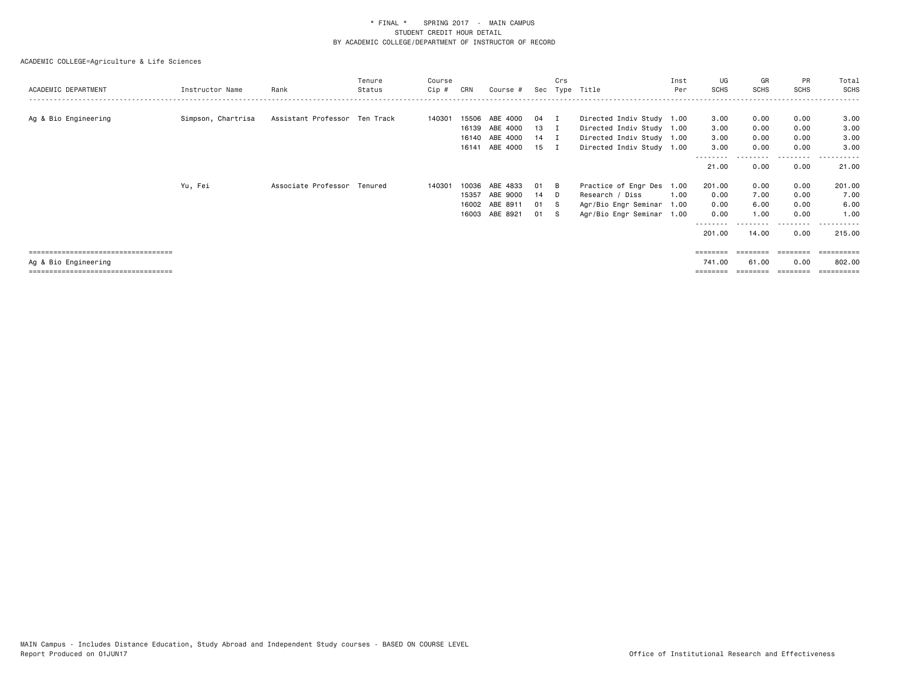# ACADEMIC COLLEGE=Agriculture & Life Sciences

| ACADEMIC DEPARTMENT                   | Instructor Name    | Rank                          | Tenure<br>Status | Course<br>Cip # | CRN   | Course #       |      | Crs         | Sec Type Title            | Inst<br>Per | UG<br>SCHS | GR<br>SCHS        | PR<br>SCHS | Total<br><b>SCHS</b> |
|---------------------------------------|--------------------|-------------------------------|------------------|-----------------|-------|----------------|------|-------------|---------------------------|-------------|------------|-------------------|------------|----------------------|
|                                       |                    |                               |                  |                 |       |                |      |             |                           |             |            |                   |            |                      |
| Ag & Bio Engineering                  | Simpson, Chartrisa | Assistant Professor Ten Track |                  | 140301          | 15506 | ABE 4000       | 04   |             | Directed Indiv Study 1.00 |             | 3.00       | 0.00              | 0.00       | 3.00                 |
|                                       |                    |                               |                  |                 | 16139 | ABE 4000       | 13   | $\mathbf I$ | Directed Indiv Study 1.00 |             | 3.00       | 0.00              | 0.00       | 3.00                 |
|                                       |                    |                               |                  |                 |       | 16140 ABE 4000 | 14 I |             | Directed Indiv Study 1.00 |             | 3.00       | 0.00              | 0.00       | 3.00                 |
|                                       |                    |                               |                  |                 |       | 16141 ABE 4000 | 15 I |             | Directed Indiv Study 1.00 |             | 3.00       | 0.00              | 0.00       | 3.00                 |
|                                       |                    |                               |                  |                 |       |                |      |             |                           |             | 21.00      | 0.00              | 0.00       | 21.00                |
|                                       | Yu, Fei            | Associate Professor Tenured   |                  | 140301          | 10036 | ABE 4833       | 01   | - B         | Practice of Engr Des 1.00 |             | 201.00     | 0.00              | 0.00       | 201.00               |
|                                       |                    |                               |                  |                 | 15357 | ABE 9000       | 14 D |             | Research / Diss           | 1.00        | 0.00       | 7.00              | 0.00       | 7.00                 |
|                                       |                    |                               |                  |                 |       | 16002 ABE 8911 | 01   | s s         | Agr/Bio Engr Seminar      | 1.00        | 0.00       | 6.00              | 0.00       | 6.00                 |
|                                       |                    |                               |                  |                 | 16003 | ABE 8921       | 01   | - S         | Agr/Bio Engr Seminar 1.00 |             | 0.00       | 1.00              | 0.00       | 1.00                 |
|                                       |                    |                               |                  |                 |       |                |      |             |                           |             |            |                   |            |                      |
|                                       |                    |                               |                  |                 |       |                |      |             |                           |             | 201,00     | 14.00             | 0.00       | 215,00               |
| ===================================== |                    |                               |                  |                 |       |                |      |             |                           |             |            | ======== ======== | ========   | -----------          |

Ag & Bio Engineering 741.00 61.00 0.00 802.00

=================================== ======== ======== ======== ==========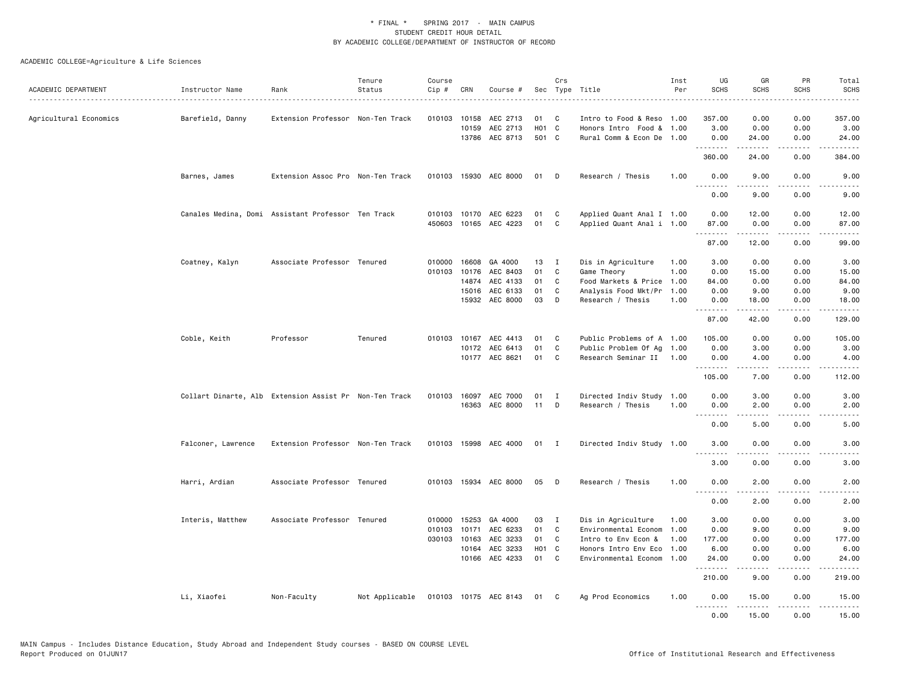| ACADEMIC DEPARTMENT    | Instructor Name                                        | Rank                              | Tenure<br>Status | Course<br>$Cip$ #          | CRN                              | Course #                                                            |                                             | Crs                              | Sec Type Title                                                                                                         | Inst<br>Per                          | UG<br><b>SCHS</b>                                      | GR<br><b>SCHS</b>                                           | PR<br><b>SCHS</b>                                 | Total<br><b>SCHS</b>                                          |
|------------------------|--------------------------------------------------------|-----------------------------------|------------------|----------------------------|----------------------------------|---------------------------------------------------------------------|---------------------------------------------|----------------------------------|------------------------------------------------------------------------------------------------------------------------|--------------------------------------|--------------------------------------------------------|-------------------------------------------------------------|---------------------------------------------------|---------------------------------------------------------------|
| Agricultural Economics | Barefield, Danny                                       | Extension Professor Non-Ten Track |                  | 010103                     | 10158<br>10159                   | AEC 2713<br>AEC 2713<br>13786 AEC 8713                              | 01<br>H <sub>01</sub> C<br>501 C            | C                                | Intro to Food & Reso 1.00<br>Honors Intro Food & 1.00<br>Rural Comm & Econ De 1.00                                     |                                      | 357.00<br>3.00<br>0.00                                 | 0.00<br>0.00<br>24.00                                       | 0.00<br>0.00<br>0.00                              | د د د د د<br>357.00<br>3.00<br>24.00                          |
|                        |                                                        |                                   |                  |                            |                                  |                                                                     |                                             |                                  |                                                                                                                        |                                      | .<br>360.00                                            | .<br>24.00                                                  | .<br>0.00                                         | .<br>384.00                                                   |
|                        | Barnes, James                                          | Extension Assoc Pro Non-Ten Track |                  |                            |                                  | 010103 15930 AEC 8000                                               | 01 D                                        |                                  | Research / Thesis                                                                                                      | 1.00                                 | 0.00                                                   | 9.00                                                        | 0.00                                              | 9.00                                                          |
|                        |                                                        |                                   |                  |                            |                                  |                                                                     |                                             |                                  |                                                                                                                        |                                      | 0.00                                                   | 9.00                                                        | 0.00                                              | 9.00                                                          |
|                        | Canales Medina, Domi Assistant Professor Ten Track     |                                   |                  |                            |                                  | 010103 10170 AEC 6223<br>450603 10165 AEC 4223                      | 01<br>01                                    | C<br>$\mathbf{C}$                | Applied Quant Anal I 1.00<br>Applied Quant Anal i 1.00                                                                 |                                      | 0.00<br>87.00<br>.                                     | 12.00<br>0.00<br>.                                          | 0.00<br>0.00<br>.                                 | 12.00<br>87.00<br>.                                           |
|                        |                                                        |                                   |                  |                            |                                  |                                                                     |                                             |                                  |                                                                                                                        |                                      | 87.00                                                  | 12.00                                                       | 0.00                                              | 99.00                                                         |
|                        | Coatney, Kalyn                                         | Associate Professor Tenured       |                  | 010000<br>010103           | 16608<br>10176<br>14874<br>15016 | GA 4000<br>AEC 8403<br>AEC 4133<br>AEC 6133<br>15932 AEC 8000       | 13<br>01<br>01<br>01<br>03                  | $\mathbf{I}$<br>C<br>C<br>C<br>D | Dis in Agriculture<br>Game Theory<br>Food Markets & Price<br>Analysis Food Mkt/Pr<br>Research / Thesis                 | 1.00<br>1.00<br>1.00<br>1.00<br>1.00 | 3.00<br>0.00<br>84.00<br>0.00<br>0.00<br>.<br>87.00    | 0.00<br>15.00<br>0.00<br>9.00<br>18.00<br>42.00             | 0.00<br>0.00<br>0.00<br>0.00<br>0.00<br>.<br>0.00 | 3.00<br>15.00<br>84.00<br>9.00<br>18.00<br><u>.</u><br>129.00 |
|                        | Coble, Keith                                           | Professor                         | Tenured          | 010103                     |                                  | 10167 AEC 4413<br>10172 AEC 6413<br>10177 AEC 8621                  | 01<br>01<br>01                              | C<br>C<br>C                      | Public Problems of A 1.00<br>Public Problem Of Ag 1.00<br>Research Seminar II 1.00                                     |                                      | 105.00<br>0.00<br>0.00<br>.                            | 0.00<br>3.00<br>4.00                                        | 0.00<br>0.00<br>0.00<br>$\sim$ $\sim$ $\sim$      | 105.00<br>3.00<br>4.00<br>.                                   |
|                        | Collart Dinarte, Alb Extension Assist Pr Non-Ten Track |                                   |                  | 010103                     |                                  | 16097 AEC 7000<br>16363 AEC 8000                                    | 01<br>11                                    | I<br>D                           | Directed Indiv Study 1.00<br>Research / Thesis                                                                         | 1.00                                 | 105.00<br>0.00<br>0.00<br>المالمات الما                | 7.00<br>3.00<br>2.00<br>.                                   | 0.00<br>0.00<br>0.00<br>د د د د                   | 112.00<br>3.00<br>2.00<br>-----                               |
|                        | Falconer, Lawrence                                     | Extension Professor Non-Ten Track |                  |                            |                                  | 010103 15998 AEC 4000                                               | 01 I                                        |                                  | Directed Indiv Study 1.00                                                                                              |                                      | 0.00<br>3.00                                           | 5.00<br>0.00                                                | 0.00<br>0.00                                      | 5.00<br>3.00                                                  |
|                        |                                                        |                                   |                  |                            |                                  |                                                                     |                                             |                                  |                                                                                                                        |                                      | . <b>.</b><br>3.00                                     | .<br>0.00                                                   | .<br>0.00                                         | $\frac{1}{2}$<br>3.00                                         |
|                        | Harri, Ardian                                          | Associate Professor Tenured       |                  | 010103                     |                                  | 15934 AEC 8000                                                      | 05                                          | D                                | Research / Thesis                                                                                                      | 1.00                                 | 0.00<br><u>.</u>                                       | 2.00                                                        | 0.00                                              | 2.00                                                          |
|                        |                                                        |                                   |                  |                            |                                  |                                                                     |                                             |                                  |                                                                                                                        |                                      | 0.00                                                   | 2.00                                                        | 0.00                                              | 2.00                                                          |
|                        | Interis, Matthew                                       | Associate Professor Tenured       |                  | 010000<br>010103<br>030103 | 15253<br>10163<br>10164          | GA 4000<br>10171 AEC 6233<br>AEC 3233<br>AEC 3233<br>10166 AEC 4233 | 03<br>01<br>01<br>H <sub>01</sub> C<br>01 C | I<br>$\mathbf{C}$<br>C           | Dis in Agriculture<br>Environmental Econom<br>Intro to Env Econ &<br>Honors Intro Env Eco<br>Environmental Econom 1.00 | 1.00<br>1.00<br>1.00<br>1.00         | 3.00<br>0.00<br>177.00<br>6.00<br>24.00<br>.<br>210.00 | 0.00<br>9.00<br>0.00<br>0.00<br>0.00<br>$- - - - -$<br>9.00 | 0.00<br>0.00<br>0.00<br>0.00<br>0.00<br>.<br>0.00 | 3.00<br>9.00<br>177.00<br>6.00<br>24.00<br>.<br>219.00        |
|                        | Li, Xiaofei                                            | Non-Faculty                       | Not Applicable   |                            |                                  | 010103 10175 AEC 8143                                               | 01                                          | C.                               | Ag Prod Economics                                                                                                      | 1.00                                 | 0.00<br>.                                              | 15.00<br>د د د د د                                          | 0.00<br>د د د د                                   | 15.00<br>.                                                    |
|                        |                                                        |                                   |                  |                            |                                  |                                                                     |                                             |                                  |                                                                                                                        |                                      | 0.00                                                   | 15.00                                                       | 0.00                                              | 15.00                                                         |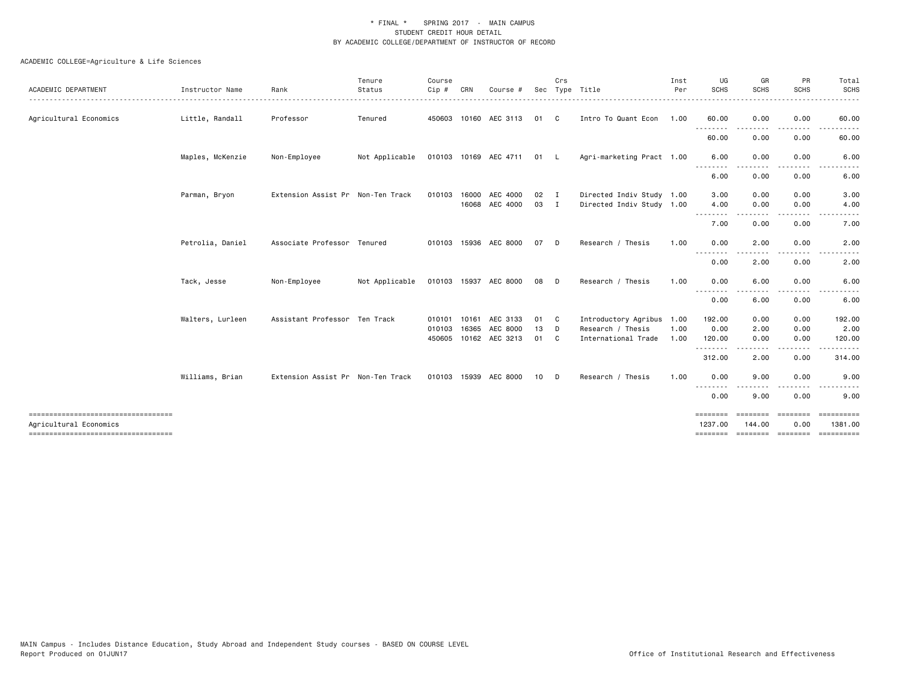| Instructor Name                      | Rank         | Tenure<br>Status | Course<br>$C$ ip #                                                                                                                     | CRN   | Course #                                  |                                                                                                                                                         | Crs                               |                                                                                             | Inst<br>Per                         | UG<br><b>SCHS</b>                                                                                                                                    | GR<br><b>SCHS</b>                                                                                                                                                                                                                                                                                                                                                                                                                                          | PR<br><b>SCHS</b>    | Total<br><b>SCHS</b>  |
|--------------------------------------|--------------|------------------|----------------------------------------------------------------------------------------------------------------------------------------|-------|-------------------------------------------|---------------------------------------------------------------------------------------------------------------------------------------------------------|-----------------------------------|---------------------------------------------------------------------------------------------|-------------------------------------|------------------------------------------------------------------------------------------------------------------------------------------------------|------------------------------------------------------------------------------------------------------------------------------------------------------------------------------------------------------------------------------------------------------------------------------------------------------------------------------------------------------------------------------------------------------------------------------------------------------------|----------------------|-----------------------|
| Little, Randall                      | Professor    | Tenured          |                                                                                                                                        |       |                                           |                                                                                                                                                         |                                   |                                                                                             |                                     | 60.00                                                                                                                                                | 0.00                                                                                                                                                                                                                                                                                                                                                                                                                                                       | 0.00                 | 60.00                 |
|                                      |              |                  |                                                                                                                                        |       |                                           |                                                                                                                                                         |                                   |                                                                                             |                                     | 60.00                                                                                                                                                | 0.00                                                                                                                                                                                                                                                                                                                                                                                                                                                       | 0.00                 | 60.00                 |
| Maples, McKenzie                     | Non-Employee | Not Applicable   |                                                                                                                                        |       |                                           |                                                                                                                                                         |                                   |                                                                                             |                                     | 6.00                                                                                                                                                 | 0.00                                                                                                                                                                                                                                                                                                                                                                                                                                                       | 0.00                 | 6.00                  |
|                                      |              |                  |                                                                                                                                        |       |                                           |                                                                                                                                                         |                                   |                                                                                             |                                     | 6.00                                                                                                                                                 | 0.00                                                                                                                                                                                                                                                                                                                                                                                                                                                       | 0.00                 | 6.00                  |
| Parman, Bryon                        |              |                  |                                                                                                                                        | 16000 | AEC 4000                                  | 02                                                                                                                                                      |                                   |                                                                                             |                                     | 3.00                                                                                                                                                 | 0.00                                                                                                                                                                                                                                                                                                                                                                                                                                                       | 0.00                 | 3.00                  |
|                                      |              |                  |                                                                                                                                        |       |                                           |                                                                                                                                                         |                                   |                                                                                             |                                     | .                                                                                                                                                    |                                                                                                                                                                                                                                                                                                                                                                                                                                                            |                      | 4.00                  |
|                                      |              |                  |                                                                                                                                        |       |                                           |                                                                                                                                                         |                                   |                                                                                             |                                     |                                                                                                                                                      |                                                                                                                                                                                                                                                                                                                                                                                                                                                            |                      | 7.00                  |
| Petrolia, Daniel                     |              |                  |                                                                                                                                        |       |                                           | 07                                                                                                                                                      |                                   | Research / Thesis                                                                           | 1.00                                | 0.00<br>.                                                                                                                                            | 2.00                                                                                                                                                                                                                                                                                                                                                                                                                                                       | 0.00                 | 2.00                  |
|                                      |              |                  |                                                                                                                                        |       |                                           |                                                                                                                                                         |                                   |                                                                                             |                                     | 0.00                                                                                                                                                 | 2.00                                                                                                                                                                                                                                                                                                                                                                                                                                                       | 0.00                 | 2.00                  |
| Tack, Jesse                          | Non-Employee | Not Applicable   |                                                                                                                                        |       |                                           | 08                                                                                                                                                      |                                   | Research / Thesis                                                                           | 1.00                                | 0.00                                                                                                                                                 | 6.00                                                                                                                                                                                                                                                                                                                                                                                                                                                       | 0.00                 | 6.00                  |
|                                      |              |                  |                                                                                                                                        |       |                                           |                                                                                                                                                         |                                   |                                                                                             |                                     | 0.00                                                                                                                                                 | 6.00                                                                                                                                                                                                                                                                                                                                                                                                                                                       | 0.00                 | 6.00                  |
| Walters, Lurleen                     |              |                  |                                                                                                                                        |       | AEC 3133                                  | 01                                                                                                                                                      |                                   |                                                                                             |                                     | 192.00                                                                                                                                               | 0.00                                                                                                                                                                                                                                                                                                                                                                                                                                                       | 0.00                 | 192.00                |
|                                      |              |                  |                                                                                                                                        |       |                                           | 01                                                                                                                                                      |                                   | International Trade                                                                         | 1.00                                | 120.00                                                                                                                                               | 0.00                                                                                                                                                                                                                                                                                                                                                                                                                                                       | 0.00                 | 2.00<br>120.00        |
|                                      |              |                  |                                                                                                                                        |       |                                           |                                                                                                                                                         |                                   |                                                                                             |                                     | --------<br>312.00                                                                                                                                   | ----<br>2.00                                                                                                                                                                                                                                                                                                                                                                                                                                               | ----<br>0.00         | 314.00                |
| Williams, Brian                      |              |                  |                                                                                                                                        |       |                                           | 10                                                                                                                                                      |                                   | Research / Thesis                                                                           | 1.00                                | 0.00                                                                                                                                                 | 9.00                                                                                                                                                                                                                                                                                                                                                                                                                                                       | 0.00                 | 9.00                  |
|                                      |              |                  |                                                                                                                                        |       |                                           |                                                                                                                                                         |                                   |                                                                                             |                                     | 0.00                                                                                                                                                 | 9.00                                                                                                                                                                                                                                                                                                                                                                                                                                                       | 0.00                 | 9.00                  |
| ==================================== |              |                  |                                                                                                                                        |       |                                           |                                                                                                                                                         |                                   |                                                                                             |                                     | <b>EBBEERE</b><br>1237.00                                                                                                                            | ========<br>144.00                                                                                                                                                                                                                                                                                                                                                                                                                                         | 0.00                 | ==========<br>1381.00 |
|                                      |              |                  | Extension Assist Pr Non-Ten Track<br>Associate Professor Tenured<br>Assistant Professor Ten Track<br>Extension Assist Pr Non-Ten Track |       | 010103<br>010101 10161<br>010103<br>16365 | 450603 10160 AEC 3113<br>16068 AEC 4000<br>010103 15936 AEC 8000<br>010103 15937 AEC 8000<br>AEC 8000<br>450605 10162 AEC 3213<br>010103 15939 AEC 8000 | 010103 10169 AEC 4711<br>03<br>13 | 01 C<br>01 L<br>I.<br>$\blacksquare$<br>D.<br>D.<br>$\mathbf{C}$<br>D<br>$\mathbf{C}$<br>D. | Sec Type Title<br>Research / Thesis | Intro To Quant Econ 1.00<br>Agri-marketing Pract 1.00<br>Directed Indiv Study 1.00<br>Directed Indiv Study 1.00<br>Introductory Agribus 1.00<br>1.00 | $\sim$ $\sim$ $\sim$<br>4.00<br>7.00<br>$\frac{1}{2} \frac{1}{2} \frac{1}{2} \frac{1}{2} \frac{1}{2} \frac{1}{2} \frac{1}{2} \frac{1}{2} \frac{1}{2} \frac{1}{2} \frac{1}{2} \frac{1}{2} \frac{1}{2} \frac{1}{2} \frac{1}{2} \frac{1}{2} \frac{1}{2} \frac{1}{2} \frac{1}{2} \frac{1}{2} \frac{1}{2} \frac{1}{2} \frac{1}{2} \frac{1}{2} \frac{1}{2} \frac{1}{2} \frac{1}{2} \frac{1}{2} \frac{1}{2} \frac{1}{2} \frac{1}{2} \frac{$<br>$  -$<br>0.00<br>. | 0.00<br>0.00<br>2.00 | 0.00<br>0.00<br>0.00  |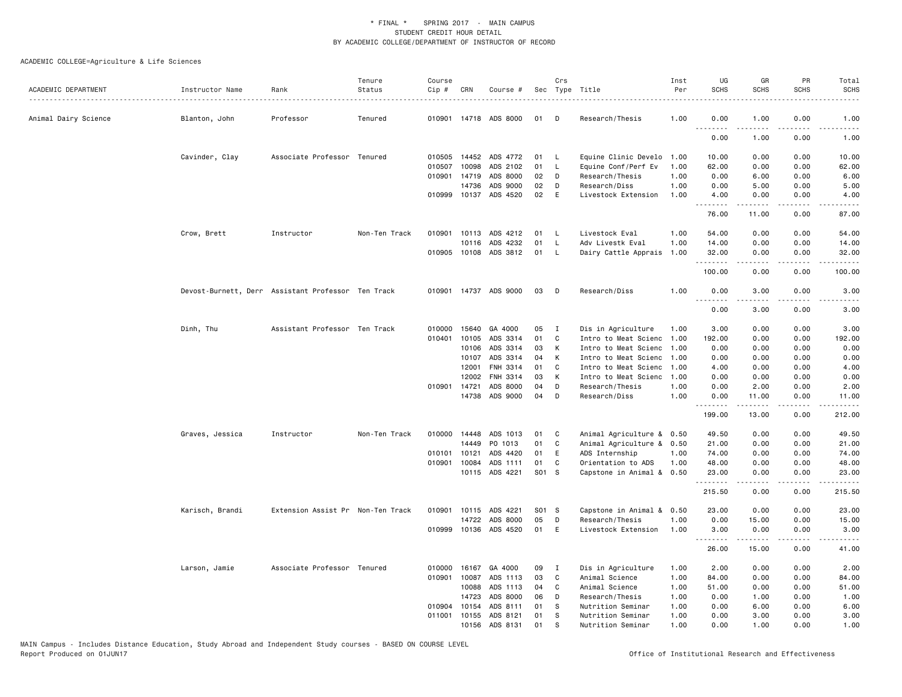|                      |                                                    |                                   | Tenure        | Course |              |                       |       | Crs          |                           | Inst | UG               | GR          | PR                    | Total                                                                                                                             |
|----------------------|----------------------------------------------------|-----------------------------------|---------------|--------|--------------|-----------------------|-------|--------------|---------------------------|------|------------------|-------------|-----------------------|-----------------------------------------------------------------------------------------------------------------------------------|
| ACADEMIC DEPARTMENT  | Instructor Name                                    | Rank                              | Status        | Cip #  | CRN          | Course #              |       |              | Sec Type Title            | Per  | <b>SCHS</b>      | <b>SCHS</b> | <b>SCHS</b>           | <b>SCHS</b>                                                                                                                       |
| Animal Dairy Science | Blanton, John                                      | Professor                         | Tenured       |        |              | 010901 14718 ADS 8000 | 01    | D            | Research/Thesis           | 1.00 | 0.00             | 1.00        | 0.00                  | 1.00                                                                                                                              |
|                      |                                                    |                                   |               |        |              |                       |       |              |                           |      | .<br>0.00        | .<br>1.00   | 0.00                  | $\frac{1}{2} \left( \frac{1}{2} \right) \left( \frac{1}{2} \right) \left( \frac{1}{2} \right) \left( \frac{1}{2} \right)$<br>1.00 |
|                      | Cavinder, Clay                                     | Associate Professor Tenured       |               | 010505 | 14452        | ADS 4772              | 01    | - L          | Equine Clinic Develo      | 1.00 | 10.00            | 0.00        | 0.00                  | 10.00                                                                                                                             |
|                      |                                                    |                                   |               | 010507 | 10098        | ADS 2102              | 01    | L.           | Equine Conf/Perf Ev       | 1.00 | 62.00            | 0.00        | 0.00                  | 62.00                                                                                                                             |
|                      |                                                    |                                   |               | 010901 | 14719        | ADS 8000              | 02    | D            | Research/Thesis           | 1.00 | 0.00             | 6.00        | 0.00                  | 6.00                                                                                                                              |
|                      |                                                    |                                   |               |        | 14736        | ADS 9000              | 02    | D            | Research/Diss             | 1.00 | 0.00             | 5.00        | 0.00                  | 5.00                                                                                                                              |
|                      |                                                    |                                   |               |        |              | 010999 10137 ADS 4520 | 02    | $\mathsf E$  | Livestock Extension       | 1.00 | 4.00<br><u>.</u> | 0.00<br>.   | 0.00<br>- - - -       | 4.00                                                                                                                              |
|                      |                                                    |                                   |               |        |              |                       |       |              |                           |      | 76.00            | 11.00       | 0.00                  | 87.00                                                                                                                             |
|                      | Crow, Brett                                        | Instructor                        | Non-Ten Track |        |              | 010901 10113 ADS 4212 | 01    | <b>L</b>     | Livestock Eval            | 1.00 | 54.00            | 0.00        | 0.00                  | 54.00                                                                                                                             |
|                      |                                                    |                                   |               |        | 10116        | ADS 4232              | 01    | L.           | Adv Livestk Eval          | 1.00 | 14.00            | 0.00        | 0.00                  | 14.00                                                                                                                             |
|                      |                                                    |                                   |               | 010905 |              | 10108 ADS 3812        | 01    | <b>L</b>     | Dairy Cattle Apprais 1.00 |      | 32.00<br>.       | 0.00<br>.   | 0.00<br>.             | 32.00<br>.                                                                                                                        |
|                      |                                                    |                                   |               |        |              |                       |       |              |                           |      | 100.00           | 0.00        | 0.00                  | 100.00                                                                                                                            |
|                      | Devost-Burnett, Derr Assistant Professor Ten Track |                                   |               |        |              | 010901 14737 ADS 9000 | 03    | D            | Research/Diss             | 1.00 | 0.00             | 3.00        | 0.00                  | 3.00                                                                                                                              |
|                      |                                                    |                                   |               |        |              |                       |       |              |                           |      | .<br>0.00        | .<br>3.00   | $\frac{1}{2}$<br>0.00 | .<br>3.00                                                                                                                         |
|                      | Dinh, Thu                                          | Assistant Professor Ten Track     |               | 010000 | 15640        | GA 4000               | 05    | Ι.           | Dis in Agriculture        | 1.00 | 3.00             | 0.00        | 0.00                  | 3.00                                                                                                                              |
|                      |                                                    |                                   |               | 010401 | 10105        | ADS 3314              | 01    | C            | Intro to Meat Scienc      | 1.00 | 192.00           | 0.00        | 0.00                  | 192.00                                                                                                                            |
|                      |                                                    |                                   |               |        | 10106        | ADS 3314              | 03    | К            | Intro to Meat Scienc      | 1.00 | 0.00             | 0.00        | 0.00                  | 0.00                                                                                                                              |
|                      |                                                    |                                   |               |        | 10107        | ADS 3314              | 04    | К            | Intro to Meat Scienc 1.00 |      | 0.00             | 0.00        | 0.00                  | 0.00                                                                                                                              |
|                      |                                                    |                                   |               |        | 12001        | FNH 3314              | 01    | C            | Intro to Meat Scienc      | 1.00 | 4.00             | 0.00        | 0.00                  | 4.00                                                                                                                              |
|                      |                                                    |                                   |               |        | 12002        | FNH 3314              | 03    | К            | Intro to Meat Scienc 1.00 |      | 0.00             | 0.00        | 0.00                  | 0.00                                                                                                                              |
|                      |                                                    |                                   |               | 010901 | 14721        | ADS 8000              | 04    | D            | Research/Thesis           | 1.00 | 0.00             | 2.00        | 0.00                  | 2.00                                                                                                                              |
|                      |                                                    |                                   |               |        |              | 14738 ADS 9000        | 04    | D            | Research/Diss             | 1.00 | 0.00             | 11.00<br>.  | 0.00                  | 11.00<br>.                                                                                                                        |
|                      |                                                    |                                   |               |        |              |                       |       |              |                           |      | 199.00           | 13,00       | 0.00                  | 212.00                                                                                                                            |
|                      | Graves, Jessica                                    | Instructor                        | Non-Ten Track |        | 010000 14448 | ADS 1013              | 01    | C            | Animal Agriculture & 0.50 |      | 49.50            | 0.00        | 0.00                  | 49.50                                                                                                                             |
|                      |                                                    |                                   |               |        | 14449        | PO 1013               | 01    | C            | Animal Agriculture & 0.50 |      | 21.00            | 0.00        | 0.00                  | 21.00                                                                                                                             |
|                      |                                                    |                                   |               | 010101 | 10121        | ADS 4420              | 01    | E            | ADS Internship            | 1.00 | 74.00            | 0.00        | 0.00                  | 74.00                                                                                                                             |
|                      |                                                    |                                   |               | 010901 | 10084        | ADS 1111              | 01    | C            | Orientation to ADS        | 1.00 | 48.00            | 0.00        | 0.00                  | 48.00                                                                                                                             |
|                      |                                                    |                                   |               |        |              | 10115 ADS 4221        | S01 S |              | Capstone in Animal & 0.50 |      | 23.00<br>.       | 0.00<br>.   | 0.00<br>.             | 23.00<br>.                                                                                                                        |
|                      |                                                    |                                   |               |        |              |                       |       |              |                           |      | 215.50           | 0.00        | 0.00                  | 215.50                                                                                                                            |
|                      | Karisch, Brandi                                    | Extension Assist Pr Non-Ten Track |               | 010901 | 10115        | ADS 4221              | S01 S |              | Capstone in Animal & 0.50 |      | 23.00            | 0.00        | 0.00                  | 23.00                                                                                                                             |
|                      |                                                    |                                   |               |        | 14722        | ADS 8000              | 05    | D            | Research/Thesis           | 1.00 | 0.00             | 15.00       | 0.00                  | 15.00                                                                                                                             |
|                      |                                                    |                                   |               | 010999 |              | 10136 ADS 4520        | 01    | E            | Livestock Extension       | 1.00 | 3.00             | 0.00<br>.   | 0.00<br>.             | 3,00<br>.                                                                                                                         |
|                      |                                                    |                                   |               |        |              |                       |       |              |                           |      | 26.00            | 15.00       | 0.00                  | 41.00                                                                                                                             |
|                      | Larson, Jamie                                      | Associate Professor Tenured       |               | 010000 | 16167        | GA 4000               | 09    | $\mathbf{I}$ | Dis in Agriculture        | 1.00 | 2.00             | 0.00        | 0.00                  | 2.00                                                                                                                              |
|                      |                                                    |                                   |               | 010901 | 10087        | ADS 1113              | 03    | C            | Animal Science            | 1.00 | 84.00            | 0.00        | 0.00                  | 84.00                                                                                                                             |
|                      |                                                    |                                   |               |        | 10088        | ADS 1113              | 04    | C            | Animal Science            | 1.00 | 51.00            | 0.00        | 0.00                  | 51.00                                                                                                                             |
|                      |                                                    |                                   |               |        | 14723        | ADS 8000              | 06    | D            | Research/Thesis           | 1.00 | 0.00             | 1.00        | 0.00                  | 1.00                                                                                                                              |
|                      |                                                    |                                   |               | 010904 | 10154        | ADS 8111              | 01    | s            | Nutrition Seminar         | 1.00 | 0.00             | 6.00        | 0.00                  | 6.00                                                                                                                              |
|                      |                                                    |                                   |               | 011001 | 10155        | ADS 8121              | 01    | s            | Nutrition Seminar         | 1.00 | 0.00             | 3.00        | 0.00                  | 3.00                                                                                                                              |
|                      |                                                    |                                   |               |        | 10156        | ADS 8131              | 01    | s            | Nutrition Seminar         | 1.00 | 0.00             | 1.00        | 0.00                  | 1.00                                                                                                                              |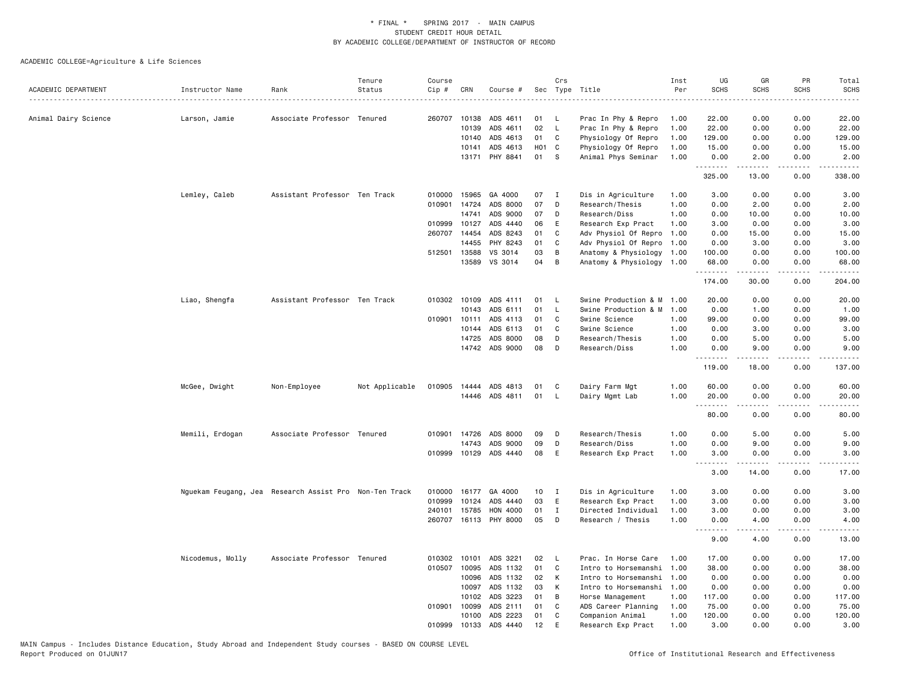|                      |                  |                                                        | Tenure         | Course |                |                       |                 | Crs          |                           | Inst         | UG                 | GR                                                                                                                                                            | PR              | Total                                                                                                                              |
|----------------------|------------------|--------------------------------------------------------|----------------|--------|----------------|-----------------------|-----------------|--------------|---------------------------|--------------|--------------------|---------------------------------------------------------------------------------------------------------------------------------------------------------------|-----------------|------------------------------------------------------------------------------------------------------------------------------------|
| ACADEMIC DEPARTMENT  | Instructor Name  | Rank                                                   | Status         | Cip #  | CRN            | Course #              | Sec             |              | Type Title                | Per          | <b>SCHS</b>        | <b>SCHS</b>                                                                                                                                                   | <b>SCHS</b>     | <b>SCHS</b>                                                                                                                        |
| Animal Dairy Science | Larson, Jamie    | Associate Professor Tenured                            |                |        | 260707 10138   | ADS 4611              | 01              | <b>L</b>     | Prac In Phy & Repro       | 1.00         | 22.00              | 0.00                                                                                                                                                          | 0.00            | 22.00                                                                                                                              |
|                      |                  |                                                        |                |        | 10139          | ADS 4611              | 02              | $\mathsf{L}$ | Prac In Phy & Repro       | 1.00         | 22.00              | 0.00                                                                                                                                                          | 0.00            | 22.00                                                                                                                              |
|                      |                  |                                                        |                |        | 10140          | ADS 4613              | 01              | C            | Physiology Of Repro       | 1.00         | 129.00             | 0.00                                                                                                                                                          | 0.00            | 129.00                                                                                                                             |
|                      |                  |                                                        |                |        | 10141          | ADS 4613              | HO <sub>1</sub> | C            | Physiology Of Repro       | 1.00         | 15.00              | 0.00                                                                                                                                                          | 0.00            | 15.00                                                                                                                              |
|                      |                  |                                                        |                |        |                | 13171 PHY 8841        | 01              | <b>S</b>     | Animal Phys Seminar       | 1.00         | 0.00               | 2.00                                                                                                                                                          | 0.00            | 2.00                                                                                                                               |
|                      |                  |                                                        |                |        |                |                       |                 |              |                           |              | <u>.</u><br>325.00 | $\frac{1}{2} \left( \frac{1}{2} \right) \left( \frac{1}{2} \right) \left( \frac{1}{2} \right) \left( \frac{1}{2} \right) \left( \frac{1}{2} \right)$<br>13.00 | .<br>0.00       | 338.00                                                                                                                             |
|                      | Lemley, Caleb    | Assistant Professor Ten Track                          |                | 010000 | 15965          | GA 4000               | 07              | $\mathbf{I}$ | Dis in Agriculture        | 1.00         | 3.00               | 0.00                                                                                                                                                          | 0.00            | 3.00                                                                                                                               |
|                      |                  |                                                        |                | 010901 | 14724          | ADS 8000              | 07              | D            | Research/Thesis           | 1.00         | 0.00               | 2.00                                                                                                                                                          | 0.00            | 2.00                                                                                                                               |
|                      |                  |                                                        |                |        | 14741          | ADS 9000              | 07              | D            | Research/Diss             | 1.00         | 0.00               | 10.00                                                                                                                                                         | 0.00            | 10.00                                                                                                                              |
|                      |                  |                                                        |                | 010999 | 10127          | ADS 4440              | 06              | Ε            | Research Exp Pract        | 1.00         | 3.00               | 0.00                                                                                                                                                          | 0.00            | 3.00                                                                                                                               |
|                      |                  |                                                        |                |        | 260707 14454   | ADS 8243              | 01              | C            | Adv Physiol Of Repro      | 1.00         | 0.00               | 15.00                                                                                                                                                         | 0.00            | 15.00                                                                                                                              |
|                      |                  |                                                        |                |        | 14455          | PHY 8243              | 01              | C            | Adv Physiol Of Repro      | 1.00         | 0.00               | 3.00                                                                                                                                                          | 0.00            | 3.00                                                                                                                               |
|                      |                  |                                                        |                |        | 512501 13588   | VS 3014               | 03              | B            | Anatomy & Physiology      | 1.00         | 100.00             | 0.00                                                                                                                                                          | 0.00            | 100.00                                                                                                                             |
|                      |                  |                                                        |                |        | 13589          | VS 3014               | 04              | В            | Anatomy & Physiology 1.00 |              | 68.00<br>.         | 0.00<br>.                                                                                                                                                     | 0.00<br>.       | 68.00<br>.                                                                                                                         |
|                      |                  |                                                        |                |        |                |                       |                 |              |                           |              | 174.00             | 30.00                                                                                                                                                         | 0.00            | 204.00                                                                                                                             |
|                      | Liao, Shengfa    | Assistant Professor Ten Track                          |                |        | 010302 10109   | ADS 4111              | 01              | $\mathsf{L}$ | Swine Production & M      | 1,00         | 20.00              | 0.00                                                                                                                                                          | 0.00            | 20.00                                                                                                                              |
|                      |                  |                                                        |                |        | 10143          | ADS 6111              | 01              | L            | Swine Production & M      | 1.00         | 0.00               | 1.00                                                                                                                                                          | 0.00            | 1.00                                                                                                                               |
|                      |                  |                                                        |                | 010901 | 10111          | ADS 4113              | 01              | C            | Swine Science             | 1.00         | 99.00              | 0.00                                                                                                                                                          | 0.00            | 99.00                                                                                                                              |
|                      |                  |                                                        |                |        | 10144          | ADS 6113              | 01              | C            | Swine Science             | 1.00         | 0.00               | 3.00                                                                                                                                                          | 0.00            | 3.00                                                                                                                               |
|                      |                  |                                                        |                |        | 14725          | ADS 8000              | 08              | D            | Research/Thesis           | 1.00         | 0.00               | 5.00                                                                                                                                                          | 0.00            | 5.00                                                                                                                               |
|                      |                  |                                                        |                |        |                | 14742 ADS 9000        | 08              | D            | Research/Diss             | 1.00         | 0.00<br>.          | 9.00                                                                                                                                                          | 0.00<br>د د د د | 9.00<br>المتمامين                                                                                                                  |
|                      |                  |                                                        |                |        |                |                       |                 |              |                           |              | 119.00             | 18.00                                                                                                                                                         | 0.00            | 137.00                                                                                                                             |
|                      | McGee, Dwight    | Non-Employee                                           | Not Applicable | 010905 | 14444          | ADS 4813              | 01              | C            | Dairy Farm Mgt            | 1.00         | 60.00              | 0.00                                                                                                                                                          | 0.00            | 60.00                                                                                                                              |
|                      |                  |                                                        |                |        |                | 14446 ADS 4811        | 01              | $\mathsf{L}$ | Dairy Mgmt Lab            | 1.00         | 20.00              | 0.00                                                                                                                                                          | 0.00            | 20.00                                                                                                                              |
|                      |                  |                                                        |                |        |                |                       |                 |              |                           |              | 80.00              | 0.00                                                                                                                                                          | .<br>0.00       | $\frac{1}{2} \left( \frac{1}{2} \right) \left( \frac{1}{2} \right) \left( \frac{1}{2} \right) \left( \frac{1}{2} \right)$<br>80.00 |
|                      |                  |                                                        |                |        |                |                       |                 |              |                           |              |                    |                                                                                                                                                               |                 |                                                                                                                                    |
|                      | Memili, Erdogan  | Associate Professor Tenured                            |                |        | 010901 14726   | ADS 8000              | 09              | D            | Research/Thesis           | 1.00         | 0.00               | 5.00                                                                                                                                                          | 0.00            | 5.00                                                                                                                               |
|                      |                  |                                                        |                |        | 14743          | ADS 9000              | 09              | D            | Research/Diss             | 1.00         | 0.00               | 9.00                                                                                                                                                          | 0.00            | 9.00                                                                                                                               |
|                      |                  |                                                        |                | 010999 |                | 10129 ADS 4440        | 08              | E            | Research Exp Pract        | 1.00         | 3.00<br>.          | 0.00                                                                                                                                                          | 0.00<br>.       | 3.00<br>$\frac{1}{2}$                                                                                                              |
|                      |                  |                                                        |                |        |                |                       |                 |              |                           |              | 3.00               | 14.00                                                                                                                                                         | 0.00            | 17.00                                                                                                                              |
|                      |                  | Nguekam Feugang, Jea Research Assist Pro Non-Ten Track |                | 010000 | 16177          | GA 4000               | 10              | $\mathbf{I}$ | Dis in Agriculture        | 1.00         | 3.00               | 0.00                                                                                                                                                          | 0.00            | 3.00                                                                                                                               |
|                      |                  |                                                        |                | 010999 | 10124          | ADS 4440              | 03              | E            | Research Exp Pract        | 1.00         | 3.00               | 0.00                                                                                                                                                          | 0.00            | 3.00                                                                                                                               |
|                      |                  |                                                        |                | 240101 | 15785          | HON 4000              | 01              | $\mathbf{I}$ | Directed Individual       | 1.00         | 3.00               | 0.00                                                                                                                                                          | 0.00            | 3.00                                                                                                                               |
|                      |                  |                                                        |                |        |                | 260707 16113 PHY 8000 | 05              | D            | Research / Thesis         | 1.00         | 0.00               | 4.00                                                                                                                                                          | 0.00            | 4.00                                                                                                                               |
|                      |                  |                                                        |                |        |                |                       |                 |              |                           |              | <u>.</u>           |                                                                                                                                                               |                 |                                                                                                                                    |
|                      |                  |                                                        |                |        |                |                       |                 |              |                           |              | 9.00               | 4.00                                                                                                                                                          | 0.00            | 13.00                                                                                                                              |
|                      | Nicodemus, Molly | Associate Professor Tenured                            |                |        | 010302 10101   | ADS 3221              | 02              | L.           | Prac. In Horse Care       | 1.00         | 17.00              | 0.00                                                                                                                                                          | 0.00            | 17.00                                                                                                                              |
|                      |                  |                                                        |                |        | 010507 10095   | ADS 1132              | 01              | C            | Intro to Horsemanshi      | 1.00         | 38.00              | 0.00                                                                                                                                                          | 0.00            | 38.00                                                                                                                              |
|                      |                  |                                                        |                |        | 10096          | ADS 1132              | 02              | К            | Intro to Horsemanshi      | 1.00         | 0.00               | 0.00                                                                                                                                                          | 0.00            | 0.00                                                                                                                               |
|                      |                  |                                                        |                |        | 10097          | ADS 1132              | 03              | К            | Intro to Horsemanshi      | 1.00         | 0.00               | 0.00                                                                                                                                                          | 0.00            | 0.00                                                                                                                               |
|                      |                  |                                                        |                |        | 10102          | ADS 3223              | 01              | В            | Horse Management          | 1.00         | 117.00             | 0.00                                                                                                                                                          | 0.00            | 117.00                                                                                                                             |
|                      |                  |                                                        |                | 010901 | 10099          | ADS 2111<br>ADS 2223  | 01<br>01        | C            | ADS Career Planning       | 1.00         | 75.00              | 0.00                                                                                                                                                          | 0.00            | 75.00<br>120.00                                                                                                                    |
|                      |                  |                                                        |                | 010999 | 10100<br>10133 | ADS 4440              | 12              | C<br>E       | Companion Animal          | 1.00<br>1.00 | 120.00<br>3.00     | 0.00<br>0.00                                                                                                                                                  | 0.00<br>0.00    | 3.00                                                                                                                               |
|                      |                  |                                                        |                |        |                |                       |                 |              | Research Exp Pract        |              |                    |                                                                                                                                                               |                 |                                                                                                                                    |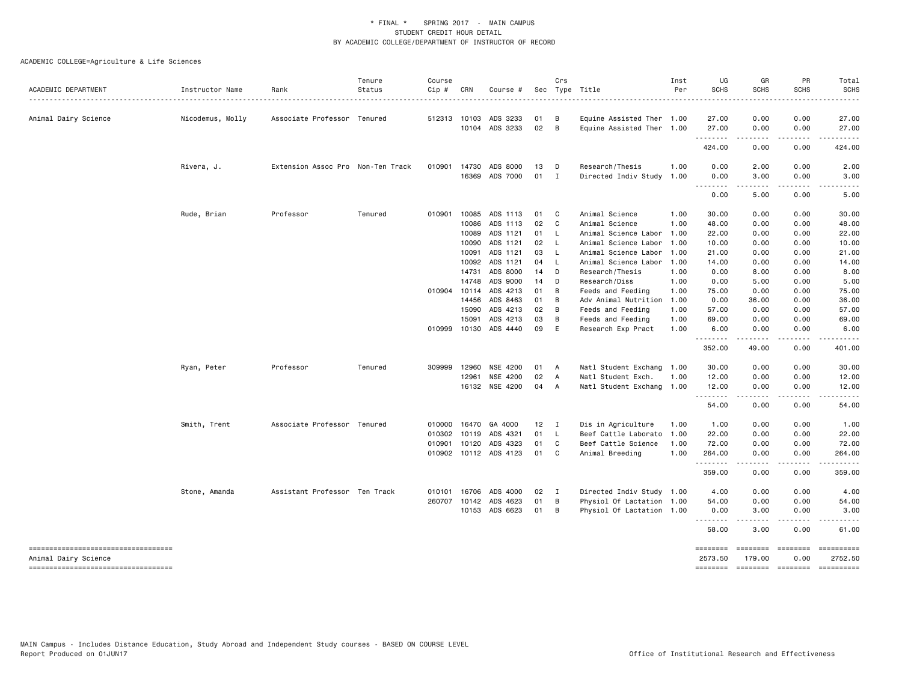| ACADEMIC DEPARTMENT                                        | Instructor Name  | Rank                              | Tenure<br>Status | Course<br>Cip # | CRN          | Course #              |                 | Crs            | Sec Type Title            | Inst<br>Per | UG<br><b>SCHS</b>   | GR<br><b>SCHS</b>                                                                                                                                                                                                                                                                                                                                                                                                                                                                              | PR<br>SCHS                                                                                                                                                                                                                                                                | Total<br><b>SCHS</b>                                                                                                                                                                                                                                                                                                                                                                                                                           |
|------------------------------------------------------------|------------------|-----------------------------------|------------------|-----------------|--------------|-----------------------|-----------------|----------------|---------------------------|-------------|---------------------|------------------------------------------------------------------------------------------------------------------------------------------------------------------------------------------------------------------------------------------------------------------------------------------------------------------------------------------------------------------------------------------------------------------------------------------------------------------------------------------------|---------------------------------------------------------------------------------------------------------------------------------------------------------------------------------------------------------------------------------------------------------------------------|------------------------------------------------------------------------------------------------------------------------------------------------------------------------------------------------------------------------------------------------------------------------------------------------------------------------------------------------------------------------------------------------------------------------------------------------|
|                                                            |                  |                                   |                  |                 |              |                       |                 |                |                           |             |                     |                                                                                                                                                                                                                                                                                                                                                                                                                                                                                                |                                                                                                                                                                                                                                                                           |                                                                                                                                                                                                                                                                                                                                                                                                                                                |
| Animal Dairy Science                                       | Nicodemus, Molly | Associate Professor Tenured       |                  |                 | 512313 10103 | ADS 3233              | 01              | B              | Equine Assisted Ther 1.00 |             | 27.00               | 0.00                                                                                                                                                                                                                                                                                                                                                                                                                                                                                           | 0.00                                                                                                                                                                                                                                                                      | 27.00                                                                                                                                                                                                                                                                                                                                                                                                                                          |
|                                                            |                  |                                   |                  |                 | 10104        | ADS 3233              | 02              | B              | Equine Assisted Ther 1.00 |             | 27.00<br>.          | 0.00<br>.                                                                                                                                                                                                                                                                                                                                                                                                                                                                                      | 0.00<br>$\cdots$                                                                                                                                                                                                                                                          | 27.00<br>.                                                                                                                                                                                                                                                                                                                                                                                                                                     |
|                                                            |                  |                                   |                  |                 |              |                       |                 |                |                           |             | 424.00              | 0.00                                                                                                                                                                                                                                                                                                                                                                                                                                                                                           | 0.00                                                                                                                                                                                                                                                                      | 424.00                                                                                                                                                                                                                                                                                                                                                                                                                                         |
|                                                            | Rivera, J.       | Extension Assoc Pro Non-Ten Track |                  |                 | 010901 14730 | ADS 8000              | 13              | D              | Research/Thesis           | 1.00        | 0.00                | 2.00                                                                                                                                                                                                                                                                                                                                                                                                                                                                                           | 0.00                                                                                                                                                                                                                                                                      | 2.00                                                                                                                                                                                                                                                                                                                                                                                                                                           |
|                                                            |                  |                                   |                  |                 | 16369        | ADS 7000              | $01$ I          |                | Directed Indiv Study 1.00 |             | 0.00<br>--------    | 3.00<br>$\begin{array}{cccccccccccccc} \multicolumn{2}{c}{} & \multicolumn{2}{c}{} & \multicolumn{2}{c}{} & \multicolumn{2}{c}{} & \multicolumn{2}{c}{} & \multicolumn{2}{c}{} & \multicolumn{2}{c}{} & \multicolumn{2}{c}{} & \multicolumn{2}{c}{} & \multicolumn{2}{c}{} & \multicolumn{2}{c}{} & \multicolumn{2}{c}{} & \multicolumn{2}{c}{} & \multicolumn{2}{c}{} & \multicolumn{2}{c}{} & \multicolumn{2}{c}{} & \multicolumn{2}{c}{} & \multicolumn{2}{c}{} & \multicolumn{2}{c}{} & \$ | 0.00<br>-----                                                                                                                                                                                                                                                             | 3.00<br>$\cdots \cdots \cdots$                                                                                                                                                                                                                                                                                                                                                                                                                 |
|                                                            |                  |                                   |                  |                 |              |                       |                 |                |                           |             | 0.00                | 5.00                                                                                                                                                                                                                                                                                                                                                                                                                                                                                           | 0.00                                                                                                                                                                                                                                                                      | 5.00                                                                                                                                                                                                                                                                                                                                                                                                                                           |
|                                                            | Rude, Brian      | Professor                         | Tenured          | 010901          | 10085        | ADS 1113              | 01              | $\mathbf{C}$   | Animal Science            | 1.00        | 30.00               | 0.00                                                                                                                                                                                                                                                                                                                                                                                                                                                                                           | 0.00                                                                                                                                                                                                                                                                      | 30.00                                                                                                                                                                                                                                                                                                                                                                                                                                          |
|                                                            |                  |                                   |                  |                 | 10086        | ADS 1113              | 02 C            |                | Animal Science            | 1.00        | 48.00               | 0.00                                                                                                                                                                                                                                                                                                                                                                                                                                                                                           | 0.00                                                                                                                                                                                                                                                                      | 48.00                                                                                                                                                                                                                                                                                                                                                                                                                                          |
|                                                            |                  |                                   |                  |                 | 10089        | ADS 1121              | 01 L            |                | Animal Science Labor      | 1.00        | 22.00               | 0.00                                                                                                                                                                                                                                                                                                                                                                                                                                                                                           | 0.00                                                                                                                                                                                                                                                                      | 22.00                                                                                                                                                                                                                                                                                                                                                                                                                                          |
|                                                            |                  |                                   |                  |                 | 10090        | ADS 1121              | 02              | - L            | Animal Science Labor      | 1.00        | 10.00               | 0.00                                                                                                                                                                                                                                                                                                                                                                                                                                                                                           | 0.00                                                                                                                                                                                                                                                                      | 10.00                                                                                                                                                                                                                                                                                                                                                                                                                                          |
|                                                            |                  |                                   |                  |                 | 10091        | ADS 1121              | 03              | - L            | Animal Science Labor      | 1.00        | 21.00               | 0.00                                                                                                                                                                                                                                                                                                                                                                                                                                                                                           | 0.00                                                                                                                                                                                                                                                                      | 21.00                                                                                                                                                                                                                                                                                                                                                                                                                                          |
|                                                            |                  |                                   |                  |                 | 10092        | ADS 1121              | 04              | - L            | Animal Science Labor      | 1.00        | 14.00               | 0.00                                                                                                                                                                                                                                                                                                                                                                                                                                                                                           | 0.00                                                                                                                                                                                                                                                                      | 14.00                                                                                                                                                                                                                                                                                                                                                                                                                                          |
|                                                            |                  |                                   |                  |                 | 14731        | ADS 8000              | 14              | D              | Research/Thesis           | 1.00        | 0.00                | 8.00                                                                                                                                                                                                                                                                                                                                                                                                                                                                                           | 0.00                                                                                                                                                                                                                                                                      | 8.00                                                                                                                                                                                                                                                                                                                                                                                                                                           |
|                                                            |                  |                                   |                  |                 | 14748        | ADS 9000              | 14              | D              | Research/Diss             | 1.00        | 0.00                | 5.00                                                                                                                                                                                                                                                                                                                                                                                                                                                                                           | 0.00                                                                                                                                                                                                                                                                      | 5.00                                                                                                                                                                                                                                                                                                                                                                                                                                           |
|                                                            |                  |                                   |                  |                 | 010904 10114 | ADS 4213              | 01              | B              | Feeds and Feeding         | 1.00        | 75.00               | 0.00                                                                                                                                                                                                                                                                                                                                                                                                                                                                                           | 0.00                                                                                                                                                                                                                                                                      | 75.00                                                                                                                                                                                                                                                                                                                                                                                                                                          |
|                                                            |                  |                                   |                  |                 | 14456        | ADS 8463              | 01              | B              | Adv Animal Nutrition      | 1.00        | 0.00                | 36.00                                                                                                                                                                                                                                                                                                                                                                                                                                                                                          | 0.00                                                                                                                                                                                                                                                                      | 36.00                                                                                                                                                                                                                                                                                                                                                                                                                                          |
|                                                            |                  |                                   |                  |                 | 15090        | ADS 4213              | 02              | $\overline{B}$ | Feeds and Feeding         | 1.00        | 57.00               | 0.00                                                                                                                                                                                                                                                                                                                                                                                                                                                                                           | 0.00                                                                                                                                                                                                                                                                      | 57.00                                                                                                                                                                                                                                                                                                                                                                                                                                          |
|                                                            |                  |                                   |                  |                 | 15091        | ADS 4213              | 03              | B              | Feeds and Feeding         | 1.00        | 69.00               | 0.00                                                                                                                                                                                                                                                                                                                                                                                                                                                                                           | 0.00                                                                                                                                                                                                                                                                      | 69.00                                                                                                                                                                                                                                                                                                                                                                                                                                          |
|                                                            |                  |                                   |                  |                 | 010999 10130 | ADS 4440              | 09              | E              | Research Exp Pract        | 1.00        | 6.00<br>--------    | 0.00<br>.                                                                                                                                                                                                                                                                                                                                                                                                                                                                                      | 0.00<br>.                                                                                                                                                                                                                                                                 | 6.00<br>.                                                                                                                                                                                                                                                                                                                                                                                                                                      |
|                                                            |                  |                                   |                  |                 |              |                       |                 |                |                           |             | 352.00              | 49.00                                                                                                                                                                                                                                                                                                                                                                                                                                                                                          | 0.00                                                                                                                                                                                                                                                                      | 401.00                                                                                                                                                                                                                                                                                                                                                                                                                                         |
|                                                            | Ryan, Peter      | Professor                         | Tenured          | 309999          | 12960        | NSE 4200              | 01              | A              | Natl Student Exchang 1.00 |             | 30.00               | 0.00                                                                                                                                                                                                                                                                                                                                                                                                                                                                                           | 0.00                                                                                                                                                                                                                                                                      | 30.00                                                                                                                                                                                                                                                                                                                                                                                                                                          |
|                                                            |                  |                                   |                  |                 | 12961        | NSE 4200              | 02              | A              | Natl Student Exch.        | 1.00        | 12.00               | 0.00                                                                                                                                                                                                                                                                                                                                                                                                                                                                                           | 0.00                                                                                                                                                                                                                                                                      | 12.00                                                                                                                                                                                                                                                                                                                                                                                                                                          |
|                                                            |                  |                                   |                  |                 |              | 16132 NSE 4200        | 04 A            |                | Natl Student Exchang 1.00 |             | 12.00<br>.          | 0.00<br>.                                                                                                                                                                                                                                                                                                                                                                                                                                                                                      | 0.00<br>-----                                                                                                                                                                                                                                                             | 12.00<br>.                                                                                                                                                                                                                                                                                                                                                                                                                                     |
|                                                            |                  |                                   |                  |                 |              |                       |                 |                |                           |             | 54.00               | 0.00                                                                                                                                                                                                                                                                                                                                                                                                                                                                                           | 0.00                                                                                                                                                                                                                                                                      | 54.00                                                                                                                                                                                                                                                                                                                                                                                                                                          |
|                                                            | Smith, Trent     | Associate Professor Tenured       |                  | 010000          | 16470        | GA 4000               | 12 <sub>2</sub> | $\mathbf{I}$   | Dis in Agriculture        | 1.00        | 1.00                | 0.00                                                                                                                                                                                                                                                                                                                                                                                                                                                                                           | 0.00                                                                                                                                                                                                                                                                      | 1.00                                                                                                                                                                                                                                                                                                                                                                                                                                           |
|                                                            |                  |                                   |                  | 010302          | 10119        | ADS 4321              | 01              | - L            | Beef Cattle Laborato      | 1.00        | 22.00               | 0.00                                                                                                                                                                                                                                                                                                                                                                                                                                                                                           | 0.00                                                                                                                                                                                                                                                                      | 22.00                                                                                                                                                                                                                                                                                                                                                                                                                                          |
|                                                            |                  |                                   |                  |                 | 010901 10120 | ADS 4323              | 01              | $\mathbf{C}$   | Beef Cattle Science       | 1.00        | 72.00               | 0.00                                                                                                                                                                                                                                                                                                                                                                                                                                                                                           | 0.00                                                                                                                                                                                                                                                                      | 72.00                                                                                                                                                                                                                                                                                                                                                                                                                                          |
|                                                            |                  |                                   |                  |                 |              | 010902 10112 ADS 4123 | 01              | C.             | Animal Breeding           | 1.00        | 264.00<br>.         | 0.00<br>.                                                                                                                                                                                                                                                                                                                                                                                                                                                                                      | 0.00<br>.                                                                                                                                                                                                                                                                 | 264.00<br>.                                                                                                                                                                                                                                                                                                                                                                                                                                    |
|                                                            |                  |                                   |                  |                 |              |                       |                 |                |                           |             | 359.00              | 0.00                                                                                                                                                                                                                                                                                                                                                                                                                                                                                           | 0.00                                                                                                                                                                                                                                                                      | 359.00                                                                                                                                                                                                                                                                                                                                                                                                                                         |
|                                                            | Stone, Amanda    | Assistant Professor Ten Track     |                  | 010101          | 16706        | ADS 4000              | 02              | $\blacksquare$ | Directed Indiv Study 1.00 |             | 4.00                | 0.00                                                                                                                                                                                                                                                                                                                                                                                                                                                                                           | 0.00                                                                                                                                                                                                                                                                      | 4.00                                                                                                                                                                                                                                                                                                                                                                                                                                           |
|                                                            |                  |                                   |                  |                 | 260707 10142 | ADS 4623              | 01              | B              | Physiol Of Lactation 1.00 |             | 54.00               | 0.00                                                                                                                                                                                                                                                                                                                                                                                                                                                                                           | 0.00                                                                                                                                                                                                                                                                      | 54.00                                                                                                                                                                                                                                                                                                                                                                                                                                          |
|                                                            |                  |                                   |                  |                 | 10153        | ADS 6623              | 01              | B              | Physiol Of Lactation 1.00 |             | 0.00<br>.           | 3.00                                                                                                                                                                                                                                                                                                                                                                                                                                                                                           | 0.00                                                                                                                                                                                                                                                                      | 3.00                                                                                                                                                                                                                                                                                                                                                                                                                                           |
|                                                            |                  |                                   |                  |                 |              |                       |                 |                |                           |             | 58.00               | 3.00                                                                                                                                                                                                                                                                                                                                                                                                                                                                                           | 0.00                                                                                                                                                                                                                                                                      | 61.00                                                                                                                                                                                                                                                                                                                                                                                                                                          |
| ----------------------------------<br>Animal Dairy Science |                  |                                   |                  |                 |              |                       |                 |                |                           |             | ========<br>2573.50 | ========<br>179.00                                                                                                                                                                                                                                                                                                                                                                                                                                                                             | $\begin{array}{ccc}\n 2.555555567 & 2.555567 & 2.55567 & 2.55567 & 2.55567 & 2.55567 & 2.55567 & 2.55567 & 2.55567 & 2.55567 & 2.55567 & 2.55567 & 2.55567 & 2.55567 & 2.55567 & 2.55567 & 2.55567 & 2.55567 & 2.55567 & 2.55567 & 2.55567 & 2.55567 & 2.55567 &$<br>0.00 | $\begin{minipage}{0.9\linewidth} \hspace*{-0.2cm} \textbf{1} & \textbf{2} & \textbf{3} & \textbf{5} & \textbf{6} & \textbf{7} & \textbf{8} \\ \textbf{1} & \textbf{2} & \textbf{3} & \textbf{5} & \textbf{5} & \textbf{7} & \textbf{8} & \textbf{8} \\ \textbf{3} & \textbf{4} & \textbf{5} & \textbf{5} & \textbf{6} & \textbf{7} & \textbf{8} & \textbf{9} & \textbf{1} \\ \textbf{5} & \textbf{5} & \textbf{6} & \textbf{7} & \$<br>2752.50 |
| =====================================                      |                  |                                   |                  |                 |              |                       |                 |                |                           |             | ========            |                                                                                                                                                                                                                                                                                                                                                                                                                                                                                                |                                                                                                                                                                                                                                                                           | ==========                                                                                                                                                                                                                                                                                                                                                                                                                                     |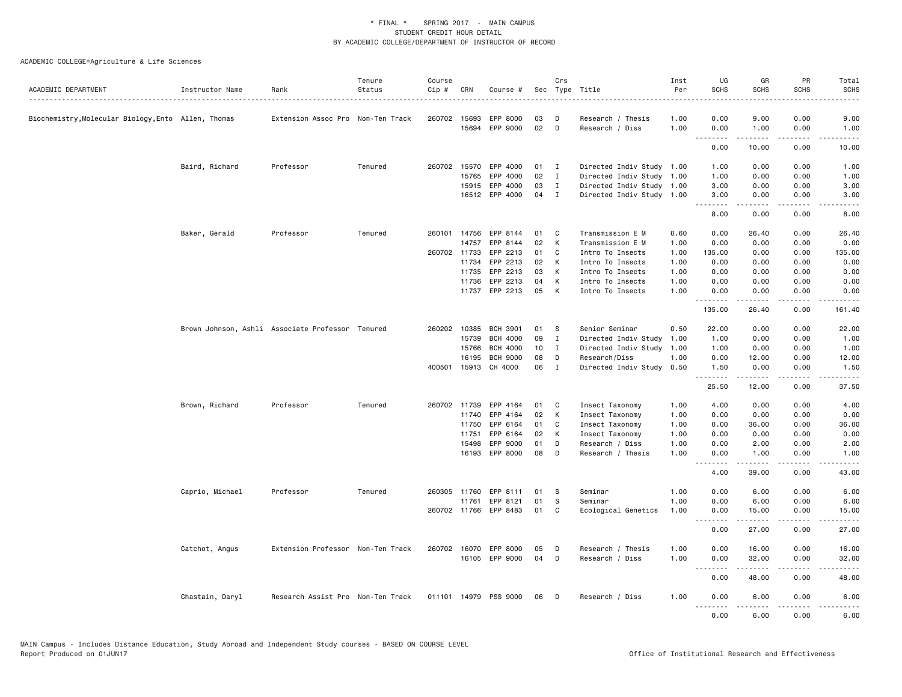|                                                     |                 |                                                  | Tenure  | Course |                       |                            |          | Crs                          |                                                        | Inst         | UG               | GR                    | PR                    | Total                                                                                                                              |
|-----------------------------------------------------|-----------------|--------------------------------------------------|---------|--------|-----------------------|----------------------------|----------|------------------------------|--------------------------------------------------------|--------------|------------------|-----------------------|-----------------------|------------------------------------------------------------------------------------------------------------------------------------|
| ACADEMIC DEPARTMENT                                 | Instructor Name | Rank                                             | Status  | Cip #  | CRN                   | Course #                   |          |                              | Sec Type Title                                         | Per          | <b>SCHS</b>      | <b>SCHS</b>           | <b>SCHS</b>           | <b>SCHS</b>                                                                                                                        |
| Biochemistry, Molecular Biology, Ento Allen, Thomas |                 | Extension Assoc Pro Non-Ten Track                |         |        | 260702 15693          | EPP 8000                   | 03       | D                            | Research / Thesis                                      | 1.00         | 0.00             | 9.00                  | 0.00                  | 9.00                                                                                                                               |
|                                                     |                 |                                                  |         |        | 15694                 | EPP 9000                   | 02       | D                            | Research / Diss                                        | 1.00         | 0.00             | 1.00                  | 0.00                  | 1.00                                                                                                                               |
|                                                     |                 |                                                  |         |        |                       |                            |          |                              |                                                        |              | .<br>0.00        | .<br>10.00            | $\frac{1}{2}$<br>0.00 | 10.00                                                                                                                              |
|                                                     |                 |                                                  |         |        |                       |                            |          |                              |                                                        |              |                  |                       |                       |                                                                                                                                    |
|                                                     | Baird, Richard  | Professor                                        | Tenured |        | 260702 15570<br>15765 | EPP 4000<br>EPP 4000       | 01<br>02 | $\mathbf{I}$<br>$\mathbf{I}$ | Directed Indiv Study 1.00<br>Directed Indiv Study 1.00 |              | 1.00<br>1.00     | 0.00<br>0.00          | 0.00<br>0.00          | 1.00                                                                                                                               |
|                                                     |                 |                                                  |         |        | 15915                 | EPP 4000                   | 03       | $\mathbf{I}$                 |                                                        |              | 3.00             | 0.00                  | 0.00                  | 1.00                                                                                                                               |
|                                                     |                 |                                                  |         |        |                       | 16512 EPP 4000             | 04       | $\mathbf{I}$                 | Directed Indiv Study 1.00<br>Directed Indiv Study 1.00 |              | 3.00             | 0.00                  | 0.00                  | 3.00<br>3.00                                                                                                                       |
|                                                     |                 |                                                  |         |        |                       |                            |          |                              |                                                        |              | <b></b><br>8.00  | $- - - - -$<br>0.00   | .<br>0.00             | $\frac{1}{2}$<br>8.00                                                                                                              |
|                                                     |                 |                                                  |         |        |                       |                            |          |                              |                                                        |              |                  |                       |                       |                                                                                                                                    |
|                                                     | Baker, Gerald   | Professor                                        | Tenured |        | 260101 14756          | EPP 8144                   | 01       | C                            | Transmission E M                                       | 0.60         | 0.00             | 26.40                 | 0.00                  | 26.40                                                                                                                              |
|                                                     |                 |                                                  |         |        | 14757                 | EPP 8144                   | 02       | К                            | Transmission E M                                       | 1.00         | 0.00             | 0.00                  | 0.00                  | 0.00                                                                                                                               |
|                                                     |                 |                                                  |         |        | 260702 11733          | EPP 2213                   | 01       | C                            | Intro To Insects                                       | 1.00         | 135.00           | 0.00                  | 0.00                  | 135.00                                                                                                                             |
|                                                     |                 |                                                  |         |        | 11734                 | EPP 2213                   | 02       | К                            | Intro To Insects                                       | 1.00         | 0.00             | 0.00                  | 0.00                  | 0.00                                                                                                                               |
|                                                     |                 |                                                  |         |        | 11735                 | EPP 2213                   | 03       | к                            | Intro To Insects                                       | 1.00         | 0.00             | 0.00                  | 0.00                  | 0.00                                                                                                                               |
|                                                     |                 |                                                  |         |        | 11736                 | EPP 2213<br>11737 EPP 2213 | 04<br>05 | К<br>K                       | Intro To Insects<br>Intro To Insects                   | 1.00<br>1.00 | 0.00<br>0.00     | 0.00<br>0.00          | 0.00<br>0.00          | 0.00<br>0.00                                                                                                                       |
|                                                     |                 |                                                  |         |        |                       |                            |          |                              |                                                        |              | .                | .                     | .                     | .                                                                                                                                  |
|                                                     |                 |                                                  |         |        |                       |                            |          |                              |                                                        |              | 135.00           | 26.40                 | 0.00                  | 161.40                                                                                                                             |
|                                                     |                 | Brown Johnson, Ashli Associate Professor Tenured |         |        | 260202 10385          | <b>BCH 3901</b>            | 01       | S                            | Senior Seminar                                         | 0.50         | 22.00            | 0.00                  | 0.00                  | 22.00                                                                                                                              |
|                                                     |                 |                                                  |         |        | 15739                 | <b>BCH 4000</b>            | 09       | I                            | Directed Indiv Study                                   | 1.00         | 1.00             | 0.00                  | 0.00                  | 1.00                                                                                                                               |
|                                                     |                 |                                                  |         |        | 15766                 | <b>BCH 4000</b>            | 10       | I                            | Directed Indiv Study                                   | 1.00         | 1.00             | 0.00                  | 0.00                  | 1.00                                                                                                                               |
|                                                     |                 |                                                  |         |        | 16195                 | <b>BCH 9000</b>            | 08       | D                            | Research/Diss                                          | 1.00         | 0.00             | 12.00                 | 0.00                  | 12.00                                                                                                                              |
|                                                     |                 |                                                  |         |        | 400501 15913          | CH 4000                    | 06       | $\mathbf{I}$                 | Directed Indiv Study                                   | 0.50         | 1.50<br>.        | 0.00<br>.             | 0.00                  | 1.50                                                                                                                               |
|                                                     |                 |                                                  |         |        |                       |                            |          |                              |                                                        |              | 25.50            | 12.00                 | 0.00                  | 37.50                                                                                                                              |
|                                                     | Brown, Richard  | Professor                                        | Tenured |        | 260702 11739          | EPP 4164                   | 01       | C                            | Insect Taxonomy                                        | 1.00         | 4.00             | 0.00                  | 0.00                  | 4.00                                                                                                                               |
|                                                     |                 |                                                  |         |        | 11740                 | EPP 4164                   | 02       | K                            | Insect Taxonomy                                        | 1.00         | 0.00             | 0.00                  | 0.00                  | 0.00                                                                                                                               |
|                                                     |                 |                                                  |         |        | 11750                 | EPP 6164                   | 01       | C                            | Insect Taxonomy                                        | 1.00         | 0.00             | 36.00                 | 0.00                  | 36.00                                                                                                                              |
|                                                     |                 |                                                  |         |        | 11751                 | EPP 6164                   | 02       | К                            | Insect Taxonomy                                        | 1.00         | 0.00             | 0.00                  | 0.00                  | 0.00                                                                                                                               |
|                                                     |                 |                                                  |         |        | 15498                 | EPP 9000                   | 01       | D                            | Research / Diss                                        | 1.00         | 0.00             | 2.00                  | 0.00                  | 2.00                                                                                                                               |
|                                                     |                 |                                                  |         |        | 16193                 | EPP 8000                   | 08       | D                            | Research / Thesis                                      | 1.00         | 0.00<br>.        | 1.00                  | 0.00                  | 1.00                                                                                                                               |
|                                                     |                 |                                                  |         |        |                       |                            |          |                              |                                                        |              | 4.00             | 39.00                 | 0.00                  | 43.00                                                                                                                              |
|                                                     | Caprio, Michael | Professor                                        | Tenured |        | 260305 11760          | EPP 8111                   | 01       | -S                           | Seminar                                                | 1.00         | 0.00             | 6.00                  | 0.00                  | 6.00                                                                                                                               |
|                                                     |                 |                                                  |         |        | 11761                 | EPP 8121                   | 01       | S                            | Seminar                                                | 1.00         | 0.00             | 6.00                  | 0.00                  | 6.00                                                                                                                               |
|                                                     |                 |                                                  |         |        | 260702 11766          | EPP 8483                   | 01       | C                            | Ecological Genetics                                    | 1.00         | 0.00             | 15.00                 | 0.00                  | 15.00                                                                                                                              |
|                                                     |                 |                                                  |         |        |                       |                            |          |                              |                                                        |              | .<br>0.00        | .<br>27.00            | .<br>0.00             | .<br>27.00                                                                                                                         |
|                                                     | Catchot, Angus  | Extension Professor Non-Ten Track                |         |        |                       | 260702 16070 EPP 8000      | 05       | D                            | Research / Thesis                                      | 1.00         | 0.00             | 16.00                 | 0.00                  | 16.00                                                                                                                              |
|                                                     |                 |                                                  |         |        |                       | 16105 EPP 9000             | 04       | D                            | Research / Diss                                        | 1.00         | 0.00             | 32.00<br>.            | 0.00<br>$   -$        | 32.00<br>$\frac{1}{2} \left( \frac{1}{2} \right) \left( \frac{1}{2} \right) \left( \frac{1}{2} \right) \left( \frac{1}{2} \right)$ |
|                                                     |                 |                                                  |         |        |                       |                            |          |                              |                                                        |              | .<br>0.00        | 48.00                 | 0.00                  | 48.00                                                                                                                              |
|                                                     | Chastain, Daryl | Research Assist Pro Non-Ten Track                |         |        |                       | 011101 14979 PSS 9000      | 06       | D                            | Research / Diss                                        | 1.00         | 0.00<br><u>.</u> | 6.00<br>$\frac{1}{2}$ | 0.00<br>.             | 6.00<br>$\frac{1}{2}$                                                                                                              |
|                                                     |                 |                                                  |         |        |                       |                            |          |                              |                                                        |              | 0.00             | 6.00                  | 0.00                  | 6.00                                                                                                                               |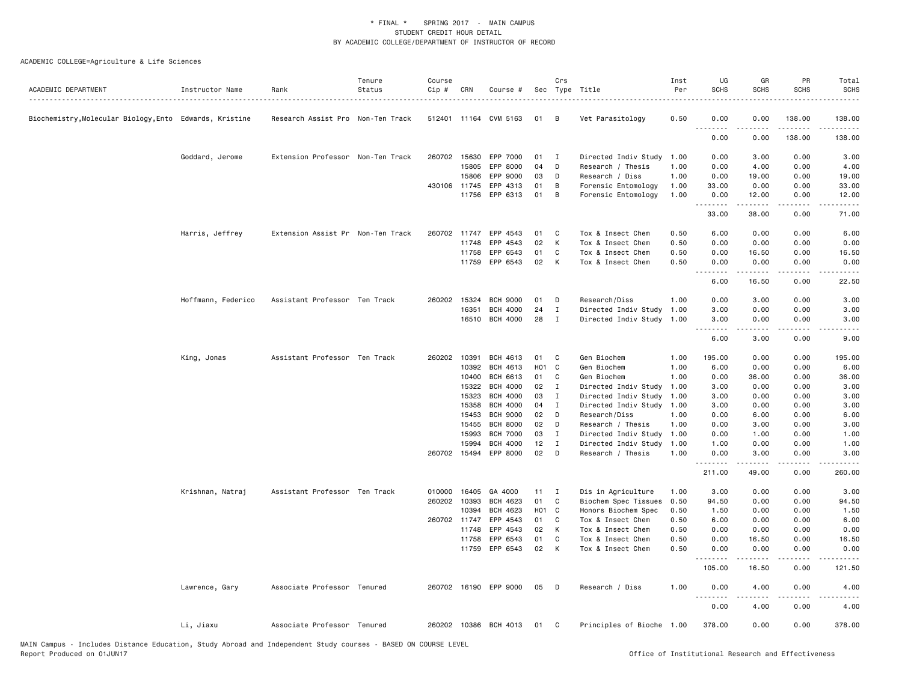| ACADEMIC DEPARTMENT                                     | Instructor Name    | Rank                              | Tenure<br>Status | Course<br>Cip # | CRN          | Course #              |                   | Crs          | Sec Type Title            | Inst<br>Per | UG<br><b>SCHS</b>  | GR<br><b>SCHS</b>                                                                                                                                            | PR<br><b>SCHS</b> | Total<br><b>SCHS</b>                                                                                                              |
|---------------------------------------------------------|--------------------|-----------------------------------|------------------|-----------------|--------------|-----------------------|-------------------|--------------|---------------------------|-------------|--------------------|--------------------------------------------------------------------------------------------------------------------------------------------------------------|-------------------|-----------------------------------------------------------------------------------------------------------------------------------|
| Biochemistry, Molecular Biology, Ento Edwards, Kristine |                    | Research Assist Pro Non-Ten Track |                  |                 |              | 512401 11164 CVM 5163 | 01                | B            | Vet Parasitology          | 0.50        | 0.00               | 0.00                                                                                                                                                         | 138.00            | 138.00                                                                                                                            |
|                                                         |                    |                                   |                  |                 |              |                       |                   |              |                           |             | - - -<br>.<br>0.00 | 0.00                                                                                                                                                         | 138.00            | 138.00                                                                                                                            |
|                                                         | Goddard, Jerome    | Extension Professor Non-Ten Track |                  |                 | 260702 15630 | EPP 7000              | 01                | $\mathbf{I}$ | Directed Indiv Study      | 1.00        | 0.00               | 3.00                                                                                                                                                         | 0.00              | 3.00                                                                                                                              |
|                                                         |                    |                                   |                  |                 | 15805        | EPP 8000              | 04                | D            | Research / Thesis         | 1.00        | 0.00               | 4.00                                                                                                                                                         | 0.00              | 4.00                                                                                                                              |
|                                                         |                    |                                   |                  |                 | 15806        | EPP 9000              | 03                | D            | Research / Diss           | 1.00        | 0.00               | 19.00                                                                                                                                                        | 0.00              | 19.00                                                                                                                             |
|                                                         |                    |                                   |                  |                 | 430106 11745 | EPP 4313              | 01                | B            | Forensic Entomology       | 1.00        | 33.00              | 0.00                                                                                                                                                         | 0.00              | 33.00                                                                                                                             |
|                                                         |                    |                                   |                  |                 | 11756        | EPP 6313              | 01                | B            | Forensic Entomology       | 1.00        | 0.00<br>.          | 12.00                                                                                                                                                        | 0.00              | 12.00                                                                                                                             |
|                                                         |                    |                                   |                  |                 |              |                       |                   |              |                           |             | 33.00              | 38.00                                                                                                                                                        | 0.00              | 71.00                                                                                                                             |
|                                                         | Harris, Jeffrey    | Extension Assist Pr Non-Ten Track |                  |                 | 260702 11747 | EPP 4543              | 01                | C            | Tox & Insect Chem         | 0.50        | 6.00               | 0.00                                                                                                                                                         | 0.00              | 6.00                                                                                                                              |
|                                                         |                    |                                   |                  |                 | 11748        | EPP 4543              | 02                | K            | Tox & Insect Chem         | 0.50        | 0.00               | 0.00                                                                                                                                                         | 0.00              | 0.00                                                                                                                              |
|                                                         |                    |                                   |                  |                 | 11758        | EPP 6543              | 01                | C            | Tox & Insect Chem         | 0.50        | 0.00               | 16.50                                                                                                                                                        | 0.00              | 16.50                                                                                                                             |
|                                                         |                    |                                   |                  |                 | 11759        | EPP 6543              | 02                | $\mathsf{K}$ | Tox & Insect Chem         | 0.50        | 0.00<br><u>.</u>   | 0.00                                                                                                                                                         | 0.00              | 0.00                                                                                                                              |
|                                                         |                    |                                   |                  |                 |              |                       |                   |              |                           |             | 6.00               | 16.50                                                                                                                                                        | 0.00              | 22.50                                                                                                                             |
|                                                         | Hoffmann, Federico | Assistant Professor Ten Track     |                  | 260202          | 15324        | <b>BCH 9000</b>       | 01                | D            | Research/Diss             | 1.00        | 0.00               | 3.00                                                                                                                                                         | 0.00              | 3.00                                                                                                                              |
|                                                         |                    |                                   |                  |                 | 16351        | <b>BCH 4000</b>       | 24                | I            | Directed Indiv Study      | 1.00        | 3.00               | 0.00                                                                                                                                                         | 0.00              | 3.00                                                                                                                              |
|                                                         |                    |                                   |                  |                 |              | 16510 BCH 4000        | 28                | $\mathbf{I}$ | Directed Indiv Study 1.00 |             | 3.00<br>.          | 0.00<br>$\frac{1}{2} \left( \frac{1}{2} \right) \left( \frac{1}{2} \right) \left( \frac{1}{2} \right) \left( \frac{1}{2} \right) \left( \frac{1}{2} \right)$ | 0.00<br>.         | 3.00                                                                                                                              |
|                                                         |                    |                                   |                  |                 |              |                       |                   |              |                           |             | 6.00               | 3.00                                                                                                                                                         | 0.00              | $\frac{1}{2} \left( \frac{1}{2} \right) \left( \frac{1}{2} \right) \left( \frac{1}{2} \right) \left( \frac{1}{2} \right)$<br>9.00 |
|                                                         | King, Jonas        | Assistant Professor Ten Track     |                  |                 | 260202 10391 | <b>BCH 4613</b>       | 01                | C            | Gen Biochem               | 1.00        | 195.00             | 0.00                                                                                                                                                         | 0.00              | 195.00                                                                                                                            |
|                                                         |                    |                                   |                  |                 | 10392        | <b>BCH 4613</b>       | H <sub>01</sub> C |              | Gen Biochem               | 1.00        | 6.00               | 0.00                                                                                                                                                         | 0.00              | 6.00                                                                                                                              |
|                                                         |                    |                                   |                  |                 | 10400        | <b>BCH 6613</b>       | 01                | C            | Gen Biochem               | 1.00        | 0.00               | 36.00                                                                                                                                                        | 0.00              | 36.00                                                                                                                             |
|                                                         |                    |                                   |                  |                 | 15322        | <b>BCH 4000</b>       | 02                | $\mathbf I$  | Directed Indiv Study      | 1.00        | 3.00               | 0.00                                                                                                                                                         | 0.00              | 3.00                                                                                                                              |
|                                                         |                    |                                   |                  |                 | 15323        | <b>BCH 4000</b>       | 03                | I            | Directed Indiv Study      | 1.00        | 3.00               | 0.00                                                                                                                                                         | 0.00              | 3.00                                                                                                                              |
|                                                         |                    |                                   |                  |                 | 15358        | <b>BCH 4000</b>       | 04                | I            | Directed Indiv Study      | 1.00        | 3.00               | 0.00                                                                                                                                                         | 0.00              | 3.00                                                                                                                              |
|                                                         |                    |                                   |                  |                 | 15453        | <b>BCH 9000</b>       | 02                | D            | Research/Diss             | 1.00        | 0.00               | 6.00                                                                                                                                                         | 0.00              | 6.00                                                                                                                              |
|                                                         |                    |                                   |                  |                 | 15455        | <b>BCH 8000</b>       | 02                | D            | Research / Thesis         | 1.00        | 0.00               | 3.00                                                                                                                                                         | 0.00              | 3.00                                                                                                                              |
|                                                         |                    |                                   |                  |                 | 15993        | <b>BCH 7000</b>       | 03                | $\bf{I}$     | Directed Indiv Study      | 1.00        | 0.00               | 1.00                                                                                                                                                         | 0.00              | 1.00                                                                                                                              |
|                                                         |                    |                                   |                  |                 | 15994        | <b>BCH 4000</b>       | 12                | $\mathbf{I}$ | Directed Indiv Study 1.00 |             | 1.00               | 0.00                                                                                                                                                         | 0.00              | 1.00                                                                                                                              |
|                                                         |                    |                                   |                  |                 | 260702 15494 | EPP 8000              | 02                | D            | Research / Thesis         | 1.00        | 0.00<br><u>.</u>   | 3.00                                                                                                                                                         | 0.00<br>.         | 3.00                                                                                                                              |
|                                                         |                    |                                   |                  |                 |              |                       |                   |              |                           |             | 211.00             | 49.00                                                                                                                                                        | 0.00              | 260.00                                                                                                                            |
|                                                         | Krishnan, Natraj   | Assistant Professor Ten Track     |                  |                 | 010000 16405 | GA 4000               | 11                | $\mathbf{I}$ | Dis in Agriculture        | 1.00        | 3.00               | 0.00                                                                                                                                                         | 0.00              | 3.00                                                                                                                              |
|                                                         |                    |                                   |                  | 260202          | 10393        | BCH 4623              | 01                | C            | Biochem Spec Tissues      | 0.50        | 94.50              | 0.00                                                                                                                                                         | 0.00              | 94.50                                                                                                                             |
|                                                         |                    |                                   |                  |                 | 10394        | BCH 4623              | H01 C             |              | Honors Biochem Spec       | 0.50        | 1.50               | 0.00                                                                                                                                                         | 0.00              | 1.50                                                                                                                              |
|                                                         |                    |                                   |                  |                 | 260702 11747 | EPP 4543              | 01                | C            | Tox & Insect Chem         | 0.50        | 6.00               | 0.00                                                                                                                                                         | 0.00              | 6.00                                                                                                                              |
|                                                         |                    |                                   |                  |                 | 11748        | EPP 4543              | 02                | K            | Tox & Insect Chem         | 0.50        | 0.00               | 0.00                                                                                                                                                         | 0.00              | 0.00                                                                                                                              |
|                                                         |                    |                                   |                  |                 | 11758        | EPP 6543              | 01                | C            | Tox & Insect Chem         | 0.50        | 0.00               | 16.50                                                                                                                                                        | 0.00              | 16.50                                                                                                                             |
|                                                         |                    |                                   |                  |                 | 11759        | EPP 6543              | 02                | K            | Tox & Insect Chem         | 0.50        | 0.00<br>.          | 0.00<br>$\frac{1}{2} \left( \frac{1}{2} \right) \left( \frac{1}{2} \right) \left( \frac{1}{2} \right) \left( \frac{1}{2} \right) \left( \frac{1}{2} \right)$ | 0.00              | 0.00                                                                                                                              |
|                                                         |                    |                                   |                  |                 |              |                       |                   |              |                           |             | 105.00             | 16.50                                                                                                                                                        | 0.00              | 121.50                                                                                                                            |
|                                                         | Lawrence, Gary     | Associate Professor Tenured       |                  |                 |              | 260702 16190 EPP 9000 | 05                | - D          | Research / Diss           | 1.00        | 0.00<br>. <b>.</b> | 4.00                                                                                                                                                         | 0.00              | 4.00                                                                                                                              |
|                                                         |                    |                                   |                  |                 |              |                       |                   |              |                           |             | 0.00               | 4.00                                                                                                                                                         | 0.00              | 4.00                                                                                                                              |
|                                                         | Li, Jiaxu          | Associate Professor Tenured       |                  |                 |              | 260202 10386 BCH 4013 | 01                | $\mathbf{C}$ | Principles of Bioche 1.00 |             | 378.00             | 0.00                                                                                                                                                         | 0.00              | 378.00                                                                                                                            |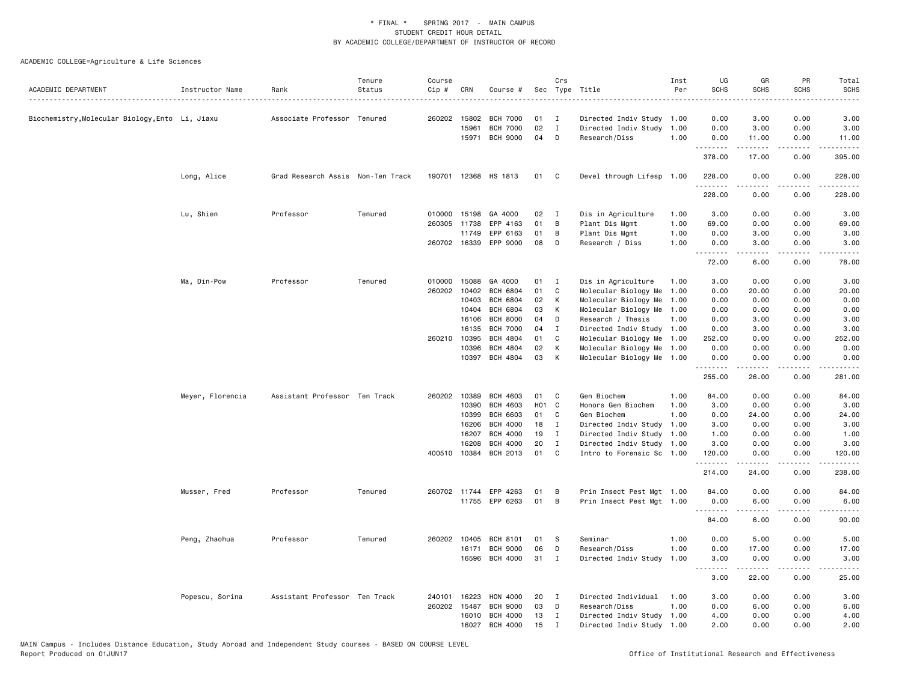| ACADEMIC DEPARTMENT                             | Instructor Name  | Rank                              | Tenure<br>Status | Course<br>$Cip \#$ | CRN                   | Course #                           |          | Crs                               | Sec Type Title                                         | Inst<br>Per | UG<br><b>SCHS</b>   | GR<br><b>SCHS</b>   | PR<br><b>SCHS</b>                   | Total<br><b>SCHS</b><br>$\omega$ is a set |
|-------------------------------------------------|------------------|-----------------------------------|------------------|--------------------|-----------------------|------------------------------------|----------|-----------------------------------|--------------------------------------------------------|-------------|---------------------|---------------------|-------------------------------------|-------------------------------------------|
| Biochemistry, Molecular Biology, Ento Li, Jiaxu |                  | Associate Professor Tenured       |                  |                    | 260202 15802<br>15961 | <b>BCH 7000</b><br><b>BCH 7000</b> | 01<br>02 | $\mathbf{I}$<br>$\mathbf{I}$<br>D | Directed Indiv Study 1.00<br>Directed Indiv Study 1.00 |             | 0.00<br>0.00        | 3.00<br>3.00        | 0.00<br>0.00                        | 3.00<br>3.00                              |
|                                                 |                  |                                   |                  |                    | 15971                 | <b>BCH 9000</b>                    | 04       |                                   | Research/Diss                                          | 1.00        | 0.00<br>.<br>378.00 | 11.00<br>.<br>17.00 | 0.00<br>.<br>0.00                   | 11.00<br>.<br>395.00                      |
|                                                 | Long, Alice      | Grad Research Assis Non-Ten Track |                  |                    |                       | 190701 12368 HS 1813               | 01       | C                                 | Devel through Lifesp 1.00                              |             | 228.00              | 0.00                | 0.00                                | 228.00                                    |
|                                                 |                  |                                   |                  |                    |                       |                                    |          |                                   |                                                        |             | .<br>228.00         | .<br>0.00           | .<br>0.00                           | .<br>228.00                               |
|                                                 | Lu, Shien        | Professor                         | Tenured          | 010000             | 15198                 | GA 4000                            | 02       | $\mathbf{I}$                      | Dis in Agriculture                                     | 1.00        | 3.00                | 0.00                | 0.00                                | 3.00                                      |
|                                                 |                  |                                   |                  |                    |                       |                                    |          |                                   |                                                        |             |                     |                     |                                     |                                           |
|                                                 |                  |                                   |                  | 260305             | 11738                 | EPP 4163                           | 01       | В                                 | Plant Dis Mgmt                                         | 1.00        | 69.00               | 0.00                | 0.00                                | 69.00                                     |
|                                                 |                  |                                   |                  |                    | 11749                 | EPP 6163                           | 01       | В                                 | Plant Dis Mgmt                                         | 1.00        | 0.00                | 3.00                | 0.00                                | 3.00                                      |
|                                                 |                  |                                   |                  |                    | 260702 16339          | EPP 9000                           | 08       | D                                 | Research / Diss                                        | 1.00        | 0.00<br>. <b>.</b>  | 3.00<br>.           | 0.00<br>.                           | 3.00<br>.                                 |
|                                                 |                  |                                   |                  |                    |                       |                                    |          |                                   |                                                        |             | 72.00               | 6.00                | 0.00                                | 78.00                                     |
|                                                 | Ma, Din-Pow      | Professor                         | Tenured          | 010000             | 15088                 | GA 4000                            | 01       | I                                 | Dis in Agriculture                                     | 1.00        | 3.00                | 0.00                | 0.00                                | 3.00                                      |
|                                                 |                  |                                   |                  | 260202             | 10402                 | <b>BCH 6804</b>                    | 01       | C                                 | Molecular Biology Me                                   | 1.00        | 0.00                | 20.00               | 0.00                                | 20.00                                     |
|                                                 |                  |                                   |                  |                    | 10403                 | <b>BCH 6804</b>                    | 02       | К                                 | Molecular Biology Me                                   | 1.00        | 0.00                | 0.00                | 0.00                                | 0.00                                      |
|                                                 |                  |                                   |                  |                    | 10404                 | <b>BCH 6804</b>                    | 03       | К                                 | Molecular Biology Me                                   | 1.00        | 0.00                | 0.00                | 0.00                                | 0.00                                      |
|                                                 |                  |                                   |                  |                    | 16106                 | <b>BCH 8000</b>                    | 04       | D                                 | Research / Thesis                                      | 1.00        | 0.00                | 3.00                | 0.00                                | 3.00                                      |
|                                                 |                  |                                   |                  |                    | 16135                 | <b>BCH 7000</b>                    | 04       | I                                 |                                                        |             | 0.00                | 3.00                | 0.00                                | 3.00                                      |
|                                                 |                  |                                   |                  |                    |                       |                                    |          |                                   | Directed Indiv Study 1.00                              |             |                     |                     |                                     |                                           |
|                                                 |                  |                                   |                  | 260210 10395       |                       | <b>BCH 4804</b>                    | 01       | C                                 | Molecular Biology Me 1.00                              |             | 252.00              | 0.00                | 0.00                                | 252.00                                    |
|                                                 |                  |                                   |                  |                    | 10396                 | <b>BCH 4804</b>                    | 02       | К                                 | Molecular Biology Me 1.00                              |             | 0.00                | 0.00                | 0.00                                | 0.00                                      |
|                                                 |                  |                                   |                  |                    | 10397                 | <b>BCH 4804</b>                    | 03       | К                                 | Molecular Biology Me 1.00                              |             | 0.00<br>.           | 0.00                | 0.00                                | 0.00                                      |
|                                                 |                  |                                   |                  |                    |                       |                                    |          |                                   |                                                        |             | 255.00              | 26.00               | 0.00                                | 281.00                                    |
|                                                 | Meyer, Florencia | Assistant Professor Ten Track     |                  |                    | 260202 10389          | <b>BCH 4603</b>                    | 01       | C                                 | Gen Biochem                                            | 1.00        | 84.00               | 0.00                | 0.00                                | 84.00                                     |
|                                                 |                  |                                   |                  |                    | 10390                 | <b>BCH 4603</b>                    | H01 C    |                                   | Honors Gen Biochem                                     | 1.00        | 3.00                | 0.00                | 0.00                                | 3.00                                      |
|                                                 |                  |                                   |                  |                    | 10399                 | <b>BCH 6603</b>                    | 01       | C                                 | Gen Biochem                                            | 1.00        | 0.00                | 24.00               | 0.00                                | 24.00                                     |
|                                                 |                  |                                   |                  |                    | 16206                 | <b>BCH 4000</b>                    | 18       | $\mathbf{I}$                      | Directed Indiv Study 1.00                              |             | 3.00                | 0.00                | 0.00                                | 3.00                                      |
|                                                 |                  |                                   |                  |                    | 16207                 | <b>BCH 4000</b>                    | 19       | I                                 | Directed Indiv Study 1.00                              |             | 1.00                | 0.00                | 0.00                                | 1.00                                      |
|                                                 |                  |                                   |                  |                    | 16208                 | <b>BCH 4000</b>                    | 20       | $\mathbf{I}$                      | Directed Indiv Study 1.00                              |             | 3.00                | 0.00                | 0.00                                | 3.00                                      |
|                                                 |                  |                                   |                  |                    | 400510 10384          | BCH 2013                           | 01       | C                                 | Intro to Forensic Sc 1.00                              |             | 120.00              | 0.00                | 0.00                                | 120.00                                    |
|                                                 |                  |                                   |                  |                    |                       |                                    |          |                                   |                                                        |             | .<br>214.00         | 24.00               | .<br>0.00                           | .<br>238.00                               |
|                                                 |                  |                                   |                  |                    |                       |                                    |          |                                   |                                                        |             |                     |                     |                                     |                                           |
|                                                 | Musser, Fred     | Professor                         | Tenured          |                    |                       | 260702 11744 EPP 4263              | 01       | B                                 | Prin Insect Pest Mgt 1.00                              |             | 84.00               | 0.00                | 0.00                                | 84.00                                     |
|                                                 |                  |                                   |                  |                    |                       | 11755 EPP 6263                     | 01       | B                                 | Prin Insect Pest Mgt 1.00                              |             | 0.00<br>.           | 6.00<br>.           | 0.00<br>$\sim$ $\sim$ $\sim$ $\sim$ | 6.00<br>.                                 |
|                                                 |                  |                                   |                  |                    |                       |                                    |          |                                   |                                                        |             | 84.00               | 6.00                | 0.00                                | 90.00                                     |
|                                                 | Peng, Zhaohua    | Professor                         | Tenured          |                    | 260202 10405          | <b>BCH 8101</b>                    | 01       | <b>S</b>                          | Seminar                                                | 1.00        | 0.00                | 5.00                | 0.00                                | 5.00                                      |
|                                                 |                  |                                   |                  |                    | 16171                 | <b>BCH 9000</b>                    | 06       | D                                 | Research/Diss                                          | 1.00        | 0.00                | 17.00               | 0.00                                | 17.00                                     |
|                                                 |                  |                                   |                  |                    |                       | 16596 BCH 4000                     | 31       | I                                 | Directed Indiv Study                                   | 1.00        | 3.00                | 0.00                | 0.00                                | 3.00                                      |
|                                                 |                  |                                   |                  |                    |                       |                                    |          |                                   |                                                        |             | <u>.</u><br>3.00    | .<br>22.00          | .<br>0.00                           | .<br>25.00                                |
|                                                 | Popescu, Sorina  | Assistant Professor Ten Track     |                  | 240101             | 16223                 | HON 4000                           | 20       | I                                 | Directed Individual                                    | 1.00        | 3.00                | 0.00                | 0.00                                | 3.00                                      |
|                                                 |                  |                                   |                  | 260202 15487       |                       | <b>BCH 9000</b>                    | 03       | D                                 | Research/Diss                                          | 1.00        | 0.00                | 6.00                | 0.00                                | 6.00                                      |
|                                                 |                  |                                   |                  |                    | 16010                 | <b>BCH 4000</b>                    | 13       | $\bf{I}$                          | Directed Indiv Study                                   | 1.00        | 4.00                | 0.00                | 0.00                                | 4.00                                      |
|                                                 |                  |                                   |                  |                    | 16027                 | <b>BCH 4000</b>                    | 15       | $\mathbf I$                       | Directed Indiv Study 1.00                              |             | 2.00                | 0.00                | 0.00                                | 2.00                                      |
|                                                 |                  |                                   |                  |                    |                       |                                    |          |                                   |                                                        |             |                     |                     |                                     |                                           |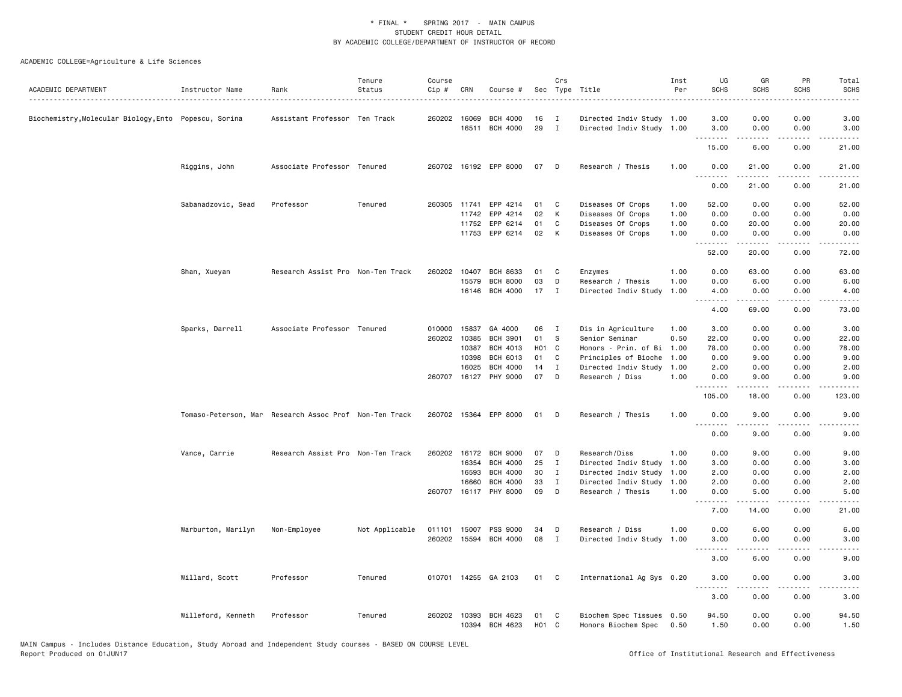| ACADEMIC DEPARTMENT                                 | Instructor Name    | Rank                                                   | Tenure<br>Status | Course<br>Cip # | CRN          | Course #              |                   | Crs          | Sec Type Title            | Inst<br>Per | UG<br><b>SCHS</b>          | GR<br><b>SCHS</b>    | PR<br><b>SCHS</b>     | Total<br><b>SCHS</b>  |
|-----------------------------------------------------|--------------------|--------------------------------------------------------|------------------|-----------------|--------------|-----------------------|-------------------|--------------|---------------------------|-------------|----------------------------|----------------------|-----------------------|-----------------------|
| Biochemistry,Molecular Biology,Ento Popescu, Sorina |                    | Assistant Professor Ten Track                          |                  |                 | 260202 16069 | <b>BCH 4000</b>       | 16                | $\mathbf{I}$ | Directed Indiv Study 1.00 |             | 3.00                       | 0.00                 | 0.00                  | 3.00                  |
|                                                     |                    |                                                        |                  |                 | 16511        | <b>BCH 4000</b>       | 29                | $\mathbf{I}$ | Directed Indiv Study 1.00 |             | 3.00<br>.                  | 0.00<br>$- - - - -$  | 0.00<br>$\frac{1}{2}$ | 3.00<br>.             |
|                                                     |                    |                                                        |                  |                 |              |                       |                   |              |                           |             | 15.00                      | 6.00                 | 0.00                  | 21.00                 |
|                                                     | Riggins, John      | Associate Professor Tenured                            |                  |                 |              | 260702 16192 EPP 8000 | 07                | D            | Research / Thesis         | 1.00        | 0.00<br>.<br>$\frac{1}{2}$ | 21.00<br>$- - - - -$ | 0.00                  | 21.00                 |
|                                                     |                    |                                                        |                  |                 |              |                       |                   |              |                           |             | 0.00                       | 21.00                | 0.00                  | 21.00                 |
|                                                     | Sabanadzovic, Sead | Professor                                              | Tenured          |                 |              | 260305 11741 EPP 4214 | 01                | C            | Diseases Of Crops         | 1.00        | 52.00                      | 0.00                 | 0.00                  | 52.00                 |
|                                                     |                    |                                                        |                  |                 | 11742        | EPP 4214              | 02                | К            | Diseases Of Crops         | 1.00        | 0.00                       | 0.00                 | 0.00                  | 0.00                  |
|                                                     |                    |                                                        |                  |                 | 11752        | EPP 6214              | 01                | C            | Diseases Of Crops         | 1.00        | 0.00                       | 20.00                | 0.00                  | 20.00                 |
|                                                     |                    |                                                        |                  |                 |              | 11753 EPP 6214        | 02                | K            | Diseases Of Crops         | 1.00        | 0.00<br>.                  | 0.00<br>.            | 0.00<br>$- - - -$     | 0.00                  |
|                                                     |                    |                                                        |                  |                 |              |                       |                   |              |                           |             | 52.00                      | 20.00                | 0.00                  | 72.00                 |
|                                                     | Shan, Xueyan       | Research Assist Pro Non-Ten Track                      |                  |                 | 260202 10407 | <b>BCH 8633</b>       | 01                | C            | Enzymes                   | 1.00        | 0.00                       | 63.00                | 0.00                  | 63.00                 |
|                                                     |                    |                                                        |                  |                 | 15579        | <b>BCH 8000</b>       | 03                | D            | Research / Thesis         | 1.00        | 0.00                       | 6.00                 | 0.00                  | 6.00                  |
|                                                     |                    |                                                        |                  |                 | 16146        | BCH 4000              | 17                | $\mathbf{I}$ | Directed Indiv Study      | 1.00        | 4.00<br>--------           | 0.00                 | 0.00                  | 4.00                  |
|                                                     |                    |                                                        |                  |                 |              |                       |                   |              |                           |             | 4.00                       | 69.00                | 0.00                  | 73.00                 |
|                                                     | Sparks, Darrell    | Associate Professor Tenured                            |                  | 010000          | 15837        | GA 4000               | 06                | $\mathbf{I}$ | Dis in Agriculture        | 1.00        | 3.00                       | 0.00                 | 0.00                  | 3.00                  |
|                                                     |                    |                                                        |                  |                 | 260202 10385 | <b>BCH 3901</b>       | 01                | S            | Senior Seminar            | 0.50        | 22.00                      | 0.00                 | 0.00                  | 22.00                 |
|                                                     |                    |                                                        |                  |                 | 10387        | <b>BCH 4013</b>       | H <sub>01</sub> C |              | Honors - Prin. of Bi      | 1.00        | 78.00                      | 0.00                 | 0.00                  | 78.00                 |
|                                                     |                    |                                                        |                  |                 | 10398        | <b>BCH 6013</b>       | 01                | C            | Principles of Bioche      | 1.00        | 0.00                       | 9.00                 | 0.00                  | 9.00                  |
|                                                     |                    |                                                        |                  |                 | 16025        | <b>BCH 4000</b>       | 14                | I            | Directed Indiv Study      | 1.00        | 2.00                       | 0.00                 | 0.00                  | 2.00                  |
|                                                     |                    |                                                        |                  |                 | 260707 16127 | PHY 9000              | 07                | D            | Research / Diss           | 1.00        | 0.00<br>.                  | 9.00<br>.            | 0.00<br>.             | 9.00<br>.             |
|                                                     |                    |                                                        |                  |                 |              |                       |                   |              |                           |             | 105.00                     | 18.00                | 0.00                  | 123.00                |
|                                                     |                    | Tomaso-Peterson, Mar Research Assoc Prof Non-Ten Track |                  |                 |              | 260702 15364 EPP 8000 | 01                | D            | Research / Thesis         | 1.00        | 0.00<br>.                  | 9.00<br>.            | 0.00<br>$- - - -$     | 9.00<br>$\frac{1}{2}$ |
|                                                     |                    |                                                        |                  |                 |              |                       |                   |              |                           |             | 0.00                       | 9.00                 | 0.00                  | 9.00                  |
|                                                     | Vance, Carrie      | Research Assist Pro Non-Ten Track                      |                  |                 | 260202 16172 | <b>BCH 9000</b>       | 07                | D            | Research/Diss             | 1.00        | 0.00                       | 9.00                 | 0.00                  | 9.00                  |
|                                                     |                    |                                                        |                  |                 | 16354        | <b>BCH 4000</b>       | 25                | $\mathbf{I}$ | Directed Indiv Study      | 1.00        | 3.00                       | 0.00                 | 0.00                  | 3.00                  |
|                                                     |                    |                                                        |                  |                 | 16593        | <b>BCH 4000</b>       | 30                | $\mathbf I$  | Directed Indiv Study      | 1.00        | 2.00                       | 0.00                 | 0.00                  | 2.00                  |
|                                                     |                    |                                                        |                  |                 | 16660        | <b>BCH 4000</b>       | 33                | $\mathbf{I}$ | Directed Indiv Study      | 1.00        | 2.00                       | 0.00                 | 0.00                  | 2.00                  |
|                                                     |                    |                                                        |                  |                 |              | 260707 16117 PHY 8000 | 09                | D            | Research / Thesis         | 1.00        | 0.00<br>.                  | 5.00                 | 0.00                  | 5.00                  |
|                                                     |                    |                                                        |                  |                 |              |                       |                   |              |                           |             | 7.00                       | 14.00                | 0.00                  | 21.00                 |
|                                                     | Warburton, Marilyn | Non-Employee                                           | Not Applicable   | 011101 15007    |              | PSS 9000              | 34                | D            | Research / Diss           | 1.00        | 0.00                       | 6.00                 | 0.00                  | 6.00                  |
|                                                     |                    |                                                        |                  |                 |              | 260202 15594 BCH 4000 | 08                | I            | Directed Indiv Study      | 1.00        | 3.00<br>.                  | 0.00                 | 0.00<br>$- - -$       | 3.00                  |
|                                                     |                    |                                                        |                  |                 |              |                       |                   |              |                           |             | 3.00                       | 6.00                 | 0.00                  | 9.00                  |
|                                                     | Willard, Scott     | Professor                                              | Tenured          |                 |              | 010701 14255 GA 2103  | 01                | C            | International Ag Sys 0.20 |             | 3.00                       | 0.00                 | 0.00                  | 3.00                  |
|                                                     |                    |                                                        |                  |                 |              |                       |                   |              |                           |             | .<br>3.00                  | .<br>0.00            | $   -$<br>0.00        | $- - - -$<br>3.00     |
|                                                     | Willeford, Kenneth | Professor                                              | Tenured          |                 | 260202 10393 | BCH 4623              | 01                | C            | Biochem Spec Tissues 0.50 |             | 94.50                      | 0.00                 | 0.00                  | 94.50                 |
|                                                     |                    |                                                        |                  |                 | 10394        | BCH 4623              | H <sub>01</sub> C |              | Honors Biochem Spec       | 0.50        | 1.50                       | 0.00                 | 0.00                  | 1.50                  |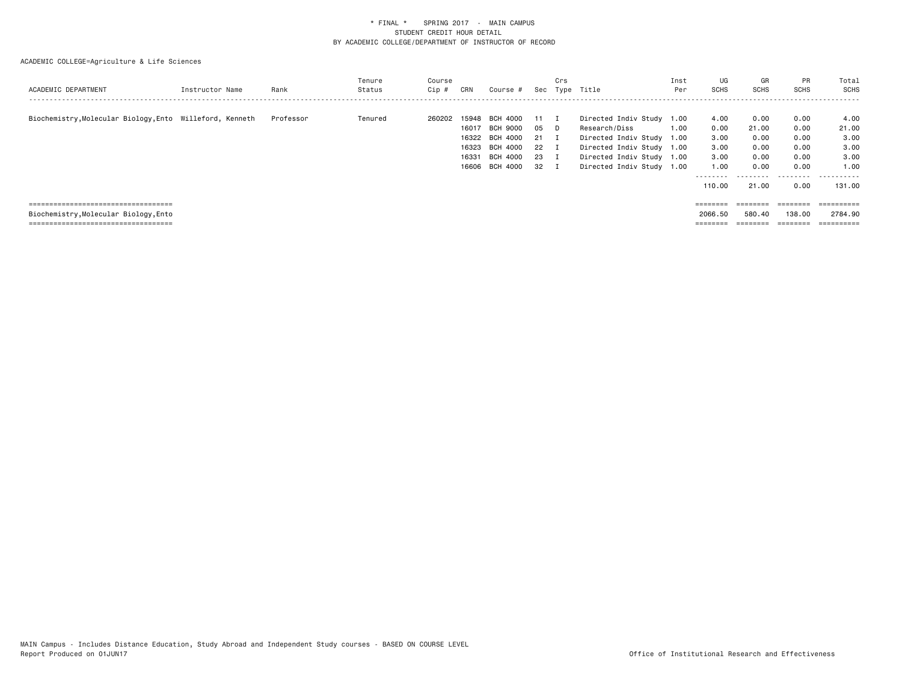| ACADEMIC DEPARTMENT                                      | Instructor Name | Rank      | Tenure<br>Status | Course<br>$Cip \#$ | CRN                                       | Course #                                                                   |                                  | Crs                                                             | Sec Type Title                                                                                                                                            | Inst<br>Per  | UG<br><b>SCHS</b>                                                   | GR<br>SCHS                                                              | PR<br><b>SCHS</b>                                         | Total<br>SCHS                                                |
|----------------------------------------------------------|-----------------|-----------|------------------|--------------------|-------------------------------------------|----------------------------------------------------------------------------|----------------------------------|-----------------------------------------------------------------|-----------------------------------------------------------------------------------------------------------------------------------------------------------|--------------|---------------------------------------------------------------------|-------------------------------------------------------------------------|-----------------------------------------------------------|--------------------------------------------------------------|
| Biochemistry, Molecular Biology, Ento Willeford, Kenneth |                 | Professor | Tenured          | 260202             | 15948<br>16017<br>16323<br>16331<br>16606 | BCH 4000<br>BCH 9000<br>16322 BCH 4000<br>BCH 4000<br>BCH 4000<br>BCH 4000 | 11<br>05<br>21<br>22<br>23<br>32 | $\blacksquare$<br>D.<br>$\mathbf I$<br>I<br>- 1<br>$\mathbf{I}$ | Directed Indiv Study<br>Research/Diss<br>Directed Indiv Study 1.00<br>Directed Indiv Study 1.00<br>Directed Indiv Study 1.00<br>Directed Indiv Study 1.00 | 1.00<br>1.00 | 4.00<br>0.00<br>3.00<br>3.00<br>3.00<br>1.00<br>---------<br>110.00 | 0.00<br>21.00<br>0.00<br>0.00<br>0.00<br>0.00<br>.<br>21.00             | 0.00<br>0.00<br>0.00<br>0.00<br>0.00<br>0.00<br>.<br>0.00 | 4.00<br>21.00<br>3.00<br>3.00<br>3.00<br>1.00<br>.<br>131.00 |
| =====================================                    |                 |           |                  |                    |                                           |                                                                            |                                  |                                                                 |                                                                                                                                                           |              | ========                                                            | $\qquad \qquad \equiv \equiv \equiv \equiv \equiv \equiv \equiv \equiv$ | $=$ = = = = = = =                                         | ==========                                                   |
| Biochemistry, Molecular Biology, Ento                    |                 |           |                  |                    |                                           |                                                                            |                                  |                                                                 |                                                                                                                                                           |              | 2066.50                                                             | 580.40                                                                  | 138,00                                                    | 2784.90                                                      |
| ====================================                     |                 |           |                  |                    |                                           |                                                                            |                                  |                                                                 |                                                                                                                                                           |              | ========                                                            | ________                                                                | ________<br>=======                                       | ==========                                                   |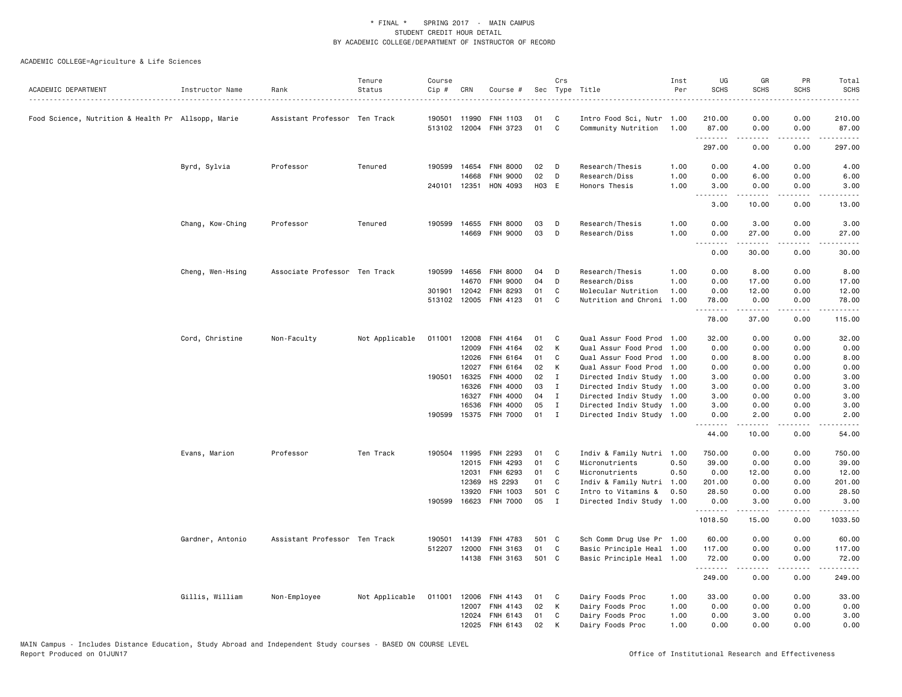| ACADEMIC DEPARTMENT                                | Instructor Name  | Rank                          | Tenure<br>Status | Course<br>Cip # | CRN            | Course #             |          | Crs          | Sec Type Title                               | Inst<br>Per  | UG<br><b>SCHS</b> | GR<br><b>SCHS</b> | PR<br><b>SCHS</b>            | Total<br><b>SCHS</b>                                                                                                                                          |
|----------------------------------------------------|------------------|-------------------------------|------------------|-----------------|----------------|----------------------|----------|--------------|----------------------------------------------|--------------|-------------------|-------------------|------------------------------|---------------------------------------------------------------------------------------------------------------------------------------------------------------|
| Food Science, Nutrition & Health Pr Allsopp, Marie |                  | Assistant Professor Ten Track |                  | 190501          | 11990          | <b>FNH 1103</b>      | 01       | - C          | Intro Food Sci, Nutr 1.00                    |              | 210.00            | 0.00              | 0.00                         | .<br>210.00                                                                                                                                                   |
|                                                    |                  |                               |                  |                 | 513102 12004   | FNH 3723             | 01       | C            | Community Nutrition                          | 1.00         | 87.00             | 0.00              | 0.00                         | 87.00                                                                                                                                                         |
|                                                    |                  |                               |                  |                 |                |                      |          |              |                                              |              | .<br>297.00       | 0.00              | 0.00                         | .<br>297.00                                                                                                                                                   |
|                                                    | Byrd, Sylvia     | Professor                     | Tenured          |                 | 190599 14654   | <b>FNH 8000</b>      | 02       | D            | Research/Thesis                              | 1.00         | 0.00              | 4.00              | 0.00                         | 4.00                                                                                                                                                          |
|                                                    |                  |                               |                  |                 | 14668          | <b>FNH 9000</b>      | 02       | D            | Research/Diss                                | 1.00         | 0.00              | 6.00              | 0.00                         | 6.00                                                                                                                                                          |
|                                                    |                  |                               |                  |                 | 240101 12351   | HON 4093             | H03 E    |              | Honors Thesis                                | 1.00         | 3.00<br>.         | 0.00<br>-----     | 0.00<br>.                    | 3.00<br>.                                                                                                                                                     |
|                                                    |                  |                               |                  |                 |                |                      |          |              |                                              |              | 3.00              | 10.00             | 0.00                         | 13.00                                                                                                                                                         |
|                                                    | Chang, Kow-Ching | Professor                     | Tenured          | 190599          | 14655          | <b>FNH 8000</b>      | 03       | D            | Research/Thesis                              | 1.00         | 0.00              | 3.00              | 0.00                         | 3.00                                                                                                                                                          |
|                                                    |                  |                               |                  |                 |                | 14669 FNH 9000       | 03       | D            | Research/Diss                                | 1.00         | 0.00<br>.         | 27.00<br>.        | 0.00<br>.                    | 27.00<br>.                                                                                                                                                    |
|                                                    |                  |                               |                  |                 |                |                      |          |              |                                              |              | 0.00              | 30.00             | 0.00                         | 30.00                                                                                                                                                         |
|                                                    | Cheng, Wen-Hsing | Associate Professor Ten Track |                  | 190599          | 14656          | <b>FNH 8000</b>      | 04       | D            | Research/Thesis                              | 1.00         | 0.00              | 8.00              | 0.00                         | 8.00                                                                                                                                                          |
|                                                    |                  |                               |                  |                 | 14670          | <b>FNH 9000</b>      | 04       | D            | Research/Diss                                | 1.00         | 0.00              | 17.00             | 0.00                         | 17.00                                                                                                                                                         |
|                                                    |                  |                               |                  | 301901          | 12042          | FNH 8293             | 01       | C            | Molecular Nutrition                          | 1.00         | 0.00              | 12.00             | 0.00                         | 12.00                                                                                                                                                         |
|                                                    |                  |                               |                  |                 | 513102 12005   | FNH 4123             | 01       | C            | Nutrition and Chroni                         | 1.00         | 78.00<br>.        | 0.00<br>.         | 0.00<br>.                    | 78.00<br>.                                                                                                                                                    |
|                                                    |                  |                               |                  |                 |                |                      |          |              |                                              |              | 78.00             | 37.00             | 0.00                         | 115.00                                                                                                                                                        |
|                                                    | Cord, Christine  | Non-Faculty                   | Not Applicable   | 011001          | 12008          | FNH 4164             | 01       | C            | Qual Assur Food Prod 1.00                    |              | 32.00             | 0.00              | 0.00                         | 32.00                                                                                                                                                         |
|                                                    |                  |                               |                  |                 | 12009          | FNH 4164             | 02       | K            | Qual Assur Food Prod                         | 1,00         | 0.00              | 0.00              | 0.00                         | 0.00                                                                                                                                                          |
|                                                    |                  |                               |                  |                 | 12026          | FNH 6164             | 01       | C            | Qual Assur Food Prod                         | 1.00         | 0.00              | 8.00              | 0.00                         | 8.00                                                                                                                                                          |
|                                                    |                  |                               |                  | 190501          | 12027<br>16325 | FNH 6164<br>FNH 4000 | 02<br>02 | Κ<br>I       | Qual Assur Food Prod<br>Directed Indiv Study | 1.00<br>1.00 | 0.00<br>3.00      | 0.00<br>0.00      | 0.00<br>0.00                 | 0.00<br>3.00                                                                                                                                                  |
|                                                    |                  |                               |                  |                 | 16326          | FNH 4000             | 03       | I            | Directed Indiv Study 1.00                    |              | 3.00              | 0.00              | 0.00                         | 3.00                                                                                                                                                          |
|                                                    |                  |                               |                  |                 | 16327          | FNH 4000             | 04       | $\mathbf{I}$ | Directed Indiv Study 1.00                    |              | 3.00              | 0.00              | 0.00                         | 3.00                                                                                                                                                          |
|                                                    |                  |                               |                  |                 | 16536          | FNH 4000             | 05       | $\mathbf{I}$ | Directed Indiv Study 1.00                    |              | 3.00              | 0.00              | 0.00                         | 3.00                                                                                                                                                          |
|                                                    |                  |                               |                  | 190599          | 15375          | <b>FNH 7000</b>      | 01       | $\mathbf{I}$ | Directed Indiv Study 1.00                    |              | 0.00              | 2.00              | 0.00<br>$- - -$              | 2.00                                                                                                                                                          |
|                                                    |                  |                               |                  |                 |                |                      |          |              |                                              |              | .<br>44.00        | .<br>10.00        | 0.00                         | 54.00                                                                                                                                                         |
|                                                    | Evans, Marion    | Professor                     | Ten Track        | 190504          | 11995          | FNH 2293             | 01       | C            | Indiv & Family Nutri 1.00                    |              | 750.00            | 0.00              | 0.00                         | 750.00                                                                                                                                                        |
|                                                    |                  |                               |                  |                 | 12015          | FNH 4293             | 01       | C            | Micronutrients                               | 0.50         | 39.00             | 0.00              | 0.00                         | 39.00                                                                                                                                                         |
|                                                    |                  |                               |                  |                 | 12031          | FNH 6293             | 01       | C            | Micronutrients                               | 0.50         | 0.00              | 12.00             | 0.00                         | 12.00                                                                                                                                                         |
|                                                    |                  |                               |                  |                 | 12369          | HS 2293              | 01       | C            | Indiv & Family Nutri 1.00                    |              | 201.00            | 0.00              | 0.00                         | 201.00                                                                                                                                                        |
|                                                    |                  |                               |                  |                 | 13920          | FNH 1003             | 501 C    |              | Intro to Vitamins &                          | 0.50         | 28.50             | 0.00              | 0.00                         | 28.50                                                                                                                                                         |
|                                                    |                  |                               |                  |                 | 190599 16623   | <b>FNH 7000</b>      | 05       | I            | Directed Indiv Study                         | 1.00         | 0.00              | 3.00              | 0.00<br>$\sim$ $\sim$ $\sim$ | 3.00                                                                                                                                                          |
|                                                    |                  |                               |                  |                 |                |                      |          |              |                                              |              | 1018.50           | 15.00             | 0.00                         | 1033.50                                                                                                                                                       |
|                                                    | Gardner, Antonio | Assistant Professor Ten Track |                  | 190501          | 14139          | <b>FNH 4783</b>      | 501 C    |              | Sch Comm Drug Use Pr 1.00                    |              | 60.00             | 0.00              | 0.00                         | 60.00                                                                                                                                                         |
|                                                    |                  |                               |                  | 512207          | 12000          | FNH 3163             | 01       | C            | Basic Principle Heal 1.00                    |              | 117.00            | 0.00              | 0.00                         | 117.00                                                                                                                                                        |
|                                                    |                  |                               |                  |                 |                | 14138 FNH 3163       | 501 C    |              | Basic Principle Heal 1.00                    |              | 72.00<br>.        | 0.00<br><u>.</u>  | 0.00<br>.                    | 72.00<br>$\frac{1}{2} \left( \frac{1}{2} \right) \left( \frac{1}{2} \right) \left( \frac{1}{2} \right) \left( \frac{1}{2} \right) \left( \frac{1}{2} \right)$ |
|                                                    |                  |                               |                  |                 |                |                      |          |              |                                              |              | 249.00            | 0.00              | 0.00                         | 249.00                                                                                                                                                        |
|                                                    | Gillis, William  | Non-Employee                  | Not Applicable   | 011001          | 12006          | <b>FNH 4143</b>      | 01       | C            | Dairy Foods Proc                             | 1.00         | 33.00             | 0.00              | 0.00                         | 33.00                                                                                                                                                         |
|                                                    |                  |                               |                  |                 | 12007          | FNH 4143             | 02       | К            | Dairy Foods Proc                             | 1.00         | 0.00              | 0.00              | 0.00                         | 0.00                                                                                                                                                          |
|                                                    |                  |                               |                  |                 | 12024          | <b>FNH 6143</b>      | 01       | C            | Dairy Foods Proc                             | 1.00         | 0.00              | 3.00              | 0.00                         | 3.00                                                                                                                                                          |
|                                                    |                  |                               |                  |                 | 12025          | FNH 6143             | 02       | K            | Dairy Foods Proc                             | 1.00         | 0.00              | 0.00              | 0.00                         | 0.00                                                                                                                                                          |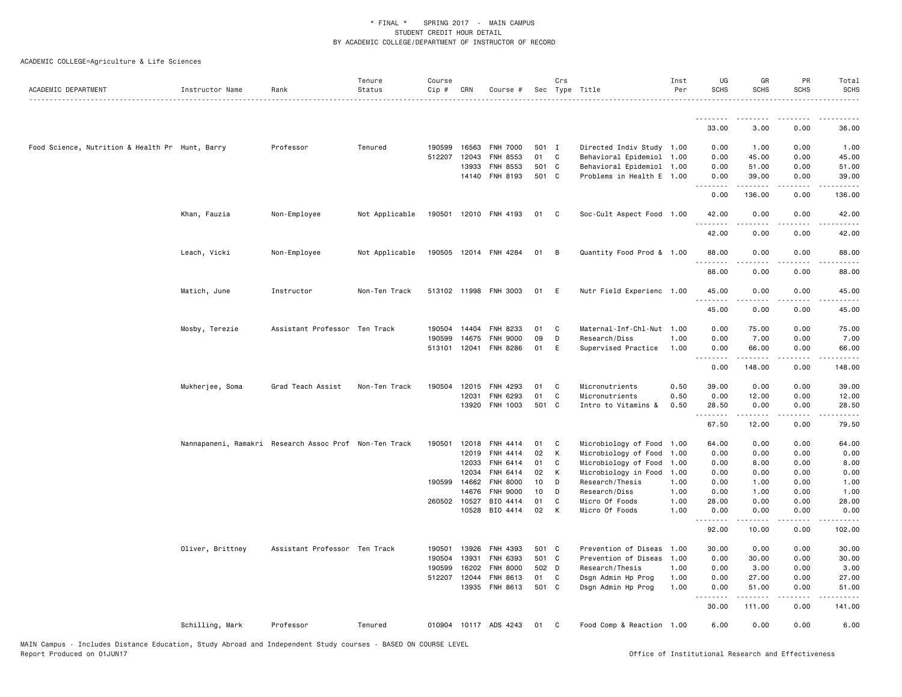| ACADEMIC DEPARTMENT                             | Instructor Name  | Rank                                                   | Tenure<br>Status | Course<br>$Cip$ # | CRN          | Course #              |          | Crs          | Sec Type Title                   | Inst<br>Per  | UG<br><b>SCHS</b>                 | GR<br><b>SCHS</b>                                                                                                                                            | PR<br><b>SCHS</b> | Total<br><b>SCHS</b> |
|-------------------------------------------------|------------------|--------------------------------------------------------|------------------|-------------------|--------------|-----------------------|----------|--------------|----------------------------------|--------------|-----------------------------------|--------------------------------------------------------------------------------------------------------------------------------------------------------------|-------------------|----------------------|
|                                                 |                  |                                                        |                  |                   |              |                       |          |              |                                  |              |                                   |                                                                                                                                                              |                   |                      |
|                                                 |                  |                                                        |                  |                   |              |                       |          |              |                                  |              | .<br>33.00                        | 3.00                                                                                                                                                         | 0.00              | 36.00                |
| Food Science, Nutrition & Health Pr Hunt, Barry |                  | Professor                                              | Tenured          | 190599            | 16563        | <b>FNH 7000</b>       | 501 I    |              | Directed Indiv Study 1.00        |              | 0.00                              | 1.00                                                                                                                                                         | 0.00              | 1.00                 |
|                                                 |                  |                                                        |                  | 512207            | 12043        | FNH 8553              | 01       | C.           | Behavioral Epidemiol 1.00        |              | 0.00                              | 45.00                                                                                                                                                        | 0.00              | 45.00                |
|                                                 |                  |                                                        |                  |                   | 13933        | FNH 8553              | 501 C    |              | Behavioral Epidemiol 1.00        |              | 0.00                              | 51.00                                                                                                                                                        | 0.00              | 51.00                |
|                                                 |                  |                                                        |                  |                   |              | 14140 FNH 8193        | 501 C    |              | Problems in Health E 1.00        |              | 0.00<br>.                         | 39.00<br><u>.</u>                                                                                                                                            | 0.00<br>.         | 39.00<br>.           |
|                                                 |                  |                                                        |                  |                   |              |                       |          |              |                                  |              | 0.00                              | 136.00                                                                                                                                                       | 0.00              | 136.00               |
|                                                 | Khan, Fauzia     | Non-Employee                                           | Not Applicable   |                   |              | 190501 12010 FNH 4193 | 01       | $\mathbf{C}$ | Soc-Cult Aspect Food 1.00        |              | 42.00<br>.                        | 0.00<br>$- - - - -$                                                                                                                                          | 0.00<br>.         | 42.00<br>.           |
|                                                 |                  |                                                        |                  |                   |              |                       |          |              |                                  |              | 42.00                             | 0.00                                                                                                                                                         | 0.00              | 42.00                |
|                                                 | Leach, Vicki     | Non-Employee                                           | Not Applicable   |                   |              | 190505 12014 FNH 4284 | 01       | B            | Quantity Food Prod & 1.00        |              | 88.00<br>.                        | 0.00                                                                                                                                                         | 0.00              | 88.00                |
|                                                 |                  |                                                        |                  |                   |              |                       |          |              |                                  |              | 88.00                             | 0.00                                                                                                                                                         | 0.00              | .<br>88.00           |
|                                                 | Matich, June     | Instructor                                             | Non-Ten Track    |                   |              | 513102 11998 FNH 3003 | 01       | - E          | Nutr Field Experienc 1.00        |              | 45.00<br>.                        | 0.00                                                                                                                                                         | 0.00<br>.         | 45.00<br>.           |
|                                                 |                  |                                                        |                  |                   |              |                       |          |              |                                  |              | 45.00                             | $\frac{1}{2} \left( \frac{1}{2} \right) \left( \frac{1}{2} \right) \left( \frac{1}{2} \right) \left( \frac{1}{2} \right) \left( \frac{1}{2} \right)$<br>0.00 | 0.00              | 45.00                |
|                                                 | Mosby, Terezie   | Assistant Professor Ten Track                          |                  | 190504            | 14404        | <b>FNH 8233</b>       | 01       | C            | Maternal-Inf-Chl-Nut 1.00        |              | 0.00                              | 75.00                                                                                                                                                        | 0.00              | 75.00                |
|                                                 |                  |                                                        |                  | 190599            | 14675        | <b>FNH 9000</b>       | 09       | D            | Research/Diss                    | 1.00         | 0.00                              | 7.00                                                                                                                                                         | 0.00              | 7.00                 |
|                                                 |                  |                                                        |                  |                   | 513101 12041 | FNH 8286              | 01       | E            | Supervised Practice              | 1.00         | 0.00<br>$\sim$ $\sim$ $\sim$<br>. | 66.00                                                                                                                                                        | 0.00              | 66.00                |
|                                                 |                  |                                                        |                  |                   |              |                       |          |              |                                  |              | 0.00                              | 148.00                                                                                                                                                       | 0.00              | 148.00               |
|                                                 | Mukherjee, Soma  | Grad Teach Assist                                      | Non-Ten Track    |                   | 190504 12015 | FNH 4293              | 01       | C            | Micronutrients                   | 0.50         | 39.00                             | 0.00                                                                                                                                                         | 0.00              | 39.00                |
|                                                 |                  |                                                        |                  |                   | 12031        | FNH 6293              | 01       | C            | Micronutrients                   | 0.50         | 0.00                              | 12.00                                                                                                                                                        | 0.00              | 12.00                |
|                                                 |                  |                                                        |                  |                   | 13920        | FNH 1003              | 501 C    |              | Intro to Vitamins &              | 0.50         | 28.50<br>.                        | 0.00                                                                                                                                                         | 0.00              | 28.50                |
|                                                 |                  |                                                        |                  |                   |              |                       |          |              |                                  |              | 67.50                             | 12.00                                                                                                                                                        | 0.00              | 79.50                |
|                                                 |                  | Nannapaneni, Ramakri Research Assoc Prof Non-Ten Track |                  | 190501            | 12018        | FNH 4414              | 01       | C            | Microbiology of Food 1.00        |              | 64.00                             | 0.00                                                                                                                                                         | 0.00              | 64.00                |
|                                                 |                  |                                                        |                  |                   | 12019        | FNH 4414              | 02       | К            | Microbiology of Food             | 1.00         | 0.00                              | 0.00                                                                                                                                                         | 0.00              | 0.00                 |
|                                                 |                  |                                                        |                  |                   | 12033        | FNH 6414              | 01       | C            | Microbiology of Food             | 1.00         | 0.00                              | 8.00                                                                                                                                                         | 0.00              | 8.00                 |
|                                                 |                  |                                                        |                  |                   | 12034        | FNH 6414              | 02       | K            | Microbiology in Food             | 1.00         | 0.00                              | 0.00                                                                                                                                                         | 0.00              | 0.00                 |
|                                                 |                  |                                                        |                  | 190599            | 14662        | <b>FNH 8000</b>       | 10       | D            | Research/Thesis                  | 1.00         | 0.00                              | 1.00                                                                                                                                                         | 0.00              | 1.00                 |
|                                                 |                  |                                                        |                  |                   | 14676        | <b>FNH 9000</b>       | 10       | D            | Research/Diss                    | 1.00         | 0.00                              | 1.00                                                                                                                                                         | 0.00              | 1.00                 |
|                                                 |                  |                                                        |                  | 260502 10527      | 10528        | BIO 4414<br>BIO 4414  | 01<br>02 | C<br>K       | Micro Of Foods<br>Micro Of Foods | 1.00<br>1.00 | 28.00<br>0.00                     | 0.00<br>0.00                                                                                                                                                 | 0.00<br>0.00      | 28.00<br>0.00        |
|                                                 |                  |                                                        |                  |                   |              |                       |          |              |                                  |              | .<br>92.00                        | 10.00                                                                                                                                                        | 0.00              | 102.00               |
|                                                 | Oliver, Brittney | Assistant Professor Ten Track                          |                  | 190501            | 13926        | FNH 4393              | 501 C    |              | Prevention of Diseas             | 1.00         | 30.00                             | 0.00                                                                                                                                                         | 0.00              | 30.00                |
|                                                 |                  |                                                        |                  | 190504            | 13931        | FNH 6393              | 501 C    |              | Prevention of Diseas 1.00        |              | 0.00                              | 30.00                                                                                                                                                        | 0.00              | 30.00                |
|                                                 |                  |                                                        |                  | 190599            | 16202        | <b>FNH 8000</b>       | 502 D    |              | Research/Thesis                  | 1.00         | 0.00                              | 3.00                                                                                                                                                         | 0.00              | 3.00                 |
|                                                 |                  |                                                        |                  | 512207            | 12044        | FNH 8613              | 01       | $\mathbf{C}$ | Dsgn Admin Hp Prog               | 1.00         | 0.00                              | 27.00                                                                                                                                                        | 0.00              | 27.00                |
|                                                 |                  |                                                        |                  |                   | 13935        | <b>FNH 8613</b>       | 501 C    |              | Dsgn Admin Hp Prog               | 1.00         | 0.00                              | 51.00                                                                                                                                                        | 0.00              | 51.00                |
|                                                 |                  |                                                        |                  |                   |              |                       |          |              |                                  |              | 30.00                             | 111.00                                                                                                                                                       | 0.00              | 141.00               |
|                                                 | Schilling, Mark  | Professor                                              | Tenured          |                   |              | 010904 10117 ADS 4243 | 01       | C            | Food Comp & Reaction 1.00        |              | 6.00                              | 0.00                                                                                                                                                         | 0.00              | 6.00                 |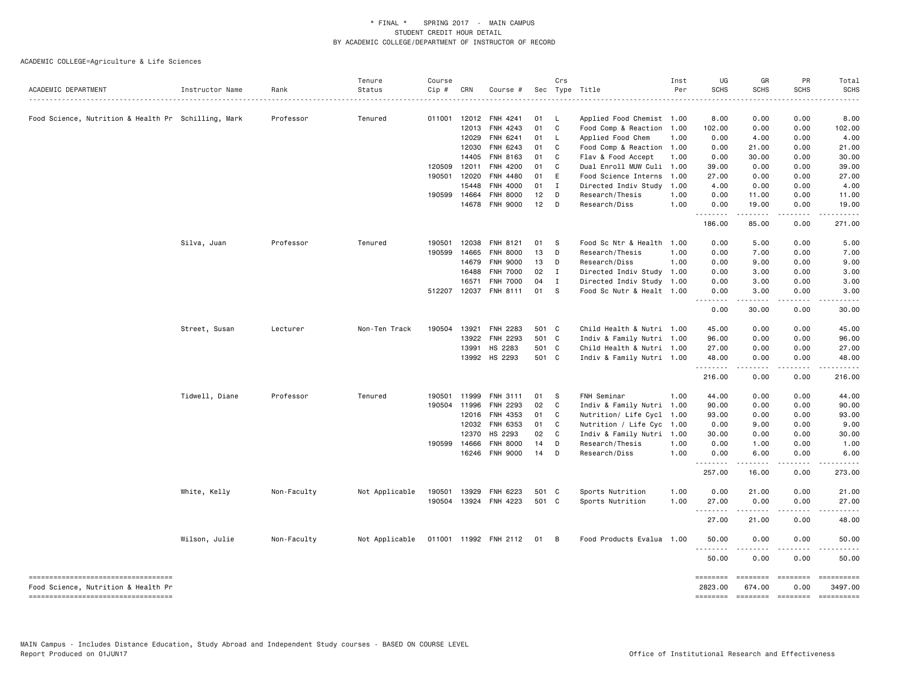| ACADEMIC DEPARTMENT                                                        | Instructor Name | Rank        | Tenure<br>Status                     | Course<br>Cip # | CRN            | Course #                    |          | Crs            | Sec Type Title                             | Inst<br>Per  | UG<br><b>SCHS</b>   | GR<br><b>SCHS</b>         | PR<br><b>SCHS</b>     | Total<br><b>SCHS</b>  |
|----------------------------------------------------------------------------|-----------------|-------------|--------------------------------------|-----------------|----------------|-----------------------------|----------|----------------|--------------------------------------------|--------------|---------------------|---------------------------|-----------------------|-----------------------|
|                                                                            |                 |             |                                      |                 |                |                             |          |                |                                            |              |                     |                           |                       |                       |
| Food Science, Nutrition & Health Pr Schilling, Mark                        |                 | Professor   | Tenured                              |                 | 011001 12012   | <b>FNH 4241</b>             | 01       | - L            | Applied Food Chemist 1.00                  |              | 8.00                | 0.00                      | 0.00                  | 8.00                  |
|                                                                            |                 |             |                                      |                 | 12013          | FNH 4243                    | 01       | $\mathbf{C}$   | Food Comp & Reaction 1.00                  |              | 102.00              | 0.00                      | 0.00                  | 102.00                |
|                                                                            |                 |             |                                      |                 | 12029          | FNH 6241                    | 01<br>01 | - L<br>C       | Applied Food Chem                          | 1.00         | 0.00                | 4.00                      | 0.00                  | 4.00                  |
|                                                                            |                 |             |                                      |                 | 12030          | FNH 6243                    | 01       | C              | Food Comp & Reaction 1.00                  |              | 0.00                | 21.00                     | 0.00                  | 21.00                 |
|                                                                            |                 |             |                                      | 120509          | 14405<br>12011 | FNH 8163<br><b>FNH 4200</b> | 01       | C.             | Flav & Food Accept<br>Dual Enroll MUW Culi | 1.00<br>1.00 | 0.00<br>39.00       | 30.00<br>0.00             | 0.00<br>0.00          | 30.00<br>39.00        |
|                                                                            |                 |             |                                      | 190501          | 12020          | FNH 4480                    | 01 E     |                | Food Science Interns                       | 1.00         | 27.00               | 0.00                      | 0.00                  | 27.00                 |
|                                                                            |                 |             |                                      |                 | 15448          | FNH 4000                    | 01       | $\mathbf{I}$   | Directed Indiv Study                       | 1.00         | 4.00                | 0.00                      | 0.00                  | 4.00                  |
|                                                                            |                 |             |                                      |                 | 190599 14664   | FNH 8000                    | 12       | D              | Research/Thesis                            | 1.00         | 0.00                | 11.00                     | 0.00                  | 11.00                 |
|                                                                            |                 |             |                                      |                 | 14678          | <b>FNH 9000</b>             | 12       | $\Box$         | Research/Diss                              | 1.00         | 0.00                | 19.00                     | 0.00                  | 19.00                 |
|                                                                            |                 |             |                                      |                 |                |                             |          |                |                                            |              | .<br>186.00         | المتمامين<br>85.00        | .<br>0.00             | .<br>271.00           |
|                                                                            |                 |             |                                      |                 |                |                             |          |                |                                            |              |                     |                           |                       |                       |
|                                                                            | Silva, Juan     | Professor   | Tenured                              | 190501          | 12038          | FNH 8121                    | 01       | - S            | Food Sc Ntr & Health 1.00                  |              | 0.00                | 5.00                      | 0.00                  | 5.00                  |
|                                                                            |                 |             |                                      | 190599          | 14665          | <b>FNH 8000</b>             | 13       | D              | Research/Thesis                            | 1.00         | 0.00                | 7.00                      | 0.00                  | 7.00                  |
|                                                                            |                 |             |                                      |                 | 14679          | <b>FNH 9000</b>             | 13       | D              | Research/Diss                              | 1.00         | 0.00                | 9.00                      | 0.00                  | 9.00                  |
|                                                                            |                 |             |                                      |                 | 16488          | <b>FNH 7000</b>             | 02       | $\mathbf{I}$   | Directed Indiv Study 1.00                  |              | 0.00                | 3.00                      | 0.00                  | 3.00                  |
|                                                                            |                 |             |                                      |                 | 16571          | <b>FNH 7000</b>             | 04       | $\mathbf I$    | Directed Indiv Study 1.00                  |              | 0.00                | 3.00                      | 0.00                  | 3.00                  |
|                                                                            |                 |             |                                      |                 | 512207 12037   | <b>FNH 8111</b>             | 01       | <b>S</b>       | Food Sc Nutr & Healt 1.00                  |              | 0.00<br>.           | 3.00<br>$- - - - -$       | 0.00<br>$\frac{1}{2}$ | 3.00                  |
|                                                                            |                 |             |                                      |                 |                |                             |          |                |                                            |              | 0.00                | 30.00                     | 0.00                  | 30.00                 |
|                                                                            | Street, Susan   | Lecturer    | Non-Ten Track                        | 190504          | 13921          | <b>FNH 2283</b>             | 501 C    |                | Child Health & Nutri 1.00                  |              | 45.00               | 0.00                      | 0.00                  | 45.00                 |
|                                                                            |                 |             |                                      |                 | 13922          | FNH 2293                    | 501 C    |                | Indiv & Family Nutri 1.00                  |              | 96.00               | 0.00                      | 0.00                  | 96.00                 |
|                                                                            |                 |             |                                      |                 | 13991          | HS 2283                     | 501 C    |                | Child Health & Nutri 1.00                  |              | 27.00               | 0.00                      | 0.00                  | 27.00                 |
|                                                                            |                 |             |                                      |                 |                | 13992 HS 2293               | 501 C    |                | Indiv & Family Nutri 1.00                  |              | 48.00               | 0.00                      | 0.00                  | 48.00                 |
|                                                                            |                 |             |                                      |                 |                |                             |          |                |                                            |              | .<br>216.00         | <u>.</u><br>0.00          | $- - - -$<br>0.00     | .<br>216.00           |
|                                                                            | Tidwell, Diane  | Professor   | Tenured                              | 190501          | 11999          | FNH 3111                    | 01       | <b>S</b>       | FNH Seminar                                | 1.00         | 44.00               | 0.00                      | 0.00                  | 44.00                 |
|                                                                            |                 |             |                                      |                 | 190504 11996   | FNH 2293                    | 02       | C              | Indiv & Family Nutri 1.00                  |              | 90.00               | 0.00                      | 0.00                  | 90.00                 |
|                                                                            |                 |             |                                      |                 | 12016          | FNH 4353                    | 01       | C              | Nutrition/ Life Cycl 1.00                  |              | 93.00               | 0.00                      | 0.00                  | 93.00                 |
|                                                                            |                 |             |                                      |                 | 12032          | FNH 6353                    | 01       | C              | Nutrition / Life Cyc 1.00                  |              | 0.00                | 9.00                      | 0.00                  | 9.00                  |
|                                                                            |                 |             |                                      |                 | 12370          | HS 2293                     | 02       | C              | Indiv & Family Nutri 1.00                  |              | 30.00               | 0.00                      | 0.00                  | 30.00                 |
|                                                                            |                 |             |                                      | 190599          | 14666          | <b>FNH 8000</b>             | 14       | D              | Research/Thesis                            | 1.00         | 0.00                | 1.00                      | 0.00                  | 1.00                  |
|                                                                            |                 |             |                                      |                 | 16246          | <b>FNH 9000</b>             | 14       | D              | Research/Diss                              | 1.00         | 0.00<br>.           | 6.00<br>$- - - - -$       | 0.00<br>$\cdots$      | 6.00<br>.             |
|                                                                            |                 |             |                                      |                 |                |                             |          |                |                                            |              | 257.00              | 16.00                     | 0.00                  | 273.00                |
|                                                                            | White, Kelly    | Non-Faculty | Not Applicable                       |                 | 190501 13929   | FNH 6223                    | 501 C    |                | Sports Nutrition                           | 1.00         | 0.00                | 21.00                     | 0.00                  | 21.00                 |
|                                                                            |                 |             |                                      |                 |                | 190504 13924 FNH 4223       | 501 C    |                | Sports Nutrition                           | 1.00         | 27,00               | 0.00                      | 0.00                  | 27.00                 |
|                                                                            |                 |             |                                      |                 |                |                             |          |                |                                            |              | <u>.</u><br>27.00   | .<br>21.00                | .<br>0.00             | .<br>48.00            |
|                                                                            | Wilson, Julie   | Non-Faculty | Not Applicable 011001 11992 FNH 2112 |                 |                |                             | 01       | $\overline{B}$ | Food Products Evalua 1.00                  |              | 50.00               | 0.00                      | 0.00                  | 50.00                 |
|                                                                            |                 |             |                                      |                 |                |                             |          |                |                                            |              | .<br>50.00          | 0.00                      | 0.00                  | 50.00                 |
| ----------------------------------                                         |                 |             |                                      |                 |                |                             |          |                |                                            |              | ========            | ========                  | $= 222222222$         |                       |
| Food Science, Nutrition & Health Pr<br>----------------------------------- |                 |             |                                      |                 |                |                             |          |                |                                            |              | 2823,00<br>======== | 674.00<br>$= 10000000000$ | 0.00<br>$=$ ========  | 3497.00<br>========== |
|                                                                            |                 |             |                                      |                 |                |                             |          |                |                                            |              |                     |                           |                       |                       |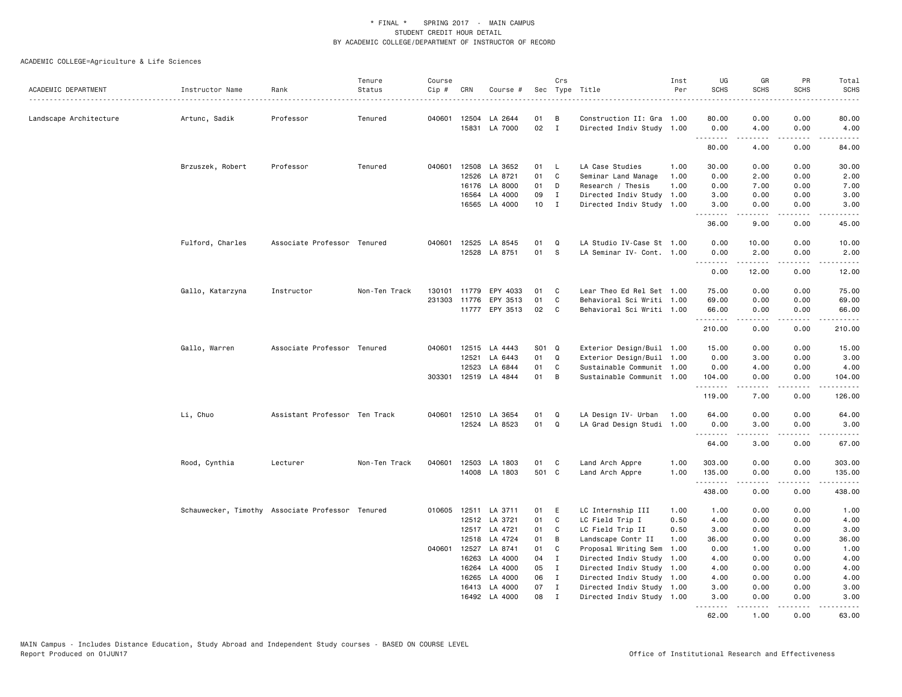| ACADEMIC DEPARTMENT    | Instructor Name                                  | Rank                          | Tenure<br>Status | Course<br>Cip # | CRN            | Course #             |          | Crs                          | Sec Type Title                                         | Inst<br>Per | UG<br><b>SCHS</b> | GR<br><b>SCHS</b>  | PR<br><b>SCHS</b> | Total<br><b>SCHS</b>                                                                                                                                                                    |
|------------------------|--------------------------------------------------|-------------------------------|------------------|-----------------|----------------|----------------------|----------|------------------------------|--------------------------------------------------------|-------------|-------------------|--------------------|-------------------|-----------------------------------------------------------------------------------------------------------------------------------------------------------------------------------------|
|                        |                                                  |                               |                  |                 |                |                      |          |                              | .                                                      |             |                   |                    |                   | .                                                                                                                                                                                       |
| Landscape Architecture | Artunc, Sadik                                    | Professor                     | Tenured          |                 |                | 040601 12504 LA 2644 | 01       | B                            | Construction II: Gra 1.00                              |             | 80.00             | 0.00               | 0.00              | 80.00                                                                                                                                                                                   |
|                        |                                                  |                               |                  |                 |                | 15831 LA 7000        | 02       | $\mathbf{I}$                 | Directed Indiv Study 1.00                              |             | 0.00<br>.         | 4.00<br>.          | 0.00<br>.         | 4.00<br>د د د د د                                                                                                                                                                       |
|                        |                                                  |                               |                  |                 |                |                      |          |                              |                                                        |             | 80.00             | 4.00               | 0.00              | 84.00                                                                                                                                                                                   |
|                        | Brzuszek, Robert                                 | Professor                     | Tenured          | 040601          | 12508          | LA 3652              | 01       | $\mathsf{L}$                 | LA Case Studies                                        | 1.00        | 30.00             | 0.00               | 0.00              | 30.00                                                                                                                                                                                   |
|                        |                                                  |                               |                  |                 | 12526          | LA 8721              | 01       | C                            | Seminar Land Manage                                    | 1.00        | 0.00              | 2.00               | 0.00              | 2.00                                                                                                                                                                                    |
|                        |                                                  |                               |                  |                 | 16176          | LA 8000              | 01       | D                            | Research / Thesis                                      | 1.00        | 0.00              | 7.00               | 0.00              | 7.00                                                                                                                                                                                    |
|                        |                                                  |                               |                  |                 | 16564          | LA 4000              | 09       | $\mathbf{I}$                 | Directed Indiv Study 1.00                              |             | 3.00              | 0.00               | 0.00              | 3.00                                                                                                                                                                                    |
|                        |                                                  |                               |                  |                 |                | 16565 LA 4000        | 10       | $\mathbf{I}$                 | Directed Indiv Study                                   | 1.00        | 3.00<br>.         | 0.00<br>. <b>.</b> | 0.00<br>.         | 3.00<br>$\frac{1}{2} \left( \frac{1}{2} \right) \left( \frac{1}{2} \right) \left( \frac{1}{2} \right) \left( \frac{1}{2} \right) \left( \frac{1}{2} \right) \left( \frac{1}{2} \right)$ |
|                        |                                                  |                               |                  |                 |                |                      |          |                              |                                                        |             | 36.00             | 9.00               | 0.00              | 45.00                                                                                                                                                                                   |
|                        | Fulford, Charles                                 | Associate Professor Tenured   |                  |                 | 040601 12525   | LA 8545              | 01       | $\Omega$                     | LA Studio IV-Case St 1.00                              |             | 0.00              | 10.00              | 0.00              | 10.00                                                                                                                                                                                   |
|                        |                                                  |                               |                  |                 |                | 12528 LA 8751        | 01       | - S                          | LA Seminar IV- Cont. 1.00                              |             | 0.00<br>.         | 2.00<br>.          | 0.00<br>-----     | 2.00<br>.                                                                                                                                                                               |
|                        |                                                  |                               |                  |                 |                |                      |          |                              |                                                        |             | 0.00              | 12.00              | 0.00              | 12.00                                                                                                                                                                                   |
|                        | Gallo, Katarzyna                                 | Instructor                    | Non-Ten Track    | 130101          | 11779          | EPY 4033             | 01       | C                            | Lear Theo Ed Rel Set 1.00                              |             | 75.00             | 0.00               | 0.00              | 75.00                                                                                                                                                                                   |
|                        |                                                  |                               |                  | 231303          | 11776          | EPY 3513             | 01       | C                            | Behavioral Sci Writi 1.00                              |             | 69.00             | 0.00               | 0.00              | 69.00                                                                                                                                                                                   |
|                        |                                                  |                               |                  |                 |                | 11777 EPY 3513       | 02       | C.                           | Behavioral Sci Writi 1.00                              |             | 66.00<br>.        | 0.00<br>د د د د    | 0.00<br>.         | 66.00<br>.                                                                                                                                                                              |
|                        |                                                  |                               |                  |                 |                |                      |          |                              |                                                        |             | 210.00            | 0.00               | 0.00              | 210.00                                                                                                                                                                                  |
|                        | Gallo, Warren                                    | Associate Professor Tenured   |                  |                 |                | 040601 12515 LA 4443 | S01 Q    |                              | Exterior Design/Buil 1.00                              |             | 15.00             | 0.00               | 0.00              | 15.00                                                                                                                                                                                   |
|                        |                                                  |                               |                  |                 | 12521          | LA 6443              | 01       | $\mathbf Q$                  | Exterior Design/Buil 1.00                              |             | 0.00              | 3.00               | 0.00              | 3.00                                                                                                                                                                                    |
|                        |                                                  |                               |                  |                 | 12523          | LA 6844              | 01       | C                            | Sustainable Communit 1.00                              |             | 0.00              | 4.00               | 0.00              | 4.00                                                                                                                                                                                    |
|                        |                                                  |                               |                  | 303301          | 12519          | LA 4844              | 01       | B                            | Sustainable Communit 1.00                              |             | 104.00<br>.       | 0.00<br>.          | 0.00<br>.         | 104.00                                                                                                                                                                                  |
|                        |                                                  |                               |                  |                 |                |                      |          |                              |                                                        |             | 119.00            | 7.00               | 0.00              | 126.00                                                                                                                                                                                  |
|                        | Li, Chuo                                         | Assistant Professor Ten Track |                  | 040601          |                | 12510 LA 3654        | 01       | Q                            | LA Design IV- Urban                                    | 1.00        | 64.00             | 0.00               | 0.00              | 64.00                                                                                                                                                                                   |
|                        |                                                  |                               |                  |                 |                | 12524 LA 8523        | 01       | Q                            | LA Grad Design Studi 1.00                              |             | 0.00<br><u>.</u>  | 3.00<br>.          | 0.00<br>.         | 3.00<br>$    -$                                                                                                                                                                         |
|                        |                                                  |                               |                  |                 |                |                      |          |                              |                                                        |             | 64.00             | 3.00               | 0.00              | 67.00                                                                                                                                                                                   |
|                        | Rood, Cynthia                                    | Lecturer                      | Non-Ten Track    |                 |                | 040601 12503 LA 1803 | 01       | C.                           | Land Arch Appre                                        | 1.00        | 303.00            | 0.00               | 0.00              | 303.00                                                                                                                                                                                  |
|                        |                                                  |                               |                  |                 |                | 14008 LA 1803        | 501 C    |                              | Land Arch Appre                                        | 1.00        | 135.00<br>.       | 0.00               | 0.00<br>د د د د   | 135.00<br><u>.</u>                                                                                                                                                                      |
|                        |                                                  |                               |                  |                 |                |                      |          |                              |                                                        |             | 438.00            | 0.00               | 0.00              | 438.00                                                                                                                                                                                  |
|                        | Schauwecker, Timothy Associate Professor Tenured |                               |                  |                 |                | 010605 12511 LA 3711 | 01       | E                            | LC Internship III                                      | 1.00        | 1.00              | 0.00               | 0.00              | 1.00                                                                                                                                                                                    |
|                        |                                                  |                               |                  |                 |                | 12512 LA 3721        | 01       | C                            | LC Field Trip I                                        | 0.50        | 4.00              | 0.00               | 0.00              | 4.00                                                                                                                                                                                    |
|                        |                                                  |                               |                  |                 |                | 12517 LA 4721        | 01       | C                            | LC Field Trip II                                       | 0.50        | 3.00              | 0.00               | 0.00              | 3.00                                                                                                                                                                                    |
|                        |                                                  |                               |                  |                 | 12518          | LA 4724              | 01       | B                            | Landscape Contr II                                     | 1.00        | 36.00             | 0.00               | 0.00              | 36.00                                                                                                                                                                                   |
|                        |                                                  |                               |                  |                 | 040601 12527   | LA 8741              | 01       | C                            | Proposal Writing Sem                                   | 1.00        | 0.00              | 1.00               | 0.00              | 1.00                                                                                                                                                                                    |
|                        |                                                  |                               |                  |                 | 16263          | LA 4000              | 04       | $\mathbf{I}$                 | Directed Indiv Study                                   | 1.00        | 4.00              | 0.00               | 0.00              | 4.00                                                                                                                                                                                    |
|                        |                                                  |                               |                  |                 | 16264          | LA 4000              | 05       | $\mathbf{I}$<br>$\mathbf{I}$ | Directed Indiv Study 1.00                              |             | 4.00              | 0.00               | 0.00              | 4.00                                                                                                                                                                                    |
|                        |                                                  |                               |                  |                 | 16265<br>16413 | LA 4000<br>LA 4000   | 06<br>07 | $\mathbf{I}$                 | Directed Indiv Study 1.00<br>Directed Indiv Study 1.00 |             | 4.00<br>3.00      | 0.00<br>0.00       | 0.00<br>0.00      | 4.00<br>3.00                                                                                                                                                                            |
|                        |                                                  |                               |                  |                 |                | 16492 LA 4000        | 08       | $\mathbf{I}$                 | Directed Indiv Study 1.00                              |             | 3.00              | 0.00               | 0.00              | 3.00                                                                                                                                                                                    |
|                        |                                                  |                               |                  |                 |                |                      |          |                              |                                                        |             | <u>.</u><br>62.00 | 1.00               | 0.00              | $- - - - -$<br>63.00                                                                                                                                                                    |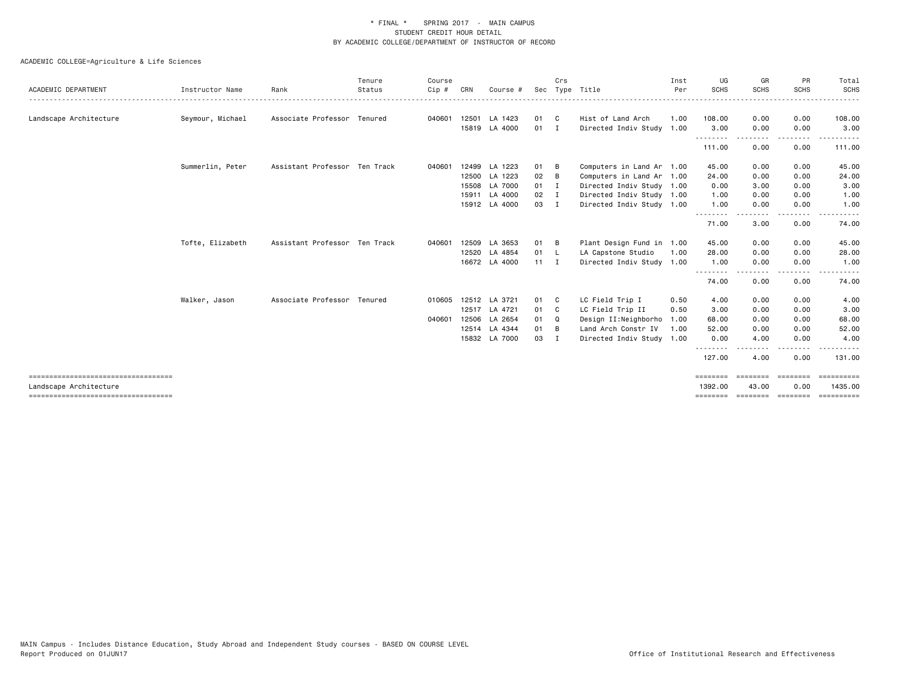# ACADEMIC COLLEGE=Agriculture & Life Sciences

|                                                                |                  |                               | Tenure | Course |     |                      |               | Crs |                           | Inst | UG                 | GR          | PR               | Total                   |
|----------------------------------------------------------------|------------------|-------------------------------|--------|--------|-----|----------------------|---------------|-----|---------------------------|------|--------------------|-------------|------------------|-------------------------|
| ACADEMIC DEPARTMENT                                            | Instructor Name  | Rank                          | Status | Cip#   | CRN | Course #             |               |     | Sec Type Title            | Per  | <b>SCHS</b>        | <b>SCHS</b> | <b>SCHS</b>      | <b>SCHS</b><br>$\cdots$ |
| Landscape Architecture                                         | Seymour, Michael | Associate Professor Tenured   |        | 040601 |     | 12501 LA 1423        | 01 C          |     | Hist of Land Arch         | 1.00 | 108.00             | 0.00        | 0.00             | 108.00                  |
|                                                                |                  |                               |        |        |     | 15819 LA 4000        | $01$ I        |     | Directed Indiv Study 1.00 |      | 3.00               | 0.00        | 0.00             | 3.00                    |
|                                                                |                  |                               |        |        |     |                      |               |     |                           |      | --------<br>111.00 | 0.00        | 0.00             | 111.00                  |
|                                                                | Summerlin, Peter | Assistant Professor Ten Track |        | 040601 |     | 12499 LA 1223        | 01            | B   | Computers in Land Ar 1.00 |      | 45.00              | 0.00        | 0.00             | 45.00                   |
|                                                                |                  |                               |        |        |     | 12500 LA 1223        | 02            | B   | Computers in Land Ar 1.00 |      | 24.00              | 0.00        | 0.00             | 24.00                   |
|                                                                |                  |                               |        |        |     | 15508 LA 7000        | $01 \quad I$  |     | Directed Indiv Study 1.00 |      | 0.00               | 3.00        | 0.00             | 3.00                    |
|                                                                |                  |                               |        |        |     | 15911 LA 4000        | $02 \qquad I$ |     | Directed Indiv Study 1.00 |      | 1.00               | 0.00        | 0.00             | 1.00                    |
|                                                                |                  |                               |        |        |     | 15912 LA 4000        | 03            | - I | Directed Indiv Study 1.00 |      | 1.00               | 0.00        | 0.00             | 1.00                    |
|                                                                |                  |                               |        |        |     |                      |               |     |                           |      | .<br>71.00         | 3.00        | 0.00             | 74.00                   |
|                                                                | Tofte, Elizabeth | Assistant Professor Ten Track |        | 040601 |     | 12509 LA 3653        | 01 B          |     | Plant Design Fund in 1.00 |      | 45.00              | 0.00        | 0.00             | 45.00                   |
|                                                                |                  |                               |        |        |     | 12520 LA 4854        | 01 L          |     | LA Capstone Studio        | 1.00 | 28.00              | 0.00        | 0.00             | 28.00                   |
|                                                                |                  |                               |        |        |     | 16672 LA 4000        | $11 \quad I$  |     | Directed Indiv Study 1.00 |      | 1.00               | 0.00        | 0.00             | 1.00                    |
|                                                                |                  |                               |        |        |     |                      |               |     |                           |      | --------<br>74.00  | .<br>0.00   | $\cdots$<br>0.00 | 74.00                   |
|                                                                | Walker, Jason    | Associate Professor Tenured   |        |        |     | 010605 12512 LA 3721 | 01 C          |     | LC Field Trip I           | 0.50 | 4.00               | 0.00        | 0.00             | 4.00                    |
|                                                                |                  |                               |        |        |     | 12517 LA 4721        | 01 C          |     | LC Field Trip II          | 0.50 | 3.00               | 0.00        | 0.00             | 3.00                    |
|                                                                |                  |                               |        | 040601 |     | 12506 LA 2654        | 01 Q          |     | Design II:Neighborho      | 1.00 | 68.00              | 0.00        | 0.00             | 68.00                   |
|                                                                |                  |                               |        |        |     | 12514 LA 4344        | 01 B          |     | Land Arch Constr IV       | 1.00 | 52.00              | 0.00        | 0.00             | 52.00                   |
|                                                                |                  |                               |        |        |     | 15832 LA 7000        | 03            | I   | Directed Indiv Study 1.00 |      | 0.00               | 4.00        | 0.00             | 4.00                    |
|                                                                |                  |                               |        |        |     |                      |               |     |                           |      | .<br>127.00        | .<br>4.00   | .<br>0.00        | .<br>131.00             |
| ====================================<br>Landscape Architecture |                  |                               |        |        |     |                      |               |     |                           |      | 1392.00            | 43.00       | 0.00             | ==========<br>1435.00   |

=================================== ======== ======== ======== ==========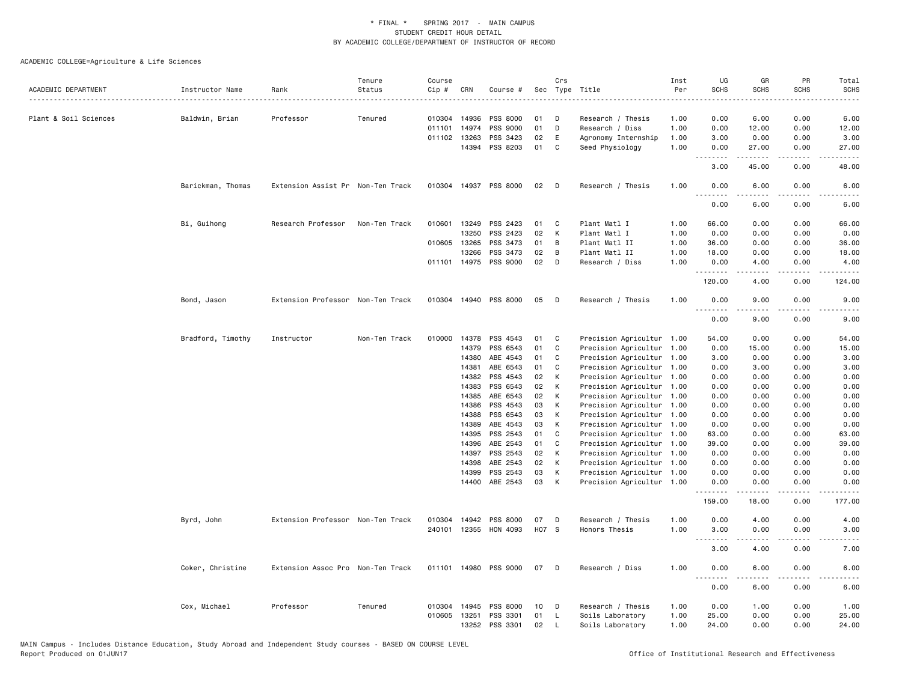| ACADEMIC DEPARTMENT   | Instructor Name   | Rank                              | Tenure<br>Status | Course<br>Cip # | CRN          | Course #                   |          | Crs    | Sec Type Title                                         | Inst<br>Per | UG<br><b>SCHS</b> | GR<br><b>SCHS</b>                                                                                                                                            | PR<br><b>SCHS</b> | Total<br>SCHS |
|-----------------------|-------------------|-----------------------------------|------------------|-----------------|--------------|----------------------------|----------|--------|--------------------------------------------------------|-------------|-------------------|--------------------------------------------------------------------------------------------------------------------------------------------------------------|-------------------|---------------|
|                       |                   |                                   |                  |                 |              |                            |          |        |                                                        |             |                   |                                                                                                                                                              |                   |               |
| Plant & Soil Sciences | Baldwin, Brian    | Professor                         | Tenured          |                 | 010304 14936 | PSS 8000                   | 01       | D      | Research / Thesis                                      | 1.00        | 0.00              | 6.00                                                                                                                                                         | 0.00              | 6.00          |
|                       |                   |                                   |                  | 011101          | 14974        | PSS 9000                   | 01       | D      | Research / Diss                                        | 1.00        | 0.00              | 12.00                                                                                                                                                        | 0.00              | 12.00         |
|                       |                   |                                   |                  |                 | 011102 13263 | PSS 3423                   | 02       | E      | Agronomy Internship                                    | 1.00        | 3.00              | 0.00                                                                                                                                                         | 0.00              | 3.00          |
|                       |                   |                                   |                  |                 | 14394        | PSS 8203                   | 01       | C      | Seed Physiology                                        | 1.00        | 0.00<br>.         | 27.00<br><u>.</u>                                                                                                                                            | 0.00<br>$  -$     | 27.00         |
|                       |                   |                                   |                  |                 |              |                            |          |        |                                                        |             | 3.00              | 45.00                                                                                                                                                        | 0.00              | 48.00         |
|                       | Barickman, Thomas | Extension Assist Pr Non-Ten Track |                  |                 |              | 010304 14937 PSS 8000      | 02       | D      | Research / Thesis                                      | 1.00        | 0.00              | 6.00                                                                                                                                                         | 0.00              | 6.00          |
|                       |                   |                                   |                  |                 |              |                            |          |        |                                                        |             | 0.00              | 6.00                                                                                                                                                         | 0.00              | 6.00          |
|                       | Bi, Guihong       | Research Professor                | Non-Ten Track    | 010601          | 13249        | PSS 2423                   | 01       | C      | Plant Matl I                                           | 1.00        | 66.00             | 0.00                                                                                                                                                         | 0.00              | 66.00         |
|                       |                   |                                   |                  |                 | 13250        | PSS 2423                   | 02       | K      | Plant Matl I                                           | 1.00        | 0.00              | 0.00                                                                                                                                                         | 0.00              | 0.00          |
|                       |                   |                                   |                  |                 | 010605 13265 | PSS 3473                   | 01       | В      | Plant Matl II                                          | 1.00        | 36.00             | 0.00                                                                                                                                                         | 0.00              | 36.00         |
|                       |                   |                                   |                  |                 | 13266        | PSS 3473                   | 02       | B      | Plant Matl II                                          | 1.00        | 18.00             | 0.00                                                                                                                                                         | 0.00              | 18.00         |
|                       |                   |                                   |                  |                 |              | 011101 14975 PSS 9000      | 02       | D      | Research / Diss                                        | 1.00        | 0.00<br>.         | 4.00<br>.                                                                                                                                                    | 0.00<br>.         | 4.00<br>.     |
|                       |                   |                                   |                  |                 |              |                            |          |        |                                                        |             | 120.00            | 4.00                                                                                                                                                         | 0.00              | 124.00        |
|                       | Bond, Jason       | Extension Professor Non-Ten Track |                  |                 |              | 010304 14940 PSS 8000      | 05       | D      | Research / Thesis                                      | 1.00        | 0.00              | 9.00                                                                                                                                                         | 0.00              | 9.00          |
|                       |                   |                                   |                  |                 |              |                            |          |        |                                                        |             | 0.00              | 9.00                                                                                                                                                         | 0.00              | 9.00          |
|                       | Bradford, Timothy | Instructor                        | Non-Ten Track    |                 |              | 010000 14378 PSS 4543      | 01       | C      | Precision Agricultur 1.00                              |             | 54.00             | 0.00                                                                                                                                                         | 0.00              | 54.00         |
|                       |                   |                                   |                  |                 | 14379        | PSS 6543                   | 01       | C      | Precision Agricultur 1.00                              |             | 0.00              | 15.00                                                                                                                                                        | 0.00              | 15.00         |
|                       |                   |                                   |                  |                 | 14380        | ABE 4543                   | 01       | C      | Precision Agricultur 1.00                              |             | 3.00              | 0.00                                                                                                                                                         | 0.00              | 3.00          |
|                       |                   |                                   |                  |                 | 14381        | ABE 6543                   | 01       | C      | Precision Agricultur 1.00                              |             | 0.00              | 3.00                                                                                                                                                         | 0.00              | 3.00          |
|                       |                   |                                   |                  |                 | 14382        | PSS 4543                   | 02       | К      | Precision Agricultur 1.00                              |             | 0.00              | 0.00                                                                                                                                                         | 0.00              | 0.00          |
|                       |                   |                                   |                  |                 | 14383        | PSS 6543                   | 02       | К      | Precision Agricultur 1.00                              |             | 0.00              | 0.00                                                                                                                                                         | 0.00              | 0.00          |
|                       |                   |                                   |                  |                 | 14385        | ABE 6543                   | 02       | К      | Precision Agricultur 1.00                              |             | 0.00              | 0.00                                                                                                                                                         | 0.00              | 0.00          |
|                       |                   |                                   |                  |                 | 14386        | PSS 4543                   | 03       | К      | Precision Agricultur 1.00                              |             | 0.00              | 0.00                                                                                                                                                         | 0.00              | 0.00          |
|                       |                   |                                   |                  |                 | 14388        | PSS 6543                   | 03       | К      | Precision Agricultur 1.00                              |             | 0.00              | 0.00                                                                                                                                                         | 0.00              | 0.00          |
|                       |                   |                                   |                  |                 | 14389        | ABE 4543                   | 03       | К      | Precision Agricultur 1.00                              |             | 0.00              | 0.00                                                                                                                                                         | 0.00              | 0.00          |
|                       |                   |                                   |                  |                 | 14395        | PSS 2543                   | 01       | C      | Precision Agricultur 1.00                              |             | 63.00             | 0.00                                                                                                                                                         | 0.00              | 63.00         |
|                       |                   |                                   |                  |                 | 14396        | ABE 2543                   | 01       | C      | Precision Agricultur 1.00                              |             | 39.00             | 0.00                                                                                                                                                         | 0.00              | 39.00         |
|                       |                   |                                   |                  |                 | 14397        | PSS 2543                   | 02       | К      | Precision Agricultur 1.00                              |             | 0.00              | 0.00                                                                                                                                                         | 0.00              | 0.00          |
|                       |                   |                                   |                  |                 | 14398        | ABE 2543                   | 02       | К      | Precision Agricultur 1.00                              |             | 0.00              | 0.00                                                                                                                                                         | 0.00              | 0.00          |
|                       |                   |                                   |                  |                 | 14399        | PSS 2543<br>14400 ABE 2543 | 03<br>03 | К<br>К | Precision Agricultur 1.00<br>Precision Agricultur 1.00 |             | 0.00<br>0.00      | 0.00<br>0.00                                                                                                                                                 | 0.00<br>0.00      | 0.00<br>0.00  |
|                       |                   |                                   |                  |                 |              |                            |          |        |                                                        |             | .<br>159.00       | $- - - - -$<br>18.00                                                                                                                                         | .<br>0.00         | .<br>177.00   |
|                       |                   |                                   |                  |                 |              |                            |          |        |                                                        |             |                   |                                                                                                                                                              |                   |               |
|                       | Byrd, John        | Extension Professor Non-Ten Track |                  | 010304          | 14942        | PSS 8000                   | 07       | D      | Research / Thesis                                      | 1.00        | 0.00              | 4.00                                                                                                                                                         | 0.00              | 4.00          |
|                       |                   |                                   |                  | 240101          |              | 12355 HON 4093             | H07 S    |        | Honors Thesis                                          | 1.00        | 3.00<br>.         | 0.00<br>$\frac{1}{2} \left( \frac{1}{2} \right) \left( \frac{1}{2} \right) \left( \frac{1}{2} \right) \left( \frac{1}{2} \right) \left( \frac{1}{2} \right)$ | 0.00<br>.         | 3.00<br>.     |
|                       |                   |                                   |                  |                 |              |                            |          |        |                                                        |             | 3.00              | 4.00                                                                                                                                                         | 0.00              | 7.00          |
|                       | Coker, Christine  | Extension Assoc Pro Non-Ten Track |                  |                 |              | 011101 14980 PSS 9000      | 07       | D      | Research / Diss                                        | 1.00        | 0.00<br>.         | 6.00                                                                                                                                                         | 0.00              | 6.00          |
|                       |                   |                                   |                  |                 |              |                            |          |        |                                                        |             | 0.00              | 6.00                                                                                                                                                         | 0.00              | 6.00          |
|                       | Cox, Michael      | Professor                         | Tenured          |                 | 010304 14945 | PSS 8000                   | 10       | D      | Research / Thesis                                      | 1.00        | 0.00              | 1.00                                                                                                                                                         | 0.00              | 1.00          |
|                       |                   |                                   |                  | 010605          | 13251        | PSS 3301                   | 01       | L      | Soils Laboratory                                       | 1.00        | 25.00             | 0.00                                                                                                                                                         | 0.00              | 25.00         |
|                       |                   |                                   |                  |                 | 13252        | PSS 3301                   | 02       | L.     | Soils Laboratory                                       | 1.00        | 24.00             | 0.00                                                                                                                                                         | 0.00              | 24.00         |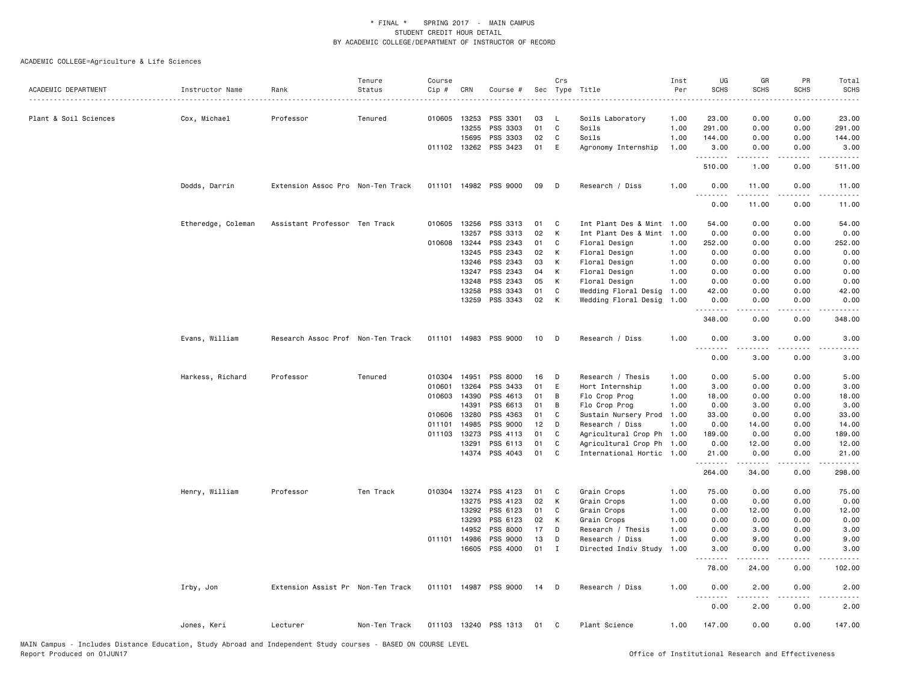| ACADEMIC DEPARTMENT   | Instructor Name    | Rank                              | Tenure<br>Status | Course<br>Cip # | CRN   | Course #              |    | Crs         | Sec Type Title            | Inst<br>Per | UG<br><b>SCHS</b> | GR<br><b>SCHS</b>  | PR<br><b>SCHS</b>                   | Total<br><b>SCHS</b> |
|-----------------------|--------------------|-----------------------------------|------------------|-----------------|-------|-----------------------|----|-------------|---------------------------|-------------|-------------------|--------------------|-------------------------------------|----------------------|
| Plant & Soil Sciences | Cox, Michael       | Professor                         | Tenured          | 010605 13253    |       | PSS 3301              | 03 | - L         | Soils Laboratory          | 1.00        | 23.00             | 0.00               | 0.00                                | 23.00                |
|                       |                    |                                   |                  |                 | 13255 | PSS 3303              | 01 | C           | Soils                     | 1.00        | 291.00            | 0.00               | 0.00                                | 291.00               |
|                       |                    |                                   |                  |                 | 15695 | PSS 3303              | 02 | C           | Soils                     | 1.00        | 144.00            | 0.00               | 0.00                                | 144.00               |
|                       |                    |                                   |                  | 011102 13262    |       | PSS 3423              | 01 | E           | Agronomy Internship       | 1.00        | 3.00              | 0.00<br><u>.</u>   | 0.00<br>.                           | 3.00                 |
|                       |                    |                                   |                  |                 |       |                       |    |             |                           |             | .<br>510.00       | 1.00               | 0.00                                | .<br>511.00          |
|                       | Dodds, Darrin      | Extension Assoc Pro Non-Ten Track |                  |                 |       | 011101 14982 PSS 9000 | 09 | D           | Research / Diss           | 1.00        | 0.00<br>.         | 11.00<br>د د د د د | 0.00<br>$\sim$ $\sim$ $\sim$ $\sim$ | 11.00                |
|                       |                    |                                   |                  |                 |       |                       |    |             |                           |             | 0.00              | 11.00              | 0.00                                | 11.00                |
|                       | Etheredge, Coleman | Assistant Professor Ten Track     |                  | 010605 13256    |       | PSS 3313              | 01 | C           | Int Plant Des & Mint 1.00 |             | 54.00             | 0.00               | 0.00                                | 54.00                |
|                       |                    |                                   |                  |                 | 13257 | PSS 3313              | 02 | К           | Int Plant Des & Mint 1.00 |             | 0.00              | 0.00               | 0.00                                | 0.00                 |
|                       |                    |                                   |                  | 010608 13244    |       | PSS 2343              | 01 | C           | Floral Design             | 1.00        | 252.00            | 0.00               | 0.00                                | 252.00               |
|                       |                    |                                   |                  |                 | 13245 | PSS 2343              | 02 | К           | Floral Design             | 1.00        | 0.00              | 0.00               | 0.00                                | 0.00                 |
|                       |                    |                                   |                  |                 | 13246 | PSS 2343              | 03 | К           | Floral Design             | 1.00        | 0.00              | 0.00               | 0.00                                | 0.00                 |
|                       |                    |                                   |                  |                 | 13247 | PSS 2343              | 04 | К           | Floral Design             | 1.00        | 0.00              | 0.00               | 0.00                                | 0.00                 |
|                       |                    |                                   |                  |                 | 13248 | PSS 2343              | 05 | К           | Floral Design             | 1.00        | 0.00              | 0.00               | 0.00                                | 0.00                 |
|                       |                    |                                   |                  |                 | 13258 | PSS 3343              | 01 | C           | Wedding Floral Desig      | 1.00        | 42.00             | 0.00               | 0.00                                | 42.00                |
|                       |                    |                                   |                  |                 | 13259 | PSS 3343              | 02 | К           | Wedding Floral Desig      | 1.00        | 0.00              | 0.00               | 0.00                                | 0.00                 |
|                       |                    |                                   |                  |                 |       |                       |    |             |                           |             | 348.00            | 0.00               | 0.00                                | 348.00               |
|                       | Evans, William     | Research Assoc Prof Non-Ten Track |                  |                 |       | 011101 14983 PSS 9000 | 10 | D           | Research / Diss           | 1.00        | 0.00<br>.         | 3.00               | 0.00                                | 3.00                 |
|                       |                    |                                   |                  |                 |       |                       |    |             |                           |             | 0.00              | 3.00               | 0.00                                | 3.00                 |
|                       | Harkess, Richard   | Professor                         | Tenured          | 010304          | 14951 | PSS 8000              | 16 | D           | Research / Thesis         | 1.00        | 0.00              | 5.00               | 0.00                                | 5.00                 |
|                       |                    |                                   |                  | 010601          | 13264 | PSS 3433              | 01 | E           | Hort Internship           | 1.00        | 3.00              | 0.00               | 0.00                                | 3.00                 |
|                       |                    |                                   |                  | 010603          | 14390 | PSS 4613              | 01 | В           | Flo Crop Prog             | 1.00        | 18.00             | 0.00               | 0.00                                | 18.00                |
|                       |                    |                                   |                  |                 | 14391 | PSS 6613              | 01 | В           | Flo Crop Prog             | 1.00        | 0.00              | 3.00               | 0.00                                | 3.00                 |
|                       |                    |                                   |                  | 010606 13280    |       | PSS 4363              | 01 | C           | Sustain Nursery Prod      | 1.00        | 33.00             | 0.00               | 0.00                                | 33.00                |
|                       |                    |                                   |                  | 011101          | 14985 | PSS 9000              | 12 | D           | Research / Diss           | 1.00        | 0.00              | 14.00              | 0.00                                | 14.00                |
|                       |                    |                                   |                  | 011103          | 13273 | PSS 4113              | 01 | C           | Agricultural Crop Ph      | 1.00        | 189.00            | 0.00               | 0.00                                | 189.00               |
|                       |                    |                                   |                  |                 | 13291 | PSS 6113              | 01 | C           | Agricultural Crop Ph 1.00 |             | 0.00              | 12.00              | 0.00                                | 12.00                |
|                       |                    |                                   |                  |                 |       | 14374 PSS 4043        | 01 | C           | International Hortic 1.00 |             | 21.00<br>.        | 0.00               | 0.00<br>$\sim$ $\sim$ $\sim$ $\sim$ | 21.00                |
|                       |                    |                                   |                  |                 |       |                       |    |             |                           |             | 264.00            | 34.00              | 0.00                                | 298.00               |
|                       | Henry, William     | Professor                         | Ten Track        |                 |       | 010304 13274 PSS 4123 | 01 | C           | Grain Crops               | 1.00        | 75.00             | 0.00               | 0.00                                | 75.00                |
|                       |                    |                                   |                  |                 | 13275 | PSS 4123              | 02 | К           | Grain Crops               | 1.00        | 0.00              | 0.00               | 0.00                                | 0.00                 |
|                       |                    |                                   |                  |                 | 13292 | PSS 6123              | 01 | C           | Grain Crops               | 1.00        | 0.00              | 12.00              | 0.00                                | 12.00                |
|                       |                    |                                   |                  |                 | 13293 | PSS 6123              | 02 | К           | Grain Crops               | 1.00        | 0.00              | 0.00               | 0.00                                | 0.00                 |
|                       |                    |                                   |                  |                 | 14952 | PSS 8000              | 17 | D           | Research / Thesis         | 1.00        | 0.00              | 3.00               | 0.00                                | 3.00                 |
|                       |                    |                                   |                  | 011101          | 14986 | PSS 9000              | 13 | D           | Research / Diss           | 1.00        | 0.00              | 9.00               | 0.00                                | 9.00                 |
|                       |                    |                                   |                  |                 | 16605 | PSS 4000              | 01 | $\mathbf I$ | Directed Indiv Study      | 1.00        | 3.00<br><u>.</u>  | 0.00<br>.          | 0.00<br>.                           | 3.00                 |
|                       |                    |                                   |                  |                 |       |                       |    |             |                           |             | 78.00             | 24.00              | 0.00                                | 102.00               |
|                       | Irby, Jon          | Extension Assist Pr Non-Ten Track |                  |                 |       | 011101 14987 PSS 9000 | 14 | D           | Research / Diss           | 1.00        | 0.00<br>.         | 2.00               | 0.00                                | 2.00                 |
|                       |                    |                                   |                  |                 |       |                       |    |             |                           |             | 0.00              | 2.00               | 0.00                                | 2.00                 |
|                       | Jones, Keri        | Lecturer                          | Non-Ten Track    |                 |       | 011103 13240 PSS 1313 | 01 | C           | Plant Science             | 1.00        | 147.00            | 0.00               | 0.00                                | 147.00               |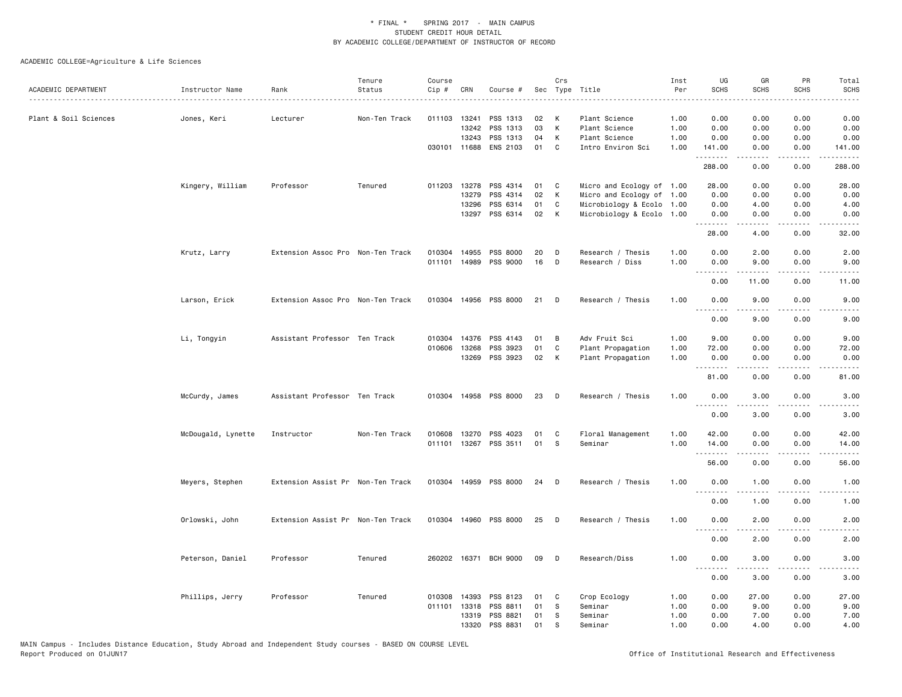| ACADEMIC DEPARTMENT   | Instructor Name    | Rank                              | Tenure<br>Status | Course<br>Cip # | CRN          | Course #              |    | Crs            | Sec Type Title            | Inst<br>Per | UG<br><b>SCHS</b>            | GR<br><b>SCHS</b>     | PR<br><b>SCHS</b>                                                                                                                 | Total<br>SCHS          |
|-----------------------|--------------------|-----------------------------------|------------------|-----------------|--------------|-----------------------|----|----------------|---------------------------|-------------|------------------------------|-----------------------|-----------------------------------------------------------------------------------------------------------------------------------|------------------------|
|                       |                    |                                   |                  |                 |              |                       |    |                |                           | .           |                              |                       |                                                                                                                                   | -----                  |
| Plant & Soil Sciences | Jones, Keri        | Lecturer                          | Non-Ten Track    |                 | 011103 13241 | PSS 1313              | 02 | K              | Plant Science             | 1.00        | 0.00                         | 0.00                  | 0.00                                                                                                                              | 0.00                   |
|                       |                    |                                   |                  |                 | 13242        | PSS 1313              | 03 | K              | Plant Science             | 1.00        | 0.00                         | 0.00                  | 0.00                                                                                                                              | 0.00                   |
|                       |                    |                                   |                  |                 | 13243        | PSS 1313              | 04 | K              | Plant Science             | 1.00        | 0.00                         | 0.00                  | 0.00                                                                                                                              | 0.00                   |
|                       |                    |                                   |                  |                 | 030101 11688 | ENS 2103              | 01 | C              | Intro Environ Sci         | 1.00        | 141.00<br>.                  | 0.00                  | 0.00                                                                                                                              | 141.00                 |
|                       |                    |                                   |                  |                 |              |                       |    |                |                           |             | 288.00                       | 0.00                  | 0.00                                                                                                                              | 288.00                 |
|                       | Kingery, William   | Professor                         | Tenured          |                 | 011203 13278 | PSS 4314              | 01 | $\mathbf{C}$   | Micro and Ecology of 1.00 |             | 28.00                        | 0.00                  | 0.00                                                                                                                              | 28.00                  |
|                       |                    |                                   |                  |                 | 13279        | PSS 4314              | 02 | K              | Micro and Ecology of 1.00 |             | 0.00                         | 0.00                  | 0.00                                                                                                                              | 0.00                   |
|                       |                    |                                   |                  |                 | 13296        | PSS 6314              | 01 | C              | Microbiology & Ecolo 1.00 |             | 0.00                         | 4.00                  | 0.00                                                                                                                              | 4.00                   |
|                       |                    |                                   |                  |                 | 13297        | PSS 6314              | 02 | K              | Microbiology & Ecolo 1.00 |             | 0.00<br>.                    | 0.00                  | 0.00                                                                                                                              | 0.00                   |
|                       |                    |                                   |                  |                 |              |                       |    |                |                           |             | 28.00                        | 4.00                  | 0.00                                                                                                                              | 32.00                  |
|                       | Krutz, Larry       | Extension Assoc Pro Non-Ten Track |                  |                 | 010304 14955 | PSS 8000              | 20 | D              | Research / Thesis         | 1.00        | 0.00                         | 2.00                  | 0.00                                                                                                                              | 2.00                   |
|                       |                    |                                   |                  |                 | 011101 14989 | PSS 9000              | 16 | D              | Research / Diss           | 1.00        | 0.00<br>-----                | 9.00<br>$\frac{1}{2}$ | 0.00<br>$\frac{1}{2} \left( \frac{1}{2} \right) \left( \frac{1}{2} \right) \left( \frac{1}{2} \right) \left( \frac{1}{2} \right)$ | 9.00                   |
|                       |                    |                                   |                  |                 |              |                       |    |                |                           |             | 0.00                         | 11.00                 | 0.00                                                                                                                              | 11.00                  |
|                       | Larson, Erick      | Extension Assoc Pro Non-Ten Track |                  |                 |              | 010304 14956 PSS 8000 | 21 | $\Box$         | Research / Thesis         | 1.00        | 0.00<br>.                    | 9.00                  | 0.00                                                                                                                              | 9.00                   |
|                       |                    |                                   |                  |                 |              |                       |    |                |                           |             | 0.00                         | 9.00                  | 0.00                                                                                                                              | 9.00                   |
|                       | Li, Tongyin        | Assistant Professor Ten Track     |                  |                 | 010304 14376 | PSS 4143              | 01 | $\overline{B}$ | Adv Fruit Sci             | 1.00        | 9.00                         | 0.00                  | 0.00                                                                                                                              | 9.00                   |
|                       |                    |                                   |                  | 010606          | 13268        | PSS 3923              | 01 | $\mathbf c$    | Plant Propagation         | 1.00        | 72.00                        | 0.00                  | 0.00                                                                                                                              | 72.00                  |
|                       |                    |                                   |                  |                 | 13269        | PSS 3923              | 02 | K              | Plant Propagation         | 1.00        | 0.00<br>.                    | 0.00                  | 0.00                                                                                                                              | 0.00                   |
|                       |                    |                                   |                  |                 |              |                       |    |                |                           |             | 81.00                        | 0.00                  | 0.00                                                                                                                              | 81.00                  |
|                       | McCurdy, James     | Assistant Professor Ten Track     |                  |                 |              | 010304 14958 PSS 8000 | 23 | D              | Research / Thesis         | 1.00        | 0.00<br>.                    | 3.00                  | 0.00                                                                                                                              | 3.00                   |
|                       |                    |                                   |                  |                 |              |                       |    |                |                           |             | 0.00                         | 3.00                  | 0.00                                                                                                                              | 3.00                   |
|                       | McDougald, Lynette | Instructor                        | Non-Ten Track    | 010608          | 13270        | PSS 4023              | 01 | C              | Floral Management         | 1.00        | 42.00                        | 0.00                  | 0.00                                                                                                                              | 42.00                  |
|                       |                    |                                   |                  | 011101          | 13267        | PSS 3511              | 01 | s              | Seminar                   | 1.00        | 14.00                        | 0.00                  | 0.00                                                                                                                              | 14.00                  |
|                       |                    |                                   |                  |                 |              |                       |    |                |                           |             | .                            | .                     | $\sim$ $\sim$ $\sim$ $\sim$                                                                                                       |                        |
|                       |                    |                                   |                  |                 |              |                       |    |                |                           |             | 56.00                        | 0.00                  | 0.00                                                                                                                              | 56.00                  |
|                       | Meyers, Stephen    | Extension Assist Pr Non-Ten Track |                  |                 |              | 010304 14959 PSS 8000 | 24 | D              | Research / Thesis         | 1.00        | 0.00<br>.                    | 1.00<br>$- - - - -$   | 0.00<br>.                                                                                                                         | 1.00<br>المتمام والمنا |
|                       |                    |                                   |                  |                 |              |                       |    |                |                           |             | 0.00                         | 1.00                  | 0.00                                                                                                                              | 1.00                   |
|                       | Orlowski, John     | Extension Assist Pr Non-Ten Track |                  | 010304          | 14960        | PSS 8000              | 25 | D              | Research / Thesis         | 1.00        | 0.00                         | 2.00                  | 0.00                                                                                                                              | 2.00                   |
|                       |                    |                                   |                  |                 |              |                       |    |                |                           |             | 0.00                         | 2.00                  | 0.00                                                                                                                              | 2.00                   |
|                       | Peterson, Daniel   | Professor                         | Tenured          |                 |              | 260202 16371 BCH 9000 | 09 | <b>D</b>       | Research/Diss             | 1.00        | 0.00<br>$\sim$ $\sim$ $\sim$ | 3.00                  | 0.00                                                                                                                              | 3.00                   |
|                       |                    |                                   |                  |                 |              |                       |    |                |                           |             | 0.00                         | 3.00                  | 0.00                                                                                                                              | 3.00                   |
|                       | Phillips, Jerry    | Professor                         | Tenured          | 010308          | 14393        | PSS 8123              | 01 | C              | Crop Ecology              | 1.00        | 0.00                         | 27.00                 | 0.00                                                                                                                              | 27.00                  |
|                       |                    |                                   |                  |                 | 011101 13318 | PSS 8811              | 01 | - S            | Seminar                   | 1.00        | 0.00                         | 9.00                  | 0.00                                                                                                                              | 9.00                   |
|                       |                    |                                   |                  |                 | 13319        | PSS 8821              | 01 | S              | Seminar                   | 1.00        | 0.00                         | 7.00                  | 0.00                                                                                                                              | 7.00                   |
|                       |                    |                                   |                  |                 | 13320        | PSS 8831              | 01 | S              | Seminar                   | 1.00        | 0.00                         | 4.00                  | 0.00                                                                                                                              | 4.00                   |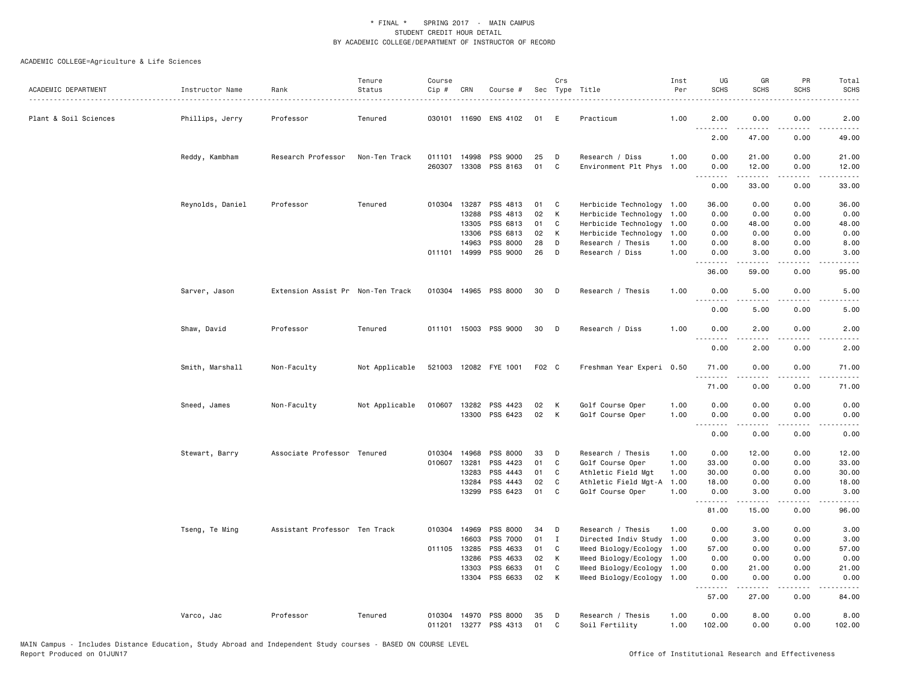| ACADEMIC DEPARTMENT   | Instructor Name  | Rank                              | Tenure<br>Status | Course<br>Cip # | CRN                          | Course #                          |          | Crs         | Sec Type Title                          | Inst<br>Per  | UG<br><b>SCHS</b>  | GR<br><b>SCHS</b> | PR<br>SCHS            | Total<br><b>SCHS</b> |
|-----------------------|------------------|-----------------------------------|------------------|-----------------|------------------------------|-----------------------------------|----------|-------------|-----------------------------------------|--------------|--------------------|-------------------|-----------------------|----------------------|
| Plant & Soil Sciences | Phillips, Jerry  | Professor                         | Tenured          |                 |                              | 030101 11690 ENS 4102             | 01       | E           | Practicum                               | 1.00         | 2.00               | 0.00              | 0.00                  | 2.00                 |
|                       |                  |                                   |                  |                 |                              |                                   |          |             |                                         |              | 2.00               | 47.00             | 0.00                  | 49.00                |
|                       | Reddy, Kambham   | Research Professor                | Non-Ten Track    |                 | 011101 14998<br>260307 13308 | PSS 9000<br>PSS 8163              | 25<br>01 | D<br>C      | Research / Diss<br>Environment Plt Phys | 1.00<br>1.00 | 0.00<br>0.00       | 21.00<br>12.00    | 0.00<br>0.00          | 21.00<br>12.00       |
|                       |                  |                                   |                  |                 |                              |                                   |          |             |                                         |              | .<br>0.00          | .<br>33.00        | .<br>0.00             | 33.00                |
|                       | Reynolds, Daniel | Professor                         | Tenured          |                 | 010304 13287                 | PSS 4813                          | 01       | C.          | Herbicide Technology                    | 1.00         | 36.00              | 0.00              | 0.00                  | 36.00                |
|                       |                  |                                   |                  |                 | 13288                        | PSS 4813                          | 02       | К           | Herbicide Technology                    | 1.00         | 0.00               | 0.00              | 0.00                  | 0.00                 |
|                       |                  |                                   |                  |                 | 13305                        | PSS 6813                          | 01       | C           | Herbicide Technology                    | 1.00         | 0.00               | 48.00             | 0.00                  | 48.00                |
|                       |                  |                                   |                  |                 | 13306                        | PSS 6813                          | 02       | K           | Herbicide Technology                    | 1.00         | 0.00               | 0.00              | 0.00                  | 0.00                 |
|                       |                  |                                   |                  |                 | 14963                        | PSS 8000                          | 28       | D           | Research / Thesis                       | 1.00         | 0.00               | 8.00              | 0.00                  | 8.00                 |
|                       |                  |                                   |                  |                 | 011101 14999                 | PSS 9000                          | 26       | D           | Research / Diss                         | 1.00         | 0.00               | 3.00              | 0.00                  | 3.00                 |
|                       |                  |                                   |                  |                 |                              |                                   |          |             |                                         |              | 36.00              | 59.00             | 0.00                  | 95.00                |
|                       | Sarver, Jason    | Extension Assist Pr Non-Ten Track |                  |                 |                              | 010304 14965 PSS 8000             | 30       | D           | Research / Thesis                       | 1.00         | 0.00               | 5.00              | 0.00                  | 5.00                 |
|                       |                  |                                   |                  |                 |                              |                                   |          |             |                                         |              | 0.00               | 5.00              | 0.00                  | 5.00                 |
|                       | Shaw, David      | Professor                         | Tenured          |                 |                              | 011101 15003 PSS 9000             | 30       | D           | Research / Diss                         | 1.00         | 0.00<br>. <b>.</b> | 2.00<br>.         | 0.00                  | 2.00                 |
|                       |                  |                                   |                  |                 |                              |                                   |          |             |                                         |              | 0.00               | 2.00              | 0.00                  | 2.00                 |
|                       | Smith, Marshall  | Non-Faculty                       | Not Applicable   |                 |                              | 521003 12082 FYE 1001             | F02 C    |             | Freshman Year Experi 0.50               |              | 71.00              | 0.00              | 0.00                  | 71.00                |
|                       |                  |                                   |                  |                 |                              |                                   |          |             |                                         |              | 71.00              | 0.00              | 0.00                  | 71.00                |
|                       | Sneed, James     | Non-Faculty                       | Not Applicable   |                 | 010607 13282                 | PSS 4423                          | 02       | К           | Golf Course Oper                        | 1.00         | 0.00               | 0.00              | 0.00                  | 0.00                 |
|                       |                  |                                   |                  |                 | 13300                        | PSS 6423                          | 02       | К           | Golf Course Oper                        | 1.00         | 0.00<br>.          | 0.00<br>.         | 0.00<br>$\frac{1}{2}$ | 0.00<br>.            |
|                       |                  |                                   |                  |                 |                              |                                   |          |             |                                         |              | 0.00               | 0.00              | 0.00                  | 0.00                 |
|                       | Stewart, Barry   | Associate Professor Tenured       |                  | 010304          | 14968                        | PSS 8000                          | 33       | D           | Research / Thesis                       | 1.00         | 0.00               | 12.00             | 0.00                  | 12.00                |
|                       |                  |                                   |                  | 010607          | 13281                        | PSS 4423                          | 01       | C           | Golf Course Oper                        | 1.00         | 33.00              | 0.00              | 0.00                  | 33.00                |
|                       |                  |                                   |                  |                 | 13283                        | PSS 4443                          | 01       | C           | Athletic Field Mgt                      | 1.00         | 30.00              | 0.00              | 0.00                  | 30.00                |
|                       |                  |                                   |                  |                 | 13284                        | PSS 4443                          | 02       | C           | Athletic Field Mgt-A                    | 1.00         | 18.00              | 0.00              | 0.00                  | 18.00                |
|                       |                  |                                   |                  |                 | 13299                        | PSS 6423                          | 01       | C           | Golf Course Oper                        | 1.00         | 0.00<br><u>.</u>   | 3.00              | 0.00                  | 3.00                 |
|                       |                  |                                   |                  |                 |                              |                                   |          |             |                                         |              | 81.00              | 15.00             | 0.00                  | 96.00                |
|                       | Tseng, Te Ming   | Assistant Professor Ten Track     |                  |                 | 010304 14969                 | PSS 8000                          | 34       | D           | Research / Thesis                       | 1.00         | 0.00               | 3.00              | 0.00                  | 3.00                 |
|                       |                  |                                   |                  |                 | 16603                        | PSS 7000                          | 01       | $\mathbf I$ | Directed Indiv Study                    | 1.00         | 0.00               | 3.00              | 0.00                  | 3.00                 |
|                       |                  |                                   |                  |                 | 011105 13285                 | PSS 4633                          | 01       | C           | Weed Biology/Ecology                    | 1.00         | 57.00              | 0.00              | 0.00                  | 57.00                |
|                       |                  |                                   |                  |                 | 13286                        | PSS 4633                          | 02       | К           | Weed Biology/Ecology                    | 1.00         | 0.00               | 0.00              | 0.00                  | 0.00                 |
|                       |                  |                                   |                  |                 | 13303                        | PSS 6633                          | 01       | C           | Weed Biology/Ecology                    | 1.00         | 0.00               | 21.00             | 0.00                  | 21.00                |
|                       |                  |                                   |                  |                 | 13304                        | PSS 6633                          | 02       | К           | Weed Biology/Ecology 1.00               |              | 0.00<br>.          | 0.00<br>.         | 0.00<br>.             | 0.00<br>.            |
|                       |                  |                                   |                  |                 |                              |                                   |          |             |                                         |              | 57.00              | 27.00             | 0.00                  | 84.00                |
|                       | Varco, Jac       | Professor                         | Tenured          | 010304          | 14970                        | PSS 8000<br>011201 13277 PSS 4313 | 35<br>01 | D<br>C      | Research / Thesis<br>Soil Fertility     | 1.00<br>1.00 | 0.00<br>102.00     | 8.00<br>0.00      | 0.00<br>0.00          | 8.00<br>102.00       |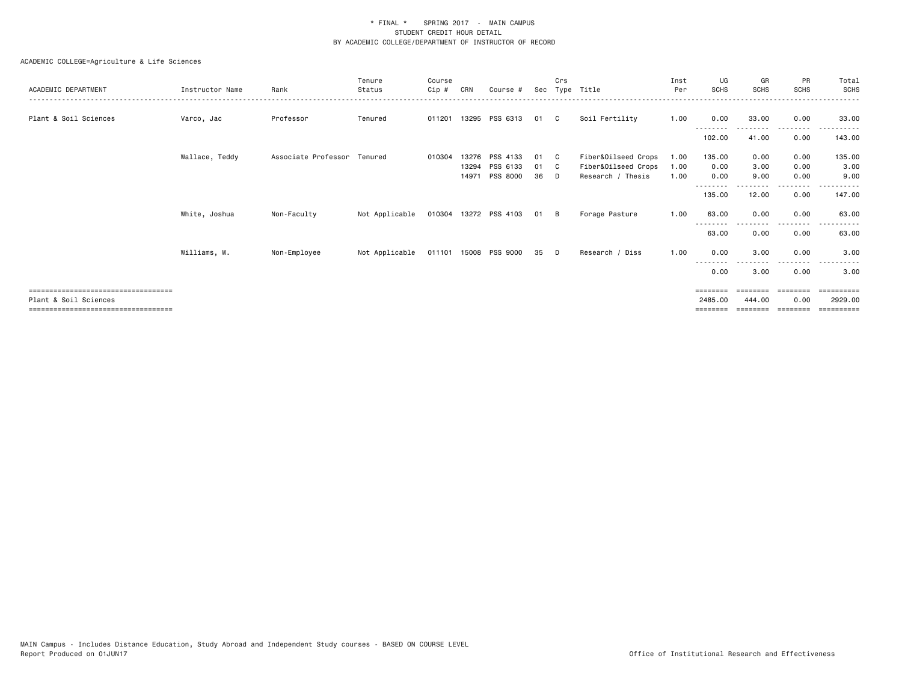|                                       |                 |                             | Tenure         | Course   |                |                       |          | Crs      |                                          | Inst         | UG           | GR           | <b>PR</b>    | Total<br><b>SCHS</b>  |
|---------------------------------------|-----------------|-----------------------------|----------------|----------|----------------|-----------------------|----------|----------|------------------------------------------|--------------|--------------|--------------|--------------|-----------------------|
| ACADEMIC DEPARTMENT                   | Instructor Name | Rank                        | Status         | $C$ ip # | CRN            | Course #              |          |          | Sec Type Title                           | Per          | <b>SCHS</b>  | SCHS         | <b>SCHS</b>  |                       |
| Plant & Soil Sciences                 | Varco, Jac      | Professor                   | Tenured        | 011201   |                | 13295 PSS 6313        | 01       | C C      | Soil Fertility                           | 1.00         | 0.00         | 33.00        | 0.00         | 33.00                 |
|                                       |                 |                             |                |          |                |                       |          |          |                                          |              | 102.00       | 41.00        | 0.00         | 143.00                |
|                                       | Wallace, Teddy  | Associate Professor Tenured |                | 010304   | 13276          | PSS 4133              | 01       | - C      | Fiber&Oilseed Crops                      | 1.00         | 135.00       | 0.00         | 0.00         | 135.00                |
|                                       |                 |                             |                |          | 13294<br>14971 | PSS 6133<br>PSS 8000  | 01<br>36 | - C<br>D | Fiber&Oilseed Crops<br>Research / Thesis | 1.00<br>1.00 | 0.00<br>0.00 | 3.00<br>9.00 | 0.00<br>0.00 | 3.00<br>9.00          |
|                                       |                 |                             |                |          |                |                       |          |          |                                          |              | 135.00       | 12.00        | 0.00         | 147.00                |
|                                       | White, Joshua   | Non-Faculty                 | Not Applicable |          |                | 010304 13272 PSS 4103 | 01 B     |          | Forage Pasture                           | 1.00         | 63.00        | 0.00         | 0.00         | 63.00                 |
|                                       |                 |                             |                |          |                |                       |          |          |                                          |              | 63.00        | 0.00         | 0.00         | 63.00                 |
|                                       | Williams, W.    | Non-Employee                | Not Applicable |          |                | 011101 15008 PSS 9000 | 35       | $\Box$   | Research / Diss                          | 1.00         | 0.00         | 3.00         | 0.00         | 3.00                  |
|                                       |                 |                             |                |          |                |                       |          |          |                                          |              | ----<br>0.00 | 3.00         | 0.00         | 3.00                  |
| ===================================== |                 |                             |                |          |                |                       |          |          |                                          |              | ========     |              | ========     | ==========            |
| Plant & Soil Sciences                 |                 |                             |                |          |                |                       |          |          |                                          |              | 2485.00      | 444.00       | 0.00         | 2929.00               |
|                                       |                 |                             |                |          |                |                       |          |          |                                          |              | ========     |              |              | $=$ = = = = = = = = : |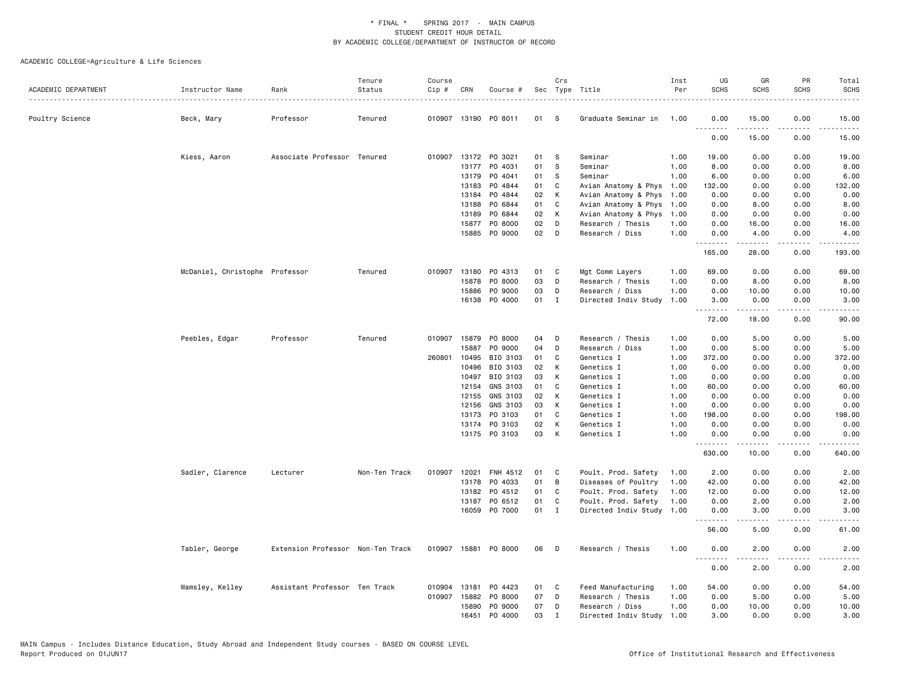|                     |                                |                                   | Tenure        | Course       |              |                      |    | Crs          |                      | Inst | UG          | GR                                                                                                                                                           | PR                           | Total       |
|---------------------|--------------------------------|-----------------------------------|---------------|--------------|--------------|----------------------|----|--------------|----------------------|------|-------------|--------------------------------------------------------------------------------------------------------------------------------------------------------------|------------------------------|-------------|
| ACADEMIC DEPARTMENT | Instructor Name                | Rank                              | Status        | Cip #        | CRN          | Course #             |    |              | Sec Type Title       | Per  | <b>SCHS</b> | <b>SCHS</b>                                                                                                                                                  | <b>SCHS</b>                  | <b>SCHS</b> |
| Poultry Science     | Beck, Mary                     | Professor                         | Tenured       |              |              | 010907 13190 PO 8011 | 01 | - S          | Graduate Seminar in  | 1.00 | 0.00        | 15.00                                                                                                                                                        | 0.00                         | 15.00       |
|                     |                                |                                   |               |              |              |                      |    |              |                      |      | .<br>0.00   | .<br>15.00                                                                                                                                                   | $\sim$ $\sim$ $\sim$<br>0.00 | .<br>15.00  |
|                     | Kiess, Aaron                   | Associate Professor Tenured       |               |              |              | 010907 13172 PO 3021 | 01 | -S           | Seminar              | 1.00 | 19.00       | 0.00                                                                                                                                                         | 0.00                         | 19.00       |
|                     |                                |                                   |               |              | 13177        | P0 4031              | 01 | s            | Seminar              | 1.00 | 8.00        | 0.00                                                                                                                                                         | 0.00                         | 8.00        |
|                     |                                |                                   |               |              | 13179        | P0 4041              | 01 | S            | Seminar              | 1.00 | 6.00        | 0.00                                                                                                                                                         | 0.00                         | 6.00        |
|                     |                                |                                   |               |              | 13183        | PO 4844              | 01 | C            | Avian Anatomy & Phys | 1.00 | 132.00      | 0.00                                                                                                                                                         | 0.00                         | 132.00      |
|                     |                                |                                   |               |              | 13184        | PO 4844              | 02 | К            | Avian Anatomy & Phys | 1.00 | 0.00        | 0.00                                                                                                                                                         | 0.00                         | 0.00        |
|                     |                                |                                   |               |              | 13188        | PO 6844              | 01 | C            | Avian Anatomy & Phys | 1.00 | 0.00        | 8.00                                                                                                                                                         | 0.00                         | 8.00        |
|                     |                                |                                   |               |              | 13189        | PO 6844              | 02 | К            | Avian Anatomy & Phys | 1.00 | 0.00        | 0.00                                                                                                                                                         | 0.00                         | 0.00        |
|                     |                                |                                   |               |              | 15877        | PO 8000              | 02 | D            | Research / Thesis    | 1.00 | 0.00        | 16.00                                                                                                                                                        | 0.00                         | 16.00       |
|                     |                                |                                   |               |              | 15885        | PO 9000              | 02 | D            | Research / Diss      | 1.00 | 0.00<br>.   | 4.00                                                                                                                                                         | 0.00                         | 4.00        |
|                     |                                |                                   |               |              |              |                      |    |              |                      |      | 165.00      | 28.00                                                                                                                                                        | 0.00                         | 193.00      |
|                     | McDaniel, Christophe Professor |                                   | Tenured       |              | 010907 13180 | PO 4313              | 01 | C            | Mgt Comm Layers      | 1.00 | 69.00       | 0.00                                                                                                                                                         | 0.00                         | 69.00       |
|                     |                                |                                   |               |              | 15878        | P0 8000              | 03 | D            | Research / Thesis    | 1.00 | 0.00        | 8.00                                                                                                                                                         | 0.00                         | 8.00        |
|                     |                                |                                   |               |              | 15886        | P0 9000              | 03 | D            | Research / Diss      | 1.00 | 0.00        | 10.00                                                                                                                                                        | 0.00                         | 10.00       |
|                     |                                |                                   |               |              | 16138        | P0 4000              | 01 | $\mathbf{I}$ | Directed Indiv Study | 1.00 | 3.00<br>.   | 0.00                                                                                                                                                         | 0.00                         | 3.00        |
|                     |                                |                                   |               |              |              |                      |    |              |                      |      | 72.00       | 18.00                                                                                                                                                        | 0.00                         | 90.00       |
|                     | Peebles, Edgar                 | Professor                         | Tenured       |              | 010907 15879 | P0 8000              | 04 | D            | Research / Thesis    | 1.00 | 0.00        | 5.00                                                                                                                                                         | 0.00                         | 5.00        |
|                     |                                |                                   |               |              | 15887        | PO 9000              | 04 | D            | Research / Diss      | 1.00 | 0.00        | 5.00                                                                                                                                                         | 0.00                         | 5.00        |
|                     |                                |                                   |               | 260801       | 10495        | BIO 3103             | 01 | C            | Genetics I           | 1.00 | 372.00      | 0.00                                                                                                                                                         | 0.00                         | 372.00      |
|                     |                                |                                   |               |              | 10496        | BIO 3103             | 02 | К            | Genetics I           | 1.00 | 0.00        | 0.00                                                                                                                                                         | 0.00                         | 0.00        |
|                     |                                |                                   |               |              | 10497        | BIO 3103             | 03 | K            | Genetics I           | 1.00 | 0.00        | 0.00                                                                                                                                                         | 0.00                         | 0.00        |
|                     |                                |                                   |               |              | 12154        | GNS 3103             | 01 | C            | Genetics I           | 1.00 | 60.00       | 0.00                                                                                                                                                         | 0.00                         | 60.00       |
|                     |                                |                                   |               |              | 12155        | GNS 3103             | 02 | K            | Genetics I           | 1.00 | 0.00        | 0.00                                                                                                                                                         | 0.00                         | 0.00        |
|                     |                                |                                   |               |              | 12156        | GNS 3103             | 03 | к            | Genetics I           | 1.00 | 0.00        | 0.00                                                                                                                                                         | 0.00                         | 0.00        |
|                     |                                |                                   |               |              | 13173        | PO 3103              | 01 | C            | Genetics I           | 1.00 | 198.00      | 0.00                                                                                                                                                         | 0.00                         | 198.00      |
|                     |                                |                                   |               |              | 13174        | PO 3103              | 02 | К            | Genetics I           | 1.00 | 0.00        | 0.00                                                                                                                                                         | 0.00                         | 0.00        |
|                     |                                |                                   |               |              |              | 13175 PO 3103        | 03 | К            | Genetics I           | 1.00 | 0.00<br>.   | 0.00<br>$\cdots$                                                                                                                                             | 0.00<br>.                    | 0.00        |
|                     |                                |                                   |               |              |              |                      |    |              |                      |      | 630.00      | 10.00                                                                                                                                                        | 0.00                         | 640.00      |
|                     | Sadler, Clarence               | Lecturer                          | Non-Ten Track | 010907       | 12021        | FNH 4512             | 01 | C            | Poult. Prod. Safety  | 1.00 | 2.00        | 0.00                                                                                                                                                         | 0.00                         | 2.00        |
|                     |                                |                                   |               |              | 13178        | PO 4033              | 01 | B            | Diseases of Poultry  | 1.00 | 42.00       | 0.00                                                                                                                                                         | 0.00                         | 42.00       |
|                     |                                |                                   |               |              | 13182        | PO 4512              | 01 | C            | Poult. Prod. Safety  | 1.00 | 12.00       | 0.00                                                                                                                                                         | 0.00                         | 12.00       |
|                     |                                |                                   |               |              | 13187        | PO 6512              | 01 | C            | Poult. Prod. Safety  | 1.00 | 0.00        | 2.00                                                                                                                                                         | 0.00                         | 2.00        |
|                     |                                |                                   |               |              | 16059        | P0 7000              | 01 | $\mathbf{I}$ | Directed Indiv Study | 1.00 | 0.00<br>.   | 3.00                                                                                                                                                         | 0.00                         | 3.00        |
|                     |                                |                                   |               |              |              |                      |    |              |                      |      | 56.00       | 5.00                                                                                                                                                         | 0.00                         | 61.00       |
|                     | Tabler, George                 | Extension Professor Non-Ten Track |               |              |              | 010907 15881 PO 8000 | 06 | D            | Research / Thesis    | 1.00 | 0.00<br>.   | 2.00<br>$\frac{1}{2} \left( \frac{1}{2} \right) \left( \frac{1}{2} \right) \left( \frac{1}{2} \right) \left( \frac{1}{2} \right) \left( \frac{1}{2} \right)$ | 0.00                         | 2.00        |
|                     |                                |                                   |               |              |              |                      |    |              |                      |      | 0.00        | 2.00                                                                                                                                                         | 0.00                         | 2.00        |
|                     | Wamsley, Kelley                | Assistant Professor Ten Track     |               | 010904 13181 |              | PO 4423              | 01 | C            | Feed Manufacturing   | 1.00 | 54.00       | 0.00                                                                                                                                                         | 0.00                         | 54.00       |
|                     |                                |                                   |               |              | 010907 15882 | PO 8000              | 07 | D            | Research / Thesis    | 1.00 | 0.00        | 5.00                                                                                                                                                         | 0.00                         | 5.00        |
|                     |                                |                                   |               |              | 15890        | P0 9000              | 07 | D            | Research / Diss      | 1.00 | 0.00        | 10.00                                                                                                                                                        | 0.00                         | 10.00       |
|                     |                                |                                   |               |              | 16451        | P0 4000              | 03 | $\mathbf I$  | Directed Indiv Study | 1.00 | 3.00        | 0.00                                                                                                                                                         | 0.00                         | 3.00        |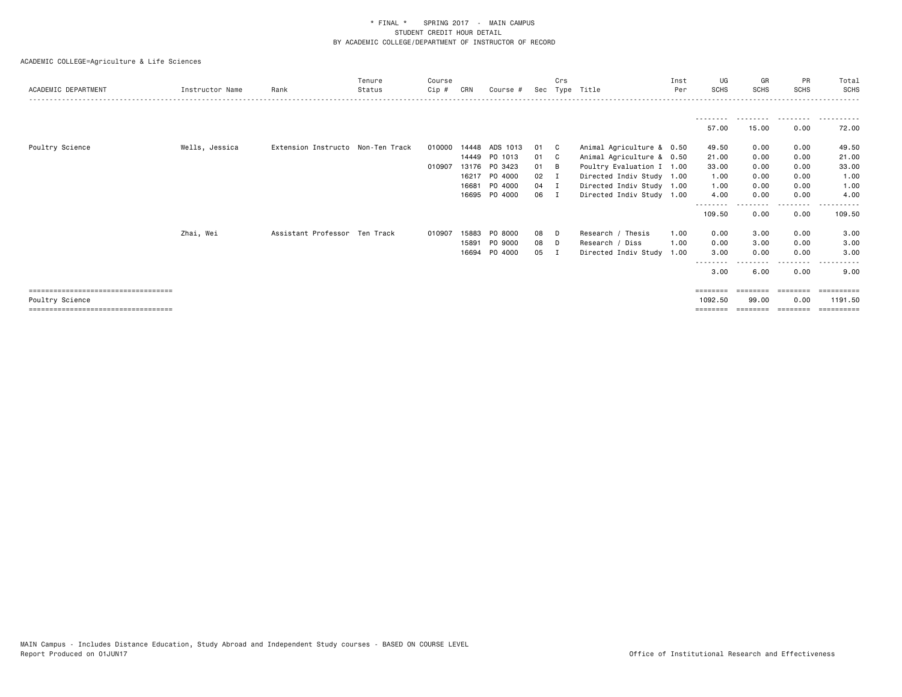| ACADEMIC DEPARTMENT                   | Instructor Name | Rank                              | Tenure<br>Status | Course<br>$Cip$ # | CRN   | Course #      | Sec  | Crs          | Type Title                | Inst<br>Per | UG<br>SCHS         | GR<br><b>SCHS</b> | PR<br><b>SCHS</b> | Total<br>SCHS  |
|---------------------------------------|-----------------|-----------------------------------|------------------|-------------------|-------|---------------|------|--------------|---------------------------|-------------|--------------------|-------------------|-------------------|----------------|
|                                       |                 |                                   |                  |                   |       |               |      |              |                           |             |                    |                   |                   |                |
|                                       |                 |                                   |                  |                   |       |               |      |              |                           |             | 57.00              | 15.00             | 0.00              | 72.00          |
| Poultry Science                       | Wells, Jessica  | Extension Instructo Non-Ten Track |                  | 010000            | 14448 | ADS 1013      | 01   | $\mathbf{C}$ | Animal Agriculture & 0.50 |             | 49.50              | 0.00              | 0.00              | 49.50          |
|                                       |                 |                                   |                  |                   | 14449 | PO 1013       | 01   | $\mathbf{C}$ | Animal Agriculture & 0.50 |             | 21.00              | 0.00              | 0.00              | 21.00          |
|                                       |                 |                                   |                  | 010907            |       | 13176 PO 3423 | 01   | B            | Poultry Evaluation I 1.00 |             | 33.00              | 0.00              | 0.00              | 33.00          |
|                                       |                 |                                   |                  |                   | 16217 | P0 4000       | 02   | $\mathbf I$  | Directed Indiv Study 1.00 |             | 1.00               | 0.00              | 0.00              | 1.00           |
|                                       |                 |                                   |                  |                   | 16681 | P0 4000       | 04 I |              | Directed Indiv Study 1.00 |             | 1.00               | 0.00              | 0.00              | 1.00           |
|                                       |                 |                                   |                  |                   | 16695 | PO 4000       | 06   | л            | Directed Indiv Study 1.00 |             | 4.00               | 0.00<br>------    | 0.00              | 4.00<br>------ |
|                                       |                 |                                   |                  |                   |       |               |      |              |                           |             | --------<br>109.50 | 0.00              | --------<br>0.00  | 109.50         |
|                                       | Zhai, Wei       | Assistant Professor Ten Track     |                  | 010907            | 15883 | PO 8000       | 08   | D            | Research / Thesis         | 1.00        | 0.00               | 3.00              | 0.00              | 3.00           |
|                                       |                 |                                   |                  |                   | 15891 | PO 9000       | 08   | D            | Research / Diss           | 1.00        | 0.00               | 3.00              | 0.00              | 3.00           |
|                                       |                 |                                   |                  |                   | 16694 | P0 4000       | 05   |              | Directed Indiv Study      | 1.00        | 3.00               | 0.00              | 0.00              | 3.00           |
|                                       |                 |                                   |                  |                   |       |               |      |              |                           |             | --------<br>3.00   | 6.00              | ----<br>0.00      | 9.00           |
| ====================================  |                 |                                   |                  |                   |       |               |      |              |                           |             | ========           |                   |                   |                |
| Poultry Science                       |                 |                                   |                  |                   |       |               |      |              |                           |             | 1092.50            | 99.00             | 0.00              | 1191.50        |
| ===================================== |                 |                                   |                  |                   |       |               |      |              |                           |             | ========           | ========          | ---------         | ==========     |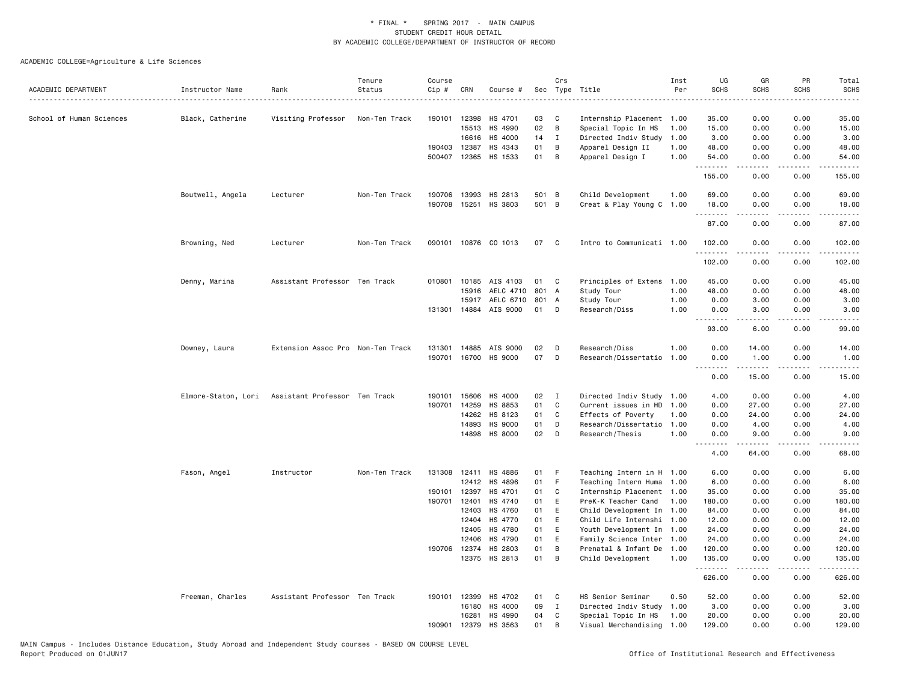| ACADEMIC DEPARTMENT      | Instructor Name     | Rank                              | Tenure<br>Status | Course<br>Cip # | CRN          | Course #                 |          | Crs          | Sec Type Title                            | Inst<br>Per  | UG<br><b>SCHS</b>  | GR<br><b>SCHS</b>                                                                                                                 | PR<br><b>SCHS</b>     | Total<br><b>SCHS</b> |
|--------------------------|---------------------|-----------------------------------|------------------|-----------------|--------------|--------------------------|----------|--------------|-------------------------------------------|--------------|--------------------|-----------------------------------------------------------------------------------------------------------------------------------|-----------------------|----------------------|
|                          |                     |                                   |                  |                 |              |                          |          |              |                                           |              |                    |                                                                                                                                   |                       | $- - - - -$          |
| School of Human Sciences | Black, Catherine    | Visiting Professor                | Non-Ten Track    | 190101          | 12398        | HS 4701                  | 03       | C            | Internship Placement 1.00                 |              | 35.00              | 0.00                                                                                                                              | 0.00                  | 35.00                |
|                          |                     |                                   |                  |                 | 15513        | HS 4990                  | $02\,$   | $\,$ B       | Special Topic In HS                       | 1.00         | 15.00              | 0.00                                                                                                                              | 0.00                  | 15.00                |
|                          |                     |                                   |                  |                 | 16616        | HS 4000                  | 14       | $\mathbf{I}$ | Directed Indiv Study                      | 1.00         | 3.00               | 0.00                                                                                                                              | 0.00                  | 3.00                 |
|                          |                     |                                   |                  |                 | 190403 12387 | HS 4343                  | 01       | В            | Apparel Design II                         | 1.00         | 48.00              | 0.00                                                                                                                              | 0.00                  | 48.00                |
|                          |                     |                                   |                  |                 |              | 500407 12365 HS 1533     | 01       | B            | Apparel Design I                          | 1.00         | 54.00<br>.         | 0.00<br><b><i><u>.</u></i></b>                                                                                                    | 0.00<br>.             | 54.00<br>.           |
|                          |                     |                                   |                  |                 |              |                          |          |              |                                           |              | 155.00             | 0.00                                                                                                                              | 0.00                  | 155.00               |
|                          | Boutwell, Angela    | Lecturer                          | Non-Ten Track    | 190706          | 13993        | HS 2813                  | 501 B    |              | Child Development                         | 1.00         | 69.00              | 0.00                                                                                                                              | 0.00                  | 69.00                |
|                          |                     |                                   |                  | 190708          | 15251        | HS 3803                  | 501 B    |              | Creat & Play Young C 1.00                 |              | 18.00<br>.         | 0.00<br>.                                                                                                                         | 0.00<br>الداعات       | 18.00<br>.           |
|                          |                     |                                   |                  |                 |              |                          |          |              |                                           |              | 87.00              | 0.00                                                                                                                              | 0.00                  | 87.00                |
|                          | Browning, Ned       | Lecturer                          | Non-Ten Track    | 090101          |              | 10876 CO 1013            | 07       | C            | Intro to Communicati 1.00                 |              | 102.00<br><u>.</u> | 0.00                                                                                                                              | 0.00<br>$\frac{1}{2}$ | 102.00               |
|                          |                     |                                   |                  |                 |              |                          |          |              |                                           |              | 102.00             | 0.00                                                                                                                              | 0.00                  | 102.00               |
|                          | Denny, Marina       | Assistant Professor Ten Track     |                  | 010801          |              | 10185 AIS 4103           | 01       | C            | Principles of Extens                      | 1.00         | 45.00              | 0.00                                                                                                                              | 0.00                  | 45.00                |
|                          |                     |                                   |                  |                 | 15916        | AELC 4710                | 801 A    |              | Study Tour                                | 1.00         | 48.00              | 0.00                                                                                                                              | 0.00                  | 48.00                |
|                          |                     |                                   |                  |                 | 15917        | AELC 6710                | 801 A    |              | Study Tour                                | 1.00         | 0.00               | 3.00                                                                                                                              | 0.00                  | 3.00                 |
|                          |                     |                                   |                  |                 | 131301 14884 | AIS 9000                 | 01       | D            | Research/Diss                             | 1.00         | 0.00               | 3.00<br>$\frac{1}{2} \left( \frac{1}{2} \right) \left( \frac{1}{2} \right) \left( \frac{1}{2} \right) \left( \frac{1}{2} \right)$ | 0.00<br>$\frac{1}{2}$ | 3.00                 |
|                          |                     |                                   |                  |                 |              |                          |          |              |                                           |              | .<br>93.00         | 6.00                                                                                                                              | 0.00                  | 99.00                |
|                          | Downey, Laura       | Extension Assoc Pro Non-Ten Track |                  | 131301          | 14885        | AIS 9000                 | 02       | D            | Research/Diss                             | 1.00         | 0.00               | 14.00                                                                                                                             | 0.00                  | 14.00                |
|                          |                     |                                   |                  | 190701          |              | 16700 HS 9000            | 07       | D            | Research/Dissertatio                      | 1.00         | 0.00<br>.          | 1.00<br>.                                                                                                                         | 0.00<br>.             | 1.00<br>.            |
|                          |                     |                                   |                  |                 |              |                          |          |              |                                           |              | 0.00               | 15.00                                                                                                                             | 0.00                  | 15.00                |
|                          | Elmore-Staton, Lori | Assistant Professor Ten Track     |                  | 190101          | 15606        | HS 4000                  | 02       | $\mathbf{I}$ | Directed Indiv Study                      | 1.00         | 4.00               | 0.00                                                                                                                              | 0.00                  | 4.00                 |
|                          |                     |                                   |                  | 190701          | 14259        | HS 8853                  | 01       | C            | Current issues in HD                      | 1.00         | 0.00               | 27.00                                                                                                                             | 0.00                  | 27.00                |
|                          |                     |                                   |                  |                 | 14262        | HS 8123                  | 01       | C            | Effects of Poverty                        | 1.00         | 0.00               | 24.00                                                                                                                             | 0.00                  | 24.00                |
|                          |                     |                                   |                  |                 | 14893        | HS 9000                  | 01       | D            | Research/Dissertatio 1.00                 |              | 0.00               | 4.00                                                                                                                              | 0.00                  | 4.00                 |
|                          |                     |                                   |                  |                 |              | 14898 HS 8000            | 02       | D            | Research/Thesis                           | 1.00         | 0.00<br><u>.</u>   | 9.00<br>.                                                                                                                         | 0.00<br>.             | 9.00<br>$  -$        |
|                          |                     |                                   |                  |                 |              |                          |          |              |                                           |              | 4.00               | 64.00                                                                                                                             | 0.00                  | 68.00                |
|                          | Fason, Angel        | Instructor                        | Non-Ten Track    |                 |              | 131308 12411 HS 4886     | 01       | F            | Teaching Intern in H 1.00                 |              | 6.00               | 0.00                                                                                                                              | 0.00                  | 6.00                 |
|                          |                     |                                   |                  |                 | 12412        | HS 4896                  | 01       | F.           | Teaching Intern Huma 1.00                 |              | 6.00               | 0.00                                                                                                                              | 0.00                  | 6.00                 |
|                          |                     |                                   |                  | 190101          | 12397        | HS 4701                  | 01       | C            | Internship Placement 1.00                 |              | 35.00              | 0.00                                                                                                                              | 0.00                  | 35.00                |
|                          |                     |                                   |                  | 190701          | 12401        | HS 4740                  | 01       | E            | PreK-K Teacher Cand                       | 1.00         | 180.00             | 0.00                                                                                                                              | 0.00                  | 180.00               |
|                          |                     |                                   |                  |                 | 12403        | HS 4760                  | 01       | E            | Child Development In 1.00                 |              | 84.00              | 0.00                                                                                                                              | 0.00                  | 84.00                |
|                          |                     |                                   |                  |                 | 12404        | HS 4770                  | 01       | E            | Child Life Internshi 1.00                 |              | 12.00              | 0.00                                                                                                                              | 0.00                  | 12.00                |
|                          |                     |                                   |                  |                 | 12405        | HS 4780                  | 01       | E            | Youth Development In 1.00                 |              | 24.00              | 0.00                                                                                                                              | 0.00                  | 24.00                |
|                          |                     |                                   |                  |                 | 12406        | HS 4790                  | 01       | E            | Family Science Inter 1.00                 |              | 24.00              | 0.00                                                                                                                              | 0.00                  | 24.00                |
|                          |                     |                                   |                  |                 | 190706 12374 | HS 2803<br>12375 HS 2813 | 01<br>01 | В<br>B       | Prenatal & Infant De<br>Child Development | 1.00<br>1.00 | 120.00<br>135.00   | 0.00<br>0.00                                                                                                                      | 0.00<br>0.00          | 120.00<br>135.00     |
|                          |                     |                                   |                  |                 |              |                          |          |              |                                           |              | .                  | <b>.</b>                                                                                                                          | .                     | .                    |
|                          |                     |                                   |                  |                 |              |                          |          |              |                                           |              | 626.00             | 0.00                                                                                                                              | 0.00                  | 626.00               |
|                          | Freeman, Charles    | Assistant Professor Ten Track     |                  | 190101          | 12399        | HS 4702                  | 01       | C            | HS Senior Seminar                         | 0.50         | 52.00              | 0.00                                                                                                                              | 0.00                  | 52.00                |
|                          |                     |                                   |                  |                 | 16180        | HS 4000                  | 09       | $\mathbf{I}$ | Directed Indiv Study                      | 1.00         | 3.00               | 0.00                                                                                                                              | 0.00                  | 3.00                 |
|                          |                     |                                   |                  |                 | 16281        | HS 4990                  | 04       | C            | Special Topic In HS                       | 1.00         | 20.00              | 0.00                                                                                                                              | 0.00                  | 20.00                |
|                          |                     |                                   |                  | 190901          | 12379        | HS 3563                  | 01       | B            | Visual Merchandising                      | 1.00         | 129.00             | 0.00                                                                                                                              | 0.00                  | 129.00               |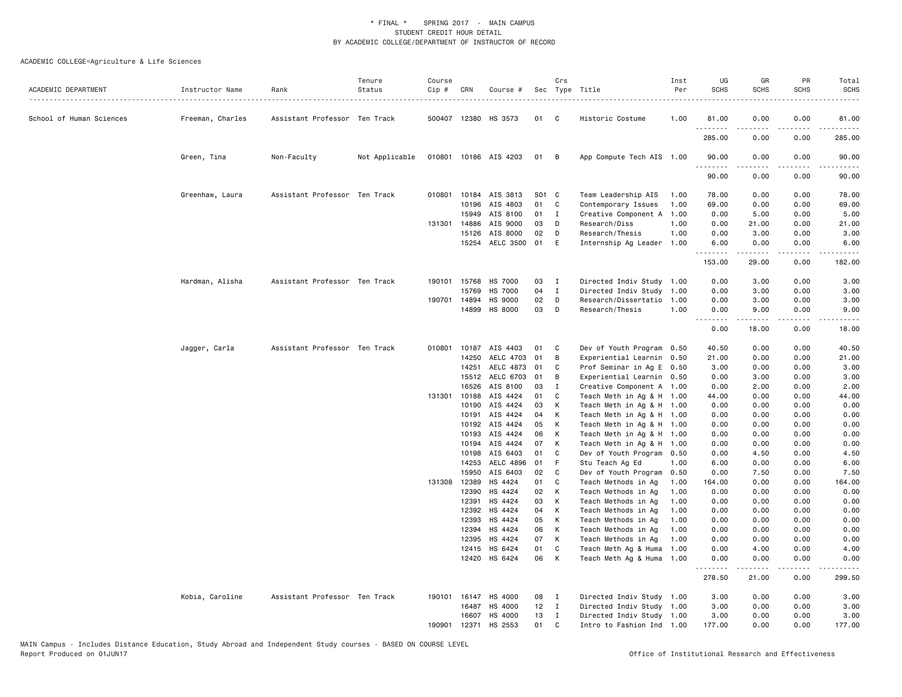| ACADEMIC DEPARTMENT      | Instructor Name  | Rank                          | Tenure<br>Status | Course<br>Cip# | CRN          | Course #                 |          | Crs            | Sec Type Title                                    | Inst<br>Per | UG<br><b>SCHS</b>  | GR<br><b>SCHS</b>   | PR<br><b>SCHS</b> | Total<br><b>SCHS</b> |
|--------------------------|------------------|-------------------------------|------------------|----------------|--------------|--------------------------|----------|----------------|---------------------------------------------------|-------------|--------------------|---------------------|-------------------|----------------------|
| School of Human Sciences | Freeman, Charles | Assistant Professor Ten Track |                  |                |              | 500407 12380 HS 3573     | 01       | $\mathbf{C}$   | Historic Costume                                  | 1.00        | 81.00              | 0.00                | 0.00              | 81.00                |
|                          |                  |                               |                  |                |              |                          |          |                |                                                   |             | 285.00             | 0.00                | 0.00              | 285.00               |
|                          | Green, Tina      | Non-Faculty                   | Not Applicable   |                |              | 010801 10186 AIS 4203    | 01       | B              | App Compute Tech AIS 1.00                         |             | 90.00<br>.         | 0.00                | 0.00              | 90.00                |
|                          |                  |                               |                  |                |              |                          |          |                |                                                   |             | 90.00              | 0.00                | 0.00              | 90.00                |
|                          | Greenhaw, Laura  | Assistant Professor Ten Track |                  |                |              | 010801 10184 AIS 3813    | S01 C    |                | Team Leadership AIS                               | 1.00        | 78.00              | 0.00                | 0.00              | 78.00                |
|                          |                  |                               |                  |                | 10196        | AIS 4803                 | 01       | C              | Contemporary Issues                               | 1.00        | 69.00              | 0.00                | 0.00              | 69.00                |
|                          |                  |                               |                  |                | 15949        | AIS 8100                 | 01       | $\mathbf{I}$   | Creative Component A                              | 1.00        | 0.00               | 5.00                | 0.00              | 5.00                 |
|                          |                  |                               |                  | 131301         | 14886        | AIS 9000                 | 03       | D              | Research/Diss                                     | 1.00        | 0.00               | 21.00               | 0.00              | 21.00                |
|                          |                  |                               |                  |                | 15126        | AIS 8000                 | 02       | D              | Research/Thesis                                   | 1.00        | 0.00               | 3.00                | 0.00              | 3.00                 |
|                          |                  |                               |                  |                | 15254        | AELC 3500                | 01       | E              | Internship Ag Leader 1.00                         |             | 6.00               | 0.00                | 0.00              | 6.00                 |
|                          |                  |                               |                  |                |              |                          |          |                |                                                   |             | <u>.</u><br>153.00 | . <b>.</b><br>29.00 | .<br>0.00         | .<br>182.00          |
|                          | Hardman, Alisha  | Assistant Professor Ten Track |                  | 190101         | 15768        | <b>HS 7000</b>           | 03       | $\mathbf{I}$   | Directed Indiv Study 1.00                         |             | 0.00               | 3.00                | 0.00              | 3.00                 |
|                          |                  |                               |                  |                | 15769        | <b>HS 7000</b>           | 04       | $\mathbf{I}$   | Directed Indiv Study 1.00                         |             | 0.00               | 3.00                | 0.00              | 3.00                 |
|                          |                  |                               |                  |                | 190701 14894 | <b>HS 9000</b>           | 02       | D              | Research/Dissertatio 1.00                         |             | 0.00               | 3.00                | 0.00              | 3.00                 |
|                          |                  |                               |                  |                | 14899        | HS 8000                  | 03       | D              | Research/Thesis                                   | 1.00        | 0.00<br>.          | 9.00<br>.           | 0.00<br>.         | 9.00<br>.            |
|                          |                  |                               |                  |                |              |                          |          |                |                                                   |             | 0.00               | 18.00               | 0.00              | 18.00                |
|                          | Jagger, Carla    | Assistant Professor Ten Track |                  | 010801         | 10187        | AIS 4403                 | 01       | C.             | Dev of Youth Program 0.50                         |             | 40.50              | 0.00                | 0.00              | 40.50                |
|                          |                  |                               |                  |                | 14250        | AELC 4703                | 01       | В              | Experiential Learnin 0.50                         |             | 21.00              | 0.00                | 0.00              | 21.00                |
|                          |                  |                               |                  |                | 14251        | AELC 4873                | 01       | C              | Prof Seminar in Ag E 0.50                         |             | 3.00               | 0.00                | 0.00              | 3.00                 |
|                          |                  |                               |                  |                | 15512        | AELC 6703                | 01       | B              | Experiential Learnin 0.50                         |             | 0.00               | 3.00                | 0.00              | 3.00                 |
|                          |                  |                               |                  |                | 16526        | AIS 8100                 | 03       | I              | Creative Component A 1.00                         |             | 0.00               | 2.00                | 0.00              | 2.00                 |
|                          |                  |                               |                  |                | 131301 10188 | AIS 4424                 | 01       | C              | Teach Meth in Ag & H 1.00                         |             | 44.00              | 0.00                | 0.00              | 44.00                |
|                          |                  |                               |                  |                | 10190        | AIS 4424                 | 03       | K              | Teach Meth in Ag & H 1.00                         |             | 0.00               | 0.00                | 0.00              | 0.00                 |
|                          |                  |                               |                  |                | 10191        | AIS 4424                 | 04       | K              | Teach Meth in Ag & H 1.00                         |             | 0.00               | 0.00                | 0.00              | 0.00                 |
|                          |                  |                               |                  |                | 10192        | AIS 4424                 | 05       | K              | Teach Meth in Ag & H 1.00                         |             | 0.00               | 0.00                | 0.00              | 0.00                 |
|                          |                  |                               |                  |                | 10193        | AIS 4424                 | 06       | K              | Teach Meth in Ag & H 1.00                         |             | 0.00               | 0.00                | 0.00              | 0.00                 |
|                          |                  |                               |                  |                | 10194        | AIS 4424                 | 07       | K              | Teach Meth in Ag & H 1.00                         |             | 0.00               | 0.00                | 0.00              | 0.00                 |
|                          |                  |                               |                  |                | 10198        | AIS 6403                 | 01       | C              | Dev of Youth Program 0.50                         |             | 0.00               | 4.50                | 0.00              | 4.50                 |
|                          |                  |                               |                  |                | 14253        | AELC 4896                | 01       | F              | Stu Teach Ag Ed                                   | 1.00        | 6.00               | 0.00                | 0.00              | 6.00                 |
|                          |                  |                               |                  |                | 15950        | AIS 6403                 | 02       | C              | Dev of Youth Program 0.50                         |             | 0.00               | 7.50                | 0.00              | 7.50                 |
|                          |                  |                               |                  |                | 131308 12389 | HS 4424                  | 01       | C              | Teach Methods in Ag                               | 1.00        | 164.00             | 0.00                | 0.00              | 164.00               |
|                          |                  |                               |                  |                | 12390        | HS 4424                  | 02       | K              | Teach Methods in Ag                               | 1.00        | 0.00               | 0.00                | 0.00              | 0.00                 |
|                          |                  |                               |                  |                | 12391        | HS 4424                  | 03       | K              | Teach Methods in Ag                               | 1.00        | 0.00               | 0.00                | 0.00              | 0.00                 |
|                          |                  |                               |                  |                | 12392        | HS 4424                  | 04       | K              | Teach Methods in Ag                               | 1.00        | 0.00               | 0.00                | 0.00              | 0.00                 |
|                          |                  |                               |                  |                | 12393        | HS 4424                  | 05       | K              | Teach Methods in Ag                               | 1.00        | 0.00               | 0.00                | 0.00              | 0.00                 |
|                          |                  |                               |                  |                | 12394        | HS 4424                  | 06       | K              | Teach Methods in Ag                               | 1.00        | 0.00               | 0.00                | 0.00              | 0.00                 |
|                          |                  |                               |                  |                | 12395        | HS 4424                  | 07       | $\mathsf{K}$   | Teach Methods in Ag                               | 1.00        | 0.00               | 0.00                | 0.00              | 0.00                 |
|                          |                  |                               |                  |                | 12415        | HS 6424<br>12420 HS 6424 | 01<br>06 | C<br>K         | Teach Meth Ag & Huma<br>Teach Meth Ag & Huma 1.00 | 1.00        | 0.00<br>0.00       | 4.00<br>0.00        | 0.00<br>0.00      | 4.00<br>0.00         |
|                          |                  |                               |                  |                |              |                          |          |                |                                                   |             | .<br>278.50        | .<br>21.00          | .<br>0.00         | 299.50               |
|                          | Kobia, Caroline  | Assistant Professor Ten Track |                  | 190101         | 16147        | HS 4000                  | 08       | $\blacksquare$ | Directed Indiv Study 1.00                         |             | 3.00               | 0.00                | 0.00              | 3.00                 |
|                          |                  |                               |                  |                | 16487        | HS 4000                  | 12       | $\mathbf{I}$   | Directed Indiv Study 1.00                         |             | 3.00               | 0.00                | 0.00              | 3.00                 |
|                          |                  |                               |                  |                | 16607        | HS 4000                  | 13       | $\mathbf{I}$   | Directed Indiv Study 1.00                         |             | 3.00               | 0.00                | 0.00              | 3.00                 |
|                          |                  |                               |                  | 190901         | 12371        | HS 2553                  | 01       | C              | Intro to Fashion Ind 1.00                         |             | 177.00             | 0.00                | 0.00              | 177.00               |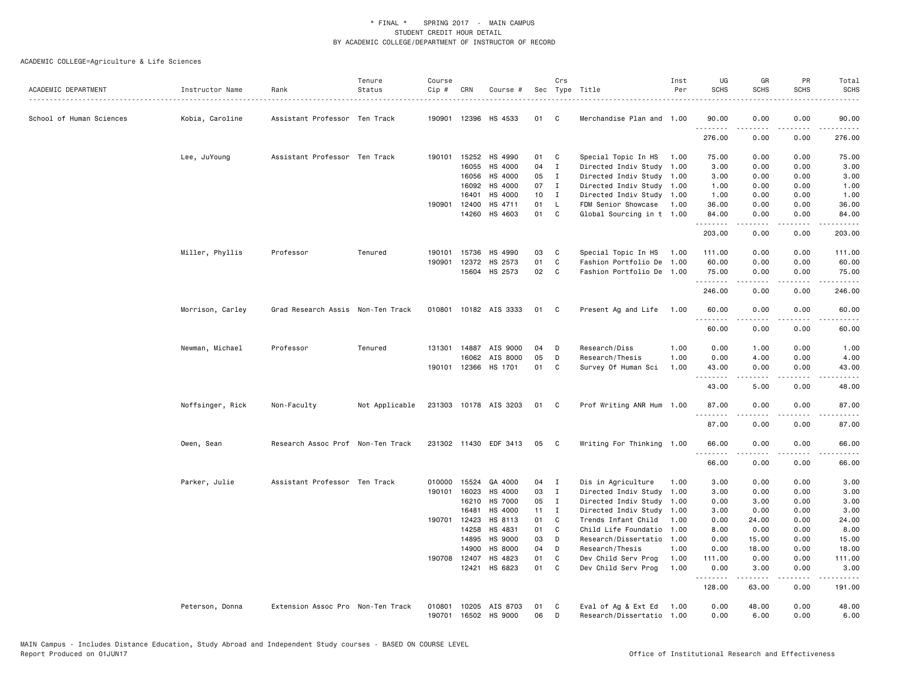| ACADEMIC DEPARTMENT      | Instructor Name  | Rank                              | Tenure<br>Status | Course<br>Cip # | CRN          | Course #              |    | Crs            | Sec Type Title            | Inst<br>Per | UG<br><b>SCHS</b>  | GR<br><b>SCHS</b>   | PR<br><b>SCHS</b>     | Total<br><b>SCHS</b> |
|--------------------------|------------------|-----------------------------------|------------------|-----------------|--------------|-----------------------|----|----------------|---------------------------|-------------|--------------------|---------------------|-----------------------|----------------------|
|                          |                  |                                   |                  |                 |              |                       |    |                |                           |             |                    |                     |                       |                      |
| School of Human Sciences | Kobia, Caroline  | Assistant Professor Ten Track     |                  | 190901          |              | 12396 HS 4533         | 01 | C              | Merchandise Plan and 1.00 |             | 90.00              | 0.00                | 0.00                  | 90.00                |
|                          |                  |                                   |                  |                 |              |                       |    |                |                           |             | 276.00             | 0.00                | 0.00                  | 276.00               |
|                          | Lee, JuYoung     | Assistant Professor Ten Track     |                  |                 | 190101 15252 | HS 4990               | 01 | C              | Special Topic In HS       | 1.00        | 75.00              | 0.00                | 0.00                  | 75.00                |
|                          |                  |                                   |                  |                 | 16055        | HS 4000               | 04 | $\mathbf I$    | Directed Indiv Study      | 1.00        | 3.00               | 0.00                | 0.00                  | 3.00                 |
|                          |                  |                                   |                  |                 | 16056        | HS 4000               | 05 | $\mathbf{I}$   | Directed Indiv Study      | 1.00        | 3.00               | 0.00                | 0.00                  | 3.00                 |
|                          |                  |                                   |                  |                 | 16092        | HS 4000               | 07 | $\mathbf{I}$   | Directed Indiv Study 1.00 |             | 1.00               | 0.00                | 0.00                  | 1.00                 |
|                          |                  |                                   |                  |                 | 16401        | HS 4000               | 10 | $\blacksquare$ | Directed Indiv Study 1.00 |             | 1.00               | 0.00                | 0.00                  | 1.00                 |
|                          |                  |                                   |                  | 190901          | 12400        | HS 4711               | 01 | L.             | FDM Senior Showcase       | 1.00        | 36.00              | 0.00                | 0.00                  | 36.00                |
|                          |                  |                                   |                  |                 | 14260        | HS 4603               | 01 | C              | Global Sourcing in t 1.00 |             | 84.00<br>.         | 0.00<br>المتمالين   | 0.00<br>.             | 84.00                |
|                          |                  |                                   |                  |                 |              |                       |    |                |                           |             | 203.00             | 0.00                | 0.00                  | 203.00               |
|                          | Miller, Phyllis  | Professor                         | Tenured          | 190101          | 15736        | HS 4990               | 03 | C              | Special Topic In HS       | 1.00        | 111.00             | 0.00                | 0.00                  | 111.00               |
|                          |                  |                                   |                  | 190901          | 12372        | HS 2573               | 01 | C              | Fashion Portfolio De      | 1.00        | 60.00              | 0.00                | 0.00                  | 60.00                |
|                          |                  |                                   |                  |                 |              | 15604 HS 2573         | 02 | $\mathbf{C}$   | Fashion Portfolio De 1.00 |             | 75.00<br>.         | 0.00                | 0.00<br>.             | 75.00<br>.           |
|                          |                  |                                   |                  |                 |              |                       |    |                |                           |             | 246.00             | 0.00                | 0.00                  | 246.00               |
|                          | Morrison, Carley | Grad Research Assis Non-Ten Track |                  | 010801          |              | 10182 AIS 3333        | 01 | C              | Present Ag and Life 1.00  |             | 60.00              | 0.00                | 0.00                  | 60.00                |
|                          |                  |                                   |                  |                 |              |                       |    |                |                           |             | 60.00              | 0.00                | 0.00                  | 60.00                |
|                          | Newman, Michael  | Professor                         | Tenured          |                 |              | 131301 14887 AIS 9000 | 04 | D              | Research/Diss             | 1.00        | 0.00               | 1.00                | 0.00                  | 1.00                 |
|                          |                  |                                   |                  |                 | 16062        | AIS 8000              | 05 | D              | Research/Thesis           | 1.00        | 0.00               | 4.00                | 0.00                  | 4.00                 |
|                          |                  |                                   |                  | 190101          | 12366        | HS 1701               | 01 | C              | Survey Of Human Sci       | 1.00        | 43.00<br>.         | 0.00                | 0.00                  | 43.00                |
|                          |                  |                                   |                  |                 |              |                       |    |                |                           |             | 43.00              | 5.00                | 0.00                  | 48.00                |
|                          | Noffsinger, Rick | Non-Faculty                       | Not Applicable   |                 |              | 231303 10178 AIS 3203 | 01 | C              | Prof Writing ANR Hum 1.00 |             | 87.00              | 0.00                | 0.00                  | 87.00                |
|                          |                  |                                   |                  |                 |              |                       |    |                |                           |             | .<br>87.00         | .<br>0.00           | $\frac{1}{2}$<br>0.00 | $\cdots$<br>87.00    |
|                          | Owen, Sean       | Research Assoc Prof Non-Ten Track |                  |                 |              | 231302 11430 EDF 3413 | 05 | $\mathbf{C}$   | Writing For Thinking 1.00 |             | 66.00              | 0.00                | 0.00                  | 66.00                |
|                          |                  |                                   |                  |                 |              |                       |    |                |                           |             | .<br>66.00         | $- - - - -$<br>0.00 | .<br>0.00             | .<br>66.00           |
|                          | Parker, Julie    | Assistant Professor Ten Track     |                  |                 | 010000 15524 | GA 4000               | 04 | $\mathbf{I}$   | Dis in Agriculture        | 1.00        | 3.00               | 0.00                | 0.00                  | 3.00                 |
|                          |                  |                                   |                  | 190101          | 16023        | HS 4000               | 03 | $\mathbf{I}$   | Directed Indiv Study      | 1.00        | 3.00               | 0.00                | 0.00                  | 3.00                 |
|                          |                  |                                   |                  |                 | 16210        | <b>HS 7000</b>        | 05 | $\mathbf{I}$   | Directed Indiv Study      | 1.00        | 0.00               | 3.00                | 0.00                  | 3.00                 |
|                          |                  |                                   |                  |                 | 16481        | HS 4000               | 11 | $\mathbf{I}$   | Directed Indiv Study      | 1.00        | 3.00               | 0.00                | 0.00                  | 3.00                 |
|                          |                  |                                   |                  |                 | 190701 12423 | HS 8113               | 01 | C              | Trends Infant Child       | 1.00        | 0.00               | 24.00               | 0.00                  | 24.00                |
|                          |                  |                                   |                  |                 | 14258        | HS 4831               | 01 | C              | Child Life Foundatio      | 1.00        | 8.00               | 0.00                | 0.00                  | 8.00                 |
|                          |                  |                                   |                  |                 | 14895        | <b>HS 9000</b>        | 03 | D              | Research/Dissertatio      | 1.00        | 0.00               | 15.00               | 0.00                  | 15.00                |
|                          |                  |                                   |                  |                 | 14900        | HS 8000               | 04 | D              | Research/Thesis           | 1.00        | 0.00               | 18.00               | 0.00                  | 18.00                |
|                          |                  |                                   |                  | 190708          | 12407        | HS 4823               | 01 | C              | Dev Child Serv Prog       | 1.00        | 111.00             | 0.00                | 0.00                  | 111.00               |
|                          |                  |                                   |                  |                 |              | 12421 HS 6823         | 01 | C              | Dev Child Serv Prog       | 1.00        | 0.00               | 3.00<br>.           | 0.00<br>.             | 3.00<br>.            |
|                          |                  |                                   |                  |                 |              |                       |    |                |                           |             | <u>.</u><br>128.00 | 63.00               | 0.00                  | 191.00               |
|                          | Peterson, Donna  | Extension Assoc Pro Non-Ten Track |                  | 010801          |              | 10205 AIS 8703        | 01 | C              | Eval of Ag & Ext Ed       | 1.00        | 0.00               | 48.00               | 0.00                  | 48.00                |
|                          |                  |                                   |                  | 190701          |              | 16502 HS 9000         | 06 | D              | Research/Dissertatio 1.00 |             | 0.00               | 6.00                | 0.00                  | 6.00                 |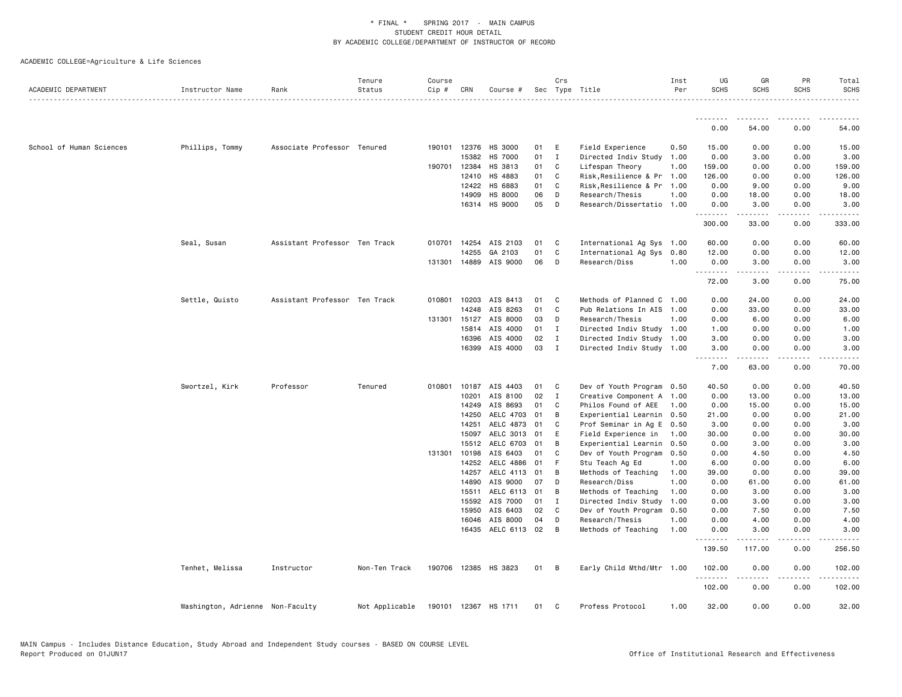| ACADEMIC DEPARTMENT      | Instructor Name                  | Rank                          | Tenure<br>Status | Course<br>Cip # | CRN            | Course #              |               | Crs          | Sec Type Title                       | Inst<br>Per  | UG<br><b>SCHS</b>  | GR<br><b>SCHS</b>   | PR<br><b>SCHS</b>      | Total<br><b>SCHS</b> |
|--------------------------|----------------------------------|-------------------------------|------------------|-----------------|----------------|-----------------------|---------------|--------------|--------------------------------------|--------------|--------------------|---------------------|------------------------|----------------------|
|                          |                                  |                               |                  |                 |                |                       |               |              |                                      |              | <u>.</u>           |                     |                        |                      |
|                          |                                  |                               |                  |                 |                |                       |               |              |                                      |              | 0.00               | 54.00               | 0.00                   | 54.00                |
| School of Human Sciences | Phillips, Tommy                  | Associate Professor Tenured   |                  |                 | 190101 12376   | HS 3000               | 01            | E            | Field Experience                     | 0.50         | 15.00              | 0.00                | 0.00                   | 15.00                |
|                          |                                  |                               |                  |                 | 15382          | <b>HS 7000</b>        | 01            | $\mathbf{I}$ | Directed Indiv Study                 | 1.00         | 0.00               | 3.00                | 0.00                   | 3.00                 |
|                          |                                  |                               |                  | 190701          | 12384          | HS 3813               | 01            | C            | Lifespan Theory                      | 1.00         | 159.00             | 0.00                | 0.00                   | 159.00               |
|                          |                                  |                               |                  |                 | 12410          | HS 4883               | 01            | C            | Risk, Resilience & Pr 1.00           |              | 126.00             | 0.00                | 0.00                   | 126.00               |
|                          |                                  |                               |                  |                 | 12422          | HS 6883               | 01            | C            | Risk, Resilience & Pr 1.00           |              | 0.00               | 9.00                | 0.00                   | 9.00                 |
|                          |                                  |                               |                  |                 | 14909          | <b>HS 8000</b>        | 06            | D            | Research/Thesis                      | 1.00         | 0.00               | 18.00               | 0.00                   | 18.00                |
|                          |                                  |                               |                  |                 |                | 16314 HS 9000         | 05            | D            | Research/Dissertatio 1.00            |              | 0.00<br><u>.</u>   | 3.00<br>$- - - - -$ | 0.00<br>المالم المالية | 3.00<br>.            |
|                          |                                  |                               |                  |                 |                |                       |               |              |                                      |              | 300.00             | 33.00               | 0.00                   | 333.00               |
|                          | Seal, Susan                      | Assistant Professor Ten Track |                  |                 |                | 010701 14254 AIS 2103 | 01            | $\mathbf{C}$ | International Ag Sys 1.00            |              | 60.00              | 0.00                | 0.00                   | 60.00                |
|                          |                                  |                               |                  |                 | 14255          | GA 2103               | 01            | C            | International Ag Sys                 | 0.80         | 12.00              | 0.00                | 0.00                   | 12.00                |
|                          |                                  |                               |                  |                 |                | 131301 14889 AIS 9000 | 06            | D            | Research/Diss                        | 1.00         | 0.00<br>.          | 3.00<br>. <u>.</u>  | 0.00<br>.              | 3.00<br>.            |
|                          |                                  |                               |                  |                 |                |                       |               |              |                                      |              | 72.00              | 3.00                | 0.00                   | 75.00                |
|                          | Settle, Quisto                   | Assistant Professor Ten Track |                  |                 | 010801 10203   | AIS 8413              | 01            | $\mathbf{C}$ | Methods of Planned C 1.00            |              | 0.00               | 24.00               | 0.00                   | 24.00                |
|                          |                                  |                               |                  |                 | 14248          | AIS 8263              | 01            | C            | Pub Relations In AIS 1.00            |              | 0.00               | 33.00               | 0.00                   | 33.00                |
|                          |                                  |                               |                  |                 | 131301 15127   | AIS 8000              | 03            | D            | Research/Thesis                      | 1.00         | 0.00               | 6.00                | 0.00                   | 6.00                 |
|                          |                                  |                               |                  |                 | 15814          | AIS 4000              | $01 \qquad I$ |              | Directed Indiv Study 1.00            |              | 1.00               | 0.00                | 0.00                   | 1.00                 |
|                          |                                  |                               |                  |                 | 16396          | AIS 4000              | 02            | $\mathbf{I}$ | Directed Indiv Study 1.00            |              | 3.00               | 0.00                | 0.00                   | 3.00                 |
|                          |                                  |                               |                  |                 | 16399          | AIS 4000              | 03            | I            | Directed Indiv Study 1.00            |              | 3.00<br>.          | 0.00<br>.           | 0.00                   | 3.00                 |
|                          |                                  |                               |                  |                 |                |                       |               |              |                                      |              | 7.00               | 63.00               | 0.00                   | 70.00                |
|                          | Swortzel, Kirk                   | Professor                     | Tenured          |                 |                | 010801 10187 AIS 4403 | 01            | $\mathbf{C}$ | Dev of Youth Program 0.50            |              | 40.50              | 0.00                | 0.00                   | 40.50                |
|                          |                                  |                               |                  |                 | 10201          | AIS 8100              | 02            | $\mathbf{I}$ | Creative Component A 1.00            |              | 0.00               | 13.00               | 0.00                   | 13.00                |
|                          |                                  |                               |                  |                 | 14249          | AIS 8693              | 01            | C            | Philos Found of AEE                  | 1.00         | 0.00               | 15.00               | 0.00                   | 15.00                |
|                          |                                  |                               |                  |                 | 14250          | AELC 4703             | 01            | B            | Experiential Learnin 0.50            |              | 21.00              | 0.00                | 0.00                   | 21.00                |
|                          |                                  |                               |                  |                 | 14251          | AELC 4873             | 01            | C            | Prof Seminar in Ag E 0.50            |              | 3.00               | 0.00                | 0.00                   | 3.00                 |
|                          |                                  |                               |                  |                 | 15097          | AELC 3013             | 01            | E            | Field Experience in                  | 1.00         | 30.00              | 0.00                | 0.00                   | 30.00                |
|                          |                                  |                               |                  |                 | 15512          | AELC 6703             | 01            | B            | Experiential Learnin 0.50            |              | 0.00               | 3.00                | 0.00                   | 3.00                 |
|                          |                                  |                               |                  |                 | 131301 10198   | AIS 6403              | 01            | C<br>F       | Dev of Youth Program                 | 0.50         | 0.00               | 4.50                | 0.00                   | 4.50                 |
|                          |                                  |                               |                  |                 | 14252          | AELC 4886             | 01            |              | Stu Teach Ag Ed                      | 1.00         | 6.00               | 0.00                | 0.00                   | 6.00                 |
|                          |                                  |                               |                  |                 | 14257<br>14890 | AELC 4113<br>AIS 9000 | 01<br>07      | B<br>D       | Methods of Teaching                  | 1.00<br>1.00 | 39.00              | 0.00<br>61.00       | 0.00<br>0.00           | 39.00<br>61.00       |
|                          |                                  |                               |                  |                 | 15511          | AELC 6113             | 01            | B            | Research/Diss<br>Methods of Teaching | 1.00         | 0.00<br>0.00       | 3.00                | 0.00                   | 3.00                 |
|                          |                                  |                               |                  |                 | 15592          | AIS 7000              | 01            | $\mathbf{I}$ | Directed Indiv Study                 | 1.00         | 0.00               | 3.00                | 0.00                   | 3.00                 |
|                          |                                  |                               |                  |                 | 15950          | AIS 6403              | 02            | C            | Dev of Youth Program                 | 0.50         | 0.00               | 7.50                | 0.00                   | 7.50                 |
|                          |                                  |                               |                  |                 | 16046          | AIS 8000              | 04            | D            | Research/Thesis                      | 1.00         | 0.00               | 4.00                | 0.00                   | 4.00                 |
|                          |                                  |                               |                  |                 |                | 16435 AELC 6113 02    |               | B            | Methods of Teaching                  | 1.00         | 0.00               | 3.00                | 0.00                   | 3.00                 |
|                          |                                  |                               |                  |                 |                |                       |               |              |                                      |              | --------<br>139.50 | ------<br>117.00    | .<br>0.00              | 256.50               |
|                          | Tenhet, Melissa                  | Instructor                    | Non-Ten Track    | 190706          |                | 12385 HS 3823         | 01 B          |              | Early Child Mthd/Mtr 1.00            |              | 102.00             | 0.00                | 0.00                   | 102.00               |
|                          |                                  |                               |                  |                 |                |                       |               |              |                                      |              | .<br>102.00        | .<br>0.00           | .<br>0.00              | .<br>102.00          |
|                          | Washington, Adrienne Non-Faculty |                               | Not Applicable   |                 |                | 190101 12367 HS 1711  | 01            | $\mathbf{C}$ | Profess Protocol                     | 1.00         | 32.00              | 0.00                | 0.00                   | 32.00                |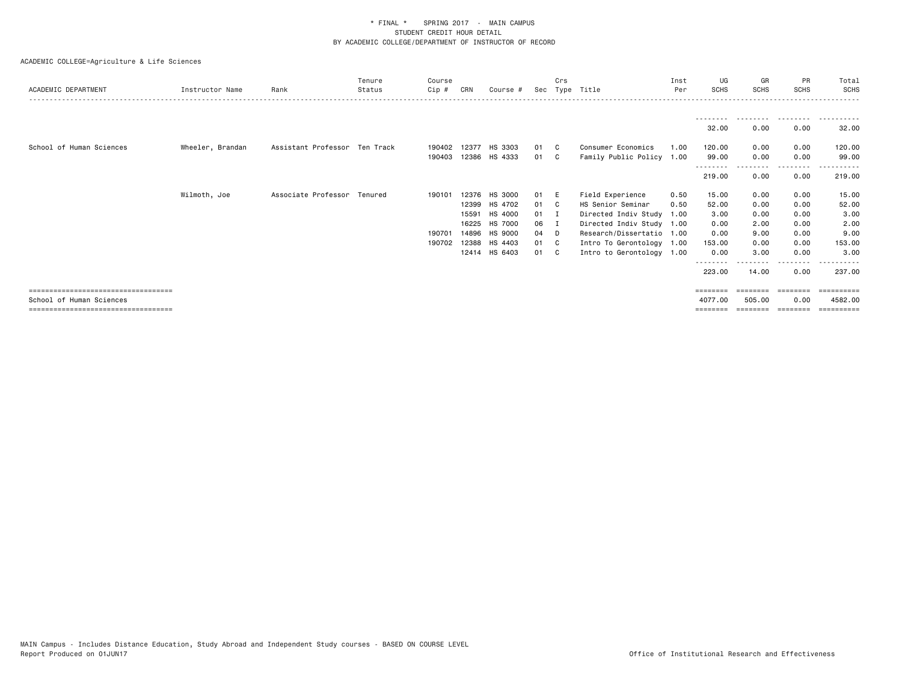| ACADEMIC DEPARTMENT                   | Instructor Name  | Rank                          | Tenure<br>Status | Course<br>$Cip$ # | CRN            | Course #           | Sec      | Crs      | Type Title                                      | Inst<br>Per | UG<br><b>SCHS</b>  | GR<br><b>SCHS</b>         | <b>PR</b><br><b>SCHS</b> | Total<br><b>SCHS</b>  |
|---------------------------------------|------------------|-------------------------------|------------------|-------------------|----------------|--------------------|----------|----------|-------------------------------------------------|-------------|--------------------|---------------------------|--------------------------|-----------------------|
|                                       |                  |                               |                  |                   |                |                    |          |          |                                                 |             | 32.00              | - - - - - - - - -<br>0.00 | --------<br>0.00         | 32.00                 |
| School of Human Sciences              | Wheeler, Brandan | Assistant Professor Ten Track |                  | 190402<br>190403  | 12377<br>12386 | HS 3303<br>HS 4333 | 01<br>01 | C.<br>C. | Consumer Economics<br>Family Public Policy 1.00 | 1.00        | 120.00<br>99.00    | 0.00<br>0.00              | 0.00<br>0.00             | 120.00<br>99.00       |
|                                       |                  |                               |                  |                   |                |                    |          |          |                                                 |             | --------<br>219.00 | --------<br>0.00          | --------<br>0.00         | - - - - - -<br>219.00 |
|                                       | Wilmoth, Joe     | Associate Professor Tenured   |                  | 190101            |                | 12376 HS 3000      | 01       | -E       | Field Experience                                | 0.50        | 15.00              | 0.00                      | 0.00                     | 15.00                 |
|                                       |                  |                               |                  |                   | 12399          | HS 4702            | 01       | C.       | HS Senior Seminar                               | 0.50        | 52.00              | 0.00                      | 0.00                     | 52.00                 |
|                                       |                  |                               |                  |                   | 15591          | HS 4000            | 01       | I.       | Directed Indiv Study                            | 1.00        | 3.00               | 0.00                      | 0.00                     | 3.00                  |
|                                       |                  |                               |                  |                   | 16225          | HS 7000            | 06       | I        | Directed Indiv Study 1.00                       |             | 0.00               | 2.00                      | 0.00                     | 2.00                  |
|                                       |                  |                               |                  | 190701            | 14896          | HS 9000            | 04       | D        | Research/Dissertatio 1.00                       |             | 0.00               | 9.00                      | 0.00                     | 9.00                  |
|                                       |                  |                               |                  | 190702            | 12388          | HS 4403            | 01       | C.       | Intro To Gerontology 1.00                       |             | 153.00             | 0.00                      | 0.00                     | 153.00                |
|                                       |                  |                               |                  |                   |                | 12414 HS 6403      | 01       | C.       | Intro to Gerontology 1.00                       |             | 0.00               | 3.00                      | 0.00                     | 3,00                  |
|                                       |                  |                               |                  |                   |                |                    |          |          |                                                 |             | - - - - - - - -    |                           | .                        |                       |
|                                       |                  |                               |                  |                   |                |                    |          |          |                                                 |             | 223.00             | 14.00                     | 0.00                     | 237,00                |
| ====================================  |                  |                               |                  |                   |                |                    |          |          |                                                 |             | ========           | ========                  | --------                 |                       |
| School of Human Sciences              |                  |                               |                  |                   |                |                    |          |          |                                                 |             | 4077.00            | 505,00                    | 0.00                     | 4582.00               |
| ===================================== |                  |                               |                  |                   |                |                    |          |          |                                                 |             |                    |                           |                          |                       |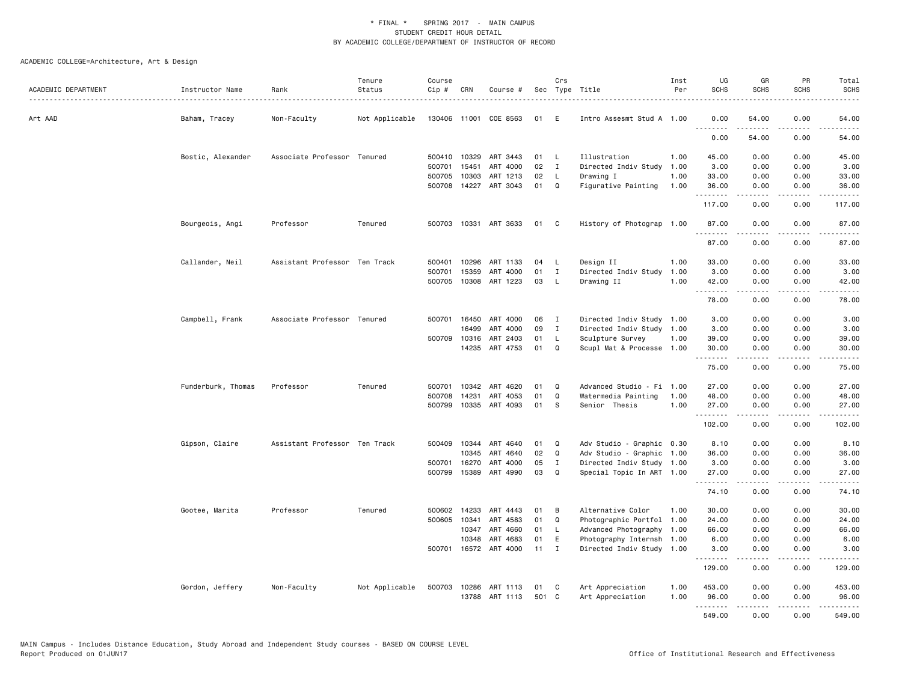| ACADEMIC DEPARTMENT | Instructor Name    | Rank                          | Tenure<br>Status | Course<br>Cip#   | CRN          | Course #                   |          | Crs           | Sec Type Title                   | Inst<br>Per  | UG<br><b>SCHS</b>    | GR<br><b>SCHS</b>    | PR<br><b>SCHS</b>     | Total<br><b>SCHS</b>                        |
|---------------------|--------------------|-------------------------------|------------------|------------------|--------------|----------------------------|----------|---------------|----------------------------------|--------------|----------------------|----------------------|-----------------------|---------------------------------------------|
| Art AAD             | Baham, Tracey      | Non-Faculty                   | Not Applicable   |                  |              | 130406 11001 COE 8563      | 01       | E             | Intro Assesmt Stud A 1.00        |              | 0.00                 | 54.00                | 0.00                  | 54.00                                       |
|                     |                    |                               |                  |                  |              |                            |          |               |                                  |              | .<br>0.00            | .<br>54.00           | 0.00                  | .<br>54.00                                  |
|                     | Bostic, Alexander  | Associate Professor Tenured   |                  |                  | 500410 10329 | ART 3443                   | 01       | L.            | Illustration                     | 1.00         | 45.00                | 0.00                 | 0.00                  | 45.00                                       |
|                     |                    |                               |                  | 500701           | 15451        | ART 4000                   | 02       | I             | Directed Indiv Study             | 1.00         | 3.00                 | 0.00                 | 0.00                  | 3.00                                        |
|                     |                    |                               |                  | 500705<br>500708 | 10303        | ART 1213<br>14227 ART 3043 | 02<br>01 | <b>L</b><br>Q | Drawing I<br>Figurative Painting | 1.00<br>1.00 | 33.00<br>36.00       | 0.00<br>0.00         | 0.00<br>0.00          | 33.00<br>36.00                              |
|                     |                    |                               |                  |                  |              |                            |          |               |                                  |              | . <u>.</u><br>117.00 | .<br>0.00            | $\frac{1}{2}$<br>0.00 | .<br>117.00                                 |
|                     | Bourgeois, Angi    | Professor                     | Tenured          |                  |              | 500703 10331 ART 3633      | 01 C     |               | History of Photograp 1.00        |              | 87.00                | 0.00                 | 0.00                  | 87.00                                       |
|                     |                    |                               |                  |                  |              |                            |          |               |                                  |              | <b>.</b> .           | $\omega$ is a set of | .                     | .                                           |
|                     |                    |                               |                  |                  |              |                            |          |               |                                  |              | 87.00                | 0.00                 | 0.00                  | 87.00                                       |
|                     | Callander, Neil    | Assistant Professor Ten Track |                  | 500401           | 10296        | ART 1133                   | 04       | L.            | Design II                        | 1.00         | 33.00                | 0.00                 | 0.00                  | 33.00                                       |
|                     |                    |                               |                  | 500701           | 15359        | ART<br>4000                | 01       | $\mathbf{I}$  | Directed Indiv Study             | 1.00         | 3.00                 | 0.00                 | 0.00                  | 3.00                                        |
|                     |                    |                               |                  | 500705           |              | 10308 ART 1223             | 03       | $\mathsf{L}$  | Drawing II                       | 1.00         | 42.00                | 0.00                 | 0.00                  | 42.00                                       |
|                     |                    |                               |                  |                  |              |                            |          |               |                                  |              | .<br>78.00           | .<br>0.00            | .<br>0.00             | $    -$<br>78.00                            |
|                     | Campbell, Frank    | Associate Professor Tenured   |                  |                  | 500701 16450 | ART 4000                   | 06       | I             | Directed Indiv Study 1.00        |              | 3.00                 | 0.00                 | 0.00                  | 3.00                                        |
|                     |                    |                               |                  |                  | 16499        | ART 4000                   | 09       | $\mathbf{I}$  | Directed Indiv Study             | 1.00         | 3.00                 | 0.00                 | 0.00                  | 3.00                                        |
|                     |                    |                               |                  | 500709           | 10316        | ART 2403                   | 01       | L             | Sculpture Survey                 | 1.00         | 39.00                | 0.00                 | 0.00                  | 39.00                                       |
|                     |                    |                               |                  |                  | 14235        | ART 4753                   | 01       | Q             | Scupl Mat & Processe 1.00        |              | 30.00                | 0.00                 | 0.00                  | 30.00                                       |
|                     |                    |                               |                  |                  |              |                            |          |               |                                  |              | .<br>75.00           | .<br>0.00            | د د د د<br>0.00       | $\sim$ $\sim$ $\sim$ $\sim$ $\sim$<br>75.00 |
|                     | Funderburk, Thomas | Professor                     | Tenured          | 500701           | 10342        | ART 4620                   | 01       | Q             | Advanced Studio - Fi 1.00        |              | 27.00                | 0.00                 | 0.00                  | 27.00                                       |
|                     |                    |                               |                  | 500708           | 14231        | ART 4053                   | 01       | Q             | Watermedia Painting              | 1.00         | 48.00                | 0.00                 | 0.00                  | 48.00                                       |
|                     |                    |                               |                  | 500799           |              | 10335 ART 4093             | 01       | s             | Senior Thesis                    | 1.00         | 27.00                | 0.00                 | 0.00                  | 27.00                                       |
|                     |                    |                               |                  |                  |              |                            |          |               |                                  |              | <u>.</u><br>102.00   | .<br>0.00            | .<br>0.00             | . <u>.</u> .<br>102.00                      |
|                     | Gipson, Claire     | Assistant Professor Ten Track |                  | 500409           | 10344        | ART 4640                   | 01       | Q             | Adv Studio - Graphic 0.30        |              | 8.10                 | 0.00                 | 0.00                  | 8.10                                        |
|                     |                    |                               |                  |                  | 10345        | ART 4640                   | 02       | Q             | Adv Studio - Graphic 1.00        |              | 36.00                | 0.00                 | 0.00                  | 36.00                                       |
|                     |                    |                               |                  | 500701           | 16270        | ART 4000                   | 05       | $\mathbf I$   | Directed Indiv Study 1.00        |              | 3.00                 | 0.00                 | 0.00                  | 3.00                                        |
|                     |                    |                               |                  | 500799           | 15389        | ART 4990                   | 03       | $\Omega$      | Special Topic In ART 1.00        |              | 27.00                | 0.00                 | 0.00                  | 27.00                                       |
|                     |                    |                               |                  |                  |              |                            |          |               |                                  |              | .<br>74.10           | .<br>0.00            | .<br>0.00             | .<br>74.10                                  |
|                     | Gootee, Marita     | Professor                     | Tenured          | 500602           | 14233        | ART 4443                   | 01       | B             | Alternative Color                | 1.00         | 30.00                | 0.00                 | 0.00                  | 30.00                                       |
|                     |                    |                               |                  | 500605           | 10341        | ART 4583                   | 01       | Q             | Photographic Portfol 1.00        |              | 24.00                | 0.00                 | 0.00                  | 24.00                                       |
|                     |                    |                               |                  |                  | 10347        | ART 4660                   | 01       | L.            | Advanced Photography 1.00        |              | 66.00                | 0.00                 | 0.00                  | 66.00                                       |
|                     |                    |                               |                  |                  | 10348        | ART 4683                   | 01       | E             | Photography Internsh 1.00        |              | 6.00                 | 0.00                 | 0.00                  | 6.00                                        |
|                     |                    |                               |                  |                  |              | 500701 16572 ART 4000      | 11       | $\mathbf{I}$  | Directed Indiv Study 1.00        |              | 3.00<br>.            | 0.00<br>.            | 0.00<br>.             | 3.00<br>.                                   |
|                     |                    |                               |                  |                  |              |                            |          |               |                                  |              | 129.00               | 0.00                 | 0.00                  | 129.00                                      |
|                     | Gordon, Jeffery    | Non-Faculty                   | Not Applicable   |                  |              | 500703 10286 ART 1113      | 01       | C             | Art Appreciation                 | 1.00         | 453.00               | 0.00                 | 0.00                  | 453.00                                      |
|                     |                    |                               |                  |                  | 13788        | ART 1113                   | 501 C    |               | Art Appreciation                 | 1.00         | 96.00                | 0.00                 | 0.00                  | 96.00                                       |
|                     |                    |                               |                  |                  |              |                            |          |               |                                  |              | .<br>549.00          | .<br>0.00            | .<br>0.00             | .<br>549.00                                 |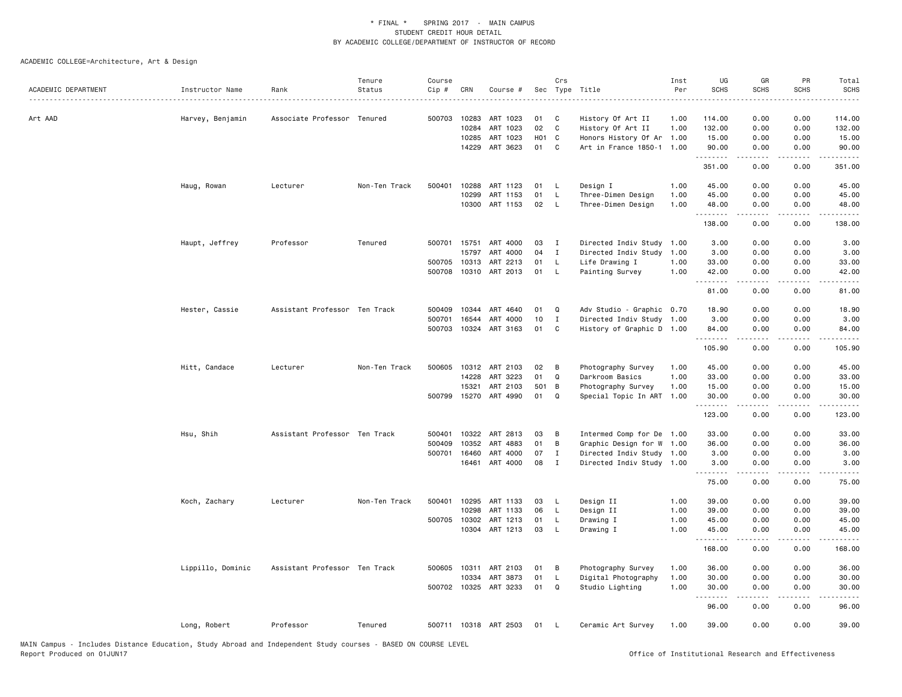| ACADEMIC DEPARTMENT | Instructor Name   | Rank                          | Tenure<br>Status | Course<br>Cip # | CRN            | Course #              |                   | Crs          | Sec Type Title                            | Inst<br>Per  | UG<br><b>SCHS</b>  | GR<br><b>SCHS</b> | PR<br><b>SCHS</b> | Total<br><b>SCHS</b>                 |
|---------------------|-------------------|-------------------------------|------------------|-----------------|----------------|-----------------------|-------------------|--------------|-------------------------------------------|--------------|--------------------|-------------------|-------------------|--------------------------------------|
|                     |                   |                               |                  |                 |                |                       |                   |              |                                           |              |                    |                   |                   | .                                    |
| Art AAD             | Harvey, Benjamin  | Associate Professor Tenured   |                  | 500703          | 10283<br>10284 | ART 1023<br>ART 1023  | 01<br>02          | C<br>C       | History Of Art II                         | 1.00         | 114.00<br>132.00   | 0.00<br>0.00      | 0.00<br>0.00      | 114.00<br>132.00                     |
|                     |                   |                               |                  |                 | 10285          | ART 1023              | H <sub>01</sub> C |              | History Of Art II<br>Honors History Of Ar | 1.00<br>1.00 | 15.00              | 0.00              | 0.00              | 15.00                                |
|                     |                   |                               |                  |                 | 14229          | ART 3623              | 01                | C            | Art in France 1850-1 1.00                 |              | 90.00              | 0.00              | 0.00              | 90.00                                |
|                     |                   |                               |                  |                 |                |                       |                   |              |                                           |              | .                  | .                 | د د د د           | .                                    |
|                     |                   |                               |                  |                 |                |                       |                   |              |                                           |              | 351.00             | 0.00              | 0.00              | 351.00                               |
|                     | Haug, Rowan       | Lecturer                      | Non-Ten Track    | 500401          | 10288          | ART 1123              | 01                | L.           | Design I                                  | 1.00         | 45.00              | 0.00              | 0.00              | 45.00                                |
|                     |                   |                               |                  |                 | 10299          | ART 1153              | 01                | L.           | Three-Dimen Design                        | 1.00         | 45.00              | 0.00              | 0.00              | 45.00                                |
|                     |                   |                               |                  |                 |                | 10300 ART 1153        | 02                | - L          | Three-Dimen Design                        | 1.00         | 48.00<br>.         | 0.00<br>.         | 0.00<br>د د د د   | 48.00<br>$\sim$ $\sim$ $\sim$ $\sim$ |
|                     |                   |                               |                  |                 |                |                       |                   |              |                                           |              | 138.00             | 0.00              | 0.00              | 138.00                               |
|                     | Haupt, Jeffrey    | Professor                     | Tenured          |                 |                | 500701 15751 ART 4000 | 03                | $\mathbf I$  | Directed Indiv Study                      | 1.00         | 3.00               | 0.00              | 0.00              | 3.00                                 |
|                     |                   |                               |                  |                 | 15797          | ART 4000              | 04                | $\mathbf{I}$ | Directed Indiv Study                      | 1.00         | 3.00               | 0.00              | 0.00              | 3.00                                 |
|                     |                   |                               |                  | 500705          | 10313          | ART 2213              | 01                | <b>L</b>     | Life Drawing I                            | 1.00         | 33.00              | 0.00              | 0.00              | 33.00                                |
|                     |                   |                               |                  | 500708          |                | 10310 ART 2013        | 01                | <b>L</b>     | Painting Survey                           | 1.00         | 42.00<br>.         | 0.00<br>.         | 0.00<br>.         | 42.00<br>$    -$                     |
|                     |                   |                               |                  |                 |                |                       |                   |              |                                           |              | 81.00              | 0.00              | 0.00              | 81.00                                |
|                     | Hester, Cassie    | Assistant Professor Ten Track |                  | 500409          | 10344          | ART 4640              | 01                | Q            | Adv Studio - Graphic 0.70                 |              | 18.90              | 0.00              | 0.00              | 18.90                                |
|                     |                   |                               |                  | 500701          | 16544          | ART 4000              | 10                | $\mathbf{I}$ | Directed Indiv Study 1.00                 |              | 3.00               | 0.00              | 0.00              | 3.00                                 |
|                     |                   |                               |                  | 500703          |                | 10324 ART 3163        | 01                | C            | History of Graphic D 1.00                 |              | 84.00              | 0.00              | 0.00              | 84.00                                |
|                     |                   |                               |                  |                 |                |                       |                   |              |                                           |              | <u>.</u><br>105.90 | 0.00              | 0.00              | 105.90                               |
|                     | Hitt, Candace     | Lecturer                      | Non-Ten Track    | 500605          |                | 10312 ART 2103        | 02                | в            | Photography Survey                        | 1.00         | 45.00              | 0.00              | 0.00              | 45.00                                |
|                     |                   |                               |                  |                 | 14228          | ART 3223              | 01                | Q            | Darkroom Basics                           | 1.00         | 33.00              | 0.00              | 0.00              | 33.00                                |
|                     |                   |                               |                  |                 | 15321          | ART 2103              | 501 B             |              | Photography Survey                        | 1.00         | 15.00              | 0.00              | 0.00              | 15.00                                |
|                     |                   |                               |                  | 500799          |                | 15270 ART 4990        | 01                | Q            | Special Topic In ART 1.00                 |              | 30.00<br>.         | 0.00              | 0.00<br>.         | 30.00<br>والمناصبات                  |
|                     |                   |                               |                  |                 |                |                       |                   |              |                                           |              | 123.00             | 0.00              | 0.00              | 123.00                               |
|                     | Hsu, Shih         | Assistant Professor Ten Track |                  | 500401          | 10322          | ART 2813              | 03                | B            | Intermed Comp for De 1.00                 |              | 33.00              | 0.00              | 0.00              | 33.00                                |
|                     |                   |                               |                  | 500409          | 10352          | ART 4883              | 01                | B            | Graphic Design for W 1.00                 |              | 36.00              | 0.00              | 0.00              | 36.00                                |
|                     |                   |                               |                  | 500701          | 16460          | ART 4000              | 07                | $\mathbf I$  | Directed Indiv Study 1.00                 |              | 3.00               | 0.00              | 0.00              | 3.00                                 |
|                     |                   |                               |                  |                 | 16461          | ART 4000              | 08                | I            | Directed Indiv Study 1.00                 |              | 3.00<br>.          | 0.00<br>.         | 0.00<br>د د د د   | 3.00<br>$    -$                      |
|                     |                   |                               |                  |                 |                |                       |                   |              |                                           |              | 75.00              | 0.00              | 0.00              | 75.00                                |
|                     | Koch, Zachary     | Lecturer                      | Non-Ten Track    | 500401          | 10295          | ART 1133              | 03                | L            | Design II                                 | 1.00         | 39.00              | 0.00              | 0.00              | 39.00                                |
|                     |                   |                               |                  |                 | 10298          | ART 1133              | 06                | L.           | Design II                                 | 1.00         | 39.00              | 0.00              | 0.00              | 39.00                                |
|                     |                   |                               |                  | 500705          | 10302          | ART 1213              | 01                | L.           | Drawing I                                 | 1.00         | 45.00              | 0.00              | 0.00              | 45.00                                |
|                     |                   |                               |                  |                 |                | 10304 ART 1213        | 03                | L.           | Drawing I                                 | 1.00         | 45.00<br>.         | 0.00<br>.         | 0.00<br>.         | 45.00<br>.                           |
|                     |                   |                               |                  |                 |                |                       |                   |              |                                           |              | 168.00             | 0.00              | 0.00              | 168.00                               |
|                     | Lippillo, Dominic | Assistant Professor Ten Track |                  | 500605          | 10311          | ART 2103              | 01                | В            | Photography Survey                        | 1.00         | 36.00              | 0.00              | 0.00              | 36.00                                |
|                     |                   |                               |                  |                 | 10334          | ART 3873              | 01                | L.           | Digital Photography                       | 1.00         | 30.00              | 0.00              | 0.00              | 30.00                                |
|                     |                   |                               |                  |                 |                | 500702 10325 ART 3233 | 01                | Q            | Studio Lighting                           | 1.00         | 30.00<br><u>.</u>  | 0.00<br>.         | 0.00<br>$- - -$   | 30.00<br>$\cdots$                    |
|                     |                   |                               |                  |                 |                |                       |                   |              |                                           |              | 96.00              | 0.00              | 0.00              | 96.00                                |
|                     | Long, Robert      | Professor                     | Tenured          |                 |                | 500711 10318 ART 2503 | 01                | - L          | Ceramic Art Survey                        | 1.00         | 39.00              | 0.00              | 0.00              | 39.00                                |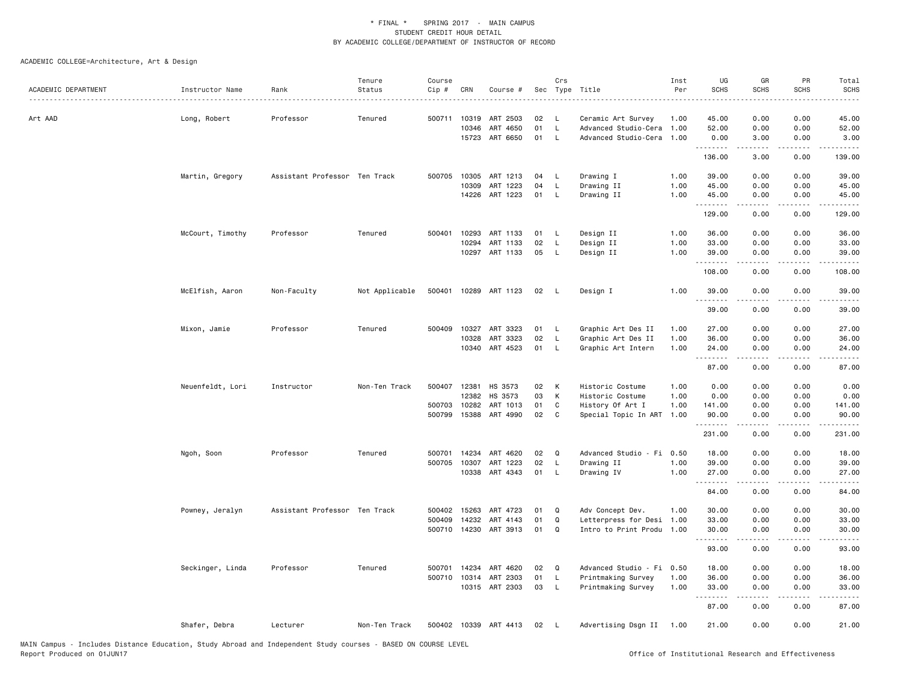| <b>SCHS</b><br>Type Title<br>Per<br>ACADEMIC DEPARTMENT<br>Instructor Name<br>Rank<br>Status<br>Cip #<br>CRN<br>Course #<br>Sec<br>Art AAD<br>Long, Robert<br>Professor<br>Tenured<br>500711<br>10319<br>ART 2503<br>02<br>L<br>Ceramic Art Survey<br>1.00<br>45.00<br>01<br>10346<br>ART 4650<br>L<br>Advanced Studio-Cera<br>1.00<br>52.00<br>15723 ART 6650<br>01<br>L.<br>Advanced Studio-Cera<br>1.00<br>0.00<br>.<br>136.00<br>Martin, Gregory<br>Assistant Professor Ten Track<br>500705 10305<br>ART 1213<br>04<br>Drawing I<br>1.00<br>39.00<br>L<br>10309<br>ART 1223<br>04<br>Drawing II<br>1.00<br>45.00<br>L<br>14226<br>ART 1223<br>01<br>Drawing II<br>L.<br>1.00<br>45.00<br>.<br>129.00<br>10293<br>ART 1133<br>Design II<br>1.00<br>36.00<br>McCourt, Timothy<br>Professor<br>Tenured<br>500401<br>01<br>-L<br>10294<br>ART 1133<br>02<br>1.00<br>33.00<br>L<br>Design II<br>05<br>10297<br>ART 1133<br>L<br>Design II<br>1.00<br>39.00<br>.<br>108.00<br>500401 10289 ART 1123<br>1.00<br>McElfish, Aaron<br>Non-Faculty<br>Not Applicable<br>02<br>Design I<br>39.00<br>- L<br>.<br>39.00<br>Mixon, Jamie<br>Professor<br>Tenured<br>500409<br>10327 ART 3323<br>01<br>L<br>Graphic Art Des II<br>1.00<br>27.00 | <b>SCHS</b><br>0.00                                                                                                                                          | <b>SCHS</b>                                                                                                                       | <b>SCHS</b>                                 |
|-------------------------------------------------------------------------------------------------------------------------------------------------------------------------------------------------------------------------------------------------------------------------------------------------------------------------------------------------------------------------------------------------------------------------------------------------------------------------------------------------------------------------------------------------------------------------------------------------------------------------------------------------------------------------------------------------------------------------------------------------------------------------------------------------------------------------------------------------------------------------------------------------------------------------------------------------------------------------------------------------------------------------------------------------------------------------------------------------------------------------------------------------------------------------------------------------------------------------------------|--------------------------------------------------------------------------------------------------------------------------------------------------------------|-----------------------------------------------------------------------------------------------------------------------------------|---------------------------------------------|
|                                                                                                                                                                                                                                                                                                                                                                                                                                                                                                                                                                                                                                                                                                                                                                                                                                                                                                                                                                                                                                                                                                                                                                                                                                     |                                                                                                                                                              |                                                                                                                                   |                                             |
|                                                                                                                                                                                                                                                                                                                                                                                                                                                                                                                                                                                                                                                                                                                                                                                                                                                                                                                                                                                                                                                                                                                                                                                                                                     |                                                                                                                                                              | 0.00                                                                                                                              | 45.00                                       |
|                                                                                                                                                                                                                                                                                                                                                                                                                                                                                                                                                                                                                                                                                                                                                                                                                                                                                                                                                                                                                                                                                                                                                                                                                                     | 0.00                                                                                                                                                         | 0.00                                                                                                                              | 52.00                                       |
|                                                                                                                                                                                                                                                                                                                                                                                                                                                                                                                                                                                                                                                                                                                                                                                                                                                                                                                                                                                                                                                                                                                                                                                                                                     | 3.00                                                                                                                                                         | 0.00                                                                                                                              | 3.00                                        |
|                                                                                                                                                                                                                                                                                                                                                                                                                                                                                                                                                                                                                                                                                                                                                                                                                                                                                                                                                                                                                                                                                                                                                                                                                                     | 3.00                                                                                                                                                         | 0.00                                                                                                                              | 139.00                                      |
|                                                                                                                                                                                                                                                                                                                                                                                                                                                                                                                                                                                                                                                                                                                                                                                                                                                                                                                                                                                                                                                                                                                                                                                                                                     | 0.00                                                                                                                                                         | 0.00                                                                                                                              | 39.00                                       |
|                                                                                                                                                                                                                                                                                                                                                                                                                                                                                                                                                                                                                                                                                                                                                                                                                                                                                                                                                                                                                                                                                                                                                                                                                                     | 0.00                                                                                                                                                         | 0.00                                                                                                                              | 45.00                                       |
|                                                                                                                                                                                                                                                                                                                                                                                                                                                                                                                                                                                                                                                                                                                                                                                                                                                                                                                                                                                                                                                                                                                                                                                                                                     | 0.00                                                                                                                                                         | 0.00                                                                                                                              | 45.00                                       |
|                                                                                                                                                                                                                                                                                                                                                                                                                                                                                                                                                                                                                                                                                                                                                                                                                                                                                                                                                                                                                                                                                                                                                                                                                                     | 0.00                                                                                                                                                         | 0.00                                                                                                                              | 129.00                                      |
|                                                                                                                                                                                                                                                                                                                                                                                                                                                                                                                                                                                                                                                                                                                                                                                                                                                                                                                                                                                                                                                                                                                                                                                                                                     | 0.00                                                                                                                                                         | 0.00                                                                                                                              | 36.00                                       |
|                                                                                                                                                                                                                                                                                                                                                                                                                                                                                                                                                                                                                                                                                                                                                                                                                                                                                                                                                                                                                                                                                                                                                                                                                                     | 0.00                                                                                                                                                         | 0.00                                                                                                                              | 33.00                                       |
|                                                                                                                                                                                                                                                                                                                                                                                                                                                                                                                                                                                                                                                                                                                                                                                                                                                                                                                                                                                                                                                                                                                                                                                                                                     | 0.00<br>.                                                                                                                                                    | 0.00<br>.                                                                                                                         | 39.00<br>.                                  |
|                                                                                                                                                                                                                                                                                                                                                                                                                                                                                                                                                                                                                                                                                                                                                                                                                                                                                                                                                                                                                                                                                                                                                                                                                                     | 0.00                                                                                                                                                         | 0.00                                                                                                                              | 108.00                                      |
|                                                                                                                                                                                                                                                                                                                                                                                                                                                                                                                                                                                                                                                                                                                                                                                                                                                                                                                                                                                                                                                                                                                                                                                                                                     | 0.00<br>$\frac{1}{2} \left( \frac{1}{2} \right) \left( \frac{1}{2} \right) \left( \frac{1}{2} \right) \left( \frac{1}{2} \right) \left( \frac{1}{2} \right)$ | 0.00<br>.                                                                                                                         | 39.00<br>.                                  |
|                                                                                                                                                                                                                                                                                                                                                                                                                                                                                                                                                                                                                                                                                                                                                                                                                                                                                                                                                                                                                                                                                                                                                                                                                                     | 0.00                                                                                                                                                         | 0.00                                                                                                                              | 39.00                                       |
|                                                                                                                                                                                                                                                                                                                                                                                                                                                                                                                                                                                                                                                                                                                                                                                                                                                                                                                                                                                                                                                                                                                                                                                                                                     | 0.00                                                                                                                                                         | 0.00                                                                                                                              | 27.00                                       |
| ART 3323<br>02<br>10328<br>L<br>Graphic Art Des II<br>1.00<br>36.00                                                                                                                                                                                                                                                                                                                                                                                                                                                                                                                                                                                                                                                                                                                                                                                                                                                                                                                                                                                                                                                                                                                                                                 | 0.00                                                                                                                                                         | 0.00                                                                                                                              | 36.00                                       |
| 10340<br>ART 4523<br>01<br>L<br>Graphic Art Intern<br>1.00<br>24.00<br>.                                                                                                                                                                                                                                                                                                                                                                                                                                                                                                                                                                                                                                                                                                                                                                                                                                                                                                                                                                                                                                                                                                                                                            | 0.00<br>.                                                                                                                                                    | 0.00                                                                                                                              | 24.00<br>. د د د د                          |
| 87.00                                                                                                                                                                                                                                                                                                                                                                                                                                                                                                                                                                                                                                                                                                                                                                                                                                                                                                                                                                                                                                                                                                                                                                                                                               | 0.00                                                                                                                                                         | 0.00                                                                                                                              | 87.00                                       |
| 500407 12381<br>HS 3573<br>Historic Costume<br>1.00<br>Neuenfeldt, Lori<br>Instructor<br>Non-Ten Track<br>02<br>К<br>0.00                                                                                                                                                                                                                                                                                                                                                                                                                                                                                                                                                                                                                                                                                                                                                                                                                                                                                                                                                                                                                                                                                                           | 0.00                                                                                                                                                         | 0.00                                                                                                                              | 0.00                                        |
| 12382<br>HS 3573<br>03<br>К<br>Historic Costume<br>1.00<br>0.00                                                                                                                                                                                                                                                                                                                                                                                                                                                                                                                                                                                                                                                                                                                                                                                                                                                                                                                                                                                                                                                                                                                                                                     | 0.00                                                                                                                                                         | 0.00                                                                                                                              | 0.00                                        |
| 500703<br>10282<br>ART 1013<br>01<br>C<br>History Of Art I<br>1.00<br>141.00                                                                                                                                                                                                                                                                                                                                                                                                                                                                                                                                                                                                                                                                                                                                                                                                                                                                                                                                                                                                                                                                                                                                                        | 0.00                                                                                                                                                         | 0.00                                                                                                                              | 141.00                                      |
| 02<br>500799 15388<br>ART 4990<br>C.<br>Special Topic In ART<br>1.00<br>90.00<br>.                                                                                                                                                                                                                                                                                                                                                                                                                                                                                                                                                                                                                                                                                                                                                                                                                                                                                                                                                                                                                                                                                                                                                  | 0.00                                                                                                                                                         | 0.00<br>.                                                                                                                         | 90.00<br>.                                  |
| 231.00                                                                                                                                                                                                                                                                                                                                                                                                                                                                                                                                                                                                                                                                                                                                                                                                                                                                                                                                                                                                                                                                                                                                                                                                                              | 0.00                                                                                                                                                         | 0.00                                                                                                                              | 231.00                                      |
| 14234<br>ART 4620<br>02<br>$\Omega$<br>Advanced Studio - Fi 0.50<br>Ngoh, Soon<br>Professor<br>Tenured<br>500701<br>18.00                                                                                                                                                                                                                                                                                                                                                                                                                                                                                                                                                                                                                                                                                                                                                                                                                                                                                                                                                                                                                                                                                                           | 0.00                                                                                                                                                         | 0.00                                                                                                                              | 18.00                                       |
| 02<br>500705 10307<br>ART 1223<br>L<br>Drawing II<br>39.00<br>1.00                                                                                                                                                                                                                                                                                                                                                                                                                                                                                                                                                                                                                                                                                                                                                                                                                                                                                                                                                                                                                                                                                                                                                                  | 0.00                                                                                                                                                         | 0.00                                                                                                                              | 39.00                                       |
| 10338<br>ART 4343<br>01<br>L<br>1.00<br>Drawing IV<br>27.00                                                                                                                                                                                                                                                                                                                                                                                                                                                                                                                                                                                                                                                                                                                                                                                                                                                                                                                                                                                                                                                                                                                                                                         | 0.00<br>$\frac{1}{2}$                                                                                                                                        | 0.00<br>.                                                                                                                         | 27.00<br>.                                  |
| .<br>84.00                                                                                                                                                                                                                                                                                                                                                                                                                                                                                                                                                                                                                                                                                                                                                                                                                                                                                                                                                                                                                                                                                                                                                                                                                          | 0.00                                                                                                                                                         | 0.00                                                                                                                              | 84.00                                       |
| Assistant Professor Ten Track<br>Adv Concept Dev.<br>Powney, Jeralyn<br>500402<br>15263<br>ART 4723<br>01<br>Q<br>1.00<br>30.00                                                                                                                                                                                                                                                                                                                                                                                                                                                                                                                                                                                                                                                                                                                                                                                                                                                                                                                                                                                                                                                                                                     | 0.00                                                                                                                                                         | 0.00                                                                                                                              | 30.00                                       |
| 500409<br>14232<br>ART 4143<br>01<br>$\Omega$<br>Letterpress for Desi<br>1.00<br>33.00                                                                                                                                                                                                                                                                                                                                                                                                                                                                                                                                                                                                                                                                                                                                                                                                                                                                                                                                                                                                                                                                                                                                              | 0.00                                                                                                                                                         | 0.00                                                                                                                              | 33.00                                       |
| 500710 14230 ART 3913<br>01<br>Q<br>Intro to Print Produ<br>1.00<br>30.00                                                                                                                                                                                                                                                                                                                                                                                                                                                                                                                                                                                                                                                                                                                                                                                                                                                                                                                                                                                                                                                                                                                                                           | 0.00                                                                                                                                                         | 0.00                                                                                                                              | 30.00                                       |
| .<br>93.00                                                                                                                                                                                                                                                                                                                                                                                                                                                                                                                                                                                                                                                                                                                                                                                                                                                                                                                                                                                                                                                                                                                                                                                                                          | 0.00                                                                                                                                                         | 0.00                                                                                                                              | $\sim$ $\sim$ $\sim$ $\sim$ $\sim$<br>93.00 |
| Seckinger, Linda<br>Professor<br>Tenured<br>500701 14234<br>ART 4620<br>02<br>$\Omega$<br>Advanced Studio - Fi 0.50<br>18.00                                                                                                                                                                                                                                                                                                                                                                                                                                                                                                                                                                                                                                                                                                                                                                                                                                                                                                                                                                                                                                                                                                        | 0.00                                                                                                                                                         | 0.00                                                                                                                              | 18.00                                       |
| ART 2303<br>01<br>500710 10314<br>L<br>Printmaking Survey<br>1.00<br>36.00                                                                                                                                                                                                                                                                                                                                                                                                                                                                                                                                                                                                                                                                                                                                                                                                                                                                                                                                                                                                                                                                                                                                                          | 0.00                                                                                                                                                         | 0.00                                                                                                                              | 36.00                                       |
| 10315 ART 2303<br>03<br>$\mathsf L$<br>Printmaking Survey<br>1.00<br>33.00<br>.                                                                                                                                                                                                                                                                                                                                                                                                                                                                                                                                                                                                                                                                                                                                                                                                                                                                                                                                                                                                                                                                                                                                                     | 0.00                                                                                                                                                         | 0.00<br>$\frac{1}{2} \left( \frac{1}{2} \right) \left( \frac{1}{2} \right) \left( \frac{1}{2} \right) \left( \frac{1}{2} \right)$ | 33.00                                       |
| 87.00                                                                                                                                                                                                                                                                                                                                                                                                                                                                                                                                                                                                                                                                                                                                                                                                                                                                                                                                                                                                                                                                                                                                                                                                                               | .<br>0.00                                                                                                                                                    | 0.00                                                                                                                              | .<br>87.00                                  |
| 500402 10339 ART 4413<br>21.00<br>Shafer, Debra<br>Lecturer<br>Non-Ten Track<br>02<br>L.<br>Advertising Dsgn II 1.00                                                                                                                                                                                                                                                                                                                                                                                                                                                                                                                                                                                                                                                                                                                                                                                                                                                                                                                                                                                                                                                                                                                |                                                                                                                                                              |                                                                                                                                   |                                             |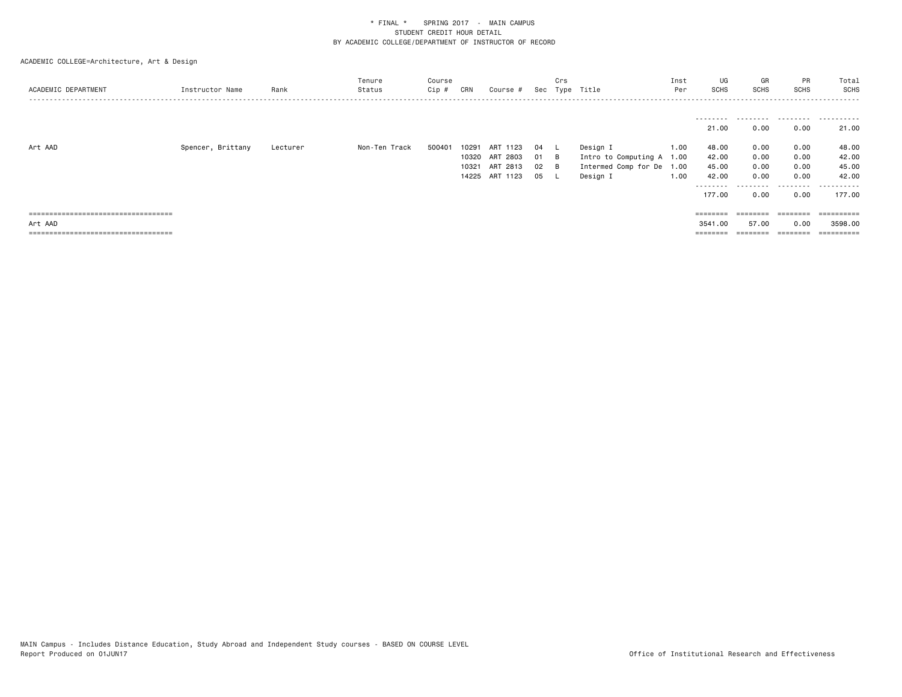| ACADEMIC DEPARTMENT                   | Instructor Name   | Rank     | Tenure<br>Status | Course<br>Cip # | CRN                     | Course #                                              | Sec                  | Crs    | Type Title                                                           | Inst<br>Per                  | UG<br>SCHS                                    | GR<br><b>SCHS</b>                 | <b>PR</b><br><b>SCHS</b>          | Total<br>SCHS                         |
|---------------------------------------|-------------------|----------|------------------|-----------------|-------------------------|-------------------------------------------------------|----------------------|--------|----------------------------------------------------------------------|------------------------------|-----------------------------------------------|-----------------------------------|-----------------------------------|---------------------------------------|
|                                       |                   |          |                  |                 |                         |                                                       |                      |        |                                                                      |                              | ---------<br>21.00                            | .<br>0.00                         | 0.00                              | 21.00                                 |
| Art AAD                               | Spencer, Brittany | Lecturer | Non-Ten Track    | 500401          | 10291<br>10320<br>10321 | ART<br>1123<br>ART 2803<br>ART 2813<br>14225 ART 1123 | 04<br>01<br>02<br>05 | B<br>в | Design I<br>Intro to Computing A<br>Intermed Comp for De<br>Design I | 1.00<br>1.00<br>1.00<br>1.00 | 48.00<br>42.00<br>45.00<br>42.00<br>--------- | 0.00<br>0.00<br>0.00<br>0.00<br>. | 0.00<br>0.00<br>0.00<br>0.00<br>. | 48.00<br>42.00<br>45.00<br>42.00<br>. |
|                                       |                   |          |                  |                 |                         |                                                       |                      |        |                                                                      |                              | 177.00                                        | 0.00                              | 0.00                              | 177.00                                |
| ===================================== |                   |          |                  |                 |                         |                                                       |                      |        |                                                                      |                              | ========                                      | ========                          | ========                          | ==========                            |
| Art AAD                               |                   |          |                  |                 |                         |                                                       |                      |        |                                                                      |                              | 3541.00                                       | 57.00                             | 0.00                              | 3598.00                               |
| ===================================== |                   |          |                  |                 |                         |                                                       |                      |        |                                                                      |                              | $=$ = = = = = = =                             |                                   |                                   | ==========                            |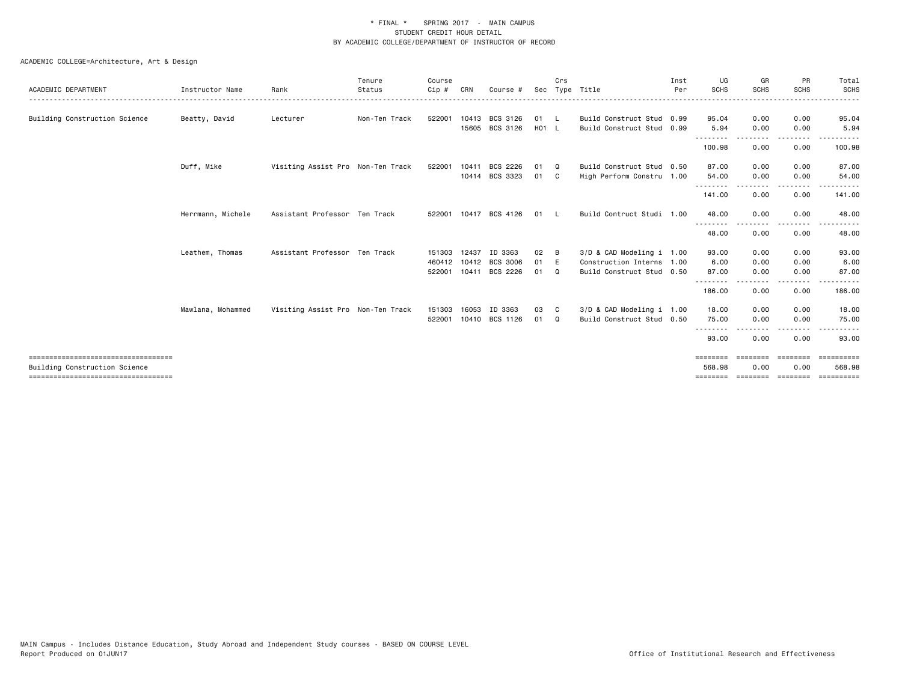|                                                                       |                   |                                   | Tenure        | Course |       |                       |       | Crs          |                           | Inst | UG                        | GR               | PR                 | Total                |
|-----------------------------------------------------------------------|-------------------|-----------------------------------|---------------|--------|-------|-----------------------|-------|--------------|---------------------------|------|---------------------------|------------------|--------------------|----------------------|
| ACADEMIC DEPARTMENT                                                   | Instructor Name   | Rank                              | Status        | Cip #  | CRN   | Course i              | Sec   |              | Type Title                | Per  | SCHS                      | <b>SCHS</b>      | <b>SCHS</b>        | <b>SCHS</b>          |
| Building Construction Science                                         | Beatty, David     | Lecturer                          | Non-Ten Track | 522001 |       | 10413 BCS 3126        | 01 L  |              | Build Construct Stud 0.99 |      | 95.04                     | 0.00             | 0.00               | 95.04                |
|                                                                       |                   |                                   |               |        |       | 15605 BCS 3126        | H01 L |              | Build Construct Stud 0.99 |      | 5.94                      | 0.00             | 0.00               | 5.94                 |
|                                                                       |                   |                                   |               |        |       |                       |       |              |                           |      | --------<br>100.98        | <u>.</u><br>0.00 | .<br>0.00          | 100.98               |
|                                                                       | Duff, Mike        | Visiting Assist Pro Non-Ten Track |               | 522001 | 10411 | BCS 2226              | 01    | $\Omega$     | Build Construct Stud 0.50 |      | 87.00                     | 0.00             | 0.00               | 87.00                |
|                                                                       |                   |                                   |               |        |       | 10414 BCS 3323        | 01    | $\mathbf{C}$ | High Perform Constru 1.00 |      | 54.00<br><u>.</u>         | 0.00             | 0.00               | 54.00                |
|                                                                       |                   |                                   |               |        |       |                       |       |              |                           |      | 141.00                    | 0.00             | 0.00               | 141.00               |
|                                                                       | Herrmann, Michele | Assistant Professor Ten Track     |               |        |       | 522001 10417 BCS 4126 | 01    | $\mathbf{L}$ | Build Contruct Studi 1.00 |      | 48.00                     | 0.00             | 0.00               | 48.00                |
|                                                                       |                   |                                   |               |        |       |                       |       |              |                           |      | 48.00                     | 0.00             | 0.00               | 48.00                |
|                                                                       | Leathem, Thomas   | Assistant Professor Ten Track     |               | 151303 | 12437 | ID 3363               | 02    | B            | 3/D & CAD Modeling i 1.00 |      | 93.00                     | 0.00             | 0.00               | 93.00                |
|                                                                       |                   |                                   |               | 460412 |       | 10412 BCS 3006        | 01    | E            | Construction Interns 1.00 |      | 6.00                      | 0.00             | 0.00               | 6.00                 |
|                                                                       |                   |                                   |               | 522001 |       | 10411 BCS 2226        | 01    | $\Omega$     | Build Construct Stud 0.50 |      | 87.00                     | 0.00             | 0.00               | 87.00                |
|                                                                       |                   |                                   |               |        |       |                       |       |              |                           |      | - - - - - - - -<br>186,00 | 0.00             | 0.00               | 186.00               |
|                                                                       | Mawlana, Mohammed | Visiting Assist Pro Non-Ten Track |               | 151303 | 16053 | ID 3363               | 03    | C.           | 3/D & CAD Modeling i 1.00 |      | 18.00                     | 0.00             | 0.00               | 18.00                |
|                                                                       |                   |                                   |               | 522001 |       | 10410 BCS 1126        | 01    | $\Omega$     | Build Construct Stud 0.50 |      | 75.00<br>--------         | 0.00             | 0.00<br>$\cdots$   | 75.00                |
|                                                                       |                   |                                   |               |        |       |                       |       |              |                           |      | 93.00                     | 0.00             | 0.00               | 93,00                |
| ====================================<br>Building Construction Science |                   |                                   |               |        |       |                       |       |              |                           |      | ========<br>568,98        | ========<br>0.00 | ========<br>0.00   | ==========<br>568.98 |
| ====================================                                  |                   |                                   |               |        |       |                       |       |              |                           |      | ========                  |                  | ================== | essessesse           |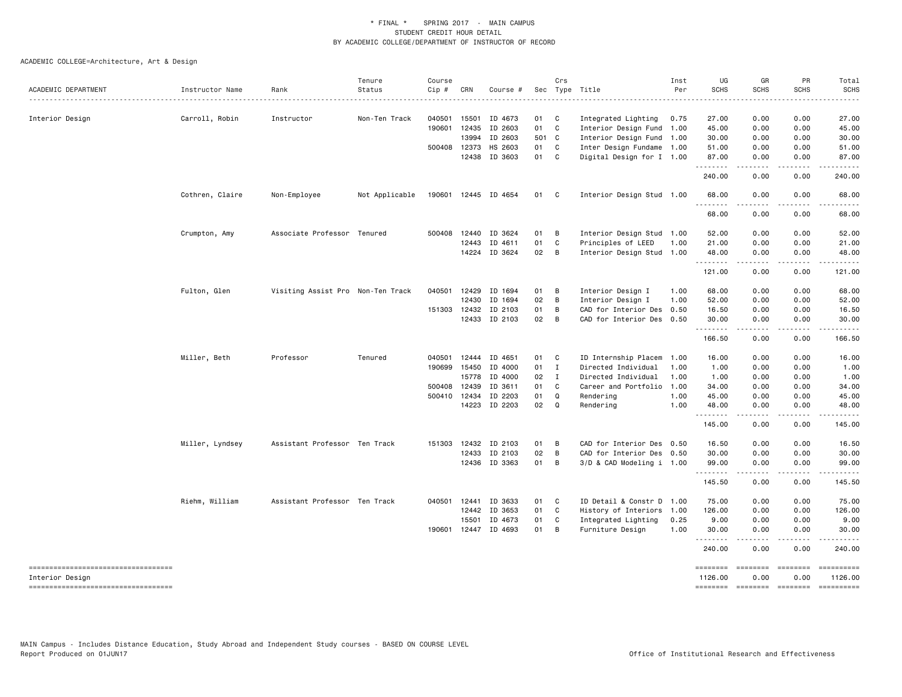| ACADEMIC DEPARTMENT                                      | Instructor Name | Rank                              | Tenure<br>Status | Course<br>Cip # | CRN            | Course #             |            | Crs            | Sec Type Title                                         | Inst<br>Per | UG<br><b>SCHS</b>   | GR<br><b>SCHS</b> | PR<br><b>SCHS</b>                                                                                                                                                                                                                                                                                                                                                                                                                                                                                                          | Total<br><b>SCHS</b> |
|----------------------------------------------------------|-----------------|-----------------------------------|------------------|-----------------|----------------|----------------------|------------|----------------|--------------------------------------------------------|-------------|---------------------|-------------------|----------------------------------------------------------------------------------------------------------------------------------------------------------------------------------------------------------------------------------------------------------------------------------------------------------------------------------------------------------------------------------------------------------------------------------------------------------------------------------------------------------------------------|----------------------|
|                                                          |                 |                                   |                  |                 |                |                      |            |                |                                                        |             |                     |                   |                                                                                                                                                                                                                                                                                                                                                                                                                                                                                                                            |                      |
| Interior Design                                          | Carroll, Robin  | Instructor                        | Non-Ten Track    | 040501          | 15501<br>12435 | ID 4673<br>ID 2603   | 01 C<br>01 | $\mathbf{C}$   | Integrated Lighting                                    | 0.75        | 27.00               | 0.00              | 0.00<br>0.00                                                                                                                                                                                                                                                                                                                                                                                                                                                                                                               | 27.00<br>45.00       |
|                                                          |                 |                                   |                  | 190601          | 13994          | ID 2603              | 501 C      |                | Interior Design Fund 1.00<br>Interior Design Fund 1.00 |             | 45.00<br>30.00      | 0.00<br>0.00      | 0.00                                                                                                                                                                                                                                                                                                                                                                                                                                                                                                                       | 30.00                |
|                                                          |                 |                                   |                  |                 | 500408 12373   | HS 2603              | 01         | $\mathbf{C}$   | Inter Design Fundame 1.00                              |             | 51.00               | 0.00              | 0.00                                                                                                                                                                                                                                                                                                                                                                                                                                                                                                                       | 51.00                |
|                                                          |                 |                                   |                  |                 | 12438          | ID 3603              | 01 C       |                | Digital Design for I 1.00                              |             | 87.00               | 0.00              | 0.00                                                                                                                                                                                                                                                                                                                                                                                                                                                                                                                       | 87.00                |
|                                                          |                 |                                   |                  |                 |                |                      |            |                |                                                        |             | 240.00              | 0.00              | 0.00                                                                                                                                                                                                                                                                                                                                                                                                                                                                                                                       | 240.00               |
|                                                          | Cothren, Claire | Non-Employee                      | Not Applicable   |                 |                | 190601 12445 ID 4654 | 01 C       |                | Interior Design Stud 1.00                              |             | 68.00<br>.          | 0.00              | 0.00<br>.                                                                                                                                                                                                                                                                                                                                                                                                                                                                                                                  | 68.00                |
|                                                          |                 |                                   |                  |                 |                |                      |            |                |                                                        |             | 68.00               | 0.00              | 0.00                                                                                                                                                                                                                                                                                                                                                                                                                                                                                                                       | 68.00                |
|                                                          | Crumpton, Amy   | Associate Professor Tenured       |                  |                 | 500408 12440   | ID 3624              | 01         | B              | Interior Design Stud 1.00                              |             | 52.00               | 0.00              | 0.00                                                                                                                                                                                                                                                                                                                                                                                                                                                                                                                       | 52.00                |
|                                                          |                 |                                   |                  |                 | 12443          | ID 4611              | 01         | C              | Principles of LEED                                     | 1.00        | 21.00               | 0.00              | 0.00                                                                                                                                                                                                                                                                                                                                                                                                                                                                                                                       | 21.00                |
|                                                          |                 |                                   |                  |                 | 14224          | ID 3624              | 02         | B              | Interior Design Stud 1.00                              |             | 48.00<br>.          | 0.00<br>.         | 0.00<br>$- - - -$                                                                                                                                                                                                                                                                                                                                                                                                                                                                                                          | 48.00<br>.           |
|                                                          |                 |                                   |                  |                 |                |                      |            |                |                                                        |             | 121.00              | 0.00              | 0.00                                                                                                                                                                                                                                                                                                                                                                                                                                                                                                                       | 121.00               |
|                                                          | Fulton, Glen    | Visiting Assist Pro Non-Ten Track |                  | 040501          | 12429          | ID 1694              | 01         | B              | Interior Design I                                      | 1.00        | 68.00               | 0.00              | 0.00                                                                                                                                                                                                                                                                                                                                                                                                                                                                                                                       | 68.00                |
|                                                          |                 |                                   |                  |                 | 12430          | ID 1694              | 02         | $\overline{B}$ | Interior Design I                                      | 1.00        | 52.00               | 0.00              | 0.00                                                                                                                                                                                                                                                                                                                                                                                                                                                                                                                       | 52.00                |
|                                                          |                 |                                   |                  | 151303          | 12432          | ID 2103              | 01         | B              | CAD for Interior Des                                   | 0.50        | 16.50               | 0.00              | 0.00                                                                                                                                                                                                                                                                                                                                                                                                                                                                                                                       | 16.50                |
|                                                          |                 |                                   |                  |                 |                | 12433 ID 2103        | 02         | B              | CAD for Interior Des 0.50                              |             | 30.00               | 0.00              | 0.00                                                                                                                                                                                                                                                                                                                                                                                                                                                                                                                       | 30.00                |
|                                                          |                 |                                   |                  |                 |                |                      |            |                |                                                        |             | .<br>166.50         | .<br>0.00         | .<br>0.00                                                                                                                                                                                                                                                                                                                                                                                                                                                                                                                  | 166.50               |
|                                                          | Miller, Beth    | Professor                         | Tenured          | 040501          | 12444          | ID 4651              | 01         | C              | ID Internship Placem                                   | 1.00        | 16.00               | 0.00              | 0.00                                                                                                                                                                                                                                                                                                                                                                                                                                                                                                                       | 16.00                |
|                                                          |                 |                                   |                  | 190699          | 15450          | ID 4000              | 01         | $\mathbf{I}$   | Directed Individual                                    | 1.00        | 1.00                | 0.00              | 0.00                                                                                                                                                                                                                                                                                                                                                                                                                                                                                                                       | 1.00                 |
|                                                          |                 |                                   |                  |                 | 15778          | ID 4000              | 02 I       |                | Directed Individual                                    | 1.00        | 1.00                | 0.00              | 0.00                                                                                                                                                                                                                                                                                                                                                                                                                                                                                                                       | 1.00                 |
|                                                          |                 |                                   |                  | 500408          | 12439          | ID 3611              | 01         | C              | Career and Portfolio                                   | 1.00        | 34.00               | 0.00              | 0.00                                                                                                                                                                                                                                                                                                                                                                                                                                                                                                                       | 34.00                |
|                                                          |                 |                                   |                  |                 | 500410 12434   | ID 2203              | 01         | Q              | Rendering                                              | 1.00        | 45.00               | 0.00              | 0.00                                                                                                                                                                                                                                                                                                                                                                                                                                                                                                                       | 45.00                |
|                                                          |                 |                                   |                  |                 | 14223          | ID 2203              | 02         | Q              | Rendering                                              | 1.00        | 48.00<br>.          | 0.00<br>.         | 0.00<br>$- - - -$                                                                                                                                                                                                                                                                                                                                                                                                                                                                                                          | 48.00<br>.           |
|                                                          |                 |                                   |                  |                 |                |                      |            |                |                                                        |             | 145.00              | 0.00              | 0.00                                                                                                                                                                                                                                                                                                                                                                                                                                                                                                                       | 145.00               |
|                                                          | Miller, Lyndsey | Assistant Professor Ten Track     |                  |                 | 151303 12432   | ID 2103              | 01         | B              | CAD for Interior Des 0.50                              |             | 16.50               | 0.00              | 0.00                                                                                                                                                                                                                                                                                                                                                                                                                                                                                                                       | 16.50                |
|                                                          |                 |                                   |                  |                 | 12433          | ID 2103              | 02         | B              | CAD for Interior Des 0.50                              |             | 30.00               | 0.00              | 0.00                                                                                                                                                                                                                                                                                                                                                                                                                                                                                                                       | 30.00                |
|                                                          |                 |                                   |                  |                 | 12436          | ID 3363              | 01         | B              | 3/D & CAD Modeling i 1.00                              |             | 99.00<br>--------   | 0.00              | 0.00                                                                                                                                                                                                                                                                                                                                                                                                                                                                                                                       | 99.00                |
|                                                          |                 |                                   |                  |                 |                |                      |            |                |                                                        |             | 145.50              | 0.00              | 0.00                                                                                                                                                                                                                                                                                                                                                                                                                                                                                                                       | 145.50               |
|                                                          | Riehm, William  | Assistant Professor Ten Track     |                  |                 | 040501 12441   | ID 3633              | 01         | C              | ID Detail & Constr D 1.00                              |             | 75.00               | 0.00              | 0.00                                                                                                                                                                                                                                                                                                                                                                                                                                                                                                                       | 75.00                |
|                                                          |                 |                                   |                  |                 | 12442          | ID 3653              | 01         | $\mathbf{C}$   | History of Interiors 1.00                              |             | 126.00              | 0.00              | 0.00                                                                                                                                                                                                                                                                                                                                                                                                                                                                                                                       | 126.00               |
|                                                          |                 |                                   |                  |                 | 15501          | ID 4673              | 01         | C              | Integrated Lighting                                    | 0.25        | 9.00                | 0.00              | 0.00                                                                                                                                                                                                                                                                                                                                                                                                                                                                                                                       | 9.00                 |
|                                                          |                 |                                   |                  |                 | 190601 12447   | ID 4693              | 01 B       |                | Furniture Design                                       | 1.00        | 30.00<br>.          | 0.00<br>.         | 0.00<br>.                                                                                                                                                                                                                                                                                                                                                                                                                                                                                                                  | 30.00<br>.           |
|                                                          |                 |                                   |                  |                 |                |                      |            |                |                                                        |             | 240.00              | 0.00              | 0.00                                                                                                                                                                                                                                                                                                                                                                                                                                                                                                                       | 240.00               |
| -------------------------------------<br>Interior Design |                 |                                   |                  |                 |                |                      |            |                |                                                        |             | ========<br>1126.00 | 0.00              | $\begin{array}{c} \multicolumn{3}{c} {\color{blue} \textbf{2}} & \multicolumn{3}{c} {\color{blue} \textbf{3}} & \multicolumn{3}{c} {\color{blue} \textbf{4}} \\ \multicolumn{3}{c} {\color{blue} \textbf{4}} & \multicolumn{3}{c} {\color{blue} \textbf{5}} & \multicolumn{3}{c} {\color{blue} \textbf{6}} & \multicolumn{3}{c} {\color{blue} \textbf{6}} \\ \multicolumn{3}{c} {\color{blue} \textbf{5}} & \multicolumn{3}{c} {\color{blue} \textbf{6}} & \multicolumn{3}{c} {\color{blue} \textbf{6}} & \multic$<br>0.00 | 1126.00              |
| -----------------------------------                      |                 |                                   |                  |                 |                |                      |            |                |                                                        |             | ========            | ======== ======== |                                                                                                                                                                                                                                                                                                                                                                                                                                                                                                                            |                      |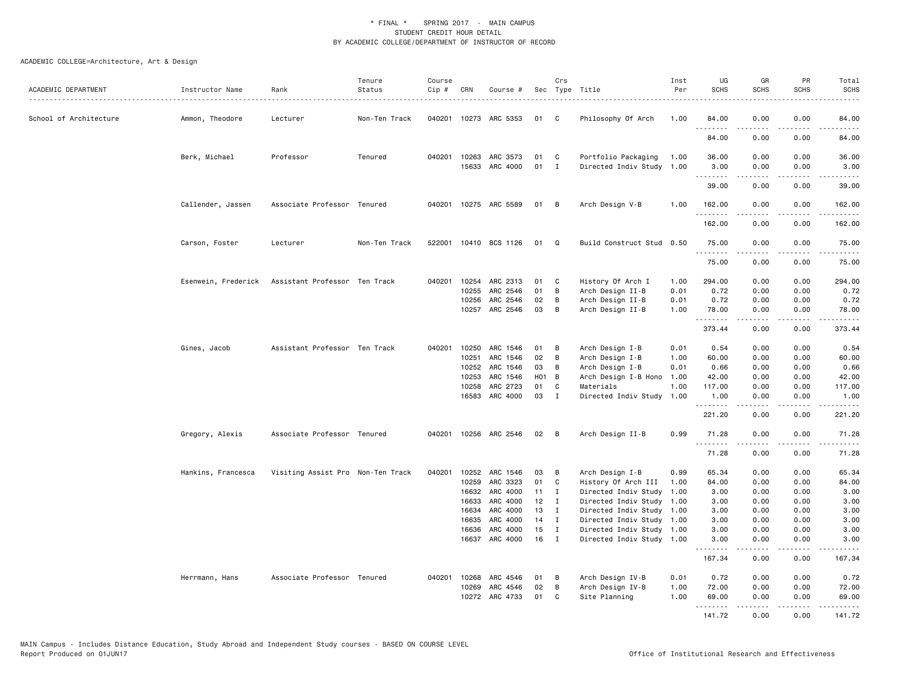| ACADEMIC DEPARTMENT    | Instructor Name     | Rank                              | Tenure<br>Status | Course<br>Cip # | CRN   | Course #                                |              | Crs               | Sec Type Title                                   | Inst<br>Per  | UG<br><b>SCHS</b>                                                                                                                                                                                                                                                                                                                                                                                                                                                                              | GR<br><b>SCHS</b> | PR<br><b>SCHS</b> | Total<br><b>SCHS</b>                                                                                                                                                                    |
|------------------------|---------------------|-----------------------------------|------------------|-----------------|-------|-----------------------------------------|--------------|-------------------|--------------------------------------------------|--------------|------------------------------------------------------------------------------------------------------------------------------------------------------------------------------------------------------------------------------------------------------------------------------------------------------------------------------------------------------------------------------------------------------------------------------------------------------------------------------------------------|-------------------|-------------------|-----------------------------------------------------------------------------------------------------------------------------------------------------------------------------------------|
| School of Architecture | Ammon, Theodore     | Lecturer                          | Non-Ten Track    |                 |       | 040201 10273 ARC 5353                   | 01           | C.                | Philosophy Of Arch                               | 1.00         | 84.00                                                                                                                                                                                                                                                                                                                                                                                                                                                                                          | 0.00              | 0.00              | 84.00                                                                                                                                                                                   |
|                        |                     |                                   |                  |                 |       |                                         |              |                   |                                                  |              | .<br>84.00                                                                                                                                                                                                                                                                                                                                                                                                                                                                                     | .<br>0.00         | 0.00              | .<br>84.00                                                                                                                                                                              |
|                        | Berk, Michael       | Professor                         | Tenured          |                 |       | 040201 10263 ARC 3573<br>15633 ARC 4000 | 01<br>01     | C<br>$\mathbf{I}$ | Portfolio Packaging<br>Directed Indiv Study 1.00 | 1.00         | 36.00<br>3.00                                                                                                                                                                                                                                                                                                                                                                                                                                                                                  | 0.00<br>0.00      | 0.00<br>0.00      | 36.00<br>3.00                                                                                                                                                                           |
|                        |                     |                                   |                  |                 |       |                                         |              |                   |                                                  |              | .<br>39.00                                                                                                                                                                                                                                                                                                                                                                                                                                                                                     | .<br>0.00         | .<br>0.00         | د د د د د<br>39.00                                                                                                                                                                      |
|                        | Callender, Jassen   | Associate Professor Tenured       |                  |                 |       | 040201 10275 ARC 5589                   | 01 B         |                   | Arch Design V-B                                  | 1.00         | 162.00                                                                                                                                                                                                                                                                                                                                                                                                                                                                                         | 0.00              | 0.00              | 162.00                                                                                                                                                                                  |
|                        |                     |                                   |                  |                 |       |                                         |              |                   |                                                  |              | .<br>162.00                                                                                                                                                                                                                                                                                                                                                                                                                                                                                    | 0.00              | 0.00              | .<br>162.00                                                                                                                                                                             |
|                        | Carson, Foster      | Lecturer                          | Non-Ten Track    |                 |       | 522001 10410 BCS 1126                   | 01           | Q                 | Build Construct Stud 0.50                        |              | 75.00<br>.                                                                                                                                                                                                                                                                                                                                                                                                                                                                                     | 0.00<br>.         | 0.00<br>$- - - -$ | 75.00<br>.                                                                                                                                                                              |
|                        |                     |                                   |                  |                 |       |                                         |              |                   |                                                  |              | 75.00                                                                                                                                                                                                                                                                                                                                                                                                                                                                                          | 0.00              | 0.00              | 75.00                                                                                                                                                                                   |
|                        | Esenwein, Frederick | Assistant Professor Ten Track     |                  |                 | 10255 | 040201 10254 ARC 2313<br>ARC 2546       | 01<br>01     | $\mathbf{C}$<br>B | History Of Arch I<br>Arch Design II-B            | 1.00<br>0.01 | 294.00<br>0.72                                                                                                                                                                                                                                                                                                                                                                                                                                                                                 | 0.00<br>0.00      | 0.00<br>0.00      | 294.00<br>0.72                                                                                                                                                                          |
|                        |                     |                                   |                  |                 | 10256 | ARC 2546                                | 02           | В                 | Arch Design II-B                                 | 0.01         | 0.72                                                                                                                                                                                                                                                                                                                                                                                                                                                                                           | 0.00              | 0.00              | 0.72                                                                                                                                                                                    |
|                        |                     |                                   |                  |                 |       | 10257 ARC 2546                          | 03           | $\overline{B}$    | Arch Design II-B                                 | 1.00         | 78.00                                                                                                                                                                                                                                                                                                                                                                                                                                                                                          | 0.00<br>-----     | 0.00<br>.         | 78.00<br>.                                                                                                                                                                              |
|                        |                     |                                   |                  |                 |       |                                         |              |                   |                                                  |              | 373.44                                                                                                                                                                                                                                                                                                                                                                                                                                                                                         | 0.00              | 0.00              | 373.44                                                                                                                                                                                  |
|                        | Gines, Jacob        | Assistant Professor Ten Track     |                  | 040201          | 10250 | ARC 1546                                | 01           | B                 | Arch Design I-B                                  | 0.01         | 0.54                                                                                                                                                                                                                                                                                                                                                                                                                                                                                           | 0.00              | 0.00              | 0.54                                                                                                                                                                                    |
|                        |                     |                                   |                  |                 | 10251 | ARC 1546                                | 02           | B                 | Arch Design I-B                                  | 1.00         | 60.00                                                                                                                                                                                                                                                                                                                                                                                                                                                                                          | 0.00              | 0.00              | 60.00                                                                                                                                                                                   |
|                        |                     |                                   |                  |                 | 10252 | ARC 1546                                | 03           | В                 | Arch Design I-B                                  | 0.01         | 0.66                                                                                                                                                                                                                                                                                                                                                                                                                                                                                           | 0.00              | 0.00              | 0.66                                                                                                                                                                                    |
|                        |                     |                                   |                  |                 | 10253 | ARC 1546                                | H01 B        |                   | Arch Design I-B Hono                             | 1.00         | 42.00                                                                                                                                                                                                                                                                                                                                                                                                                                                                                          | 0.00              | 0.00              | 42.00                                                                                                                                                                                   |
|                        |                     |                                   |                  |                 | 10258 | ARC 2723                                | 01           | C                 | Materials                                        | 1.00         | 117.00                                                                                                                                                                                                                                                                                                                                                                                                                                                                                         | 0.00              | 0.00              | 117.00                                                                                                                                                                                  |
|                        |                     |                                   |                  |                 |       | 16583 ARC 4000                          | 03           | $\mathbf{I}$      | Directed Indiv Study 1.00                        |              | 1.00<br>.                                                                                                                                                                                                                                                                                                                                                                                                                                                                                      | 0.00              | 0.00<br>----      | 1.00<br>.                                                                                                                                                                               |
|                        |                     |                                   |                  |                 |       |                                         |              |                   |                                                  |              | 221.20                                                                                                                                                                                                                                                                                                                                                                                                                                                                                         | 0.00              | 0.00              | 221.20                                                                                                                                                                                  |
|                        | Gregory, Alexis     | Associate Professor Tenured       |                  |                 |       | 040201 10256 ARC 2546                   | $02 \quad B$ |                   | Arch Design II-B                                 | 0.99         | 71.28<br>.                                                                                                                                                                                                                                                                                                                                                                                                                                                                                     | 0.00<br>.         | 0.00<br>الأعامات  | 71.28<br>.                                                                                                                                                                              |
|                        |                     |                                   |                  |                 |       |                                         |              |                   |                                                  |              | 71.28                                                                                                                                                                                                                                                                                                                                                                                                                                                                                          | 0.00              | 0.00              | 71.28                                                                                                                                                                                   |
|                        | Hankins, Francesca  | Visiting Assist Pro Non-Ten Track |                  | 040201          | 10252 | ARC 1546                                | 03           | в                 | Arch Design I-B                                  | 0.99         | 65.34                                                                                                                                                                                                                                                                                                                                                                                                                                                                                          | 0.00              | 0.00              | 65.34                                                                                                                                                                                   |
|                        |                     |                                   |                  |                 | 10259 | ARC 3323                                | 01           | C                 | History Of Arch III                              | 1.00         | 84.00                                                                                                                                                                                                                                                                                                                                                                                                                                                                                          | 0.00              | 0.00              | 84.00                                                                                                                                                                                   |
|                        |                     |                                   |                  |                 | 16632 | ARC 4000                                | 11           | $\mathbf{I}$      | Directed Indiv Study 1.00                        |              | 3.00                                                                                                                                                                                                                                                                                                                                                                                                                                                                                           | 0.00              | 0.00              | 3.00                                                                                                                                                                                    |
|                        |                     |                                   |                  |                 | 16633 | ARC 4000                                | 12           | $\mathbf{I}$      | Directed Indiv Study 1.00                        |              | 3.00                                                                                                                                                                                                                                                                                                                                                                                                                                                                                           | 0.00              | 0.00              | 3.00                                                                                                                                                                                    |
|                        |                     |                                   |                  |                 | 16634 | ARC 4000                                | 13           | $\mathbf I$       | Directed Indiv Study 1.00                        |              | 3.00                                                                                                                                                                                                                                                                                                                                                                                                                                                                                           | 0.00              | 0.00              | 3.00                                                                                                                                                                                    |
|                        |                     |                                   |                  |                 | 16635 | ARC 4000                                | 14           | $\mathbf{I}$      | Directed Indiv Study 1.00                        |              | 3.00                                                                                                                                                                                                                                                                                                                                                                                                                                                                                           | 0.00              | 0.00              | 3.00                                                                                                                                                                                    |
|                        |                     |                                   |                  |                 | 16636 | ARC 4000                                | 15           | $\mathbf{I}$      | Directed Indiv Study 1.00                        |              | 3.00                                                                                                                                                                                                                                                                                                                                                                                                                                                                                           | 0.00              | 0.00              | 3.00                                                                                                                                                                                    |
|                        |                     |                                   |                  |                 | 16637 | ARC 4000                                | 16           | $\mathbf{I}$      | Directed Indiv Study 1.00                        |              | 3.00<br>$\begin{array}{cccccccccccccc} \multicolumn{2}{c}{} & \multicolumn{2}{c}{} & \multicolumn{2}{c}{} & \multicolumn{2}{c}{} & \multicolumn{2}{c}{} & \multicolumn{2}{c}{} & \multicolumn{2}{c}{} & \multicolumn{2}{c}{} & \multicolumn{2}{c}{} & \multicolumn{2}{c}{} & \multicolumn{2}{c}{} & \multicolumn{2}{c}{} & \multicolumn{2}{c}{} & \multicolumn{2}{c}{} & \multicolumn{2}{c}{} & \multicolumn{2}{c}{} & \multicolumn{2}{c}{} & \multicolumn{2}{c}{} & \multicolumn{2}{c}{} & \$ | 0.00              | 0.00              | 3.00<br>$\frac{1}{2} \left( \frac{1}{2} \right) \left( \frac{1}{2} \right) \left( \frac{1}{2} \right) \left( \frac{1}{2} \right) \left( \frac{1}{2} \right) \left( \frac{1}{2} \right)$ |
|                        |                     |                                   |                  |                 |       |                                         |              |                   |                                                  |              | 167.34                                                                                                                                                                                                                                                                                                                                                                                                                                                                                         | 0.00              | 0.00              | 167.34                                                                                                                                                                                  |
|                        | Herrmann, Hans      | Associate Professor Tenured       |                  |                 |       | 040201 10268 ARC 4546                   | 01           | B                 | Arch Design IV-B                                 | 0.01         | 0.72                                                                                                                                                                                                                                                                                                                                                                                                                                                                                           | 0.00              | 0.00              | 0.72                                                                                                                                                                                    |
|                        |                     |                                   |                  |                 | 10269 | ARC 4546                                | 02           | B                 | Arch Design IV-B                                 | 1.00         | 72.00                                                                                                                                                                                                                                                                                                                                                                                                                                                                                          | 0.00              | 0.00              | 72.00                                                                                                                                                                                   |
|                        |                     |                                   |                  |                 |       | 10272 ARC 4733                          | 01           | C.                | Site Planning                                    | 1.00         | 69.00<br><u>.</u>                                                                                                                                                                                                                                                                                                                                                                                                                                                                              | 0.00              | 0.00              | 69.00                                                                                                                                                                                   |
|                        |                     |                                   |                  |                 |       |                                         |              |                   |                                                  |              | 141.72                                                                                                                                                                                                                                                                                                                                                                                                                                                                                         | 0.00              | 0.00              | 141.72                                                                                                                                                                                  |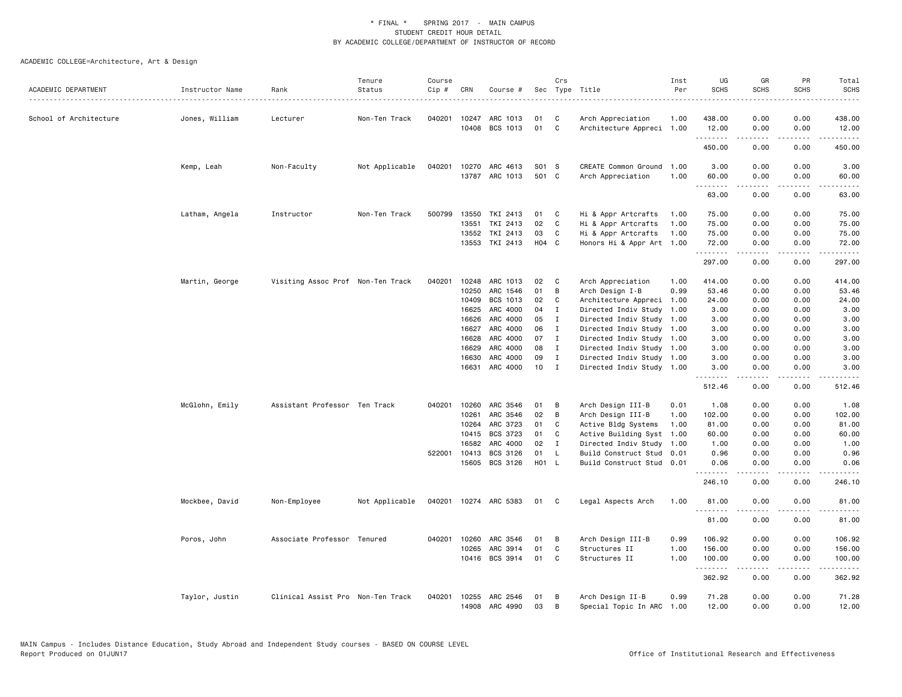| ACADEMIC DEPARTMENT    | Instructor Name | Rank                              | Tenure<br>Status | Course<br>Cip # | CRN            | Course #                   |             | Crs               | Sec Type Title                                         | Inst<br>Per | UG<br><b>SCHS</b> | GR<br><b>SCHS</b> | PR<br><b>SCHS</b> | Total<br><b>SCHS</b>                                                                                                                                          |
|------------------------|-----------------|-----------------------------------|------------------|-----------------|----------------|----------------------------|-------------|-------------------|--------------------------------------------------------|-------------|-------------------|-------------------|-------------------|---------------------------------------------------------------------------------------------------------------------------------------------------------------|
|                        |                 |                                   |                  |                 |                |                            |             |                   |                                                        |             |                   |                   |                   | $- - - - -$                                                                                                                                                   |
| School of Architecture | Jones, William  | Lecturer                          | Non-Ten Track    | 040201          | 10247          | ARC 1013                   | 01          | C                 | Arch Appreciation                                      | 1.00        | 438.00            | 0.00              | 0.00              | 438.00                                                                                                                                                        |
|                        |                 |                                   |                  |                 |                | 10408 BCS 1013             | 01          | C                 | Architecture Appreci 1.00                              |             | 12.00<br>.        | 0.00<br>.         | 0.00<br>.         | 12.00<br>$\frac{1}{2} \left( \frac{1}{2} \right) \left( \frac{1}{2} \right) \left( \frac{1}{2} \right) \left( \frac{1}{2} \right) \left( \frac{1}{2} \right)$ |
|                        |                 |                                   |                  |                 |                |                            |             |                   |                                                        |             | 450.00            | 0.00              | 0.00              | 450.00                                                                                                                                                        |
|                        | Kemp, Leah      | Non-Faculty                       | Not Applicable   | 040201          | 10270          | ARC 4613                   | S01 S       |                   | CREATE Common Ground                                   | 1.00        | 3.00              | 0.00              | 0.00              | 3.00                                                                                                                                                          |
|                        |                 |                                   |                  |                 |                | 13787 ARC 1013             | 501 C       |                   | Arch Appreciation                                      | 1.00        | 60.00<br>.        | 0.00<br>.         | 0.00<br>$- - - -$ | 60.00<br>. <b>.</b> .                                                                                                                                         |
|                        |                 |                                   |                  |                 |                |                            |             |                   |                                                        |             | 63.00             | 0.00              | 0.00              | 63.00                                                                                                                                                         |
|                        | Latham, Angela  | Instructor                        | Non-Ten Track    | 500799          | 13550          | TKI 2413                   | 01          | C                 | Hi & Appr Artcrafts                                    | 1.00        | 75.00             | 0.00              | 0.00              | 75.00                                                                                                                                                         |
|                        |                 |                                   |                  |                 | 13551          | TKI 2413                   | 02          | C                 | Hi & Appr Artcrafts                                    | 1.00        | 75.00             | 0.00              | 0.00              | 75.00                                                                                                                                                         |
|                        |                 |                                   |                  |                 | 13552          | TKI 2413                   | 03          | C                 | Hi & Appr Artcrafts                                    | 1.00        | 75.00             | 0.00              | 0.00              | 75.00                                                                                                                                                         |
|                        |                 |                                   |                  |                 |                | 13553 TKI 2413             | H04 C       |                   | Honors Hi & Appr Art 1.00                              |             | 72.00<br>.        | 0.00<br>-----     | 0.00<br>.         | 72.00<br>.                                                                                                                                                    |
|                        |                 |                                   |                  |                 |                |                            |             |                   |                                                        |             | 297.00            | 0.00              | 0.00              | 297.00                                                                                                                                                        |
|                        | Martin, George  | Visiting Assoc Prof Non-Ten Track |                  | 040201          | 10248          | ARC 1013                   | 02          | C                 | Arch Appreciation                                      | 1.00        | 414.00            | 0.00              | 0.00              | 414.00                                                                                                                                                        |
|                        |                 |                                   |                  |                 | 10250          | ARC 1546                   | 01          | В                 | Arch Design I-B                                        | 0.99        | 53.46             | 0.00              | 0.00              | 53.46                                                                                                                                                         |
|                        |                 |                                   |                  |                 | 10409          | BCS 1013                   | 02          | C                 | Architecture Appreci                                   | 1.00        | 24.00             | 0.00              | 0.00              | 24.00                                                                                                                                                         |
|                        |                 |                                   |                  |                 | 16625          | ARC 4000                   | 04          | $\mathbf{I}$      | Directed Indiv Study                                   | 1.00        | 3.00              | 0.00              | 0.00              | 3.00                                                                                                                                                          |
|                        |                 |                                   |                  |                 | 16626          | ARC 4000                   | 05          | $\mathbf{I}$      | Directed Indiv Study 1.00                              |             | 3.00              | 0.00              | 0.00              | 3.00                                                                                                                                                          |
|                        |                 |                                   |                  |                 | 16627          | ARC 4000                   | 06          | $\mathbf{I}$      | Directed Indiv Study 1.00                              |             | 3.00              | 0.00              | 0.00              | 3.00                                                                                                                                                          |
|                        |                 |                                   |                  |                 | 16628          | ARC 4000                   | 07          | $\mathbf{I}$      | Directed Indiv Study 1.00                              |             | 3.00              | 0.00              | 0.00              | 3.00                                                                                                                                                          |
|                        |                 |                                   |                  |                 | 16629          | ARC 4000                   | 08          | I                 | Directed Indiv Study 1.00                              |             | 3.00              | 0.00              | 0.00              | 3.00                                                                                                                                                          |
|                        |                 |                                   |                  |                 | 16630<br>16631 | ARC 4000<br>ARC 4000       | 09<br>10    | I<br>$\mathbf{I}$ | Directed Indiv Study 1.00<br>Directed Indiv Study 1.00 |             | 3.00<br>3.00      | 0.00<br>0.00      | 0.00<br>0.00      | 3.00<br>3.00                                                                                                                                                  |
|                        |                 |                                   |                  |                 |                |                            |             |                   |                                                        |             | .                 | .<br>0.00         | .<br>0.00         | .<br>512.46                                                                                                                                                   |
|                        |                 |                                   |                  |                 |                |                            |             |                   |                                                        |             | 512.46            |                   |                   |                                                                                                                                                               |
|                        | McGlohn, Emily  | Assistant Professor Ten Track     |                  | 040201          | 10260          | ARC 3546                   | 01          | B                 | Arch Design III-B                                      | 0.01        | 1.08              | 0.00              | 0.00              | 1.08                                                                                                                                                          |
|                        |                 |                                   |                  |                 | 10261          | ARC 3546                   | 02          | B                 | Arch Design III-B                                      | 1.00        | 102.00            | 0.00              | 0.00              | 102.00                                                                                                                                                        |
|                        |                 |                                   |                  |                 | 10264          | ARC 3723                   | 01          | C                 | Active Bldg Systems                                    | 1.00        | 81.00             | 0.00              | 0.00              | 81.00                                                                                                                                                         |
|                        |                 |                                   |                  |                 | 10415          | BCS 3723                   | 01          | C                 | Active Building Syst                                   | 1.00        | 60.00             | 0.00              | 0.00              | 60.00                                                                                                                                                         |
|                        |                 |                                   |                  |                 | 16582          | ARC 4000                   | 02          | $\mathbf I$       | Directed Indiv Study                                   | 1.00        | 1.00              | 0.00              | 0.00              | 1.00                                                                                                                                                          |
|                        |                 |                                   |                  | 522001          | 10413          | BCS 3126<br>15605 BCS 3126 | 01<br>H01 L | L                 | Build Construct Stud<br>Build Construct Stud 0.01      | 0.01        | 0.96<br>0.06      | 0.00<br>0.00      | 0.00<br>0.00      | 0.96<br>0.06                                                                                                                                                  |
|                        |                 |                                   |                  |                 |                |                            |             |                   |                                                        |             | .                 | .                 | .                 | .                                                                                                                                                             |
|                        |                 |                                   |                  |                 |                |                            |             |                   |                                                        |             | 246.10            | 0.00              | 0.00              | 246.10                                                                                                                                                        |
|                        | Mockbee, David  | Non-Employee                      | Not Applicable   |                 |                | 040201 10274 ARC 5383      | 01          | C                 | Legal Aspects Arch                                     | 1.00        | 81.00             | 0.00              | 0.00              | 81.00                                                                                                                                                         |
|                        |                 |                                   |                  |                 |                |                            |             |                   |                                                        |             | 81.00             | 0.00              | 0.00              | 81.00                                                                                                                                                         |
|                        | Poros, John     | Associate Professor Tenured       |                  | 040201          | 10260          | ARC 3546                   | 01          | В                 | Arch Design III-B                                      | 0.99        | 106.92            | 0.00              | 0.00              | 106.92                                                                                                                                                        |
|                        |                 |                                   |                  |                 | 10265          | ARC 3914                   | 01          | C                 | Structures II                                          | 1.00        | 156.00            | 0.00              | 0.00              | 156.00                                                                                                                                                        |
|                        |                 |                                   |                  |                 |                | 10416 BCS 3914             | 01          | C                 | Structures II                                          | 1.00        | 100.00<br>.       | 0.00              | 0.00              | 100.00<br>.                                                                                                                                                   |
|                        |                 |                                   |                  |                 |                |                            |             |                   |                                                        |             | 362.92            | 0.00              | 0.00              | 362.92                                                                                                                                                        |
|                        | Taylor, Justin  | Clinical Assist Pro Non-Ten Track |                  | 040201          | 10255          | ARC 2546                   | 01          | B                 | Arch Design II-B                                       | 0.99        | 71.28             | 0.00              | 0.00              | 71.28                                                                                                                                                         |
|                        |                 |                                   |                  |                 |                | 14908 ARC 4990             | 03          | B                 | Special Topic In ARC                                   | 1.00        | 12.00             | 0.00              | 0.00              | 12.00                                                                                                                                                         |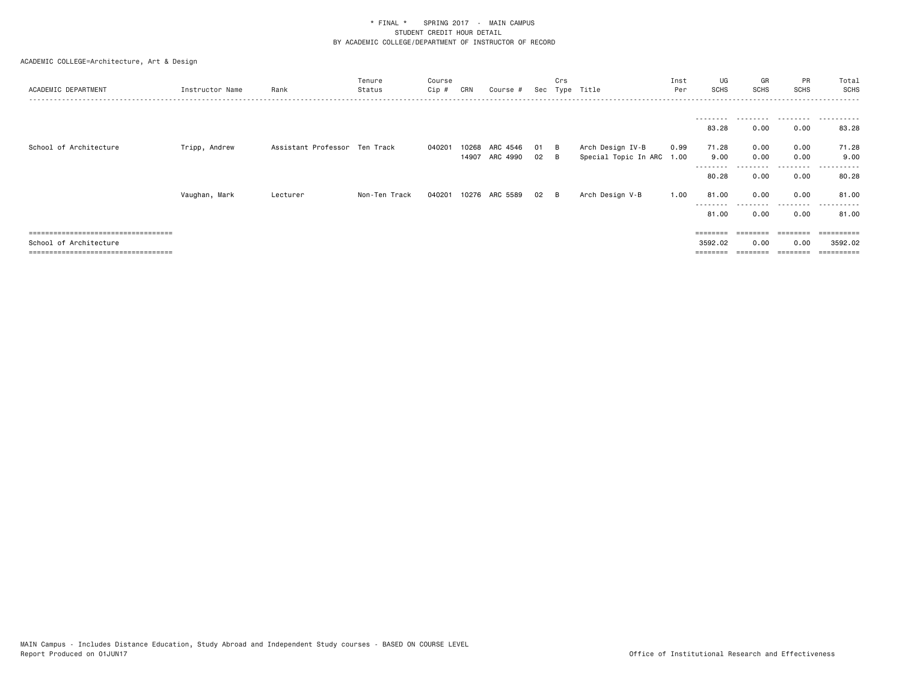| ACADEMIC DEPARTMENT                                             | Instructor Name | Rank                          | Tenure<br>Status | Course<br>Cip # | CRN   | Course # |    | Crs<br>Sec Type Title |                           | Inst<br>Per | UG<br><b>SCHS</b>         | GR<br><b>SCHS</b> | PR<br><b>SCHS</b>         | Total<br><b>SCHS</b><br>------      |
|-----------------------------------------------------------------|-----------------|-------------------------------|------------------|-----------------|-------|----------|----|-----------------------|---------------------------|-------------|---------------------------|-------------------|---------------------------|-------------------------------------|
|                                                                 |                 |                               |                  |                 |       |          |    |                       |                           |             | ---------                 | .                 |                           | .                                   |
| School of Architecture                                          | Tripp, Andrew   | Assistant Professor Ten Track |                  | 040201          | 10268 | ARC 4546 | 01 | — В                   | Arch Design IV-B          | 0.99        | 83.28<br>71.28            | 0.00<br>0.00      | 0.00<br>0.00              | 83.28<br>71.28                      |
|                                                                 |                 |                               |                  |                 | 14907 | ARC 4990 | 02 | - B                   | Special Topic In ARC 1.00 |             | 9.00<br>--------<br>80.28 | 0.00<br>0.00      | 0.00<br>---------<br>0.00 | 9.00<br>------<br>$\cdots$<br>80.28 |
|                                                                 | Vaughan, Mark   | Lecturer                      | Non-Ten Track    | 040201          | 10276 | ARC 5589 | 02 | B                     | Arch Design V-B           | 1.00        | 81.00<br>---------        | 0.00<br>.         | 0.00<br>.                 | 81.00<br>.                          |
| ====================================                            |                 |                               |                  |                 |       |          |    |                       |                           |             | 81.00                     | 0.00              | 0.00                      | 81.00<br>=========                  |
| School of Architecture<br>------------------------------------- |                 |                               |                  |                 |       |          |    |                       |                           |             | 3592.02                   | 0.00              | 0.00<br>$=$ = = = = = = = | 3592.02                             |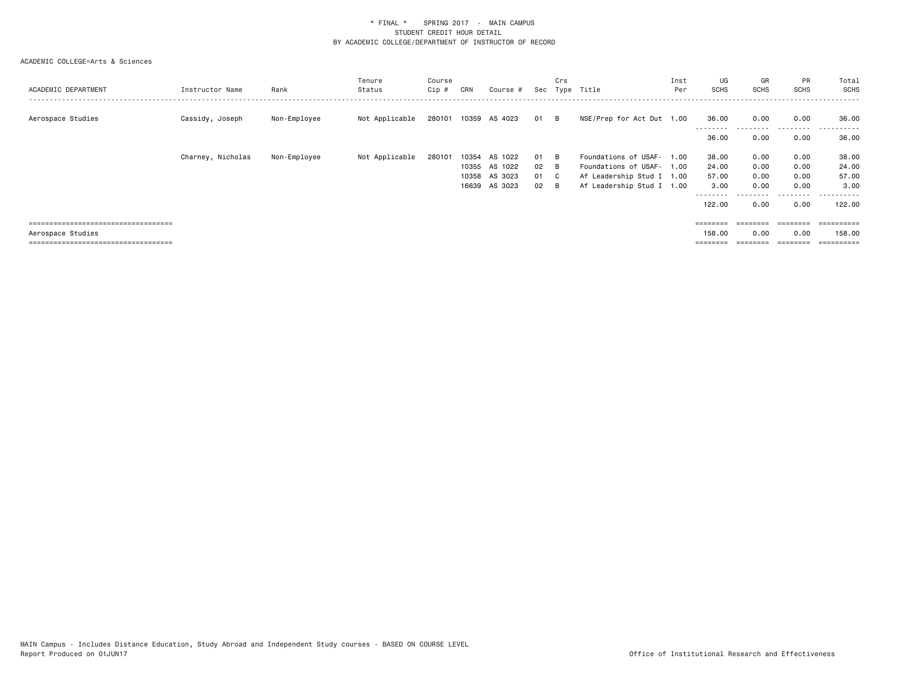| ACADEMIC DEPARTMENT                   | Instructor Name   | Rank         | Tenure<br>Status | Course<br>Cip # | CRN   | Course #                  |              | Crs | Sec Type Title            | Inst<br>Per | UG<br><b>SCHS</b> | GR<br>SCHS | PR<br><b>SCHS</b> | Total<br><b>SCHS</b> |
|---------------------------------------|-------------------|--------------|------------------|-----------------|-------|---------------------------|--------------|-----|---------------------------|-------------|-------------------|------------|-------------------|----------------------|
| Aerospace Studies                     | Cassidy, Joseph   | Non-Employee | Not Applicable   |                 |       | 280101 10359 AS 4023 01 B |              |     | NSE/Prep for Act Dut 1.00 |             | 36.00             | 0.00       | 0.00              | 36.00                |
|                                       |                   |              |                  |                 |       |                           |              |     |                           |             | 36.00             | 0.00       | 0.00              | .<br>36.00           |
|                                       | Charney, Nicholas | Non-Employee | Not Applicable   | 280101          | 10354 | AS 1022                   | 01 B         |     | Foundations of USAF- 1.00 |             | 38.00             | 0.00       | 0.00              | 38.00                |
|                                       |                   |              |                  |                 |       | 10355 AS 1022             | $02 \quad B$ |     | Foundations of USAF- 1.00 |             | 24.00             | 0.00       | 0.00              | 24.00                |
|                                       |                   |              |                  |                 |       | 10358 AS 3023             | 01 C         |     | Af Leadership Stud I 1.00 |             | 57.00             | 0.00       | 0.00              | 57.00                |
|                                       |                   |              |                  |                 |       | 16639 AS 3023             | $02 \quad B$ |     | Af Leadership Stud I 1.00 |             | 3.00              | 0.00       | 0.00              | 3.00                 |
|                                       |                   |              |                  |                 |       |                           |              |     |                           |             |                   |            | .                 | ------               |
|                                       |                   |              |                  |                 |       |                           |              |     |                           |             | 122.00            | 0.00       | 0.00              | 122.00               |
|                                       |                   |              |                  |                 |       |                           |              |     |                           |             |                   |            |                   |                      |
| ===================================== |                   |              |                  |                 |       |                           |              |     |                           |             | $=$ = = = = = = = | ========   | $=$ = = = = = = = |                      |
| Aerospace Studies                     |                   |              |                  |                 |       |                           |              |     |                           |             | 158.00            | 0.00       | 0.00              | 158.00               |
| ====================================  |                   |              |                  |                 |       |                           |              |     |                           |             |                   |            |                   | ==========           |
|                                       |                   |              |                  |                 |       |                           |              |     |                           |             |                   |            |                   |                      |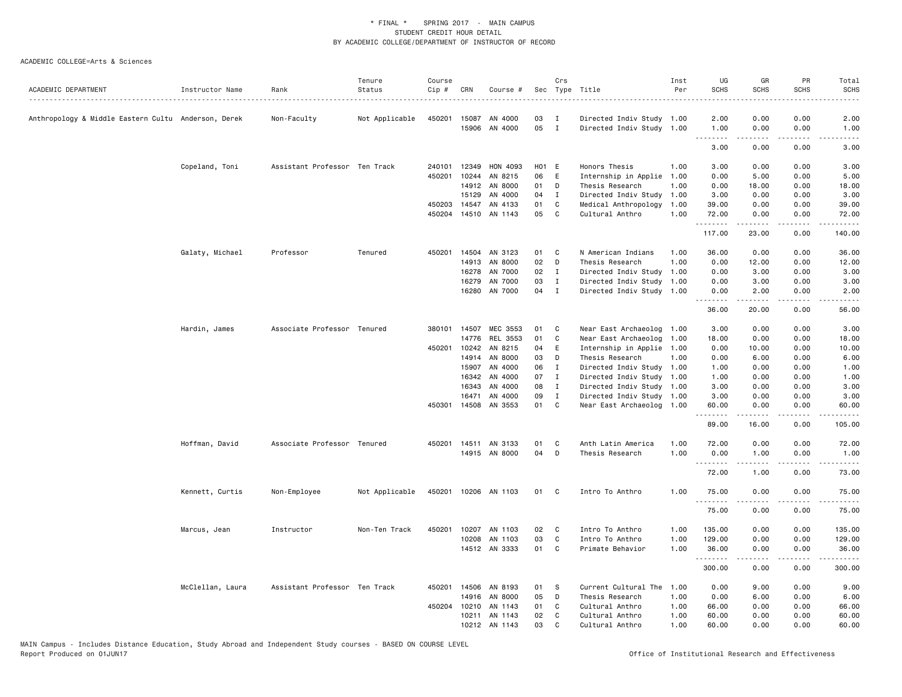|                                                     |                  |                               | Tenure         | Course |              |                      |       | Crs          |                           | Inst | UG                | GR          | PR              | Total             |
|-----------------------------------------------------|------------------|-------------------------------|----------------|--------|--------------|----------------------|-------|--------------|---------------------------|------|-------------------|-------------|-----------------|-------------------|
| ACADEMIC DEPARTMENT                                 | Instructor Name  | Rank                          | Status         | Cip #  | CRN          | Course #             |       |              | Sec Type Title            | Per  | <b>SCHS</b>       | <b>SCHS</b> | <b>SCHS</b>     | <b>SCHS</b>       |
| Anthropology & Middle Eastern Cultu Anderson, Derek |                  | Non-Faculty                   | Not Applicable |        |              | 450201 15087 AN 4000 | 03    | - I          | Directed Indiv Study 1.00 |      | 2.00              | 0.00        | 0.00            | 2.00              |
|                                                     |                  |                               |                |        |              | 15906 AN 4000        | 05    | $\mathbf{I}$ | Directed Indiv Study 1.00 |      | 1.00              | 0.00        | 0.00            | 1.00              |
|                                                     |                  |                               |                |        |              |                      |       |              |                           |      | .<br>3.00         | .<br>0.00   | .<br>0.00       | $- - - -$<br>3.00 |
|                                                     | Copeland, Toni   | Assistant Professor Ten Track |                | 240101 | 12349        | HON 4093             | H01 E |              | Honors Thesis             | 1.00 | 3.00              | 0.00        | 0.00            | 3.00              |
|                                                     |                  |                               |                | 450201 | 10244        | AN 8215              | 06    | E            | Internship in Applie      | 1.00 | 0.00              | 5.00        | 0.00            | 5.00              |
|                                                     |                  |                               |                |        |              | 14912 AN 8000        | 01    | D            | Thesis Research           | 1.00 | 0.00              | 18.00       | 0.00            | 18.00             |
|                                                     |                  |                               |                |        | 15129        | AN 4000              | 04    | $\mathbf{I}$ | Directed Indiv Study      | 1.00 | 3.00              | 0.00        | 0.00            | 3.00              |
|                                                     |                  |                               |                |        | 450203 14547 | AN 4133              | 01    | C            | Medical Anthropology      | 1.00 | 39.00             | 0.00        | 0.00            | 39.00             |
|                                                     |                  |                               |                | 450204 |              | 14510 AN 1143        | 05    | C            | Cultural Anthro           | 1.00 | 72.00<br>.        | 0.00<br>.   | 0.00<br>$- - -$ | 72.00<br>.        |
|                                                     |                  |                               |                |        |              |                      |       |              |                           |      | 117.00            | 23.00       | 0.00            | 140.00            |
|                                                     | Galaty, Michael  | Professor                     | Tenured        | 450201 |              | 14504 AN 3123        | 01    | C            | N American Indians        | 1.00 | 36.00             | 0.00        | 0.00            | 36.00             |
|                                                     |                  |                               |                |        | 14913        | AN 8000              | 02    | D            | Thesis Research           | 1.00 | 0.00              | 12.00       | 0.00            | 12.00             |
|                                                     |                  |                               |                |        | 16278        | AN 7000              | 02    | $\mathbf{I}$ | Directed Indiv Study 1.00 |      | 0.00              | 3.00        | 0.00            | 3.00              |
|                                                     |                  |                               |                |        | 16279        | AN 7000              | 03    | $\mathbf{I}$ | Directed Indiv Study      | 1.00 | 0.00              | 3.00        | 0.00            | 3.00              |
|                                                     |                  |                               |                |        |              | 16280 AN 7000        | 04    | $\mathbf{I}$ | Directed Indiv Study 1.00 |      | 0.00<br>.         | 2.00<br>.   | 0.00<br>.       | 2.00<br>.         |
|                                                     |                  |                               |                |        |              |                      |       |              |                           |      | 36.00             | 20.00       | 0.00            | 56.00             |
|                                                     | Hardin, James    | Associate Professor Tenured   |                |        | 380101 14507 | MEC 3553             | 01    | C            | Near East Archaeolog 1.00 |      | 3.00              | 0.00        | 0.00            | 3.00              |
|                                                     |                  |                               |                |        | 14776        | REL 3553             | 01    | C            | Near East Archaeolog 1.00 |      | 18.00             | 0.00        | 0.00            | 18.00             |
|                                                     |                  |                               |                | 450201 | 10242        | AN 8215              | 04    | E            | Internship in Applie      | 1.00 | 0.00              | 10.00       | 0.00            | 10.00             |
|                                                     |                  |                               |                |        |              | 14914 AN 8000        | 03    | D            | Thesis Research           | 1.00 | 0.00              | 6.00        | 0.00            | 6.00              |
|                                                     |                  |                               |                |        | 15907        | AN 4000              | 06    | $\mathbf{I}$ | Directed Indiv Study 1.00 |      | 1.00              | 0.00        | 0.00            | 1.00              |
|                                                     |                  |                               |                |        | 16342        | AN 4000              | 07    | $\mathbf{I}$ | Directed Indiv Study 1.00 |      | 1.00              | 0.00        | 0.00            | 1.00              |
|                                                     |                  |                               |                |        | 16343        | AN 4000              | 08    | $\mathbf{I}$ | Directed Indiv Study 1.00 |      | 3.00              | 0.00        | 0.00            | 3.00              |
|                                                     |                  |                               |                |        | 16471        | AN 4000              | 09    | $\mathbf{I}$ | Directed Indiv Study 1.00 |      | 3.00              | 0.00        | 0.00            | 3.00              |
|                                                     |                  |                               |                | 450301 |              | 14508 AN 3553        | 01    | C            | Near East Archaeolog 1.00 |      | 60.00<br><u>.</u> | 0.00<br>.   | 0.00<br>.       | 60.00<br>.        |
|                                                     |                  |                               |                |        |              |                      |       |              |                           |      | 89.00             | 16.00       | 0.00            | 105.00            |
|                                                     | Hoffman, David   | Associate Professor Tenured   |                |        |              | 450201 14511 AN 3133 | 01    | C            | Anth Latin America        | 1.00 | 72.00             | 0.00        | 0.00            | 72.00             |
|                                                     |                  |                               |                |        |              | 14915 AN 8000        | 04    | D            | Thesis Research           | 1.00 | 0.00<br>.         | 1.00<br>.   | 0.00<br>.       | 1.00<br>.         |
|                                                     |                  |                               |                |        |              |                      |       |              |                           |      | 72.00             | 1.00        | 0.00            | 73.00             |
|                                                     | Kennett, Curtis  | Non-Employee                  | Not Applicable |        |              | 450201 10206 AN 1103 | 01    | C            | Intro To Anthro           | 1.00 | 75.00<br>.        | 0.00<br>.   | 0.00<br>.       | 75.00<br>.        |
|                                                     |                  |                               |                |        |              |                      |       |              |                           |      | 75.00             | 0.00        | 0.00            | 75.00             |
|                                                     | Marcus, Jean     | Instructor                    | Non-Ten Track  | 450201 |              | 10207 AN 1103        | 02    | C            | Intro To Anthro           | 1.00 | 135.00            | 0.00        | 0.00            | 135.00            |
|                                                     |                  |                               |                |        |              | 10208 AN 1103        | 03    | C            | Intro To Anthro           | 1.00 | 129.00            | 0.00        | 0.00            | 129.00            |
|                                                     |                  |                               |                |        |              | 14512 AN 3333        | 01    | C            | Primate Behavior          | 1.00 | 36.00             | 0.00        | 0.00            | 36.00             |
|                                                     |                  |                               |                |        |              |                      |       |              |                           |      | 300.00            | 0.00        | 0.00            | 300.00            |
|                                                     | McClellan, Laura | Assistant Professor Ten Track |                | 450201 | 14506        | AN 8193              | 01    | s            | Current Cultural The 1.00 |      | 0.00              | 9.00        | 0.00            | 9.00              |
|                                                     |                  |                               |                |        | 14916        | AN 8000              | 05    | D            | Thesis Research           | 1.00 | 0.00              | 6.00        | 0.00            | 6.00              |
|                                                     |                  |                               |                | 450204 | 10210        | AN 1143              | 01    | C            | Cultural Anthro           | 1.00 | 66.00             | 0.00        | 0.00            | 66.00             |
|                                                     |                  |                               |                |        |              | 10211 AN 1143        | 02    | C            | Cultural Anthro           | 1.00 | 60.00             | 0.00        | 0.00            | 60.00             |
|                                                     |                  |                               |                |        |              | 10212 AN 1143        | 03    | C            | Cultural Anthro           | 1.00 | 60.00             | 0.00        | 0.00            | 60.00             |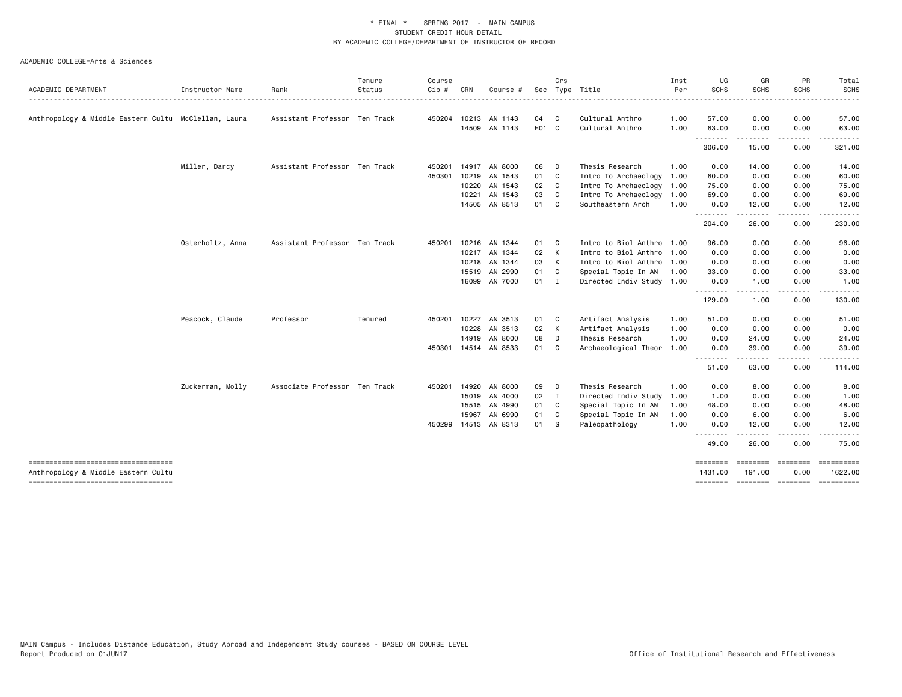| <b>SCHS</b><br>SCHS<br><b>SCHS</b><br>ACADEMIC DEPARTMENT<br>Status<br>Sec Type Title<br>Per<br>Instructor Name<br>Rank<br>Cip#<br>CRN<br>Course #<br>04<br>Cultural Anthro<br>0.00<br>0.00<br>Anthropology & Middle Eastern Cultu McClellan, Laura<br>Assistant Professor Ten Track<br>450204 10213 AN 1143<br>$\overline{\phantom{a}}$ C<br>1.00<br>57.00<br>H <sub>01</sub> C<br>14509 AN 1143<br>Cultural Anthro<br>1.00<br>63.00<br>0.00<br>0.00<br>.<br>306.00<br>15.00<br>0.00<br>Miller, Darcy<br>Assistant Professor Ten Track<br>06<br>Thesis Research<br>0.00<br>450201<br>14917 AN 8000<br>D<br>1.00<br>14.00<br>0.00<br>01<br>450301 10219<br>AN 1543<br>$\mathbf{C}$<br>Intro To Archaeology<br>60.00<br>0.00<br>0.00<br>1.00<br>10220<br>AN 1543<br>02 C<br>Intro To Archaeology<br>0.00<br>0.00<br>1.00<br>75.00<br>AN 1543<br>03<br>10221<br>C<br>Intro To Archaeology<br>1.00<br>69.00<br>0.00<br>0.00<br>14505 AN 8513<br>01 C<br>Southeastern Arch<br>1.00<br>0.00<br>12.00<br>0.00<br>.<br>$\frac{1}{2} \left( \frac{1}{2} \right) \left( \frac{1}{2} \right) \left( \frac{1}{2} \right) \left( \frac{1}{2} \right) \left( \frac{1}{2} \right)$<br>$\cdots$<br>.<br>204.00<br>26.00<br>0.00<br>Osterholtz, Anna<br>Assistant Professor Ten Track<br>Intro to Biol Anthro 1.00<br>450201<br>10216<br>AN 1344<br>01<br>C<br>96.00<br>0.00<br>0.00<br>02 K<br>10217 AN 1344<br>Intro to Biol Anthro 1.00<br>0.00<br>0.00<br>0.00<br>10218<br>AN 1344<br>03 K<br>Intro to Biol Anthro 1.00<br>0.00<br>0.00<br>0.00<br>01<br>15519 AN 2990<br>C<br>Special Topic In AN<br>1.00<br>33.00<br>0.00<br>0.00<br>16099 AN 7000<br>$01$ I<br>Directed Indiv Study 1.00<br>0.00<br>1.00<br>0.00<br>--------<br>.<br>.<br>.<br>129.00<br>1.00<br>0.00<br>Peacock, Claude<br>Professor<br>10227<br>AN 3513<br>01<br>Artifact Analysis<br>51.00<br>0.00<br>0.00<br>Tenured<br>450201<br>C<br>1.00<br>10228<br>AN 3513<br>02 K<br>Artifact Analysis<br>0.00<br>0.00<br>0.00<br>1.00<br>14919<br>AN 8000<br>08<br>Thesis Research<br>1.00<br>0.00<br>24.00<br>0.00<br>D<br>450301 14514 AN 8533<br>01<br>$\mathbf{C}$<br>Archaeological Theor 1.00<br>0.00<br>39.00<br>0.00<br>--------<br>.<br>----<br>51.00<br>63.00<br>0.00<br>Zuckerman, Molly<br>Associate Professor Ten Track<br>14920<br>AN 8000<br>09<br>Thesis Research<br>0.00<br>8.00<br>0.00<br>450201<br>D<br>1.00<br>15019<br>AN 4000<br>$02 \quad I$<br>Directed Indiv Study<br>1.00<br>0.00<br>0.00<br>1.00<br>15515 AN 4990<br>01<br>$\mathbf{C}$<br>Special Topic In AN<br>48.00<br>0.00<br>0.00<br>1.00<br>6.00<br>15967<br>AN 6990<br>01<br>C<br>Special Topic In AN<br>1.00<br>0.00<br>0.00<br>450299 14513 AN 8313<br>01 S<br>Paleopathology<br>1.00<br>0.00<br>0.00<br>12.00<br>.<br>.<br>49.00<br>26.00<br>0.00<br>-------------------------------------<br><b>SEBSEBED</b><br><b>EDESSERS</b><br>$\begin{array}{cccccc} \multicolumn{2}{c}{{\color{red}z}} & \multicolumn{2}{c}{{\color{blue}z}} & \multicolumn{2}{c}{{\color{blue}z}} & \multicolumn{2}{c}{{\color{blue}z}} & \multicolumn{2}{c}{{\color{blue}z}} & \multicolumn{2}{c}{{\color{blue}z}} & \multicolumn{2}{c}{{\color{blue}z}} & \multicolumn{2}{c}{{\color{blue}z}} & \multicolumn{2}{c}{{\color{blue}z}} & \multicolumn{2}{c}{{\color{blue}z}} & \multicolumn{2}{c}{{\color{blue}z}} & \multicolumn{2}{c}{{\color{blue$<br>0.00<br>1622.00<br>Anthropology & Middle Eastern Cultu<br>1431.00<br>191.00 |  | Tenure | Course |  | Crs | Inst | UG | GR | PR | Total                      |
|------------------------------------------------------------------------------------------------------------------------------------------------------------------------------------------------------------------------------------------------------------------------------------------------------------------------------------------------------------------------------------------------------------------------------------------------------------------------------------------------------------------------------------------------------------------------------------------------------------------------------------------------------------------------------------------------------------------------------------------------------------------------------------------------------------------------------------------------------------------------------------------------------------------------------------------------------------------------------------------------------------------------------------------------------------------------------------------------------------------------------------------------------------------------------------------------------------------------------------------------------------------------------------------------------------------------------------------------------------------------------------------------------------------------------------------------------------------------------------------------------------------------------------------------------------------------------------------------------------------------------------------------------------------------------------------------------------------------------------------------------------------------------------------------------------------------------------------------------------------------------------------------------------------------------------------------------------------------------------------------------------------------------------------------------------------------------------------------------------------------------------------------------------------------------------------------------------------------------------------------------------------------------------------------------------------------------------------------------------------------------------------------------------------------------------------------------------------------------------------------------------------------------------------------------------------------------------------------------------------------------------------------------------------------------------------------------------------------------------------------------------------------------------------------------------------------------------------------------------------------------------------------------------------------------------------------------------------------------------------------------------------------------------------------------------------------------------------------------------------------------------------------------------------------------------------------------------------------------------------------------------------------------------------------------------------------------------------------------------------------------------------------------------------------------------------------------|--|--------|--------|--|-----|------|----|----|----|----------------------------|
|                                                                                                                                                                                                                                                                                                                                                                                                                                                                                                                                                                                                                                                                                                                                                                                                                                                                                                                                                                                                                                                                                                                                                                                                                                                                                                                                                                                                                                                                                                                                                                                                                                                                                                                                                                                                                                                                                                                                                                                                                                                                                                                                                                                                                                                                                                                                                                                                                                                                                                                                                                                                                                                                                                                                                                                                                                                                                                                                                                                                                                                                                                                                                                                                                                                                                                                                                                                                                                                      |  |        |        |  |     |      |    |    |    | <b>SCHS</b><br>$- - - - -$ |
|                                                                                                                                                                                                                                                                                                                                                                                                                                                                                                                                                                                                                                                                                                                                                                                                                                                                                                                                                                                                                                                                                                                                                                                                                                                                                                                                                                                                                                                                                                                                                                                                                                                                                                                                                                                                                                                                                                                                                                                                                                                                                                                                                                                                                                                                                                                                                                                                                                                                                                                                                                                                                                                                                                                                                                                                                                                                                                                                                                                                                                                                                                                                                                                                                                                                                                                                                                                                                                                      |  |        |        |  |     |      |    |    |    | 57.00                      |
|                                                                                                                                                                                                                                                                                                                                                                                                                                                                                                                                                                                                                                                                                                                                                                                                                                                                                                                                                                                                                                                                                                                                                                                                                                                                                                                                                                                                                                                                                                                                                                                                                                                                                                                                                                                                                                                                                                                                                                                                                                                                                                                                                                                                                                                                                                                                                                                                                                                                                                                                                                                                                                                                                                                                                                                                                                                                                                                                                                                                                                                                                                                                                                                                                                                                                                                                                                                                                                                      |  |        |        |  |     |      |    |    |    | 63.00                      |
|                                                                                                                                                                                                                                                                                                                                                                                                                                                                                                                                                                                                                                                                                                                                                                                                                                                                                                                                                                                                                                                                                                                                                                                                                                                                                                                                                                                                                                                                                                                                                                                                                                                                                                                                                                                                                                                                                                                                                                                                                                                                                                                                                                                                                                                                                                                                                                                                                                                                                                                                                                                                                                                                                                                                                                                                                                                                                                                                                                                                                                                                                                                                                                                                                                                                                                                                                                                                                                                      |  |        |        |  |     |      |    |    |    | 321.00                     |
|                                                                                                                                                                                                                                                                                                                                                                                                                                                                                                                                                                                                                                                                                                                                                                                                                                                                                                                                                                                                                                                                                                                                                                                                                                                                                                                                                                                                                                                                                                                                                                                                                                                                                                                                                                                                                                                                                                                                                                                                                                                                                                                                                                                                                                                                                                                                                                                                                                                                                                                                                                                                                                                                                                                                                                                                                                                                                                                                                                                                                                                                                                                                                                                                                                                                                                                                                                                                                                                      |  |        |        |  |     |      |    |    |    | 14.00                      |
|                                                                                                                                                                                                                                                                                                                                                                                                                                                                                                                                                                                                                                                                                                                                                                                                                                                                                                                                                                                                                                                                                                                                                                                                                                                                                                                                                                                                                                                                                                                                                                                                                                                                                                                                                                                                                                                                                                                                                                                                                                                                                                                                                                                                                                                                                                                                                                                                                                                                                                                                                                                                                                                                                                                                                                                                                                                                                                                                                                                                                                                                                                                                                                                                                                                                                                                                                                                                                                                      |  |        |        |  |     |      |    |    |    | 60.00                      |
|                                                                                                                                                                                                                                                                                                                                                                                                                                                                                                                                                                                                                                                                                                                                                                                                                                                                                                                                                                                                                                                                                                                                                                                                                                                                                                                                                                                                                                                                                                                                                                                                                                                                                                                                                                                                                                                                                                                                                                                                                                                                                                                                                                                                                                                                                                                                                                                                                                                                                                                                                                                                                                                                                                                                                                                                                                                                                                                                                                                                                                                                                                                                                                                                                                                                                                                                                                                                                                                      |  |        |        |  |     |      |    |    |    | 75.00                      |
|                                                                                                                                                                                                                                                                                                                                                                                                                                                                                                                                                                                                                                                                                                                                                                                                                                                                                                                                                                                                                                                                                                                                                                                                                                                                                                                                                                                                                                                                                                                                                                                                                                                                                                                                                                                                                                                                                                                                                                                                                                                                                                                                                                                                                                                                                                                                                                                                                                                                                                                                                                                                                                                                                                                                                                                                                                                                                                                                                                                                                                                                                                                                                                                                                                                                                                                                                                                                                                                      |  |        |        |  |     |      |    |    |    | 69.00                      |
|                                                                                                                                                                                                                                                                                                                                                                                                                                                                                                                                                                                                                                                                                                                                                                                                                                                                                                                                                                                                                                                                                                                                                                                                                                                                                                                                                                                                                                                                                                                                                                                                                                                                                                                                                                                                                                                                                                                                                                                                                                                                                                                                                                                                                                                                                                                                                                                                                                                                                                                                                                                                                                                                                                                                                                                                                                                                                                                                                                                                                                                                                                                                                                                                                                                                                                                                                                                                                                                      |  |        |        |  |     |      |    |    |    | 12.00                      |
|                                                                                                                                                                                                                                                                                                                                                                                                                                                                                                                                                                                                                                                                                                                                                                                                                                                                                                                                                                                                                                                                                                                                                                                                                                                                                                                                                                                                                                                                                                                                                                                                                                                                                                                                                                                                                                                                                                                                                                                                                                                                                                                                                                                                                                                                                                                                                                                                                                                                                                                                                                                                                                                                                                                                                                                                                                                                                                                                                                                                                                                                                                                                                                                                                                                                                                                                                                                                                                                      |  |        |        |  |     |      |    |    |    | 230.00                     |
|                                                                                                                                                                                                                                                                                                                                                                                                                                                                                                                                                                                                                                                                                                                                                                                                                                                                                                                                                                                                                                                                                                                                                                                                                                                                                                                                                                                                                                                                                                                                                                                                                                                                                                                                                                                                                                                                                                                                                                                                                                                                                                                                                                                                                                                                                                                                                                                                                                                                                                                                                                                                                                                                                                                                                                                                                                                                                                                                                                                                                                                                                                                                                                                                                                                                                                                                                                                                                                                      |  |        |        |  |     |      |    |    |    | 96.00                      |
|                                                                                                                                                                                                                                                                                                                                                                                                                                                                                                                                                                                                                                                                                                                                                                                                                                                                                                                                                                                                                                                                                                                                                                                                                                                                                                                                                                                                                                                                                                                                                                                                                                                                                                                                                                                                                                                                                                                                                                                                                                                                                                                                                                                                                                                                                                                                                                                                                                                                                                                                                                                                                                                                                                                                                                                                                                                                                                                                                                                                                                                                                                                                                                                                                                                                                                                                                                                                                                                      |  |        |        |  |     |      |    |    |    | 0.00                       |
|                                                                                                                                                                                                                                                                                                                                                                                                                                                                                                                                                                                                                                                                                                                                                                                                                                                                                                                                                                                                                                                                                                                                                                                                                                                                                                                                                                                                                                                                                                                                                                                                                                                                                                                                                                                                                                                                                                                                                                                                                                                                                                                                                                                                                                                                                                                                                                                                                                                                                                                                                                                                                                                                                                                                                                                                                                                                                                                                                                                                                                                                                                                                                                                                                                                                                                                                                                                                                                                      |  |        |        |  |     |      |    |    |    | 0.00                       |
|                                                                                                                                                                                                                                                                                                                                                                                                                                                                                                                                                                                                                                                                                                                                                                                                                                                                                                                                                                                                                                                                                                                                                                                                                                                                                                                                                                                                                                                                                                                                                                                                                                                                                                                                                                                                                                                                                                                                                                                                                                                                                                                                                                                                                                                                                                                                                                                                                                                                                                                                                                                                                                                                                                                                                                                                                                                                                                                                                                                                                                                                                                                                                                                                                                                                                                                                                                                                                                                      |  |        |        |  |     |      |    |    |    | 33.00                      |
|                                                                                                                                                                                                                                                                                                                                                                                                                                                                                                                                                                                                                                                                                                                                                                                                                                                                                                                                                                                                                                                                                                                                                                                                                                                                                                                                                                                                                                                                                                                                                                                                                                                                                                                                                                                                                                                                                                                                                                                                                                                                                                                                                                                                                                                                                                                                                                                                                                                                                                                                                                                                                                                                                                                                                                                                                                                                                                                                                                                                                                                                                                                                                                                                                                                                                                                                                                                                                                                      |  |        |        |  |     |      |    |    |    | 1.00                       |
|                                                                                                                                                                                                                                                                                                                                                                                                                                                                                                                                                                                                                                                                                                                                                                                                                                                                                                                                                                                                                                                                                                                                                                                                                                                                                                                                                                                                                                                                                                                                                                                                                                                                                                                                                                                                                                                                                                                                                                                                                                                                                                                                                                                                                                                                                                                                                                                                                                                                                                                                                                                                                                                                                                                                                                                                                                                                                                                                                                                                                                                                                                                                                                                                                                                                                                                                                                                                                                                      |  |        |        |  |     |      |    |    |    | 130.00                     |
|                                                                                                                                                                                                                                                                                                                                                                                                                                                                                                                                                                                                                                                                                                                                                                                                                                                                                                                                                                                                                                                                                                                                                                                                                                                                                                                                                                                                                                                                                                                                                                                                                                                                                                                                                                                                                                                                                                                                                                                                                                                                                                                                                                                                                                                                                                                                                                                                                                                                                                                                                                                                                                                                                                                                                                                                                                                                                                                                                                                                                                                                                                                                                                                                                                                                                                                                                                                                                                                      |  |        |        |  |     |      |    |    |    | 51.00                      |
|                                                                                                                                                                                                                                                                                                                                                                                                                                                                                                                                                                                                                                                                                                                                                                                                                                                                                                                                                                                                                                                                                                                                                                                                                                                                                                                                                                                                                                                                                                                                                                                                                                                                                                                                                                                                                                                                                                                                                                                                                                                                                                                                                                                                                                                                                                                                                                                                                                                                                                                                                                                                                                                                                                                                                                                                                                                                                                                                                                                                                                                                                                                                                                                                                                                                                                                                                                                                                                                      |  |        |        |  |     |      |    |    |    | 0.00                       |
|                                                                                                                                                                                                                                                                                                                                                                                                                                                                                                                                                                                                                                                                                                                                                                                                                                                                                                                                                                                                                                                                                                                                                                                                                                                                                                                                                                                                                                                                                                                                                                                                                                                                                                                                                                                                                                                                                                                                                                                                                                                                                                                                                                                                                                                                                                                                                                                                                                                                                                                                                                                                                                                                                                                                                                                                                                                                                                                                                                                                                                                                                                                                                                                                                                                                                                                                                                                                                                                      |  |        |        |  |     |      |    |    |    | 24.00                      |
|                                                                                                                                                                                                                                                                                                                                                                                                                                                                                                                                                                                                                                                                                                                                                                                                                                                                                                                                                                                                                                                                                                                                                                                                                                                                                                                                                                                                                                                                                                                                                                                                                                                                                                                                                                                                                                                                                                                                                                                                                                                                                                                                                                                                                                                                                                                                                                                                                                                                                                                                                                                                                                                                                                                                                                                                                                                                                                                                                                                                                                                                                                                                                                                                                                                                                                                                                                                                                                                      |  |        |        |  |     |      |    |    |    | 39.00                      |
|                                                                                                                                                                                                                                                                                                                                                                                                                                                                                                                                                                                                                                                                                                                                                                                                                                                                                                                                                                                                                                                                                                                                                                                                                                                                                                                                                                                                                                                                                                                                                                                                                                                                                                                                                                                                                                                                                                                                                                                                                                                                                                                                                                                                                                                                                                                                                                                                                                                                                                                                                                                                                                                                                                                                                                                                                                                                                                                                                                                                                                                                                                                                                                                                                                                                                                                                                                                                                                                      |  |        |        |  |     |      |    |    |    | 114.00                     |
|                                                                                                                                                                                                                                                                                                                                                                                                                                                                                                                                                                                                                                                                                                                                                                                                                                                                                                                                                                                                                                                                                                                                                                                                                                                                                                                                                                                                                                                                                                                                                                                                                                                                                                                                                                                                                                                                                                                                                                                                                                                                                                                                                                                                                                                                                                                                                                                                                                                                                                                                                                                                                                                                                                                                                                                                                                                                                                                                                                                                                                                                                                                                                                                                                                                                                                                                                                                                                                                      |  |        |        |  |     |      |    |    |    | 8.00                       |
|                                                                                                                                                                                                                                                                                                                                                                                                                                                                                                                                                                                                                                                                                                                                                                                                                                                                                                                                                                                                                                                                                                                                                                                                                                                                                                                                                                                                                                                                                                                                                                                                                                                                                                                                                                                                                                                                                                                                                                                                                                                                                                                                                                                                                                                                                                                                                                                                                                                                                                                                                                                                                                                                                                                                                                                                                                                                                                                                                                                                                                                                                                                                                                                                                                                                                                                                                                                                                                                      |  |        |        |  |     |      |    |    |    | 1.00                       |
|                                                                                                                                                                                                                                                                                                                                                                                                                                                                                                                                                                                                                                                                                                                                                                                                                                                                                                                                                                                                                                                                                                                                                                                                                                                                                                                                                                                                                                                                                                                                                                                                                                                                                                                                                                                                                                                                                                                                                                                                                                                                                                                                                                                                                                                                                                                                                                                                                                                                                                                                                                                                                                                                                                                                                                                                                                                                                                                                                                                                                                                                                                                                                                                                                                                                                                                                                                                                                                                      |  |        |        |  |     |      |    |    |    | 48.00                      |
|                                                                                                                                                                                                                                                                                                                                                                                                                                                                                                                                                                                                                                                                                                                                                                                                                                                                                                                                                                                                                                                                                                                                                                                                                                                                                                                                                                                                                                                                                                                                                                                                                                                                                                                                                                                                                                                                                                                                                                                                                                                                                                                                                                                                                                                                                                                                                                                                                                                                                                                                                                                                                                                                                                                                                                                                                                                                                                                                                                                                                                                                                                                                                                                                                                                                                                                                                                                                                                                      |  |        |        |  |     |      |    |    |    | 6.00                       |
|                                                                                                                                                                                                                                                                                                                                                                                                                                                                                                                                                                                                                                                                                                                                                                                                                                                                                                                                                                                                                                                                                                                                                                                                                                                                                                                                                                                                                                                                                                                                                                                                                                                                                                                                                                                                                                                                                                                                                                                                                                                                                                                                                                                                                                                                                                                                                                                                                                                                                                                                                                                                                                                                                                                                                                                                                                                                                                                                                                                                                                                                                                                                                                                                                                                                                                                                                                                                                                                      |  |        |        |  |     |      |    |    |    | 12.00                      |
|                                                                                                                                                                                                                                                                                                                                                                                                                                                                                                                                                                                                                                                                                                                                                                                                                                                                                                                                                                                                                                                                                                                                                                                                                                                                                                                                                                                                                                                                                                                                                                                                                                                                                                                                                                                                                                                                                                                                                                                                                                                                                                                                                                                                                                                                                                                                                                                                                                                                                                                                                                                                                                                                                                                                                                                                                                                                                                                                                                                                                                                                                                                                                                                                                                                                                                                                                                                                                                                      |  |        |        |  |     |      |    |    |    | 75.00                      |
|                                                                                                                                                                                                                                                                                                                                                                                                                                                                                                                                                                                                                                                                                                                                                                                                                                                                                                                                                                                                                                                                                                                                                                                                                                                                                                                                                                                                                                                                                                                                                                                                                                                                                                                                                                                                                                                                                                                                                                                                                                                                                                                                                                                                                                                                                                                                                                                                                                                                                                                                                                                                                                                                                                                                                                                                                                                                                                                                                                                                                                                                                                                                                                                                                                                                                                                                                                                                                                                      |  |        |        |  |     |      |    |    |    |                            |
| ----------------------------------<br>========<br>========= ======== ==========                                                                                                                                                                                                                                                                                                                                                                                                                                                                                                                                                                                                                                                                                                                                                                                                                                                                                                                                                                                                                                                                                                                                                                                                                                                                                                                                                                                                                                                                                                                                                                                                                                                                                                                                                                                                                                                                                                                                                                                                                                                                                                                                                                                                                                                                                                                                                                                                                                                                                                                                                                                                                                                                                                                                                                                                                                                                                                                                                                                                                                                                                                                                                                                                                                                                                                                                                                      |  |        |        |  |     |      |    |    |    |                            |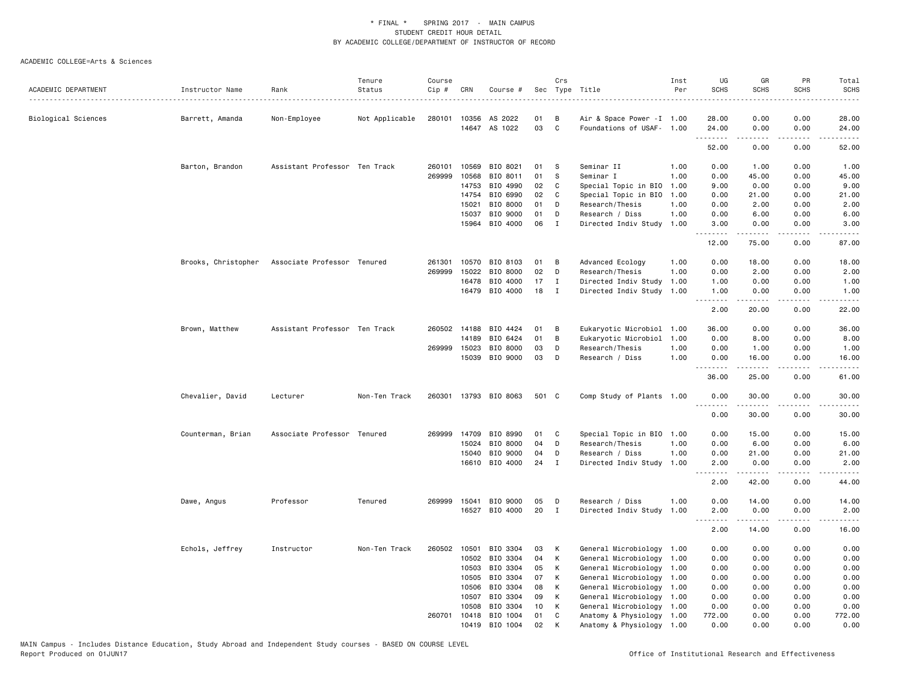| ACADEMIC DEPARTMENT | Instructor Name   | Rank                                            | Tenure<br>Status | Course<br>Cip # | CRN            | Course #              |          | Crs          | Sec Type Title                                         | Inst<br>Per | UG<br><b>SCHS</b> | GR<br><b>SCHS</b>  | PR<br><b>SCHS</b> | Total<br><b>SCHS</b>                                                                                                                                 |
|---------------------|-------------------|-------------------------------------------------|------------------|-----------------|----------------|-----------------------|----------|--------------|--------------------------------------------------------|-------------|-------------------|--------------------|-------------------|------------------------------------------------------------------------------------------------------------------------------------------------------|
|                     |                   |                                                 |                  |                 |                |                       |          |              |                                                        |             |                   |                    |                   | .                                                                                                                                                    |
| Biological Sciences | Barrett, Amanda   | Non-Employee                                    | Not Applicable   |                 |                | 280101 10356 AS 2022  | 01       | B            | Air & Space Power - I 1.00                             |             | 28.00             | 0.00               | 0.00              | 28.00                                                                                                                                                |
|                     |                   |                                                 |                  |                 |                | 14647 AS 1022         | 03       | C            | Foundations of USAF- 1.00                              |             | 24.00<br>.        | 0.00<br>.          | 0.00<br>.         | 24.00<br>د د د د د                                                                                                                                   |
|                     |                   |                                                 |                  |                 |                |                       |          |              |                                                        |             | 52.00             | 0.00               | 0.00              | 52.00                                                                                                                                                |
|                     | Barton, Brandon   | Assistant Professor Ten Track                   |                  | 260101          | 10569          | BIO 8021              | 01       | -S           | Seminar II                                             | 1.00        | 0.00              | 1.00               | 0.00              | 1.00                                                                                                                                                 |
|                     |                   |                                                 |                  | 269999          | 10568          | BIO 8011              | 01       | -S           | Seminar I                                              | 1.00        | 0.00              | 45.00              | 0.00              | 45.00                                                                                                                                                |
|                     |                   |                                                 |                  |                 | 14753          | BIO 4990              | 02       | C            | Special Topic in BIO                                   | 1.00        | 9.00              | 0.00               | 0.00              | 9.00                                                                                                                                                 |
|                     |                   |                                                 |                  |                 | 14754          | BIO 6990              | 02       | C            | Special Topic in BIO                                   | 1.00        | 0.00              | 21.00              | 0.00              | 21.00                                                                                                                                                |
|                     |                   |                                                 |                  |                 | 15021          | BIO 8000              | 01       | D            | Research/Thesis                                        | 1.00        | 0.00              | 2.00               | 0.00              | 2.00                                                                                                                                                 |
|                     |                   |                                                 |                  |                 | 15037          | BIO 9000              | 01       | D            | Research / Diss                                        | 1.00        | 0.00              | 6.00               | 0.00              | 6.00                                                                                                                                                 |
|                     |                   |                                                 |                  |                 | 15964          | BIO 4000              | 06       | $\mathbf{I}$ | Directed Indiv Study                                   | 1.00        | 3.00<br>.         | 0.00<br>.          | 0.00<br>.         | 3.00<br>$\sim$ $\sim$ $\sim$ $\sim$                                                                                                                  |
|                     |                   |                                                 |                  |                 |                |                       |          |              |                                                        |             | 12.00             | 75.00              | 0.00              | 87.00                                                                                                                                                |
|                     |                   | Brooks, Christopher Associate Professor Tenured |                  | 261301          | 10570          | BIO 8103              | 01       | в            | Advanced Ecology                                       | 1.00        | 0.00              | 18.00              | 0.00              | 18.00                                                                                                                                                |
|                     |                   |                                                 |                  | 269999          | 15022          | BIO 8000              | 02       | D            | Research/Thesis                                        | 1.00        | 0.00              | 2.00               | 0.00              | 2.00                                                                                                                                                 |
|                     |                   |                                                 |                  |                 | 16478          | BIO 4000              | 17       | $\bf{I}$     | Directed Indiv Study                                   | 1.00        | 1.00              | 0.00               | 0.00              | 1.00                                                                                                                                                 |
|                     |                   |                                                 |                  |                 | 16479          | BIO 4000              | 18       | $\mathbf{I}$ | Directed Indiv Study 1.00                              |             | 1.00<br><u>.</u>  | 0.00<br>. <b>.</b> | 0.00<br>.         | 1.00<br>.                                                                                                                                            |
|                     |                   |                                                 |                  |                 |                |                       |          |              |                                                        |             | 2.00              | 20.00              | 0.00              | 22.00                                                                                                                                                |
|                     | Brown, Matthew    | Assistant Professor Ten Track                   |                  | 260502          | 14188          | BIO 4424              | 01       | В            | Eukaryotic Microbiol                                   | 1.00        | 36.00             | 0.00               | 0.00              | 36.00                                                                                                                                                |
|                     |                   |                                                 |                  |                 | 14189          | BIO 6424              | 01       | B            | Eukaryotic Microbiol                                   | 1.00        | 0.00              | 8.00               | 0.00              | 8.00                                                                                                                                                 |
|                     |                   |                                                 |                  | 269999          | 15023          | BIO 8000              | 03       | D            | Research/Thesis                                        | 1.00        | 0.00              | 1.00               | 0.00              | 1.00                                                                                                                                                 |
|                     |                   |                                                 |                  |                 | 15039          | BIO 9000              | 03       | D            | Research / Diss                                        | 1.00        | 0.00<br>.         | 16.00<br>.         | 0.00<br>.         | 16.00<br>د د د د د                                                                                                                                   |
|                     |                   |                                                 |                  |                 |                |                       |          |              |                                                        |             | 36.00             | 25.00              | 0.00              | 61.00                                                                                                                                                |
|                     | Chevalier, David  | Lecturer                                        | Non-Ten Track    |                 |                | 260301 13793 BIO 8063 | 501 C    |              | Comp Study of Plants 1.00                              |             | 0.00              | 30.00              | 0.00<br>.         | 30.00<br>د د د د د                                                                                                                                   |
|                     |                   |                                                 |                  |                 |                |                       |          |              |                                                        |             | 0.00              | 30.00              | 0.00              | 30.00                                                                                                                                                |
|                     | Counterman, Brian | Associate Professor Tenured                     |                  | 269999          | 14709          | BIO 8990              | 01       | C            | Special Topic in BIO 1.00                              |             | 0.00              | 15.00              | 0.00              | 15.00                                                                                                                                                |
|                     |                   |                                                 |                  |                 | 15024          | BIO 8000              | 04       | D            | Research/Thesis                                        | 1.00        | 0.00              | 6.00               | 0.00              | 6.00                                                                                                                                                 |
|                     |                   |                                                 |                  |                 | 15040          | BIO 9000              | 04       | D            | Research / Diss                                        | 1.00        | 0.00              | 21.00              | 0.00              | 21.00                                                                                                                                                |
|                     |                   |                                                 |                  |                 |                | 16610 BIO 4000        | 24       | $\mathbf I$  | Directed Indiv Study                                   | 1.00        | 2.00<br><u>.</u>  | 0.00<br>.          | 0.00<br>.         | 2.00<br>$    -$                                                                                                                                      |
|                     |                   |                                                 |                  |                 |                |                       |          |              |                                                        |             | 2.00              | 42.00              | 0.00              | 44.00                                                                                                                                                |
|                     | Dawe, Angus       | Professor                                       | Tenured          | 269999          | 15041          | BIO 9000              | 05       | D            | Research / Diss                                        | 1.00        | 0.00              | 14.00              | 0.00              | 14.00                                                                                                                                                |
|                     |                   |                                                 |                  |                 | 16527          | BIO 4000              | 20       | I            | Directed Indiv Study                                   | 1.00        | 2.00              | 0.00               | 0.00              | 2.00                                                                                                                                                 |
|                     |                   |                                                 |                  |                 |                |                       |          |              |                                                        |             | .                 | -----              | .                 | $\frac{1}{2} \left( \frac{1}{2} \right) \left( \frac{1}{2} \right) \left( \frac{1}{2} \right) \left( \frac{1}{2} \right) \left( \frac{1}{2} \right)$ |
|                     |                   |                                                 |                  |                 |                |                       |          |              |                                                        |             | 2.00              | 14.00              | 0.00              | 16.00                                                                                                                                                |
|                     | Echols, Jeffrey   | Instructor                                      | Non-Ten Track    | 260502          | 10501          | BIO 3304              | 03       | К            | General Microbiology 1.00                              |             | 0.00              | 0.00               | 0.00              | 0.00                                                                                                                                                 |
|                     |                   |                                                 |                  |                 | 10502          | BIO 3304              | 04       | К            | General Microbiology                                   | 1.00        | 0.00              | 0.00               | 0.00              | 0.00                                                                                                                                                 |
|                     |                   |                                                 |                  |                 | 10503          | BIO 3304              | 05       | K            | General Microbiology                                   | 1.00        | 0.00              | 0.00               | 0.00              | 0.00                                                                                                                                                 |
|                     |                   |                                                 |                  |                 | 10505<br>10506 | BIO 3304<br>BIO 3304  | 07<br>08 | К<br>К       | General Microbiology                                   | 1.00        | 0.00<br>0.00      | 0.00<br>0.00       | 0.00<br>0.00      | 0.00<br>0.00                                                                                                                                         |
|                     |                   |                                                 |                  |                 | 10507          | BIO 3304              | 09       | K            | General Microbiology 1.00<br>General Microbiology 1.00 |             | 0.00              | 0.00               | 0.00              | 0.00                                                                                                                                                 |
|                     |                   |                                                 |                  |                 | 10508          | BIO 3304              | 10       | К            | General Microbiology                                   | 1.00        | 0.00              | 0.00               | 0.00              | 0.00                                                                                                                                                 |
|                     |                   |                                                 |                  | 260701          | 10418          | BIO 1004              | 01       | $\mathtt{C}$ | Anatomy & Physiology 1.00                              |             | 772.00            | 0.00               | 0.00              | 772.00                                                                                                                                               |
|                     |                   |                                                 |                  |                 | 10419          | BIO 1004              | 02       | K            | Anatomy & Physiology 1.00                              |             | 0.00              | 0.00               | 0.00              | 0.00                                                                                                                                                 |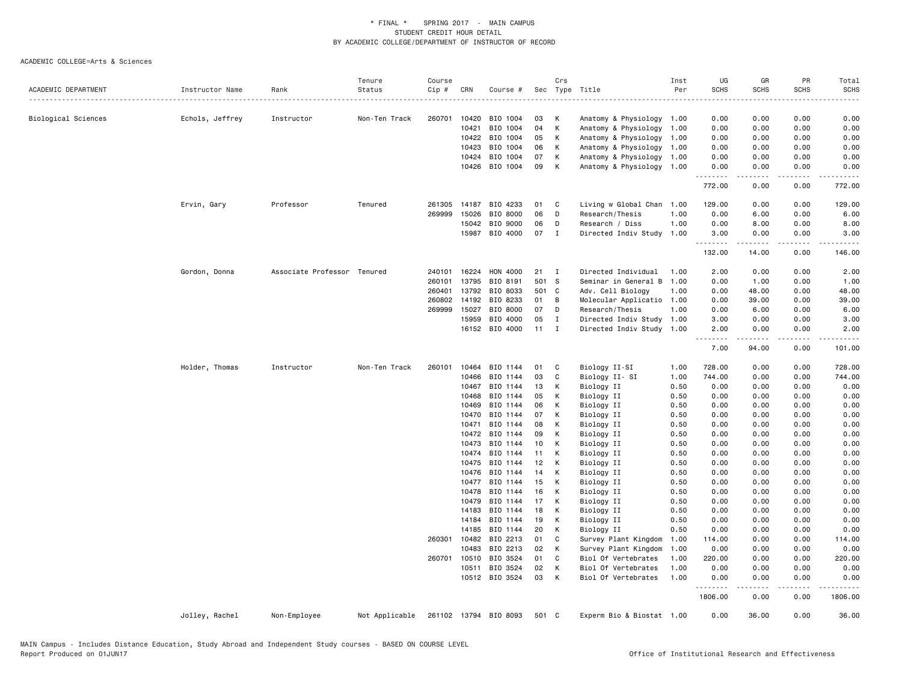|                     |                 |                             | Tenure         | Course       |       |                       |       | Crs          |                                             | Inst         | UG                        | GR                   | PR           | Total               |
|---------------------|-----------------|-----------------------------|----------------|--------------|-------|-----------------------|-------|--------------|---------------------------------------------|--------------|---------------------------|----------------------|--------------|---------------------|
| ACADEMIC DEPARTMENT | Instructor Name | Rank                        | Status         | Cip #        | CRN   | Course #              |       |              | Sec Type Title                              | Per          | <b>SCHS</b>               | <b>SCHS</b>          | SCHS         | <b>SCHS</b>         |
|                     |                 |                             |                |              |       |                       |       |              |                                             |              |                           |                      |              |                     |
| Biological Sciences | Echols, Jeffrey | Instructor                  | Non-Ten Track  | 260701       | 10420 | BIO 1004              | 03    | к            | Anatomy & Physiology                        | 1.00         | 0.00                      | 0.00                 | 0.00         | 0.00                |
|                     |                 |                             |                |              | 10421 | BIO 1004              | 04    | К            | Anatomy & Physiology                        | 1.00         | 0.00                      | 0.00                 | 0.00         | 0.00                |
|                     |                 |                             |                |              | 10422 | BIO 1004              | 05    | К            | Anatomy & Physiology                        | 1.00         | 0.00                      | 0.00                 | 0.00         | 0.00                |
|                     |                 |                             |                |              | 10423 | BIO 1004              | 06    | К            | Anatomy & Physiology                        | 1.00         | 0.00                      | 0.00                 | 0.00         | 0.00                |
|                     |                 |                             |                |              | 10424 | BIO 1004              | 07    | K            | Anatomy & Physiology 1.00                   |              | 0.00                      | 0.00                 | 0.00         | 0.00                |
|                     |                 |                             |                |              | 10426 | BIO 1004              | 09    | К            | Anatomy & Physiology                        | 1.00         | 0.00                      | 0.00                 | 0.00         | 0.00                |
|                     |                 |                             |                |              |       |                       |       |              |                                             |              | 772.00                    | 0.00                 | 0.00         | 772.00              |
|                     |                 |                             |                |              |       |                       |       |              |                                             |              |                           |                      |              |                     |
|                     | Ervin, Gary     | Professor                   | Tenured        | 261305       | 14187 | BIO 4233              | 01    | C            | Living w Global Chan                        | 1.00         | 129.00                    | 0.00                 | 0.00         | 129.00              |
|                     |                 |                             |                | 269999       | 15026 | BIO 8000              | 06    | D            | Research/Thesis                             | 1.00         | 0.00                      | 6.00                 | 0.00         | 6.00                |
|                     |                 |                             |                |              | 15042 | BIO 9000              | 06    | D            | Research / Diss                             | 1.00         | 0.00                      | 8.00                 | 0.00         | 8.00                |
|                     |                 |                             |                |              | 15987 | BIO 4000              | 07    | $\mathbf I$  | Directed Indiv Study 1.00                   |              | 3.00<br>.                 | 0.00<br>.            | 0.00<br>.    | 3.00<br>$- - - - -$ |
|                     |                 |                             |                |              |       |                       |       |              |                                             |              | 132.00                    | 14.00                | 0.00         | 146.00              |
|                     | Gordon, Donna   | Associate Professor Tenured |                | 240101       | 16224 | <b>HON 4000</b>       | 21    | $\mathbf{I}$ | Directed Individual                         | 1.00         | 2.00                      | 0.00                 | 0.00         | 2.00                |
|                     |                 |                             |                | 260101       | 13795 | BIO 8191              | 501 S |              | Seminar in General B                        | 1.00         | 0.00                      | 1.00                 | 0.00         | 1.00                |
|                     |                 |                             |                | 260401       | 13792 | BIO 8033              | 501 C |              | Adv. Cell Biology                           | 1.00         | 0.00                      | 48.00                | 0.00         | 48.00               |
|                     |                 |                             |                | 260802       | 14192 | BIO 8233              | 01    | B            | Molecular Applicatio 1.00                   |              | 0.00                      | 39.00                | 0.00         | 39.00               |
|                     |                 |                             |                | 269999       | 15027 | BIO 8000              | 07    | D            | Research/Thesis                             | 1.00         | 0.00                      | 6.00                 | 0.00         | 6.00                |
|                     |                 |                             |                |              | 15959 | BIO 4000              | 05    | $\mathbf{I}$ | Directed Indiv Study                        | 1.00         | 3.00                      | 0.00                 | 0.00         | 3.00                |
|                     |                 |                             |                |              |       | 16152 BIO 4000        | 11    | $\mathbf{I}$ | Directed Indiv Study 1.00                   |              | 2.00                      | 0.00                 | 0.00         | 2.00                |
|                     |                 |                             |                |              |       |                       |       |              |                                             |              | <u>.</u><br>7.00          | $- - - - -$<br>94.00 | .<br>0.00    | .<br>101.00         |
|                     | Holder, Thomas  | Instructor                  | Non-Ten Track  | 260101       | 10464 | BIO 1144              | 01    | C            | Biology II-SI                               | 1.00         | 728.00                    | 0.00                 | 0.00         | 728.00              |
|                     |                 |                             |                |              | 10466 | BIO 1144              | 03    | C            | Biology II- SI                              | 1.00         | 744.00                    | 0.00                 | 0.00         | 744.00              |
|                     |                 |                             |                |              | 10467 | BIO 1144              | 13    | K            | Biology II                                  | 0.50         | 0.00                      | 0.00                 | 0.00         | 0.00                |
|                     |                 |                             |                |              | 10468 | BIO 1144              | 05    | К            | Biology II                                  | 0.50         | 0.00                      | 0.00                 | 0.00         | 0.00                |
|                     |                 |                             |                |              | 10469 | BIO 1144              | 06    | к            | Biology II                                  | 0.50         | 0.00                      | 0.00                 | 0.00         | 0.00                |
|                     |                 |                             |                |              | 10470 | BIO 1144              | 07    | К            | Biology II                                  | 0.50         | 0.00                      | 0.00                 | 0.00         | 0.00                |
|                     |                 |                             |                |              | 10471 | BIO 1144              | 08    | K            | Biology II                                  | 0.50         | 0.00                      | 0.00                 | 0.00         | 0.00                |
|                     |                 |                             |                |              | 10472 | BIO 1144              | 09    | к            | Biology II                                  | 0.50         | 0.00                      | 0.00                 | 0.00         | 0.00                |
|                     |                 |                             |                |              | 10473 | BIO 1144              | 10    | K            | Biology II                                  | 0.50         | 0.00                      | 0.00                 | 0.00         | 0.00                |
|                     |                 |                             |                |              | 10474 | BIO 1144              | 11    | К            | Biology II                                  | 0.50         | 0.00                      | 0.00                 | 0.00         | 0.00                |
|                     |                 |                             |                |              | 10475 | BIO 1144              | 12    | К            | Biology II                                  | 0.50         | 0.00                      | 0.00                 | 0.00         | 0.00                |
|                     |                 |                             |                |              | 10476 | BIO 1144              | 14    | K            | Biology II                                  | 0.50         | 0.00                      | 0.00                 | 0.00         | 0.00                |
|                     |                 |                             |                |              | 10477 | BIO 1144              | 15    | К            | Biology II                                  | 0.50         | 0.00                      | 0.00                 | 0.00         | 0.00                |
|                     |                 |                             |                |              | 10478 | BIO 1144              | 16    | К            | Biology II                                  | 0.50         | 0.00                      | 0.00                 | 0.00         | 0.00                |
|                     |                 |                             |                |              | 10479 | BIO 1144              | 17    | к            | Biology II                                  | 0.50         | 0.00                      | 0.00                 | 0.00         | 0.00                |
|                     |                 |                             |                |              | 14183 | BIO 1144              | 18    | K            | Biology II                                  | 0.50         | 0.00                      | 0.00                 | 0.00         | 0.00                |
|                     |                 |                             |                |              | 14184 | BIO 1144              | 19    | К            | Biology II                                  | 0.50         | 0.00                      | 0.00                 | 0.00         | 0.00                |
|                     |                 |                             |                |              | 14185 | BIO 1144              | 20    | К            | Biology II                                  | 0.50         | 0.00                      | 0.00                 | 0.00         | 0.00                |
|                     |                 |                             |                | 260301 10482 |       | BIO 2213              | 01    | C            | Survey Plant Kingdom                        | 1.00         | 114.00                    | 0.00                 | 0.00         | 114.00              |
|                     |                 |                             |                |              | 10483 | BIO 2213              | 02    | К            |                                             | 1.00         | 0.00                      | 0.00                 | 0.00         | 0.00                |
|                     |                 |                             |                | 260701       | 10510 | BIO 3524              | 01    | C            | Survey Plant Kingdom<br>Biol Of Vertebrates | 1.00         | 220.00                    | 0.00                 | 0.00         | 220.00              |
|                     |                 |                             |                |              |       | BIO 3524              | 02    | К            |                                             |              |                           |                      |              | 0.00                |
|                     |                 |                             |                |              | 10511 | 10512 BIO 3524        | 03    | К            | Biol Of Vertebrates<br>Biol Of Vertebrates  | 1.00<br>1.00 | 0.00<br>0.00              | 0.00<br>0.00         | 0.00<br>0.00 | 0.00                |
|                     |                 |                             |                |              |       |                       |       |              |                                             |              | $\sim$ $\sim$ $\sim$<br>. | -----                | د د د د      |                     |
|                     |                 |                             |                |              |       |                       |       |              |                                             |              | 1806.00                   | 0.00                 | 0.00         | 1806.00             |
|                     | Jolley, Rachel  | Non-Employee                | Not Applicable |              |       | 261102 13794 BIO 8093 | 501 C |              | Experm Bio & Biostat 1.00                   |              | 0.00                      | 36.00                | 0.00         | 36.00               |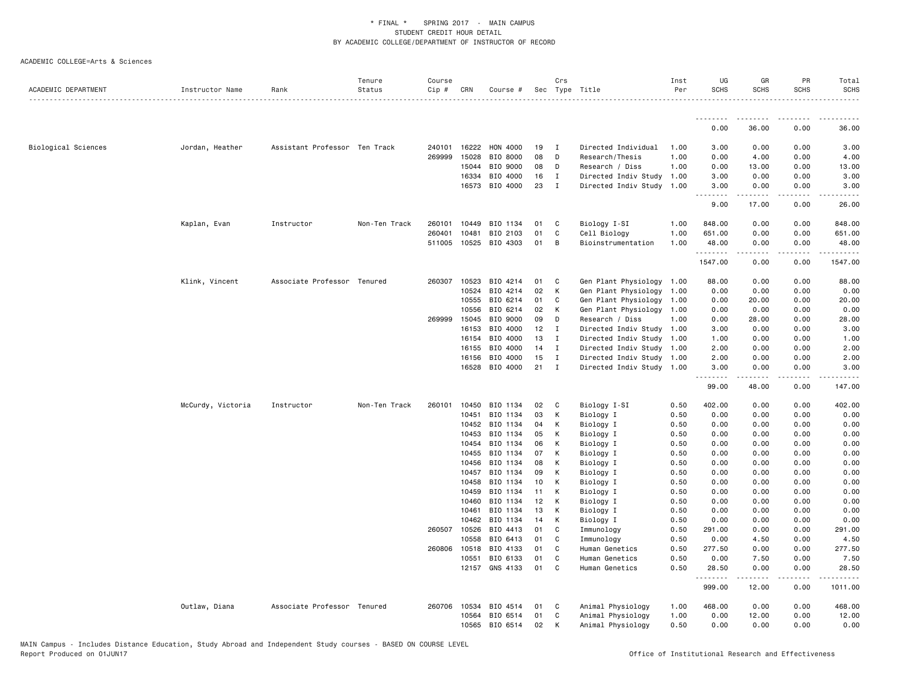|                     |                   |                               | Tenure        | Course |                       |                       |          | Crs          |                           | Inst         | UG<br><b>SCHS</b> | GR                    | PR<br><b>SCHS</b>  | Total<br><b>SCHS</b>  |
|---------------------|-------------------|-------------------------------|---------------|--------|-----------------------|-----------------------|----------|--------------|---------------------------|--------------|-------------------|-----------------------|--------------------|-----------------------|
| ACADEMIC DEPARTMENT | Instructor Name   | Rank                          | Status        | Cip #  | CRN                   | Course #              |          |              | Sec Type Title            | Per          |                   | <b>SCHS</b>           |                    |                       |
|                     |                   |                               |               |        |                       |                       |          |              |                           |              | .                 | <b></b>               | ---------          | .                     |
|                     |                   |                               |               |        |                       |                       |          |              |                           |              | 0.00              | 36.00                 | 0.00               | 36.00                 |
| Biological Sciences | Jordan, Heather   | Assistant Professor Ten Track |               | 240101 | 16222                 | HON 4000              | 19       | $\mathbf{I}$ | Directed Individual       | 1.00         | 3.00              | 0.00                  | 0.00               | 3.00                  |
|                     |                   |                               |               | 269999 | 15028                 | BIO 8000              | 08       | D            | Research/Thesis           | 1.00         | 0.00              | 4.00                  | 0.00               | 4.00                  |
|                     |                   |                               |               |        | 15044                 | BIO 9000              | 08       | D            | Research / Diss           | 1.00         | 0.00              | 13.00                 | 0.00               | 13.00                 |
|                     |                   |                               |               |        | 16334                 | BIO 4000              | 16       | $\mathbf{I}$ | Directed Indiv Study      | 1.00         | 3.00              | 0.00                  | 0.00               | 3.00                  |
|                     |                   |                               |               |        |                       | 16573 BIO 4000        | 23       | $\mathbf{I}$ | Directed Indiv Study 1.00 |              | 3.00<br><u>.</u>  | 0.00<br>.             | 0.00<br>.          | 3.00<br>.             |
|                     |                   |                               |               |        |                       |                       |          |              |                           |              | 9.00              | 17.00                 | 0.00               | 26.00                 |
|                     | Kaplan, Evan      | Instructor                    | Non-Ten Track | 260101 | 10449                 | BIO 1134              | 01       | C            | Biology I-SI              | 1.00         | 848.00            | 0.00                  | 0.00               | 848.00                |
|                     |                   |                               |               | 260401 | 10481                 | BIO 2103              | 01       | C            | Cell Biology              | 1.00         | 651.00            | 0.00                  | 0.00               | 651.00                |
|                     |                   |                               |               |        |                       | 511005 10525 BIO 4303 | 01       | B            | Bioinstrumentation        | 1.00         | 48.00<br>.        | 0.00<br>.             | 0.00<br>.          | 48.00<br>. <u>.</u> . |
|                     |                   |                               |               |        |                       |                       |          |              |                           |              | 1547.00           | 0.00                  | 0.00               | 1547.00               |
|                     | Klink, Vincent    | Associate Professor Tenured   |               | 260307 | 10523                 | BIO 4214              | 01       | C            | Gen Plant Physiology 1.00 |              | 88.00             | 0.00                  | 0.00               | 88.00                 |
|                     |                   |                               |               |        | 10524                 | BIO 4214              | 02       | K            | Gen Plant Physiology      | 1.00         | 0.00              | 0.00                  | 0.00               | 0.00                  |
|                     |                   |                               |               |        | 10555                 | BIO 6214              | 01       | C            | Gen Plant Physiology 1.00 |              | 0.00              | 20.00                 | 0.00               | 20.00                 |
|                     |                   |                               |               |        | 10556                 | BIO 6214              | 02       | K            | Gen Plant Physiology 1.00 |              | 0.00              | 0.00                  | 0.00               | 0.00                  |
|                     |                   |                               |               |        | 269999 15045          | BIO 9000              | 09       | D            | Research / Diss           | 1.00         | 0.00              | 28.00                 | 0.00               | 28.00                 |
|                     |                   |                               |               |        | 16153                 | BIO 4000              | 12       | $\mathbf I$  | Directed Indiv Study      | 1.00         | 3.00              | 0.00                  | 0.00               | 3.00                  |
|                     |                   |                               |               |        | 16154                 | BIO 4000              | 13       | $\mathbf I$  | Directed Indiv Study 1.00 |              | 1.00              | 0.00                  | 0.00               | 1.00                  |
|                     |                   |                               |               |        | 16155                 | BIO 4000              | 14       | $\mathbf{I}$ | Directed Indiv Study 1.00 |              | 2.00              | 0.00                  | 0.00               | 2.00                  |
|                     |                   |                               |               |        | 16156                 | BIO 4000              | 15       | $\mathbf I$  | Directed Indiv Study 1.00 |              | 2.00              | 0.00                  | 0.00               | 2.00                  |
|                     |                   |                               |               |        |                       | 16528 BIO 4000        | 21       | $\mathbf I$  | Directed Indiv Study 1.00 |              | 3.00<br>.         | 0.00<br>$\frac{1}{2}$ | 0.00<br>.          | 3.00<br>-----         |
|                     |                   |                               |               |        |                       |                       |          |              |                           |              | 99.00             | 48.00                 | 0.00               | 147.00                |
|                     | McCurdy, Victoria | Instructor                    | Non-Ten Track | 260101 | 10450                 | BIO 1134              | 02       | $\mathbf{C}$ | Biology I-SI              | 0.50         | 402.00            | 0.00                  | 0.00               | 402.00                |
|                     |                   |                               |               |        | 10451                 | BIO 1134              | 03       | K            | Biology I                 | 0.50         | 0.00              | 0.00                  | 0.00               | 0.00                  |
|                     |                   |                               |               |        | 10452                 | BIO 1134              | 04       | K            | Biology I                 | 0.50         | 0.00              | 0.00                  | 0.00               | 0.00                  |
|                     |                   |                               |               |        | 10453                 | BIO 1134              | 05       | K            | Biology I                 | 0.50         | 0.00              | 0.00                  | 0.00               | 0.00                  |
|                     |                   |                               |               |        | 10454                 | BIO 1134              | 06       | K            | Biology I                 | 0.50         | 0.00              | 0.00                  | 0.00               | 0.00                  |
|                     |                   |                               |               |        | 10455                 | BIO 1134              | 07       | K            | Biology I                 | 0.50         | 0.00              | 0.00                  | 0.00               | 0.00                  |
|                     |                   |                               |               |        | 10456                 | BIO 1134              | 08       | K            | Biology I                 | 0.50         | 0.00              | 0.00                  | 0.00               | 0.00                  |
|                     |                   |                               |               |        | 10457                 | BIO 1134              | 09       | K            | Biology I                 | 0.50         | 0.00              | 0.00                  | 0.00               | 0.00                  |
|                     |                   |                               |               |        | 10458                 | BIO 1134              | 10       | K            | Biology I                 | 0.50         | 0.00              | 0.00                  | 0.00               | 0.00                  |
|                     |                   |                               |               |        | 10459                 | BIO 1134              | 11       | K            | Biology I                 | 0.50         | 0.00              | 0.00                  | 0.00               | 0.00                  |
|                     |                   |                               |               |        | 10460                 | BIO 1134              | 12       | K            | Biology I                 | 0.50         | 0.00              | 0.00                  | 0.00               | 0.00                  |
|                     |                   |                               |               |        | 10461                 | BIO 1134              | 13       | K            | Biology I                 | 0.50         | 0.00              | 0.00                  | 0.00               | 0.00                  |
|                     |                   |                               |               |        | 10462                 | BIO 1134              | 14<br>01 | К<br>C       | Biology I                 | 0.50         | 0.00              | 0.00                  | 0.00               | 0.00                  |
|                     |                   |                               |               |        | 260507 10526<br>10558 | BIO 4413<br>BIO 6413  | 01       | C            | Immunology<br>Immunology  | 0.50<br>0.50 | 291.00<br>0.00    | 0.00<br>4.50          | 0.00<br>0.00       | 291.00<br>4.50        |
|                     |                   |                               |               | 260806 | 10518                 | BIO 4133              | 01       | C            | Human Genetics            | 0.50         | 277.50            | 0.00                  | 0.00               | 277.50                |
|                     |                   |                               |               |        | 10551                 | BIO 6133              | 01       | C            | Human Genetics            | 0.50         | 0.00              | 7.50                  | 0.00               | 7.50                  |
|                     |                   |                               |               |        |                       | 12157 GNS 4133        | 01       | C            | Human Genetics            | 0.50         | 28.50             | 0.00                  | 0.00               | 28.50                 |
|                     |                   |                               |               |        |                       |                       |          |              |                           |              | .<br>999.00       | .<br>12.00            | . <b>.</b><br>0.00 | .<br>1011.00          |
|                     | Outlaw, Diana     | Associate Professor Tenured   |               | 260706 | 10534                 | BIO 4514              | 01       | C            | Animal Physiology         | 1.00         | 468.00            | 0.00                  | 0.00               | 468.00                |
|                     |                   |                               |               |        | 10564                 | BIO 6514              | 01       | C            | Animal Physiology         | 1.00         | 0.00              | 12.00                 | 0.00               | 12.00                 |
|                     |                   |                               |               |        | 10565                 | BIO 6514              | 02       | K            | Animal Physiology         | 0.50         | 0.00              | 0.00                  | 0.00               | 0.00                  |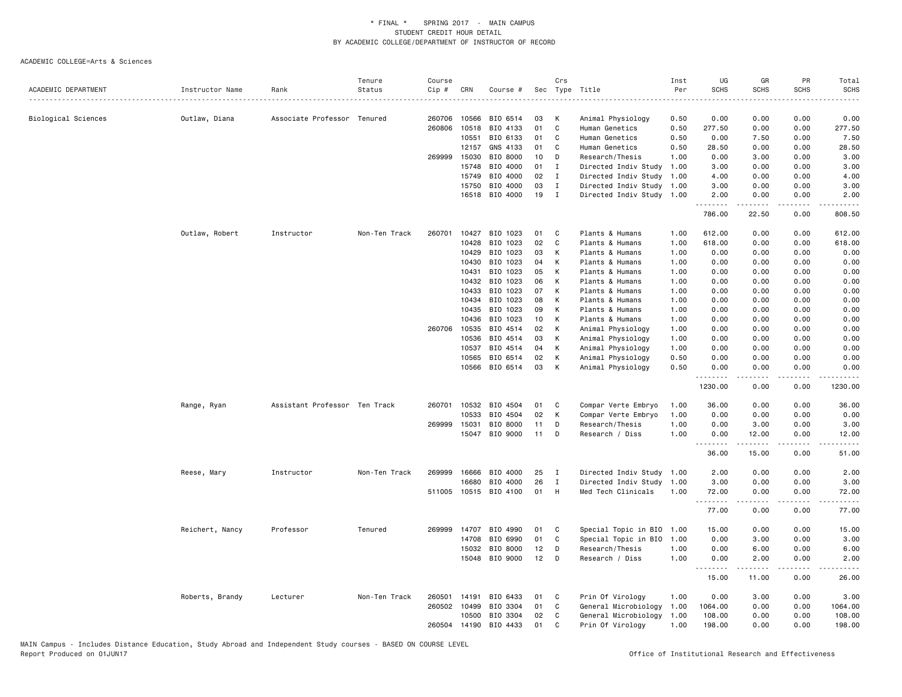|                     |                 |                               | Tenure        | Course |              |                       |    | Crs          |                           | Inst | UG                 | GR                                                                                                                                                            | PR              | Total            |
|---------------------|-----------------|-------------------------------|---------------|--------|--------------|-----------------------|----|--------------|---------------------------|------|--------------------|---------------------------------------------------------------------------------------------------------------------------------------------------------------|-----------------|------------------|
| ACADEMIC DEPARTMENT | Instructor Name | Rank                          | Status        | Cip #  | CRN          | Course #              |    |              | Sec Type Title            | Per  | <b>SCHS</b>        | <b>SCHS</b>                                                                                                                                                   | <b>SCHS</b>     | <b>SCHS</b>      |
| Biological Sciences | Outlaw, Diana   | Associate Professor Tenured   |               | 260706 | 10566        | BIO 6514              | 03 | К            | Animal Physiology         | 0.50 | 0.00               | 0.00                                                                                                                                                          | 0.00            | 0.00             |
|                     |                 |                               |               | 260806 | 10518        | BIO 4133              | 01 | C            | Human Genetics            | 0.50 | 277.50             | 0.00                                                                                                                                                          | 0.00            | 277.50           |
|                     |                 |                               |               |        | 10551        | BIO 6133              | 01 | C            | Human Genetics            | 0.50 | 0.00               | 7.50                                                                                                                                                          | 0.00            | 7.50             |
|                     |                 |                               |               |        | 12157        | GNS 4133              | 01 | C            | Human Genetics            | 0.50 | 28.50              | 0.00                                                                                                                                                          | 0.00            | 28.50            |
|                     |                 |                               |               | 269999 | 15030        | BIO 8000              | 10 | D            | Research/Thesis           | 1.00 | 0.00               | 3.00                                                                                                                                                          | 0.00            | 3.00             |
|                     |                 |                               |               |        | 15748        | BIO 4000              | 01 | Ι.           | Directed Indiv Study      | 1.00 | 3.00               | 0.00                                                                                                                                                          | 0.00            | 3.00             |
|                     |                 |                               |               |        | 15749        | BIO 4000              | 02 | $\mathbf I$  | Directed Indiv Study      | 1.00 | 4.00               | 0.00                                                                                                                                                          | 0.00            | 4.00             |
|                     |                 |                               |               |        | 15750        | BIO 4000              | 03 | $\mathbf{I}$ | Directed Indiv Study      | 1.00 | 3.00               | 0.00                                                                                                                                                          | 0.00            | 3.00             |
|                     |                 |                               |               |        |              | 16518 BIO 4000        | 19 | $\mathbf{I}$ | Directed Indiv Study 1.00 |      | 2.00               | 0.00                                                                                                                                                          | 0.00            | 2.00             |
|                     |                 |                               |               |        |              |                       |    |              |                           |      | <u>.</u><br>786.00 | $\frac{1}{2} \left( \frac{1}{2} \right) \left( \frac{1}{2} \right) \left( \frac{1}{2} \right) \left( \frac{1}{2} \right) \left( \frac{1}{2} \right)$<br>22.50 | د د د د<br>0.00 | .<br>808.50      |
|                     | Outlaw, Robert  | Instructor                    | Non-Ten Track | 260701 | 10427        | BIO 1023              | 01 | C            | Plants & Humans           | 1.00 | 612.00             | 0.00                                                                                                                                                          | 0.00            | 612.00           |
|                     |                 |                               |               |        | 10428        | BIO 1023              | 02 | C            | Plants & Humans           | 1.00 | 618.00             | 0.00                                                                                                                                                          | 0.00            | 618.00           |
|                     |                 |                               |               |        | 10429        | BIO 1023              | 03 | К            | Plants & Humans           | 1.00 | 0.00               | 0.00                                                                                                                                                          | 0.00            | 0.00             |
|                     |                 |                               |               |        | 10430        | BIO 1023              | 04 | K            | Plants & Humans           | 1.00 | 0.00               | 0.00                                                                                                                                                          | 0.00            | 0.00             |
|                     |                 |                               |               |        | 10431        | BIO 1023              | 05 | К            | Plants & Humans           | 1.00 | 0.00               | 0.00                                                                                                                                                          | 0.00            | 0.00             |
|                     |                 |                               |               |        | 10432        | BIO 1023              | 06 | К            | Plants & Humans           | 1.00 | 0.00               | 0.00                                                                                                                                                          | 0.00            | 0.00             |
|                     |                 |                               |               |        | 10433        | BIO 1023              | 07 | К            | Plants & Humans           | 1.00 | 0.00               | 0.00                                                                                                                                                          | 0.00            | 0.00             |
|                     |                 |                               |               |        | 10434        | BIO 1023              | 08 | K            | Plants & Humans           | 1.00 | 0.00               | 0.00                                                                                                                                                          | 0.00            | 0.00             |
|                     |                 |                               |               |        | 10435        | BIO 1023              | 09 | K            | Plants & Humans           | 1.00 | 0.00               | 0.00                                                                                                                                                          | 0.00            | 0.00             |
|                     |                 |                               |               |        | 10436        | BIO 1023              | 10 | К            | Plants & Humans           | 1.00 | 0.00               | 0.00                                                                                                                                                          | 0.00            | 0.00             |
|                     |                 |                               |               | 260706 | 10535        | BIO 4514              | 02 | К            | Animal Physiology         | 1.00 | 0.00               | 0.00                                                                                                                                                          | 0.00            | 0.00             |
|                     |                 |                               |               |        | 10536        | BIO 4514              | 03 | К            | Animal Physiology         | 1.00 | 0.00               | 0.00                                                                                                                                                          | 0.00            | 0.00             |
|                     |                 |                               |               |        | 10537        | BIO 4514              | 04 | К            | Animal Physiology         | 1.00 | 0.00               | 0.00                                                                                                                                                          | 0.00            | 0.00             |
|                     |                 |                               |               |        | 10565        | BIO 6514              | 02 | К            | Animal Physiology         | 0.50 | 0.00               | 0.00                                                                                                                                                          | 0.00            | 0.00             |
|                     |                 |                               |               |        |              | 10566 BIO 6514        | 03 | К            | Animal Physiology         | 0.50 | 0.00<br>--------   | 0.00<br>.                                                                                                                                                     | 0.00<br>.       | 0.00<br>.        |
|                     |                 |                               |               |        |              |                       |    |              |                           |      | 1230.00            | 0.00                                                                                                                                                          | 0.00            | 1230.00          |
|                     | Range, Ryan     | Assistant Professor Ten Track |               | 260701 | 10532        | BIO 4504              | 01 | C            | Compar Verte Embryo       | 1.00 | 36.00              | 0.00                                                                                                                                                          | 0.00            | 36.00            |
|                     |                 |                               |               |        | 10533        | BIO 4504              | 02 | К            | Compar Verte Embryo       | 1.00 | 0.00               | 0.00                                                                                                                                                          | 0.00            | 0.00             |
|                     |                 |                               |               | 269999 | 15031        | BIO 8000              | 11 | D            | Research/Thesis           | 1.00 | 0.00               | 3.00                                                                                                                                                          | 0.00            | 3.00             |
|                     |                 |                               |               |        |              | 15047 BIO 9000        | 11 | D            | Research / Diss           | 1.00 | 0.00<br>.          | 12.00<br>.                                                                                                                                                    | 0.00<br>.       | 12.00<br>$    -$ |
|                     |                 |                               |               |        |              |                       |    |              |                           |      | 36.00              | 15.00                                                                                                                                                         | 0.00            | 51.00            |
|                     | Reese, Mary     | Instructor                    | Non-Ten Track | 269999 | 16666        | BIO 4000              | 25 | $\mathbf{I}$ | Directed Indiv Study      | 1.00 | 2.00               | 0.00                                                                                                                                                          | 0.00            | 2.00             |
|                     |                 |                               |               |        | 16680        | BIO 4000              | 26 | I            | Directed Indiv Study      | 1.00 | 3.00               | 0.00                                                                                                                                                          | 0.00            | 3.00             |
|                     |                 |                               |               |        |              | 511005 10515 BIO 4100 | 01 | H            | Med Tech Clinicals        | 1.00 | 72.00              | 0.00<br>.                                                                                                                                                     | 0.00<br>.       | 72.00<br>.       |
|                     |                 |                               |               |        |              |                       |    |              |                           |      | 77.00              | 0.00                                                                                                                                                          | 0.00            | 77.00            |
|                     | Reichert, Nancy | Professor                     | Tenured       | 269999 | 14707        | BIO 4990              | 01 | C            | Special Topic in BIO      | 1.00 | 15.00              | 0.00                                                                                                                                                          | 0.00            | 15.00            |
|                     |                 |                               |               |        | 14708        | BIO 6990              | 01 | C            | Special Topic in BIO      | 1,00 | 0.00               | 3.00                                                                                                                                                          | 0.00            | 3.00             |
|                     |                 |                               |               |        | 15032        | BIO 8000              | 12 | D            | Research/Thesis           | 1.00 | 0.00               | 6.00                                                                                                                                                          | 0.00            | 6.00             |
|                     |                 |                               |               |        |              | 15048 BIO 9000        | 12 | D            | Research / Diss           | 1.00 | 0.00<br><b></b>    | 2.00<br>.                                                                                                                                                     | 0.00<br>.       | 2.00<br>.        |
|                     |                 |                               |               |        |              |                       |    |              |                           |      | 15.00              | 11.00                                                                                                                                                         | 0.00            | 26.00            |
|                     | Roberts, Brandy | Lecturer                      | Non-Ten Track | 260501 | 14191        | BIO 6433              | 01 | C            | Prin Of Virology          | 1.00 | 0.00               | 3.00                                                                                                                                                          | 0.00            | 3.00             |
|                     |                 |                               |               | 260502 | 10499        | BIO 3304              | 01 | C            | General Microbiology      | 1.00 | 1064.00            | 0.00                                                                                                                                                          | 0.00            | 1064.00          |
|                     |                 |                               |               |        | 10500        | BIO 3304              | 02 | C            | General Microbiology      | 1.00 | 108.00             | 0.00                                                                                                                                                          | 0.00            | 108.00           |
|                     |                 |                               |               |        | 260504 14190 | BIO 4433              | 01 | $\mathsf{C}$ | Prin Of Virology          | 1.00 | 198.00             | 0.00                                                                                                                                                          | 0.00            | 198.00           |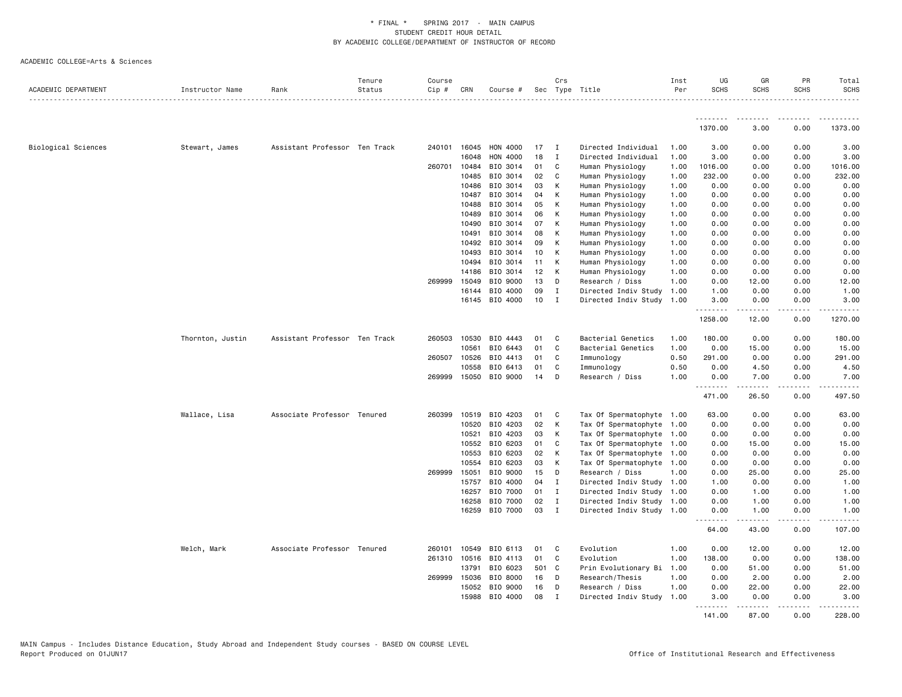|                     |                  |                               | Tenure | Course |              |                |       | Crs          |                           | Inst | UG                    | GR                                                                                                                                                           | PR          | Total       |
|---------------------|------------------|-------------------------------|--------|--------|--------------|----------------|-------|--------------|---------------------------|------|-----------------------|--------------------------------------------------------------------------------------------------------------------------------------------------------------|-------------|-------------|
| ACADEMIC DEPARTMENT | Instructor Name  | Rank                          | Status | Cip#   | CRN          | Course #       |       |              | Sec Type Title            | Per  | <b>SCHS</b>           | <b>SCHS</b>                                                                                                                                                  | <b>SCHS</b> | <b>SCHS</b> |
|                     |                  |                               |        |        |              |                |       |              |                           |      |                       |                                                                                                                                                              |             |             |
|                     |                  |                               |        |        |              |                |       |              |                           |      | <u>.</u> .<br>1370.00 | .<br>3.00                                                                                                                                                    | .<br>0.00   | 1373.00     |
| Biological Sciences | Stewart, James   | Assistant Professor Ten Track |        |        | 240101 16045 | HON 4000       | 17    | $\mathbf{I}$ | Directed Individual       | 1.00 | 3.00                  | 0.00                                                                                                                                                         | 0.00        | 3.00        |
|                     |                  |                               |        |        | 16048        | HON 4000       | 18    | $\mathbf I$  | Directed Individual       | 1.00 | 3.00                  | 0.00                                                                                                                                                         | 0.00        | 3.00        |
|                     |                  |                               |        | 260701 | 10484        | BIO 3014       | 01    | C            | Human Physiology          | 1.00 | 1016.00               | 0.00                                                                                                                                                         | 0.00        | 1016.00     |
|                     |                  |                               |        |        | 10485        | BIO 3014       | 02    | C            | Human Physiology          | 1.00 | 232.00                | 0.00                                                                                                                                                         | 0.00        | 232.00      |
|                     |                  |                               |        |        | 10486        | BIO 3014       | 03    | К            | Human Physiology          | 1.00 | 0.00                  | 0.00                                                                                                                                                         | 0.00        | 0.00        |
|                     |                  |                               |        |        | 10487        | BIO 3014       | 04    | К            | Human Physiology          | 1.00 | 0.00                  | 0.00                                                                                                                                                         | 0.00        | 0.00        |
|                     |                  |                               |        |        | 10488        | BIO 3014       | 05    | К            | Human Physiology          | 1.00 | 0.00                  | 0.00                                                                                                                                                         | 0.00        | 0.00        |
|                     |                  |                               |        |        | 10489        | BIO 3014       | 06    | К            | Human Physiology          | 1.00 | 0.00                  | 0.00                                                                                                                                                         | 0.00        | 0.00        |
|                     |                  |                               |        |        | 10490        | BIO 3014       | 07    | К            | Human Physiology          | 1.00 | 0.00                  | 0.00                                                                                                                                                         | 0.00        | 0.00        |
|                     |                  |                               |        |        | 10491        | BIO 3014       | 08    | К            | Human Physiology          | 1.00 | 0.00                  | 0.00                                                                                                                                                         | 0.00        | 0.00        |
|                     |                  |                               |        |        | 10492        | BIO 3014       | 09    | К            | Human Physiology          | 1.00 | 0.00                  | 0.00                                                                                                                                                         | 0.00        | 0.00        |
|                     |                  |                               |        |        | 10493        | BIO 3014       | 10    | K            | Human Physiology          | 1.00 | 0.00                  | 0.00                                                                                                                                                         | 0.00        | 0.00        |
|                     |                  |                               |        |        | 10494        | BIO 3014       | 11    | К            | Human Physiology          | 1.00 | 0.00                  | 0.00                                                                                                                                                         | 0.00        | 0.00        |
|                     |                  |                               |        |        | 14186        | BIO 3014       | 12    | К            | Human Physiology          | 1.00 | 0.00                  | 0.00                                                                                                                                                         | 0.00        | 0.00        |
|                     |                  |                               |        | 269999 | 15049        | BIO 9000       | 13    | D            | Research / Diss           | 1.00 | 0.00                  | 12.00                                                                                                                                                        | 0.00        | 12.00       |
|                     |                  |                               |        |        | 16144        | BIO 4000       | 09    | $\mathbf{I}$ | Directed Indiv Study      | 1.00 | 1.00                  | 0.00                                                                                                                                                         | 0.00        | 1.00        |
|                     |                  |                               |        |        |              | 16145 BIO 4000 | 10    | I            | Directed Indiv Study      | 1.00 | 3.00<br>.             | 0.00                                                                                                                                                         | 0.00        | 3.00        |
|                     |                  |                               |        |        |              |                |       |              |                           |      | 1258.00               | 12.00                                                                                                                                                        | 0.00        | 1270.00     |
|                     | Thornton, Justin | Assistant Professor Ten Track |        |        | 260503 10530 | BIO 4443       | 01    | C            | Bacterial Genetics        | 1.00 | 180.00                | 0.00                                                                                                                                                         | 0.00        | 180.00      |
|                     |                  |                               |        |        | 10561        | BIO 6443       | 01    | $\mathbf{C}$ | Bacterial Genetics        | 1.00 | 0.00                  | 15.00                                                                                                                                                        | 0.00        | 15.00       |
|                     |                  |                               |        | 260507 | 10526        | BIO 4413       | 01    | C            | Immunology                | 0.50 | 291.00                | 0.00                                                                                                                                                         | 0.00        | 291.00      |
|                     |                  |                               |        |        | 10558        | BIO 6413       | 01    | C            | Immunology                | 0.50 | 0.00                  | 4.50                                                                                                                                                         | 0.00        | 4.50        |
|                     |                  |                               |        |        | 269999 15050 | BIO 9000       | 14    | D            | Research / Diss           | 1.00 | 0.00<br>.             | 7.00<br>$\frac{1}{2} \left( \frac{1}{2} \right) \left( \frac{1}{2} \right) \left( \frac{1}{2} \right) \left( \frac{1}{2} \right) \left( \frac{1}{2} \right)$ | 0.00<br>.   | 7.00<br>.   |
|                     |                  |                               |        |        |              |                |       |              |                           |      | 471.00                | 26.50                                                                                                                                                        | 0.00        | 497.50      |
|                     | Wallace, Lisa    | Associate Professor Tenured   |        | 260399 | 10519        | BIO 4203       | 01    | C            | Tax Of Spermatophyte 1.00 |      | 63.00                 | 0.00                                                                                                                                                         | 0.00        | 63.00       |
|                     |                  |                               |        |        | 10520        | BIO 4203       | 02    | К            | Tax Of Spermatophyte 1.00 |      | 0.00                  | 0.00                                                                                                                                                         | 0.00        | 0.00        |
|                     |                  |                               |        |        | 10521        | BIO 4203       | 03    | К            | Tax Of Spermatophyte 1.00 |      | 0.00                  | 0.00                                                                                                                                                         | 0.00        | 0.00        |
|                     |                  |                               |        |        | 10552        | BIO 6203       | 01    | C            | Tax Of Spermatophyte 1.00 |      | 0.00                  | 15.00                                                                                                                                                        | 0.00        | 15.00       |
|                     |                  |                               |        |        | 10553        | BIO 6203       | 02    | К            | Tax Of Spermatophyte      | 1.00 | 0.00                  | 0.00                                                                                                                                                         | 0.00        | 0.00        |
|                     |                  |                               |        |        | 10554        | BIO 6203       | 03    | K            | Tax Of Spermatophyte 1.00 |      | 0.00                  | 0.00                                                                                                                                                         | 0.00        | 0.00        |
|                     |                  |                               |        | 269999 | 15051        | BIO 9000       | 15    | D            | Research / Diss           | 1.00 | 0.00                  | 25.00                                                                                                                                                        | 0.00        | 25.00       |
|                     |                  |                               |        |        | 15757        | BIO 4000       | 04    | $\mathbf{I}$ | Directed Indiv Study      | 1.00 | 1.00                  | 0.00                                                                                                                                                         | 0.00        | 1.00        |
|                     |                  |                               |        |        | 16257        | BIO 7000       | 01    | $\mathbf{I}$ | Directed Indiv Study 1.00 |      | 0.00                  | 1.00                                                                                                                                                         | 0.00        | 1.00        |
|                     |                  |                               |        |        | 16258        | BIO 7000       | 02    | $\mathbf{I}$ | Directed Indiv Study 1.00 |      | 0.00                  | 1.00                                                                                                                                                         | 0.00        | 1.00        |
|                     |                  |                               |        |        | 16259        | BIO 7000       | 03    | I            | Directed Indiv Study      | 1.00 | 0.00<br><u>.</u>      | 1.00                                                                                                                                                         | 0.00        | 1.00        |
|                     |                  |                               |        |        |              |                |       |              |                           |      | 64.00                 | 43.00                                                                                                                                                        | 0.00        | 107.00      |
|                     | Welch, Mark      | Associate Professor Tenured   |        | 260101 | 10549        | BIO 6113       | 01    | C            | Evolution                 | 1.00 | 0.00                  | 12.00                                                                                                                                                        | 0.00        | 12.00       |
|                     |                  |                               |        |        | 261310 10516 | BIO 4113       | 01    | C            | Evolution                 | 1.00 | 138.00                | 0.00                                                                                                                                                         | 0.00        | 138.00      |
|                     |                  |                               |        |        | 13791        | BIO 6023       | 501 C |              | Prin Evolutionary Bi      | 1.00 | 0.00                  | 51.00                                                                                                                                                        | 0.00        | 51.00       |
|                     |                  |                               |        | 269999 | 15036        | BIO 8000       | 16    | D            | Research/Thesis           | 1.00 | 0.00                  | 2.00                                                                                                                                                         | 0.00        | 2.00        |
|                     |                  |                               |        |        | 15052        | BIO 9000       | 16    | D            | Research / Diss           | 1.00 | 0.00                  | 22.00                                                                                                                                                        | 0.00        | 22.00       |
|                     |                  |                               |        |        | 15988        | BIO 4000       | 08    | I            | Directed Indiv Study      | 1.00 | 3.00<br>.             | 0.00<br>.                                                                                                                                                    | 0.00<br>.   | 3.00<br>.   |
|                     |                  |                               |        |        |              |                |       |              |                           |      | 141.00                | 87.00                                                                                                                                                        | 0.00        | 228.00      |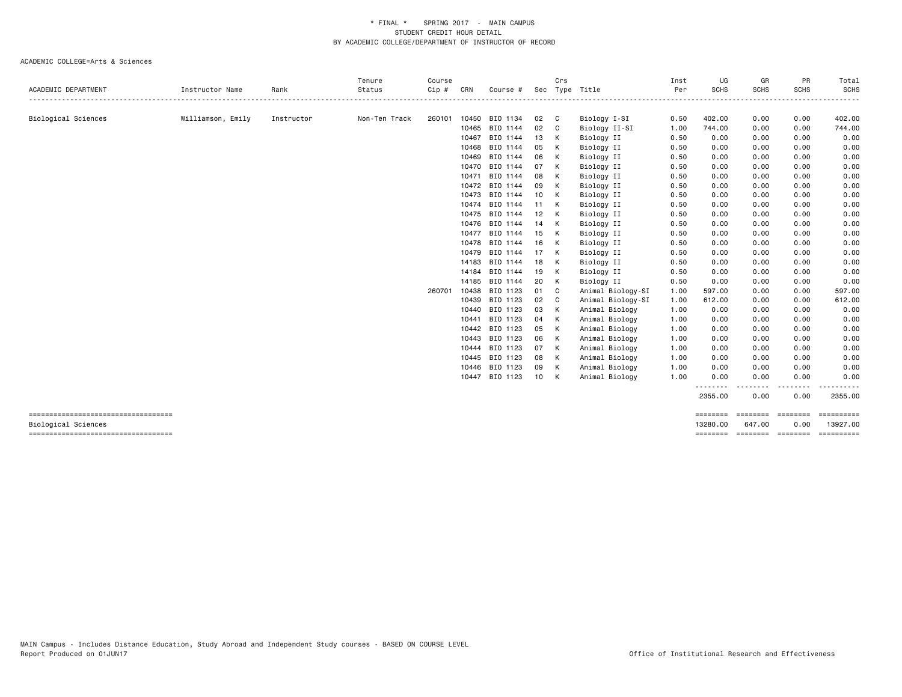|                                                             |                   |            | Tenure        | Course |       |          |    | Crs          |                   | Inst | UG                   | GR                           | PR               | Total                          |
|-------------------------------------------------------------|-------------------|------------|---------------|--------|-------|----------|----|--------------|-------------------|------|----------------------|------------------------------|------------------|--------------------------------|
| <b>ACADEMIC DEPARTMENT</b>                                  | Instructor Name   | Rank       | Status        | Cip#   | CRN   | Course # |    |              | Sec Type Title    | Per  | <b>SCHS</b>          | SCHS<br>---------            | <b>SCHS</b><br>. | <b>SCHS</b><br>$- - - - - - -$ |
| Biological Sciences                                         | Williamson, Emily | Instructor | Non-Ten Track | 260101 | 10450 | BIO 1134 | 02 | C            | Biology I-SI      | 0.50 | 402.00               | 0.00                         | 0.00             | 402.00                         |
|                                                             |                   |            |               |        | 10465 | BIO 1144 | 02 | C            | Biology II-SI     | 1.00 | 744.00               | 0.00                         | 0.00             | 744.00                         |
|                                                             |                   |            |               |        | 10467 | BIO 1144 | 13 | К            | Biology II        | 0.50 | 0.00                 | 0.00                         | 0.00             | 0.00                           |
|                                                             |                   |            |               |        | 10468 | BIO 1144 | 05 | К            | Biology II        | 0.50 | 0.00                 | 0.00                         | 0.00             | 0.00                           |
|                                                             |                   |            |               |        | 10469 | BIO 1144 | 06 | К            | Biology II        | 0.50 | 0.00                 | 0.00                         | 0.00             | 0.00                           |
|                                                             |                   |            |               |        | 10470 | BIO 1144 | 07 | К            | Biology II        | 0.50 | 0.00                 | 0.00                         | 0.00             | 0.00                           |
|                                                             |                   |            |               |        | 10471 | BIO 1144 | 08 | К            | Biology II        | 0.50 | 0.00                 | 0.00                         | 0.00             | 0.00                           |
|                                                             |                   |            |               |        | 10472 | BIO 1144 | 09 | к            | Biology II        | 0.50 | 0.00                 | 0.00                         | 0.00             | 0.00                           |
|                                                             |                   |            |               |        | 10473 | BIO 1144 | 10 | К            | Biology II        | 0.50 | 0.00                 | 0.00                         | 0.00             | 0.00                           |
|                                                             |                   |            |               |        | 10474 | BIO 1144 | 11 | К            | Biology II        | 0.50 | 0.00                 | 0.00                         | 0.00             | 0.00                           |
|                                                             |                   |            |               |        | 10475 | BIO 1144 | 12 |              | Biology II        | 0.50 | 0.00                 | 0.00                         | 0.00             | 0.00                           |
|                                                             |                   |            |               |        | 10476 | BIO 1144 | 14 | К            | Biology II        | 0.50 | 0.00                 | 0.00                         | 0.00             | 0.00                           |
|                                                             |                   |            |               |        | 10477 | BIO 1144 | 15 | К            | Biology II        | 0.50 | 0.00                 | 0.00                         | 0.00             | 0.00                           |
|                                                             |                   |            |               |        | 10478 | BIO 1144 | 16 | К            | Biology II        | 0.50 | 0.00                 | 0.00                         | 0.00             | 0.00                           |
|                                                             |                   |            |               |        | 10479 | BIO 1144 | 17 | К            | Biology II        | 0.50 | 0.00                 | 0.00                         | 0.00             | 0.00                           |
|                                                             |                   |            |               |        | 14183 | BIO 1144 | 18 | К            | Biology II        | 0.50 | 0.00                 | 0.00                         | 0.00             | 0.00                           |
|                                                             |                   |            |               |        | 14184 | BIO 1144 | 19 | К            | Biology II        | 0.50 | 0.00                 | 0.00                         | 0.00             | 0.00                           |
|                                                             |                   |            |               |        | 14185 | BIO 1144 | 20 | К            | Biology II        | 0.50 | 0.00                 | 0.00                         | 0.00             | 0.00                           |
|                                                             |                   |            |               | 260701 | 10438 | BIO 1123 | 01 | <sub>c</sub> | Animal Biology-SI | 1.00 | 597.00               | 0.00                         | 0.00             | 597.00                         |
|                                                             |                   |            |               |        | 10439 | BIO 1123 | 02 | C            | Animal Biology-SI | 1.00 | 612.00               | 0.00                         | 0.00             | 612.00                         |
|                                                             |                   |            |               |        | 10440 | BIO 1123 | 03 | К            | Animal Biology    | 1.00 | 0.00                 | 0.00                         | 0.00             | 0.00                           |
|                                                             |                   |            |               |        | 10441 | BIO 1123 | 04 | К            | Animal Biology    | 1.00 | 0.00                 | 0.00                         | 0.00             | 0.00                           |
|                                                             |                   |            |               |        | 10442 | BIO 1123 | 05 | К            | Animal Biology    | 1.00 | 0.00                 | 0.00                         | 0.00             | 0.00                           |
|                                                             |                   |            |               |        | 10443 | BIO 1123 | 06 | К            | Animal Biology    | 1.00 | 0.00                 | 0.00                         | 0.00             | 0.00                           |
|                                                             |                   |            |               |        | 10444 | BIO 1123 | 07 | К            | Animal Biology    | 1.00 | 0.00                 | 0.00                         | 0.00             | 0.00                           |
|                                                             |                   |            |               |        | 10445 | BIO 1123 | 08 | К            | Animal Biology    | 1.00 | 0.00                 | 0.00                         | 0.00             | 0.00                           |
|                                                             |                   |            |               |        | 10446 | BIO 1123 | 09 | K            | Animal Biology    | 1.00 | 0.00                 | 0.00                         | 0.00             | 0.00                           |
|                                                             |                   |            |               |        | 10447 | BIO 1123 | 10 | К            | Animal Biology    | 1.00 | 0.00                 | 0.00                         | 0.00<br>----     | 0.00                           |
|                                                             |                   |            |               |        |       |          |    |              |                   |      | 2355.00              | 0.00                         | 0.00             | 2355.00                        |
| ----------------------------------                          |                   |            |               |        |       |          |    |              |                   |      | ========             | ========                     | <b>ESSESSE</b>   | <b>SERRESSEE</b>               |
| Biological Sciences<br>------------------------------------ |                   |            |               |        |       |          |    |              |                   |      | 13280.00<br>======== | 647.00<br>--------- -------- | 0.00             | 13927.00<br>EEEEEEEE           |
|                                                             |                   |            |               |        |       |          |    |              |                   |      |                      |                              |                  |                                |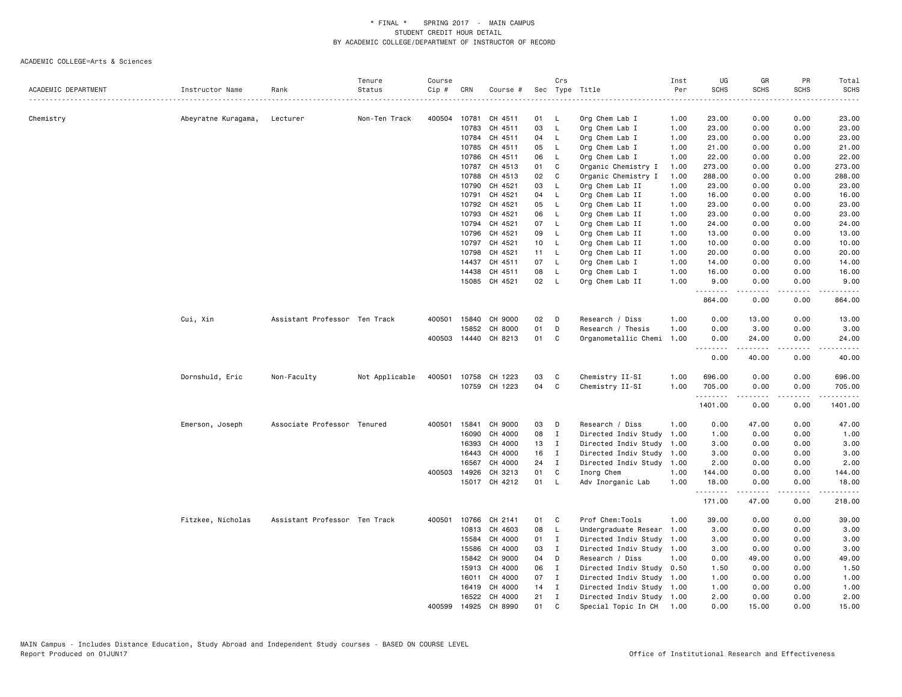|                     |                     |                               | Tenure         | Course |              |                      |                 | Crs          |                           | Inst | UG              | GR                                                                                                                                                            | PR          | Total                            |
|---------------------|---------------------|-------------------------------|----------------|--------|--------------|----------------------|-----------------|--------------|---------------------------|------|-----------------|---------------------------------------------------------------------------------------------------------------------------------------------------------------|-------------|----------------------------------|
| ACADEMIC DEPARTMENT | Instructor Name     | Rank                          | Status<br>.    | Cip #  | CRN          | Course #             |                 |              | Sec Type Title            | Per  | <b>SCHS</b>     | <b>SCHS</b>                                                                                                                                                   | <b>SCHS</b> | <b>SCHS</b><br>$\omega$ is a set |
|                     |                     |                               |                |        |              |                      |                 |              |                           |      |                 |                                                                                                                                                               |             |                                  |
| Chemistry           | Abeyratne Kuragama, | Lecturer                      | Non-Ten Track  | 400504 | 10781        | CH 4511              | 01              | L            | Org Chem Lab I            | 1.00 | 23.00           | 0.00                                                                                                                                                          | 0.00        | 23.00                            |
|                     |                     |                               |                |        | 10783        | CH 4511              | 03              | L.           | Org Chem Lab I            | 1.00 | 23.00           | 0.00                                                                                                                                                          | 0.00        | 23.00                            |
|                     |                     |                               |                |        | 10784        | CH 4511              | 04              | L            | Org Chem Lab I            | 1.00 | 23.00           | 0.00                                                                                                                                                          | 0.00        | 23.00                            |
|                     |                     |                               |                |        | 10785        | CH 4511              | 05              | L            | Org Chem Lab I            | 1.00 | 21.00           | 0.00                                                                                                                                                          | 0.00        | 21.00                            |
|                     |                     |                               |                |        | 10786        | CH 4511              | 06              | L            | Org Chem Lab I            | 1.00 | 22.00           | 0.00                                                                                                                                                          | 0.00        | 22.00                            |
|                     |                     |                               |                |        | 10787        | CH 4513              | 01              | C            | Organic Chemistry I       | 1.00 | 273.00          | 0.00                                                                                                                                                          | 0.00        | 273.00                           |
|                     |                     |                               |                |        | 10788        | CH 4513              | 02              | C            | Organic Chemistry I       | 1.00 | 288.00          | 0.00                                                                                                                                                          | 0.00        | 288.00                           |
|                     |                     |                               |                |        | 10790        | CH 4521              | 03              | L            | Org Chem Lab II           | 1.00 | 23.00           | 0.00                                                                                                                                                          | 0.00        | 23.00                            |
|                     |                     |                               |                |        | 10791        | CH 4521              | 04              | L.           | Org Chem Lab II           | 1.00 | 16.00           | 0.00                                                                                                                                                          | 0.00        | 16.00                            |
|                     |                     |                               |                |        | 10792        | CH 4521              | 05              | L            | Org Chem Lab II           | 1.00 | 23.00           | 0.00                                                                                                                                                          | 0.00        | 23.00                            |
|                     |                     |                               |                |        | 10793        | CH 4521              | 06              | L.           | Org Chem Lab II           | 1.00 | 23.00           | 0.00                                                                                                                                                          | 0.00        | 23.00                            |
|                     |                     |                               |                |        | 10794        | CH 4521              | 07              | L.           | Org Chem Lab II           | 1.00 | 24.00           | 0.00                                                                                                                                                          | 0.00        | 24.00                            |
|                     |                     |                               |                |        | 10796        | CH 4521              | 09              | L            | Org Chem Lab II           | 1.00 | 13.00           | 0.00                                                                                                                                                          | 0.00        | 13.00                            |
|                     |                     |                               |                |        | 10797        | CH 4521              | 10 <sub>1</sub> | $\mathsf{L}$ | Org Chem Lab II           | 1.00 | 10.00           | 0.00                                                                                                                                                          | 0.00        | 10.00                            |
|                     |                     |                               |                |        | 10798        | CH 4521              | 11              | - L          | Org Chem Lab II           | 1.00 | 20.00           | 0.00                                                                                                                                                          | 0.00        | 20.00                            |
|                     |                     |                               |                |        | 14437        | CH 4511              | 07              | L            | Org Chem Lab I            | 1.00 | 14.00           | 0.00                                                                                                                                                          | 0.00        | 14.00                            |
|                     |                     |                               |                |        | 14438        | CH 4511              | 08              | L            | Org Chem Lab I            | 1.00 | 16.00           | 0.00                                                                                                                                                          | 0.00        | 16.00                            |
|                     |                     |                               |                |        |              | 15085 CH 4521        | 02              | - L          | Org Chem Lab II           | 1.00 | 9.00<br>.       | 0.00<br>.                                                                                                                                                     | 0.00        | 9.00<br>.                        |
|                     |                     |                               |                |        |              |                      |                 |              |                           |      | 864.00          | 0.00                                                                                                                                                          | 0.00        | 864.00                           |
|                     | Cui, Xin            | Assistant Professor Ten Track |                | 400501 | 15840        | CH 9000              | 02              | D            | Research / Diss           | 1.00 | 0.00            | 13.00                                                                                                                                                         | 0.00        | 13.00                            |
|                     |                     |                               |                |        | 15852        | CH 8000              | 01              | D            | Research / Thesis         | 1.00 | 0.00            | 3.00                                                                                                                                                          | 0.00        | 3.00                             |
|                     |                     |                               |                |        |              | 400503 14440 CH 8213 | 01              | C            | Organometallic Chemi      | 1.00 | 0.00<br><b></b> | 24.00<br>.                                                                                                                                                    | 0.00<br>.   | 24.00<br>.                       |
|                     |                     |                               |                |        |              |                      |                 |              |                           |      | 0.00            | 40.00                                                                                                                                                         | 0.00        | 40.00                            |
|                     | Dornshuld, Eric     | Non-Faculty                   | Not Applicable | 400501 | 10758        | CH 1223              | 03              | C            | Chemistry II-SI           | 1.00 | 696.00          | 0.00                                                                                                                                                          | 0.00        | 696.00                           |
|                     |                     |                               |                |        |              | 10759 CH 1223        | 04              | C            | Chemistry II-SI           | 1.00 | 705.00          | 0.00                                                                                                                                                          | 0.00        | 705.00                           |
|                     |                     |                               |                |        |              |                      |                 |              |                           |      | .<br>1401.00    | .<br>0.00                                                                                                                                                     | .<br>0.00   | .<br>1401.00                     |
|                     | Emerson, Joseph     | Associate Professor Tenured   |                | 400501 | 15841        | CH 9000              | 03              | D            | Research / Diss           | 1.00 | 0.00            | 47.00                                                                                                                                                         | 0.00        | 47.00                            |
|                     |                     |                               |                |        | 16090        | CH 4000              | 08              | $\mathbf{I}$ | Directed Indiv Study      | 1.00 | 1.00            | 0.00                                                                                                                                                          | 0.00        | 1.00                             |
|                     |                     |                               |                |        | 16393        | CH 4000              | 13              | $\mathbf{I}$ | Directed Indiv Study      | 1.00 | 3.00            | 0.00                                                                                                                                                          | 0.00        | 3.00                             |
|                     |                     |                               |                |        | 16443        | CH 4000              | 16              | $\mathbf{I}$ | Directed Indiv Study 1.00 |      | 3.00            | 0.00                                                                                                                                                          | 0.00        | 3.00                             |
|                     |                     |                               |                |        | 16567        | CH 4000              | 24              | I            | Directed Indiv Study 1.00 |      | 2.00            | 0.00                                                                                                                                                          | 0.00        | 2.00                             |
|                     |                     |                               |                |        | 400503 14926 | CH 3213              | 01              | C            | Inorg Chem                | 1.00 | 144.00          | 0.00                                                                                                                                                          | 0.00        | 144.00                           |
|                     |                     |                               |                |        |              | 15017 CH 4212        | 01              | - L          | Adv Inorganic Lab         | 1.00 | 18.00           | 0.00                                                                                                                                                          | 0.00        | 18.00                            |
|                     |                     |                               |                |        |              |                      |                 |              |                           |      | .<br>171.00     | $\frac{1}{2} \left( \frac{1}{2} \right) \left( \frac{1}{2} \right) \left( \frac{1}{2} \right) \left( \frac{1}{2} \right) \left( \frac{1}{2} \right)$<br>47.00 | .<br>0.00   | ------<br>218.00                 |
|                     | Fitzkee, Nicholas   | Assistant Professor Ten Track |                | 400501 | 10766        | CH 2141              | 01              | C            | Prof Chem: Tools          | 1.00 | 39.00           | 0.00                                                                                                                                                          | 0.00        | 39.00                            |
|                     |                     |                               |                |        | 10813        | CH 4603              | 08              | $\mathsf{L}$ | Undergraduate Resear      | 1.00 | 3.00            | 0.00                                                                                                                                                          | 0.00        | 3.00                             |
|                     |                     |                               |                |        | 15584        | CH 4000              | 01              | $\mathbf{I}$ | Directed Indiv Study      | 1.00 | 3.00            | 0.00                                                                                                                                                          | 0.00        | 3.00                             |
|                     |                     |                               |                |        | 15586        | CH 4000              | 03              | $\mathbf{I}$ | Directed Indiv Study 1.00 |      | 3.00            | 0.00                                                                                                                                                          | 0.00        | 3.00                             |
|                     |                     |                               |                |        | 15842        | CH 9000              | 04              | D            | Research / Diss           | 1.00 | 0.00            | 49.00                                                                                                                                                         | 0.00        | 49.00                            |
|                     |                     |                               |                |        | 15913        | CH 4000              | 06              | $\mathbf{I}$ | Directed Indiv Study 0.50 |      | 1.50            | 0.00                                                                                                                                                          | 0.00        | 1.50                             |
|                     |                     |                               |                |        | 16011        | CH 4000              | 07              | $\mathbf{I}$ | Directed Indiv Study      | 1.00 | 1.00            | 0.00                                                                                                                                                          | 0.00        | 1.00                             |
|                     |                     |                               |                |        | 16419        | CH 4000              | 14              | $\mathbf{I}$ | Directed Indiv Study 1.00 |      | 1.00            | 0.00                                                                                                                                                          | 0.00        | 1.00                             |
|                     |                     |                               |                |        |              | 16522 CH 4000        | 21              | $\mathbf{I}$ | Directed Indiv Study 1.00 |      | 2.00            | 0.00                                                                                                                                                          | 0.00        | 2.00                             |
|                     |                     |                               |                | 400599 | 14925        | CH 8990              | 01              | C            | Special Topic In CH       | 1.00 | 0.00            | 15.00                                                                                                                                                         | 0.00        | 15.00                            |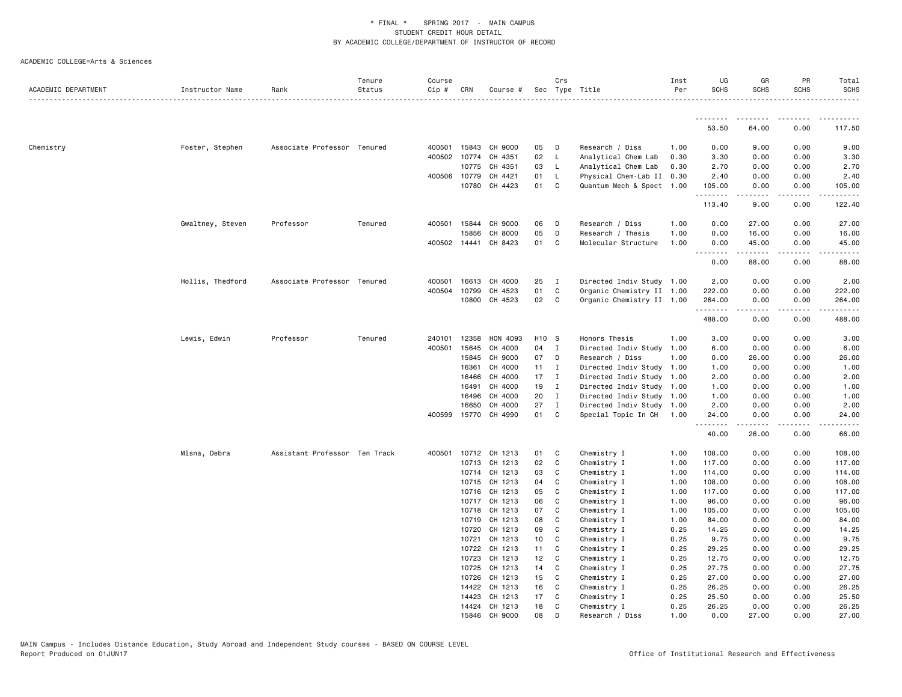|                     |                  |                               | Tenure  | Course       |       |                                 |                   | Crs               |                                                  | Inst         | UG            | GR                                                                                                                                                                                                                                                                                                                                                                                                                                                                                              | PR                           | Total            |
|---------------------|------------------|-------------------------------|---------|--------------|-------|---------------------------------|-------------------|-------------------|--------------------------------------------------|--------------|---------------|-------------------------------------------------------------------------------------------------------------------------------------------------------------------------------------------------------------------------------------------------------------------------------------------------------------------------------------------------------------------------------------------------------------------------------------------------------------------------------------------------|------------------------------|------------------|
| ACADEMIC DEPARTMENT | Instructor Name  | Rank                          | Status  | Cip #        | CRN   | Course #                        |                   |                   | Sec Type Title                                   | Per          | <b>SCHS</b>   | <b>SCHS</b>                                                                                                                                                                                                                                                                                                                                                                                                                                                                                     | <b>SCHS</b>                  | <b>SCHS</b><br>. |
|                     |                  |                               |         |              |       |                                 |                   |                   |                                                  |              |               |                                                                                                                                                                                                                                                                                                                                                                                                                                                                                                 |                              |                  |
|                     |                  |                               |         |              |       |                                 |                   |                   |                                                  |              | 53.50         | 64.00                                                                                                                                                                                                                                                                                                                                                                                                                                                                                           | 0.00                         | 117.50           |
| Chemistry           | Foster, Stephen  | Associate Professor Tenured   |         |              |       | 400501 15843 CH 9000            | 05                | D                 | Research / Diss                                  | 1.00         | 0.00          | 9.00                                                                                                                                                                                                                                                                                                                                                                                                                                                                                            | 0.00                         | 9.00             |
|                     |                  |                               |         | 400502 10774 |       | CH 4351                         | 02                | $\mathsf{L}$      | Analytical Chem Lab                              | 0.30         | 3.30          | 0.00                                                                                                                                                                                                                                                                                                                                                                                                                                                                                            | 0.00                         | 3.30             |
|                     |                  |                               |         |              | 10775 | CH 4351                         | 03                | L                 | Analytical Chem Lab                              | 0.30         | 2.70          | 0.00                                                                                                                                                                                                                                                                                                                                                                                                                                                                                            | 0.00                         | 2.70             |
|                     |                  |                               |         | 400506 10779 |       | CH 4421                         | 01                | L.                | Physical Chem-Lab II 0.30                        |              | 2.40          | 0.00                                                                                                                                                                                                                                                                                                                                                                                                                                                                                            | 0.00                         | 2.40             |
|                     |                  |                               |         |              | 10780 | CH 4423                         | 01                | C                 | Quantum Mech & Spect 1.00                        |              | 105.00<br>.   | 0.00                                                                                                                                                                                                                                                                                                                                                                                                                                                                                            | 0.00<br>$\sim$ $\sim$ $\sim$ | 105.00           |
|                     |                  |                               |         |              |       |                                 |                   |                   |                                                  |              | 113.40        | 9.00                                                                                                                                                                                                                                                                                                                                                                                                                                                                                            | 0.00                         | 122.40           |
|                     | Gwaltney, Steven | Professor                     | Tenured | 400501       | 15844 | CH 9000                         | 06                | D                 | Research / Diss                                  | 1.00         | 0.00          | 27.00                                                                                                                                                                                                                                                                                                                                                                                                                                                                                           | 0.00                         | 27.00            |
|                     |                  |                               |         |              | 15856 | CH 8000                         | 05                | D                 | Research / Thesis                                | 1.00         | 0.00          | 16.00                                                                                                                                                                                                                                                                                                                                                                                                                                                                                           | 0.00                         | 16.00            |
|                     |                  |                               |         |              |       | 400502 14441 CH 8423            | 01                | C                 | Molecular Structure                              | 1.00         | 0.00<br>.     | 45.00<br>.                                                                                                                                                                                                                                                                                                                                                                                                                                                                                      | 0.00<br>$\frac{1}{2}$        | 45.00<br>.       |
|                     |                  |                               |         |              |       |                                 |                   |                   |                                                  |              | 0.00          | 88.00                                                                                                                                                                                                                                                                                                                                                                                                                                                                                           | 0.00                         | 88.00            |
|                     | Hollis, Thedford | Associate Professor Tenured   |         | 400501       | 16613 | CH 4000                         | 25                | $\mathbf{I}$      | Directed Indiv Study 1.00                        |              | 2.00          | 0.00                                                                                                                                                                                                                                                                                                                                                                                                                                                                                            | 0.00                         | 2.00             |
|                     |                  |                               |         | 400504       | 10799 | CH 4523                         | 01                | C                 | Organic Chemistry II 1.00                        |              | 222.00        | 0.00                                                                                                                                                                                                                                                                                                                                                                                                                                                                                            | 0.00                         | 222.00           |
|                     |                  |                               |         |              | 10800 | CH 4523                         | 02                | C                 | Organic Chemistry II 1.00                        |              | 264.00<br>.   | 0.00<br>$\frac{1}{2} \left( \frac{1}{2} \right) \left( \frac{1}{2} \right) \left( \frac{1}{2} \right) \left( \frac{1}{2} \right) \left( \frac{1}{2} \right)$                                                                                                                                                                                                                                                                                                                                    | 0.00<br>.                    | 264.00<br>.      |
|                     |                  |                               |         |              |       |                                 |                   |                   |                                                  |              | 488.00        | 0.00                                                                                                                                                                                                                                                                                                                                                                                                                                                                                            | 0.00                         | 488.00           |
|                     | Lewis, Edwin     | Professor                     | Tenured | 240101       | 12358 | HON 4093                        | H <sub>10</sub> S |                   | Honors Thesis                                    | 1.00         | 3.00          | 0.00                                                                                                                                                                                                                                                                                                                                                                                                                                                                                            | 0.00                         | 3.00             |
|                     |                  |                               |         | 400501       | 15645 | CH 4000                         | 04                | $\mathbf{I}$      | Directed Indiv Study                             | 1.00         | 6.00          | 0.00                                                                                                                                                                                                                                                                                                                                                                                                                                                                                            | 0.00                         | 6.00             |
|                     |                  |                               |         |              | 15845 | CH 9000                         | 07                | D                 | Research / Diss                                  | 1.00         | 0.00          | 26.00                                                                                                                                                                                                                                                                                                                                                                                                                                                                                           | 0.00                         | 26.00            |
|                     |                  |                               |         |              | 16361 | CH 4000                         | 11                | $\mathbf{I}$      | Directed Indiv Study                             | 1.00         | 1.00          | 0.00                                                                                                                                                                                                                                                                                                                                                                                                                                                                                            | 0.00                         | 1.00             |
|                     |                  |                               |         |              | 16466 | CH 4000                         | 17                | $\mathbf{I}$      | Directed Indiv Study                             | 1.00         | 2.00          | 0.00                                                                                                                                                                                                                                                                                                                                                                                                                                                                                            | 0.00                         | 2.00             |
|                     |                  |                               |         |              | 16491 | CH 4000                         | 19                | $\mathbf{I}$      | Directed Indiv Study 1.00                        |              | 1.00          | 0.00                                                                                                                                                                                                                                                                                                                                                                                                                                                                                            | 0.00                         | 1.00             |
|                     |                  |                               |         |              | 16496 | CH 4000                         | 20                | $\mathbf{I}$      | Directed Indiv Study 1.00                        |              | 1.00          | 0.00                                                                                                                                                                                                                                                                                                                                                                                                                                                                                            | 0.00                         | 1.00             |
|                     |                  |                               |         |              | 16650 | CH 4000<br>400599 15770 CH 4990 | 27<br>01          | I<br>$\mathbf{C}$ | Directed Indiv Study 1.00<br>Special Topic In CH | 1.00         | 2.00<br>24.00 | 0.00<br>0.00                                                                                                                                                                                                                                                                                                                                                                                                                                                                                    | 0.00<br>0.00                 | 2.00<br>24.00    |
|                     |                  |                               |         |              |       |                                 |                   |                   |                                                  |              | .<br>40.00    | $\begin{array}{cccccccccccccc} \multicolumn{2}{c}{} & \multicolumn{2}{c}{} & \multicolumn{2}{c}{} & \multicolumn{2}{c}{} & \multicolumn{2}{c}{} & \multicolumn{2}{c}{} & \multicolumn{2}{c}{} & \multicolumn{2}{c}{} & \multicolumn{2}{c}{} & \multicolumn{2}{c}{} & \multicolumn{2}{c}{} & \multicolumn{2}{c}{} & \multicolumn{2}{c}{} & \multicolumn{2}{c}{} & \multicolumn{2}{c}{} & \multicolumn{2}{c}{} & \multicolumn{2}{c}{} & \multicolumn{2}{c}{} & \multicolumn{2}{c}{} & \$<br>26.00 | .<br>0.00                    | .<br>66.00       |
|                     | Mlsna, Debra     | Assistant Professor Ten Track |         | 400501       | 10712 | CH 1213                         | 01                | C                 | Chemistry I                                      | 1.00         | 108.00        | 0.00                                                                                                                                                                                                                                                                                                                                                                                                                                                                                            | 0.00                         | 108.00           |
|                     |                  |                               |         |              |       | 10713 CH 1213                   | 02                | $\mathbf{C}$      | Chemistry I                                      | 1.00         | 117.00        | 0.00                                                                                                                                                                                                                                                                                                                                                                                                                                                                                            | 0.00                         | 117.00           |
|                     |                  |                               |         |              |       | 10714 CH 1213                   | 03                | C                 | Chemistry I                                      | 1.00         | 114.00        | 0.00                                                                                                                                                                                                                                                                                                                                                                                                                                                                                            | 0.00                         | 114.00           |
|                     |                  |                               |         |              | 10715 | CH 1213                         | 04                | C                 | Chemistry I                                      | 1.00         | 108.00        | 0.00                                                                                                                                                                                                                                                                                                                                                                                                                                                                                            | 0.00                         | 108.00           |
|                     |                  |                               |         |              |       | 10716 CH 1213                   | 05                | C                 | Chemistry I                                      | 1.00         | 117.00        | 0.00                                                                                                                                                                                                                                                                                                                                                                                                                                                                                            | 0.00                         | 117.00           |
|                     |                  |                               |         |              | 10717 | CH 1213                         | 06                | C                 | Chemistry I                                      | 1.00         | 96.00         | 0.00                                                                                                                                                                                                                                                                                                                                                                                                                                                                                            | 0.00                         | 96.00            |
|                     |                  |                               |         |              | 10718 | CH 1213                         | 07                | C                 | Chemistry I                                      | 1.00         | 105.00        | 0.00                                                                                                                                                                                                                                                                                                                                                                                                                                                                                            | 0.00                         | 105.00           |
|                     |                  |                               |         |              | 10719 | CH 1213                         | 08                | C                 | Chemistry I                                      | 1.00         | 84.00         | 0.00                                                                                                                                                                                                                                                                                                                                                                                                                                                                                            | 0.00                         | 84.00            |
|                     |                  |                               |         |              | 10720 | CH 1213                         | 09                | C                 | Chemistry I                                      | 0.25         | 14.25         | 0.00                                                                                                                                                                                                                                                                                                                                                                                                                                                                                            | 0.00                         | 14.25            |
|                     |                  |                               |         |              | 10721 | CH 1213                         | 10                | C                 | Chemistry I                                      | 0.25         | 9.75          | 0.00                                                                                                                                                                                                                                                                                                                                                                                                                                                                                            | 0.00                         | 9.75             |
|                     |                  |                               |         |              | 10722 | CH 1213                         | 11                | C                 | Chemistry I                                      | 0.25         | 29.25         | 0.00                                                                                                                                                                                                                                                                                                                                                                                                                                                                                            | 0.00                         | 29.25            |
|                     |                  |                               |         |              | 10723 | CH 1213                         | 12                | C                 | Chemistry I                                      | 0.25         | 12.75         | 0.00                                                                                                                                                                                                                                                                                                                                                                                                                                                                                            | 0.00                         | 12.75            |
|                     |                  |                               |         |              | 10725 | CH 1213                         | 14                | C                 | Chemistry I                                      | 0.25         | 27.75         | 0.00                                                                                                                                                                                                                                                                                                                                                                                                                                                                                            | 0.00                         | 27.75            |
|                     |                  |                               |         |              | 10726 | CH 1213                         | 15                | C                 | Chemistry I                                      | 0.25         | 27.00         | 0.00                                                                                                                                                                                                                                                                                                                                                                                                                                                                                            | 0.00                         | 27.00            |
|                     |                  |                               |         |              | 14422 | CH 1213                         | 16                | C                 | Chemistry I                                      | 0.25         | 26.25         | 0.00                                                                                                                                                                                                                                                                                                                                                                                                                                                                                            | 0.00                         | 26.25            |
|                     |                  |                               |         |              | 14423 | CH 1213                         | 17                | C                 | Chemistry I                                      | 0.25         | 25.50         | 0.00                                                                                                                                                                                                                                                                                                                                                                                                                                                                                            | 0.00                         | 25.50            |
|                     |                  |                               |         |              |       | 14424 CH 1213<br>15846 CH 9000  | 18<br>08          | C<br>D            | Chemistry I<br>Research / Diss                   | 0.25<br>1.00 | 26.25<br>0.00 | 0.00<br>27.00                                                                                                                                                                                                                                                                                                                                                                                                                                                                                   | 0.00<br>0.00                 | 26.25<br>27.00   |
|                     |                  |                               |         |              |       |                                 |                   |                   |                                                  |              |               |                                                                                                                                                                                                                                                                                                                                                                                                                                                                                                 |                              |                  |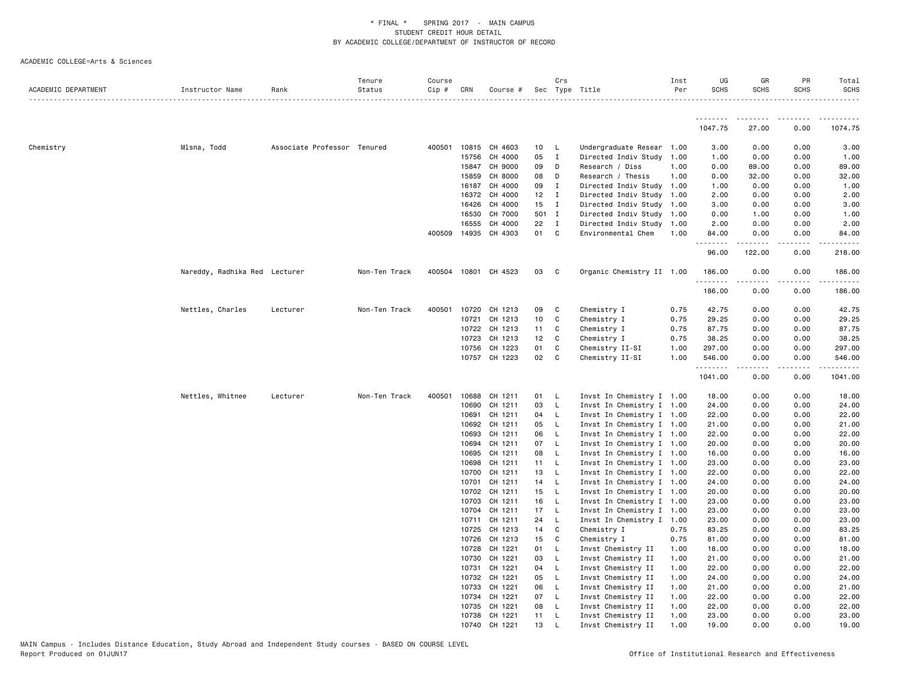| ACADEMIC DEPARTMENT | Instructor Name               | Rank                        | Tenure<br>Status | Course<br>Cip # | CRN            | Course #             |                 | Crs                          | Sec Type Title                           | Inst<br>Per  | UG<br><b>SCHS</b>   | GR<br><b>SCHS</b>       | PR<br><b>SCHS</b> | Total<br><b>SCHS</b> |
|---------------------|-------------------------------|-----------------------------|------------------|-----------------|----------------|----------------------|-----------------|------------------------------|------------------------------------------|--------------|---------------------|-------------------------|-------------------|----------------------|
|                     |                               |                             |                  |                 |                |                      |                 |                              |                                          |              |                     |                         |                   | .                    |
|                     |                               |                             |                  |                 |                |                      |                 |                              |                                          |              | <u>.</u><br>1047.75 | .<br>27.00              | .<br>0.00         | .<br>1074.75         |
| Chemistry           | Mlsna, Todd                   | Associate Professor Tenured |                  |                 | 400501 10815   | CH 4603              | 10              | - L                          | Undergraduate Resear 1.00                |              | 3.00                | 0.00                    | 0.00              | 3.00                 |
|                     |                               |                             |                  |                 | 15756          | CH 4000              | 05              | $\mathbf{I}$                 | Directed Indiv Study 1.00                |              | 1.00                | 0.00                    | 0.00              | 1.00                 |
|                     |                               |                             |                  |                 | 15847          | CH 9000              | 09              | D                            | Research / Diss                          | 1.00         | 0.00                | 89.00                   | 0.00              | 89.00                |
|                     |                               |                             |                  |                 | 15859          | CH 8000              | 08              | D                            | Research / Thesis                        | 1.00         | 0.00                | 32.00                   | 0.00              | 32.00                |
|                     |                               |                             |                  |                 | 16187          | CH 4000              | 09              | $\mathbf{I}$                 | Directed Indiv Study 1.00                |              | 1.00                | 0.00                    | 0.00              | 1.00                 |
|                     |                               |                             |                  |                 | 16372          | CH 4000              | 12              | $\mathbf{I}$                 | Directed Indiv Study 1.00                |              | 2.00                | 0.00                    | 0.00              | 2.00                 |
|                     |                               |                             |                  |                 | 16426          | CH 4000              | 15 <sub>1</sub> | $\blacksquare$               | Directed Indiv Study 1.00                |              | 3.00                | 0.00                    | 0.00              | 3.00                 |
|                     |                               |                             |                  |                 | 16530          | CH 7000              | 501 I           |                              | Directed Indiv Study 1.00                |              | 0.00                | 1.00                    | 0.00              | 1.00                 |
|                     |                               |                             |                  |                 | 16555          | CH 4000              | 22              | $\mathbf{I}$                 | Directed Indiv Study 1.00                |              | 2.00                | 0.00                    | 0.00              | 2.00                 |
|                     |                               |                             |                  |                 |                | 400509 14935 CH 4303 | 01 C            |                              | Environmental Chem                       | 1.00         | 84.00<br>.          | 0.00<br><u>.</u>        | 0.00<br>.         | 84.00<br>.           |
|                     |                               |                             |                  |                 |                |                      |                 |                              |                                          |              | 96.00               | 122.00                  | 0.00              | 218.00               |
|                     | Nareddy, Radhika Red Lecturer |                             | Non-Ten Track    |                 |                | 400504 10801 CH 4523 | 03              | $\mathbf{C}$                 | Organic Chemistry II 1.00                |              | 186.00<br>.         | 0.00<br>المتمام المتعاد | 0.00<br>-----     | 186.00               |
|                     |                               |                             |                  |                 |                |                      |                 |                              |                                          |              | 186.00              | 0.00                    | 0.00              | 186.00               |
|                     | Nettles, Charles              | Lecturer                    | Non-Ten Track    | 400501          | 10720          | CH 1213              | 09              | $\mathbf{C}$                 | Chemistry I                              | 0.75         | 42.75               | 0.00                    | 0.00              | 42.75                |
|                     |                               |                             |                  |                 | 10721          | CH 1213              | 10              | C                            | Chemistry I                              | 0.75         | 29.25               | 0.00                    | 0.00              | 29.25                |
|                     |                               |                             |                  |                 | 10722          | CH 1213              | 11              | C                            | Chemistry I                              | 0.75         | 87.75               | 0.00                    | 0.00              | 87.75                |
|                     |                               |                             |                  |                 | 10723          | CH 1213              | 12              | $\mathbf{C}$                 | Chemistry I                              | 0.75         | 38.25               | 0.00                    | 0.00              | 38.25                |
|                     |                               |                             |                  |                 | 10756          | CH 1223              | 01              | C                            | Chemistry II-SI                          | 1.00         | 297.00              | 0.00                    | 0.00              | 297.00               |
|                     |                               |                             |                  |                 |                | 10757 CH 1223        | 02              | C                            | Chemistry II-SI                          | 1.00         | 546.00<br>.         | 0.00<br>.               | 0.00              | 546.00<br>.          |
|                     |                               |                             |                  |                 |                |                      |                 |                              |                                          |              | 1041.00             | 0.00                    | 0.00              | 1041.00              |
|                     | Nettles, Whitnee              | Lecturer                    | Non-Ten Track    | 400501          | 10688          | CH 1211              | 01              | $\mathsf{L}$                 | Invst In Chemistry I 1.00                |              | 18.00               | 0.00                    | 0.00              | 18.00                |
|                     |                               |                             |                  |                 | 10690          | CH 1211              | 03              | $\mathsf{L}$                 | Invst In Chemistry I 1.00                |              | 24.00               | 0.00                    | 0.00              | 24.00                |
|                     |                               |                             |                  |                 | 10691          | CH 1211              | 04              | L.                           | Invst In Chemistry I 1.00                |              | 22.00               | 0.00                    | 0.00              | 22.00                |
|                     |                               |                             |                  |                 | 10692          | CH 1211              | 05              | - L                          | Invst In Chemistry I 1.00                |              | 21.00               | 0.00                    | 0.00              | 21.00                |
|                     |                               |                             |                  |                 | 10693          | CH 1211              | 06              | - L                          | Invst In Chemistry I 1.00                |              | 22.00               | 0.00                    | 0.00              | 22.00                |
|                     |                               |                             |                  |                 | 10694          | CH 1211              | 07              | $\mathsf{L}$                 | Invst In Chemistry I 1.00                |              | 20.00               | 0.00                    | 0.00              | 20.00                |
|                     |                               |                             |                  |                 | 10695          | CH 1211              | 08              | $\mathsf{L}$                 | Invst In Chemistry I 1.00                |              | 16.00               | 0.00                    | 0.00              | 16.00                |
|                     |                               |                             |                  |                 | 10698          | CH 1211              | 11              | - L                          | Invst In Chemistry I 1.00                |              | 23.00               | 0.00                    | 0.00              | 23.00                |
|                     |                               |                             |                  |                 | 10700          | CH 1211              | 13              | - L                          | Invst In Chemistry I 1.00                |              | 22.00               | 0.00                    | 0.00              | 22.00                |
|                     |                               |                             |                  |                 | 10701          | CH 1211              | 14              | - L                          | Invst In Chemistry I 1.00                |              | 24.00               | 0.00                    | 0.00              | 24.00                |
|                     |                               |                             |                  |                 | 10702          | CH 1211              | 15              | - L                          | Invst In Chemistry I 1.00                |              | 20.00               | 0.00                    | 0.00              | 20.00                |
|                     |                               |                             |                  |                 | 10703          | CH 1211              | 16              | $\mathsf{L}$                 | Invst In Chemistry I 1.00                |              | 23.00               | 0.00                    | 0.00              | 23.00                |
|                     |                               |                             |                  |                 |                | 10704 CH 1211        | 17              | $\mathsf{L}$                 | Invst In Chemistry I 1.00                |              | 23.00               | 0.00                    | 0.00              | 23.00                |
|                     |                               |                             |                  |                 | 10711          | CH 1211              | 24              | - L                          | Invst In Chemistry I 1.00                |              | 23.00               | 0.00                    | 0.00              | 23.00                |
|                     |                               |                             |                  |                 | 10725          | CH 1213              | 14              | $\mathbf{C}$                 | Chemistry I                              | 0.75         | 83.25               | 0.00                    | 0.00              | 83.25                |
|                     |                               |                             |                  |                 | 10726          | CH 1213              | 15<br>01        | $\mathbf{C}$                 | Chemistry I                              | 0.75         | 81.00               | 0.00                    | 0.00              | 81.00                |
|                     |                               |                             |                  |                 | 10728<br>10730 | CH 1221<br>CH 1221   | 03              | $\mathsf{L}$<br>$\mathsf{L}$ | Invst Chemistry II<br>Invst Chemistry II | 1.00<br>1.00 | 18.00<br>21.00      | 0.00<br>0.00            | 0.00<br>0.00      | 18.00<br>21.00       |
|                     |                               |                             |                  |                 | 10731          | CH 1221              | 04 L            |                              | Invst Chemistry II                       | 1.00         | 22.00               | 0.00                    | 0.00              | 22.00                |
|                     |                               |                             |                  |                 | 10732          | CH 1221              | 05              | $\mathsf{L}$                 | Invst Chemistry II                       | 1.00         | 24.00               | 0.00                    | 0.00              | 24.00                |
|                     |                               |                             |                  |                 | 10733          | CH 1221              | 06              | - L                          | Invst Chemistry II                       | 1.00         | 21.00               | 0.00                    | 0.00              | 21.00                |
|                     |                               |                             |                  |                 | 10734          | CH 1221              | 07              | L.                           | Invst Chemistry II                       | 1.00         | 22.00               | 0.00                    | 0.00              | 22.00                |
|                     |                               |                             |                  |                 | 10735          | CH 1221              | 08              | - L                          | Invst Chemistry II                       | 1.00         | 22.00               | 0.00                    | 0.00              | 22.00                |
|                     |                               |                             |                  |                 | 10738          | CH 1221              | 11              | L.                           | Invst Chemistry II                       | 1.00         | 23.00               | 0.00                    | 0.00              | 23.00                |
|                     |                               |                             |                  |                 |                | 10740 CH 1221        | 13              | L.                           | Invst Chemistry II                       | 1.00         | 19.00               | 0.00                    | 0.00              | 19.00                |
|                     |                               |                             |                  |                 |                |                      |                 |                              |                                          |              |                     |                         |                   |                      |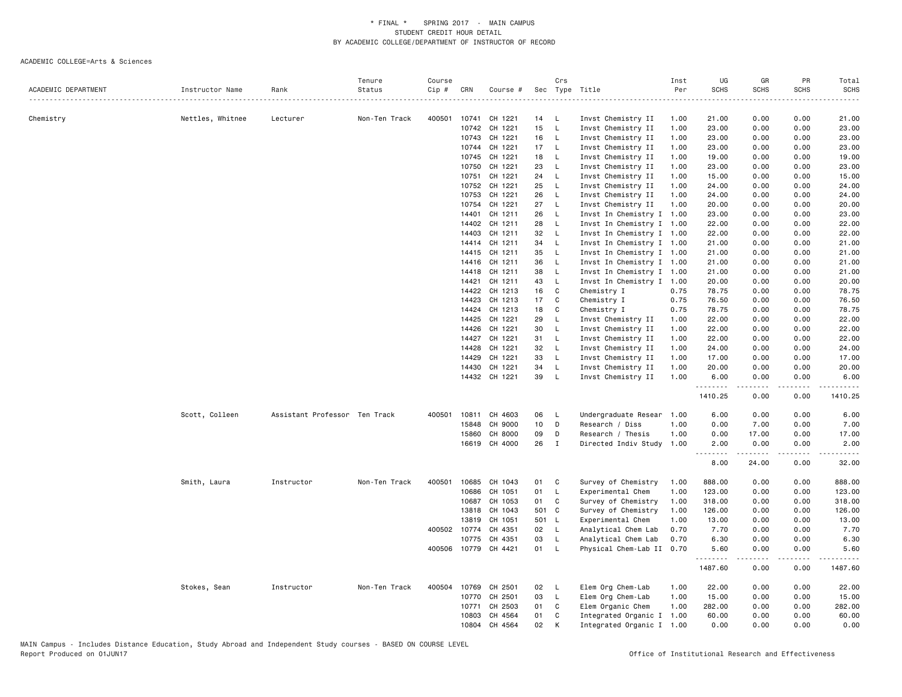|                     |                  |                               | Tenure        | Course |              |               |       | Crs          |                           | Inst | UG                    | GR          | PR                                  | Total            |
|---------------------|------------------|-------------------------------|---------------|--------|--------------|---------------|-------|--------------|---------------------------|------|-----------------------|-------------|-------------------------------------|------------------|
| ACADEMIC DEPARTMENT | Instructor Name  | Rank                          | Status        | Cip #  | CRN          | Course #      |       |              | Sec Type Title            | Per  | <b>SCHS</b>           | <b>SCHS</b> | <b>SCHS</b>                         | <b>SCHS</b>      |
|                     |                  |                               |               |        |              |               |       |              |                           |      |                       |             |                                     | .                |
| Chemistry           | Nettles, Whitnee | Lecturer                      | Non-Ten Track | 400501 | 10741        | CH 1221       | 14    | - L          | Invst Chemistry II        | 1.00 | 21.00                 | 0.00        | 0.00                                | 21.00            |
|                     |                  |                               |               |        | 10742        | CH 1221       | 15    | L            | Invst Chemistry II        | 1.00 | 23.00                 | 0.00        | 0.00                                | 23.00            |
|                     |                  |                               |               |        | 10743        | CH 1221       | 16    | $\mathsf{L}$ | Invst Chemistry II        | 1.00 | 23.00                 | 0.00        | 0.00                                | 23.00            |
|                     |                  |                               |               |        | 10744        | CH 1221       | 17    | L.           | Invst Chemistry II        | 1.00 | 23.00                 | 0.00        | 0.00                                | 23.00            |
|                     |                  |                               |               |        | 10745        | CH 1221       | 18    | <b>L</b>     | Invst Chemistry II        | 1.00 | 19.00                 | 0.00        | 0.00                                | 19.00            |
|                     |                  |                               |               |        | 10750        | CH 1221       | 23    | L            | Invst Chemistry II        | 1.00 | 23.00                 | 0.00        | 0.00                                | 23.00            |
|                     |                  |                               |               |        | 10751        | CH 1221       | 24    | L            | Invst Chemistry II        | 1.00 | 15.00                 | 0.00        | 0.00                                | 15.00            |
|                     |                  |                               |               |        | 10752        | CH 1221       | 25    | L            | Invst Chemistry II        | 1.00 | 24.00                 | 0.00        | 0.00                                | 24.00            |
|                     |                  |                               |               |        | 10753        | CH 1221       | 26    | L            | Invst Chemistry II        | 1.00 | 24.00                 | 0.00        | 0.00                                | 24.00            |
|                     |                  |                               |               |        | 10754        | CH 1221       | 27    | L            | Invst Chemistry II        | 1.00 | 20.00                 | 0.00        | 0.00                                | 20.00            |
|                     |                  |                               |               |        | 14401        | CH 1211       | 26    | L            | Invst In Chemistry I 1.00 |      | 23.00                 | 0.00        | 0.00                                | 23.00            |
|                     |                  |                               |               |        | 14402        | CH 1211       | 28    | L.           | Invst In Chemistry I 1.00 |      | 22.00                 | 0.00        | 0.00                                | 22.00            |
|                     |                  |                               |               |        | 14403        | CH 1211       | 32    | L            | Invst In Chemistry I 1.00 |      | 22.00                 | 0.00        | 0.00                                | 22.00            |
|                     |                  |                               |               |        | 14414        | CH 1211       | 34    | L.           | Invst In Chemistry I 1.00 |      | 21.00                 | 0.00        | 0.00                                | 21.00            |
|                     |                  |                               |               |        |              |               |       |              |                           |      |                       |             |                                     |                  |
|                     |                  |                               |               |        | 14415        | CH 1211       | 35    | L.           | Invst In Chemistry I 1.00 |      | 21.00                 | 0.00        | 0.00                                | 21.00            |
|                     |                  |                               |               |        | 14416        | CH 1211       | 36    | L            | Invst In Chemistry I 1.00 |      | 21.00                 | 0.00        | 0.00                                | 21.00            |
|                     |                  |                               |               |        | 14418        | CH 1211       | 38    | L.           | Invst In Chemistry I 1.00 |      | 21.00                 | 0.00        | 0.00                                | 21.00            |
|                     |                  |                               |               |        | 14421        | CH 1211       | 43    | L            | Invst In Chemistry I 1.00 |      | 20.00                 | 0.00        | 0.00                                | 20.00            |
|                     |                  |                               |               |        | 14422        | CH 1213       | 16    | C            | Chemistry I               | 0.75 | 78.75                 | 0.00        | 0.00                                | 78.75            |
|                     |                  |                               |               |        | 14423        | CH 1213       | 17    | C            | Chemistry I               | 0.75 | 76.50                 | 0.00        | 0.00                                | 76.50            |
|                     |                  |                               |               |        | 14424        | CH 1213       | 18    | C            | Chemistry I               | 0.75 | 78.75                 | 0.00        | 0.00                                | 78.75            |
|                     |                  |                               |               |        | 14425        | CH 1221       | 29    | L.           | Invst Chemistry II        | 1.00 | 22.00                 | 0.00        | 0.00                                | 22.00            |
|                     |                  |                               |               |        | 14426        | CH 1221       | 30    | L            | Invst Chemistry II        | 1.00 | 22.00                 | 0.00        | 0.00                                | 22.00            |
|                     |                  |                               |               |        | 14427        | CH 1221       | 31    | L            | Invst Chemistry II        | 1.00 | 22.00                 | 0.00        | 0.00                                | 22.00            |
|                     |                  |                               |               |        | 14428        | CH 1221       | 32    | $\mathsf{L}$ | Invst Chemistry II        | 1.00 | 24.00                 | 0.00        | 0.00                                | 24.00            |
|                     |                  |                               |               |        | 14429        | CH 1221       | 33    | L            | Invst Chemistry II        | 1.00 | 17.00                 | 0.00        | 0.00                                | 17.00            |
|                     |                  |                               |               |        | 14430        | CH 1221       | 34    | L.           | Invst Chemistry II        | 1.00 | 20.00                 | 0.00        | 0.00                                | 20.00            |
|                     |                  |                               |               |        |              | 14432 CH 1221 | 39    | L.           | Invst Chemistry II        | 1.00 | 6.00                  | 0.00        | 0.00                                | 6.00             |
|                     |                  |                               |               |        |              |               |       |              |                           |      | . <b>.</b><br>1410.25 | .<br>0.00   | .<br>0.00                           | .<br>1410.25     |
|                     | Scott, Colleen   | Assistant Professor Ten Track |               | 400501 | 10811        | CH 4603       | 06    | L.           | Undergraduate Resear      | 1.00 | 6.00                  | 0.00        | 0.00                                | 6.00             |
|                     |                  |                               |               |        | 15848        | CH 9000       | 10    | D            | Research / Diss           | 1.00 | 0.00                  | 7.00        | 0.00                                | 7.00             |
|                     |                  |                               |               |        | 15860        | CH 8000       | 09    | D            | Research / Thesis         | 1.00 | 0.00                  | 17.00       | 0.00                                | 17.00            |
|                     |                  |                               |               |        |              |               |       |              |                           |      |                       |             |                                     |                  |
|                     |                  |                               |               |        | 16619        | CH 4000       | 26    | $\mathbf{I}$ | Directed Indiv Study      | 1.00 | 2.00<br>.             | 0.00<br>.   | 0.00<br>$\sim$ $\sim$ $\sim$ $\sim$ | 2.00<br>المتماما |
|                     |                  |                               |               |        |              |               |       |              |                           |      | 8.00                  | 24.00       | 0.00                                | 32.00            |
|                     | Smith, Laura     | Instructor                    | Non-Ten Track | 400501 | 10685        | CH 1043       | 01    | C            | Survey of Chemistry       | 1.00 | 888.00                | 0.00        | 0.00                                | 888.00           |
|                     |                  |                               |               |        | 10686        | CH 1051       | 01    | L            | Experimental Chem         | 1.00 | 123.00                | 0.00        | 0.00                                | 123.00           |
|                     |                  |                               |               |        | 10687        | CH 1053       | 01    | C            | Survey of Chemistry       | 1.00 | 318.00                | 0.00        | 0.00                                | 318.00           |
|                     |                  |                               |               |        | 13818        | CH 1043       | 501   | C            | Survey of Chemistry       | 1.00 | 126.00                | 0.00        | 0.00                                | 126.00           |
|                     |                  |                               |               |        | 13819        | CH 1051       | 501 L |              | Experimental Chem         | 1.00 | 13.00                 | 0.00        | 0.00                                | 13.00            |
|                     |                  |                               |               |        | 400502 10774 | CH 4351       | 02    | <b>L</b>     | Analytical Chem Lab       | 0.70 | 7.70                  | 0.00        | 0.00                                | 7.70             |
|                     |                  |                               |               |        | 10775        | CH 4351       | 03    | L            | Analytical Chem Lab       | 0.70 | 6.30                  | 0.00        | 0.00                                | 6.30             |
|                     |                  |                               |               |        | 400506 10779 | CH 4421       | 01    | L.           | Physical Chem-Lab II      | 0.70 | 5.60                  | 0.00        | 0.00                                | 5.60             |
|                     |                  |                               |               |        |              |               |       |              |                           |      | .<br>1487.60          | 0.00        | 0.00                                | .<br>1487.60     |
|                     | Stokes, Sean     | Instructor                    | Non-Ten Track | 400504 | 10769        | CH 2501       | 02    | L            | Elem Org Chem-Lab         | 1.00 | 22.00                 | 0.00        | 0.00                                | 22.00            |
|                     |                  |                               |               |        | 10770        | CH 2501       | 03    | L            | Elem Org Chem-Lab         | 1.00 | 15.00                 | 0.00        | 0.00                                | 15.00            |
|                     |                  |                               |               |        | 10771        | CH 2503       | 01    | C            | Elem Organic Chem         | 1.00 | 282.00                | 0.00        | 0.00                                | 282.00           |
|                     |                  |                               |               |        | 10803        | CH 4564       | 01    | C            | Integrated Organic I      | 1.00 | 60.00                 | 0.00        | 0.00                                | 60.00            |
|                     |                  |                               |               |        | 10804        | CH 4564       | 02    | K            | Integrated Organic I 1.00 |      | 0.00                  | 0.00        | 0.00                                | 0.00             |
|                     |                  |                               |               |        |              |               |       |              |                           |      |                       |             |                                     |                  |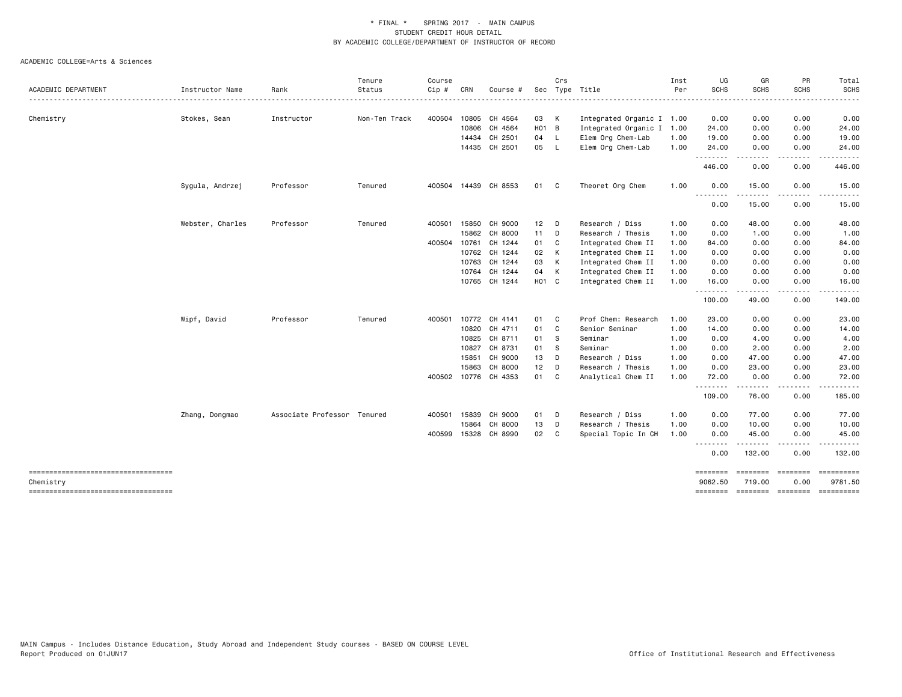| Status<br>Non-Ten Track<br>Tenured<br>Tenured | Cip #<br>400504<br>400501 15850<br>400504 10761 | CRN<br>10805<br>10806<br>15862<br>10763 | Course<br>CH 4564<br>CH 4564<br>14434 CH 2501<br>14435 CH 2501<br>400504 14439 CH 8553<br>CH 9000<br>CH 8000<br>CH 1244<br>10762 CH 1244<br>CH 1244 | 03 K<br>H <sub>01</sub> B<br>04 L<br>05<br>01 C<br>$12$ D<br>11 D<br>01 C<br>02 | - L          | Sec Type Title<br>Integrated Organic I 1.00<br>Integrated Organic I<br>Elem Org Chem-Lab<br>Elem Org Chem-Lab<br>Theoret Org Chem<br>Research / Diss<br>Research / Thesis | Per<br>1.00<br>1.00<br>1.00<br>1.00<br>1.00<br>1.00 | SCHS<br>0.00<br>24.00<br>19.00<br>24.00<br>--------<br>446.00<br>0.00<br>.<br>0.00<br>0.00<br>0.00 | <b>SCHS</b><br>0.00<br>0.00<br>0.00<br>0.00<br>0.00<br>15.00<br>.<br>15.00<br>48.00 | SCHS<br>0.00<br>0.00<br>0.00<br>0.00<br>0.00<br>0.00<br>.<br>0.00 | <b>SCHS</b><br>.                                    |
|-----------------------------------------------|-------------------------------------------------|-----------------------------------------|-----------------------------------------------------------------------------------------------------------------------------------------------------|---------------------------------------------------------------------------------|--------------|---------------------------------------------------------------------------------------------------------------------------------------------------------------------------|-----------------------------------------------------|----------------------------------------------------------------------------------------------------|-------------------------------------------------------------------------------------|-------------------------------------------------------------------|-----------------------------------------------------|
|                                               |                                                 |                                         |                                                                                                                                                     |                                                                                 |              |                                                                                                                                                                           |                                                     |                                                                                                    |                                                                                     |                                                                   | 0.00                                                |
|                                               |                                                 |                                         |                                                                                                                                                     |                                                                                 |              |                                                                                                                                                                           |                                                     |                                                                                                    |                                                                                     |                                                                   | 24.00<br>19.00<br>24.00<br>446.00<br>15.00<br>15.00 |
|                                               |                                                 |                                         |                                                                                                                                                     |                                                                                 |              |                                                                                                                                                                           |                                                     |                                                                                                    |                                                                                     |                                                                   |                                                     |
|                                               |                                                 |                                         |                                                                                                                                                     |                                                                                 |              |                                                                                                                                                                           |                                                     |                                                                                                    |                                                                                     |                                                                   |                                                     |
|                                               |                                                 |                                         |                                                                                                                                                     |                                                                                 |              |                                                                                                                                                                           |                                                     |                                                                                                    |                                                                                     |                                                                   |                                                     |
|                                               |                                                 |                                         |                                                                                                                                                     |                                                                                 |              |                                                                                                                                                                           |                                                     |                                                                                                    |                                                                                     |                                                                   |                                                     |
|                                               |                                                 |                                         |                                                                                                                                                     |                                                                                 |              |                                                                                                                                                                           |                                                     |                                                                                                    |                                                                                     |                                                                   |                                                     |
|                                               |                                                 |                                         |                                                                                                                                                     |                                                                                 |              |                                                                                                                                                                           |                                                     |                                                                                                    |                                                                                     |                                                                   |                                                     |
|                                               |                                                 |                                         |                                                                                                                                                     |                                                                                 |              |                                                                                                                                                                           |                                                     |                                                                                                    |                                                                                     |                                                                   |                                                     |
|                                               |                                                 |                                         |                                                                                                                                                     |                                                                                 |              |                                                                                                                                                                           |                                                     |                                                                                                    |                                                                                     | 0.00                                                              | 48.00                                               |
|                                               |                                                 |                                         |                                                                                                                                                     |                                                                                 |              |                                                                                                                                                                           |                                                     |                                                                                                    | 1.00                                                                                | 0.00                                                              | 1.00                                                |
|                                               |                                                 |                                         |                                                                                                                                                     |                                                                                 |              | Integrated Chem II                                                                                                                                                        | 1.00                                                | 84.00                                                                                              | 0.00                                                                                | 0.00                                                              | 84.00                                               |
|                                               |                                                 |                                         |                                                                                                                                                     |                                                                                 | K            | Integrated Chem II                                                                                                                                                        | 1.00                                                | 0.00                                                                                               | 0.00                                                                                | 0.00                                                              | 0.00                                                |
|                                               |                                                 |                                         |                                                                                                                                                     | 03                                                                              | K            | Integrated Chem II                                                                                                                                                        | 1.00                                                | 0.00                                                                                               | 0.00                                                                                | 0.00                                                              | 0.00                                                |
|                                               |                                                 |                                         | 10764 CH 1244                                                                                                                                       | 04 K                                                                            |              | Integrated Chem II                                                                                                                                                        | 1.00                                                | 0.00                                                                                               | 0.00                                                                                | 0.00                                                              | 0.00                                                |
|                                               |                                                 |                                         | 10765 CH 1244                                                                                                                                       | H01 C                                                                           |              | Integrated Chem II                                                                                                                                                        | 1.00                                                | 16.00<br>.                                                                                         | 0.00                                                                                | 0.00<br>----                                                      | 16.00                                               |
|                                               |                                                 |                                         |                                                                                                                                                     |                                                                                 |              |                                                                                                                                                                           |                                                     | 100.00                                                                                             | 49.00                                                                               | 0.00                                                              | 149.00                                              |
| Tenured                                       | 400501                                          | 10772                                   | CH 4141                                                                                                                                             | 01 C                                                                            |              | Prof Chem: Research                                                                                                                                                       | 1.00                                                | 23.00                                                                                              | 0.00                                                                                | 0.00                                                              | 23.00                                               |
|                                               |                                                 | 10820                                   | CH 4711                                                                                                                                             | 01 C                                                                            |              | Senior Seminar                                                                                                                                                            | 1.00                                                | 14.00                                                                                              | 0.00                                                                                | 0.00                                                              | 14.00                                               |
|                                               |                                                 | 10825                                   | CH 8711                                                                                                                                             | 01                                                                              | - S          | Seminar                                                                                                                                                                   | 1.00                                                | 0.00                                                                                               | 4.00                                                                                | 0.00                                                              | 4.00                                                |
|                                               |                                                 | 10827                                   | CH 8731                                                                                                                                             | 01                                                                              | $\mathbf{s}$ | Seminar                                                                                                                                                                   | 1.00                                                | 0.00                                                                                               | 2.00                                                                                | 0.00                                                              | 2.00                                                |
|                                               |                                                 | 15851                                   | CH 9000                                                                                                                                             | 13 D                                                                            |              | Research / Diss                                                                                                                                                           | 1.00                                                | 0.00                                                                                               | 47.00                                                                               | 0.00                                                              | 47.00                                               |
|                                               |                                                 | 15863                                   | CH 8000                                                                                                                                             | 12                                                                              | D            | Research / Thesis                                                                                                                                                         | 1.00                                                | 0.00                                                                                               | 23.00                                                                               | 0.00                                                              | 23.00                                               |
|                                               |                                                 |                                         | 400502 10776 CH 4353                                                                                                                                | 01 C                                                                            |              | Analytical Chem II                                                                                                                                                        | 1.00                                                | 72.00<br>.                                                                                         | 0.00<br>.                                                                           | 0.00<br>.                                                         | 72.00<br>. <u>.</u>                                 |
|                                               |                                                 |                                         |                                                                                                                                                     |                                                                                 |              |                                                                                                                                                                           |                                                     | 109.00                                                                                             | 76.00                                                                               | 0.00                                                              | 185.00                                              |
| Associate Professor Tenured                   | 400501                                          | 15839                                   | CH 9000                                                                                                                                             | 01 D                                                                            |              | Research / Diss                                                                                                                                                           | 1.00                                                | 0.00                                                                                               | 77.00                                                                               | 0.00                                                              | 77.00                                               |
|                                               |                                                 | 15864                                   | CH 8000                                                                                                                                             | 13                                                                              | D            | Research / Thesis                                                                                                                                                         | 1.00                                                | 0.00                                                                                               | 10.00                                                                               | 0.00                                                              | 10.00                                               |
|                                               |                                                 |                                         |                                                                                                                                                     |                                                                                 |              | Special Topic In CH                                                                                                                                                       |                                                     | <u> - - - - - - - -</u>                                                                            | 45.00<br>.                                                                          | .                                                                 | 45.00                                               |
|                                               |                                                 |                                         |                                                                                                                                                     |                                                                                 |              |                                                                                                                                                                           |                                                     | 0.00                                                                                               | 132.00                                                                              | 0.00                                                              | 132.00                                              |
|                                               |                                                 |                                         |                                                                                                                                                     |                                                                                 |              |                                                                                                                                                                           |                                                     | ========<br>9062.50                                                                                | 719.00                                                                              | 0.00                                                              | 9781.50                                             |
|                                               |                                                 |                                         | 400599 15328                                                                                                                                        | CH 8990                                                                         | 02           | C                                                                                                                                                                         |                                                     | 1.00                                                                                               | 0.00                                                                                | ========                                                          | 0.00<br>========                                    |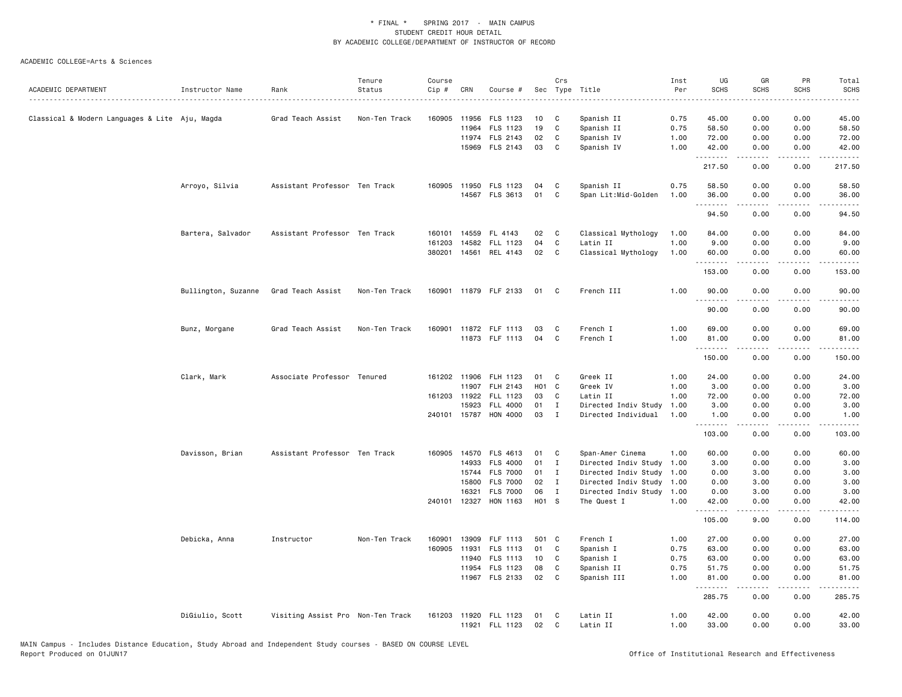|                                                |                     |                                   | Tenure        | Course       |       |                       |                  | Crs          |                      | Inst | UG                   | GR          | PR                 | Total                                      |
|------------------------------------------------|---------------------|-----------------------------------|---------------|--------------|-------|-----------------------|------------------|--------------|----------------------|------|----------------------|-------------|--------------------|--------------------------------------------|
| ACADEMIC DEPARTMENT                            | Instructor Name     | Rank                              | Status        | $Cip$ #      | CRN   | Course #              |                  |              | Sec Type Title       | Per  | <b>SCHS</b>          | <b>SCHS</b> | <b>SCHS</b>        | <b>SCHS</b><br>$\sim$ $\sim$ $\sim$ $\sim$ |
|                                                |                     |                                   |               |              |       |                       |                  |              |                      |      |                      |             |                    |                                            |
| Classical & Modern Languages & Lite Aju, Magda |                     | Grad Teach Assist                 | Non-Ten Track | 160905       | 11956 | FLS 1123              | 10               | C            | Spanish II           | 0.75 | 45.00                | 0.00        | 0.00               | 45.00                                      |
|                                                |                     |                                   |               |              | 11964 | FLS 1123              | 19               | C            | Spanish II           | 0.75 | 58.50                | 0.00        | 0.00               | 58.50                                      |
|                                                |                     |                                   |               |              |       | 11974 FLS 2143        | 02               | C            | Spanish IV           | 1.00 | 72.00                | 0.00        | 0.00               | 72.00                                      |
|                                                |                     |                                   |               |              | 15969 | FLS 2143              | 03               | C            | Spanish IV           | 1.00 | 42.00<br>.           | 0.00<br>.   | 0.00<br>. <b>.</b> | 42.00<br><u>.</u>                          |
|                                                |                     |                                   |               |              |       |                       |                  |              |                      |      | 217.50               | 0.00        | 0.00               | 217.50                                     |
|                                                | Arroyo, Silvia      | Assistant Professor Ten Track     |               | 160905       | 11950 | FLS 1123              | 04               | C            | Spanish II           | 0.75 | 58.50                | 0.00        | 0.00               | 58.50                                      |
|                                                |                     |                                   |               |              |       | 14567 FLS 3613        | 01               | C            | Span Lit:Mid-Golden  | 1.00 | 36.00<br>.           | 0.00<br>.   | 0.00<br>.          | 36.00<br>.                                 |
|                                                |                     |                                   |               |              |       |                       |                  |              |                      |      | 94.50                | 0.00        | 0.00               | 94.50                                      |
|                                                | Bartera, Salvador   | Assistant Professor Ten Track     |               | 160101       | 14559 | FL 4143               | 02               | C            | Classical Mythology  | 1.00 | 84.00                | 0.00        | 0.00               | 84.00                                      |
|                                                |                     |                                   |               | 161203       | 14582 | FLL 1123              | 04               | C            | Latin II             | 1.00 | 9.00                 | 0.00        | 0.00               | 9.00                                       |
|                                                |                     |                                   |               | 380201       | 14561 | REL 4143              | 02               | C            | Classical Mythology  | 1.00 | 60.00<br>$- - - - -$ | 0.00        | 0.00<br>$- - - -$  | 60.00<br>$\frac{1}{2}$                     |
|                                                |                     |                                   |               |              |       |                       |                  |              |                      |      | 153.00               | 0.00        | 0.00               | 153.00                                     |
|                                                | Bullington, Suzanne | Grad Teach Assist                 | Non-Ten Track |              |       | 160901 11879 FLF 2133 | 01               | C.           | French III           | 1.00 | 90.00<br>.           | 0.00        | 0.00<br>.          | 90.00<br>.                                 |
|                                                |                     |                                   |               |              |       |                       |                  |              |                      |      | 90.00                | 0.00        | 0.00               | 90.00                                      |
|                                                | Bunz, Morgane       | Grad Teach Assist                 | Non-Ten Track | 160901       |       | 11872 FLF 1113        | 03               | C            | French I             | 1.00 | 69.00                | 0.00        | 0.00               | 69.00                                      |
|                                                |                     |                                   |               |              |       | 11873 FLF 1113        | 04               | C            | French I             | 1.00 | 81.00                | 0.00        | 0.00               | 81.00                                      |
|                                                |                     |                                   |               |              |       |                       |                  |              |                      |      | .<br>150.00          | .<br>0.00   | .<br>0.00          | .<br>150.00                                |
|                                                | Clark, Mark         | Associate Professor Tenured       |               | 161202 11906 |       | FLH 1123              | 01               | C            | Greek II             | 1.00 | 24.00                | 0.00        | 0.00               | 24.00                                      |
|                                                |                     |                                   |               |              | 11907 | FLH 2143              | H <sub>0</sub> 1 | C            | Greek IV             | 1.00 | 3.00                 | 0.00        | 0.00               | 3.00                                       |
|                                                |                     |                                   |               | 161203 11922 |       | FLL 1123              | 03               | C            | Latin II             | 1.00 | 72.00                | 0.00        | 0.00               | 72.00                                      |
|                                                |                     |                                   |               |              | 15923 | FLL 4000              | 01               | $\mathbf{I}$ | Directed Indiv Study | 1.00 | 3.00                 | 0.00        | 0.00               | 3.00                                       |
|                                                |                     |                                   |               | 240101 15787 |       | HON 4000              | 03               | $\mathbf{I}$ | Directed Individual  | 1.00 | 1.00<br><u>.</u>     | 0.00<br>.   | 0.00<br>.          | 1.00<br>.                                  |
|                                                |                     |                                   |               |              |       |                       |                  |              |                      |      | 103.00               | 0.00        | 0.00               | 103.00                                     |
|                                                | Davisson, Brian     | Assistant Professor Ten Track     |               | 160905       | 14570 | FLS 4613              | 01               | C            | Span-Amer Cinema     | 1.00 | 60.00                | 0.00        | 0.00               | 60.00                                      |
|                                                |                     |                                   |               |              | 14933 | <b>FLS 4000</b>       | 01               | I            | Directed Indiv Study | 1.00 | 3.00                 | 0.00        | 0.00               | 3.00                                       |
|                                                |                     |                                   |               |              | 15744 | <b>FLS 7000</b>       | 01               | $\bf{I}$     | Directed Indiv Study | 1.00 | 0.00                 | 3.00        | 0.00               | 3.00                                       |
|                                                |                     |                                   |               |              | 15800 | <b>FLS 7000</b>       | 02               | $\mathbf{I}$ | Directed Indiv Study | 1.00 | 0.00                 | 3.00        | 0.00               | 3.00                                       |
|                                                |                     |                                   |               |              | 16321 | <b>FLS 7000</b>       | 06               | $\mathbf{I}$ | Directed Indiv Study | 1.00 | 0.00                 | 3.00        | 0.00               | 3.00                                       |
|                                                |                     |                                   |               | 240101       | 12327 | HON 1163              | H01 S            |              | The Quest I          | 1.00 | 42.00<br>.           | 0.00<br>.   | 0.00<br>د د د د    | 42.00<br>.                                 |
|                                                |                     |                                   |               |              |       |                       |                  |              |                      |      | 105.00               | 9.00        | 0.00               | 114.00                                     |
|                                                | Debicka, Anna       | Instructor                        | Non-Ten Track | 160901       |       | 13909 FLF 1113        | 501 C            |              | French I             | 1.00 | 27.00                | 0.00        | 0.00               | 27.00                                      |
|                                                |                     |                                   |               | 160905       | 11931 | FLS 1113              | 01               | C            | Spanish I            | 0.75 | 63.00                | 0.00        | 0.00               | 63.00                                      |
|                                                |                     |                                   |               |              |       | 11940 FLS 1113        | 10               | C            | Spanish I            | 0.75 | 63.00                | 0.00        | 0.00               | 63.00                                      |
|                                                |                     |                                   |               |              | 11954 | FLS 1123              | 08               | C            | Spanish II           | 0.75 | 51.75                | 0.00        | 0.00               | 51.75                                      |
|                                                |                     |                                   |               |              |       | 11967 FLS 2133        | 02               | C            | Spanish III          | 1.00 | 81.00<br>.           | 0.00<br>.   | 0.00<br>.          | 81.00<br>.                                 |
|                                                |                     |                                   |               |              |       |                       |                  |              |                      |      | 285.75               | 0.00        | 0.00               | 285.75                                     |
|                                                | DiGiulio, Scott     | Visiting Assist Pro Non-Ten Track |               | 161203       |       | 11920 FLL 1123        | 01               | C            | Latin II             | 1.00 | 42.00                | 0.00        | 0.00               | 42.00                                      |
|                                                |                     |                                   |               |              |       | 11921 FLL 1123        | 02               | C            | Latin II             | 1.00 | 33.00                | 0.00        | 0.00               | 33.00                                      |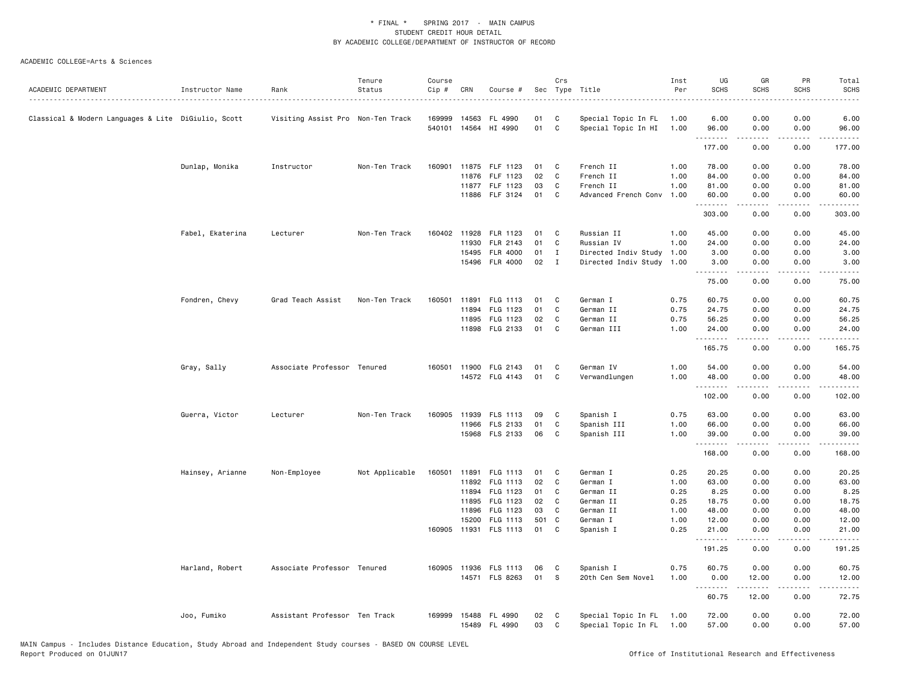|                                                     |                  |                                   | Tenure         | Course           |       |                          |          | Crs          |                                            | Inst         | UG                                                                                                                                                                                                                                                                                                                                                                                                                                                                                               | GR            | PR                                  | Total                                                                                                                                                                                                                                                                                                                                                                                                                                                                                            |
|-----------------------------------------------------|------------------|-----------------------------------|----------------|------------------|-------|--------------------------|----------|--------------|--------------------------------------------|--------------|--------------------------------------------------------------------------------------------------------------------------------------------------------------------------------------------------------------------------------------------------------------------------------------------------------------------------------------------------------------------------------------------------------------------------------------------------------------------------------------------------|---------------|-------------------------------------|--------------------------------------------------------------------------------------------------------------------------------------------------------------------------------------------------------------------------------------------------------------------------------------------------------------------------------------------------------------------------------------------------------------------------------------------------------------------------------------------------|
| ACADEMIC DEPARTMENT                                 | Instructor Name  | Rank                              | Status         | Cip #            | CRN   | Course #                 |          |              | Sec Type Title                             | Per          | <b>SCHS</b>                                                                                                                                                                                                                                                                                                                                                                                                                                                                                      | SCHS          | <b>SCHS</b>                         | <b>SCHS</b>                                                                                                                                                                                                                                                                                                                                                                                                                                                                                      |
|                                                     |                  |                                   |                |                  |       |                          |          |              |                                            |              |                                                                                                                                                                                                                                                                                                                                                                                                                                                                                                  |               |                                     |                                                                                                                                                                                                                                                                                                                                                                                                                                                                                                  |
| Classical & Modern Languages & Lite DiGiulio, Scott |                  | Visiting Assist Pro Non-Ten Track |                | 169999<br>540101 | 14563 | FL 4990<br>14564 HI 4990 | 01<br>01 | C<br>C       | Special Topic In FL<br>Special Topic In HI | 1.00<br>1.00 | 6.00<br>96.00                                                                                                                                                                                                                                                                                                                                                                                                                                                                                    | 0.00<br>0.00  | 0.00<br>0.00                        | 6.00<br>96.00                                                                                                                                                                                                                                                                                                                                                                                                                                                                                    |
|                                                     |                  |                                   |                |                  |       |                          |          |              |                                            |              | $\begin{array}{cccccccccccccc} \multicolumn{2}{c}{} & \multicolumn{2}{c}{} & \multicolumn{2}{c}{} & \multicolumn{2}{c}{} & \multicolumn{2}{c}{} & \multicolumn{2}{c}{} & \multicolumn{2}{c}{} & \multicolumn{2}{c}{} & \multicolumn{2}{c}{} & \multicolumn{2}{c}{} & \multicolumn{2}{c}{} & \multicolumn{2}{c}{} & \multicolumn{2}{c}{} & \multicolumn{2}{c}{} & \multicolumn{2}{c}{} & \multicolumn{2}{c}{} & \multicolumn{2}{c}{} & \multicolumn{2}{c}{} & \multicolumn{2}{c}{} & \$<br>177.00 | .<br>0.00     | .<br>0.00                           | $\begin{array}{cccccccccccccc} \multicolumn{2}{c}{} & \multicolumn{2}{c}{} & \multicolumn{2}{c}{} & \multicolumn{2}{c}{} & \multicolumn{2}{c}{} & \multicolumn{2}{c}{} & \multicolumn{2}{c}{} & \multicolumn{2}{c}{} & \multicolumn{2}{c}{} & \multicolumn{2}{c}{} & \multicolumn{2}{c}{} & \multicolumn{2}{c}{} & \multicolumn{2}{c}{} & \multicolumn{2}{c}{} & \multicolumn{2}{c}{} & \multicolumn{2}{c}{} & \multicolumn{2}{c}{} & \multicolumn{2}{c}{} & \multicolumn{2}{c}{} & \$<br>177.00 |
|                                                     |                  |                                   |                |                  |       |                          |          |              |                                            |              |                                                                                                                                                                                                                                                                                                                                                                                                                                                                                                  |               |                                     |                                                                                                                                                                                                                                                                                                                                                                                                                                                                                                  |
|                                                     | Dunlap, Monika   | Instructor                        | Non-Ten Track  |                  |       | 160901 11875 FLF 1123    | 01       | C            | French II                                  | 1.00         | 78.00                                                                                                                                                                                                                                                                                                                                                                                                                                                                                            | 0.00          | 0.00                                | 78.00                                                                                                                                                                                                                                                                                                                                                                                                                                                                                            |
|                                                     |                  |                                   |                |                  |       | 11876 FLF 1123           | 02       | $\mathbb{C}$ | French II                                  | 1.00         | 84.00                                                                                                                                                                                                                                                                                                                                                                                                                                                                                            | 0.00          | 0.00                                | 84.00                                                                                                                                                                                                                                                                                                                                                                                                                                                                                            |
|                                                     |                  |                                   |                |                  |       | 11877 FLF 1123           | 03       | C            | French II                                  | 1.00         | 81.00                                                                                                                                                                                                                                                                                                                                                                                                                                                                                            | 0.00          | 0.00                                | 81.00                                                                                                                                                                                                                                                                                                                                                                                                                                                                                            |
|                                                     |                  |                                   |                |                  |       | 11886 FLF 3124           | 01       | C            | Advanced French Conv                       | 1.00         | 60.00<br>.                                                                                                                                                                                                                                                                                                                                                                                                                                                                                       | 0.00<br>.     | 0.00<br>$\sim$ $\sim$ $\sim$ $\sim$ | 60.00<br>.                                                                                                                                                                                                                                                                                                                                                                                                                                                                                       |
|                                                     |                  |                                   |                |                  |       |                          |          |              |                                            |              | 303.00                                                                                                                                                                                                                                                                                                                                                                                                                                                                                           | 0.00          | 0.00                                | 303.00                                                                                                                                                                                                                                                                                                                                                                                                                                                                                           |
|                                                     | Fabel, Ekaterina | Lecturer                          | Non-Ten Track  |                  |       | 160402 11928 FLR 1123    | 01       | C            | Russian II                                 | 1.00         | 45.00                                                                                                                                                                                                                                                                                                                                                                                                                                                                                            | 0.00          | 0.00                                | 45.00                                                                                                                                                                                                                                                                                                                                                                                                                                                                                            |
|                                                     |                  |                                   |                |                  | 11930 | FLR 2143                 | 01       | C            | Russian IV                                 | 1.00         | 24.00                                                                                                                                                                                                                                                                                                                                                                                                                                                                                            | 0.00          | 0.00                                | 24.00                                                                                                                                                                                                                                                                                                                                                                                                                                                                                            |
|                                                     |                  |                                   |                |                  | 15495 | <b>FLR 4000</b>          | 01       | $\mathbf{I}$ | Directed Indiv Study                       | 1.00         | 3.00                                                                                                                                                                                                                                                                                                                                                                                                                                                                                             | 0.00          | 0.00                                | 3.00                                                                                                                                                                                                                                                                                                                                                                                                                                                                                             |
|                                                     |                  |                                   |                |                  |       | 15496 FLR 4000           | 02       | $\mathbf{I}$ | Directed Indiv Study 1.00                  |              | 3.00<br>.                                                                                                                                                                                                                                                                                                                                                                                                                                                                                        | 0.00<br>.     | 0.00<br>.                           | 3.00<br>.                                                                                                                                                                                                                                                                                                                                                                                                                                                                                        |
|                                                     |                  |                                   |                |                  |       |                          |          |              |                                            |              | 75.00                                                                                                                                                                                                                                                                                                                                                                                                                                                                                            | 0.00          | 0.00                                | 75.00                                                                                                                                                                                                                                                                                                                                                                                                                                                                                            |
|                                                     | Fondren, Chevy   | Grad Teach Assist                 | Non-Ten Track  | 160501           | 11891 | FLG 1113                 | 01       | C            | German I                                   | 0.75         | 60.75                                                                                                                                                                                                                                                                                                                                                                                                                                                                                            | 0.00          | 0.00                                | 60.75                                                                                                                                                                                                                                                                                                                                                                                                                                                                                            |
|                                                     |                  |                                   |                |                  | 11894 | FLG 1123                 | 01       | C            | German II                                  | 0.75         | 24.75                                                                                                                                                                                                                                                                                                                                                                                                                                                                                            | 0.00          | 0.00                                | 24.75                                                                                                                                                                                                                                                                                                                                                                                                                                                                                            |
|                                                     |                  |                                   |                |                  | 11895 | FLG 1123                 | 02       | C            | German II                                  | 0.75         | 56.25                                                                                                                                                                                                                                                                                                                                                                                                                                                                                            | 0.00          | 0.00                                | 56.25                                                                                                                                                                                                                                                                                                                                                                                                                                                                                            |
|                                                     |                  |                                   |                |                  |       | 11898 FLG 2133           | 01       | C            | German III                                 | 1.00         | 24.00<br><u>.</u>                                                                                                                                                                                                                                                                                                                                                                                                                                                                                | 0.00<br>.     | 0.00                                | 24.00<br>.                                                                                                                                                                                                                                                                                                                                                                                                                                                                                       |
|                                                     |                  |                                   |                |                  |       |                          |          |              |                                            |              | 165.75                                                                                                                                                                                                                                                                                                                                                                                                                                                                                           | 0.00          | 0.00                                | 165.75                                                                                                                                                                                                                                                                                                                                                                                                                                                                                           |
|                                                     | Gray, Sally      | Associate Professor Tenured       |                |                  |       | 160501 11900 FLG 2143    | 01       | C            | German IV                                  | 1.00         | 54.00                                                                                                                                                                                                                                                                                                                                                                                                                                                                                            | 0.00          | 0.00                                | 54.00                                                                                                                                                                                                                                                                                                                                                                                                                                                                                            |
|                                                     |                  |                                   |                |                  |       | 14572 FLG 4143           | 01       | C            | Verwandlungen                              | 1.00         | 48.00<br><u>.</u>                                                                                                                                                                                                                                                                                                                                                                                                                                                                                | 0.00<br>22222 | 0.00<br>.                           | 48.00<br>.                                                                                                                                                                                                                                                                                                                                                                                                                                                                                       |
|                                                     |                  |                                   |                |                  |       |                          |          |              |                                            |              | 102.00                                                                                                                                                                                                                                                                                                                                                                                                                                                                                           | 0.00          | 0.00                                | 102.00                                                                                                                                                                                                                                                                                                                                                                                                                                                                                           |
|                                                     | Guerra, Victor   | Lecturer                          | Non-Ten Track  | 160905           |       | 11939 FLS 1113           | 09       | C            | Spanish I                                  | 0.75         | 63.00                                                                                                                                                                                                                                                                                                                                                                                                                                                                                            | 0.00          | 0.00                                | 63.00                                                                                                                                                                                                                                                                                                                                                                                                                                                                                            |
|                                                     |                  |                                   |                |                  |       | 11966 FLS 2133           | 01       | $\mathbb{C}$ | Spanish III                                | 1.00         | 66.00                                                                                                                                                                                                                                                                                                                                                                                                                                                                                            | 0.00          | 0.00                                | 66.00                                                                                                                                                                                                                                                                                                                                                                                                                                                                                            |
|                                                     |                  |                                   |                |                  |       | 15968 FLS 2133           | 06       | C            | Spanish III                                | 1.00         | 39.00                                                                                                                                                                                                                                                                                                                                                                                                                                                                                            | 0.00          | 0.00                                | 39.00                                                                                                                                                                                                                                                                                                                                                                                                                                                                                            |
|                                                     |                  |                                   |                |                  |       |                          |          |              |                                            |              | <u>.</u><br>168.00                                                                                                                                                                                                                                                                                                                                                                                                                                                                               | .<br>0.00     | $\sim$ $\sim$ $\sim$<br>0.00        | المتماما<br>168.00                                                                                                                                                                                                                                                                                                                                                                                                                                                                               |
|                                                     | Hainsey, Arianne | Non-Employee                      | Not Applicable |                  |       | 160501 11891 FLG 1113    | 01       | C            | German I                                   | 0.25         | 20.25                                                                                                                                                                                                                                                                                                                                                                                                                                                                                            | 0.00          | 0.00                                | 20.25                                                                                                                                                                                                                                                                                                                                                                                                                                                                                            |
|                                                     |                  |                                   |                |                  |       | 11892 FLG 1113           | 02       | C            | German I                                   | 1.00         | 63.00                                                                                                                                                                                                                                                                                                                                                                                                                                                                                            | 0.00          | 0.00                                | 63.00                                                                                                                                                                                                                                                                                                                                                                                                                                                                                            |
|                                                     |                  |                                   |                |                  | 11894 | FLG 1123                 | 01       | C            | German II                                  | 0.25         | 8.25                                                                                                                                                                                                                                                                                                                                                                                                                                                                                             | 0.00          | 0.00                                | 8.25                                                                                                                                                                                                                                                                                                                                                                                                                                                                                             |
|                                                     |                  |                                   |                |                  | 11895 | FLG 1123                 | 02       | C            | German II                                  | 0.25         | 18.75                                                                                                                                                                                                                                                                                                                                                                                                                                                                                            | 0.00          | 0.00                                | 18.75                                                                                                                                                                                                                                                                                                                                                                                                                                                                                            |
|                                                     |                  |                                   |                |                  | 11896 | FLG 1123                 | 03       | C            | German II                                  | 1.00         | 48.00                                                                                                                                                                                                                                                                                                                                                                                                                                                                                            | 0.00          | 0.00                                | 48.00                                                                                                                                                                                                                                                                                                                                                                                                                                                                                            |
|                                                     |                  |                                   |                |                  | 15200 | FLG 1113                 | 501 C    |              | German I                                   | 1.00         | 12.00                                                                                                                                                                                                                                                                                                                                                                                                                                                                                            | 0.00          | 0.00                                | 12.00                                                                                                                                                                                                                                                                                                                                                                                                                                                                                            |
|                                                     |                  |                                   |                |                  |       | 160905 11931 FLS 1113    | 01       | C            | Spanish I                                  | 0.25         | 21.00                                                                                                                                                                                                                                                                                                                                                                                                                                                                                            | 0.00          | 0.00                                | 21.00                                                                                                                                                                                                                                                                                                                                                                                                                                                                                            |
|                                                     |                  |                                   |                |                  |       |                          |          |              |                                            |              | 191.25                                                                                                                                                                                                                                                                                                                                                                                                                                                                                           | .<br>0.00     | .<br>0.00                           | <u>.</u><br>191.25                                                                                                                                                                                                                                                                                                                                                                                                                                                                               |
|                                                     | Harland, Robert  | Associate Professor Tenured       |                |                  |       | 160905 11936 FLS 1113    | 06       | C            | Spanish I                                  | 0.75         | 60.75                                                                                                                                                                                                                                                                                                                                                                                                                                                                                            | 0.00          | 0.00                                | 60.75                                                                                                                                                                                                                                                                                                                                                                                                                                                                                            |
|                                                     |                  |                                   |                |                  |       | 14571 FLS 8263           | 01       | S            | 20th Cen Sem Novel                         | 1.00         | 0.00                                                                                                                                                                                                                                                                                                                                                                                                                                                                                             | 12.00         | 0.00                                | 12.00                                                                                                                                                                                                                                                                                                                                                                                                                                                                                            |
|                                                     |                  |                                   |                |                  |       |                          |          |              |                                            |              | .<br>60.75                                                                                                                                                                                                                                                                                                                                                                                                                                                                                       | .<br>12.00    | .<br>0.00                           | .<br>72.75                                                                                                                                                                                                                                                                                                                                                                                                                                                                                       |
|                                                     | Joo, Fumiko      | Assistant Professor Ten Track     |                | 169999           |       | 15488 FL 4990            | 02       | C            | Special Topic In FL                        | 1.00         | 72.00                                                                                                                                                                                                                                                                                                                                                                                                                                                                                            | 0.00          | 0.00                                | 72.00                                                                                                                                                                                                                                                                                                                                                                                                                                                                                            |
|                                                     |                  |                                   |                |                  |       | 15489 FL 4990            | 03       | C            | Special Topic In FL                        | 1.00         | 57.00                                                                                                                                                                                                                                                                                                                                                                                                                                                                                            | 0.00          | 0.00                                | 57.00                                                                                                                                                                                                                                                                                                                                                                                                                                                                                            |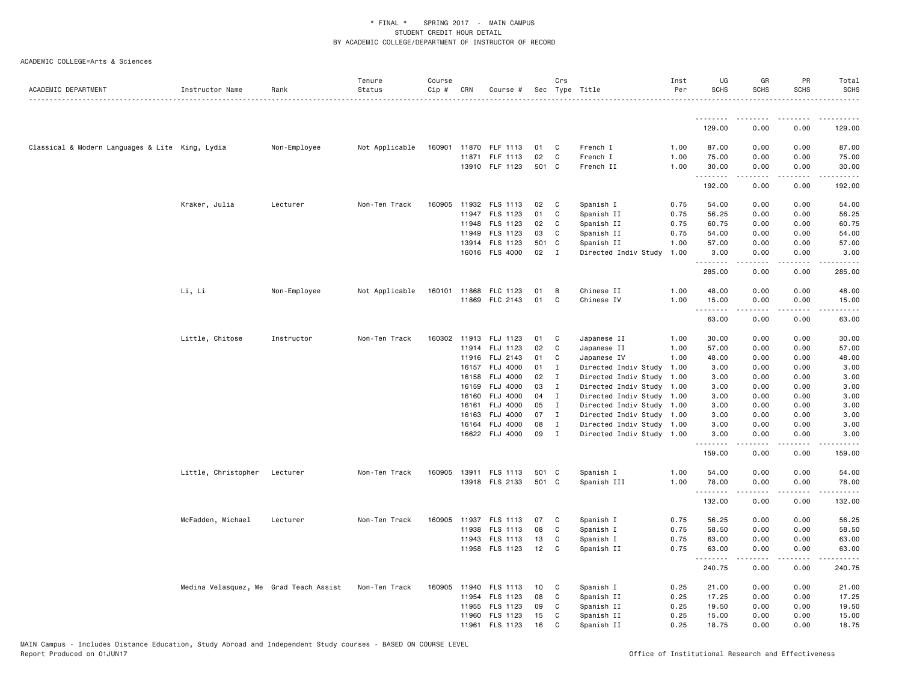|                                                 |                                        |              | Tenure         | Course |       |                       |       | Crs          |                           | Inst | UG               | GR               | PR          | Total            |
|-------------------------------------------------|----------------------------------------|--------------|----------------|--------|-------|-----------------------|-------|--------------|---------------------------|------|------------------|------------------|-------------|------------------|
| ACADEMIC DEPARTMENT                             | Instructor Name                        | Rank         | Status         | Cip #  | CRN   | Course #              |       |              | Sec Type Title            | Per  | <b>SCHS</b>      | <b>SCHS</b>      | <b>SCHS</b> | <b>SCHS</b><br>. |
|                                                 |                                        |              |                |        |       |                       |       |              |                           |      | .                | . <u>.</u>       | <u>.</u>    | .                |
|                                                 |                                        |              |                |        |       |                       |       |              |                           |      | 129.00           | 0.00             | 0.00        | 129.00           |
| Classical & Modern Languages & Lite King, Lydia |                                        | Non-Employee | Not Applicable | 160901 |       | 11870 FLF 1113        | 01    | C            | French I                  | 1.00 | 87.00            | 0.00             | 0.00        | 87.00            |
|                                                 |                                        |              |                |        |       | 11871 FLF 1113        | 02    | $\mathbf{C}$ | French I                  | 1.00 | 75.00            | 0.00             | 0.00        | 75.00            |
|                                                 |                                        |              |                |        |       | 13910 FLF 1123        | 501 C |              | French II                 | 1.00 | 30.00            | 0.00             | 0.00        | 30.00            |
|                                                 |                                        |              |                |        |       |                       |       |              |                           |      | .<br>192.00      | .<br>0.00        | .<br>0.00   | .<br>192.00      |
|                                                 | Kraker, Julia                          | Lecturer     | Non-Ten Track  | 160905 |       | 11932 FLS 1113        | 02    | C            | Spanish I                 | 0.75 | 54.00            | 0.00             | 0.00        | 54.00            |
|                                                 |                                        |              |                |        |       | 11947 FLS 1123        | 01    | C            | Spanish II                | 0.75 | 56.25            | 0.00             | 0.00        | 56.25            |
|                                                 |                                        |              |                |        |       | 11948 FLS 1123        | 02    | C            | Spanish II                | 0.75 | 60.75            | 0.00             | 0.00        | 60.75            |
|                                                 |                                        |              |                |        |       | 11949 FLS 1123        | 03    | C            | Spanish II                | 0.75 | 54.00            | 0.00             | 0.00        | 54.00            |
|                                                 |                                        |              |                |        |       | 13914 FLS 1123        | 501 C |              | Spanish II                | 1.00 | 57.00            | 0.00             | 0.00        | 57.00            |
|                                                 |                                        |              |                |        |       | 16016 FLS 4000        | 02    | $\mathbf{I}$ | Directed Indiv Study      | 1.00 | 3.00             | 0.00             | 0.00        | 3.00             |
|                                                 |                                        |              |                |        |       |                       |       |              |                           |      | .<br>285.00      | 0.00             | 0.00        | .<br>285.00      |
|                                                 | Li, Li                                 | Non-Employee | Not Applicable |        |       | 160101 11868 FLC 1123 | 01    | В            | Chinese II                | 1.00 | 48.00            | 0.00             | 0.00        | 48.00            |
|                                                 |                                        |              |                |        |       | 11869 FLC 2143        | 01    | C            | Chinese IV                | 1.00 | 15.00            | 0.00             | 0.00        | 15.00            |
|                                                 |                                        |              |                |        |       |                       |       |              |                           |      | <b></b><br>63.00 | <u>.</u><br>0.00 | .<br>0.00   | .<br>63.00       |
|                                                 | Little, Chitose                        | Instructor   | Non-Ten Track  |        |       | 160302 11913 FLJ 1123 | 01    | C            | Japanese II               | 1.00 | 30.00            | 0.00             | 0.00        | 30.00            |
|                                                 |                                        |              |                |        |       | 11914 FLJ 1123        | 02    | C            | Japanese II               | 1.00 | 57.00            | 0.00             | 0.00        | 57.00            |
|                                                 |                                        |              |                |        |       | 11916 FLJ 2143        | 01    | C            | Japanese IV               | 1.00 | 48.00            | 0.00             | 0.00        | 48.00            |
|                                                 |                                        |              |                |        |       | 16157 FLJ 4000        | 01    | $\mathbf{I}$ | Directed Indiv Study 1.00 |      | 3.00             | 0.00             | 0.00        | 3.00             |
|                                                 |                                        |              |                |        | 16158 | <b>FLJ 4000</b>       | 02    | $\mathbf{I}$ | Directed Indiv Study      | 1.00 | 3.00             | 0.00             | 0.00        | 3.00             |
|                                                 |                                        |              |                |        | 16159 | <b>FLJ 4000</b>       | 03    | I            | Directed Indiv Study 1.00 |      | 3.00             | 0.00             | 0.00        | 3.00             |
|                                                 |                                        |              |                |        |       | 16160 FLJ 4000        | 04    | $\mathbf{I}$ | Directed Indiv Study 1.00 |      | 3.00             | 0.00             | 0.00        | 3.00             |
|                                                 |                                        |              |                |        | 16161 | <b>FLJ 4000</b>       | 05    | $\mathbf{I}$ | Directed Indiv Study 1.00 |      | 3.00             | 0.00             | 0.00        | 3.00             |
|                                                 |                                        |              |                |        |       | 16163 FLJ 4000        | 07    | $\mathbf{I}$ | Directed Indiv Study 1.00 |      | 3.00             | 0.00             | 0.00        | 3.00             |
|                                                 |                                        |              |                |        |       | 16164 FLJ 4000        | 08    | $\mathbf{I}$ | Directed Indiv Study 1.00 |      | 3.00             | 0.00             | 0.00        | 3.00             |
|                                                 |                                        |              |                |        |       | 16622 FLJ 4000        | 09    | $\mathbf{I}$ | Directed Indiv Study 1.00 |      | 3.00             | 0.00             | 0.00        | 3.00             |
|                                                 |                                        |              |                |        |       |                       |       |              |                           |      | .<br>159.00      | .<br>0.00        | .<br>0.00   | .<br>159.00      |
|                                                 | Little, Christopher                    | Lecturer     | Non-Ten Track  | 160905 |       | 13911 FLS 1113        | 501 C |              | Spanish I                 | 1.00 | 54.00            | 0.00             | 0.00        | 54.00            |
|                                                 |                                        |              |                |        |       | 13918 FLS 2133        | 501 C |              | Spanish III               | 1.00 | 78.00            | 0.00             | 0.00        | 78.00            |
|                                                 |                                        |              |                |        |       |                       |       |              |                           |      | .<br>132.00      | 0.00             | .<br>0.00   | .<br>132.00      |
|                                                 | McFadden, Michael                      | Lecturer     | Non-Ten Track  | 160905 |       | 11937 FLS 1113        | 07    | C            | Spanish I                 | 0.75 | 56.25            | 0.00             | 0.00        | 56.25            |
|                                                 |                                        |              |                |        |       | 11938 FLS 1113        | 08    | C            | Spanish I                 | 0.75 | 58.50            | 0.00             | 0.00        | 58.50            |
|                                                 |                                        |              |                |        |       | 11943 FLS 1113        | 13    | C            | Spanish I                 | 0.75 | 63.00            | 0.00             | 0.00        | 63.00            |
|                                                 |                                        |              |                |        |       | 11958 FLS 1123        | 12    | C            | Spanish II                | 0.75 | 63.00            | 0.00             | 0.00        | 63.00            |
|                                                 |                                        |              |                |        |       |                       |       |              |                           |      | 240.75           | 0.00             | 0.00        | 240.75           |
|                                                 |                                        |              |                |        |       |                       |       |              |                           |      |                  |                  |             |                  |
|                                                 | Medina Velasquez, Me Grad Teach Assist |              | Non-Ten Track  |        |       | 160905 11940 FLS 1113 | 10    | C            | Spanish I                 | 0.25 | 21.00            | 0.00             | 0.00        | 21.00            |
|                                                 |                                        |              |                |        |       | 11954 FLS 1123        | 08    | C            | Spanish II                | 0.25 | 17.25            | 0.00             | 0.00        | 17.25            |
|                                                 |                                        |              |                |        |       | 11955 FLS 1123        | 09    | C            | Spanish II                | 0.25 | 19.50            | 0.00             | 0.00        | 19.50            |
|                                                 |                                        |              |                |        |       | 11960 FLS 1123        | 15    | C            | Spanish II                | 0.25 | 15.00            | 0.00             | 0.00        | 15.00            |
|                                                 |                                        |              |                |        | 11961 | FLS 1123              | 16    | C.           | Spanish II                | 0.25 | 18.75            | 0.00             | 0.00        | 18.75            |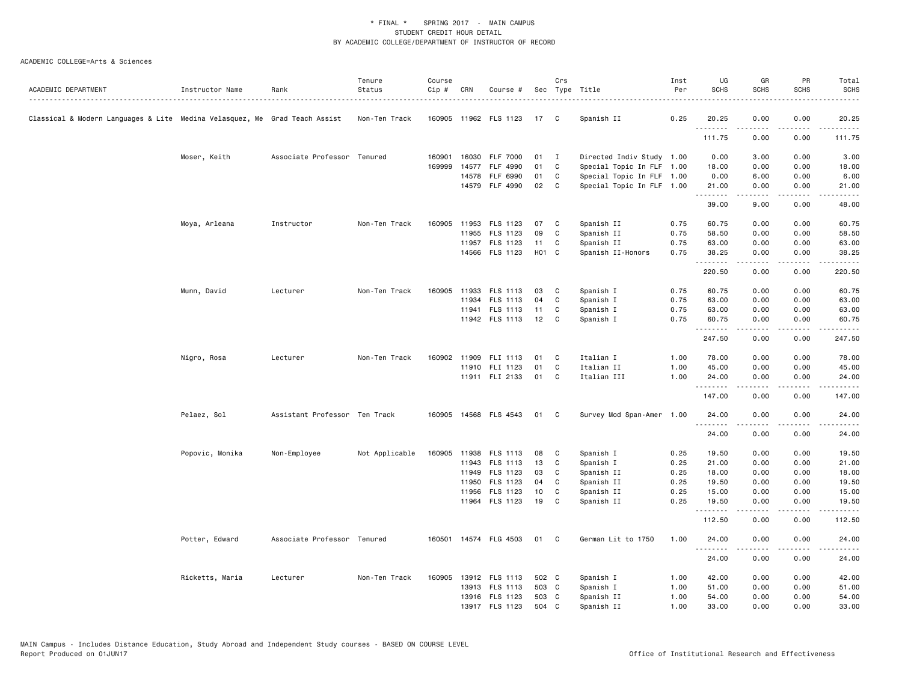|                                                                            |                 |                               | Tenure         | Course |       |                       |       | Crs            |                           | Inst | UG                  | GR          | PR                                          | Total                                                                                                                              |
|----------------------------------------------------------------------------|-----------------|-------------------------------|----------------|--------|-------|-----------------------|-------|----------------|---------------------------|------|---------------------|-------------|---------------------------------------------|------------------------------------------------------------------------------------------------------------------------------------|
| ACADEMIC DEPARTMENT                                                        | Instructor Name | Rank                          | Status<br>.    | Cip #  | CRN   | Course #              |       |                | Sec Type Title            | Per  | <b>SCHS</b>         | <b>SCHS</b> | <b>SCHS</b>                                 | <b>SCHS</b>                                                                                                                        |
|                                                                            |                 |                               |                |        |       |                       |       |                |                           |      |                     |             |                                             |                                                                                                                                    |
| Classical & Modern Languages & Lite Medina Velasquez, Me Grad Teach Assist |                 |                               | Non-Ten Track  |        |       | 160905 11962 FLS 1123 | 17    | C              | Spanish II                | 0.25 | 20.25<br>. <b>.</b> | 0.00<br>.   | 0.00<br>.                                   | 20.25<br><u>.</u>                                                                                                                  |
|                                                                            |                 |                               |                |        |       |                       |       |                |                           |      | 111.75              | 0.00        | 0.00                                        | 111.75                                                                                                                             |
|                                                                            | Moser, Keith    | Associate Professor Tenured   |                | 160901 |       | 16030 FLF 7000        | 01    | $\blacksquare$ | Directed Indiv Study 1.00 |      | 0.00                | 3.00        | 0.00                                        | 3.00                                                                                                                               |
|                                                                            |                 |                               |                | 169999 |       | 14577 FLF 4990        | 01    | C              | Special Topic In FLF 1.00 |      | 18.00               | 0.00        | 0.00                                        | 18.00                                                                                                                              |
|                                                                            |                 |                               |                |        |       | 14578 FLF 6990        | 01    | C              | Special Topic In FLF 1.00 |      | 0.00                | 6.00        | 0.00                                        | 6.00                                                                                                                               |
|                                                                            |                 |                               |                |        |       | 14579 FLF 4990        | 02    | $\mathbf{C}$   | Special Topic In FLF 1.00 |      | 21.00<br>.          | 0.00<br>.   | 0.00<br>.                                   | 21.00<br>، د د د د .                                                                                                               |
|                                                                            |                 |                               |                |        |       |                       |       |                |                           |      | 39.00               | 9.00        | 0.00                                        | 48.00                                                                                                                              |
|                                                                            | Moya, Arleana   | Instructor                    | Non-Ten Track  | 160905 |       | 11953 FLS 1123        | 07    | C              | Spanish II                | 0.75 | 60.75               | 0.00        | 0.00                                        | 60.75                                                                                                                              |
|                                                                            |                 |                               |                |        |       | 11955 FLS 1123        | 09    | C              | Spanish II                | 0.75 | 58.50               | 0.00        | 0.00                                        | 58.50                                                                                                                              |
|                                                                            |                 |                               |                |        |       | 11957 FLS 1123        | 11    | C              | Spanish II                | 0.75 | 63.00               | 0.00        | 0.00                                        | 63.00                                                                                                                              |
|                                                                            |                 |                               |                |        |       | 14566 FLS 1123        | H01 C |                | Spanish II-Honors         | 0.75 | 38.25<br>.          | 0.00        | 0.00<br>.                                   | 38.25<br>.                                                                                                                         |
|                                                                            |                 |                               |                |        |       |                       |       |                |                           |      | 220.50              | 0.00        | 0.00                                        | 220.50                                                                                                                             |
|                                                                            | Munn, David     | Lecturer                      | Non-Ten Track  |        |       | 160905 11933 FLS 1113 | 03    | C              | Spanish I                 | 0.75 | 60.75               | 0.00        | 0.00                                        | 60.75                                                                                                                              |
|                                                                            |                 |                               |                |        |       | 11934 FLS 1113        | 04    | C              | Spanish I                 | 0.75 | 63.00               | 0.00        | 0.00                                        | 63.00                                                                                                                              |
|                                                                            |                 |                               |                |        |       | 11941 FLS 1113        | 11    | C              | Spanish I                 | 0.75 | 63.00               | 0.00        | 0.00                                        | 63.00                                                                                                                              |
|                                                                            |                 |                               |                |        |       | 11942 FLS 1113        | 12    | C              | Spanish I                 | 0.75 | 60.75<br>.          | 0.00<br>.   | 0.00<br>$\sim$ $\sim$ $\sim$                | 60.75<br>المتماما                                                                                                                  |
|                                                                            |                 |                               |                |        |       |                       |       |                |                           |      | 247.50              | 0.00        | 0.00                                        | 247.50                                                                                                                             |
|                                                                            | Nigro, Rosa     | Lecturer                      | Non-Ten Track  |        |       | 160902 11909 FLI 1113 | 01    | C              | Italian I                 | 1.00 | 78.00               | 0.00        | 0.00                                        | 78.00                                                                                                                              |
|                                                                            |                 |                               |                |        |       | 11910 FLI 1123        | 01    | C              | Italian II                | 1.00 | 45.00               | 0.00        | 0.00                                        | 45.00                                                                                                                              |
|                                                                            |                 |                               |                |        |       | 11911 FLI 2133        | 01    | C              | Italian III               | 1.00 | 24.00<br>.          | 0.00<br>.   | 0.00<br>$- - - -$                           | 24.00<br>$\frac{1}{2} \left( \frac{1}{2} \right) \left( \frac{1}{2} \right) \left( \frac{1}{2} \right) \left( \frac{1}{2} \right)$ |
|                                                                            |                 |                               |                |        |       |                       |       |                |                           |      | 147.00              | 0.00        | 0.00                                        | 147.00                                                                                                                             |
|                                                                            | Pelaez, Sol     | Assistant Professor Ten Track |                |        |       | 160905 14568 FLS 4543 | 01    | C              | Survey Mod Span-Amer 1.00 |      | 24.00<br>.          | 0.00<br>.   | 0.00<br>.                                   | 24.00<br>.                                                                                                                         |
|                                                                            |                 |                               |                |        |       |                       |       |                |                           |      | 24.00               | 0.00        | 0.00                                        | 24.00                                                                                                                              |
|                                                                            | Popovic, Monika | Non-Employee                  | Not Applicable |        |       | 160905 11938 FLS 1113 | 08    | C              | Spanish I                 | 0.25 | 19.50               | 0.00        | 0.00                                        | 19.50                                                                                                                              |
|                                                                            |                 |                               |                |        |       | 11943 FLS 1113        | 13    | C              | Spanish I                 | 0.25 | 21.00               | 0.00        | 0.00                                        | 21.00                                                                                                                              |
|                                                                            |                 |                               |                |        |       | 11949 FLS 1123        | 03    | C              | Spanish II                | 0.25 | 18.00               | 0.00        | 0.00                                        | 18.00                                                                                                                              |
|                                                                            |                 |                               |                |        |       | 11950 FLS 1123        | 04    | C              | Spanish II                | 0.25 | 19.50               | 0.00        | 0.00                                        | 19.50                                                                                                                              |
|                                                                            |                 |                               |                |        | 11956 | FLS 1123              | 10    | C              | Spanish II                | 0.25 | 15.00               | 0.00        | 0.00                                        | 15.00                                                                                                                              |
|                                                                            |                 |                               |                |        |       | 11964 FLS 1123        | 19    | C              | Spanish II                | 0.25 | 19.50<br>.          | 0.00<br>.   | 0.00<br>$\omega$ $\omega$ $\omega$ $\omega$ | 19.50<br>.                                                                                                                         |
|                                                                            |                 |                               |                |        |       |                       |       |                |                           |      | 112.50              | 0.00        | 0.00                                        | 112.50                                                                                                                             |
|                                                                            | Potter, Edward  | Associate Professor Tenured   |                |        |       | 160501 14574 FLG 4503 | 01    | C              | German Lit to 1750        | 1.00 | 24.00               | 0.00        | 0.00                                        | 24.00                                                                                                                              |
|                                                                            |                 |                               |                |        |       |                       |       |                |                           |      | 24.00               | 0.00        | 0.00                                        | 24.00                                                                                                                              |
|                                                                            | Ricketts, Maria | Lecturer                      | Non-Ten Track  |        |       | 160905 13912 FLS 1113 | 502 C |                | Spanish I                 | 1.00 | 42.00               | 0.00        | 0.00                                        | 42.00                                                                                                                              |
|                                                                            |                 |                               |                |        |       | 13913 FLS 1113        | 503 C |                | Spanish I                 | 1.00 | 51.00               | 0.00        | 0.00                                        | 51.00                                                                                                                              |
|                                                                            |                 |                               |                |        |       | 13916 FLS 1123        | 503 C |                | Spanish II                | 1.00 | 54.00               | 0.00        | 0.00                                        | 54.00                                                                                                                              |
|                                                                            |                 |                               |                |        |       | 13917 FLS 1123        | 504   | C              | Spanish II                | 1.00 | 33.00               | 0.00        | 0.00                                        | 33.00                                                                                                                              |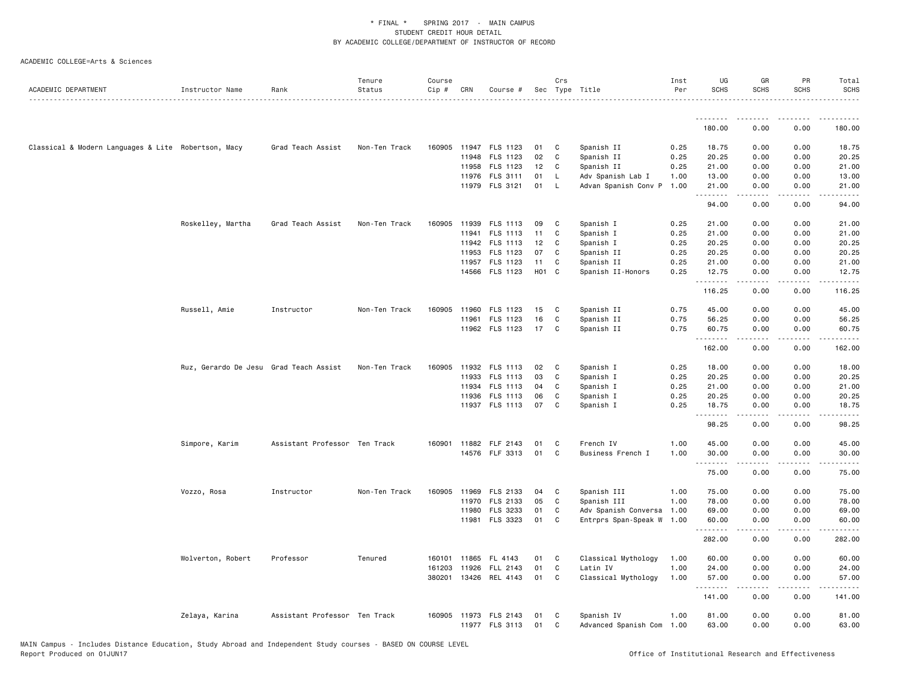| ACADEMIC DEPARTMENT                                 | Instructor Name                        | Rank                          | Tenure<br>Status | Course<br>$Cip \#$ | CRN   | Course #              |                   | Crs          | Sec Type Title            | Inst<br>Per | UG<br><b>SCHS</b> | GR<br><b>SCHS</b>                                                                                                                                            | PR<br><b>SCHS</b>            | Total<br><b>SCHS</b>                                                                                                 |
|-----------------------------------------------------|----------------------------------------|-------------------------------|------------------|--------------------|-------|-----------------------|-------------------|--------------|---------------------------|-------------|-------------------|--------------------------------------------------------------------------------------------------------------------------------------------------------------|------------------------------|----------------------------------------------------------------------------------------------------------------------|
|                                                     |                                        |                               |                  |                    |       |                       |                   |              |                           |             | --------          | <b></b>                                                                                                                                                      | <u>.</u>                     | .<br>.                                                                                                               |
|                                                     |                                        |                               |                  |                    |       |                       |                   |              |                           |             | 180.00            | 0.00                                                                                                                                                         | 0.00                         | 180.00                                                                                                               |
| Classical & Modern Languages & Lite Robertson, Macy |                                        | Grad Teach Assist             | Non-Ten Track    | 160905             |       | 11947 FLS 1123        | 01                | C            | Spanish II                | 0.25        | 18.75             | 0.00                                                                                                                                                         | 0.00                         | 18.75                                                                                                                |
|                                                     |                                        |                               |                  |                    |       | 11948 FLS 1123        | 02                | C            | Spanish II                | 0.25        | 20.25             | 0.00                                                                                                                                                         | 0.00                         | 20.25                                                                                                                |
|                                                     |                                        |                               |                  |                    |       | 11958 FLS 1123        | 12 <sub>2</sub>   | C            | Spanish II                | 0.25        | 21.00             | 0.00                                                                                                                                                         | 0.00                         | 21.00                                                                                                                |
|                                                     |                                        |                               |                  |                    |       | 11976 FLS 3111        | 01                | L.           | Adv Spanish Lab I         | 1.00        | 13.00             | 0.00                                                                                                                                                         | 0.00                         | 13.00                                                                                                                |
|                                                     |                                        |                               |                  |                    |       | 11979 FLS 3121        | 01                | L.           | Advan Spanish Conv P      | 1.00        | 21.00<br>.        | 0.00<br><u>.</u>                                                                                                                                             | 0.00<br>.                    | 21.00<br>.                                                                                                           |
|                                                     |                                        |                               |                  |                    |       |                       |                   |              |                           |             | 94.00             | 0.00                                                                                                                                                         | 0.00                         | 94.00                                                                                                                |
|                                                     | Roskelley, Martha                      | Grad Teach Assist             | Non-Ten Track    | 160905             |       | 11939 FLS 1113        | 09                | C            | Spanish I                 | 0.25        | 21.00             | 0.00                                                                                                                                                         | 0.00                         | 21.00                                                                                                                |
|                                                     |                                        |                               |                  |                    | 11941 | FLS 1113              | 11                | C            | Spanish I                 | 0.25        | 21.00             | 0.00                                                                                                                                                         | 0.00                         | 21.00                                                                                                                |
|                                                     |                                        |                               |                  |                    |       | 11942 FLS 1113        | 12                | C            | Spanish I                 | 0.25        | 20.25             | 0.00                                                                                                                                                         | 0.00                         | 20.25                                                                                                                |
|                                                     |                                        |                               |                  |                    | 11953 | FLS 1123              | 07                | C            | Spanish II                | 0.25        | 20.25             | 0.00                                                                                                                                                         | 0.00                         | 20.25                                                                                                                |
|                                                     |                                        |                               |                  |                    |       | 11957 FLS 1123        | 11                | C            | Spanish II                | 0.25        | 21.00             | 0.00                                                                                                                                                         | 0.00                         | 21.00                                                                                                                |
|                                                     |                                        |                               |                  |                    |       | 14566 FLS 1123        | H <sub>01</sub> C |              | Spanish II-Honors         | 0.25        | 12.75<br>.        | 0.00<br>$\frac{1}{2} \left( \frac{1}{2} \right) \left( \frac{1}{2} \right) \left( \frac{1}{2} \right) \left( \frac{1}{2} \right) \left( \frac{1}{2} \right)$ | 0.00<br>.                    | 12.75<br>$\begin{array}{cccccccccc} \bullet & \bullet & \bullet & \bullet & \bullet & \bullet & \bullet \end{array}$ |
|                                                     |                                        |                               |                  |                    |       |                       |                   |              |                           |             | 116.25            | 0.00                                                                                                                                                         | 0.00                         | 116.25                                                                                                               |
|                                                     | Russell, Amie                          | Instructor                    | Non-Ten Track    | 160905             |       | 11960 FLS 1123        | 15                | C            | Spanish II                | 0.75        | 45.00             | 0.00                                                                                                                                                         | 0.00                         | 45.00                                                                                                                |
|                                                     |                                        |                               |                  |                    |       | 11961 FLS 1123        | 16                | C            | Spanish II                | 0.75        | 56.25             | 0.00                                                                                                                                                         | 0.00                         | 56.25                                                                                                                |
|                                                     |                                        |                               |                  |                    |       | 11962 FLS 1123        | 17                | C            | Spanish II                | 0.75        | 60.75             | 0.00<br>.                                                                                                                                                    | 0.00<br>.                    | 60.75<br>.                                                                                                           |
|                                                     |                                        |                               |                  |                    |       |                       |                   |              |                           |             | 162.00            | 0.00                                                                                                                                                         | 0.00                         | 162.00                                                                                                               |
|                                                     | Ruz, Gerardo De Jesu Grad Teach Assist |                               | Non-Ten Track    |                    |       | 160905 11932 FLS 1113 | 02                | C            | Spanish I                 | 0.25        | 18.00             | 0.00                                                                                                                                                         | 0.00                         | 18.00                                                                                                                |
|                                                     |                                        |                               |                  |                    |       | 11933 FLS 1113        | 03                | C            | Spanish I                 | 0.25        | 20.25             | 0.00                                                                                                                                                         | 0.00                         | 20.25                                                                                                                |
|                                                     |                                        |                               |                  |                    |       | 11934 FLS 1113        | 04                | C            | Spanish I                 | 0.25        | 21.00             | 0.00                                                                                                                                                         | 0.00                         | 21.00                                                                                                                |
|                                                     |                                        |                               |                  |                    |       | 11936 FLS 1113        | 06                | C            | Spanish I                 | 0.25        | 20.25             | 0.00                                                                                                                                                         | 0.00                         | 20.25                                                                                                                |
|                                                     |                                        |                               |                  |                    |       | 11937 FLS 1113        | 07                | C            | Spanish I                 | 0.25        | 18.75<br>.        | 0.00<br>.                                                                                                                                                    | 0.00<br>.                    | 18.75<br>.                                                                                                           |
|                                                     |                                        |                               |                  |                    |       |                       |                   |              |                           |             | 98.25             | 0.00                                                                                                                                                         | 0.00                         | 98.25                                                                                                                |
|                                                     | Simpore, Karim                         | Assistant Professor Ten Track |                  | 160901             |       | 11882 FLF 2143        | 01                | C            | French IV                 | 1.00        | 45.00             | 0.00                                                                                                                                                         | 0.00                         | 45.00                                                                                                                |
|                                                     |                                        |                               |                  |                    |       | 14576 FLF 3313        | 01                | C            | Business French I         | 1.00        | 30.00             | 0.00                                                                                                                                                         | 0.00                         | 30.00                                                                                                                |
|                                                     |                                        |                               |                  |                    |       |                       |                   |              |                           |             | <u>.</u><br>75.00 | 0.00                                                                                                                                                         | 0.00                         | الداعات الما<br>75.00                                                                                                |
|                                                     | Vozzo, Rosa                            | Instructor                    | Non-Ten Track    | 160905             |       | 11969 FLS 2133        | 04                | C            | Spanish III               | 1.00        | 75.00             | 0.00                                                                                                                                                         | 0.00                         | 75.00                                                                                                                |
|                                                     |                                        |                               |                  |                    |       | 11970 FLS 2133        | 05                | $\mathbb{C}$ | Spanish III               | 1.00        | 78.00             | 0.00                                                                                                                                                         | 0.00                         | 78.00                                                                                                                |
|                                                     |                                        |                               |                  |                    | 11980 | FLS 3233              | 01                | C            | Adv Spanish Conversa      | 1.00        | 69.00             | 0.00                                                                                                                                                         | 0.00                         | 69.00                                                                                                                |
|                                                     |                                        |                               |                  |                    | 11981 | FLS 3323              | 01                | C            | Entrprs Span-Speak W      | 1.00        | 60.00<br><u>.</u> | 0.00                                                                                                                                                         | 0.00<br>$\sim$ $\sim$ $\sim$ | 60.00                                                                                                                |
|                                                     |                                        |                               |                  |                    |       |                       |                   |              |                           |             | 282.00            | 0.00                                                                                                                                                         | 0.00                         | 282.00                                                                                                               |
|                                                     | Wolverton, Robert                      | Professor                     | Tenured          |                    |       | 160101 11865 FL 4143  | 01                | C            | Classical Mythology       | 1.00        | 60.00             | 0.00                                                                                                                                                         | 0.00                         | 60.00                                                                                                                |
|                                                     |                                        |                               |                  | 161203             | 11926 | FLL 2143              | 01                | $\mathbb{C}$ | Latin IV                  | 1.00        | 24.00             | 0.00                                                                                                                                                         | 0.00                         | 24.00                                                                                                                |
|                                                     |                                        |                               |                  | 380201             |       | 13426 REL 4143        | 01                | C            | Classical Mythology       | 1.00        | 57.00<br>.        | 0.00<br>.                                                                                                                                                    | 0.00<br>.                    | 57.00<br>.                                                                                                           |
|                                                     |                                        |                               |                  |                    |       |                       |                   |              |                           |             | 141.00            | 0.00                                                                                                                                                         | 0.00                         | 141.00                                                                                                               |
|                                                     | Zelaya, Karina                         | Assistant Professor Ten Track |                  |                    |       | 160905 11973 FLS 2143 | 01                | C            | Spanish IV                | 1.00        | 81.00             | 0.00                                                                                                                                                         | 0.00                         | 81.00                                                                                                                |
|                                                     |                                        |                               |                  |                    |       | 11977 FLS 3113        | 01                | C            | Advanced Spanish Com 1.00 |             | 63.00             | 0.00                                                                                                                                                         | 0.00                         | 63.00                                                                                                                |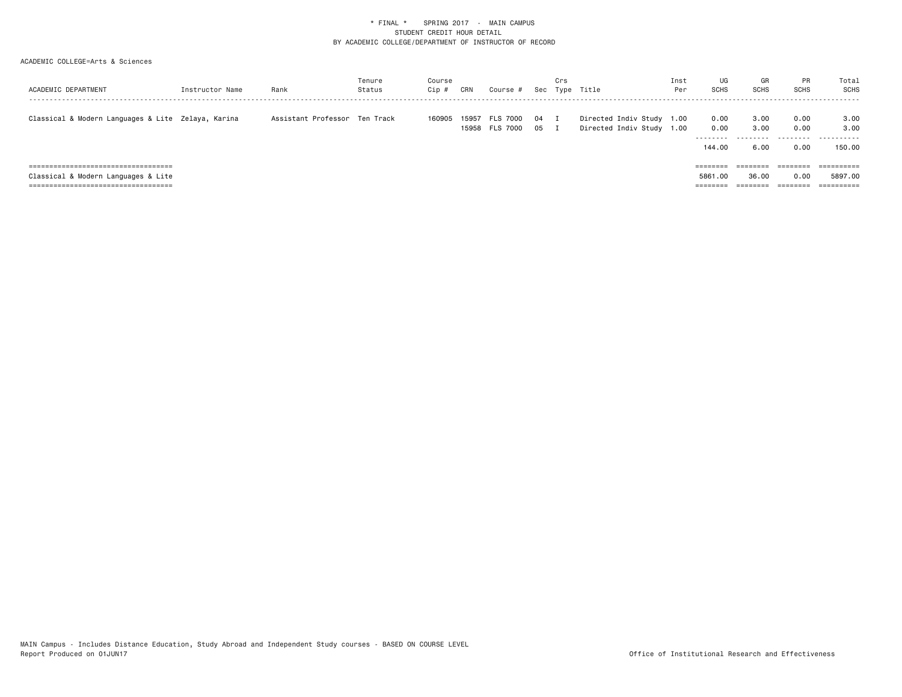|                                                    |                 |                               | Tenure | Course |       |                 |     | Crs |                           | Inst | UG          | GR          | PR                   | Total                 |
|----------------------------------------------------|-----------------|-------------------------------|--------|--------|-------|-----------------|-----|-----|---------------------------|------|-------------|-------------|----------------------|-----------------------|
| ACADEMIC DEPARTMENT                                | Instructor Name | Rank                          | Status | Cip #  | CRN   | Course #        | Sec |     | Type Title                | Per  | <b>SCHS</b> | <b>SCHS</b> | SCHS                 | <b>SCHS</b>           |
|                                                    |                 |                               |        |        |       |                 |     |     |                           |      |             |             |                      |                       |
| Classical & Modern Languages & Lite Zelaya, Karina |                 | Assistant Professor Ten Track |        | 160905 | 15957 | <b>FLS 7000</b> | 04  |     | Directed Indiv Study 1.00 |      | 0.00        | 3.00        | 0.00                 | 3.00                  |
|                                                    |                 |                               |        |        |       | 15958 FLS 7000  | 05  |     | Directed Indiv Study 1.00 |      | 0.00        | 3,00        | 0.00                 | 3.00                  |
|                                                    |                 |                               |        |        |       |                 |     |     |                           |      | ---------   |             | .                    | -------<br>- - -      |
|                                                    |                 |                               |        |        |       |                 |     |     |                           |      | 144.00      | 6.00        | 0.00                 | 150.00                |
|                                                    |                 |                               |        |        |       |                 |     |     |                           |      |             |             |                      |                       |
| ======================================             |                 |                               |        |        |       |                 |     |     |                           |      | ========    | ========    |                      | $=$ = = = = = = = = = |
| Classical & Modern Languages & Lite                |                 |                               |        |        |       |                 |     |     |                           |      | 5861,00     | 36.00       | 0.00                 | 5897.00               |
|                                                    |                 |                               |        |        |       |                 |     |     |                           |      | ========    | --------    | --------<br>-------- | ==========            |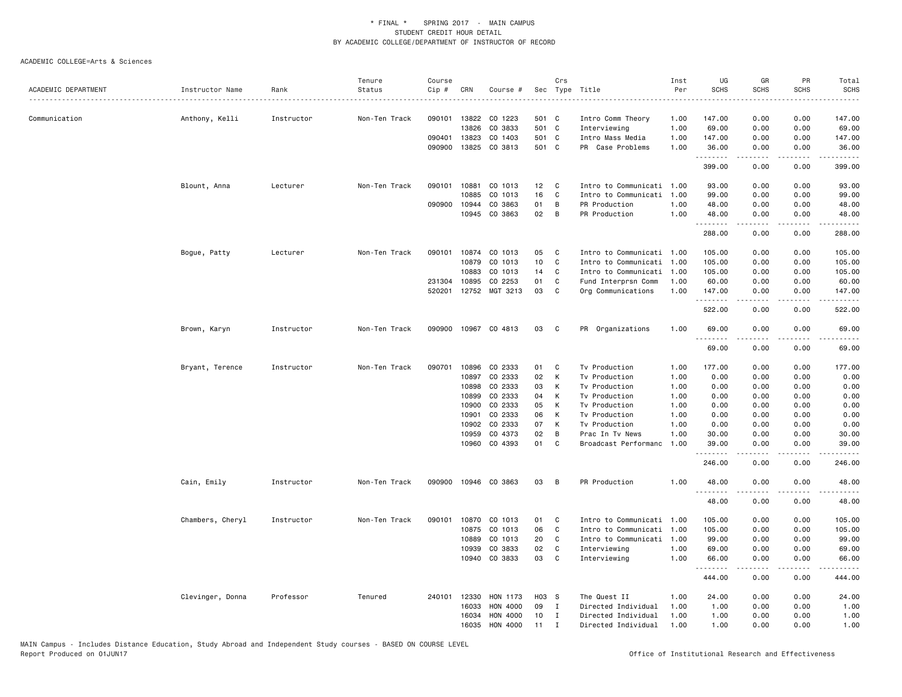|                     |                  |            | Tenure        | Course |              |                      |       | Crs          |                           | Inst | UG          | GR          | PR          | Total                                                                                                                                                          |
|---------------------|------------------|------------|---------------|--------|--------------|----------------------|-------|--------------|---------------------------|------|-------------|-------------|-------------|----------------------------------------------------------------------------------------------------------------------------------------------------------------|
| ACADEMIC DEPARTMENT | Instructor Name  | Rank       | Status        | Cip #  | CRN          | Course #             |       |              | Sec Type Title            | Per  | <b>SCHS</b> | <b>SCHS</b> | <b>SCHS</b> | <b>SCHS</b>                                                                                                                                                    |
| Communication       |                  | Instructor | Non-Ten Track | 090101 | 13822        | CO 1223              | 501 C |              | Intro Comm Theory         | 1.00 | 147.00      | 0.00        | 0.00        | 147.00                                                                                                                                                         |
|                     | Anthony, Kelli   |            |               |        | 13826        | CO 3833              | 501 C |              | Interviewing              | 1.00 | 69.00       | 0.00        | 0.00        | 69.00                                                                                                                                                          |
|                     |                  |            |               | 090401 | 13823        | CO 1403              | 501 C |              | Intro Mass Media          | 1.00 | 147.00      | 0.00        | 0.00        | 147.00                                                                                                                                                         |
|                     |                  |            |               | 090900 | 13825        | CO 3813              | 501 C |              | PR Case Problems          | 1.00 | 36.00       | 0.00        | 0.00        | 36.00                                                                                                                                                          |
|                     |                  |            |               |        |              |                      |       |              |                           |      | .<br>399.00 | .<br>0.00   | .<br>0.00   | $\frac{1}{2} \left( \frac{1}{2} \right) \left( \frac{1}{2} \right) \left( \frac{1}{2} \right) \left( \frac{1}{2} \right) \left( \frac{1}{2} \right)$<br>399.00 |
|                     | Blount, Anna     | Lecturer   | Non-Ten Track | 090101 | 10881        | CO 1013              | 12    | C            | Intro to Communicati      | 1.00 | 93.00       | 0.00        | 0.00        | 93.00                                                                                                                                                          |
|                     |                  |            |               |        | 10885        | CO 1013              | 16    | C            | Intro to Communicati      | 1.00 | 99.00       | 0.00        | 0.00        | 99.00                                                                                                                                                          |
|                     |                  |            |               |        | 090900 10944 | CO 3863              | 01    | B            | PR Production             | 1.00 | 48.00       | 0.00        | 0.00        | 48.00                                                                                                                                                          |
|                     |                  |            |               |        | 10945        | CO 3863              | 02    | B            | PR Production             | 1.00 | 48.00       | 0.00        | 0.00        | 48.00                                                                                                                                                          |
|                     |                  |            |               |        |              |                      |       |              |                           |      | .<br>288.00 | .<br>0.00   | .<br>0.00   | .<br>288.00                                                                                                                                                    |
|                     | Bogue, Patty     | Lecturer   | Non-Ten Track | 090101 | 10874        | CO 1013              | 05    | C            | Intro to Communicati 1.00 |      | 105.00      | 0.00        | 0.00        | 105.00                                                                                                                                                         |
|                     |                  |            |               |        | 10879        | CO 1013              | 10    | C            | Intro to Communicati      | 1.00 | 105.00      | 0.00        | 0.00        | 105.00                                                                                                                                                         |
|                     |                  |            |               |        | 10883        | CO 1013              | 14    | C            | Intro to Communicati      | 1.00 | 105.00      | 0.00        | 0.00        | 105.00                                                                                                                                                         |
|                     |                  |            |               | 231304 | 10895        | CO 2253              | 01    | C            | Fund Interprsn Comm       | 1.00 | 60.00       | 0.00        | 0.00        | 60.00                                                                                                                                                          |
|                     |                  |            |               | 520201 |              | 12752 MGT 3213       | 03    | C            | Org Communications        | 1.00 | 147.00      | 0.00        | 0.00        | 147.00                                                                                                                                                         |
|                     |                  |            |               |        |              |                      |       |              |                           |      | .<br>522.00 | 0.00        | .<br>0.00   | .<br>522.00                                                                                                                                                    |
|                     | Brown, Karyn     | Instructor | Non-Ten Track |        |              | 090900 10967 CO 4813 | 03    | C            | PR Organizations          | 1.00 | 69.00       | 0.00        | 0.00        | 69.00                                                                                                                                                          |
|                     |                  |            |               |        |              |                      |       |              |                           |      | 69.00       | 0.00        | 0.00        | 69.00                                                                                                                                                          |
|                     | Bryant, Terence  | Instructor | Non-Ten Track | 090701 | 10896        | CO 2333              | 01    | C            | Tv Production             | 1.00 | 177.00      | 0.00        | 0.00        | 177.00                                                                                                                                                         |
|                     |                  |            |               |        | 10897        | CO 2333              | 02    | К            | Tv Production             | 1.00 | 0.00        | 0.00        | 0.00        | 0.00                                                                                                                                                           |
|                     |                  |            |               |        | 10898        | CO 2333              | 03    | Κ            | Tv Production             | 1.00 | 0.00        | 0.00        | 0.00        | 0.00                                                                                                                                                           |
|                     |                  |            |               |        | 10899        | CO 2333              | 04    | K            | Tv Production             | 1.00 | 0.00        | 0.00        | 0.00        | 0.00                                                                                                                                                           |
|                     |                  |            |               |        | 10900        | CO 2333              | 05    | К            | Tv Production             | 1.00 | 0.00        | 0.00        | 0.00        | 0.00                                                                                                                                                           |
|                     |                  |            |               |        | 10901        | CO 2333              | 06    | К            | Tv Production             | 1.00 | 0.00        | 0.00        | 0.00        | 0.00                                                                                                                                                           |
|                     |                  |            |               |        | 10902        | CO 2333              | 07    | К            | Tv Production             | 1.00 | 0.00        | 0.00        | 0.00        | 0.00                                                                                                                                                           |
|                     |                  |            |               |        | 10959        | CO 4373              | 02    | B            | Prac In Tv News           | 1.00 | 30.00       | 0.00        | 0.00        | 30.00                                                                                                                                                          |
|                     |                  |            |               |        | 10960        | CO 4393              | 01    | C            | Broadcast Performanc      | 1.00 | 39.00<br>.  | 0.00<br>.   | 0.00<br>.   | 39.00<br>.                                                                                                                                                     |
|                     |                  |            |               |        |              |                      |       |              |                           |      | 246.00      | 0.00        | 0.00        | 246.00                                                                                                                                                         |
|                     | Cain, Emily      | Instructor | Non-Ten Track | 090900 |              | 10946 CO 3863        | 03    | В            | PR Production             | 1.00 | 48.00<br>.  | 0.00<br>.   | 0.00<br>.   | 48.00<br>.                                                                                                                                                     |
|                     |                  |            |               |        |              |                      |       |              |                           |      | 48.00       | 0.00        | 0.00        | 48.00                                                                                                                                                          |
|                     | Chambers, Cheryl | Instructor | Non-Ten Track | 090101 | 10870        | CO 1013              | 01    | C            | Intro to Communicati      | 1.00 | 105.00      | 0.00        | 0.00        | 105.00                                                                                                                                                         |
|                     |                  |            |               |        | 10875        | CO 1013              | 06    | C            | Intro to Communicati      | 1.00 | 105.00      | 0.00        | 0.00        | 105.00                                                                                                                                                         |
|                     |                  |            |               |        | 10889        | CO 1013              | 20    | C            | Intro to Communicati 1.00 |      | 99.00       | 0.00        | 0.00        | 99.00                                                                                                                                                          |
|                     |                  |            |               |        | 10939        | CO 3833              | 02    | C            | Interviewing              | 1.00 | 69.00       | 0.00        | 0.00        | 69.00                                                                                                                                                          |
|                     |                  |            |               |        | 10940        | CO 3833              | 03    | C            | Interviewing              | 1.00 | 66.00<br>.  | 0.00        | 0.00<br>.   | 66.00<br>.                                                                                                                                                     |
|                     |                  |            |               |        |              |                      |       |              |                           |      | 444.00      | 0.00        | 0.00        | 444.00                                                                                                                                                         |
|                     | Clevinger, Donna | Professor  | Tenured       | 240101 | 12330        | HON 1173             | H03 S |              | The Quest II              | 1.00 | 24,00       | 0.00        | 0.00        | 24.00                                                                                                                                                          |
|                     |                  |            |               |        | 16033        | HON 4000             | 09    | I            | Directed Individual       | 1.00 | 1.00        | 0.00        | 0.00        | 1.00                                                                                                                                                           |
|                     |                  |            |               |        | 16034        | HON 4000             | 10    | $\mathbf{I}$ | Directed Individual       | 1.00 | 1.00        | 0.00        | 0.00        | 1.00                                                                                                                                                           |
|                     |                  |            |               |        | 16035        | HON 4000             | 11    | $\mathbf{I}$ | Directed Individual       | 1.00 | 1.00        | 0.00        | 0.00        | 1.00                                                                                                                                                           |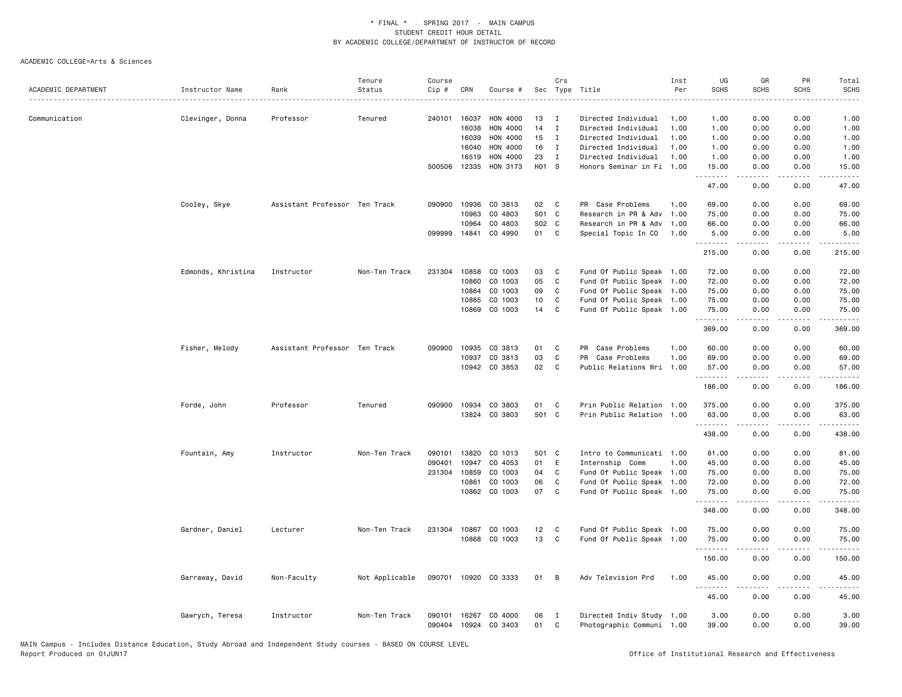|                     |                    |                               | Tenure         | Course           |                |                          |          | Crs               |                                                        | Inst | UG                | GR           | PR                                  | Total                                                                                                                                                                                     |
|---------------------|--------------------|-------------------------------|----------------|------------------|----------------|--------------------------|----------|-------------------|--------------------------------------------------------|------|-------------------|--------------|-------------------------------------|-------------------------------------------------------------------------------------------------------------------------------------------------------------------------------------------|
| ACADEMIC DEPARTMENT | Instructor Name    | Rank                          | Status         | Cip #            | CRN            | Course #                 | Sec      |                   | Type Title                                             | Per  | <b>SCHS</b>       | <b>SCHS</b>  | <b>SCHS</b>                         | SCHS                                                                                                                                                                                      |
|                     |                    |                               |                |                  |                |                          |          |                   |                                                        |      |                   |              |                                     |                                                                                                                                                                                           |
| Communication       | Clevinger, Donna   | Professor                     | Tenured        | 240101           | 16037          | HON 4000                 | 13       | Ι.                | Directed Individual                                    | 1.00 | 1.00              | 0.00         | 0.00                                | 1.00                                                                                                                                                                                      |
|                     |                    |                               |                |                  | 16038          | <b>HON 4000</b>          | 14       | $\mathbf I$       | Directed Individual                                    | 1.00 | 1.00              | 0.00         | 0.00                                | 1.00                                                                                                                                                                                      |
|                     |                    |                               |                |                  | 16039          | HON 4000                 | 15       | $\mathbf{I}$      | Directed Individual                                    | 1.00 | 1.00              | 0.00         | 0.00                                | 1.00                                                                                                                                                                                      |
|                     |                    |                               |                |                  | 16040          | HON 4000                 | 16       | $\mathbf{I}$      | Directed Individual                                    | 1.00 | 1.00              | 0.00         | 0.00                                | 1.00                                                                                                                                                                                      |
|                     |                    |                               |                |                  | 16519          | HON 4000                 | 23       | $\mathbf{I}$      | Directed Individual                                    | 1.00 | 1.00              | 0.00         | 0.00                                | 1.00                                                                                                                                                                                      |
|                     |                    |                               |                | 500506           | 12335          | HON 3173                 | H01 S    |                   | Honors Seminar in Fi 1.00                              |      | 15.00<br>.        | 0.00<br>.    | 0.00<br>$- - -$                     | 15.00<br>$- - - -$                                                                                                                                                                        |
|                     |                    |                               |                |                  |                |                          |          |                   |                                                        |      | 47.00             | 0.00         | 0.00                                | 47.00                                                                                                                                                                                     |
|                     | Cooley, Skye       | Assistant Professor Ten Track |                | 090900           |                | 10936 CO 3813            | 02       | C.                | PR Case Problems                                       | 1.00 | 69.00             | 0.00         | 0.00                                | 69.00                                                                                                                                                                                     |
|                     |                    |                               |                |                  | 10963          | CO 4803                  | S01 C    |                   | Research in PR & Adv                                   | 1.00 | 75.00             | 0.00         | 0.00                                | 75.00                                                                                                                                                                                     |
|                     |                    |                               |                |                  | 10964          | CO 4803                  | S02 C    |                   | Research in PR & Adv                                   | 1.00 | 66.00             | 0.00         | 0.00                                | 66.00                                                                                                                                                                                     |
|                     |                    |                               |                | 099999           | 14841          | CO 4990                  | 01       | C                 | Special Topic In CO                                    | 1.00 | 5.00              | 0.00<br>.    | 0.00<br>$\frac{1}{2}$               | 5.00<br>.                                                                                                                                                                                 |
|                     |                    |                               |                |                  |                |                          |          |                   |                                                        |      | .<br>215.00       | 0.00         | 0.00                                | 215.00                                                                                                                                                                                    |
|                     | Edmonds, Khristina | Instructor                    | Non-Ten Track  | 231304           | 10858          | CO 1003                  | 03       | C                 | Fund Of Public Speak 1.00                              |      | 72.00             | 0.00         | 0.00                                | 72.00                                                                                                                                                                                     |
|                     |                    |                               |                |                  | 10860          | CO 1003                  | 05       | C                 | Fund Of Public Speak                                   | 1.00 | 72.00             | 0.00         | 0.00                                | 72.00                                                                                                                                                                                     |
|                     |                    |                               |                |                  | 10864          | CO 1003                  | 09       | C                 | Fund Of Public Speak 1.00                              |      | 75.00             | 0.00         | 0.00                                | 75.00                                                                                                                                                                                     |
|                     |                    |                               |                |                  | 10865          | CO 1003                  | 10       | C                 | Fund Of Public Speak 1.00                              |      | 75.00             | 0.00         | 0.00                                | 75.00                                                                                                                                                                                     |
|                     |                    |                               |                |                  | 10869          | CO 1003                  | 14       | C                 | Fund Of Public Speak 1.00                              |      | 75.00             | 0.00         | 0.00                                | 75.00                                                                                                                                                                                     |
|                     |                    |                               |                |                  |                |                          |          |                   |                                                        |      | .<br>369.00       | .<br>0.00    | $\sim$ $\sim$ $\sim$ $\sim$<br>0.00 | .<br>369.00                                                                                                                                                                               |
|                     | Fisher, Melody     | Assistant Professor Ten Track |                | 090900           | 10935          | CO 3813                  | 01       | $\mathtt{C}$      | PR Case Problems                                       | 1.00 | 60.00             | 0.00         | 0.00                                | 60.00                                                                                                                                                                                     |
|                     |                    |                               |                |                  | 10937          | CO 3813                  | 03       | C                 | PR Case Problems                                       | 1.00 | 69.00             | 0.00         | 0.00                                | 69.00                                                                                                                                                                                     |
|                     |                    |                               |                |                  |                | 10942 CO 3853            | 02       | C                 | Public Relations Wri 1.00                              |      | 57.00             | 0.00<br>.    | 0.00                                | 57.00                                                                                                                                                                                     |
|                     |                    |                               |                |                  |                |                          |          |                   |                                                        |      | .<br>186.00       | 0.00         | $\frac{1}{2}$<br>0.00               | .<br>186.00                                                                                                                                                                               |
|                     | Forde, John        | Professor                     | Tenured        | 090900           | 10934          | CO 3803                  | 01       | C                 | Prin Public Relation                                   | 1.00 | 375.00            | 0.00         | 0.00                                | 375.00                                                                                                                                                                                    |
|                     |                    |                               |                |                  | 13824          | CO 3803                  | 501 C    |                   | Prin Public Relation                                   | 1.00 | 63.00             | 0.00         | 0.00                                | 63.00                                                                                                                                                                                     |
|                     |                    |                               |                |                  |                |                          |          |                   |                                                        |      | .<br>438.00       | .<br>0.00    | .<br>0.00                           | $\frac{1}{2} \left( \frac{1}{2} \right) \left( \frac{1}{2} \right) \left( \frac{1}{2} \right) \left( \frac{1}{2} \right) \left( \frac{1}{2} \right) \left( \frac{1}{2} \right)$<br>438.00 |
|                     |                    |                               |                |                  |                |                          |          |                   |                                                        |      |                   |              |                                     |                                                                                                                                                                                           |
|                     | Fountain, Amy      | Instructor                    | Non-Ten Track  | 090101           | 13820          | CO 1013                  | 501      | $\mathbf{C}$      | Intro to Communicati 1.00                              |      | 81.00             | 0.00         | 0.00                                | 81.00                                                                                                                                                                                     |
|                     |                    |                               |                | 090401           | 10947          | CO 4053                  | 01       | E                 | Internship Comm                                        | 1.00 | 45.00             | 0.00         | 0.00                                | 45.00                                                                                                                                                                                     |
|                     |                    |                               |                | 231304           | 10859          | CO 1003                  | 04       | C                 | Fund Of Public Speak 1.00                              |      | 75.00             | 0.00         | 0.00                                | 75.00                                                                                                                                                                                     |
|                     |                    |                               |                |                  | 10861<br>10862 | CO 1003<br>CO 1003       | 06<br>07 | C<br>C            | Fund Of Public Speak 1.00<br>Fund Of Public Speak 1.00 |      | 72.00<br>75.00    | 0.00<br>0.00 | 0.00<br>0.00                        | 72.00<br>75.00                                                                                                                                                                            |
|                     |                    |                               |                |                  |                |                          |          |                   |                                                        |      | .<br>348.00       | 0.00         | 0.00                                | .<br>348.00                                                                                                                                                                               |
|                     |                    |                               |                |                  |                |                          |          |                   |                                                        |      |                   |              |                                     |                                                                                                                                                                                           |
|                     | Gardner, Daniel    | Lecturer                      | Non-Ten Track  | 231304           | 10867          | CO 1003                  | 12       | C                 | Fund Of Public Speak 1.00                              |      | 75.00             | 0.00         | 0.00                                | 75.00                                                                                                                                                                                     |
|                     |                    |                               |                |                  |                | 10868 CO 1003            | 13       | C                 | Fund Of Public Speak 1.00                              |      | 75.00<br>-------- | 0.00<br>.    | 0.00<br>.                           | 75.00<br>.                                                                                                                                                                                |
|                     |                    |                               |                |                  |                |                          |          |                   |                                                        |      | 150.00            | 0.00         | 0.00                                | 150.00                                                                                                                                                                                    |
|                     | Garraway, David    | Non-Faculty                   | Not Applicable | 090701           |                | 10920 CO 3333            | 01       | B                 | Adv Television Prd                                     | 1.00 | 45.00<br>.        | 0.00         | 0.00<br>$\frac{1}{2}$               | 45.00<br>.                                                                                                                                                                                |
|                     |                    |                               |                |                  |                |                          |          |                   |                                                        |      | 45.00             | 0.00         | 0.00                                | 45.00                                                                                                                                                                                     |
|                     | Gawrych, Teresa    | Instructor                    | Non-Ten Track  | 090101<br>090404 | 16267          | CO 4000<br>10924 CO 3403 | 06<br>01 | $\mathbf{I}$<br>C | Directed Indiv Study 1.00<br>Photographic Communi 1.00 |      | 3.00<br>39.00     | 0.00<br>0.00 | 0.00<br>0.00                        | 3.00<br>39.00                                                                                                                                                                             |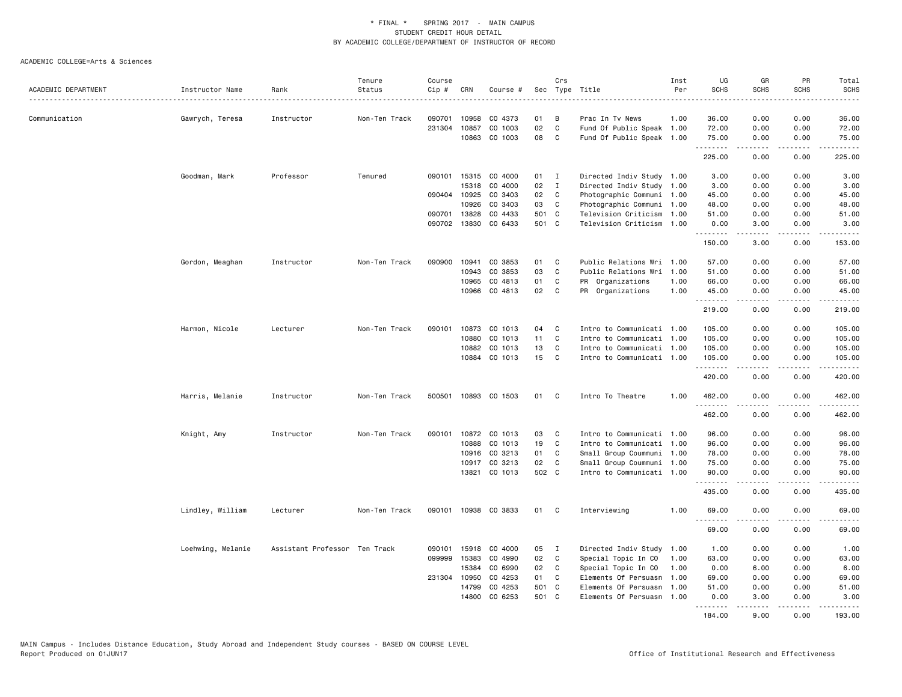|                     |                   |                               | Tenure        | Course |              |          |       | Crs          |                           | Inst | UG               | GR               | PR                    | Total                   |
|---------------------|-------------------|-------------------------------|---------------|--------|--------------|----------|-------|--------------|---------------------------|------|------------------|------------------|-----------------------|-------------------------|
| ACADEMIC DEPARTMENT | Instructor Name   | Rank                          | Status        | Cip #  | CRN          | Course # |       |              | Sec Type Title            | Per  | <b>SCHS</b>      | <b>SCHS</b>      | <b>SCHS</b>           | <b>SCHS</b><br>$\cdots$ |
| Communication       | Gawrych, Teresa   | Instructor                    | Non-Ten Track | 090701 | 10958        | CO 4373  | 01    | B            | Prac In Tv News           | 1.00 | 36.00            | 0.00             | 0.00                  | 36.00                   |
|                     |                   |                               |               | 231304 | 10857        | CO 1003  | 02    | $\mathbf c$  | Fund Of Public Speak 1.00 |      | 72.00            | 0.00             | 0.00                  | 72.00                   |
|                     |                   |                               |               |        | 10863        | CO 1003  | 08    | C            | Fund Of Public Speak 1.00 |      | 75.00            | 0.00             | 0.00                  | 75.00                   |
|                     |                   |                               |               |        |              |          |       |              |                           |      | .<br>225.00      | <u>.</u><br>0.00 | .<br>0.00             | .<br>225.00             |
|                     | Goodman, Mark     | Professor                     | Tenured       | 090101 | 15315        | CO 4000  | 01 I  |              | Directed Indiv Study 1.00 |      | 3.00             | 0.00             | 0.00                  | 3.00                    |
|                     |                   |                               |               |        | 15318        | CO 4000  | 02    | $\mathbf{I}$ | Directed Indiv Study 1.00 |      | 3.00             | 0.00             | 0.00                  | 3.00                    |
|                     |                   |                               |               |        | 090404 10925 | CO 3403  | 02    | C            | Photographic Communi 1.00 |      | 45.00            | 0.00             | 0.00                  | 45.00                   |
|                     |                   |                               |               |        | 10926        | CO 3403  | 03    | C            | Photographic Communi 1.00 |      | 48.00            | 0.00             | 0.00                  | 48.00                   |
|                     |                   |                               |               | 090701 | 13828        | CO 4433  | 501 C |              | Television Criticism      | 1.00 | 51.00            | 0.00             | 0.00                  | 51.00                   |
|                     |                   |                               |               | 090702 | 13830        | CO 6433  | 501 C |              | Television Criticism      | 1.00 | 0.00<br>.        | 3.00<br>.        | 0.00<br>.             | 3.00<br><u>.</u>        |
|                     |                   |                               |               |        |              |          |       |              |                           |      | 150.00           | 3.00             | 0.00                  | 153.00                  |
|                     | Gordon, Meaghan   | Instructor                    | Non-Ten Track | 090900 | 10941        | CO 3853  | 01    | C            | Public Relations Wri 1.00 |      | 57.00            | 0.00             | 0.00                  | 57.00                   |
|                     |                   |                               |               |        | 10943        | CO 3853  | 03    | C            | Public Relations Wri      | 1.00 | 51.00            | 0.00             | 0.00                  | 51.00                   |
|                     |                   |                               |               |        | 10965        | CO 4813  | 01    | C            | PR Organizations          | 1.00 | 66.00            | 0.00             | 0.00                  | 66.00                   |
|                     |                   |                               |               |        | 10966        | CO 4813  | 02    | $\mathbf c$  | PR Organizations          | 1.00 | 45.00<br>.       | 0.00<br>.        | 0.00<br>.             | 45.00<br>.              |
|                     |                   |                               |               |        |              |          |       |              |                           |      | 219.00           | 0.00             | 0.00                  | 219.00                  |
|                     | Harmon, Nicole    | Lecturer                      | Non-Ten Track | 090101 | 10873        | CO 1013  | 04    | C            | Intro to Communicati 1.00 |      | 105.00           | 0.00             | 0.00                  | 105.00                  |
|                     |                   |                               |               |        | 10880        | CO 1013  | 11    | C            | Intro to Communicati 1.00 |      | 105.00           | 0.00             | 0.00                  | 105.00                  |
|                     |                   |                               |               |        | 10882        | CO 1013  | 13    | C            | Intro to Communicati 1.00 |      | 105.00           | 0.00             | 0.00                  | 105.00                  |
|                     |                   |                               |               |        | 10884        | CO 1013  | 15    | C            | Intro to Communicati 1.00 |      | 105.00<br>.      | 0.00             | 0.00<br>$\frac{1}{2}$ | 105.00<br><u>.</u>      |
|                     |                   |                               |               |        |              |          |       |              |                           |      | 420.00           | 0.00             | 0.00                  | 420.00                  |
|                     | Harris, Melanie   | Instructor                    | Non-Ten Track | 500501 | 10893        | CO 1503  | 01    | C            | Intro To Theatre          | 1.00 | 462.00<br>.      | 0.00             | 0.00<br>.             | 462.00<br>.             |
|                     |                   |                               |               |        |              |          |       |              |                           |      | 462.00           | 0.00             | 0.00                  | 462.00                  |
|                     | Knight, Amy       | Instructor                    | Non-Ten Track | 090101 | 10872        | CO 1013  | 03    | C            | Intro to Communicati 1.00 |      | 96.00            | 0.00             | 0.00                  | 96.00                   |
|                     |                   |                               |               |        | 10888        | CO 1013  | 19    | C            | Intro to Communicati 1.00 |      | 96.00            | 0.00             | 0.00                  | 96.00                   |
|                     |                   |                               |               |        | 10916        | CO 3213  | 01    | C            | Small Group Coummuni 1.00 |      | 78.00            | 0.00             | 0.00                  | 78.00                   |
|                     |                   |                               |               |        | 10917        | CO 3213  | 02    | C            | Small Group Coummuni 1.00 |      | 75.00            | 0.00             | 0.00                  | 75.00                   |
|                     |                   |                               |               |        | 13821        | CO 1013  | 502 C |              | Intro to Communicati 1.00 |      | 90.00<br>.       | 0.00<br>.        | 0.00<br>.             | 90.00<br>.              |
|                     |                   |                               |               |        |              |          |       |              |                           |      | 435.00           | 0.00             | 0.00                  | 435.00                  |
|                     | Lindley, William  | Lecturer                      | Non-Ten Track | 090101 | 10938        | CO 3833  | 01    | C            | Interviewing              | 1.00 | 69.00            | 0.00             | 0.00                  | 69.00                   |
|                     |                   |                               |               |        |              |          |       |              |                           |      | 69.00            | 0.00             | 0.00                  | 69.00                   |
|                     | Loehwing, Melanie | Assistant Professor Ten Track |               | 090101 | 15918        | CO 4000  | 05    | $\mathbf{I}$ | Directed Indiv Study 1.00 |      | 1.00             | 0.00             | 0.00                  | 1.00                    |
|                     |                   |                               |               | 099999 | 15383        | CO 4990  | 02    | C            | Special Topic In CO       | 1.00 | 63.00            | 0.00             | 0.00                  | 63.00                   |
|                     |                   |                               |               |        | 15384        | CO 6990  | 02    | C            | Special Topic In CO       | 1.00 | 0.00             | 6.00             | 0.00                  | 6.00                    |
|                     |                   |                               |               |        | 231304 10950 | CO 4253  | 01    | C            | Elements Of Persuasn      | 1.00 | 69.00            | 0.00             | 0.00                  | 69.00                   |
|                     |                   |                               |               |        | 14799        | CO 4253  | 501   | C.           | Elements Of Persuasn      | 1.00 | 51.00            | 0.00             | 0.00                  | 51.00                   |
|                     |                   |                               |               |        | 14800        | CO 6253  | 501 C |              | Elements Of Persuasn      | 1.00 | 0.00<br><u>.</u> | 3.00<br>.        | 0.00<br><u>.</u>      | 3.00<br>.               |
|                     |                   |                               |               |        |              |          |       |              |                           |      | 184.00           | 9.00             | 0.00                  | 193.00                  |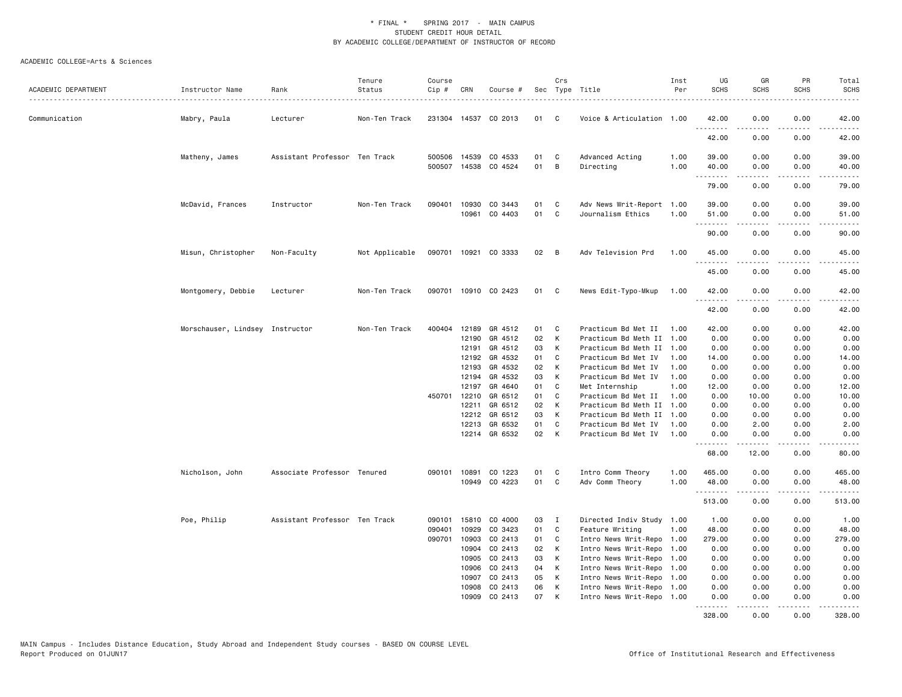| ACADEMIC DEPARTMENT | Instructor Name                 | Rank                          | Tenure<br>Status | Course<br>Cip # | CRN            | Course #                 |              | Crs    | Sec Type Title                            | Inst<br>Per  | UG<br><b>SCHS</b> | GR<br><b>SCHS</b> | PR<br><b>SCHS</b> | Total<br><b>SCHS</b>   |
|---------------------|---------------------------------|-------------------------------|------------------|-----------------|----------------|--------------------------|--------------|--------|-------------------------------------------|--------------|-------------------|-------------------|-------------------|------------------------|
|                     |                                 |                               |                  |                 |                |                          |              |        |                                           |              |                   |                   |                   | .                      |
| Communication       | Mabry, Paula                    | Lecturer                      | Non-Ten Track    |                 |                | 231304 14537 CO 2013     | 01           | C.     | Voice & Articulation 1.00                 |              | 42.00             | 0.00              | 0.00              | 42.00<br>$\frac{1}{2}$ |
|                     |                                 |                               |                  |                 |                |                          |              |        |                                           |              | 42.00             | 0.00              | 0.00              | 42.00                  |
|                     | Matheny, James                  | Assistant Professor Ten Track |                  | 500506          | 14539          | CO 4533<br>14538 CO 4524 | 01<br>01     | C<br>B | Advanced Acting                           | 1.00<br>1.00 | 39.00<br>40.00    | 0.00              | 0.00              | 39.00                  |
|                     |                                 |                               |                  | 500507          |                |                          |              |        | Directing                                 |              | .                 | 0.00<br>.         | 0.00<br>.         | 40.00<br>.             |
|                     |                                 |                               |                  |                 |                |                          |              |        |                                           |              | 79.00             | 0.00              | 0.00              | 79.00                  |
|                     | McDavid, Frances                | Instructor                    | Non-Ten Track    | 090401          | 10930<br>10961 | CO 3443<br>CO 4403       | 01<br>01     | C<br>C | Adv News Writ-Report<br>Journalism Ethics | 1.00<br>1.00 | 39.00<br>51.00    | 0.00<br>0.00      | 0.00<br>0.00      | 39.00<br>51.00         |
|                     |                                 |                               |                  |                 |                |                          |              |        |                                           |              | .<br>90.00        | .<br>0.00         | .<br>0.00         | .<br>90.00             |
|                     | Misun, Christopher              | Non-Faculty                   | Not Applicable   |                 |                | 090701 10921 CO 3333     | $02 \quad B$ |        | Adv Television Prd                        | 1.00         | 45.00             | 0.00              | 0.00              | 45.00                  |
|                     |                                 |                               |                  |                 |                |                          |              |        |                                           |              | .<br>45.00        | -----<br>0.00     | .<br>0.00         | .<br>45.00             |
|                     | Montgomery, Debbie              | Lecturer                      | Non-Ten Track    |                 |                | 090701 10910 CO 2423     | 01           | C.     | News Edit-Typo-Mkup                       | 1.00         | 42.00             | 0.00              | 0.00              | 42.00                  |
|                     |                                 |                               |                  |                 |                |                          |              |        |                                           |              | <u>.</u><br>42.00 | .<br>0.00         | .<br>0.00         | .<br>42.00             |
|                     | Morschauser, Lindsey Instructor |                               | Non-Ten Track    | 400404          | 12189          | GR 4512                  | 01           | C      | Practicum Bd Met II                       | 1.00         | 42.00             | 0.00              | 0.00              | 42.00                  |
|                     |                                 |                               |                  |                 | 12190          | GR 4512                  | 02           | K      | Practicum Bd Meth II 1.00                 |              | 0.00              | 0.00              | 0.00              | 0.00                   |
|                     |                                 |                               |                  |                 | 12191          | GR 4512                  | 03           | K      | Practicum Bd Meth II 1.00                 |              | 0.00              | 0.00              | 0.00              | 0.00                   |
|                     |                                 |                               |                  |                 | 12192          | GR 4532                  | 01           | C      | Practicum Bd Met IV                       | 1.00         | 14.00             | 0.00              | 0.00              | 14.00                  |
|                     |                                 |                               |                  |                 | 12193          | GR 4532                  | 02           | K      | Practicum Bd Met IV                       | 1.00         | 0.00              | 0.00              | 0.00              | 0.00                   |
|                     |                                 |                               |                  |                 | 12194          | GR 4532                  | 03           | K      | Practicum Bd Met IV                       | 1.00         | 0.00              | 0.00              | 0.00              | 0.00                   |
|                     |                                 |                               |                  |                 | 12197          | GR 4640                  | 01           | C      | Met Internship                            | 1.00         | 12.00             | 0.00              | 0.00              | 12.00                  |
|                     |                                 |                               |                  | 450701          | 12210          | GR 6512                  | 01           | C      | Practicum Bd Met II                       | 1.00         | 0.00              | 10.00             | 0.00              | 10.00                  |
|                     |                                 |                               |                  |                 | 12211          | GR 6512                  | 02           | K      | Practicum Bd Meth II 1.00                 |              | 0.00              | 0.00              | 0.00              | 0.00                   |
|                     |                                 |                               |                  |                 | 12212          | GR 6512                  | 03           | K      | Practicum Bd Meth II 1.00                 |              | 0.00              | 0.00              | 0.00              | 0.00                   |
|                     |                                 |                               |                  |                 | 12213          | GR 6532                  | 01           | C      | Practicum Bd Met IV                       | 1.00         | 0.00              | 2.00              | 0.00              | 2.00                   |
|                     |                                 |                               |                  |                 |                | 12214 GR 6532            | 02           | K      | Practicum Bd Met IV                       | 1.00         | 0.00<br><u>.</u>  | 0.00<br>-----     | 0.00<br>.         | 0.00<br>$- - - - -$    |
|                     |                                 |                               |                  |                 |                |                          |              |        |                                           |              | 68.00             | 12.00             | 0.00              | 80.00                  |
|                     | Nicholson, John                 | Associate Professor Tenured   |                  | 090101          | 10891          | CO 1223                  | 01           | C      | Intro Comm Theory                         | 1.00         | 465.00            | 0.00              | 0.00              | 465.00                 |
|                     |                                 |                               |                  |                 | 10949          | CO 4223                  | 01           | C      | Adv Comm Theory                           | 1.00         | 48.00             | 0.00              | 0.00              | 48.00<br>.             |
|                     |                                 |                               |                  |                 |                |                          |              |        |                                           |              | 513.00            | 0.00              | 0.00              | 513.00                 |
|                     | Poe, Philip                     | Assistant Professor Ten Track |                  | 090101          | 15810          | CO 4000                  | 03           | I      | Directed Indiv Study 1.00                 |              | 1.00              | 0.00              | 0.00              | 1.00                   |
|                     |                                 |                               |                  | 090401          | 10929          | CO 3423                  | 01           | C      | Feature Writing                           | 1.00         | 48.00             | 0.00              | 0.00              | 48.00                  |
|                     |                                 |                               |                  | 090701          | 10903          | CO 2413                  | 01           | C      | Intro News Writ-Repo 1.00                 |              | 279.00            | 0.00              | 0.00              | 279.00                 |
|                     |                                 |                               |                  |                 | 10904          | CO 2413                  | 02           | K      | Intro News Writ-Repo 1.00                 |              | 0.00              | 0.00              | 0.00              | 0.00                   |
|                     |                                 |                               |                  |                 | 10905          | CO 2413                  | 03           | K      | Intro News Writ-Repo 1.00                 |              | 0.00              | 0.00              | 0.00              | 0.00                   |
|                     |                                 |                               |                  |                 | 10906          | CO 2413                  | 04           | K      | Intro News Writ-Repo                      | 1.00         | 0.00              | 0.00              | 0.00              | 0.00                   |
|                     |                                 |                               |                  |                 | 10907          | CO 2413                  | 05           | K      | Intro News Writ-Repo 1.00                 |              | 0.00              | 0.00              | 0.00              | 0.00                   |
|                     |                                 |                               |                  |                 | 10908          | CO 2413                  | 06           | K      | Intro News Writ-Repo 1.00                 |              | 0.00              | 0.00              | 0.00              | 0.00                   |
|                     |                                 |                               |                  |                 | 10909          | CO 2413                  | 07           | K      | Intro News Writ-Repo 1.00                 |              | 0.00<br>.         | 0.00<br>.         | 0.00<br>.         | 0.00<br>.<br>$- - -$   |
|                     |                                 |                               |                  |                 |                |                          |              |        |                                           |              | 328.00            | 0.00              | 0.00              | 328,00                 |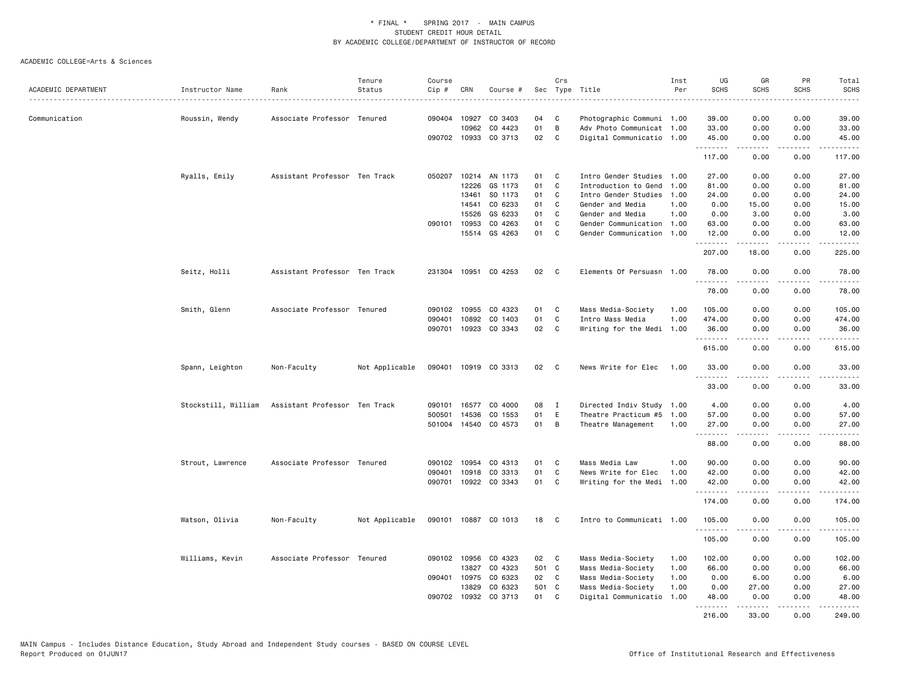|                     |                     |                               | Tenure         | Course |              |                      |       | Crs          |                           | Inst | UG                | GR                | PR               | Total                                                                                                                 |
|---------------------|---------------------|-------------------------------|----------------|--------|--------------|----------------------|-------|--------------|---------------------------|------|-------------------|-------------------|------------------|-----------------------------------------------------------------------------------------------------------------------|
| ACADEMIC DEPARTMENT | Instructor Name     | Rank                          | Status         | Cip #  | CRN          | Course #             | Sec   |              | Type Title                | Per  | <b>SCHS</b>       | <b>SCHS</b>       | <b>SCHS</b>      | <b>SCHS</b><br>.                                                                                                      |
| Communication       | Roussin, Wendy      | Associate Professor Tenured   |                |        | 090404 10927 | CO 3403              | 04    | C            | Photographic Communi 1.00 |      | 39.00             | 0.00              | 0.00             | 39.00                                                                                                                 |
|                     |                     |                               |                |        | 10962        | CO 4423              | 01    | B            | Adv Photo Communicat 1.00 |      | 33.00             | 0.00              | 0.00             | 33.00                                                                                                                 |
|                     |                     |                               |                |        |              | 090702 10933 CO 3713 | 02    | C            | Digital Communicatio 1.00 |      | 45.00             | 0.00              | 0.00             | 45.00                                                                                                                 |
|                     |                     |                               |                |        |              |                      |       |              |                           |      | .<br>117.00       | 2.2.2.2.2<br>0.00 | 22222<br>0.00    | $\begin{array}{cccccccccc} \bullet & \bullet & \bullet & \bullet & \bullet & \bullet & \bullet \end{array}$<br>117.00 |
|                     | Ryalls, Emily       | Assistant Professor Ten Track |                | 050207 | 10214        | AN 1173              | 01    | C            | Intro Gender Studies 1.00 |      | 27.00             | 0.00              | 0.00             | 27.00                                                                                                                 |
|                     |                     |                               |                |        | 12226        | GS 1173              | 01    | C            | Introduction to Gend      | 1.00 | 81.00             | 0.00              | 0.00             | 81.00                                                                                                                 |
|                     |                     |                               |                |        | 13461        | SO 1173              | 01    | C            | Intro Gender Studies      | 1.00 | 24.00             | 0.00              | 0.00             | 24.00                                                                                                                 |
|                     |                     |                               |                |        | 14541        | CO 6233              | 01    | C            | Gender and Media          | 1.00 | 0.00              | 15.00             | 0.00             | 15.00                                                                                                                 |
|                     |                     |                               |                |        | 15526        | GS 6233              | 01    | C            | Gender and Media          | 1.00 | 0.00              | 3.00              | 0.00             | 3.00                                                                                                                  |
|                     |                     |                               |                | 090101 | 10953        | CO 4263              | 01    | C            | Gender Communication 1.00 |      | 63.00             | 0.00              | 0.00             | 63.00                                                                                                                 |
|                     |                     |                               |                |        | 15514        | GS 4263              | 01    | C            | Gender Communication 1.00 |      | 12.00             | 0.00              | 0.00             | 12.00                                                                                                                 |
|                     |                     |                               |                |        |              |                      |       |              |                           |      | .<br>207.00       | .<br>18.00        | .<br>0.00        | .<br>225.00                                                                                                           |
|                     | Seitz, Holli        | Assistant Professor Ten Track |                |        |              | 231304 10951 CO 4253 | 02    | C            | Elements Of Persuasn 1.00 |      | 78.00             | 0.00              | 0.00             | 78.00                                                                                                                 |
|                     |                     |                               |                |        |              |                      |       |              |                           |      | 78.00             | 0.00              | 0.00             | .<br>78.00                                                                                                            |
|                     | Smith, Glenn        | Associate Professor Tenured   |                | 090102 | 10955        | CO 4323              | 01    | C            | Mass Media-Society        | 1.00 | 105.00            | 0.00              | 0.00             | 105.00                                                                                                                |
|                     |                     |                               |                | 090401 | 10892        | CO 1403              | 01    | C            | Intro Mass Media          | 1.00 | 474.00            | 0.00              | 0.00             | 474.00                                                                                                                |
|                     |                     |                               |                |        |              | 090701 10923 CO 3343 | 02    | C            | Writing for the Medi 1.00 |      | 36.00             | 0.00              | 0.00             | 36.00                                                                                                                 |
|                     |                     |                               |                |        |              |                      |       |              |                           |      |                   | <u>.</u>          | .                | .                                                                                                                     |
|                     |                     |                               |                |        |              |                      |       |              |                           |      | 615.00            | 0.00              | 0.00             | 615.00                                                                                                                |
|                     | Spann, Leighton     | Non-Faculty                   | Not Applicable |        |              | 090401 10919 CO 3313 | 02    | C.           | News Write for Elec       | 1.00 | 33.00<br>.        | 0.00<br>.         | 0.00<br>.        | 33.00<br>.                                                                                                            |
|                     |                     |                               |                |        |              |                      |       |              |                           |      | 33.00             | 0.00              | 0.00             | 33.00                                                                                                                 |
|                     | Stockstill, William | Assistant Professor Ten Track |                |        |              | 090101 16577 CO 4000 | 08    | $\mathbf{I}$ | Directed Indiv Study 1.00 |      | 4.00              | 0.00              | 0.00             | 4.00                                                                                                                  |
|                     |                     |                               |                | 500501 | 14536        | CO 1553              | 01    | E            | Theatre Practicum #5      | 1.00 | 57.00             | 0.00              | 0.00             | 57.00                                                                                                                 |
|                     |                     |                               |                |        |              | 501004 14540 CO 4573 | 01    | B            | Theatre Management        | 1.00 | 27.00             | 0.00              | 0.00             | 27.00                                                                                                                 |
|                     |                     |                               |                |        |              |                      |       |              |                           |      | .<br>88.00        | 0.00              | .<br>0.00        | .<br>88.00                                                                                                            |
|                     | Strout, Lawrence    | Associate Professor Tenured   |                | 090102 | 10954        | CO 4313              | 01    | C            | Mass Media Law            | 1.00 | 90.00             | 0.00              | 0.00             | 90.00                                                                                                                 |
|                     |                     |                               |                | 090401 | 10918        | CO 3313              | 01    | C            | News Write for Elec       | 1.00 | 42.00             | 0.00              | 0.00             | 42.00                                                                                                                 |
|                     |                     |                               |                |        |              | 090701 10922 CO 3343 | 01    | C            | Writing for the Medi 1.00 |      | 42.00             | 0.00              | 0.00             | 42.00                                                                                                                 |
|                     |                     |                               |                |        |              |                      |       |              |                           |      | .<br>174.00       | 0.00              | .<br>0.00        | .<br>174.00                                                                                                           |
|                     | Watson, Olivia      | Non-Faculty                   | Not Applicable |        |              | 090101 10887 CO 1013 | 18    | C            | Intro to Communicati 1.00 |      | 105.00            | 0.00              | 0.00             | 105.00                                                                                                                |
|                     |                     |                               |                |        |              |                      |       |              |                           |      | .<br>105.00       | .<br>0.00         | .<br>0.00        | دددد د<br>105.00                                                                                                      |
|                     | Williams, Kevin     | Associate Professor Tenured   |                |        | 090102 10956 | CO 4323              | 02 C  |              | Mass Media-Society        | 1.00 | 102.00            | 0.00              | 0.00             | 102.00                                                                                                                |
|                     |                     |                               |                |        | 13827        | CO 4323              | 501 C |              | Mass Media-Society        | 1.00 | 66.00             | 0.00              | 0.00             | 66.00                                                                                                                 |
|                     |                     |                               |                |        | 090401 10975 | CO 6323              | 02    | C            | Mass Media-Society        | 1.00 | 0.00              | 6.00              | 0.00             | 6.00                                                                                                                  |
|                     |                     |                               |                |        | 13829        | CO 6323              | 501 C |              | Mass Media-Society        | 1.00 | 0.00              | 27.00             | 0.00             | 27.00                                                                                                                 |
|                     |                     |                               |                | 090702 | 10932        | CO 3713              | 01    | C            | Digital Communicatio 1.00 |      | 48.00<br><u>.</u> | 0.00<br><u>.</u>  | 0.00<br><u>.</u> | 48.00<br>.                                                                                                            |
|                     |                     |                               |                |        |              |                      |       |              |                           |      | 216.00            | 33.00             | 0.00             | 249.00                                                                                                                |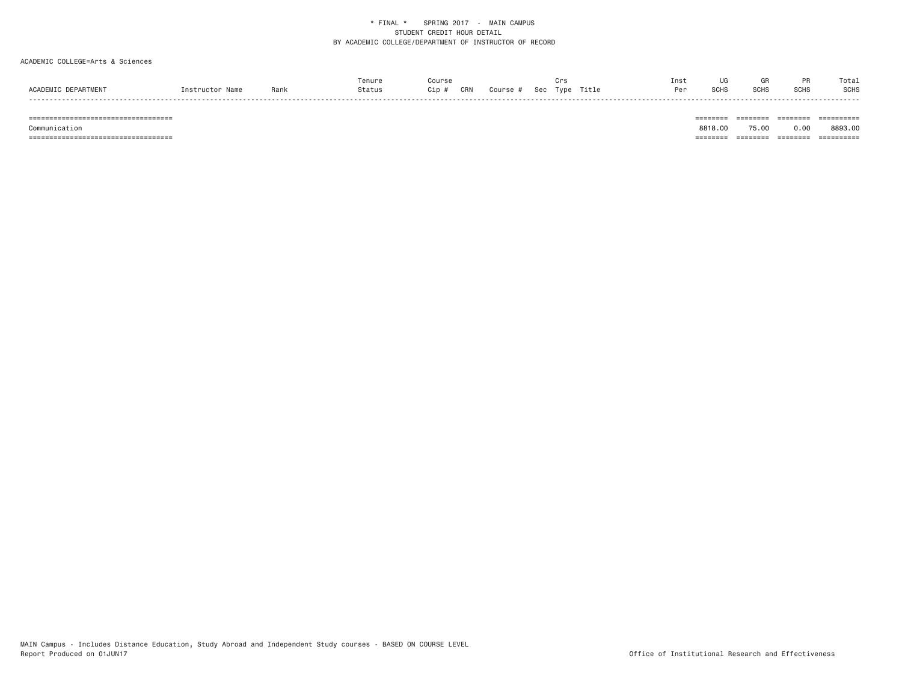#### ACADEMIC COLLEGE=Arts & Sciences

|           |      | Tenure |                |               |            |             |       | Inst | UG           |     | Tota.       |
|-----------|------|--------|----------------|---------------|------------|-------------|-------|------|--------------|-----|-------------|
|           | Ranl |        | $\frac{1}{2}n$ | $\sim$<br>∷RN | <b>SAC</b> | <b>Type</b> | Title | Per  | :∩⊔o<br>יהטכ | SCH | <b>SCHS</b> |
| - - - - - |      |        |                |               |            |             |       |      |              |     |             |

=================================== ======== ======== ======== ==========

 Communication 8818.00 75.00 0.00 8893.00=================================== ======== ======== ======== ==========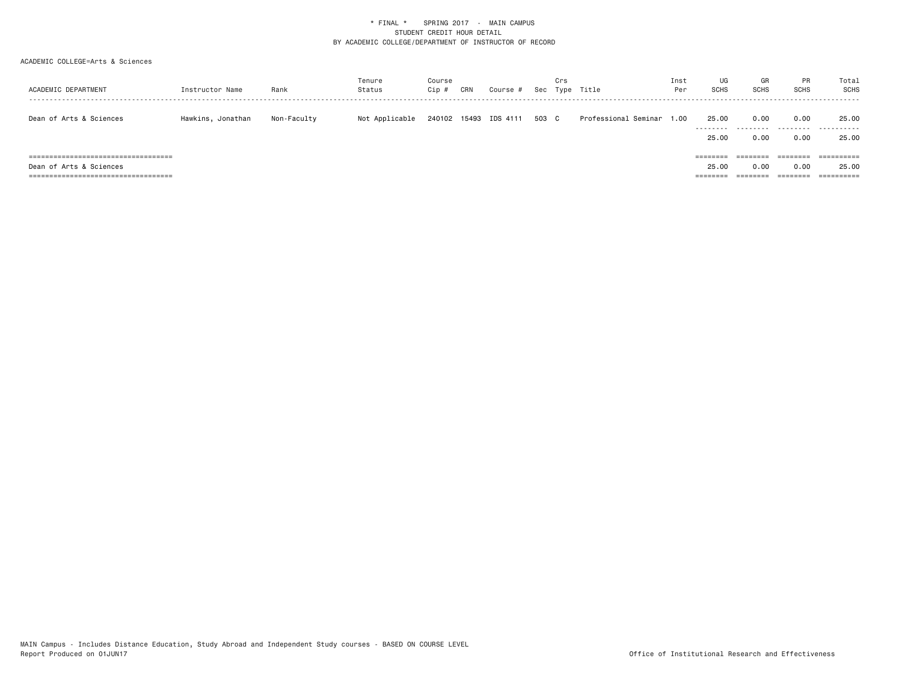| ACADEMIC DEPARTMENT                    | Instructor Name   | Rank        | Tenure<br>Status | Course<br>Cip # | CRN | Course #              |       | Crs<br>Sec Type | Title                | Inst<br>Per | UG<br><b>SCHS</b>  | GR<br><b>SCHS</b> | PR<br><b>SCHS</b> | Total<br>SCHS                 |
|----------------------------------------|-------------------|-------------|------------------|-----------------|-----|-----------------------|-------|-----------------|----------------------|-------------|--------------------|-------------------|-------------------|-------------------------------|
| Dean of Arts & Sciences                | Hawkins, Jonathan | Non-Faculty | Not Applicable   |                 |     | 240102 15493 IDS 4111 | 503 C |                 | Professional Seminar | 00، ،       | 25.00<br>--------- | 0.00<br>.         | 0.00<br>.         | 25.00<br>. <u>.</u> .<br>---- |
|                                        |                   |             |                  |                 |     |                       |       |                 |                      |             | 25.00              | 0.00              | 0.00              | 25.00                         |
| ====================================== |                   |             |                  |                 |     |                       |       |                 |                      |             | ========           | --------          | ========          | ==========                    |
| Dean of Arts & Sciences                |                   |             |                  |                 |     |                       |       |                 |                      |             | 25.00              | 0.00              | 0.00              | 25.00                         |
| =============================<br>===== |                   |             |                  |                 |     |                       |       |                 |                      |             | ====               |                   |                   | ==========                    |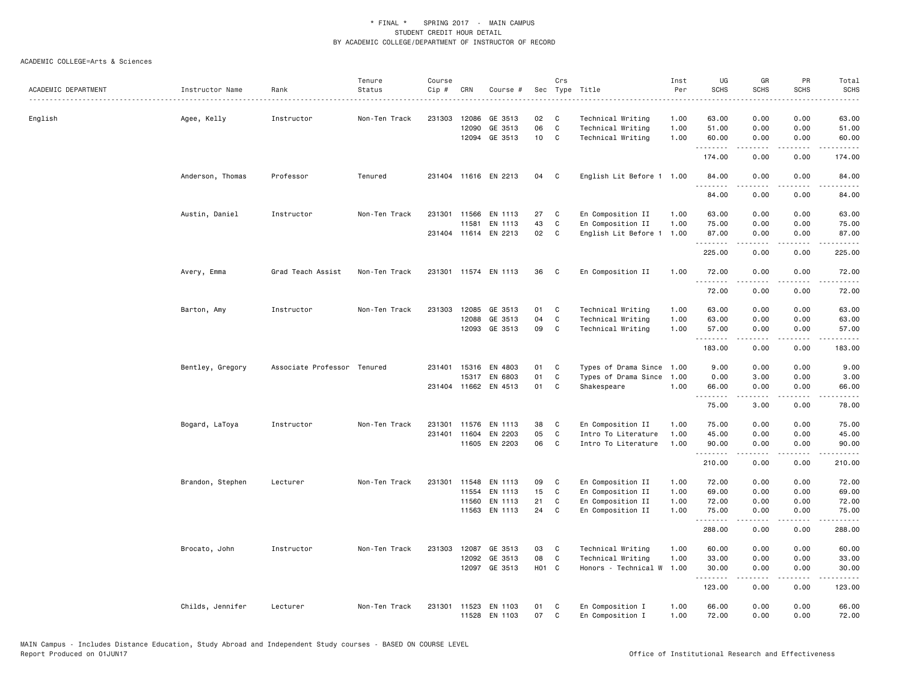|                     |                  |                             | Tenure        | Course |       |                                |                   | Crs               |                                      | Inst         | UG                         | GR               | PR                                  | Total                                                                                                                                                          |
|---------------------|------------------|-----------------------------|---------------|--------|-------|--------------------------------|-------------------|-------------------|--------------------------------------|--------------|----------------------------|------------------|-------------------------------------|----------------------------------------------------------------------------------------------------------------------------------------------------------------|
| ACADEMIC DEPARTMENT | Instructor Name  | Rank                        | Status        | Cip #  | CRN   | Course #                       |                   |                   | Sec Type Title                       | Per          | <b>SCHS</b>                | <b>SCHS</b>      | <b>SCHS</b>                         | <b>SCHS</b><br>$- - - -$                                                                                                                                       |
|                     |                  |                             |               |        |       |                                |                   |                   |                                      |              |                            |                  |                                     |                                                                                                                                                                |
| English             | Agee, Kelly      | Instructor                  | Non-Ten Track | 231303 | 12086 | GE 3513                        | 02                | C                 | Technical Writing                    | 1.00         | 63.00                      | 0.00             | 0.00                                | 63.00                                                                                                                                                          |
|                     |                  |                             |               |        | 12090 | GE 3513                        | 06                | $\mathtt{C}$      | Technical Writing                    | 1.00         | 51.00                      | 0.00             | 0.00                                | 51.00                                                                                                                                                          |
|                     |                  |                             |               |        |       | 12094 GE 3513                  | 10 C              |                   | Technical Writing                    | 1.00         | 60.00<br>.                 | 0.00<br><u>.</u> | 0.00<br>.                           | 60.00<br><u>.</u>                                                                                                                                              |
|                     |                  |                             |               |        |       |                                |                   |                   |                                      |              | 174.00                     | 0.00             | 0.00                                | 174.00                                                                                                                                                         |
|                     | Anderson, Thomas | Professor                   | Tenured       |        |       | 231404 11616 EN 2213           | 04                | C                 | English Lit Before 1 1.00            |              | 84.00<br>.                 | 0.00<br>.        | 0.00<br>$- - - -$                   | 84.00<br>.                                                                                                                                                     |
|                     |                  |                             |               |        |       |                                |                   |                   |                                      |              | 84.00                      | 0.00             | 0.00                                | 84.00                                                                                                                                                          |
|                     | Austin, Daniel   | Instructor                  | Non-Ten Track | 231301 | 11566 | EN 1113                        | 27                | C                 | En Composition II                    | 1.00         | 63,00                      | 0.00             | 0.00                                | 63.00                                                                                                                                                          |
|                     |                  |                             |               |        | 11581 | EN 1113                        | 43                | $\mathtt{C}$      | En Composition II                    | 1.00         | 75.00                      | 0.00             | 0.00                                | 75.00                                                                                                                                                          |
|                     |                  |                             |               |        |       | 231404 11614 EN 2213           | 02                | $\mathbf{C}$      | English Lit Before 1                 | 1.00         | 87.00                      | 0.00             | 0.00                                | 87.00                                                                                                                                                          |
|                     |                  |                             |               |        |       |                                |                   |                   |                                      |              | المستملة المناسب<br>225.00 | -----<br>0.00    | .<br>0.00                           | .<br>225.00                                                                                                                                                    |
|                     | Avery, Emma      | Grad Teach Assist           | Non-Ten Track |        |       | 231301 11574 EN 1113           | 36                | C                 | En Composition II                    | 1.00         | 72.00                      | 0.00             | 0.00                                | 72.00                                                                                                                                                          |
|                     |                  |                             |               |        |       |                                |                   |                   |                                      |              | .<br>72.00                 | 0.00             | 0.00                                | المتماما<br>72.00                                                                                                                                              |
|                     |                  |                             |               |        |       |                                |                   |                   |                                      |              |                            |                  |                                     |                                                                                                                                                                |
|                     | Barton, Amy      | Instructor                  | Non-Ten Track | 231303 | 12085 | GE 3513                        | 01                | C                 | Technical Writing                    | 1.00         | 63.00                      | 0.00             | 0.00                                | 63.00                                                                                                                                                          |
|                     |                  |                             |               |        | 12088 | GE 3513                        | 04                | $\mathtt{C}$      | Technical Writing                    | 1.00         | 63.00                      | 0.00             | 0.00                                | 63.00                                                                                                                                                          |
|                     |                  |                             |               |        | 12093 | GE 3513                        | 09                | C                 | Technical Writing                    | 1.00         | 57.00<br>.                 | 0.00<br>.        | 0.00<br>.                           | 57.00<br>.                                                                                                                                                     |
|                     |                  |                             |               |        |       |                                |                   |                   |                                      |              | 183.00                     | 0.00             | 0.00                                | 183.00                                                                                                                                                         |
|                     | Bentley, Gregory | Associate Professor Tenured |               | 231401 |       | 15316 EN 4803                  | 01                | C                 | Types of Drama Since                 | 1.00         | 9.00                       | 0.00             | 0.00                                | 9.00                                                                                                                                                           |
|                     |                  |                             |               |        |       | 15317 EN 6803                  | 01                | $\mathbf C$       | Types of Drama Since                 | 1.00         | 0.00                       | 3.00             | 0.00                                | 3.00                                                                                                                                                           |
|                     |                  |                             |               |        |       | 231404 11662 EN 4513           | 01                | C                 | Shakespeare                          | 1.00         | 66.00<br><b></b>           | 0.00<br>.        | 0.00<br>.                           | 66.00<br>.                                                                                                                                                     |
|                     |                  |                             |               |        |       |                                |                   |                   |                                      |              | 75.00                      | 3.00             | 0.00                                | 78.00                                                                                                                                                          |
|                     | Bogard, LaToya   | Instructor                  | Non-Ten Track | 231301 | 11576 | EN 1113                        | 38                | C                 | En Composition II                    | 1.00         | 75.00                      | 0.00             | 0.00                                | 75.00                                                                                                                                                          |
|                     |                  |                             |               | 231401 |       | 11604 EN 2203                  | 05                | $\mathbf{C}$      | Intro To Literature                  | 1.00         | 45.00                      | 0.00             | 0.00                                | 45.00                                                                                                                                                          |
|                     |                  |                             |               |        |       | 11605 EN 2203                  | 06                | C                 | Intro To Literature                  | 1.00         | 90.00                      | 0.00             | 0.00                                | 90.00                                                                                                                                                          |
|                     |                  |                             |               |        |       |                                |                   |                   |                                      |              | .<br>210.00                | .<br>0.00        | .<br>0.00                           | $\frac{1}{2} \left( \frac{1}{2} \right) \left( \frac{1}{2} \right) \left( \frac{1}{2} \right) \left( \frac{1}{2} \right) \left( \frac{1}{2} \right)$<br>210.00 |
|                     | Brandon, Stephen | Lecturer                    | Non-Ten Track | 231301 |       | 11548 EN 1113                  | 09                | C                 | En Composition II                    | 1.00         | 72.00                      | 0.00             | 0.00                                | 72.00                                                                                                                                                          |
|                     |                  |                             |               |        | 11554 | EN 1113                        | 15                | C                 | En Composition II                    | 1.00         | 69.00                      | 0.00             | 0.00                                | 69.00                                                                                                                                                          |
|                     |                  |                             |               |        | 11560 | EN 1113                        | 21                | $\mathtt{C}$      | En Composition II                    | 1.00         | 72.00                      | 0.00             | 0.00                                | 72.00                                                                                                                                                          |
|                     |                  |                             |               |        |       | 11563 EN 1113                  | 24                | $\mathbf{C}$      | En Composition II                    | 1.00         | 75.00                      | 0.00             | 0.00                                | 75.00                                                                                                                                                          |
|                     |                  |                             |               |        |       |                                |                   |                   |                                      |              | .<br>288.00                | .<br>0.00        | $\sim$ $\sim$ $\sim$ $\sim$<br>0.00 | .<br>288.00                                                                                                                                                    |
|                     | Brocato, John    | Instructor                  | Non-Ten Track | 231303 | 12087 | GE 3513                        | 03                | C                 | Technical Writing                    | 1.00         | 60.00                      | 0.00             | 0.00                                | 60.00                                                                                                                                                          |
|                     |                  |                             |               |        | 12092 | GE 3513                        | 08                | C                 | Technical Writing                    | 1.00         | 33.00                      | 0.00             | 0.00                                | 33.00                                                                                                                                                          |
|                     |                  |                             |               |        |       | 12097 GE 3513                  | H <sub>01</sub> C |                   | Honors - Technical W                 | 1.00         | 30.00                      | 0.00             | 0.00                                | 30.00                                                                                                                                                          |
|                     |                  |                             |               |        |       |                                |                   |                   |                                      |              | .<br>123.00                | <u>.</u><br>0.00 | .<br>0.00                           | <u>.</u><br>123.00                                                                                                                                             |
|                     |                  |                             |               |        |       |                                |                   |                   |                                      |              |                            |                  |                                     |                                                                                                                                                                |
|                     | Childs, Jennifer | Lecturer                    | Non-Ten Track | 231301 |       | 11523 EN 1103<br>11528 EN 1103 | 01<br>07          | C<br>$\mathbb{C}$ | En Composition I<br>En Composition I | 1.00<br>1.00 | 66.00<br>72.00             | 0.00<br>0.00     | 0.00<br>0.00                        | 66.00<br>72.00                                                                                                                                                 |
|                     |                  |                             |               |        |       |                                |                   |                   |                                      |              |                            |                  |                                     |                                                                                                                                                                |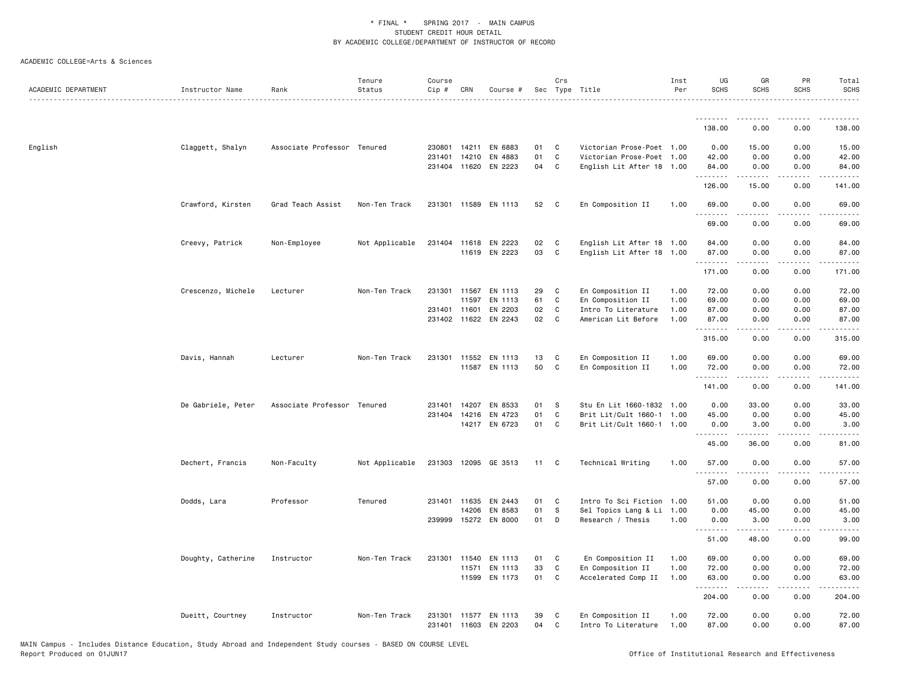| ACADEMIC DEPARTMENT | Instructor Name    | Rank                        | Tenure<br>Status | Course<br>Cip # | CRN          | Course #             |    | Crs          | Sec Type Title            | Inst<br>Per | UG<br><b>SCHS</b>  | GR<br><b>SCHS</b>                                                                                                                                            | PR<br><b>SCHS</b>            | Total<br><b>SCHS</b><br>.                                                                                                                                    |
|---------------------|--------------------|-----------------------------|------------------|-----------------|--------------|----------------------|----|--------------|---------------------------|-------------|--------------------|--------------------------------------------------------------------------------------------------------------------------------------------------------------|------------------------------|--------------------------------------------------------------------------------------------------------------------------------------------------------------|
|                     |                    |                             |                  |                 |              |                      |    |              |                           |             | .                  | $- - - - -$                                                                                                                                                  | $\frac{1}{2}$                | .                                                                                                                                                            |
|                     |                    |                             |                  |                 |              |                      |    |              |                           |             | 138.00             | 0.00                                                                                                                                                         | 0.00                         | 138.00                                                                                                                                                       |
| English             | Claggett, Shalyn   | Associate Professor Tenured |                  | 230801          | 14211        | EN 6883              | 01 | C            | Victorian Prose-Poet 1.00 |             | 0.00               | 15.00                                                                                                                                                        | 0.00                         | 15.00                                                                                                                                                        |
|                     |                    |                             |                  | 231401          | 14210        | EN 4883              | 01 | C            | Victorian Prose-Poet 1.00 |             | 42.00              | 0.00                                                                                                                                                         | 0.00                         | 42.00                                                                                                                                                        |
|                     |                    |                             |                  |                 |              | 231404 11620 EN 2223 | 04 | C            | English Lit After 18 1.00 |             | 84.00<br>.         | 0.00<br><b>.</b>                                                                                                                                             | 0.00<br>.                    | 84.00<br>$    -$                                                                                                                                             |
|                     |                    |                             |                  |                 |              |                      |    |              |                           |             | 126.00             | 15.00                                                                                                                                                        | 0.00                         | 141.00                                                                                                                                                       |
|                     | Crawford, Kirsten  | Grad Teach Assist           | Non-Ten Track    |                 |              | 231301 11589 EN 1113 | 52 | C            | En Composition II         | 1.00        | 69.00<br>.         | 0.00<br>.                                                                                                                                                    | 0.00<br>.                    | 69.00<br>.                                                                                                                                                   |
|                     |                    |                             |                  |                 |              |                      |    |              |                           |             | 69.00              | 0.00                                                                                                                                                         | 0.00                         | 69.00                                                                                                                                                        |
|                     | Creevy, Patrick    | Non-Employee                | Not Applicable   |                 |              | 231404 11618 EN 2223 | 02 | C            | English Lit After 18 1.00 |             | 84.00              | 0.00                                                                                                                                                         | 0.00                         | 84.00                                                                                                                                                        |
|                     |                    |                             |                  |                 |              | 11619 EN 2223        | 03 | C            | English Lit After 18 1.00 |             | 87.00<br>.         | 0.00                                                                                                                                                         | 0.00<br>.                    | 87.00<br>.                                                                                                                                                   |
|                     |                    |                             |                  |                 |              |                      |    |              |                           |             | 171.00             | 0.00                                                                                                                                                         | 0.00                         | 171.00                                                                                                                                                       |
|                     | Crescenzo, Michele | Lecturer                    | Non-Ten Track    |                 | 231301 11567 | EN 1113              | 29 | C            | En Composition II         | 1.00        | 72.00              | 0.00                                                                                                                                                         | 0.00                         | 72.00                                                                                                                                                        |
|                     |                    |                             |                  |                 | 11597        | EN 1113              | 61 | $\mathbb{C}$ | En Composition II         | 1.00        | 69.00              | 0.00                                                                                                                                                         | 0.00                         | 69.00                                                                                                                                                        |
|                     |                    |                             |                  |                 | 231401 11601 | EN 2203              | 02 | C.           | Intro To Literature       | 1.00        | 87.00              | 0.00                                                                                                                                                         | 0.00                         | 87.00                                                                                                                                                        |
|                     |                    |                             |                  |                 |              | 231402 11622 EN 2243 | 02 | C.           | American Lit Before       | 1.00        | 87.00<br>.         | 0.00                                                                                                                                                         | 0.00<br>.                    | 87.00<br>.                                                                                                                                                   |
|                     |                    |                             |                  |                 |              |                      |    |              |                           |             | 315.00             | 0.00                                                                                                                                                         | 0.00                         | 315.00                                                                                                                                                       |
|                     | Davis, Hannah      | Lecturer                    | Non-Ten Track    |                 |              | 231301 11552 EN 1113 | 13 | C            | En Composition II         | 1.00        | 69.00              | 0.00                                                                                                                                                         | 0.00                         | 69.00                                                                                                                                                        |
|                     |                    |                             |                  |                 |              | 11587 EN 1113        | 50 | $\mathtt{C}$ | En Composition II         | 1.00        | 72.00<br>.         | 0.00<br>د د د د                                                                                                                                              | 0.00<br>$\sim$ $\sim$ $\sim$ | 72.00<br>$\frac{1}{2} \left( \frac{1}{2} \right) \left( \frac{1}{2} \right) \left( \frac{1}{2} \right) \left( \frac{1}{2} \right)$                           |
|                     |                    |                             |                  |                 |              |                      |    |              |                           |             | 141.00             | 0.00                                                                                                                                                         | 0.00                         | 141.00                                                                                                                                                       |
|                     | De Gabriele, Peter | Associate Professor Tenured |                  | 231401          | 14207        | EN 8533              | 01 | -S           | Stu En Lit 1660-1832 1.00 |             | 0.00               | 33.00                                                                                                                                                        | 0.00                         | 33.00                                                                                                                                                        |
|                     |                    |                             |                  | 231404          |              | 14216 EN 4723        | 01 | C            | Brit Lit/Cult 1660-1 1.00 |             | 45.00              | 0.00                                                                                                                                                         | 0.00                         | 45.00                                                                                                                                                        |
|                     |                    |                             |                  |                 |              | 14217 EN 6723        | 01 | $\mathbf{C}$ | Brit Lit/Cult 1660-1 1.00 |             | 0.00<br>.          | 3.00<br>$- - - - -$                                                                                                                                          | 0.00<br>.                    | 3.00<br>.                                                                                                                                                    |
|                     |                    |                             |                  |                 |              |                      |    |              |                           |             | 45.00              | 36.00                                                                                                                                                        | 0.00                         | 81.00                                                                                                                                                        |
|                     | Dechert, Francis   | Non-Faculty                 | Not Applicable   |                 |              | 231303 12095 GE 3513 | 11 | C            | Technical Writing         | 1.00        | 57.00              | 0.00                                                                                                                                                         | 0.00                         | 57.00<br>$\frac{1}{2} \left( \frac{1}{2} \right) \left( \frac{1}{2} \right) \left( \frac{1}{2} \right) \left( \frac{1}{2} \right)$                           |
|                     |                    |                             |                  |                 |              |                      |    |              |                           |             | 57.00              | 0.00                                                                                                                                                         | 0.00                         | 57.00                                                                                                                                                        |
|                     | Dodds, Lara        | Professor                   | Tenured          |                 |              | 231401 11635 EN 2443 | 01 | C            | Intro To Sci Fiction 1.00 |             | 51.00              | 0.00                                                                                                                                                         | 0.00                         | 51.00                                                                                                                                                        |
|                     |                    |                             |                  |                 | 14206        | EN 8583              | 01 | S            | Sel Topics Lang & Li      | 1.00        | 0.00               | 45.00                                                                                                                                                        | 0.00                         | 45.00                                                                                                                                                        |
|                     |                    |                             |                  | 239999          | 15272        | EN 8000              | 01 | D            | Research / Thesis         | 1.00        | 0.00<br><b>.</b> . | 3.00<br>.                                                                                                                                                    | 0.00<br>د د د د              | 3.00<br>$\frac{1}{2} \left( \frac{1}{2} \right) \left( \frac{1}{2} \right) \left( \frac{1}{2} \right) \left( \frac{1}{2} \right) \left( \frac{1}{2} \right)$ |
|                     |                    |                             |                  |                 |              |                      |    |              |                           |             | 51.00              | 48.00                                                                                                                                                        | 0.00                         | 99.00                                                                                                                                                        |
|                     | Doughty, Catherine | Instructor                  | Non-Ten Track    |                 |              | 231301 11540 EN 1113 | 01 | C            | En Composition II         | 1.00        | 69.00              | 0.00                                                                                                                                                         | 0.00                         | 69.00                                                                                                                                                        |
|                     |                    |                             |                  |                 | 11571        | EN 1113              | 33 | $\mathtt{C}$ | En Composition II         | 1.00        | 72.00              | 0.00                                                                                                                                                         | 0.00                         | 72.00                                                                                                                                                        |
|                     |                    |                             |                  |                 |              | 11599 EN 1173        | 01 | C            | Accelerated Comp II       | 1.00        | 63.00              | 0.00<br>$\frac{1}{2} \left( \frac{1}{2} \right) \left( \frac{1}{2} \right) \left( \frac{1}{2} \right) \left( \frac{1}{2} \right) \left( \frac{1}{2} \right)$ | 0.00<br>.                    | 63.00<br>.                                                                                                                                                   |
|                     |                    |                             |                  |                 |              |                      |    |              |                           |             | .<br>204.00        | 0.00                                                                                                                                                         | 0.00                         | 204.00                                                                                                                                                       |
|                     | Dueitt, Courtney   | Instructor                  | Non-Ten Track    | 231301          |              | 11577 EN 1113        | 39 | C            | En Composition II         | 1.00        | 72.00              | 0.00                                                                                                                                                         | 0.00                         | 72.00                                                                                                                                                        |
|                     |                    |                             |                  |                 |              | 231401 11603 EN 2203 | 04 | C            | Intro To Literature       | 1.00        | 87.00              | 0.00                                                                                                                                                         | 0.00                         | 87.00                                                                                                                                                        |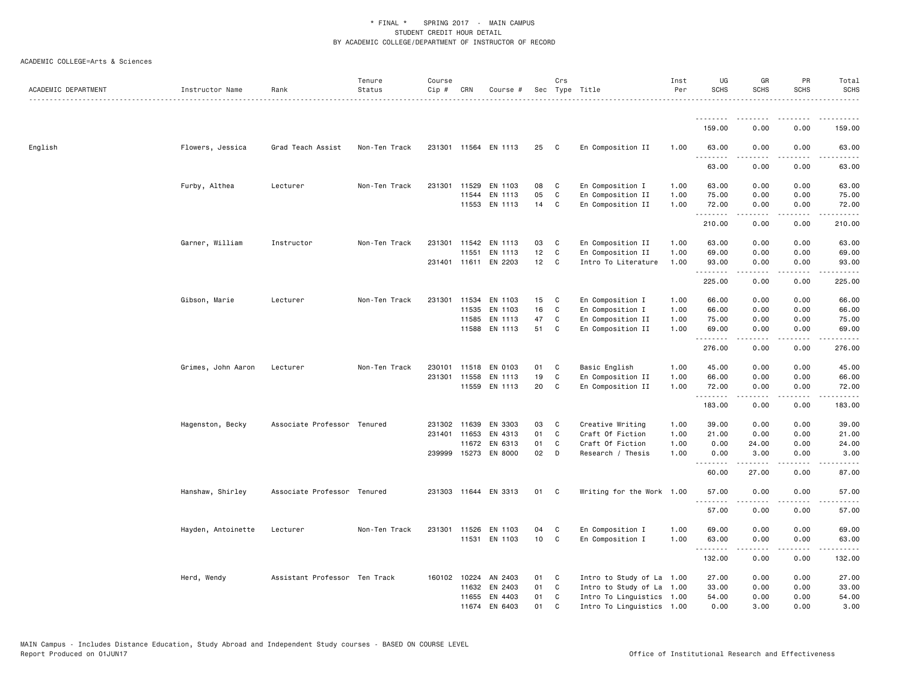| ACADEMIC DEPARTMENT | Instructor Name    | Rank                          | Tenure<br>Status | Course<br>Cip # | CRN          | Course #             |    | Crs          | Sec Type Title            | Inst<br>Per | UG<br><b>SCHS</b> | GR<br><b>SCHS</b> | PR<br><b>SCHS</b>                                                                                                                 | Total<br><b>SCHS</b>                 |
|---------------------|--------------------|-------------------------------|------------------|-----------------|--------------|----------------------|----|--------------|---------------------------|-------------|-------------------|-------------------|-----------------------------------------------------------------------------------------------------------------------------------|--------------------------------------|
|                     |                    |                               |                  |                 |              |                      |    |              |                           |             | <u>.</u>          | .                 |                                                                                                                                   | .                                    |
|                     |                    |                               |                  |                 |              |                      |    |              |                           |             | 159.00            | 0.00              | 0.00                                                                                                                              | 159.00                               |
| English             | Flowers, Jessica   | Grad Teach Assist             | Non-Ten Track    |                 |              | 231301 11564 EN 1113 | 25 | C            | En Composition II         | 1.00        | 63.00<br>.        | 0.00              | 0.00<br>$\frac{1}{2} \left( \frac{1}{2} \right) \left( \frac{1}{2} \right) \left( \frac{1}{2} \right) \left( \frac{1}{2} \right)$ | 63.00                                |
|                     |                    |                               |                  |                 |              |                      |    |              |                           |             | 63.00             | 0.00              | 0.00                                                                                                                              | 63.00                                |
|                     | Furby, Althea      | Lecturer                      | Non-Ten Track    |                 | 231301 11529 | EN 1103              | 08 | C            | En Composition I          | 1.00        | 63.00             | 0.00              | 0.00                                                                                                                              | 63.00                                |
|                     |                    |                               |                  |                 | 11544        | EN 1113              | 05 | C            | En Composition II         | 1.00        | 75.00             | 0.00              | 0.00                                                                                                                              | 75.00                                |
|                     |                    |                               |                  |                 |              | 11553 EN 1113        | 14 | C            | En Composition II         | 1.00        | 72.00<br>.        | 0.00              | 0.00                                                                                                                              | 72.00                                |
|                     |                    |                               |                  |                 |              |                      |    |              |                           |             | 210.00            | 0.00              | 0.00                                                                                                                              | 210.00                               |
|                     | Garner, William    | Instructor                    | Non-Ten Track    |                 |              | 231301 11542 EN 1113 | 03 | C            | En Composition II         | 1.00        | 63.00             | 0.00              | 0.00                                                                                                                              | 63.00                                |
|                     |                    |                               |                  |                 | 11551        | EN 1113              | 12 | C            | En Composition II         | 1.00        | 69.00             | 0.00              | 0.00                                                                                                                              | 69.00                                |
|                     |                    |                               |                  |                 |              | 231401 11611 EN 2203 | 12 | C            | Intro To Literature       | 1.00        | 93.00<br><u>.</u> | 0.00              | 0.00<br>$\sim$ $\sim$ $\sim$ $\sim$                                                                                               | 93.00<br>$\sim$ $\sim$ $\sim$ $\sim$ |
|                     |                    |                               |                  |                 |              |                      |    |              |                           |             | 225.00            | 0.00              | 0.00                                                                                                                              | 225.00                               |
|                     | Gibson, Marie      | Lecturer                      | Non-Ten Track    |                 |              | 231301 11534 EN 1103 | 15 | C            | En Composition I          | 1.00        | 66.00             | 0.00              | 0.00                                                                                                                              | 66.00                                |
|                     |                    |                               |                  |                 | 11535        | EN 1103              | 16 | C            | En Composition I          | 1.00        | 66.00             | 0.00              | 0.00                                                                                                                              | 66.00                                |
|                     |                    |                               |                  |                 | 11585        | EN 1113              | 47 | C            | En Composition II         | 1.00        | 75.00             | 0.00              | 0.00                                                                                                                              | 75.00                                |
|                     |                    |                               |                  |                 | 11588        | EN 1113              | 51 | C            | En Composition II         | 1.00        | 69.00<br>.        | 0.00<br>.         | 0.00<br>.                                                                                                                         | 69.00<br>.                           |
|                     |                    |                               |                  |                 |              |                      |    |              |                           |             | 276.00            | 0.00              | 0.00                                                                                                                              | 276.00                               |
|                     | Grimes, John Aaron | Lecturer                      | Non-Ten Track    |                 |              | 230101 11518 EN 0103 | 01 | C            | Basic English             | 1.00        | 45.00             | 0.00              | 0.00                                                                                                                              | 45.00                                |
|                     |                    |                               |                  |                 | 231301 11558 | EN 1113              | 19 | C            | En Composition II         | 1.00        | 66.00             | 0.00              | 0.00                                                                                                                              | 66.00                                |
|                     |                    |                               |                  |                 | 11559        | EN 1113              | 20 | C            | En Composition II         | 1.00        | 72.00<br>.        | 0.00<br>.         | 0.00<br>.                                                                                                                         | 72.00<br>.                           |
|                     |                    |                               |                  |                 |              |                      |    |              |                           |             | 183.00            | 0.00              | 0.00                                                                                                                              | 183.00                               |
|                     | Hagenston, Becky   | Associate Professor Tenured   |                  |                 | 231302 11639 | EN 3303              | 03 | C            | Creative Writing          | 1.00        | 39.00             | 0.00              | 0.00                                                                                                                              | 39.00                                |
|                     |                    |                               |                  |                 | 231401 11653 | EN 4313              | 01 | C            | Craft Of Fiction          | 1.00        | 21.00             | 0.00              | 0.00                                                                                                                              | 21.00                                |
|                     |                    |                               |                  |                 | 11672        | EN 6313              | 01 | C            | Craft Of Fiction          | 1.00        | 0.00              | 24.00             | 0.00                                                                                                                              | 24.00                                |
|                     |                    |                               |                  |                 |              | 239999 15273 EN 8000 | 02 | $\mathsf{D}$ | Research / Thesis         | 1.00        | 0.00<br>.         | 3.00              | 0.00                                                                                                                              | 3.00<br>.                            |
|                     |                    |                               |                  |                 |              |                      |    |              |                           |             | 60.00             | 27.00             | 0.00                                                                                                                              | 87.00                                |
|                     | Hanshaw, Shirley   | Associate Professor Tenured   |                  |                 |              | 231303 11644 EN 3313 | 01 | C            | Writing for the Work 1.00 |             | 57.00<br>.        | 0.00              | 0.00<br>د د د د                                                                                                                   | 57.00                                |
|                     |                    |                               |                  |                 |              |                      |    |              |                           |             | 57.00             | 0.00              | 0.00                                                                                                                              | 57.00                                |
|                     | Hayden, Antoinette | Lecturer                      | Non-Ten Track    |                 | 231301 11526 | EN 1103              | 04 | C            | En Composition I          | 1.00        | 69.00             | 0.00              | 0.00                                                                                                                              | 69.00                                |
|                     |                    |                               |                  |                 |              | 11531 EN 1103        | 10 | $\mathbf c$  | En Composition I          | 1.00        | 63.00<br>.        | 0.00              | 0.00                                                                                                                              | 63.00                                |
|                     |                    |                               |                  |                 |              |                      |    |              |                           |             | 132.00            | 0.00              | 0.00                                                                                                                              | 132.00                               |
|                     | Herd, Wendy        | Assistant Professor Ten Track |                  |                 | 160102 10224 | AN 2403              | 01 | C            | Intro to Study of La 1.00 |             | 27.00             | 0.00              | 0.00                                                                                                                              | 27.00                                |
|                     |                    |                               |                  |                 | 11632        | EN 2403              | 01 | C            | Intro to Study of La 1.00 |             | 33.00             | 0.00              | 0.00                                                                                                                              | 33.00                                |
|                     |                    |                               |                  |                 |              | 11655 EN 4403        | 01 | C            | Intro To Linguistics 1.00 |             | 54.00             | 0.00              | 0.00                                                                                                                              | 54.00                                |
|                     |                    |                               |                  |                 |              | 11674 EN 6403        | 01 | C            | Intro To Linguistics 1.00 |             | 0.00              | 3.00              | 0.00                                                                                                                              | 3.00                                 |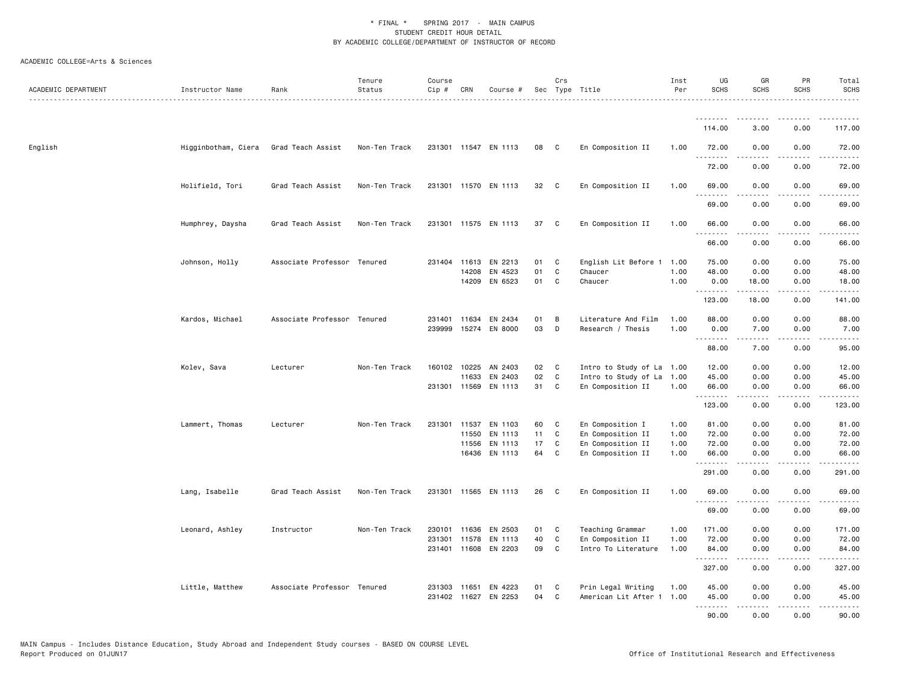| ACADEMIC DEPARTMENT | Instructor Name                       | Rank                        | Tenure<br>Status<br>. | Course<br>Cip # | CRN   | Course #             |    | Crs          | Sec Type Title            | Inst<br>Per | UG<br><b>SCHS</b> | GR<br><b>SCHS</b>                                                                                                                                             | PR<br><b>SCHS</b>     | Total<br><b>SCHS</b><br>.                   |
|---------------------|---------------------------------------|-----------------------------|-----------------------|-----------------|-------|----------------------|----|--------------|---------------------------|-------------|-------------------|---------------------------------------------------------------------------------------------------------------------------------------------------------------|-----------------------|---------------------------------------------|
|                     |                                       |                             |                       |                 |       |                      |    |              |                           |             | .                 |                                                                                                                                                               |                       |                                             |
|                     |                                       |                             |                       |                 |       |                      |    |              |                           |             | 114.00            | 3,00                                                                                                                                                          | 0.00                  | 117.00                                      |
| English             | Higginbotham, Ciera Grad Teach Assist |                             | Non-Ten Track         |                 |       | 231301 11547 EN 1113 | 08 | $\mathbf{C}$ | En Composition II         | 1.00        | 72.00<br>.        | 0.00                                                                                                                                                          | 0.00<br>.             | 72.00<br>.                                  |
|                     |                                       |                             |                       |                 |       |                      |    |              |                           |             | 72.00             | 0.00                                                                                                                                                          | 0.00                  | 72.00                                       |
|                     | Holifield, Tori                       | Grad Teach Assist           | Non-Ten Track         |                 |       | 231301 11570 EN 1113 | 32 | $\mathbf{C}$ | En Composition II         | 1.00        | 69.00<br>.        | 0.00                                                                                                                                                          | 0.00<br>.             | 69.00<br>$\frac{1}{2}$                      |
|                     |                                       |                             |                       |                 |       |                      |    |              |                           |             | 69.00             | 0.00                                                                                                                                                          | 0.00                  | 69.00                                       |
|                     | Humphrey, Daysha                      | Grad Teach Assist           | Non-Ten Track         |                 |       | 231301 11575 EN 1113 | 37 | C.           | En Composition II         | 1.00        | 66.00<br><b></b>  | 0.00<br><u>.</u>                                                                                                                                              | 0.00<br>.             | 66.00<br>.                                  |
|                     |                                       |                             |                       |                 |       |                      |    |              |                           |             | 66.00             | 0.00                                                                                                                                                          | 0.00                  | 66.00                                       |
|                     | Johnson, Holly                        | Associate Professor Tenured |                       |                 |       | 231404 11613 EN 2213 | 01 | C            | English Lit Before 1      | 1.00        | 75.00             | 0.00                                                                                                                                                          | 0.00                  | 75.00                                       |
|                     |                                       |                             |                       |                 | 14208 | EN 4523              | 01 | $\mathtt{C}$ | Chaucer                   | 1.00        | 48.00             | 0.00                                                                                                                                                          | 0.00                  | 48.00                                       |
|                     |                                       |                             |                       |                 |       | 14209 EN 6523        | 01 | C            | Chaucer                   | 1.00        | 0.00<br>.         | 18.00<br>$\frac{1}{2} \left( \frac{1}{2} \right) \left( \frac{1}{2} \right) \left( \frac{1}{2} \right) \left( \frac{1}{2} \right) \left( \frac{1}{2} \right)$ | 0.00<br>د د د د       | 18.00<br>$\sim$ $\sim$ $\sim$ $\sim$ $\sim$ |
|                     |                                       |                             |                       |                 |       |                      |    |              |                           |             | 123.00            | 18.00                                                                                                                                                         | 0.00                  | 141.00                                      |
|                     | Kardos, Michael                       | Associate Professor Tenured |                       | 231401          | 11634 | EN 2434              | 01 | В            | Literature And Film       | 1.00        | 88.00             | 0.00                                                                                                                                                          | 0.00                  | 88.00                                       |
|                     |                                       |                             |                       | 239999          |       | 15274 EN 8000        | 03 | D            | Research / Thesis         | 1.00        | 0.00<br>.         | 7.00<br><u>.</u>                                                                                                                                              | 0.00<br>.             | 7.00<br>.                                   |
|                     |                                       |                             |                       |                 |       |                      |    |              |                           |             | 88.00             | 7.00                                                                                                                                                          | 0.00                  | 95.00                                       |
|                     | Kolev, Sava                           | Lecturer                    | Non-Ten Track         | 160102          | 10225 | AN 2403              | 02 | C            | Intro to Study of La      | 1.00        | 12.00             | 0.00                                                                                                                                                          | 0.00                  | 12.00                                       |
|                     |                                       |                             |                       |                 | 11633 | EN 2403              | 02 | C            | Intro to Study of La      | 1.00        | 45.00             | 0.00                                                                                                                                                          | 0.00                  | 45.00                                       |
|                     |                                       |                             |                       |                 |       | 231301 11569 EN 1113 | 31 | C            | En Composition II         | 1.00        | 66.00<br>.        | 0.00<br>.                                                                                                                                                     | 0.00<br>$\frac{1}{2}$ | 66.00<br>.                                  |
|                     |                                       |                             |                       |                 |       |                      |    |              |                           |             | 123.00            | 0.00                                                                                                                                                          | 0.00                  | 123.00                                      |
|                     | Lammert, Thomas                       | Lecturer                    | Non-Ten Track         | 231301          | 11537 | EN 1103              | 60 | C            | En Composition I          | 1.00        | 81.00             | 0.00                                                                                                                                                          | 0.00                  | 81.00                                       |
|                     |                                       |                             |                       |                 | 11550 | EN 1113              | 11 | $\mathtt{C}$ | En Composition II         | 1.00        | 72.00             | 0.00                                                                                                                                                          | 0.00                  | 72.00                                       |
|                     |                                       |                             |                       |                 |       | 11556 EN 1113        | 17 | C            | En Composition II         | 1.00        | 72.00             | 0.00                                                                                                                                                          | 0.00                  | 72.00                                       |
|                     |                                       |                             |                       |                 |       | 16436 EN 1113        | 64 | C            | En Composition II         | 1.00        | 66.00<br><u>.</u> | 0.00                                                                                                                                                          | 0.00                  | 66.00                                       |
|                     |                                       |                             |                       |                 |       |                      |    |              |                           |             | 291.00            | 0.00                                                                                                                                                          | 0.00                  | 291.00                                      |
|                     | Lang, Isabelle                        | Grad Teach Assist           | Non-Ten Track         |                 |       | 231301 11565 EN 1113 | 26 | C            | En Composition II         | 1.00        | 69.00<br>.        | 0.00                                                                                                                                                          | 0.00                  | 69.00<br>.                                  |
|                     |                                       |                             |                       |                 |       |                      |    |              |                           |             | 69.00             | 0.00                                                                                                                                                          | 0.00                  | 69.00                                       |
|                     | Leonard, Ashley                       | Instructor                  | Non-Ten Track         | 230101          |       | 11636 EN 2503        | 01 | C            | Teaching Grammar          | 1.00        | 171.00            | 0.00                                                                                                                                                          | 0.00                  | 171.00                                      |
|                     |                                       |                             |                       | 231301          |       | 11578 EN 1113        | 40 | $\mathbf c$  | En Composition II         | 1.00        | 72.00             | 0.00                                                                                                                                                          | 0.00                  | 72.00                                       |
|                     |                                       |                             |                       |                 |       | 231401 11608 EN 2203 | 09 | C            | Intro To Literature       | 1.00        | 84.00<br>-------- | 0.00<br>.                                                                                                                                                     | 0.00<br>.             | 84.00                                       |
|                     |                                       |                             |                       |                 |       |                      |    |              |                           |             | 327.00            | 0.00                                                                                                                                                          | 0.00                  | 327.00                                      |
|                     | Little, Matthew                       | Associate Professor Tenured |                       | 231303          | 11651 | EN 4223              | 01 | C            | Prin Legal Writing        | 1.00        | 45.00             | 0.00                                                                                                                                                          | 0.00                  | 45.00                                       |
|                     |                                       |                             |                       |                 |       | 231402 11627 EN 2253 | 04 | C            | American Lit After 1 1.00 |             | 45.00             | 0.00                                                                                                                                                          | 0.00                  | 45.00                                       |
|                     |                                       |                             |                       |                 |       |                      |    |              |                           |             | <b></b><br>90.00  | <b>.</b><br>0.00                                                                                                                                              | .<br>0.00             | .<br>90.00                                  |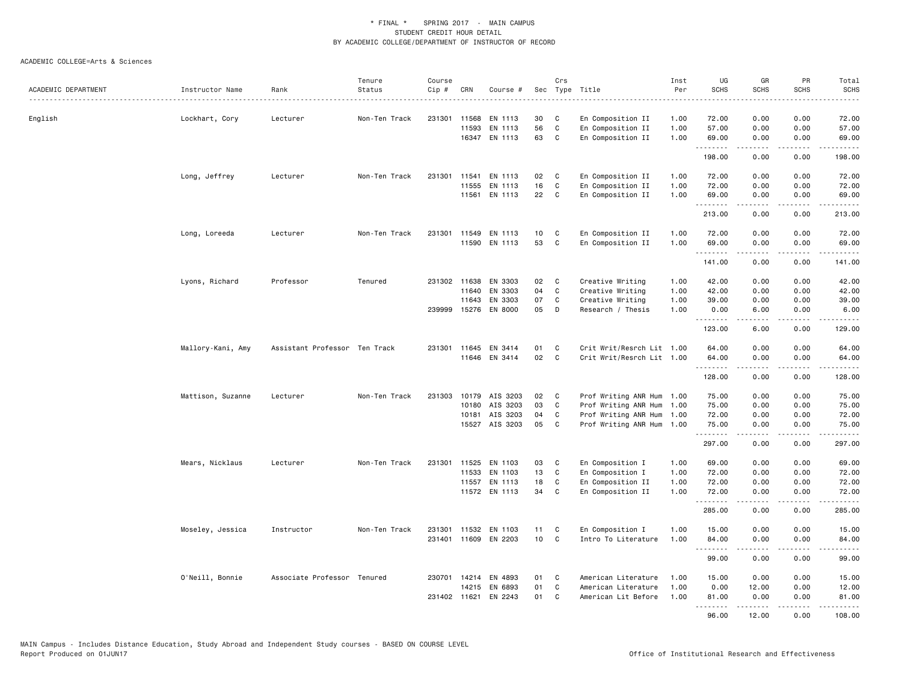|                     |                   |                               | Tenure        | Course |              |                      |     | Crs          |                           | Inst | UG               | GR                  | PR              | Total                  |
|---------------------|-------------------|-------------------------------|---------------|--------|--------------|----------------------|-----|--------------|---------------------------|------|------------------|---------------------|-----------------|------------------------|
| ACADEMIC DEPARTMENT | Instructor Name   | Rank<br>.                     | Status        | Cip #  | CRN          | Course #             | Sec |              | Type Title                | Per  | <b>SCHS</b>      | <b>SCHS</b>         | <b>SCHS</b>     | SCHS<br>.              |
| English             | Lockhart, Cory    | Lecturer                      | Non-Ten Track |        | 231301 11568 | EN 1113              | 30  | C            | En Composition II         | 1.00 | 72.00            | 0.00                | 0.00            | 72.00                  |
|                     |                   |                               |               |        | 11593        | EN 1113              | 56  | C            | En Composition II         | 1.00 | 57.00            | 0.00                | 0.00            | 57.00                  |
|                     |                   |                               |               |        |              | 16347 EN 1113        | 63  | C            | En Composition II         | 1.00 | 69.00            | 0.00                | 0.00            | 69.00                  |
|                     |                   |                               |               |        |              |                      |     |              |                           |      | .<br>198.00      | .<br>0.00           | د د د د<br>0.00 | .<br>198.00            |
|                     | Long, Jeffrey     | Lecturer                      | Non-Ten Track | 231301 | 11541        | EN 1113              | 02  | C            | En Composition II         | 1.00 | 72.00            | 0.00                | 0.00            | 72.00                  |
|                     |                   |                               |               |        | 11555        | EN 1113              | 16  | C            | En Composition II         | 1.00 | 72.00            | 0.00                | 0.00            | 72.00                  |
|                     |                   |                               |               |        |              | 11561 EN 1113        | 22  | C.           | En Composition II         | 1.00 | 69.00<br>.       | 0.00<br>.           | 0.00<br>.       | 69.00<br>.             |
|                     |                   |                               |               |        |              |                      |     |              |                           |      | 213.00           | 0.00                | 0.00            | 213.00                 |
|                     | Long, Loreeda     | Lecturer                      | Non-Ten Track |        |              | 231301 11549 EN 1113 | 10  | C            | En Composition II         | 1.00 | 72.00            | 0.00                | 0.00            | 72.00                  |
|                     |                   |                               |               |        |              | 11590 EN 1113        | 53  | C            | En Composition II         | 1.00 | 69.00<br>.       | 0.00<br>.           | 0.00<br>.       | 69.00<br>------        |
|                     |                   |                               |               |        |              |                      |     |              |                           |      | 141.00           | 0.00                | 0.00            | 141.00                 |
|                     | Lyons, Richard    | Professor                     | Tenured       |        | 231302 11638 | EN 3303              | 02  | C            | Creative Writing          | 1.00 | 42.00            | 0.00                | 0.00            | 42.00                  |
|                     |                   |                               |               |        | 11640        | EN 3303              | 04  | $\mathbf c$  | Creative Writing          | 1.00 | 42.00            | 0.00                | 0.00            | 42.00                  |
|                     |                   |                               |               |        | 11643        | EN 3303              | 07  | C            | Creative Writing          | 1.00 | 39.00            | 0.00                | 0.00            | 39.00                  |
|                     |                   |                               |               | 239999 |              | 15276 EN 8000        | 05  | D            | Research / Thesis         | 1.00 | 0.00<br><b></b>  | 6.00<br>.           | 0.00<br>.       | 6.00<br>.              |
|                     |                   |                               |               |        |              |                      |     |              |                           |      | 123.00           | 6.00                | 0.00            | 129.00                 |
|                     | Mallory-Kani, Amy | Assistant Professor Ten Track |               |        |              | 231301 11645 EN 3414 | 01  | C            | Crit Writ/Resrch Lit 1.00 |      | 64.00            | 0.00                | 0.00            | 64.00                  |
|                     |                   |                               |               |        |              | 11646 EN 3414        | 02  | $\mathbf c$  | Crit Writ/Resrch Lit 1.00 |      | 64.00<br>.       | 0.00<br>.           | 0.00<br>د د د د | 64.00<br>.             |
|                     |                   |                               |               |        |              |                      |     |              |                           |      | 128.00           | 0.00                | 0.00            | 128.00                 |
|                     | Mattison, Suzanne | Lecturer                      | Non-Ten Track | 231303 |              | 10179 AIS 3203       | 02  | C            | Prof Writing ANR Hum 1.00 |      | 75.00            | 0.00                | 0.00            | 75.00                  |
|                     |                   |                               |               |        | 10180        | AIS 3203             | 03  | C            | Prof Writing ANR Hum 1.00 |      | 75.00            | 0.00                | 0.00            | 75.00                  |
|                     |                   |                               |               |        | 10181        | AIS 3203             | 04  | C            | Prof Writing ANR Hum 1.00 |      | 72.00            | 0.00                | 0.00            | 72.00                  |
|                     |                   |                               |               |        |              | 15527 AIS 3203       | 05  | C            | Prof Writing ANR Hum 1.00 |      | 75.00<br>.       | 0.00                | 0.00            | 75.00<br>.             |
|                     |                   |                               |               |        |              |                      |     |              |                           |      | 297.00           | 0.00                | 0.00            | 297.00                 |
|                     | Mears, Nicklaus   | Lecturer                      | Non-Ten Track |        |              | 231301 11525 EN 1103 | 03  | C            | En Composition I          | 1.00 | 69.00            | 0.00                | 0.00            | 69.00                  |
|                     |                   |                               |               |        | 11533        | EN 1103              | 13  | C            | En Composition I          | 1.00 | 72.00            | 0.00                | 0.00            | 72.00                  |
|                     |                   |                               |               |        | 11557        | EN 1113              | 18  | C<br>C       | En Composition II         | 1.00 | 72.00            | 0.00                | 0.00<br>0.00    | 72.00                  |
|                     |                   |                               |               |        |              | 11572 EN 1113        | 34  |              | En Composition II         | 1.00 | 72.00<br><b></b> | 0.00<br>.           | .               | 72.00<br><u>.</u>      |
|                     |                   |                               |               |        |              |                      |     |              |                           |      | 285.00           | 0.00                | 0.00            | 285.00                 |
|                     | Moseley, Jessica  | Instructor                    | Non-Ten Track | 231301 |              | 11532 EN 1103        | 11  | C            | En Composition I          | 1.00 | 15.00            | 0.00                | 0.00            | 15.00                  |
|                     |                   |                               |               |        | 231401 11609 | EN 2203              | 10  | $\mathtt{C}$ | Intro To Literature       | 1.00 | 84.00<br><b></b> | 0.00<br>.           | 0.00<br>$   -$  | 84.00<br>$\frac{1}{2}$ |
|                     |                   |                               |               |        |              |                      |     |              |                           |      | 99.00            | 0.00                | 0.00            | 99.00                  |
|                     | O'Neill, Bonnie   | Associate Professor Tenured   |               |        |              | 230701 14214 EN 4893 | 01  | C            | American Literature       | 1.00 | 15.00            | 0.00                | 0.00            | 15.00                  |
|                     |                   |                               |               |        | 14215        | EN 6893              | 01  | $\mathtt{C}$ | American Literature       | 1.00 | 0.00             | 12.00               | 0.00            | 12.00                  |
|                     |                   |                               |               |        | 231402 11621 | EN 2243              | 01  | C            | American Lit Before       | 1.00 | 81.00<br>.       | 0.00<br>$- - - - -$ | 0.00<br>د د د د | 81.00<br>.             |
|                     |                   |                               |               |        |              |                      |     |              |                           |      | 96.00            | 12.00               | 0.00            | 108.00                 |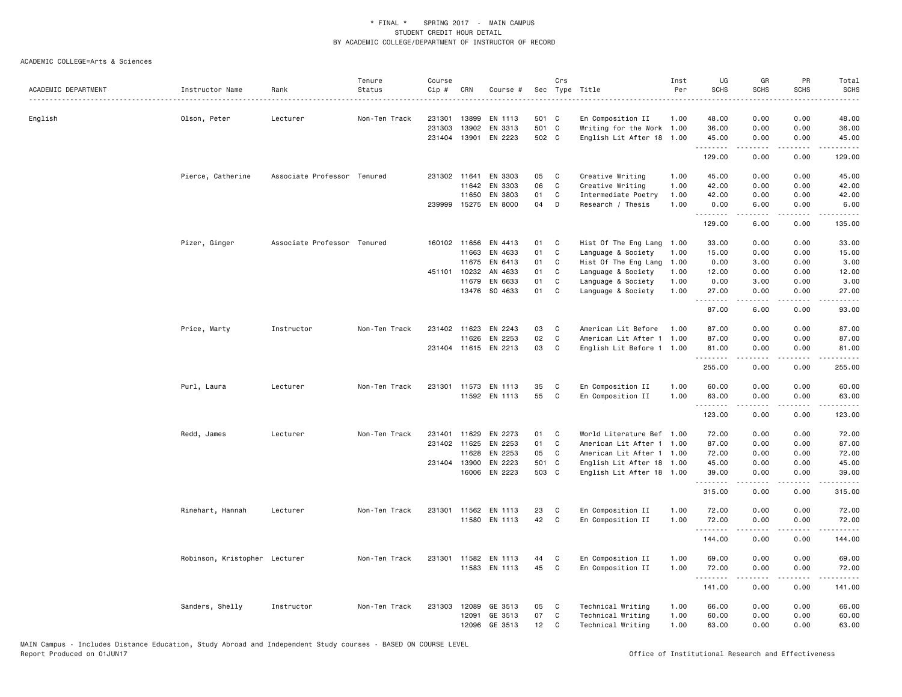|                     |                               |                             | Tenure        | Course   |              |                      |                 | Crs          |                           | Inst | UG          | GR                                                                                                                                                           | PR              | Total               |
|---------------------|-------------------------------|-----------------------------|---------------|----------|--------------|----------------------|-----------------|--------------|---------------------------|------|-------------|--------------------------------------------------------------------------------------------------------------------------------------------------------------|-----------------|---------------------|
| ACADEMIC DEPARTMENT | Instructor Name               | Rank                        | Status        | $Cip \#$ | CRN          | Course #             |                 |              | Sec Type Title            | Per  | <b>SCHS</b> | <b>SCHS</b>                                                                                                                                                  | SCHS            | <b>SCHS</b>         |
| English             | Olson, Peter                  | Lecturer                    | Non-Ten Track | 231301   | 13899        | EN 1113              | 501 C           |              | En Composition II         | 1.00 | 48.00       | 0.00                                                                                                                                                         | 0.00            | 48.00               |
|                     |                               |                             |               | 231303   | 13902        | EN 3313              | 501 C           |              | Writing for the Work 1.00 |      | 36.00       | 0.00                                                                                                                                                         | 0.00            | 36.00               |
|                     |                               |                             |               |          |              | 231404 13901 EN 2223 | 502 C           |              | English Lit After 18 1.00 |      | 45.00<br>.  | 0.00<br>$\frac{1}{2} \left( \frac{1}{2} \right) \left( \frac{1}{2} \right) \left( \frac{1}{2} \right) \left( \frac{1}{2} \right) \left( \frac{1}{2} \right)$ | 0.00<br>.       | 45.00<br>.          |
|                     |                               |                             |               |          |              |                      |                 |              |                           |      | 129.00      | 0.00                                                                                                                                                         | 0.00            | 129.00              |
|                     | Pierce, Catherine             | Associate Professor Tenured |               |          | 231302 11641 | EN 3303              | 05              | C            | Creative Writing          | 1.00 | 45.00       | 0.00                                                                                                                                                         | 0.00            | 45.00               |
|                     |                               |                             |               |          | 11642        | EN 3303              | 06              | $\mathtt{C}$ | Creative Writing          | 1.00 | 42.00       | 0.00                                                                                                                                                         | 0.00            | 42.00               |
|                     |                               |                             |               |          | 11650        | EN 3803              | 01              | C            | Intermediate Poetry       | 1.00 | 42.00       | 0.00                                                                                                                                                         | 0.00            | 42.00               |
|                     |                               |                             |               |          |              | 239999 15275 EN 8000 | 04              | D            | Research / Thesis         | 1.00 | 0.00<br>.   | 6.00<br>-----                                                                                                                                                | 0.00<br>.       | 6.00<br>$- - - - -$ |
|                     |                               |                             |               |          |              |                      |                 |              |                           |      | 129.00      | 6.00                                                                                                                                                         | 0.00            | 135.00              |
|                     | Pizer, Ginger                 | Associate Professor Tenured |               |          | 160102 11656 | EN 4413              | 01              | C            | Hist Of The Eng Lang 1.00 |      | 33.00       | 0.00                                                                                                                                                         | 0.00            | 33.00               |
|                     |                               |                             |               |          | 11663        | EN 4633              | 01              | C            | Language & Society        | 1.00 | 15.00       | 0.00                                                                                                                                                         | 0.00            | 15.00               |
|                     |                               |                             |               |          | 11675        | EN 6413              | 01              | C            | Hist Of The Eng Lang      | 1.00 | 0.00        | 3.00                                                                                                                                                         | 0.00            | 3.00                |
|                     |                               |                             |               |          | 451101 10232 | AN 4633              | 01              | C            | Language & Society        | 1.00 | 12.00       | 0.00                                                                                                                                                         | 0.00            | 12.00               |
|                     |                               |                             |               |          | 11679        | EN 6633              | 01              | C            | Language & Society        | 1.00 | 0.00        | 3.00                                                                                                                                                         | 0.00            | 3.00                |
|                     |                               |                             |               |          | 13476        | SO 4633              | 01              | C            | Language & Society        | 1.00 | 27.00<br>.  | 0.00<br>-----                                                                                                                                                | 0.00<br>.       | 27.00<br>.          |
|                     |                               |                             |               |          |              |                      |                 |              |                           |      | 87.00       | 6.00                                                                                                                                                         | 0.00            | 93.00               |
|                     | Price, Marty                  | Instructor                  | Non-Ten Track |          | 231402 11623 | EN 2243              | 03              | C            | American Lit Before       | 1.00 | 87.00       | 0.00                                                                                                                                                         | 0.00            | 87.00               |
|                     |                               |                             |               |          | 11626        | EN 2253              | 02              | C            | American Lit After 1 1.00 |      | 87.00       | 0.00                                                                                                                                                         | 0.00            | 87.00               |
|                     |                               |                             |               |          |              | 231404 11615 EN 2213 | 03              | C            | English Lit Before 1 1.00 |      | 81,00<br>.  | 0.00<br>.                                                                                                                                                    | 0.00<br>د د د د | 81.00<br>.          |
|                     |                               |                             |               |          |              |                      |                 |              |                           |      | 255.00      | 0.00                                                                                                                                                         | 0.00            | 255.00              |
|                     | Purl, Laura                   | Lecturer                    | Non-Ten Track |          |              | 231301 11573 EN 1113 | 35              | C            | En Composition II         | 1.00 | 60.00       | 0.00                                                                                                                                                         | 0.00            | 60.00               |
|                     |                               |                             |               |          |              | 11592 EN 1113        | 55              | C            | En Composition II         | 1.00 | 63.00       | 0.00                                                                                                                                                         | 0.00            | 63.00               |
|                     |                               |                             |               |          |              |                      |                 |              |                           |      | .<br>123.00 | -----<br>0.00                                                                                                                                                | .<br>0.00       | .<br>123.00         |
|                     | Redd, James                   | Lecturer                    | Non-Ten Track |          | 231401 11629 | EN 2273              | 01              | C            | World Literature Bef 1.00 |      | 72.00       | 0.00                                                                                                                                                         | 0.00            | 72.00               |
|                     |                               |                             |               |          | 231402 11625 | EN 2253              | 01              | C            | American Lit After 1 1.00 |      | 87.00       | 0.00                                                                                                                                                         | 0.00            | 87.00               |
|                     |                               |                             |               |          | 11628        | EN 2253              | 05              | C            | American Lit After 1 1.00 |      | 72.00       | 0.00                                                                                                                                                         | 0.00            | 72.00               |
|                     |                               |                             |               |          | 231404 13900 | EN 2223              | 501 C           |              | English Lit After 18 1.00 |      | 45.00       | 0.00                                                                                                                                                         | 0.00            | 45.00               |
|                     |                               |                             |               |          | 16006        | EN 2223              | 503 C           |              | English Lit After 18 1.00 |      | 39.00       | 0.00                                                                                                                                                         | 0.00            | 39.00               |
|                     |                               |                             |               |          |              |                      |                 |              |                           |      | .<br>315.00 | <b>.</b><br>0.00                                                                                                                                             | .<br>0.00       | .<br>315.00         |
|                     | Rinehart, Hannah              | Lecturer                    | Non-Ten Track |          | 231301 11562 | EN 1113              | 23              | C            | En Composition II         | 1.00 | 72.00       | 0.00                                                                                                                                                         | 0.00            | 72.00               |
|                     |                               |                             |               |          | 11580        | EN 1113              | 42              | C            | En Composition II         | 1.00 | 72.00       | 0.00                                                                                                                                                         | 0.00            | 72.00               |
|                     |                               |                             |               |          |              |                      |                 |              |                           |      | .<br>144.00 | <b>.</b><br>0.00                                                                                                                                             | د د د د<br>0.00 | .<br>144.00         |
|                     | Robinson, Kristopher Lecturer |                             | Non-Ten Track |          | 231301 11582 | EN 1113              | 44              | C            | En Composition II         | 1.00 | 69.00       | 0.00                                                                                                                                                         | 0.00            | 69.00               |
|                     |                               |                             |               |          |              | 11583 EN 1113        | 45              | C            | En Composition II         | 1.00 | 72.00<br>.  | 0.00                                                                                                                                                         | 0.00            | 72.00<br>.          |
|                     |                               |                             |               |          |              |                      |                 |              |                           |      | 141.00      | 0.00                                                                                                                                                         | 0.00            | 141.00              |
|                     | Sanders, Shelly               | Instructor                  | Non-Ten Track |          | 231303 12089 | GE 3513              | 05              | C            | Technical Writing         | 1.00 | 66.00       | 0.00                                                                                                                                                         | 0.00            | 66.00               |
|                     |                               |                             |               |          | 12091        | GE 3513              | 07              | C            | Technical Writing         | 1.00 | 60.00       | 0.00                                                                                                                                                         | 0.00            | 60.00               |
|                     |                               |                             |               |          | 12096        | GE 3513              | 12 <sub>2</sub> | C            | Technical Writing         | 1.00 | 63.00       | 0.00                                                                                                                                                         | 0.00            | 63.00               |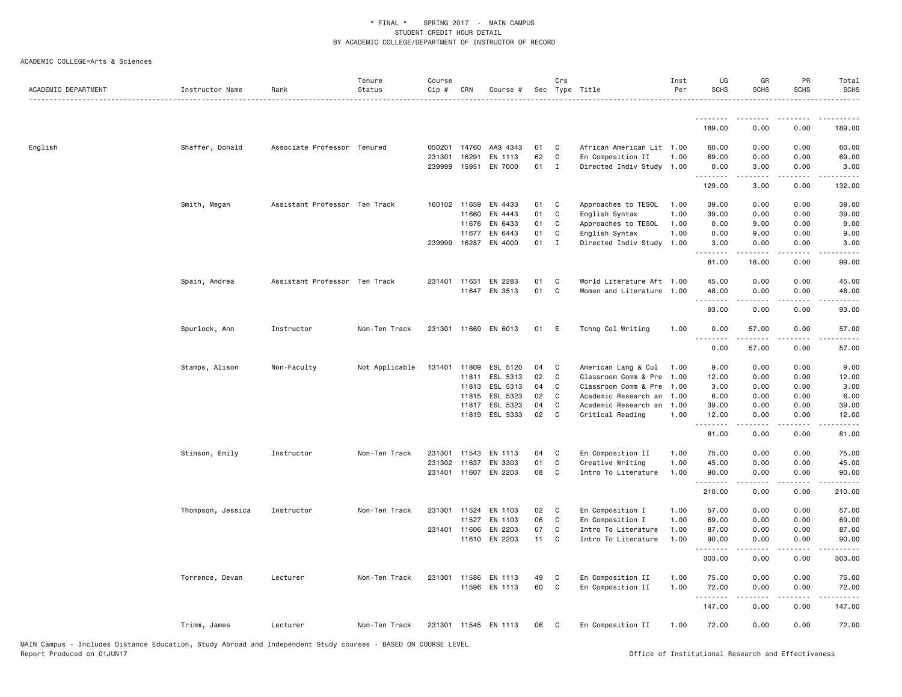| ACADEMIC DEPARTMENT | Instructor Name   | Rank                          | Tenure<br>Status | Course<br>Cip # | CRN          | Course #             |    | Crs          | Sec Type Title            | Inst<br>Per | UG<br><b>SCHS</b>                     | GR<br><b>SCHS</b> | PR<br><b>SCHS</b>            | Total<br><b>SCHS</b><br><u>.</u> |
|---------------------|-------------------|-------------------------------|------------------|-----------------|--------------|----------------------|----|--------------|---------------------------|-------------|---------------------------------------|-------------------|------------------------------|----------------------------------|
|                     |                   |                               |                  |                 |              |                      |    |              |                           |             |                                       |                   |                              |                                  |
|                     |                   |                               |                  |                 |              |                      |    |              |                           |             | 189.00                                | 0.00              | 0.00                         | 189.00                           |
| English             | Shaffer, Donald   | Associate Professor Tenured   |                  | 050201          | 14760        | AAS 4343             | 01 | C            | African American Lit 1.00 |             | 60.00                                 | 0.00              | 0.00                         | 60.00                            |
|                     |                   |                               |                  | 231301          | 16291        | EN 1113              | 62 | $\mathsf{C}$ | En Composition II         | 1.00        | 69.00                                 | 0.00              | 0.00                         | 69.00                            |
|                     |                   |                               |                  |                 | 239999 15951 | EN 7000              | 01 | $\mathbf{I}$ | Directed Indiv Study 1.00 |             | 0.00<br><b><i><u><u>.</u></u></i></b> | 3.00<br>.         | 0.00<br>.                    | 3.00<br>$- - - - - -$            |
|                     |                   |                               |                  |                 |              |                      |    |              |                           |             | 129.00                                | 3.00              | 0.00                         | 132.00                           |
|                     | Smith, Megan      | Assistant Professor Ten Track |                  |                 | 160102 11659 | EN 4433              | 01 | C            | Approaches to TESOL       | 1.00        | 39.00                                 | 0.00              | 0.00                         | 39.00                            |
|                     |                   |                               |                  |                 | 11660        | EN 4443              | 01 | C            | English Syntax            | 1.00        | 39.00                                 | 0.00              | 0.00                         | 39.00                            |
|                     |                   |                               |                  |                 | 11676        | EN 6433              | 01 | C            | Approaches to TESOL       | 1.00        | 0.00                                  | 9.00              | 0.00                         | 9.00                             |
|                     |                   |                               |                  |                 | 11677        | EN 6443              | 01 | C            | English Syntax            | 1.00        | 0.00                                  | 9.00              | 0.00                         | 9.00                             |
|                     |                   |                               |                  |                 |              | 239999 16287 EN 4000 | 01 | I            | Directed Indiv Study      | 1.00        | 3.00<br>.                             | 0.00<br><b>.</b>  | 0.00<br>.                    | 3.00<br>$\frac{1}{2}$            |
|                     |                   |                               |                  |                 |              |                      |    |              |                           |             | 81.00                                 | 18.00             | 0.00                         | 99.00                            |
|                     | Spain, Andrea     | Assistant Professor Ten Track |                  |                 | 231401 11631 | EN 2283              | 01 | C            | World Literature Aft 1.00 |             | 45.00                                 | 0.00              | 0.00                         | 45.00                            |
|                     |                   |                               |                  |                 |              | 11647 EN 3513        | 01 | $\mathsf{C}$ | Women and Literature 1.00 |             | 48.00                                 | 0.00              | 0.00                         | 48.00                            |
|                     |                   |                               |                  |                 |              |                      |    |              |                           |             | .<br>93.00                            | .<br>0.00         | $- - -$<br>0.00              | .<br>93.00                       |
|                     | Spurlock, Ann     | Instructor                    | Non-Ten Track    | 231301          |              | 11669 EN 6013        | 01 | E            | Tchng Col Writing         | 1.00        | 0.00                                  | 57.00             | 0.00                         | 57.00                            |
|                     |                   |                               |                  |                 |              |                      |    |              |                           |             | 0.00                                  | 57.00             | 0.00                         | 57.00                            |
|                     | Stamps, Alison    | Non-Faculty                   | Not Applicable   | 131401          | 11809        | ESL 5120             | 04 | C            | American Lang & Cul       | 1.00        | 9.00                                  | 0.00              | 0.00                         | 9.00                             |
|                     |                   |                               |                  |                 | 11811        | ESL 5313             | 02 | C            | Classroom Comm & Pre      | 1.00        | 12.00                                 | 0.00              | 0.00                         | 12.00                            |
|                     |                   |                               |                  |                 |              | 11813 ESL 5313       | 04 | C            | Classroom Comm & Pre      | 1.00        | 3.00                                  | 0.00              | 0.00                         | 3.00                             |
|                     |                   |                               |                  |                 | 11815        | ESL 5323             | 02 | C            | Academic Research an      | 1.00        | 6.00                                  | 0.00              | 0.00                         | 6.00                             |
|                     |                   |                               |                  |                 |              | 11817 ESL 5323       | 04 | C            | Academic Research an      | 1,00        | 39.00                                 | 0.00              | 0.00                         | 39.00                            |
|                     |                   |                               |                  |                 |              | 11819 ESL 5333       | 02 | $\mathbf C$  | Critical Reading          | 1.00        | 12.00<br>.                            | 0.00<br>.         | 0.00<br>$\frac{1}{2}$        | 12.00<br>.                       |
|                     |                   |                               |                  |                 |              |                      |    |              |                           |             | 81.00                                 | 0.00              | 0.00                         | 81.00                            |
|                     | Stinson, Emily    | Instructor                    | Non-Ten Track    | 231301          | 11543        | EN 1113              | 04 | C            | En Composition II         | 1.00        | 75.00                                 | 0.00              | 0.00                         | 75.00                            |
|                     |                   |                               |                  | 231302          |              | 11637 EN 3303        | 01 | C            | Creative Writing          | 1.00        | 45.00                                 | 0.00              | 0.00                         | 45.00                            |
|                     |                   |                               |                  |                 |              | 231401 11607 EN 2203 | 08 | C            | Intro To Literature       | 1.00        | 90.00<br>.                            | 0.00              | 0.00<br>$\sim$ $\sim$ $\sim$ | 90.00<br>.                       |
|                     |                   |                               |                  |                 |              |                      |    |              |                           |             | 210.00                                | 0.00              | 0.00                         | 210.00                           |
|                     | Thompson, Jessica | Instructor                    | Non-Ten Track    | 231301          | 11524        | EN 1103              | 02 | C            | En Composition I          | 1.00        | 57.00                                 | 0.00              | 0.00                         | 57.00                            |
|                     |                   |                               |                  |                 | 11527        | EN 1103              | 06 | $\mathsf{C}$ | En Composition I          | 1.00        | 69.00                                 | 0.00              | 0.00                         | 69.00                            |
|                     |                   |                               |                  |                 | 231401 11606 | EN 2203              | 07 | $\mathbb{C}$ | Intro To Literature       | 1.00        | 87.00                                 | 0.00              | 0.00                         | 87.00                            |
|                     |                   |                               |                  |                 | 11610        | EN 2203              | 11 | C            | Intro To Literature       | 1.00        | 90.00<br>.                            | 0.00<br>.         | 0.00<br>$\frac{1}{2}$        | 90.00<br>.                       |
|                     |                   |                               |                  |                 |              |                      |    |              |                           |             | 303.00                                | 0.00              | 0.00                         | 303.00                           |
|                     | Torrence, Devan   | Lecturer                      | Non-Ten Track    | 231301          | 11586        | EN 1113              | 49 | C            | En Composition II         | 1.00        | 75.00                                 | 0.00              | 0.00                         | 75.00                            |
|                     |                   |                               |                  |                 |              | 11596 EN 1113        | 60 | C            | En Composition II         | 1.00        | 72.00                                 | 0.00              | 0.00                         | 72.00                            |
|                     |                   |                               |                  |                 |              |                      |    |              |                           |             | .                                     | .                 | $\sim$ $\sim$ $\sim$         | .                                |
|                     |                   |                               |                  |                 |              |                      |    |              |                           |             | 147.00                                | 0.00              | 0.00                         | 147.00                           |
|                     | Trimm, James      | Lecturer                      | Non-Ten Track    |                 |              | 231301 11545 EN 1113 | 06 | C            | En Composition II         | 1.00        | 72.00                                 | 0.00              | 0.00                         | 72.00                            |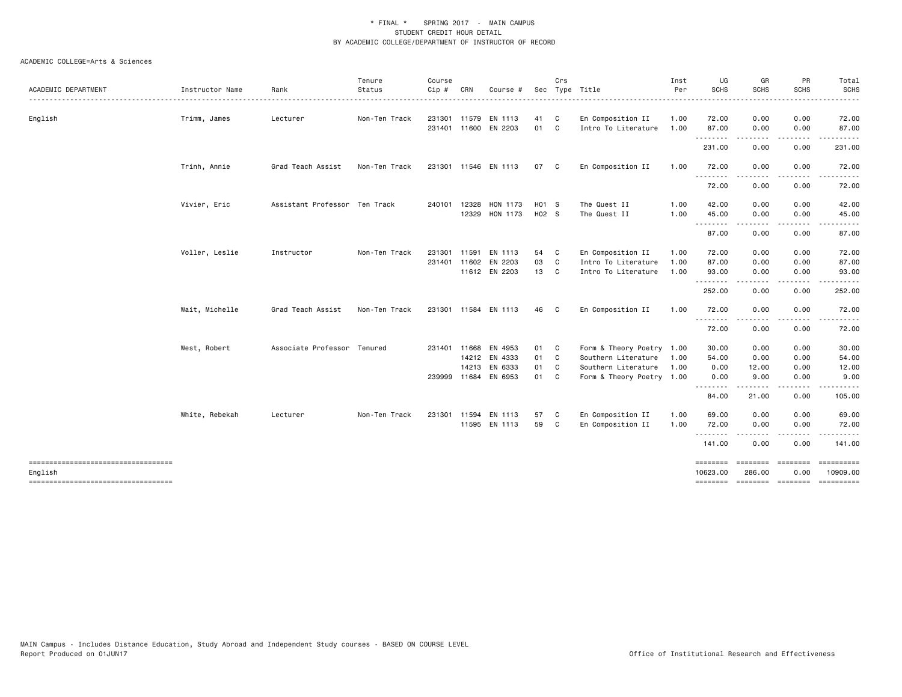| <b>SCHS</b><br>SCHS<br><b>SCHS</b><br>ACADEMIC DEPARTMENT<br>Instructor Name<br>Rank<br>Status<br>Cip#<br>Sec Type Title<br>Per<br>CRN<br>Course #<br>English<br>231301 11579 EN 1113<br>En Composition II<br>0.00<br>0.00<br>Trimm, James<br>Lecturer<br>Non-Ten Track<br>41<br>C<br>1.00<br>72.00<br>231401 11600 EN 2203<br>01 C<br>87.00<br>Intro To Literature<br>1.00<br>0.00<br>0.00<br>.<br>$\cdots$<br>231.00<br>0.00<br>0.00<br>En Composition II<br>0.00<br>0.00<br>Trinh, Annie<br>Grad Teach Assist<br>Non-Ten Track<br>231301 11546 EN 1113<br>07 C<br>1.00<br>72.00<br>.<br>.<br>$\cdots$<br>72.00<br>0.00<br>0.00<br>Vivier, Eric<br>Assistant Professor Ten Track<br>HON 1173<br>H01 S<br>1.00<br>42.00<br>240101 12328<br>The Quest II<br>0.00<br>0.00<br>12329 HON 1173<br>H02 S<br>45.00<br>The Quest II<br>1.00<br>0.00<br>0.00<br>.<br>87.00<br>0.00<br>0.00<br>Voller, Leslie<br>En Composition II<br>Instructor<br>Non-Ten Track<br>231301 11591<br>EN 1113<br>54 C<br>1.00<br>72.00<br>0.00<br>0.00<br>03<br>231401 11602 EN 2203<br>$\mathbf{C}$<br>Intro To Literature<br>1.00<br>87.00<br>0.00<br>0.00<br>11612 EN 2203<br>13 C<br>Intro To Literature<br>1.00<br>93.00<br>0.00<br>0.00<br>---------<br>.<br>.<br>252.00<br>0.00<br>0.00<br>Wait, Michelle<br>231301 11584 EN 1113<br>En Composition II<br>72.00<br>0.00<br>0.00<br>Grad Teach Assist<br>Non-Ten Track<br>46<br>$\mathbf{C}$<br>1.00<br>--------<br>.<br>$\cdots$<br>72.00<br>0.00<br>0.00<br>West, Robert<br>Associate Professor Tenured<br>231401 11668 EN 4953<br>01 C<br>Form & Theory Poetry 1.00<br>30.00<br>0.00<br>0.00<br>14212 EN 4333<br>01 C<br>Southern Literature<br>54.00<br>0.00<br>0.00<br>1.00<br>14213 EN 6333<br>01 C<br>Southern Literature<br>0.00<br>1.00<br>0.00<br>12.00<br>239999 11684 EN 6953<br>01 C<br>9.00<br>0.00<br>Form & Theory Poetry 1.00<br>0.00 | Total             |
|------------------------------------------------------------------------------------------------------------------------------------------------------------------------------------------------------------------------------------------------------------------------------------------------------------------------------------------------------------------------------------------------------------------------------------------------------------------------------------------------------------------------------------------------------------------------------------------------------------------------------------------------------------------------------------------------------------------------------------------------------------------------------------------------------------------------------------------------------------------------------------------------------------------------------------------------------------------------------------------------------------------------------------------------------------------------------------------------------------------------------------------------------------------------------------------------------------------------------------------------------------------------------------------------------------------------------------------------------------------------------------------------------------------------------------------------------------------------------------------------------------------------------------------------------------------------------------------------------------------------------------------------------------------------------------------------------------------------------------------------------------------------------------------------------------------------------------------------------------------------------------|-------------------|
|                                                                                                                                                                                                                                                                                                                                                                                                                                                                                                                                                                                                                                                                                                                                                                                                                                                                                                                                                                                                                                                                                                                                                                                                                                                                                                                                                                                                                                                                                                                                                                                                                                                                                                                                                                                                                                                                                    | <b>SCHS</b><br>.  |
|                                                                                                                                                                                                                                                                                                                                                                                                                                                                                                                                                                                                                                                                                                                                                                                                                                                                                                                                                                                                                                                                                                                                                                                                                                                                                                                                                                                                                                                                                                                                                                                                                                                                                                                                                                                                                                                                                    | 72.00             |
|                                                                                                                                                                                                                                                                                                                                                                                                                                                                                                                                                                                                                                                                                                                                                                                                                                                                                                                                                                                                                                                                                                                                                                                                                                                                                                                                                                                                                                                                                                                                                                                                                                                                                                                                                                                                                                                                                    | 87.00             |
|                                                                                                                                                                                                                                                                                                                                                                                                                                                                                                                                                                                                                                                                                                                                                                                                                                                                                                                                                                                                                                                                                                                                                                                                                                                                                                                                                                                                                                                                                                                                                                                                                                                                                                                                                                                                                                                                                    | 231.00            |
|                                                                                                                                                                                                                                                                                                                                                                                                                                                                                                                                                                                                                                                                                                                                                                                                                                                                                                                                                                                                                                                                                                                                                                                                                                                                                                                                                                                                                                                                                                                                                                                                                                                                                                                                                                                                                                                                                    | 72.00             |
|                                                                                                                                                                                                                                                                                                                                                                                                                                                                                                                                                                                                                                                                                                                                                                                                                                                                                                                                                                                                                                                                                                                                                                                                                                                                                                                                                                                                                                                                                                                                                                                                                                                                                                                                                                                                                                                                                    | 72.00             |
|                                                                                                                                                                                                                                                                                                                                                                                                                                                                                                                                                                                                                                                                                                                                                                                                                                                                                                                                                                                                                                                                                                                                                                                                                                                                                                                                                                                                                                                                                                                                                                                                                                                                                                                                                                                                                                                                                    | 42.00             |
|                                                                                                                                                                                                                                                                                                                                                                                                                                                                                                                                                                                                                                                                                                                                                                                                                                                                                                                                                                                                                                                                                                                                                                                                                                                                                                                                                                                                                                                                                                                                                                                                                                                                                                                                                                                                                                                                                    | 45.00<br>$\cdots$ |
|                                                                                                                                                                                                                                                                                                                                                                                                                                                                                                                                                                                                                                                                                                                                                                                                                                                                                                                                                                                                                                                                                                                                                                                                                                                                                                                                                                                                                                                                                                                                                                                                                                                                                                                                                                                                                                                                                    | 87.00             |
|                                                                                                                                                                                                                                                                                                                                                                                                                                                                                                                                                                                                                                                                                                                                                                                                                                                                                                                                                                                                                                                                                                                                                                                                                                                                                                                                                                                                                                                                                                                                                                                                                                                                                                                                                                                                                                                                                    | 72.00             |
|                                                                                                                                                                                                                                                                                                                                                                                                                                                                                                                                                                                                                                                                                                                                                                                                                                                                                                                                                                                                                                                                                                                                                                                                                                                                                                                                                                                                                                                                                                                                                                                                                                                                                                                                                                                                                                                                                    | 87.00             |
|                                                                                                                                                                                                                                                                                                                                                                                                                                                                                                                                                                                                                                                                                                                                                                                                                                                                                                                                                                                                                                                                                                                                                                                                                                                                                                                                                                                                                                                                                                                                                                                                                                                                                                                                                                                                                                                                                    | 93.00<br>.        |
|                                                                                                                                                                                                                                                                                                                                                                                                                                                                                                                                                                                                                                                                                                                                                                                                                                                                                                                                                                                                                                                                                                                                                                                                                                                                                                                                                                                                                                                                                                                                                                                                                                                                                                                                                                                                                                                                                    | 252.00            |
|                                                                                                                                                                                                                                                                                                                                                                                                                                                                                                                                                                                                                                                                                                                                                                                                                                                                                                                                                                                                                                                                                                                                                                                                                                                                                                                                                                                                                                                                                                                                                                                                                                                                                                                                                                                                                                                                                    | 72.00             |
|                                                                                                                                                                                                                                                                                                                                                                                                                                                                                                                                                                                                                                                                                                                                                                                                                                                                                                                                                                                                                                                                                                                                                                                                                                                                                                                                                                                                                                                                                                                                                                                                                                                                                                                                                                                                                                                                                    | 72.00             |
|                                                                                                                                                                                                                                                                                                                                                                                                                                                                                                                                                                                                                                                                                                                                                                                                                                                                                                                                                                                                                                                                                                                                                                                                                                                                                                                                                                                                                                                                                                                                                                                                                                                                                                                                                                                                                                                                                    | 30.00             |
|                                                                                                                                                                                                                                                                                                                                                                                                                                                                                                                                                                                                                                                                                                                                                                                                                                                                                                                                                                                                                                                                                                                                                                                                                                                                                                                                                                                                                                                                                                                                                                                                                                                                                                                                                                                                                                                                                    | 54.00             |
|                                                                                                                                                                                                                                                                                                                                                                                                                                                                                                                                                                                                                                                                                                                                                                                                                                                                                                                                                                                                                                                                                                                                                                                                                                                                                                                                                                                                                                                                                                                                                                                                                                                                                                                                                                                                                                                                                    | 12.00             |
| .<br>.<br>.                                                                                                                                                                                                                                                                                                                                                                                                                                                                                                                                                                                                                                                                                                                                                                                                                                                                                                                                                                                                                                                                                                                                                                                                                                                                                                                                                                                                                                                                                                                                                                                                                                                                                                                                                                                                                                                                        | 9.00<br>.         |
| 84.00<br>21.00<br>0.00                                                                                                                                                                                                                                                                                                                                                                                                                                                                                                                                                                                                                                                                                                                                                                                                                                                                                                                                                                                                                                                                                                                                                                                                                                                                                                                                                                                                                                                                                                                                                                                                                                                                                                                                                                                                                                                             | 105.00            |
| En Composition II<br>White, Rebekah<br>Non-Ten Track<br>231301 11594 EN 1113<br>57<br>1.00<br>69.00<br>0.00<br>0.00<br>Lecturer<br>$\mathbf{C}$                                                                                                                                                                                                                                                                                                                                                                                                                                                                                                                                                                                                                                                                                                                                                                                                                                                                                                                                                                                                                                                                                                                                                                                                                                                                                                                                                                                                                                                                                                                                                                                                                                                                                                                                    | 69.00             |
| 11595 EN 1113<br>En Composition II<br>59<br>$\mathbf{C}$<br>1.00<br>72.00<br>0.00<br>0.00<br>.                                                                                                                                                                                                                                                                                                                                                                                                                                                                                                                                                                                                                                                                                                                                                                                                                                                                                                                                                                                                                                                                                                                                                                                                                                                                                                                                                                                                                                                                                                                                                                                                                                                                                                                                                                                     | 72.00             |
| 141.00<br>0.00<br>0.00                                                                                                                                                                                                                                                                                                                                                                                                                                                                                                                                                                                                                                                                                                                                                                                                                                                                                                                                                                                                                                                                                                                                                                                                                                                                                                                                                                                                                                                                                                                                                                                                                                                                                                                                                                                                                                                             | 141.00            |
| -----------------------------------<br><b>ESSESSES</b><br><b>Concocco</b><br>286.00<br>English<br>10623.00<br>0.00                                                                                                                                                                                                                                                                                                                                                                                                                                                                                                                                                                                                                                                                                                                                                                                                                                                                                                                                                                                                                                                                                                                                                                                                                                                                                                                                                                                                                                                                                                                                                                                                                                                                                                                                                                 | 10909.00          |
| stateste stateste<br>----------------------------------<br>========                                                                                                                                                                                                                                                                                                                                                                                                                                                                                                                                                                                                                                                                                                                                                                                                                                                                                                                                                                                                                                                                                                                                                                                                                                                                                                                                                                                                                                                                                                                                                                                                                                                                                                                                                                                                                | ==========        |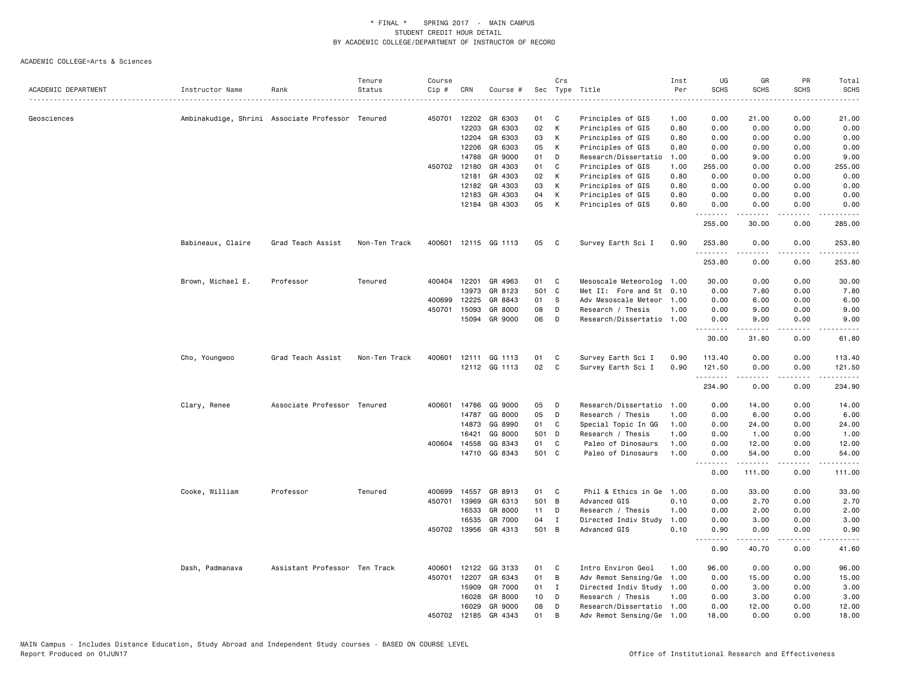|                     |                   |                                                  | Tenure        | Course |                |                    |          | Crs      |                                        | Inst         | UG                    | GR               | PR                           | Total                                                                                                                                                          |
|---------------------|-------------------|--------------------------------------------------|---------------|--------|----------------|--------------------|----------|----------|----------------------------------------|--------------|-----------------------|------------------|------------------------------|----------------------------------------------------------------------------------------------------------------------------------------------------------------|
| ACADEMIC DEPARTMENT | Instructor Name   | Rank                                             | Status        | Cip #  | CRN            | Course #           |          |          | Sec Type Title                         | Per          | <b>SCHS</b>           | <b>SCHS</b>      | <b>SCHS</b>                  | <b>SCHS</b>                                                                                                                                                    |
|                     |                   |                                                  |               |        |                |                    |          |          |                                        |              |                       |                  |                              |                                                                                                                                                                |
| Geosciences         |                   | Ambinakudige, Shrini Associate Professor Tenured |               | 450701 | 12202          | GR 6303            | 01       | C<br>K   | Principles of GIS                      | 1.00         | 0.00                  | 21.00            | 0.00                         | 21.00                                                                                                                                                          |
|                     |                   |                                                  |               |        | 12203<br>12204 | GR 6303<br>GR 6303 | 02<br>03 | К        | Principles of GIS<br>Principles of GIS | 0.80<br>0.80 | 0.00<br>0.00          | 0.00<br>0.00     | 0.00<br>0.00                 | 0.00<br>0.00                                                                                                                                                   |
|                     |                   |                                                  |               |        | 12206          | GR 6303            | 05       | К        | Principles of GIS                      | 0.80         | 0.00                  | 0.00             | 0.00                         | 0.00                                                                                                                                                           |
|                     |                   |                                                  |               |        | 14788          | GR 9000            | 01       | D        | Research/Dissertatio                   | 1.00         | 0.00                  | 9.00             | 0.00                         | 9.00                                                                                                                                                           |
|                     |                   |                                                  |               |        | 450702 12180   | GR 4303            | 01       | C        | Principles of GIS                      | 1.00         | 255.00                | 0.00             | 0.00                         | 255.00                                                                                                                                                         |
|                     |                   |                                                  |               |        | 12181          | GR 4303            | 02       | К        | Principles of GIS                      | 0.80         | 0.00                  | 0.00             | 0.00                         | 0.00                                                                                                                                                           |
|                     |                   |                                                  |               |        | 12182          | GR 4303            | 03       | К        | Principles of GIS                      | 0.80         | 0.00                  | 0.00             | 0.00                         | 0.00                                                                                                                                                           |
|                     |                   |                                                  |               |        | 12183          | GR 4303            | 04       | К        | Principles of GIS                      | 0.80         | 0.00                  | 0.00             | 0.00                         | 0.00                                                                                                                                                           |
|                     |                   |                                                  |               |        | 12184          | GR 4303            | 05       | К        | Principles of GIS                      | 0.80         | 0.00                  | 0.00             | 0.00                         | 0.00                                                                                                                                                           |
|                     |                   |                                                  |               |        |                |                    |          |          |                                        |              | .<br>255.00           | 30.00            | 0.00                         | 285.00                                                                                                                                                         |
|                     | Babineaux, Claire | Grad Teach Assist                                | Non-Ten Track | 400601 |                | 12115 GG 1113      | 05       | C        | Survey Earth Sci I                     | 0.90         | 253.80<br>1.1.1.1.1.1 | 0.00             | 0.00<br>$\sim$ $\sim$ $\sim$ | 253.80<br>.                                                                                                                                                    |
|                     |                   |                                                  |               |        |                |                    |          |          |                                        |              | 253.80                | 0.00             | 0.00                         | 253.80                                                                                                                                                         |
|                     | Brown, Michael E. | Professor                                        | Tenured       |        | 400404 12201   | GR 4963            | 01       | C        | Mesoscale Meteorolog                   | 1.00         | 30.00                 | 0.00             | 0.00                         | 30.00                                                                                                                                                          |
|                     |                   |                                                  |               |        | 13973          | GR 8123            | 501 C    |          | Met II: Fore and St 0.10               |              | 0.00                  | 7.80             | 0.00                         | 7.80                                                                                                                                                           |
|                     |                   |                                                  |               | 400699 | 12225          | GR 8843            | 01       | S        | Adv Mesoscale Meteor                   | 1.00         | 0.00                  | 6.00             | 0.00                         | 6.00                                                                                                                                                           |
|                     |                   |                                                  |               | 450701 | 15093          | GR 8000            | 08       | D        | Research / Thesis                      | 1.00         | 0.00                  | 9.00             | 0.00                         | 9.00                                                                                                                                                           |
|                     |                   |                                                  |               |        | 15094          | GR 9000            | 06       | D        | Research/Dissertatio 1.00              |              | 0.00<br>.             | 9.00<br><b>.</b> | 0.00<br>.                    | 9.00<br>$\omega$ is $\omega$ in                                                                                                                                |
|                     |                   |                                                  |               |        |                |                    |          |          |                                        |              | 30.00                 | 31.80            | 0.00                         | 61.80                                                                                                                                                          |
|                     | Cho, Youngwoo     | Grad Teach Assist                                | Non-Ten Track | 400601 | 12111          | GG 1113            | 01       | C        | Survey Earth Sci I                     | 0.90         | 113.40                | 0.00             | 0.00                         | 113.40                                                                                                                                                         |
|                     |                   |                                                  |               |        |                | 12112 GG 1113      | 02       | C        | Survey Earth Sci I                     | 0.90         | 121.50<br>.           | 0.00<br>.        | 0.00<br>$   -$               | 121.50<br>$\frac{1}{2} \left( \frac{1}{2} \right) \left( \frac{1}{2} \right) \left( \frac{1}{2} \right) \left( \frac{1}{2} \right) \left( \frac{1}{2} \right)$ |
|                     |                   |                                                  |               |        |                |                    |          |          |                                        |              | 234.90                | 0.00             | 0.00                         | 234.90                                                                                                                                                         |
|                     | Clary, Renee      | Associate Professor Tenured                      |               |        | 400601 14786   | GG 9000            | 05       | D        | Research/Dissertatio                   | 1.00         | 0.00                  | 14.00            | 0.00                         | 14.00                                                                                                                                                          |
|                     |                   |                                                  |               |        | 14787          | GG 8000            | 05       | D        | Research / Thesis                      | 1.00         | 0.00                  | 6.00             | 0.00                         | 6.00                                                                                                                                                           |
|                     |                   |                                                  |               |        | 14873          | GG 8990            | 01       | C        | Special Topic In GG                    | 1.00         | 0.00                  | 24.00            | 0.00                         | 24.00                                                                                                                                                          |
|                     |                   |                                                  |               |        | 16421          | GG 8000            | 501 D    |          | Research / Thesis                      | 1.00         | 0.00                  | 1.00             | 0.00                         | 1.00                                                                                                                                                           |
|                     |                   |                                                  |               |        | 400604 14558   | GG 8343            | 01       | C        | Paleo of Dinosaurs                     | 1.00         | 0.00                  | 12.00            | 0.00                         | 12.00                                                                                                                                                          |
|                     |                   |                                                  |               |        | 14710          | GG 8343            | 501 C    |          | Paleo of Dinosaurs                     | 1.00         | 0.00<br><u>.</u>      | 54.00<br>.       | 0.00<br>.                    | 54.00<br>.                                                                                                                                                     |
|                     |                   |                                                  |               |        |                |                    |          |          |                                        |              | 0.00                  | 111.00           | 0.00                         | 111.00                                                                                                                                                         |
|                     | Cooke, William    | Professor                                        | Tenured       | 400699 | 14557          | GR 8913            | 01       | C        | Phil & Ethics in Ge                    | 1.00         | 0.00                  | 33.00            | 0.00                         | 33.00                                                                                                                                                          |
|                     |                   |                                                  |               | 450701 | 13969          | GR 6313            | 501 B    |          | Advanced GIS                           | 0.10         | 0.00                  | 2.70             | 0.00                         | 2.70                                                                                                                                                           |
|                     |                   |                                                  |               |        | 16533          | GR 8000            | 11       | D        | Research / Thesis                      | 1.00         | 0.00                  | 2.00             | 0.00                         | 2.00                                                                                                                                                           |
|                     |                   |                                                  |               |        | 16535          | GR 7000            | 04       | I        | Directed Indiv Study                   | 1.00         | 0.00                  | 3.00             | 0.00                         | 3.00                                                                                                                                                           |
|                     |                   |                                                  |               |        | 450702 13956   | GR 4313            | 501      | B        | Advanced GIS                           | 0.10         | 0.90                  | 0.00             | 0.00                         | 0.90                                                                                                                                                           |
|                     |                   |                                                  |               |        |                |                    |          |          |                                        |              | .<br>0.90             | -----<br>40.70   | .<br>0.00                    | $\frac{1}{2} \left( \frac{1}{2} \right) \left( \frac{1}{2} \right) \left( \frac{1}{2} \right) \left( \frac{1}{2} \right)$<br>41.60                             |
|                     | Dash, Padmanava   | Assistant Professor Ten Track                    |               | 400601 | 12122          | GG 3133            | 01       | C        | Intro Environ Geol                     | 1.00         | 96.00                 | 0.00             | 0.00                         | 96.00                                                                                                                                                          |
|                     |                   |                                                  |               | 450701 | 12207          | GR 6343            | 01       | B        | Adv Remot Sensing/Ge                   | 1.00         | 0.00                  | 15.00            | 0.00                         | 15.00                                                                                                                                                          |
|                     |                   |                                                  |               |        | 15909          | GR 7000            | 01       | I        | Directed Indiv Study 1.00              |              | 0.00                  | 3.00             | 0.00                         | 3.00                                                                                                                                                           |
|                     |                   |                                                  |               |        | 16028          | GR 8000            | 10       | D        | Research / Thesis                      | 1.00         | 0.00                  | 3.00             | 0.00                         | 3.00                                                                                                                                                           |
|                     |                   |                                                  |               |        | 16029          | GR 9000            | 08       | D        | Research/Dissertatio 1.00              |              | 0.00                  | 12.00            | 0.00                         | 12.00                                                                                                                                                          |
|                     |                   |                                                  |               | 450702 | 12185          | GR 4343            | 01       | <b>B</b> | Adv Remot Sensing/Ge                   | 1.00         | 18.00                 | 0.00             | 0.00                         | 18,00                                                                                                                                                          |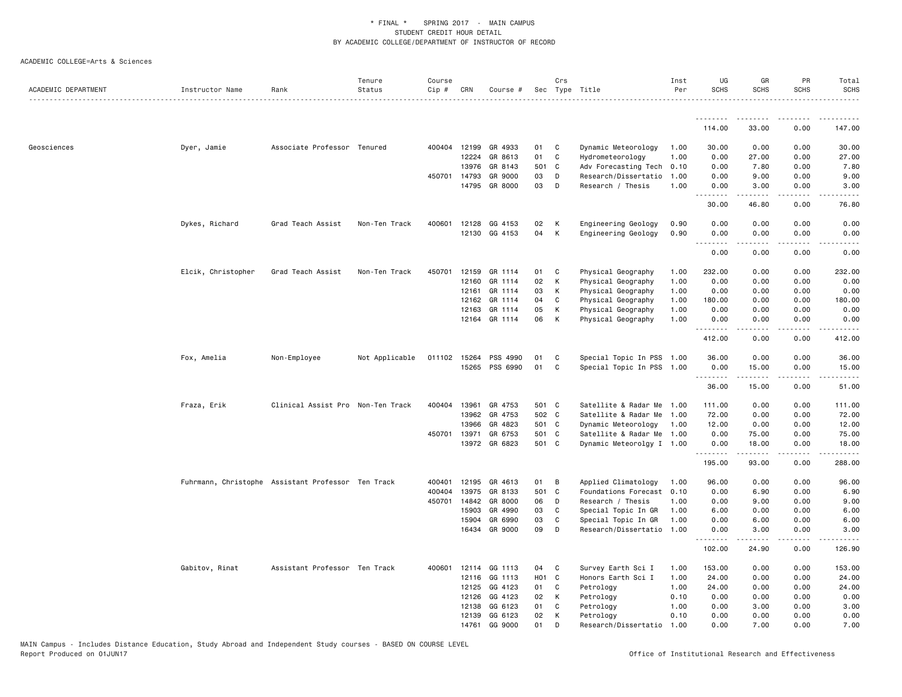|                     |                                                    |                                   | Tenure         | Course |              |               |                   | Crs |                           | Inst | UG               | GR                                                                                                                                                                                      | PR                                  | Total                 |
|---------------------|----------------------------------------------------|-----------------------------------|----------------|--------|--------------|---------------|-------------------|-----|---------------------------|------|------------------|-----------------------------------------------------------------------------------------------------------------------------------------------------------------------------------------|-------------------------------------|-----------------------|
| ACADEMIC DEPARTMENT | Instructor Name                                    | Rank                              | Status         | Cip #  | CRN          | Course #      |                   |     | Sec Type Title            | Per  | <b>SCHS</b>      | <b>SCHS</b>                                                                                                                                                                             | <b>SCHS</b>                         | <b>SCHS</b>           |
|                     |                                                    |                                   |                |        |              |               |                   |     |                           |      | .                | <u>.</u>                                                                                                                                                                                | .                                   | .                     |
|                     |                                                    |                                   |                |        |              |               |                   |     |                           |      | 114.00           | 33.00                                                                                                                                                                                   | 0.00                                | 147.00                |
| Geosciences         | Dyer, Jamie                                        | Associate Professor Tenured       |                |        | 400404 12199 | GR 4933       | 01                | C   | Dynamic Meteorology       | 1.00 | 30.00            | 0.00                                                                                                                                                                                    | 0.00                                | 30.00                 |
|                     |                                                    |                                   |                |        | 12224        | GR 8613       | 01                | C   | Hydrometeorology          | 1.00 | 0.00             | 27.00                                                                                                                                                                                   | 0.00                                | 27.00                 |
|                     |                                                    |                                   |                |        | 13976        | GR 8143       | 501 C             |     | Adv Forecasting Tech      | 0.10 | 0.00             | 7.80                                                                                                                                                                                    | 0.00                                | 7.80                  |
|                     |                                                    |                                   |                |        | 450701 14793 | GR 9000       | 03                | D   | Research/Dissertatio      | 1.00 | 0.00             | 9.00                                                                                                                                                                                    | 0.00                                | 9.00                  |
|                     |                                                    |                                   |                |        | 14795        | GR 8000       | 03                | D   | Research / Thesis         | 1.00 | 0.00<br>.        | 3.00                                                                                                                                                                                    | 0.00                                | 3.00                  |
|                     |                                                    |                                   |                |        |              |               |                   |     |                           |      | 30.00            | 46.80                                                                                                                                                                                   | 0.00                                | 76.80                 |
|                     | Dykes, Richard                                     | Grad Teach Assist                 | Non-Ten Track  | 400601 | 12128        | GG 4153       | 02                | K   | Engineering Geology       | 0.90 | 0.00             | 0.00                                                                                                                                                                                    | 0.00                                | 0.00                  |
|                     |                                                    |                                   |                |        |              | 12130 GG 4153 | 04                | К   | Engineering Geology       | 0.90 | 0.00<br><u>.</u> | 0.00<br><u>.</u>                                                                                                                                                                        | 0.00<br>.                           | 0.00<br>$\frac{1}{2}$ |
|                     |                                                    |                                   |                |        |              |               |                   |     |                           |      | 0.00             | 0.00                                                                                                                                                                                    | 0.00                                | 0.00                  |
|                     | Elcik, Christopher                                 | Grad Teach Assist                 | Non-Ten Track  | 450701 | 12159        | GR 1114       | 01                | C   | Physical Geography        | 1.00 | 232.00           | 0.00                                                                                                                                                                                    | 0.00                                | 232.00                |
|                     |                                                    |                                   |                |        | 12160        | GR 1114       | 02                | К   | Physical Geography        | 1.00 | 0.00             | 0.00                                                                                                                                                                                    | 0.00                                | 0.00                  |
|                     |                                                    |                                   |                |        | 12161        | GR 1114       | 03                | К   | Physical Geography        | 1.00 | 0.00             | 0.00                                                                                                                                                                                    | 0.00                                | 0.00                  |
|                     |                                                    |                                   |                |        | 12162        | GR 1114       | 04                | C   | Physical Geography        | 1.00 | 180.00           | 0.00                                                                                                                                                                                    | 0.00                                | 180.00                |
|                     |                                                    |                                   |                |        | 12163        | GR 1114       | 05                | К   | Physical Geography        | 1.00 | 0.00             | 0.00                                                                                                                                                                                    | 0.00                                | 0.00                  |
|                     |                                                    |                                   |                |        |              | 12164 GR 1114 | 06                | К   | Physical Geography        | 1.00 | 0.00<br>.        | 0.00<br>.                                                                                                                                                                               | 0.00<br>$\sim$ $\sim$ $\sim$        | 0.00                  |
|                     |                                                    |                                   |                |        |              |               |                   |     |                           |      | 412.00           | 0.00                                                                                                                                                                                    | 0.00                                | 412.00                |
|                     | Fox, Amelia                                        | Non-Employee                      | Not Applicable |        | 011102 15264 | PSS 4990      | 01                | C   | Special Topic In PSS      | 1.00 | 36.00            | 0.00                                                                                                                                                                                    | 0.00                                | 36.00                 |
|                     |                                                    |                                   |                |        | 15265        | PSS 6990      | 01                | C   | Special Topic In PSS      | 1.00 | 0.00<br>.        | 15.00<br>.                                                                                                                                                                              | 0.00<br>$\sim$ $\sim$ $\sim$ $\sim$ | 15.00<br>الدامات      |
|                     |                                                    |                                   |                |        |              |               |                   |     |                           |      | 36.00            | 15.00                                                                                                                                                                                   | 0.00                                | 51.00                 |
|                     | Fraza, Erik                                        | Clinical Assist Pro Non-Ten Track |                | 400404 | 13961        | GR 4753       | 501 C             |     | Satellite & Radar Me      | 1.00 | 111.00           | 0.00                                                                                                                                                                                    | 0.00                                | 111.00                |
|                     |                                                    |                                   |                |        | 13962        | GR 4753       | 502 C             |     | Satellite & Radar Me      | 1.00 | 72.00            | 0.00                                                                                                                                                                                    | 0.00                                | 72.00                 |
|                     |                                                    |                                   |                |        | 13966        | GR 4823       | 501 C             |     | Dynamic Meteorology       | 1.00 | 12.00            | 0.00                                                                                                                                                                                    | 0.00                                | 12.00                 |
|                     |                                                    |                                   |                |        | 450701 13971 | GR 6753       | 501 C             |     | Satellite & Radar Me 1.00 |      | 0.00             | 75.00                                                                                                                                                                                   | 0.00                                | 75.00                 |
|                     |                                                    |                                   |                |        |              | 13972 GR 6823 | 501 C             |     | Dynamic Meteorolgy I 1.00 |      | 0.00<br>.        | 18.00                                                                                                                                                                                   | 0.00                                | 18.00                 |
|                     |                                                    |                                   |                |        |              |               |                   |     |                           |      | 195.00           | 93.00                                                                                                                                                                                   | 0.00                                | 288.00                |
|                     | Fuhrmann, Christophe Assistant Professor Ten Track |                                   |                | 400401 | 12195        | GR 4613       | 01                | B   | Applied Climatology       | 1.00 | 96.00            | 0.00                                                                                                                                                                                    | 0.00                                | 96.00                 |
|                     |                                                    |                                   |                | 400404 | 13975        | GR 8133       | 501 C             |     | Foundations Forecast      | 0.10 | 0.00             | 6.90                                                                                                                                                                                    | 0.00                                | 6.90                  |
|                     |                                                    |                                   |                | 450701 | 14842        | GR 8000       | 06                | D   | Research / Thesis         | 1.00 | 0.00             | 9.00                                                                                                                                                                                    | 0.00                                | 9.00                  |
|                     |                                                    |                                   |                |        | 15903        | GR 4990       | 03                | C   | Special Topic In GR       | 1.00 | 6.00             | 0.00                                                                                                                                                                                    | 0.00                                | 6.00                  |
|                     |                                                    |                                   |                |        | 15904        | GR 6990       | 03                | C   | Special Topic In GR       | 1.00 | 0.00             | 6.00                                                                                                                                                                                    | 0.00                                | 6.00                  |
|                     |                                                    |                                   |                |        | 16434        | GR 9000       | 09                | D   | Research/Dissertatio      | 1.00 | 0.00<br>.        | 3.00<br>$\frac{1}{2} \left( \frac{1}{2} \right) \left( \frac{1}{2} \right) \left( \frac{1}{2} \right) \left( \frac{1}{2} \right) \left( \frac{1}{2} \right) \left( \frac{1}{2} \right)$ | 0.00<br>$\sim$ $\sim$ $\sim$        | 3.00<br>.             |
|                     |                                                    |                                   |                |        |              |               |                   |     |                           |      | 102.00           | 24.90                                                                                                                                                                                   | 0.00                                | 126.90                |
|                     | Gabitov, Rinat                                     | Assistant Professor Ten Track     |                |        | 400601 12114 | GG 1113       | 04                | C   | Survey Earth Sci I        | 1.00 | 153.00           | 0.00                                                                                                                                                                                    | 0.00                                | 153.00                |
|                     |                                                    |                                   |                |        | 12116        | GG 1113       | H <sub>01</sub> C |     | Honors Earth Sci I        | 1.00 | 24.00            | 0.00                                                                                                                                                                                    | 0.00                                | 24.00                 |
|                     |                                                    |                                   |                |        | 12125        | GG 4123       | 01                | C   | Petrology                 | 1.00 | 24.00            | 0.00                                                                                                                                                                                    | 0.00                                | 24.00                 |
|                     |                                                    |                                   |                |        | 12126        | GG 4123       | 02                | К   | Petrology                 | 0.10 | 0.00             | 0.00                                                                                                                                                                                    | 0.00                                | 0.00                  |
|                     |                                                    |                                   |                |        | 12138        | GG 6123       | 01                | C   | Petrology                 | 1.00 | 0.00             | 3.00                                                                                                                                                                                    | 0.00                                | 3.00                  |
|                     |                                                    |                                   |                |        | 12139        | GG 6123       | 02                | K   | Petrology                 | 0.10 | 0.00             | 0.00                                                                                                                                                                                    | 0.00                                | 0.00                  |
|                     |                                                    |                                   |                |        |              | 14761 GG 9000 | 01                | D   | Research/Dissertatio      | 1.00 | 0.00             | 7.00                                                                                                                                                                                    | 0.00                                | 7.00                  |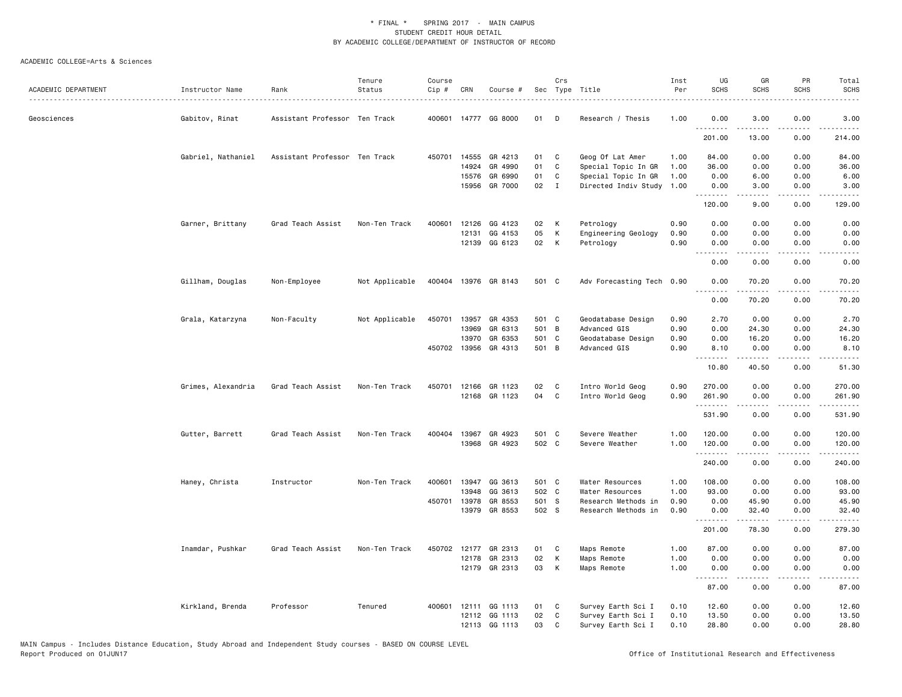|                     |                    |                               | Tenure         | Course |              |                      |       | Crs          |                           | Inst | UG                                    | GR                   | PR                                  | Total                                                                                                                                                          |
|---------------------|--------------------|-------------------------------|----------------|--------|--------------|----------------------|-------|--------------|---------------------------|------|---------------------------------------|----------------------|-------------------------------------|----------------------------------------------------------------------------------------------------------------------------------------------------------------|
| ACADEMIC DEPARTMENT | Instructor Name    | Rank                          | Status         | Cip #  | CRN          | Course #             |       |              | Sec Type Title            | Per  | <b>SCHS</b>                           | <b>SCHS</b>          | <b>SCHS</b>                         | <b>SCHS</b>                                                                                                                                                    |
| Geosciences         | Gabitov, Rinat     | Assistant Professor Ten Track |                | 400601 |              | 14777 GG 8000        | 01    | D            | Research / Thesis         | 1.00 | 0.00                                  | 3.00                 | 0.00                                | 3.00                                                                                                                                                           |
|                     |                    |                               |                |        |              |                      |       |              |                           |      | .<br>201.00                           | 13.00                | 0.00                                | $\sim$ $\sim$ $\sim$ $\sim$<br>214.00                                                                                                                          |
|                     | Gabriel, Nathaniel | Assistant Professor Ten Track |                | 450701 | 14555        | GR 4213              | 01    | C            | Geog Of Lat Amer          | 1.00 | 84.00                                 | 0.00                 | 0.00                                | 84.00                                                                                                                                                          |
|                     |                    |                               |                |        | 14924        | GR 4990              | 01    | C            | Special Topic In GR       | 1.00 | 36.00                                 | 0.00                 | 0.00                                | 36.00                                                                                                                                                          |
|                     |                    |                               |                |        | 15576        | GR 6990              | 01    | C            | Special Topic In GR       | 1.00 | 0.00                                  | 6.00                 | 0.00                                | 6.00                                                                                                                                                           |
|                     |                    |                               |                |        | 15956        | GR 7000              | 02    | $\mathbf{I}$ | Directed Indiv Study      | 1.00 | 0.00<br>.                             | 3.00                 | 0.00                                | 3.00                                                                                                                                                           |
|                     |                    |                               |                |        |              |                      |       |              |                           |      | 120.00                                | 9.00                 | 0.00                                | 129.00                                                                                                                                                         |
|                     | Garner, Brittany   | Grad Teach Assist             | Non-Ten Track  | 400601 | 12126        | GG 4123              | 02    | К            | Petrology                 | 0.90 | 0.00                                  | 0.00                 | 0.00                                | 0.00                                                                                                                                                           |
|                     |                    |                               |                |        | 12131        | GG 4153              | 05    | К            | Engineering Geology       | 0.90 | 0.00                                  | 0.00                 | 0.00                                | 0.00                                                                                                                                                           |
|                     |                    |                               |                |        |              | 12139 GG 6123        | 02    | К            | Petrology                 | 0.90 | 0.00<br>د د د د                       | 0.00<br>.            | 0.00<br>$\sim$ $\sim$ $\sim$ $\sim$ | 0.00<br>.                                                                                                                                                      |
|                     |                    |                               |                |        |              |                      |       |              |                           |      | 0.00                                  | 0.00                 | 0.00                                | 0.00                                                                                                                                                           |
|                     | Gillham, Douglas   | Non-Employee                  | Not Applicable |        |              | 400404 13976 GR 8143 | 501 C |              | Adv Forecasting Tech 0.90 |      | 0.00<br><u>.</u>                      | 70.20<br>$- - - - -$ | 0.00<br>$- - - -$                   | 70.20<br>.                                                                                                                                                     |
|                     |                    |                               |                |        |              |                      |       |              |                           |      | 0.00                                  | 70.20                | 0.00                                | 70.20                                                                                                                                                          |
|                     | Grala, Katarzyna   | Non-Faculty                   | Not Applicable | 450701 | 13957        | GR 4353              | 501 C |              | Geodatabase Design        | 0.90 | 2.70                                  | 0.00                 | 0.00                                | 2.70                                                                                                                                                           |
|                     |                    |                               |                |        | 13969        | GR 6313              | 501 B |              | Advanced GIS              | 0.90 | 0.00                                  | 24.30                | 0.00                                | 24.30                                                                                                                                                          |
|                     |                    |                               |                |        | 13970        | GR 6353              | 501 C |              | Geodatabase Design        | 0.90 | 0.00                                  | 16.20                | 0.00                                | 16.20                                                                                                                                                          |
|                     |                    |                               |                |        | 450702 13956 | GR 4313              | 501 B |              | Advanced GIS              | 0.90 | 8.10<br>.                             | 0.00<br><b>.</b>     | 0.00<br>.                           | 8.10<br>.                                                                                                                                                      |
|                     |                    |                               |                |        |              |                      |       |              |                           |      | 10.80                                 | 40.50                | 0.00                                | 51.30                                                                                                                                                          |
|                     | Grimes, Alexandria | Grad Teach Assist             | Non-Ten Track  | 450701 | 12166        | GR 1123              | 02    | C            | Intro World Geog          | 0.90 | 270.00                                | 0.00                 | 0.00                                | 270.00                                                                                                                                                         |
|                     |                    |                               |                |        |              | 12168 GR 1123        | 04    | C            | Intro World Geog          | 0.90 | 261.90                                | 0.00                 | 0.00                                | 261.90                                                                                                                                                         |
|                     |                    |                               |                |        |              |                      |       |              |                           |      | .                                     | .                    | .                                   | .                                                                                                                                                              |
|                     |                    |                               |                |        |              |                      |       |              |                           |      | 531.90                                | 0.00                 | 0.00                                | 531.90                                                                                                                                                         |
|                     | Gutter, Barrett    | Grad Teach Assist             | Non-Ten Track  | 400404 | 13967        | GR 4923              | 501 C |              | Severe Weather            | 1.00 | 120.00                                | 0.00                 | 0.00                                | 120.00                                                                                                                                                         |
|                     |                    |                               |                |        | 13968        | GR 4923              | 502 C |              | Severe Weather            | 1.00 | 120.00<br>.                           | 0.00<br>.            | 0.00<br>$\sim$ $\sim$ $\sim$ $\sim$ | 120.00<br>$\frac{1}{2} \left( \frac{1}{2} \right) \left( \frac{1}{2} \right) \left( \frac{1}{2} \right) \left( \frac{1}{2} \right) \left( \frac{1}{2} \right)$ |
|                     |                    |                               |                |        |              |                      |       |              |                           |      | 240.00                                | 0.00                 | 0.00                                | 240.00                                                                                                                                                         |
|                     | Haney, Christa     | Instructor                    | Non-Ten Track  | 400601 | 13947        | GG 3613              | 501 C |              | Water Resources           | 1.00 | 108.00                                | 0.00                 | 0.00                                | 108.00                                                                                                                                                         |
|                     |                    |                               |                |        | 13948        | GG 3613              | 502 C |              | Water Resources           | 1.00 | 93.00                                 | 0.00                 | 0.00                                | 93.00                                                                                                                                                          |
|                     |                    |                               |                |        | 450701 13978 | GR 8553              | 501 S |              | Research Methods in       | 0.90 | 0.00                                  | 45.90                | 0.00                                | 45.90                                                                                                                                                          |
|                     |                    |                               |                |        | 13979        | GR 8553              | 502 S |              | Research Methods in       | 0.90 | 0.00<br><b><i><u><u>.</u></u></i></b> | 32.40<br>.           | 0.00<br>.                           | 32.40<br>.                                                                                                                                                     |
|                     |                    |                               |                |        |              |                      |       |              |                           |      | 201.00                                | 78.30                | 0.00                                | 279.30                                                                                                                                                         |
|                     | Inamdar, Pushkar   | Grad Teach Assist             | Non-Ten Track  | 450702 | 12177        | GR 2313              | 01    | C            | Maps Remote               | 1.00 | 87.00                                 | 0.00                 | 0.00                                | 87.00                                                                                                                                                          |
|                     |                    |                               |                |        | 12178        | GR 2313              | 02    | К            | Maps Remote               | 1.00 | 0.00                                  | 0.00                 | 0.00                                | 0.00                                                                                                                                                           |
|                     |                    |                               |                |        |              | 12179 GR 2313        | 03    | К            | Maps Remote               | 1.00 | 0.00<br>.                             | 0.00                 | 0.00<br>$\sim$ $\sim$ $\sim$        | 0.00                                                                                                                                                           |
|                     |                    |                               |                |        |              |                      |       |              |                           |      | 87.00                                 | 0.00                 | 0.00                                | 87.00                                                                                                                                                          |
|                     | Kirkland, Brenda   | Professor                     | Tenured        |        |              | 400601 12111 GG 1113 | 01    | C            | Survey Earth Sci I        | 0.10 | 12.60                                 | 0.00                 | 0.00                                | 12.60                                                                                                                                                          |
|                     |                    |                               |                |        | 12112        | GG 1113              | 02    | C            | Survey Earth Sci I        | 0.10 | 13.50                                 | 0.00                 | 0.00                                | 13.50                                                                                                                                                          |
|                     |                    |                               |                |        |              | 12113 GG 1113        | 03    | C            | Survey Earth Sci I        | 0.10 | 28.80                                 | 0.00                 | 0.00                                | 28.80                                                                                                                                                          |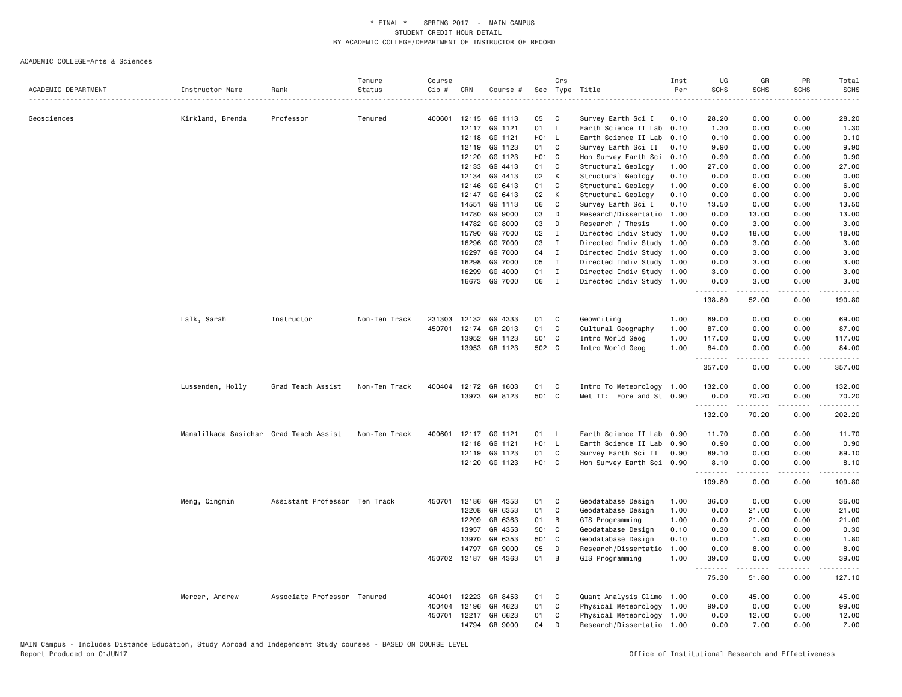|                     |                                        |                               | Tenure        | Course |       |                      |       | Crs          |                           | Inst | UG               | GR                                                                                                                                                            | PR                                          | Total                                                                                                                               |
|---------------------|----------------------------------------|-------------------------------|---------------|--------|-------|----------------------|-------|--------------|---------------------------|------|------------------|---------------------------------------------------------------------------------------------------------------------------------------------------------------|---------------------------------------------|-------------------------------------------------------------------------------------------------------------------------------------|
| ACADEMIC DEPARTMENT | Instructor Name                        | Rank                          | Status        | Cip #  | CRN   | Course #             | Sec   |              | Type Title                | Per  | <b>SCHS</b>      | <b>SCHS</b>                                                                                                                                                   | <b>SCHS</b>                                 | SCHS<br>.                                                                                                                           |
|                     |                                        |                               |               |        |       |                      |       |              | .                         |      |                  |                                                                                                                                                               |                                             |                                                                                                                                     |
| Geosciences         | Kirkland, Brenda                       | Professor                     | Tenured       | 400601 |       | 12115 GG 1113        | 05    | C            | Survey Earth Sci I        | 0.10 | 28,20            | 0.00                                                                                                                                                          | 0.00                                        | 28.20                                                                                                                               |
|                     |                                        |                               |               |        | 12117 | GG 1121              | 01    | L.           | Earth Science II Lab      | 0.10 | 1.30             | 0.00                                                                                                                                                          | 0.00                                        | 1.30                                                                                                                                |
|                     |                                        |                               |               |        |       | 12118 GG 1121        | H01 L |              | Earth Science II Lab      | 0.10 | 0.10             | 0.00                                                                                                                                                          | 0.00                                        | 0.10                                                                                                                                |
|                     |                                        |                               |               |        | 12119 | GG 1123              | 01    | C            | Survey Earth Sci II       | 0.10 | 9.90             | 0.00                                                                                                                                                          | 0.00                                        | 9.90                                                                                                                                |
|                     |                                        |                               |               |        | 12120 | GG 1123              |       | HO1 C        | Hon Survey Earth Sci      | 0.10 | 0.90             | 0.00                                                                                                                                                          | 0.00                                        | 0.90                                                                                                                                |
|                     |                                        |                               |               |        | 12133 | GG 4413              | 01    | C            | Structural Geology        | 1.00 | 27.00            | 0.00                                                                                                                                                          | 0.00                                        | 27.00                                                                                                                               |
|                     |                                        |                               |               |        | 12134 | GG 4413              | 02    | K            | Structural Geology        | 0.10 | 0.00             | 0.00                                                                                                                                                          | 0.00                                        | 0.00                                                                                                                                |
|                     |                                        |                               |               |        | 12146 | GG 6413              | 01    | C            | Structural Geology        | 1.00 | 0.00             | 6.00                                                                                                                                                          | 0.00                                        | 6.00                                                                                                                                |
|                     |                                        |                               |               |        | 12147 | GG 6413              | 02    | К            | Structural Geology        | 0.10 | 0.00             | 0.00                                                                                                                                                          | 0.00                                        | 0.00                                                                                                                                |
|                     |                                        |                               |               |        | 14551 | GG 1113              | 06    | $\mathtt{C}$ | Survey Earth Sci I        | 0.10 | 13.50            | 0.00                                                                                                                                                          | 0.00                                        | 13.50                                                                                                                               |
|                     |                                        |                               |               |        | 14780 | GG 9000              | 03    | D            | Research/Dissertatio      | 1.00 | 0.00             | 13.00                                                                                                                                                         | 0.00                                        | 13.00                                                                                                                               |
|                     |                                        |                               |               |        | 14782 | GG 8000              | 03    | D            | Research / Thesis         | 1.00 | 0.00             | 3.00                                                                                                                                                          | 0.00                                        | 3.00                                                                                                                                |
|                     |                                        |                               |               |        | 15790 | GG 7000              | 02    | I            | Directed Indiv Study      | 1.00 | 0.00             | 18.00                                                                                                                                                         | 0.00                                        | 18.00                                                                                                                               |
|                     |                                        |                               |               |        | 16296 | GG 7000              | 03    | $\mathbf{I}$ | Directed Indiv Study      | 1.00 | 0.00             | 3.00                                                                                                                                                          | 0.00                                        | 3.00                                                                                                                                |
|                     |                                        |                               |               |        | 16297 | GG 7000              | 04    | $\mathbf{I}$ | Directed Indiv Study 1.00 |      | 0.00             | 3.00                                                                                                                                                          | 0.00                                        | 3.00                                                                                                                                |
|                     |                                        |                               |               |        | 16298 | GG 7000              | 05    | $\mathbf{I}$ | Directed Indiv Study 1.00 |      | 0.00             | 3.00                                                                                                                                                          | 0.00                                        | 3.00                                                                                                                                |
|                     |                                        |                               |               |        | 16299 | GG 4000              | 01    | $\mathbf{I}$ | Directed Indiv Study 1.00 |      | 3.00             | 0.00                                                                                                                                                          | 0.00                                        | 3.00                                                                                                                                |
|                     |                                        |                               |               |        | 16673 | GG 7000              | 06    | $\mathbf{I}$ | Directed Indiv Study 1.00 |      | 0.00             | 3.00                                                                                                                                                          | 0.00                                        | 3.00                                                                                                                                |
|                     |                                        |                               |               |        |       |                      |       |              |                           |      | .<br>138.80      | .<br>52.00                                                                                                                                                    | $\sim$ $\sim$ $\sim$ $\sim$<br>0.00         | $\sim$ $\sim$ $\sim$ $\sim$ $\sim$<br>190.80                                                                                        |
|                     | Lalk, Sarah                            | Instructor                    | Non-Ten Track | 231303 |       | 12132 GG 4333        | 01    | C            | Geowriting                | 1.00 | 69.00            | 0.00                                                                                                                                                          | 0.00                                        | 69.00                                                                                                                               |
|                     |                                        |                               |               | 450701 | 12174 | GR 2013              | 01    | $\mathbb{C}$ | Cultural Geography        | 1.00 | 87.00            | 0.00                                                                                                                                                          | 0.00                                        | 87.00                                                                                                                               |
|                     |                                        |                               |               |        | 13952 | GR 1123              | 501 C |              | Intro World Geog          | 1.00 | 117.00           | 0.00                                                                                                                                                          | 0.00                                        | 117.00                                                                                                                              |
|                     |                                        |                               |               |        |       | 13953 GR 1123        | 502 C |              | Intro World Geog          | 1.00 | 84.00            | 0.00                                                                                                                                                          | 0.00                                        | 84.00                                                                                                                               |
|                     |                                        |                               |               |        |       |                      |       |              |                           |      | .<br>357.00      | 0.00                                                                                                                                                          | 0.00                                        | $\frac{1}{2} \left( \frac{1}{2} \right) \left( \frac{1}{2} \right) \left( \frac{1}{2} \right) \left( \frac{1}{2} \right)$<br>357.00 |
|                     | Lussenden, Holly                       | Grad Teach Assist             | Non-Ten Track |        |       | 400404 12172 GR 1603 | 01    | C            | Intro To Meteorology 1.00 |      | 132.00           | 0.00                                                                                                                                                          | 0.00                                        | 132.00                                                                                                                              |
|                     |                                        |                               |               |        |       | 13973 GR 8123        | 501 C |              | Met II: Fore and St 0.90  |      | 0.00             | 70.20                                                                                                                                                         | 0.00<br>$\omega$ $\omega$ $\omega$ $\omega$ | 70.20                                                                                                                               |
|                     |                                        |                               |               |        |       |                      |       |              |                           |      | .<br>132.00      | $\frac{1}{2} \left( \frac{1}{2} \right) \left( \frac{1}{2} \right) \left( \frac{1}{2} \right) \left( \frac{1}{2} \right) \left( \frac{1}{2} \right)$<br>70.20 | 0.00                                        | .<br>202.20                                                                                                                         |
|                     | Manalilkada Sasidhar Grad Teach Assist |                               | Non-Ten Track | 400601 |       | 12117 GG 1121        | 01 L  |              | Earth Science II Lab 0.90 |      | 11.70            | 0.00                                                                                                                                                          | 0.00                                        | 11.70                                                                                                                               |
|                     |                                        |                               |               |        |       | 12118 GG 1121        | H01 L |              | Earth Science II Lab      | 0.90 | 0.90             | 0.00                                                                                                                                                          | 0.00                                        | 0.90                                                                                                                                |
|                     |                                        |                               |               |        |       | 12119 GG 1123        | 01    | $\mathbf{C}$ | Survey Earth Sci II       | 0.90 | 89.10            | 0.00                                                                                                                                                          | 0.00                                        | 89.10                                                                                                                               |
|                     |                                        |                               |               |        |       | 12120 GG 1123        | HO1 C |              | Hon Survey Earth Sci 0.90 |      | 8.10<br><u>.</u> | 0.00                                                                                                                                                          | 0.00<br>$\sim$ $\sim$ $\sim$ $\sim$         | 8.10<br>المستوطن                                                                                                                    |
|                     |                                        |                               |               |        |       |                      |       |              |                           |      | 109.80           | 0.00                                                                                                                                                          | 0.00                                        | 109.80                                                                                                                              |
|                     | Meng, Qingmin                          | Assistant Professor Ten Track |               |        |       | 450701 12186 GR 4353 | 01    | C            | Geodatabase Design        | 1.00 | 36.00            | 0.00                                                                                                                                                          | 0.00                                        | 36.00                                                                                                                               |
|                     |                                        |                               |               |        | 12208 | GR 6353              | 01    | C            | Geodatabase Design        | 1.00 | 0.00             | 21.00                                                                                                                                                         | 0.00                                        | 21.00                                                                                                                               |
|                     |                                        |                               |               |        | 12209 | GR 6363              | 01    | В            | GIS Programming           | 1.00 | 0.00             | 21.00                                                                                                                                                         | 0.00                                        | 21.00                                                                                                                               |
|                     |                                        |                               |               |        | 13957 | GR 4353              | 501   | $\mathbf{C}$ | Geodatabase Design        | 0.10 | 0.30             | 0.00                                                                                                                                                          | 0.00                                        | 0.30                                                                                                                                |
|                     |                                        |                               |               |        | 13970 | GR 6353              | 501 C |              | Geodatabase Design        | 0.10 | 0.00             | 1.80                                                                                                                                                          | 0.00                                        | 1.80                                                                                                                                |
|                     |                                        |                               |               |        | 14797 | GR 9000              | 05    | D            | Research/Dissertatio      | 1.00 | 0.00             | 8.00                                                                                                                                                          | 0.00                                        | 8.00                                                                                                                                |
|                     |                                        |                               |               |        |       | 450702 12187 GR 4363 | 01    | B            | GIS Programming           | 1.00 | 39.00            | 0.00                                                                                                                                                          | 0.00                                        | 39.00                                                                                                                               |
|                     |                                        |                               |               |        |       |                      |       |              |                           |      | .<br>75.30       | .<br>51.80                                                                                                                                                    | .<br>0.00                                   | .<br>127.10                                                                                                                         |
|                     | Mercer, Andrew                         | Associate Professor Tenured   |               | 400401 | 12223 | GR 8453              | 01    | C            | Quant Analysis Climo 1.00 |      | 0.00             | 45.00                                                                                                                                                         | 0.00                                        | 45.00                                                                                                                               |
|                     |                                        |                               |               | 400404 | 12196 | GR 4623              | 01    | C            | Physical Meteorology      | 1.00 | 99.00            | 0.00                                                                                                                                                          | 0.00                                        | 99.00                                                                                                                               |
|                     |                                        |                               |               |        |       | 450701 12217 GR 6623 | 01    | C            | Physical Meteorology 1.00 |      | 0.00             | 12.00                                                                                                                                                         | 0.00                                        | 12.00                                                                                                                               |
|                     |                                        |                               |               |        | 14794 | GR 9000              | 04    | D            | Research/Dissertatio 1.00 |      | 0.00             | 7.00                                                                                                                                                          | 0.00                                        | 7.00                                                                                                                                |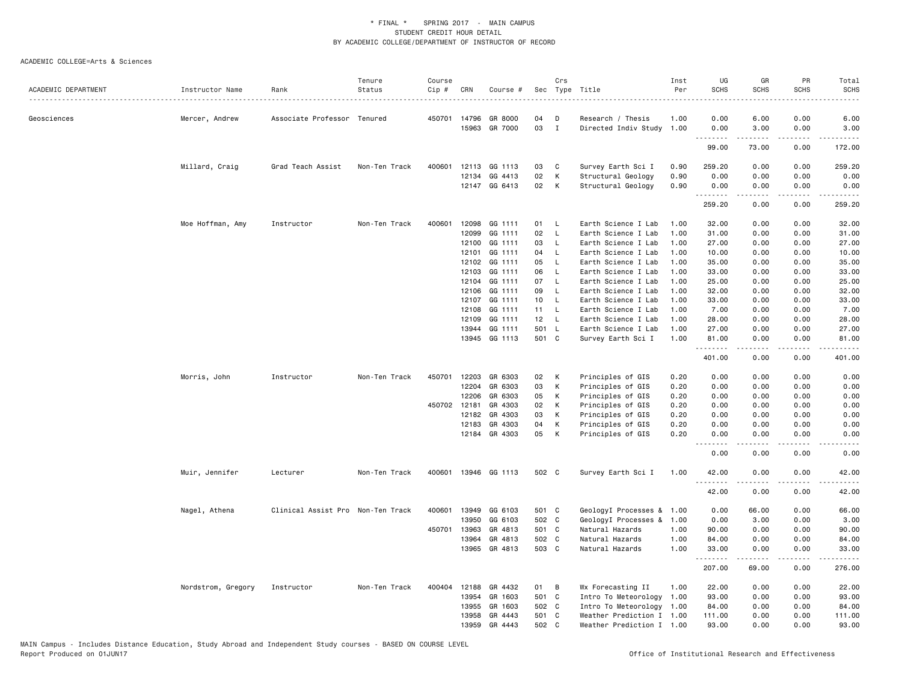|                     |                    |                                   | Tenure        | Course |              |               |       | Crs            |                           | Inst | UG                 | GR          | PR              | Total                                                                                                                             |
|---------------------|--------------------|-----------------------------------|---------------|--------|--------------|---------------|-------|----------------|---------------------------|------|--------------------|-------------|-----------------|-----------------------------------------------------------------------------------------------------------------------------------|
| ACADEMIC DEPARTMENT | Instructor Name    | Rank                              | Status        | Cip #  | CRN          | Course #      |       | Sec Type Title |                           | Per  | <b>SCHS</b>        | <b>SCHS</b> | <b>SCHS</b>     | <b>SCHS</b>                                                                                                                       |
| Geosciences         | Mercer, Andrew     | Associate Professor Tenured       |               |        | 450701 14796 | GR 8000       | 04    | D              | Research / Thesis         | 1.00 | 0.00               | 6.00        | 0.00            | 6.00                                                                                                                              |
|                     |                    |                                   |               |        | 15963        | GR 7000       | 03    | $\mathbf{I}$   | Directed Indiv Study 1.00 |      | 0.00               | 3.00        | 0.00            | 3.00                                                                                                                              |
|                     |                    |                                   |               |        |              |               |       |                |                           |      | .<br>99.00         | .<br>73.00  | .<br>0.00       | .<br>172.00                                                                                                                       |
|                     | Millard, Craig     | Grad Teach Assist                 | Non-Ten Track | 400601 |              | 12113 GG 1113 | 03    | C              | Survey Earth Sci I        | 0.90 | 259.20             | 0.00        | 0.00            | 259.20                                                                                                                            |
|                     |                    |                                   |               |        | 12134        | GG 4413       | 02    | K              | Structural Geology        | 0.90 | 0.00               | 0.00        | 0.00            | 0.00                                                                                                                              |
|                     |                    |                                   |               |        |              | 12147 GG 6413 | 02    | K              | Structural Geology        | 0.90 | 0.00               | 0.00        | 0.00            | 0.00                                                                                                                              |
|                     |                    |                                   |               |        |              |               |       |                |                           |      | <u>.</u><br>259.20 | 0.00        | 0.00            | .<br>259.20                                                                                                                       |
|                     | Moe Hoffman, Amy   | Instructor                        | Non-Ten Track | 400601 | 12098        | GG 1111       | 01    | - L            | Earth Science I Lab       | 1.00 | 32.00              | 0.00        | 0.00            | 32.00                                                                                                                             |
|                     |                    |                                   |               |        | 12099        | GG 1111       | 02    | <b>L</b>       | Earth Science I Lab       | 1.00 | 31.00              | 0.00        | 0.00            | 31.00                                                                                                                             |
|                     |                    |                                   |               |        | 12100        | GG 1111       | 03    | <b>L</b>       | Earth Science I Lab       | 1.00 | 27.00              | 0.00        | 0.00            | 27.00                                                                                                                             |
|                     |                    |                                   |               |        | 12101        | GG 1111       | 04    | - L            | Earth Science I Lab       | 1.00 | 10.00              | 0.00        | 0.00            | 10.00                                                                                                                             |
|                     |                    |                                   |               |        | 12102        | GG 1111       | 05    | L.             | Earth Science I Lab       | 1.00 | 35.00              | 0.00        | 0.00            | 35.00                                                                                                                             |
|                     |                    |                                   |               |        | 12103        | GG 1111       | 06    | <b>L</b>       | Earth Science I Lab       | 1.00 | 33.00              | 0.00        | 0.00            | 33.00                                                                                                                             |
|                     |                    |                                   |               |        | 12104        | GG 1111       | 07    | $\mathsf{L}$   | Earth Science I Lab       | 1.00 | 25.00              | 0.00        | 0.00            | 25.00                                                                                                                             |
|                     |                    |                                   |               |        | 12106        | GG 1111       | 09    | <b>L</b>       | Earth Science I Lab       | 1.00 | 32.00              | 0.00        | 0.00            | 32.00                                                                                                                             |
|                     |                    |                                   |               |        | 12107        | GG 1111       | 10    | $\mathsf{L}$   | Earth Science I Lab       | 1.00 | 33.00              | 0.00        | 0.00            | 33.00                                                                                                                             |
|                     |                    |                                   |               |        | 12108        | GG 1111       | 11    | <b>L</b>       | Earth Science I Lab       | 1.00 | 7.00               | 0.00        | 0.00            | 7.00                                                                                                                              |
|                     |                    |                                   |               |        | 12109        | GG 1111       | 12    | - L            | Earth Science I Lab       | 1.00 | 28.00              | 0.00        | 0.00            | 28.00                                                                                                                             |
|                     |                    |                                   |               |        | 13944        | GG 1111       | 501 L |                | Earth Science I Lab       | 1.00 | 27.00              | 0.00        | 0.00            | 27.00                                                                                                                             |
|                     |                    |                                   |               |        |              | 13945 GG 1113 | 501 C |                | Survey Earth Sci I        | 1.00 | 81.00              | 0.00        | 0.00            | 81.00                                                                                                                             |
|                     |                    |                                   |               |        |              |               |       |                |                           |      | .<br>401.00        | .<br>0.00   | د د د د<br>0.00 | .<br>401.00                                                                                                                       |
|                     |                    |                                   |               |        |              |               |       |                |                           |      |                    |             |                 |                                                                                                                                   |
|                     | Morris, John       | Instructor                        | Non-Ten Track | 450701 | 12203        | GR 6303       | 02    | К              | Principles of GIS         | 0.20 | 0.00               | 0.00        | 0.00            | 0.00                                                                                                                              |
|                     |                    |                                   |               |        | 12204        | GR 6303       | 03    | К              | Principles of GIS         | 0.20 | 0.00               | 0.00        | 0.00            | 0.00                                                                                                                              |
|                     |                    |                                   |               |        | 12206        | GR 6303       | 05    | К              | Principles of GIS         | 0.20 | 0.00               | 0.00        | 0.00            | 0.00                                                                                                                              |
|                     |                    |                                   |               |        | 450702 12181 | GR 4303       | 02    | K              | Principles of GIS         | 0.20 | 0.00               | 0.00        | 0.00            | 0.00                                                                                                                              |
|                     |                    |                                   |               |        | 12182        | GR 4303       | 03    | К              | Principles of GIS         | 0.20 | 0.00               | 0.00        | 0.00            | 0.00                                                                                                                              |
|                     |                    |                                   |               |        | 12183        | GR 4303       | 04    | К              | Principles of GIS         | 0.20 | 0.00               | 0.00        | 0.00            | 0.00                                                                                                                              |
|                     |                    |                                   |               |        |              | 12184 GR 4303 | 05    | K              | Principles of GIS         | 0.20 | 0.00<br><u>.</u>   | 0.00<br>.   | 0.00<br>.       | 0.00<br>$\frac{1}{2} \left( \frac{1}{2} \right) \left( \frac{1}{2} \right) \left( \frac{1}{2} \right) \left( \frac{1}{2} \right)$ |
|                     |                    |                                   |               |        |              |               |       |                |                           |      | 0.00               | 0.00        | 0.00            | 0.00                                                                                                                              |
|                     | Muir, Jennifer     | Lecturer                          | Non-Ten Track | 400601 |              | 13946 GG 1113 | 502 C |                | Survey Earth Sci I        | 1.00 | 42.00<br><u>.</u>  | 0.00<br>.   | 0.00<br>.       | 42.00<br>د د د د د                                                                                                                |
|                     |                    |                                   |               |        |              |               |       |                |                           |      | 42.00              | 0.00        | 0.00            | 42.00                                                                                                                             |
|                     | Nagel, Athena      | Clinical Assist Pro Non-Ten Track |               | 400601 | 13949        | GG 6103       | 501 C |                | GeologyI Processes & 1.00 |      | 0.00               | 66.00       | 0.00            | 66.00                                                                                                                             |
|                     |                    |                                   |               |        | 13950        | GG 6103       | 502 C |                | GeologyI Processes &      | 1.00 | 0.00               | 3.00        | 0.00            | 3.00                                                                                                                              |
|                     |                    |                                   |               | 450701 | 13963        | GR 4813       | 501 C |                | Natural Hazards           | 1.00 | 90.00              | 0.00        | 0.00            | 90.00                                                                                                                             |
|                     |                    |                                   |               |        | 13964        | GR 4813       | 502 C |                | Natural Hazards           | 1.00 | 84.00              | 0.00        | 0.00            | 84.00                                                                                                                             |
|                     |                    |                                   |               |        | 13965        | GR 4813       | 503 C |                | Natural Hazards           | 1.00 | 33.00<br>.         | 0.00        | 0.00            | 33.00                                                                                                                             |
|                     |                    |                                   |               |        |              |               |       |                |                           |      | 207.00             | 69.00       | 0.00            | 276.00                                                                                                                            |
|                     | Nordstrom, Gregory | Instructor                        | Non-Ten Track | 400404 | 12188        | GR 4432       | 01    | B              | Wx Forecasting II         | 1.00 | 22.00              | 0.00        | 0.00            | 22.00                                                                                                                             |
|                     |                    |                                   |               |        | 13954        | GR 1603       | 501 C |                | Intro To Meteorology 1.00 |      | 93.00              | 0.00        | 0.00            | 93.00                                                                                                                             |
|                     |                    |                                   |               |        | 13955        | GR 1603       | 502 C |                | Intro To Meteorology 1.00 |      | 84.00              | 0.00        | 0.00            | 84.00                                                                                                                             |
|                     |                    |                                   |               |        | 13958        | GR 4443       | 501 C |                | Weather Prediction I 1.00 |      | 111.00             | 0.00        | 0.00            | 111.00                                                                                                                            |
|                     |                    |                                   |               |        | 13959        | GR 4443       | 502 C |                | Weather Prediction I 1.00 |      | 93.00              | 0.00        | 0.00            | 93.00                                                                                                                             |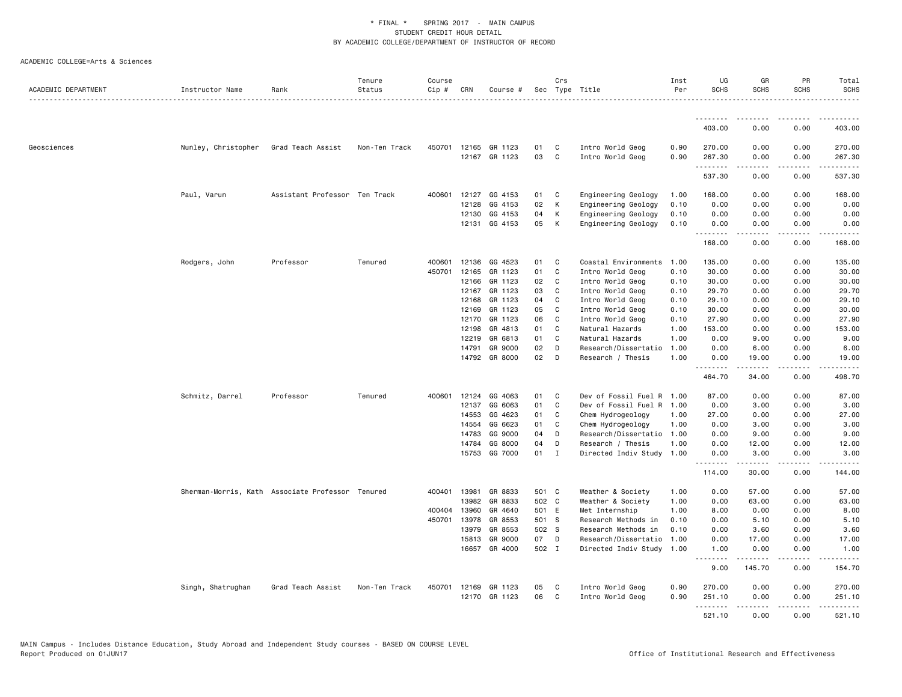| ACADEMIC DEPARTMENT | Instructor Name     | Rank                                             | Tenure<br>Status | Course<br>Cip # | CRN          | Course #      |       | Crs          | Sec Type Title            | Inst<br>Per | UG<br><b>SCHS</b> | GR<br><b>SCHS</b>  | PR<br><b>SCHS</b> | Total<br><b>SCHS</b>    |
|---------------------|---------------------|--------------------------------------------------|------------------|-----------------|--------------|---------------|-------|--------------|---------------------------|-------------|-------------------|--------------------|-------------------|-------------------------|
|                     |                     |                                                  |                  |                 |              |               |       |              |                           |             |                   |                    |                   | .                       |
|                     |                     |                                                  |                  |                 |              |               |       |              |                           |             | 403.00            | 0.00               | 0.00              | 403.00                  |
| Geosciences         | Nunley, Christopher | Grad Teach Assist                                | Non-Ten Track    | 450701          |              | 12165 GR 1123 | 01    | C            | Intro World Geog          | 0.90        | 270.00            | 0.00               | 0.00              | 270.00                  |
|                     |                     |                                                  |                  |                 |              | 12167 GR 1123 | 03    | C            | Intro World Geog          | 0.90        | 267.30<br>.       | 0.00<br><u>.</u>   | 0.00<br>.         | 267.30<br>.             |
|                     |                     |                                                  |                  |                 |              |               |       |              |                           |             | 537.30            | 0.00               | 0.00              | 537.30                  |
|                     | Paul, Varun         | Assistant Professor Ten Track                    |                  | 400601          | 12127        | GG 4153       | 01    | C            | Engineering Geology       | 1.00        | 168.00            | 0.00               | 0.00              | 168.00                  |
|                     |                     |                                                  |                  |                 | 12128        | GG 4153       | 02    | K            | Engineering Geology       | 0.10        | 0.00              | 0.00               | 0.00              | 0.00                    |
|                     |                     |                                                  |                  |                 | 12130        | GG 4153       | 04    | К            | Engineering Geology       | 0.10        | 0.00              | 0.00               | 0.00              | 0.00                    |
|                     |                     |                                                  |                  |                 |              | 12131 GG 4153 | 05    | K            | Engineering Geology       | 0.10        | 0.00<br>.         | 0.00<br>.          | 0.00<br>.         | 0.00<br>.               |
|                     |                     |                                                  |                  |                 |              |               |       |              |                           |             | 168.00            | 0.00               | 0.00              | 168.00                  |
|                     | Rodgers, John       | Professor                                        | Tenured          | 400601          | 12136        | GG 4523       | 01    | C            | Coastal Environments      | 1.00        | 135.00            | 0.00               | 0.00              | 135.00                  |
|                     |                     |                                                  |                  | 450701          | 12165        | GR 1123       | 01    | C            | Intro World Geog          | 0.10        | 30.00             | 0.00               | 0.00              | 30.00                   |
|                     |                     |                                                  |                  |                 | 12166        | GR 1123       | 02    | C            | Intro World Geog          | 0.10        | 30.00             | 0.00               | 0.00              | 30.00                   |
|                     |                     |                                                  |                  |                 | 12167        | GR 1123       | 03    | C            | Intro World Geog          | 0.10        | 29.70             | 0.00               | 0.00              | 29.70                   |
|                     |                     |                                                  |                  |                 | 12168        | GR 1123       | 04    | C            | Intro World Geog          | 0.10        | 29.10             | 0.00               | 0.00              | 29.10                   |
|                     |                     |                                                  |                  |                 | 12169        | GR 1123       | 05    | C            | Intro World Geog          | 0.10        | 30.00             | 0.00               | 0.00              | 30.00                   |
|                     |                     |                                                  |                  |                 | 12170        | GR 1123       | 06    | C            | Intro World Geog          | 0.10        | 27.90             | 0.00               | 0.00              | 27.90                   |
|                     |                     |                                                  |                  |                 | 12198        | GR 4813       | 01    | C            | Natural Hazards           | 1.00        | 153.00            | 0.00               | 0.00              | 153.00                  |
|                     |                     |                                                  |                  |                 | 12219        | GR 6813       | 01    | C            | Natural Hazards           | 1.00        | 0.00              | 9.00               | 0.00              | 9.00                    |
|                     |                     |                                                  |                  |                 | 14791        | GR 9000       | 02    | D            | Research/Dissertatio      | 1.00        | 0.00              | 6.00               | 0.00              | 6.00                    |
|                     |                     |                                                  |                  |                 |              | 14792 GR 8000 | 02    | D            | Research / Thesis         | 1.00        | 0.00<br><u>.</u>  | 19.00<br>-----     | 0.00<br>.         | 19.00<br>.              |
|                     |                     |                                                  |                  |                 |              |               |       |              |                           |             | 464.70            | 34.00              | 0.00              | 498.70                  |
|                     | Schmitz, Darrel     | Professor                                        | Tenured          | 400601          | 12124        | GG 4063       | 01    | C            | Dev of Fossil Fuel R 1.00 |             | 87.00             | 0.00               | 0.00              | 87.00                   |
|                     |                     |                                                  |                  |                 | 12137        | GG 6063       | 01    | $\mathbf c$  | Dev of Fossil Fuel R      | 1.00        | 0.00              | 3.00               | 0.00              | 3.00                    |
|                     |                     |                                                  |                  |                 | 14553        | GG 4623       | 01    | C            | Chem Hydrogeology         | 1.00        | 27.00             | 0.00               | 0.00              | 27.00                   |
|                     |                     |                                                  |                  |                 | 14554        | GG 6623       | 01    | C            | Chem Hydrogeology         | 1.00        | 0.00              | 3.00               | 0.00              | 3.00                    |
|                     |                     |                                                  |                  |                 | 14783        | GG 9000       | 04    | D            | Research/Dissertatio 1.00 |             | 0.00              | 9.00               | 0.00              | 9.00                    |
|                     |                     |                                                  |                  |                 | 14784        | GG 8000       | 04    | D            | Research / Thesis         | 1.00        | 0.00              | 12.00              | 0.00              | 12.00                   |
|                     |                     |                                                  |                  |                 |              | 15753 GG 7000 | 01    | $\mathbf{I}$ | Directed Indiv Study      | 1.00        | 0.00<br>.         | 3.00               | 0.00<br>.         | 3.00<br>.               |
|                     |                     |                                                  |                  |                 |              |               |       |              |                           |             | 114.00            | 30.00              | 0.00              | 144.00                  |
|                     |                     | Sherman-Morris, Kath Associate Professor Tenured |                  |                 | 400401 13981 | GR 8833       | 501 C |              | Weather & Society         | 1.00        | 0.00              | 57.00              | 0.00              | 57.00                   |
|                     |                     |                                                  |                  |                 | 13982        | GR 8833       | 502 C |              | Weather & Society         | 1.00        | 0.00              | 63.00              | 0.00              | 63.00                   |
|                     |                     |                                                  |                  | 400404          | 13960        | GR 4640       | 501 E |              | Met Internship            | 1.00        | 8.00              | 0.00               | 0.00              | 8.00                    |
|                     |                     |                                                  |                  | 450701          | 13978        | GR 8553       | 501 S |              | Research Methods in       | 0.10        | 0.00              | 5.10               | 0.00              | 5.10                    |
|                     |                     |                                                  |                  |                 | 13979        | GR 8553       | 502 S |              | Research Methods in       | 0.10        | 0.00              | 3.60               | 0.00              | 3.60                    |
|                     |                     |                                                  |                  |                 | 15813        | GR 9000       | 07    | D            | Research/Dissertatio      | 1.00        | 0.00              | 17.00              | 0.00              | 17.00                   |
|                     |                     |                                                  |                  |                 |              | 16657 GR 4000 | 502 I |              | Directed Indiv Study 1.00 |             | 1.00              | 0.00               | 0.00              | 1.00                    |
|                     |                     |                                                  |                  |                 |              |               |       |              |                           |             | <u>.</u><br>9.00  | <u>.</u><br>145.70 | .<br>0.00         | $- - - - - -$<br>154.70 |
|                     | Singh, Shatrughan   | Grad Teach Assist                                | Non-Ten Track    | 450701          |              | 12169 GR 1123 | 05    | C            | Intro World Geog          | 0.90        | 270.00            | 0.00               | 0.00              | 270.00                  |
|                     |                     |                                                  |                  |                 | 12170        | GR 1123       | 06    | C            | Intro World Geog          | 0.90        | 251.10            | 0.00               | 0.00              | 251.10                  |
|                     |                     |                                                  |                  |                 |              |               |       |              |                           |             | .<br>521.10       | <b>.</b><br>0.00   | .<br>0.00         | .<br>521.10             |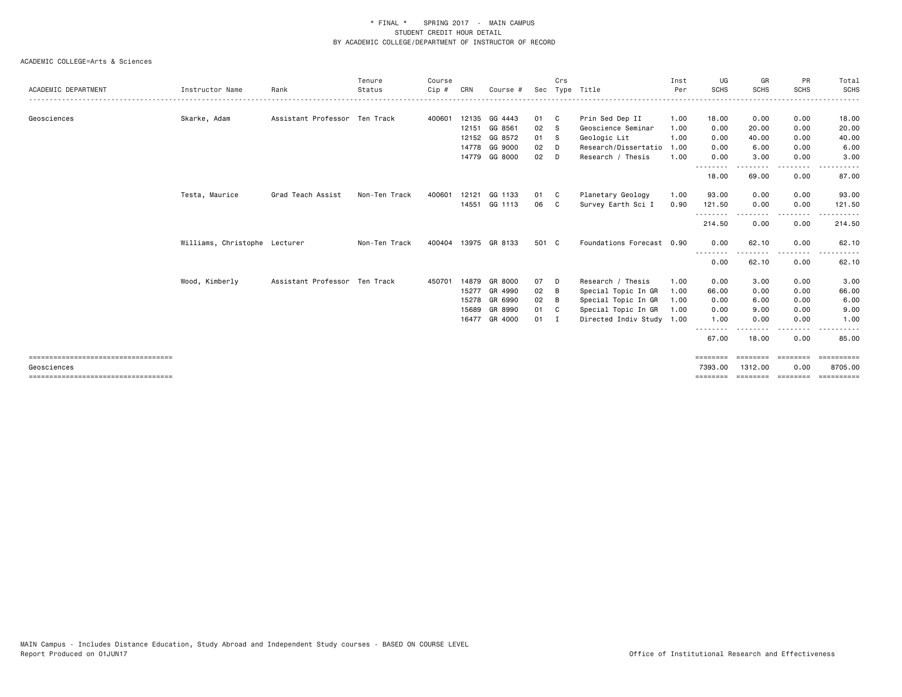|                                                     |                               |                               | Tenure        | Course |       |               |        | Crs          |                           | Inst | UG                  | GR                  | PR                | Total                 |
|-----------------------------------------------------|-------------------------------|-------------------------------|---------------|--------|-------|---------------|--------|--------------|---------------------------|------|---------------------|---------------------|-------------------|-----------------------|
| ACADEMIC DEPARTMENT                                 | Instructor Name               | Rank                          | Status        | Cip #  | CRN   | Course #      |        |              | Sec Type Title            | Per  | <b>SCHS</b>         | <b>SCHS</b>         | <b>SCHS</b>       | SCHS                  |
| Geosciences                                         | Skarke, Adam                  | Assistant Professor Ten Track |               | 400601 |       | 12135 GG 4443 | 01     | $\mathbf{C}$ | Prin Sed Dep II           | 1.00 | 18.00               | 0.00                | 0.00              | 18.00                 |
|                                                     |                               |                               |               |        |       | 12151 GG 8561 | 02     | - S          | Geoscience Seminar        | 1.00 | 0.00                | 20.00               | 0.00              | 20.00                 |
|                                                     |                               |                               |               |        |       | 12152 GG 8572 | 01     | - S          | Geologic Lit              | 1.00 | 0.00                | 40.00               | 0.00              | 40.00                 |
|                                                     |                               |                               |               |        |       | 14778 GG 9000 | 02     | D            | Research/Dissertatio      | 1.00 | 0.00                | 6.00                | 0.00              | 6.00                  |
|                                                     |                               |                               |               |        |       | 14779 GG 8000 | 02     | D            | Research / Thesis         | 1.00 | 0.00                | 3.00                | 0.00              | 3.00                  |
|                                                     |                               |                               |               |        |       |               |        |              |                           |      | --------<br>18.00   | .<br>69.00          | $\cdots$<br>0.00  | 87.00                 |
|                                                     | Testa, Maurice                | Grad Teach Assist             | Non-Ten Track | 400601 | 12121 | GG 1133       | 01     | - C          | Planetary Geology         | 1.00 | 93.00               | 0.00                | 0.00              | 93.00                 |
|                                                     |                               |                               |               |        |       | 14551 GG 1113 | 06     | C.           | Survey Earth Sci I        | 0.90 | 121.50              | 0.00                | 0.00              | 121.50                |
|                                                     |                               |                               |               |        |       |               |        |              |                           |      | 214.50              | 0.00                | 0.00              | 214.50                |
|                                                     | Williams, Christophe Lecturer |                               | Non-Ten Track | 400404 |       | 13975 GR 8133 | 501 C  |              | Foundations Forecast 0.90 |      | 0.00                | 62.10               | 0.00              | 62.10                 |
|                                                     |                               |                               |               |        |       |               |        |              |                           |      | --------<br>0.00    | 62.10               | .<br>0.00         | 62.10                 |
|                                                     | Wood, Kimberly                | Assistant Professor Ten Track |               | 450701 |       | 14879 GR 8000 | 07     | D            | Research / Thesis         | 1.00 | 0.00                | 3.00                | 0.00              | 3.00                  |
|                                                     |                               |                               |               |        | 15277 | GR 4990       | 02     | B            | Special Topic In GR       | 1.00 | 66.00               | 0.00                | 0.00              | 66.00                 |
|                                                     |                               |                               |               |        |       | 15278 GR 6990 | 02     | B            | Special Topic In GR       | 1.00 | 0.00                | 6.00                | 0.00              | 6.00                  |
|                                                     |                               |                               |               |        | 15689 | GR 8990       | 01     | C            | Special Topic In GR       | 1.00 | 0.00                | 9.00                | 0.00              | 9.00                  |
|                                                     |                               |                               |               |        |       | 16477 GR 4000 | $01$ I |              | Directed Indiv Study 1.00 |      | 1.00                | 0.00                | 0.00              | 1.00                  |
|                                                     |                               |                               |               |        |       |               |        |              |                           |      | 67.00               | 18.00               | 0.00              | 85.00                 |
| ====================================<br>Geosciences |                               |                               |               |        |       |               |        |              |                           |      | ========<br>7393.00 | ========<br>1312,00 | ---------<br>0.00 | ==========<br>8705.00 |
| =====================================               |                               |                               |               |        |       |               |        |              |                           |      | =======             | ========            | ========          | ==========            |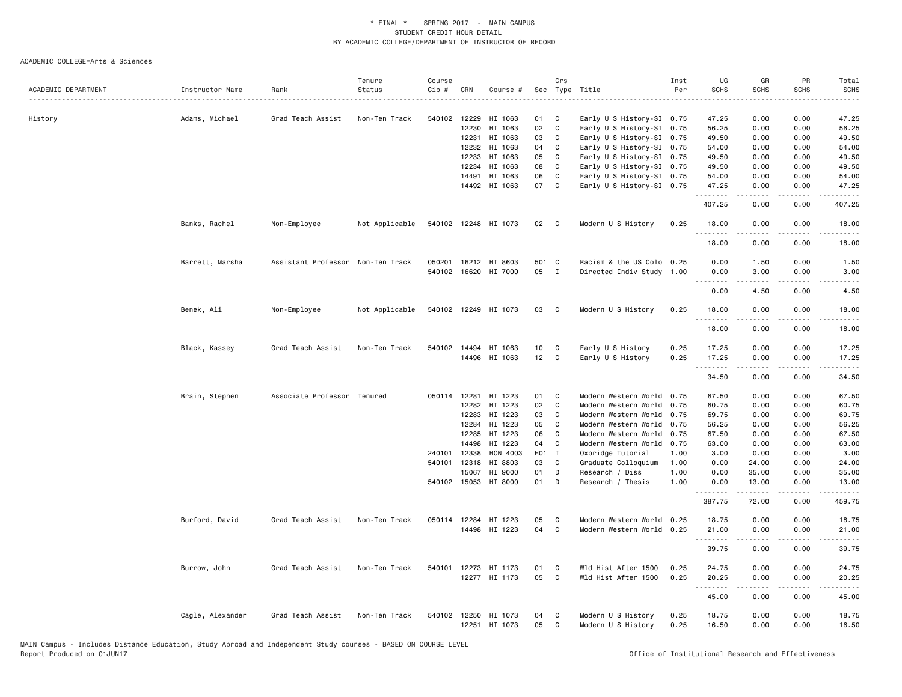|                     |                  |                                   | Tenure         | Course       |                |                      |          | Crs               |                                                        | Inst | UG                      | GR            | PR                    | Total          |
|---------------------|------------------|-----------------------------------|----------------|--------------|----------------|----------------------|----------|-------------------|--------------------------------------------------------|------|-------------------------|---------------|-----------------------|----------------|
| ACADEMIC DEPARTMENT | Instructor Name  | Rank                              | Status         | Cip #        | CRN            | Course #             |          |                   | Sec Type Title                                         | Per  | <b>SCHS</b>             | SCHS          | <b>SCHS</b>           | <b>SCHS</b>    |
|                     |                  |                                   |                |              |                |                      |          |                   |                                                        |      |                         |               |                       |                |
|                     |                  |                                   |                |              |                |                      |          |                   |                                                        |      |                         |               |                       |                |
| History             | Adams, Michael   | Grad Teach Assist                 | Non-Ten Track  | 540102       | 12229<br>12230 | HI 1063<br>HI 1063   | 01<br>02 | C<br>$\mathbf{C}$ | Early U S History-SI 0.75<br>Early U S History-SI 0.75 |      | 47.25<br>56.25          | 0.00<br>0.00  | 0.00<br>0.00          | 47.25<br>56.25 |
|                     |                  |                                   |                |              |                |                      | 03       | C                 |                                                        |      |                         |               |                       |                |
|                     |                  |                                   |                |              | 12231<br>12232 | HI 1063              | 04       |                   | Early U S History-SI 0.75                              |      | 49.50                   | 0.00          | 0.00<br>0.00          | 49.50          |
|                     |                  |                                   |                |              |                | HI 1063              |          | C                 | Early U S History-SI 0.75                              |      | 54.00                   | 0.00          |                       | 54.00          |
|                     |                  |                                   |                |              | 12233          | HI 1063              | 05       | C                 | Early U S History-SI 0.75                              |      | 49.50                   | 0.00          | 0.00                  | 49.50          |
|                     |                  |                                   |                |              | 12234          | HI 1063              | 08       | C                 | Early U S History-SI 0.75                              |      | 49.50                   | 0.00          | 0.00                  | 49.50          |
|                     |                  |                                   |                |              | 14491          | HI 1063              | 06       | C                 | Early U S History-SI 0.75                              |      | 54.00                   | 0.00          | 0.00                  | 54.00          |
|                     |                  |                                   |                |              |                | 14492 HI 1063        | 07       | C                 | Early U S History-SI 0.75                              |      | 47.25<br><u>.</u>       | 0.00<br>.     | 0.00<br>$\frac{1}{2}$ | 47.25<br>.     |
|                     |                  |                                   |                |              |                |                      |          |                   |                                                        |      | 407.25                  | 0.00          | 0.00                  | 407.25         |
|                     | Banks, Rachel    | Non-Employee                      | Not Applicable |              |                | 540102 12248 HI 1073 | 02       | $\mathbf{C}$      | Modern U S History                                     | 0.25 | 18.00<br>.              | 0.00          | 0.00<br>$- - - -$     | 18.00<br>.     |
|                     |                  |                                   |                |              |                |                      |          |                   |                                                        |      | 18.00                   | 0.00          | 0.00                  | 18.00          |
|                     | Barrett, Marsha  | Assistant Professor Non-Ten Track |                | 050201       |                | 16212 HI 8603        | 501 C    |                   | Racism & the US Colo 0.25                              |      | 0.00                    | 1.50          | 0.00                  | 1.50           |
|                     |                  |                                   |                |              |                | 540102 16620 HI 7000 | 05       | $\mathbf{I}$      | Directed Indiv Study 1.00                              |      | 0.00                    | 3.00          | 0.00                  | 3.00           |
|                     |                  |                                   |                |              |                |                      |          |                   |                                                        |      | $\omega$ is $\omega$ in |               |                       |                |
|                     |                  |                                   |                |              |                |                      |          |                   |                                                        |      | 0.00                    | 4.50          | 0.00                  | 4.50           |
|                     | Benek, Ali       | Non-Employee                      | Not Applicable |              |                | 540102 12249 HI 1073 | 03       | $\mathbf{C}$      | Modern U S History                                     | 0.25 | 18.00                   | 0.00          | 0.00                  | 18.00          |
|                     |                  |                                   |                |              |                |                      |          |                   |                                                        |      | <u>.</u>                | .             | .                     | .              |
|                     |                  |                                   |                |              |                |                      |          |                   |                                                        |      | 18.00                   | 0.00          | 0.00                  | 18.00          |
|                     | Black, Kassey    | Grad Teach Assist                 | Non-Ten Track  |              |                | 540102 14494 HI 1063 | 10       | C                 | Early U S History                                      | 0.25 | 17.25                   | 0.00          | 0.00                  | 17.25          |
|                     |                  |                                   |                |              |                | 14496 HI 1063        | 12       | C                 | Early U S History                                      | 0.25 | 17.25                   | 0.00          | 0.00                  | 17.25          |
|                     |                  |                                   |                |              |                |                      |          |                   |                                                        |      |                         |               |                       |                |
|                     |                  |                                   |                |              |                |                      |          |                   |                                                        |      | 34.50                   | 0.00          | 0.00                  | 34.50          |
|                     | Brain, Stephen   | Associate Professor Tenured       |                | 050114 12281 |                | HI 1223              | 01       | C                 | Modern Western World                                   | 0.75 | 67.50                   | 0.00          | 0.00                  | 67.50          |
|                     |                  |                                   |                |              | 12282          | HI 1223              | 02       | $\mathbb{C}$      | Modern Western World                                   | 0.75 | 60.75                   | 0.00          | 0.00                  | 60.75          |
|                     |                  |                                   |                |              | 12283          | HI 1223              | 03       | $\mathsf{C}$      | Modern Western World                                   | 0.75 | 69.75                   | 0.00          | 0.00                  | 69.75          |
|                     |                  |                                   |                |              | 12284          | HI 1223              | 05       | C                 | Modern Western World                                   | 0.75 | 56.25                   | 0.00          | 0.00                  | 56.25          |
|                     |                  |                                   |                |              | 12285          | HI 1223              | 06       | C                 | Modern Western World                                   | 0.75 | 67.50                   | 0.00          | 0.00                  | 67.50          |
|                     |                  |                                   |                |              | 14498          | HI 1223              | 04       | C                 | Modern Western World                                   | 0.75 | 63.00                   | 0.00          | 0.00                  | 63.00          |
|                     |                  |                                   |                | 240101       | 12338          | HON 4003             | H01 I    |                   | Oxbridge Tutorial                                      | 1.00 | 3.00                    | 0.00          | 0.00                  | 3.00           |
|                     |                  |                                   |                | 540101       | 12318          | HI 8803              | 03       | C                 | Graduate Colloquium                                    | 1.00 | 0.00                    | 24.00         | 0.00                  | 24.00          |
|                     |                  |                                   |                |              | 15067          | HI 9000              | 01       | D                 | Research / Diss                                        | 1.00 | 0.00                    | 35.00         | 0.00                  | 35.00          |
|                     |                  |                                   |                |              |                | 540102 15053 HI 8000 | 01       | D                 | Research / Thesis                                      | 1.00 | 0.00                    | 13.00         | 0.00                  | 13.00          |
|                     |                  |                                   |                |              |                |                      |          |                   |                                                        |      | .<br>387.75             | .<br>72.00    | .<br>0.00             | .<br>459.75    |
|                     |                  |                                   |                |              |                |                      |          |                   |                                                        |      |                         |               |                       |                |
|                     | Burford, David   | Grad Teach Assist                 | Non-Ten Track  |              |                | 050114 12284 HI 1223 | 05       | C                 | Modern Western World                                   | 0.25 | 18.75                   | 0.00          | 0.00                  | 18.75          |
|                     |                  |                                   |                |              |                | 14498 HI 1223        | 04       | C                 | Modern Western World 0.25                              |      | 21.00                   | 0.00<br>----- | 0.00<br>.             | 21.00          |
|                     |                  |                                   |                |              |                |                      |          |                   |                                                        |      | .<br>39.75              | 0.00          | 0.00                  | .<br>39.75     |
|                     | Burrow, John     | Grad Teach Assist                 | Non-Ten Track  | 540101       |                | 12273 HI 1173        | 01       | C                 | Wld Hist After 1500                                    | 0.25 | 24.75                   | 0.00          | 0.00                  | 24.75          |
|                     |                  |                                   |                |              |                | 12277 HI 1173        | 05       | C                 | Wld Hist After 1500                                    | 0.25 | 20.25                   | 0.00          | 0.00                  | 20.25          |
|                     |                  |                                   |                |              |                |                      |          |                   |                                                        |      | .                       | <u>.</u>      | .                     | .              |
|                     |                  |                                   |                |              |                |                      |          |                   |                                                        |      | 45.00                   | 0.00          | 0.00                  | 45.00          |
|                     |                  |                                   |                |              |                |                      |          |                   |                                                        |      |                         |               |                       |                |
|                     | Cagle, Alexander | Grad Teach Assist                 | Non-Ten Track  | 540102 12250 |                | HI 1073              | 04       | C                 | Modern U S History                                     | 0.25 | 18.75                   | 0.00          | 0.00                  | 18.75          |
|                     |                  |                                   |                |              | 12251          | HI 1073              | 05       | $\mathbb{C}$      | Modern U S History                                     | 0.25 | 16.50                   | 0.00          | 0.00                  | 16.50          |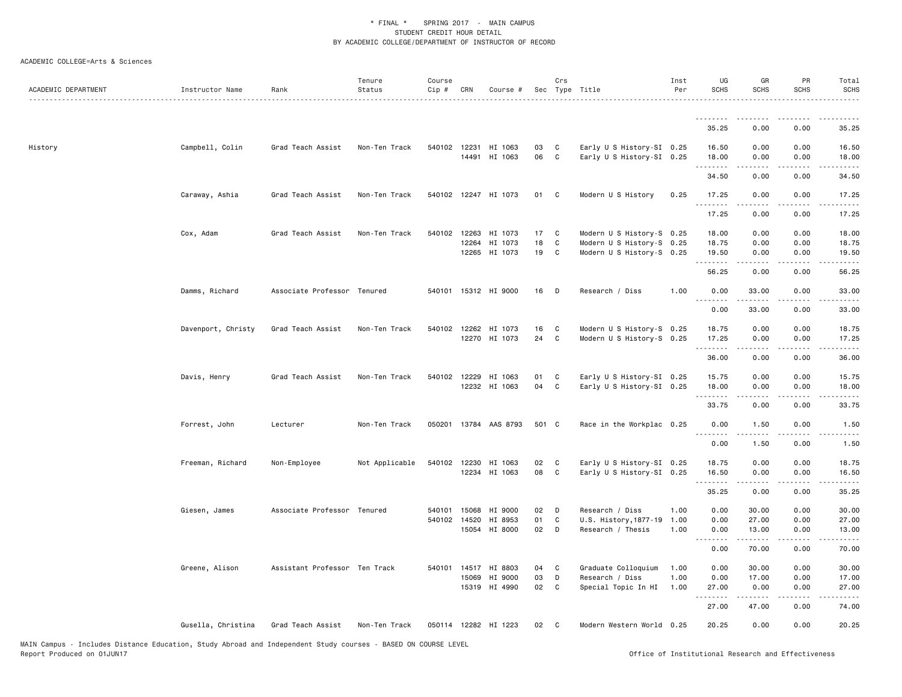| ACADEMIC DEPARTMENT | Instructor Name    | Rank                          | Tenure<br>Status | Course<br>Cip # | CRN          | Course #                              |          | Crs               | Sec Type Title                                         | Inst<br>Per | UG<br><b>SCHS</b>   | GR<br><b>SCHS</b>                                                                                                                                             | PR<br><b>SCHS</b>                                                                                                                 | Total<br><b>SCHS</b>                                                                                                              |
|---------------------|--------------------|-------------------------------|------------------|-----------------|--------------|---------------------------------------|----------|-------------------|--------------------------------------------------------|-------------|---------------------|---------------------------------------------------------------------------------------------------------------------------------------------------------------|-----------------------------------------------------------------------------------------------------------------------------------|-----------------------------------------------------------------------------------------------------------------------------------|
|                     |                    |                               |                  |                 |              |                                       |          |                   |                                                        |             | .                   |                                                                                                                                                               | .                                                                                                                                 | .                                                                                                                                 |
|                     |                    |                               |                  |                 |              |                                       |          |                   |                                                        |             | 35.25               | 0.00                                                                                                                                                          | 0.00                                                                                                                              | 35.25                                                                                                                             |
| History             | Campbell, Colin    | Grad Teach Assist             | Non-Ten Track    |                 |              | 540102 12231 HI 1063<br>14491 HI 1063 | 03<br>06 | C<br>$\mathbf{C}$ | Early U S History-SI 0.25<br>Early U S History-SI 0.25 |             | 16.50<br>18.00<br>. | 0.00<br>0.00                                                                                                                                                  | 0.00<br>0.00                                                                                                                      | 16.50<br>18.00                                                                                                                    |
|                     |                    |                               |                  |                 |              |                                       |          |                   |                                                        |             | 34.50               | 0.00                                                                                                                                                          | 0.00                                                                                                                              | 34.50                                                                                                                             |
|                     | Caraway, Ashia     | Grad Teach Assist             | Non-Ten Track    |                 |              | 540102 12247 HI 1073                  | 01 C     |                   | Modern U S History                                     | 0.25        | 17.25<br>.          | 0.00                                                                                                                                                          | 0.00                                                                                                                              | 17.25<br>.                                                                                                                        |
|                     |                    |                               |                  |                 |              |                                       |          |                   |                                                        |             | 17.25               | 0.00                                                                                                                                                          | 0.00                                                                                                                              | 17.25                                                                                                                             |
|                     | Cox, Adam          | Grad Teach Assist             | Non-Ten Track    |                 | 540102 12263 | HI 1073                               | 17       | C                 | Modern U S History-S 0.25                              |             | 18.00               | 0.00                                                                                                                                                          | 0.00                                                                                                                              | 18.00                                                                                                                             |
|                     |                    |                               |                  |                 | 12264        | HI 1073<br>12265 HI 1073              | 18<br>19 | C<br>C            | Modern U S History-S 0.25<br>Modern U S History-S 0.25 |             | 18.75<br>19.50      | 0.00<br>0.00                                                                                                                                                  | 0.00<br>0.00                                                                                                                      | 18.75<br>19.50                                                                                                                    |
|                     |                    |                               |                  |                 |              |                                       |          |                   |                                                        |             | .                   | $\frac{1}{2} \left( \frac{1}{2} \right) \left( \frac{1}{2} \right) \left( \frac{1}{2} \right) \left( \frac{1}{2} \right) \left( \frac{1}{2} \right)$          | .                                                                                                                                 | .                                                                                                                                 |
|                     |                    |                               |                  |                 |              |                                       |          |                   |                                                        |             | 56.25               | 0.00                                                                                                                                                          | 0.00                                                                                                                              | 56.25                                                                                                                             |
|                     | Damms, Richard     | Associate Professor Tenured   |                  |                 |              | 540101 15312 HI 9000                  | 16       | D                 | Research / Diss                                        | 1.00        | 0.00<br>.           | 33.00<br>$\frac{1}{2} \left( \frac{1}{2} \right) \left( \frac{1}{2} \right) \left( \frac{1}{2} \right) \left( \frac{1}{2} \right) \left( \frac{1}{2} \right)$ | 0.00<br>$\sim$ $\sim$ $\sim$ $\sim$                                                                                               | 33.00<br>.                                                                                                                        |
|                     |                    |                               |                  |                 |              |                                       |          |                   |                                                        |             | 0.00                | 33.00                                                                                                                                                         | 0.00                                                                                                                              | 33.00                                                                                                                             |
|                     | Davenport, Christy | Grad Teach Assist             | Non-Ten Track    |                 |              | 540102 12262 HI 1073                  | 16       | C                 | Modern U S History-S 0.25                              |             | 18.75               | 0.00                                                                                                                                                          | 0.00                                                                                                                              | 18.75                                                                                                                             |
|                     |                    |                               |                  |                 |              | 12270 HI 1073                         | 24       | <b>C</b>          | Modern U S History-S 0.25                              |             | 17.25<br>.          | 0.00<br>$- - - - -$                                                                                                                                           | 0.00                                                                                                                              | 17.25<br>.                                                                                                                        |
|                     |                    |                               |                  |                 |              |                                       |          |                   |                                                        |             | 36.00               | 0.00                                                                                                                                                          | 0.00                                                                                                                              | 36.00                                                                                                                             |
|                     | Davis, Henry       | Grad Teach Assist             | Non-Ten Track    |                 | 540102 12229 | HI 1063                               | 01       | $\mathbf{C}$      | Early U S History-SI 0.25                              |             | 15.75               | 0.00                                                                                                                                                          | 0.00                                                                                                                              | 15.75                                                                                                                             |
|                     |                    |                               |                  |                 |              | 12232 HI 1063                         | 04       | C                 | Early U S History-SI 0.25                              |             | 18.00<br>.          | 0.00<br>$\frac{1}{2} \left( \frac{1}{2} \right) \left( \frac{1}{2} \right) \left( \frac{1}{2} \right) \left( \frac{1}{2} \right) \left( \frac{1}{2} \right)$  | 0.00<br>$\sim$ $\sim$ $\sim$ $\sim$                                                                                               | 18.00<br>.                                                                                                                        |
|                     |                    |                               |                  |                 |              |                                       |          |                   |                                                        |             | 33.75               | 0.00                                                                                                                                                          | 0.00                                                                                                                              | 33.75                                                                                                                             |
|                     | Forrest, John      | Lecturer                      | Non-Ten Track    |                 |              | 050201 13784 AAS 8793                 | 501 C    |                   | Race in the Workplac 0.25                              |             | 0.00<br><u>.</u>    | 1.50<br>$\frac{1}{2}$                                                                                                                                         | 0.00<br>.                                                                                                                         | 1.50<br>$\frac{1}{2} \left( \frac{1}{2} \right) \left( \frac{1}{2} \right) \left( \frac{1}{2} \right) \left( \frac{1}{2} \right)$ |
|                     |                    |                               |                  |                 |              |                                       |          |                   |                                                        |             | 0.00                | 1.50                                                                                                                                                          | 0.00                                                                                                                              | 1.50                                                                                                                              |
|                     | Freeman, Richard   | Non-Employee                  | Not Applicable   |                 |              | 540102 12230 HI 1063                  | 02       | C                 | Early U S History-SI 0.25                              |             | 18.75               | 0.00                                                                                                                                                          | 0.00                                                                                                                              | 18.75                                                                                                                             |
|                     |                    |                               |                  |                 |              | 12234 HI 1063                         | 08       | C                 | Early U S History-SI 0.25                              |             | 16.50<br>.          | 0.00<br>$\frac{1}{2} \left( \frac{1}{2} \right) \left( \frac{1}{2} \right) \left( \frac{1}{2} \right) \left( \frac{1}{2} \right) \left( \frac{1}{2} \right)$  | 0.00<br>.                                                                                                                         | 16.50<br>.                                                                                                                        |
|                     |                    |                               |                  |                 |              |                                       |          |                   |                                                        |             | 35.25               | 0.00                                                                                                                                                          | 0.00                                                                                                                              | 35.25                                                                                                                             |
|                     | Giesen, James      | Associate Professor Tenured   |                  | 540101 15068    |              | HI 9000                               | 02       | $\mathsf{D}$      | Research / Diss                                        | 1.00        | 0.00                | 30.00                                                                                                                                                         | 0.00                                                                                                                              | 30.00                                                                                                                             |
|                     |                    |                               |                  |                 | 540102 14520 | HI 8953                               | 01       | C                 | U.S. History, 1877-19                                  | 1.00        | 0.00                | 27.00                                                                                                                                                         | 0.00                                                                                                                              | 27.00                                                                                                                             |
|                     |                    |                               |                  |                 |              | 15054 HI 8000                         | 02       | D                 | Research / Thesis                                      | 1.00        | 0.00<br><u>.</u>    | 13.00<br>.                                                                                                                                                    | 0.00<br>$\frac{1}{2} \left( \frac{1}{2} \right) \left( \frac{1}{2} \right) \left( \frac{1}{2} \right) \left( \frac{1}{2} \right)$ | 13.00<br>.                                                                                                                        |
|                     |                    |                               |                  |                 |              |                                       |          |                   |                                                        |             | 0.00                | 70.00                                                                                                                                                         | 0.00                                                                                                                              | 70.00                                                                                                                             |
|                     | Greene, Alison     | Assistant Professor Ten Track |                  |                 |              | 540101 14517 HI 8803                  | 04       | C                 | Graduate Colloquium                                    | 1.00        | 0.00                | 30.00                                                                                                                                                         | 0.00                                                                                                                              | 30.00                                                                                                                             |
|                     |                    |                               |                  |                 | 15069        | HI 9000<br>HI 4990                    | 03<br>02 | D                 | Research / Diss                                        | 1.00        | 0.00                | 17.00                                                                                                                                                         | 0.00                                                                                                                              | 17.00                                                                                                                             |
|                     |                    |                               |                  |                 | 15319        |                                       |          | C                 | Special Topic In HI                                    | 1.00        | 27.00<br>.          | 0.00<br>.                                                                                                                                                     | 0.00<br>$\frac{1}{2} \left( \frac{1}{2} \right) \left( \frac{1}{2} \right) \left( \frac{1}{2} \right) \left( \frac{1}{2} \right)$ | 27.00                                                                                                                             |
|                     |                    |                               |                  |                 |              |                                       |          |                   |                                                        |             | 27.00               | 47.00                                                                                                                                                         | 0.00                                                                                                                              | 74.00                                                                                                                             |
|                     | Gusella, Christina | Grad Teach Assist             | Non-Ten Track    |                 |              | 050114 12282 HI 1223                  | 02       | $\mathbf{C}$      | Modern Western World 0.25                              |             | 20.25               | 0.00                                                                                                                                                          | 0.00                                                                                                                              | 20.25                                                                                                                             |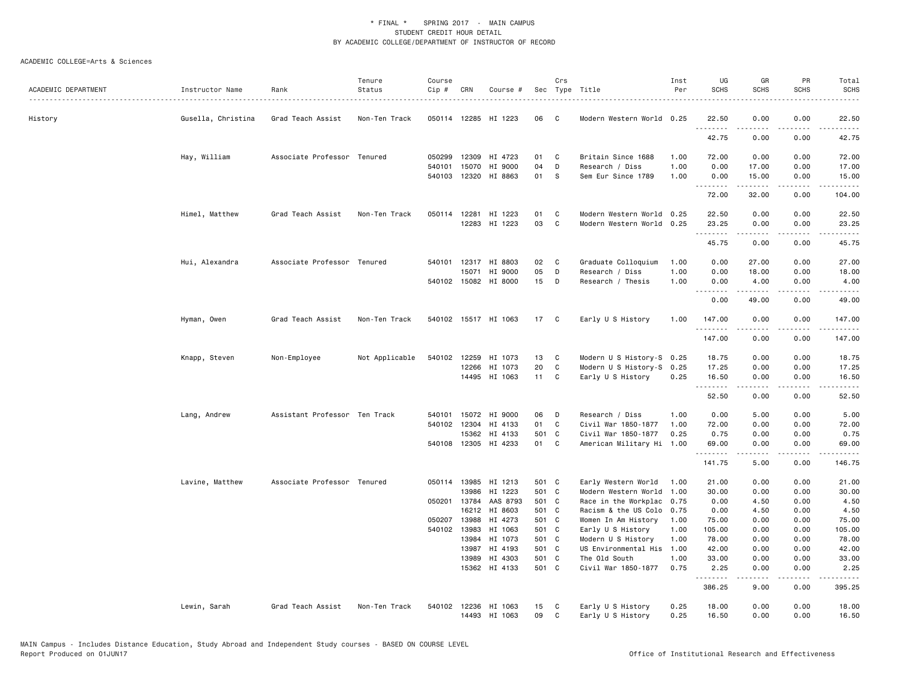| ACADEMIC DEPARTMENT | Instructor Name    | Rank                          | Tenure<br>Status | Course<br>Cip # | CRN                   | Course #                        |                | Crs<br>Sec Type Title |                                                  | Inst<br>Per  | UG<br><b>SCHS</b>                 | GR<br><b>SCHS</b>                                                                                                                                            | PR<br><b>SCHS</b>            | Total<br><b>SCHS</b>                                                                                                                                           |
|---------------------|--------------------|-------------------------------|------------------|-----------------|-----------------------|---------------------------------|----------------|-----------------------|--------------------------------------------------|--------------|-----------------------------------|--------------------------------------------------------------------------------------------------------------------------------------------------------------|------------------------------|----------------------------------------------------------------------------------------------------------------------------------------------------------------|
| History             | Gusella, Christina | Grad Teach Assist             | Non-Ten Track    |                 |                       | 050114 12285 HI 1223            | 06             | C                     | Modern Western World 0.25                        |              | 22.50<br>.                        | 0.00                                                                                                                                                         | 0.00                         | 22.50                                                                                                                                                          |
|                     |                    |                               |                  |                 |                       |                                 |                |                       |                                                  |              | 42.75                             | 0.00                                                                                                                                                         | 0.00                         | 42.75                                                                                                                                                          |
|                     | Hay, William       | Associate Professor Tenured   |                  | 050299          | 12309                 | HI 4723                         | 01             | C                     | Britain Since 1688                               | 1.00         | 72.00                             | 0.00                                                                                                                                                         | 0.00                         | 72.00                                                                                                                                                          |
|                     |                    |                               |                  | 540101          | 15070<br>540103 12320 | HI 9000<br>HI 8863              | 04<br>01       | D<br><b>S</b>         | Research / Diss<br>Sem Eur Since 1789            | 1.00<br>1.00 | 0.00<br>0.00                      | 17.00<br>15.00                                                                                                                                               | 0.00<br>0.00                 | 17.00<br>15.00                                                                                                                                                 |
|                     |                    |                               |                  |                 |                       |                                 |                |                       |                                                  |              | .<br>72.00                        | 32.00                                                                                                                                                        | 0.00                         | 104.00                                                                                                                                                         |
|                     | Himel, Matthew     | Grad Teach Assist             | Non-Ten Track    |                 |                       | 050114 12281 HI 1223            | 01             | C                     | Modern Western World 0.25                        |              | 22.50                             | 0.00                                                                                                                                                         | 0.00                         | 22.50                                                                                                                                                          |
|                     |                    |                               |                  |                 |                       | 12283 HI 1223                   | 03             | C                     | Modern Western World 0.25                        |              | 23.25<br>.                        | 0.00<br>.                                                                                                                                                    | 0.00<br>.                    | 23.25<br>.                                                                                                                                                     |
|                     |                    |                               |                  |                 |                       |                                 |                |                       |                                                  |              | 45.75                             | 0.00                                                                                                                                                         | 0.00                         | 45.75                                                                                                                                                          |
|                     | Hui, Alexandra     | Associate Professor Tenured   |                  |                 |                       | 540101 12317 HI 8803            | 02             | C                     | Graduate Colloquium                              | 1.00         | 0.00                              | 27.00                                                                                                                                                        | 0.00                         | 27.00                                                                                                                                                          |
|                     |                    |                               |                  |                 | 15071                 | HI 9000<br>540102 15082 HI 8000 | 05<br>15       | D<br>D                | Research / Diss<br>Research / Thesis             | 1.00<br>1.00 | 0.00<br>0.00                      | 18.00<br>4.00                                                                                                                                                | 0.00<br>0.00                 | 18.00<br>4.00                                                                                                                                                  |
|                     |                    |                               |                  |                 |                       |                                 |                |                       |                                                  |              | $\sim$ $\sim$ $\sim$<br>.<br>0.00 | 49.00                                                                                                                                                        | 0.00                         | 49.00                                                                                                                                                          |
|                     | Hyman, Owen        | Grad Teach Assist             | Non-Ten Track    |                 |                       | 540102 15517 HI 1063            | 17 C           |                       | Early U S History                                | 1.00         | 147.00                            | 0.00                                                                                                                                                         | 0.00                         | 147.00                                                                                                                                                         |
|                     |                    |                               |                  |                 |                       |                                 |                |                       |                                                  |              | .<br>147.00                       | .<br>0.00                                                                                                                                                    | $\sim$ $\sim$ $\sim$<br>0.00 | $\frac{1}{2} \left( \frac{1}{2} \right) \left( \frac{1}{2} \right) \left( \frac{1}{2} \right) \left( \frac{1}{2} \right) \left( \frac{1}{2} \right)$<br>147.00 |
|                     | Knapp, Steven      | Non-Employee                  | Not Applicable   | 540102          | 12259                 | HI 1073                         | 13             | C                     | Modern U S History-S 0.25                        |              | 18.75                             | 0.00                                                                                                                                                         | 0.00                         | 18.75                                                                                                                                                          |
|                     |                    |                               |                  |                 | 12266                 | HI 1073<br>14495 HI 1063        | 20<br>11 C     | C                     | Modern U S History-S 0.25<br>Early U S History   | 0.25         | 17.25<br>16.50                    | 0.00<br>0.00                                                                                                                                                 | 0.00<br>0.00                 | 17.25<br>16.50                                                                                                                                                 |
|                     |                    |                               |                  |                 |                       |                                 |                |                       |                                                  |              | .<br>52.50                        | $\frac{1}{2} \left( \frac{1}{2} \right) \left( \frac{1}{2} \right) \left( \frac{1}{2} \right) \left( \frac{1}{2} \right) \left( \frac{1}{2} \right)$<br>0.00 | .<br>0.00                    | .<br>52.50                                                                                                                                                     |
|                     | Lang, Andrew       | Assistant Professor Ten Track |                  | 540101          | 15072                 | HI 9000                         | 06             | D                     | Research / Diss                                  | 1.00         | 0.00                              | 5.00                                                                                                                                                         | 0.00                         | 5.00                                                                                                                                                           |
|                     |                    |                               |                  |                 | 540102 12304          | HI 4133                         | 01             | C                     | Civil War 1850-1877                              | 1.00         | 72.00                             | 0.00                                                                                                                                                         | 0.00                         | 72.00                                                                                                                                                          |
|                     |                    |                               |                  |                 | 15362                 | HI 4133<br>540108 12305 HI 4233 | 501 C<br>01    | C <sub>c</sub>        | Civil War 1850-1877<br>American Military Hi 1.00 | 0.25         | 0.75<br>69.00                     | 0.00<br>0.00                                                                                                                                                 | 0.00<br>0.00                 | 0.75<br>69.00                                                                                                                                                  |
|                     |                    |                               |                  |                 |                       |                                 |                |                       |                                                  |              | .<br>141.75                       | 22222<br>5.00                                                                                                                                                | .<br>0.00                    | .<br>146.75                                                                                                                                                    |
|                     | Lavine, Matthew    | Associate Professor Tenured   |                  |                 | 050114 13985          | HI 1213                         | 501 C          |                       | Early Western World                              | 1.00         | 21.00                             | 0.00                                                                                                                                                         | 0.00                         | 21.00                                                                                                                                                          |
|                     |                    |                               |                  |                 | 13986                 | HI 1223                         | 501 C          |                       | Modern Western World                             | 1.00         | 30.00                             | 0.00                                                                                                                                                         | 0.00                         | 30.00                                                                                                                                                          |
|                     |                    |                               |                  |                 | 050201 13784<br>16212 | AAS 8793<br>HI 8603             | 501 C<br>501 C |                       | Race in the Workplac                             | 0.75         | 0.00                              | 4.50                                                                                                                                                         | 0.00                         | 4.50                                                                                                                                                           |
|                     |                    |                               |                  |                 | 050207 13988          | HI 4273                         | 501 C          |                       | Racism & the US Colo<br>Women In Am History      | 0.75<br>1.00 | 0.00<br>75.00                     | 4.50<br>0.00                                                                                                                                                 | 0.00<br>0.00                 | 4.50<br>75.00                                                                                                                                                  |
|                     |                    |                               |                  |                 | 540102 13983          | HI 1063                         | 501 C          |                       | Early U S History                                | 1.00         | 105.00                            | 0.00                                                                                                                                                         | 0.00                         | 105.00                                                                                                                                                         |
|                     |                    |                               |                  |                 | 13984                 | HI 1073                         | 501 C          |                       | Modern U S History                               | 1.00         | 78.00                             | 0.00                                                                                                                                                         | 0.00                         | 78.00                                                                                                                                                          |
|                     |                    |                               |                  |                 | 13987                 | HI 4193                         | 501 C          |                       | US Environmental His                             | 1.00         | 42.00                             | 0.00                                                                                                                                                         | 0.00                         | 42.00                                                                                                                                                          |
|                     |                    |                               |                  |                 | 13989                 | HI 4303                         | 501 C          |                       | The Old South                                    | 1.00         | 33.00                             | 0.00                                                                                                                                                         | 0.00                         | 33.00                                                                                                                                                          |
|                     |                    |                               |                  |                 | 15362                 | HI 4133                         | 501 C          |                       | Civil War 1850-1877                              | 0.75         | 2.25<br>.                         | 0.00<br>.                                                                                                                                                    | 0.00<br>.                    | 2.25<br>$\begin{array}{cccccccccc} \bullet & \bullet & \bullet & \bullet & \bullet & \bullet & \bullet \end{array}$                                            |
|                     |                    |                               |                  |                 |                       |                                 |                |                       |                                                  |              | 386.25                            | 9.00                                                                                                                                                         | 0.00                         | 395.25                                                                                                                                                         |
|                     | Lewin, Sarah       | Grad Teach Assist             | Non-Ten Track    |                 |                       | 540102 12236 HI 1063            | 15<br>09       | C<br>$\mathbf{C}$     | Early U S History                                | 0.25<br>0.25 | 18.00                             | 0.00<br>0.00                                                                                                                                                 | 0.00<br>0.00                 | 18.00                                                                                                                                                          |
|                     |                    |                               |                  |                 |                       | 14493 HI 1063                   |                |                       | Early U S History                                |              | 16.50                             |                                                                                                                                                              |                              | 16.50                                                                                                                                                          |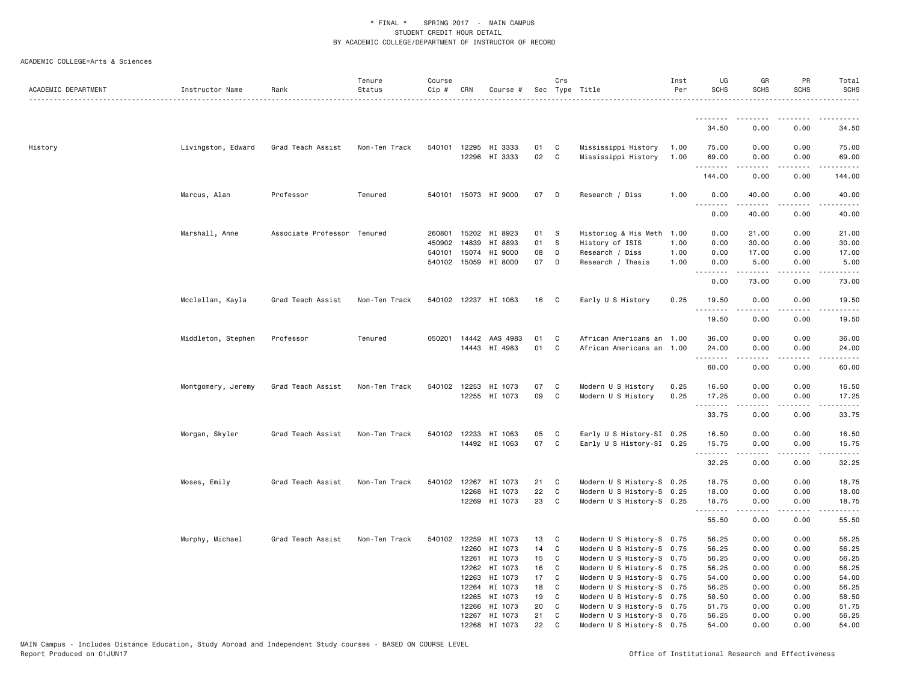| ACADEMIC DEPARTMENT | Instructor Name    | Rank                        | Tenure<br>Status | Course<br>Cip # | CRN          | Course #              |    | Crs          | Sec Type Title            | Inst<br>Per | UG<br><b>SCHS</b>              | GR<br>SCHS                                                                                                                                                   | PR<br><b>SCHS</b>                   | Total<br><b>SCHS</b><br>. |
|---------------------|--------------------|-----------------------------|------------------|-----------------|--------------|-----------------------|----|--------------|---------------------------|-------------|--------------------------------|--------------------------------------------------------------------------------------------------------------------------------------------------------------|-------------------------------------|---------------------------|
|                     |                    |                             |                  |                 |              |                       |    |              |                           |             | <u>.</u>                       | $- - - - -$                                                                                                                                                  | $- - - -$                           |                           |
|                     |                    |                             |                  |                 |              |                       |    |              |                           |             | 34.50                          | 0.00                                                                                                                                                         | 0.00                                | 34.50                     |
| History             | Livingston, Edward | Grad Teach Assist           | Non-Ten Track    |                 |              | 540101 12295 HI 3333  | 01 | C            | Mississippi History       | 1.00        | 75.00                          | 0.00                                                                                                                                                         | 0.00                                | 75.00                     |
|                     |                    |                             |                  |                 |              | 12296 HI 3333         | 02 | C            | Mississippi History       | 1.00        | 69.00<br>.                     | 0.00<br>.                                                                                                                                                    | 0.00<br>.                           | 69.00<br>.                |
|                     |                    |                             |                  |                 |              |                       |    |              |                           |             | 144.00                         | 0.00                                                                                                                                                         | 0.00                                | 144.00                    |
|                     | Marcus, Alan       | Professor                   | Tenured          |                 |              | 540101 15073 HI 9000  | 07 | D            | Research / Diss           | 1.00        | 0.00<br><b></b>                | 40.00<br>. <u>.</u>                                                                                                                                          | 0.00<br>.                           | 40.00<br>.                |
|                     |                    |                             |                  |                 |              |                       |    |              |                           |             | 0.00                           | 40.00                                                                                                                                                        | 0.00                                | 40.00                     |
|                     | Marshall, Anne     | Associate Professor Tenured |                  |                 |              | 260801 15202 HI 8923  | 01 | - S          | Historiog & His Meth      | 1.00        | 0.00                           | 21.00                                                                                                                                                        | 0.00                                | 21.00                     |
|                     |                    |                             |                  | 450902          | 14839        | HI 8893               | 01 | s            | History of ISIS           | 1.00        | 0.00                           | 30.00                                                                                                                                                        | 0.00                                | 30.00                     |
|                     |                    |                             |                  | 540101          | 15074        | HI 9000               | 08 | D            | Research / Diss           | 1.00        | 0.00                           | 17.00                                                                                                                                                        | 0.00                                | 17.00                     |
|                     |                    |                             |                  |                 |              | 540102 15059 HI 8000  | 07 | D            | Research / Thesis         | 1.00        | 0.00<br>$\omega$ is a $\omega$ | 5.00<br>$\frac{1}{2} \left( \frac{1}{2} \right) \left( \frac{1}{2} \right) \left( \frac{1}{2} \right) \left( \frac{1}{2} \right) \left( \frac{1}{2} \right)$ | 0.00<br>$\sim$ $\sim$ $\sim$ $\sim$ | 5.00<br>المتمامين         |
|                     |                    |                             |                  |                 |              |                       |    |              |                           |             | 0.00                           | 73.00                                                                                                                                                        | 0.00                                | 73.00                     |
|                     | Mcclellan, Kayla   | Grad Teach Assist           | Non-Ten Track    |                 |              | 540102 12237 HI 1063  | 16 | C            | Early U S History         | 0.25        | 19.50<br>.                     | 0.00<br>.                                                                                                                                                    | 0.00<br>.                           | 19.50<br>.                |
|                     |                    |                             |                  |                 |              |                       |    |              |                           |             | 19.50                          | 0.00                                                                                                                                                         | 0.00                                | 19.50                     |
|                     | Middleton, Stephen | Professor                   | Tenured          |                 |              | 050201 14442 AAS 4983 | 01 | C            | African Americans an 1.00 |             | 36.00                          | 0.00                                                                                                                                                         | 0.00                                | 36.00                     |
|                     |                    |                             |                  |                 |              | 14443 HI 4983         | 01 | C            | African Americans an 1.00 |             | 24.00<br>.                     | 0.00                                                                                                                                                         | 0.00<br>.                           | 24.00<br>.                |
|                     |                    |                             |                  |                 |              |                       |    |              |                           |             | 60.00                          | 0.00                                                                                                                                                         | 0.00                                | 60.00                     |
|                     | Montgomery, Jeremy | Grad Teach Assist           | Non-Ten Track    |                 | 540102 12253 | HI 1073               | 07 | C            | Modern U S History        | 0.25        | 16.50                          | 0.00                                                                                                                                                         | 0.00                                | 16.50                     |
|                     |                    |                             |                  |                 |              | 12255 HI 1073         | 09 | C            | Modern U S History        | 0.25        | 17.25                          | 0.00                                                                                                                                                         | 0.00                                | 17.25                     |
|                     |                    |                             |                  |                 |              |                       |    |              |                           |             | .                              | .                                                                                                                                                            | .                                   | .                         |
|                     |                    |                             |                  |                 |              |                       |    |              |                           |             | 33.75                          | 0.00                                                                                                                                                         | 0.00                                | 33.75                     |
|                     | Morgan, Skyler     | Grad Teach Assist           | Non-Ten Track    |                 |              | 540102 12233 HI 1063  | 05 | C            | Early U S History-SI 0.25 |             | 16.50                          | 0.00                                                                                                                                                         | 0.00                                | 16.50                     |
|                     |                    |                             |                  |                 |              | 14492 HI 1063         | 07 | C            | Early U S History-SI 0.25 |             | 15.75                          | 0.00                                                                                                                                                         | 0.00                                | 15.75                     |
|                     |                    |                             |                  |                 |              |                       |    |              |                           |             | <u>.</u><br>32.25              | 0.00                                                                                                                                                         | 0.00                                | 32.25                     |
|                     | Moses, Emily       | Grad Teach Assist           | Non-Ten Track    |                 | 540102 12267 | HI 1073               | 21 | C            | Modern U S History-S 0.25 |             | 18.75                          | 0.00                                                                                                                                                         | 0.00                                | 18.75                     |
|                     |                    |                             |                  |                 | 12268        | HI 1073               | 22 | $\mathbb{C}$ | Modern U S History-S 0.25 |             | 18.00                          | 0.00                                                                                                                                                         | 0.00                                | 18.00                     |
|                     |                    |                             |                  |                 | 12269        | HI 1073               | 23 | C            | Modern U S History-S 0.25 |             | 18.75                          | 0.00                                                                                                                                                         | 0.00                                | 18.75                     |
|                     |                    |                             |                  |                 |              |                       |    |              |                           |             | .<br>55.50                     | .<br>0.00                                                                                                                                                    | .<br>0.00                           | .<br>55.50                |
|                     | Murphy, Michael    | Grad Teach Assist           | Non-Ten Track    | 540102          | 12259        | HI 1073               | 13 | C            | Modern U S History-S 0.75 |             | 56.25                          | 0.00                                                                                                                                                         | 0.00                                | 56.25                     |
|                     |                    |                             |                  |                 | 12260        | HI 1073               | 14 | C            | Modern U S History-S 0.75 |             | 56.25                          | 0.00                                                                                                                                                         | 0.00                                | 56.25                     |
|                     |                    |                             |                  |                 | 12261        | HI 1073               | 15 | C            | Modern U S History-S 0.75 |             | 56.25                          | 0.00                                                                                                                                                         | 0.00                                | 56.25                     |
|                     |                    |                             |                  |                 | 12262        | HI 1073               | 16 | C            | Modern U S History-S 0.75 |             | 56.25                          | 0.00                                                                                                                                                         | 0.00                                | 56.25                     |
|                     |                    |                             |                  |                 | 12263        | HI 1073               | 17 | C            | Modern U S History-S 0.75 |             | 54.00                          | 0.00                                                                                                                                                         | 0.00                                | 54.00                     |
|                     |                    |                             |                  |                 | 12264        | HI 1073               | 18 | C            | Modern U S History-S 0.75 |             | 56.25                          | 0.00                                                                                                                                                         | 0.00                                | 56.25                     |
|                     |                    |                             |                  |                 | 12265        | HI 1073               | 19 | C            | Modern U S History-S 0.75 |             | 58.50                          | 0.00                                                                                                                                                         | 0.00                                | 58.50                     |
|                     |                    |                             |                  |                 | 12266        | HI 1073               | 20 | C            | Modern U S History-S 0.75 |             | 51.75                          | 0.00                                                                                                                                                         | 0.00                                | 51.75                     |
|                     |                    |                             |                  |                 |              | 12267 HI 1073         | 21 | C            | Modern U S History-S 0.75 |             | 56.25                          | 0.00                                                                                                                                                         | 0.00                                | 56.25                     |
|                     |                    |                             |                  |                 |              | 12268 HI 1073         | 22 | C            | Modern U S History-S 0.75 |             | 54.00                          | 0.00                                                                                                                                                         | 0.00                                | 54.00                     |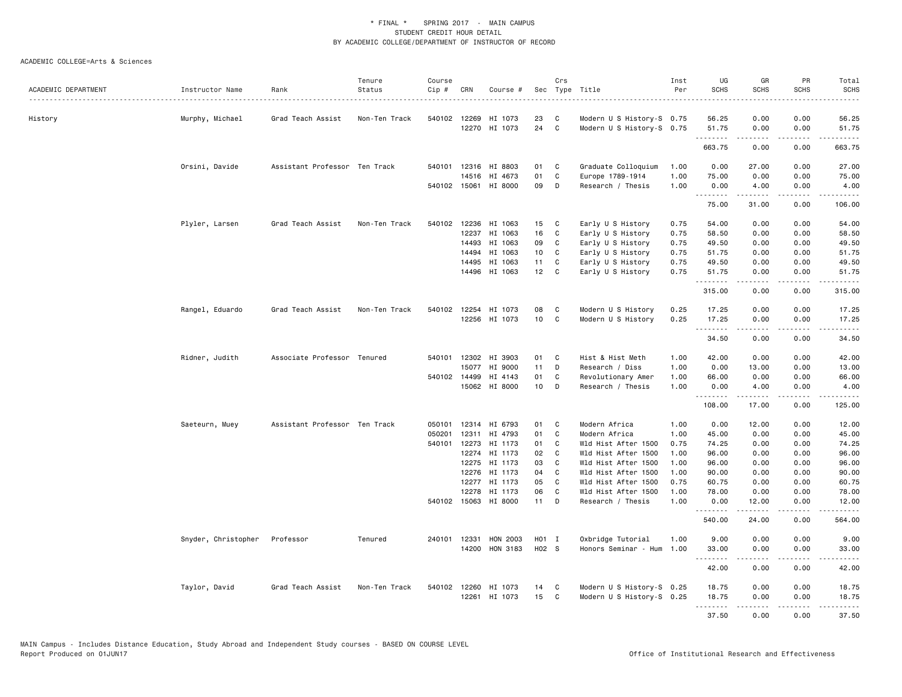|                     |                     |                               | Tenure        | Course |              |                                       |                | Crs          |                                           | Inst         | UG            | GR                                                                                                                                                           | PR                | Total                                                                                                                                                                                     |
|---------------------|---------------------|-------------------------------|---------------|--------|--------------|---------------------------------------|----------------|--------------|-------------------------------------------|--------------|---------------|--------------------------------------------------------------------------------------------------------------------------------------------------------------|-------------------|-------------------------------------------------------------------------------------------------------------------------------------------------------------------------------------------|
| ACADEMIC DEPARTMENT | Instructor Name     | Rank                          | Status        | Cip #  | CRN          | Course #                              | Sec            |              | Type Title                                | Per          | <b>SCHS</b>   | <b>SCHS</b>                                                                                                                                                  | <b>SCHS</b>       | SCHS                                                                                                                                                                                      |
| History             |                     | Grad Teach Assist             | Non-Ten Track |        |              | 540102 12269 HI 1073                  | 23             | C            | Modern U S History-S 0.75                 |              | 56.25         | 0.00                                                                                                                                                         | 0.00              | 56.25                                                                                                                                                                                     |
|                     | Murphy, Michael     |                               |               |        |              | 12270 HI 1073                         | 24             | C            | Modern U S History-S 0.75                 |              | 51.75         | 0.00                                                                                                                                                         | 0.00              | 51.75                                                                                                                                                                                     |
|                     |                     |                               |               |        |              |                                       |                |              |                                           |              | .<br>663.75   | .<br>0.00                                                                                                                                                    | $- - - -$<br>0.00 | .<br>663.75                                                                                                                                                                               |
|                     | Orsini, Davide      | Assistant Professor Ten Track |               | 540101 |              | 12316 HI 8803                         | 01             | C            | Graduate Colloquium                       | 1.00         | 0.00          | 27.00                                                                                                                                                        | 0.00              | 27.00                                                                                                                                                                                     |
|                     |                     |                               |               |        | 14516        | HI 4673                               | 01             | C            | Europe 1789-1914                          | 1.00         | 75.00         | 0.00                                                                                                                                                         | 0.00              | 75.00                                                                                                                                                                                     |
|                     |                     |                               |               |        |              | 540102 15061 HI 8000                  | 09             | D            | Research / Thesis                         | 1.00         | 0.00          | 4.00                                                                                                                                                         | 0.00              | 4.00                                                                                                                                                                                      |
|                     |                     |                               |               |        |              |                                       |                |              |                                           |              | .<br>75.00    | .<br>31.00                                                                                                                                                   | .<br>0.00         | $\frac{1}{2} \left( \frac{1}{2} \right) \left( \frac{1}{2} \right) \left( \frac{1}{2} \right) \left( \frac{1}{2} \right) \left( \frac{1}{2} \right) \left( \frac{1}{2} \right)$<br>106.00 |
|                     | Plyler, Larsen      | Grad Teach Assist             | Non-Ten Track |        |              | 540102 12236 HI 1063                  | 15             | C            | Early U S History                         | 0.75         | 54.00         | 0.00                                                                                                                                                         | 0.00              | 54.00                                                                                                                                                                                     |
|                     |                     |                               |               |        | 12237        | HI 1063                               | 16             | C            | Early U S History                         | 0.75         | 58.50         | 0.00                                                                                                                                                         | 0.00              | 58.50                                                                                                                                                                                     |
|                     |                     |                               |               |        |              | 14493 HI 1063                         | 09             | C            | Early U S History                         | 0.75         | 49.50         | 0.00                                                                                                                                                         | 0.00              | 49.50                                                                                                                                                                                     |
|                     |                     |                               |               |        | 14494        | HI 1063                               | 10             | C            | Early U S History                         | 0.75         | 51.75         | 0.00                                                                                                                                                         | 0.00              | 51.75                                                                                                                                                                                     |
|                     |                     |                               |               |        | 14495        | HI 1063                               | 11             | C            | Early U S History                         | 0.75         | 49.50         | 0.00                                                                                                                                                         | 0.00              | 49.50                                                                                                                                                                                     |
|                     |                     |                               |               |        |              | 14496 HI 1063                         | 12             | C.           | Early U S History                         | 0.75         | 51.75<br>.    | 0.00<br>.                                                                                                                                                    | 0.00<br>.         | 51.75                                                                                                                                                                                     |
|                     |                     |                               |               |        |              |                                       |                |              |                                           |              | 315.00        | 0.00                                                                                                                                                         | 0.00              | 315.00                                                                                                                                                                                    |
|                     | Rangel, Eduardo     | Grad Teach Assist             | Non-Ten Track |        |              | 540102 12254 HI 1073                  | 08             | C            | Modern U S History                        | 0.25         | 17.25         | 0.00                                                                                                                                                         | 0.00              | 17.25                                                                                                                                                                                     |
|                     |                     |                               |               |        |              | 12256 HI 1073                         | 10             | C            | Modern U S History                        | 0.25         | 17.25         | 0.00                                                                                                                                                         | 0.00              | 17.25                                                                                                                                                                                     |
|                     |                     |                               |               |        |              |                                       |                |              |                                           |              | .<br>34.50    | $- - - - -$<br>0.00                                                                                                                                          | .<br>0.00         | .<br>34.50                                                                                                                                                                                |
|                     | Ridner, Judith      | Associate Professor Tenured   |               | 540101 |              | 12302 HI 3903                         | 01             | C            | Hist & Hist Meth                          | 1.00         | 42.00         | 0.00                                                                                                                                                         | 0.00              | 42.00                                                                                                                                                                                     |
|                     |                     |                               |               |        | 15077        | HI 9000                               | 11             | D            | Research / Diss                           | 1.00         | 0.00          | 13.00                                                                                                                                                        | 0.00              | 13.00                                                                                                                                                                                     |
|                     |                     |                               |               |        | 540102 14499 | HI 4143                               | 01             | C            | Revolutionary Amer                        | 1.00         | 66.00         | 0.00                                                                                                                                                         | 0.00              | 66.00                                                                                                                                                                                     |
|                     |                     |                               |               |        |              | 15062 HI 8000                         | 10             | D            | Research / Thesis                         | 1.00         | 0.00<br>.     | 4.00<br>.                                                                                                                                                    | 0.00<br>.         | 4.00<br>.                                                                                                                                                                                 |
|                     |                     |                               |               |        |              |                                       |                |              |                                           |              | 108.00        | 17.00                                                                                                                                                        | 0.00              | 125.00                                                                                                                                                                                    |
|                     | Saeteurn, Muey      | Assistant Professor Ten Track |               | 050101 |              | 12314 HI 6793                         | 01             | C            | Modern Africa                             | 1.00         | 0.00          | 12.00                                                                                                                                                        | 0.00              | 12.00                                                                                                                                                                                     |
|                     |                     |                               |               | 050201 | 12311        | HI 4793                               | 01             | C            | Modern Africa                             | 1.00         | 45.00         | 0.00                                                                                                                                                         | 0.00              | 45.00                                                                                                                                                                                     |
|                     |                     |                               |               | 540101 |              | 12273 HI 1173                         | 01             | C            | Wld Hist After 1500                       | 0.75         | 74.25         | 0.00                                                                                                                                                         | 0.00              | 74.25                                                                                                                                                                                     |
|                     |                     |                               |               |        | 12274        | HI 1173                               | 02             | C            | Wld Hist After 1500                       | 1.00         | 96.00         | 0.00                                                                                                                                                         | 0.00              | 96.00                                                                                                                                                                                     |
|                     |                     |                               |               |        |              | 12275 HI 1173                         | 03             | C            | Wld Hist After 1500                       | 1.00         | 96.00         | 0.00                                                                                                                                                         | 0.00              | 96.00                                                                                                                                                                                     |
|                     |                     |                               |               |        |              | 12276 HI 1173                         | 04             | C.           | Wld Hist After 1500                       | 1.00         | 90.00         | 0.00                                                                                                                                                         | 0.00              | 90.00                                                                                                                                                                                     |
|                     |                     |                               |               |        |              | 12277 HI 1173                         | 05             | C            | Wld Hist After 1500                       | 0.75         | 60.75         | 0.00                                                                                                                                                         | 0.00              | 60.75                                                                                                                                                                                     |
|                     |                     |                               |               |        |              | 12278 HI 1173<br>540102 15063 HI 8000 | 06<br>11       | C<br>D       | Wld Hist After 1500<br>Research / Thesis  | 1.00<br>1.00 | 78.00<br>0.00 | 0.00<br>12.00                                                                                                                                                | 0.00<br>0.00      | 78.00<br>12.00                                                                                                                                                                            |
|                     |                     |                               |               |        |              |                                       |                |              |                                           |              | 540.00        | 24.00                                                                                                                                                        | 0.00              | 564.00                                                                                                                                                                                    |
|                     |                     |                               |               |        |              |                                       |                |              |                                           |              |               |                                                                                                                                                              |                   |                                                                                                                                                                                           |
|                     | Snyder, Christopher | Professor                     | Tenured       | 240101 | 12331        | HON 2003<br>14200 HON 3183            | HO1 I<br>H02 S |              | Oxbridge Tutorial<br>Honors Seminar - Hum | 1.00<br>1.00 | 9.00<br>33.00 | 0.00<br>0.00                                                                                                                                                 | 0.00<br>0.00      | 9.00<br>33.00                                                                                                                                                                             |
|                     |                     |                               |               |        |              |                                       |                |              |                                           |              | <u>.</u>      | .                                                                                                                                                            | .                 | .                                                                                                                                                                                         |
|                     |                     |                               |               |        |              |                                       |                |              |                                           |              | 42.00         | 0.00                                                                                                                                                         | 0.00              | 42.00                                                                                                                                                                                     |
|                     | Taylor, David       | Grad Teach Assist             | Non-Ten Track |        |              | 540102 12260 HI 1073                  | 14             | C            | Modern U S History-S 0.25                 |              | 18.75         | 0.00                                                                                                                                                         | 0.00              | 18.75                                                                                                                                                                                     |
|                     |                     |                               |               |        |              | 12261 HI 1073                         | 15             | $\mathbf{C}$ | Modern U S History-S 0.25                 |              | 18.75<br>.    | 0.00<br>$\frac{1}{2} \left( \frac{1}{2} \right) \left( \frac{1}{2} \right) \left( \frac{1}{2} \right) \left( \frac{1}{2} \right) \left( \frac{1}{2} \right)$ | 0.00<br>.         | 18.75<br>.                                                                                                                                                                                |
|                     |                     |                               |               |        |              |                                       |                |              |                                           |              | 37.50         | 0.00                                                                                                                                                         | 0.00              | 37.50                                                                                                                                                                                     |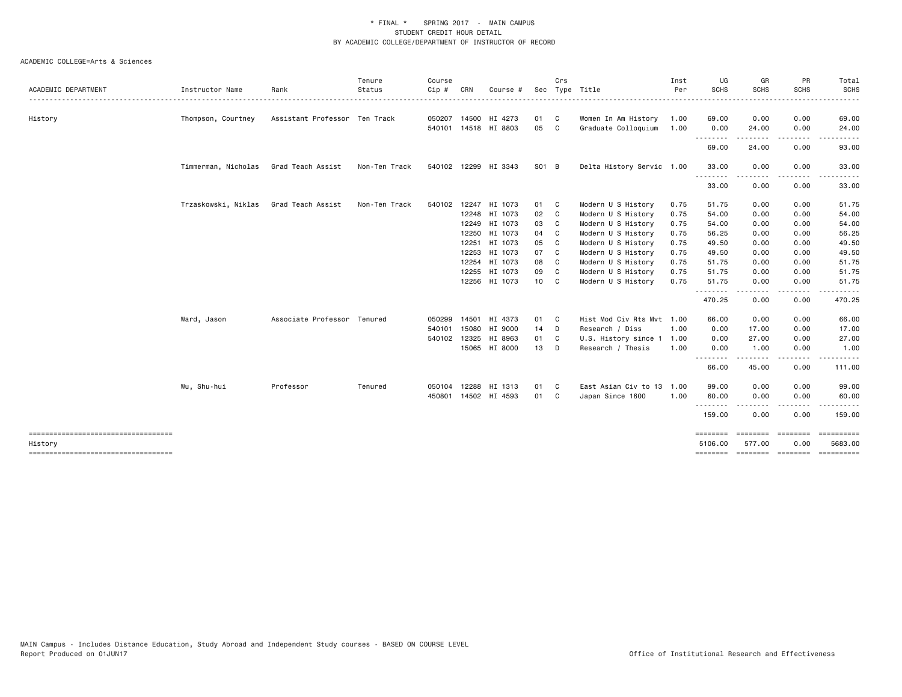|                                                   |                     |                               | Tenure        | Course |       |                      |       | Crs                        |                           | Inst | UG                  | GR          | PR          | Total                                  |
|---------------------------------------------------|---------------------|-------------------------------|---------------|--------|-------|----------------------|-------|----------------------------|---------------------------|------|---------------------|-------------|-------------|----------------------------------------|
| <b>ACADEMIC DEPARTMENT</b><br>.                   | Instructor Name     | Rank                          | Status        | Cip #  | CRN   | Course #             |       |                            | Sec Type Title<br>.       | Per  | <b>SCHS</b>         | <b>SCHS</b> | <b>SCHS</b> | <b>SCHS</b>                            |
| History                                           | Thompson, Courtney  | Assistant Professor Ten Track |               |        |       | 050207 14500 HI 4273 | 01    | $\overline{\phantom{a}}$ C | Women In Am History       | 1.00 | 69.00               | 0.00        | 0.00        | 69.00                                  |
|                                                   |                     |                               |               |        |       | 540101 14518 HI 8803 | 05    | $\overline{\phantom{a}}$ C | Graduate Colloquium       | 1.00 | 0.00                | 24.00       | 0.00        | 24.00                                  |
|                                                   |                     |                               |               |        |       |                      |       |                            |                           |      | .<br>69.00          | .<br>24.00  | .<br>0.00   | .<br>93.00                             |
|                                                   | Timmerman, Nicholas | Grad Teach Assist             | Non-Ten Track |        |       | 540102 12299 HI 3343 | S01 B |                            | Delta History Servic 1.00 |      | 33.00               | 0.00        | 0.00        | 33.00                                  |
|                                                   |                     |                               |               |        |       |                      |       |                            |                           |      | <u>.</u><br>33.00   | 0.00        | 0.00        | 33.00                                  |
|                                                   |                     |                               |               |        |       |                      |       |                            |                           |      |                     |             |             |                                        |
|                                                   | Trzaskowski, Niklas | Grad Teach Assist             | Non-Ten Track | 540102 | 12247 | HI 1073              | 01 C  |                            | Modern U S History        | 0.75 | 51.75               | 0.00        | 0.00        | 51.75                                  |
|                                                   |                     |                               |               |        |       | 12248 HI 1073        | 02 C  |                            | Modern U S History        | 0.75 | 54.00               | 0.00        | 0.00        | 54.00                                  |
|                                                   |                     |                               |               |        |       | 12249 HI 1073        | 03    | $\mathbf{C}$               | Modern U S History        | 0.75 | 54.00               | 0.00        | 0.00        | 54.00                                  |
|                                                   |                     |                               |               |        | 12250 | HI 1073              | 04    | - C                        | Modern U S History        | 0.75 | 56.25               | 0.00        | 0.00        | 56.25                                  |
|                                                   |                     |                               |               |        |       | 12251 HI 1073        | 05    | $\mathbf{C}$               | Modern U S History        | 0.75 | 49.50               | 0.00        | 0.00        | 49.50                                  |
|                                                   |                     |                               |               |        |       | 12253 HI 1073        | 07    | $\mathbf{C}$               | Modern U S History        | 0.75 | 49.50               | 0.00        | 0.00        | 49.50                                  |
|                                                   |                     |                               |               |        | 12254 | HI 1073              | 08    | C                          | Modern U S History        | 0.75 | 51.75               | 0.00        | 0.00        | 51.75                                  |
|                                                   |                     |                               |               |        |       | 12255 HI 1073        | 09 C  |                            | Modern U S History        | 0.75 | 51.75               | 0.00        | 0.00        | 51.75                                  |
|                                                   |                     |                               |               |        |       | 12256 HI 1073        | 10 C  |                            | Modern U S History        | 0.75 | 51.75<br>.          | 0.00        | 0.00        | 51.75                                  |
|                                                   |                     |                               |               |        |       |                      |       |                            |                           |      | 470.25              | 0.00        | 0.00        | 470.25                                 |
|                                                   | Ward, Jason         | Associate Professor Tenured   |               | 050299 |       | 14501 HI 4373        | 01 C  |                            | Hist Mod Civ Rts Mvt 1.00 |      | 66.00               | 0.00        | 0.00        | 66.00                                  |
|                                                   |                     |                               |               | 540101 |       | 15080 HI 9000        | 14 D  |                            | Research / Diss           | 1.00 | 0.00                | 17.00       | 0.00        | 17.00                                  |
|                                                   |                     |                               |               |        |       | 540102 12325 HI 8963 | 01 C  |                            | U.S. History since 1      | 1.00 | 0.00                | 27.00       | 0.00        | 27.00                                  |
|                                                   |                     |                               |               |        |       | 15065 HI 8000        | 13 D  |                            | Research / Thesis         | 1.00 | 0.00                | 1.00        | 0.00        | 1.00                                   |
|                                                   |                     |                               |               |        |       |                      |       |                            |                           |      | .<br>66.00          | 45.00       | 0.00        | 111.00                                 |
|                                                   | Wu, Shu-hui         | Professor                     | Tenured       | 050104 | 12288 | HI 1313              | 01    | $\mathbf{C}$               | East Asian Civ to 13 1.00 |      | 99.00               | 0.00        | 0.00        | 99.00                                  |
|                                                   |                     |                               |               | 450801 |       | 14502 HI 4593        | 01 C  |                            | Japan Since 1600          | 1.00 | 60.00               | 0.00        | 0.00        | 60.00                                  |
|                                                   |                     |                               |               |        |       |                      |       |                            |                           |      | .<br>159.00         | 0.00        | 0.00        | 159.00                                 |
| ======================================            |                     |                               |               |        |       |                      |       |                            |                           |      | ========            |             |             | ========= ========= ==========         |
| History<br>====================================== |                     |                               |               |        |       |                      |       |                            |                           |      | 5106.00<br>======== | 577.00      | 0.00        | 5683.00<br>screenes concerts concerted |
|                                                   |                     |                               |               |        |       |                      |       |                            |                           |      |                     |             |             |                                        |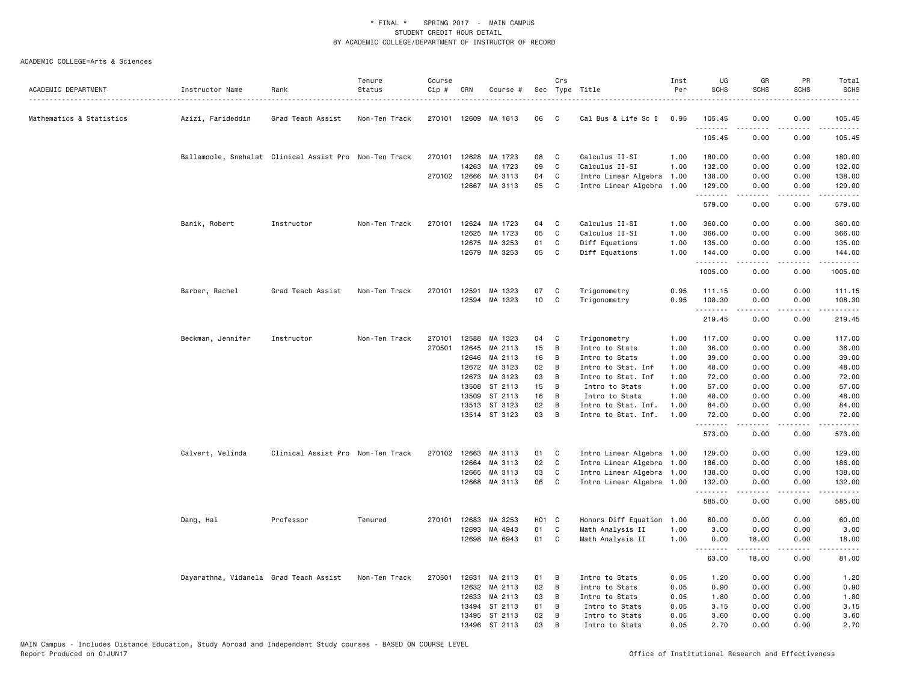|                          |                                                        |                                   | Tenure        | Course |              |                      |                 | Crs          |                           | Inst | UG          | GR                                                                                                                                                           | PR                           | Total                                                                                      |
|--------------------------|--------------------------------------------------------|-----------------------------------|---------------|--------|--------------|----------------------|-----------------|--------------|---------------------------|------|-------------|--------------------------------------------------------------------------------------------------------------------------------------------------------------|------------------------------|--------------------------------------------------------------------------------------------|
| ACADEMIC DEPARTMENT      | Instructor Name                                        | Rank                              | Status<br>.   | Cip #  | CRN          | Course #             |                 |              | Sec Type Title            | Per  | <b>SCHS</b> | <b>SCHS</b>                                                                                                                                                  | <b>SCHS</b>                  | <b>SCHS</b>                                                                                |
| Mathematics & Statistics | Azizi, Farideddin                                      | Grad Teach Assist                 | Non-Ten Track |        |              | 270101 12609 MA 1613 | 06              | $\mathbf{C}$ | Cal Bus & Life Sc I       | 0.95 | 105.45      | 0.00                                                                                                                                                         | 0.00<br>$\sim$ $\sim$ $\sim$ | 105.45                                                                                     |
|                          |                                                        |                                   |               |        |              |                      |                 |              |                           |      | 105.45      | 0.00                                                                                                                                                         | 0.00                         | 105.45                                                                                     |
|                          | Ballamoole, Snehalat Clinical Assist Pro Non-Ten Track |                                   |               | 270101 | 12628        | MA 1723              | 08              | C            | Calculus II-SI            | 1.00 | 180.00      | 0.00                                                                                                                                                         | 0.00                         | 180.00                                                                                     |
|                          |                                                        |                                   |               |        | 14263        | MA 1723              | 09              | C            | Calculus II-SI            | 1.00 | 132.00      | 0.00                                                                                                                                                         | 0.00                         | 132.00                                                                                     |
|                          |                                                        |                                   |               |        | 270102 12666 | MA 3113              | 04              | C            | Intro Linear Algebra 1.00 |      | 138.00      | 0.00                                                                                                                                                         | 0.00                         | 138.00                                                                                     |
|                          |                                                        |                                   |               |        | 12667        | MA 3113              | 05              | $\mathbf{C}$ | Intro Linear Algebra 1.00 |      | 129.00<br>. | 0.00<br>-----                                                                                                                                                | 0.00<br>.                    | 129.00<br>.                                                                                |
|                          |                                                        |                                   |               |        |              |                      |                 |              |                           |      | 579.00      | 0.00                                                                                                                                                         | 0.00                         | 579.00                                                                                     |
|                          | Banik, Robert                                          | Instructor                        | Non-Ten Track | 270101 | 12624        | MA 1723              | 04              | C            | Calculus II-SI            | 1.00 | 360.00      | 0.00                                                                                                                                                         | 0.00                         | 360.00                                                                                     |
|                          |                                                        |                                   |               |        | 12625        | MA 1723              | 05              | C            | Calculus II-SI            | 1.00 | 366.00      | 0.00                                                                                                                                                         | 0.00                         | 366.00                                                                                     |
|                          |                                                        |                                   |               |        | 12675        | MA 3253              | 01              | C            | Diff Equations            | 1.00 | 135.00      | 0.00                                                                                                                                                         | 0.00                         | 135.00                                                                                     |
|                          |                                                        |                                   |               |        |              | 12679 MA 3253        | 05              | C            | Diff Equations            | 1.00 | 144.00<br>. | 0.00                                                                                                                                                         | 0.00                         | 144.00<br>$\mathbf{1} \cdot \mathbf{1} \cdot \mathbf{1} \cdot \mathbf{1} \cdot \mathbf{1}$ |
|                          |                                                        |                                   |               |        |              |                      |                 |              |                           |      | 1005.00     | 0.00                                                                                                                                                         | 0.00                         | 1005.00                                                                                    |
|                          | Barber, Rachel                                         | Grad Teach Assist                 | Non-Ten Track |        | 270101 12591 | MA 1323              | 07              | C            | Trigonometry              | 0.95 | 111.15      | 0.00                                                                                                                                                         | 0.00                         | 111.15                                                                                     |
|                          |                                                        |                                   |               |        |              | 12594 MA 1323        | 10 <sub>1</sub> | C            | Trigonometry              | 0.95 | 108.30      | 0.00                                                                                                                                                         | 0.00                         | 108.30                                                                                     |
|                          |                                                        |                                   |               |        |              |                      |                 |              |                           |      | .           | <u>.</u>                                                                                                                                                     | .                            | .                                                                                          |
|                          |                                                        |                                   |               |        |              |                      |                 |              |                           |      | 219.45      | 0.00                                                                                                                                                         | 0.00                         | 219.45                                                                                     |
|                          | Beckman, Jennifer                                      | Instructor                        | Non-Ten Track | 270101 | 12588        | MA 1323              | 04              | C            | Trigonometry              | 1.00 | 117.00      | 0.00                                                                                                                                                         | 0.00                         | 117.00                                                                                     |
|                          |                                                        |                                   |               | 270501 | 12645        | MA 2113              | 15              | B            | Intro to Stats            | 1.00 | 36.00       | 0.00                                                                                                                                                         | 0.00                         | 36.00                                                                                      |
|                          |                                                        |                                   |               |        | 12646        | MA 2113              | 16              | В            | Intro to Stats            | 1.00 | 39.00       | 0.00                                                                                                                                                         | 0.00                         | 39.00                                                                                      |
|                          |                                                        |                                   |               |        |              | 12672 MA 3123        | 02              | В            | Intro to Stat. Inf        | 1.00 | 48.00       | 0.00                                                                                                                                                         | 0.00                         | 48.00                                                                                      |
|                          |                                                        |                                   |               |        | 12673        | MA 3123              | 03              | В            | Intro to Stat. Inf        | 1.00 | 72.00       | 0.00                                                                                                                                                         | 0.00                         | 72.00                                                                                      |
|                          |                                                        |                                   |               |        | 13508        | ST 2113              | 15              | B            | Intro to Stats            | 1.00 | 57.00       | 0.00                                                                                                                                                         | 0.00                         | 57.00                                                                                      |
|                          |                                                        |                                   |               |        | 13509        | ST 2113              | 16              | B            | Intro to Stats            | 1.00 | 48.00       | 0.00                                                                                                                                                         | 0.00                         | 48.00                                                                                      |
|                          |                                                        |                                   |               |        | 13513        | ST 3123              | 02<br>03        | В            | Intro to Stat. Inf.       | 1.00 | 84.00       | 0.00                                                                                                                                                         | 0.00                         | 84.00                                                                                      |
|                          |                                                        |                                   |               |        |              | 13514 ST 3123        |                 | B            | Intro to Stat. Inf.       | 1.00 | 72.00<br>.  | 0.00                                                                                                                                                         | 0.00                         | 72.00<br>.                                                                                 |
|                          |                                                        |                                   |               |        |              |                      |                 |              |                           |      | 573.00      | 0.00                                                                                                                                                         | 0.00                         | 573.00                                                                                     |
|                          | Calvert, Velinda                                       | Clinical Assist Pro Non-Ten Track |               |        | 270102 12663 | MA 3113              | 01              | C            | Intro Linear Algebra 1.00 |      | 129.00      | 0.00                                                                                                                                                         | 0.00                         | 129.00                                                                                     |
|                          |                                                        |                                   |               |        | 12664        | MA 3113              | 02              | C            | Intro Linear Algebra 1.00 |      | 186.00      | 0.00                                                                                                                                                         | 0.00                         | 186.00                                                                                     |
|                          |                                                        |                                   |               |        | 12665        | MA 3113              | 03              | C            | Intro Linear Algebra 1.00 |      | 138.00      | 0.00                                                                                                                                                         | 0.00                         | 138.00                                                                                     |
|                          |                                                        |                                   |               |        |              | 12668 MA 3113        | 06              | C            | Intro Linear Algebra 1.00 |      | 132.00      | 0.00                                                                                                                                                         | 0.00                         | 132.00                                                                                     |
|                          |                                                        |                                   |               |        |              |                      |                 |              |                           |      | .<br>585.00 | $\frac{1}{2} \left( \frac{1}{2} \right) \left( \frac{1}{2} \right) \left( \frac{1}{2} \right) \left( \frac{1}{2} \right) \left( \frac{1}{2} \right)$<br>0.00 | .<br>0.00                    | .<br>585.00                                                                                |
|                          | Dang, Hai                                              | Professor                         | Tenured       | 270101 | 12683        | MA 3253              | HO1 C           |              | Honors Diff Equation 1.00 |      | 60.00       | 0.00                                                                                                                                                         | 0.00                         | 60.00                                                                                      |
|                          |                                                        |                                   |               |        | 12693        | MA 4943              | 01              | C            | Math Analysis II          | 1.00 | 3.00        | 0.00                                                                                                                                                         | 0.00                         | 3.00                                                                                       |
|                          |                                                        |                                   |               |        | 12698        | MA 6943              | 01              | C            | Math Analysis II          | 1.00 | 0.00<br>.   | 18.00<br>$\frac{1}{2}$                                                                                                                                       | 0.00<br>.                    | 18.00<br>.                                                                                 |
|                          |                                                        |                                   |               |        |              |                      |                 |              |                           |      | 63.00       | 18.00                                                                                                                                                        | 0.00                         | 81.00                                                                                      |
|                          | Dayarathna, Vidanela Grad Teach Assist                 |                                   | Non-Ten Track | 270501 | 12631        | MA 2113              | 01              | В            | Intro to Stats            | 0.05 | 1.20        | 0.00                                                                                                                                                         | 0.00                         | 1.20                                                                                       |
|                          |                                                        |                                   |               |        | 12632        | MA 2113              | 02              | В            | Intro to Stats            | 0.05 | 0.90        | 0.00                                                                                                                                                         | 0.00                         | 0.90                                                                                       |
|                          |                                                        |                                   |               |        | 12633        | MA 2113              | 03              | В            | Intro to Stats            | 0.05 | 1.80        | 0.00                                                                                                                                                         | 0.00                         | 1.80                                                                                       |
|                          |                                                        |                                   |               |        | 13494        | ST 2113              | 01              | в            | Intro to Stats            | 0.05 | 3.15        | 0.00                                                                                                                                                         | 0.00                         | 3.15                                                                                       |
|                          |                                                        |                                   |               |        |              | 13495 ST 2113        | 02              | В            | Intro to Stats            | 0.05 | 3.60        | 0.00                                                                                                                                                         | 0.00                         | 3.60                                                                                       |
|                          |                                                        |                                   |               |        |              | 13496 ST 2113        | 03              | B            | Intro to Stats            | 0.05 | 2.70        | 0.00                                                                                                                                                         | 0.00                         | 2.70                                                                                       |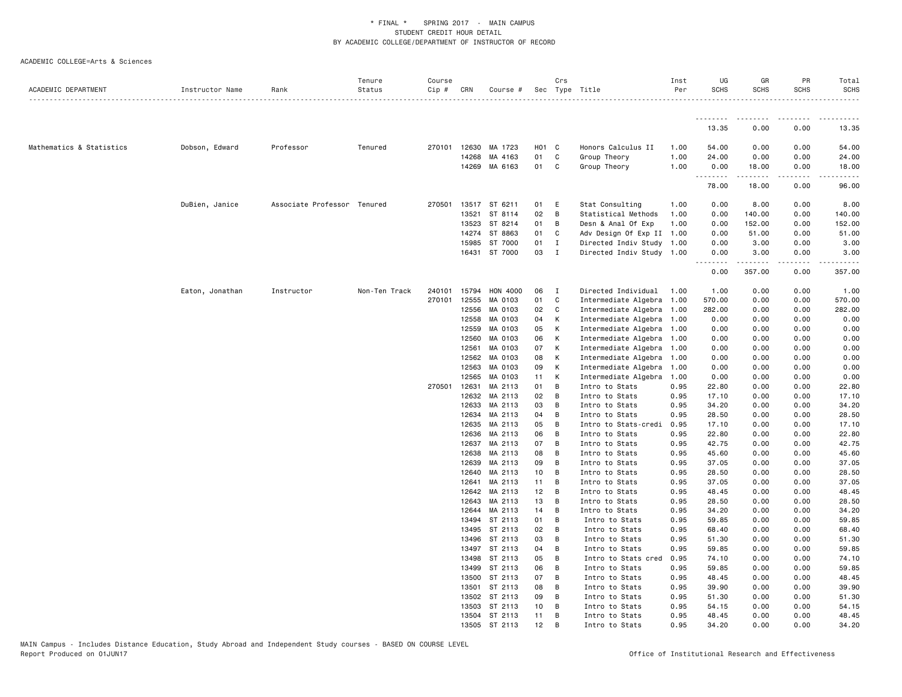| ACADEMIC DEPARTMENT      | Instructor Name | Rank                        | Tenure<br>Status | Course<br>Cip # | CRN          | Course #        |       | Crs            | Sec Type Title            | Inst<br>Per | UG<br><b>SCHS</b> | GR<br><b>SCHS</b> | PR<br><b>SCHS</b> | Total<br><b>SCHS</b>   |
|--------------------------|-----------------|-----------------------------|------------------|-----------------|--------------|-----------------|-------|----------------|---------------------------|-------------|-------------------|-------------------|-------------------|------------------------|
|                          |                 |                             |                  |                 |              |                 |       |                |                           |             |                   |                   |                   | .                      |
|                          |                 |                             |                  |                 |              |                 |       |                |                           |             | <u>.</u><br>13.35 | .<br>0.00         | <u>.</u><br>0.00  | $\frac{1}{2}$<br>13.35 |
| Mathematics & Statistics | Dobson, Edward  | Professor                   | Tenured          | 270101          | 12630        | MA 1723         | H01 C |                | Honors Calculus II        | 1.00        | 54.00             | 0.00              | 0.00              | 54.00                  |
|                          |                 |                             |                  |                 | 14268        | MA 4163         | 01    | C              | Group Theory              | 1.00        | 24.00             | 0.00              | 0.00              | 24.00                  |
|                          |                 |                             |                  |                 |              | 14269 MA 6163   | 01 C  |                | Group Theory              | 1.00        | 0.00              | 18.00             | 0.00              | 18.00                  |
|                          |                 |                             |                  |                 |              |                 |       |                |                           |             | .<br>78.00        | .<br>18.00        | .<br>0.00         | 96.00                  |
|                          | DuBien, Janice  | Associate Professor Tenured |                  |                 | 270501 13517 | ST 6211         | 01    | E              | Stat Consulting           | 1.00        | 0.00              | 8.00              | 0.00              | 8.00                   |
|                          |                 |                             |                  |                 | 13521        | ST 8114         | 02    | B              | Statistical Methods       | 1.00        | 0.00              | 140.00            | 0.00              | 140.00                 |
|                          |                 |                             |                  |                 | 13523        | ST 8214         | 01    | B              | Desn & Anal Of Exp        | 1.00        | 0.00              | 152.00            | 0.00              | 152.00                 |
|                          |                 |                             |                  |                 | 14274        | ST 8863         | 01    | C              | Adv Design Of Exp II 1.00 |             | 0.00              | 51.00             | 0.00              | 51.00                  |
|                          |                 |                             |                  |                 | 15985        | ST 7000         | 01    | $\mathbf{I}$   | Directed Indiv Study 1.00 |             | 0.00              | 3.00              | 0.00              | 3.00                   |
|                          |                 |                             |                  |                 |              | 16431 ST 7000   | 03    | $\mathbf{I}$   | Directed Indiv Study 1.00 |             | 0.00              | 3.00              | 0.00              | 3.00                   |
|                          |                 |                             |                  |                 |              |                 |       |                |                           |             | 0.00              | 357.00            | 0.00              | 357.00                 |
|                          | Eaton, Jonathan | Instructor                  | Non-Ten Track    | 240101          | 15794        | <b>HON 4000</b> | 06    | $\mathbf{I}$   | Directed Individual       | 1.00        | 1.00              | 0.00              | 0.00              | 1.00                   |
|                          |                 |                             |                  |                 | 270101 12555 | MA 0103         | 01    | C              | Intermediate Algebra 1.00 |             | 570.00            | 0.00              | 0.00              | 570.00                 |
|                          |                 |                             |                  |                 | 12556        | MA 0103         | 02    | C              | Intermediate Algebra 1.00 |             | 282.00            | 0.00              | 0.00              | 282.00                 |
|                          |                 |                             |                  |                 | 12558        | MA 0103         | 04    | K              | Intermediate Algebra 1.00 |             | 0.00              | 0.00              | 0.00              | 0.00                   |
|                          |                 |                             |                  |                 | 12559        | MA 0103         | 05    | к              | Intermediate Algebra 1.00 |             | 0.00              | 0.00              | 0.00              | 0.00                   |
|                          |                 |                             |                  |                 | 12560        | MA 0103         | 06    | K              | Intermediate Algebra 1.00 |             | 0.00              | 0.00              | 0.00              | 0.00                   |
|                          |                 |                             |                  |                 | 12561        | MA 0103         | 07    | К              | Intermediate Algebra 1.00 |             | 0.00              | 0.00              | 0.00              | 0.00                   |
|                          |                 |                             |                  |                 | 12562        | MA 0103         | 08    | К              | Intermediate Algebra 1.00 |             | 0.00              | 0.00              | 0.00              | 0.00                   |
|                          |                 |                             |                  |                 | 12563        | MA 0103         | 09    | K              | Intermediate Algebra 1.00 |             | 0.00              | 0.00              | 0.00              | 0.00                   |
|                          |                 |                             |                  |                 | 12565        | MA 0103         | 11    | K              | Intermediate Algebra      | 1.00        | 0.00              | 0.00              | 0.00              | 0.00                   |
|                          |                 |                             |                  | 270501          | 12631        | MA 2113         | 01    | B              | Intro to Stats            | 0.95        | 22.80             | 0.00              | 0.00              | 22.80                  |
|                          |                 |                             |                  |                 | 12632        | MA 2113         | 02    | $\overline{B}$ | Intro to Stats            | 0.95        | 17.10             | 0.00              | 0.00              | 17.10                  |
|                          |                 |                             |                  |                 | 12633        | MA 2113         | 03    | B              | Intro to Stats            | 0.95        | 34.20             | 0.00              | 0.00              | 34.20                  |
|                          |                 |                             |                  |                 | 12634        | MA 2113         | 04    | B              | Intro to Stats            | 0.95        | 28.50             | 0.00              | 0.00              | 28.50                  |
|                          |                 |                             |                  |                 | 12635        | MA 2113         | 05    | B              | Intro to Stats-credi      | 0.95        | 17.10             | 0.00              | 0.00              | 17.10                  |
|                          |                 |                             |                  |                 | 12636        | MA 2113         | 06    | B              | Intro to Stats            | 0.95        | 22.80             | 0.00              | 0.00              | 22.80                  |
|                          |                 |                             |                  |                 | 12637        | MA 2113         | 07    | B              | Intro to Stats            | 0.95        | 42.75             | 0.00              | 0.00              | 42.75                  |
|                          |                 |                             |                  |                 | 12638        | MA 2113         | 08    | B              | Intro to Stats            | 0.95        | 45.60             | 0.00              | 0.00              | 45.60                  |
|                          |                 |                             |                  |                 | 12639        | MA 2113         | 09    | B              | Intro to Stats            | 0.95        | 37.05             | 0.00              | 0.00              | 37.05                  |
|                          |                 |                             |                  |                 | 12640        | MA 2113         | 10    | $\overline{B}$ | Intro to Stats            | 0.95        | 28.50             | 0.00              | 0.00              | 28.50                  |
|                          |                 |                             |                  |                 | 12641        | MA 2113         | 11    | B              | Intro to Stats            | 0.95        | 37.05             | 0.00              | 0.00              | 37.05                  |
|                          |                 |                             |                  |                 | 12642        | MA 2113         | 12    | B              | Intro to Stats            | 0.95        | 48.45             | 0.00              | 0.00              | 48.45                  |
|                          |                 |                             |                  |                 | 12643        | MA 2113         | 13    | B              | Intro to Stats            | 0.95        | 28.50             | 0.00              | 0.00              | 28.50                  |
|                          |                 |                             |                  |                 | 12644        | MA 2113         | 14    | B              | Intro to Stats            | 0.95        | 34.20             | 0.00              | 0.00              | 34.20                  |
|                          |                 |                             |                  |                 | 13494        | ST 2113         | 01    | B              | Intro to Stats            | 0.95        | 59.85             | 0.00              | 0.00              | 59.85                  |
|                          |                 |                             |                  |                 | 13495        | ST 2113         | 02    | $\overline{B}$ | Intro to Stats            | 0.95        | 68.40             | 0.00              | 0.00              | 68.40                  |
|                          |                 |                             |                  |                 | 13496        | ST 2113         | 03    | B              | Intro to Stats            | 0.95        | 51.30             | 0.00              | 0.00              | 51.30                  |
|                          |                 |                             |                  |                 | 13497        | ST 2113         | 04    | B              | Intro to Stats            | 0.95        | 59.85             | 0.00              | 0.00              | 59.85                  |
|                          |                 |                             |                  |                 | 13498        | ST 2113         | 05    | B              | Intro to Stats cred       | 0.95        | 74.10             | 0.00              | 0.00              | 74.10                  |
|                          |                 |                             |                  |                 | 13499        | ST 2113         | 06    | B              | Intro to Stats            | 0.95        | 59.85             | 0.00              | 0.00              | 59.85                  |
|                          |                 |                             |                  |                 | 13500        | ST 2113         | 07    | B              | Intro to Stats            | 0.95        | 48.45             | 0.00              | 0.00              | 48.45                  |
|                          |                 |                             |                  |                 | 13501        | ST 2113         | 08    | B              | Intro to Stats            | 0.95        | 39.90             | 0.00              | 0.00              | 39.90                  |
|                          |                 |                             |                  |                 | 13502        | ST 2113         | 09    | B              | Intro to Stats            | 0.95        | 51.30             | 0.00              | 0.00              | 51.30                  |
|                          |                 |                             |                  |                 | 13503        | ST 2113         | 10    | B              | Intro to Stats            | 0.95        | 54.15             | 0.00              | 0.00              | 54.15                  |
|                          |                 |                             |                  |                 |              | 13504 ST 2113   | 11    | B              | Intro to Stats            | 0.95        | 48.45             | 0.00              | 0.00              | 48.45                  |
|                          |                 |                             |                  |                 | 13505        | ST 2113         | 12    | B              | Intro to Stats            | 0.95        | 34.20             | 0.00              | 0.00              | 34.20                  |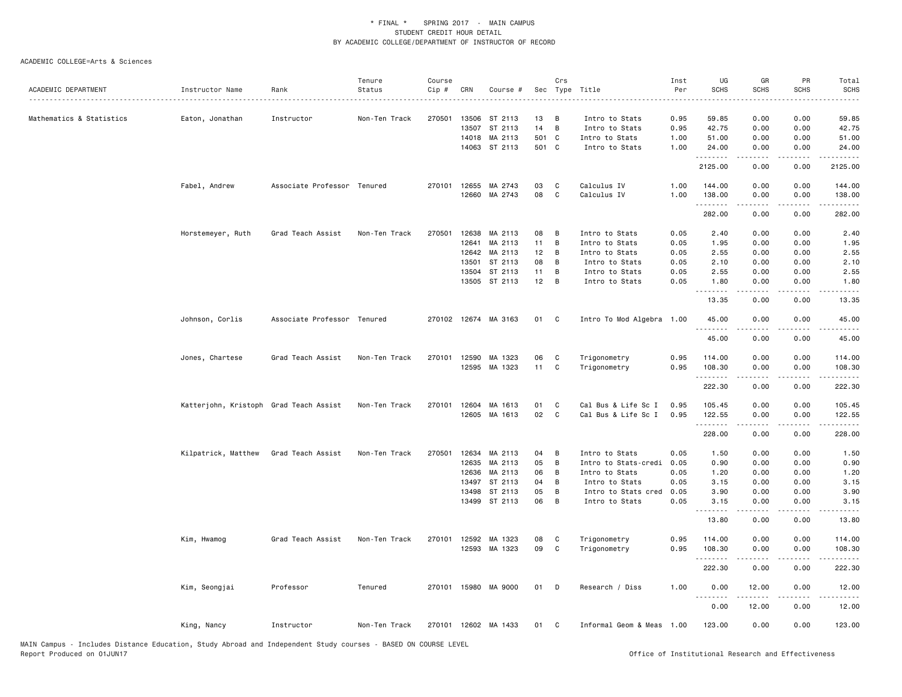|                          |                                        |                             | Tenure        | Course |                |                      |          | Crs              |                                        | Inst         | UG                                                                                                                                                                                                                                                                                                                                                                                                                                                                                     | GR            | PR              | Total                                      |
|--------------------------|----------------------------------------|-----------------------------|---------------|--------|----------------|----------------------|----------|------------------|----------------------------------------|--------------|----------------------------------------------------------------------------------------------------------------------------------------------------------------------------------------------------------------------------------------------------------------------------------------------------------------------------------------------------------------------------------------------------------------------------------------------------------------------------------------|---------------|-----------------|--------------------------------------------|
| ACADEMIC DEPARTMENT      | Instructor Name                        | Rank                        | Status        | Cip #  | CRN            | Course #             |          |                  | Sec Type Title                         | Per          | <b>SCHS</b>                                                                                                                                                                                                                                                                                                                                                                                                                                                                            | <b>SCHS</b>   | <b>SCHS</b>     | SCHS                                       |
|                          |                                        |                             |               |        |                |                      |          |                  |                                        |              |                                                                                                                                                                                                                                                                                                                                                                                                                                                                                        |               |                 | $\frac{1}{2}$                              |
| Mathematics & Statistics | Eaton, Jonathan                        | Instructor                  | Non-Ten Track | 270501 | 13506          | ST 2113              | 13       | В                | Intro to Stats                         | 0.95         | 59.85                                                                                                                                                                                                                                                                                                                                                                                                                                                                                  | 0.00          | 0.00            | 59.85                                      |
|                          |                                        |                             |               |        | 13507          | ST 2113              | 14       | B                | Intro to Stats                         | 0.95         | 42.75                                                                                                                                                                                                                                                                                                                                                                                                                                                                                  | 0.00          | 0.00            | 42.75                                      |
|                          |                                        |                             |               |        | 14018          | MA 2113              | 501      | $\mathbf{C}$     | Intro to Stats                         | 1.00         | 51.00                                                                                                                                                                                                                                                                                                                                                                                                                                                                                  | 0.00          | 0.00            | 51.00                                      |
|                          |                                        |                             |               |        |                | 14063 ST 2113        | 501 C    |                  | Intro to Stats                         | 1.00         | 24.00                                                                                                                                                                                                                                                                                                                                                                                                                                                                                  | 0.00          | 0.00            | 24.00                                      |
|                          |                                        |                             |               |        |                |                      |          |                  |                                        |              | .                                                                                                                                                                                                                                                                                                                                                                                                                                                                                      | .             | د د د د         | .                                          |
|                          |                                        |                             |               |        |                |                      |          |                  |                                        |              | 2125.00                                                                                                                                                                                                                                                                                                                                                                                                                                                                                | 0.00          | 0.00            | 2125.00                                    |
|                          |                                        |                             |               | 270101 | 12655          | MA 2743              | 03       |                  | Calculus IV                            |              | 144.00                                                                                                                                                                                                                                                                                                                                                                                                                                                                                 | 0.00          | 0.00            |                                            |
|                          | Fabel, Andrew                          | Associate Professor Tenured |               |        |                | 12660 MA 2743        | 08       | C<br>$\mathbf c$ | Calculus IV                            | 1.00<br>1.00 | 138.00                                                                                                                                                                                                                                                                                                                                                                                                                                                                                 | 0.00          | 0.00            | 144.00<br>138.00                           |
|                          |                                        |                             |               |        |                |                      |          |                  |                                        |              | .                                                                                                                                                                                                                                                                                                                                                                                                                                                                                      |               | .               | <u>.</u>                                   |
|                          |                                        |                             |               |        |                |                      |          |                  |                                        |              | 282.00                                                                                                                                                                                                                                                                                                                                                                                                                                                                                 | 0.00          | 0.00            | 282.00                                     |
|                          |                                        |                             |               |        |                |                      |          |                  |                                        |              |                                                                                                                                                                                                                                                                                                                                                                                                                                                                                        |               |                 |                                            |
|                          | Horstemeyer, Ruth                      | Grad Teach Assist           | Non-Ten Track | 270501 | 12638          | MA 2113              | 08       | В                | Intro to Stats                         | 0.05         | 2.40                                                                                                                                                                                                                                                                                                                                                                                                                                                                                   | 0.00          | 0.00            | 2.40                                       |
|                          |                                        |                             |               |        | 12641          | MA 2113              | 11       | В                | Intro to Stats                         | 0.05         | 1.95                                                                                                                                                                                                                                                                                                                                                                                                                                                                                   | 0.00          | 0.00            | 1.95                                       |
|                          |                                        |                             |               |        | 12642          | MA 2113              | 12       | В                | Intro to Stats                         | 0.05         | 2.55                                                                                                                                                                                                                                                                                                                                                                                                                                                                                   | 0.00          | 0.00            | 2.55                                       |
|                          |                                        |                             |               |        | 13501          | ST 2113              | 08       | В                | Intro to Stats                         | 0.05         | 2.10                                                                                                                                                                                                                                                                                                                                                                                                                                                                                   | 0.00          | 0.00            | 2.10                                       |
|                          |                                        |                             |               |        | 13504          | ST 2113              | 11       | В                | Intro to Stats                         | 0.05         | 2.55                                                                                                                                                                                                                                                                                                                                                                                                                                                                                   | 0.00          | 0.00            | 2.55                                       |
|                          |                                        |                             |               |        |                | 13505 ST 2113        | 12       | B                | Intro to Stats                         | 0.05         | 1.80<br>--------                                                                                                                                                                                                                                                                                                                                                                                                                                                                       | 0.00<br>.     | 0.00<br>د د د د | 1.80<br>$\sim$ $\sim$ $\sim$ $\sim$ $\sim$ |
|                          |                                        |                             |               |        |                |                      |          |                  |                                        |              | 13.35                                                                                                                                                                                                                                                                                                                                                                                                                                                                                  | 0.00          | 0.00            | 13.35                                      |
|                          |                                        |                             |               |        |                |                      |          |                  |                                        |              |                                                                                                                                                                                                                                                                                                                                                                                                                                                                                        |               |                 |                                            |
|                          | Johnson, Corlis                        | Associate Professor Tenured |               |        |                | 270102 12674 MA 3163 | 01 C     |                  | Intro To Mod Algebra 1.00              |              | 45.00                                                                                                                                                                                                                                                                                                                                                                                                                                                                                  | 0.00          | 0.00            | 45.00                                      |
|                          |                                        |                             |               |        |                |                      |          |                  |                                        |              | $\begin{array}{cccccccccccccc} \multicolumn{2}{c}{} & \multicolumn{2}{c}{} & \multicolumn{2}{c}{} & \multicolumn{2}{c}{} & \multicolumn{2}{c}{} & \multicolumn{2}{c}{} & \multicolumn{2}{c}{} & \multicolumn{2}{c}{} & \multicolumn{2}{c}{} & \multicolumn{2}{c}{} & \multicolumn{2}{c}{} & \multicolumn{2}{c}{} & \multicolumn{2}{c}{} & \multicolumn{2}{c}{} & \multicolumn{2}{c}{} & \multicolumn{2}{c}{} & \multicolumn{2}{c}{} & \multicolumn{2}{c}{} & \multicolumn{2}{c}{} & \$ | -----         | .               | .                                          |
|                          |                                        |                             |               |        |                |                      |          |                  |                                        |              | 45.00                                                                                                                                                                                                                                                                                                                                                                                                                                                                                  | 0.00          | 0.00            | 45.00                                      |
|                          |                                        |                             |               |        |                |                      |          |                  |                                        |              |                                                                                                                                                                                                                                                                                                                                                                                                                                                                                        |               |                 |                                            |
|                          | Jones, Chartese                        | Grad Teach Assist           | Non-Ten Track |        |                | 270101 12590 MA 1323 | 06       | C                | Trigonometry                           | 0.95         | 114.00                                                                                                                                                                                                                                                                                                                                                                                                                                                                                 | 0.00          | 0.00            | 114.00                                     |
|                          |                                        |                             |               |        |                | 12595 MA 1323        | 11       | C                | Trigonometry                           | 0.95         | 108.30<br>.                                                                                                                                                                                                                                                                                                                                                                                                                                                                            | 0.00<br>.     | 0.00<br>.       | 108.30                                     |
|                          |                                        |                             |               |        |                |                      |          |                  |                                        |              | 222.30                                                                                                                                                                                                                                                                                                                                                                                                                                                                                 | 0.00          | 0.00            | 222.30                                     |
|                          |                                        |                             |               |        |                |                      |          |                  |                                        |              |                                                                                                                                                                                                                                                                                                                                                                                                                                                                                        |               |                 |                                            |
|                          | Katterjohn, Kristoph Grad Teach Assist |                             | Non-Ten Track |        |                | 270101 12604 MA 1613 | 01       | C                | Cal Bus & Life Sc I                    | 0.95         | 105.45                                                                                                                                                                                                                                                                                                                                                                                                                                                                                 | 0.00          | 0.00            | 105.45                                     |
|                          |                                        |                             |               |        |                | 12605 MA 1613        | 02       | C                | Cal Bus & Life Sc I                    | 0.95         | 122.55                                                                                                                                                                                                                                                                                                                                                                                                                                                                                 | 0.00          | 0.00            | 122.55                                     |
|                          |                                        |                             |               |        |                |                      |          |                  |                                        |              | .                                                                                                                                                                                                                                                                                                                                                                                                                                                                                      | .             | د د د د         |                                            |
|                          |                                        |                             |               |        |                |                      |          |                  |                                        |              | 228.00                                                                                                                                                                                                                                                                                                                                                                                                                                                                                 | 0.00          | 0.00            | 228.00                                     |
|                          |                                        |                             |               |        |                |                      |          |                  |                                        |              |                                                                                                                                                                                                                                                                                                                                                                                                                                                                                        |               |                 |                                            |
|                          | Kilpatrick, Matthew                    | Grad Teach Assist           | Non-Ten Track | 270501 | 12634          | MA 2113              | 04       | В                | Intro to Stats                         | 0.05         | 1.50                                                                                                                                                                                                                                                                                                                                                                                                                                                                                   | 0.00          | 0.00            | 1.50                                       |
|                          |                                        |                             |               |        | 12635<br>12636 | MA 2113<br>MA 2113   | 05<br>06 | В<br>B           | Intro to Stats-credi<br>Intro to Stats | 0.05<br>0.05 | 0.90<br>1.20                                                                                                                                                                                                                                                                                                                                                                                                                                                                           | 0.00<br>0.00  | 0.00<br>0.00    | 0.90<br>1.20                               |
|                          |                                        |                             |               |        | 13497          | ST 2113              | 04       | B                | Intro to Stats                         | 0.05         | 3.15                                                                                                                                                                                                                                                                                                                                                                                                                                                                                   | 0.00          | 0.00            | 3.15                                       |
|                          |                                        |                             |               |        | 13498          | ST 2113              | 05       | B                | Intro to Stats cred                    | 0.05         | 3.90                                                                                                                                                                                                                                                                                                                                                                                                                                                                                   | 0.00          | 0.00            | 3.90                                       |
|                          |                                        |                             |               |        |                | 13499 ST 2113        | 06       | B                | Intro to Stats                         | 0.05         | 3.15                                                                                                                                                                                                                                                                                                                                                                                                                                                                                   | 0.00          | 0.00            | 3.15                                       |
|                          |                                        |                             |               |        |                |                      |          |                  |                                        |              | <b>.</b> .                                                                                                                                                                                                                                                                                                                                                                                                                                                                             | .             | .               | $\sim$ $\sim$ $\sim$ $\sim$ $\sim$         |
|                          |                                        |                             |               |        |                |                      |          |                  |                                        |              | 13.80                                                                                                                                                                                                                                                                                                                                                                                                                                                                                  | 0.00          | 0.00            | 13.80                                      |
|                          |                                        |                             |               |        |                |                      |          |                  |                                        |              |                                                                                                                                                                                                                                                                                                                                                                                                                                                                                        |               |                 |                                            |
|                          | Kim, Hwamog                            | Grad Teach Assist           | Non-Ten Track | 270101 | 12592          | MA 1323              | 08       | C                | Trigonometry                           | 0.95         | 114.00                                                                                                                                                                                                                                                                                                                                                                                                                                                                                 | 0.00          | 0.00            | 114.00                                     |
|                          |                                        |                             |               |        |                | 12593 MA 1323        | 09       | C                | Trigonometry                           | 0.95         | 108.30                                                                                                                                                                                                                                                                                                                                                                                                                                                                                 | 0.00          | 0.00            | 108.30                                     |
|                          |                                        |                             |               |        |                |                      |          |                  |                                        |              | .                                                                                                                                                                                                                                                                                                                                                                                                                                                                                      | -----         | .               | .                                          |
|                          |                                        |                             |               |        |                |                      |          |                  |                                        |              | 222.30                                                                                                                                                                                                                                                                                                                                                                                                                                                                                 | 0.00          | 0.00            | 222.30                                     |
|                          | Kim, Seongjai                          | Professor                   | Tenured       |        |                | 270101 15980 MA 9000 | 01       | D                | Research / Diss                        | 1.00         | 0.00                                                                                                                                                                                                                                                                                                                                                                                                                                                                                   | 12.00         | 0.00            | 12.00                                      |
|                          |                                        |                             |               |        |                |                      |          |                  |                                        |              | .                                                                                                                                                                                                                                                                                                                                                                                                                                                                                      | $\frac{1}{2}$ | . <b>.</b>      | .                                          |
|                          |                                        |                             |               |        |                |                      |          |                  |                                        |              | 0.00                                                                                                                                                                                                                                                                                                                                                                                                                                                                                   | 12.00         | 0.00            | 12.00                                      |
|                          |                                        |                             |               |        |                |                      |          |                  |                                        |              |                                                                                                                                                                                                                                                                                                                                                                                                                                                                                        |               |                 |                                            |
|                          | King, Nancy                            | Instructor                  | Non-Ten Track |        |                | 270101 12602 MA 1433 | 01       | C                | Informal Geom & Meas 1.00              |              | 123.00                                                                                                                                                                                                                                                                                                                                                                                                                                                                                 | 0.00          | 0.00            | 123.00                                     |
|                          |                                        |                             |               |        |                |                      |          |                  |                                        |              |                                                                                                                                                                                                                                                                                                                                                                                                                                                                                        |               |                 |                                            |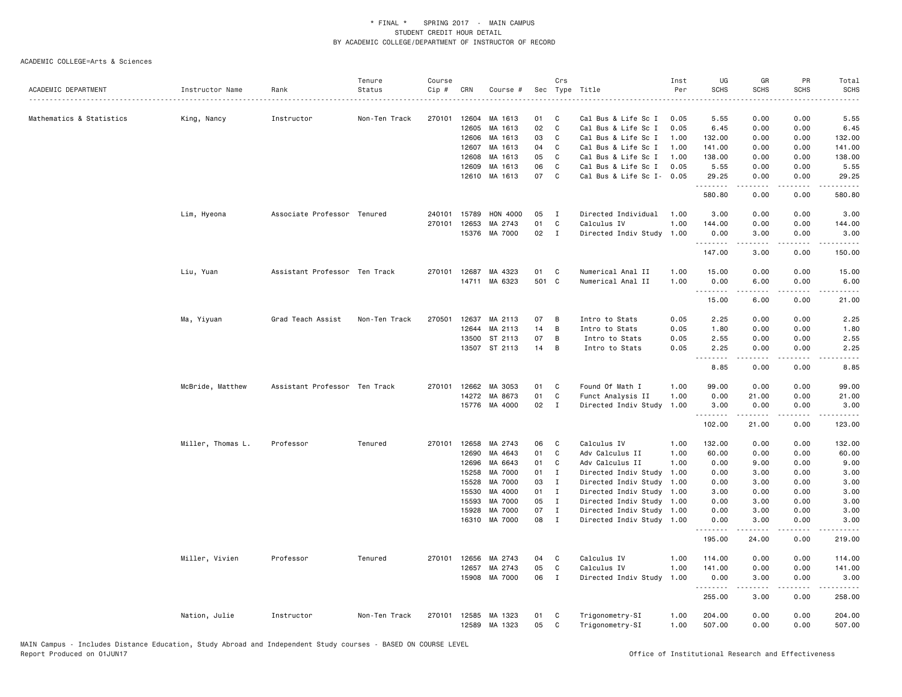|                          |                   |                               | Tenure        | Course |       |                      |          | Crs               |                           | Inst | UG                  | GR                    | PR                                  | Total                                       |
|--------------------------|-------------------|-------------------------------|---------------|--------|-------|----------------------|----------|-------------------|---------------------------|------|---------------------|-----------------------|-------------------------------------|---------------------------------------------|
| ACADEMIC DEPARTMENT      | Instructor Name   | Rank                          | Status        | Cip #  | CRN   | Course #             | Sec      |                   | Type Title                | Per  | <b>SCHS</b>         | <b>SCHS</b>           | <b>SCHS</b>                         | <b>SCHS</b>                                 |
|                          |                   |                               |               |        |       |                      |          |                   |                           |      |                     |                       |                                     |                                             |
| Mathematics & Statistics | King, Nancy       | Instructor                    | Non-Ten Track | 270101 | 12604 | MA 1613              | 01       | C                 | Cal Bus & Life Sc I       | 0.05 | 5.55                | 0.00                  | 0.00                                | 5.55                                        |
|                          |                   |                               |               |        | 12605 | MA 1613              | 02       | C                 | Cal Bus & Life Sc I       | 0.05 | 6.45                | 0.00                  | 0.00                                | 6.45                                        |
|                          |                   |                               |               |        | 12606 | MA 1613              | 03       | C                 | Cal Bus & Life Sc I       | 1.00 | 132.00              | 0.00                  | 0.00                                | 132.00                                      |
|                          |                   |                               |               |        | 12607 | MA 1613              | 04       | C                 | Cal Bus & Life Sc I       | 1.00 | 141.00              | 0.00                  | 0.00                                | 141.00                                      |
|                          |                   |                               |               |        | 12608 | MA 1613              | 05       | C                 | Cal Bus & Life Sc I       | 1.00 | 138.00              | 0.00                  | 0.00                                | 138.00                                      |
|                          |                   |                               |               |        | 12609 | MA 1613              | 06<br>07 | C<br>$\mathsf{C}$ | Cal Bus & Life Sc I       | 0.05 | 5.55                | 0.00                  | 0.00                                | 5.55                                        |
|                          |                   |                               |               |        |       | 12610 MA 1613        |          |                   | Cal Bus & Life Sc I- 0.05 |      | 29.25<br>.          | 0.00<br>.             | 0.00<br>د د د د                     | 29.25<br>.                                  |
|                          |                   |                               |               |        |       |                      |          |                   |                           |      | 580.80              | 0.00                  | 0.00                                | 580.80                                      |
|                          | Lim, Hyeona       | Associate Professor Tenured   |               | 240101 | 15789 | HON 4000             | 05       | $\mathbf{I}$      | Directed Individual       | 1.00 | 3.00                | 0.00                  | 0.00                                | 3.00                                        |
|                          |                   |                               |               | 270101 | 12653 | MA 2743              | 01       | C                 | Calculus IV               | 1.00 | 144.00              | 0.00                  | 0.00                                | 144.00                                      |
|                          |                   |                               |               |        |       | 15376 MA 7000        | 02       | $\mathbf{I}$      | Directed Indiv Study 1.00 |      | 0.00<br>--------    | 3.00<br><u>.</u>      | 0.00<br>.                           | 3.00<br>.                                   |
|                          |                   |                               |               |        |       |                      |          |                   |                           |      | 147.00              | 3.00                  | 0.00                                | 150.00                                      |
|                          | Liu, Yuan         | Assistant Professor Ten Track |               | 270101 | 12687 | MA 4323              | 01       | C                 | Numerical Anal II         | 1.00 | 15.00               | 0.00                  | 0.00                                | 15.00                                       |
|                          |                   |                               |               |        |       | 14711 MA 6323        | 501 C    |                   | Numerical Anal II         | 1.00 | 0.00                | 6.00                  | 0.00                                | 6.00                                        |
|                          |                   |                               |               |        |       |                      |          |                   |                           |      | <b>.</b> .<br>15.00 | د د د د<br>6.00       | د د د د<br>0.00                     | $\sim$ $\sim$ $\sim$ $\sim$ $\sim$<br>21.00 |
|                          | Ma, Yiyuan        | Grad Teach Assist             | Non-Ten Track | 270501 | 12637 | MA 2113              | 07       | В                 | Intro to Stats            | 0.05 | 2.25                | 0.00                  | 0.00                                | 2.25                                        |
|                          |                   |                               |               |        | 12644 | MA 2113              | 14       | В                 | Intro to Stats            | 0.05 | 1.80                | 0.00                  | 0.00                                | 1.80                                        |
|                          |                   |                               |               |        | 13500 | ST 2113              | 07       | В                 | Intro to Stats            | 0.05 | 2.55                | 0.00                  | 0.00                                | 2.55                                        |
|                          |                   |                               |               |        |       | 13507 ST 2113        | 14       | B                 | Intro to Stats            | 0.05 | 2.25                | 0.00                  | 0.00                                | 2.25                                        |
|                          |                   |                               |               |        |       |                      |          |                   |                           |      | .                   | .                     | د د د د                             | .                                           |
|                          |                   |                               |               |        |       |                      |          |                   |                           |      | 8.85                | 0.00                  | 0.00                                | 8.85                                        |
|                          | McBride, Matthew  | Assistant Professor Ten Track |               | 270101 | 12662 | MA 3053              | 01       | C                 | Found Of Math I           | 1.00 | 99.00               | 0.00                  | 0.00                                | 99.00                                       |
|                          |                   |                               |               |        |       | 14272 MA 8673        | 01       | $\mathtt{C}$      | Funct Analysis II         | 1.00 | 0.00                | 21.00                 | 0.00                                | 21.00                                       |
|                          |                   |                               |               |        |       | 15776 MA 4000        | 02       | $\mathbf{I}$      | Directed Indiv Study      | 1.00 | 3.00<br>.           | 0.00<br>$\frac{1}{2}$ | 0.00<br>$\sim$ $\sim$ $\sim$ $\sim$ | 3.00<br>.                                   |
|                          |                   |                               |               |        |       |                      |          |                   |                           |      | 102.00              | 21.00                 | 0.00                                | 123.00                                      |
|                          | Miller, Thomas L. | Professor                     | Tenured       |        |       | 270101 12658 MA 2743 | 06       | C                 | Calculus IV               | 1.00 | 132.00              | 0.00                  | 0.00                                | 132.00                                      |
|                          |                   |                               |               |        | 12690 | MA 4643              | 01       | C                 | Adv Calculus II           | 1.00 | 60.00               | 0.00                  | 0.00                                | 60.00                                       |
|                          |                   |                               |               |        | 12696 | MA 6643              | 01       | C                 | Adv Calculus II           | 1.00 | 0.00                | 9.00                  | 0.00                                | 9.00                                        |
|                          |                   |                               |               |        | 15258 | MA 7000              | 01       | $\mathbf{I}$      | Directed Indiv Study      | 1.00 | 0.00                | 3.00                  | 0.00                                | 3.00                                        |
|                          |                   |                               |               |        | 15528 | MA 7000              | 03       | $\mathbf{I}$      | Directed Indiv Study      | 1.00 | 0.00                | 3.00                  | 0.00                                | 3.00                                        |
|                          |                   |                               |               |        | 15530 | MA 4000              | 01       | $\mathbf I$       | Directed Indiv Study      | 1.00 | 3.00                | 0.00                  | 0.00                                | 3.00                                        |
|                          |                   |                               |               |        | 15593 | MA 7000              | 05       | $\mathbf I$       | Directed Indiv Study      | 1.00 | 0.00                | 3.00                  | 0.00                                | 3.00                                        |
|                          |                   |                               |               |        | 15928 | MA 7000              | 07       | $\mathbf I$       | Directed Indiv Study      | 1.00 | 0.00                | 3.00                  | 0.00                                | 3.00                                        |
|                          |                   |                               |               |        | 16310 | MA 7000              | 08       | $\mathbf{I}$      | Directed Indiv Study 1.00 |      | 0.00<br>.           | 3.00<br><u>.</u>      | 0.00<br>د د د د                     | 3.00<br>.                                   |
|                          |                   |                               |               |        |       |                      |          |                   |                           |      | 195.00              | 24.00                 | 0.00                                | 219.00                                      |
|                          | Miller, Vivien    | Professor                     | Tenured       | 270101 | 12656 | MA 2743              | 04       | C                 | Calculus IV               | 1.00 | 114.00              | 0.00                  | 0.00                                | 114.00                                      |
|                          |                   |                               |               |        | 12657 | MA 2743              | 05       | C                 | Calculus IV               | 1.00 | 141.00              | 0.00                  | 0.00                                | 141.00                                      |
|                          |                   |                               |               |        |       | 15908 MA 7000        | 06       | $\mathbf I$       | Directed Indiv Study      | 1.00 | 0.00<br>.           | 3.00<br>.             | 0.00<br>د د د د                     | 3.00<br>.                                   |
|                          |                   |                               |               |        |       |                      |          |                   |                           |      | 255.00              | 3.00                  | 0.00                                | 258.00                                      |
|                          | Nation, Julie     | Instructor                    | Non-Ten Track |        |       | 270101 12585 MA 1323 | 01       | C                 | Trigonometry-SI           | 1.00 | 204.00              | 0.00                  | 0.00                                | 204.00                                      |
|                          |                   |                               |               |        | 12589 | MA 1323              | 05       | C                 | Trigonometry-SI           | 1.00 | 507.00              | 0.00                  | 0.00                                | 507.00                                      |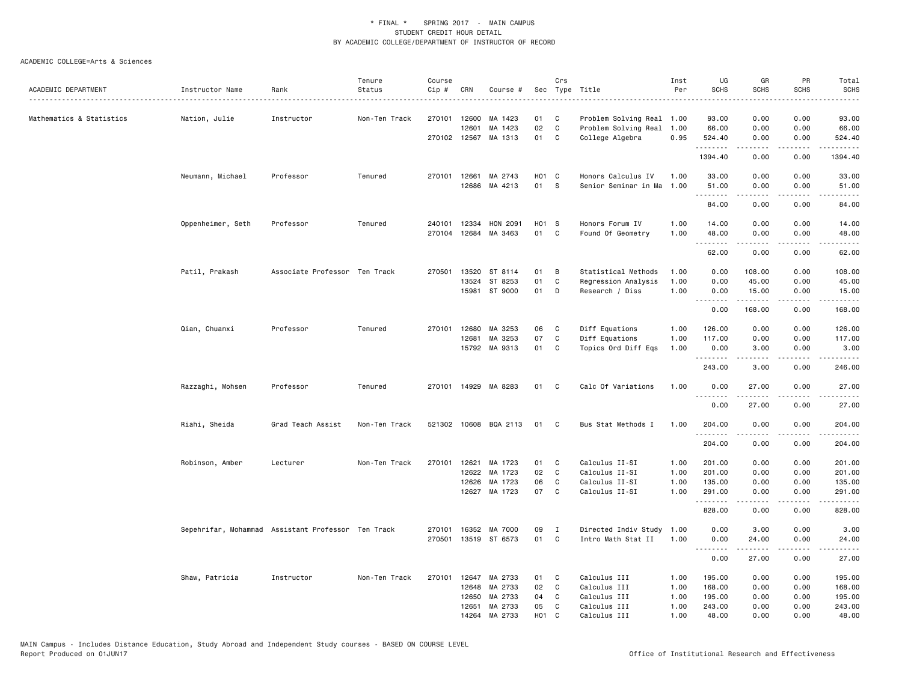|                          |                                                    |                               | Tenure        | Course       |                |                       |            | Crs         |                              | Inst         | UG               | GR           | PR                                  | Total                            |
|--------------------------|----------------------------------------------------|-------------------------------|---------------|--------------|----------------|-----------------------|------------|-------------|------------------------------|--------------|------------------|--------------|-------------------------------------|----------------------------------|
| ACADEMIC DEPARTMENT      | Instructor Name                                    | Rank                          | Status        | Cip #        | CRN            | Course #              |            |             | Sec Type Title               | Per          | <b>SCHS</b>      | <b>SCHS</b>  | <b>SCHS</b>                         | <b>SCHS</b><br>د د د د د         |
| Mathematics & Statistics | Nation, Julie                                      | Instructor                    | Non-Ten Track | 270101       | 12600          | MA 1423               | 01         | C.          | Problem Solving Real 1.00    |              | 93.00            | 0.00         | 0.00                                | 93.00                            |
|                          |                                                    |                               |               |              | 12601          | MA 1423               | 02         | C           | Problem Solving Real         | 1.00         | 66.00            | 0.00         | 0.00                                | 66.00                            |
|                          |                                                    |                               |               | 270102 12567 |                | MA 1313               | 01         | C           | College Algebra              | 0.95         | 524.40           | 0.00         | 0.00                                | 524.40                           |
|                          |                                                    |                               |               |              |                |                       |            |             |                              |              | .<br>1394.40     | .<br>0.00    | -----<br>0.00                       | .<br>1394.40                     |
|                          | Neumann, Michael                                   | Professor                     | Tenured       | 270101       | 12661          | MA 2743               | $H01$ C    |             | Honors Calculus IV           | 1.00         | 33.00            | 0.00         | 0.00                                | 33.00                            |
|                          |                                                    |                               |               |              | 12686          | MA 4213               | 01         | - S         | Senior Seminar in Ma 1.00    |              | 51.00<br>.       | 0.00<br>.    | 0.00<br>.                           | 51.00<br>.                       |
|                          |                                                    |                               |               |              |                |                       |            |             |                              |              | 84.00            | 0.00         | 0.00                                | 84.00                            |
|                          | Oppenheimer, Seth                                  | Professor                     | Tenured       | 240101       | 12334          | HON 2091              | H01 S      |             | Honors Forum IV              | 1.00         | 14.00            | 0.00         | 0.00                                | 14.00                            |
|                          |                                                    |                               |               | 270104       | 12684          | MA 3463               | 01         | C           | Found Of Geometry            | 1.00         | 48.00<br>.       | 0.00         | 0.00<br>$\sim$ $\sim$ $\sim$ $\sim$ | 48.00<br>.                       |
|                          |                                                    |                               |               |              |                |                       |            |             |                              |              | 62.00            | 0.00         | 0.00                                | 62.00                            |
|                          | Patil, Prakash                                     | Associate Professor Ten Track |               | 270501       | 13520          | ST 8114               | 01         | B           | Statistical Methods          | 1.00         | 0.00             | 108.00       | 0.00                                | 108.00                           |
|                          |                                                    |                               |               |              | 13524          | ST 8253               | 01         | C           | Regression Analysis          | 1.00         | 0.00             | 45.00        | 0.00                                | 45.00                            |
|                          |                                                    |                               |               |              | 15981          | ST 9000               | 01         | D           | Research / Diss              | 1.00         | 0.00<br><u>.</u> | 15.00<br>.   | 0.00<br>.                           | 15.00<br>.                       |
|                          |                                                    |                               |               |              |                |                       |            |             |                              |              | 0.00             | 168.00       | 0.00                                | 168.00                           |
|                          | Qian, Chuanxi                                      | Professor                     | Tenured       | 270101       | 12680          | MA 3253               | 06         | C           | Diff Equations               | 1.00         | 126.00           | 0.00         | 0.00                                | 126.00                           |
|                          |                                                    |                               |               |              | 12681          | MA 3253               | 07         | C           | Diff Equations               | 1.00         | 117.00           | 0.00         | 0.00                                | 117.00                           |
|                          |                                                    |                               |               |              | 15792          | MA 9313               | 01         | C           | Topics Ord Diff Eqs          | 1.00         | 0.00<br>.        | 3.00<br>.    | 0.00<br>.                           | 3.00<br>.                        |
|                          |                                                    |                               |               |              |                |                       |            |             |                              |              | 243.00           | 3.00         | 0.00                                | 246.00                           |
|                          | Razzaghi, Mohsen                                   | Professor                     | Tenured       | 270101       |                | 14929 MA 8283         | 01         | C           | Calc Of Variations           | 1.00         | 0.00<br>.        | 27.00        | 0.00<br>والمستوات                   | 27.00<br>.                       |
|                          |                                                    |                               |               |              |                |                       |            |             |                              |              | 0.00             | 27.00        | 0.00                                | 27.00                            |
|                          | Riahi, Sheida                                      | Grad Teach Assist             | Non-Ten Track |              |                | 521302 10608 BQA 2113 | 01         | C           | Bus Stat Methods I           | 1.00         | 204.00<br>.      | 0.00         | 0.00<br>-----                       | 204.00<br>المتمالي لماليا المالي |
|                          |                                                    |                               |               |              |                |                       |            |             |                              |              | 204.00           | 0.00         | 0.00                                | 204.00                           |
|                          | Robinson, Amber                                    | Lecturer                      | Non-Ten Track | 270101       | 12621          | MA 1723               | 01         | C           | Calculus II-SI               | 1.00         | 201.00           | 0.00         | 0.00                                | 201.00                           |
|                          |                                                    |                               |               |              | 12622          | MA 1723               | 02         | C           | Calculus II-SI               | 1.00         | 201.00           | 0.00         | 0.00                                | 201.00                           |
|                          |                                                    |                               |               |              | 12626          | MA 1723               | 06         | C           | Calculus II-SI               | 1.00         | 135.00           | 0.00         | 0.00                                | 135.00                           |
|                          |                                                    |                               |               |              | 12627          | MA 1723               | 07         | C           | Calculus II-SI               | 1.00         | 291.00<br>.      | 0.00         | 0.00<br>$\sim$ $\sim$ $\sim$ $\sim$ | 291.00<br>.                      |
|                          |                                                    |                               |               |              |                |                       |            |             |                              |              | 828.00           | 0.00         | 0.00                                | 828.00                           |
|                          | Sepehrifar, Mohammad Assistant Professor Ten Track |                               |               | 270101       | 16352          | MA 7000               | 09         | $\mathbf I$ | Directed Indiv Study         | 1.00         | 0.00             | 3.00         | 0.00                                | 3.00                             |
|                          |                                                    |                               |               | 270501       |                | 13519 ST 6573         | 01         | C           | Intro Math Stat II           | 1.00         | 0.00<br>.        | 24.00        | 0.00<br>.                           | 24.00<br>د د د د د               |
|                          |                                                    |                               |               |              |                |                       |            |             |                              |              | 0.00             | 27.00        | 0.00                                | 27.00                            |
|                          | Shaw, Patricia                                     | Instructor                    | Non-Ten Track | 270101       | 12647          | MA 2733               | 01         | C           | Calculus III                 | 1.00         | 195.00           | 0.00         | 0.00                                | 195.00                           |
|                          |                                                    |                               |               |              | 12648          | MA 2733               | 02         | C           | Calculus III                 | 1.00         | 168.00           | 0.00         | 0.00                                | 168.00                           |
|                          |                                                    |                               |               |              | 12650<br>12651 | MA 2733<br>MA 2733    | 04<br>05   | C<br>C      | Calculus III<br>Calculus III | 1.00<br>1.00 | 195.00<br>243.00 | 0.00<br>0.00 | 0.00<br>0.00                        | 195.00<br>243.00                 |
|                          |                                                    |                               |               |              | 14264          | MA 2733               | <b>HO1</b> | C           | Calculus III                 | 1.00         | 48.00            | 0.00         | 0.00                                | 48.00                            |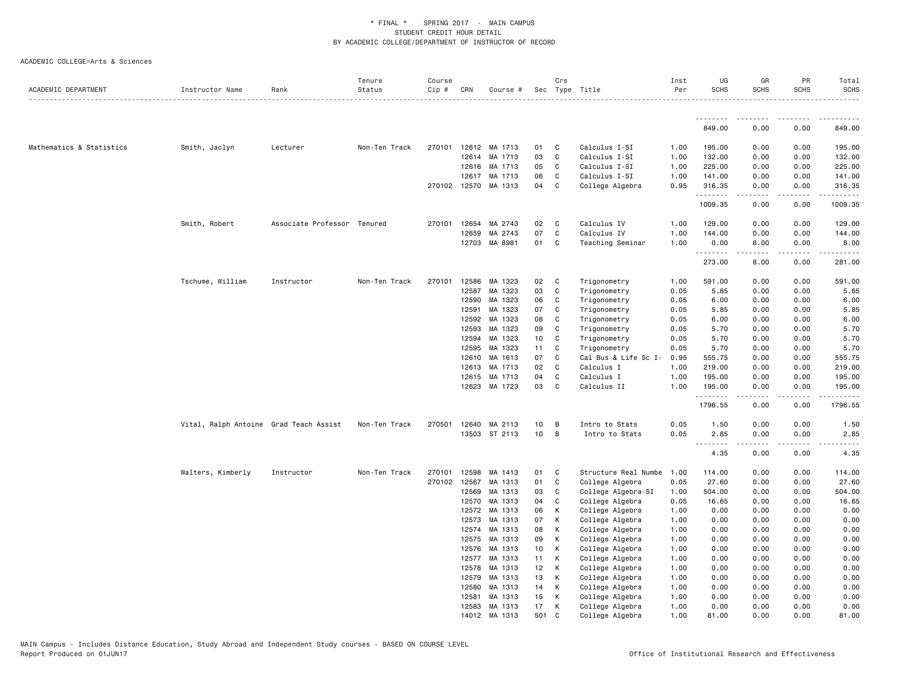| ACADEMIC DEPARTMENT      | Instructor Name                        | Rank                        | Tenure<br>Status | Course<br>Cip # | CRN            | Course #           |          | Crs          | Sec Type Title                     | Inst<br>Per  | UG<br><b>SCHS</b>                       | GR<br><b>SCHS</b>                                                                                                                                            | PR<br><b>SCHS</b>                   | Total<br><b>SCHS</b><br><u>.</u>             |
|--------------------------|----------------------------------------|-----------------------------|------------------|-----------------|----------------|--------------------|----------|--------------|------------------------------------|--------------|-----------------------------------------|--------------------------------------------------------------------------------------------------------------------------------------------------------------|-------------------------------------|----------------------------------------------|
|                          |                                        |                             |                  |                 |                |                    |          |              |                                    |              | <u>.</u><br>849.00                      | $\frac{1}{2} \left( \frac{1}{2} \right) \left( \frac{1}{2} \right) \left( \frac{1}{2} \right) \left( \frac{1}{2} \right) \left( \frac{1}{2} \right)$<br>0.00 | .<br>0.00                           | 849.00                                       |
|                          |                                        |                             |                  |                 |                |                    |          |              |                                    |              |                                         |                                                                                                                                                              |                                     |                                              |
| Mathematics & Statistics | Smith, Jaclyn                          | Lecturer                    | Non-Ten Track    | 270101          |                | 12612 MA 1713      | 01       | C            | Calculus I-SI                      | 1.00         | 195.00                                  | 0.00                                                                                                                                                         | 0.00                                | 195.00                                       |
|                          |                                        |                             |                  |                 | 12614          | MA 1713            | 03       | $\mathsf{C}$ | Calculus I-SI                      | 1.00         | 132.00                                  | 0.00                                                                                                                                                         | 0.00                                | 132.00                                       |
|                          |                                        |                             |                  |                 | 12616          | MA 1713            | 05       | C            | Calculus I-SI                      | 1.00         | 225.00                                  | 0.00                                                                                                                                                         | 0.00                                | 225.00                                       |
|                          |                                        |                             |                  |                 | 12617          | MA 1713            | 06       | C            | Calculus I-SI                      | 1.00         | 141.00                                  | 0.00                                                                                                                                                         | 0.00                                | 141.00                                       |
|                          |                                        |                             |                  |                 | 270102 12570   | MA 1313            | 04       | C            | College Algebra                    | 0.95         | 316.35<br>.                             | 0.00                                                                                                                                                         | 0.00<br>$\sim$ $\sim$ $\sim$ $\sim$ | 316.35<br>.                                  |
|                          |                                        |                             |                  |                 |                |                    |          |              |                                    |              | 1009.35                                 | 0.00                                                                                                                                                         | 0.00                                | 1009.35                                      |
|                          | Smith, Robert                          | Associate Professor Tenured |                  | 270101          | 12654          | MA 2743            | 02       | C            | Calculus IV                        | 1.00         | 129.00                                  | 0.00                                                                                                                                                         | 0.00                                | 129.00                                       |
|                          |                                        |                             |                  |                 | 12659          | MA 2743            | 07       | C            | Calculus IV                        | 1.00         | 144.00                                  | 0.00                                                                                                                                                         | 0.00                                | 144.00                                       |
|                          |                                        |                             |                  |                 |                | 12703 MA 8981      | 01       | C            | Teaching Seminar                   | 1.00         | 0.00                                    | 8.00                                                                                                                                                         | 0.00                                | 8.00                                         |
|                          |                                        |                             |                  |                 |                |                    |          |              |                                    |              | 273.00                                  | .<br>8.00                                                                                                                                                    | .<br>0.00                           | .<br>281.00                                  |
|                          | Tschume, William                       | Instructor                  | Non-Ten Track    | 270101          | 12586          | MA 1323            | 02       | C            | Trigonometry                       | 1.00         | 591.00                                  | 0.00                                                                                                                                                         | 0.00                                | 591.00                                       |
|                          |                                        |                             |                  |                 | 12587          | MA 1323            | 03       | C            | Trigonometry                       | 0.05         | 5.85                                    | 0.00                                                                                                                                                         | 0.00                                | 5.85                                         |
|                          |                                        |                             |                  |                 | 12590          | MA 1323            | 06       | C            | Trigonometry                       | 0.05         | 6.00                                    | 0.00                                                                                                                                                         | 0.00                                | 6.00                                         |
|                          |                                        |                             |                  |                 | 12591          | MA 1323            | 07       | C            | Trigonometry                       | 0.05         | 5.85                                    | 0.00                                                                                                                                                         | 0.00                                | 5.85                                         |
|                          |                                        |                             |                  |                 | 12592          | MA 1323            | 08       | C            | Trigonometry                       | 0.05         | 6.00                                    | 0.00                                                                                                                                                         | 0.00                                | 6.00                                         |
|                          |                                        |                             |                  |                 | 12593          | MA 1323            | 09       | C            | Trigonometry                       | 0.05         | 5.70                                    | 0.00                                                                                                                                                         | 0.00                                | 5.70                                         |
|                          |                                        |                             |                  |                 | 12594          | MA 1323            | 10       | C            | Trigonometry                       | 0.05         | 5.70                                    | 0.00                                                                                                                                                         | 0.00                                | 5.70                                         |
|                          |                                        |                             |                  |                 | 12595          | MA 1323            | 11       | C            | Trigonometry                       | 0.05         | 5.70                                    | 0.00                                                                                                                                                         | 0.00                                | 5.70                                         |
|                          |                                        |                             |                  |                 | 12610          | MA 1613            | 07       | C            | Cal Bus & Life Sc I-               | 0.95         | 555.75                                  | 0.00                                                                                                                                                         | 0.00                                | 555.75                                       |
|                          |                                        |                             |                  |                 | 12613          | MA 1713            | 02       | C            | Calculus I                         | 1.00         | 219.00                                  | 0.00                                                                                                                                                         | 0.00                                | 219.00                                       |
|                          |                                        |                             |                  |                 | 12615          | MA 1713            | 04       | C            | Calculus I                         | 1.00         | 195.00                                  | 0.00                                                                                                                                                         | 0.00                                | 195.00                                       |
|                          |                                        |                             |                  |                 | 12623          | MA 1723            | 03       | C            | Calculus II                        | 1.00         | 195.00<br>.                             | 0.00                                                                                                                                                         | 0.00<br>$\sim$ $\sim$ $\sim$ $\sim$ | 195.00<br>$\sim$ $\sim$ $\sim$ $\sim$ $\sim$ |
|                          |                                        |                             |                  |                 |                |                    |          |              |                                    |              | 1796.55                                 | 0.00                                                                                                                                                         | 0.00                                | 1796.55                                      |
|                          | Vital, Ralph Antoine Grad Teach Assist |                             | Non-Ten Track    | 270501          | 12640          | MA 2113            | 10       | B            | Intro to Stats                     | 0.05         | 1.50                                    | 0.00                                                                                                                                                         | 0.00                                | 1.50                                         |
|                          |                                        |                             |                  |                 |                | 13503 ST 2113      | 10       | B            | Intro to Stats                     | 0.05         | 2.85                                    | 0.00                                                                                                                                                         | 0.00                                | 2.85                                         |
|                          |                                        |                             |                  |                 |                |                    |          |              |                                    |              | $\sim$ $\sim$ $\sim$<br>المتمام<br>4.35 | .<br>0.00                                                                                                                                                    | $\sim$ $\sim$ $\sim$<br>0.00        | 4.35                                         |
|                          | Walters, Kimberly                      | Instructor                  | Non-Ten Track    | 270101          | 12598          | MA 1413            | 01       | C            | Structure Real Numbe               | 1.00         | 114.00                                  | 0.00                                                                                                                                                         | 0.00                                | 114.00                                       |
|                          |                                        |                             |                  | 270102          | 12567          | MA 1313            | 01       | C            | College Algebra                    | 0.05         | 27.60                                   | 0.00                                                                                                                                                         | 0.00                                | 27.60                                        |
|                          |                                        |                             |                  |                 | 12569          | MA 1313            | 03       | C            | College Algebra-SI                 | 1.00         | 504.00                                  | 0.00                                                                                                                                                         | 0.00                                | 504.00                                       |
|                          |                                        |                             |                  |                 | 12570          | MA 1313            | 04       | C            | College Algebra                    | 0.05         | 16.65                                   | 0.00                                                                                                                                                         | 0.00                                | 16.65                                        |
|                          |                                        |                             |                  |                 | 12572          | MA 1313            | 06       | К            | College Algebra                    | 1.00         | 0.00                                    | 0.00                                                                                                                                                         | 0.00                                | 0.00                                         |
|                          |                                        |                             |                  |                 | 12573          | MA 1313            | 07       | K            | College Algebra                    | 1.00         | 0.00                                    | 0.00                                                                                                                                                         | 0.00                                | 0.00                                         |
|                          |                                        |                             |                  |                 | 12574          | MA 1313            | 08       | Κ            | College Algebra                    | 1.00         | 0.00                                    | 0.00                                                                                                                                                         | 0.00                                | 0.00                                         |
|                          |                                        |                             |                  |                 | 12575          | MA 1313<br>MA 1313 | 09       | К<br>К       | College Algebra                    | 1.00         | 0.00                                    | 0.00                                                                                                                                                         | 0.00                                | 0.00                                         |
|                          |                                        |                             |                  |                 | 12576<br>12577 | MA 1313            | 10<br>11 | К            | College Algebra<br>College Algebra | 1.00<br>1.00 | 0.00<br>0.00                            | 0.00<br>0.00                                                                                                                                                 | 0.00<br>0.00                        | 0.00<br>0.00                                 |
|                          |                                        |                             |                  |                 | 12578          | MA 1313            | 12       | К            | College Algebra                    | 1.00         | 0.00                                    | 0.00                                                                                                                                                         | 0.00                                | 0.00                                         |
|                          |                                        |                             |                  |                 | 12579          | MA 1313            | 13       | К            | College Algebra                    | 1.00         | 0.00                                    | 0.00                                                                                                                                                         | 0.00                                | 0.00                                         |
|                          |                                        |                             |                  |                 | 12580          | MA 1313            | 14       | К            | College Algebra                    | 1.00         | 0.00                                    | 0.00                                                                                                                                                         | 0.00                                | 0.00                                         |
|                          |                                        |                             |                  |                 | 12581          | MA 1313            | 15       | К            | College Algebra                    | 1.00         | 0.00                                    | 0.00                                                                                                                                                         | 0.00                                | 0.00                                         |
|                          |                                        |                             |                  |                 | 12583          | MA 1313            | 17       | к            | College Algebra                    | 1.00         | 0.00                                    | 0.00                                                                                                                                                         | 0.00                                | 0.00                                         |
|                          |                                        |                             |                  |                 |                | 14012 MA 1313      | 501      | C            | College Algebra                    | 1.00         | 81.00                                   | 0.00                                                                                                                                                         | 0.00                                | 81,00                                        |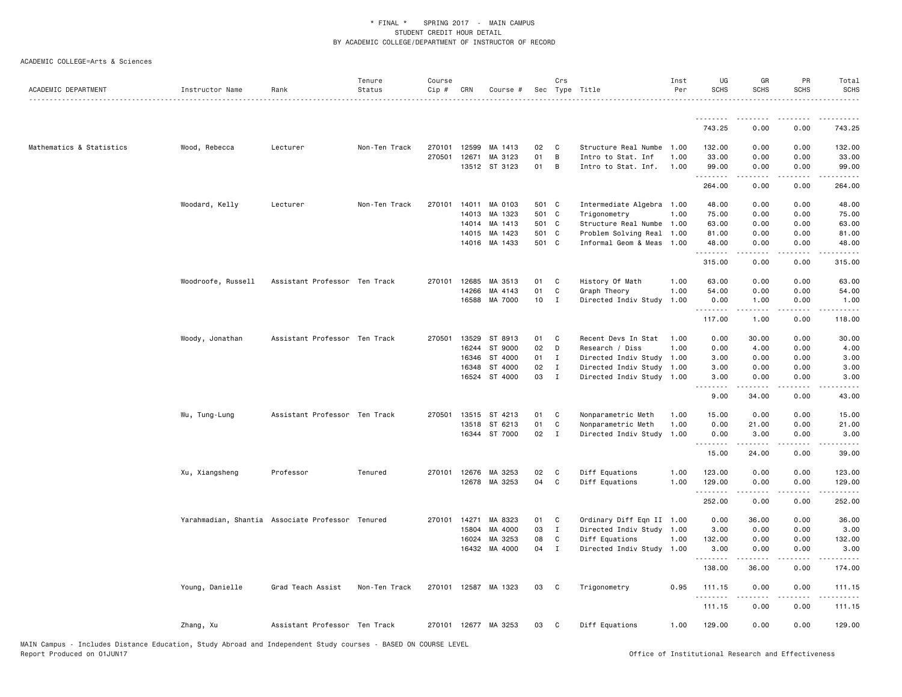|                          |                    |                                                  | Tenure        | Course       |              |                      |                 | Crs          |                           | Inst | UG                 | GR          | PR                                          | Total                                                                                      |
|--------------------------|--------------------|--------------------------------------------------|---------------|--------------|--------------|----------------------|-----------------|--------------|---------------------------|------|--------------------|-------------|---------------------------------------------|--------------------------------------------------------------------------------------------|
| ACADEMIC DEPARTMENT      | Instructor Name    | Rank                                             | Status        | Cip #        | CRN          | Course #             |                 |              | Sec Type Title            | Per  | <b>SCHS</b>        | <b>SCHS</b> | <b>SCHS</b>                                 | <b>SCHS</b>                                                                                |
|                          |                    |                                                  |               |              |              |                      |                 |              |                           |      |                    |             |                                             |                                                                                            |
|                          |                    |                                                  |               |              |              |                      |                 |              |                           |      | 743.25             | 0.00        | 0.00                                        | 743.25                                                                                     |
| Mathematics & Statistics | Wood, Rebecca      | Lecturer                                         | Non-Ten Track | 270101       | 12599        | MA 1413              | 02              | C            | Structure Real Numbe      | 1.00 | 132.00             | 0.00        | 0.00                                        | 132.00                                                                                     |
|                          |                    |                                                  |               | 270501       | 12671        | MA 3123              | 01              | B            | Intro to Stat. Inf        | 1.00 | 33.00              | 0.00        | 0.00                                        | 33.00                                                                                      |
|                          |                    |                                                  |               |              |              | 13512 ST 3123        | 01              | B            | Intro to Stat. Inf.       | 1.00 | 99.00<br>.         | 0.00<br>.   | 0.00<br>.                                   | 99.00<br>.                                                                                 |
|                          |                    |                                                  |               |              |              |                      |                 |              |                           |      | 264.00             | 0.00        | 0.00                                        | 264.00                                                                                     |
|                          | Woodard, Kelly     | Lecturer                                         | Non-Ten Track |              | 270101 14011 | MA 0103              | 501 C           |              | Intermediate Algebra 1.00 |      | 48.00              | 0.00        | 0.00                                        | 48.00                                                                                      |
|                          |                    |                                                  |               |              |              | 14013 MA 1323        | 501 C           |              | Trigonometry              | 1.00 | 75.00              | 0.00        | 0.00                                        | 75.00                                                                                      |
|                          |                    |                                                  |               |              | 14014        | MA 1413              | 501 C           |              | Structure Real Numbe 1.00 |      | 63.00              | 0.00        | 0.00                                        | 63.00                                                                                      |
|                          |                    |                                                  |               |              | 14015        | MA 1423              | 501 C           |              | Problem Solving Real 1.00 |      | 81.00              | 0.00        | 0.00                                        | 81.00                                                                                      |
|                          |                    |                                                  |               |              |              | 14016 MA 1433        | 501 C           |              | Informal Geom & Meas 1.00 |      | 48.00<br><u>.</u>  | 0.00<br>.   | 0.00<br>$\sim$ $\sim$ $\sim$                | 48.00<br>.                                                                                 |
|                          |                    |                                                  |               |              |              |                      |                 |              |                           |      | 315.00             | 0.00        | 0.00                                        | 315.00                                                                                     |
|                          | Woodroofe, Russell | Assistant Professor Ten Track                    |               |              | 270101 12685 | MA 3513              | 01              | C            | History Of Math           | 1.00 | 63.00              | 0.00        | 0.00                                        | 63.00                                                                                      |
|                          |                    |                                                  |               |              | 14266        | MA 4143              | 01              | $\mathtt{C}$ | Graph Theory              | 1.00 | 54.00              | 0.00        | 0.00                                        | 54.00                                                                                      |
|                          |                    |                                                  |               |              | 16588        | MA 7000              | 10 <sub>1</sub> | $\mathbf{I}$ | Directed Indiv Study      | 1.00 | 0.00<br>.          | 1.00        | 0.00<br>$\sim$ $\sim$ $\sim$                | 1.00<br>.                                                                                  |
|                          |                    |                                                  |               |              |              |                      |                 |              |                           |      | 117.00             | 1.00        | 0.00                                        | 118.00                                                                                     |
|                          | Woody, Jonathan    | Assistant Professor Ten Track                    |               | 270501       | 13529        | ST 8913              | 01              | C            | Recent Devs In Stat       | 1.00 | 0.00               | 30.00       | 0.00                                        | 30.00                                                                                      |
|                          |                    |                                                  |               |              | 16244        | ST 9000              | 02              | D            | Research / Diss           | 1.00 | 0.00               | 4.00        | 0.00                                        | 4.00                                                                                       |
|                          |                    |                                                  |               |              | 16346        | ST 4000              | 01              | $\mathbf{I}$ | Directed Indiv Study 1.00 |      | 3.00               | 0.00        | 0.00                                        | 3.00                                                                                       |
|                          |                    |                                                  |               |              | 16348        | ST 4000              | 02              | $\mathbf{I}$ | Directed Indiv Study 1.00 |      | 3.00               | 0.00        | 0.00                                        | 3.00                                                                                       |
|                          |                    |                                                  |               |              |              | 16524 ST 4000        | 03              | $\mathbf{I}$ | Directed Indiv Study 1.00 |      | 3.00<br>.          | 0.00<br>.   | 0.00<br>.                                   | 3.00<br>.                                                                                  |
|                          |                    |                                                  |               |              |              |                      |                 |              |                           |      | 9.00               | 34.00       | 0.00                                        | 43.00                                                                                      |
|                          | Wu, Tung-Lung      | Assistant Professor Ten Track                    |               | 270501       |              | 13515 ST 4213        | 01              | C            | Nonparametric Meth        | 1.00 | 15.00              | 0.00        | 0.00                                        | 15.00                                                                                      |
|                          |                    |                                                  |               |              | 13518        | ST 6213              | 01              | $\mathtt{C}$ | Nonparametric Meth        | 1.00 | 0.00               | 21.00       | 0.00                                        | 21.00                                                                                      |
|                          |                    |                                                  |               |              |              | 16344 ST 7000        | 02              | $\mathbf{I}$ | Directed Indiv Study      | 1.00 | 0.00               | 3.00        | 0.00                                        | 3.00                                                                                       |
|                          |                    |                                                  |               |              |              |                      |                 |              |                           |      | .<br>15.00         | .<br>24.00  | .<br>0.00                                   | . د د د د<br>39.00                                                                         |
|                          | Xu, Xiangsheng     | Professor                                        | Tenured       | 270101       | 12676        | MA 3253              | 02              | C            | Diff Equations            | 1.00 | 123.00             | 0.00        | 0.00                                        | 123.00                                                                                     |
|                          |                    |                                                  |               |              |              | 12678 MA 3253        | 04              | C            | Diff Equations            | 1.00 | 129.00<br><u>.</u> | 0.00        | 0.00<br>.                                   | 129.00                                                                                     |
|                          |                    |                                                  |               |              |              |                      |                 |              |                           |      | 252.00             | 0.00        | 0.00                                        | $\mathbf{1} \cdot \mathbf{1} \cdot \mathbf{1} \cdot \mathbf{1} \cdot \mathbf{1}$<br>252.00 |
|                          |                    | Yarahmadian, Shantia Associate Professor Tenured |               | 270101 14271 |              | MA 8323              | 01              | C            | Ordinary Diff Eqn II 1.00 |      | 0.00               | 36.00       | 0.00                                        | 36.00                                                                                      |
|                          |                    |                                                  |               |              | 15804        | MA 4000              | 03              | $\mathbf{I}$ | Directed Indiv Study 1.00 |      | 3.00               | 0.00        | 0.00                                        | 3.00                                                                                       |
|                          |                    |                                                  |               |              | 16024        | MA 3253              | 08              | C            | Diff Equations            | 1.00 | 132.00             | 0.00        | 0.00                                        | 132.00                                                                                     |
|                          |                    |                                                  |               |              | 16432        | MA 4000              | 04              | $\mathbf{I}$ | Directed Indiv Study 1.00 |      | 3.00<br>.          | 0.00<br>.   | 0.00<br>.                                   | 3.00<br>.                                                                                  |
|                          |                    |                                                  |               |              |              |                      |                 |              |                           |      | 138.00             | 36.00       | 0.00                                        | 174.00                                                                                     |
|                          | Young, Danielle    | Grad Teach Assist                                | Non-Ten Track | 270101       |              | 12587 MA 1323        | 03              | C            | Trigonometry              | 0.95 | 111.15             | 0.00        | 0.00                                        | 111.15                                                                                     |
|                          |                    |                                                  |               |              |              |                      |                 |              |                           |      | .<br>111.15        | 0.00        | $\omega$ $\omega$ $\omega$ $\omega$<br>0.00 | .<br>111.15                                                                                |
|                          | Zhang, Xu          | Assistant Professor Ten Track                    |               |              |              | 270101 12677 MA 3253 | 03              | C            | Diff Equations            | 1.00 | 129.00             | 0.00        | 0.00                                        | 129.00                                                                                     |
|                          |                    |                                                  |               |              |              |                      |                 |              |                           |      |                    |             |                                             |                                                                                            |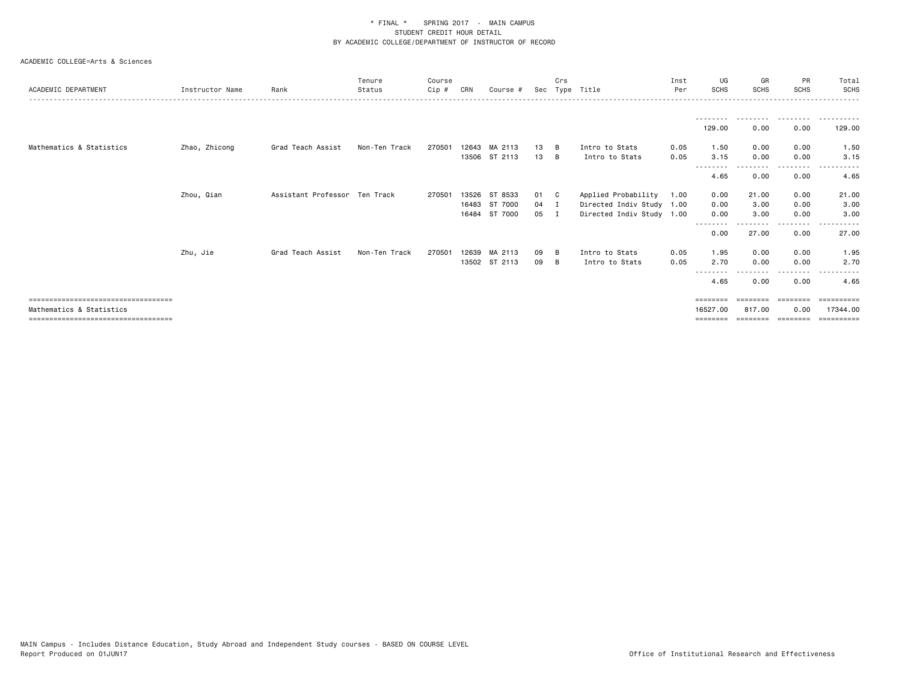| ACADEMIC DEPARTMENT                                              | Instructor Name | Rank                          | Tenure<br>Status | Course<br>Cip # | CRN   | Course        | Sec    | Crs<br>Type | Title                     | Inst<br>Per | UG<br><b>SCHS</b>    | GR<br><b>SCHS</b>  | PR<br><b>SCHS</b> | Total<br>SCHS          |
|------------------------------------------------------------------|-----------------|-------------------------------|------------------|-----------------|-------|---------------|--------|-------------|---------------------------|-------------|----------------------|--------------------|-------------------|------------------------|
|                                                                  |                 |                               |                  |                 |       |               |        |             |                           |             |                      |                    |                   |                        |
|                                                                  |                 |                               |                  |                 |       |               |        |             |                           |             | 129.00               | 0.00               | 0.00              | 129.00                 |
| Mathematics & Statistics                                         | Zhao, Zhicong   | Grad Teach Assist             | Non-Ten Track    | 270501          |       | 12643 MA 2113 | 13     | <b>B</b>    | Intro to Stats            | 0.05        | 1.50                 | 0.00               | 0.00              | 1.50                   |
|                                                                  |                 |                               |                  |                 |       | 13506 ST 2113 | 13     | B           | Intro to Stats            | 0.05        | 3.15<br>--------     | 0.00               | 0.00<br>- - - - - | 3.15                   |
|                                                                  |                 |                               |                  |                 |       |               |        |             |                           |             | 4.65                 | 0.00               | 0.00              | 4.65                   |
|                                                                  | Zhou, Qian      | Assistant Professor Ten Track |                  | 270501          | 13526 | ST 8533       | 01 C   |             | Applied Probability       | 1.00        | 0.00                 | 21.00              | 0.00              | 21.00                  |
|                                                                  |                 |                               |                  |                 |       | 16483 ST 7000 | $04$ I |             | Directed Indiv Study 1.00 |             | 0.00                 | 3.00               | 0.00              | 3.00                   |
|                                                                  |                 |                               |                  |                 | 16484 | ST 7000       | 05     | I           | Directed Indiv Study 1.00 |             | 0.00                 | 3.00               | 0.00              | 3.00                   |
|                                                                  |                 |                               |                  |                 |       |               |        |             |                           |             | 0.00                 | 27.00              | 0.00              | 27.00                  |
|                                                                  | Zhu, Jie        | Grad Teach Assist             | Non-Ten Track    | 270501          | 12639 | MA 2113       | 09     | B           | Intro to Stats            | 0.05        | 1.95                 | 0.00               | 0.00              | 1.95                   |
|                                                                  |                 |                               |                  |                 |       | 13502 ST 2113 | 09     | B           | Intro to Stats            | 0.05        | 2.70                 | 0.00               | 0.00              | 2.70                   |
|                                                                  |                 |                               |                  |                 |       |               |        |             |                           |             | 4.65                 | 0.00               | 0.00              | 4.65                   |
| =====================================                            |                 |                               |                  |                 |       |               |        |             |                           |             | ========             |                    | ---------         |                        |
| Mathematics & Statistics<br>==================================== |                 |                               |                  |                 |       |               |        |             |                           |             | 16527.00<br>======== | 817,00<br>======== | 0.00<br>--------- | 17344.00<br>========== |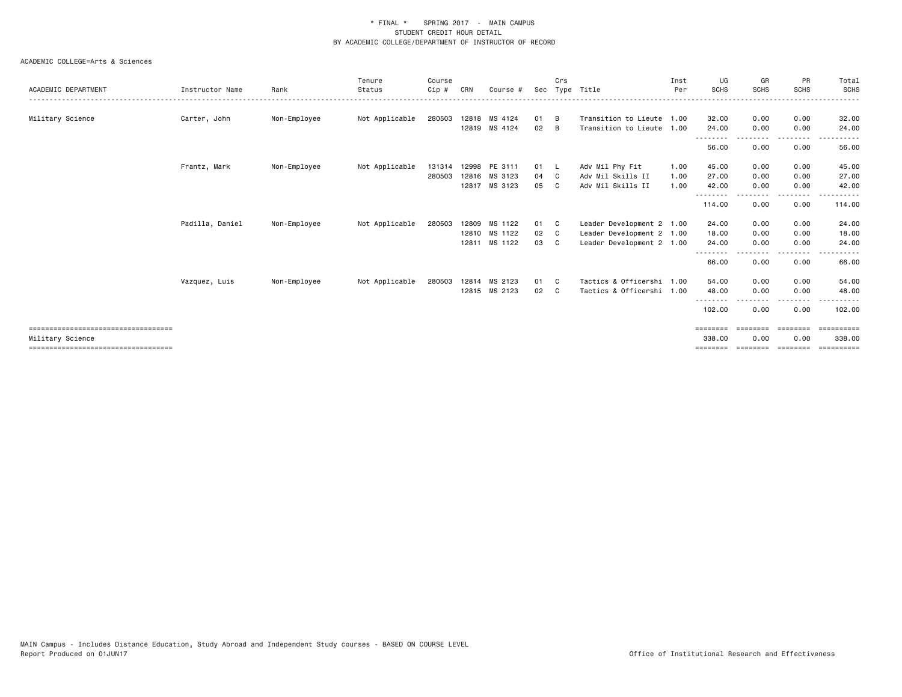| ACADEMIC DEPARTMENT                                      | Instructor Name | Rank         | Tenure<br>Status | Course<br>Cip # | CRN   | Course #      | Sec  | Crs            | Type Title                | Inst<br>Per | UG<br><b>SCHS</b>  | GR<br><b>SCHS</b> | PR<br><b>SCHS</b> | Total<br><b>SCHS</b> |
|----------------------------------------------------------|-----------------|--------------|------------------|-----------------|-------|---------------|------|----------------|---------------------------|-------------|--------------------|-------------------|-------------------|----------------------|
|                                                          |                 |              |                  |                 |       |               |      |                |                           |             |                    |                   |                   |                      |
| Military Science                                         | Carter, John    | Non-Employee | Not Applicable   | 280503          |       | 12818 MS 4124 | 01   | B              | Transition to Lieute 1.00 |             | 32.00              | 0.00              | 0.00              | 32.00                |
|                                                          |                 |              |                  |                 |       | 12819 MS 4124 | 02   | B              | Transition to Lieute 1.00 |             | 24.00<br>--------  | 0.00              | 0.00<br>-----     | 24.00                |
|                                                          |                 |              |                  |                 |       |               |      |                |                           |             | 56.00              | 0.00              | 0.00              | 56.00                |
|                                                          | Frantz, Mark    | Non-Employee | Not Applicable   | 131314          |       | 12998 PE 3111 | 01 L |                | Adv Mil Phy Fit           | 1.00        | 45.00              | 0.00              | 0.00              | 45.00                |
|                                                          |                 |              |                  | 280503          | 12816 | MS 3123       | 04   | C <sub>c</sub> | Adv Mil Skills II         | 1.00        | 27.00              | 0.00              | 0.00              | 27.00                |
|                                                          |                 |              |                  |                 |       | 12817 MS 3123 | 05   | C.             | Adv Mil Skills II         | 1.00        | 42.00<br>--------  | 0.00              | 0.00<br>----      | 42.00                |
|                                                          |                 |              |                  |                 |       |               |      |                |                           |             | 114.00             | 0.00              | 0.00              | 114.00               |
|                                                          | Padilla, Daniel | Non-Employee | Not Applicable   | 280503          |       | 12809 MS 1122 | 01   | - C            | Leader Development 2 1.00 |             | 24.00              | 0.00              | 0.00              | 24.00                |
|                                                          |                 |              |                  |                 |       | 12810 MS 1122 | 02   | C.             | Leader Development 2 1.00 |             | 18.00              | 0.00              | 0.00              | 18.00                |
|                                                          |                 |              |                  |                 |       | 12811 MS 1122 | 03   | C              | Leader Development 2 1.00 |             | 24.00              | 0.00              | 0.00              | 24.00                |
|                                                          |                 |              |                  |                 |       |               |      |                |                           |             | --------<br>66.00  | 0.00              | -----<br>0.00     | 66.00                |
|                                                          | Vazquez, Luis   | Non-Employee | Not Applicable   | 280503          |       | 12814 MS 2123 | 01   | - C            | Tactics & Officershi 1.00 |             | 54.00              | 0.00              | 0.00              | 54.00                |
|                                                          |                 |              |                  |                 |       | 12815 MS 2123 | 02   | C.             | Tactics & Officershi 1.00 |             | 48.00              | 0.00              | 0.00              | 48.00                |
|                                                          |                 |              |                  |                 |       |               |      |                |                           |             | --------<br>102.00 | 0.00              | .<br>0.00         | 102.00               |
| ====================================<br>Military Science |                 |              |                  |                 |       |               |      |                |                           |             | ========<br>338,00 | ========<br>0.00  | ========<br>0.00  | ==========<br>338,00 |
| ====================================                     |                 |              |                  |                 |       |               |      |                |                           |             |                    |                   |                   |                      |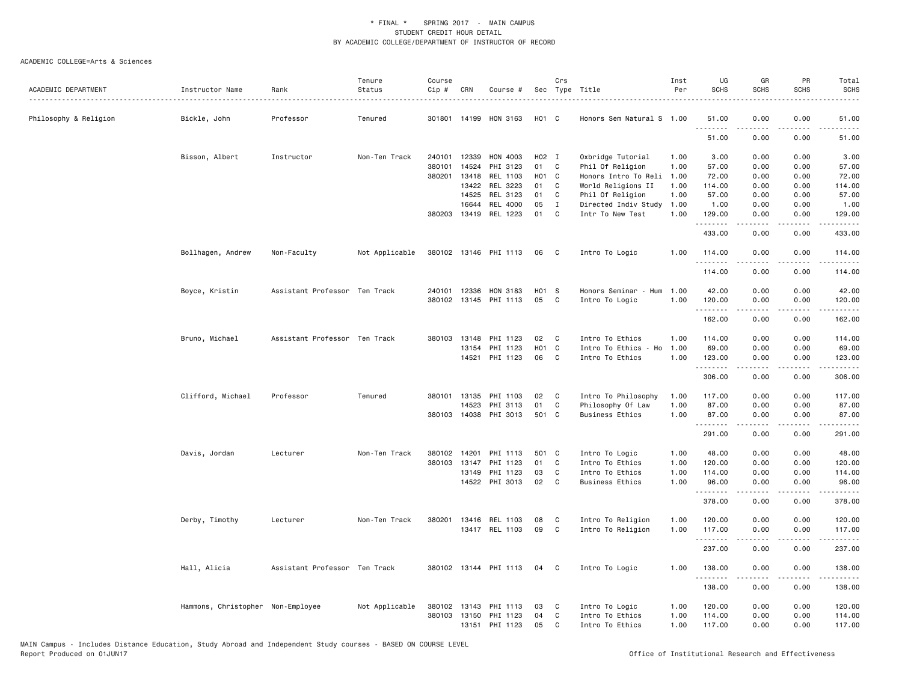|                       |                                   |                               | Tenure         | Course |              |                       |            | Crs            |                        | Inst | UG                 | GR          | PR                           | Total                                                                                                                 |
|-----------------------|-----------------------------------|-------------------------------|----------------|--------|--------------|-----------------------|------------|----------------|------------------------|------|--------------------|-------------|------------------------------|-----------------------------------------------------------------------------------------------------------------------|
| ACADEMIC DEPARTMENT   | Instructor Name                   | Rank                          | Status         | Cip #  | CRN          | Course #              |            |                | Sec Type Title         | Per  | <b>SCHS</b>        | <b>SCHS</b> | <b>SCHS</b>                  | <b>SCHS</b>                                                                                                           |
| Philosophy & Religion | Bickle, John                      | Professor                     | Tenured        | 301801 | 14199        | HON 3163              | H01 C      |                | Honors Sem Natural S   | 1.00 | 51.00              | 0.00        | 0.00                         | 51.00                                                                                                                 |
|                       |                                   |                               |                |        |              |                       |            |                |                        |      | .<br>51.00         | 0.00        | 0.00                         | 51.00                                                                                                                 |
|                       | Bisson, Albert                    | Instructor                    | Non-Ten Track  | 240101 | 12339        | HON 4003              | H02 I      |                | Oxbridge Tutorial      | 1.00 | 3.00               | 0.00        | 0.00                         | 3.00                                                                                                                  |
|                       |                                   |                               |                | 380101 | 14524        | PHI 3123              | 01         | C              | Phil Of Religion       | 1.00 | 57.00              | 0.00        | 0.00                         | 57.00                                                                                                                 |
|                       |                                   |                               |                | 380201 | 13418        | REL 1103              | H01 C      |                | Honors Intro To Reli   | 1.00 | 72.00              | 0.00        | 0.00                         | 72.00                                                                                                                 |
|                       |                                   |                               |                |        | 13422        | REL 3223              | 01         | C              | World Religions II     | 1.00 | 114.00             | 0.00        | 0.00                         | 114.00                                                                                                                |
|                       |                                   |                               |                |        | 14525        | REL 3123              | 01         | C              | Phil Of Religion       | 1.00 | 57.00              | 0.00        | 0.00                         | 57.00                                                                                                                 |
|                       |                                   |                               |                |        | 16644        | REL 4000              | 05         | $\mathbf{I}$   | Directed Indiv Study   | 1.00 | 1.00               | 0.00        | 0.00                         | 1.00                                                                                                                  |
|                       |                                   |                               |                |        |              | 380203 13419 REL 1223 | 01         | C              | Intr To New Test       | 1.00 | 129.00<br>.        | 0.00<br>.   | 0.00<br>.                    | 129.00                                                                                                                |
|                       |                                   |                               |                |        |              |                       |            |                |                        |      | 433.00             | 0.00        | 0.00                         | 433.00                                                                                                                |
|                       | Bollhagen, Andrew                 | Non-Faculty                   | Not Applicable |        |              | 380102 13146 PHI 1113 | 06         | C              | Intro To Logic         | 1.00 | 114.00<br>.        | 0.00        | 0.00                         | 114.00                                                                                                                |
|                       |                                   |                               |                |        |              |                       |            |                |                        |      | 114.00             | 0.00        | 0.00                         | 114.00                                                                                                                |
|                       | Boyce, Kristin                    | Assistant Professor Ten Track |                |        | 240101 12336 | HON 3183              | H01 S      |                | Honors Seminar - Hum   | 1.00 | 42.00              | 0.00        | 0.00                         | 42.00                                                                                                                 |
|                       |                                   |                               |                |        |              | 380102 13145 PHI 1113 | 05         | C              | Intro To Logic         | 1.00 | 120.00             | 0.00        | 0.00                         | 120.00                                                                                                                |
|                       |                                   |                               |                |        |              |                       |            |                |                        |      | .                  |             | $\sim$ $\sim$ $\sim$ $\sim$  | .                                                                                                                     |
|                       |                                   |                               |                |        |              |                       |            |                |                        |      | 162.00             | 0.00        | 0.00                         | 162.00                                                                                                                |
|                       | Bruno, Michael                    | Assistant Professor Ten Track |                |        |              | 380103 13148 PHI 1123 | 02         | C <sub>1</sub> | Intro To Ethics        | 1.00 | 114.00             | 0.00        | 0.00                         | 114.00                                                                                                                |
|                       |                                   |                               |                |        | 13154        | PHI 1123              | <b>HO1</b> | C              | Intro To Ethics - Ho   | 1.00 | 69.00              | 0.00        | 0.00                         | 69.00                                                                                                                 |
|                       |                                   |                               |                |        | 14521        | PHI 1123              | 06         | C              | Intro To Ethics        | 1.00 | 123.00<br><u>.</u> | 0.00        | 0.00                         | 123.00<br>.                                                                                                           |
|                       |                                   |                               |                |        |              |                       |            |                |                        |      | 306.00             | 0.00        | 0.00                         | 306.00                                                                                                                |
|                       | Clifford, Michael                 | Professor                     | Tenured        |        | 380101 13135 | PHI 1103              | 02         | C              | Intro To Philosophy    | 1.00 | 117.00             | 0.00        | 0.00                         | 117.00                                                                                                                |
|                       |                                   |                               |                |        | 14523        | PHI 3113              | 01         | C              | Philosophy Of Law      | 1.00 | 87.00              | 0.00        | 0.00                         | 87.00                                                                                                                 |
|                       |                                   |                               |                |        | 380103 14038 | PHI 3013              | 501 C      |                | <b>Business Ethics</b> | 1.00 | 87.00<br>.         | 0.00<br>.   | 0.00<br>$- - - -$            | 87.00<br>.                                                                                                            |
|                       |                                   |                               |                |        |              |                       |            |                |                        |      | 291.00             | 0.00        | 0.00                         | 291.00                                                                                                                |
|                       | Davis, Jordan                     | Lecturer                      | Non-Ten Track  |        | 380102 14201 | PHI 1113              | 501 C      |                | Intro To Logic         | 1.00 | 48.00              | 0.00        | 0.00                         | 48.00                                                                                                                 |
|                       |                                   |                               |                | 380103 | 13147        | PHI 1123              | 01         | C              | Intro To Ethics        | 1.00 | 120.00             | 0.00        | 0.00                         | 120.00                                                                                                                |
|                       |                                   |                               |                |        | 13149        | PHI 1123              | 03         | $\mathsf{C}$   | Intro To Ethics        | 1.00 | 114.00             | 0.00        | 0.00                         | 114.00                                                                                                                |
|                       |                                   |                               |                |        |              | 14522 PHI 3013        | 02         | C              | <b>Business Ethics</b> | 1.00 | 96.00              | 0.00        | 0.00                         | 96.00                                                                                                                 |
|                       |                                   |                               |                |        |              |                       |            |                |                        |      | .<br>378.00        | .<br>0.00   | $\sim$ $\sim$ $\sim$<br>0.00 | .<br>378.00                                                                                                           |
|                       | Derby, Timothy                    | Lecturer                      | Non-Ten Track  | 380201 |              | 13416 REL 1103        | 08         | C              | Intro To Religion      | 1.00 | 120.00             | 0.00        | 0.00                         | 120.00                                                                                                                |
|                       |                                   |                               |                |        |              | 13417 REL 1103        | 09         | C              | Intro To Religion      | 1.00 | 117.00             | 0.00        | 0.00                         | 117.00                                                                                                                |
|                       |                                   |                               |                |        |              |                       |            |                |                        |      | .<br>237.00        | .<br>0.00   | $\frac{1}{2}$<br>0.00        | $\begin{array}{cccccccccc} \bullet & \bullet & \bullet & \bullet & \bullet & \bullet & \bullet \end{array}$<br>237.00 |
|                       | Hall, Alicia                      | Assistant Professor Ten Track |                |        |              | 380102 13144 PHI 1113 | 04         | $\mathbf{C}$   | Intro To Logic         | 1.00 | 138.00             | 0.00        | 0.00                         | 138.00                                                                                                                |
|                       |                                   |                               |                |        |              |                       |            |                |                        |      | .<br>138.00        | 0.00        | $\sim$ $\sim$ $\sim$<br>0.00 | .<br>138.00                                                                                                           |
|                       | Hammons, Christopher Non-Employee |                               | Not Applicable |        |              | 380102 13143 PHI 1113 | 03         | C              | Intro To Logic         | 1.00 | 120.00             | 0.00        | 0.00                         | 120.00                                                                                                                |
|                       |                                   |                               |                | 380103 | 13150        | PHI 1123              | 04         | C              | Intro To Ethics        | 1.00 | 114.00             | 0.00        | 0.00                         | 114.00                                                                                                                |
|                       |                                   |                               |                |        |              | 13151 PHI 1123        | 05         | C              | Intro To Ethics        | 1.00 | 117.00             | 0.00        | 0.00                         | 117.00                                                                                                                |
|                       |                                   |                               |                |        |              |                       |            |                |                        |      |                    |             |                              |                                                                                                                       |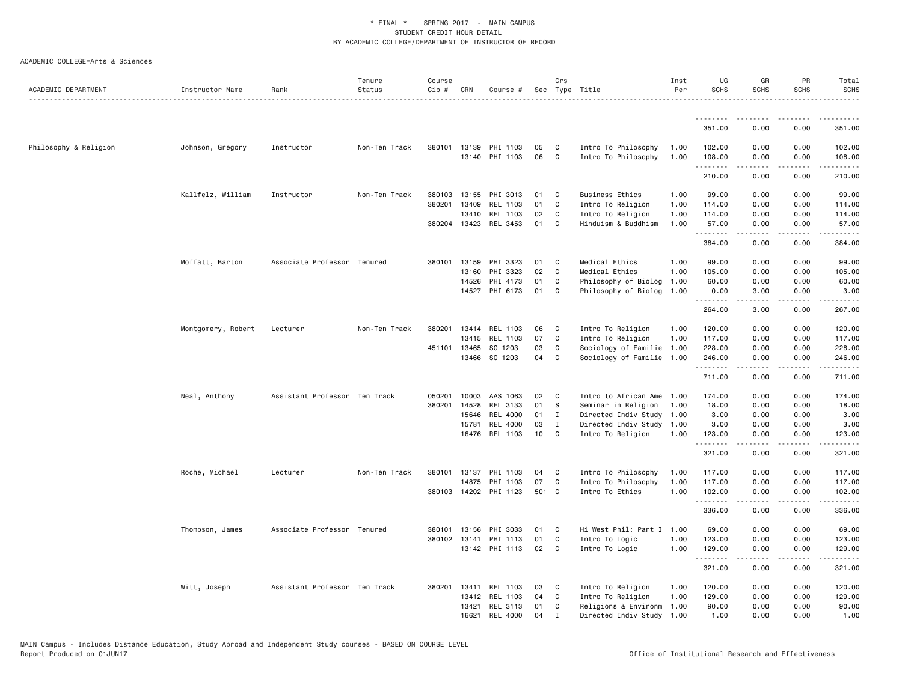|                       |                    |                               | Tenure        | Course |              |                       |       | Crs          |                           | Inst<br>Per | UG<br><b>SCHS</b> | GR                | PR<br><b>SCHS</b>            | Total                                                                                                                                                                                     |
|-----------------------|--------------------|-------------------------------|---------------|--------|--------------|-----------------------|-------|--------------|---------------------------|-------------|-------------------|-------------------|------------------------------|-------------------------------------------------------------------------------------------------------------------------------------------------------------------------------------------|
| ACADEMIC DEPARTMENT   | Instructor Name    | Rank                          | Status        | Cip #  | CRN          | Course #              |       |              | Sec Type Title            |             |                   | <b>SCHS</b>       |                              | <b>SCHS</b><br>.                                                                                                                                                                          |
|                       |                    |                               |               |        |              |                       |       |              |                           |             | .                 |                   |                              |                                                                                                                                                                                           |
|                       |                    |                               |               |        |              |                       |       |              |                           |             | 351.00            | 0.00              | 0.00                         | 351.00                                                                                                                                                                                    |
| Philosophy & Religion | Johnson, Gregory   | Instructor                    | Non-Ten Track |        |              | 380101 13139 PHI 1103 | 05    | C            | Intro To Philosophy       | 1.00        | 102.00            | 0.00              | 0.00                         | 102.00                                                                                                                                                                                    |
|                       |                    |                               |               |        |              | 13140 PHI 1103        | 06    | C            | Intro To Philosophy       | 1.00        | 108.00<br>.       | 0.00<br>.         | 0.00<br>.                    | 108,00<br>$\frac{1}{2} \left( \frac{1}{2} \right) \left( \frac{1}{2} \right) \left( \frac{1}{2} \right) \left( \frac{1}{2} \right) \left( \frac{1}{2} \right)$                            |
|                       |                    |                               |               |        |              |                       |       |              |                           |             | 210.00            | 0.00              | 0.00                         | 210.00                                                                                                                                                                                    |
|                       | Kallfelz, William  | Instructor                    | Non-Ten Track | 380103 | 13155        | PHI 3013              | 01    | C            | <b>Business Ethics</b>    | 1.00        | 99.00             | 0.00              | 0.00                         | 99.00                                                                                                                                                                                     |
|                       |                    |                               |               | 380201 | 13409        | REL 1103              | 01    | C            | Intro To Religion         | 1.00        | 114.00            | 0.00              | 0.00                         | 114.00                                                                                                                                                                                    |
|                       |                    |                               |               |        | 13410        | REL 1103              | 02    | C            | Intro To Religion         | 1.00        | 114.00            | 0.00              | 0.00                         | 114.00                                                                                                                                                                                    |
|                       |                    |                               |               |        |              | 380204 13423 REL 3453 | 01    | C            | Hinduism & Buddhism       | 1.00        | 57.00<br>.        | 0.00<br>2.2.2.2.2 | 0.00<br>.                    | 57.00<br>$\begin{array}{cccccccccc} \bullet & \bullet & \bullet & \bullet & \bullet & \bullet & \bullet \end{array}$                                                                      |
|                       |                    |                               |               |        |              |                       |       |              |                           |             | 384.00            | 0.00              | 0.00                         | 384.00                                                                                                                                                                                    |
|                       | Moffatt, Barton    | Associate Professor Tenured   |               | 380101 | 13159        | PHI 3323              | 01    | C            | Medical Ethics            | 1.00        | 99.00             | 0.00              | 0.00                         | 99.00                                                                                                                                                                                     |
|                       |                    |                               |               |        | 13160        | PHI 3323              | 02    | C            | Medical Ethics            | 1.00        | 105.00            | 0.00              | 0.00                         | 105.00                                                                                                                                                                                    |
|                       |                    |                               |               |        | 14526        | PHI 4173              | 01    | C            | Philosophy of Biolog      | 1.00        | 60.00             | 0.00              | 0.00                         | 60.00                                                                                                                                                                                     |
|                       |                    |                               |               |        | 14527        | PHI 6173              | 01    | C            | Philosophy of Biolog      | 1.00        | 0.00<br>.         | 3.00<br>.         | 0.00<br>$\frac{1}{2}$        | 3.00<br><u>.</u>                                                                                                                                                                          |
|                       |                    |                               |               |        |              |                       |       |              |                           |             | 264.00            | 3.00              | 0.00                         | 267.00                                                                                                                                                                                    |
|                       | Montgomery, Robert | Lecturer                      | Non-Ten Track | 380201 |              | 13414 REL 1103        | 06    | C            | Intro To Religion         | 1.00        | 120.00            | 0.00              | 0.00                         | 120.00                                                                                                                                                                                    |
|                       |                    |                               |               |        |              | 13415 REL 1103        | 07    | C            | Intro To Religion         | 1.00        | 117.00            | 0.00              | 0.00                         | 117.00                                                                                                                                                                                    |
|                       |                    |                               |               | 451101 | 13465        | SO 1203               | 03    | C            | Sociology of Familie 1.00 |             | 228.00            | 0.00              | 0.00                         | 228.00                                                                                                                                                                                    |
|                       |                    |                               |               |        |              | 13466 SO 1203         | 04    | C            | Sociology of Familie      | 1.00        | 246.00<br>.       | 0.00              | 0.00<br>$\sim$ $\sim$ $\sim$ | 246.00<br>2.2.2.2.2                                                                                                                                                                       |
|                       |                    |                               |               |        |              |                       |       |              |                           |             | 711.00            | 0.00              | 0.00                         | 711.00                                                                                                                                                                                    |
|                       | Neal, Anthony      | Assistant Professor Ten Track |               | 050201 | 10003        | AAS 1063              | 02    | C            | Intro to African Ame      | 1.00        | 174.00            | 0.00              | 0.00                         | 174.00                                                                                                                                                                                    |
|                       |                    |                               |               | 380201 | 14528        | REL 3133              | 01    | S            | Seminar in Religion       | 1.00        | 18.00             | 0.00              | 0.00                         | 18.00                                                                                                                                                                                     |
|                       |                    |                               |               |        | 15646        | REL 4000              | 01    | $\mathbf{I}$ | Directed Indiv Study      | 1.00        | 3.00              | 0.00              | 0.00                         | 3.00                                                                                                                                                                                      |
|                       |                    |                               |               |        | 15781        | REL 4000              | 03    | $\mathbf{I}$ | Directed Indiv Study      | 1.00        | 3.00              | 0.00              | 0.00                         | 3.00                                                                                                                                                                                      |
|                       |                    |                               |               |        |              | 16476 REL 1103        | 10    | C            | Intro To Religion         | 1.00        | 123.00<br>.       | 0.00<br>-----     | 0.00<br>.                    | 123.00<br>$\frac{1}{2} \left( \frac{1}{2} \right) \left( \frac{1}{2} \right) \left( \frac{1}{2} \right) \left( \frac{1}{2} \right) \left( \frac{1}{2} \right) \left( \frac{1}{2} \right)$ |
|                       |                    |                               |               |        |              |                       |       |              |                           |             | 321.00            | 0.00              | 0.00                         | 321.00                                                                                                                                                                                    |
|                       | Roche, Michael     | Lecturer                      | Non-Ten Track | 380101 | 13137        | PHI 1103              | 04    | C            | Intro To Philosophy       | 1.00        | 117.00            | 0.00              | 0.00                         | 117.00                                                                                                                                                                                    |
|                       |                    |                               |               |        | 14875        | PHI 1103              | 07    | C            | Intro To Philosophy       | 1.00        | 117.00            | 0.00              | 0.00                         | 117.00                                                                                                                                                                                    |
|                       |                    |                               |               |        |              | 380103 14202 PHI 1123 | 501 C |              | Intro To Ethics           | 1.00        | 102.00<br>.       | 0.00<br>.         | 0.00<br>.                    | 102.00<br>.                                                                                                                                                                               |
|                       |                    |                               |               |        |              |                       |       |              |                           |             | 336.00            | 0.00              | 0.00                         | 336.00                                                                                                                                                                                    |
|                       | Thompson, James    | Associate Professor Tenured   |               | 380101 | 13156        | PHI 3033              | 01    | C            | Hi West Phil: Part I 1.00 |             | 69.00             | 0.00              | 0.00                         | 69.00                                                                                                                                                                                     |
|                       |                    |                               |               |        | 380102 13141 | PHI 1113              | 01    | C            | Intro To Logic            | 1.00        | 123.00            | 0.00              | 0.00                         | 123.00                                                                                                                                                                                    |
|                       |                    |                               |               |        |              | 13142 PHI 1113        | 02    | C            | Intro To Logic            | 1.00        | 129.00<br>.       | 0.00<br>.         | 0.00<br>.                    | 129.00<br>.                                                                                                                                                                               |
|                       |                    |                               |               |        |              |                       |       |              |                           |             | 321.00            | 0.00              | 0.00                         | 321.00                                                                                                                                                                                    |
|                       | Witt, Joseph       | Assistant Professor Ten Track |               | 380201 | 13411        | REL 1103              | 03    | C            | Intro To Religion         | 1.00        | 120.00            | 0.00              | 0.00                         | 120.00                                                                                                                                                                                    |
|                       |                    |                               |               |        | 13412        | REL 1103              | 04    | C            | Intro To Religion         | 1.00        | 129.00            | 0.00              | 0.00                         | 129.00                                                                                                                                                                                    |
|                       |                    |                               |               |        | 13421        | REL 3113              | 01    | C            | Religions & Environm      | 1.00        | 90.00             | 0.00              | 0.00                         | 90.00                                                                                                                                                                                     |
|                       |                    |                               |               |        | 16621        | REL 4000              | 04    | $\mathbf{I}$ | Directed Indiv Study      | 1.00        | 1.00              | 0.00              | 0.00                         | 1.00                                                                                                                                                                                      |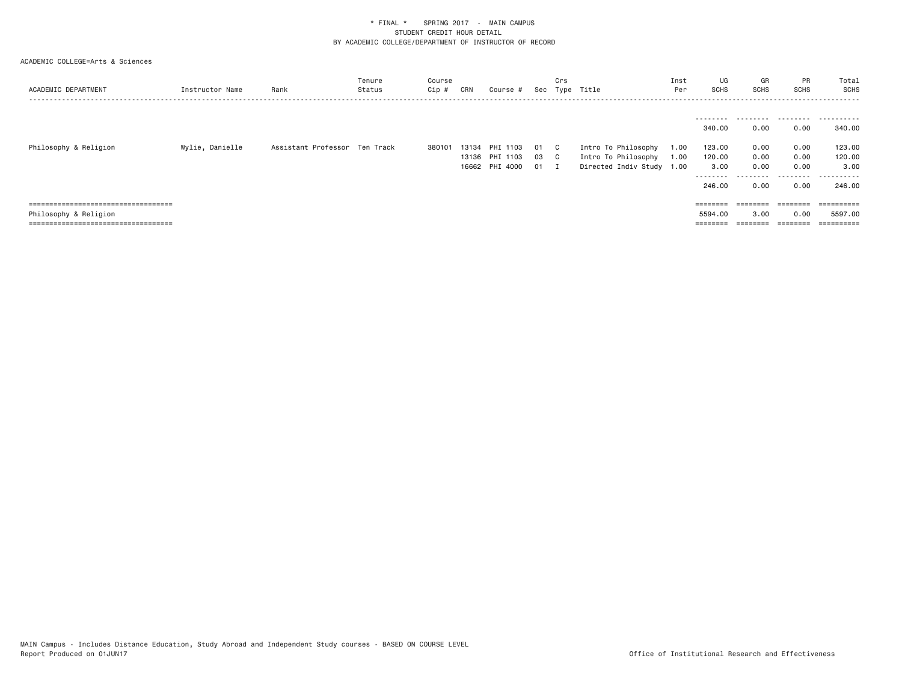| ACADEMIC DEPARTMENT                  | Instructor Name | Rank                          | Tenure<br>Status | Course<br>Cip # | CRN   | Course #       |     | Crs | Sec Type Title            | Inst<br>Per | UG<br>SCHS          | GR<br><b>SCHS</b> | <b>PR</b><br>SCHS | Total<br>SCHS<br>.                                                                                                                                                                                                                                                                                                                                                                                                                                                                         |
|--------------------------------------|-----------------|-------------------------------|------------------|-----------------|-------|----------------|-----|-----|---------------------------|-------------|---------------------|-------------------|-------------------|--------------------------------------------------------------------------------------------------------------------------------------------------------------------------------------------------------------------------------------------------------------------------------------------------------------------------------------------------------------------------------------------------------------------------------------------------------------------------------------------|
|                                      |                 |                               |                  |                 |       |                |     |     |                           |             | ---------<br>340.00 | .<br>0.00         | .<br>0.00         | .<br>340.00                                                                                                                                                                                                                                                                                                                                                                                                                                                                                |
| Philosophy & Religion                | Wylie, Danielle | Assistant Professor Ten Track |                  | 380101          | 13134 | PHI 1103       | -01 | C.  | Intro To Philosophy       | 1.00        | 123.00              | 0.00              | 0.00              | 123.00                                                                                                                                                                                                                                                                                                                                                                                                                                                                                     |
|                                      |                 |                               |                  |                 |       | 13136 PHI 1103 | 03  | C.  | Intro To Philosophy       | 1.00        | 120.00              | 0.00              | 0.00              | 120.00                                                                                                                                                                                                                                                                                                                                                                                                                                                                                     |
|                                      |                 |                               |                  |                 |       | 16662 PHI 4000 | 01  |     | Directed Indiv Study 1.00 |             | 3.00                | 0.00              | 0.00              | 3.00                                                                                                                                                                                                                                                                                                                                                                                                                                                                                       |
|                                      |                 |                               |                  |                 |       |                |     |     |                           |             | --------            | .                 | .                 | .                                                                                                                                                                                                                                                                                                                                                                                                                                                                                          |
|                                      |                 |                               |                  |                 |       |                |     |     |                           |             | 246.00              | 0.00              | 0.00              | 246,00                                                                                                                                                                                                                                                                                                                                                                                                                                                                                     |
|                                      |                 |                               |                  |                 |       |                |     |     |                           |             |                     |                   |                   |                                                                                                                                                                                                                                                                                                                                                                                                                                                                                            |
| ===============================      |                 |                               |                  |                 |       |                |     |     |                           |             | $=$ = = = = = = =   |                   | ========          | $\begin{minipage}{0.9\linewidth} \begin{tabular}{l} \multicolumn{2}{l}{} & \multicolumn{2}{l}{} & \multicolumn{2}{l}{} \\ \multicolumn{2}{l}{} & \multicolumn{2}{l}{} & \multicolumn{2}{l}{} \\ \multicolumn{2}{l}{} & \multicolumn{2}{l}{} & \multicolumn{2}{l}{} \\ \multicolumn{2}{l}{} & \multicolumn{2}{l}{} & \multicolumn{2}{l}{} \\ \multicolumn{2}{l}{} & \multicolumn{2}{l}{} & \multicolumn{2}{l}{} \\ \multicolumn{2}{l}{} & \multicolumn{2}{l}{} & \multicolumn{2}{l}{} \\ \$ |
| Philosophy & Religion                |                 |                               |                  |                 |       |                |     |     |                           |             | 5594.00             | 3,00              | 0.00              | 5597.00                                                                                                                                                                                                                                                                                                                                                                                                                                                                                    |
| ==================================== |                 |                               |                  |                 |       |                |     |     |                           |             | ______              |                   |                   | ==========                                                                                                                                                                                                                                                                                                                                                                                                                                                                                 |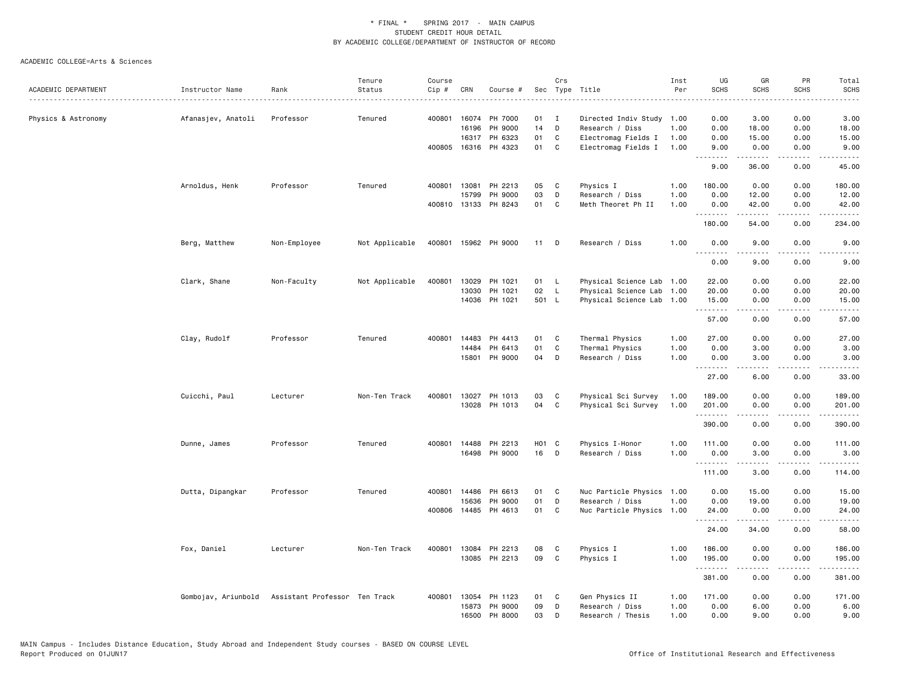|                     |                     |                               | Tenure         | Course |              |                      |                   | Crs                 |                                              | Inst | UG           | GR                | PR                                  | Total                                                                                                                                                        |
|---------------------|---------------------|-------------------------------|----------------|--------|--------------|----------------------|-------------------|---------------------|----------------------------------------------|------|--------------|-------------------|-------------------------------------|--------------------------------------------------------------------------------------------------------------------------------------------------------------|
| ACADEMIC DEPARTMENT | Instructor Name     | Rank                          | Status         | Cip #  | CRN          | Course #             | Sec               |                     | Type Title                                   | Per  | <b>SCHS</b>  | <b>SCHS</b>       | <b>SCHS</b>                         | SCHS                                                                                                                                                         |
|                     |                     |                               |                |        |              | 400801 16074 PH 7000 | 01                |                     |                                              |      |              |                   |                                     | 3.00                                                                                                                                                         |
| Physics & Astronomy | Afanasjev, Anatoli  | Professor                     | Tenured        |        | 16196        | PH 9000              | 14                | $\blacksquare$<br>D | Directed Indiv Study 1.00<br>Research / Diss | 1.00 | 0.00<br>0.00 | 3.00<br>18.00     | 0.00<br>0.00                        | 18.00                                                                                                                                                        |
|                     |                     |                               |                |        |              | 16317 PH 6323        | 01                | C                   | Electromag Fields I                          | 1.00 | 0.00         | 15.00             | 0.00                                | 15.00                                                                                                                                                        |
|                     |                     |                               |                | 400805 |              | 16316 PH 4323        | 01                | C                   | Electromag Fields I                          | 1.00 | 9.00         | 0.00              | 0.00                                | 9.00                                                                                                                                                         |
|                     |                     |                               |                |        |              |                      |                   |                     |                                              |      | .            |                   | $   -$                              | $\frac{1}{2}$                                                                                                                                                |
|                     |                     |                               |                |        |              |                      |                   |                     |                                              |      | 9.00         | 36.00             | 0.00                                | 45.00                                                                                                                                                        |
|                     | Arnoldus, Henk      | Professor                     | Tenured        |        | 400801 13081 | PH 2213              | 05                | C                   | Physics I                                    | 1.00 | 180.00       | 0.00              | 0.00                                | 180.00                                                                                                                                                       |
|                     |                     |                               |                |        | 15799        | PH 9000              | 03                | D                   | Research / Diss                              | 1.00 | 0.00         | 12.00             | 0.00                                | 12.00                                                                                                                                                        |
|                     |                     |                               |                |        | 400810 13133 | PH 8243              | 01                | C                   | Meth Theoret Ph II                           | 1.00 | 0.00<br>.    | 42.00<br><u>.</u> | 0.00<br>$\sim$ $\sim$ $\sim$        | 42.00<br>.                                                                                                                                                   |
|                     |                     |                               |                |        |              |                      |                   |                     |                                              |      | 180.00       | 54.00             | 0.00                                | 234.00                                                                                                                                                       |
|                     | Berg, Matthew       | Non-Employee                  | Not Applicable |        |              | 400801 15962 PH 9000 | 11                | D                   | Research / Diss                              | 1.00 | 0.00<br>.    | 9.00              | 0.00                                | 9.00                                                                                                                                                         |
|                     |                     |                               |                |        |              |                      |                   |                     |                                              |      | 0.00         | 9.00              | 0.00                                | 9.00                                                                                                                                                         |
|                     | Clark, Shane        | Non-Faculty                   | Not Applicable | 400801 | 13029        | PH 1021              | 01                | <b>L</b>            | Physical Science Lab 1.00                    |      | 22.00        | 0.00              | 0.00                                | 22.00                                                                                                                                                        |
|                     |                     |                               |                |        | 13030        | PH 1021              | 02                | $\mathsf{L}$        | Physical Science Lab 1.00                    |      | 20.00        | 0.00              | 0.00                                | 20.00                                                                                                                                                        |
|                     |                     |                               |                |        |              | 14036 PH 1021        | 501 L             |                     | Physical Science Lab 1.00                    |      | 15.00        | 0.00              | 0.00                                | 15.00                                                                                                                                                        |
|                     |                     |                               |                |        |              |                      |                   |                     |                                              |      | .<br>57.00   | .<br>0.00         | .<br>0.00                           | د د د د د<br>57.00                                                                                                                                           |
|                     | Clay, Rudolf        | Professor                     | Tenured        | 400801 | 14483        | PH 4413              | 01                | C                   | Thermal Physics                              | 1.00 | 27.00        | 0.00              | 0.00                                | 27.00                                                                                                                                                        |
|                     |                     |                               |                |        | 14484        | PH 6413              | 01                | $\mathtt{C}$        | Thermal Physics                              | 1.00 | 0.00         | 3.00              | 0.00                                | 3.00                                                                                                                                                         |
|                     |                     |                               |                |        | 15801        | PH 9000              | 04                | D                   | Research / Diss                              | 1.00 | 0.00<br>.    | 3.00<br>.         | 0.00<br>$\frac{1}{2}$               | 3.00<br>$\frac{1}{2} \left( \frac{1}{2} \right) \left( \frac{1}{2} \right) \left( \frac{1}{2} \right) \left( \frac{1}{2} \right) \left( \frac{1}{2} \right)$ |
|                     |                     |                               |                |        |              |                      |                   |                     |                                              |      | 27.00        | 6.00              | 0.00                                | 33.00                                                                                                                                                        |
|                     | Cuicchi, Paul       | Lecturer                      | Non-Ten Track  | 400801 | 13027        | PH 1013              | 03                | C                   | Physical Sci Survey                          | 1.00 | 189.00       | 0.00              | 0.00                                | 189.00                                                                                                                                                       |
|                     |                     |                               |                |        |              | 13028 PH 1013        | 04                | C                   | Physical Sci Survey                          | 1.00 | 201.00       | 0.00              | 0.00                                | 201.00                                                                                                                                                       |
|                     |                     |                               |                |        |              |                      |                   |                     |                                              |      | .<br>390.00  | 0.00              | .<br>0.00                           | .<br>390.00                                                                                                                                                  |
|                     | Dunne, James        | Professor                     | Tenured        | 400801 | 14488        | PH 2213              | H <sub>01</sub> C |                     | Physics I-Honor                              | 1.00 | 111.00       | 0.00              | 0.00                                | 111.00                                                                                                                                                       |
|                     |                     |                               |                |        |              | 16498 PH 9000        | 16                | D                   | Research / Diss                              | 1.00 | 0.00<br>.    | 3.00              | 0.00                                | 3.00<br>.                                                                                                                                                    |
|                     |                     |                               |                |        |              |                      |                   |                     |                                              |      | 111.00       | 3.00              | 0.00                                | 114.00                                                                                                                                                       |
|                     | Dutta, Dipangkar    | Professor                     | Tenured        |        | 400801 14486 | PH 6613              | 01                | C                   | Nuc Particle Physics 1.00                    |      | 0.00         | 15.00             | 0.00                                | 15.00                                                                                                                                                        |
|                     |                     |                               |                |        | 15636        | PH 9000              | 01                | D                   | Research / Diss                              | 1.00 | 0.00         | 19.00             | 0.00                                | 19.00                                                                                                                                                        |
|                     |                     |                               |                |        | 400806 14485 | PH 4613              | 01                | C                   | Nuc Particle Physics 1.00                    |      | 24.00<br>.   | 0.00              | 0.00<br>.                           | 24.00<br><u>.</u>                                                                                                                                            |
|                     |                     |                               |                |        |              |                      |                   |                     |                                              |      | 24.00        | 34.00             | 0.00                                | 58.00                                                                                                                                                        |
|                     | Fox, Daniel         | Lecturer                      | Non-Ten Track  |        | 400801 13084 | PH 2213              | 08                | C                   | Physics I                                    | 1.00 | 186.00       | 0.00              | 0.00                                | 186.00                                                                                                                                                       |
|                     |                     |                               |                |        |              | 13085 PH 2213        | 09                | C                   | Physics I                                    | 1.00 | 195.00<br>.  | 0.00              | 0.00<br>$\sim$ $\sim$ $\sim$ $\sim$ | 195.00<br>.                                                                                                                                                  |
|                     |                     |                               |                |        |              |                      |                   |                     |                                              |      | 381.00       | 0.00              | 0.00                                | 381.00                                                                                                                                                       |
|                     | Gombojav, Ariunbold | Assistant Professor Ten Track |                | 400801 | 13054        | PH 1123              | 01                | C                   | Gen Physics II                               | 1.00 | 171.00       | 0.00              | 0.00                                | 171.00                                                                                                                                                       |
|                     |                     |                               |                |        | 15873        | PH 9000              | 09                | D                   | Research / Diss                              | 1.00 | 0.00         | 6.00              | 0.00                                | 6.00                                                                                                                                                         |
|                     |                     |                               |                |        |              | 16500 PH 8000        | 03                | D                   | Research / Thesis                            | 1.00 | 0.00         | 9.00              | 0.00                                | 9.00                                                                                                                                                         |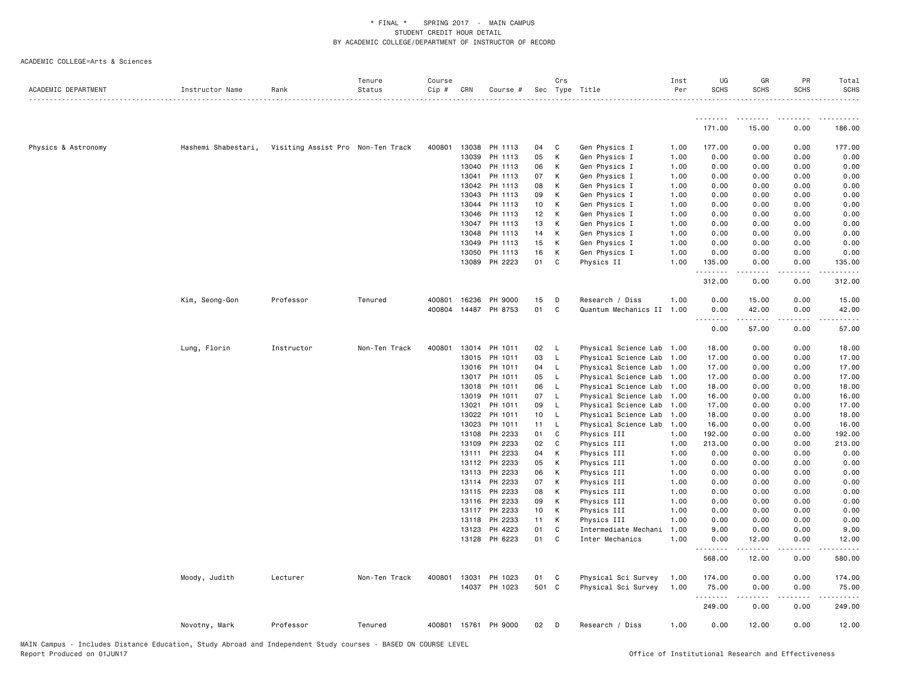| ACADEMIC DEPARTMENT | Instructor Name     | Rank                              | Tenure<br>Status | Course<br>Cip # | CRN            | Course #             |                 | Crs                | Sec Type Title                                         | Inst<br>Per | UG<br><b>SCHS</b>  | GR<br><b>SCHS</b> | PR<br><b>SCHS</b> | Total<br><b>SCHS</b> |
|---------------------|---------------------|-----------------------------------|------------------|-----------------|----------------|----------------------|-----------------|--------------------|--------------------------------------------------------|-------------|--------------------|-------------------|-------------------|----------------------|
|                     |                     |                                   |                  |                 |                |                      |                 |                    |                                                        |             | .                  | .                 |                   |                      |
|                     |                     |                                   |                  |                 |                |                      |                 |                    |                                                        |             | 171.00             | 15.00             | 0.00              | 186.00               |
| Physics & Astronomy | Hashemi Shabestari, | Visiting Assist Pro Non-Ten Track |                  |                 | 400801 13038   | PH 1113              | 04              | C                  | Gen Physics I                                          | 1.00        | 177.00             | 0.00              | 0.00              | 177.00               |
|                     |                     |                                   |                  |                 | 13039          | PH 1113              | 05              | К                  | Gen Physics I                                          | 1.00        | 0.00               | 0.00              | 0.00              | 0.00                 |
|                     |                     |                                   |                  |                 | 13040          | PH 1113              | 06              | Κ                  | Gen Physics I                                          | 1.00        | 0.00               | 0.00              | 0.00              | 0.00                 |
|                     |                     |                                   |                  |                 | 13041          | PH 1113              | 07              | К                  | Gen Physics I                                          | 1.00        | 0.00               | 0.00              | 0.00              | 0.00                 |
|                     |                     |                                   |                  |                 | 13042          | PH 1113              | 08              | К                  | Gen Physics I                                          | 1.00        | 0.00               | 0.00              | 0.00              | 0.00                 |
|                     |                     |                                   |                  |                 | 13043          | PH 1113              | 09              | К                  | Gen Physics I                                          | 1.00        | 0.00               | 0.00              | 0.00              | 0.00                 |
|                     |                     |                                   |                  |                 | 13044          | PH 1113              | 10              | К                  | Gen Physics I                                          | 1.00        | 0.00               | 0.00              | 0.00              | 0.00                 |
|                     |                     |                                   |                  |                 | 13046          | PH 1113              | 12 <sub>2</sub> | К                  | Gen Physics I                                          | 1.00        | 0.00               | 0.00              | 0.00              | 0.00                 |
|                     |                     |                                   |                  |                 | 13047          | PH 1113              | 13              | К                  | Gen Physics I                                          | 1.00        | 0.00               | 0.00              | 0.00              | 0.00                 |
|                     |                     |                                   |                  |                 | 13048          | PH 1113              | 14              | К                  | Gen Physics I                                          | 1.00        | 0.00               | 0.00              | 0.00              | 0.00                 |
|                     |                     |                                   |                  |                 | 13049          | PH 1113              | 15              | К                  | Gen Physics I                                          | 1.00        | 0.00               | 0.00              | 0.00              | 0.00                 |
|                     |                     |                                   |                  |                 | 13050          | PH 1113              | 16              | к                  | Gen Physics I                                          | 1.00        | 0.00               | 0.00              | 0.00              | 0.00                 |
|                     |                     |                                   |                  |                 | 13089          | PH 2223              | 01              | C                  | Physics II                                             | 1.00        | 135.00<br>.        | 0.00              | 0.00              | 135.00               |
|                     |                     |                                   |                  |                 |                |                      |                 |                    |                                                        |             | 312.00             | 0.00              | 0.00              | 312.00               |
|                     | Kim, Seong-Gon      | Professor                         | Tenured          |                 | 400801 16236   | PH 9000              | 15              | D                  | Research / Diss                                        | 1.00        | 0.00               | 15.00             | 0.00              | 15.00                |
|                     |                     |                                   |                  |                 |                | 400804 14487 PH 8753 | 01              | $\mathbf c$        | Quantum Mechanics II 1.00                              |             | 0.00<br>-----      | 42.00<br>.        | 0.00<br>.         | 42.00                |
|                     |                     |                                   |                  |                 |                |                      |                 |                    |                                                        |             | 0.00               | 57.00             | 0.00              | 57.00                |
|                     | Lung, Florin        | Instructor                        | Non-Ten Track    |                 | 400801 13014   | PH 1011              | 02              | - L                | Physical Science Lab 1.00                              |             | 18.00              | 0.00              | 0.00              | 18.00                |
|                     |                     |                                   |                  |                 | 13015          | PH 1011              | 03              | - L                | Physical Science Lab 1.00                              |             | 17.00              | 0.00              | 0.00              | 17.00                |
|                     |                     |                                   |                  |                 | 13016          | PH 1011              | 04              | L.                 | Physical Science Lab 1.00                              |             | 17.00              | 0.00              | 0.00              | 17.00                |
|                     |                     |                                   |                  |                 | 13017          | PH 1011              | 05              | - L                | Physical Science Lab 1.00                              |             | 17.00              | 0.00              | 0.00              | 17.00                |
|                     |                     |                                   |                  |                 | 13018          | PH 1011              | 06              | $\mathsf{L}$       | Physical Science Lab 1.00                              |             | 18.00              | 0.00              | 0.00              | 18.00                |
|                     |                     |                                   |                  |                 | 13019          | PH 1011              | 07              | $\mathsf{L}$       | Physical Science Lab 1.00                              |             | 16.00              | 0.00              | 0.00              | 16.00                |
|                     |                     |                                   |                  |                 | 13021<br>13022 | PH 1011<br>PH 1011   | 09<br>10        | L.<br>$\mathsf{L}$ | Physical Science Lab 1.00                              |             | 17.00<br>18.00     | 0.00<br>0.00      | 0.00<br>0.00      | 17.00<br>18.00       |
|                     |                     |                                   |                  |                 | 13023          | PH 1011              | $11 -$          | $\mathsf{L}$       | Physical Science Lab 1.00<br>Physical Science Lab 1.00 |             | 16.00              | 0.00              | 0.00              | 16.00                |
|                     |                     |                                   |                  |                 | 13108          | PH 2233              | 01              | C                  | Physics III                                            | 1.00        | 192.00             | 0.00              | 0.00              | 192.00               |
|                     |                     |                                   |                  |                 | 13109          | PH 2233              | 02              | C                  | Physics III                                            | 1.00        | 213.00             | 0.00              | 0.00              | 213.00               |
|                     |                     |                                   |                  |                 | 13111          | PH 2233              | 04              | К                  | Physics III                                            | 1.00        | 0.00               | 0.00              | 0.00              | 0.00                 |
|                     |                     |                                   |                  |                 |                | 13112 PH 2233        | 05              | К                  | Physics III                                            | 1.00        | 0.00               | 0.00              | 0.00              | 0.00                 |
|                     |                     |                                   |                  |                 | 13113          | PH 2233              | 06              | К                  | Physics III                                            | 1.00        | 0.00               | 0.00              | 0.00              | 0.00                 |
|                     |                     |                                   |                  |                 | 13114          | PH 2233              | 07              | К                  | Physics III                                            | 1.00        | 0.00               | 0.00              | 0.00              | 0.00                 |
|                     |                     |                                   |                  |                 | 13115          | PH 2233              | 08              | К                  | Physics III                                            | 1.00        | 0.00               | 0.00              | 0.00              | 0.00                 |
|                     |                     |                                   |                  |                 | 13116          | PH 2233              | 09              | К                  | Physics III                                            | 1.00        | 0.00               | 0.00              | 0.00              | 0.00                 |
|                     |                     |                                   |                  |                 | 13117          | PH 2233              | 10              | К                  | Physics III                                            | 1.00        | 0.00               | 0.00              | 0.00              | 0.00                 |
|                     |                     |                                   |                  |                 | 13118          | PH 2233              | 11              | К                  | Physics III                                            | 1.00        | 0.00               | 0.00              | 0.00              | 0.00                 |
|                     |                     |                                   |                  |                 | 13123          | PH 4223              | 01              | C                  | Intermediate Mechani                                   | 1.00        | 9.00               | 0.00              | 0.00              | 9.00                 |
|                     |                     |                                   |                  |                 | 13128          | PH 6223              | 01              | C                  | Inter Mechanics                                        | 1.00        | 0.00               | 12.00             | 0.00              | 12.00                |
|                     |                     |                                   |                  |                 |                |                      |                 |                    |                                                        |             | <u>.</u><br>568.00 | .<br>12.00        | .<br>0.00         | 580.00               |
|                     | Moody, Judith       | Lecturer                          | Non-Ten Track    |                 | 400801 13031   | PH 1023              | 01              | $\mathbf{C}$       | Physical Sci Survey                                    | 1.00        | 174.00             | 0.00              | 0.00              | 174.00               |
|                     |                     |                                   |                  |                 |                | 14037 PH 1023        | 501 C           |                    | Physical Sci Survey                                    | 1.00        | 75.00              | 0.00              | 0.00              | 75.00                |
|                     |                     |                                   |                  |                 |                |                      |                 |                    |                                                        |             | 249.00             | 0.00              | 0.00              | 249.00               |
|                     | Novotny, Mark       | Professor                         | Tenured          |                 |                | 400801 15761 PH 9000 | 02              | D                  | Research / Diss                                        | 1.00        | 0.00               | 12.00             | 0.00              | 12.00                |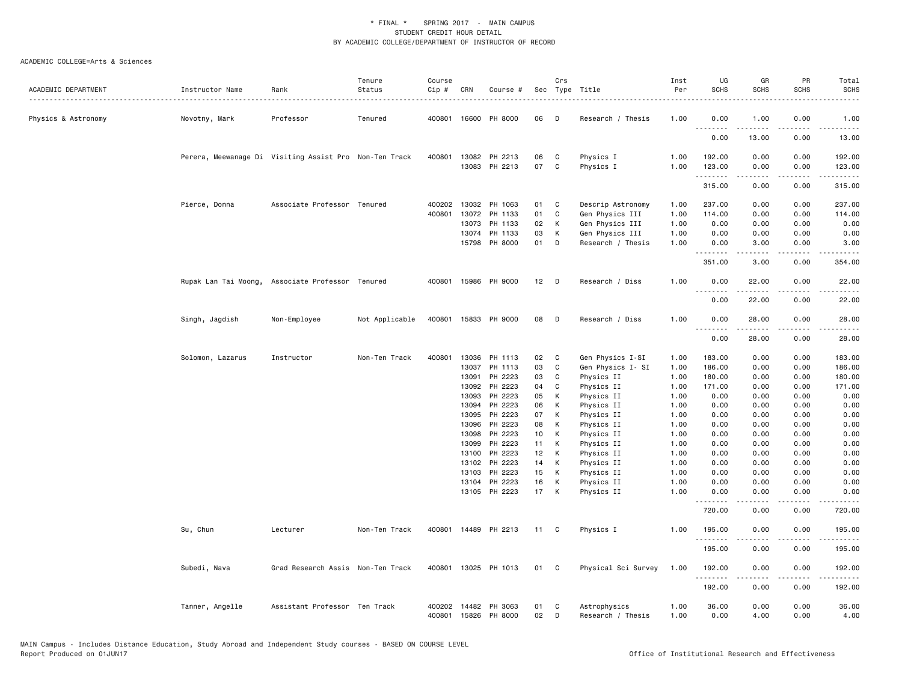| ACADEMIC DEPARTMENT | Instructor Name  | Rank                                                   | Tenure<br>Status | Course<br>Cip #  | CRN   | Course #             | Sec      | Crs               | Type Title          | Inst<br>Per | UG<br><b>SCHS</b>                                                                                                                                                                                                                                                                                                                                                                                                                                                                                | GR<br><b>SCHS</b>    | PR<br><b>SCHS</b>                   | Total<br><b>SCHS</b> |
|---------------------|------------------|--------------------------------------------------------|------------------|------------------|-------|----------------------|----------|-------------------|---------------------|-------------|--------------------------------------------------------------------------------------------------------------------------------------------------------------------------------------------------------------------------------------------------------------------------------------------------------------------------------------------------------------------------------------------------------------------------------------------------------------------------------------------------|----------------------|-------------------------------------|----------------------|
|                     |                  |                                                        |                  |                  |       |                      |          |                   |                     |             |                                                                                                                                                                                                                                                                                                                                                                                                                                                                                                  |                      |                                     |                      |
| Physics & Astronomy | Novotny, Mark    | Professor                                              | Tenured          |                  |       | 400801 16600 PH 8000 | 06       | D                 | Research / Thesis   | 1.00        | 0.00<br>.                                                                                                                                                                                                                                                                                                                                                                                                                                                                                        | 1.00                 | 0.00                                | 1.00<br>.            |
|                     |                  |                                                        |                  |                  |       |                      |          |                   |                     |             | 0.00                                                                                                                                                                                                                                                                                                                                                                                                                                                                                             | 13.00                | 0.00                                | 13.00                |
|                     |                  | Perera, Meewanage Di Visiting Assist Pro Non-Ten Track |                  |                  |       | 400801 13082 PH 2213 | 06       | C                 | Physics I           | 1.00        | 192.00                                                                                                                                                                                                                                                                                                                                                                                                                                                                                           | 0.00                 | 0.00                                | 192.00               |
|                     |                  |                                                        |                  |                  |       | 13083 PH 2213        | 07       | C                 | Physics I           | 1.00        | 123.00<br>.                                                                                                                                                                                                                                                                                                                                                                                                                                                                                      | 0.00<br><b>.</b>     | 0.00<br>.                           | 123.00               |
|                     |                  |                                                        |                  |                  |       |                      |          |                   |                     |             | 315.00                                                                                                                                                                                                                                                                                                                                                                                                                                                                                           | 0.00                 | 0.00                                | 315.00               |
|                     | Pierce, Donna    | Associate Professor Tenured                            |                  | 400202<br>400801 | 13072 | 13032 PH 1063        | 01<br>01 | C<br>$\mathtt{C}$ | Descrip Astronomy   | 1.00        | 237.00<br>114.00                                                                                                                                                                                                                                                                                                                                                                                                                                                                                 | 0.00<br>0.00         | 0.00                                | 237.00               |
|                     |                  |                                                        |                  |                  |       | PH 1133              |          |                   | Gen Physics III     | 1.00        |                                                                                                                                                                                                                                                                                                                                                                                                                                                                                                  |                      | 0.00                                | 114.00               |
|                     |                  |                                                        |                  |                  | 13073 | PH 1133              | 02       | К                 | Gen Physics III     | 1.00        | 0.00                                                                                                                                                                                                                                                                                                                                                                                                                                                                                             | 0.00                 | 0.00                                | 0.00                 |
|                     |                  |                                                        |                  |                  | 13074 | PH 1133              | 03       | К                 | Gen Physics III     | 1.00        | 0.00                                                                                                                                                                                                                                                                                                                                                                                                                                                                                             | 0.00                 | 0.00                                | 0.00                 |
|                     |                  |                                                        |                  |                  |       | 15798 PH 8000        | 01       | D                 | Research / Thesis   | 1.00        | 0.00<br><u>.</u>                                                                                                                                                                                                                                                                                                                                                                                                                                                                                 | 3.00                 | 0.00<br>$\sim$ $\sim$ $\sim$ $\sim$ | 3.00                 |
|                     |                  |                                                        |                  |                  |       |                      |          |                   |                     |             | 351.00                                                                                                                                                                                                                                                                                                                                                                                                                                                                                           | 3.00                 | 0.00                                | 354.00               |
|                     |                  | Rupak Lan Tai Moong, Associate Professor Tenured       |                  |                  |       | 400801 15986 PH 9000 | 12       | D                 | Research / Diss     | 1.00        | 0.00<br><b></b>                                                                                                                                                                                                                                                                                                                                                                                                                                                                                  | 22.00<br>$- - - - -$ | 0.00<br>$- - - -$                   | 22.00<br>$- - - - -$ |
|                     |                  |                                                        |                  |                  |       |                      |          |                   |                     |             | 0.00                                                                                                                                                                                                                                                                                                                                                                                                                                                                                             | 22.00                | 0.00                                | 22.00                |
|                     | Singh, Jagdish   | Non-Employee                                           | Not Applicable   |                  |       | 400801 15833 PH 9000 | 08       | D                 | Research / Diss     | 1.00        | 0.00                                                                                                                                                                                                                                                                                                                                                                                                                                                                                             | 28.00                | 0.00                                | 28.00                |
|                     |                  |                                                        |                  |                  |       |                      |          |                   |                     |             | . <b>.</b><br>0.00                                                                                                                                                                                                                                                                                                                                                                                                                                                                               | <u>.</u><br>28.00    | .<br>0.00                           | .<br>28.00           |
|                     | Solomon, Lazarus | Instructor                                             | Non-Ten Track    | 400801           | 13036 | PH 1113              | 02       | C                 | Gen Physics I-SI    | 1.00        | 183.00                                                                                                                                                                                                                                                                                                                                                                                                                                                                                           | 0.00                 | 0.00                                | 183.00               |
|                     |                  |                                                        |                  |                  | 13037 | PH 1113              | 03       | C                 | Gen Physics I- SI   | 1.00        | 186.00                                                                                                                                                                                                                                                                                                                                                                                                                                                                                           | 0.00                 | 0.00                                | 186.00               |
|                     |                  |                                                        |                  |                  | 13091 | PH 2223              | 03       | $\mathbb{C}$      | Physics II          | 1.00        | 180.00                                                                                                                                                                                                                                                                                                                                                                                                                                                                                           | 0.00                 | 0.00                                | 180.00               |
|                     |                  |                                                        |                  |                  | 13092 | PH 2223              | 04       | C                 | Physics II          | 1.00        | 171.00                                                                                                                                                                                                                                                                                                                                                                                                                                                                                           | 0.00                 | 0.00                                | 171.00               |
|                     |                  |                                                        |                  |                  | 13093 | PH 2223              | 05       | К                 | Physics II          | 1.00        | 0.00                                                                                                                                                                                                                                                                                                                                                                                                                                                                                             | 0.00                 | 0.00                                | 0.00                 |
|                     |                  |                                                        |                  |                  | 13094 | PH 2223              | 06       | К                 | Physics II          | 1.00        | 0.00                                                                                                                                                                                                                                                                                                                                                                                                                                                                                             | 0.00                 | 0.00                                | 0.00                 |
|                     |                  |                                                        |                  |                  | 13095 | PH 2223              | 07       | К                 | Physics II          | 1.00        | 0.00                                                                                                                                                                                                                                                                                                                                                                                                                                                                                             | 0.00                 | 0.00                                | 0.00                 |
|                     |                  |                                                        |                  |                  | 13096 | PH 2223              | 08       | К                 | Physics II          | 1.00        | 0.00                                                                                                                                                                                                                                                                                                                                                                                                                                                                                             | 0.00                 | 0.00                                | 0.00                 |
|                     |                  |                                                        |                  |                  | 13098 | PH 2223              | 10       | К                 | Physics II          | 1.00        | 0.00                                                                                                                                                                                                                                                                                                                                                                                                                                                                                             | 0.00                 | 0.00                                | 0.00                 |
|                     |                  |                                                        |                  |                  | 13099 | PH 2223              | 11       | К                 | Physics II          | 1.00        | 0.00                                                                                                                                                                                                                                                                                                                                                                                                                                                                                             | 0.00                 | 0.00                                | 0.00                 |
|                     |                  |                                                        |                  |                  | 13100 | PH 2223              | 12       | К                 | Physics II          | 1.00        | 0.00                                                                                                                                                                                                                                                                                                                                                                                                                                                                                             | 0.00                 | 0.00                                | 0.00                 |
|                     |                  |                                                        |                  |                  | 13102 | PH 2223              | 14       | К                 | Physics II          | 1.00        | 0.00                                                                                                                                                                                                                                                                                                                                                                                                                                                                                             | 0.00                 | 0.00                                | 0.00                 |
|                     |                  |                                                        |                  |                  | 13103 | PH 2223              | 15       | К                 | Physics II          | 1.00        | 0.00                                                                                                                                                                                                                                                                                                                                                                                                                                                                                             | 0.00                 | 0.00                                | 0.00                 |
|                     |                  |                                                        |                  |                  | 13104 | PH 2223              | 16       | К                 | Physics II          | 1.00        | 0.00                                                                                                                                                                                                                                                                                                                                                                                                                                                                                             | 0.00                 | 0.00                                | 0.00                 |
|                     |                  |                                                        |                  |                  |       | 13105 PH 2223        | 17       | K                 | Physics II          | 1.00        | 0.00                                                                                                                                                                                                                                                                                                                                                                                                                                                                                             | 0.00                 | 0.00                                | 0.00                 |
|                     |                  |                                                        |                  |                  |       |                      |          |                   |                     |             | $\begin{array}{cccccccccccccc} \multicolumn{2}{c}{} & \multicolumn{2}{c}{} & \multicolumn{2}{c}{} & \multicolumn{2}{c}{} & \multicolumn{2}{c}{} & \multicolumn{2}{c}{} & \multicolumn{2}{c}{} & \multicolumn{2}{c}{} & \multicolumn{2}{c}{} & \multicolumn{2}{c}{} & \multicolumn{2}{c}{} & \multicolumn{2}{c}{} & \multicolumn{2}{c}{} & \multicolumn{2}{c}{} & \multicolumn{2}{c}{} & \multicolumn{2}{c}{} & \multicolumn{2}{c}{} & \multicolumn{2}{c}{} & \multicolumn{2}{c}{} & \$<br>720.00 | .<br>0.00            | بالمحام<br>0.00                     | .<br>720.00          |
|                     | Su, Chun         | Lecturer                                               | Non-Ten Track    |                  |       | 400801 14489 PH 2213 | 11       | $\mathbf{C}$      | Physics I           | 1.00        | 195.00                                                                                                                                                                                                                                                                                                                                                                                                                                                                                           | 0.00                 | 0.00                                | 195.00               |
|                     |                  |                                                        |                  |                  |       |                      |          |                   |                     |             | 195.00                                                                                                                                                                                                                                                                                                                                                                                                                                                                                           | 0.00                 | 0.00                                | 195.00               |
|                     | Subedi, Nava     | Grad Research Assis Non-Ten Track                      |                  |                  |       | 400801 13025 PH 1013 | 01       | $\mathbf{C}$      | Physical Sci Survey | 1.00        | 192.00                                                                                                                                                                                                                                                                                                                                                                                                                                                                                           | 0.00                 | 0.00                                | 192.00               |
|                     |                  |                                                        |                  |                  |       |                      |          |                   |                     |             | .<br>192.00                                                                                                                                                                                                                                                                                                                                                                                                                                                                                      | .<br>0.00            | د د د د<br>0.00                     | 192.00               |
|                     | Tanner, Angelle  | Assistant Professor Ten Track                          |                  |                  |       | 400202 14482 PH 3063 | 01       | C                 | Astrophysics        | 1.00        | 36.00                                                                                                                                                                                                                                                                                                                                                                                                                                                                                            | 0.00                 | 0.00                                | 36.00                |
|                     |                  |                                                        |                  |                  |       | 400801 15826 PH 8000 | 02       | D                 | Research / Thesis   | 1.00        | 0.00                                                                                                                                                                                                                                                                                                                                                                                                                                                                                             | 4.00                 | 0.00                                | 4.00                 |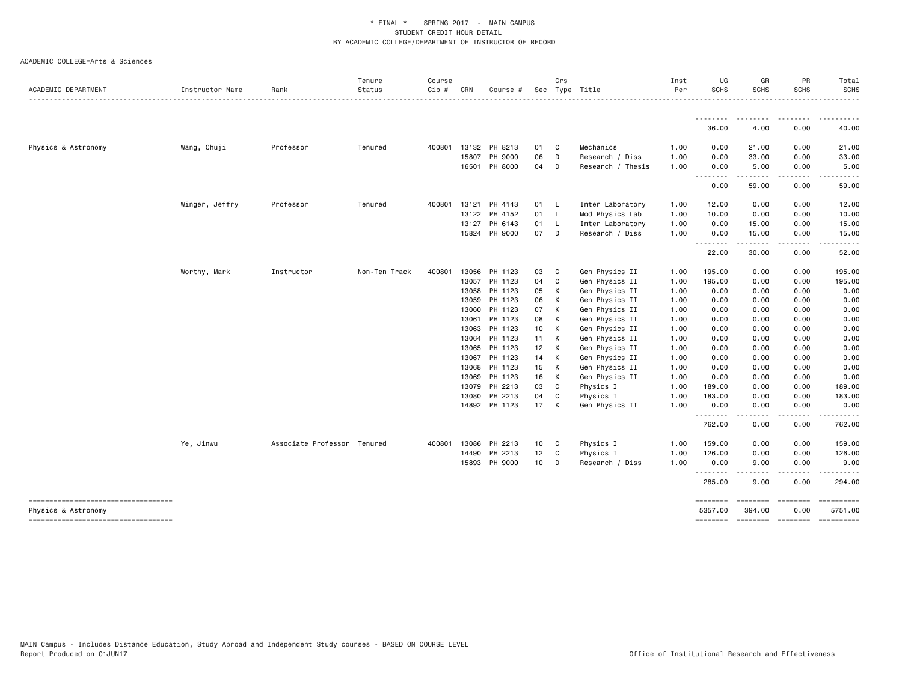| ACADEMIC DEPARTMENT                                       | Instructor Name | Rank                        | Tenure<br>Status | Course<br>Cip# | CRN          | Course #                 |          | Crs          | Sec Type Title              | Inst<br>Per  | UG<br><b>SCHS</b>  | GR<br><b>SCHS</b>     | PR<br><b>SCHS</b>                                                                                                       | Total<br><b>SCHS</b>                          |
|-----------------------------------------------------------|-----------------|-----------------------------|------------------|----------------|--------------|--------------------------|----------|--------------|-----------------------------|--------------|--------------------|-----------------------|-------------------------------------------------------------------------------------------------------------------------|-----------------------------------------------|
|                                                           |                 |                             |                  |                |              |                          |          |              |                             |              |                    |                       |                                                                                                                         |                                               |
|                                                           |                 |                             |                  |                |              |                          |          |              |                             |              | --------<br>36.00  | --------<br>4.00      | $\begin{array}{cccccccccccccc} \bullet & \bullet & \bullet & \bullet & \bullet & \bullet & \bullet \end{array}$<br>0.00 | ----------<br>40.00                           |
| Physics & Astronomy                                       | Wang, Chuji     | Professor                   | Tenured          | 400801         |              | 13132 PH 8213            | 01       | C            | Mechanics                   | 1.00         | 0.00               | 21.00                 | 0.00                                                                                                                    | 21.00                                         |
|                                                           |                 |                             |                  |                | 15807        | PH 9000                  | 06       | D            | Research / Diss             | 1.00         | 0.00               | 33.00                 | 0.00                                                                                                                    | 33.00                                         |
|                                                           |                 |                             |                  |                | 16501        | PH 8000                  | 04       | D            | Research / Thesis           | 1.00         | 0.00<br>--------   | 5.00<br>--------      | 0.00<br>.                                                                                                               | 5.00<br>.                                     |
|                                                           |                 |                             |                  |                |              |                          |          |              |                             |              | 0.00               | 59.00                 | 0.00                                                                                                                    | 59.00                                         |
|                                                           | Winger, Jeffry  | Professor                   | Tenured          |                | 400801 13121 | PH 4143                  | 01 L     |              | Inter Laboratory            | 1.00         | 12.00              | 0.00                  | 0.00                                                                                                                    | 12.00                                         |
|                                                           |                 |                             |                  |                |              | 13122 PH 4152            | 01       | – L          | Mod Physics Lab             | 1.00         | 10.00              | 0.00                  | 0.00                                                                                                                    | 10.00                                         |
|                                                           |                 |                             |                  |                | 13127        | PH 6143                  | 01       | $\mathsf{L}$ | Inter Laboratory            | 1.00         | 0.00               | 15.00                 | 0.00                                                                                                                    | 15.00                                         |
|                                                           |                 |                             |                  |                |              | 15824 PH 9000            | 07 D     |              | Research / Diss             | 1.00         | 0.00<br>.          | 15.00<br>. <b>.</b> . | 0.00<br>.                                                                                                               | 15.00                                         |
|                                                           |                 |                             |                  |                |              |                          |          |              |                             |              | 22.00              | 30.00                 | 0.00                                                                                                                    | 52.00                                         |
|                                                           | Worthy, Mark    | Instructor                  | Non-Ten Track    | 400801         | 13056        | PH 1123                  | 03       | C            | Gen Physics II              | 1.00         | 195.00             | 0.00                  | 0.00                                                                                                                    | 195.00                                        |
|                                                           |                 |                             |                  |                |              | 13057 PH 1123            | 04       | C            | Gen Physics II              | 1.00         | 195.00             | 0.00                  | 0.00                                                                                                                    | 195.00                                        |
|                                                           |                 |                             |                  |                | 13058        | PH 1123                  | 05       | K            | Gen Physics II              | 1.00         | 0.00               | 0.00                  | 0.00                                                                                                                    | 0.00                                          |
|                                                           |                 |                             |                  |                | 13059        | PH 1123                  | 06       | K            | Gen Physics II              | 1.00         | 0.00               | 0.00                  | 0.00                                                                                                                    | 0.00                                          |
|                                                           |                 |                             |                  |                | 13060        | PH 1123                  | 07       | K            | Gen Physics II              | 1.00         | 0.00               | 0.00                  | 0.00                                                                                                                    | 0.00                                          |
|                                                           |                 |                             |                  |                | 13061        | PH 1123                  | 08       | K            | Gen Physics II              | 1.00         | 0.00               | 0.00                  | 0.00                                                                                                                    | 0.00                                          |
|                                                           |                 |                             |                  |                | 13063        | PH 1123                  | 10       | K            | Gen Physics II              | 1.00         | 0.00               | 0.00                  | 0.00                                                                                                                    | 0.00                                          |
|                                                           |                 |                             |                  |                | 13064        | PH 1123                  | 11 K     |              | Gen Physics II              | 1.00         | 0.00               | 0.00                  | 0.00                                                                                                                    | 0.00                                          |
|                                                           |                 |                             |                  |                | 13065        | PH 1123                  |          | 12 K         | Gen Physics II              | 1.00         | 0.00               | 0.00                  | 0.00                                                                                                                    | 0.00                                          |
|                                                           |                 |                             |                  |                | 13067        | PH 1123                  | 14 K     |              | Gen Physics II              | 1.00         | 0.00               | 0.00                  | 0.00                                                                                                                    | 0.00                                          |
|                                                           |                 |                             |                  |                | 13068        | PH 1123                  | 15       | <b>K</b>     | Gen Physics II              | 1.00         | 0.00               | 0.00                  | 0.00                                                                                                                    | 0.00                                          |
|                                                           |                 |                             |                  |                | 13069        | PH 1123                  | 16       | K            | Gen Physics II              | 1.00         | 0.00               | 0.00                  | 0.00                                                                                                                    | 0.00                                          |
|                                                           |                 |                             |                  |                | 13079        | PH 2213                  | 03       | <b>C</b>     | Physics I                   | 1.00         | 189.00             | 0.00                  | 0.00                                                                                                                    | 189.00                                        |
|                                                           |                 |                             |                  |                | 13080        | PH 2213<br>14892 PH 1123 | 04<br>17 | C<br>K       | Physics I<br>Gen Physics II | 1.00<br>1.00 | 183.00<br>0.00     | 0.00<br>0.00          | 0.00<br>0.00                                                                                                            | 183.00<br>0.00                                |
|                                                           |                 |                             |                  |                |              |                          |          |              |                             |              | .<br>762.00        | 0.00                  | 0.00                                                                                                                    | 762.00                                        |
|                                                           | Ye, Jinwu       | Associate Professor Tenured |                  | 400801         | 13086        | PH 2213                  | 10       | C            | Physics I                   | 1.00         | 159.00             | 0.00                  | 0.00                                                                                                                    | 159.00                                        |
|                                                           |                 |                             |                  |                | 14490        | PH 2213                  | 12       | $\mathbf{C}$ | Physics I                   | 1.00         | 126.00             | 0.00                  | 0.00                                                                                                                    | 126.00                                        |
|                                                           |                 |                             |                  |                | 15893        | PH 9000                  | 10       | D            | Research / Diss             | 1.00         | 0.00               | 9.00                  | 0.00                                                                                                                    | 9.00                                          |
|                                                           |                 |                             |                  |                |              |                          |          |              |                             |              | <u>.</u><br>285.00 | 9.00                  | 0.00                                                                                                                    | 294.00                                        |
| -----------------------------------                       |                 |                             |                  |                |              |                          |          |              |                             |              | ========           | ========              | ========                                                                                                                |                                               |
| Physics & Astronomy<br>---------------------------------- |                 |                             |                  |                |              |                          |          |              |                             |              | 5357.00            | 394.00                | 0.00                                                                                                                    | 5751.00<br>-------- ------- ------- --------- |
|                                                           |                 |                             |                  |                |              |                          |          |              |                             |              |                    |                       |                                                                                                                         |                                               |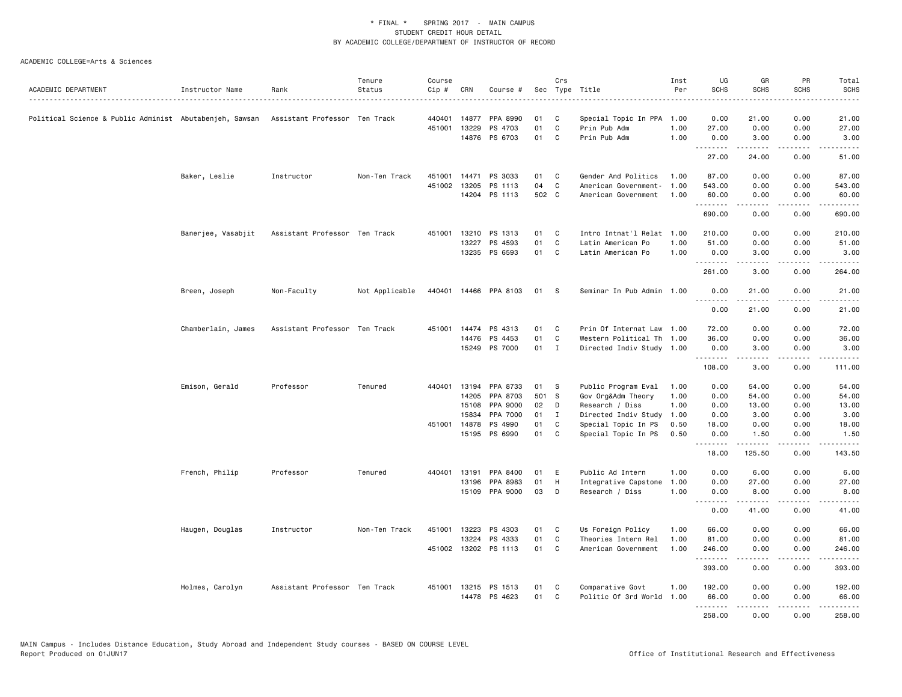| ACADEMIC DEPARTMENT                                     | Instructor Name    | Rank                          | Tenure<br>Status | Course<br>Cip# | CRN          | Course #             |       | Crs          | Sec Type Title            | Inst<br>Per | UG<br><b>SCHS</b>                                                                                                                                                                                                                                                                                                                                                                                                                                                                              | GR<br><b>SCHS</b> | PR<br><b>SCHS</b>              | Total<br><b>SCHS</b>    |
|---------------------------------------------------------|--------------------|-------------------------------|------------------|----------------|--------------|----------------------|-------|--------------|---------------------------|-------------|------------------------------------------------------------------------------------------------------------------------------------------------------------------------------------------------------------------------------------------------------------------------------------------------------------------------------------------------------------------------------------------------------------------------------------------------------------------------------------------------|-------------------|--------------------------------|-------------------------|
|                                                         |                    |                               |                  |                |              |                      |       |              |                           |             |                                                                                                                                                                                                                                                                                                                                                                                                                                                                                                |                   |                                |                         |
| Political Science & Public Administ Abutabenjeh, Sawsan |                    | Assistant Professor Ten Track |                  | 440401         | 14877        | PPA 8990             | 01    | C            | Special Topic In PPA      | 1.00        | 0.00                                                                                                                                                                                                                                                                                                                                                                                                                                                                                           | 21.00             | 0.00                           | 21.00                   |
|                                                         |                    |                               |                  | 451001         | 13229        | PS 4703              | 01    | $\mathtt{C}$ | Prin Pub Adm              | 1.00        | 27.00                                                                                                                                                                                                                                                                                                                                                                                                                                                                                          | 0.00              | 0.00                           | 27.00                   |
|                                                         |                    |                               |                  |                |              | 14876 PS 6703        | 01    | C            | Prin Pub Adm              | 1.00        | 0.00<br>.                                                                                                                                                                                                                                                                                                                                                                                                                                                                                      | 3.00<br>.         | 0.00<br>.                      | 3.00<br>.               |
|                                                         |                    |                               |                  |                |              |                      |       |              |                           |             | 27.00                                                                                                                                                                                                                                                                                                                                                                                                                                                                                          | 24.00             | 0.00                           | 51.00                   |
|                                                         | Baker, Leslie      | Instructor                    | Non-Ten Track    | 451001         | 14471        | PS 3033              | 01    | C            | Gender And Politics       | 1.00        | 87.00                                                                                                                                                                                                                                                                                                                                                                                                                                                                                          | 0.00              | 0.00                           | 87.00                   |
|                                                         |                    |                               |                  |                | 451002 13205 | PS 1113              | 04    | C            | American Government-      | 1.00        | 543.00                                                                                                                                                                                                                                                                                                                                                                                                                                                                                         | 0.00              | 0.00                           | 543.00                  |
|                                                         |                    |                               |                  |                |              | 14204 PS 1113        | 502 C |              | American Government       | 1.00        | 60.00<br>.                                                                                                                                                                                                                                                                                                                                                                                                                                                                                     | 0.00<br>.         | 0.00<br>.                      | 60.00<br>.              |
|                                                         |                    |                               |                  |                |              |                      |       |              |                           |             | 690.00                                                                                                                                                                                                                                                                                                                                                                                                                                                                                         | 0.00              | 0.00                           | 690.00                  |
|                                                         | Banerjee, Vasabjit | Assistant Professor Ten Track |                  | 451001         |              | 13210 PS 1313        | 01    | C            | Intro Intnat'l Relat 1.00 |             | 210.00                                                                                                                                                                                                                                                                                                                                                                                                                                                                                         | 0.00              | 0.00                           | 210.00                  |
|                                                         |                    |                               |                  |                | 13227        | PS 4593              | 01    | C            | Latin American Po         | 1.00        | 51.00                                                                                                                                                                                                                                                                                                                                                                                                                                                                                          | 0.00              | 0.00                           | 51.00                   |
|                                                         |                    |                               |                  |                |              | 13235 PS 6593        | 01    | C            | Latin American Po         | 1.00        | 0.00<br>$\begin{array}{cccccccccccccc} \multicolumn{2}{c}{} & \multicolumn{2}{c}{} & \multicolumn{2}{c}{} & \multicolumn{2}{c}{} & \multicolumn{2}{c}{} & \multicolumn{2}{c}{} & \multicolumn{2}{c}{} & \multicolumn{2}{c}{} & \multicolumn{2}{c}{} & \multicolumn{2}{c}{} & \multicolumn{2}{c}{} & \multicolumn{2}{c}{} & \multicolumn{2}{c}{} & \multicolumn{2}{c}{} & \multicolumn{2}{c}{} & \multicolumn{2}{c}{} & \multicolumn{2}{c}{} & \multicolumn{2}{c}{} & \multicolumn{2}{c}{} & \$ | 3.00<br><u>.</u>  | 0.00<br>.                      | 3.00<br>-----           |
|                                                         |                    |                               |                  |                |              |                      |       |              |                           |             | 261.00                                                                                                                                                                                                                                                                                                                                                                                                                                                                                         | 3.00              | 0.00                           | 264.00                  |
|                                                         | Breen, Joseph      | Non-Faculty                   | Not Applicable   | 440401         |              | 14466 PPA 8103       | 01    | S            | Seminar In Pub Admin 1.00 |             | 0.00                                                                                                                                                                                                                                                                                                                                                                                                                                                                                           | 21.00             | 0.00<br>.                      | 21.00<br>.              |
|                                                         |                    |                               |                  |                |              |                      |       |              |                           |             | .<br>0.00                                                                                                                                                                                                                                                                                                                                                                                                                                                                                      | .<br>21.00        | 0.00                           | 21.00                   |
|                                                         | Chamberlain, James | Assistant Professor Ten Track |                  | 451001         | 14474        | PS 4313              | 01    | C            | Prin Of Internat Law      | 1.00        | 72.00                                                                                                                                                                                                                                                                                                                                                                                                                                                                                          | 0.00              | 0.00                           | 72.00                   |
|                                                         |                    |                               |                  |                |              | 14476 PS 4453        | 01    | C            | Western Political Th 1.00 |             | 36.00                                                                                                                                                                                                                                                                                                                                                                                                                                                                                          | 0.00              | 0.00                           | 36.00                   |
|                                                         |                    |                               |                  |                |              | 15249 PS 7000        | 01 I  |              | Directed Indiv Study 1.00 |             | 0.00                                                                                                                                                                                                                                                                                                                                                                                                                                                                                           | 3.00              | 0.00                           | 3.00                    |
|                                                         |                    |                               |                  |                |              |                      |       |              |                           |             | .<br>108.00                                                                                                                                                                                                                                                                                                                                                                                                                                                                                    | .<br>3.00         | .<br>0.00                      | .<br>111.00             |
|                                                         | Emison, Gerald     | Professor                     | Tenured          | 440401         | 13194        | PPA 8733             | 01    | S            | Public Program Eval       | 1.00        | 0.00                                                                                                                                                                                                                                                                                                                                                                                                                                                                                           | 54.00             | 0.00                           | 54.00                   |
|                                                         |                    |                               |                  |                | 14205        | PPA 8703             | 501 S |              | Gov Org&Adm Theory        | 1.00        | 0.00                                                                                                                                                                                                                                                                                                                                                                                                                                                                                           | 54.00             | 0.00                           | 54.00                   |
|                                                         |                    |                               |                  |                | 15108        | PPA 9000             | 02    | D            | Research / Diss           | 1.00        | 0.00                                                                                                                                                                                                                                                                                                                                                                                                                                                                                           | 13.00             | 0.00                           | 13.00                   |
|                                                         |                    |                               |                  |                | 15834        | PPA 7000             | 01    | $\mathbf{I}$ | Directed Indiv Study      | 1.00        | 0.00                                                                                                                                                                                                                                                                                                                                                                                                                                                                                           | 3.00              | 0.00                           | 3.00                    |
|                                                         |                    |                               |                  | 451001         | 14878        | PS 4990              | 01    | C            | Special Topic In PS       | 0.50        | 18.00                                                                                                                                                                                                                                                                                                                                                                                                                                                                                          | 0.00              | 0.00                           | 18.00                   |
|                                                         |                    |                               |                  |                |              | 15195 PS 6990        | 01    | C            | Special Topic In PS       | 0.50        | 0.00<br>.                                                                                                                                                                                                                                                                                                                                                                                                                                                                                      | 1.50<br>.         | 0.00<br>$\omega$ is a $\omega$ | 1.50<br>.               |
|                                                         |                    |                               |                  |                |              |                      |       |              |                           |             | 18.00                                                                                                                                                                                                                                                                                                                                                                                                                                                                                          | 125.50            | 0.00                           | 143.50                  |
|                                                         | French, Philip     | Professor                     | Tenured          | 440401         | 13191        | PPA 8400             | 01    | Ε            | Public Ad Intern          | 1.00        | 0.00                                                                                                                                                                                                                                                                                                                                                                                                                                                                                           | 6.00              | 0.00                           | 6.00                    |
|                                                         |                    |                               |                  |                | 13196        | PPA 8983             | 01    | H            | Integrative Capstone      | 1.00        | 0.00                                                                                                                                                                                                                                                                                                                                                                                                                                                                                           | 27.00             | 0.00                           | 27.00                   |
|                                                         |                    |                               |                  |                |              | 15109 PPA 9000       | 03    | D            | Research / Diss           | 1.00        | 0.00<br>.                                                                                                                                                                                                                                                                                                                                                                                                                                                                                      | 8.00<br>.         | 0.00<br>.                      | 8.00<br>.               |
|                                                         |                    |                               |                  |                |              |                      |       |              |                           |             | 0.00                                                                                                                                                                                                                                                                                                                                                                                                                                                                                           | 41.00             | 0.00                           | 41.00                   |
|                                                         | Haugen, Douglas    | Instructor                    | Non-Ten Track    | 451001         | 13223        | PS 4303              | 01    | C            | Us Foreign Policy         | 1.00        | 66.00                                                                                                                                                                                                                                                                                                                                                                                                                                                                                          | 0.00              | 0.00                           | 66.00                   |
|                                                         |                    |                               |                  |                |              | 13224 PS 4333        | 01    | C            | Theories Intern Rel       | 1.00        | 81.00                                                                                                                                                                                                                                                                                                                                                                                                                                                                                          | 0.00              | 0.00                           | 81.00                   |
|                                                         |                    |                               |                  |                |              | 451002 13202 PS 1113 | 01    | C            | American Government       | 1.00        | 246.00<br>.                                                                                                                                                                                                                                                                                                                                                                                                                                                                                    | 0.00<br><u>.</u>  | 0.00<br>.                      | 246.00<br>------        |
|                                                         |                    |                               |                  |                |              |                      |       |              |                           |             | 393.00                                                                                                                                                                                                                                                                                                                                                                                                                                                                                         | 0.00              | 0.00                           | 393.00                  |
|                                                         | Holmes, Carolyn    | Assistant Professor Ten Track |                  |                |              | 451001 13215 PS 1513 | 01    | C            | Comparative Govt          | 1.00        | 192.00                                                                                                                                                                                                                                                                                                                                                                                                                                                                                         | 0.00              | 0.00                           | 192.00                  |
|                                                         |                    |                               |                  |                |              | 14478 PS 4623        | 01    | $\mathsf{C}$ | Politic Of 3rd World 1.00 |             | 66.00                                                                                                                                                                                                                                                                                                                                                                                                                                                                                          | 0.00              | 0.00                           | 66.00                   |
|                                                         |                    |                               |                  |                |              |                      |       |              |                           |             | .<br>258.00                                                                                                                                                                                                                                                                                                                                                                                                                                                                                    | -----<br>0.00     | .<br>0.00                      | $- - - - - -$<br>258.00 |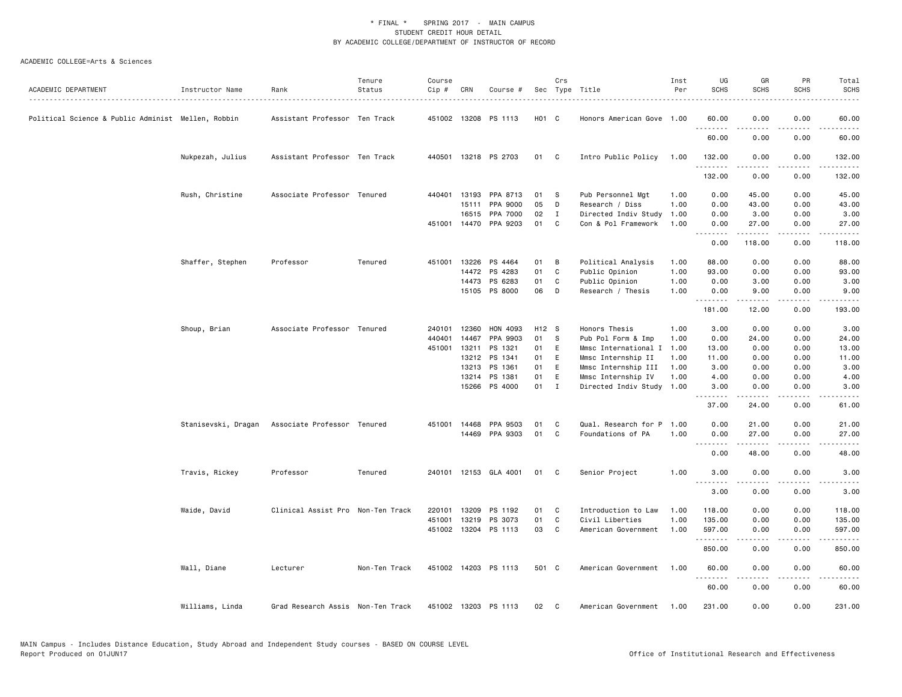| ACADEMIC DEPARTMENT                                | Instructor Name  | Rank                                            | Tenure<br>Status | Course<br>Cip # | CRN   | Course #                        |              | Crs<br>Sec Type Title |                                        | Inst<br>Per  | UG<br><b>SCHS</b>  | GR<br><b>SCHS</b>     | PR<br><b>SCHS</b>                   | Total<br><b>SCHS</b>                                                                                                                                 |
|----------------------------------------------------|------------------|-------------------------------------------------|------------------|-----------------|-------|---------------------------------|--------------|-----------------------|----------------------------------------|--------------|--------------------|-----------------------|-------------------------------------|------------------------------------------------------------------------------------------------------------------------------------------------------|
|                                                    |                  |                                                 |                  |                 |       |                                 |              |                       |                                        |              |                    |                       |                                     | $\frac{1}{2} \left( \frac{1}{2} \right) \left( \frac{1}{2} \right) \left( \frac{1}{2} \right) \left( \frac{1}{2} \right) \left( \frac{1}{2} \right)$ |
| Political Science & Public Administ Mellen, Robbin |                  | Assistant Professor Ten Track                   |                  |                 |       | 451002 13208 PS 1113            | H01 C        |                       | Honors American Gove 1.00              |              | 60.00              | 0.00                  | 0.00                                | 60.00<br>$\sim$ $\sim$ $\sim$ $\sim$ $\sim$                                                                                                          |
|                                                    |                  |                                                 |                  |                 |       |                                 |              |                       |                                        |              | 60.00              | 0.00                  | 0.00                                | 60.00                                                                                                                                                |
|                                                    | Nukpezah, Julius | Assistant Professor Ten Track                   |                  |                 |       | 440501 13218 PS 2703            | 01 C         |                       | Intro Public Policy                    | 1.00         | 132.00<br><u>.</u> | 0.00<br><u>.</u>      | 0.00<br>.                           | 132.00<br>.                                                                                                                                          |
|                                                    |                  |                                                 |                  |                 |       |                                 |              |                       |                                        |              | 132.00             | 0.00                  | 0.00                                | 132.00                                                                                                                                               |
|                                                    | Rush, Christine  | Associate Professor Tenured                     |                  | 440401          | 13193 | PPA 8713                        | 01           | - S                   | Pub Personnel Mgt                      | 1.00         | 0.00               | 45.00                 | 0.00                                | 45.00                                                                                                                                                |
|                                                    |                  |                                                 |                  |                 | 15111 | PPA 9000                        | 05           | D                     | Research / Diss                        | 1.00         | 0.00               | 43.00                 | 0.00                                | 43.00                                                                                                                                                |
|                                                    |                  |                                                 |                  |                 |       | 16515 PPA 7000                  | 02           | $\mathbf I$           | Directed Indiv Study                   | 1.00         | 0.00               | 3.00                  | 0.00                                | 3.00                                                                                                                                                 |
|                                                    |                  |                                                 |                  |                 |       | 451001 14470 PPA 9203           | 01           | C                     | Con & Pol Framework                    | 1.00         | 0.00<br>.          | 27.00<br>.            | 0.00<br>$\sim$ $\sim$ $\sim$ $\sim$ | 27.00<br>.                                                                                                                                           |
|                                                    |                  |                                                 |                  |                 |       |                                 |              |                       |                                        |              | 0.00               | 118.00                | 0.00                                | 118.00                                                                                                                                               |
|                                                    | Shaffer, Stephen | Professor                                       | Tenured          | 451001          |       | 13226 PS 4464                   | 01           | B                     | Political Analysis                     | 1.00         | 88.00              | 0.00                  | 0.00                                | 88.00                                                                                                                                                |
|                                                    |                  |                                                 |                  |                 |       | 14472 PS 4283                   | 01           | C                     | Public Opinion                         | 1.00         | 93.00              | 0.00                  | 0.00                                | 93.00                                                                                                                                                |
|                                                    |                  |                                                 |                  |                 |       | 14473 PS 6283                   | 01           | C                     | Public Opinion                         | 1.00         | 0.00               | 3.00                  | 0.00                                | 3.00                                                                                                                                                 |
|                                                    |                  |                                                 |                  |                 |       | 15105 PS 8000                   | 06           | D                     | Research / Thesis                      | 1.00         | 0.00<br><b></b>    | 9.00<br>$\frac{1}{2}$ | 0.00<br>.                           | 9.00<br>.                                                                                                                                            |
|                                                    |                  |                                                 |                  |                 |       |                                 |              |                       |                                        |              | 181.00             | 12.00                 | 0.00                                | 193.00                                                                                                                                               |
|                                                    | Shoup, Brian     | Associate Professor Tenured                     |                  |                 |       | 240101 12360 HON 4093           | H12 S        |                       | Honors Thesis                          | 1.00         | 3.00               | 0.00                  | 0.00                                | 3.00                                                                                                                                                 |
|                                                    |                  |                                                 |                  | 440401          | 14467 | PPA 9903                        | 01           | - S                   | Pub Pol Form & Imp                     | 1.00         | 0.00               | 24.00                 | 0.00                                | 24.00                                                                                                                                                |
|                                                    |                  |                                                 |                  | 451001          | 13211 | PS 1321                         | 01           | E                     | Mmsc International I                   | 1.00         | 13.00              | 0.00                  | 0.00                                | 13.00                                                                                                                                                |
|                                                    |                  |                                                 |                  |                 |       | 13212 PS 1341                   | 01           | E                     | Mmsc Internship II                     | 1.00         | 11.00              | 0.00                  | 0.00                                | 11.00                                                                                                                                                |
|                                                    |                  |                                                 |                  |                 |       | 13213 PS 1361                   | 01           | E                     | Mmsc Internship III                    | 1.00         | 3.00               | 0.00                  | 0.00                                | 3.00                                                                                                                                                 |
|                                                    |                  |                                                 |                  |                 | 13214 | PS 1381                         | 01           | E                     | Mmsc Internship IV                     | 1.00         | 4.00               | 0.00                  | 0.00                                | 4.00                                                                                                                                                 |
|                                                    |                  |                                                 |                  |                 |       | 15266 PS 4000                   | $01 \quad I$ |                       | Directed Indiv Study 1.00              |              | 3.00<br>.          | 0.00<br>. <u>.</u>    | 0.00<br>.                           | 3.00<br>$- - - - -$                                                                                                                                  |
|                                                    |                  |                                                 |                  |                 |       |                                 |              |                       |                                        |              | 37.00              | 24.00                 | 0.00                                | 61.00                                                                                                                                                |
|                                                    |                  | Stanisevski, Dragan Associate Professor Tenured |                  | 451001 14468    |       | PPA 9503                        | 01           | C                     | Qual. Research for P 1.00              |              | 0.00               | 21.00                 | 0.00                                | 21.00                                                                                                                                                |
|                                                    |                  |                                                 |                  |                 |       | 14469 PPA 9303                  | 01           | C                     | Foundations of PA                      | 1.00         | 0.00               | 27.00                 | 0.00                                | 27.00                                                                                                                                                |
|                                                    |                  |                                                 |                  |                 |       |                                 |              |                       |                                        |              | .<br>0.00          | .<br>48.00            | .<br>0.00                           | $\sim$ $\sim$ $\sim$ $\sim$ $\sim$<br>48.00                                                                                                          |
|                                                    | Travis, Rickey   | Professor                                       | Tenured          |                 |       | 240101 12153 GLA 4001           | 01           | C.                    | Senior Project                         | 1.00         | 3.00               | 0.00                  | 0.00                                | 3.00                                                                                                                                                 |
|                                                    |                  |                                                 |                  |                 |       |                                 |              |                       |                                        |              | .<br>3.00          | <u>.</u><br>0.00      | .<br>0.00                           | $\frac{1}{2}$<br>3.00                                                                                                                                |
|                                                    |                  |                                                 |                  |                 |       |                                 |              |                       |                                        |              |                    |                       |                                     |                                                                                                                                                      |
|                                                    | Waide, David     | Clinical Assist Pro Non-Ten Track               |                  | 220101          | 13209 | PS 1192                         | 01           | C<br>C                | Introduction to Law                    | 1.00         | 118.00             | 0.00                  | 0.00                                | 118.00                                                                                                                                               |
|                                                    |                  |                                                 |                  | 451001          | 13219 | PS 3073<br>451002 13204 PS 1113 | 01<br>03     | C                     | Civil Liberties<br>American Government | 1.00<br>1.00 | 135.00<br>597.00   | 0.00<br>0.00          | 0.00<br>0.00                        | 135.00<br>597.00                                                                                                                                     |
|                                                    |                  |                                                 |                  |                 |       |                                 |              |                       |                                        |              | .                  | -----                 | .                                   | .                                                                                                                                                    |
|                                                    |                  |                                                 |                  |                 |       |                                 |              |                       |                                        |              | 850.00             | 0.00                  | 0.00                                | 850.00                                                                                                                                               |
|                                                    | Wall, Diane      | Lecturer                                        | Non-Ten Track    |                 |       | 451002 14203 PS 1113            | 501 C        |                       | American Government                    | 1.00         | 60.00<br>.         | 0.00<br>.             | 0.00<br>$\frac{1}{2}$               | 60.00<br>.                                                                                                                                           |
|                                                    |                  |                                                 |                  |                 |       |                                 |              |                       |                                        |              | 60.00              | 0.00                  | 0.00                                | 60.00                                                                                                                                                |
|                                                    | Williams, Linda  | Grad Research Assis Non-Ten Track               |                  |                 |       | 451002 13203 PS 1113            | 02           | C                     | American Government                    | 1.00         | 231.00             | 0.00                  | 0.00                                | 231.00                                                                                                                                               |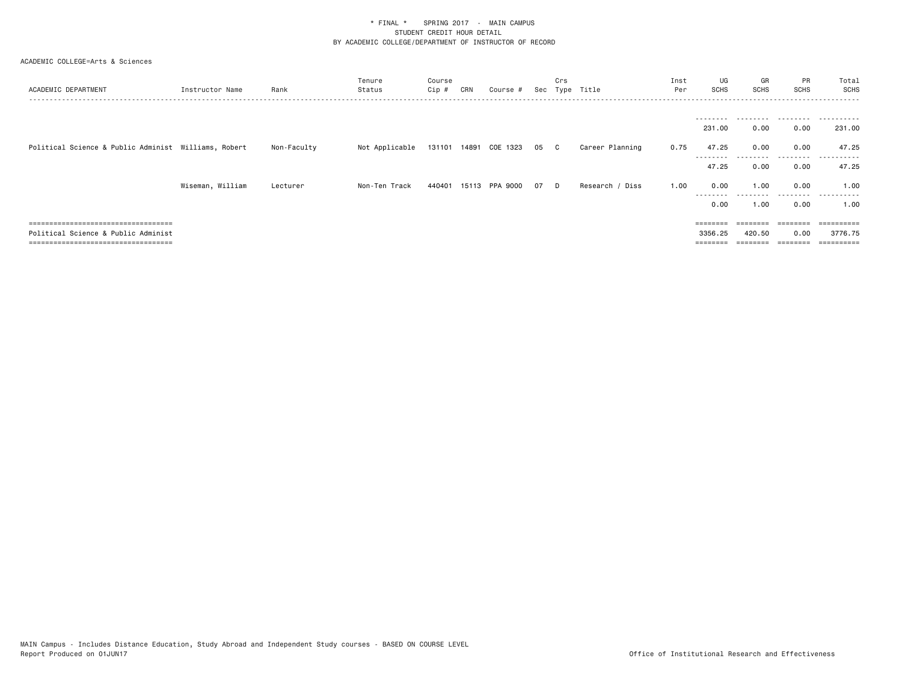| ACADEMIC DEPARTMENT                                                          | Instructor Name  | Rank        | Tenure<br>Status | Course<br>Cip # | CRN | Course #                 |    | Crs      | Sec Type Title  | Inst<br>Per | UG<br>SCHS                   | GR<br><b>SCHS</b> | PR<br><b>SCHS</b> | Total<br>SCHS         |
|------------------------------------------------------------------------------|------------------|-------------|------------------|-----------------|-----|--------------------------|----|----------|-----------------|-------------|------------------------------|-------------------|-------------------|-----------------------|
|                                                                              |                  |             |                  |                 |     |                          |    |          |                 |             | --------<br>231.00           | ---------<br>0.00 | .<br>0.00         | .<br>231.00           |
| Political Science & Public Administ Williams, Robert                         |                  | Non-Faculty | Not Applicable   |                 |     | 131101  14891  COE  1323 | 05 | <b>C</b> | Career Planning | 0.75        | 47.25<br>--------            | 0.00              | 0.00<br>.         | 47.25<br>.            |
|                                                                              | Wiseman, William | Lecturer    | Non-Ten Track    | 440401          |     | 15113 PPA 9000           | 07 | D        | Research / Diss | 1.00        | 47.25<br>0.00                | 0.00<br>1.00      | 0.00<br>0.00      | 47.25<br>1.00         |
|                                                                              |                  |             |                  |                 |     |                          |    |          |                 |             | ---------<br>0.00            | .<br>1.00         | .<br>0.00         | .<br>1.00             |
| =====================================<br>Political Science & Public Administ |                  |             |                  |                 |     |                          |    |          |                 |             | $=$ = = = = = = =<br>3356.25 | =======<br>420.50 | ========<br>0.00  | ==========<br>3776.75 |
| ====================================                                         |                  |             |                  |                 |     |                          |    |          |                 |             | ========                     | ========          | ---------         | ==========            |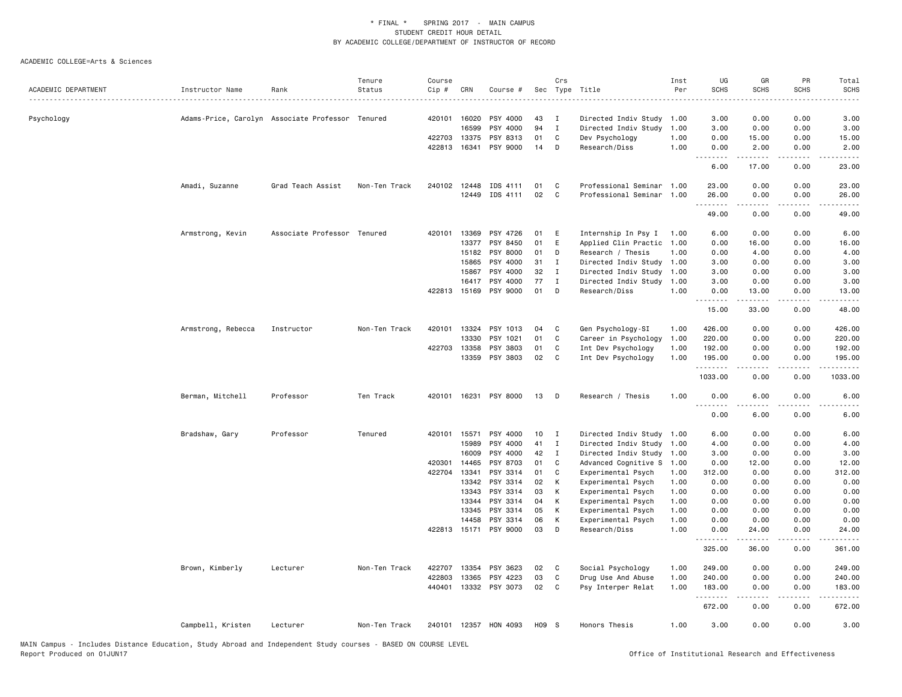|                     |                                                  |                             | Tenure        | Course |              |                       |      | Crs         |                           | Inst | UG                 | GR                 | PR                    | Total                   |
|---------------------|--------------------------------------------------|-----------------------------|---------------|--------|--------------|-----------------------|------|-------------|---------------------------|------|--------------------|--------------------|-----------------------|-------------------------|
| ACADEMIC DEPARTMENT | Instructor Name                                  | Rank                        | Status        | Cip #  | CRN          | Course #              |      |             | Sec Type Title<br>.       | Per  | <b>SCHS</b>        | <b>SCHS</b>        | <b>SCHS</b>           | <b>SCHS</b>             |
| Psychology          | Adams-Price, Carolyn Associate Professor Tenured |                             |               | 420101 | 16020        | PSY 4000              | 43   | Ι.          | Directed Indiv Study      | 1.00 | 3.00               | 0.00               | 0.00                  | 3.00                    |
|                     |                                                  |                             |               |        | 16599        | PSY 4000              | 94   | $\mathbf I$ | Directed Indiv Study      | 1.00 | 3.00               | 0.00               | 0.00                  | 3.00                    |
|                     |                                                  |                             |               | 422703 | 13375        | PSY 8313              | 01   | C           | Dev Psychology            | 1.00 | 0.00               | 15.00              | 0.00                  | 15.00                   |
|                     |                                                  |                             |               | 422813 | 16341        | PSY 9000              | 14   | D           | Research/Diss             | 1.00 | 0.00<br>.          | 2.00<br>المتمامين  | 0.00<br>.             | 2.00<br>د د د د د       |
|                     |                                                  |                             |               |        |              |                       |      |             |                           |      | 6.00               | 17.00              | 0.00                  | 23.00                   |
|                     | Amadi, Suzanne                                   | Grad Teach Assist           | Non-Ten Track | 240102 | 12448        | IDS 4111              | 01   | C           | Professional Seminar 1.00 |      | 23.00              | 0.00               | 0.00                  | 23.00                   |
|                     |                                                  |                             |               |        | 12449        | IDS 4111              | 02   | C           | Professional Seminar 1.00 |      | 26.00<br>.         | 0.00<br>.          | 0.00<br>.             | 26.00<br>.              |
|                     |                                                  |                             |               |        |              |                       |      |             |                           |      | 49.00              | 0.00               | 0.00                  | 49.00                   |
|                     | Armstrong, Kevin                                 | Associate Professor Tenured |               | 420101 | 13369        | PSY 4726              | 01   | E           | Internship In Psy I       | 1.00 | 6.00               | 0.00               | 0.00                  | 6.00                    |
|                     |                                                  |                             |               |        | 13377        | PSY 8450              | 01   | E           | Applied Clin Practic      | 1.00 | 0.00               | 16.00              | 0.00                  | 16.00                   |
|                     |                                                  |                             |               |        | 15182        | PSY 8000              | 01   | D           | Research / Thesis         | 1.00 | 0.00               | 4.00               | 0.00                  | 4.00                    |
|                     |                                                  |                             |               |        | 15865        | PSY 4000              | 31   | I           | Directed Indiv Study 1.00 |      | 3.00               | 0.00               | 0.00                  | 3.00                    |
|                     |                                                  |                             |               |        | 15867        | PSY 4000              | 32   | I           | Directed Indiv Study 1.00 |      | 3.00               | 0.00               | 0.00                  | 3.00                    |
|                     |                                                  |                             |               |        | 16417        | PSY 4000              | 77   | Ι.          | Directed Indiv Study      | 1.00 | 3.00               | 0.00               | 0.00                  | 3.00                    |
|                     |                                                  |                             |               |        | 422813 15169 | PSY 9000              | 01   | D           | Research/Diss             | 1.00 | 0.00<br><u>.</u>   | 13.00<br>.         | 0.00<br>.             | 13.00<br>.              |
|                     |                                                  |                             |               |        |              |                       |      |             |                           |      | 15.00              | 33.00              | 0.00                  | 48.00                   |
|                     | Armstrong, Rebecca                               | Instructor                  | Non-Ten Track | 420101 | 13324        | PSY 1013              | 04   | C           | Gen Psychology-SI         | 1.00 | 426.00             | 0.00               | 0.00                  | 426.00                  |
|                     |                                                  |                             |               |        | 13330        | PSY 1021              | 01   | C           | Career in Psychology      | 1.00 | 220.00             | 0.00               | 0.00                  | 220.00                  |
|                     |                                                  |                             |               | 422703 | 13358        | PSY 3803              | 01   | C           | Int Dev Psychology        | 1.00 | 192.00             | 0.00               | 0.00                  | 192.00                  |
|                     |                                                  |                             |               |        | 13359        | PSY 3803              | 02   | C           | Int Dev Psychology        | 1.00 | 195.00<br>.        | 0.00<br>.          | 0.00<br>.             | 195.00<br>.             |
|                     |                                                  |                             |               |        |              |                       |      |             |                           |      | 1033.00            | 0.00               | 0.00                  | 1033.00                 |
|                     | Berman, Mitchell                                 | Professor                   | Ten Track     | 420101 |              | 16231 PSY 8000        | 13   | D           | Research / Thesis         | 1.00 | 0.00<br>$- - - -$  | 6.00<br>.          | 0.00<br>$\frac{1}{2}$ | 6.00<br>.               |
|                     |                                                  |                             |               |        |              |                       |      |             |                           |      | 0.00               | 6.00               | 0.00                  | 6.00                    |
|                     | Bradshaw, Gary                                   | Professor                   | Tenured       | 420101 | 15571        | PSY 4000              | 10   | Ι.          | Directed Indiv Study      | 1.00 | 6.00               | 0.00               | 0.00                  | 6.00                    |
|                     |                                                  |                             |               |        | 15989        | PSY 4000              | 41   | $\mathbf I$ | Directed Indiv Study 1.00 |      | 4.00               | 0.00               | 0.00                  | 4.00                    |
|                     |                                                  |                             |               |        | 16009        | PSY 4000              | 42   | Ι.          | Directed Indiv Study 1.00 |      | 3.00               | 0.00               | 0.00                  | 3.00                    |
|                     |                                                  |                             |               | 420301 | 14465        | PSY 8703              | 01   | C           | Advanced Cognitive S      | 1.00 | 0.00               | 12.00              | 0.00                  | 12.00                   |
|                     |                                                  |                             |               |        | 422704 13341 | PSY 3314              | 01   | C           | Experimental Psych        | 1.00 | 312.00             | 0.00               | 0.00                  | 312.00                  |
|                     |                                                  |                             |               |        | 13342        | PSY 3314              | 02   | К           | Experimental Psych        | 1.00 | 0.00               | 0.00               | 0.00                  | 0.00                    |
|                     |                                                  |                             |               |        | 13343        | PSY 3314              | 03   | К           | Experimental Psych        | 1.00 | 0.00               | 0.00               | 0.00                  | 0.00                    |
|                     |                                                  |                             |               |        | 13344        | PSY 3314              | 04   | К           | Experimental Psych        | 1.00 | 0.00               | 0.00               | 0.00                  | 0.00                    |
|                     |                                                  |                             |               |        | 13345        | PSY 3314              | 05   | К           | Experimental Psych        | 1.00 | 0.00               | 0.00               | 0.00                  | 0.00                    |
|                     |                                                  |                             |               |        | 14458        | PSY 3314              | 06   | K           | Experimental Psych        | 1.00 | 0.00               | 0.00               | 0.00                  | 0.00                    |
|                     |                                                  |                             |               |        |              | 422813 15171 PSY 9000 | 03   | D           | Research/Diss             | 1.00 | 0.00<br>.          | 24.00<br>المتمالين | 0.00<br>د د د د       | 24.00<br>. د د د د      |
|                     |                                                  |                             |               |        |              |                       |      |             |                           |      | 325.00             | 36.00              | 0.00                  | 361.00                  |
|                     | Brown, Kimberly                                  | Lecturer                    | Non-Ten Track | 422707 | 13354        | PSY 3623              | 02   | C           | Social Psychology         | 1.00 | 249.00             | 0.00               | 0.00                  | 249.00                  |
|                     |                                                  |                             |               | 422803 | 13365        | PSY 4223              | 03   | C           | Drug Use And Abuse        | 1.00 | 240.00             | 0.00               | 0.00                  | 240.00                  |
|                     |                                                  |                             |               | 440401 |              | 13332 PSY 3073        | 02   | C           | Psy Interper Relat        | 1.00 | 183.00<br><u>.</u> | 0.00<br>.          | 0.00<br>$\frac{1}{2}$ | 183.00<br>$- - - - - -$ |
|                     |                                                  |                             |               |        |              |                       |      |             |                           |      | 672.00             | 0.00               | 0.00                  | 672.00                  |
|                     | Campbell, Kristen                                | Lecturer                    | Non-Ten Track |        |              | 240101 12357 HON 4093 | H09S |             | Honors Thesis             | 1.00 | 3.00               | 0.00               | 0.00                  | 3.00                    |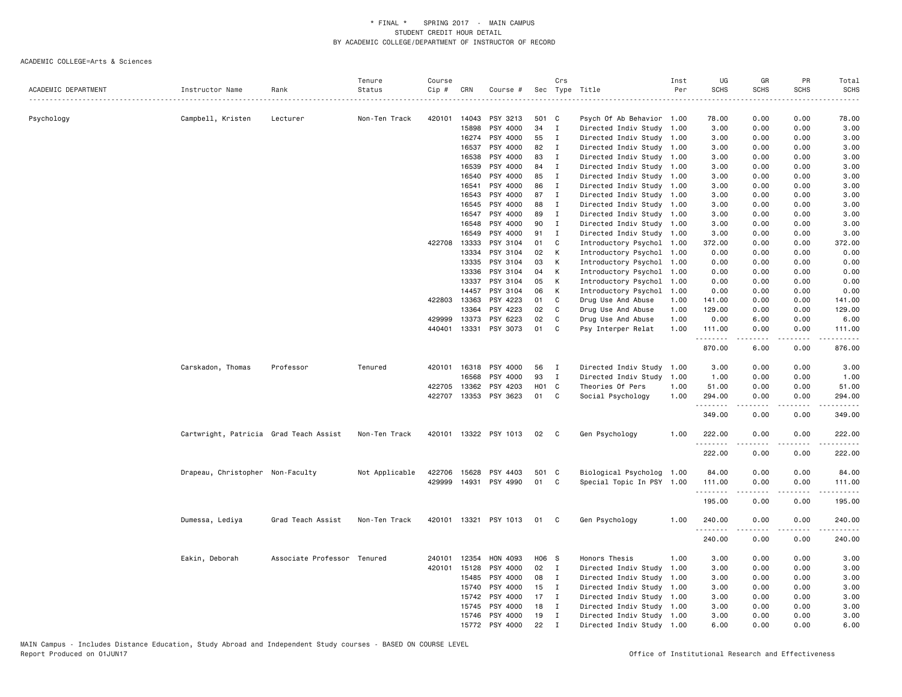|                     |                                        |                             | Tenure         | Course       |              |                       |             | Crs            |                                                        | Inst | UG            | GR                  | PR                    | Total                                                                                                                                                          |
|---------------------|----------------------------------------|-----------------------------|----------------|--------------|--------------|-----------------------|-------------|----------------|--------------------------------------------------------|------|---------------|---------------------|-----------------------|----------------------------------------------------------------------------------------------------------------------------------------------------------------|
| ACADEMIC DEPARTMENT | Instructor Name                        | Rank                        | Status         | Cip #        | CRN          | Course #              |             |                | Sec Type Title                                         | Per  | <b>SCHS</b>   | <b>SCHS</b>         | <b>SCHS</b>           | <b>SCHS</b>                                                                                                                                                    |
|                     |                                        |                             |                |              |              |                       |             |                |                                                        |      |               |                     |                       |                                                                                                                                                                |
| Psychology          | Campbell, Kristen                      | Lecturer                    | Non-Ten Track  | 420101 14043 | 15898        | PSY 3213<br>PSY 4000  | 501 C<br>34 | $\mathbf I$    | Psych Of Ab Behavior 1.00                              |      | 78.00<br>3.00 | 0.00<br>0.00        | 0.00<br>0.00          | 78.00                                                                                                                                                          |
|                     |                                        |                             |                |              | 16274        | PSY 4000              | 55          | $\mathbf I$    | Directed Indiv Study 1.00<br>Directed Indiv Study 1.00 |      | 3.00          | 0.00                | 0.00                  | 3.00<br>3.00                                                                                                                                                   |
|                     |                                        |                             |                |              | 16537        | PSY 4000              | 82          | I              | Directed Indiv Study 1.00                              |      | 3.00          | 0.00                | 0.00                  | 3.00                                                                                                                                                           |
|                     |                                        |                             |                |              | 16538        | PSY 4000              | 83          | Ι              |                                                        |      | 3.00          | 0.00                | 0.00                  |                                                                                                                                                                |
|                     |                                        |                             |                |              | 16539        | PSY 4000              | 84          | Ι.             | Directed Indiv Study 1.00<br>Directed Indiv Study 1.00 |      | 3.00          | 0.00                | 0.00                  | 3.00<br>3.00                                                                                                                                                   |
|                     |                                        |                             |                |              | 16540        | PSY 4000              | 85          | $\mathbf{I}$   | Directed Indiv Study 1.00                              |      | 3.00          | 0.00                | 0.00                  | 3.00                                                                                                                                                           |
|                     |                                        |                             |                |              | 16541        | PSY 4000              | 86          | Ι.             | Directed Indiv Study 1.00                              |      | 3.00          | 0.00                | 0.00                  | 3.00                                                                                                                                                           |
|                     |                                        |                             |                |              | 16543        | PSY 4000              | 87          | I              | Directed Indiv Study 1.00                              |      | 3.00          | 0.00                | 0.00                  | 3.00                                                                                                                                                           |
|                     |                                        |                             |                |              | 16545        | PSY 4000              | 88          | $\mathbf I$    |                                                        |      | 3.00          | 0.00                | 0.00                  |                                                                                                                                                                |
|                     |                                        |                             |                |              | 16547        | PSY 4000              | 89          | $\mathbf{I}$   | Directed Indiv Study 1.00                              | 1.00 |               | 0.00                | 0.00                  | 3.00                                                                                                                                                           |
|                     |                                        |                             |                |              |              |                       | 90          |                | Directed Indiv Study                                   |      | 3.00          |                     |                       | 3.00                                                                                                                                                           |
|                     |                                        |                             |                |              | 16548        | PSY 4000              | 91          | Ι              | Directed Indiv Study 1.00                              |      | 3.00          | 0.00                | 0.00                  | 3.00                                                                                                                                                           |
|                     |                                        |                             |                |              | 16549        | PSY 4000              |             | $\mathbf I$    | Directed Indiv Study 1.00                              |      | 3.00          | 0.00                | 0.00                  | 3.00                                                                                                                                                           |
|                     |                                        |                             |                | 422708 13333 |              | PSY 3104              | 01          | C              | Introductory Psychol                                   | 1.00 | 372.00        | 0.00                | 0.00                  | 372.00                                                                                                                                                         |
|                     |                                        |                             |                |              | 13334        | PSY 3104              | 02          | К              | Introductory Psychol                                   | 1.00 | 0.00          | 0.00                | 0.00                  | 0.00                                                                                                                                                           |
|                     |                                        |                             |                |              | 13335        | PSY 3104              | 03          | К              | Introductory Psychol                                   | 1.00 | 0.00          | 0.00                | 0.00                  | 0.00                                                                                                                                                           |
|                     |                                        |                             |                |              | 13336        | PSY 3104              | 04          | К              | Introductory Psychol                                   | 1.00 | 0.00          | 0.00                | 0.00                  | 0.00                                                                                                                                                           |
|                     |                                        |                             |                |              | 13337        | PSY 3104              | 05          | К              | Introductory Psychol                                   | 1.00 | 0.00          | 0.00                | 0.00                  | 0.00                                                                                                                                                           |
|                     |                                        |                             |                |              | 14457        | PSY 3104              | 06          | К              | Introductory Psychol                                   | 1.00 | 0.00          | 0.00                | 0.00                  | 0.00                                                                                                                                                           |
|                     |                                        |                             |                |              | 422803 13363 | PSY 4223              | 01          | C              | Drug Use And Abuse                                     | 1.00 | 141.00        | 0.00                | 0.00                  | 141.00                                                                                                                                                         |
|                     |                                        |                             |                |              | 13364        | PSY 4223              | 02          | C              | Drug Use And Abuse                                     | 1.00 | 129.00        | 0.00                | 0.00                  | 129.00                                                                                                                                                         |
|                     |                                        |                             |                |              | 429999 13373 | PSY 6223              | 02          | C              | Drug Use And Abuse                                     | 1.00 | 0.00          | 6.00                | 0.00                  | 6.00                                                                                                                                                           |
|                     |                                        |                             |                | 440401       | 13331        | PSY 3073              | 01          | C              | Psy Interper Relat                                     | 1.00 | 111.00<br>.   | 0.00<br>.           | 0.00<br>$\frac{1}{2}$ | 111.00<br>$- - - - -$                                                                                                                                          |
|                     |                                        |                             |                |              |              |                       |             |                |                                                        |      | 870.00        | 6.00                | 0.00                  | 876.00                                                                                                                                                         |
|                     | Carskadon, Thomas                      | Professor                   | Tenured        |              | 420101 16318 | PSY 4000              | 56          | I              | Directed Indiv Study 1.00                              |      | 3.00          | 0.00                | 0.00                  | 3.00                                                                                                                                                           |
|                     |                                        |                             |                |              | 16568        | PSY 4000              | 93          | $\mathbf I$    | Directed Indiv Study                                   | 1.00 | 1.00          | 0.00                | 0.00                  | 1.00                                                                                                                                                           |
|                     |                                        |                             |                | 422705       | 13362        | PSY 4203              | H01 C       |                | Theories Of Pers                                       | 1.00 | 51.00         | 0.00                | 0.00                  | 51.00                                                                                                                                                          |
|                     |                                        |                             |                |              |              | 422707 13353 PSY 3623 | 01          | C              | Social Psychology                                      | 1.00 | 294.00<br>.   | 0.00<br>$- - - - -$ | 0.00<br>.             | 294.00<br>$\frac{1}{2} \left( \frac{1}{2} \right) \left( \frac{1}{2} \right) \left( \frac{1}{2} \right) \left( \frac{1}{2} \right) \left( \frac{1}{2} \right)$ |
|                     |                                        |                             |                |              |              |                       |             |                |                                                        |      | 349.00        | 0.00                | 0.00                  | 349.00                                                                                                                                                         |
|                     | Cartwright, Patricia Grad Teach Assist |                             | Non-Ten Track  |              |              | 420101 13322 PSY 1013 | 02          | C.             | Gen Psychology                                         | 1.00 | 222.00        | 0.00                | 0.00                  | 222.00                                                                                                                                                         |
|                     |                                        |                             |                |              |              |                       |             |                |                                                        |      | .<br>222.00   | -----<br>0.00       | .<br>0.00             | -----<br>222.00                                                                                                                                                |
|                     | Drapeau, Christopher Non-Faculty       |                             | Not Applicable |              | 422706 15628 | PSY 4403              | 501 C       |                | Biological Psycholog 1.00                              |      | 84.00         | 0.00                | 0.00                  | 84.00                                                                                                                                                          |
|                     |                                        |                             |                |              | 429999 14931 | PSY 4990              | 01          | C              | Special Topic In PSY 1.00                              |      | 111.00        | 0.00                | 0.00                  | 111.00                                                                                                                                                         |
|                     |                                        |                             |                |              |              |                       |             |                |                                                        |      | .             |                     | د د د د               | .                                                                                                                                                              |
|                     |                                        |                             |                |              |              |                       |             |                |                                                        |      | 195.00        | 0.00                | 0.00                  | 195.00                                                                                                                                                         |
|                     | Dumessa, Lediya                        | Grad Teach Assist           | Non-Ten Track  |              |              | 420101 13321 PSY 1013 | 01          | C              | Gen Psychology                                         | 1.00 | 240.00        | 0.00                | 0.00                  | 240.00                                                                                                                                                         |
|                     |                                        |                             |                |              |              |                       |             |                |                                                        |      | .             |                     |                       |                                                                                                                                                                |
|                     |                                        |                             |                |              |              |                       |             |                |                                                        |      | 240.00        | 0.00                | 0.00                  | 240.00                                                                                                                                                         |
|                     | Eakin, Deborah                         | Associate Professor Tenured |                | 240101       | 12354        | HON 4093              | H06 S       |                | Honors Thesis                                          | 1.00 | 3.00          | 0.00                | 0.00                  | 3.00                                                                                                                                                           |
|                     |                                        |                             |                |              | 420101 15128 | PSY 4000              | 02          | $\blacksquare$ | Directed Indiv Study                                   | 1.00 | 3.00          | 0.00                | 0.00                  | 3.00                                                                                                                                                           |
|                     |                                        |                             |                |              | 15485        | PSY 4000              | 08          | $\mathbf{I}$   | Directed Indiv Study                                   | 1.00 | 3.00          | 0.00                | 0.00                  | 3.00                                                                                                                                                           |
|                     |                                        |                             |                |              | 15740        | PSY 4000              | 15          | $\mathbf I$    | Directed Indiv Study 1.00                              |      | 3.00          | 0.00                | 0.00                  | 3.00                                                                                                                                                           |
|                     |                                        |                             |                |              | 15742        | PSY 4000              | 17          | $\mathbf I$    | Directed Indiv Study                                   | 1.00 | 3.00          | 0.00                | 0.00                  | 3.00                                                                                                                                                           |
|                     |                                        |                             |                |              | 15745        | PSY 4000              | 18          | $\mathbf I$    | Directed Indiv Study 1.00                              |      | 3.00          | 0.00                | 0.00                  | 3.00                                                                                                                                                           |
|                     |                                        |                             |                |              | 15746        | PSY 4000              | 19          | Ι.             | Directed Indiv Study 1.00                              |      | 3.00          | 0.00                | 0.00                  | 3.00                                                                                                                                                           |
|                     |                                        |                             |                |              | 15772        | PSY 4000              | 22          | $\mathbf I$    | Directed Indiv Study 1.00                              |      | 6.00          | 0.00                | 0.00                  | 6.00                                                                                                                                                           |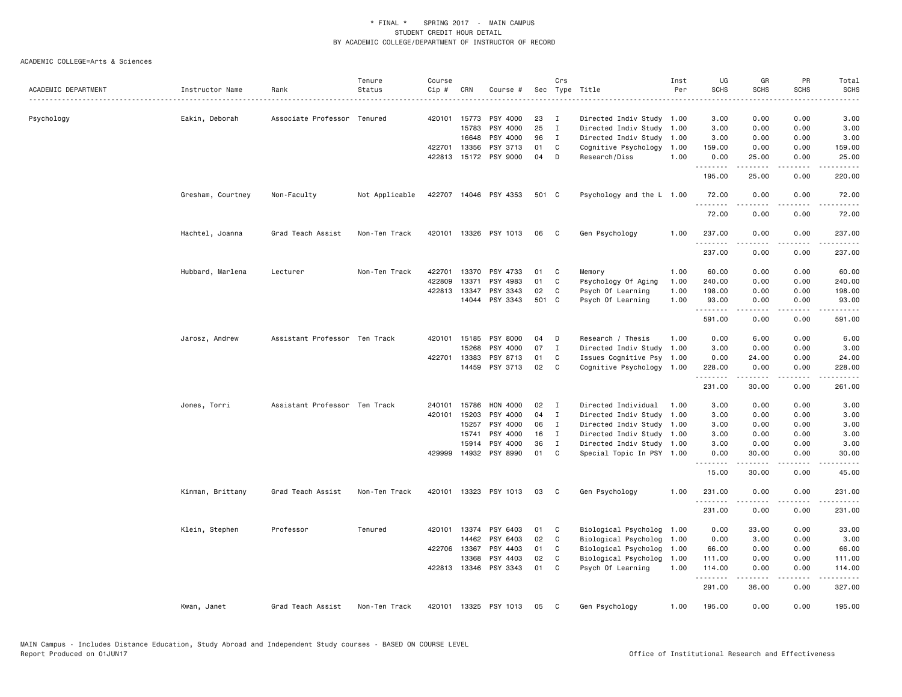|                     |                   |                               | Tenure         | Course |              |                       |       | Crs               |                                                   | Inst | UG                 | GR                | PR                                  | Total                                                                                                                                                         |
|---------------------|-------------------|-------------------------------|----------------|--------|--------------|-----------------------|-------|-------------------|---------------------------------------------------|------|--------------------|-------------------|-------------------------------------|---------------------------------------------------------------------------------------------------------------------------------------------------------------|
| ACADEMIC DEPARTMENT | Instructor Name   | Rank                          | Status         | Cip#   | CRN          | Course #              |       |                   | Sec Type Title                                    | Per  | <b>SCHS</b>        | <b>SCHS</b>       | <b>SCHS</b>                         | <b>SCHS</b><br>.                                                                                                                                              |
|                     |                   |                               |                |        | 420101 15773 | PSY 4000              | 23    |                   |                                                   |      |                    |                   |                                     | 3.00                                                                                                                                                          |
| Psychology          | Eakin, Deborah    | Associate Professor Tenured   |                |        | 15783        | PSY 4000              | 25    | I<br>$\mathbf{I}$ | Directed Indiv Study 1.00<br>Directed Indiv Study | 1.00 | 3.00<br>3.00       | 0.00<br>0.00      | 0.00<br>0.00                        | 3.00                                                                                                                                                          |
|                     |                   |                               |                |        | 16648        | PSY 4000              | 96    | $\mathbf{I}$      | Directed Indiv Study                              | 1.00 | 3.00               | 0.00              | 0.00                                | 3.00                                                                                                                                                          |
|                     |                   |                               |                |        | 422701 13356 | PSY 3713              | 01    | C                 | Cognitive Psychology                              | 1.00 | 159.00             | 0.00              | 0.00                                | 159.00                                                                                                                                                        |
|                     |                   |                               |                |        |              | 422813 15172 PSY 9000 | 04    | D                 | Research/Diss                                     | 1.00 | 0.00               | 25.00             | 0.00                                | 25.00                                                                                                                                                         |
|                     |                   |                               |                |        |              |                       |       |                   |                                                   |      | 195.00             | <u>.</u><br>25.00 | 0.00                                | 220.00                                                                                                                                                        |
|                     | Gresham, Courtney | Non-Faculty                   | Not Applicable |        |              | 422707 14046 PSY 4353 | 501 C |                   | Psychology and the L 1.00                         |      | 72.00              | 0.00              | 0.00                                | 72.00                                                                                                                                                         |
|                     |                   |                               |                |        |              |                       |       |                   |                                                   |      | .                  | <u>.</u>          | .                                   | .                                                                                                                                                             |
|                     |                   |                               |                |        |              |                       |       |                   |                                                   |      | 72.00              | 0.00              | 0.00                                | 72.00                                                                                                                                                         |
|                     | Hachtel, Joanna   | Grad Teach Assist             | Non-Ten Track  |        |              | 420101 13326 PSY 1013 | 06    | C.                | Gen Psychology                                    | 1.00 | 237.00<br>-------- | 0.00              | 0.00                                | 237.00<br><u>.</u>                                                                                                                                            |
|                     |                   |                               |                |        |              |                       |       |                   |                                                   |      | 237.00             | 0.00              | 0.00                                | 237.00                                                                                                                                                        |
|                     | Hubbard, Marlena  | Lecturer                      | Non-Ten Track  | 422701 |              | 13370 PSY 4733        | 01    | C                 | Memory                                            | 1.00 | 60.00              | 0.00              | 0.00                                | 60.00                                                                                                                                                         |
|                     |                   |                               |                | 422809 | 13371        | PSY 4983              | 01    | C                 | Psychology Of Aging                               | 1.00 | 240.00             | 0.00              | 0.00                                | 240.00                                                                                                                                                        |
|                     |                   |                               |                | 422813 | 13347        | PSY 3343              | 02    | C                 | Psych Of Learning                                 | 1.00 | 198.00             | 0.00              | 0.00                                | 198.00                                                                                                                                                        |
|                     |                   |                               |                |        |              | 14044 PSY 3343        | 501 C |                   | Psych Of Learning                                 | 1.00 | 93.00<br>.         | 0.00<br>.         | 0.00<br>$\sim$ $\sim$ $\sim$ $\sim$ | 93.00<br>.                                                                                                                                                    |
|                     |                   |                               |                |        |              |                       |       |                   |                                                   |      | 591.00             | 0.00              | 0.00                                | 591.00                                                                                                                                                        |
|                     | Jarosz, Andrew    | Assistant Professor Ten Track |                | 420101 | 15185        | PSY 8000              | 04    | D                 | Research / Thesis                                 | 1.00 | 0.00               | 6.00              | 0.00                                | 6.00                                                                                                                                                          |
|                     |                   |                               |                |        | 15268        | PSY 4000              | 07    | $\mathbf{I}$      | Directed Indiv Study 1.00                         |      | 3.00               | 0.00              | 0.00                                | 3.00                                                                                                                                                          |
|                     |                   |                               |                |        | 422701 13383 | PSY 8713              | 01    | C                 | Issues Cognitive Psy 1.00                         |      | 0.00               | 24.00             | 0.00                                | 24.00                                                                                                                                                         |
|                     |                   |                               |                |        | 14459        | PSY 3713              | 02    | C                 | Cognitive Psychology 1.00                         |      | 228.00<br>.        | 0.00<br>.         | 0.00<br>.                           | 228.00<br>.                                                                                                                                                   |
|                     |                   |                               |                |        |              |                       |       |                   |                                                   |      | 231.00             | 30.00             | 0.00                                | 261.00                                                                                                                                                        |
|                     | Jones, Torri      | Assistant Professor Ten Track |                | 240101 | 15786        | HON 4000              | 02    | I                 | Directed Individual                               | 1.00 | 3.00               | 0.00              | 0.00                                | 3.00                                                                                                                                                          |
|                     |                   |                               |                | 420101 | 15203        | PSY 4000              | 04    | $\mathbf{I}$      | Directed Indiv Study                              | 1.00 | 3.00               | 0.00              | 0.00                                | 3.00                                                                                                                                                          |
|                     |                   |                               |                |        | 15257        | PSY 4000              | 06    | $\mathbf{I}$      | Directed Indiv Study 1.00                         |      | 3.00               | 0.00              | 0.00                                | 3.00                                                                                                                                                          |
|                     |                   |                               |                |        | 15741        | PSY 4000              | 16    | $\mathbf{I}$      | Directed Indiv Study 1.00                         |      | 3.00               | 0.00              | 0.00                                | 3.00                                                                                                                                                          |
|                     |                   |                               |                |        | 15914        | PSY 4000              | 36    | $\mathbf{I}$      | Directed Indiv Study 1.00                         |      | 3.00               | 0.00              | 0.00                                | 3.00                                                                                                                                                          |
|                     |                   |                               |                |        |              | 429999 14932 PSY 8990 | 01    | C                 | Special Topic In PSY 1.00                         |      | 0.00<br>.          | 30.00<br><b>.</b> | 0.00<br>.                           | 30.00<br>$\frac{1}{2} \left( \frac{1}{2} \right) \left( \frac{1}{2} \right) \left( \frac{1}{2} \right) \left( \frac{1}{2} \right) \left( \frac{1}{2} \right)$ |
|                     |                   |                               |                |        |              |                       |       |                   |                                                   |      | 15.00              | 30.00             | 0.00                                | 45.00                                                                                                                                                         |
|                     | Kinman, Brittany  | Grad Teach Assist             | Non-Ten Track  | 420101 |              | 13323 PSY 1013        | 03    | C                 | Gen Psychology                                    | 1.00 | 231.00<br>.        | 0.00              | 0.00<br>.                           | 231.00                                                                                                                                                        |
|                     |                   |                               |                |        |              |                       |       |                   |                                                   |      | 231.00             | 0.00              | 0.00                                | 231.00                                                                                                                                                        |
|                     | Klein, Stephen    | Professor                     | Tenured        |        |              | 420101 13374 PSY 6403 | 01    | C.                | Biological Psycholog 1.00                         |      | 0.00               | 33.00             | 0.00                                | 33.00                                                                                                                                                         |
|                     |                   |                               |                |        | 14462        | PSY 6403              | 02    | $\mathtt{C}$      | Biological Psycholog                              | 1.00 | 0.00               | 3.00              | 0.00                                | 3.00                                                                                                                                                          |
|                     |                   |                               |                | 422706 | 13367        | PSY 4403              | 01    | C                 | Biological Psycholog                              | 1.00 | 66.00              | 0.00              | 0.00                                | 66.00                                                                                                                                                         |
|                     |                   |                               |                |        | 13368        | PSY 4403              | 02    | C                 | Biological Psycholog                              | 1.00 | 111.00             | 0.00              | 0.00                                | 111.00                                                                                                                                                        |
|                     |                   |                               |                |        |              | 422813 13346 PSY 3343 | 01    | C                 | Psych Of Learning                                 | 1.00 | 114.00<br>.        | 0.00<br>.         | 0.00<br>$\sim$ $\sim$ $\sim$ $\sim$ | 114.00<br><u>.</u>                                                                                                                                            |
|                     |                   |                               |                |        |              |                       |       |                   |                                                   |      | 291.00             | 36.00             | 0.00                                | 327.00                                                                                                                                                        |
|                     | Kwan, Janet       | Grad Teach Assist             | Non-Ten Track  |        |              | 420101 13325 PSY 1013 | 05    | C                 | Gen Psychology                                    | 1.00 | 195.00             | 0.00              | 0.00                                | 195.00                                                                                                                                                        |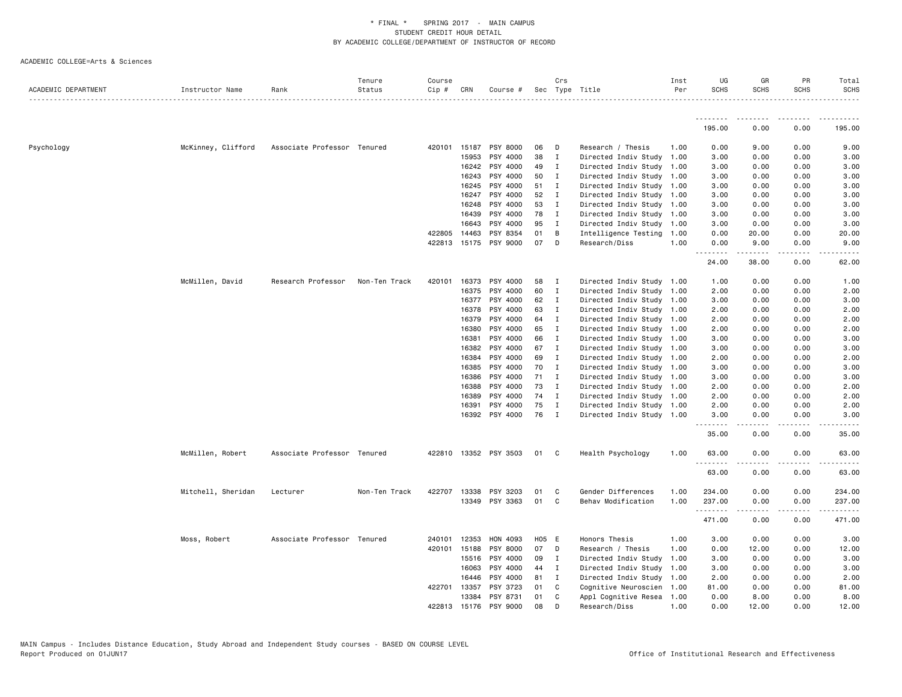| ACADEMIC DEPARTMENT | Instructor Name    | Rank                        | Tenure<br>Status | Course<br>$Cip \#$ | CRN            | Course #              |       | Crs                 | Sec Type Title                                         | Inst<br>Per | UG<br><b>SCHS</b> | GR<br><b>SCHS</b>   | PR<br><b>SCHS</b>                   | Total<br><b>SCHS</b> |
|---------------------|--------------------|-----------------------------|------------------|--------------------|----------------|-----------------------|-------|---------------------|--------------------------------------------------------|-------------|-------------------|---------------------|-------------------------------------|----------------------|
|                     |                    |                             |                  |                    |                |                       |       |                     |                                                        |             |                   |                     |                                     |                      |
|                     |                    |                             |                  |                    |                |                       |       |                     |                                                        |             | 195.00            | 0.00                | 0.00                                | 195.00               |
| Psychology          | McKinney, Clifford | Associate Professor Tenured |                  |                    | 420101 15187   | PSY 8000              | 06    | D                   | Research / Thesis                                      | 1.00        | 0.00              | 9.00                | 0.00                                | 9.00                 |
|                     |                    |                             |                  |                    | 15953          | PSY 4000              | 38    | $\mathbf{I}$        | Directed Indiv Study 1.00                              |             | 3.00              | 0.00                | 0.00                                | 3.00                 |
|                     |                    |                             |                  |                    | 16242          | PSY 4000              | 49    | $\mathbf{I}$        | Directed Indiv Study 1.00                              |             | 3.00              | 0.00                | 0.00                                | 3.00                 |
|                     |                    |                             |                  |                    | 16243          | PSY 4000              | 50    | $\blacksquare$      | Directed Indiv Study 1.00                              |             | 3.00              | 0.00                | 0.00                                | 3.00                 |
|                     |                    |                             |                  |                    | 16245          | PSY 4000              | 51    | $\mathbf{I}$        | Directed Indiv Study 1.00                              |             | 3.00              | 0.00                | 0.00                                | 3.00                 |
|                     |                    |                             |                  |                    | 16247          | PSY 4000              | 52    | $\mathbf{I}$        | Directed Indiv Study 1.00                              |             | 3.00              | 0.00                | 0.00                                | 3.00                 |
|                     |                    |                             |                  |                    | 16248          | PSY 4000              | 53    | $\mathbf{I}$        | Directed Indiv Study 1.00                              |             | 3.00              | 0.00                | 0.00                                | 3.00                 |
|                     |                    |                             |                  |                    | 16439          | PSY 4000              | 78    | $\mathbf{I}$        | Directed Indiv Study 1.00                              |             | 3.00              | 0.00                | 0.00                                | 3.00                 |
|                     |                    |                             |                  |                    | 16643          | PSY 4000              | 95    | I                   | Directed Indiv Study 1.00                              |             | 3.00              | 0.00                | 0.00                                | 3.00                 |
|                     |                    |                             |                  |                    | 422805 14463   | PSY 8354              | 01    | B                   | Intelligence Testing 1.00                              |             | 0.00              | 20.00               | 0.00                                | 20.00                |
|                     |                    |                             |                  | 422813             | 15175          | PSY 9000              | 07    | $\Box$              | Research/Diss                                          | 1.00        | 0.00<br>.         | 9.00<br>$- - - - -$ | 0.00<br>$   -$                      | 9.00<br>.            |
|                     |                    |                             |                  |                    |                |                       |       |                     |                                                        |             | 24.00             | 38.00               | 0.00                                | 62.00                |
|                     | McMillen, David    | Research Professor          | Non-Ten Track    | 420101             | 16373          | PSY 4000              | 58    | $\blacksquare$      | Directed Indiv Study 1.00                              |             | 1.00              | 0.00                | 0.00                                | 1.00                 |
|                     |                    |                             |                  |                    | 16375          | PSY 4000              | 60    | $\mathbf{I}$        | Directed Indiv Study 1.00                              |             | 2.00              | 0.00                | 0.00                                | 2.00                 |
|                     |                    |                             |                  |                    | 16377          | PSY 4000              | 62    | $\mathbf{I}$        | Directed Indiv Study 1.00                              |             | 3.00              | 0.00                | 0.00                                | 3.00                 |
|                     |                    |                             |                  |                    | 16378          | PSY 4000              | 63    | $\blacksquare$      | Directed Indiv Study 1.00                              |             | 2.00              | 0.00                | 0.00                                | 2.00                 |
|                     |                    |                             |                  |                    | 16379          | PSY 4000              | 64    | $\blacksquare$      | Directed Indiv Study 1.00                              |             | 2.00              | 0.00                | 0.00                                | 2.00                 |
|                     |                    |                             |                  |                    | 16380          | PSY 4000              | 65    | $\mathbf{I}$        | Directed Indiv Study 1.00                              |             | 2.00              | 0.00                | 0.00                                | 2.00                 |
|                     |                    |                             |                  |                    | 16381          | PSY 4000              | 66    | $\mathbf{I}$        | Directed Indiv Study 1.00                              |             | 3.00              | 0.00                | 0.00                                | 3.00                 |
|                     |                    |                             |                  |                    | 16382          | PSY 4000              | 67    | $\mathbf{I}$        | Directed Indiv Study 1.00                              |             | 3.00              | 0.00                | 0.00                                | 3.00                 |
|                     |                    |                             |                  |                    | 16384          | PSY 4000              | 69    | $\mathbf{I}$        |                                                        |             | 2.00              | 0.00                | 0.00                                | 2.00                 |
|                     |                    |                             |                  |                    | 16385          | PSY 4000              | 70    | $\mathbf{I}$        | Directed Indiv Study 1.00<br>Directed Indiv Study 1.00 |             | 3.00              | 0.00                | 0.00                                | 3.00                 |
|                     |                    |                             |                  |                    | 16386          | PSY 4000              | 71    | $\mathbf{I}$        | Directed Indiv Study 1.00                              |             | 3.00              | 0.00                | 0.00                                | 3.00                 |
|                     |                    |                             |                  |                    | 16388          | PSY 4000              | 73    | $\mathbf{I}$        |                                                        |             | 2.00              | 0.00                | 0.00                                | 2.00                 |
|                     |                    |                             |                  |                    | 16389          | PSY 4000              | 74    |                     | Directed Indiv Study 1.00                              |             |                   | 0.00                | 0.00                                | 2.00                 |
|                     |                    |                             |                  |                    |                | PSY 4000              | 75    | $\blacksquare$<br>I | Directed Indiv Study 1.00                              |             | 2.00              |                     |                                     | 2.00                 |
|                     |                    |                             |                  |                    | 16391<br>16392 | PSY 4000              | 76    | $\blacksquare$      | Directed Indiv Study 1.00<br>Directed Indiv Study 1.00 |             | 2.00<br>3.00      | 0.00<br>0.00        | 0.00<br>0.00                        | 3.00                 |
|                     |                    |                             |                  |                    |                |                       |       |                     |                                                        |             | .<br>35.00        | .<br>0.00           | .<br>0.00                           | . <u>.</u><br>35.00  |
|                     | McMillen, Robert   | Associate Professor Tenured |                  |                    |                | 422810 13352 PSY 3503 | 01    | $\mathbf{C}$        | Health Psychology                                      | 1.00        | 63.00             | 0.00                | 0.00                                | 63.00                |
|                     |                    |                             |                  |                    |                |                       |       |                     |                                                        |             | 63.00             | 0.00                | 0.00                                | 63.00                |
|                     | Mitchell, Sheridan | Lecturer                    | Non-Ten Track    | 422707             | 13338          | PSY 3203              | 01    | - C                 | Gender Differences                                     | 1.00        | 234.00            | 0.00                | 0.00                                | 234.00               |
|                     |                    |                             |                  |                    | 13349          | PSY 3363              | 01    | C                   | Behav Modification                                     | 1.00        | 237.00<br>.       | 0.00<br>.           | 0.00<br>$\sim$ $\sim$ $\sim$ $\sim$ | 237.00               |
|                     |                    |                             |                  |                    |                |                       |       |                     |                                                        |             | 471.00            | 0.00                | 0.00                                | 471.00               |
|                     | Moss, Robert       | Associate Professor Tenured |                  |                    | 240101 12353   | HON 4093              | H05 E |                     | Honors Thesis                                          | 1.00        | 3.00              | 0.00                | 0.00                                | 3.00                 |
|                     |                    |                             |                  |                    | 420101 15188   | PSY 8000              | 07    | D                   | Research / Thesis                                      | 1.00        | 0.00              | 12.00               | 0.00                                | 12.00                |
|                     |                    |                             |                  |                    | 15516          | PSY 4000              | 09    | $\blacksquare$      | Directed Indiv Study                                   | 1.00        | 3.00              | 0.00                | 0.00                                | 3.00                 |
|                     |                    |                             |                  |                    | 16063          | PSY 4000              | 44 I  |                     | Directed Indiv Study 1.00                              |             | 3.00              | 0.00                | 0.00                                | 3.00                 |
|                     |                    |                             |                  |                    | 16446          | PSY 4000              | 81    | $\mathbf{I}$        | Directed Indiv Study 1.00                              |             | 2.00              | 0.00                | 0.00                                | 2.00                 |
|                     |                    |                             |                  | 422701             | 13357          | PSY 3723              | 01    | C.                  | Cognitive Neuroscien 1.00                              |             | 81.00             | 0.00                | 0.00                                | 81.00                |
|                     |                    |                             |                  |                    | 13384          | PSY 8731              | 01    | C                   | Appl Cognitive Resea 1.00                              |             | 0.00              | 8.00                | 0.00                                | 8.00                 |
|                     |                    |                             |                  |                    | 422813 15176   | PSY 9000              | 08    | D                   | Research/Diss                                          | 1.00        | 0.00              | 12.00               | 0.00                                | 12.00                |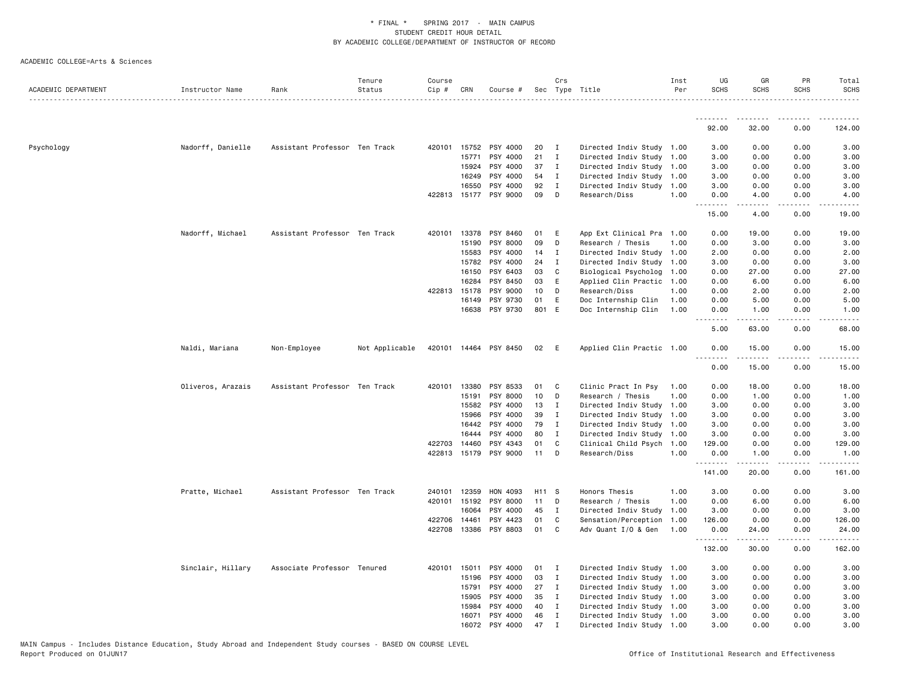| ACADEMIC DEPARTMENT | Instructor Name   | Rank                          | Tenure<br>Status | Course<br>Cip # | CRN          | Course #              |       | Crs          | Sec Type Title            | Inst<br>Per | UG<br><b>SCHS</b> | GR<br>SCHS       | PR<br><b>SCHS</b>                   | Total<br><b>SCHS</b> |
|---------------------|-------------------|-------------------------------|------------------|-----------------|--------------|-----------------------|-------|--------------|---------------------------|-------------|-------------------|------------------|-------------------------------------|----------------------|
|                     |                   |                               |                  |                 |              |                       |       |              |                           |             | .                 | <u>.</u>         | .                                   | .                    |
|                     |                   |                               |                  |                 |              |                       |       |              |                           |             | 92.00             | 32.00            | 0.00                                | 124.00               |
| Psychology          | Nadorff, Danielle | Assistant Professor Ten Track |                  | 420101          |              | 15752 PSY 4000        | 20    | I            | Directed Indiv Study 1.00 |             | 3.00              | 0.00             | 0.00                                | 3.00                 |
|                     |                   |                               |                  |                 | 15771        | PSY 4000              | 21    | $\mathbf{I}$ | Directed Indiv Study      | 1.00        | 3.00              | 0.00             | 0.00                                | 3.00                 |
|                     |                   |                               |                  |                 | 15924        | PSY 4000              | 37    | $\mathbf{I}$ | Directed Indiv Study 1.00 |             | 3.00              | 0.00             | 0.00                                | 3.00                 |
|                     |                   |                               |                  |                 | 16249        | PSY 4000              | 54    | $\mathbf{I}$ | Directed Indiv Study      | 1.00        | 3.00              | 0.00             | 0.00                                | 3.00                 |
|                     |                   |                               |                  |                 | 16550        | PSY 4000              | 92    | $\mathbf{I}$ | Directed Indiv Study      | 1.00        | 3.00              | 0.00             | 0.00                                | 3.00                 |
|                     |                   |                               |                  |                 |              | 422813 15177 PSY 9000 | 09    | D            | Research/Diss             | 1.00        | 0.00<br><u>.</u>  | 4.00<br>.        | 0.00<br>$\sim$ $\sim$ $\sim$ $\sim$ | 4.00                 |
|                     |                   |                               |                  |                 |              |                       |       |              |                           |             | 15.00             | 4.00             | 0.00                                | 19.00                |
|                     | Nadorff, Michael  | Assistant Professor Ten Track |                  |                 |              | 420101 13378 PSY 8460 | 01    | Ε            | App Ext Clinical Pra 1.00 |             | 0.00              | 19.00            | 0.00                                | 19.00                |
|                     |                   |                               |                  |                 | 15190        | PSY 8000              | 09    | D            | Research / Thesis         | 1.00        | 0.00              | 3.00             | 0.00                                | 3.00                 |
|                     |                   |                               |                  |                 | 15583        | PSY 4000              | 14    | $\mathbf{I}$ | Directed Indiv Study      | 1.00        | 2.00              | 0.00             | 0.00                                | 2.00                 |
|                     |                   |                               |                  |                 | 15782        | PSY 4000              | 24    | Ι            | Directed Indiv Study      | 1.00        | 3.00              | 0.00             | 0.00                                | 3.00                 |
|                     |                   |                               |                  |                 | 16150        | PSY 6403              | 03    | C            | Biological Psycholog      | 1.00        | 0.00              | 27.00            | 0.00                                | 27.00                |
|                     |                   |                               |                  |                 | 16284        | PSY 8450              | 03    | E            | Applied Clin Practic      | 1.00        | 0.00              | 6.00             | 0.00                                | 6.00                 |
|                     |                   |                               |                  |                 | 422813 15178 | PSY 9000              | 10    | D            | Research/Diss             | 1.00        | 0.00              | 2.00             | 0.00                                | 2.00                 |
|                     |                   |                               |                  |                 | 16149        | PSY 9730              | 01    | E            | Doc Internship Clin       | 1.00        | 0.00              | 5.00             | 0.00                                | 5.00                 |
|                     |                   |                               |                  |                 | 16638        | PSY 9730              | 801 E |              | Doc Internship Clin       | 1.00        | 0.00<br>.         | 1.00<br><b>.</b> | 0.00<br>$\sim$ $\sim$ $\sim$ $\sim$ | 1.00<br>.            |
|                     |                   |                               |                  |                 |              |                       |       |              |                           |             | 5.00              | 63.00            | 0.00                                | 68.00                |
|                     | Naldi, Mariana    | Non-Employee                  | Not Applicable   |                 |              | 420101 14464 PSY 8450 | 02    | - E          | Applied Clin Practic 1.00 |             | 0.00<br>----      | 15.00            | 0.00                                | 15.00                |
|                     |                   |                               |                  |                 |              |                       |       |              |                           |             | 0.00              | 15.00            | 0.00                                | 15.00                |
|                     | Oliveros, Arazais | Assistant Professor Ten Track |                  | 420101          | 13380        | PSY 8533              | 01    | C            | Clinic Pract In Psy       | 1.00        | 0.00              | 18.00            | 0.00                                | 18.00                |
|                     |                   |                               |                  |                 | 15191        | PSY 8000              | 10    | D            | Research / Thesis         | 1.00        | 0.00              | 1.00             | 0.00                                | 1.00                 |
|                     |                   |                               |                  |                 | 15582        | PSY 4000              | 13    | $\mathbf{I}$ | Directed Indiv Study      | 1.00        | 3.00              | 0.00             | 0.00                                | 3.00                 |
|                     |                   |                               |                  |                 | 15966        | PSY 4000              | 39    | $\mathbf{I}$ | Directed Indiv Study      | 1.00        | 3.00              | 0.00             | 0.00                                | 3.00                 |
|                     |                   |                               |                  |                 | 16442        | PSY 4000              | 79    | $\mathbf{I}$ | Directed Indiv Study 1.00 |             | 3.00              | 0.00             | 0.00                                | 3.00                 |
|                     |                   |                               |                  |                 | 16444        | PSY 4000              | 80    | $\mathbf{I}$ | Directed Indiv Study      | 1.00        | 3.00              | 0.00             | 0.00                                | 3.00                 |
|                     |                   |                               |                  | 422703          | 14460        | PSY 4343              | 01    | C            | Clinical Child Psych      | 1.00        | 129.00            | 0.00             | 0.00                                | 129.00               |
|                     |                   |                               |                  |                 |              | 422813 15179 PSY 9000 | 11    | D            | Research/Diss             | 1.00        | 0.00<br>.         | 1.00<br>-----    | 0.00<br>.                           | 1.00<br>$- - - - -$  |
|                     |                   |                               |                  |                 |              |                       |       |              |                           |             | 141.00            | 20.00            | 0.00                                | 161.00               |
|                     | Pratte, Michael   | Assistant Professor Ten Track |                  | 240101          | 12359        | HON 4093              | H11 S |              | Honors Thesis             | 1.00        | 3.00              | 0.00             | 0.00                                | 3.00                 |
|                     |                   |                               |                  |                 | 420101 15192 | PSY 8000              | 11    | D            | Research / Thesis         | 1.00        | 0.00              | 6.00             | 0.00                                | 6.00                 |
|                     |                   |                               |                  |                 | 16064        | PSY 4000              | 45    | $\mathbf{I}$ | Directed Indiv Study      | 1.00        | 3.00              | 0.00             | 0.00                                | 3.00                 |
|                     |                   |                               |                  | 422706          | 14461        | PSY 4423              | 01    | C            | Sensation/Perception      | 1.00        | 126.00            | 0.00             | 0.00                                | 126.00               |
|                     |                   |                               |                  |                 |              | 422708 13386 PSY 8803 | 01    | C            | Adv Quant I/O & Gen       | 1.00        | 0.00              | 24.00            | 0.00                                | 24.00                |
|                     |                   |                               |                  |                 |              |                       |       |              |                           |             | .<br>132.00       | .<br>30.00       | $\sim$ $\sim$ $\sim$ $\sim$<br>0.00 | .<br>162.00          |
|                     | Sinclair, Hillary | Associate Professor Tenured   |                  |                 | 420101 15011 | PSY 4000              | 01    | $\mathbf{I}$ | Directed Indiv Study 1.00 |             | 3.00              | 0.00             | 0.00                                | 3.00                 |
|                     |                   |                               |                  |                 | 15196        | PSY 4000              | 03    | $\mathbf{I}$ | Directed Indiv Study 1.00 |             | 3.00              | 0.00             | 0.00                                | 3.00                 |
|                     |                   |                               |                  |                 | 15791        | PSY 4000              | 27    | $\mathbf{I}$ | Directed Indiv Study 1.00 |             | 3.00              | 0.00             | 0.00                                | 3.00                 |
|                     |                   |                               |                  |                 | 15905        | PSY 4000              | 35    | $\mathbf{I}$ | Directed Indiv Study 1.00 |             | 3.00              | 0.00             | 0.00                                | 3.00                 |
|                     |                   |                               |                  |                 | 15984        | PSY 4000              | 40    | I            | Directed Indiv Study 1.00 |             | 3.00              | 0.00             | 0.00                                | 3.00                 |
|                     |                   |                               |                  |                 | 16071        | PSY 4000              | 46    | $\mathbf{I}$ | Directed Indiv Study 1.00 |             | 3.00              | 0.00             | 0.00                                | 3.00                 |
|                     |                   |                               |                  |                 |              | 16072 PSY 4000        | 47    | $\mathbf I$  | Directed Indiv Study 1.00 |             | 3.00              | 0.00             | 0.00                                | 3.00                 |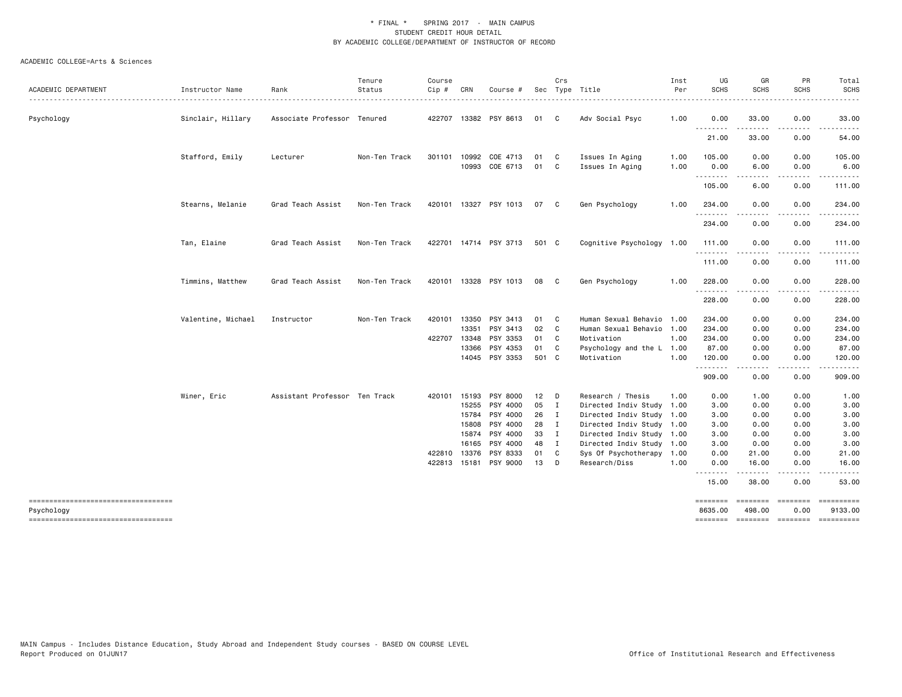|                                                   |                    |                               | Tenure        | Course |                       |                       |          | Crs          |                                    | Inst         | UG                  | GR                  | PR                | Total                                                                                                                                                               |
|---------------------------------------------------|--------------------|-------------------------------|---------------|--------|-----------------------|-----------------------|----------|--------------|------------------------------------|--------------|---------------------|---------------------|-------------------|---------------------------------------------------------------------------------------------------------------------------------------------------------------------|
| ACADEMIC DEPARTMENT                               | Instructor Name    | Rank                          | Status        | Cip #  | CRN                   | Course #              |          |              | Sec Type Title                     | Per<br>.     | <b>SCHS</b>         | <b>SCHS</b>         | <b>SCHS</b>       | <b>SCHS</b><br>$\frac{1}{2} \left( \frac{1}{2} \right) \left( \frac{1}{2} \right) \left( \frac{1}{2} \right) \left( \frac{1}{2} \right) \left( \frac{1}{2} \right)$ |
| Psychology                                        | Sinclair, Hillary  | Associate Professor Tenured   |               |        |                       | 422707 13382 PSY 8613 | 01       | C.           | Adv Social Psyc                    | 1.00         | 0.00                | 33.00               | 0.00              | 33.00                                                                                                                                                               |
|                                                   |                    |                               |               |        |                       |                       |          |              |                                    |              | .<br>21.00          | . <b>.</b><br>33.00 | .<br>0.00         | .<br>54.00                                                                                                                                                          |
|                                                   | Stafford, Emily    | Lecturer                      | Non-Ten Track | 301101 | 10992                 | COE 4713              | 01       | - C          | Issues In Aging                    | 1.00         | 105.00              | 0.00                | 0.00              | 105.00                                                                                                                                                              |
|                                                   |                    |                               |               |        | 10993                 | COE 6713              | 01       | C            | Issues In Aging                    | 1.00         | 0.00<br>.           | 6.00<br>.           | 0.00<br>$- - - -$ | 6.00<br>.                                                                                                                                                           |
|                                                   |                    |                               |               |        |                       |                       |          |              |                                    |              | 105.00              | 6.00                | 0.00              | 111.00                                                                                                                                                              |
|                                                   | Stearns, Melanie   | Grad Teach Assist             | Non-Ten Track |        |                       | 420101 13327 PSY 1013 | 07       | C            | Gen Psychology                     | 1.00         | 234.00<br>.         | 0.00<br>د د د د     | 0.00<br>.         | 234.00<br>.                                                                                                                                                         |
|                                                   |                    |                               |               |        |                       |                       |          |              |                                    |              | 234.00              | 0.00                | 0.00              | 234.00                                                                                                                                                              |
|                                                   | Tan, Elaine        | Grad Teach Assist             | Non-Ten Track |        |                       | 422701 14714 PSY 3713 | 501 C    |              | Cognitive Psychology 1.00          |              | 111.00              | 0.00                | 0.00              | 111.00                                                                                                                                                              |
|                                                   |                    |                               |               |        |                       |                       |          |              |                                    |              | 111.00              | 0.00                | 0.00              | 111.00                                                                                                                                                              |
|                                                   | Timmins, Matthew   | Grad Teach Assist             | Non-Ten Track |        |                       | 420101 13328 PSY 1013 | 08       | C.           | Gen Psychology                     | 1.00         | 228.00<br>.         | 0.00                | 0.00<br>.         | 228.00<br>.                                                                                                                                                         |
|                                                   |                    |                               |               |        |                       |                       |          |              |                                    |              | 228.00              | 0.00                | 0.00              | 228.00                                                                                                                                                              |
|                                                   | Valentine, Michael | Instructor                    | Non-Ten Track | 420101 | 13350                 | PSY 3413              | 01       | C            | Human Sexual Behavio               | 1.00         | 234.00              | 0.00                | 0.00              | 234.00                                                                                                                                                              |
|                                                   |                    |                               |               |        | 13351                 | PSY 3413              | 02       | C            | Human Sexual Behavio 1.00          |              | 234.00              | 0.00                | 0.00              | 234.00                                                                                                                                                              |
|                                                   |                    |                               |               |        | 422707 13348<br>13366 | PSY 3353<br>PSY 4353  | 01<br>01 | C<br>C       | Motivation<br>Psychology and the L | 1.00<br>1.00 | 234.00<br>87.00     | 0.00<br>0.00        | 0.00<br>0.00      | 234.00<br>87.00                                                                                                                                                     |
|                                                   |                    |                               |               |        |                       | 14045 PSY 3353        | 501 C    |              | Motivation                         | 1.00         | 120.00              | 0.00                | 0.00              | 120.00                                                                                                                                                              |
|                                                   |                    |                               |               |        |                       |                       |          |              |                                    |              | .                   | -----               | .                 |                                                                                                                                                                     |
|                                                   |                    |                               |               |        |                       |                       |          |              |                                    |              | 909.00              | 0.00                | 0.00              | 909.00                                                                                                                                                              |
|                                                   | Winer, Eric        | Assistant Professor Ten Track |               | 420101 | 15193                 | PSY 8000              | 12       | D            | Research / Thesis                  | 1.00         | 0.00                | 1.00                | 0.00              | 1.00                                                                                                                                                                |
|                                                   |                    |                               |               |        | 15255                 | PSY 4000              | 05       | I            | Directed Indiv Study               | 1.00         | 3.00                | 0.00                | 0.00              | 3.00                                                                                                                                                                |
|                                                   |                    |                               |               |        | 15784                 | PSY 4000              | 26       | $\mathbf{I}$ | Directed Indiv Study 1.00          |              | 3.00                | 0.00                | 0.00              | 3.00                                                                                                                                                                |
|                                                   |                    |                               |               |        | 15808                 | PSY 4000              | 28       | $\mathbf{I}$ | Directed Indiv Study 1.00          |              | 3.00                | 0.00                | 0.00              | 3.00                                                                                                                                                                |
|                                                   |                    |                               |               |        | 15874                 | PSY 4000              | 33       | $\mathbf{I}$ | Directed Indiv Study 1.00          |              | 3.00                | 0.00                | 0.00              | 3.00                                                                                                                                                                |
|                                                   |                    |                               |               |        | 16165                 | PSY 4000              | 48       | $\mathbf{I}$ | Directed Indiv Study 1.00          |              | 3.00                | 0.00                | 0.00              | 3.00                                                                                                                                                                |
|                                                   |                    |                               |               | 422810 | 13376                 | PSY 8333              | 01       | C            | Sys Of Psychotherapy 1.00          |              | 0.00                | 21.00               | 0.00              | 21.00                                                                                                                                                               |
|                                                   |                    |                               |               | 422813 | 15181                 | PSY 9000              | 13       | D            | Research/Diss                      | 1.00         | 0.00<br>.           | 16.00<br>.          | 0.00<br>.         | 16.00<br>.                                                                                                                                                          |
|                                                   |                    |                               |               |        |                       |                       |          |              |                                    |              | 15.00               | 38.00               | 0.00              | 53.00                                                                                                                                                               |
| -----------------------------------<br>Psychology |                    |                               |               |        |                       |                       |          |              |                                    |              | ========<br>8635.00 | ========<br>498.00  | 0.00              | ==========<br>9133.00                                                                                                                                               |
| ----------------------------------                |                    |                               |               |        |                       |                       |          |              |                                    |              |                     |                     |                   | -------- ------- -------- ---------                                                                                                                                 |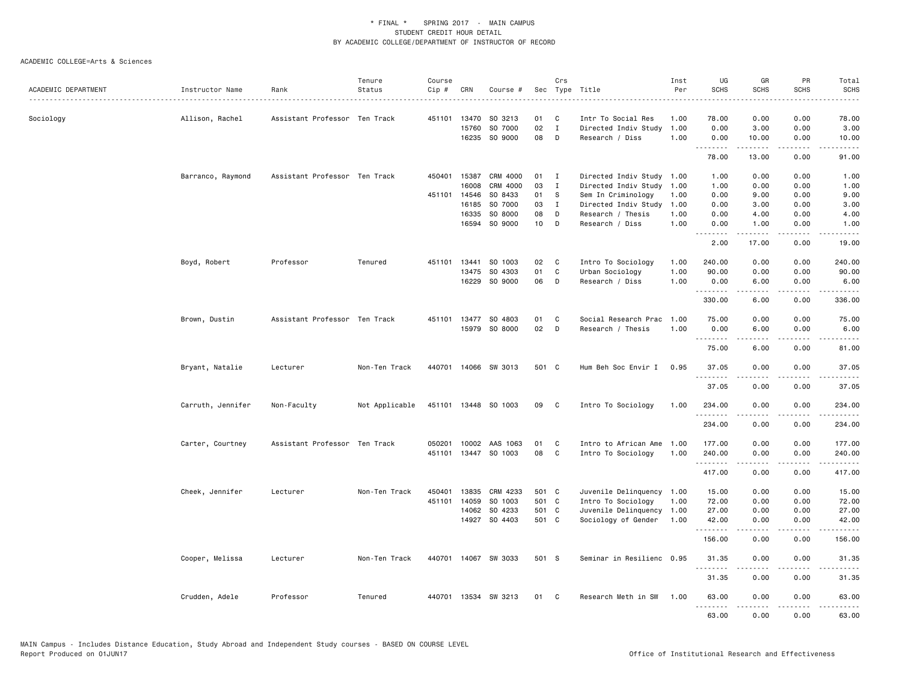|                     |                   |                               | Tenure         | Course |              |                      |       | Crs          |                           | Inst | UG                   | GR         | PR                                  | Total                                                                                                                 |
|---------------------|-------------------|-------------------------------|----------------|--------|--------------|----------------------|-------|--------------|---------------------------|------|----------------------|------------|-------------------------------------|-----------------------------------------------------------------------------------------------------------------------|
| ACADEMIC DEPARTMENT | Instructor Name   | Rank                          | Status         | Cip #  | CRN          | Course #             |       |              | Sec Type Title            | Per  | <b>SCHS</b>          | SCHS       | <b>SCHS</b>                         | <b>SCHS</b>                                                                                                           |
| Sociology           | Allison, Rachel   | Assistant Professor Ten Track |                | 451101 | 13470        | SO 3213              | 01    | C            | Intr To Social Res        | 1.00 | 78.00                | 0.00       | 0.00                                | 78.00                                                                                                                 |
|                     |                   |                               |                |        | 15760        | SO 7000              | 02    | $\mathbf{I}$ | Directed Indiv Study      | 1.00 | 0.00                 | 3.00       | 0.00                                | 3.00                                                                                                                  |
|                     |                   |                               |                |        |              | 16235 SO 9000        | 08    | D            | Research / Diss           | 1.00 | 0.00                 | 10.00      | 0.00                                | 10.00                                                                                                                 |
|                     |                   |                               |                |        |              |                      |       |              |                           |      | .<br>78.00           | .<br>13.00 | .<br>0.00                           | .<br>91.00                                                                                                            |
|                     | Barranco, Raymond | Assistant Professor Ten Track |                | 450401 | 15387        | CRM 4000             | 01    | $\mathbf{I}$ | Directed Indiv Study 1.00 |      | 1.00                 | 0.00       | 0.00                                | 1.00                                                                                                                  |
|                     |                   |                               |                |        | 16008        | CRM 4000             | 03    | $\mathbf I$  | Directed Indiv Study      | 1.00 | 1.00                 | 0.00       | 0.00                                | 1.00                                                                                                                  |
|                     |                   |                               |                |        | 451101 14546 | SO 8433              | 01    | s            | Sem In Criminology        | 1.00 | 0.00                 | 9.00       | 0.00                                | 9.00                                                                                                                  |
|                     |                   |                               |                |        | 16185        | SO 7000              | 03    | $\mathbf{I}$ | Directed Indiv Study      | 1.00 | 0.00                 | 3.00       | 0.00                                | 3.00                                                                                                                  |
|                     |                   |                               |                |        | 16335        | SO 8000              | 08    | D            | Research / Thesis         | 1.00 | 0.00                 | 4.00       | 0.00                                | 4.00                                                                                                                  |
|                     |                   |                               |                |        | 16594        | SO 9000              | 10    | D            | Research / Diss           | 1.00 | 0.00                 | 1.00       | 0.00                                | 1.00                                                                                                                  |
|                     |                   |                               |                |        |              |                      |       |              |                           |      | .<br>2.00            | 17.00      | 0.00                                | 19.00                                                                                                                 |
|                     | Boyd, Robert      | Professor                     | Tenured        |        | 451101 13441 | SO 1003              | 02    | C            | Intro To Sociology        | 1.00 | 240.00               | 0.00       | 0.00                                | 240.00                                                                                                                |
|                     |                   |                               |                |        | 13475        | SO 4303              | 01    | C            | Urban Sociology           | 1.00 | 90.00                | 0.00       | 0.00                                | 90.00                                                                                                                 |
|                     |                   |                               |                |        | 16229        | SO 9000              | 06    | D            | Research / Diss           | 1.00 | 0.00                 | 6.00       | 0.00                                | 6.00                                                                                                                  |
|                     |                   |                               |                |        |              |                      |       |              |                           |      | 330.00               | .<br>6.00  | .<br>0.00                           | .<br>336.00                                                                                                           |
|                     | Brown, Dustin     | Assistant Professor Ten Track |                |        |              | 451101 13477 SO 4803 | 01    | C            | Social Research Prac      | 1.00 | 75.00                | 0.00       | 0.00                                | 75.00                                                                                                                 |
|                     |                   |                               |                |        |              | 15979 SO 8000        | 02    | D            | Research / Thesis         | 1.00 | 0.00                 | 6.00       | 0.00                                | 6.00                                                                                                                  |
|                     |                   |                               |                |        |              |                      |       |              |                           |      | .<br>75.00           | .<br>6.00  | .<br>0.00                           | .<br>81.00                                                                                                            |
|                     |                   |                               | Non-Ten Track  |        |              | 440701 14066 SW 3013 | 501 C |              | Hum Beh Soc Envir I       | 0.95 | 37.05                | 0.00       | 0.00                                | 37.05                                                                                                                 |
|                     | Bryant, Natalie   | Lecturer                      |                |        |              |                      |       |              |                           |      | .                    |            |                                     | .                                                                                                                     |
|                     |                   |                               |                |        |              |                      |       |              |                           |      | 37.05                | 0.00       | 0.00                                | 37.05                                                                                                                 |
|                     | Carruth, Jennifer | Non-Faculty                   | Not Applicable |        |              | 451101 13448 SO 1003 | 09    | C            | Intro To Sociology        | 1.00 | 234.00<br>.          | 0.00<br>.  | 0.00<br>$- - - -$                   | 234.00<br>$- - - - - -$                                                                                               |
|                     |                   |                               |                |        |              |                      |       |              |                           |      | 234.00               | 0.00       | 0.00                                | 234.00                                                                                                                |
|                     | Carter, Courtney  | Assistant Professor Ten Track |                | 050201 |              | 10002 AAS 1063       | 01    | C            | Intro to African Ame      | 1.00 | 177.00               | 0.00       | 0.00                                | 177.00                                                                                                                |
|                     |                   |                               |                | 451101 | 13447        | SO 1003              | 08    | C            | Intro To Sociology        | 1.00 | 240.00               | 0.00       | 0.00                                | 240.00                                                                                                                |
|                     |                   |                               |                |        |              |                      |       |              |                           |      | .<br>417.00          | .<br>0.00  | $\sim$ $\sim$ $\sim$ $\sim$<br>0.00 | $\begin{array}{cccccccccc} \bullet & \bullet & \bullet & \bullet & \bullet & \bullet & \bullet \end{array}$<br>417.00 |
|                     | Cheek, Jennifer   | Lecturer                      | Non-Ten Track  | 450401 | 13835        | CRM 4233             | 501 C |              | Juvenile Delinquency 1.00 |      | 15.00                | 0.00       | 0.00                                | 15.00                                                                                                                 |
|                     |                   |                               |                | 451101 | 14059        | SO 1003              | 501 C |              | Intro To Sociology        | 1.00 | 72.00                | 0.00       | 0.00                                | 72.00                                                                                                                 |
|                     |                   |                               |                |        | 14062        | SO 4233              | 501 C |              | Juvenile Delinquency 1.00 |      | 27.00                | 0.00       | 0.00                                | 27.00                                                                                                                 |
|                     |                   |                               |                |        |              | 14927 SO 4403        | 501 C |              | Sociology of Gender       | 1.00 | 42.00                | 0.00       | 0.00                                | 42.00                                                                                                                 |
|                     |                   |                               |                |        |              |                      |       |              |                           |      | . <b>.</b><br>156.00 | 0.00       | .<br>0.00                           | .<br>156.00                                                                                                           |
|                     | Cooper, Melissa   | Lecturer                      | Non-Ten Track  |        |              | 440701 14067 SW 3033 | 501 S |              | Seminar in Resilienc 0.95 |      | 31.35                | 0.00       | 0.00                                | 31.35<br>$\sim$ $\sim$ $\sim$ $\sim$                                                                                  |
|                     |                   |                               |                |        |              |                      |       |              |                           |      | .<br>31.35           | 0.00       | 0.00                                | 31.35                                                                                                                 |
|                     | Crudden, Adele    | Professor                     | Tenured        |        |              | 440701 13534 SW 3213 | 01 C  |              | Research Meth in SW       | 1.00 | 63.00<br>.           | 0.00<br>.  | 0.00<br>.                           | 63.00<br>.                                                                                                            |
|                     |                   |                               |                |        |              |                      |       |              |                           |      | 63,00                | 0.00       | 0.00                                | 63.00                                                                                                                 |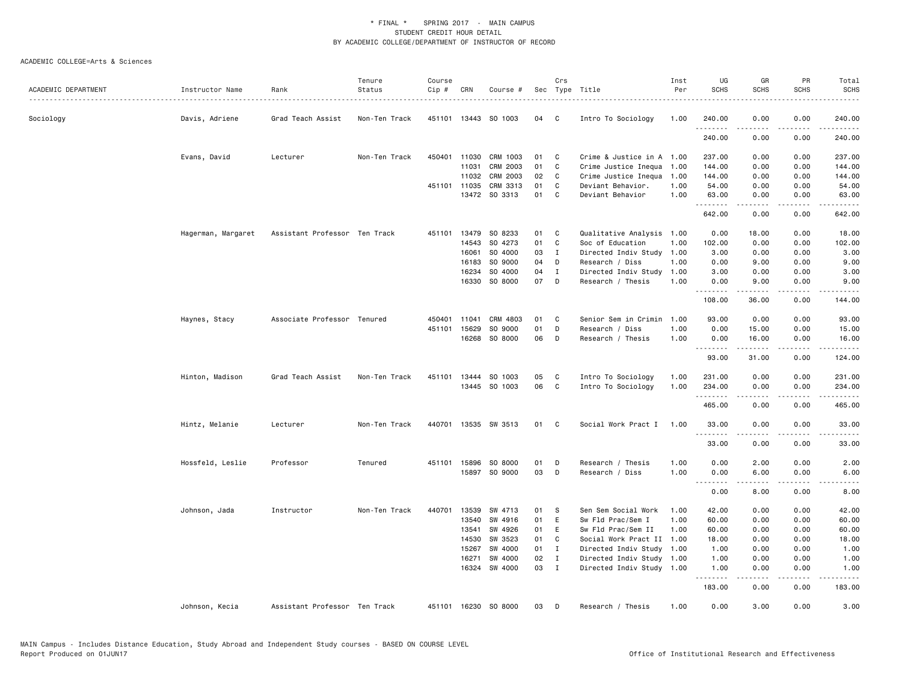| Sec Type Title<br>0.00<br>240.00<br>Sociology<br>Davis, Adriene<br>Grad Teach Assist<br>Non-Ten Track<br>451101 13443 SO 1003<br>04<br>C<br>Intro To Sociology<br>1.00<br>240.00<br>0.00<br>.<br>.<br>.<br>240.00<br>240.00<br>0.00<br>0.00<br>Evans, David<br>Lecturer<br>Non-Ten Track<br>450401 11030<br>CRM 1003<br>01<br>C<br>Crime & Justice in A 1.00<br>237.00<br>0.00<br>0.00<br>237.00<br>$\mathbb{C}$<br>11031<br>CRM 2003<br>01<br>Crime Justice Inequa<br>1.00<br>144.00<br>0.00<br>0.00<br>144.00<br>CRM 2003<br>02<br>11032<br>C<br>Crime Justice Inequa<br>144.00<br>0.00<br>0.00<br>144.00<br>1.00<br>CRM 3313<br>451101 11035<br>01<br>C<br>Deviant Behavior.<br>1.00<br>54.00<br>0.00<br>0.00<br>54.00<br>SO 3313<br>01<br>13472<br>C<br>Deviant Behavior<br>1.00<br>63.00<br>0.00<br>0.00<br>63.00<br>.<br>$   -$<br>.<br>.<br>642.00<br>0.00<br>0.00<br>642.00<br>SO 8233<br>Qualitative Analysis<br>18.00<br>Hagerman, Margaret<br>Assistant Professor Ten Track<br>13479<br>01<br>C<br>1.00<br>0.00<br>18.00<br>0.00<br>451101<br>14543<br>SO 4273<br>01<br>C<br>102.00<br>Soc of Education<br>1.00<br>102.00<br>0.00<br>0.00<br>16061<br>SO 4000<br>03<br>$\mathbf{I}$<br>Directed Indiv Study<br>1.00<br>3.00<br>0.00<br>3.00<br>0.00<br>SO 9000<br>04<br>1.00<br>9.00<br>16183<br>D<br>Research / Diss<br>0.00<br>9.00<br>0.00<br>SO 4000<br>04<br>16234<br>$\mathbf{I}$<br>Directed Indiv Study<br>1.00<br>3.00<br>0.00<br>0.00<br>3.00<br>07<br>16330<br>SO 8000<br>D<br>Research / Thesis<br>1.00<br>0.00<br>9.00<br>0.00<br>9.00<br>.<br><b>.</b><br>.<br>.<br>108.00<br>36.00<br>0.00<br>144.00<br>CRM 4803<br>Senior Sem in Crimin<br>0.00<br>93.00<br>Associate Professor Tenured<br>450401<br>11041<br>01<br>C<br>1.00<br>93.00<br>0.00<br>Haynes, Stacy<br>01<br>D<br>451101<br>15629<br>SO 9000<br>Research / Diss<br>1.00<br>0.00<br>15.00<br>0.00<br>15.00<br>SO 8000<br>06<br>16268<br>D<br>Research / Thesis<br>1.00<br>0.00<br>16.00<br>0.00<br>16.00<br>.<br><b>.</b><br>$   -$<br>.<br>93.00<br>31.00<br>0.00<br>124.00<br>SO 1003<br>05<br>Intro To Sociology<br>0.00<br>0.00<br>231.00<br>Hinton, Madison<br>Grad Teach Assist<br>Non-Ten Track<br>451101<br>13444<br>C<br>1.00<br>231.00<br>13445 SO 1003<br>06<br>C<br>Intro To Sociology<br>1.00<br>234.00<br>0.00<br>0.00<br>234.00<br>.<br>-----<br>.<br>465.00<br>0.00<br>0.00<br>465.00<br>Hintz, Melanie<br>Non-Ten Track<br>440701<br>13535 SW 3513<br>01<br>Social Work Pract I<br>1.00<br>33.00<br>0.00<br>0.00<br>33.00<br>Lecturer<br>C<br>.<br>$   -$<br>.<br>.<br>33.00<br>0.00<br>0.00<br>33.00<br>451101 15896<br>SO 8000<br>1.00<br>2.00<br>2.00<br>Hossfeld, Leslie<br>Professor<br>Tenured<br>01<br>Research / Thesis<br>0.00<br>0.00<br>D<br>15897 SO 9000<br>03<br>D<br>Research / Diss<br>1.00<br>0.00<br>6.00<br>0.00<br>6.00<br>.<br>.<br>.<br>-----<br>0.00<br>8.00<br>0.00<br>8.00<br>Non-Ten Track<br>13539<br>SW 4713<br>Sen Sem Social Work<br>42.00<br>Johnson, Jada<br>Instructor<br>440701<br>01<br>S<br>1.00<br>42.00<br>0.00<br>0.00<br>SW 4916<br>01<br>E<br>Sw Fld Prac/Sem I<br>0.00<br>60.00<br>13540<br>1.00<br>60.00<br>0.00<br>SW 4926<br>Sw Fld Prac/Sem II<br>13541<br>01<br>Ε<br>1.00<br>60.00<br>0.00<br>0.00<br>60.00<br>14530<br>SW 3523<br>01<br>C<br>Social Work Pract II 1.00<br>18.00<br>18.00<br>0.00<br>0.00<br>15267<br>SW 4000<br>01<br>Directed Indiv Study 1.00<br>0.00<br>0.00<br>1.00<br>$\mathbf{I}$<br>1.00<br>SW 4000<br>02<br>Directed Indiv Study 1.00<br>16271<br>$\mathbf{I}$<br>1.00<br>0.00<br>0.00<br>1.00<br>16324 SW 4000<br>03<br>$\mathbf{I}$<br>Directed Indiv Study 1.00<br>1.00<br>0.00<br>0.00<br>1.00<br>.<br>.<br>.<br>.<br>183.00<br>0.00<br>0.00<br>183.00<br>0.00<br>3.00<br>0.00<br>3.00<br>Assistant Professor Ten Track<br>451101 16230 SO 8000<br>03<br>Research / Thesis<br>1.00<br>Johnson, Kecia<br>D |                     |                 |      | Tenure | Course |     |          | Crs | Inst | UG          | GR          | PR          | Total       |
|----------------------------------------------------------------------------------------------------------------------------------------------------------------------------------------------------------------------------------------------------------------------------------------------------------------------------------------------------------------------------------------------------------------------------------------------------------------------------------------------------------------------------------------------------------------------------------------------------------------------------------------------------------------------------------------------------------------------------------------------------------------------------------------------------------------------------------------------------------------------------------------------------------------------------------------------------------------------------------------------------------------------------------------------------------------------------------------------------------------------------------------------------------------------------------------------------------------------------------------------------------------------------------------------------------------------------------------------------------------------------------------------------------------------------------------------------------------------------------------------------------------------------------------------------------------------------------------------------------------------------------------------------------------------------------------------------------------------------------------------------------------------------------------------------------------------------------------------------------------------------------------------------------------------------------------------------------------------------------------------------------------------------------------------------------------------------------------------------------------------------------------------------------------------------------------------------------------------------------------------------------------------------------------------------------------------------------------------------------------------------------------------------------------------------------------------------------------------------------------------------------------------------------------------------------------------------------------------------------------------------------------------------------------------------------------------------------------------------------------------------------------------------------------------------------------------------------------------------------------------------------------------------------------------------------------------------------------------------------------------------------------------------------------------------------------------------------------------------------------------------------------------------------------------------------------------------------------------------------------------------------------------------------------------------------------------------------------------------------------------------------------------------------------------------------------------------------------------------------------------------------------------------------------------------------------------------------------------------------------------------------------------------------------------------------------------------------------------------------------------------------------------------------------------------------------------------------------------------------------------------------------------|---------------------|-----------------|------|--------|--------|-----|----------|-----|------|-------------|-------------|-------------|-------------|
|                                                                                                                                                                                                                                                                                                                                                                                                                                                                                                                                                                                                                                                                                                                                                                                                                                                                                                                                                                                                                                                                                                                                                                                                                                                                                                                                                                                                                                                                                                                                                                                                                                                                                                                                                                                                                                                                                                                                                                                                                                                                                                                                                                                                                                                                                                                                                                                                                                                                                                                                                                                                                                                                                                                                                                                                                                                                                                                                                                                                                                                                                                                                                                                                                                                                                                                                                                                                                                                                                                                                                                                                                                                                                                                                                                                                                                                                                              | ACADEMIC DEPARTMENT | Instructor Name | Rank | Status | Cip #  | CRN | Course # |     | Per  | <b>SCHS</b> | <b>SCHS</b> | <b>SCHS</b> | <b>SCHS</b> |
|                                                                                                                                                                                                                                                                                                                                                                                                                                                                                                                                                                                                                                                                                                                                                                                                                                                                                                                                                                                                                                                                                                                                                                                                                                                                                                                                                                                                                                                                                                                                                                                                                                                                                                                                                                                                                                                                                                                                                                                                                                                                                                                                                                                                                                                                                                                                                                                                                                                                                                                                                                                                                                                                                                                                                                                                                                                                                                                                                                                                                                                                                                                                                                                                                                                                                                                                                                                                                                                                                                                                                                                                                                                                                                                                                                                                                                                                                              |                     |                 |      |        |        |     |          |     |      |             |             |             |             |
|                                                                                                                                                                                                                                                                                                                                                                                                                                                                                                                                                                                                                                                                                                                                                                                                                                                                                                                                                                                                                                                                                                                                                                                                                                                                                                                                                                                                                                                                                                                                                                                                                                                                                                                                                                                                                                                                                                                                                                                                                                                                                                                                                                                                                                                                                                                                                                                                                                                                                                                                                                                                                                                                                                                                                                                                                                                                                                                                                                                                                                                                                                                                                                                                                                                                                                                                                                                                                                                                                                                                                                                                                                                                                                                                                                                                                                                                                              |                     |                 |      |        |        |     |          |     |      |             |             |             |             |
|                                                                                                                                                                                                                                                                                                                                                                                                                                                                                                                                                                                                                                                                                                                                                                                                                                                                                                                                                                                                                                                                                                                                                                                                                                                                                                                                                                                                                                                                                                                                                                                                                                                                                                                                                                                                                                                                                                                                                                                                                                                                                                                                                                                                                                                                                                                                                                                                                                                                                                                                                                                                                                                                                                                                                                                                                                                                                                                                                                                                                                                                                                                                                                                                                                                                                                                                                                                                                                                                                                                                                                                                                                                                                                                                                                                                                                                                                              |                     |                 |      |        |        |     |          |     |      |             |             |             |             |
|                                                                                                                                                                                                                                                                                                                                                                                                                                                                                                                                                                                                                                                                                                                                                                                                                                                                                                                                                                                                                                                                                                                                                                                                                                                                                                                                                                                                                                                                                                                                                                                                                                                                                                                                                                                                                                                                                                                                                                                                                                                                                                                                                                                                                                                                                                                                                                                                                                                                                                                                                                                                                                                                                                                                                                                                                                                                                                                                                                                                                                                                                                                                                                                                                                                                                                                                                                                                                                                                                                                                                                                                                                                                                                                                                                                                                                                                                              |                     |                 |      |        |        |     |          |     |      |             |             |             |             |
|                                                                                                                                                                                                                                                                                                                                                                                                                                                                                                                                                                                                                                                                                                                                                                                                                                                                                                                                                                                                                                                                                                                                                                                                                                                                                                                                                                                                                                                                                                                                                                                                                                                                                                                                                                                                                                                                                                                                                                                                                                                                                                                                                                                                                                                                                                                                                                                                                                                                                                                                                                                                                                                                                                                                                                                                                                                                                                                                                                                                                                                                                                                                                                                                                                                                                                                                                                                                                                                                                                                                                                                                                                                                                                                                                                                                                                                                                              |                     |                 |      |        |        |     |          |     |      |             |             |             |             |
|                                                                                                                                                                                                                                                                                                                                                                                                                                                                                                                                                                                                                                                                                                                                                                                                                                                                                                                                                                                                                                                                                                                                                                                                                                                                                                                                                                                                                                                                                                                                                                                                                                                                                                                                                                                                                                                                                                                                                                                                                                                                                                                                                                                                                                                                                                                                                                                                                                                                                                                                                                                                                                                                                                                                                                                                                                                                                                                                                                                                                                                                                                                                                                                                                                                                                                                                                                                                                                                                                                                                                                                                                                                                                                                                                                                                                                                                                              |                     |                 |      |        |        |     |          |     |      |             |             |             |             |
|                                                                                                                                                                                                                                                                                                                                                                                                                                                                                                                                                                                                                                                                                                                                                                                                                                                                                                                                                                                                                                                                                                                                                                                                                                                                                                                                                                                                                                                                                                                                                                                                                                                                                                                                                                                                                                                                                                                                                                                                                                                                                                                                                                                                                                                                                                                                                                                                                                                                                                                                                                                                                                                                                                                                                                                                                                                                                                                                                                                                                                                                                                                                                                                                                                                                                                                                                                                                                                                                                                                                                                                                                                                                                                                                                                                                                                                                                              |                     |                 |      |        |        |     |          |     |      |             |             |             |             |
|                                                                                                                                                                                                                                                                                                                                                                                                                                                                                                                                                                                                                                                                                                                                                                                                                                                                                                                                                                                                                                                                                                                                                                                                                                                                                                                                                                                                                                                                                                                                                                                                                                                                                                                                                                                                                                                                                                                                                                                                                                                                                                                                                                                                                                                                                                                                                                                                                                                                                                                                                                                                                                                                                                                                                                                                                                                                                                                                                                                                                                                                                                                                                                                                                                                                                                                                                                                                                                                                                                                                                                                                                                                                                                                                                                                                                                                                                              |                     |                 |      |        |        |     |          |     |      |             |             |             |             |
|                                                                                                                                                                                                                                                                                                                                                                                                                                                                                                                                                                                                                                                                                                                                                                                                                                                                                                                                                                                                                                                                                                                                                                                                                                                                                                                                                                                                                                                                                                                                                                                                                                                                                                                                                                                                                                                                                                                                                                                                                                                                                                                                                                                                                                                                                                                                                                                                                                                                                                                                                                                                                                                                                                                                                                                                                                                                                                                                                                                                                                                                                                                                                                                                                                                                                                                                                                                                                                                                                                                                                                                                                                                                                                                                                                                                                                                                                              |                     |                 |      |        |        |     |          |     |      |             |             |             |             |
|                                                                                                                                                                                                                                                                                                                                                                                                                                                                                                                                                                                                                                                                                                                                                                                                                                                                                                                                                                                                                                                                                                                                                                                                                                                                                                                                                                                                                                                                                                                                                                                                                                                                                                                                                                                                                                                                                                                                                                                                                                                                                                                                                                                                                                                                                                                                                                                                                                                                                                                                                                                                                                                                                                                                                                                                                                                                                                                                                                                                                                                                                                                                                                                                                                                                                                                                                                                                                                                                                                                                                                                                                                                                                                                                                                                                                                                                                              |                     |                 |      |        |        |     |          |     |      |             |             |             |             |
|                                                                                                                                                                                                                                                                                                                                                                                                                                                                                                                                                                                                                                                                                                                                                                                                                                                                                                                                                                                                                                                                                                                                                                                                                                                                                                                                                                                                                                                                                                                                                                                                                                                                                                                                                                                                                                                                                                                                                                                                                                                                                                                                                                                                                                                                                                                                                                                                                                                                                                                                                                                                                                                                                                                                                                                                                                                                                                                                                                                                                                                                                                                                                                                                                                                                                                                                                                                                                                                                                                                                                                                                                                                                                                                                                                                                                                                                                              |                     |                 |      |        |        |     |          |     |      |             |             |             |             |
|                                                                                                                                                                                                                                                                                                                                                                                                                                                                                                                                                                                                                                                                                                                                                                                                                                                                                                                                                                                                                                                                                                                                                                                                                                                                                                                                                                                                                                                                                                                                                                                                                                                                                                                                                                                                                                                                                                                                                                                                                                                                                                                                                                                                                                                                                                                                                                                                                                                                                                                                                                                                                                                                                                                                                                                                                                                                                                                                                                                                                                                                                                                                                                                                                                                                                                                                                                                                                                                                                                                                                                                                                                                                                                                                                                                                                                                                                              |                     |                 |      |        |        |     |          |     |      |             |             |             |             |
|                                                                                                                                                                                                                                                                                                                                                                                                                                                                                                                                                                                                                                                                                                                                                                                                                                                                                                                                                                                                                                                                                                                                                                                                                                                                                                                                                                                                                                                                                                                                                                                                                                                                                                                                                                                                                                                                                                                                                                                                                                                                                                                                                                                                                                                                                                                                                                                                                                                                                                                                                                                                                                                                                                                                                                                                                                                                                                                                                                                                                                                                                                                                                                                                                                                                                                                                                                                                                                                                                                                                                                                                                                                                                                                                                                                                                                                                                              |                     |                 |      |        |        |     |          |     |      |             |             |             |             |
|                                                                                                                                                                                                                                                                                                                                                                                                                                                                                                                                                                                                                                                                                                                                                                                                                                                                                                                                                                                                                                                                                                                                                                                                                                                                                                                                                                                                                                                                                                                                                                                                                                                                                                                                                                                                                                                                                                                                                                                                                                                                                                                                                                                                                                                                                                                                                                                                                                                                                                                                                                                                                                                                                                                                                                                                                                                                                                                                                                                                                                                                                                                                                                                                                                                                                                                                                                                                                                                                                                                                                                                                                                                                                                                                                                                                                                                                                              |                     |                 |      |        |        |     |          |     |      |             |             |             |             |
|                                                                                                                                                                                                                                                                                                                                                                                                                                                                                                                                                                                                                                                                                                                                                                                                                                                                                                                                                                                                                                                                                                                                                                                                                                                                                                                                                                                                                                                                                                                                                                                                                                                                                                                                                                                                                                                                                                                                                                                                                                                                                                                                                                                                                                                                                                                                                                                                                                                                                                                                                                                                                                                                                                                                                                                                                                                                                                                                                                                                                                                                                                                                                                                                                                                                                                                                                                                                                                                                                                                                                                                                                                                                                                                                                                                                                                                                                              |                     |                 |      |        |        |     |          |     |      |             |             |             |             |
|                                                                                                                                                                                                                                                                                                                                                                                                                                                                                                                                                                                                                                                                                                                                                                                                                                                                                                                                                                                                                                                                                                                                                                                                                                                                                                                                                                                                                                                                                                                                                                                                                                                                                                                                                                                                                                                                                                                                                                                                                                                                                                                                                                                                                                                                                                                                                                                                                                                                                                                                                                                                                                                                                                                                                                                                                                                                                                                                                                                                                                                                                                                                                                                                                                                                                                                                                                                                                                                                                                                                                                                                                                                                                                                                                                                                                                                                                              |                     |                 |      |        |        |     |          |     |      |             |             |             |             |
|                                                                                                                                                                                                                                                                                                                                                                                                                                                                                                                                                                                                                                                                                                                                                                                                                                                                                                                                                                                                                                                                                                                                                                                                                                                                                                                                                                                                                                                                                                                                                                                                                                                                                                                                                                                                                                                                                                                                                                                                                                                                                                                                                                                                                                                                                                                                                                                                                                                                                                                                                                                                                                                                                                                                                                                                                                                                                                                                                                                                                                                                                                                                                                                                                                                                                                                                                                                                                                                                                                                                                                                                                                                                                                                                                                                                                                                                                              |                     |                 |      |        |        |     |          |     |      |             |             |             |             |
|                                                                                                                                                                                                                                                                                                                                                                                                                                                                                                                                                                                                                                                                                                                                                                                                                                                                                                                                                                                                                                                                                                                                                                                                                                                                                                                                                                                                                                                                                                                                                                                                                                                                                                                                                                                                                                                                                                                                                                                                                                                                                                                                                                                                                                                                                                                                                                                                                                                                                                                                                                                                                                                                                                                                                                                                                                                                                                                                                                                                                                                                                                                                                                                                                                                                                                                                                                                                                                                                                                                                                                                                                                                                                                                                                                                                                                                                                              |                     |                 |      |        |        |     |          |     |      |             |             |             |             |
|                                                                                                                                                                                                                                                                                                                                                                                                                                                                                                                                                                                                                                                                                                                                                                                                                                                                                                                                                                                                                                                                                                                                                                                                                                                                                                                                                                                                                                                                                                                                                                                                                                                                                                                                                                                                                                                                                                                                                                                                                                                                                                                                                                                                                                                                                                                                                                                                                                                                                                                                                                                                                                                                                                                                                                                                                                                                                                                                                                                                                                                                                                                                                                                                                                                                                                                                                                                                                                                                                                                                                                                                                                                                                                                                                                                                                                                                                              |                     |                 |      |        |        |     |          |     |      |             |             |             |             |
|                                                                                                                                                                                                                                                                                                                                                                                                                                                                                                                                                                                                                                                                                                                                                                                                                                                                                                                                                                                                                                                                                                                                                                                                                                                                                                                                                                                                                                                                                                                                                                                                                                                                                                                                                                                                                                                                                                                                                                                                                                                                                                                                                                                                                                                                                                                                                                                                                                                                                                                                                                                                                                                                                                                                                                                                                                                                                                                                                                                                                                                                                                                                                                                                                                                                                                                                                                                                                                                                                                                                                                                                                                                                                                                                                                                                                                                                                              |                     |                 |      |        |        |     |          |     |      |             |             |             |             |
|                                                                                                                                                                                                                                                                                                                                                                                                                                                                                                                                                                                                                                                                                                                                                                                                                                                                                                                                                                                                                                                                                                                                                                                                                                                                                                                                                                                                                                                                                                                                                                                                                                                                                                                                                                                                                                                                                                                                                                                                                                                                                                                                                                                                                                                                                                                                                                                                                                                                                                                                                                                                                                                                                                                                                                                                                                                                                                                                                                                                                                                                                                                                                                                                                                                                                                                                                                                                                                                                                                                                                                                                                                                                                                                                                                                                                                                                                              |                     |                 |      |        |        |     |          |     |      |             |             |             |             |
|                                                                                                                                                                                                                                                                                                                                                                                                                                                                                                                                                                                                                                                                                                                                                                                                                                                                                                                                                                                                                                                                                                                                                                                                                                                                                                                                                                                                                                                                                                                                                                                                                                                                                                                                                                                                                                                                                                                                                                                                                                                                                                                                                                                                                                                                                                                                                                                                                                                                                                                                                                                                                                                                                                                                                                                                                                                                                                                                                                                                                                                                                                                                                                                                                                                                                                                                                                                                                                                                                                                                                                                                                                                                                                                                                                                                                                                                                              |                     |                 |      |        |        |     |          |     |      |             |             |             |             |
|                                                                                                                                                                                                                                                                                                                                                                                                                                                                                                                                                                                                                                                                                                                                                                                                                                                                                                                                                                                                                                                                                                                                                                                                                                                                                                                                                                                                                                                                                                                                                                                                                                                                                                                                                                                                                                                                                                                                                                                                                                                                                                                                                                                                                                                                                                                                                                                                                                                                                                                                                                                                                                                                                                                                                                                                                                                                                                                                                                                                                                                                                                                                                                                                                                                                                                                                                                                                                                                                                                                                                                                                                                                                                                                                                                                                                                                                                              |                     |                 |      |        |        |     |          |     |      |             |             |             |             |
|                                                                                                                                                                                                                                                                                                                                                                                                                                                                                                                                                                                                                                                                                                                                                                                                                                                                                                                                                                                                                                                                                                                                                                                                                                                                                                                                                                                                                                                                                                                                                                                                                                                                                                                                                                                                                                                                                                                                                                                                                                                                                                                                                                                                                                                                                                                                                                                                                                                                                                                                                                                                                                                                                                                                                                                                                                                                                                                                                                                                                                                                                                                                                                                                                                                                                                                                                                                                                                                                                                                                                                                                                                                                                                                                                                                                                                                                                              |                     |                 |      |        |        |     |          |     |      |             |             |             |             |
|                                                                                                                                                                                                                                                                                                                                                                                                                                                                                                                                                                                                                                                                                                                                                                                                                                                                                                                                                                                                                                                                                                                                                                                                                                                                                                                                                                                                                                                                                                                                                                                                                                                                                                                                                                                                                                                                                                                                                                                                                                                                                                                                                                                                                                                                                                                                                                                                                                                                                                                                                                                                                                                                                                                                                                                                                                                                                                                                                                                                                                                                                                                                                                                                                                                                                                                                                                                                                                                                                                                                                                                                                                                                                                                                                                                                                                                                                              |                     |                 |      |        |        |     |          |     |      |             |             |             |             |
|                                                                                                                                                                                                                                                                                                                                                                                                                                                                                                                                                                                                                                                                                                                                                                                                                                                                                                                                                                                                                                                                                                                                                                                                                                                                                                                                                                                                                                                                                                                                                                                                                                                                                                                                                                                                                                                                                                                                                                                                                                                                                                                                                                                                                                                                                                                                                                                                                                                                                                                                                                                                                                                                                                                                                                                                                                                                                                                                                                                                                                                                                                                                                                                                                                                                                                                                                                                                                                                                                                                                                                                                                                                                                                                                                                                                                                                                                              |                     |                 |      |        |        |     |          |     |      |             |             |             |             |
|                                                                                                                                                                                                                                                                                                                                                                                                                                                                                                                                                                                                                                                                                                                                                                                                                                                                                                                                                                                                                                                                                                                                                                                                                                                                                                                                                                                                                                                                                                                                                                                                                                                                                                                                                                                                                                                                                                                                                                                                                                                                                                                                                                                                                                                                                                                                                                                                                                                                                                                                                                                                                                                                                                                                                                                                                                                                                                                                                                                                                                                                                                                                                                                                                                                                                                                                                                                                                                                                                                                                                                                                                                                                                                                                                                                                                                                                                              |                     |                 |      |        |        |     |          |     |      |             |             |             |             |
|                                                                                                                                                                                                                                                                                                                                                                                                                                                                                                                                                                                                                                                                                                                                                                                                                                                                                                                                                                                                                                                                                                                                                                                                                                                                                                                                                                                                                                                                                                                                                                                                                                                                                                                                                                                                                                                                                                                                                                                                                                                                                                                                                                                                                                                                                                                                                                                                                                                                                                                                                                                                                                                                                                                                                                                                                                                                                                                                                                                                                                                                                                                                                                                                                                                                                                                                                                                                                                                                                                                                                                                                                                                                                                                                                                                                                                                                                              |                     |                 |      |        |        |     |          |     |      |             |             |             |             |
|                                                                                                                                                                                                                                                                                                                                                                                                                                                                                                                                                                                                                                                                                                                                                                                                                                                                                                                                                                                                                                                                                                                                                                                                                                                                                                                                                                                                                                                                                                                                                                                                                                                                                                                                                                                                                                                                                                                                                                                                                                                                                                                                                                                                                                                                                                                                                                                                                                                                                                                                                                                                                                                                                                                                                                                                                                                                                                                                                                                                                                                                                                                                                                                                                                                                                                                                                                                                                                                                                                                                                                                                                                                                                                                                                                                                                                                                                              |                     |                 |      |        |        |     |          |     |      |             |             |             |             |
|                                                                                                                                                                                                                                                                                                                                                                                                                                                                                                                                                                                                                                                                                                                                                                                                                                                                                                                                                                                                                                                                                                                                                                                                                                                                                                                                                                                                                                                                                                                                                                                                                                                                                                                                                                                                                                                                                                                                                                                                                                                                                                                                                                                                                                                                                                                                                                                                                                                                                                                                                                                                                                                                                                                                                                                                                                                                                                                                                                                                                                                                                                                                                                                                                                                                                                                                                                                                                                                                                                                                                                                                                                                                                                                                                                                                                                                                                              |                     |                 |      |        |        |     |          |     |      |             |             |             |             |
|                                                                                                                                                                                                                                                                                                                                                                                                                                                                                                                                                                                                                                                                                                                                                                                                                                                                                                                                                                                                                                                                                                                                                                                                                                                                                                                                                                                                                                                                                                                                                                                                                                                                                                                                                                                                                                                                                                                                                                                                                                                                                                                                                                                                                                                                                                                                                                                                                                                                                                                                                                                                                                                                                                                                                                                                                                                                                                                                                                                                                                                                                                                                                                                                                                                                                                                                                                                                                                                                                                                                                                                                                                                                                                                                                                                                                                                                                              |                     |                 |      |        |        |     |          |     |      |             |             |             |             |
|                                                                                                                                                                                                                                                                                                                                                                                                                                                                                                                                                                                                                                                                                                                                                                                                                                                                                                                                                                                                                                                                                                                                                                                                                                                                                                                                                                                                                                                                                                                                                                                                                                                                                                                                                                                                                                                                                                                                                                                                                                                                                                                                                                                                                                                                                                                                                                                                                                                                                                                                                                                                                                                                                                                                                                                                                                                                                                                                                                                                                                                                                                                                                                                                                                                                                                                                                                                                                                                                                                                                                                                                                                                                                                                                                                                                                                                                                              |                     |                 |      |        |        |     |          |     |      |             |             |             |             |
|                                                                                                                                                                                                                                                                                                                                                                                                                                                                                                                                                                                                                                                                                                                                                                                                                                                                                                                                                                                                                                                                                                                                                                                                                                                                                                                                                                                                                                                                                                                                                                                                                                                                                                                                                                                                                                                                                                                                                                                                                                                                                                                                                                                                                                                                                                                                                                                                                                                                                                                                                                                                                                                                                                                                                                                                                                                                                                                                                                                                                                                                                                                                                                                                                                                                                                                                                                                                                                                                                                                                                                                                                                                                                                                                                                                                                                                                                              |                     |                 |      |        |        |     |          |     |      |             |             |             |             |
|                                                                                                                                                                                                                                                                                                                                                                                                                                                                                                                                                                                                                                                                                                                                                                                                                                                                                                                                                                                                                                                                                                                                                                                                                                                                                                                                                                                                                                                                                                                                                                                                                                                                                                                                                                                                                                                                                                                                                                                                                                                                                                                                                                                                                                                                                                                                                                                                                                                                                                                                                                                                                                                                                                                                                                                                                                                                                                                                                                                                                                                                                                                                                                                                                                                                                                                                                                                                                                                                                                                                                                                                                                                                                                                                                                                                                                                                                              |                     |                 |      |        |        |     |          |     |      |             |             |             |             |
|                                                                                                                                                                                                                                                                                                                                                                                                                                                                                                                                                                                                                                                                                                                                                                                                                                                                                                                                                                                                                                                                                                                                                                                                                                                                                                                                                                                                                                                                                                                                                                                                                                                                                                                                                                                                                                                                                                                                                                                                                                                                                                                                                                                                                                                                                                                                                                                                                                                                                                                                                                                                                                                                                                                                                                                                                                                                                                                                                                                                                                                                                                                                                                                                                                                                                                                                                                                                                                                                                                                                                                                                                                                                                                                                                                                                                                                                                              |                     |                 |      |        |        |     |          |     |      |             |             |             |             |
|                                                                                                                                                                                                                                                                                                                                                                                                                                                                                                                                                                                                                                                                                                                                                                                                                                                                                                                                                                                                                                                                                                                                                                                                                                                                                                                                                                                                                                                                                                                                                                                                                                                                                                                                                                                                                                                                                                                                                                                                                                                                                                                                                                                                                                                                                                                                                                                                                                                                                                                                                                                                                                                                                                                                                                                                                                                                                                                                                                                                                                                                                                                                                                                                                                                                                                                                                                                                                                                                                                                                                                                                                                                                                                                                                                                                                                                                                              |                     |                 |      |        |        |     |          |     |      |             |             |             |             |
|                                                                                                                                                                                                                                                                                                                                                                                                                                                                                                                                                                                                                                                                                                                                                                                                                                                                                                                                                                                                                                                                                                                                                                                                                                                                                                                                                                                                                                                                                                                                                                                                                                                                                                                                                                                                                                                                                                                                                                                                                                                                                                                                                                                                                                                                                                                                                                                                                                                                                                                                                                                                                                                                                                                                                                                                                                                                                                                                                                                                                                                                                                                                                                                                                                                                                                                                                                                                                                                                                                                                                                                                                                                                                                                                                                                                                                                                                              |                     |                 |      |        |        |     |          |     |      |             |             |             |             |
|                                                                                                                                                                                                                                                                                                                                                                                                                                                                                                                                                                                                                                                                                                                                                                                                                                                                                                                                                                                                                                                                                                                                                                                                                                                                                                                                                                                                                                                                                                                                                                                                                                                                                                                                                                                                                                                                                                                                                                                                                                                                                                                                                                                                                                                                                                                                                                                                                                                                                                                                                                                                                                                                                                                                                                                                                                                                                                                                                                                                                                                                                                                                                                                                                                                                                                                                                                                                                                                                                                                                                                                                                                                                                                                                                                                                                                                                                              |                     |                 |      |        |        |     |          |     |      |             |             |             |             |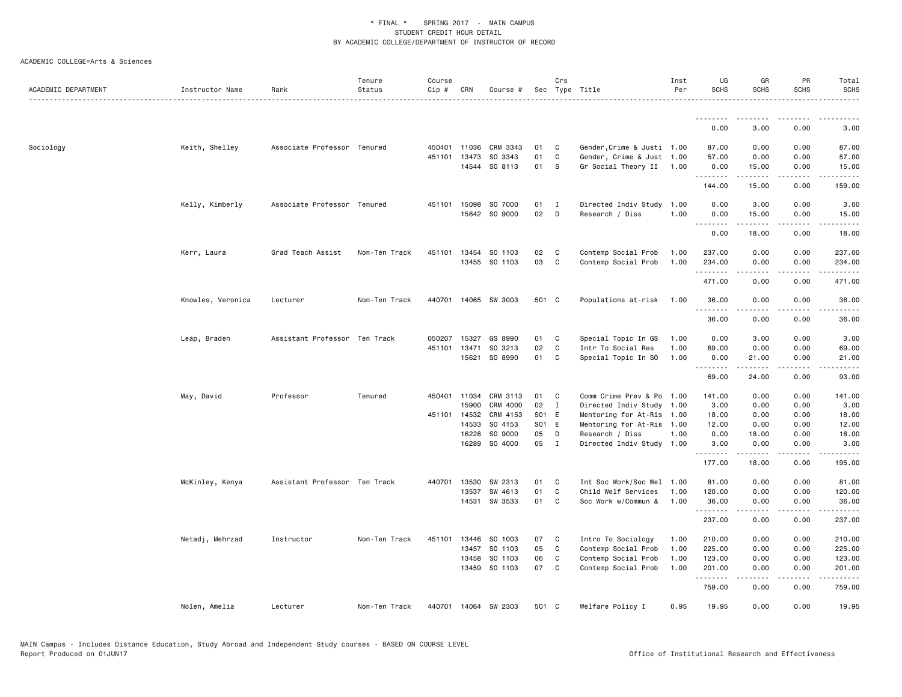| ACADEMIC DEPARTMENT | Instructor Name   | Rank                          | Tenure<br>Status | Course<br>Cip # | CRN   | Course #             |       | Crs          | Sec Type Title             | Inst<br>Per | UG<br><b>SCHS</b> | GR<br>SCHS       | PR<br><b>SCHS</b>                   | Total<br><b>SCHS</b><br>.                                                                                                                                      |
|---------------------|-------------------|-------------------------------|------------------|-----------------|-------|----------------------|-------|--------------|----------------------------|-------------|-------------------|------------------|-------------------------------------|----------------------------------------------------------------------------------------------------------------------------------------------------------------|
|                     |                   |                               |                  |                 |       |                      |       |              |                            |             |                   |                  |                                     |                                                                                                                                                                |
|                     |                   |                               |                  |                 |       |                      |       |              |                            |             | 0.00              | 3.00             | 0.00                                | 3.00                                                                                                                                                           |
| Sociology           | Keith, Shelley    | Associate Professor Tenured   |                  | 450401          | 11036 | CRM 3343             | 01    | C            | Gender, Crime & Justi 1.00 |             | 87.00             | 0.00             | 0.00                                | 87.00                                                                                                                                                          |
|                     |                   |                               |                  | 451101          | 13473 | SO 3343              | 01    | C            | Gender, Crime & Just       | 1.00        | 57.00             | 0.00             | 0.00                                | 57.00                                                                                                                                                          |
|                     |                   |                               |                  |                 | 14544 | SO 8113              | 01    | S            | Gr Social Theory II        | 1.00        | 0.00<br>.         | 15.00<br>-----   | 0.00<br>$\sim$ $\sim$ $\sim$ $\sim$ | 15.00<br>.                                                                                                                                                     |
|                     |                   |                               |                  |                 |       |                      |       |              |                            |             | 144.00            | 15.00            | 0.00                                | 159.00                                                                                                                                                         |
|                     | Kelly, Kimberly   | Associate Professor Tenured   |                  | 451101          | 15098 | SO 7000              | 01    | $\mathbf{I}$ | Directed Indiv Study       | 1.00        | 0.00              | 3.00             | 0.00                                | 3.00                                                                                                                                                           |
|                     |                   |                               |                  |                 |       | 15642 SO 9000        | 02    | D            | Research / Diss            | 1.00        | 0.00              | 15.00            | 0.00                                | 15.00                                                                                                                                                          |
|                     |                   |                               |                  |                 |       |                      |       |              |                            |             | .<br>0.00         | .<br>18.00       | .<br>0.00                           | .<br>18.00                                                                                                                                                     |
|                     | Kerr, Laura       | Grad Teach Assist             | Non-Ten Track    | 451101          | 13454 | SO 1103              | 02    | C            | Contemp Social Prob        | 1.00        | 237.00            | 0.00             | 0.00                                | 237.00                                                                                                                                                         |
|                     |                   |                               |                  |                 |       | 13455 SO 1103        | 03    | C            | Contemp Social Prob        | 1.00        | 234.00            | 0.00             | 0.00                                | 234.00                                                                                                                                                         |
|                     |                   |                               |                  |                 |       |                      |       |              |                            |             | .<br>471.00       | .<br>0.00        | .<br>0.00                           | $\frac{1}{2} \left( \frac{1}{2} \right) \left( \frac{1}{2} \right) \left( \frac{1}{2} \right) \left( \frac{1}{2} \right) \left( \frac{1}{2} \right)$<br>471.00 |
|                     | Knowles, Veronica | Lecturer                      | Non-Ten Track    |                 |       | 440701 14065 SW 3003 | 501 C |              | Populations at-risk        | 1.00        | 36.00<br>.        | 0.00<br>.        | 0.00<br>$\sim$ $\sim$ $\sim$        | 36.00<br>د د د د                                                                                                                                               |
|                     |                   |                               |                  |                 |       |                      |       |              |                            |             | 36.00             | 0.00             | 0.00                                | 36.00                                                                                                                                                          |
|                     | Leap, Braden      | Assistant Professor Ten Track |                  | 050207          | 15327 | GS 8990              | 01    | C            | Special Topic In GS        | 1.00        | 0.00              | 3.00             | 0.00                                | 3.00                                                                                                                                                           |
|                     |                   |                               |                  | 451101          | 13471 | SO 3213              | 02    | C            | Intr To Social Res         | 1.00        | 69.00             | 0.00             | 0.00                                | 69.00                                                                                                                                                          |
|                     |                   |                               |                  |                 | 15621 | SO 8990              | 01    | C            | Special Topic In SO        | 1.00        | 0.00              | 21.00<br>.       | 0.00<br>$- - - -$                   | 21.00                                                                                                                                                          |
|                     |                   |                               |                  |                 |       |                      |       |              |                            |             | 69.00             | 24.00            | 0.00                                | 93.00                                                                                                                                                          |
|                     | May, David        | Professor                     | Tenured          | 450401          | 11034 | CRM 3113             | 01    | C            | Comm Crime Prev & Po       | 1.00        | 141.00            | 0.00             | 0.00                                | 141.00                                                                                                                                                         |
|                     |                   |                               |                  |                 | 15900 | CRM 4000             | 02    | $\mathbf{I}$ | Directed Indiv Study       | 1.00        | 3.00              | 0.00             | 0.00                                | 3.00                                                                                                                                                           |
|                     |                   |                               |                  | 451101          | 14532 | CRM 4153             | S01 E |              | Mentoring for At-Ris 1.00  |             | 18.00             | 0.00             | 0.00                                | 18.00                                                                                                                                                          |
|                     |                   |                               |                  |                 | 14533 | SO 4153              | S01 E |              | Mentoring for At-Ris 1.00  |             | 12.00             | 0.00             | 0.00                                | 12.00                                                                                                                                                          |
|                     |                   |                               |                  |                 | 16228 | SO 9000              | 05    | D            | Research / Diss            | 1.00        | 0.00              | 18.00            | 0.00                                | 18.00                                                                                                                                                          |
|                     |                   |                               |                  |                 | 16289 | SO 4000              | 05    | $\mathbf{I}$ | Directed Indiv Study 1.00  |             | 3.00<br>.         | 0.00<br><u>.</u> | 0.00<br>$- - - -$                   | 3.00<br>.                                                                                                                                                      |
|                     |                   |                               |                  |                 |       |                      |       |              |                            |             | 177.00            | 18.00            | 0.00                                | 195.00                                                                                                                                                         |
|                     | McKinley, Kenya   | Assistant Professor Ten Track |                  | 440701          | 13530 | SW 2313              | 01    | C            | Int Soc Work/Soc Wel       | 1.00        | 81.00             | 0.00             | 0.00                                | 81.00                                                                                                                                                          |
|                     |                   |                               |                  |                 | 13537 | SW 4613              | 01    | C            | Child Welf Services        | 1.00        | 120.00            | 0.00             | 0.00                                | 120.00                                                                                                                                                         |
|                     |                   |                               |                  |                 | 14531 | SW 3533              | 01    | C            | Soc Work w/Commun &        | 1.00        | 36.00<br>.        | 0.00<br>.        | 0.00<br>.                           | 36.00<br>.                                                                                                                                                     |
|                     |                   |                               |                  |                 |       |                      |       |              |                            |             | 237.00            | 0.00             | 0.00                                | 237.00                                                                                                                                                         |
|                     | Netadj, Mehrzad   | Instructor                    | Non-Ten Track    | 451101          | 13446 | SO 1003              | 07    | C            | Intro To Sociology         | 1.00        | 210.00            | 0.00             | 0.00                                | 210.00                                                                                                                                                         |
|                     |                   |                               |                  |                 | 13457 | SO 1103              | 05    | C            | Contemp Social Prob        | 1.00        | 225.00            | 0.00             | 0.00                                | 225.00                                                                                                                                                         |
|                     |                   |                               |                  |                 | 13458 | SO 1103              | 06    | C            | Contemp Social Prob        | 1.00        | 123.00            | 0.00             | 0.00                                | 123.00                                                                                                                                                         |
|                     |                   |                               |                  |                 |       | 13459 SO 1103        | 07    | C            | Contemp Social Prob        | 1.00        | 201.00<br>.       | 0.00<br><u>.</u> | 0.00<br>.                           | 201.00<br>$\frac{1}{2} \left( \frac{1}{2} \right) \left( \frac{1}{2} \right) \left( \frac{1}{2} \right) \left( \frac{1}{2} \right)$                            |
|                     |                   |                               |                  |                 |       |                      |       |              |                            |             | 759.00            | 0.00             | 0.00                                | 759.00                                                                                                                                                         |
|                     | Nolen, Amelia     | Lecturer                      | Non-Ten Track    | 440701          |       | 14064 SW 2303        | 501 C |              | Welfare Policy I           | 0.95        | 19.95             | 0.00             | 0.00                                | 19.95                                                                                                                                                          |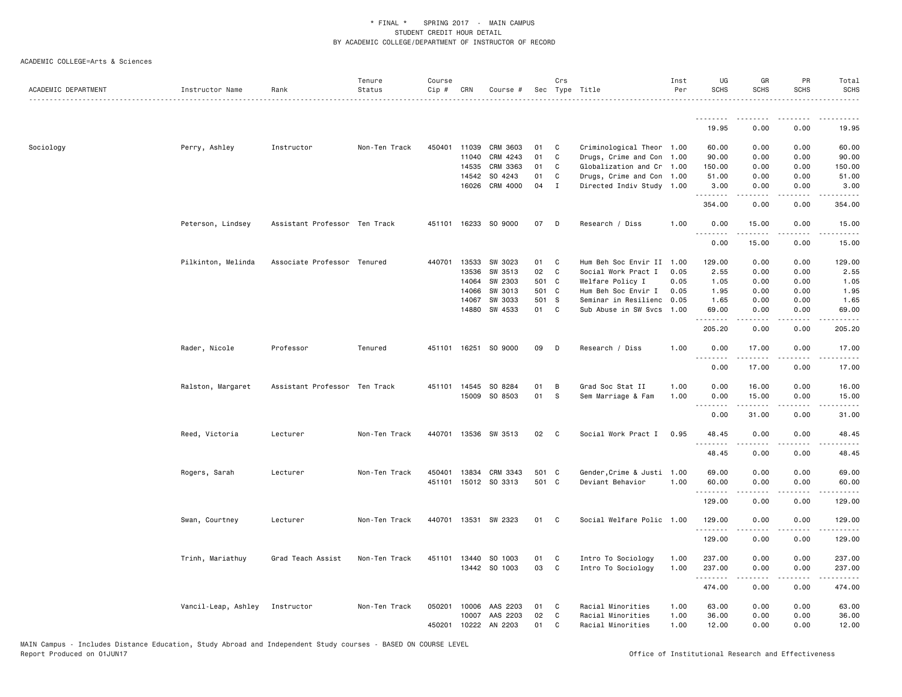| ACADEMIC DEPARTMENT | Instructor Name     | Rank                          | Tenure<br>Status | Course<br>Cip # | CRN   | Course #             |       | Crs          | Sec Type Title             | Inst<br>Per | UG<br><b>SCHS</b>     | GR<br><b>SCHS</b>   | PR<br><b>SCHS</b>                           | Total<br><b>SCHS</b>                                                                                                                                          |
|---------------------|---------------------|-------------------------------|------------------|-----------------|-------|----------------------|-------|--------------|----------------------------|-------------|-----------------------|---------------------|---------------------------------------------|---------------------------------------------------------------------------------------------------------------------------------------------------------------|
|                     |                     |                               |                  |                 |       |                      |       |              |                            |             | .<br>19.95            | 0.00                | 0.00                                        | 19.95                                                                                                                                                         |
|                     |                     |                               |                  |                 |       |                      |       |              |                            |             |                       |                     |                                             |                                                                                                                                                               |
| Sociology           | Perry, Ashley       | Instructor                    | Non-Ten Track    | 450401          | 11039 | CRM 3603             | 01    | C            | Criminological Theor 1.00  |             | 60.00                 | 0.00                | 0.00                                        | 60.00                                                                                                                                                         |
|                     |                     |                               |                  |                 | 11040 | CRM 4243             | 01    | $\mathtt{C}$ | Drugs, Crime and Con 1.00  |             | 90.00                 | 0.00                | 0.00                                        | 90.00                                                                                                                                                         |
|                     |                     |                               |                  |                 | 14535 | CRM 3363             | 01    | C            | Globalization and Cr 1.00  |             | 150.00                | 0.00                | 0.00                                        | 150.00                                                                                                                                                        |
|                     |                     |                               |                  |                 | 14542 | SO 4243              | 01    | C            | Drugs, Crime and Con 1.00  |             | 51.00                 | 0.00                | 0.00                                        | 51.00                                                                                                                                                         |
|                     |                     |                               |                  |                 | 16026 | CRM 4000             | 04    | $\mathbf{I}$ | Directed Indiv Study 1.00  |             | 3.00<br>.             | 0.00                | 0.00<br>.                                   | 3.00<br>.                                                                                                                                                     |
|                     |                     |                               |                  |                 |       |                      |       |              |                            |             | 354.00                | 0.00                | 0.00                                        | 354.00                                                                                                                                                        |
|                     | Peterson, Lindsey   | Assistant Professor Ten Track |                  |                 |       | 451101 16233 SO 9000 | 07    | D            | Research / Diss            | 1.00        | 0.00<br>.             | 15.00<br>.          | 0.00<br>.                                   | 15.00<br>$\frac{1}{2} \left( \frac{1}{2} \right) \left( \frac{1}{2} \right) \left( \frac{1}{2} \right) \left( \frac{1}{2} \right) \left( \frac{1}{2} \right)$ |
|                     |                     |                               |                  |                 |       |                      |       |              |                            |             | 0.00                  | 15.00               | 0.00                                        | 15.00                                                                                                                                                         |
|                     | Pilkinton, Melinda  | Associate Professor Tenured   |                  | 440701 13533    |       | SW 3023              | 01    | C            | Hum Beh Soc Envir II       | 1.00        | 129.00                | 0.00                | 0.00                                        | 129.00                                                                                                                                                        |
|                     |                     |                               |                  |                 | 13536 | SW 3513              | 02    | C            | Social Work Pract I        | 0.05        | 2.55                  | 0.00                | 0.00                                        | 2.55                                                                                                                                                          |
|                     |                     |                               |                  |                 | 14064 | SW 2303              | 501 C |              | Welfare Policy I           | 0.05        | 1.05                  | 0.00                | 0.00                                        | 1.05                                                                                                                                                          |
|                     |                     |                               |                  |                 | 14066 | SW 3013              | 501 C |              | Hum Beh Soc Envir I        | 0.05        | 1.95                  | 0.00                | 0.00                                        | 1.95                                                                                                                                                          |
|                     |                     |                               |                  |                 | 14067 | SW 3033              | 501 S |              | Seminar in Resilienc       | 0.05        | 1.65                  | 0.00                | 0.00                                        | 1.65                                                                                                                                                          |
|                     |                     |                               |                  |                 | 14880 | SW 4533              | 01    | C            | Sub Abuse in SW Svcs 1.00  |             | 69.00                 | 0.00                | 0.00                                        | 69.00                                                                                                                                                         |
|                     |                     |                               |                  |                 |       |                      |       |              |                            |             | .<br>205.20           | -----<br>0.00       | .<br>0.00                                   | . <b>.</b><br>205.20                                                                                                                                          |
|                     |                     |                               |                  |                 |       |                      |       |              |                            |             |                       |                     |                                             |                                                                                                                                                               |
|                     | Rader, Nicole       | Professor                     | Tenured          |                 |       | 451101 16251 SO 9000 | 09    | D            | Research / Diss            | 1.00        | 0.00<br>1.1.1.1.1.1.1 | 17.00<br>. <b>.</b> | 0.00<br>.                                   | 17.00<br>.                                                                                                                                                    |
|                     |                     |                               |                  |                 |       |                      |       |              |                            |             | 0.00                  | 17.00               | 0.00                                        | 17.00                                                                                                                                                         |
|                     | Ralston, Margaret   | Assistant Professor Ten Track |                  |                 |       | 451101 14545 SO 8284 | 01    | B            | Grad Soc Stat II           | 1.00        | 0.00                  | 16.00               | 0.00                                        | 16.00                                                                                                                                                         |
|                     |                     |                               |                  |                 |       | 15009 SO 8503        | 01    | S            | Sem Marriage & Fam         | 1.00        | 0.00                  | 15.00               | 0.00                                        | 15.00                                                                                                                                                         |
|                     |                     |                               |                  |                 |       |                      |       |              |                            |             | <u>.</u>              |                     | .                                           | .                                                                                                                                                             |
|                     |                     |                               |                  |                 |       |                      |       |              |                            |             | 0.00                  | 31.00               | 0.00                                        | 31.00                                                                                                                                                         |
|                     | Reed, Victoria      | Lecturer                      | Non-Ten Track    |                 |       | 440701 13536 SW 3513 | 02    | $\mathbf{C}$ | Social Work Pract I        | 0.95        | 48.45                 | 0.00                | 0.00                                        | 48.45                                                                                                                                                         |
|                     |                     |                               |                  |                 |       |                      |       |              |                            |             | .<br>48.45            | 0.00                | 0.00                                        | 48.45                                                                                                                                                         |
|                     |                     |                               |                  |                 |       |                      |       |              |                            |             |                       |                     |                                             |                                                                                                                                                               |
|                     | Rogers, Sarah       | Lecturer                      | Non-Ten Track    | 450401          | 13834 | CRM 3343             | 501 C |              | Gender, Crime & Justi 1.00 |             | 69.00                 | 0.00                | 0.00                                        | 69.00                                                                                                                                                         |
|                     |                     |                               |                  |                 |       | 451101 15012 SO 3313 | 501 C |              | Deviant Behavior           | 1.00        | 60.00                 | 0.00                | 0.00                                        | 60.00                                                                                                                                                         |
|                     |                     |                               |                  |                 |       |                      |       |              |                            |             | .<br>129.00           | 0.00                | $\omega$ $\omega$ $\omega$ $\omega$<br>0.00 | $\sim$ $\sim$ $\sim$ $\sim$<br>129.00                                                                                                                         |
|                     | Swan, Courtney      | Lecturer                      | Non-Ten Track    |                 |       | 440701 13531 SW 2323 | 01    | C            | Social Welfare Polic 1.00  |             | 129.00                | 0.00                | 0.00                                        | 129.00                                                                                                                                                        |
|                     |                     |                               |                  |                 |       |                      |       |              |                            |             | .                     |                     | .                                           | $\frac{1}{2} \left( \frac{1}{2} \right) \left( \frac{1}{2} \right) \left( \frac{1}{2} \right) \left( \frac{1}{2} \right) \left( \frac{1}{2} \right)$          |
|                     |                     |                               |                  |                 |       |                      |       |              |                            |             | 129.00                | 0.00                | 0.00                                        | 129.00                                                                                                                                                        |
|                     | Trinh, Mariathuy    | Grad Teach Assist             | Non-Ten Track    |                 |       | 451101 13440 SO 1003 | 01    | C            | Intro To Sociology         | 1.00        | 237.00                | 0.00                | 0.00                                        | 237.00                                                                                                                                                        |
|                     |                     |                               |                  |                 |       | 13442 SO 1003        | 03    | C            | Intro To Sociology         | 1.00        | 237.00                | 0.00                | 0.00                                        | 237.00                                                                                                                                                        |
|                     |                     |                               |                  |                 |       |                      |       |              |                            |             | <b></b>               | .                   | $\frac{1}{2}$                               | $- - - - - -$                                                                                                                                                 |
|                     |                     |                               |                  |                 |       |                      |       |              |                            |             | 474.00                | 0.00                | 0.00                                        | 474.00                                                                                                                                                        |
|                     | Vancil-Leap, Ashley | Instructor                    | Non-Ten Track    | 050201          | 10006 | AAS 2203             | 01    | C            | Racial Minorities          | 1.00        | 63.00                 | 0.00                | 0.00                                        | 63.00                                                                                                                                                         |
|                     |                     |                               |                  |                 | 10007 | AAS 2203             | 02    | C            | Racial Minorities          | 1.00        | 36.00                 | 0.00                | 0.00                                        | 36.00                                                                                                                                                         |
|                     |                     |                               |                  |                 |       | 450201 10222 AN 2203 | 01    | C            | Racial Minorities          | 1.00        | 12.00                 | 0.00                | 0.00                                        | 12.00                                                                                                                                                         |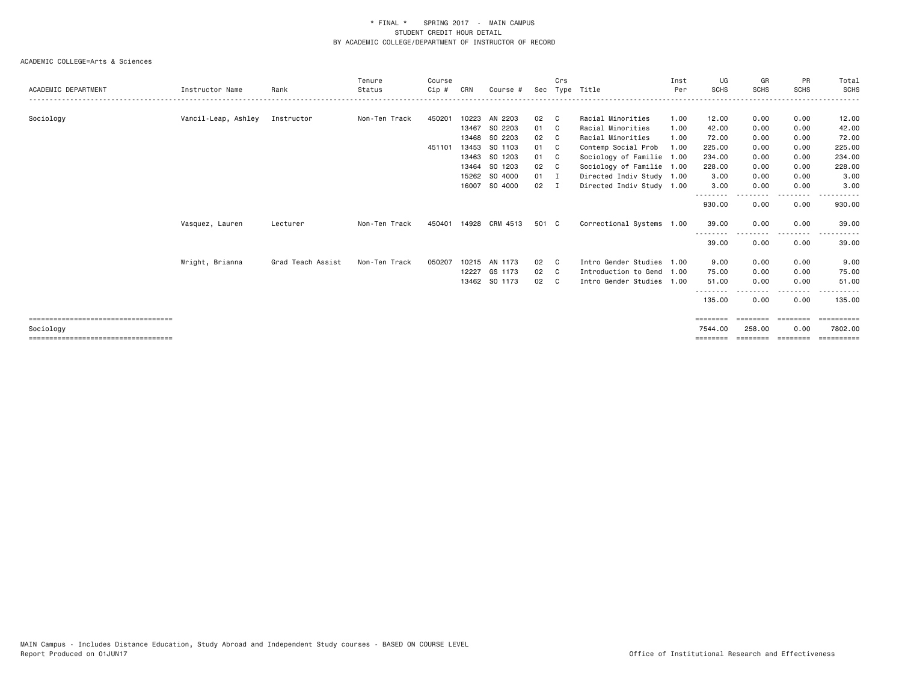|                                                    |                     |                   | Tenure        | Course |       |                       |              | Crs          |                           | Inst | UG                           | GR                 | <b>PR</b>         | Total                 |
|----------------------------------------------------|---------------------|-------------------|---------------|--------|-------|-----------------------|--------------|--------------|---------------------------|------|------------------------------|--------------------|-------------------|-----------------------|
| ACADEMIC DEPARTMENT                                | Instructor Name     | Rank              | Status        | Cip #  | CRN   | Course #              | Sec          |              | Type Title                | Per  | <b>SCHS</b>                  | <b>SCHS</b>        | <b>SCHS</b>       | <b>SCHS</b>           |
|                                                    |                     |                   |               |        |       |                       |              |              |                           |      |                              |                    |                   |                       |
| Sociology                                          | Vancil-Leap, Ashley | Instructor        | Non-Ten Track | 450201 | 10223 | AN 2203               | 02           | C.           | Racial Minorities         | 1.00 | 12.00                        | 0.00               | 0.00              | 12.00                 |
|                                                    |                     |                   |               |        | 13467 | SO 2203               | 01 C         |              | Racial Minorities         | 1.00 | 42.00                        | 0.00               | 0.00              | 42.00                 |
|                                                    |                     |                   |               |        |       | 13468 SO 2203         | 02           | $\mathbf{C}$ | Racial Minorities         | 1.00 | 72.00                        | 0.00               | 0.00              | 72.00                 |
|                                                    |                     |                   |               | 451101 | 13453 | SO 1103               | 01 C         |              | Contemp Social Prob       | 1.00 | 225.00                       | 0.00               | 0.00              | 225.00                |
|                                                    |                     |                   |               |        |       | 13463 SO 1203         | 01 C         |              | Sociology of Familie 1.00 |      | 234.00                       | 0.00               | 0.00              | 234.00                |
|                                                    |                     |                   |               |        |       | 13464 SO 1203         | 02           | C.           | Sociology of Familie 1.00 |      | 228.00                       | 0.00               | 0.00              | 228.00                |
|                                                    |                     |                   |               |        |       | 15262 SO 4000         | $01 \quad I$ |              | Directed Indiv Study 1.00 |      | 3.00                         | 0.00               | 0.00              | 3.00                  |
|                                                    |                     |                   |               |        |       | 16007 SO 4000         | $02 \quad I$ |              | Directed Indiv Study 1.00 |      | 3.00                         | 0.00               | 0.00              | 3.00                  |
|                                                    |                     |                   |               |        |       |                       |              |              |                           |      | .<br>930.00                  | -----<br>0.00      | .<br>0.00         | 930.00                |
|                                                    | Vasquez, Lauren     | Lecturer          | Non-Ten Track |        |       | 450401 14928 CRM 4513 | 501 C        |              | Correctional Systems 1.00 |      | 39.00                        | 0.00               | 0.00              | 39.00                 |
|                                                    |                     |                   |               |        |       |                       |              |              |                           |      | --------<br>39.00            | 0.00               | $- - - -$<br>0.00 | 39.00                 |
|                                                    | Wright, Brianna     | Grad Teach Assist | Non-Ten Track | 050207 |       | 10215 AN 1173         | 02           | - C          | Intro Gender Studies 1.00 |      | 9.00                         | 0.00               | 0.00              | 9.00                  |
|                                                    |                     |                   |               |        |       | 12227 GS 1173         | 02           | $\mathbf{C}$ | Introduction to Gend 1.00 |      | 75.00                        | 0.00               | 0.00              | 75.00                 |
|                                                    |                     |                   |               |        |       | 13462 SO 1173         | 02 C         |              | Intro Gender Studies 1.00 |      | 51.00                        | 0.00               | 0.00              | 51.00                 |
|                                                    |                     |                   |               |        |       |                       |              |              |                           |      | --------<br>135.00           | --------<br>0.00   | .<br>0.00         | 135.00                |
| =====================================              |                     |                   |               |        |       |                       |              |              |                           |      | ========                     | ========           | ========          | $=$ ==========        |
| Sociology<br>===================================== |                     |                   |               |        |       |                       |              |              |                           |      | 7544.00<br>$=$ = = = = = = = | 258,00<br>======== | 0.00<br>========  | 7802.00<br>========== |
|                                                    |                     |                   |               |        |       |                       |              |              |                           |      |                              |                    |                   |                       |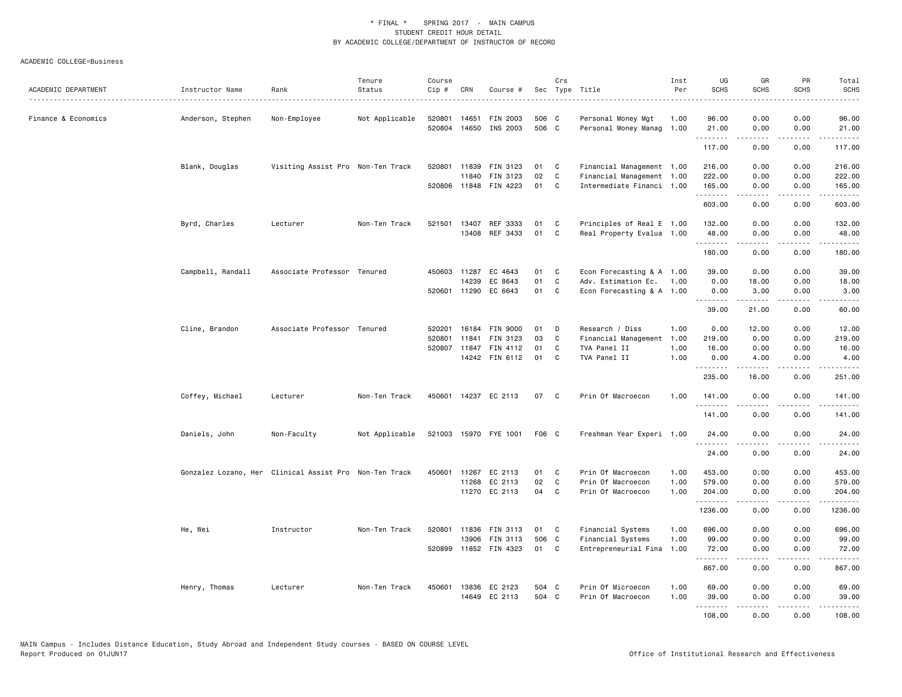| ACADEMIC DEPARTMENT | Instructor Name   | Rank                                                   | Tenure<br>Status | Course<br>Cip # | CRN          | Course #                          |          | Crs    | Sec Type Title                                         | Inst<br>Per | UG<br><b>SCHS</b>  | GR<br><b>SCHS</b> | PR<br><b>SCHS</b>                                                                                                                                            | Total<br><b>SCHS</b>                                                                                                                                         |
|---------------------|-------------------|--------------------------------------------------------|------------------|-----------------|--------------|-----------------------------------|----------|--------|--------------------------------------------------------|-------------|--------------------|-------------------|--------------------------------------------------------------------------------------------------------------------------------------------------------------|--------------------------------------------------------------------------------------------------------------------------------------------------------------|
| Finance & Economics | Anderson, Stephen | . <u>.</u><br>Non-Employee                             | Not Applicable   | 520801          | 14651        | FIN 2003                          | 506 C    |        | Personal Money Mgt                                     | 1.00        | 96.00              | 0.00              | 0.00                                                                                                                                                         | د د د د د<br>96.00                                                                                                                                           |
|                     |                   |                                                        |                  |                 |              | 520804 14650 INS 2003             | 506 C    |        | Personal Money Manag 1.00                              |             | 21.00              | 0.00              | 0.00                                                                                                                                                         | 21.00                                                                                                                                                        |
|                     |                   |                                                        |                  |                 |              |                                   |          |        |                                                        |             | <u>.</u><br>117.00 | <u>.</u><br>0.00  | .<br>0.00                                                                                                                                                    | .<br>117.00                                                                                                                                                  |
|                     | Blank, Douglas    | Visiting Assist Pro Non-Ten Track                      |                  | 520801          | 11839        | FIN 3123                          | 01       | C      | Financial Management 1.00                              |             | 216.00             | 0.00              | 0.00                                                                                                                                                         | 216.00                                                                                                                                                       |
|                     |                   |                                                        |                  |                 | 11840        | FIN 3123<br>520806 11848 FIN 4223 | 02<br>01 | C<br>C | Financial Management 1.00<br>Intermediate Financi 1.00 |             | 222.00<br>165.00   | 0.00<br>0.00      | 0.00<br>0.00                                                                                                                                                 | 222.00<br>165.00                                                                                                                                             |
|                     |                   |                                                        |                  |                 |              |                                   |          |        |                                                        |             | .<br>603.00        | 0.00              | $\sim$ $\sim$ $\sim$ $\sim$<br>0.00                                                                                                                          | ------<br>603.00                                                                                                                                             |
|                     | Byrd, Charles     | Lecturer                                               | Non-Ten Track    | 521501          | 13407        | REF 3333                          | 01       | C      | Principles of Real E 1.00                              |             | 132.00             | 0.00              | 0.00                                                                                                                                                         | 132.00                                                                                                                                                       |
|                     |                   |                                                        |                  |                 | 13408        | REF 3433                          | 01       | C      | Real Property Evalua 1.00                              |             | 48.00<br>.         | 0.00              | 0.00<br>.                                                                                                                                                    | 48.00<br>------                                                                                                                                              |
|                     |                   |                                                        |                  |                 |              |                                   |          |        |                                                        |             | 180.00             | 0.00              | 0.00                                                                                                                                                         | 180.00                                                                                                                                                       |
|                     | Campbell, Randall | Associate Professor Tenured                            |                  |                 | 450603 11287 | EC 4643                           | 01       | C      | Econ Forecasting & A 1.00                              |             | 39.00              | 0.00              | 0.00                                                                                                                                                         | 39.00                                                                                                                                                        |
|                     |                   |                                                        |                  |                 | 14239        | EC 8643                           | 01       | C      | Adv. Estimation Ec.                                    | 1.00        | 0.00               | 18.00             | 0.00                                                                                                                                                         | 18.00                                                                                                                                                        |
|                     |                   |                                                        |                  |                 | 520601 11290 | EC 6643                           | 01       | C      | Econ Forecasting & A 1.00                              |             | 0.00<br>.          | 3.00<br>.         | 0.00<br>.                                                                                                                                                    | 3.00<br>$\frac{1}{2} \left( \frac{1}{2} \right) \left( \frac{1}{2} \right) \left( \frac{1}{2} \right) \left( \frac{1}{2} \right) \left( \frac{1}{2} \right)$ |
|                     |                   |                                                        |                  |                 |              |                                   |          |        |                                                        |             | 39.00              | 21.00             | 0.00                                                                                                                                                         | 60.00                                                                                                                                                        |
|                     | Cline, Brandon    | Associate Professor Tenured                            |                  | 520201          |              | 16184 FIN 9000                    | 01       | D      | Research / Diss                                        | 1.00        | 0.00               | 12.00             | 0.00                                                                                                                                                         | 12.00                                                                                                                                                        |
|                     |                   |                                                        |                  | 520801          | 11841        | FIN 3123                          | 03       | C      | Financial Management                                   | 1.00        | 219.00             | 0.00              | 0.00                                                                                                                                                         | 219.00                                                                                                                                                       |
|                     |                   |                                                        |                  | 520807          |              | 11847 FIN 4112                    | 01       | C      | TVA Panel II                                           | 1.00        | 16.00              | 0.00              | 0.00                                                                                                                                                         | 16.00                                                                                                                                                        |
|                     |                   |                                                        |                  |                 |              | 14242 FIN 6112                    | 01       | C      | TVA Panel II                                           | 1.00        | 0.00<br>.          | 4.00<br>-----     | 0.00<br>.                                                                                                                                                    | 4.00<br>.                                                                                                                                                    |
|                     |                   |                                                        |                  |                 |              |                                   |          |        |                                                        |             | 235.00             | 16.00             | 0.00                                                                                                                                                         | 251.00                                                                                                                                                       |
|                     | Coffey, Michael   | Lecturer                                               | Non-Ten Track    |                 |              | 450601 14237 EC 2113              | 07       | C      | Prin Of Macroecon                                      | 1.00        | 141.00<br>.        | 0.00<br>.         | 0.00<br>.                                                                                                                                                    | 141.00<br>$- - - - - - -$                                                                                                                                    |
|                     |                   |                                                        |                  |                 |              |                                   |          |        |                                                        |             | 141.00             | 0.00              | 0.00                                                                                                                                                         | 141.00                                                                                                                                                       |
|                     | Daniels, John     | Non-Faculty                                            | Not Applicable   |                 |              | 521003 15970 FYE 1001             | F06 C    |        | Freshman Year Experi 1.00                              |             | 24.00<br>.         | 0.00<br><u>.</u>  | 0.00<br>.                                                                                                                                                    | 24.00<br>.                                                                                                                                                   |
|                     |                   |                                                        |                  |                 |              |                                   |          |        |                                                        |             | 24.00              | 0.00              | 0.00                                                                                                                                                         | 24.00                                                                                                                                                        |
|                     |                   | Gonzalez Lozano, Her Clinical Assist Pro Non-Ten Track |                  | 450601          | 11267        | EC 2113                           | 01       | C.     | Prin Of Macroecon                                      | 1.00        | 453.00             | 0.00              | 0.00                                                                                                                                                         | 453.00                                                                                                                                                       |
|                     |                   |                                                        |                  |                 | 11268        | EC 2113                           | 02       | C      | Prin Of Macroecon                                      | 1.00        | 579.00             | 0.00              | 0.00                                                                                                                                                         | 579.00                                                                                                                                                       |
|                     |                   |                                                        |                  |                 |              | 11270 EC 2113                     | 04       | C      | Prin Of Macroecon                                      | 1.00        | 204.00<br>.        | 0.00              | 0.00                                                                                                                                                         | 204.00<br>.                                                                                                                                                  |
|                     |                   |                                                        |                  |                 |              |                                   |          |        |                                                        |             | 1236.00            | 0.00              | 0.00                                                                                                                                                         | 1236.00                                                                                                                                                      |
|                     | He, Wei           | Instructor                                             | Non-Ten Track    | 520801          | 11836        | FIN 3113                          | 01       | C      | Financial Systems                                      | 1.00        | 696.00             | 0.00              | 0.00                                                                                                                                                         | 696.00                                                                                                                                                       |
|                     |                   |                                                        |                  |                 | 13906        | <b>FIN 3113</b>                   | 506 C    |        | Financial Systems                                      | 1.00        | 99.00              | 0.00              | 0.00                                                                                                                                                         | 99.00                                                                                                                                                        |
|                     |                   |                                                        |                  |                 |              | 520899 11852 FIN 4323             | 01       | C      | Entrepreneurial Fina 1.00                              |             | 72.00<br>.         | 0.00<br>.         | 0.00<br>22222                                                                                                                                                | 72.00<br>.                                                                                                                                                   |
|                     |                   |                                                        |                  |                 |              |                                   |          |        |                                                        |             | 867.00             | 0.00              | 0.00                                                                                                                                                         | 867.00                                                                                                                                                       |
|                     | Henry, Thomas     | Lecturer                                               | Non-Ten Track    | 450601          |              | 13836 EC 2123                     | 504 C    |        | Prin Of Microecon                                      | 1.00        | 69.00              | 0.00              | 0.00                                                                                                                                                         | 69.00                                                                                                                                                        |
|                     |                   |                                                        |                  |                 | 14649        | EC 2113                           | 504 C    |        | Prin Of Macroecon                                      | 1.00        | 39.00              | 0.00              | 0.00                                                                                                                                                         | 39.00                                                                                                                                                        |
|                     |                   |                                                        |                  |                 |              |                                   |          |        |                                                        |             | .<br>108.00        | .<br>0.00         | $\frac{1}{2} \left( \frac{1}{2} \right) \left( \frac{1}{2} \right) \left( \frac{1}{2} \right) \left( \frac{1}{2} \right) \left( \frac{1}{2} \right)$<br>0.00 | .<br>108,00                                                                                                                                                  |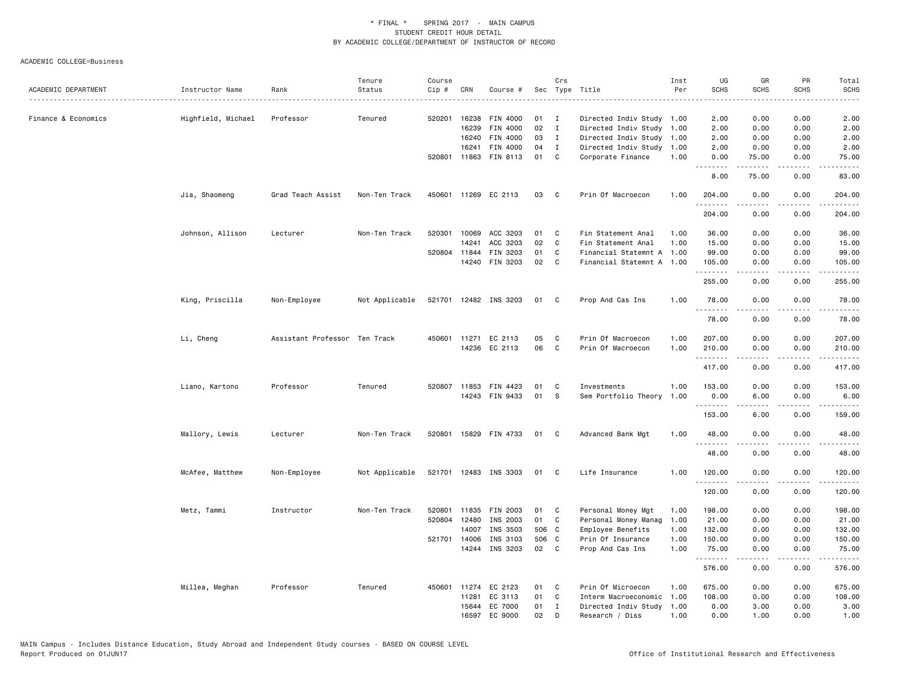| Sec Type Title<br>Instructor Name<br>Rank<br>CRN<br>Course #<br>2.00<br>Finance & Economics<br>Highfield, Michael<br>Professor<br>520201<br>16238<br>FIN 4000<br>01<br>Directed Indiv Study 1.00<br>2.00<br>0.00<br>0.00<br>Tenured<br>$\mathbf{I}$<br>02<br>16239<br>FIN 4000<br>$\mathbf{I}$<br>Directed Indiv Study<br>2.00<br>0.00<br>0.00<br>2.00<br>1.00<br>FIN 4000<br>03<br>Directed Indiv Study<br>2.00<br>0.00<br>0.00<br>2.00<br>16240<br>$\mathbf{I}$<br>1.00<br>16241<br>FIN 4000<br>04<br>Directed Indiv Study<br>1.00<br>2.00<br>0.00<br>0.00<br>2.00<br>I<br>520801 11863 FIN 8113<br>01<br>C<br>Corporate Finance<br>0.00<br>75.00<br>1.00<br>75.00<br>0.00<br>.<br>.<br>.<br>$\frac{1}{2} \left( \frac{1}{2} \right) \left( \frac{1}{2} \right) \left( \frac{1}{2} \right) \left( \frac{1}{2} \right)$<br>8.00<br>75.00<br>0.00<br>83.00<br>450601 11269 EC 2113<br>03<br>Prin Of Macroecon<br>1.00<br>Jia, Shaomeng<br>Grad Teach Assist<br>Non-Ten Track<br>C<br>204.00<br>0.00<br>0.00<br>204.00<br>.<br>.<br>.<br>.<br>204.00<br>0.00<br>0.00<br>204.00<br>520301<br>ACC 3203<br>36.00<br>Johnson, Allison<br>Non-Ten Track<br>10069<br>01<br>C<br>Fin Statement Anal<br>1.00<br>36.00<br>0.00<br>0.00<br>Lecturer<br>02<br>14241<br>ACC 3203<br>C<br>15.00<br>0.00<br>Fin Statement Anal<br>1.00<br>0.00<br>15.00<br>01<br>$\mathsf{C}$<br>520804 11844<br>FIN 3203<br>Financial Statemnt A 1.00<br>99.00<br>0.00<br>0.00<br>99.00<br>14240<br>FIN 3203<br>02<br>C<br>Financial Statemnt A 1.00<br>105.00<br>0.00<br>0.00<br>105.00<br>. <b>.</b><br>$\frac{1}{2} \left( \frac{1}{2} \right) \left( \frac{1}{2} \right) \left( \frac{1}{2} \right) \left( \frac{1}{2} \right) \left( \frac{1}{2} \right) \left( \frac{1}{2} \right)$<br>.<br>.<br>255.00<br>255.00<br>0.00<br>0.00<br>521701 12482 INS 3203<br>King, Priscilla<br>Non-Employee<br>Not Applicable<br>01<br>$\mathbf{C}$<br>Prop And Cas Ins<br>1.00<br>78.00<br>0.00<br>0.00<br>78.00<br>.<br>78.00<br>0.00<br>0.00<br>78.00<br>Li, Cheng<br>Assistant Professor Ten Track<br>450601<br>11271 EC 2113<br>05<br>C<br>Prin Of Macroecon<br>1.00<br>207.00<br>0.00<br>0.00<br>207.00<br>14236 EC 2113<br>06<br>C<br>Prin Of Macroecon<br>1.00<br>210.00<br>0.00<br>0.00<br>210.00<br>$\frac{1}{2} \left( \frac{1}{2} \right) \left( \frac{1}{2} \right) \left( \frac{1}{2} \right) \left( \frac{1}{2} \right) \left( \frac{1}{2} \right)$<br>.<br>.<br>.<br>417.00<br>0.00<br>0.00<br>417.00<br>Liano, Kartono<br>Tenured<br>520807<br>FIN 4423<br>01<br>Investments<br>1.00<br>0.00<br>0.00<br>153.00<br>Professor<br>11853<br>C<br>153.00<br>14243 FIN 9433<br>01<br>S<br>Sem Portfolio Theory<br>1.00<br>0.00<br>6.00<br>0.00<br>6.00<br>6.00<br>153.00<br>0.00<br>159.00<br>Mallory, Lewis<br>Lecturer<br>Non-Ten Track<br>520801 15829 FIN 4733<br>01<br>C<br>Advanced Bank Mgt<br>1.00<br>48.00<br>0.00<br>0.00<br>48.00<br>48.00<br>0.00<br>0.00<br>48.00<br>McAfee, Matthew<br>Not Applicable<br>521701 12483 INS 3303<br>01 C<br>Life Insurance<br>1.00<br>120.00<br>0.00<br>0.00<br>120.00<br>Non-Employee<br><u>.</u><br>-----<br>.<br>$- - - - - -$<br>120.00<br>0.00<br>0.00<br>120.00<br>Metz, Tammi<br>Instructor<br>Non-Ten Track<br>520801<br>11835 FIN 2003<br>01<br>Personal Money Mgt<br>198.00<br>0.00<br>0.00<br>198.00<br>C<br>1.00<br>520804<br>12480<br>INS 2003<br>01<br>Personal Money Manag<br>0.00<br>21.00<br>C<br>1.00<br>21.00<br>0.00<br>14007<br>INS 3503<br>506 C<br>132.00<br>0.00<br>132.00<br>Employee Benefits<br>1.00<br>0.00<br>521701 14006<br>INS 3103<br>506 C<br>Prin Of Insurance<br>1.00<br>150.00<br>0.00<br>0.00<br>150.00<br>14244 INS 3203<br>02<br>$\mathbf{C}$<br>Prop And Cas Ins<br>1.00<br>75.00<br>0.00<br>0.00<br>75.00<br>.<br>.<br>576.00<br>0.00<br>0.00<br>576.00<br>Tenured<br>Prin Of Microecon<br>1.00<br>0.00<br>675.00<br>Millea, Meghan<br>Professor<br>450601<br>11274<br>EC 2123<br>01<br>C<br>675.00<br>0.00<br>11281<br>EC 3113<br>01<br>C<br>Interm Macroeconomic<br>1.00<br>108.00<br>0.00<br>0.00<br>108.00<br>EC 7000<br>01<br>0.00<br>15644<br>$\mathbf{I}$<br>Directed Indiv Study<br>1.00<br>3.00<br>0.00<br>3.00<br>16597 EC 9000 |                     |  | Tenure | Course |  |    | Crs |                 | Inst | UG          | GR          | PR          | Total       |
|------------------------------------------------------------------------------------------------------------------------------------------------------------------------------------------------------------------------------------------------------------------------------------------------------------------------------------------------------------------------------------------------------------------------------------------------------------------------------------------------------------------------------------------------------------------------------------------------------------------------------------------------------------------------------------------------------------------------------------------------------------------------------------------------------------------------------------------------------------------------------------------------------------------------------------------------------------------------------------------------------------------------------------------------------------------------------------------------------------------------------------------------------------------------------------------------------------------------------------------------------------------------------------------------------------------------------------------------------------------------------------------------------------------------------------------------------------------------------------------------------------------------------------------------------------------------------------------------------------------------------------------------------------------------------------------------------------------------------------------------------------------------------------------------------------------------------------------------------------------------------------------------------------------------------------------------------------------------------------------------------------------------------------------------------------------------------------------------------------------------------------------------------------------------------------------------------------------------------------------------------------------------------------------------------------------------------------------------------------------------------------------------------------------------------------------------------------------------------------------------------------------------------------------------------------------------------------------------------------------------------------------------------------------------------------------------------------------------------------------------------------------------------------------------------------------------------------------------------------------------------------------------------------------------------------------------------------------------------------------------------------------------------------------------------------------------------------------------------------------------------------------------------------------------------------------------------------------------------------------------------------------------------------------------------------------------------------------------------------------------------------------------------------------------------------------------------------------------------------------------------------------------------------------------------------------------------------------------------------------------------------------------------------------------------------------------------------------------------------------------------------------------------------------------------------------------------------------------------------------------------------------------------------------------------------------------------------------------------------------------------------------------------------------------------------------------------------------------------------------------------------------------------------------------------------------------------|---------------------|--|--------|--------|--|----|-----|-----------------|------|-------------|-------------|-------------|-------------|
|                                                                                                                                                                                                                                                                                                                                                                                                                                                                                                                                                                                                                                                                                                                                                                                                                                                                                                                                                                                                                                                                                                                                                                                                                                                                                                                                                                                                                                                                                                                                                                                                                                                                                                                                                                                                                                                                                                                                                                                                                                                                                                                                                                                                                                                                                                                                                                                                                                                                                                                                                                                                                                                                                                                                                                                                                                                                                                                                                                                                                                                                                                                                                                                                                                                                                                                                                                                                                                                                                                                                                                                                                                                                                                                                                                                                                                                                                                                                                                                                                                                                                                                                                                                                      | ACADEMIC DEPARTMENT |  | Status | Cip#   |  |    |     |                 | Per  | <b>SCHS</b> | <b>SCHS</b> | <b>SCHS</b> | <b>SCHS</b> |
|                                                                                                                                                                                                                                                                                                                                                                                                                                                                                                                                                                                                                                                                                                                                                                                                                                                                                                                                                                                                                                                                                                                                                                                                                                                                                                                                                                                                                                                                                                                                                                                                                                                                                                                                                                                                                                                                                                                                                                                                                                                                                                                                                                                                                                                                                                                                                                                                                                                                                                                                                                                                                                                                                                                                                                                                                                                                                                                                                                                                                                                                                                                                                                                                                                                                                                                                                                                                                                                                                                                                                                                                                                                                                                                                                                                                                                                                                                                                                                                                                                                                                                                                                                                                      |                     |  |        |        |  |    |     |                 |      |             |             |             |             |
|                                                                                                                                                                                                                                                                                                                                                                                                                                                                                                                                                                                                                                                                                                                                                                                                                                                                                                                                                                                                                                                                                                                                                                                                                                                                                                                                                                                                                                                                                                                                                                                                                                                                                                                                                                                                                                                                                                                                                                                                                                                                                                                                                                                                                                                                                                                                                                                                                                                                                                                                                                                                                                                                                                                                                                                                                                                                                                                                                                                                                                                                                                                                                                                                                                                                                                                                                                                                                                                                                                                                                                                                                                                                                                                                                                                                                                                                                                                                                                                                                                                                                                                                                                                                      |                     |  |        |        |  |    |     |                 |      |             |             |             |             |
|                                                                                                                                                                                                                                                                                                                                                                                                                                                                                                                                                                                                                                                                                                                                                                                                                                                                                                                                                                                                                                                                                                                                                                                                                                                                                                                                                                                                                                                                                                                                                                                                                                                                                                                                                                                                                                                                                                                                                                                                                                                                                                                                                                                                                                                                                                                                                                                                                                                                                                                                                                                                                                                                                                                                                                                                                                                                                                                                                                                                                                                                                                                                                                                                                                                                                                                                                                                                                                                                                                                                                                                                                                                                                                                                                                                                                                                                                                                                                                                                                                                                                                                                                                                                      |                     |  |        |        |  |    |     |                 |      |             |             |             |             |
|                                                                                                                                                                                                                                                                                                                                                                                                                                                                                                                                                                                                                                                                                                                                                                                                                                                                                                                                                                                                                                                                                                                                                                                                                                                                                                                                                                                                                                                                                                                                                                                                                                                                                                                                                                                                                                                                                                                                                                                                                                                                                                                                                                                                                                                                                                                                                                                                                                                                                                                                                                                                                                                                                                                                                                                                                                                                                                                                                                                                                                                                                                                                                                                                                                                                                                                                                                                                                                                                                                                                                                                                                                                                                                                                                                                                                                                                                                                                                                                                                                                                                                                                                                                                      |                     |  |        |        |  |    |     |                 |      |             |             |             |             |
|                                                                                                                                                                                                                                                                                                                                                                                                                                                                                                                                                                                                                                                                                                                                                                                                                                                                                                                                                                                                                                                                                                                                                                                                                                                                                                                                                                                                                                                                                                                                                                                                                                                                                                                                                                                                                                                                                                                                                                                                                                                                                                                                                                                                                                                                                                                                                                                                                                                                                                                                                                                                                                                                                                                                                                                                                                                                                                                                                                                                                                                                                                                                                                                                                                                                                                                                                                                                                                                                                                                                                                                                                                                                                                                                                                                                                                                                                                                                                                                                                                                                                                                                                                                                      |                     |  |        |        |  |    |     |                 |      |             |             |             |             |
|                                                                                                                                                                                                                                                                                                                                                                                                                                                                                                                                                                                                                                                                                                                                                                                                                                                                                                                                                                                                                                                                                                                                                                                                                                                                                                                                                                                                                                                                                                                                                                                                                                                                                                                                                                                                                                                                                                                                                                                                                                                                                                                                                                                                                                                                                                                                                                                                                                                                                                                                                                                                                                                                                                                                                                                                                                                                                                                                                                                                                                                                                                                                                                                                                                                                                                                                                                                                                                                                                                                                                                                                                                                                                                                                                                                                                                                                                                                                                                                                                                                                                                                                                                                                      |                     |  |        |        |  |    |     |                 |      |             |             |             |             |
|                                                                                                                                                                                                                                                                                                                                                                                                                                                                                                                                                                                                                                                                                                                                                                                                                                                                                                                                                                                                                                                                                                                                                                                                                                                                                                                                                                                                                                                                                                                                                                                                                                                                                                                                                                                                                                                                                                                                                                                                                                                                                                                                                                                                                                                                                                                                                                                                                                                                                                                                                                                                                                                                                                                                                                                                                                                                                                                                                                                                                                                                                                                                                                                                                                                                                                                                                                                                                                                                                                                                                                                                                                                                                                                                                                                                                                                                                                                                                                                                                                                                                                                                                                                                      |                     |  |        |        |  |    |     |                 |      |             |             |             |             |
|                                                                                                                                                                                                                                                                                                                                                                                                                                                                                                                                                                                                                                                                                                                                                                                                                                                                                                                                                                                                                                                                                                                                                                                                                                                                                                                                                                                                                                                                                                                                                                                                                                                                                                                                                                                                                                                                                                                                                                                                                                                                                                                                                                                                                                                                                                                                                                                                                                                                                                                                                                                                                                                                                                                                                                                                                                                                                                                                                                                                                                                                                                                                                                                                                                                                                                                                                                                                                                                                                                                                                                                                                                                                                                                                                                                                                                                                                                                                                                                                                                                                                                                                                                                                      |                     |  |        |        |  |    |     |                 |      |             |             |             |             |
|                                                                                                                                                                                                                                                                                                                                                                                                                                                                                                                                                                                                                                                                                                                                                                                                                                                                                                                                                                                                                                                                                                                                                                                                                                                                                                                                                                                                                                                                                                                                                                                                                                                                                                                                                                                                                                                                                                                                                                                                                                                                                                                                                                                                                                                                                                                                                                                                                                                                                                                                                                                                                                                                                                                                                                                                                                                                                                                                                                                                                                                                                                                                                                                                                                                                                                                                                                                                                                                                                                                                                                                                                                                                                                                                                                                                                                                                                                                                                                                                                                                                                                                                                                                                      |                     |  |        |        |  |    |     |                 |      |             |             |             |             |
|                                                                                                                                                                                                                                                                                                                                                                                                                                                                                                                                                                                                                                                                                                                                                                                                                                                                                                                                                                                                                                                                                                                                                                                                                                                                                                                                                                                                                                                                                                                                                                                                                                                                                                                                                                                                                                                                                                                                                                                                                                                                                                                                                                                                                                                                                                                                                                                                                                                                                                                                                                                                                                                                                                                                                                                                                                                                                                                                                                                                                                                                                                                                                                                                                                                                                                                                                                                                                                                                                                                                                                                                                                                                                                                                                                                                                                                                                                                                                                                                                                                                                                                                                                                                      |                     |  |        |        |  |    |     |                 |      |             |             |             |             |
|                                                                                                                                                                                                                                                                                                                                                                                                                                                                                                                                                                                                                                                                                                                                                                                                                                                                                                                                                                                                                                                                                                                                                                                                                                                                                                                                                                                                                                                                                                                                                                                                                                                                                                                                                                                                                                                                                                                                                                                                                                                                                                                                                                                                                                                                                                                                                                                                                                                                                                                                                                                                                                                                                                                                                                                                                                                                                                                                                                                                                                                                                                                                                                                                                                                                                                                                                                                                                                                                                                                                                                                                                                                                                                                                                                                                                                                                                                                                                                                                                                                                                                                                                                                                      |                     |  |        |        |  |    |     |                 |      |             |             |             |             |
|                                                                                                                                                                                                                                                                                                                                                                                                                                                                                                                                                                                                                                                                                                                                                                                                                                                                                                                                                                                                                                                                                                                                                                                                                                                                                                                                                                                                                                                                                                                                                                                                                                                                                                                                                                                                                                                                                                                                                                                                                                                                                                                                                                                                                                                                                                                                                                                                                                                                                                                                                                                                                                                                                                                                                                                                                                                                                                                                                                                                                                                                                                                                                                                                                                                                                                                                                                                                                                                                                                                                                                                                                                                                                                                                                                                                                                                                                                                                                                                                                                                                                                                                                                                                      |                     |  |        |        |  |    |     |                 |      |             |             |             |             |
|                                                                                                                                                                                                                                                                                                                                                                                                                                                                                                                                                                                                                                                                                                                                                                                                                                                                                                                                                                                                                                                                                                                                                                                                                                                                                                                                                                                                                                                                                                                                                                                                                                                                                                                                                                                                                                                                                                                                                                                                                                                                                                                                                                                                                                                                                                                                                                                                                                                                                                                                                                                                                                                                                                                                                                                                                                                                                                                                                                                                                                                                                                                                                                                                                                                                                                                                                                                                                                                                                                                                                                                                                                                                                                                                                                                                                                                                                                                                                                                                                                                                                                                                                                                                      |                     |  |        |        |  |    |     |                 |      |             |             |             |             |
|                                                                                                                                                                                                                                                                                                                                                                                                                                                                                                                                                                                                                                                                                                                                                                                                                                                                                                                                                                                                                                                                                                                                                                                                                                                                                                                                                                                                                                                                                                                                                                                                                                                                                                                                                                                                                                                                                                                                                                                                                                                                                                                                                                                                                                                                                                                                                                                                                                                                                                                                                                                                                                                                                                                                                                                                                                                                                                                                                                                                                                                                                                                                                                                                                                                                                                                                                                                                                                                                                                                                                                                                                                                                                                                                                                                                                                                                                                                                                                                                                                                                                                                                                                                                      |                     |  |        |        |  |    |     |                 |      |             |             |             |             |
|                                                                                                                                                                                                                                                                                                                                                                                                                                                                                                                                                                                                                                                                                                                                                                                                                                                                                                                                                                                                                                                                                                                                                                                                                                                                                                                                                                                                                                                                                                                                                                                                                                                                                                                                                                                                                                                                                                                                                                                                                                                                                                                                                                                                                                                                                                                                                                                                                                                                                                                                                                                                                                                                                                                                                                                                                                                                                                                                                                                                                                                                                                                                                                                                                                                                                                                                                                                                                                                                                                                                                                                                                                                                                                                                                                                                                                                                                                                                                                                                                                                                                                                                                                                                      |                     |  |        |        |  |    |     |                 |      |             |             |             |             |
|                                                                                                                                                                                                                                                                                                                                                                                                                                                                                                                                                                                                                                                                                                                                                                                                                                                                                                                                                                                                                                                                                                                                                                                                                                                                                                                                                                                                                                                                                                                                                                                                                                                                                                                                                                                                                                                                                                                                                                                                                                                                                                                                                                                                                                                                                                                                                                                                                                                                                                                                                                                                                                                                                                                                                                                                                                                                                                                                                                                                                                                                                                                                                                                                                                                                                                                                                                                                                                                                                                                                                                                                                                                                                                                                                                                                                                                                                                                                                                                                                                                                                                                                                                                                      |                     |  |        |        |  |    |     |                 |      |             |             |             |             |
|                                                                                                                                                                                                                                                                                                                                                                                                                                                                                                                                                                                                                                                                                                                                                                                                                                                                                                                                                                                                                                                                                                                                                                                                                                                                                                                                                                                                                                                                                                                                                                                                                                                                                                                                                                                                                                                                                                                                                                                                                                                                                                                                                                                                                                                                                                                                                                                                                                                                                                                                                                                                                                                                                                                                                                                                                                                                                                                                                                                                                                                                                                                                                                                                                                                                                                                                                                                                                                                                                                                                                                                                                                                                                                                                                                                                                                                                                                                                                                                                                                                                                                                                                                                                      |                     |  |        |        |  |    |     |                 |      |             |             |             |             |
|                                                                                                                                                                                                                                                                                                                                                                                                                                                                                                                                                                                                                                                                                                                                                                                                                                                                                                                                                                                                                                                                                                                                                                                                                                                                                                                                                                                                                                                                                                                                                                                                                                                                                                                                                                                                                                                                                                                                                                                                                                                                                                                                                                                                                                                                                                                                                                                                                                                                                                                                                                                                                                                                                                                                                                                                                                                                                                                                                                                                                                                                                                                                                                                                                                                                                                                                                                                                                                                                                                                                                                                                                                                                                                                                                                                                                                                                                                                                                                                                                                                                                                                                                                                                      |                     |  |        |        |  |    |     |                 |      |             |             |             |             |
|                                                                                                                                                                                                                                                                                                                                                                                                                                                                                                                                                                                                                                                                                                                                                                                                                                                                                                                                                                                                                                                                                                                                                                                                                                                                                                                                                                                                                                                                                                                                                                                                                                                                                                                                                                                                                                                                                                                                                                                                                                                                                                                                                                                                                                                                                                                                                                                                                                                                                                                                                                                                                                                                                                                                                                                                                                                                                                                                                                                                                                                                                                                                                                                                                                                                                                                                                                                                                                                                                                                                                                                                                                                                                                                                                                                                                                                                                                                                                                                                                                                                                                                                                                                                      |                     |  |        |        |  |    |     |                 |      |             |             |             |             |
|                                                                                                                                                                                                                                                                                                                                                                                                                                                                                                                                                                                                                                                                                                                                                                                                                                                                                                                                                                                                                                                                                                                                                                                                                                                                                                                                                                                                                                                                                                                                                                                                                                                                                                                                                                                                                                                                                                                                                                                                                                                                                                                                                                                                                                                                                                                                                                                                                                                                                                                                                                                                                                                                                                                                                                                                                                                                                                                                                                                                                                                                                                                                                                                                                                                                                                                                                                                                                                                                                                                                                                                                                                                                                                                                                                                                                                                                                                                                                                                                                                                                                                                                                                                                      |                     |  |        |        |  |    |     |                 |      |             |             |             |             |
|                                                                                                                                                                                                                                                                                                                                                                                                                                                                                                                                                                                                                                                                                                                                                                                                                                                                                                                                                                                                                                                                                                                                                                                                                                                                                                                                                                                                                                                                                                                                                                                                                                                                                                                                                                                                                                                                                                                                                                                                                                                                                                                                                                                                                                                                                                                                                                                                                                                                                                                                                                                                                                                                                                                                                                                                                                                                                                                                                                                                                                                                                                                                                                                                                                                                                                                                                                                                                                                                                                                                                                                                                                                                                                                                                                                                                                                                                                                                                                                                                                                                                                                                                                                                      |                     |  |        |        |  |    |     |                 |      |             |             |             |             |
|                                                                                                                                                                                                                                                                                                                                                                                                                                                                                                                                                                                                                                                                                                                                                                                                                                                                                                                                                                                                                                                                                                                                                                                                                                                                                                                                                                                                                                                                                                                                                                                                                                                                                                                                                                                                                                                                                                                                                                                                                                                                                                                                                                                                                                                                                                                                                                                                                                                                                                                                                                                                                                                                                                                                                                                                                                                                                                                                                                                                                                                                                                                                                                                                                                                                                                                                                                                                                                                                                                                                                                                                                                                                                                                                                                                                                                                                                                                                                                                                                                                                                                                                                                                                      |                     |  |        |        |  |    |     |                 |      |             |             |             |             |
|                                                                                                                                                                                                                                                                                                                                                                                                                                                                                                                                                                                                                                                                                                                                                                                                                                                                                                                                                                                                                                                                                                                                                                                                                                                                                                                                                                                                                                                                                                                                                                                                                                                                                                                                                                                                                                                                                                                                                                                                                                                                                                                                                                                                                                                                                                                                                                                                                                                                                                                                                                                                                                                                                                                                                                                                                                                                                                                                                                                                                                                                                                                                                                                                                                                                                                                                                                                                                                                                                                                                                                                                                                                                                                                                                                                                                                                                                                                                                                                                                                                                                                                                                                                                      |                     |  |        |        |  |    |     |                 |      |             |             |             |             |
|                                                                                                                                                                                                                                                                                                                                                                                                                                                                                                                                                                                                                                                                                                                                                                                                                                                                                                                                                                                                                                                                                                                                                                                                                                                                                                                                                                                                                                                                                                                                                                                                                                                                                                                                                                                                                                                                                                                                                                                                                                                                                                                                                                                                                                                                                                                                                                                                                                                                                                                                                                                                                                                                                                                                                                                                                                                                                                                                                                                                                                                                                                                                                                                                                                                                                                                                                                                                                                                                                                                                                                                                                                                                                                                                                                                                                                                                                                                                                                                                                                                                                                                                                                                                      |                     |  |        |        |  |    |     |                 |      |             |             |             |             |
|                                                                                                                                                                                                                                                                                                                                                                                                                                                                                                                                                                                                                                                                                                                                                                                                                                                                                                                                                                                                                                                                                                                                                                                                                                                                                                                                                                                                                                                                                                                                                                                                                                                                                                                                                                                                                                                                                                                                                                                                                                                                                                                                                                                                                                                                                                                                                                                                                                                                                                                                                                                                                                                                                                                                                                                                                                                                                                                                                                                                                                                                                                                                                                                                                                                                                                                                                                                                                                                                                                                                                                                                                                                                                                                                                                                                                                                                                                                                                                                                                                                                                                                                                                                                      |                     |  |        |        |  |    |     |                 |      |             |             |             |             |
|                                                                                                                                                                                                                                                                                                                                                                                                                                                                                                                                                                                                                                                                                                                                                                                                                                                                                                                                                                                                                                                                                                                                                                                                                                                                                                                                                                                                                                                                                                                                                                                                                                                                                                                                                                                                                                                                                                                                                                                                                                                                                                                                                                                                                                                                                                                                                                                                                                                                                                                                                                                                                                                                                                                                                                                                                                                                                                                                                                                                                                                                                                                                                                                                                                                                                                                                                                                                                                                                                                                                                                                                                                                                                                                                                                                                                                                                                                                                                                                                                                                                                                                                                                                                      |                     |  |        |        |  |    |     |                 |      |             |             |             |             |
|                                                                                                                                                                                                                                                                                                                                                                                                                                                                                                                                                                                                                                                                                                                                                                                                                                                                                                                                                                                                                                                                                                                                                                                                                                                                                                                                                                                                                                                                                                                                                                                                                                                                                                                                                                                                                                                                                                                                                                                                                                                                                                                                                                                                                                                                                                                                                                                                                                                                                                                                                                                                                                                                                                                                                                                                                                                                                                                                                                                                                                                                                                                                                                                                                                                                                                                                                                                                                                                                                                                                                                                                                                                                                                                                                                                                                                                                                                                                                                                                                                                                                                                                                                                                      |                     |  |        |        |  |    |     |                 |      |             |             |             |             |
|                                                                                                                                                                                                                                                                                                                                                                                                                                                                                                                                                                                                                                                                                                                                                                                                                                                                                                                                                                                                                                                                                                                                                                                                                                                                                                                                                                                                                                                                                                                                                                                                                                                                                                                                                                                                                                                                                                                                                                                                                                                                                                                                                                                                                                                                                                                                                                                                                                                                                                                                                                                                                                                                                                                                                                                                                                                                                                                                                                                                                                                                                                                                                                                                                                                                                                                                                                                                                                                                                                                                                                                                                                                                                                                                                                                                                                                                                                                                                                                                                                                                                                                                                                                                      |                     |  |        |        |  |    |     |                 |      |             |             |             |             |
|                                                                                                                                                                                                                                                                                                                                                                                                                                                                                                                                                                                                                                                                                                                                                                                                                                                                                                                                                                                                                                                                                                                                                                                                                                                                                                                                                                                                                                                                                                                                                                                                                                                                                                                                                                                                                                                                                                                                                                                                                                                                                                                                                                                                                                                                                                                                                                                                                                                                                                                                                                                                                                                                                                                                                                                                                                                                                                                                                                                                                                                                                                                                                                                                                                                                                                                                                                                                                                                                                                                                                                                                                                                                                                                                                                                                                                                                                                                                                                                                                                                                                                                                                                                                      |                     |  |        |        |  |    |     |                 |      |             |             |             |             |
|                                                                                                                                                                                                                                                                                                                                                                                                                                                                                                                                                                                                                                                                                                                                                                                                                                                                                                                                                                                                                                                                                                                                                                                                                                                                                                                                                                                                                                                                                                                                                                                                                                                                                                                                                                                                                                                                                                                                                                                                                                                                                                                                                                                                                                                                                                                                                                                                                                                                                                                                                                                                                                                                                                                                                                                                                                                                                                                                                                                                                                                                                                                                                                                                                                                                                                                                                                                                                                                                                                                                                                                                                                                                                                                                                                                                                                                                                                                                                                                                                                                                                                                                                                                                      |                     |  |        |        |  |    |     |                 |      |             |             |             |             |
|                                                                                                                                                                                                                                                                                                                                                                                                                                                                                                                                                                                                                                                                                                                                                                                                                                                                                                                                                                                                                                                                                                                                                                                                                                                                                                                                                                                                                                                                                                                                                                                                                                                                                                                                                                                                                                                                                                                                                                                                                                                                                                                                                                                                                                                                                                                                                                                                                                                                                                                                                                                                                                                                                                                                                                                                                                                                                                                                                                                                                                                                                                                                                                                                                                                                                                                                                                                                                                                                                                                                                                                                                                                                                                                                                                                                                                                                                                                                                                                                                                                                                                                                                                                                      |                     |  |        |        |  |    |     |                 |      |             |             |             |             |
|                                                                                                                                                                                                                                                                                                                                                                                                                                                                                                                                                                                                                                                                                                                                                                                                                                                                                                                                                                                                                                                                                                                                                                                                                                                                                                                                                                                                                                                                                                                                                                                                                                                                                                                                                                                                                                                                                                                                                                                                                                                                                                                                                                                                                                                                                                                                                                                                                                                                                                                                                                                                                                                                                                                                                                                                                                                                                                                                                                                                                                                                                                                                                                                                                                                                                                                                                                                                                                                                                                                                                                                                                                                                                                                                                                                                                                                                                                                                                                                                                                                                                                                                                                                                      |                     |  |        |        |  |    |     |                 |      |             |             |             |             |
|                                                                                                                                                                                                                                                                                                                                                                                                                                                                                                                                                                                                                                                                                                                                                                                                                                                                                                                                                                                                                                                                                                                                                                                                                                                                                                                                                                                                                                                                                                                                                                                                                                                                                                                                                                                                                                                                                                                                                                                                                                                                                                                                                                                                                                                                                                                                                                                                                                                                                                                                                                                                                                                                                                                                                                                                                                                                                                                                                                                                                                                                                                                                                                                                                                                                                                                                                                                                                                                                                                                                                                                                                                                                                                                                                                                                                                                                                                                                                                                                                                                                                                                                                                                                      |                     |  |        |        |  |    |     |                 |      |             |             |             |             |
|                                                                                                                                                                                                                                                                                                                                                                                                                                                                                                                                                                                                                                                                                                                                                                                                                                                                                                                                                                                                                                                                                                                                                                                                                                                                                                                                                                                                                                                                                                                                                                                                                                                                                                                                                                                                                                                                                                                                                                                                                                                                                                                                                                                                                                                                                                                                                                                                                                                                                                                                                                                                                                                                                                                                                                                                                                                                                                                                                                                                                                                                                                                                                                                                                                                                                                                                                                                                                                                                                                                                                                                                                                                                                                                                                                                                                                                                                                                                                                                                                                                                                                                                                                                                      |                     |  |        |        |  |    |     |                 |      |             |             |             |             |
|                                                                                                                                                                                                                                                                                                                                                                                                                                                                                                                                                                                                                                                                                                                                                                                                                                                                                                                                                                                                                                                                                                                                                                                                                                                                                                                                                                                                                                                                                                                                                                                                                                                                                                                                                                                                                                                                                                                                                                                                                                                                                                                                                                                                                                                                                                                                                                                                                                                                                                                                                                                                                                                                                                                                                                                                                                                                                                                                                                                                                                                                                                                                                                                                                                                                                                                                                                                                                                                                                                                                                                                                                                                                                                                                                                                                                                                                                                                                                                                                                                                                                                                                                                                                      |                     |  |        |        |  |    |     |                 |      |             |             |             |             |
|                                                                                                                                                                                                                                                                                                                                                                                                                                                                                                                                                                                                                                                                                                                                                                                                                                                                                                                                                                                                                                                                                                                                                                                                                                                                                                                                                                                                                                                                                                                                                                                                                                                                                                                                                                                                                                                                                                                                                                                                                                                                                                                                                                                                                                                                                                                                                                                                                                                                                                                                                                                                                                                                                                                                                                                                                                                                                                                                                                                                                                                                                                                                                                                                                                                                                                                                                                                                                                                                                                                                                                                                                                                                                                                                                                                                                                                                                                                                                                                                                                                                                                                                                                                                      |                     |  |        |        |  |    |     |                 |      |             |             |             |             |
|                                                                                                                                                                                                                                                                                                                                                                                                                                                                                                                                                                                                                                                                                                                                                                                                                                                                                                                                                                                                                                                                                                                                                                                                                                                                                                                                                                                                                                                                                                                                                                                                                                                                                                                                                                                                                                                                                                                                                                                                                                                                                                                                                                                                                                                                                                                                                                                                                                                                                                                                                                                                                                                                                                                                                                                                                                                                                                                                                                                                                                                                                                                                                                                                                                                                                                                                                                                                                                                                                                                                                                                                                                                                                                                                                                                                                                                                                                                                                                                                                                                                                                                                                                                                      |                     |  |        |        |  |    |     |                 |      |             |             |             |             |
|                                                                                                                                                                                                                                                                                                                                                                                                                                                                                                                                                                                                                                                                                                                                                                                                                                                                                                                                                                                                                                                                                                                                                                                                                                                                                                                                                                                                                                                                                                                                                                                                                                                                                                                                                                                                                                                                                                                                                                                                                                                                                                                                                                                                                                                                                                                                                                                                                                                                                                                                                                                                                                                                                                                                                                                                                                                                                                                                                                                                                                                                                                                                                                                                                                                                                                                                                                                                                                                                                                                                                                                                                                                                                                                                                                                                                                                                                                                                                                                                                                                                                                                                                                                                      |                     |  |        |        |  |    |     |                 |      |             |             |             |             |
|                                                                                                                                                                                                                                                                                                                                                                                                                                                                                                                                                                                                                                                                                                                                                                                                                                                                                                                                                                                                                                                                                                                                                                                                                                                                                                                                                                                                                                                                                                                                                                                                                                                                                                                                                                                                                                                                                                                                                                                                                                                                                                                                                                                                                                                                                                                                                                                                                                                                                                                                                                                                                                                                                                                                                                                                                                                                                                                                                                                                                                                                                                                                                                                                                                                                                                                                                                                                                                                                                                                                                                                                                                                                                                                                                                                                                                                                                                                                                                                                                                                                                                                                                                                                      |                     |  |        |        |  |    |     |                 |      |             |             |             |             |
|                                                                                                                                                                                                                                                                                                                                                                                                                                                                                                                                                                                                                                                                                                                                                                                                                                                                                                                                                                                                                                                                                                                                                                                                                                                                                                                                                                                                                                                                                                                                                                                                                                                                                                                                                                                                                                                                                                                                                                                                                                                                                                                                                                                                                                                                                                                                                                                                                                                                                                                                                                                                                                                                                                                                                                                                                                                                                                                                                                                                                                                                                                                                                                                                                                                                                                                                                                                                                                                                                                                                                                                                                                                                                                                                                                                                                                                                                                                                                                                                                                                                                                                                                                                                      |                     |  |        |        |  | 02 | D   | Research / Diss | 1.00 | 0.00        | 1.00        | 0.00        | 1.00        |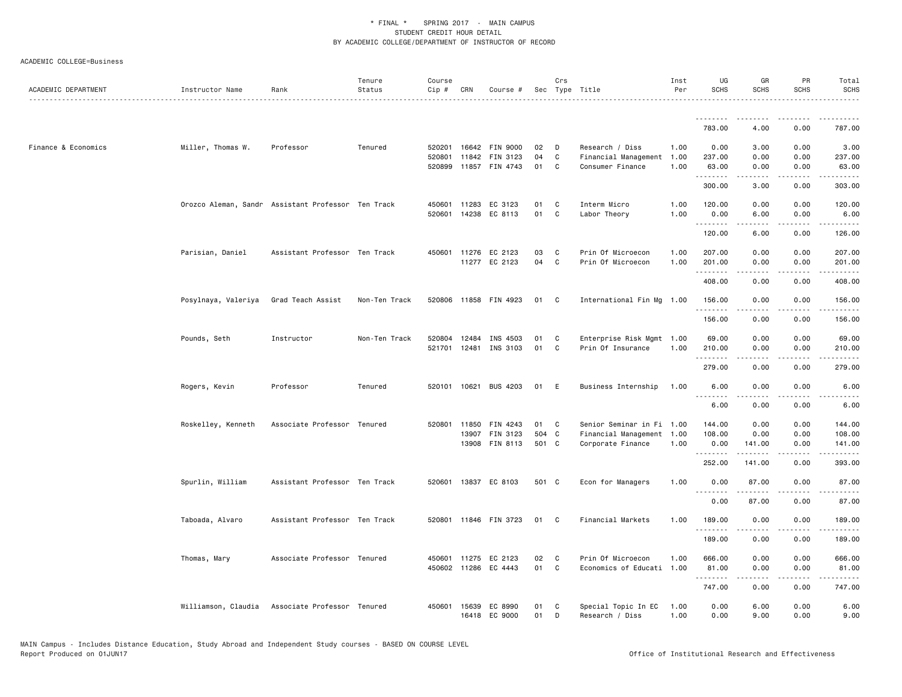| ACADEMIC DEPARTMENT | Instructor Name     | Rank                                               | Tenure<br>Status | Course<br>Cip #  | CRN          | Course #                         |          | Crs          | Sec Type Title                           | Inst<br>Per  | UG<br><b>SCHS</b>  | GR<br><b>SCHS</b> | PR<br><b>SCHS</b>                   | Total<br>SCHS      |
|---------------------|---------------------|----------------------------------------------------|------------------|------------------|--------------|----------------------------------|----------|--------------|------------------------------------------|--------------|--------------------|-------------------|-------------------------------------|--------------------|
|                     |                     |                                                    |                  |                  |              |                                  |          |              |                                          |              | .<br>783.00        | .<br>4.00         | .<br>0.00                           | 787.00             |
|                     |                     |                                                    |                  |                  |              |                                  |          |              |                                          |              |                    |                   |                                     |                    |
| Finance & Economics | Miller, Thomas W.   | Professor                                          | Tenured          | 520201           |              | 16642 FIN 9000                   | 02       | D            | Research / Diss                          | 1.00         | 0.00               | 3.00              | 0.00                                | 3.00               |
|                     |                     |                                                    |                  | 520801<br>520899 |              | 11842 FIN 3123<br>11857 FIN 4743 | 04<br>01 | C<br>C       | Financial Management<br>Consumer Finance | 1.00<br>1.00 | 237.00<br>63.00    | 0.00<br>0.00      | 0.00<br>0.00                        | 237.00<br>63.00    |
|                     |                     |                                                    |                  |                  |              |                                  |          |              |                                          |              | .                  | .                 | .                                   | <u>.</u>           |
|                     |                     |                                                    |                  |                  |              |                                  |          |              |                                          |              | 300.00             | 3.00              | 0.00                                | 303.00             |
|                     |                     | Orozco Aleman, Sandr Assistant Professor Ten Track |                  |                  |              | 450601 11283 EC 3123             | 01       | C            | Interm Micro                             | 1.00         | 120.00             | 0.00              | 0.00                                | 120.00             |
|                     |                     |                                                    |                  |                  |              | 520601 14238 EC 8113             | 01       | C            | Labor Theory                             | 1.00         | 0.00               | 6.00              | 0.00                                | 6.00               |
|                     |                     |                                                    |                  |                  |              |                                  |          |              |                                          |              | .<br>120.00        | .<br>6.00         | .<br>0.00                           | .<br>126.00        |
|                     | Parisian, Daniel    | Assistant Professor Ten Track                      |                  |                  |              | 450601 11276 EC 2123             | 03       | C            | Prin Of Microecon                        | 1.00         | 207.00             | 0.00              | 0.00                                | 207.00             |
|                     |                     |                                                    |                  |                  |              | 11277 EC 2123                    | 04       | C            | Prin Of Microecon                        | 1.00         | 201.00<br>.        | 0.00<br>.         | 0.00<br>$\sim$ $\sim$ $\sim$        | 201.00<br><u>.</u> |
|                     |                     |                                                    |                  |                  |              |                                  |          |              |                                          |              | 408.00             | 0.00              | 0.00                                | 408.00             |
|                     | Posylnaya, Valeriya | Grad Teach Assist                                  | Non-Ten Track    |                  |              | 520806 11858 FIN 4923            | 01       | C.           | International Fin Mg 1.00                |              | 156.00             | 0.00              | 0.00                                | 156.00             |
|                     |                     |                                                    |                  |                  |              |                                  |          |              |                                          |              | --------<br>156.00 | 0.00              | 0.00                                | <u>.</u><br>156.00 |
|                     |                     |                                                    |                  |                  |              |                                  |          |              |                                          |              |                    |                   |                                     |                    |
|                     | Pounds, Seth        | Instructor                                         | Non-Ten Track    | 520804           | 12484        | INS 4503                         | 01       | C            | Enterprise Risk Mgmt 1.00                |              | 69.00              | 0.00              | 0.00                                | 69.00              |
|                     |                     |                                                    |                  | 521701           |              | 12481 INS 3103                   | 01       | C            | Prin Of Insurance                        | 1.00         | 210.00<br>.        | 0.00<br>د د د د   | 0.00<br>.                           | 210.00<br><u>.</u> |
|                     |                     |                                                    |                  |                  |              |                                  |          |              |                                          |              | 279.00             | 0.00              | 0.00                                | 279.00             |
|                     | Rogers, Kevin       | Professor                                          | Tenured          |                  |              | 520101 10621 BUS 4203            | 01 E     |              | Business Internship                      | 1.00         | 6.00               | 0.00              | 0.00                                | 6.00               |
|                     |                     |                                                    |                  |                  |              |                                  |          |              |                                          |              | .                  | .                 | .                                   | $\frac{1}{2}$      |
|                     |                     |                                                    |                  |                  |              |                                  |          |              |                                          |              | 6.00               | 0.00              | 0.00                                | 6.00               |
|                     | Roskelley, Kenneth  | Associate Professor Tenured                        |                  |                  | 520801 11850 | FIN 4243                         | 01       | C            | Senior Seminar in Fi 1.00                |              | 144.00             | 0.00              | 0.00                                | 144.00             |
|                     |                     |                                                    |                  |                  |              | 13907 FIN 3123                   | 504      | $\mathbf{C}$ | Financial Management 1.00                |              | 108.00             | 0.00              | 0.00                                | 108.00             |
|                     |                     |                                                    |                  |                  |              | 13908 FIN 8113                   | 501 C    |              | Corporate Finance                        | 1.00         | 0.00<br>.          | 141.00<br>.       | 0.00<br>$\sim$ $\sim$ $\sim$ $\sim$ | 141.00<br><u>.</u> |
|                     |                     |                                                    |                  |                  |              |                                  |          |              |                                          |              | 252.00             | 141.00            | 0.00                                | 393.00             |
|                     |                     |                                                    |                  |                  |              |                                  |          |              |                                          |              |                    |                   |                                     |                    |
|                     | Spurlin, William    | Assistant Professor Ten Track                      |                  |                  |              | 520601 13837 EC 8103             | 501 C    |              | Econ for Managers                        | 1.00         | 0.00<br>.          | 87.00             | 0.00<br>$\sim$ $\sim$ $\sim$        | 87.00<br>.         |
|                     |                     |                                                    |                  |                  |              |                                  |          |              |                                          |              | 0.00               | 87.00             | 0.00                                | 87.00              |
|                     | Taboada, Alvaro     | Assistant Professor Ten Track                      |                  |                  |              | 520801 11846 FIN 3723            | 01       | C            | Financial Markets                        | 1.00         | 189.00             | 0.00              | 0.00                                | 189.00             |
|                     |                     |                                                    |                  |                  |              |                                  |          |              |                                          |              | .                  |                   | د د د د                             | .                  |
|                     |                     |                                                    |                  |                  |              |                                  |          |              |                                          |              | 189.00             | 0.00              | 0.00                                | 189.00             |
|                     | Thomas, Mary        | Associate Professor Tenured                        |                  |                  |              | 450601 11275 EC 2123             | 02       | C            | Prin Of Microecon                        | 1.00         | 666.00             | 0.00              | 0.00                                | 666.00             |
|                     |                     |                                                    |                  |                  |              | 450602 11286 EC 4443             | 01       | C            | Economics of Educati 1.00                |              | 81.00<br>.         | 0.00<br>د د د د   | 0.00<br>$\sim$ $\sim$ $\sim$ $\sim$ | 81.00              |
|                     |                     |                                                    |                  |                  |              |                                  |          |              |                                          |              | 747.00             | 0.00              | 0.00                                | 747.00             |
|                     |                     | Williamson, Claudia Associate Professor Tenured    |                  | 450601           |              | 15639 EC 8990                    | 01       | C            | Special Topic In EC                      | 1.00         | 0.00               | 6.00              | 0.00                                | 6.00               |
|                     |                     |                                                    |                  |                  |              | 16418 EC 9000                    | 01       | D            | Research / Diss                          | 1.00         | 0.00               | 9.00              | 0.00                                | 9.00               |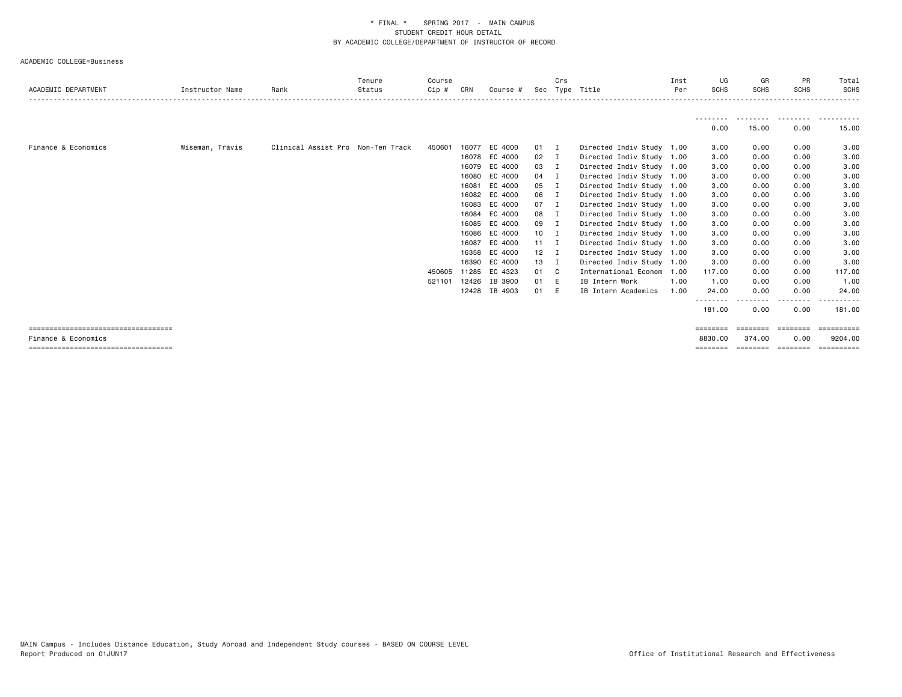|                                                              |                 |                                   | Tenure | Course |       |               |              | Crs            |                           | Inst | UG                  | GR                 | <b>PR</b>         | Total                 |
|--------------------------------------------------------------|-----------------|-----------------------------------|--------|--------|-------|---------------|--------------|----------------|---------------------------|------|---------------------|--------------------|-------------------|-----------------------|
| ACADEMIC DEPARTMENT                                          | Instructor Name | Rank                              | Status | Cip #  | CRN   | Course #      | Sec          |                | Type Title                | Per  | <b>SCHS</b>         | <b>SCHS</b>        | <b>SCHS</b>       | <b>SCHS</b>           |
|                                                              |                 |                                   |        |        |       |               |              |                |                           |      |                     |                    |                   | ------                |
|                                                              |                 |                                   |        |        |       |               |              |                |                           |      | 0.00                | 15.00              | 0.00              | 15.00                 |
| Finance & Economics                                          | Wiseman, Travis | Clinical Assist Pro Non-Ten Track |        | 450601 |       | 16077 EC 4000 | $01 \quad I$ |                | Directed Indiv Study 1.00 |      | 3.00                | 0.00               | 0.00              | 3.00                  |
|                                                              |                 |                                   |        |        |       | 16078 EC 4000 | 02           | $\blacksquare$ | Directed Indiv Study 1.00 |      | 3.00                | 0.00               | 0.00              | 3.00                  |
|                                                              |                 |                                   |        |        |       | 16079 EC 4000 | 03           | $\blacksquare$ | Directed Indiv Study 1.00 |      | 3.00                | 0.00               | 0.00              | 3.00                  |
|                                                              |                 |                                   |        |        |       | 16080 EC 4000 | 04 I         |                | Directed Indiv Study 1.00 |      | 3.00                | 0.00               | 0.00              | 3.00                  |
|                                                              |                 |                                   |        |        | 16081 | EC 4000       | 05           | п              | Directed Indiv Study 1.00 |      | 3.00                | 0.00               | 0.00              | 3.00                  |
|                                                              |                 |                                   |        |        |       | 16082 EC 4000 | 06 I         |                | Directed Indiv Study 1.00 |      | 3.00                | 0.00               | 0.00              | 3.00                  |
|                                                              |                 |                                   |        |        |       | 16083 EC 4000 | $07$ I       |                | Directed Indiv Study 1.00 |      | 3.00                | 0.00               | 0.00              | 3.00                  |
|                                                              |                 |                                   |        |        |       | 16084 EC 4000 | 08 I         |                | Directed Indiv Study 1.00 |      | 3.00                | 0.00               | 0.00              | 3.00                  |
|                                                              |                 |                                   |        |        |       | 16085 EC 4000 | 09 I         |                | Directed Indiv Study 1.00 |      | 3.00                | 0.00               | 0.00              | 3.00                  |
|                                                              |                 |                                   |        |        |       | 16086 EC 4000 | $10$ I       |                | Directed Indiv Study 1.00 |      | 3.00                | 0.00               | 0.00              | 3.00                  |
|                                                              |                 |                                   |        |        | 16087 | EC 4000       | $11 \quad I$ |                | Directed Indiv Study 1.00 |      | 3.00                | 0.00               | 0.00              | 3.00                  |
|                                                              |                 |                                   |        |        |       | 16358 EC 4000 | $12 \quad I$ |                | Directed Indiv Study 1.00 |      | 3.00                | 0.00               | 0.00              | 3.00                  |
|                                                              |                 |                                   |        |        | 16390 | EC 4000       | 13           | - 1            | Directed Indiv Study 1.00 |      | 3.00                | 0.00               | 0.00              | 3.00                  |
|                                                              |                 |                                   |        | 450605 |       | 11285 EC 4323 | 01 C         |                | International Econom      | 1.00 | 117.00              | 0.00               | 0.00              | 117.00                |
|                                                              |                 |                                   |        | 521101 | 12426 | IB 3900       | 01           | E              | IB Intern Work            | 1.00 | 1.00                | 0.00               | 0.00              | 1.00                  |
|                                                              |                 |                                   |        |        |       | 12428 IB 4903 | 01           | E              | IB Intern Academics       | 1.00 | 24.00               | 0.00               | 0.00              | 24.00                 |
|                                                              |                 |                                   |        |        |       |               |              |                |                           |      | 181.00              | 0.00               | $\cdots$<br>0.00  | 181,00                |
| =====================================                        |                 |                                   |        |        |       |               |              |                |                           |      | ========            | ========           | ========          | ==========            |
| Finance & Economics<br>===================================== |                 |                                   |        |        |       |               |              |                |                           |      | 8830.00<br>======== | 374.00<br>======== | 0.00<br>--------- | 9204.00<br>========== |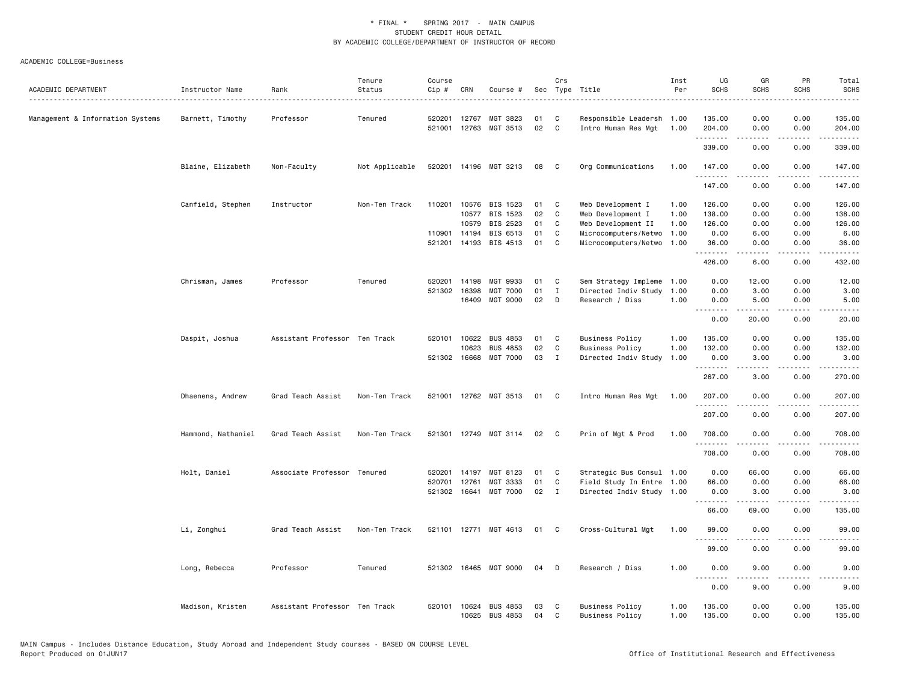| ACADEMIC DEPARTMENT              | Instructor Name    | Rank                          | Tenure<br>Status | Course<br>Cip# | CRN          | Course #              |    | Crs          | Sec Type Title            | Inst<br>Per | UG<br><b>SCHS</b> | GR<br><b>SCHS</b> | PR<br><b>SCHS</b>                   | Total<br><b>SCHS</b> |
|----------------------------------|--------------------|-------------------------------|------------------|----------------|--------------|-----------------------|----|--------------|---------------------------|-------------|-------------------|-------------------|-------------------------------------|----------------------|
|                                  | .                  |                               |                  |                |              |                       |    |              |                           |             |                   |                   |                                     |                      |
| Management & Information Systems | Barnett, Timothy   | Professor                     | Tenured          | 520201         | 12767        | MGT 3823              | 01 | C            | Responsible Leadersh 1.00 |             | 135.00            | 0.00              | 0.00                                | 135.00               |
|                                  |                    |                               |                  | 521001         | 12763        | MGT 3513              | 02 | C            | Intro Human Res Mgt       | 1.00        | 204.00<br>.       | 0.00<br><u>.</u>  | 0.00<br>.                           | 204.00<br>.          |
|                                  |                    |                               |                  |                |              |                       |    |              |                           |             | 339.00            | 0.00              | 0.00                                | 339.00               |
|                                  | Blaine, Elizabeth  | Non-Faculty                   | Not Applicable   | 520201         |              | 14196 MGT 3213        | 08 | C            | Org Communications        | 1.00        | 147.00            | 0.00              | 0.00                                | 147.00               |
|                                  |                    |                               |                  |                |              |                       |    |              |                           |             | .<br>147.00       | .<br>0.00         | $\sim$ $\sim$ $\sim$ $\sim$<br>0.00 | 2.2.2.2.2<br>147.00  |
|                                  | Canfield, Stephen  | Instructor                    | Non-Ten Track    | 110201         | 10576        | BIS 1523              | 01 | C            | Web Development I         | 1.00        | 126.00            | 0.00              | 0.00                                | 126.00               |
|                                  |                    |                               |                  |                | 10577        | BIS 1523              | 02 | C            | Web Development I         | 1.00        | 138.00            | 0.00              | 0.00                                | 138.00               |
|                                  |                    |                               |                  |                | 10579        | BIS 2523              | 01 | C            | Web Development II        | 1.00        | 126.00            | 0.00              | 0.00                                | 126.00               |
|                                  |                    |                               |                  | 110901         | 14194        | BIS 6513              | 01 | C            | Microcomputers/Netwo      | 1.00        | 0.00              | 6.00              | 0.00                                | 6.00                 |
|                                  |                    |                               |                  | 521201         |              | 14193 BIS 4513        | 01 | C            | Microcomputers/Netwo      | 1.00        | 36.00             | 0.00              | 0.00                                | 36.00                |
|                                  |                    |                               |                  |                |              |                       |    |              |                           |             | .<br>426.00       | .<br>6.00         | $   -$<br>0.00                      | .<br>432.00          |
|                                  | Chrisman, James    | Professor                     | Tenured          | 520201         | 14198        | MGT 9933              | 01 | C            | Sem Strategy Impleme      | 1.00        | 0.00              | 12.00             | 0.00                                | 12.00                |
|                                  |                    |                               |                  | 521302         | 16398        | <b>MGT 7000</b>       | 01 | $\mathbf{I}$ | Directed Indiv Study      | 1.00        | 0.00              | 3.00              | 0.00                                | 3.00                 |
|                                  |                    |                               |                  |                | 16409        | MGT 9000              | 02 | D            | Research / Diss           | 1.00        | 0.00              | 5.00              | 0.00                                | 5.00                 |
|                                  |                    |                               |                  |                |              |                       |    |              |                           |             | <u>.</u><br>0.00  | 20.00             | 0.00                                | 20.00                |
|                                  | Daspit, Joshua     | Assistant Professor Ten Track |                  | 520101         | 10622        | <b>BUS 4853</b>       | 01 | C            | <b>Business Policy</b>    | 1.00        | 135.00            | 0.00              | 0.00                                | 135.00               |
|                                  |                    |                               |                  |                | 10623        | <b>BUS 4853</b>       | 02 | C            | <b>Business Policy</b>    | 1.00        | 132.00            | 0.00              | 0.00                                | 132.00               |
|                                  |                    |                               |                  |                | 521302 16668 | <b>MGT 7000</b>       | 03 | I            | Directed Indiv Study      | 1.00        | 0.00              | 3.00              | 0.00                                | 3.00                 |
|                                  |                    |                               |                  |                |              |                       |    |              |                           |             | .<br>267.00       | 3.00              | 0.00                                | .<br>270.00          |
|                                  | Dhaenens, Andrew   | Grad Teach Assist             | Non-Ten Track    | 521001         |              | 12762 MGT 3513        | 01 | C            | Intro Human Res Mgt       | 1.00        | 207.00            | 0.00              | 0.00                                | 207.00               |
|                                  |                    |                               |                  |                |              |                       |    |              |                           |             | 207.00            | 0.00              | 0.00                                | 22222<br>207.00      |
|                                  |                    |                               |                  |                |              |                       |    |              |                           |             |                   |                   |                                     |                      |
|                                  | Hammond, Nathaniel | Grad Teach Assist             | Non-Ten Track    |                |              | 521301 12749 MGT 3114 | 02 | C            | Prin of Mgt & Prod        | 1.00        | 708.00<br>.       | 0.00              | 0.00<br>$   -$                      | 708.00<br>-----      |
|                                  |                    |                               |                  |                |              |                       |    |              |                           |             | 708.00            | 0.00              | 0.00                                | 708.00               |
|                                  | Holt, Daniel       | Associate Professor Tenured   |                  | 520201         | 14197        | MGT 8123              | 01 | C            | Strategic Bus Consul 1.00 |             | 0.00              | 66.00             | 0.00                                | 66.00                |
|                                  |                    |                               |                  | 520701         | 12761        | MGT 3333              | 01 | C            | Field Study In Entre      | 1.00        | 66.00             | 0.00              | 0.00                                | 66.00                |
|                                  |                    |                               |                  |                | 521302 16641 | MGT 7000              | 02 | $\mathbf{I}$ | Directed Indiv Study 1.00 |             | 0.00              | 3.00              | 0.00                                | 3.00                 |
|                                  |                    |                               |                  |                |              |                       |    |              |                           |             | <u>.</u><br>66.00 | .<br>69.00        | $- - - -$<br>0.00                   | .<br>135.00          |
|                                  | Li, Zonghui        | Grad Teach Assist             | Non-Ten Track    |                |              | 521101 12771 MGT 4613 | 01 | $\mathbf{C}$ | Cross-Cultural Mgt        | 1.00        | 99.00             | 0.00              | 0.00                                | 99,00                |
|                                  |                    |                               |                  |                |              |                       |    |              |                           |             | <u>.</u><br>99.00 | .<br>0.00         | .<br>0.00                           | 99.00                |
|                                  | Long, Rebecca      | Professor                     | Tenured          |                | 521302 16465 | MGT 9000              | 04 | D            | Research / Diss           | 1.00        | 0.00              | 9.00              | 0.00                                | 9.00                 |
|                                  |                    |                               |                  |                |              |                       |    |              |                           |             | .<br>0.00         | .<br>9.00         | ----<br>0.00                        | ----<br>9.00         |
|                                  |                    |                               |                  |                |              |                       |    |              |                           |             |                   |                   |                                     |                      |
|                                  | Madison, Kristen   | Assistant Professor Ten Track |                  | 520101         |              | 10624 BUS 4853        | 03 | C            | <b>Business Policy</b>    | 1.00        | 135.00            | 0.00              | 0.00                                | 135.00               |
|                                  |                    |                               |                  |                | 10625        | <b>BUS 4853</b>       | 04 | C.           | <b>Business Policy</b>    | 1.00        | 135.00            | 0.00              | 0.00                                | 135.00               |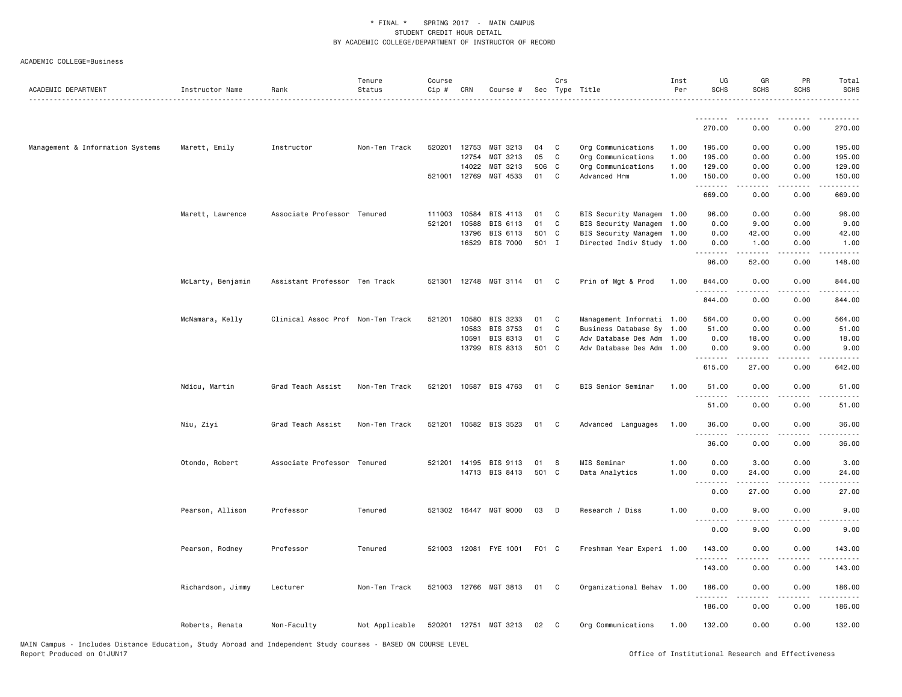| ACADEMIC DEPARTMENT              | Instructor Name   | Rank                              | Tenure<br>Status | Course<br>Cip # | CRN          | Course #              |       | Crs<br>Sec Type Title |                           | Inst<br>Per | UG<br><b>SCHS</b> | GR<br><b>SCHS</b>                                                                                                                                            | PR<br><b>SCHS</b>                                                                                                                 | Total<br><b>SCHS</b>                                                                                                                                           |
|----------------------------------|-------------------|-----------------------------------|------------------|-----------------|--------------|-----------------------|-------|-----------------------|---------------------------|-------------|-------------------|--------------------------------------------------------------------------------------------------------------------------------------------------------------|-----------------------------------------------------------------------------------------------------------------------------------|----------------------------------------------------------------------------------------------------------------------------------------------------------------|
|                                  |                   |                                   |                  |                 |              |                       |       |                       |                           |             | .                 |                                                                                                                                                              |                                                                                                                                   |                                                                                                                                                                |
|                                  |                   |                                   |                  |                 |              |                       |       |                       |                           |             | 270,00            | 0.00                                                                                                                                                         | 0.00                                                                                                                              | 270.00                                                                                                                                                         |
| Management & Information Systems | Marett, Emily     | Instructor                        | Non-Ten Track    | 520201 12753    |              | MGT 3213              | 04    | C                     | Org Communications        | 1.00        | 195.00            | 0.00                                                                                                                                                         | 0.00                                                                                                                              | 195.00                                                                                                                                                         |
|                                  |                   |                                   |                  |                 | 12754        | MGT 3213              | 05    | C                     | Org Communications        | 1.00        | 195.00            | 0.00                                                                                                                                                         | 0.00                                                                                                                              | 195.00                                                                                                                                                         |
|                                  |                   |                                   |                  |                 | 14022        | MGT 3213              | 506   | $\mathbf{C}$          | Org Communications        | 1.00        | 129.00            | 0.00                                                                                                                                                         | 0.00                                                                                                                              | 129.00                                                                                                                                                         |
|                                  |                   |                                   |                  |                 | 521001 12769 | MGT 4533              | 01    | C                     | Advanced Hrm              | 1.00        | 150.00<br>.       | 0.00<br>$\frac{1}{2} \left( \frac{1}{2} \right) \left( \frac{1}{2} \right) \left( \frac{1}{2} \right) \left( \frac{1}{2} \right) \left( \frac{1}{2} \right)$ | 0.00<br>.                                                                                                                         | 150.00<br>.                                                                                                                                                    |
|                                  |                   |                                   |                  |                 |              |                       |       |                       |                           |             | 669.00            | 0.00                                                                                                                                                         | 0.00                                                                                                                              | 669.00                                                                                                                                                         |
|                                  | Marett, Lawrence  | Associate Professor Tenured       |                  | 111003          | 10584        | BIS 4113              | 01    | C                     | BIS Security Managem 1.00 |             | 96.00             | 0.00                                                                                                                                                         | 0.00                                                                                                                              | 96.00                                                                                                                                                          |
|                                  |                   |                                   |                  | 521201          | 10588        | BIS 6113              | 01    | C                     | BIS Security Managem 1.00 |             | 0.00              | 9.00                                                                                                                                                         | 0.00                                                                                                                              | 9.00                                                                                                                                                           |
|                                  |                   |                                   |                  |                 | 13796        | BIS 6113              | 501 C |                       | BIS Security Managem 1.00 |             | 0.00              | 42.00                                                                                                                                                        | 0.00                                                                                                                              | 42.00                                                                                                                                                          |
|                                  |                   |                                   |                  |                 | 16529        | BIS 7000              | 501 I |                       | Directed Indiv Study 1.00 |             | 0.00<br>.         | 1.00                                                                                                                                                         | 0.00<br>$\sim$ $\sim$ $\sim$                                                                                                      | 1.00                                                                                                                                                           |
|                                  |                   |                                   |                  |                 |              |                       |       |                       |                           |             | 96.00             | 52.00                                                                                                                                                        | 0.00                                                                                                                              | 148.00                                                                                                                                                         |
|                                  | McLarty, Benjamin | Assistant Professor Ten Track     |                  |                 |              | 521301 12748 MGT 3114 | 01    | $\mathbf{C}$          | Prin of Mgt & Prod        | 1.00        | 844.00<br>.       | 0.00                                                                                                                                                         | 0.00                                                                                                                              | 844.00                                                                                                                                                         |
|                                  |                   |                                   |                  |                 |              |                       |       |                       |                           |             | 844.00            | -----<br>0.00                                                                                                                                                | $\frac{1}{2} \left( \frac{1}{2} \right) \left( \frac{1}{2} \right) \left( \frac{1}{2} \right) \left( \frac{1}{2} \right)$<br>0.00 | $\frac{1}{2} \left( \frac{1}{2} \right) \left( \frac{1}{2} \right) \left( \frac{1}{2} \right) \left( \frac{1}{2} \right) \left( \frac{1}{2} \right)$<br>844.00 |
|                                  | McNamara, Kelly   | Clinical Assoc Prof Non-Ten Track |                  | 521201 10580    |              | BIS 3233              | 01    | C                     | Management Informati 1.00 |             | 564.00            | 0.00                                                                                                                                                         | 0.00                                                                                                                              | 564.00                                                                                                                                                         |
|                                  |                   |                                   |                  |                 | 10583        | BIS 3753              | 01    | C                     | Business Database Sy 1.00 |             | 51.00             | 0.00                                                                                                                                                         | 0.00                                                                                                                              | 51.00                                                                                                                                                          |
|                                  |                   |                                   |                  |                 | 10591        | BIS 8313              | 01    | C                     | Adv Database Des Adm      | 1.00        | 0.00              | 18.00                                                                                                                                                        | 0.00                                                                                                                              | 18.00                                                                                                                                                          |
|                                  |                   |                                   |                  |                 | 13799        | BIS 8313              | 501 C |                       | Adv Database Des Adm 1.00 |             | 0.00<br>.         | 9.00                                                                                                                                                         | 0.00                                                                                                                              | 9.00                                                                                                                                                           |
|                                  |                   |                                   |                  |                 |              |                       |       |                       |                           |             | 615.00            | 27.00                                                                                                                                                        | 0.00                                                                                                                              | 642.00                                                                                                                                                         |
|                                  | Ndicu, Martin     | Grad Teach Assist                 | Non-Ten Track    |                 |              | 521201 10587 BIS 4763 | 01    | $\mathbf{C}$          | BIS Senior Seminar        | 1.00        | 51.00<br>.        | 0.00                                                                                                                                                         | 0.00<br>$\frac{1}{2} \left( \frac{1}{2} \right) \left( \frac{1}{2} \right) \left( \frac{1}{2} \right) \left( \frac{1}{2} \right)$ | 51.00                                                                                                                                                          |
|                                  |                   |                                   |                  |                 |              |                       |       |                       |                           |             | 51.00             | 0.00                                                                                                                                                         | 0.00                                                                                                                              | 51.00                                                                                                                                                          |
|                                  | Niu, Ziyi         | Grad Teach Assist                 | Non-Ten Track    |                 |              | 521201 10582 BIS 3523 | 01    | $\mathbf{C}$          | Advanced Languages        | 1.00        | 36.00             | 0.00                                                                                                                                                         | 0.00                                                                                                                              | 36.00                                                                                                                                                          |
|                                  |                   |                                   |                  |                 |              |                       |       |                       |                           |             | <u>.</u><br>36.00 | $\frac{1}{2} \left( \frac{1}{2} \right) \left( \frac{1}{2} \right) \left( \frac{1}{2} \right) \left( \frac{1}{2} \right) \left( \frac{1}{2} \right)$<br>0.00 | .<br>0.00                                                                                                                         | .<br>36.00                                                                                                                                                     |
|                                  | Otondo, Robert    | Associate Professor Tenured       |                  |                 |              | 521201 14195 BIS 9113 | 01    | - S                   | MIS Seminar               | 1.00        | 0.00              | 3.00                                                                                                                                                         | 0.00                                                                                                                              | 3.00                                                                                                                                                           |
|                                  |                   |                                   |                  |                 |              | 14713 BIS 8413        | 501 C |                       | Data Analytics            | 1.00        | 0.00              | 24.00                                                                                                                                                        | 0.00                                                                                                                              | 24.00                                                                                                                                                          |
|                                  |                   |                                   |                  |                 |              |                       |       |                       |                           |             | <u>.</u>          | $- - - - -$                                                                                                                                                  | $\frac{1}{2}$                                                                                                                     | $\frac{1}{2} \left( \frac{1}{2} \right) \left( \frac{1}{2} \right) \left( \frac{1}{2} \right) \left( \frac{1}{2} \right)$                                      |
|                                  |                   |                                   |                  |                 |              |                       |       |                       |                           |             | 0.00              | 27.00                                                                                                                                                        | 0.00                                                                                                                              | 27.00                                                                                                                                                          |
|                                  | Pearson, Allison  | Professor                         | Tenured          |                 | 521302 16447 | MGT 9000              | 03    | D                     | Research / Diss           | 1.00        | 0.00<br>.         | 9.00                                                                                                                                                         | 0.00                                                                                                                              | 9.00                                                                                                                                                           |
|                                  |                   |                                   |                  |                 |              |                       |       |                       |                           |             | 0.00              | 9.00                                                                                                                                                         | 0.00                                                                                                                              | 9.00                                                                                                                                                           |
|                                  | Pearson, Rodney   | Professor                         | Tenured          |                 |              | 521003 12081 FYE 1001 | F01 C |                       | Freshman Year Experi 1.00 |             | 143.00            | 0.00                                                                                                                                                         | 0.00                                                                                                                              | 143.00                                                                                                                                                         |
|                                  |                   |                                   |                  |                 |              |                       |       |                       |                           |             | 143.00            | 0.00                                                                                                                                                         | 0.00                                                                                                                              | 143.00                                                                                                                                                         |
|                                  | Richardson, Jimmy | Lecturer                          | Non-Ten Track    |                 |              | 521003 12766 MGT 3813 | 01    | C                     | Organizational Behav 1.00 |             | 186.00            | 0.00                                                                                                                                                         | 0.00                                                                                                                              | 186.00                                                                                                                                                         |
|                                  |                   |                                   |                  |                 |              |                       |       |                       |                           |             | .<br>186.00       | 0.00                                                                                                                                                         | 0.00                                                                                                                              | 186.00                                                                                                                                                         |
|                                  |                   |                                   |                  |                 |              |                       |       |                       |                           |             |                   |                                                                                                                                                              |                                                                                                                                   |                                                                                                                                                                |
|                                  | Roberts, Renata   | Non-Faculty                       | Not Applicable   |                 |              | 520201 12751 MGT 3213 | 02    | C                     | Org Communications        | 1.00        | 132.00            | 0.00                                                                                                                                                         | 0.00                                                                                                                              | 132.00                                                                                                                                                         |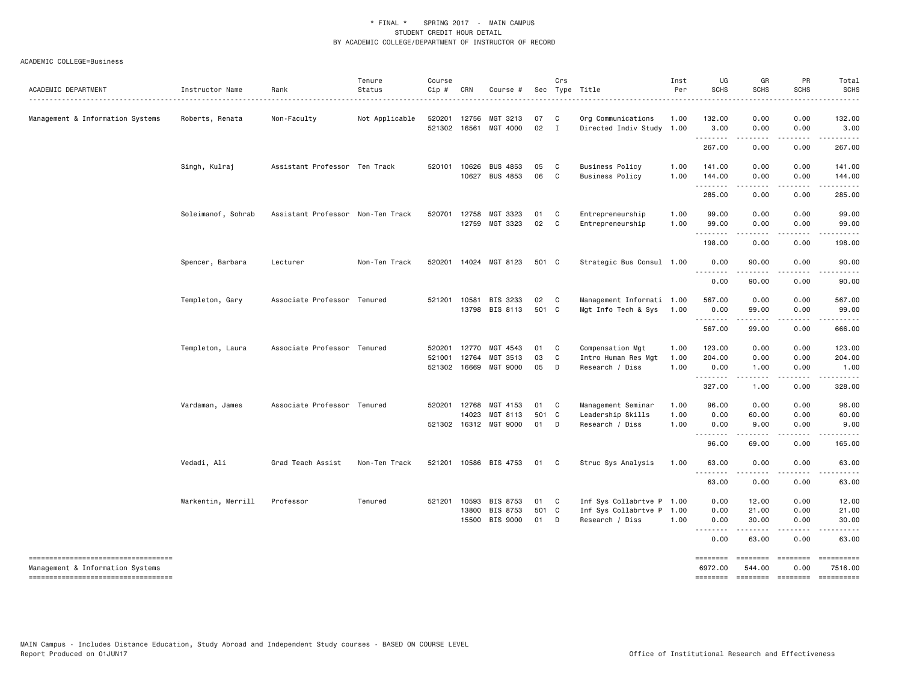| ACADEMIC DEPARTMENT                                                                                            | Instructor Name    | Rank                              | Tenure<br>Status | Course<br>Cip #  | CRN                                   | Course #                                |                   | Crs                          | Sec Type Title                                                            | Inst<br>Per<br>.     | UG<br><b>SCHS</b>               | GR<br>SCHS              | PR<br><b>SCHS</b>                     | Total<br><b>SCHS</b><br>.           |
|----------------------------------------------------------------------------------------------------------------|--------------------|-----------------------------------|------------------|------------------|---------------------------------------|-----------------------------------------|-------------------|------------------------------|---------------------------------------------------------------------------|----------------------|---------------------------------|-------------------------|---------------------------------------|-------------------------------------|
| Management & Information Systems                                                                               | Roberts, Renata    | Non-Faculty                       | Not Applicable   | 520201<br>521302 | 12756<br>16561                        | MGT 3213<br>MGT 4000                    | 07<br>02          | $\mathbf{C}$<br>$\mathbf{I}$ | Org Communications<br>Directed Indiv Study 1.00                           | 1.00                 | 132.00<br>3.00                  | 0.00<br>0.00            | 0.00<br>0.00                          | 132.00<br>3.00                      |
|                                                                                                                |                    |                                   |                  |                  |                                       |                                         |                   |                              |                                                                           |                      | .<br>267.00                     | .<br>0.00               | $\cdots$<br>0.00                      | .<br>267.00                         |
|                                                                                                                | Singh, Kulraj      | Assistant Professor Ten Track     |                  |                  | 520101 10626<br>10627                 | <b>BUS 4853</b><br><b>BUS 4853</b>      | 05<br>06          | $\mathbf{C}$<br>C.           | <b>Business Policy</b><br><b>Business Policy</b>                          | 1.00<br>1.00         | 141.00<br>144.00                | 0.00<br>0.00            | 0.00<br>0.00                          | 141.00<br>144.00                    |
|                                                                                                                |                    |                                   |                  |                  |                                       |                                         |                   |                              |                                                                           |                      | .<br>285.00                     | .<br>0.00               | .<br>0.00                             | .<br>285.00                         |
|                                                                                                                | Soleimanof, Sohrab | Assistant Professor Non-Ten Track |                  | 520701           | 12758<br>12759                        | MGT 3323<br>MGT 3323                    | 01<br>02          | C<br>$\mathbf{C}$            | Entrepreneurship<br>Entrepreneurship                                      | 1.00<br>1.00         | 99.00<br>99.00                  | 0.00<br>0.00            | 0.00<br>0.00                          | 99.00<br>99.00                      |
|                                                                                                                |                    |                                   |                  |                  |                                       |                                         |                   |                              |                                                                           |                      | <u>.</u><br>198.00              | 0.00                    | 0.00                                  | .<br>198.00                         |
|                                                                                                                | Spencer, Barbara   | Lecturer                          | Non-Ten Track    |                  |                                       | 520201 14024 MGT 8123                   | 501 C             |                              | Strategic Bus Consul 1.00                                                 |                      | 0.00<br>.                       | 90.00                   | 0.00                                  | 90.00                               |
|                                                                                                                |                    |                                   |                  |                  |                                       |                                         |                   |                              |                                                                           |                      | 0.00                            | 90.00                   | 0.00                                  | 90.00                               |
|                                                                                                                | Templeton, Gary    | Associate Professor Tenured       |                  | 521201 10581     |                                       | BIS 3233<br>13798 BIS 8113              | 02<br>501 C       | $\mathbf{C}$                 | Management Informati 1.00<br>Mgt Info Tech & Sys                          | 1.00                 | 567.00<br>0.00<br>.             | 0.00<br>99.00<br>.      | 0.00<br>0.00<br><u>.</u>              | 567.00<br>99.00<br>.                |
|                                                                                                                |                    |                                   |                  |                  |                                       |                                         |                   |                              |                                                                           |                      | 567.00                          | 99.00                   | 0.00                                  | 666.00                              |
|                                                                                                                | Templeton, Laura   | Associate Professor Tenured       |                  | 520201<br>521001 | 12770<br>12764<br>521302 16669        | MGT 4543<br>MGT 3513<br><b>MGT 9000</b> | 01<br>03<br>05    | C<br>C<br>D                  | Compensation Mgt<br>Intro Human Res Mgt<br>Research / Diss                | 1.00<br>1.00<br>1.00 | 123.00<br>204.00<br>0.00        | 0.00<br>0.00<br>1.00    | 0.00<br>0.00<br>0.00                  | 123.00<br>204.00<br>1.00            |
|                                                                                                                |                    |                                   |                  |                  |                                       |                                         |                   |                              |                                                                           |                      | .<br>327.00                     | .<br>1.00               | .<br>0.00                             | 328.00                              |
|                                                                                                                | Vardaman, James    | Associate Professor Tenured       |                  |                  | 520201 12768<br>14023<br>521302 16312 | MGT 4153<br>MGT 8113<br>MGT 9000        | 01<br>501 C<br>01 | $\mathbf{C}$<br>D            | Management Seminar<br>Leadership Skills<br>Research / Diss                | 1.00<br>1.00<br>1.00 | 96.00<br>0.00<br>0.00           | 0.00<br>60.00<br>9.00   | 0.00<br>0.00<br>0.00                  | 96.00<br>60.00<br>9.00              |
|                                                                                                                |                    |                                   |                  |                  |                                       |                                         |                   |                              |                                                                           |                      | .<br>96.00                      | 69.00                   | 0.00                                  | 165.00                              |
|                                                                                                                | Vedadi, Ali        | Grad Teach Assist                 | Non-Ten Track    | 521201           |                                       | 10586 BIS 4753                          | 01                | $\mathbf{C}$                 | Struc Sys Analysis                                                        | 1.00                 | 63.00                           | 0.00                    | 0.00                                  | 63.00                               |
|                                                                                                                |                    |                                   |                  |                  |                                       |                                         |                   |                              |                                                                           |                      | .<br>63.00                      | $\cdots$<br>0.00        | .<br>0.00                             | .<br>63.00                          |
|                                                                                                                | Warkentin, Merrill | Professor                         | Tenured          |                  | 521201 10593<br>13800<br>15500        | BIS 8753<br>BIS 8753<br>BIS 9000        | 01<br>501 C<br>01 | $\mathbf{C}$<br>D            | Inf Sys Collabrtve P 1.00<br>Inf Sys Collabrtve P 1.00<br>Research / Diss | 1.00                 | 0.00<br>0.00<br>0.00<br>.       | 12.00<br>21.00<br>30.00 | 0.00<br>0.00<br>0.00                  | 12.00<br>21.00<br>30.00             |
|                                                                                                                |                    |                                   |                  |                  |                                       |                                         |                   |                              |                                                                           |                      | 0.00                            | 63.00                   | 0.00                                  | 63.00                               |
| -----------------------------------<br>Management & Information Systems<br>----------------------------------- |                    |                                   |                  |                  |                                       |                                         |                   |                              |                                                                           |                      | ========<br>6972.00<br>======== | ========<br>544.00      | ========<br>0.00<br>================= | ==========<br>7516.00<br>========== |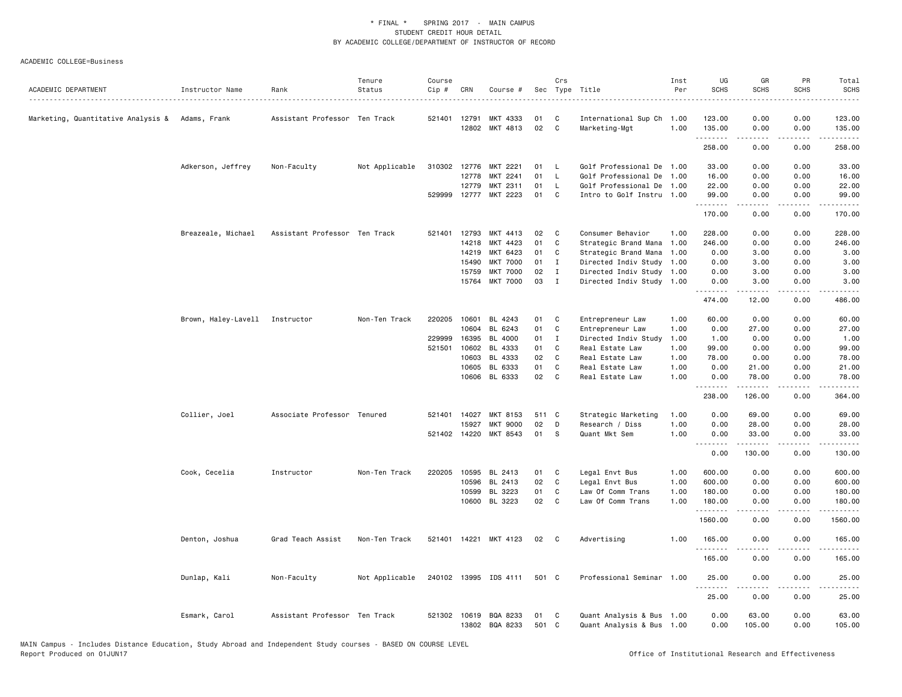| MKT 4333<br>0.00<br>0.00<br>Marketing, Quantitative Analysis & Adams, Frank<br>Assistant Professor Ten Track<br>521401 12791<br>01<br>C<br>International Sup Ch 1.00<br>123.00<br>12802<br>MKT 4813<br>02<br>C<br>Marketing-Mgt<br>1.00<br>135.00<br>0.00<br>0.00<br>135.00<br>.<br>$   -$<br>.<br>258.00<br>0.00<br>0.00<br>Adkerson, Jeffrey<br>Non-Faculty<br>Not Applicable<br>310302 12776<br>MKT 2221<br>01<br>Golf Professional De<br>33.00<br>0.00<br>0.00<br><b>L</b><br>1.00<br>MKT 2241<br>01<br>L<br>Golf Professional De<br>12778<br>1.00<br>16.00<br>0.00<br>0.00<br>MKT 2311<br>01<br>Golf Professional De 1.00<br>22.00<br>0.00<br>12779<br>L<br>0.00<br>529999 12777 MKT 2223<br>01<br>C<br>Intro to Golf Instru 1.00<br>99.00<br>0.00<br>0.00<br>.<br>$\frac{1}{2}$<br>.<br>170.00<br>0.00<br>0.00<br>Breazeale, Michael<br>Assistant Professor Ten Track<br>521401 12793<br>MKT 4413<br>02<br>C<br>Consumer Behavior<br>1.00<br>228.00<br>0.00<br>0.00<br>14218<br>MKT 4423<br>01<br>C<br>Strategic Brand Mana<br>246.00<br>0.00<br>0.00<br>1.00<br>14219<br>MKT 6423<br>01<br>Strategic Brand Mana<br>0.00<br>3.00<br>0.00<br>C<br>1.00<br>15490<br><b>MKT 7000</b><br>01<br>Directed Indiv Study<br>0.00<br>0.00<br>$\bf{I}$<br>1.00<br>3.00<br><b>MKT 7000</b><br>02<br>0.00<br>0.00<br>15759<br>$\mathbf{I}$<br>Directed Indiv Study 1.00<br>3.00<br><b>MKT 7000</b><br>03<br>15764<br>$\mathbf{I}$<br>Directed Indiv Study 1.00<br>0.00<br>0.00<br>3.00<br>- - - -<br>474.00<br>12.00<br>0.00<br>Brown, Haley-Lavell Instructor<br>Non-Ten Track<br>220205<br>10601<br>BL 4243<br>01<br>Entrepreneur Law<br>60.00<br>0.00<br>C<br>1.00<br>0.00<br>10604<br>BL 6243<br>01<br>C<br>Entrepreneur Law<br>1.00<br>0.00<br>27.00<br>0.00<br>229999<br>16395<br>BL 4000<br>01<br>1.00<br>0.00<br>0.00<br>$\mathbf{I}$<br>Directed Indiv Study<br>1.00<br>521501<br>10602<br>BL 4333<br>99.00<br>01<br>C<br>Real Estate Law<br>1.00<br>0.00<br>0.00<br>02<br>10603<br>BL 4333<br>C<br>Real Estate Law<br>1.00<br>0.00<br>78.00<br>0.00<br>10605<br>BL 6333<br>01<br>C<br>1.00<br>0.00<br>Real Estate Law<br>21.00<br>0.00<br>10606 BL 6333<br>02<br>C<br>Real Estate Law<br>1.00<br>0.00<br>78.00<br>0.00<br>.<br><b></b><br>.<br>.<br>126.00<br>238.00<br>0.00<br>Collier, Joel<br>Strategic Marketing<br>0.00<br>Associate Professor Tenured<br>521401 14027<br>MKT 8153<br>511 C<br>1.00<br>69.00<br>0.00<br>02<br>1.00<br>15927<br><b>MKT 9000</b><br>D<br>Research / Diss<br>0.00<br>28.00<br>0.00<br>521402 14220<br>MKT 8543<br>01<br>S<br>Quant Mkt Sem<br>1.00<br>0.00<br>33.00<br>0.00<br><u>.</u><br>.<br>$\sim$ $\sim$ $\sim$<br>0.00<br>130.00<br>0.00<br>Cook, Cecelia<br>Instructor<br>Non-Ten Track<br>220205 10595 BL 2413<br>Legal Envt Bus<br>1.00<br>600.00<br>0.00<br>0.00<br>01<br>C<br>02<br>C<br>600.00<br>10596<br>BL 2413<br>Legal Envt Bus<br>1.00<br>0.00<br>0.00<br>10599<br>BL 3223<br>01<br>C<br>Law Of Comm Trans<br>180.00<br>0.00<br>0.00<br>1.00<br>10600 BL 3223<br>02<br>C<br>Law Of Comm Trans<br>1.00<br>180.00<br>0.00<br>0.00<br>.<br>.<br>$\frac{1}{2} \left( \frac{1}{2} \right) \left( \frac{1}{2} \right) \left( \frac{1}{2} \right) \left( \frac{1}{2} \right) \left( \frac{1}{2} \right)$<br>1560.00<br>0.00<br>0.00<br>521401 14221 MKT 4123<br>Advertising<br>1.00<br>165.00<br>0.00<br>0.00<br>Denton, Joshua<br>Grad Teach Assist<br>Non-Ten Track<br>02<br>$\mathbf{C}$<br><u>.</u><br>.<br>.<br>165.00<br>0.00<br>0.00<br>Dunlap, Kali<br>Not Applicable<br>240102 13995 IDS 4111<br>501 C<br>Professional Seminar 1.00<br>Non-Faculty<br>25.00<br>0.00<br>0.00<br>.<br>22222<br>.<br>25.00<br>0.00<br>0.00 | ACADEMIC DEPARTMENT | Instructor Name | Rank | Tenure<br>Status | Course<br>$Cip$ # | CRN | Course # | Crs | Sec Type Title | Inst<br>Per | UG<br><b>SCHS</b> | GR<br><b>SCHS</b> | PR<br><b>SCHS</b> | Total<br><b>SCHS</b><br>.                                                                                                                                      |
|----------------------------------------------------------------------------------------------------------------------------------------------------------------------------------------------------------------------------------------------------------------------------------------------------------------------------------------------------------------------------------------------------------------------------------------------------------------------------------------------------------------------------------------------------------------------------------------------------------------------------------------------------------------------------------------------------------------------------------------------------------------------------------------------------------------------------------------------------------------------------------------------------------------------------------------------------------------------------------------------------------------------------------------------------------------------------------------------------------------------------------------------------------------------------------------------------------------------------------------------------------------------------------------------------------------------------------------------------------------------------------------------------------------------------------------------------------------------------------------------------------------------------------------------------------------------------------------------------------------------------------------------------------------------------------------------------------------------------------------------------------------------------------------------------------------------------------------------------------------------------------------------------------------------------------------------------------------------------------------------------------------------------------------------------------------------------------------------------------------------------------------------------------------------------------------------------------------------------------------------------------------------------------------------------------------------------------------------------------------------------------------------------------------------------------------------------------------------------------------------------------------------------------------------------------------------------------------------------------------------------------------------------------------------------------------------------------------------------------------------------------------------------------------------------------------------------------------------------------------------------------------------------------------------------------------------------------------------------------------------------------------------------------------------------------------------------------------------------------------------------------------------------------------------------------------------------------------------------------------------------------------------------------------------------------------------------------------------------------------------------------------------------------------------------------------------------------------------------------------------------------------------------------------------------------------------------------------------------------------------------------------------------------------------------------|---------------------|-----------------|------|------------------|-------------------|-----|----------|-----|----------------|-------------|-------------------|-------------------|-------------------|----------------------------------------------------------------------------------------------------------------------------------------------------------------|
|                                                                                                                                                                                                                                                                                                                                                                                                                                                                                                                                                                                                                                                                                                                                                                                                                                                                                                                                                                                                                                                                                                                                                                                                                                                                                                                                                                                                                                                                                                                                                                                                                                                                                                                                                                                                                                                                                                                                                                                                                                                                                                                                                                                                                                                                                                                                                                                                                                                                                                                                                                                                                                                                                                                                                                                                                                                                                                                                                                                                                                                                                                                                                                                                                                                                                                                                                                                                                                                                                                                                                                                                                                                                                  |                     |                 |      |                  |                   |     |          |     |                |             |                   |                   |                   | 123.00                                                                                                                                                         |
|                                                                                                                                                                                                                                                                                                                                                                                                                                                                                                                                                                                                                                                                                                                                                                                                                                                                                                                                                                                                                                                                                                                                                                                                                                                                                                                                                                                                                                                                                                                                                                                                                                                                                                                                                                                                                                                                                                                                                                                                                                                                                                                                                                                                                                                                                                                                                                                                                                                                                                                                                                                                                                                                                                                                                                                                                                                                                                                                                                                                                                                                                                                                                                                                                                                                                                                                                                                                                                                                                                                                                                                                                                                                                  |                     |                 |      |                  |                   |     |          |     |                |             |                   |                   |                   | $\frac{1}{2} \left( \frac{1}{2} \right) \left( \frac{1}{2} \right) \left( \frac{1}{2} \right) \left( \frac{1}{2} \right) \left( \frac{1}{2} \right)$           |
|                                                                                                                                                                                                                                                                                                                                                                                                                                                                                                                                                                                                                                                                                                                                                                                                                                                                                                                                                                                                                                                                                                                                                                                                                                                                                                                                                                                                                                                                                                                                                                                                                                                                                                                                                                                                                                                                                                                                                                                                                                                                                                                                                                                                                                                                                                                                                                                                                                                                                                                                                                                                                                                                                                                                                                                                                                                                                                                                                                                                                                                                                                                                                                                                                                                                                                                                                                                                                                                                                                                                                                                                                                                                                  |                     |                 |      |                  |                   |     |          |     |                |             |                   |                   |                   | 258.00                                                                                                                                                         |
|                                                                                                                                                                                                                                                                                                                                                                                                                                                                                                                                                                                                                                                                                                                                                                                                                                                                                                                                                                                                                                                                                                                                                                                                                                                                                                                                                                                                                                                                                                                                                                                                                                                                                                                                                                                                                                                                                                                                                                                                                                                                                                                                                                                                                                                                                                                                                                                                                                                                                                                                                                                                                                                                                                                                                                                                                                                                                                                                                                                                                                                                                                                                                                                                                                                                                                                                                                                                                                                                                                                                                                                                                                                                                  |                     |                 |      |                  |                   |     |          |     |                |             |                   |                   |                   | 33.00                                                                                                                                                          |
|                                                                                                                                                                                                                                                                                                                                                                                                                                                                                                                                                                                                                                                                                                                                                                                                                                                                                                                                                                                                                                                                                                                                                                                                                                                                                                                                                                                                                                                                                                                                                                                                                                                                                                                                                                                                                                                                                                                                                                                                                                                                                                                                                                                                                                                                                                                                                                                                                                                                                                                                                                                                                                                                                                                                                                                                                                                                                                                                                                                                                                                                                                                                                                                                                                                                                                                                                                                                                                                                                                                                                                                                                                                                                  |                     |                 |      |                  |                   |     |          |     |                |             |                   |                   |                   | 16.00                                                                                                                                                          |
|                                                                                                                                                                                                                                                                                                                                                                                                                                                                                                                                                                                                                                                                                                                                                                                                                                                                                                                                                                                                                                                                                                                                                                                                                                                                                                                                                                                                                                                                                                                                                                                                                                                                                                                                                                                                                                                                                                                                                                                                                                                                                                                                                                                                                                                                                                                                                                                                                                                                                                                                                                                                                                                                                                                                                                                                                                                                                                                                                                                                                                                                                                                                                                                                                                                                                                                                                                                                                                                                                                                                                                                                                                                                                  |                     |                 |      |                  |                   |     |          |     |                |             |                   |                   |                   | 22.00                                                                                                                                                          |
|                                                                                                                                                                                                                                                                                                                                                                                                                                                                                                                                                                                                                                                                                                                                                                                                                                                                                                                                                                                                                                                                                                                                                                                                                                                                                                                                                                                                                                                                                                                                                                                                                                                                                                                                                                                                                                                                                                                                                                                                                                                                                                                                                                                                                                                                                                                                                                                                                                                                                                                                                                                                                                                                                                                                                                                                                                                                                                                                                                                                                                                                                                                                                                                                                                                                                                                                                                                                                                                                                                                                                                                                                                                                                  |                     |                 |      |                  |                   |     |          |     |                |             |                   |                   |                   | 99.00<br>.                                                                                                                                                     |
|                                                                                                                                                                                                                                                                                                                                                                                                                                                                                                                                                                                                                                                                                                                                                                                                                                                                                                                                                                                                                                                                                                                                                                                                                                                                                                                                                                                                                                                                                                                                                                                                                                                                                                                                                                                                                                                                                                                                                                                                                                                                                                                                                                                                                                                                                                                                                                                                                                                                                                                                                                                                                                                                                                                                                                                                                                                                                                                                                                                                                                                                                                                                                                                                                                                                                                                                                                                                                                                                                                                                                                                                                                                                                  |                     |                 |      |                  |                   |     |          |     |                |             |                   |                   |                   | 170.00                                                                                                                                                         |
|                                                                                                                                                                                                                                                                                                                                                                                                                                                                                                                                                                                                                                                                                                                                                                                                                                                                                                                                                                                                                                                                                                                                                                                                                                                                                                                                                                                                                                                                                                                                                                                                                                                                                                                                                                                                                                                                                                                                                                                                                                                                                                                                                                                                                                                                                                                                                                                                                                                                                                                                                                                                                                                                                                                                                                                                                                                                                                                                                                                                                                                                                                                                                                                                                                                                                                                                                                                                                                                                                                                                                                                                                                                                                  |                     |                 |      |                  |                   |     |          |     |                |             |                   |                   |                   | 228.00                                                                                                                                                         |
|                                                                                                                                                                                                                                                                                                                                                                                                                                                                                                                                                                                                                                                                                                                                                                                                                                                                                                                                                                                                                                                                                                                                                                                                                                                                                                                                                                                                                                                                                                                                                                                                                                                                                                                                                                                                                                                                                                                                                                                                                                                                                                                                                                                                                                                                                                                                                                                                                                                                                                                                                                                                                                                                                                                                                                                                                                                                                                                                                                                                                                                                                                                                                                                                                                                                                                                                                                                                                                                                                                                                                                                                                                                                                  |                     |                 |      |                  |                   |     |          |     |                |             |                   |                   |                   | 246.00                                                                                                                                                         |
|                                                                                                                                                                                                                                                                                                                                                                                                                                                                                                                                                                                                                                                                                                                                                                                                                                                                                                                                                                                                                                                                                                                                                                                                                                                                                                                                                                                                                                                                                                                                                                                                                                                                                                                                                                                                                                                                                                                                                                                                                                                                                                                                                                                                                                                                                                                                                                                                                                                                                                                                                                                                                                                                                                                                                                                                                                                                                                                                                                                                                                                                                                                                                                                                                                                                                                                                                                                                                                                                                                                                                                                                                                                                                  |                     |                 |      |                  |                   |     |          |     |                |             |                   |                   |                   | 3.00                                                                                                                                                           |
|                                                                                                                                                                                                                                                                                                                                                                                                                                                                                                                                                                                                                                                                                                                                                                                                                                                                                                                                                                                                                                                                                                                                                                                                                                                                                                                                                                                                                                                                                                                                                                                                                                                                                                                                                                                                                                                                                                                                                                                                                                                                                                                                                                                                                                                                                                                                                                                                                                                                                                                                                                                                                                                                                                                                                                                                                                                                                                                                                                                                                                                                                                                                                                                                                                                                                                                                                                                                                                                                                                                                                                                                                                                                                  |                     |                 |      |                  |                   |     |          |     |                |             |                   |                   |                   | 3.00                                                                                                                                                           |
|                                                                                                                                                                                                                                                                                                                                                                                                                                                                                                                                                                                                                                                                                                                                                                                                                                                                                                                                                                                                                                                                                                                                                                                                                                                                                                                                                                                                                                                                                                                                                                                                                                                                                                                                                                                                                                                                                                                                                                                                                                                                                                                                                                                                                                                                                                                                                                                                                                                                                                                                                                                                                                                                                                                                                                                                                                                                                                                                                                                                                                                                                                                                                                                                                                                                                                                                                                                                                                                                                                                                                                                                                                                                                  |                     |                 |      |                  |                   |     |          |     |                |             |                   |                   |                   | 3.00                                                                                                                                                           |
|                                                                                                                                                                                                                                                                                                                                                                                                                                                                                                                                                                                                                                                                                                                                                                                                                                                                                                                                                                                                                                                                                                                                                                                                                                                                                                                                                                                                                                                                                                                                                                                                                                                                                                                                                                                                                                                                                                                                                                                                                                                                                                                                                                                                                                                                                                                                                                                                                                                                                                                                                                                                                                                                                                                                                                                                                                                                                                                                                                                                                                                                                                                                                                                                                                                                                                                                                                                                                                                                                                                                                                                                                                                                                  |                     |                 |      |                  |                   |     |          |     |                |             |                   |                   |                   | 3.00                                                                                                                                                           |
|                                                                                                                                                                                                                                                                                                                                                                                                                                                                                                                                                                                                                                                                                                                                                                                                                                                                                                                                                                                                                                                                                                                                                                                                                                                                                                                                                                                                                                                                                                                                                                                                                                                                                                                                                                                                                                                                                                                                                                                                                                                                                                                                                                                                                                                                                                                                                                                                                                                                                                                                                                                                                                                                                                                                                                                                                                                                                                                                                                                                                                                                                                                                                                                                                                                                                                                                                                                                                                                                                                                                                                                                                                                                                  |                     |                 |      |                  |                   |     |          |     |                |             |                   |                   |                   | 486.00                                                                                                                                                         |
|                                                                                                                                                                                                                                                                                                                                                                                                                                                                                                                                                                                                                                                                                                                                                                                                                                                                                                                                                                                                                                                                                                                                                                                                                                                                                                                                                                                                                                                                                                                                                                                                                                                                                                                                                                                                                                                                                                                                                                                                                                                                                                                                                                                                                                                                                                                                                                                                                                                                                                                                                                                                                                                                                                                                                                                                                                                                                                                                                                                                                                                                                                                                                                                                                                                                                                                                                                                                                                                                                                                                                                                                                                                                                  |                     |                 |      |                  |                   |     |          |     |                |             |                   |                   |                   | 60.00                                                                                                                                                          |
|                                                                                                                                                                                                                                                                                                                                                                                                                                                                                                                                                                                                                                                                                                                                                                                                                                                                                                                                                                                                                                                                                                                                                                                                                                                                                                                                                                                                                                                                                                                                                                                                                                                                                                                                                                                                                                                                                                                                                                                                                                                                                                                                                                                                                                                                                                                                                                                                                                                                                                                                                                                                                                                                                                                                                                                                                                                                                                                                                                                                                                                                                                                                                                                                                                                                                                                                                                                                                                                                                                                                                                                                                                                                                  |                     |                 |      |                  |                   |     |          |     |                |             |                   |                   |                   | 27.00                                                                                                                                                          |
|                                                                                                                                                                                                                                                                                                                                                                                                                                                                                                                                                                                                                                                                                                                                                                                                                                                                                                                                                                                                                                                                                                                                                                                                                                                                                                                                                                                                                                                                                                                                                                                                                                                                                                                                                                                                                                                                                                                                                                                                                                                                                                                                                                                                                                                                                                                                                                                                                                                                                                                                                                                                                                                                                                                                                                                                                                                                                                                                                                                                                                                                                                                                                                                                                                                                                                                                                                                                                                                                                                                                                                                                                                                                                  |                     |                 |      |                  |                   |     |          |     |                |             |                   |                   |                   | 1.00                                                                                                                                                           |
|                                                                                                                                                                                                                                                                                                                                                                                                                                                                                                                                                                                                                                                                                                                                                                                                                                                                                                                                                                                                                                                                                                                                                                                                                                                                                                                                                                                                                                                                                                                                                                                                                                                                                                                                                                                                                                                                                                                                                                                                                                                                                                                                                                                                                                                                                                                                                                                                                                                                                                                                                                                                                                                                                                                                                                                                                                                                                                                                                                                                                                                                                                                                                                                                                                                                                                                                                                                                                                                                                                                                                                                                                                                                                  |                     |                 |      |                  |                   |     |          |     |                |             |                   |                   |                   | 99.00                                                                                                                                                          |
|                                                                                                                                                                                                                                                                                                                                                                                                                                                                                                                                                                                                                                                                                                                                                                                                                                                                                                                                                                                                                                                                                                                                                                                                                                                                                                                                                                                                                                                                                                                                                                                                                                                                                                                                                                                                                                                                                                                                                                                                                                                                                                                                                                                                                                                                                                                                                                                                                                                                                                                                                                                                                                                                                                                                                                                                                                                                                                                                                                                                                                                                                                                                                                                                                                                                                                                                                                                                                                                                                                                                                                                                                                                                                  |                     |                 |      |                  |                   |     |          |     |                |             |                   |                   |                   | 78.00                                                                                                                                                          |
|                                                                                                                                                                                                                                                                                                                                                                                                                                                                                                                                                                                                                                                                                                                                                                                                                                                                                                                                                                                                                                                                                                                                                                                                                                                                                                                                                                                                                                                                                                                                                                                                                                                                                                                                                                                                                                                                                                                                                                                                                                                                                                                                                                                                                                                                                                                                                                                                                                                                                                                                                                                                                                                                                                                                                                                                                                                                                                                                                                                                                                                                                                                                                                                                                                                                                                                                                                                                                                                                                                                                                                                                                                                                                  |                     |                 |      |                  |                   |     |          |     |                |             |                   |                   |                   | 21.00                                                                                                                                                          |
|                                                                                                                                                                                                                                                                                                                                                                                                                                                                                                                                                                                                                                                                                                                                                                                                                                                                                                                                                                                                                                                                                                                                                                                                                                                                                                                                                                                                                                                                                                                                                                                                                                                                                                                                                                                                                                                                                                                                                                                                                                                                                                                                                                                                                                                                                                                                                                                                                                                                                                                                                                                                                                                                                                                                                                                                                                                                                                                                                                                                                                                                                                                                                                                                                                                                                                                                                                                                                                                                                                                                                                                                                                                                                  |                     |                 |      |                  |                   |     |          |     |                |             |                   |                   |                   | 78,00                                                                                                                                                          |
|                                                                                                                                                                                                                                                                                                                                                                                                                                                                                                                                                                                                                                                                                                                                                                                                                                                                                                                                                                                                                                                                                                                                                                                                                                                                                                                                                                                                                                                                                                                                                                                                                                                                                                                                                                                                                                                                                                                                                                                                                                                                                                                                                                                                                                                                                                                                                                                                                                                                                                                                                                                                                                                                                                                                                                                                                                                                                                                                                                                                                                                                                                                                                                                                                                                                                                                                                                                                                                                                                                                                                                                                                                                                                  |                     |                 |      |                  |                   |     |          |     |                |             |                   |                   |                   | 364.00                                                                                                                                                         |
|                                                                                                                                                                                                                                                                                                                                                                                                                                                                                                                                                                                                                                                                                                                                                                                                                                                                                                                                                                                                                                                                                                                                                                                                                                                                                                                                                                                                                                                                                                                                                                                                                                                                                                                                                                                                                                                                                                                                                                                                                                                                                                                                                                                                                                                                                                                                                                                                                                                                                                                                                                                                                                                                                                                                                                                                                                                                                                                                                                                                                                                                                                                                                                                                                                                                                                                                                                                                                                                                                                                                                                                                                                                                                  |                     |                 |      |                  |                   |     |          |     |                |             |                   |                   |                   | 69.00                                                                                                                                                          |
|                                                                                                                                                                                                                                                                                                                                                                                                                                                                                                                                                                                                                                                                                                                                                                                                                                                                                                                                                                                                                                                                                                                                                                                                                                                                                                                                                                                                                                                                                                                                                                                                                                                                                                                                                                                                                                                                                                                                                                                                                                                                                                                                                                                                                                                                                                                                                                                                                                                                                                                                                                                                                                                                                                                                                                                                                                                                                                                                                                                                                                                                                                                                                                                                                                                                                                                                                                                                                                                                                                                                                                                                                                                                                  |                     |                 |      |                  |                   |     |          |     |                |             |                   |                   |                   | 28.00                                                                                                                                                          |
|                                                                                                                                                                                                                                                                                                                                                                                                                                                                                                                                                                                                                                                                                                                                                                                                                                                                                                                                                                                                                                                                                                                                                                                                                                                                                                                                                                                                                                                                                                                                                                                                                                                                                                                                                                                                                                                                                                                                                                                                                                                                                                                                                                                                                                                                                                                                                                                                                                                                                                                                                                                                                                                                                                                                                                                                                                                                                                                                                                                                                                                                                                                                                                                                                                                                                                                                                                                                                                                                                                                                                                                                                                                                                  |                     |                 |      |                  |                   |     |          |     |                |             |                   |                   |                   | 33.00                                                                                                                                                          |
|                                                                                                                                                                                                                                                                                                                                                                                                                                                                                                                                                                                                                                                                                                                                                                                                                                                                                                                                                                                                                                                                                                                                                                                                                                                                                                                                                                                                                                                                                                                                                                                                                                                                                                                                                                                                                                                                                                                                                                                                                                                                                                                                                                                                                                                                                                                                                                                                                                                                                                                                                                                                                                                                                                                                                                                                                                                                                                                                                                                                                                                                                                                                                                                                                                                                                                                                                                                                                                                                                                                                                                                                                                                                                  |                     |                 |      |                  |                   |     |          |     |                |             |                   |                   |                   | المتمامين<br>130.00                                                                                                                                            |
|                                                                                                                                                                                                                                                                                                                                                                                                                                                                                                                                                                                                                                                                                                                                                                                                                                                                                                                                                                                                                                                                                                                                                                                                                                                                                                                                                                                                                                                                                                                                                                                                                                                                                                                                                                                                                                                                                                                                                                                                                                                                                                                                                                                                                                                                                                                                                                                                                                                                                                                                                                                                                                                                                                                                                                                                                                                                                                                                                                                                                                                                                                                                                                                                                                                                                                                                                                                                                                                                                                                                                                                                                                                                                  |                     |                 |      |                  |                   |     |          |     |                |             |                   |                   |                   | 600.00                                                                                                                                                         |
|                                                                                                                                                                                                                                                                                                                                                                                                                                                                                                                                                                                                                                                                                                                                                                                                                                                                                                                                                                                                                                                                                                                                                                                                                                                                                                                                                                                                                                                                                                                                                                                                                                                                                                                                                                                                                                                                                                                                                                                                                                                                                                                                                                                                                                                                                                                                                                                                                                                                                                                                                                                                                                                                                                                                                                                                                                                                                                                                                                                                                                                                                                                                                                                                                                                                                                                                                                                                                                                                                                                                                                                                                                                                                  |                     |                 |      |                  |                   |     |          |     |                |             |                   |                   |                   | 600.00                                                                                                                                                         |
|                                                                                                                                                                                                                                                                                                                                                                                                                                                                                                                                                                                                                                                                                                                                                                                                                                                                                                                                                                                                                                                                                                                                                                                                                                                                                                                                                                                                                                                                                                                                                                                                                                                                                                                                                                                                                                                                                                                                                                                                                                                                                                                                                                                                                                                                                                                                                                                                                                                                                                                                                                                                                                                                                                                                                                                                                                                                                                                                                                                                                                                                                                                                                                                                                                                                                                                                                                                                                                                                                                                                                                                                                                                                                  |                     |                 |      |                  |                   |     |          |     |                |             |                   |                   |                   | 180.00                                                                                                                                                         |
|                                                                                                                                                                                                                                                                                                                                                                                                                                                                                                                                                                                                                                                                                                                                                                                                                                                                                                                                                                                                                                                                                                                                                                                                                                                                                                                                                                                                                                                                                                                                                                                                                                                                                                                                                                                                                                                                                                                                                                                                                                                                                                                                                                                                                                                                                                                                                                                                                                                                                                                                                                                                                                                                                                                                                                                                                                                                                                                                                                                                                                                                                                                                                                                                                                                                                                                                                                                                                                                                                                                                                                                                                                                                                  |                     |                 |      |                  |                   |     |          |     |                |             |                   |                   |                   | 180.00                                                                                                                                                         |
|                                                                                                                                                                                                                                                                                                                                                                                                                                                                                                                                                                                                                                                                                                                                                                                                                                                                                                                                                                                                                                                                                                                                                                                                                                                                                                                                                                                                                                                                                                                                                                                                                                                                                                                                                                                                                                                                                                                                                                                                                                                                                                                                                                                                                                                                                                                                                                                                                                                                                                                                                                                                                                                                                                                                                                                                                                                                                                                                                                                                                                                                                                                                                                                                                                                                                                                                                                                                                                                                                                                                                                                                                                                                                  |                     |                 |      |                  |                   |     |          |     |                |             |                   |                   |                   | 1560.00                                                                                                                                                        |
|                                                                                                                                                                                                                                                                                                                                                                                                                                                                                                                                                                                                                                                                                                                                                                                                                                                                                                                                                                                                                                                                                                                                                                                                                                                                                                                                                                                                                                                                                                                                                                                                                                                                                                                                                                                                                                                                                                                                                                                                                                                                                                                                                                                                                                                                                                                                                                                                                                                                                                                                                                                                                                                                                                                                                                                                                                                                                                                                                                                                                                                                                                                                                                                                                                                                                                                                                                                                                                                                                                                                                                                                                                                                                  |                     |                 |      |                  |                   |     |          |     |                |             |                   |                   |                   | 165.00                                                                                                                                                         |
|                                                                                                                                                                                                                                                                                                                                                                                                                                                                                                                                                                                                                                                                                                                                                                                                                                                                                                                                                                                                                                                                                                                                                                                                                                                                                                                                                                                                                                                                                                                                                                                                                                                                                                                                                                                                                                                                                                                                                                                                                                                                                                                                                                                                                                                                                                                                                                                                                                                                                                                                                                                                                                                                                                                                                                                                                                                                                                                                                                                                                                                                                                                                                                                                                                                                                                                                                                                                                                                                                                                                                                                                                                                                                  |                     |                 |      |                  |                   |     |          |     |                |             |                   |                   |                   | $\frac{1}{2} \left( \frac{1}{2} \right) \left( \frac{1}{2} \right) \left( \frac{1}{2} \right) \left( \frac{1}{2} \right) \left( \frac{1}{2} \right)$<br>165.00 |
|                                                                                                                                                                                                                                                                                                                                                                                                                                                                                                                                                                                                                                                                                                                                                                                                                                                                                                                                                                                                                                                                                                                                                                                                                                                                                                                                                                                                                                                                                                                                                                                                                                                                                                                                                                                                                                                                                                                                                                                                                                                                                                                                                                                                                                                                                                                                                                                                                                                                                                                                                                                                                                                                                                                                                                                                                                                                                                                                                                                                                                                                                                                                                                                                                                                                                                                                                                                                                                                                                                                                                                                                                                                                                  |                     |                 |      |                  |                   |     |          |     |                |             |                   |                   |                   | 25.00                                                                                                                                                          |
|                                                                                                                                                                                                                                                                                                                                                                                                                                                                                                                                                                                                                                                                                                                                                                                                                                                                                                                                                                                                                                                                                                                                                                                                                                                                                                                                                                                                                                                                                                                                                                                                                                                                                                                                                                                                                                                                                                                                                                                                                                                                                                                                                                                                                                                                                                                                                                                                                                                                                                                                                                                                                                                                                                                                                                                                                                                                                                                                                                                                                                                                                                                                                                                                                                                                                                                                                                                                                                                                                                                                                                                                                                                                                  |                     |                 |      |                  |                   |     |          |     |                |             |                   |                   |                   | .<br>25.00                                                                                                                                                     |
| 0.00<br>Esmark, Carol<br>Assistant Professor Ten Track<br>521302 10619 BQA 8233<br>01<br>Quant Analysis & Bus 1.00<br>63.00<br>0.00<br>C<br>13802 BQA 8233<br>501 C<br>Quant Analysis & Bus 1.00<br>0.00<br>105.00<br>0.00                                                                                                                                                                                                                                                                                                                                                                                                                                                                                                                                                                                                                                                                                                                                                                                                                                                                                                                                                                                                                                                                                                                                                                                                                                                                                                                                                                                                                                                                                                                                                                                                                                                                                                                                                                                                                                                                                                                                                                                                                                                                                                                                                                                                                                                                                                                                                                                                                                                                                                                                                                                                                                                                                                                                                                                                                                                                                                                                                                                                                                                                                                                                                                                                                                                                                                                                                                                                                                                       |                     |                 |      |                  |                   |     |          |     |                |             |                   |                   |                   | 63.00<br>105.00                                                                                                                                                |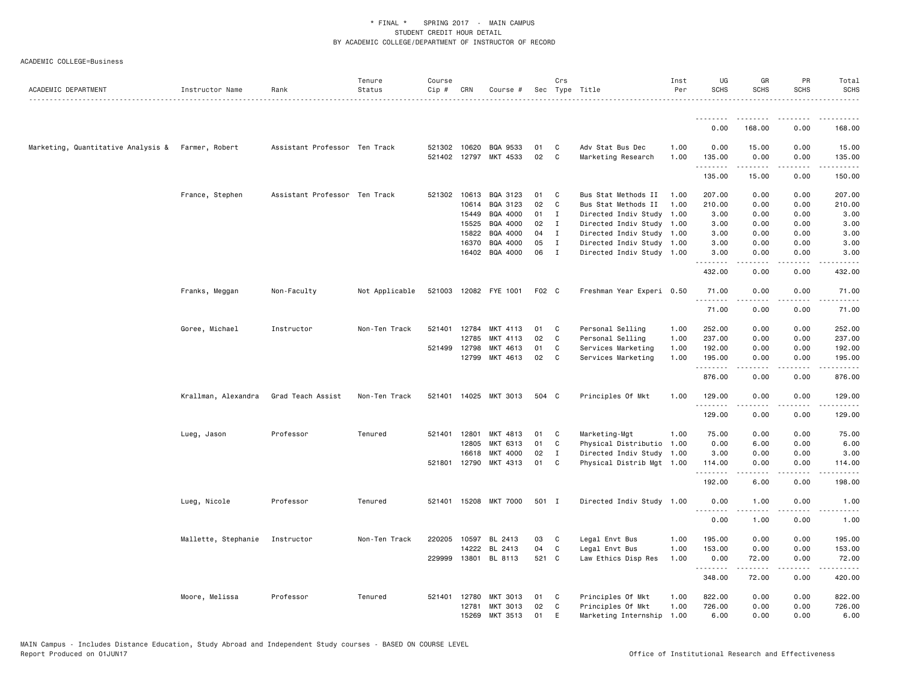| ACADEMIC DEPARTMENT                               | Instructor Name     | Rank                          | Tenure<br>Status | Course<br>Cip# | CRN          | Course #              |       | Crs          | Sec Type Title            | Inst<br>Per | UG<br><b>SCHS</b> | GR<br><b>SCHS</b> | PR<br><b>SCHS</b>                   | Total<br><b>SCHS</b><br>. |
|---------------------------------------------------|---------------------|-------------------------------|------------------|----------------|--------------|-----------------------|-------|--------------|---------------------------|-------------|-------------------|-------------------|-------------------------------------|---------------------------|
|                                                   |                     |                               |                  |                |              |                       |       |              |                           |             | <u>.</u>          |                   |                                     |                           |
|                                                   |                     |                               |                  |                |              |                       |       |              |                           |             | 0.00              | 168.00            | 0.00                                | 168.00                    |
| Marketing, Quantitative Analysis & Farmer, Robert |                     | Assistant Professor Ten Track |                  |                |              | 521302 10620 BQA 9533 | 01    | C            | Adv Stat Bus Dec          | 1.00        | 0.00              | 15.00             | 0.00                                | 15.00                     |
|                                                   |                     |                               |                  |                |              | 521402 12797 MKT 4533 | 02    | C            | Marketing Research        | 1.00        | 135.00<br>.       | 0.00<br>.         | 0.00<br>د د د د                     | 135.00<br>.               |
|                                                   |                     |                               |                  |                |              |                       |       |              |                           |             | 135.00            | 15.00             | 0.00                                | 150.00                    |
|                                                   | France, Stephen     | Assistant Professor Ten Track |                  | 521302         |              | 10613 BQA 3123        | 01    | C            | Bus Stat Methods II       | 1.00        | 207.00            | 0.00              | 0.00                                | 207.00                    |
|                                                   |                     |                               |                  |                | 10614        | BQA 3123              | 02    | C            | Bus Stat Methods II       | 1.00        | 210.00            | 0.00              | 0.00                                | 210.00                    |
|                                                   |                     |                               |                  |                | 15449        | BQA 4000              | 01    | $\mathbf{I}$ | Directed Indiv Study 1.00 |             | 3.00              | 0.00              | 0.00                                | 3.00                      |
|                                                   |                     |                               |                  |                | 15525        | BQA 4000              | 02    | $\mathbf{I}$ | Directed Indiv Study 1.00 |             | 3.00              | 0.00              | 0.00                                | 3.00                      |
|                                                   |                     |                               |                  |                | 15822        | BQA 4000              | 04    | $\mathbf{I}$ | Directed Indiv Study 1.00 |             | 3.00              | 0.00              | 0.00                                | 3.00                      |
|                                                   |                     |                               |                  |                | 16370        | BQA 4000              | 05    | I            | Directed Indiv Study 1.00 |             | 3.00              | 0.00              | 0.00                                | 3.00                      |
|                                                   |                     |                               |                  |                |              | 16402 BQA 4000        | 06    | $\mathbf{I}$ | Directed Indiv Study 1.00 |             | 3.00<br><u>.</u>  | 0.00<br>.         | 0.00<br>.                           | 3.00<br>.                 |
|                                                   |                     |                               |                  |                |              |                       |       |              |                           |             | 432.00            | 0.00              | 0.00                                | 432.00                    |
|                                                   | Franks, Meggan      | Non-Faculty                   | Not Applicable   |                |              | 521003 12082 FYE 1001 | F02 C |              | Freshman Year Experi 0.50 |             | 71.00<br>.        | 0.00<br>.         | 0.00<br>$\frac{1}{2}$               | 71.00<br>.                |
|                                                   |                     |                               |                  |                |              |                       |       |              |                           |             | 71.00             | 0.00              | 0.00                                | 71.00                     |
|                                                   | Goree, Michael      | Instructor                    | Non-Ten Track    |                | 521401 12784 | MKT 4113              | 01    | C            | Personal Selling          | 1.00        | 252.00            | 0.00              | 0.00                                | 252.00                    |
|                                                   |                     |                               |                  |                | 12785        | MKT 4113              | 02    | C            | Personal Selling          | 1.00        | 237.00            | 0.00              | 0.00                                | 237.00                    |
|                                                   |                     |                               |                  |                | 521499 12798 | MKT 4613              | 01    | C            | Services Marketing        | 1.00        | 192.00            | 0.00              | 0.00                                | 192.00                    |
|                                                   |                     |                               |                  |                |              | 12799 MKT 4613        | 02    | C            | Services Marketing        | 1.00        | 195.00<br>.       | 0.00<br>.         | 0.00<br>د د د د                     | 195.00<br><u>.</u>        |
|                                                   |                     |                               |                  |                |              |                       |       |              |                           |             | 876.00            | 0.00              | 0.00                                | 876.00                    |
|                                                   | Krallman, Alexandra | Grad Teach Assist             | Non-Ten Track    |                |              | 521401 14025 MKT 3013 | 504 C |              | Principles Of Mkt         | 1.00        | 129.00<br>.       | 0.00              | 0.00                                | 129.00                    |
|                                                   |                     |                               |                  |                |              |                       |       |              |                           |             | 129.00            | 0.00              | 0.00                                | 129.00                    |
|                                                   | Lueg, Jason         | Professor                     | Tenured          |                | 521401 12801 | MKT 4813              | 01    | C            | Marketing-Mgt             | 1.00        | 75.00             | 0.00              | 0.00                                | 75.00                     |
|                                                   |                     |                               |                  |                | 12805        | MKT 6313              | 01    | C            | Physical Distributio 1.00 |             | 0.00              | 6.00              | 0.00                                | 6.00                      |
|                                                   |                     |                               |                  |                | 16618        | MKT 4000              | 02    | $\mathbf I$  | Directed Indiv Study 1.00 |             | 3.00              | 0.00              | 0.00                                | 3.00                      |
|                                                   |                     |                               |                  |                |              | 521801 12790 MKT 4313 | 01    | C            | Physical Distrib Mgt 1.00 |             | 114.00<br>.       | 0.00              | 0.00<br>$\sim$ $\sim$ $\sim$ $\sim$ | 114.00<br>المستوطن        |
|                                                   |                     |                               |                  |                |              |                       |       |              |                           |             | 192.00            | 6.00              | 0.00                                | 198.00                    |
|                                                   | Lueg, Nicole        | Professor                     | Tenured          |                |              | 521401 15208 MKT 7000 | 501 I |              | Directed Indiv Study 1.00 |             | 0.00<br>.         | 1.00<br><b>.</b>  | 0.00<br>.                           | 1.00<br>.                 |
|                                                   |                     |                               |                  |                |              |                       |       |              |                           |             | 0.00              | 1.00              | 0.00                                | 1.00                      |
|                                                   | Mallette, Stephanie | Instructor                    | Non-Ten Track    | 220205         | 10597        | BL 2413               | 03    | C            | Legal Envt Bus            | 1.00        | 195.00            | 0.00              | 0.00                                | 195.00                    |
|                                                   |                     |                               |                  |                | 14222        | BL 2413               | 04    | C            | Legal Envt Bus            | 1.00        | 153.00            | 0.00              | 0.00                                | 153.00                    |
|                                                   |                     |                               |                  |                |              | 229999 13801 BL 8113  | 521 C |              | Law Ethics Disp Res       | 1.00        | 0.00<br>.         | 72.00<br>.        | 0.00<br>.                           | 72.00<br>$- - - - - -$    |
|                                                   |                     |                               |                  |                |              |                       |       |              |                           |             | 348.00            | 72.00             | 0.00                                | 420.00                    |
|                                                   | Moore, Melissa      | Professor                     | Tenured          | 521401         | 12780        | <b>MKT 3013</b>       | 01    | C            | Principles Of Mkt         | 1.00        | 822.00            | 0.00              | 0.00                                | 822.00                    |
|                                                   |                     |                               |                  |                | 12781        | MKT 3013              | 02    | C            | Principles Of Mkt         | 1.00        | 726.00            | 0.00              | 0.00                                | 726.00                    |
|                                                   |                     |                               |                  |                | 15269        | MKT 3513              | 01    | E            | Marketing Internship 1.00 |             | 6.00              | 0.00              | 0.00                                | 6.00                      |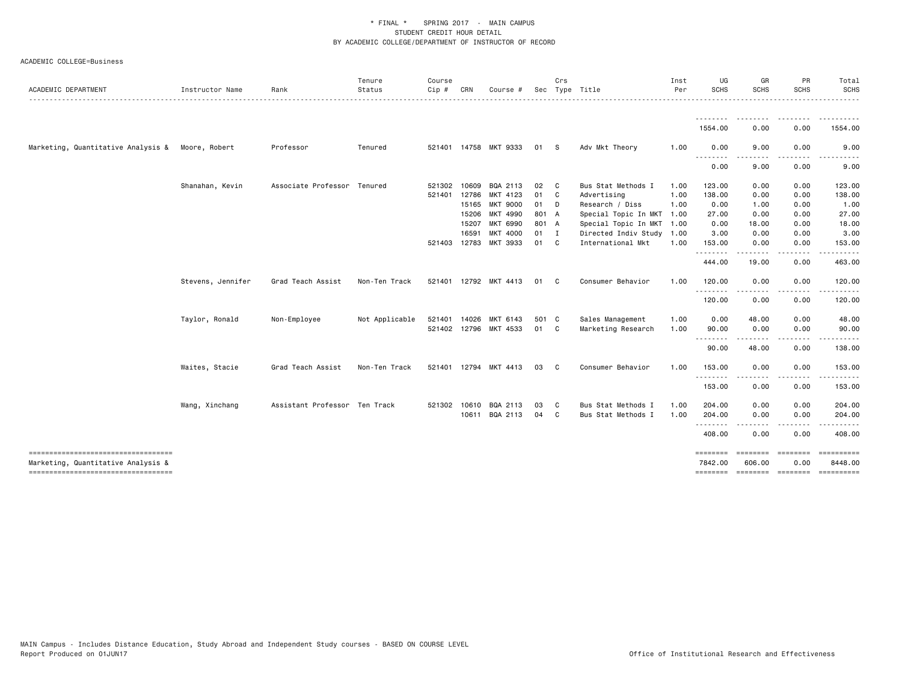| ACADEMIC DEPARTMENT                                                      | Instructor Name   | Rank                          | Tenure<br>Status | Course<br>Cip # | CRN   | Course #              |       | Crs          | Sec Type Title            | Inst<br>Per | UG<br>SCHS          | GR<br><b>SCHS</b>        | PR<br><b>SCHS</b> | Total<br><b>SCHS</b>                                                                                                                                                                                                                                                                                                                                                                                                                                                                   |
|--------------------------------------------------------------------------|-------------------|-------------------------------|------------------|-----------------|-------|-----------------------|-------|--------------|---------------------------|-------------|---------------------|--------------------------|-------------------|----------------------------------------------------------------------------------------------------------------------------------------------------------------------------------------------------------------------------------------------------------------------------------------------------------------------------------------------------------------------------------------------------------------------------------------------------------------------------------------|
|                                                                          |                   |                               |                  |                 |       |                       |       |              |                           |             | <u>.</u>            | --------                 |                   | .                                                                                                                                                                                                                                                                                                                                                                                                                                                                                      |
|                                                                          |                   |                               |                  |                 |       |                       |       |              |                           |             | 1554.00             | 0.00                     | 0.00              | 1554.00                                                                                                                                                                                                                                                                                                                                                                                                                                                                                |
| Marketing, Quantitative Analysis &                                       | Moore, Robert     | Professor                     | Tenured          |                 |       | 521401 14758 MKT 9333 | 01    | -S           | Adv Mkt Theory            | 1.00        | 0.00<br>.           | 9.00                     | 0.00              | 9.00                                                                                                                                                                                                                                                                                                                                                                                                                                                                                   |
|                                                                          |                   |                               |                  |                 |       |                       |       |              |                           |             | 0.00                | 9.00                     | 0.00              | 9.00                                                                                                                                                                                                                                                                                                                                                                                                                                                                                   |
|                                                                          | Shanahan, Kevin   | Associate Professor Tenured   |                  | 521302          | 10609 | BQA 2113              | 02    | C            | Bus Stat Methods I        | 1.00        | 123.00              | 0.00                     | 0.00              | 123.00                                                                                                                                                                                                                                                                                                                                                                                                                                                                                 |
|                                                                          |                   |                               |                  | 521401          | 12786 | MKT 4123              | 01 C  |              | Advertising               | 1.00        | 138.00              | 0.00                     | 0.00              | 138.00                                                                                                                                                                                                                                                                                                                                                                                                                                                                                 |
|                                                                          |                   |                               |                  |                 |       | 15165 MKT 9000        | 01 D  |              | Research / Diss           | 1.00        | 0.00                | 1.00                     | 0.00              | 1.00                                                                                                                                                                                                                                                                                                                                                                                                                                                                                   |
|                                                                          |                   |                               |                  |                 | 15206 | MKT 4990              | 801 A |              | Special Topic In MKT      | 1.00        | 27.00               | 0.00                     | 0.00              | 27.00                                                                                                                                                                                                                                                                                                                                                                                                                                                                                  |
|                                                                          |                   |                               |                  |                 | 15207 | MKT 6990              | 801 A |              | Special Topic In MKT      | 1.00        | 0.00                | 18.00                    | 0.00              | 18.00                                                                                                                                                                                                                                                                                                                                                                                                                                                                                  |
|                                                                          |                   |                               |                  |                 | 16591 | <b>MKT 4000</b>       | 01 I  |              | Directed Indiv Study 1.00 |             | 3.00                | 0.00                     | 0.00              | 3.00                                                                                                                                                                                                                                                                                                                                                                                                                                                                                   |
|                                                                          |                   |                               |                  | 521403 12783    |       | MKT 3933              | 01 C  |              | International Mkt         | 1.00        | 153.00<br>.         | 0.00                     | 0.00              | 153.00                                                                                                                                                                                                                                                                                                                                                                                                                                                                                 |
|                                                                          |                   |                               |                  |                 |       |                       |       |              |                           |             | 444.00              | 19.00                    | 0.00              | 463.00                                                                                                                                                                                                                                                                                                                                                                                                                                                                                 |
|                                                                          | Stevens, Jennifer | Grad Teach Assist             | Non-Ten Track    |                 |       | 521401 12792 MKT 4413 | 01    | C .          | Consumer Behavior         | 1.00        | 120.00<br>.         | 0.00                     | 0.00              | 120.00                                                                                                                                                                                                                                                                                                                                                                                                                                                                                 |
|                                                                          |                   |                               |                  |                 |       |                       |       |              |                           |             | 120.00              | 0.00                     | 0.00              | 120.00                                                                                                                                                                                                                                                                                                                                                                                                                                                                                 |
|                                                                          | Taylor, Ronald    | Non-Employee                  | Not Applicable   | 521401          | 14026 | MKT 6143              | 501 C |              | Sales Management          | 1.00        | 0.00                | 48.00                    | 0.00              | 48.00                                                                                                                                                                                                                                                                                                                                                                                                                                                                                  |
|                                                                          |                   |                               |                  |                 |       | 521402 12796 MKT 4533 | 01 C  |              | Marketing Research        | 1.00        | 90.00               | 0.00                     | 0.00              | 90.00                                                                                                                                                                                                                                                                                                                                                                                                                                                                                  |
|                                                                          |                   |                               |                  |                 |       |                       |       |              |                           |             | --------            |                          |                   |                                                                                                                                                                                                                                                                                                                                                                                                                                                                                        |
|                                                                          |                   |                               |                  |                 |       |                       |       |              |                           |             | 90.00               | 48.00                    | 0.00              | 138.00                                                                                                                                                                                                                                                                                                                                                                                                                                                                                 |
|                                                                          | Waites, Stacie    | Grad Teach Assist             | Non-Ten Track    |                 |       | 521401 12794 MKT 4413 | 03    | C.           | Consumer Behavior         | 1.00        | 153.00<br>.         | 0.00                     | 0.00              | 153.00                                                                                                                                                                                                                                                                                                                                                                                                                                                                                 |
|                                                                          |                   |                               |                  |                 |       |                       |       |              |                           |             | 153.00              | 0.00                     | 0.00              | 153.00                                                                                                                                                                                                                                                                                                                                                                                                                                                                                 |
|                                                                          | Wang, Xinchang    | Assistant Professor Ten Track |                  | 521302 10610    |       | BQA 2113              | 03    | $\mathbf{C}$ | Bus Stat Methods I        | 1.00        | 204.00              | 0.00                     | 0.00              | 204.00                                                                                                                                                                                                                                                                                                                                                                                                                                                                                 |
|                                                                          |                   |                               |                  |                 | 10611 | BQA 2113              | 04    | $\mathbf{C}$ | Bus Stat Methods I        | 1.00        | 204.00<br>--------  | 0.00                     | 0.00              | 204.00                                                                                                                                                                                                                                                                                                                                                                                                                                                                                 |
|                                                                          |                   |                               |                  |                 |       |                       |       |              |                           |             | 408.00              | 0.00                     | 0.00              | 408.00                                                                                                                                                                                                                                                                                                                                                                                                                                                                                 |
| ----------------------------------<br>Marketing, Quantitative Analysis & |                   |                               |                  |                 |       |                       |       |              |                           |             | ========<br>7842.00 | ========<br>606.00       | ========<br>0.00  | 8448.00                                                                                                                                                                                                                                                                                                                                                                                                                                                                                |
| -----------------------------------                                      |                   |                               |                  |                 |       |                       |       |              |                           |             |                     | -------- ------- ------- |                   | $\begin{array}{cccccccccc} \multicolumn{2}{c}{} & \multicolumn{2}{c}{} & \multicolumn{2}{c}{} & \multicolumn{2}{c}{} & \multicolumn{2}{c}{} & \multicolumn{2}{c}{} & \multicolumn{2}{c}{} & \multicolumn{2}{c}{} & \multicolumn{2}{c}{} & \multicolumn{2}{c}{} & \multicolumn{2}{c}{} & \multicolumn{2}{c}{} & \multicolumn{2}{c}{} & \multicolumn{2}{c}{} & \multicolumn{2}{c}{} & \multicolumn{2}{c}{} & \multicolumn{2}{c}{} & \multicolumn{2}{c}{} & \multicolumn{2}{c}{} & \mult$ |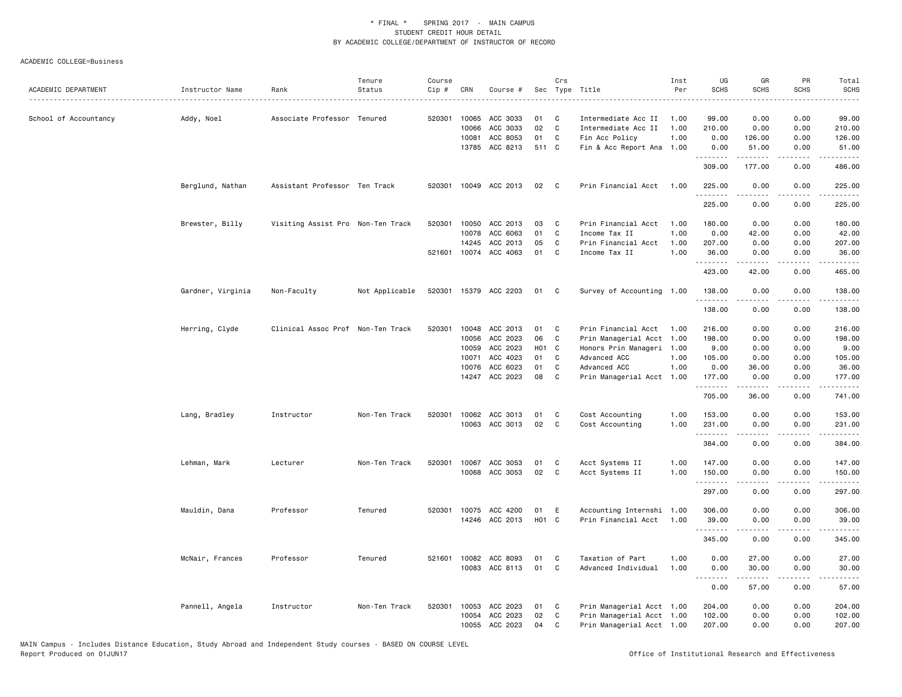| ACADEMIC DEPARTMENT   | Instructor Name   | Rank                              | Tenure<br>Status | Course<br>Cip # | CRN   | Course #                                |                    | Crs          | Sec Type Title                          | Inst<br>Per  | UG<br><b>SCHS</b>  | GR<br><b>SCHS</b>                                                                                                                                             | PR<br><b>SCHS</b> | Total<br><b>SCHS</b> |
|-----------------------|-------------------|-----------------------------------|------------------|-----------------|-------|-----------------------------------------|--------------------|--------------|-----------------------------------------|--------------|--------------------|---------------------------------------------------------------------------------------------------------------------------------------------------------------|-------------------|----------------------|
|                       |                   |                                   |                  |                 |       |                                         |                    |              |                                         |              |                    |                                                                                                                                                               |                   | $    -$              |
| School of Accountancy | Addy, Noel        | Associate Professor Tenured       |                  | 520301          | 10065 | ACC 3033                                | 01                 | C            | Intermediate Acc II                     | 1.00         | 99.00              | 0.00                                                                                                                                                          | 0.00              | 99.00                |
|                       |                   |                                   |                  |                 | 10066 | ACC 3033                                | 02                 | C            | Intermediate Acc II                     | 1.00         | 210.00             | 0.00                                                                                                                                                          | 0.00              | 210.00               |
|                       |                   |                                   |                  |                 | 10081 | ACC 8053                                | 01                 | C            | Fin Acc Policy                          | 1.00         | 0.00               | 126.00                                                                                                                                                        | 0.00              | 126.00               |
|                       |                   |                                   |                  |                 | 13785 | ACC 8213                                | 511 C              |              | Fin & Acc Report Ana 1.00               |              | 0.00<br>.          | 51.00<br>. <b>.</b>                                                                                                                                           | 0.00<br>.         | 51.00<br>.           |
|                       |                   |                                   |                  |                 |       |                                         |                    |              |                                         |              | 309.00             | 177.00                                                                                                                                                        | 0.00              | 486.00               |
|                       | Berglund, Nathan  | Assistant Professor Ten Track     |                  | 520301          |       | 10049 ACC 2013                          | 02                 | C.           | Prin Financial Acct                     | 1.00         | 225.00             | 0.00                                                                                                                                                          | 0.00              | 225.00               |
|                       |                   |                                   |                  |                 |       |                                         |                    |              |                                         |              | 225.00             | 0.00                                                                                                                                                          | 0.00              | 225.00               |
|                       | Brewster, Billy   | Visiting Assist Pro Non-Ten Track |                  | 520301          |       | 10050 ACC 2013                          | 03                 | C            | Prin Financial Acct                     | 1.00         | 180.00             | 0.00                                                                                                                                                          | 0.00              | 180.00               |
|                       |                   |                                   |                  |                 | 10078 | ACC 6063                                | 01                 | $\mathbb{C}$ | Income Tax II                           | 1.00         | 0.00               | 42.00                                                                                                                                                         | 0.00              | 42.00                |
|                       |                   |                                   |                  |                 | 14245 | ACC 2013                                | 05                 | C            | Prin Financial Acct                     | 1.00         | 207.00             | 0.00                                                                                                                                                          | 0.00              | 207.00               |
|                       |                   |                                   |                  |                 |       | 521601 10074 ACC 4063                   | 01                 | C            | Income Tax II                           | 1.00         | 36.00              | 0.00                                                                                                                                                          | 0.00              | 36.00<br>.           |
|                       |                   |                                   |                  |                 |       |                                         |                    |              |                                         |              | .<br>423.00        | 42.00                                                                                                                                                         | .<br>0.00         | 465.00               |
|                       | Gardner, Virginia | Non-Faculty                       | Not Applicable   |                 |       | 520301 15379 ACC 2203                   | 01                 | C            | Survey of Accounting 1.00               |              | 138.00<br><u>.</u> | 0.00                                                                                                                                                          | 0.00              | 138.00<br><u>.</u>   |
|                       |                   |                                   |                  |                 |       |                                         |                    |              |                                         |              | 138.00             | 0.00                                                                                                                                                          | 0.00              | 138.00               |
|                       | Herring, Clyde    | Clinical Assoc Prof Non-Ten Track |                  | 520301          | 10048 | ACC 2013                                | 01                 | C            | Prin Financial Acct                     | 1.00         | 216.00             | 0.00                                                                                                                                                          | 0.00              | 216.00               |
|                       |                   |                                   |                  |                 | 10056 | ACC 2023                                | 06                 | C            | Prin Managerial Acct 1.00               |              | 198.00             | 0.00                                                                                                                                                          | 0.00              | 198.00               |
|                       |                   |                                   |                  |                 | 10059 | ACC 2023                                | H <sub>0</sub> 1   | C            | Honors Prin Manageri 1.00               |              | 9.00               | 0.00                                                                                                                                                          | 0.00              | 9.00                 |
|                       |                   |                                   |                  |                 | 10071 | ACC 4023                                | 01                 | C            | Advanced ACC                            | 1.00         | 105.00             | 0.00                                                                                                                                                          | 0.00              | 105.00               |
|                       |                   |                                   |                  |                 | 10076 | ACC 6023                                | 01                 | C            | Advanced ACC                            | 1.00         | 0.00               | 36.00                                                                                                                                                         | 0.00              | 36.00                |
|                       |                   |                                   |                  |                 |       | 14247 ACC 2023                          | 08                 | C            | Prin Managerial Acct 1.00               |              | 177.00             | 0.00                                                                                                                                                          | 0.00              | 177.00               |
|                       |                   |                                   |                  |                 |       |                                         |                    |              |                                         |              | .<br>705.00        | $\frac{1}{2} \left( \frac{1}{2} \right) \left( \frac{1}{2} \right) \left( \frac{1}{2} \right) \left( \frac{1}{2} \right) \left( \frac{1}{2} \right)$<br>36.00 | .<br>0.00         | .<br>741.00          |
|                       | Lang, Bradley     | Instructor                        | Non-Ten Track    | 520301          |       | 10062 ACC 3013                          | 01                 | C            | Cost Accounting                         | 1.00         | 153.00             | 0.00                                                                                                                                                          | 0.00              | 153.00               |
|                       |                   |                                   |                  |                 |       | 10063 ACC 3013                          | 02                 | C            | Cost Accounting                         | 1.00         | 231.00             | 0.00                                                                                                                                                          | 0.00              | 231.00               |
|                       |                   |                                   |                  |                 |       |                                         |                    |              |                                         |              | .                  |                                                                                                                                                               | .                 | .                    |
|                       |                   |                                   |                  |                 |       |                                         |                    |              |                                         |              | 384.00             | 0.00                                                                                                                                                          | 0.00              | 384.00               |
|                       | Lehman, Mark      | Lecturer                          | Non-Ten Track    | 520301          |       | 10067 ACC 3053                          | 01                 | C            | Acct Systems II                         | 1.00         | 147.00             | 0.00                                                                                                                                                          | 0.00              | 147.00               |
|                       |                   |                                   |                  |                 |       | 10068 ACC 3053                          | 02                 | C            | Acct Systems II                         | 1.00         | 150.00             | 0.00                                                                                                                                                          | 0.00              | 150.00               |
|                       |                   |                                   |                  |                 |       |                                         |                    |              |                                         |              | .                  | .                                                                                                                                                             | .                 | .                    |
|                       |                   |                                   |                  |                 |       |                                         |                    |              |                                         |              | 297.00             | 0.00                                                                                                                                                          | 0.00              | 297.00               |
|                       | Mauldin, Dana     | Professor                         | Tenured          | 520301          | 10075 | ACC 4200                                | 01                 | E            | Accounting Internshi 1.00               |              | 306.00             | 0.00                                                                                                                                                          | 0.00              | 306.00               |
|                       |                   |                                   |                  |                 |       | 14246 ACC 2013                          | H <sub>0</sub> 1 C |              | Prin Financial Acct                     | 1.00         | 39.00              | 0.00                                                                                                                                                          | 0.00              | 39.00                |
|                       |                   |                                   |                  |                 |       |                                         |                    |              |                                         |              | 345.00             | 0.00                                                                                                                                                          | 0.00              | 345.00               |
|                       |                   |                                   |                  |                 |       |                                         |                    |              |                                         |              |                    |                                                                                                                                                               |                   |                      |
|                       | McNair, Frances   | Professor                         | Tenured          |                 |       | 521601 10082 ACC 8093<br>10083 ACC 8113 | 01<br>01           | C<br>C       | Taxation of Part<br>Advanced Individual | 1.00<br>1.00 | 0.00<br>0.00       | 27.00<br>30.00                                                                                                                                                | 0.00<br>0.00      | 27.00<br>30.00       |
|                       |                   |                                   |                  |                 |       |                                         |                    |              |                                         |              | <u>.</u>           | .                                                                                                                                                             | $- - - -$         | .                    |
|                       |                   |                                   |                  |                 |       |                                         |                    |              |                                         |              | 0.00               | 57.00                                                                                                                                                         | 0.00              | 57.00                |
|                       | Pannell, Angela   | Instructor                        | Non-Ten Track    | 520301          | 10053 | ACC 2023                                | 01                 | C            | Prin Managerial Acct 1.00               |              | 204.00             | 0.00                                                                                                                                                          | 0.00              | 204.00               |
|                       |                   |                                   |                  |                 | 10054 | ACC 2023                                | 02                 | C            | Prin Managerial Acct 1.00               |              | 102.00             | 0.00                                                                                                                                                          | 0.00              | 102.00               |
|                       |                   |                                   |                  |                 |       | 10055 ACC 2023                          | 04                 | C            | Prin Managerial Acct 1.00               |              | 207.00             | 0.00                                                                                                                                                          | 0.00              | 207.00               |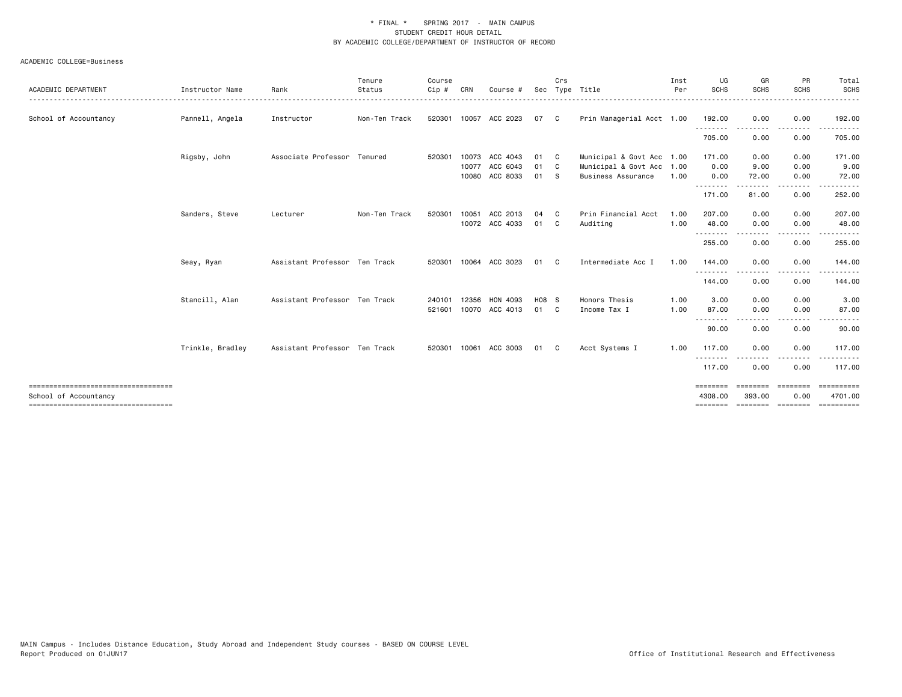|                                                               |                  |                               | Tenure        | Course |       |                       |       | Crs          |                           | Inst | UG                     | GR                  | PR                      | Total                       |
|---------------------------------------------------------------|------------------|-------------------------------|---------------|--------|-------|-----------------------|-------|--------------|---------------------------|------|------------------------|---------------------|-------------------------|-----------------------------|
| ACADEMIC DEPARTMENT                                           | Instructor Name  | Rank                          | Status        | Cip #  | CRN   | Course #              |       |              | Sec Type Title            | Per  | SCHS                   | <b>SCHS</b>         | <b>SCHS</b>             | <b>SCHS</b>                 |
| School of Accountancy                                         | Pannell, Angela  | Instructor                    | Non-Ten Track | 520301 |       | 10057 ACC 2023        | 07 C  |              | Prin Managerial Acct 1.00 |      | 192.00                 | 0.00                | 0.00                    | 192.00                      |
|                                                               |                  |                               |               |        |       |                       |       |              |                           |      | .<br>705.00            | 0.00                | 0.00                    | 705.00                      |
|                                                               | Rigsby, John     | Associate Professor Tenured   |               | 520301 | 10073 | ACC 4043              | 01    | $\mathbf{C}$ | Municipal & Govt Acc 1.00 |      | 171.00                 | 0.00                | 0.00                    | 171.00                      |
|                                                               |                  |                               |               |        | 10077 | ACC 6043              | 01    | $\mathbf{C}$ | Municipal & Govt Acc 1.00 |      | 0.00                   | 9.00                | 0.00                    | 9.00                        |
|                                                               |                  |                               |               |        | 10080 | ACC 8033              | 01    | - S          | <b>Business Assurance</b> | 1.00 | 0.00<br>--------       | 72.00               | 0.00                    | 72.00                       |
|                                                               |                  |                               |               |        |       |                       |       |              |                           |      | 171.00                 | 81.00               | 0.00                    | 252.00                      |
|                                                               | Sanders, Steve   | Lecturer                      | Non-Ten Track | 520301 | 10051 | ACC 2013              | 04    | C.           | Prin Financial Acct       | 1.00 | 207.00                 | 0.00                | 0.00                    | 207.00                      |
|                                                               |                  |                               |               |        |       | 10072 ACC 4033        | 01 C  |              | Auditing                  | 1.00 | 48.00<br>.             | 0.00                | 0.00<br>. <b>.</b>      | 48.00<br><u>.</u>           |
|                                                               |                  |                               |               |        |       |                       |       |              |                           |      | 255.00                 | 0.00                | 0.00                    | 255.00                      |
|                                                               | Seay, Ryan       | Assistant Professor Ten Track |               |        |       | 520301 10064 ACC 3023 | 01    | C.           | Intermediate Acc I        | 1.00 | 144.00                 | 0.00                | 0.00                    | 144.00                      |
|                                                               |                  |                               |               |        |       |                       |       |              |                           |      | 144.00                 | 0.00                | .<br>0.00               | 144.00                      |
|                                                               | Stancill, Alan   | Assistant Professor Ten Track |               | 240101 | 12356 | HON 4093              | H08 S |              | Honors Thesis             | 1.00 | 3.00                   | 0.00                | 0.00                    | 3.00                        |
|                                                               |                  |                               |               | 521601 |       | 10070 ACC 4013        | 01 C  |              | Income Tax I              | 1.00 | 87.00<br>$\frac{1}{2}$ | 0.00                | 0.00                    | 87.00                       |
|                                                               |                  |                               |               |        |       |                       |       |              |                           |      | 90.00                  | 0.00                | 0.00                    | 90.00                       |
|                                                               | Trinkle, Bradley | Assistant Professor Ten Track |               | 520301 |       | 10061 ACC 3003        | 01    | C.           | Acct Systems I            | 1.00 | 117.00                 | 0.00                | 0.00                    | 117.00                      |
|                                                               |                  |                               |               |        |       |                       |       |              |                           |      | <u>.</u><br>117.00     | 0.00                | 0.00                    | 117.00                      |
| ====================================<br>School of Accountancy |                  |                               |               |        |       |                       |       |              |                           |      | ========<br>4308,00    | ---------<br>393,00 | <b>EBBEBBEB</b><br>0.00 | <b>ESSESSEES</b><br>4701.00 |
| ====================================                          |                  |                               |               |        |       |                       |       |              |                           |      |                        | ========            | <b>CONSIDER</b>         | ==========                  |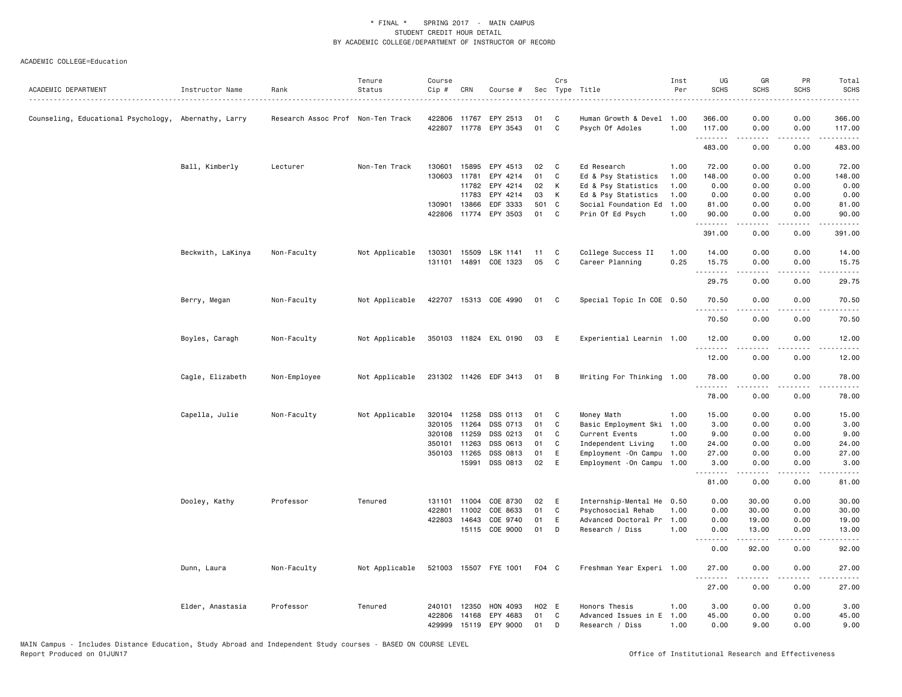#### ACADEMIC COLLEGE=Education

|                                                      |                   |                                   | Tenure         | Course       |              |                       |       | Crs |                            | Inst | UG                  | GR          | PR                                  | Total                                                                                                                             |
|------------------------------------------------------|-------------------|-----------------------------------|----------------|--------------|--------------|-----------------------|-------|-----|----------------------------|------|---------------------|-------------|-------------------------------------|-----------------------------------------------------------------------------------------------------------------------------------|
| ACADEMIC DEPARTMENT                                  | Instructor Name   | Rank                              | Status         | Cip #        | CRN          | Course #              |       |     | Sec Type Title             | Per  | <b>SCHS</b>         | <b>SCHS</b> | <b>SCHS</b>                         | <b>SCHS</b>                                                                                                                       |
| Counseling, Educational Psychology, Abernathy, Larry |                   | Research Assoc Prof Non-Ten Track |                |              | 422806 11767 | EPY 2513              | 01    | C   | Human Growth & Devel       | 1.00 | 366.00              | 0.00        | 0.00                                | 366.00                                                                                                                            |
|                                                      |                   |                                   |                |              |              | 422807 11778 EPY 3543 | 01    | C   | Psych Of Adoles            | 1.00 | 117.00<br>.         | 0.00<br>.   | 0.00<br>$   -$                      | 117.00<br>$- - - - - -$                                                                                                           |
|                                                      |                   |                                   |                |              |              |                       |       |     |                            |      | 483.00              | 0.00        | 0.00                                | 483.00                                                                                                                            |
|                                                      | Ball, Kimberly    | Lecturer                          | Non-Ten Track  | 130601       | 15895        | EPY 4513              | 02    | C   | Ed Research                | 1.00 | 72.00               | 0.00        | 0.00                                | 72.00                                                                                                                             |
|                                                      |                   |                                   |                | 130603       | 11781        | EPY 4214              | 01    | C   | Ed & Psy Statistics        | 1.00 | 148.00              | 0.00        | 0.00                                | 148.00                                                                                                                            |
|                                                      |                   |                                   |                |              | 11782        | EPY 4214              | 02    | К   | Ed & Psy Statistics        | 1.00 | 0.00                | 0.00        | 0.00                                | 0.00                                                                                                                              |
|                                                      |                   |                                   |                |              | 11783        | EPY 4214              | 03    | К   | Ed & Psy Statistics        | 1.00 | 0.00                | 0.00        | 0.00                                | 0.00                                                                                                                              |
|                                                      |                   |                                   |                |              | 130901 13866 | EDF 3333              | 501   | C   | Social Foundation Ed       | 1.00 | 81.00               | 0.00        | 0.00                                | 81.00                                                                                                                             |
|                                                      |                   |                                   |                | 422806       | 11774        | EPY 3503              | 01    | C   | Prin Of Ed Psych           | 1.00 | 90.00<br>. <b>.</b> | 0.00<br>.   | 0.00<br>$- - - -$                   | 90.00<br>$\frac{1}{2}$                                                                                                            |
|                                                      |                   |                                   |                |              |              |                       |       |     |                            |      | 391.00              | 0.00        | 0.00                                | 391.00                                                                                                                            |
|                                                      | Beckwith, LaKinya | Non-Faculty                       | Not Applicable | 130301       | 15509        | LSK 1141              | 11    | C   | College Success II         | 1.00 | 14.00               | 0.00        | 0.00                                | 14.00                                                                                                                             |
|                                                      |                   |                                   |                | 131101       | 14891        | COE 1323              | 05    | C   | Career Planning            | 0.25 | 15.75<br><u>.</u>   | 0.00<br>.   | 0.00<br>$- - - -$                   | 15.75<br>.                                                                                                                        |
|                                                      |                   |                                   |                |              |              |                       |       |     |                            |      | 29.75               | 0.00        | 0.00                                | 29.75                                                                                                                             |
|                                                      | Berry, Megan      | Non-Faculty                       | Not Applicable |              |              | 422707 15313 COE 4990 | 01    | C   | Special Topic In COE 0.50  |      | 70.50               | 0.00        | 0.00                                | 70.50                                                                                                                             |
|                                                      |                   |                                   |                |              |              |                       |       |     |                            |      | 70.50               | .<br>0.00   | $\sim$ $\sim$ $\sim$<br>0.00        | المتماما<br>70.50                                                                                                                 |
|                                                      | Boyles, Caragh    | Non-Faculty                       | Not Applicable |              |              | 350103 11824 EXL 0190 | 03    | E   | Experiential Learnin 1.00  |      | 12.00               | 0.00        | 0.00                                | 12.00                                                                                                                             |
|                                                      |                   |                                   |                |              |              |                       |       |     |                            |      | .<br>12.00          | .<br>0.00   | .<br>0.00                           | .<br>12.00                                                                                                                        |
|                                                      | Cagle, Elizabeth  | Non-Employee                      | Not Applicable |              |              | 231302 11426 EDF 3413 | 01    | B   | Writing For Thinking 1.00  |      | 78.00               | 0.00        | 0.00                                | 78.00                                                                                                                             |
|                                                      |                   |                                   |                |              |              |                       |       |     |                            |      | .<br>78.00          | .<br>0.00   | .<br>0.00                           | .<br>78.00                                                                                                                        |
|                                                      | Capella, Julie    | Non-Faculty                       | Not Applicable | 320104       | 11258        | DSS 0113              | 01    | C   | Money Math                 | 1.00 | 15.00               | 0.00        | 0.00                                | 15.00                                                                                                                             |
|                                                      |                   |                                   |                | 320105       | 11264        | DSS 0713              | 01    | C   | Basic Employment Ski       | 1.00 | 3.00                | 0.00        | 0.00                                | 3.00                                                                                                                              |
|                                                      |                   |                                   |                |              | 320108 11259 | DSS 0213              | 01    | C   | Current Events             | 1.00 | 9.00                | 0.00        | 0.00                                | 9.00                                                                                                                              |
|                                                      |                   |                                   |                | 350101       | 11263        | DSS 0613              | 01    | C   | Independent Living         | 1.00 | 24.00               | 0.00        | 0.00                                | 24.00                                                                                                                             |
|                                                      |                   |                                   |                | 350103 11265 |              | DSS 0813              | 01    | E   | Employment - On Campu      | 1.00 | 27.00               | 0.00        | 0.00                                | 27.00                                                                                                                             |
|                                                      |                   |                                   |                |              | 15991        | DSS 0813              | 02    | E   | Employment - On Campu 1.00 |      | 3.00<br>.           | 0.00<br>.   | 0.00<br>$\sim$ $\sim$ $\sim$        | 3.00<br>$\frac{1}{2} \left( \frac{1}{2} \right) \left( \frac{1}{2} \right) \left( \frac{1}{2} \right) \left( \frac{1}{2} \right)$ |
|                                                      |                   |                                   |                |              |              |                       |       |     |                            |      | 81.00               | 0.00        | 0.00                                | 81.00                                                                                                                             |
|                                                      | Dooley, Kathy     | Professor                         | Tenured        |              | 131101 11004 | COE 8730              | 02    | E   | Internship-Mental He       | 0.50 | 0.00                | 30.00       | 0.00                                | 30.00                                                                                                                             |
|                                                      |                   |                                   |                | 422801       | 11002        | COE 8633              | 01    | C   | Psychosocial Rehab         | 1.00 | 0.00                | 30.00       | 0.00                                | 30.00                                                                                                                             |
|                                                      |                   |                                   |                | 422803       | 14643        | COE 9740              | 01    | E   | Advanced Doctoral Pr       | 1.00 | 0.00                | 19.00       | 0.00                                | 19.00                                                                                                                             |
|                                                      |                   |                                   |                |              |              | 15115 COE 9000        | 01    | D   | Research / Diss            | 1.00 | 0.00<br>.           | 13.00<br>.  | 0.00<br>$\sim$ $\sim$ $\sim$        | 13.00<br>$\frac{1}{2}$                                                                                                            |
|                                                      |                   |                                   |                |              |              |                       |       |     |                            |      | 0.00                | 92.00       | 0.00                                | 92.00                                                                                                                             |
|                                                      | Dunn, Laura       | Non-Faculty                       | Not Applicable |              |              | 521003 15507 FYE 1001 | F04 C |     | Freshman Year Experi 1.00  |      | 27.00<br>.          | 0.00        | 0.00<br>$\sim$ $\sim$ $\sim$ $\sim$ | 27.00                                                                                                                             |
|                                                      |                   |                                   |                |              |              |                       |       |     |                            |      | 27.00               | 0.00        | 0.00                                | 27.00                                                                                                                             |
|                                                      | Elder, Anastasia  | Professor                         | Tenured        | 240101       | 12350        | HON 4093              | H02 E |     | Honors Thesis              | 1.00 | 3.00                | 0.00        | 0.00                                | 3.00                                                                                                                              |
|                                                      |                   |                                   |                | 422806       | 14168        | EPY 4683              | 01    | C   | Advanced Issues in E       | 1.00 | 45.00               | 0.00        | 0.00                                | 45.00                                                                                                                             |
|                                                      |                   |                                   |                | 429999       |              | 15119 EPY 9000        | 01    | D   | Research / Diss            | 1.00 | 0.00                | 9.00        | 0.00                                | 9.00                                                                                                                              |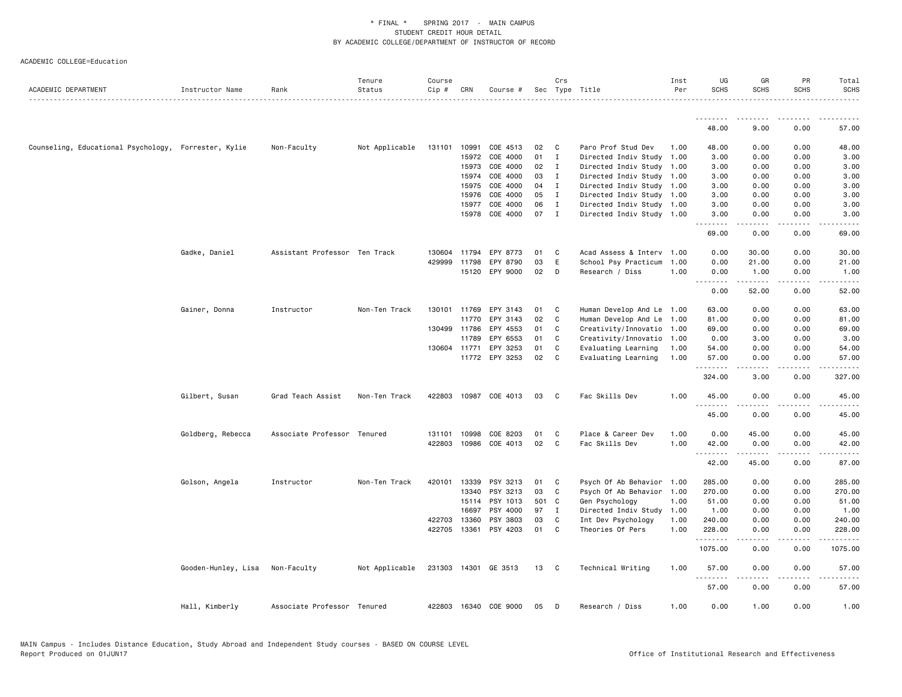|                                                      |                     |                               | Tenure         | Course |              |                       |       | Crs          |                           | Inst | UG                  | GR                    | PR          | Total                 |
|------------------------------------------------------|---------------------|-------------------------------|----------------|--------|--------------|-----------------------|-------|--------------|---------------------------|------|---------------------|-----------------------|-------------|-----------------------|
| ACADEMIC DEPARTMENT                                  | Instructor Name     | Rank                          | Status         | Cip #  | CRN          | Course #              |       |              | Sec Type Title            | Per  | <b>SCHS</b>         | <b>SCHS</b>           | <b>SCHS</b> | <b>SCHS</b>           |
|                                                      |                     |                               |                |        |              |                       |       |              |                           |      | .                   |                       |             |                       |
|                                                      |                     |                               |                |        |              |                       |       |              |                           |      | 48.00               | 9.00                  | 0.00        | 57.00                 |
| Counseling, Educational Psychology, Forrester, Kylie |                     | Non-Faculty                   | Not Applicable |        | 131101 10991 | COE 4513              | 02    | C            | Paro Prof Stud Dev        | 1.00 | 48.00               | 0.00                  | 0.00        | 48.00                 |
|                                                      |                     |                               |                |        | 15972        | COE 4000              | 01    | $\mathbf{I}$ | Directed Indiv Study      | 1.00 | 3.00                | 0.00                  | 0.00        | 3.00                  |
|                                                      |                     |                               |                |        | 15973        | COE 4000              | 02    | $\mathbf{I}$ | Directed Indiv Study      | 1.00 | 3.00                | 0.00                  | 0.00        | 3.00                  |
|                                                      |                     |                               |                |        | 15974        | COE 4000              | 03    | I            | Directed Indiv Study 1.00 |      | 3.00                | 0.00                  | 0.00        | 3.00                  |
|                                                      |                     |                               |                |        | 15975        | COE 4000              | 04    | $\mathbf{I}$ | Directed Indiv Study 1.00 |      | 3.00                | 0.00                  | 0.00        | 3.00                  |
|                                                      |                     |                               |                |        | 15976        | COE 4000              | 05    | $\mathbf{I}$ | Directed Indiv Study      | 1.00 | 3.00                | 0.00                  | 0.00        | 3.00                  |
|                                                      |                     |                               |                |        | 15977        | COE 4000              | 06    | $\mathbf{I}$ | Directed Indiv Study 1.00 |      | 3.00                | 0.00                  | 0.00        | 3.00                  |
|                                                      |                     |                               |                |        | 15978        | COE 4000              | 07    | $\mathbf{I}$ | Directed Indiv Study 1.00 |      | 3.00<br>.           | 0.00<br>.             | 0.00<br>.   | 3.00<br>$\frac{1}{2}$ |
|                                                      |                     |                               |                |        |              |                       |       |              |                           |      | 69.00               | 0.00                  | 0.00        | 69.00                 |
|                                                      | Gadke, Daniel       | Assistant Professor Ten Track |                | 130604 | 11794        | EPY 8773              | 01    | C            | Acad Assess & Interv      | 1.00 | 0.00                | 30.00                 | 0.00        | 30.00                 |
|                                                      |                     |                               |                | 429999 | 11798        | EPY 8790              | 03    | E            | School Psy Practicum      | 1.00 | 0.00                | 21.00                 | 0.00        | 21.00                 |
|                                                      |                     |                               |                |        |              | 15120 EPY 9000        | 02    | D            | Research / Diss           | 1.00 | 0.00<br>.           | 1.00<br>.             | 0.00<br>.   | 1.00<br>.             |
|                                                      |                     |                               |                |        |              |                       |       |              |                           |      | 0.00                | 52.00                 | 0.00        | 52.00                 |
|                                                      | Gainer, Donna       | Instructor                    | Non-Ten Track  | 130101 | 11769        | EPY 3143              | 01    | C            | Human Develop And Le      | 1.00 | 63.00               | 0.00                  | 0.00        | 63.00                 |
|                                                      |                     |                               |                |        | 11770        | EPY 3143              | 02    | C            | Human Develop And Le      | 1.00 | 81.00               | 0.00                  | 0.00        | 81.00                 |
|                                                      |                     |                               |                |        | 130499 11786 | EPY 4553              | 01    | C            | Creativity/Innovatio      | 1.00 | 69.00               | 0.00                  | 0.00        | 69.00                 |
|                                                      |                     |                               |                |        | 11789        | EPY 6553              | 01    | C            | Creativity/Innovatio      | 1.00 | 0.00                | 3.00                  | 0.00        | 3.00                  |
|                                                      |                     |                               |                |        | 130604 11771 | EPY 3253              | 01    | C            | Evaluating Learning       | 1.00 | 54.00               | 0.00                  | 0.00        | 54.00                 |
|                                                      |                     |                               |                |        |              | 11772 EPY 3253        | 02    | C            | Evaluating Learning       | 1.00 | 57.00<br>. <b>.</b> | 0.00<br>.             | 0.00<br>.   | 57.00<br>.            |
|                                                      |                     |                               |                |        |              |                       |       |              |                           |      | 324.00              | 3.00                  | 0.00        | 327.00                |
|                                                      | Gilbert, Susan      | Grad Teach Assist             | Non-Ten Track  | 422803 | 10987        | COE 4013              | 03    | C            | Fac Skills Dev            | 1.00 | 45.00               | 0.00                  | 0.00        | 45.00                 |
|                                                      |                     |                               |                |        |              |                       |       |              |                           |      | .<br>45.00          | 0.00                  | 0.00        | 45.00                 |
|                                                      | Goldberg, Rebecca   | Associate Professor Tenured   |                | 131101 | 10998        | COE 8203              | 01    | C            | Place & Career Dev        | 1.00 | 0.00                | 45.00                 | 0.00        | 45.00                 |
|                                                      |                     |                               |                | 422803 | 10986        | COE 4013              | 02    | C            | Fac Skills Dev            | 1.00 | 42.00<br>.          | 0.00<br>$\frac{1}{2}$ | 0.00<br>.   | 42.00<br>.            |
|                                                      |                     |                               |                |        |              |                       |       |              |                           |      | 42.00               | 45.00                 | 0.00        | 87.00                 |
|                                                      | Golson, Angela      | Instructor                    | Non-Ten Track  | 420101 | 13339        | PSY 3213              | 01    | C            | Psych Of Ab Behavior      | 1.00 | 285.00              | 0.00                  | 0.00        | 285.00                |
|                                                      |                     |                               |                |        | 13340        | PSY 3213              | 03    | C            | Psych Of Ab Behavior      | 1.00 | 270.00              | 0.00                  | 0.00        | 270.00                |
|                                                      |                     |                               |                |        | 15114        | PSY 1013              | 501 C |              | Gen Psychology            | 1.00 | 51.00               | 0.00                  | 0.00        | 51.00                 |
|                                                      |                     |                               |                |        | 16697        | PSY 4000              | 97    | $\mathbf{I}$ | Directed Indiv Study      | 1.00 | 1.00                | 0.00                  | 0.00        | 1.00                  |
|                                                      |                     |                               |                | 422703 | 13360        | PSY 3803              | 03    | C            | Int Dev Psychology        | 1.00 | 240.00              | 0.00                  | 0.00        | 240.00                |
|                                                      |                     |                               |                |        | 422705 13361 | PSY 4203              | 01    | C            | Theories Of Pers          | 1.00 | 228.00<br>.         | 0.00<br>.             | 0.00<br>.   | 228.00<br>.           |
|                                                      |                     |                               |                |        |              |                       |       |              |                           |      | 1075.00             | 0.00                  | 0.00        | 1075.00               |
|                                                      | Gooden-Hunley, Lisa | Non-Faculty                   | Not Applicable |        |              | 231303 14301 GE 3513  | 13    | C            | Technical Writing         | 1.00 | 57.00<br>.          | 0.00                  | 0.00        | 57.00                 |
|                                                      |                     |                               |                |        |              |                       |       |              |                           |      | 57.00               | 0.00                  | 0.00        | 57.00                 |
|                                                      | Hall, Kimberly      | Associate Professor Tenured   |                |        |              | 422803 16340 COE 9000 | 05    | D            | Research / Diss           | 1.00 | 0.00                | 1.00                  | 0.00        | 1.00                  |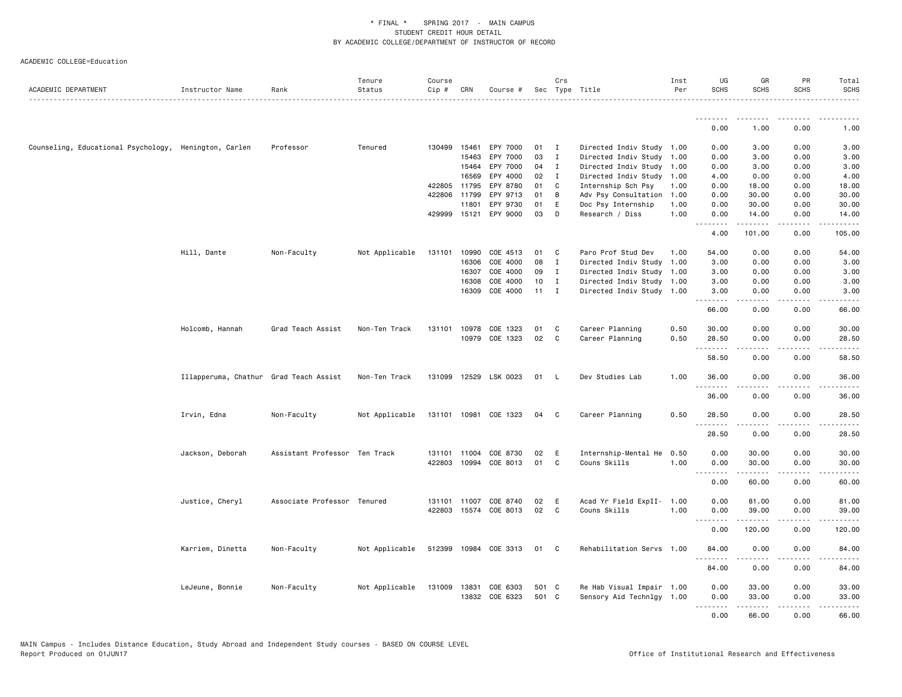| ACADEMIC DEPARTMENT                                   | Instructor Name                        | Rank                          | Tenure<br>Status | Course<br>Cip # | CRN          | Course #              |       | Crs          | Sec Type Title                            | Inst<br>Per | UG<br><b>SCHS</b>            | GR<br><b>SCHS</b>    | PR<br><b>SCHS</b>                                                                                                                 | Total<br><b>SCHS</b>   |
|-------------------------------------------------------|----------------------------------------|-------------------------------|------------------|-----------------|--------------|-----------------------|-------|--------------|-------------------------------------------|-------------|------------------------------|----------------------|-----------------------------------------------------------------------------------------------------------------------------------|------------------------|
|                                                       |                                        |                               |                  |                 |              |                       |       |              |                                           |             | .                            |                      |                                                                                                                                   |                        |
|                                                       |                                        |                               |                  |                 |              |                       |       |              |                                           |             | 0.00                         | 1.00                 | 0.00                                                                                                                              | 1.00                   |
| Counseling, Educational Psychology, Henington, Carlen |                                        | Professor                     | Tenured          | 130499          | 15461        | EPY 7000              | 01    | <b>I</b>     | Directed Indiv Study 1.00                 |             | 0.00                         | 3.00                 | 0.00                                                                                                                              | 3.00                   |
|                                                       |                                        |                               |                  |                 | 15463        | EPY 7000              | 03    | $\mathbf{I}$ | Directed Indiv Study 1.00                 |             | 0.00                         | 3.00                 | 0.00                                                                                                                              | 3.00                   |
|                                                       |                                        |                               |                  |                 | 15464        | EPY 7000              | 04    | $\mathbf{I}$ | Directed Indiv Study                      | 1.00        | 0.00                         | 3.00                 | 0.00                                                                                                                              | 3.00                   |
|                                                       |                                        |                               |                  |                 | 16569        | EPY 4000              | 02    | I            | Directed Indiv Study                      | 1.00        | 4.00                         | 0.00                 | 0.00                                                                                                                              | 4.00                   |
|                                                       |                                        |                               |                  |                 | 422805 11795 | EPY 8780              | 01    | C            | Internship Sch Psy                        | 1.00        | 0.00                         | 18.00                | 0.00                                                                                                                              | 18.00                  |
|                                                       |                                        |                               |                  | 422806          | 11799        | EPY 9713              | 01    | В            | Adv Psy Consultation                      | 1.00        | 0.00                         | 30.00                | 0.00                                                                                                                              | 30.00                  |
|                                                       |                                        |                               |                  |                 | 11801        | EPY 9730              | 01    | E            | Doc Psy Internship                        | 1.00        | 0.00                         | 30.00                | 0.00                                                                                                                              | 30.00                  |
|                                                       |                                        |                               |                  |                 | 429999 15121 | EPY 9000              | 03    | D            | Research / Diss                           | 1.00        | 0.00<br>.                    | 14.00<br>.           | 0.00<br>.                                                                                                                         | 14.00<br>.             |
|                                                       |                                        |                               |                  |                 |              |                       |       |              |                                           |             | 4.00                         | 101.00               | 0.00                                                                                                                              | 105.00                 |
|                                                       | Hill, Dante                            | Non-Faculty                   | Not Applicable   | 131101          | 10990        | COE 4513              | 01    | C            | Paro Prof Stud Dev                        | 1.00        | 54.00                        | 0.00                 | 0.00                                                                                                                              | 54.00                  |
|                                                       |                                        |                               |                  |                 | 16306        | COE 4000              | 08    | $\mathbf{I}$ | Directed Indiv Study                      | 1.00        | 3.00                         | 0.00                 | 0.00                                                                                                                              | 3.00                   |
|                                                       |                                        |                               |                  |                 | 16307        | COE 4000              | 09    | I            | Directed Indiv Study 1.00                 |             | 3.00                         | 0.00                 | 0.00                                                                                                                              | 3.00                   |
|                                                       |                                        |                               |                  |                 | 16308        | COE 4000              | 10    | $\mathbf I$  | Directed Indiv Study 1.00                 |             | 3.00                         | 0.00                 | 0.00                                                                                                                              | 3.00                   |
|                                                       |                                        |                               |                  |                 | 16309        | COE 4000              | 11    | $\mathbf{I}$ | Directed Indiv Study 1.00                 |             | 3.00<br>.                    | 0.00<br>.            | 0.00<br>$\frac{1}{2} \left( \frac{1}{2} \right) \left( \frac{1}{2} \right) \left( \frac{1}{2} \right) \left( \frac{1}{2} \right)$ | 3.00<br>$\frac{1}{2}$  |
|                                                       |                                        |                               |                  |                 |              |                       |       |              |                                           |             | 66.00                        | 0.00                 | 0.00                                                                                                                              | 66.00                  |
|                                                       | Holcomb, Hannah                        | Grad Teach Assist             | Non-Ten Track    | 131101          | 10978        | COE 1323              | 01    | C            | Career Planning                           | 0.50        | 30.00                        | 0.00                 | 0.00                                                                                                                              | 30.00                  |
|                                                       |                                        |                               |                  |                 |              | 10979 COE 1323        | 02    | C            | Career Planning                           | 0.50        | 28.50                        | 0.00                 | 0.00                                                                                                                              | 28.50                  |
|                                                       |                                        |                               |                  |                 |              |                       |       |              |                                           |             | .<br>58.50                   | .<br>0.00            | $  -$<br>0.00                                                                                                                     | $\frac{1}{2}$<br>58.50 |
|                                                       | Illapperuma, Chathur Grad Teach Assist |                               | Non-Ten Track    |                 |              | 131099 12529 LSK 0023 | 01    | - L          | Dev Studies Lab                           | 1.00        | 36.00                        | 0.00                 | 0.00                                                                                                                              | 36.00                  |
|                                                       |                                        |                               |                  |                 |              |                       |       |              |                                           |             | .<br>36.00                   | .<br>0.00            | . <u>. .</u><br>0.00                                                                                                              | .<br>36.00             |
|                                                       | Irvin, Edna                            | Non-Faculty                   | Not Applicable   |                 |              | 131101 10981 COE 1323 | 04    | C            | Career Planning                           | 0.50        | 28.50                        | 0.00                 | 0.00                                                                                                                              | 28.50                  |
|                                                       |                                        |                               |                  |                 |              |                       |       |              |                                           |             | .<br>28.50                   | $- - - - -$<br>0.00  | .<br>0.00                                                                                                                         | .<br>28.50             |
|                                                       |                                        |                               |                  |                 |              |                       |       |              |                                           |             |                              |                      |                                                                                                                                   |                        |
|                                                       | Jackson, Deborah                       | Assistant Professor Ten Track |                  | 131101          | 11004        | COE 8730              | 02    | E            | Internship-Mental He                      | 0.50        | 0.00                         | 30.00                | 0.00                                                                                                                              | 30.00                  |
|                                                       |                                        |                               |                  | 422803          |              | 10994 COE 8013        | 01    | C            | Couns Skills                              | 1.00        | 0.00                         | 30.00                | 0.00                                                                                                                              | 30.00                  |
|                                                       |                                        |                               |                  |                 |              |                       |       |              |                                           |             | $\sim$ $\sim$ $\sim$<br>0.00 | $- - - - -$<br>60.00 | $\frac{1}{2}$<br>0.00                                                                                                             | 60.00                  |
|                                                       |                                        | Associate Professor Tenured   |                  |                 |              | 131101 11007 COE 8740 | 02    | E            |                                           |             | 0.00                         | 81.00                | 0.00                                                                                                                              | 81.00                  |
|                                                       | Justice, Cheryl                        |                               |                  | 422803          |              | 15574 COE 8013        | 02    | C            | Acad Yr Field ExpII- 1.00<br>Couns Skills | 1.00        | 0.00                         | 39.00                | 0.00                                                                                                                              | 39.00                  |
|                                                       |                                        |                               |                  |                 |              |                       |       |              |                                           |             |                              |                      |                                                                                                                                   |                        |
|                                                       |                                        |                               |                  |                 |              |                       |       |              |                                           |             | 0.00                         | 120.00               | 0.00                                                                                                                              | 120.00                 |
|                                                       | Karriem, Dinetta                       | Non-Faculty                   | Not Applicable   |                 |              | 512399 10984 COE 3313 | 01    | C            | Rehabilitation Servs 1.00                 |             | 84.00                        | 0.00                 | 0.00                                                                                                                              | 84.00                  |
|                                                       |                                        |                               |                  |                 |              |                       |       |              |                                           |             | 84.00                        | 0.00                 | 0.00                                                                                                                              | 84.00                  |
|                                                       | LeJeune, Bonnie                        | Non-Faculty                   | Not Applicable   |                 | 131009 13831 | COE 6303              | 501 C |              | Re Hab Visual Impair 1.00                 |             | 0.00                         | 33.00                | 0.00                                                                                                                              | 33.00                  |
|                                                       |                                        |                               |                  |                 |              | 13832 COE 6323        | 501 C |              | Sensory Aid Technlgy 1.00                 |             | 0.00                         | 33.00                | 0.00                                                                                                                              | 33.00                  |
|                                                       |                                        |                               |                  |                 |              |                       |       |              |                                           |             | .                            | .                    | .                                                                                                                                 | .                      |
|                                                       |                                        |                               |                  |                 |              |                       |       |              |                                           |             | 0.00                         | 66.00                | 0.00                                                                                                                              | 66.00                  |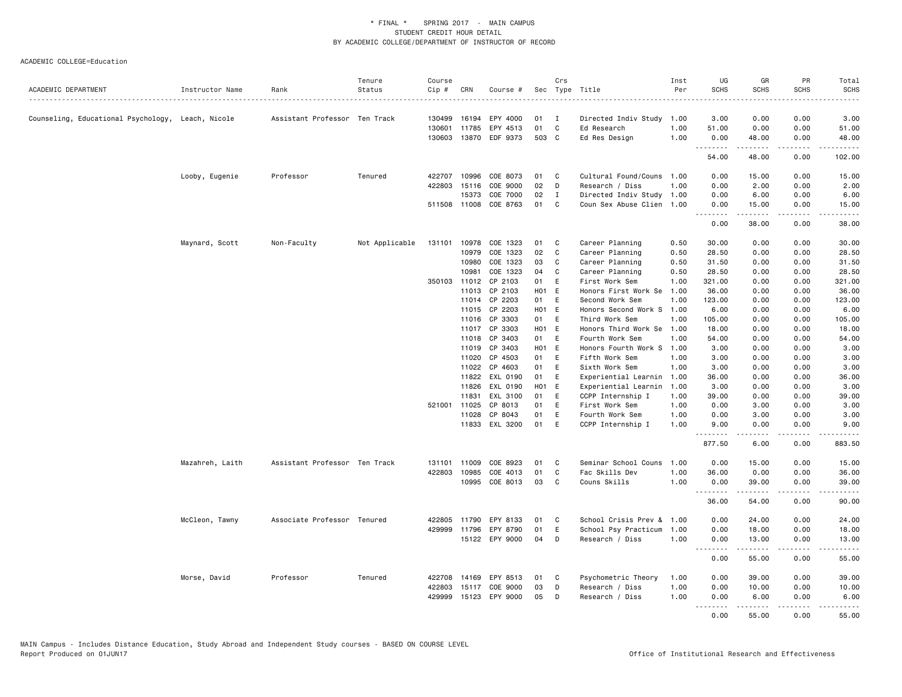| ACADEMIC DEPARTMENT                               | Instructor Name | Rank                          | Tenure<br>Status | Course<br>Cip # | CRN          | Course #              |       | Crs          | Sec Type Title            | Inst<br>Per | UG<br><b>SCHS</b> | GR<br><b>SCHS</b>                                                                                                                                            | PR<br><b>SCHS</b> | Total<br><b>SCHS</b>                                                                                                                                         |
|---------------------------------------------------|-----------------|-------------------------------|------------------|-----------------|--------------|-----------------------|-------|--------------|---------------------------|-------------|-------------------|--------------------------------------------------------------------------------------------------------------------------------------------------------------|-------------------|--------------------------------------------------------------------------------------------------------------------------------------------------------------|
|                                                   |                 |                               |                  |                 |              |                       |       |              |                           |             |                   |                                                                                                                                                              |                   | $- - - -$                                                                                                                                                    |
| Counseling, Educational Psychology, Leach, Nicole |                 | Assistant Professor Ten Track |                  | 130499          | 16194        | EPY 4000              | 01    | I            | Directed Indiv Study 1.00 |             | 3.00              | 0.00                                                                                                                                                         | 0.00              | 3.00                                                                                                                                                         |
|                                                   |                 |                               |                  |                 | 130601 11785 | EPY 4513              | 01    | C            | Ed Research               | 1.00        | 51.00             | 0.00                                                                                                                                                         | 0.00              | 51.00                                                                                                                                                        |
|                                                   |                 |                               |                  |                 | 130603 13870 | EDF 9373              | 503 C |              | Ed Res Design             | 1.00        | 0.00<br>.         | 48.00<br>.                                                                                                                                                   | 0.00<br>.         | 48.00<br>.                                                                                                                                                   |
|                                                   |                 |                               |                  |                 |              |                       |       |              |                           |             | 54.00             | 48.00                                                                                                                                                        | 0.00              | 102.00                                                                                                                                                       |
|                                                   | Looby, Eugenie  | Professor                     | Tenured          |                 | 422707 10996 | COE 8073              | 01    | C            | Cultural Found/Couns 1.00 |             | 0.00              | 15.00                                                                                                                                                        | 0.00              | 15.00                                                                                                                                                        |
|                                                   |                 |                               |                  |                 | 422803 15116 | COE 9000              | 02    | D            | Research / Diss           | 1.00        | 0.00              | 2.00                                                                                                                                                         | 0.00              | 2.00                                                                                                                                                         |
|                                                   |                 |                               |                  |                 | 15373        | COE 7000              | 02    | I            | Directed Indiv Study 1.00 |             | 0.00              | 6.00                                                                                                                                                         | 0.00              | 6.00                                                                                                                                                         |
|                                                   |                 |                               |                  | 511508 11008    |              | COE 8763              | 01    | C            | Coun Sex Abuse Clien 1.00 |             | 0.00<br><u>.</u>  | 15.00                                                                                                                                                        | 0.00              | 15.00                                                                                                                                                        |
|                                                   |                 |                               |                  |                 |              |                       |       |              |                           |             | 0.00              | 38.00                                                                                                                                                        | 0.00              | 38.00                                                                                                                                                        |
|                                                   | Maynard, Scott  | Non-Faculty                   | Not Applicable   | 131101 10978    |              | COE 1323              | 01    | C            | Career Planning           | 0.50        | 30.00             | 0.00                                                                                                                                                         | 0.00              | 30.00                                                                                                                                                        |
|                                                   |                 |                               |                  |                 | 10979        | COE 1323              | 02    | $\mathtt{C}$ | Career Planning           | 0.50        | 28.50             | 0.00                                                                                                                                                         | 0.00              | 28.50                                                                                                                                                        |
|                                                   |                 |                               |                  |                 | 10980        | COE 1323              | 03    | C            | Career Planning           | 0.50        | 31.50             | 0.00                                                                                                                                                         | 0.00              | 31.50                                                                                                                                                        |
|                                                   |                 |                               |                  |                 | 10981        | COE 1323              | 04    | C            | Career Planning           | 0.50        | 28.50             | 0.00                                                                                                                                                         | 0.00              | 28.50                                                                                                                                                        |
|                                                   |                 |                               |                  | 350103 11012    |              | CP 2103               | 01    | E            | First Work Sem            | 1.00        | 321.00            | 0.00                                                                                                                                                         | 0.00              | 321.00                                                                                                                                                       |
|                                                   |                 |                               |                  |                 | 11013        | CP 2103               | H01 E |              | Honors First Work Se      | 1.00        | 36.00             | 0.00                                                                                                                                                         | 0.00              | 36.00                                                                                                                                                        |
|                                                   |                 |                               |                  |                 | 11014        | CP 2203               | 01    | E            | Second Work Sem           | 1.00        | 123,00            | 0.00                                                                                                                                                         | 0.00              | 123.00                                                                                                                                                       |
|                                                   |                 |                               |                  |                 | 11015        | CP 2203               | H01 E |              | Honors Second Work S      | 1.00        | 6.00              | 0.00                                                                                                                                                         | 0.00              | 6.00                                                                                                                                                         |
|                                                   |                 |                               |                  |                 | 11016        | CP 3303               | 01    | E            | Third Work Sem            | 1.00        | 105.00            | 0.00                                                                                                                                                         | 0.00              | 105.00                                                                                                                                                       |
|                                                   |                 |                               |                  |                 | 11017        | CP 3303               | H01 E |              | Honors Third Work Se      | 1.00        | 18.00             | 0.00                                                                                                                                                         | 0.00              | 18.00                                                                                                                                                        |
|                                                   |                 |                               |                  |                 | 11018        | CP 3403               | 01    | E            | Fourth Work Sem           | 1.00        | 54.00             | 0.00                                                                                                                                                         | 0.00              | 54.00                                                                                                                                                        |
|                                                   |                 |                               |                  |                 | 11019        | CP 3403               | H01 E |              | Honors Fourth Work S      | 1.00        | 3.00              | 0.00                                                                                                                                                         | 0.00              | 3.00                                                                                                                                                         |
|                                                   |                 |                               |                  |                 | 11020        | CP 4503               | 01    | E            | Fifth Work Sem            | 1.00        | 3.00              | 0.00                                                                                                                                                         | 0.00              | 3.00                                                                                                                                                         |
|                                                   |                 |                               |                  |                 | 11022        | CP 4603               | 01    | E            | Sixth Work Sem            | 1.00        | 3.00              | 0.00                                                                                                                                                         | 0.00              | 3.00                                                                                                                                                         |
|                                                   |                 |                               |                  |                 | 11822        | EXL 0190              | 01    | E            | Experiential Learnin      | 1.00        | 36.00             | 0.00                                                                                                                                                         | 0.00              | 36.00                                                                                                                                                        |
|                                                   |                 |                               |                  |                 | 11826        | EXL 0190              | H01 E |              | Experiential Learnin      | 1.00        | 3.00              | 0.00                                                                                                                                                         | 0.00              | 3.00                                                                                                                                                         |
|                                                   |                 |                               |                  |                 | 11831        | EXL 3100              | 01    | E            | CCPP Internship I         | 1.00        | 39.00             | 0.00                                                                                                                                                         | 0.00              | 39.00                                                                                                                                                        |
|                                                   |                 |                               |                  | 521001 11025    |              | CP 8013               | 01    | E            | First Work Sem            | 1.00        | 0.00              | 3.00                                                                                                                                                         | 0.00              | 3.00                                                                                                                                                         |
|                                                   |                 |                               |                  |                 | 11028        | CP 8043               | 01    | E            | Fourth Work Sem           | 1.00        | 0.00              | 3.00                                                                                                                                                         | 0.00              | 3.00                                                                                                                                                         |
|                                                   |                 |                               |                  |                 |              | 11833 EXL 3200        | 01    | E            | CCPP Internship I         | 1.00        | 9.00<br>.         | 0.00<br>$\frac{1}{2} \left( \frac{1}{2} \right) \left( \frac{1}{2} \right) \left( \frac{1}{2} \right) \left( \frac{1}{2} \right) \left( \frac{1}{2} \right)$ | 0.00<br>بالمحامر  | 9.00<br>$\frac{1}{2} \left( \frac{1}{2} \right) \left( \frac{1}{2} \right) \left( \frac{1}{2} \right) \left( \frac{1}{2} \right) \left( \frac{1}{2} \right)$ |
|                                                   |                 |                               |                  |                 |              |                       |       |              |                           |             | 877.50            | 6.00                                                                                                                                                         | 0.00              | 883.50                                                                                                                                                       |
|                                                   | Mazahreh, Laith | Assistant Professor Ten Track |                  |                 | 131101 11009 | COE 8923              | 01    | C            | Seminar School Couns      | 1.00        | 0.00              | 15.00                                                                                                                                                        | 0.00              | 15.00                                                                                                                                                        |
|                                                   |                 |                               |                  |                 | 422803 10985 | COE 4013              | 01    | C            | Fac Skills Dev            | 1.00        | 36.00             | 0.00                                                                                                                                                         | 0.00              | 36.00                                                                                                                                                        |
|                                                   |                 |                               |                  |                 | 10995        | COE 8013              | 03    | C            | Couns Skills              | 1.00        | 0.00<br>.         | 39.00                                                                                                                                                        | 0.00<br>.         | 39.00<br>.                                                                                                                                                   |
|                                                   |                 |                               |                  |                 |              |                       |       |              |                           |             | 36.00             | 54.00                                                                                                                                                        | 0.00              | 90.00                                                                                                                                                        |
|                                                   | McCleon, Tawny  | Associate Professor Tenured   |                  |                 | 422805 11790 | EPY 8133              | 01    | C            | School Crisis Prev & 1.00 |             | 0.00              | 24.00                                                                                                                                                        | 0.00              | 24.00                                                                                                                                                        |
|                                                   |                 |                               |                  |                 | 429999 11796 | EPY 8790              | 01    | E            | School Psy Practicum      | 1.00        | 0.00              | 18.00                                                                                                                                                        | 0.00              | 18.00                                                                                                                                                        |
|                                                   |                 |                               |                  |                 |              | 15122 EPY 9000        | 04    | D            | Research / Diss           | 1.00        | 0.00<br>.         | 13.00<br>.                                                                                                                                                   | 0.00              | 13.00                                                                                                                                                        |
|                                                   |                 |                               |                  |                 |              |                       |       |              |                           |             | 0.00              | 55.00                                                                                                                                                        | 0.00              | 55.00                                                                                                                                                        |
|                                                   | Morse, David    | Professor                     | Tenured          |                 |              | 422708 14169 EPY 8513 | 01    | C            | Psychometric Theory       | 1.00        | 0.00              | 39.00                                                                                                                                                        | 0.00              | 39.00                                                                                                                                                        |
|                                                   |                 |                               |                  | 422803          | 15117        | COE 9000              | 03    | D            | Research / Diss           | 1.00        | 0.00              | 10.00                                                                                                                                                        | 0.00              | 10.00                                                                                                                                                        |
|                                                   |                 |                               |                  | 429999          |              | 15123 EPY 9000        | 05    | D            | Research / Diss           | 1.00        | 0.00              | 6.00                                                                                                                                                         | 0.00              | 6.00                                                                                                                                                         |
|                                                   |                 |                               |                  |                 |              |                       |       |              |                           |             | .<br>0.00         | المتمالين<br>55.00                                                                                                                                           | الدامات ب<br>0.00 | د د د د د<br>55.00                                                                                                                                           |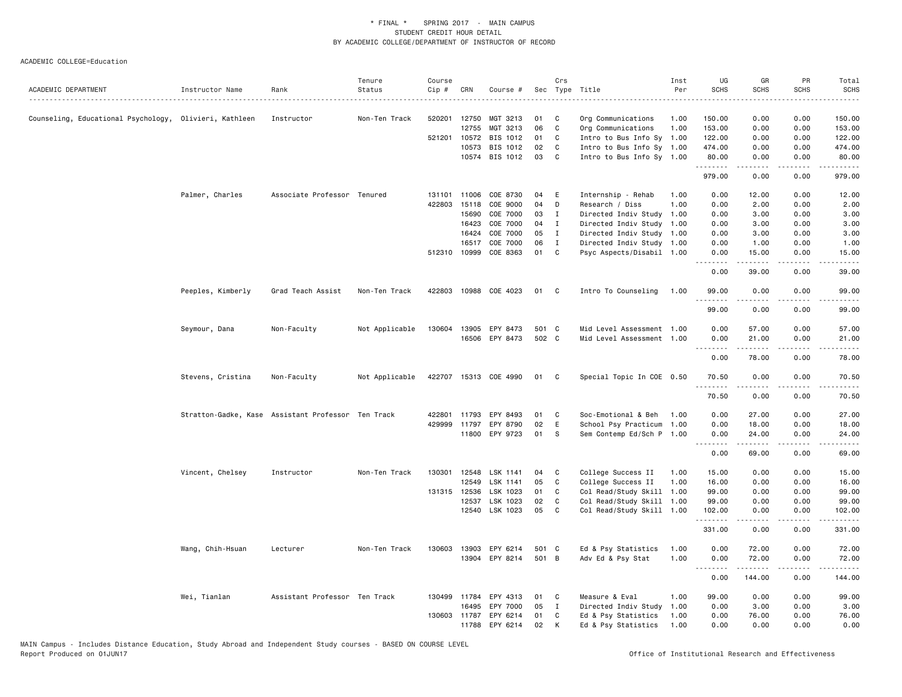| .<br>0.00<br>0.00<br>Counseling, Educational Psychology, Olivieri, Kathleen<br>520201 12750<br>MGT 3213<br>01<br>C<br>1.00<br>150.00<br>150.00<br>Instructor<br>Non-Ten Track<br>Org Communications<br>06<br>C<br>12755<br>MGT 3213<br>Org Communications<br>1.00<br>153.00<br>0.00<br>0.00<br>153.00<br>01<br>C<br>0.00<br>0.00<br>521201 10572<br>BIS 1012<br>Intro to Bus Info Sy 1.00<br>122.00<br>122.00<br>BIS 1012<br>02<br>474.00<br>10573<br>C<br>Intro to Bus Info Sy 1.00<br>474.00<br>0.00<br>0.00<br>10574 BIS 1012<br>03<br>C<br>Intro to Bus Info Sy 1.00<br>0.00<br>80.00<br>80.00<br>0.00<br>.<br>.<br>$\sim$ $\sim$ $\sim$ $\sim$<br>.<br>979.00<br>0.00<br>0.00<br>979.00<br>Palmer, Charles<br>Associate Professor Tenured<br>131101 11006<br>COE 8730<br>04<br>E<br>Internship - Rehab<br>1.00<br>0.00<br>12.00<br>0.00<br>12.00<br>04<br>422803 15118<br>COE 9000<br>D<br>Research / Diss<br>1.00<br>0.00<br>2.00<br>0.00<br>2.00<br>15690<br>COE 7000<br>03<br>I<br>Directed Indiv Study<br>1.00<br>0.00<br>3.00<br>0.00<br>3.00<br>COE 7000<br>04<br>16423<br>I<br>Directed Indiv Study<br>1.00<br>0.00<br>3.00<br>0.00<br>3.00<br>COE 7000<br>05<br>0.00<br>3.00<br>0.00<br>3.00<br>16424<br>I<br>Directed Indiv Study 1.00<br>06<br>16517<br>COE 7000<br>$\mathbf{I}$<br>Directed Indiv Study 1.00<br>0.00<br>1.00<br>0.00<br>1.00<br>COE 8363<br>01<br>512310 10999<br>C.<br>Psyc Aspects/Disabil 1.00<br>0.00<br>15.00<br>0.00<br>15.00<br>.<br>39.00<br>0.00<br>39.00<br>0.00<br>Peeples, Kimberly<br>Grad Teach Assist<br>Non-Ten Track<br>422803 10988<br>COE 4023<br>01<br>C<br>Intro To Counseling<br>1.00<br>99.00<br>0.00<br>0.00<br>99.00<br>.<br>.<br><u>.</u><br>$\frac{1}{2}$<br>99.00<br>0.00<br>0.00<br>99.00<br>501 C<br>0.00<br>0.00<br>Seymour, Dana<br>Non-Faculty<br>Not Applicable<br>130604 13905<br>EPY 8473<br>Mid Level Assessment 1.00<br>57.00<br>57.00<br>502 C<br>EPY 8473<br>16506<br>Mid Level Assessment 1.00<br>0.00<br>21.00<br>0.00<br>21.00<br>.<br>.<br>.<br>الدامات<br>0.00<br>78.00<br>0.00<br>78.00<br>Stevens, Cristina<br>422707 15313 COE 4990<br>0.00<br>0.00<br>Non-Faculty<br>Not Applicable<br>01<br>C<br>Special Topic In COE 0.50<br>70.50<br>70.50<br>.<br>.<br>.<br>$- - - - -$<br>70.50<br>0.00<br>0.00<br>70.50<br>Soc-Emotional & Beh<br>0.00<br>27.00<br>0.00<br>27.00<br>Stratton-Gadke, Kase Assistant Professor Ten Track<br>422801<br>11793<br>EPY 8493<br>01<br>C<br>1.00<br>02<br>$\mathsf E$<br>429999<br>11797<br>EPY 8790<br>School Psy Practicum<br>1.00<br>0.00<br>18.00<br>0.00<br>18.00<br>11800 EPY 9723<br>01<br>s<br>Sem Contemp Ed/Sch P 1.00<br>0.00<br>24.00<br>0.00<br>24.00<br>.<br>.<br>.<br>.<br>0.00<br>69.00<br>0.00<br>69.00<br>Vincent, Chelsey<br>Instructor<br>Non-Ten Track<br>130301 12548<br>LSK 1141<br>04<br>College Success II<br>15.00<br>0.00<br>0.00<br>15.00<br>C<br>1.00<br>12549<br>LSK 1141<br>05<br>C<br>College Success II<br>1.00<br>16.00<br>0.00<br>0.00<br>16.00<br>131315 12536<br>LSK 1023<br>01<br>C<br>Col Read/Study Skill<br>1.00<br>99.00<br>0.00<br>0.00<br>99.00<br>12537<br>LSK 1023<br>02<br>C<br>Col Read/Study Skill<br>99.00<br>0.00<br>0.00<br>1.00<br>99.00<br>12540<br>LSK 1023<br>05<br>C<br>Col Read/Study Skill 1.00<br>102.00<br>0.00<br>0.00<br>102.00<br>.<br>.<br>$\frac{1}{2} \left( \frac{1}{2} \right) \left( \frac{1}{2} \right) \left( \frac{1}{2} \right) \left( \frac{1}{2} \right) \left( \frac{1}{2} \right)$<br>331.00<br>0.00<br>0.00<br>331.00<br>13903<br>EPY 6214<br>501 C<br>Ed & Psy Statistics<br>0.00<br>72.00<br>Wang, Chih-Hsuan<br>Lecturer<br>Non-Ten Track<br>130603<br>1.00<br>0.00<br>72.00<br>13904 EPY 8214<br>501 B<br>Adv Ed & Psy Stat<br>1.00<br>0.00<br>72.00<br>0.00<br>72.00<br>.<br>.<br>$\sim$ $\sim$ $\sim$ $\sim$<br>$\frac{1}{2} \left( \frac{1}{2} \right) \left( \frac{1}{2} \right) \left( \frac{1}{2} \right) \left( \frac{1}{2} \right) \left( \frac{1}{2} \right)$<br>0.00<br>144.00<br>0.00<br>144.00<br>Wei, Tianlan<br>Assistant Professor Ten Track<br>130499 11784<br>EPY 4313<br>Measure & Eval<br>1.00<br>99.00<br>0.00<br>0.00<br>99.00<br>01<br>C<br>EPY 7000<br>05<br>0.00<br>0.00<br>16495<br>$\mathbf{I}$<br>Directed Indiv Study<br>1.00<br>3.00<br>3.00<br>Ed & Psy Statistics<br>130603<br>11787<br>EPY 6214<br>01<br>C<br>1.00<br>0.00<br>76.00<br>0.00<br>76.00<br>02<br>11788<br>EPY 6214<br>K<br>1.00<br>0.00<br>0.00<br>0.00<br>Ed & Psy Statistics<br>0.00 | ACADEMIC DEPARTMENT | Instructor Name | Rank | Tenure<br>Status | Course<br>Cip # | CRN | Course # | Crs | Sec Type Title | Inst<br>Per | UG<br><b>SCHS</b> | GR<br><b>SCHS</b> | PR<br>SCHS | Total<br><b>SCHS</b> |
|---------------------------------------------------------------------------------------------------------------------------------------------------------------------------------------------------------------------------------------------------------------------------------------------------------------------------------------------------------------------------------------------------------------------------------------------------------------------------------------------------------------------------------------------------------------------------------------------------------------------------------------------------------------------------------------------------------------------------------------------------------------------------------------------------------------------------------------------------------------------------------------------------------------------------------------------------------------------------------------------------------------------------------------------------------------------------------------------------------------------------------------------------------------------------------------------------------------------------------------------------------------------------------------------------------------------------------------------------------------------------------------------------------------------------------------------------------------------------------------------------------------------------------------------------------------------------------------------------------------------------------------------------------------------------------------------------------------------------------------------------------------------------------------------------------------------------------------------------------------------------------------------------------------------------------------------------------------------------------------------------------------------------------------------------------------------------------------------------------------------------------------------------------------------------------------------------------------------------------------------------------------------------------------------------------------------------------------------------------------------------------------------------------------------------------------------------------------------------------------------------------------------------------------------------------------------------------------------------------------------------------------------------------------------------------------------------------------------------------------------------------------------------------------------------------------------------------------------------------------------------------------------------------------------------------------------------------------------------------------------------------------------------------------------------------------------------------------------------------------------------------------------------------------------------------------------------------------------------------------------------------------------------------------------------------------------------------------------------------------------------------------------------------------------------------------------------------------------------------------------------------------------------------------------------------------------------------------------------------------------------------------------------------------------------------------------------------------------------------------------------------------------------------------------------------------------------------------------------------------------------------------------------------------------------------------------------------------------------------------------------------------------------------------------------------------------------------------------------------------------------------------------------------------------------------------------------------------------------------------------------------------------------------------------------------------------------------------------------------------------------------------------------------------------------------------------------------------------------------------|---------------------|-----------------|------|------------------|-----------------|-----|----------|-----|----------------|-------------|-------------------|-------------------|------------|----------------------|
|                                                                                                                                                                                                                                                                                                                                                                                                                                                                                                                                                                                                                                                                                                                                                                                                                                                                                                                                                                                                                                                                                                                                                                                                                                                                                                                                                                                                                                                                                                                                                                                                                                                                                                                                                                                                                                                                                                                                                                                                                                                                                                                                                                                                                                                                                                                                                                                                                                                                                                                                                                                                                                                                                                                                                                                                                                                                                                                                                                                                                                                                                                                                                                                                                                                                                                                                                                                                                                                                                                                                                                                                                                                                                                                                                                                                                                                                                                                                                                                                                                                                                                                                                                                                                                                                                                                                                                                                                                                                                       |                     |                 |      |                  |                 |     |          |     |                |             |                   |                   |            |                      |
|                                                                                                                                                                                                                                                                                                                                                                                                                                                                                                                                                                                                                                                                                                                                                                                                                                                                                                                                                                                                                                                                                                                                                                                                                                                                                                                                                                                                                                                                                                                                                                                                                                                                                                                                                                                                                                                                                                                                                                                                                                                                                                                                                                                                                                                                                                                                                                                                                                                                                                                                                                                                                                                                                                                                                                                                                                                                                                                                                                                                                                                                                                                                                                                                                                                                                                                                                                                                                                                                                                                                                                                                                                                                                                                                                                                                                                                                                                                                                                                                                                                                                                                                                                                                                                                                                                                                                                                                                                                                                       |                     |                 |      |                  |                 |     |          |     |                |             |                   |                   |            |                      |
|                                                                                                                                                                                                                                                                                                                                                                                                                                                                                                                                                                                                                                                                                                                                                                                                                                                                                                                                                                                                                                                                                                                                                                                                                                                                                                                                                                                                                                                                                                                                                                                                                                                                                                                                                                                                                                                                                                                                                                                                                                                                                                                                                                                                                                                                                                                                                                                                                                                                                                                                                                                                                                                                                                                                                                                                                                                                                                                                                                                                                                                                                                                                                                                                                                                                                                                                                                                                                                                                                                                                                                                                                                                                                                                                                                                                                                                                                                                                                                                                                                                                                                                                                                                                                                                                                                                                                                                                                                                                                       |                     |                 |      |                  |                 |     |          |     |                |             |                   |                   |            |                      |
|                                                                                                                                                                                                                                                                                                                                                                                                                                                                                                                                                                                                                                                                                                                                                                                                                                                                                                                                                                                                                                                                                                                                                                                                                                                                                                                                                                                                                                                                                                                                                                                                                                                                                                                                                                                                                                                                                                                                                                                                                                                                                                                                                                                                                                                                                                                                                                                                                                                                                                                                                                                                                                                                                                                                                                                                                                                                                                                                                                                                                                                                                                                                                                                                                                                                                                                                                                                                                                                                                                                                                                                                                                                                                                                                                                                                                                                                                                                                                                                                                                                                                                                                                                                                                                                                                                                                                                                                                                                                                       |                     |                 |      |                  |                 |     |          |     |                |             |                   |                   |            |                      |
|                                                                                                                                                                                                                                                                                                                                                                                                                                                                                                                                                                                                                                                                                                                                                                                                                                                                                                                                                                                                                                                                                                                                                                                                                                                                                                                                                                                                                                                                                                                                                                                                                                                                                                                                                                                                                                                                                                                                                                                                                                                                                                                                                                                                                                                                                                                                                                                                                                                                                                                                                                                                                                                                                                                                                                                                                                                                                                                                                                                                                                                                                                                                                                                                                                                                                                                                                                                                                                                                                                                                                                                                                                                                                                                                                                                                                                                                                                                                                                                                                                                                                                                                                                                                                                                                                                                                                                                                                                                                                       |                     |                 |      |                  |                 |     |          |     |                |             |                   |                   |            |                      |
|                                                                                                                                                                                                                                                                                                                                                                                                                                                                                                                                                                                                                                                                                                                                                                                                                                                                                                                                                                                                                                                                                                                                                                                                                                                                                                                                                                                                                                                                                                                                                                                                                                                                                                                                                                                                                                                                                                                                                                                                                                                                                                                                                                                                                                                                                                                                                                                                                                                                                                                                                                                                                                                                                                                                                                                                                                                                                                                                                                                                                                                                                                                                                                                                                                                                                                                                                                                                                                                                                                                                                                                                                                                                                                                                                                                                                                                                                                                                                                                                                                                                                                                                                                                                                                                                                                                                                                                                                                                                                       |                     |                 |      |                  |                 |     |          |     |                |             |                   |                   |            |                      |
|                                                                                                                                                                                                                                                                                                                                                                                                                                                                                                                                                                                                                                                                                                                                                                                                                                                                                                                                                                                                                                                                                                                                                                                                                                                                                                                                                                                                                                                                                                                                                                                                                                                                                                                                                                                                                                                                                                                                                                                                                                                                                                                                                                                                                                                                                                                                                                                                                                                                                                                                                                                                                                                                                                                                                                                                                                                                                                                                                                                                                                                                                                                                                                                                                                                                                                                                                                                                                                                                                                                                                                                                                                                                                                                                                                                                                                                                                                                                                                                                                                                                                                                                                                                                                                                                                                                                                                                                                                                                                       |                     |                 |      |                  |                 |     |          |     |                |             |                   |                   |            |                      |
|                                                                                                                                                                                                                                                                                                                                                                                                                                                                                                                                                                                                                                                                                                                                                                                                                                                                                                                                                                                                                                                                                                                                                                                                                                                                                                                                                                                                                                                                                                                                                                                                                                                                                                                                                                                                                                                                                                                                                                                                                                                                                                                                                                                                                                                                                                                                                                                                                                                                                                                                                                                                                                                                                                                                                                                                                                                                                                                                                                                                                                                                                                                                                                                                                                                                                                                                                                                                                                                                                                                                                                                                                                                                                                                                                                                                                                                                                                                                                                                                                                                                                                                                                                                                                                                                                                                                                                                                                                                                                       |                     |                 |      |                  |                 |     |          |     |                |             |                   |                   |            |                      |
|                                                                                                                                                                                                                                                                                                                                                                                                                                                                                                                                                                                                                                                                                                                                                                                                                                                                                                                                                                                                                                                                                                                                                                                                                                                                                                                                                                                                                                                                                                                                                                                                                                                                                                                                                                                                                                                                                                                                                                                                                                                                                                                                                                                                                                                                                                                                                                                                                                                                                                                                                                                                                                                                                                                                                                                                                                                                                                                                                                                                                                                                                                                                                                                                                                                                                                                                                                                                                                                                                                                                                                                                                                                                                                                                                                                                                                                                                                                                                                                                                                                                                                                                                                                                                                                                                                                                                                                                                                                                                       |                     |                 |      |                  |                 |     |          |     |                |             |                   |                   |            |                      |
|                                                                                                                                                                                                                                                                                                                                                                                                                                                                                                                                                                                                                                                                                                                                                                                                                                                                                                                                                                                                                                                                                                                                                                                                                                                                                                                                                                                                                                                                                                                                                                                                                                                                                                                                                                                                                                                                                                                                                                                                                                                                                                                                                                                                                                                                                                                                                                                                                                                                                                                                                                                                                                                                                                                                                                                                                                                                                                                                                                                                                                                                                                                                                                                                                                                                                                                                                                                                                                                                                                                                                                                                                                                                                                                                                                                                                                                                                                                                                                                                                                                                                                                                                                                                                                                                                                                                                                                                                                                                                       |                     |                 |      |                  |                 |     |          |     |                |             |                   |                   |            |                      |
|                                                                                                                                                                                                                                                                                                                                                                                                                                                                                                                                                                                                                                                                                                                                                                                                                                                                                                                                                                                                                                                                                                                                                                                                                                                                                                                                                                                                                                                                                                                                                                                                                                                                                                                                                                                                                                                                                                                                                                                                                                                                                                                                                                                                                                                                                                                                                                                                                                                                                                                                                                                                                                                                                                                                                                                                                                                                                                                                                                                                                                                                                                                                                                                                                                                                                                                                                                                                                                                                                                                                                                                                                                                                                                                                                                                                                                                                                                                                                                                                                                                                                                                                                                                                                                                                                                                                                                                                                                                                                       |                     |                 |      |                  |                 |     |          |     |                |             |                   |                   |            |                      |
|                                                                                                                                                                                                                                                                                                                                                                                                                                                                                                                                                                                                                                                                                                                                                                                                                                                                                                                                                                                                                                                                                                                                                                                                                                                                                                                                                                                                                                                                                                                                                                                                                                                                                                                                                                                                                                                                                                                                                                                                                                                                                                                                                                                                                                                                                                                                                                                                                                                                                                                                                                                                                                                                                                                                                                                                                                                                                                                                                                                                                                                                                                                                                                                                                                                                                                                                                                                                                                                                                                                                                                                                                                                                                                                                                                                                                                                                                                                                                                                                                                                                                                                                                                                                                                                                                                                                                                                                                                                                                       |                     |                 |      |                  |                 |     |          |     |                |             |                   |                   |            |                      |
|                                                                                                                                                                                                                                                                                                                                                                                                                                                                                                                                                                                                                                                                                                                                                                                                                                                                                                                                                                                                                                                                                                                                                                                                                                                                                                                                                                                                                                                                                                                                                                                                                                                                                                                                                                                                                                                                                                                                                                                                                                                                                                                                                                                                                                                                                                                                                                                                                                                                                                                                                                                                                                                                                                                                                                                                                                                                                                                                                                                                                                                                                                                                                                                                                                                                                                                                                                                                                                                                                                                                                                                                                                                                                                                                                                                                                                                                                                                                                                                                                                                                                                                                                                                                                                                                                                                                                                                                                                                                                       |                     |                 |      |                  |                 |     |          |     |                |             |                   |                   |            |                      |
|                                                                                                                                                                                                                                                                                                                                                                                                                                                                                                                                                                                                                                                                                                                                                                                                                                                                                                                                                                                                                                                                                                                                                                                                                                                                                                                                                                                                                                                                                                                                                                                                                                                                                                                                                                                                                                                                                                                                                                                                                                                                                                                                                                                                                                                                                                                                                                                                                                                                                                                                                                                                                                                                                                                                                                                                                                                                                                                                                                                                                                                                                                                                                                                                                                                                                                                                                                                                                                                                                                                                                                                                                                                                                                                                                                                                                                                                                                                                                                                                                                                                                                                                                                                                                                                                                                                                                                                                                                                                                       |                     |                 |      |                  |                 |     |          |     |                |             |                   |                   |            |                      |
|                                                                                                                                                                                                                                                                                                                                                                                                                                                                                                                                                                                                                                                                                                                                                                                                                                                                                                                                                                                                                                                                                                                                                                                                                                                                                                                                                                                                                                                                                                                                                                                                                                                                                                                                                                                                                                                                                                                                                                                                                                                                                                                                                                                                                                                                                                                                                                                                                                                                                                                                                                                                                                                                                                                                                                                                                                                                                                                                                                                                                                                                                                                                                                                                                                                                                                                                                                                                                                                                                                                                                                                                                                                                                                                                                                                                                                                                                                                                                                                                                                                                                                                                                                                                                                                                                                                                                                                                                                                                                       |                     |                 |      |                  |                 |     |          |     |                |             |                   |                   |            |                      |
|                                                                                                                                                                                                                                                                                                                                                                                                                                                                                                                                                                                                                                                                                                                                                                                                                                                                                                                                                                                                                                                                                                                                                                                                                                                                                                                                                                                                                                                                                                                                                                                                                                                                                                                                                                                                                                                                                                                                                                                                                                                                                                                                                                                                                                                                                                                                                                                                                                                                                                                                                                                                                                                                                                                                                                                                                                                                                                                                                                                                                                                                                                                                                                                                                                                                                                                                                                                                                                                                                                                                                                                                                                                                                                                                                                                                                                                                                                                                                                                                                                                                                                                                                                                                                                                                                                                                                                                                                                                                                       |                     |                 |      |                  |                 |     |          |     |                |             |                   |                   |            |                      |
|                                                                                                                                                                                                                                                                                                                                                                                                                                                                                                                                                                                                                                                                                                                                                                                                                                                                                                                                                                                                                                                                                                                                                                                                                                                                                                                                                                                                                                                                                                                                                                                                                                                                                                                                                                                                                                                                                                                                                                                                                                                                                                                                                                                                                                                                                                                                                                                                                                                                                                                                                                                                                                                                                                                                                                                                                                                                                                                                                                                                                                                                                                                                                                                                                                                                                                                                                                                                                                                                                                                                                                                                                                                                                                                                                                                                                                                                                                                                                                                                                                                                                                                                                                                                                                                                                                                                                                                                                                                                                       |                     |                 |      |                  |                 |     |          |     |                |             |                   |                   |            |                      |
|                                                                                                                                                                                                                                                                                                                                                                                                                                                                                                                                                                                                                                                                                                                                                                                                                                                                                                                                                                                                                                                                                                                                                                                                                                                                                                                                                                                                                                                                                                                                                                                                                                                                                                                                                                                                                                                                                                                                                                                                                                                                                                                                                                                                                                                                                                                                                                                                                                                                                                                                                                                                                                                                                                                                                                                                                                                                                                                                                                                                                                                                                                                                                                                                                                                                                                                                                                                                                                                                                                                                                                                                                                                                                                                                                                                                                                                                                                                                                                                                                                                                                                                                                                                                                                                                                                                                                                                                                                                                                       |                     |                 |      |                  |                 |     |          |     |                |             |                   |                   |            |                      |
|                                                                                                                                                                                                                                                                                                                                                                                                                                                                                                                                                                                                                                                                                                                                                                                                                                                                                                                                                                                                                                                                                                                                                                                                                                                                                                                                                                                                                                                                                                                                                                                                                                                                                                                                                                                                                                                                                                                                                                                                                                                                                                                                                                                                                                                                                                                                                                                                                                                                                                                                                                                                                                                                                                                                                                                                                                                                                                                                                                                                                                                                                                                                                                                                                                                                                                                                                                                                                                                                                                                                                                                                                                                                                                                                                                                                                                                                                                                                                                                                                                                                                                                                                                                                                                                                                                                                                                                                                                                                                       |                     |                 |      |                  |                 |     |          |     |                |             |                   |                   |            |                      |
|                                                                                                                                                                                                                                                                                                                                                                                                                                                                                                                                                                                                                                                                                                                                                                                                                                                                                                                                                                                                                                                                                                                                                                                                                                                                                                                                                                                                                                                                                                                                                                                                                                                                                                                                                                                                                                                                                                                                                                                                                                                                                                                                                                                                                                                                                                                                                                                                                                                                                                                                                                                                                                                                                                                                                                                                                                                                                                                                                                                                                                                                                                                                                                                                                                                                                                                                                                                                                                                                                                                                                                                                                                                                                                                                                                                                                                                                                                                                                                                                                                                                                                                                                                                                                                                                                                                                                                                                                                                                                       |                     |                 |      |                  |                 |     |          |     |                |             |                   |                   |            |                      |
|                                                                                                                                                                                                                                                                                                                                                                                                                                                                                                                                                                                                                                                                                                                                                                                                                                                                                                                                                                                                                                                                                                                                                                                                                                                                                                                                                                                                                                                                                                                                                                                                                                                                                                                                                                                                                                                                                                                                                                                                                                                                                                                                                                                                                                                                                                                                                                                                                                                                                                                                                                                                                                                                                                                                                                                                                                                                                                                                                                                                                                                                                                                                                                                                                                                                                                                                                                                                                                                                                                                                                                                                                                                                                                                                                                                                                                                                                                                                                                                                                                                                                                                                                                                                                                                                                                                                                                                                                                                                                       |                     |                 |      |                  |                 |     |          |     |                |             |                   |                   |            |                      |
|                                                                                                                                                                                                                                                                                                                                                                                                                                                                                                                                                                                                                                                                                                                                                                                                                                                                                                                                                                                                                                                                                                                                                                                                                                                                                                                                                                                                                                                                                                                                                                                                                                                                                                                                                                                                                                                                                                                                                                                                                                                                                                                                                                                                                                                                                                                                                                                                                                                                                                                                                                                                                                                                                                                                                                                                                                                                                                                                                                                                                                                                                                                                                                                                                                                                                                                                                                                                                                                                                                                                                                                                                                                                                                                                                                                                                                                                                                                                                                                                                                                                                                                                                                                                                                                                                                                                                                                                                                                                                       |                     |                 |      |                  |                 |     |          |     |                |             |                   |                   |            |                      |
|                                                                                                                                                                                                                                                                                                                                                                                                                                                                                                                                                                                                                                                                                                                                                                                                                                                                                                                                                                                                                                                                                                                                                                                                                                                                                                                                                                                                                                                                                                                                                                                                                                                                                                                                                                                                                                                                                                                                                                                                                                                                                                                                                                                                                                                                                                                                                                                                                                                                                                                                                                                                                                                                                                                                                                                                                                                                                                                                                                                                                                                                                                                                                                                                                                                                                                                                                                                                                                                                                                                                                                                                                                                                                                                                                                                                                                                                                                                                                                                                                                                                                                                                                                                                                                                                                                                                                                                                                                                                                       |                     |                 |      |                  |                 |     |          |     |                |             |                   |                   |            |                      |
|                                                                                                                                                                                                                                                                                                                                                                                                                                                                                                                                                                                                                                                                                                                                                                                                                                                                                                                                                                                                                                                                                                                                                                                                                                                                                                                                                                                                                                                                                                                                                                                                                                                                                                                                                                                                                                                                                                                                                                                                                                                                                                                                                                                                                                                                                                                                                                                                                                                                                                                                                                                                                                                                                                                                                                                                                                                                                                                                                                                                                                                                                                                                                                                                                                                                                                                                                                                                                                                                                                                                                                                                                                                                                                                                                                                                                                                                                                                                                                                                                                                                                                                                                                                                                                                                                                                                                                                                                                                                                       |                     |                 |      |                  |                 |     |          |     |                |             |                   |                   |            |                      |
|                                                                                                                                                                                                                                                                                                                                                                                                                                                                                                                                                                                                                                                                                                                                                                                                                                                                                                                                                                                                                                                                                                                                                                                                                                                                                                                                                                                                                                                                                                                                                                                                                                                                                                                                                                                                                                                                                                                                                                                                                                                                                                                                                                                                                                                                                                                                                                                                                                                                                                                                                                                                                                                                                                                                                                                                                                                                                                                                                                                                                                                                                                                                                                                                                                                                                                                                                                                                                                                                                                                                                                                                                                                                                                                                                                                                                                                                                                                                                                                                                                                                                                                                                                                                                                                                                                                                                                                                                                                                                       |                     |                 |      |                  |                 |     |          |     |                |             |                   |                   |            |                      |
|                                                                                                                                                                                                                                                                                                                                                                                                                                                                                                                                                                                                                                                                                                                                                                                                                                                                                                                                                                                                                                                                                                                                                                                                                                                                                                                                                                                                                                                                                                                                                                                                                                                                                                                                                                                                                                                                                                                                                                                                                                                                                                                                                                                                                                                                                                                                                                                                                                                                                                                                                                                                                                                                                                                                                                                                                                                                                                                                                                                                                                                                                                                                                                                                                                                                                                                                                                                                                                                                                                                                                                                                                                                                                                                                                                                                                                                                                                                                                                                                                                                                                                                                                                                                                                                                                                                                                                                                                                                                                       |                     |                 |      |                  |                 |     |          |     |                |             |                   |                   |            |                      |
|                                                                                                                                                                                                                                                                                                                                                                                                                                                                                                                                                                                                                                                                                                                                                                                                                                                                                                                                                                                                                                                                                                                                                                                                                                                                                                                                                                                                                                                                                                                                                                                                                                                                                                                                                                                                                                                                                                                                                                                                                                                                                                                                                                                                                                                                                                                                                                                                                                                                                                                                                                                                                                                                                                                                                                                                                                                                                                                                                                                                                                                                                                                                                                                                                                                                                                                                                                                                                                                                                                                                                                                                                                                                                                                                                                                                                                                                                                                                                                                                                                                                                                                                                                                                                                                                                                                                                                                                                                                                                       |                     |                 |      |                  |                 |     |          |     |                |             |                   |                   |            |                      |
|                                                                                                                                                                                                                                                                                                                                                                                                                                                                                                                                                                                                                                                                                                                                                                                                                                                                                                                                                                                                                                                                                                                                                                                                                                                                                                                                                                                                                                                                                                                                                                                                                                                                                                                                                                                                                                                                                                                                                                                                                                                                                                                                                                                                                                                                                                                                                                                                                                                                                                                                                                                                                                                                                                                                                                                                                                                                                                                                                                                                                                                                                                                                                                                                                                                                                                                                                                                                                                                                                                                                                                                                                                                                                                                                                                                                                                                                                                                                                                                                                                                                                                                                                                                                                                                                                                                                                                                                                                                                                       |                     |                 |      |                  |                 |     |          |     |                |             |                   |                   |            |                      |
|                                                                                                                                                                                                                                                                                                                                                                                                                                                                                                                                                                                                                                                                                                                                                                                                                                                                                                                                                                                                                                                                                                                                                                                                                                                                                                                                                                                                                                                                                                                                                                                                                                                                                                                                                                                                                                                                                                                                                                                                                                                                                                                                                                                                                                                                                                                                                                                                                                                                                                                                                                                                                                                                                                                                                                                                                                                                                                                                                                                                                                                                                                                                                                                                                                                                                                                                                                                                                                                                                                                                                                                                                                                                                                                                                                                                                                                                                                                                                                                                                                                                                                                                                                                                                                                                                                                                                                                                                                                                                       |                     |                 |      |                  |                 |     |          |     |                |             |                   |                   |            |                      |
|                                                                                                                                                                                                                                                                                                                                                                                                                                                                                                                                                                                                                                                                                                                                                                                                                                                                                                                                                                                                                                                                                                                                                                                                                                                                                                                                                                                                                                                                                                                                                                                                                                                                                                                                                                                                                                                                                                                                                                                                                                                                                                                                                                                                                                                                                                                                                                                                                                                                                                                                                                                                                                                                                                                                                                                                                                                                                                                                                                                                                                                                                                                                                                                                                                                                                                                                                                                                                                                                                                                                                                                                                                                                                                                                                                                                                                                                                                                                                                                                                                                                                                                                                                                                                                                                                                                                                                                                                                                                                       |                     |                 |      |                  |                 |     |          |     |                |             |                   |                   |            |                      |
|                                                                                                                                                                                                                                                                                                                                                                                                                                                                                                                                                                                                                                                                                                                                                                                                                                                                                                                                                                                                                                                                                                                                                                                                                                                                                                                                                                                                                                                                                                                                                                                                                                                                                                                                                                                                                                                                                                                                                                                                                                                                                                                                                                                                                                                                                                                                                                                                                                                                                                                                                                                                                                                                                                                                                                                                                                                                                                                                                                                                                                                                                                                                                                                                                                                                                                                                                                                                                                                                                                                                                                                                                                                                                                                                                                                                                                                                                                                                                                                                                                                                                                                                                                                                                                                                                                                                                                                                                                                                                       |                     |                 |      |                  |                 |     |          |     |                |             |                   |                   |            |                      |
|                                                                                                                                                                                                                                                                                                                                                                                                                                                                                                                                                                                                                                                                                                                                                                                                                                                                                                                                                                                                                                                                                                                                                                                                                                                                                                                                                                                                                                                                                                                                                                                                                                                                                                                                                                                                                                                                                                                                                                                                                                                                                                                                                                                                                                                                                                                                                                                                                                                                                                                                                                                                                                                                                                                                                                                                                                                                                                                                                                                                                                                                                                                                                                                                                                                                                                                                                                                                                                                                                                                                                                                                                                                                                                                                                                                                                                                                                                                                                                                                                                                                                                                                                                                                                                                                                                                                                                                                                                                                                       |                     |                 |      |                  |                 |     |          |     |                |             |                   |                   |            |                      |
|                                                                                                                                                                                                                                                                                                                                                                                                                                                                                                                                                                                                                                                                                                                                                                                                                                                                                                                                                                                                                                                                                                                                                                                                                                                                                                                                                                                                                                                                                                                                                                                                                                                                                                                                                                                                                                                                                                                                                                                                                                                                                                                                                                                                                                                                                                                                                                                                                                                                                                                                                                                                                                                                                                                                                                                                                                                                                                                                                                                                                                                                                                                                                                                                                                                                                                                                                                                                                                                                                                                                                                                                                                                                                                                                                                                                                                                                                                                                                                                                                                                                                                                                                                                                                                                                                                                                                                                                                                                                                       |                     |                 |      |                  |                 |     |          |     |                |             |                   |                   |            |                      |
|                                                                                                                                                                                                                                                                                                                                                                                                                                                                                                                                                                                                                                                                                                                                                                                                                                                                                                                                                                                                                                                                                                                                                                                                                                                                                                                                                                                                                                                                                                                                                                                                                                                                                                                                                                                                                                                                                                                                                                                                                                                                                                                                                                                                                                                                                                                                                                                                                                                                                                                                                                                                                                                                                                                                                                                                                                                                                                                                                                                                                                                                                                                                                                                                                                                                                                                                                                                                                                                                                                                                                                                                                                                                                                                                                                                                                                                                                                                                                                                                                                                                                                                                                                                                                                                                                                                                                                                                                                                                                       |                     |                 |      |                  |                 |     |          |     |                |             |                   |                   |            |                      |
|                                                                                                                                                                                                                                                                                                                                                                                                                                                                                                                                                                                                                                                                                                                                                                                                                                                                                                                                                                                                                                                                                                                                                                                                                                                                                                                                                                                                                                                                                                                                                                                                                                                                                                                                                                                                                                                                                                                                                                                                                                                                                                                                                                                                                                                                                                                                                                                                                                                                                                                                                                                                                                                                                                                                                                                                                                                                                                                                                                                                                                                                                                                                                                                                                                                                                                                                                                                                                                                                                                                                                                                                                                                                                                                                                                                                                                                                                                                                                                                                                                                                                                                                                                                                                                                                                                                                                                                                                                                                                       |                     |                 |      |                  |                 |     |          |     |                |             |                   |                   |            |                      |
|                                                                                                                                                                                                                                                                                                                                                                                                                                                                                                                                                                                                                                                                                                                                                                                                                                                                                                                                                                                                                                                                                                                                                                                                                                                                                                                                                                                                                                                                                                                                                                                                                                                                                                                                                                                                                                                                                                                                                                                                                                                                                                                                                                                                                                                                                                                                                                                                                                                                                                                                                                                                                                                                                                                                                                                                                                                                                                                                                                                                                                                                                                                                                                                                                                                                                                                                                                                                                                                                                                                                                                                                                                                                                                                                                                                                                                                                                                                                                                                                                                                                                                                                                                                                                                                                                                                                                                                                                                                                                       |                     |                 |      |                  |                 |     |          |     |                |             |                   |                   |            |                      |
|                                                                                                                                                                                                                                                                                                                                                                                                                                                                                                                                                                                                                                                                                                                                                                                                                                                                                                                                                                                                                                                                                                                                                                                                                                                                                                                                                                                                                                                                                                                                                                                                                                                                                                                                                                                                                                                                                                                                                                                                                                                                                                                                                                                                                                                                                                                                                                                                                                                                                                                                                                                                                                                                                                                                                                                                                                                                                                                                                                                                                                                                                                                                                                                                                                                                                                                                                                                                                                                                                                                                                                                                                                                                                                                                                                                                                                                                                                                                                                                                                                                                                                                                                                                                                                                                                                                                                                                                                                                                                       |                     |                 |      |                  |                 |     |          |     |                |             |                   |                   |            |                      |
|                                                                                                                                                                                                                                                                                                                                                                                                                                                                                                                                                                                                                                                                                                                                                                                                                                                                                                                                                                                                                                                                                                                                                                                                                                                                                                                                                                                                                                                                                                                                                                                                                                                                                                                                                                                                                                                                                                                                                                                                                                                                                                                                                                                                                                                                                                                                                                                                                                                                                                                                                                                                                                                                                                                                                                                                                                                                                                                                                                                                                                                                                                                                                                                                                                                                                                                                                                                                                                                                                                                                                                                                                                                                                                                                                                                                                                                                                                                                                                                                                                                                                                                                                                                                                                                                                                                                                                                                                                                                                       |                     |                 |      |                  |                 |     |          |     |                |             |                   |                   |            |                      |
|                                                                                                                                                                                                                                                                                                                                                                                                                                                                                                                                                                                                                                                                                                                                                                                                                                                                                                                                                                                                                                                                                                                                                                                                                                                                                                                                                                                                                                                                                                                                                                                                                                                                                                                                                                                                                                                                                                                                                                                                                                                                                                                                                                                                                                                                                                                                                                                                                                                                                                                                                                                                                                                                                                                                                                                                                                                                                                                                                                                                                                                                                                                                                                                                                                                                                                                                                                                                                                                                                                                                                                                                                                                                                                                                                                                                                                                                                                                                                                                                                                                                                                                                                                                                                                                                                                                                                                                                                                                                                       |                     |                 |      |                  |                 |     |          |     |                |             |                   |                   |            |                      |
|                                                                                                                                                                                                                                                                                                                                                                                                                                                                                                                                                                                                                                                                                                                                                                                                                                                                                                                                                                                                                                                                                                                                                                                                                                                                                                                                                                                                                                                                                                                                                                                                                                                                                                                                                                                                                                                                                                                                                                                                                                                                                                                                                                                                                                                                                                                                                                                                                                                                                                                                                                                                                                                                                                                                                                                                                                                                                                                                                                                                                                                                                                                                                                                                                                                                                                                                                                                                                                                                                                                                                                                                                                                                                                                                                                                                                                                                                                                                                                                                                                                                                                                                                                                                                                                                                                                                                                                                                                                                                       |                     |                 |      |                  |                 |     |          |     |                |             |                   |                   |            |                      |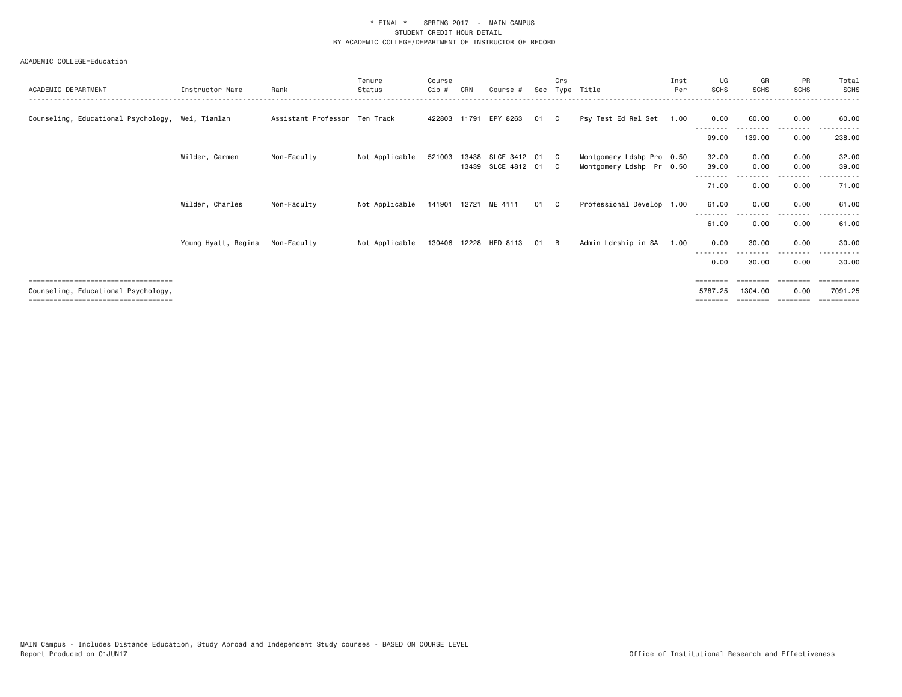|                                                  |                     |                               | Tenure         | Course       |       |                       |      | Crs            |                           | Inst | UG          | GR          | PR          | Total                   |
|--------------------------------------------------|---------------------|-------------------------------|----------------|--------------|-------|-----------------------|------|----------------|---------------------------|------|-------------|-------------|-------------|-------------------------|
| ACADEMIC DEPARTMENT                              | Instructor Name     | Rank                          | Status         | Cip#         | CRN   | Course #              | Sec  |                | Type Title                | Per  | <b>SCHS</b> | <b>SCHS</b> | <b>SCHS</b> | SCHS                    |
| Counseling, Educational Psychology, Wei, Tianlan |                     | Assistant Professor Ten Track |                |              |       | 422803 11791 EPY 8263 | 01   | C.             | Psy Test Ed Rel Set 1.00  |      | 0.00        | 60.00       | 0.00        | 60.00                   |
|                                                  |                     |                               |                |              |       |                       |      |                |                           |      | 99.00       | 139.00      | 0.00        | 238.00                  |
|                                                  | Wilder, Carmen      | Non-Faculty                   | Not Applicable | 521003       | 13438 | SLCE 3412 01          |      | $\overline{c}$ | Montgomery Ldshp Pro 0.50 |      | 32.00       | 0.00        | 0.00        | 32.00                   |
|                                                  |                     |                               |                |              |       | 13439 SLCE 4812 01    |      | $\mathbf{C}$   | Montgomery Ldshp Pr 0.50  |      | 39.00       | 0.00        | 0.00        | 39.00                   |
|                                                  |                     |                               |                |              |       |                       |      |                |                           |      | 71.00       | 0.00        | 0.00        | 71.00                   |
|                                                  | Wilder, Charles     | Non-Faculty                   | Not Applicable |              |       | 141901 12721 ME 4111  | 01 C |                | Professional Develop 1.00 |      | 61.00       | 0.00        | 0.00        | 61.00                   |
|                                                  |                     |                               |                |              |       |                       |      |                |                           |      | 61.00       | 0.00        | 0.00        | 61.00                   |
|                                                  | Young Hyatt, Regina | Non-Faculty                   | Not Applicable | 130406 12228 |       | HED 8113              | 01   | - B            | Admin Ldrship in SA       | 1.00 | 0.00        | 30.00       | 0.00        | 30.00                   |
|                                                  |                     |                               |                |              |       |                       |      |                |                           |      | 0.00        | 30.00       | 0.00        | 30.00                   |
|                                                  |                     |                               |                |              |       |                       |      |                |                           |      | ========    |             | ========    | $=$ = = = = = = = = $=$ |
| Counseling, Educational Psychology,              |                     |                               |                |              |       |                       |      |                |                           |      | 5787.25     | 1304.00     | 0.00        | 7091.25                 |
| ----------------------------------               |                     |                               |                |              |       |                       |      |                |                           |      |             |             |             | ==========              |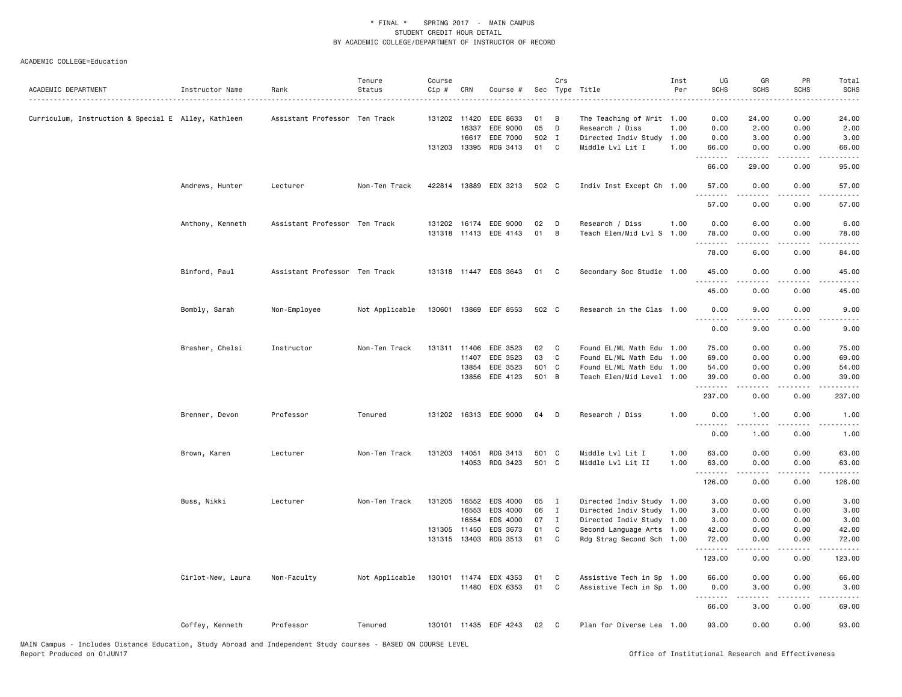| ACADEMIC DEPARTMENT                                 | Instructor Name   | Rank                          | Tenure<br>Status | Course<br>Cip # | CRN          | Course #              |       | Crs            | Sec Type Title            | Inst<br>Per | UG<br><b>SCHS</b>   | GR<br><b>SCHS</b>                                                                                                                                            | PR<br><b>SCHS</b>     | Total<br><b>SCHS</b> |
|-----------------------------------------------------|-------------------|-------------------------------|------------------|-----------------|--------------|-----------------------|-------|----------------|---------------------------|-------------|---------------------|--------------------------------------------------------------------------------------------------------------------------------------------------------------|-----------------------|----------------------|
|                                                     |                   |                               |                  |                 |              |                       |       |                |                           |             |                     |                                                                                                                                                              |                       |                      |
| Curriculum, Instruction & Special E Alley, Kathleen |                   | Assistant Professor Ten Track |                  |                 | 131202 11420 | EDE 8633              | 01    | в              | The Teaching of Writ 1.00 |             | 0.00                | 24.00                                                                                                                                                        | 0.00                  | 24.00                |
|                                                     |                   |                               |                  |                 | 16337        | EDE 9000              | 05    | D              | Research / Diss           | 1.00        | 0.00                | 2.00                                                                                                                                                         | 0.00                  | 2.00                 |
|                                                     |                   |                               |                  |                 | 16617        | EDE 7000              | 502 I |                | Directed Indiv Study      | 1.00        | 0.00                | 3.00                                                                                                                                                         | 0.00                  | 3.00                 |
|                                                     |                   |                               |                  |                 | 131203 13395 | RDG 3413              | 01    | C              | Middle Lvl Lit I          | 1.00        | 66.00<br>.          | 0.00<br>$\frac{1}{2} \left( \frac{1}{2} \right) \left( \frac{1}{2} \right) \left( \frac{1}{2} \right) \left( \frac{1}{2} \right) \left( \frac{1}{2} \right)$ | 0.00<br>.             | 66.00<br>.           |
|                                                     |                   |                               |                  |                 |              |                       |       |                |                           |             | 66.00               | 29.00                                                                                                                                                        | 0.00                  | 95.00                |
|                                                     | Andrews, Hunter   | Lecturer                      | Non-Ten Track    |                 |              | 422814 13889 EDX 3213 | 502 C |                | Indiv Inst Except Ch 1.00 |             | 57.00<br>. <b>.</b> | 0.00                                                                                                                                                         | 0.00<br>$\frac{1}{2}$ | 57.00<br>$    -$     |
|                                                     |                   |                               |                  |                 |              |                       |       |                |                           |             | 57.00               | 0.00                                                                                                                                                         | 0.00                  | 57.00                |
|                                                     | Anthony, Kenneth  | Assistant Professor Ten Track |                  | 131202          |              | 16174 EDE 9000        | 02    | D              | Research / Diss           | 1.00        | 0.00                | 6.00                                                                                                                                                         | 0.00                  | 6.00                 |
|                                                     |                   |                               |                  |                 |              | 131318 11413 EDE 4143 | 01    | $\overline{B}$ | Teach Elem/Mid Lvl S 1.00 |             | 78.00               | 0.00                                                                                                                                                         | 0.00                  | 78.00                |
|                                                     |                   |                               |                  |                 |              |                       |       |                |                           |             | .                   |                                                                                                                                                              |                       | .                    |
|                                                     |                   |                               |                  |                 |              |                       |       |                |                           |             | 78.00               | 6.00                                                                                                                                                         | 0.00                  | 84.00                |
|                                                     | Binford, Paul     | Assistant Professor Ten Track |                  |                 |              | 131318 11447 EDS 3643 | 01    | $\mathbf{C}$   | Secondary Soc Studie 1.00 |             | 45.00<br><u>.</u>   | 0.00<br>.                                                                                                                                                    | 0.00<br>$- - - -$     | 45.00<br>$    -$     |
|                                                     |                   |                               |                  |                 |              |                       |       |                |                           |             | 45.00               | 0.00                                                                                                                                                         | 0.00                  | 45.00                |
|                                                     | Bombly, Sarah     | Non-Employee                  | Not Applicable   |                 |              | 130601 13869 EDF 8553 | 502 C |                | Research in the Clas 1.00 |             | 0.00                | 9.00                                                                                                                                                         | 0.00                  | 9.00                 |
|                                                     |                   |                               |                  |                 |              |                       |       |                |                           |             | 0.00                | 9.00                                                                                                                                                         | 0.00                  | 9.00                 |
|                                                     | Brasher, Chelsi   | Instructor                    | Non-Ten Track    |                 | 131311 11406 | EDE 3523              | 02    | $\mathbf{C}$   | Found EL/ML Math Edu 1.00 |             | 75.00               | 0.00                                                                                                                                                         | 0.00                  | 75.00                |
|                                                     |                   |                               |                  |                 | 11407        | EDE 3523              | 03    | C              | Found EL/ML Math Edu      | 1.00        | 69.00               | 0.00                                                                                                                                                         | 0.00                  | 69.00                |
|                                                     |                   |                               |                  |                 | 13854        | EDE 3523              | 501 C |                | Found EL/ML Math Edu 1.00 |             | 54.00               | 0.00                                                                                                                                                         | 0.00                  | 54.00                |
|                                                     |                   |                               |                  |                 | 13856        | EDE 4123              | 501 B |                | Teach Elem/Mid Level 1.00 |             | 39.00<br><u>.</u>   | 0.00<br>.                                                                                                                                                    | 0.00<br>.             | 39.00<br>.           |
|                                                     |                   |                               |                  |                 |              |                       |       |                |                           |             | 237.00              | 0.00                                                                                                                                                         | 0.00                  | 237.00               |
|                                                     | Brenner, Devon    | Professor                     | Tenured          |                 |              | 131202 16313 EDE 9000 | 04    | $\mathsf{D}$   | Research / Diss           | 1.00        | 0.00                | 1.00                                                                                                                                                         | 0.00                  | 1.00                 |
|                                                     |                   |                               |                  |                 |              |                       |       |                |                           |             | 0.00                | 1.00                                                                                                                                                         | 0.00                  | 1.00                 |
|                                                     | Brown, Karen      | Lecturer                      | Non-Ten Track    | 131203          | 14051        | RDG 3413              | 501 C |                | Middle Lvl Lit I          | 1.00        | 63.00               | 0.00                                                                                                                                                         | 0.00                  | 63.00                |
|                                                     |                   |                               |                  |                 | 14053        | RDG 3423              | 501 C |                | Middle Lvl Lit II         | 1.00        | 63.00               | 0.00                                                                                                                                                         | 0.00                  | 63.00                |
|                                                     |                   |                               |                  |                 |              |                       |       |                |                           |             | .<br>126.00         | .<br>0.00                                                                                                                                                    | .<br>0.00             | .<br>126.00          |
|                                                     | Buss, Nikki       | Lecturer                      | Non-Ten Track    | 131205          | 16552        | EDS 4000              | 05    | $\mathbf{I}$   | Directed Indiv Study 1.00 |             | 3.00                | 0.00                                                                                                                                                         | 0.00                  | 3.00                 |
|                                                     |                   |                               |                  |                 | 16553        | EDS 4000              | 06    | I              | Directed Indiv Study 1.00 |             | 3.00                | 0.00                                                                                                                                                         | 0.00                  | 3.00                 |
|                                                     |                   |                               |                  |                 | 16554        | EDS 4000              | 07    | I              | Directed Indiv Study 1.00 |             | 3.00                | 0.00                                                                                                                                                         | 0.00                  | 3.00                 |
|                                                     |                   |                               |                  |                 | 131305 11450 | EDS 3673              | 01    | C              | Second Language Arts 1.00 |             | 42.00               | 0.00                                                                                                                                                         | 0.00                  | 42.00                |
|                                                     |                   |                               |                  |                 | 131315 13403 | RDG 3513              | 01    | C              | Rdg Strag Second Sch 1.00 |             | 72.00<br>.          | 0.00                                                                                                                                                         | 0.00                  | 72.00                |
|                                                     |                   |                               |                  |                 |              |                       |       |                |                           |             | 123.00              | 0.00                                                                                                                                                         | 0.00                  | 123.00               |
|                                                     | Cirlot-New, Laura | Non-Faculty                   | Not Applicable   |                 |              | 130101 11474 EDX 4353 | 01    | C.             | Assistive Tech in Sp 1.00 |             | 66.00               | 0.00                                                                                                                                                         | 0.00                  | 66.00                |
|                                                     |                   |                               |                  |                 |              | 11480 EDX 6353        | 01    | C              | Assistive Tech in Sp 1.00 |             | 0.00                | 3.00                                                                                                                                                         | 0.00                  | 3.00                 |
|                                                     |                   |                               |                  |                 |              |                       |       |                |                           |             | <u>.</u><br>66.00   | .<br>3.00                                                                                                                                                    | $- - - -$<br>0.00     | $- - - - -$<br>69.00 |
|                                                     | Coffey, Kenneth   | Professor                     | Tenured          |                 |              | 130101 11435 EDF 4243 | 02    | $\mathbf{C}$   | Plan for Diverse Lea 1.00 |             | 93.00               | 0.00                                                                                                                                                         | 0.00                  | 93.00                |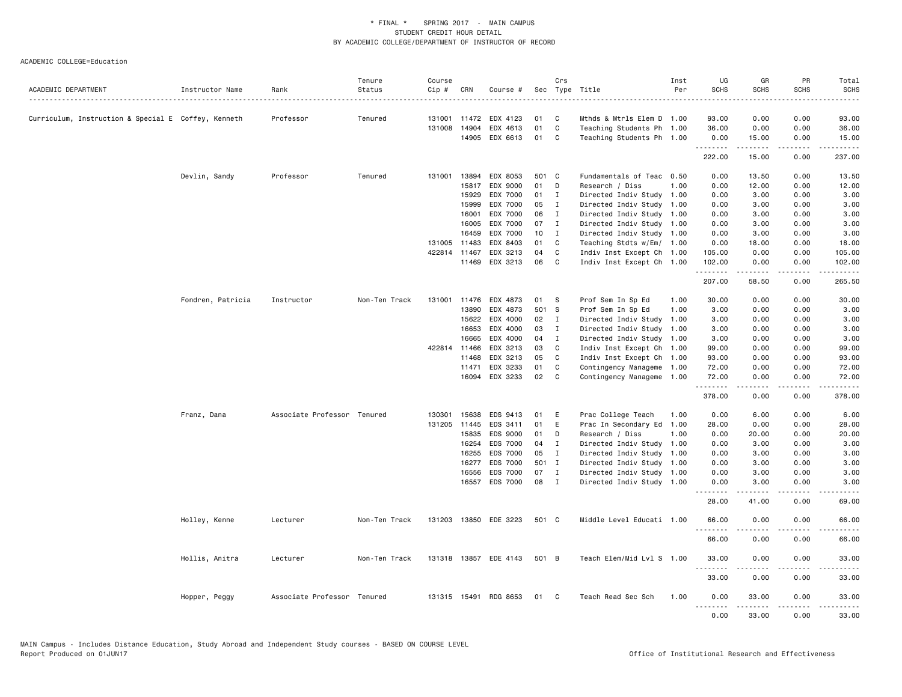|                                                     |                   |                             | Tenure        | Course |              |                       |       | Crs          |                           | Inst | UG               | GR          | PR            | Total                                                                                      |
|-----------------------------------------------------|-------------------|-----------------------------|---------------|--------|--------------|-----------------------|-------|--------------|---------------------------|------|------------------|-------------|---------------|--------------------------------------------------------------------------------------------|
| ACADEMIC DEPARTMENT                                 | Instructor Name   | Rank                        | Status        | Cip #  | CRN          | Course #              | Sec   |              | Type Title                | Per  | <b>SCHS</b>      | <b>SCHS</b> | <b>SCHS</b>   | <b>SCHS</b>                                                                                |
|                                                     |                   |                             |               |        |              |                       |       |              |                           |      |                  |             |               |                                                                                            |
| Curriculum, Instruction & Special E Coffey, Kenneth |                   | Professor                   | Tenured       |        | 131001 11472 | EDX 4123              | 01    | C            | Mthds & Mtrls Elem D 1.00 |      | 93.00            | 0.00        | 0.00          | 93.00                                                                                      |
|                                                     |                   |                             |               | 131008 | 14904        | EDX 4613              | 01    | C            | Teaching Students Ph 1.00 |      | 36.00            | 0.00        | 0.00          | 36.00                                                                                      |
|                                                     |                   |                             |               |        | 14905        | EDX 6613              | 01    | C            | Teaching Students Ph 1.00 |      | 0.00<br>.        | 15.00<br>.  | 0.00<br>.     | 15.00<br>.                                                                                 |
|                                                     |                   |                             |               |        |              |                       |       |              |                           |      | 222.00           | 15.00       | 0.00          | 237.00                                                                                     |
|                                                     | Devlin, Sandy     | Professor                   | Tenured       | 131001 | 13894        | EDX 8053              | 501 C |              | Fundamentals of Teac 0.50 |      | 0.00             | 13.50       | 0.00          | 13.50                                                                                      |
|                                                     |                   |                             |               |        | 15817        | EDX 9000              | 01    | D            | Research / Diss           | 1.00 | 0.00             | 12.00       | 0.00          | 12.00                                                                                      |
|                                                     |                   |                             |               |        | 15929        | EDX 7000              | 01    | I            | Directed Indiv Study 1.00 |      | 0.00             | 3.00        | 0.00          | 3.00                                                                                       |
|                                                     |                   |                             |               |        | 15999        | EDX 7000              | 05    | $\mathbf{I}$ | Directed Indiv Study 1.00 |      | 0.00             | 3.00        | 0.00          | 3.00                                                                                       |
|                                                     |                   |                             |               |        | 16001        | EDX 7000              | 06    | I            | Directed Indiv Study 1.00 |      | 0.00             | 3.00        | 0.00          | 3.00                                                                                       |
|                                                     |                   |                             |               |        | 16005        | EDX 7000              | 07    | $\mathbf I$  | Directed Indiv Study 1.00 |      | 0.00             | 3.00        | 0.00          | 3.00                                                                                       |
|                                                     |                   |                             |               |        | 16459        | EDX 7000              | 10    | $\mathbf{I}$ | Directed Indiv Study 1.00 |      | 0.00             | 3.00        | 0.00          | 3.00                                                                                       |
|                                                     |                   |                             |               |        | 131005 11483 | EDX 8403              | 01    | C            | Teaching Stdts w/Em/ 1.00 |      | 0.00             | 18.00       | 0.00          | 18.00                                                                                      |
|                                                     |                   |                             |               |        | 422814 11467 | EDX 3213              | 04    | C            | Indiv Inst Except Ch 1.00 |      | 105.00           | 0.00        | 0.00          | 105.00                                                                                     |
|                                                     |                   |                             |               |        | 11469        | EDX 3213              | 06    | C            | Indiv Inst Except Ch 1.00 |      | 102.00<br>.      | 0.00<br>.   | 0.00<br>.     | 102.00<br>$\mathbf{1} \cdot \mathbf{1} \cdot \mathbf{1} \cdot \mathbf{1} \cdot \mathbf{1}$ |
|                                                     |                   |                             |               |        |              |                       |       |              |                           |      | 207.00           | 58.50       | 0.00          | 265.50                                                                                     |
|                                                     | Fondren, Patricia | Instructor                  | Non-Ten Track | 131001 | 11476        | EDX 4873              | 01    | S            | Prof Sem In Sp Ed         | 1.00 | 30.00            | 0.00        | 0.00          | 30.00                                                                                      |
|                                                     |                   |                             |               |        | 13890        | EDX 4873              | 501 S |              | Prof Sem In Sp Ed         | 1.00 | 3.00             | 0.00        | 0.00          | 3.00                                                                                       |
|                                                     |                   |                             |               |        | 15622        | EDX 4000              | 02    | $\mathbf{I}$ | Directed Indiv Study      | 1.00 | 3.00             | 0.00        | 0.00          | 3.00                                                                                       |
|                                                     |                   |                             |               |        | 16653        | EDX 4000              | 03    | $\mathbf{I}$ | Directed Indiv Study      | 1.00 | 3.00             | 0.00        | 0.00          | 3.00                                                                                       |
|                                                     |                   |                             |               |        | 16665        | EDX 4000              | 04    | I            | Directed Indiv Study 1.00 |      | 3.00             | 0.00        | 0.00          | 3.00                                                                                       |
|                                                     |                   |                             |               |        | 422814 11466 | EDX 3213              | 03    | C            | Indiv Inst Except Ch 1.00 |      | 99.00            | 0.00        | 0.00          | 99.00                                                                                      |
|                                                     |                   |                             |               |        | 11468        | EDX 3213              | 05    | C            | Indiv Inst Except Ch 1.00 |      | 93.00            | 0.00        | 0.00          | 93.00                                                                                      |
|                                                     |                   |                             |               |        | 11471        | EDX 3233              | 01    | C            | Contingency Manageme      | 1.00 | 72.00            | 0.00        | 0.00          | 72.00                                                                                      |
|                                                     |                   |                             |               |        | 16094        | EDX 3233              | 02    | C.           | Contingency Manageme 1.00 |      | 72.00            | 0.00        | 0.00          | 72.00                                                                                      |
|                                                     |                   |                             |               |        |              |                       |       |              |                           |      | .<br>378.00      | 0.00        | 0.00          | 378.00                                                                                     |
|                                                     | Franz, Dana       | Associate Professor Tenured |               | 130301 | 15638        | EDS 9413              | 01    | E            | Prac College Teach        | 1.00 | 0.00             | 6.00        | 0.00          | 6.00                                                                                       |
|                                                     |                   |                             |               | 131205 | 11445        | EDS 3411              | 01    | E            | Prac In Secondary Ed      | 1.00 | 28.00            | 0.00        | 0.00          | 28.00                                                                                      |
|                                                     |                   |                             |               |        | 15835        | EDS 9000              | 01    | D            | Research / Diss           | 1.00 | 0.00             | 20.00       | 0.00          | 20.00                                                                                      |
|                                                     |                   |                             |               |        | 16254        | EDS 7000              | 04    | $\mathbf I$  | Directed Indiv Study 1.00 |      | 0.00             | 3.00        | 0.00          | 3.00                                                                                       |
|                                                     |                   |                             |               |        | 16255        | EDS 7000              | 05    | $\mathbf{I}$ | Directed Indiv Study      | 1.00 | 0.00             | 3.00        | 0.00          | 3.00                                                                                       |
|                                                     |                   |                             |               |        | 16277        | EDS 7000              | 501 I |              | Directed Indiv Study 1.00 |      | 0.00             | 3.00        | 0.00          | 3.00                                                                                       |
|                                                     |                   |                             |               |        | 16556        | EDS 7000              | 07    | $\mathbf{I}$ | Directed Indiv Study 1.00 |      | 0.00             | 3.00        | 0.00          | 3.00                                                                                       |
|                                                     |                   |                             |               |        | 16557        | EDS 7000              | 08    | $\mathbf{I}$ | Directed Indiv Study 1.00 |      | 0.00             | 3.00        | 0.00<br>$  -$ | 3.00                                                                                       |
|                                                     |                   |                             |               |        |              |                       |       |              |                           |      | .<br>28.00       | .<br>41.00  | 0.00          | 69.00                                                                                      |
|                                                     | Holley, Kenne     | Lecturer                    | Non-Ten Track |        |              | 131203 13850 EDE 3223 | 501 C |              | Middle Level Educati 1.00 |      | 66.00            | 0.00        | 0.00          | 66.00                                                                                      |
|                                                     |                   |                             |               |        |              |                       |       |              |                           |      | 66.00            | 0.00        | 0.00          | 66.00                                                                                      |
|                                                     | Hollis, Anitra    | Lecturer                    | Non-Ten Track |        |              | 131318 13857 EDE 4143 | 501 B |              | Teach Elem/Mid Lvl S 1.00 |      | 33.00            | 0.00        | 0.00          | 33.00                                                                                      |
|                                                     |                   |                             |               |        |              |                       |       |              |                           |      | .<br>33.00       | 0.00        | 0.00          | 33.00                                                                                      |
|                                                     | Hopper, Peggy     | Associate Professor Tenured |               |        |              | 131315 15491 RDG 8653 | 01    | $\mathbf{C}$ | Teach Read Sec Sch        | 1.00 | 0.00             | 33.00       | 0.00          | 33.00                                                                                      |
|                                                     |                   |                             |               |        |              |                       |       |              |                           |      | <u>.</u><br>0.00 | .<br>33.00  | .<br>0.00     | .<br>33.00                                                                                 |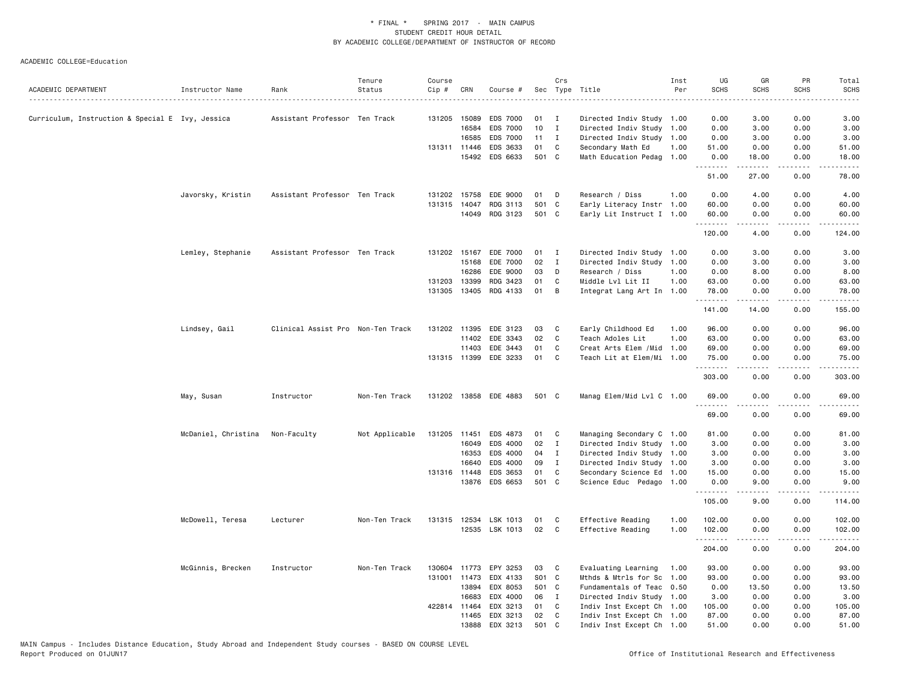| ACADEMIC DEPARTMENT                              | Instructor Name     | Rank                              | Tenure<br>Status | Course<br>Cip # | CRN          | Course #              |       | Crs          | Sec Type Title            | Inst<br>Per | UG<br><b>SCHS</b> | GR<br>SCHS    | PR<br><b>SCHS</b> | Total<br><b>SCHS</b><br>. |
|--------------------------------------------------|---------------------|-----------------------------------|------------------|-----------------|--------------|-----------------------|-------|--------------|---------------------------|-------------|-------------------|---------------|-------------------|---------------------------|
| Curriculum, Instruction & Special E Ivy, Jessica |                     | Assistant Professor Ten Track     |                  |                 | 131205 15089 | <b>EDS 7000</b>       | 01    | $\mathbf{I}$ | Directed Indiv Study 1.00 |             | 0.00              | 3.00          | 0.00              | 3.00                      |
|                                                  |                     |                                   |                  |                 | 16584        | EDS 7000              | 10    | $\mathbf{I}$ | Directed Indiv Study      | 1.00        | 0.00              | 3.00          | 0.00              | 3.00                      |
|                                                  |                     |                                   |                  |                 | 16585        | EDS 7000              | 11    | $\mathbf{I}$ | Directed Indiv Study 1.00 |             | 0.00              | 3.00          | 0.00              | 3.00                      |
|                                                  |                     |                                   |                  |                 | 131311 11446 | EDS 3633              | 01    | C            | Secondary Math Ed         | 1.00        | 51.00             | 0.00          | 0.00              | 51.00                     |
|                                                  |                     |                                   |                  |                 | 15492        | EDS 6633              | 501 C |              | Math Education Pedag 1.00 |             | 0.00<br>.         | 18.00<br>.    | 0.00<br>.         | 18.00<br>.                |
|                                                  |                     |                                   |                  |                 |              |                       |       |              |                           |             | 51.00             | 27.00         | 0.00              | 78.00                     |
|                                                  | Javorsky, Kristin   | Assistant Professor Ten Track     |                  | 131202          | 15758        | EDE 9000              | 01    | D            | Research / Diss           | 1.00        | 0.00              | 4.00          | 0.00              | 4.00                      |
|                                                  |                     |                                   |                  | 131315          | 14047        | RDG 3113              | 501   | <b>C</b>     | Early Literacy Instr 1.00 |             | 60.00             | 0.00          | 0.00              | 60.00                     |
|                                                  |                     |                                   |                  |                 |              | 14049 RDG 3123        | 501 C |              | Early Lit Instruct I 1.00 |             | 60.00             | 0.00          | 0.00              | 60.00                     |
|                                                  |                     |                                   |                  |                 |              |                       |       |              |                           |             | .<br>120.00       | .<br>4.00     | .<br>0.00         | .<br>124.00               |
|                                                  | Lemley, Stephanie   | Assistant Professor Ten Track     |                  |                 | 131202 15167 | EDE 7000              | 01    | $\mathbf{I}$ | Directed Indiv Study 1.00 |             | 0.00              | 3.00          | 0.00              | 3.00                      |
|                                                  |                     |                                   |                  |                 | 15168        | EDE 7000              | 02    | I            | Directed Indiv Study      | 1.00        | 0.00              | 3.00          | 0.00              | 3.00                      |
|                                                  |                     |                                   |                  |                 | 16286        | EDE 9000              | 03    | D            | Research / Diss           | 1.00        | 0.00              | 8.00          | 0.00              | 8.00                      |
|                                                  |                     |                                   |                  | 131203 13399    |              | RDG 3423              | 01    | C            | Middle Lvl Lit II         | 1.00        | 63.00             | 0.00          | 0.00              | 63.00                     |
|                                                  |                     |                                   |                  |                 |              | 131305 13405 RDG 4133 | 01    | B            | Integrat Lang Art In 1.00 |             | 78.00<br>.        | 0.00<br>.     | 0.00<br>.         | 78.00<br>.                |
|                                                  |                     |                                   |                  |                 |              |                       |       |              |                           |             | 141.00            | 14.00         | 0.00              | 155.00                    |
|                                                  | Lindsey, Gail       | Clinical Assist Pro Non-Ten Track |                  |                 | 131202 11395 | EDE 3123              | 03    | C            | Early Childhood Ed        | 1.00        | 96.00             | 0.00          | 0.00              | 96.00                     |
|                                                  |                     |                                   |                  |                 | 11402        | EDE 3343              | 02    | C            | Teach Adoles Lit          | 1.00        | 63.00             | 0.00          | 0.00              | 63.00                     |
|                                                  |                     |                                   |                  |                 | 11403        | EDE 3443              | 01    | C            | Creat Arts Elem /Mid      | 1.00        | 69.00             | 0.00          | 0.00              | 69.00                     |
|                                                  |                     |                                   |                  |                 | 131315 11399 | EDE 3233              | 01    | C            | Teach Lit at Elem/Mi 1.00 |             | 75.00<br>.        | 0.00<br>.     | 0.00<br>.         | 75.00<br>.                |
|                                                  |                     |                                   |                  |                 |              |                       |       |              |                           |             | 303.00            | 0.00          | 0.00              | 303.00                    |
|                                                  | May, Susan          | Instructor                        | Non-Ten Track    |                 |              | 131202 13858 EDE 4883 | 501 C |              | Manag Elem/Mid Lvl C 1.00 |             | 69.00<br><u>.</u> | 0.00<br>.     | 0.00<br>$- - - -$ | 69.00<br>. <b>.</b>       |
|                                                  |                     |                                   |                  |                 |              |                       |       |              |                           |             | 69.00             | 0.00          | 0.00              | 69.00                     |
|                                                  | McDaniel, Christina | Non-Faculty                       | Not Applicable   | 131205 11451    |              | EDS 4873              | 01    | C            | Managing Secondary C 1.00 |             | 81.00             | 0.00          | 0.00              | 81.00                     |
|                                                  |                     |                                   |                  |                 | 16049        | EDS 4000              | 02    | $\mathbf{I}$ | Directed Indiv Study 1.00 |             | 3.00              | 0.00          | 0.00              | 3.00                      |
|                                                  |                     |                                   |                  |                 | 16353        | EDS 4000              | 04    | $\mathbf{I}$ | Directed Indiv Study 1.00 |             | 3.00              | 0.00          | 0.00              | 3.00                      |
|                                                  |                     |                                   |                  |                 | 16640        | EDS 4000              | 09    | $\mathbf{I}$ | Directed Indiv Study 1.00 |             | 3.00              | 0.00          | 0.00              | 3.00                      |
|                                                  |                     |                                   |                  |                 | 131316 11448 | EDS 3653              | 01    | C            | Secondary Science Ed 1.00 |             | 15.00             | 0.00          | 0.00              | 15.00                     |
|                                                  |                     |                                   |                  |                 |              | 13876 EDS 6653        | 501 C |              | Science Educ Pedago 1.00  |             | 0.00<br>.         | 9.00<br>.     | 0.00<br>.         | 9.00<br>.                 |
|                                                  |                     |                                   |                  |                 |              |                       |       |              |                           |             | 105.00            | 9.00          | 0.00              | 114.00                    |
|                                                  | McDowell, Teresa    | Lecturer                          | Non-Ten Track    |                 |              | 131315 12534 LSK 1013 | 01    | C            | Effective Reading         | 1.00        | 102.00            | 0.00          | 0.00              | 102.00                    |
|                                                  |                     |                                   |                  |                 |              | 12535 LSK 1013        | 02    | C            | Effective Reading         | 1.00        | 102.00<br>.       | 0.00<br>----- | 0.00<br>.         | 102.00<br>المتمام المتمار |
|                                                  |                     |                                   |                  |                 |              |                       |       |              |                           |             | 204.00            | 0.00          | 0.00              | 204.00                    |
|                                                  | McGinnis, Brecken   | Instructor                        | Non-Ten Track    | 130604          | 11773        | EPY 3253              | 03    | C            | Evaluating Learning       | 1.00        | 93.00             | 0.00          | 0.00              | 93.00                     |
|                                                  |                     |                                   |                  | 131001          | 11473        | EDX 4133              | S01 C |              | Mthds & Mtrls for Sc      | 1.00        | 93.00             | 0.00          | 0.00              | 93.00                     |
|                                                  |                     |                                   |                  |                 | 13894        | EDX 8053              | 501 C |              | Fundamentals of Teac      | 0.50        | 0.00              | 13.50         | 0.00              | 13.50                     |
|                                                  |                     |                                   |                  |                 | 16683        | EDX 4000              | 06    | $\mathbf{I}$ | Directed Indiv Study 1.00 |             | 3.00              | 0.00          | 0.00              | 3.00                      |
|                                                  |                     |                                   |                  | 422814 11464    |              | EDX 3213              | 01    | C            | Indiv Inst Except Ch 1.00 |             | 105.00            | 0.00          | 0.00              | 105.00                    |
|                                                  |                     |                                   |                  |                 | 11465        | EDX 3213              | 02    | C            | Indiv Inst Except Ch 1.00 |             | 87.00             | 0.00          | 0.00              | 87.00                     |
|                                                  |                     |                                   |                  |                 | 13888        | EDX 3213              | 501   | C            | Indiv Inst Except Ch 1.00 |             | 51.00             | 0.00          | 0.00              | 51.00                     |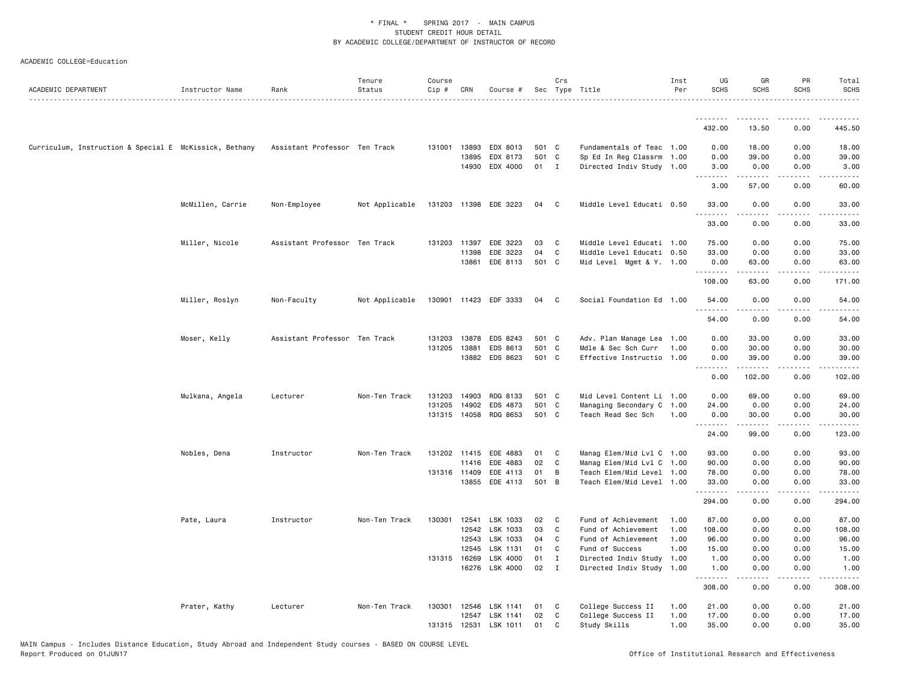| ACADEMIC DEPARTMENT                                    | Instructor Name  | Rank                          | Tenure<br>Status | Course<br>Cip # | CRN          | Course #                   |          | Crs          | Sec Type Title                                    | Inst<br>Per | UG<br><b>SCHS</b>                                                                                                                  | GR<br><b>SCHS</b> | PR<br><b>SCHS</b>            | Total<br><b>SCHS</b> |
|--------------------------------------------------------|------------------|-------------------------------|------------------|-----------------|--------------|----------------------------|----------|--------------|---------------------------------------------------|-------------|------------------------------------------------------------------------------------------------------------------------------------|-------------------|------------------------------|----------------------|
|                                                        |                  |                               |                  |                 |              |                            |          |              |                                                   |             | .                                                                                                                                  | ---------         | .                            | $- - - - - -$        |
|                                                        |                  |                               |                  |                 |              |                            |          |              |                                                   |             | 432.00                                                                                                                             | 13.50             | 0.00                         | 445.50               |
| Curriculum, Instruction & Special E McKissick, Bethany |                  | Assistant Professor Ten Track |                  |                 | 131001 13893 | EDX 8013                   | 501 C    |              | Fundamentals of Teac 1.00                         |             | 0.00                                                                                                                               | 18.00             | 0.00                         | 18.00                |
|                                                        |                  |                               |                  |                 | 13895        | EDX 8173                   | 501 C    |              | Sp Ed In Reg Classrm 1.00                         |             | 0.00                                                                                                                               | 39.00             | 0.00                         | 39.00                |
|                                                        |                  |                               |                  |                 | 14930        | EDX 4000                   | 01 I     |              | Directed Indiv Study 1.00                         |             | 3.00<br>$\omega$ $\omega$ $\omega$ $\omega$                                                                                        | 0.00              | 0.00                         | 3.00                 |
|                                                        |                  |                               |                  |                 |              |                            |          |              |                                                   |             | 3.00                                                                                                                               | 57.00             | 0.00                         | 60.00                |
|                                                        | McMillen, Carrie | Non-Employee                  | Not Applicable   |                 |              | 131203 11398 EDE 3223      | 04       | C            | Middle Level Educati 0.50                         |             | 33.00<br>.                                                                                                                         | 0.00<br>-----     | 0.00<br>.                    | 33.00<br>.           |
|                                                        |                  |                               |                  |                 |              |                            |          |              |                                                   |             | 33.00                                                                                                                              | 0.00              | 0.00                         | 33.00                |
|                                                        | Miller, Nicole   | Assistant Professor Ten Track |                  | 131203          | 11397        | EDE 3223                   | 03       | C            | Middle Level Educati 1.00                         |             | 75.00                                                                                                                              | 0.00              | 0.00                         | 75.00                |
|                                                        |                  |                               |                  |                 | 11398        | EDE 3223                   | 04       | C            | Middle Level Educati 0.50                         |             | 33.00                                                                                                                              | 0.00              | 0.00                         | 33.00                |
|                                                        |                  |                               |                  |                 | 13861        | EDE 8113                   | 501 C    |              | Mid Level Mgmt & Y. 1.00                          |             | 0.00<br>.                                                                                                                          | 63.00<br>.        | 0.00<br>.                    | 63.00<br>.           |
|                                                        |                  |                               |                  |                 |              |                            |          |              |                                                   |             | 108.00                                                                                                                             | 63.00             | 0.00                         | 171.00               |
|                                                        | Miller, Roslyn   | Non-Faculty                   | Not Applicable   |                 |              | 130901 11423 EDF 3333      | 04       | $\mathbf{C}$ | Social Foundation Ed 1.00                         |             | 54.00<br>$\begin{array}{cccccccccccccc} \bullet & \bullet & \bullet & \bullet & \bullet & \bullet & \bullet & \bullet \end{array}$ | 0.00              | 0.00<br>$\sim$ $\sim$ $\sim$ | 54.00                |
|                                                        |                  |                               |                  |                 |              |                            |          |              |                                                   |             | 54.00                                                                                                                              | 0.00              | 0.00                         | 54.00                |
|                                                        | Moser, Kelly     | Assistant Professor Ten Track |                  |                 | 131203 13878 | EDS 8243                   | 501 C    |              | Adv. Plan Manage Lea 1.00                         |             | 0.00                                                                                                                               | 33.00             | 0.00                         | 33.00                |
|                                                        |                  |                               |                  | 131205          | 13881        | EDS 8613                   | 501 C    |              | Mdle & Sec Sch Curr                               | 1.00        | 0.00                                                                                                                               | 30.00             | 0.00                         | 30.00                |
|                                                        |                  |                               |                  |                 | 13882        | EDS 8623                   | 501 C    |              | Effective Instructio 1.00                         |             | 0.00<br>.                                                                                                                          | 39.00<br>.        | 0.00<br>.                    | 39.00<br>-----       |
|                                                        |                  |                               |                  |                 |              |                            |          |              |                                                   |             | 0.00                                                                                                                               | 102.00            | 0.00                         | 102.00               |
|                                                        | Mulkana, Angela  | Lecturer                      | Non-Ten Track    | 131203          | 14903        | RDG 8133                   | 501 C    |              | Mid Level Content Li 1.00                         |             | 0.00                                                                                                                               | 69.00             | 0.00                         | 69.00                |
|                                                        |                  |                               |                  | 131205          | 14902        | EDS 4873                   | 501 C    |              | Managing Secondary C 1.00                         |             | 24.00                                                                                                                              | 0.00              | 0.00                         | 24.00                |
|                                                        |                  |                               |                  |                 | 131315 14058 | RDG 8653                   | 501 C    |              | Teach Read Sec Sch                                | 1.00        | 0.00<br>.                                                                                                                          | 30.00             | 0.00                         | 30.00                |
|                                                        |                  |                               |                  |                 |              |                            |          |              |                                                   |             | 24.00                                                                                                                              | 99.00             | 0.00                         | 123.00               |
|                                                        | Nobles, Dena     | Instructor                    | Non-Ten Track    |                 | 131202 11415 | EDE 4883                   | 01       | C            | Manag Elem/Mid Lvl C 1.00                         |             | 93.00                                                                                                                              | 0.00              | 0.00                         | 93.00                |
|                                                        |                  |                               |                  |                 | 11416        | EDE 4883                   | 02       | C            | Manag Elem/Mid Lvl C 1.00                         |             | 90.00                                                                                                                              | 0.00              | 0.00                         | 90.00                |
|                                                        |                  |                               |                  |                 | 131316 11409 | EDE 4113                   | 01       | B            | Teach Elem/Mid Level 1.00                         |             | 78.00                                                                                                                              | 0.00              | 0.00                         | 78.00                |
|                                                        |                  |                               |                  |                 | 13855        | EDE 4113                   | 501 B    |              | Teach Elem/Mid Level 1.00                         |             | 33.00<br>.                                                                                                                         | 0.00              | 0.00<br>$\sim$ $\sim$ $\sim$ | 33.00<br>.           |
|                                                        |                  |                               |                  |                 |              |                            |          |              |                                                   |             | 294.00                                                                                                                             | 0.00              | 0.00                         | 294.00               |
|                                                        | Pate, Laura      | Instructor                    | Non-Ten Track    | 130301          | 12541        | LSK 1033                   | 02       | C            | Fund of Achievement                               | 1.00        | 87.00                                                                                                                              | 0.00              | 0.00                         | 87.00                |
|                                                        |                  |                               |                  |                 | 12542        | LSK 1033                   | 03       | C            | Fund of Achievement                               | 1.00        | 108.00                                                                                                                             | 0.00              | 0.00                         | 108.00               |
|                                                        |                  |                               |                  |                 | 12543        | LSK 1033                   | 04       | C            | Fund of Achievement                               | 1.00        | 96.00                                                                                                                              | 0.00              | 0.00                         | 96.00                |
|                                                        |                  |                               |                  |                 | 12545        | LSK 1131                   | 01       | C            | Fund of Success                                   | 1.00        | 15.00                                                                                                                              | 0.00              | 0.00                         | 15.00                |
|                                                        |                  |                               |                  |                 | 131315 16269 | LSK 4000<br>16276 LSK 4000 | 01<br>02 | I<br>I       | Directed Indiv Study<br>Directed Indiv Study 1.00 | 1.00        | 1.00<br>1.00                                                                                                                       | 0.00<br>0.00      | 0.00<br>0.00                 | 1.00<br>1.00         |
|                                                        |                  |                               |                  |                 |              |                            |          |              |                                                   |             | .<br>308.00                                                                                                                        | .<br>0.00         | $\sim$ $\sim$ $\sim$<br>0.00 | .<br>308.00          |
|                                                        | Prater, Kathy    | Lecturer                      | Non-Ten Track    | 130301          | 12546        | LSK 1141                   | 01       | C            | College Success II                                | 1.00        | 21.00                                                                                                                              | 0.00              | 0.00                         | 21.00                |
|                                                        |                  |                               |                  |                 | 12547        | LSK 1141                   | 02       | C            | College Success II                                | 1.00        | 17.00                                                                                                                              | 0.00              | 0.00                         | 17.00                |
|                                                        |                  |                               |                  |                 |              | 131315 12531 LSK 1011      | 01       | C            | Study Skills                                      | 1.00        | 35.00                                                                                                                              | 0.00              | 0.00                         | 35.00                |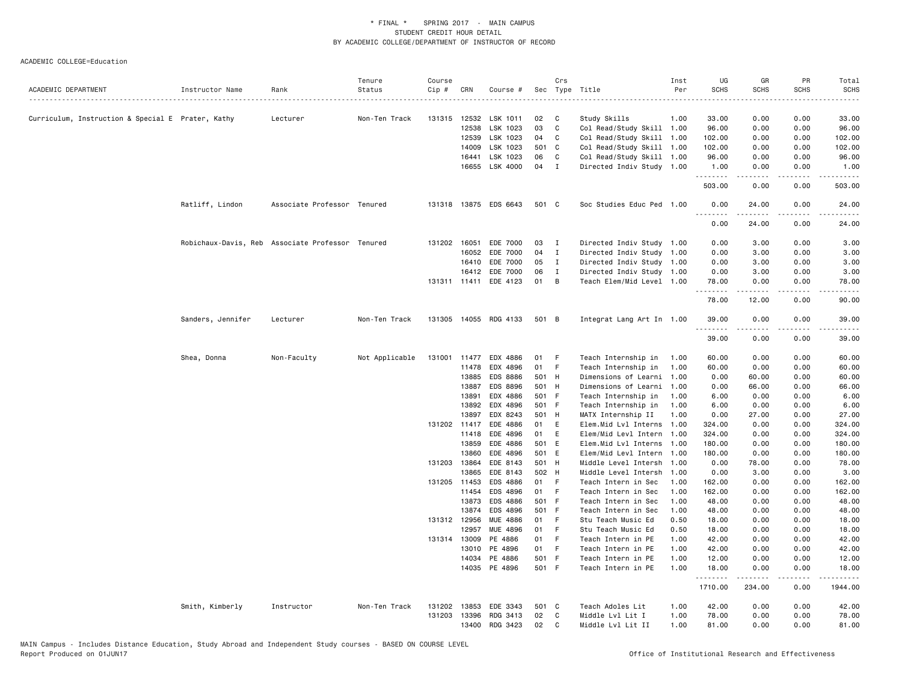|                                                   |                                                  |                             | Tenure         | Course |                |                       |               | Crs          |                                            | Inst         | UG                    | GR                  | PR           | Total             |
|---------------------------------------------------|--------------------------------------------------|-----------------------------|----------------|--------|----------------|-----------------------|---------------|--------------|--------------------------------------------|--------------|-----------------------|---------------------|--------------|-------------------|
| ACADEMIC DEPARTMENT                               | Instructor Name                                  | Rank                        | Status         | Cip #  | CRN            | Course #              |               |              | Sec Type Title                             | Per          | <b>SCHS</b>           | <b>SCHS</b>         | <b>SCHS</b>  | <b>SCHS</b>       |
|                                                   |                                                  | Lecturer                    | Non-Ten Track  | 131315 | 12532          | LSK 1011              | 02            | C            | Study Skills                               | 1.00         | 33.00                 | 0.00                | 0.00         | 33.00             |
| Curriculum, Instruction & Special E Prater, Kathy |                                                  |                             |                |        | 12538          | LSK 1023              | 03            | C            | Col Read/Study Skill 1.00                  |              | 96.00                 | 0.00                | 0.00         | 96.00             |
|                                                   |                                                  |                             |                |        | 12539          | LSK 1023              | 04 C          |              | Col Read/Study Skill 1.00                  |              | 102.00                | 0.00                | 0.00         | 102.00            |
|                                                   |                                                  |                             |                |        | 14009          | LSK 1023              | 501 C         |              | Col Read/Study Skill 1.00                  |              | 102.00                | 0.00                | 0.00         | 102.00            |
|                                                   |                                                  |                             |                |        | 16441          | LSK 1023              | 06            | C            | Col Read/Study Skill 1.00                  |              | 96.00                 | 0.00                | 0.00         | 96.00             |
|                                                   |                                                  |                             |                |        | 16655          | LSK 4000              | 04 I          |              | Directed Indiv Study 1.00                  |              | 1.00                  | 0.00                | 0.00         | 1.00              |
|                                                   |                                                  |                             |                |        |                |                       |               |              |                                            |              | . <b>.</b><br>503.00  | 0.00                | 0.00         | 503.00            |
|                                                   | Ratliff, Lindon                                  | Associate Professor Tenured |                |        |                | 131318 13875 EDS 6643 | 501 C         |              | Soc Studies Educ Ped 1.00                  |              | 0.00                  | 24.00               | 0.00<br>.    | 24.00             |
|                                                   |                                                  |                             |                |        |                |                       |               |              |                                            |              | $\frac{1}{2}$<br>0.00 | . <u>.</u><br>24.00 | 0.00         | 24.00             |
|                                                   | Robichaux-Davis, Reb Associate Professor Tenured |                             |                |        | 131202 16051   | EDE 7000              | 03            | $\mathbf{I}$ | Directed Indiv Study 1.00                  |              | 0.00                  | 3.00                | 0.00         | 3.00              |
|                                                   |                                                  |                             |                |        | 16052          | EDE 7000              | 04            | $\mathbf{I}$ | Directed Indiv Study 1.00                  |              | 0.00                  | 3.00                | 0.00         | 3.00              |
|                                                   |                                                  |                             |                |        | 16410          | EDE 7000              | 05            | $\mathbf{I}$ | Directed Indiv Study 1.00                  |              | 0.00                  | 3.00                | 0.00         | 3.00              |
|                                                   |                                                  |                             |                |        | 16412          | EDE 7000              | 06            | $\mathbf{I}$ | Directed Indiv Study 1.00                  |              | 0.00                  | 3.00                | 0.00         | 3.00              |
|                                                   |                                                  |                             |                |        | 131311 11411   | EDE 4123              | 01            | B            | Teach Elem/Mid Level 1.00                  |              | 78.00<br>.            | 0.00                | 0.00         | 78.00             |
|                                                   |                                                  |                             |                |        |                |                       |               |              |                                            |              | 78.00                 | 12.00               | 0.00         | 90.00             |
|                                                   | Sanders, Jennifer                                | Lecturer                    | Non-Ten Track  |        |                | 131305 14055 RDG 4133 | 501 B         |              | Integrat Lang Art In 1.00                  |              | 39.00<br><u>.</u>     | 0.00                | 0.00         | 39.00             |
|                                                   |                                                  |                             |                |        |                |                       |               |              |                                            |              | 39.00                 | 0.00                | 0.00         | 39.00             |
|                                                   | Shea, Donna                                      | Non-Faculty                 | Not Applicable |        | 131001 11477   | EDX 4886              | 01            | - F          | Teach Internship in                        | 1.00         | 60.00                 | 0.00                | 0.00         | 60.00             |
|                                                   |                                                  |                             |                |        | 11478          | EDX 4896              | 01 F          |              | Teach Internship in                        | 1.00         | 60.00                 | 0.00                | 0.00         | 60.00             |
|                                                   |                                                  |                             |                |        | 13885          | <b>EDS 8886</b>       | 501 H         |              | Dimensions of Learni 1.00                  |              | 0.00                  | 60.00               | 0.00         | 60.00             |
|                                                   |                                                  |                             |                |        | 13887          | EDS 8896              | 501 H         |              | Dimensions of Learni                       | 1.00         | 0.00                  | 66.00               | 0.00         | 66.00             |
|                                                   |                                                  |                             |                |        | 13891          | EDX 4886              | 501 F         |              | Teach Internship in                        | 1.00         | 6.00                  | 0.00                | 0.00         | 6.00              |
|                                                   |                                                  |                             |                |        | 13892          | EDX 4896              | 501 F         |              | Teach Internship in                        | 1.00         | 6.00                  | 0.00                | 0.00         | 6.00              |
|                                                   |                                                  |                             |                |        | 13897          | EDX 8243              | 501 H         |              | MATX Internship II                         | 1.00         | 0.00                  | 27.00               | 0.00         | 27.00             |
|                                                   |                                                  |                             |                |        | 131202 11417   | EDE 4886              | 01            | E            | Elem.Mid Lvl Interns 1.00                  |              | 324.00                | 0.00                | 0.00         | 324.00            |
|                                                   |                                                  |                             |                |        | 11418          | EDE 4896              | 01            | E            | Elem/Mid Levl Intern 1.00                  |              | 324.00                | 0.00                | 0.00         | 324.00            |
|                                                   |                                                  |                             |                |        | 13859          | EDE 4886              | 501 E         |              | Elem.Mid Lvl Interns 1.00                  |              | 180.00                | 0.00                | 0.00         | 180.00            |
|                                                   |                                                  |                             |                |        | 13860          | EDE 4896              | 501 E         |              | Elem/Mid Levl Intern 1.00                  |              | 180.00                | 0.00                | 0.00         | 180.00            |
|                                                   |                                                  |                             |                |        | 131203 13864   | EDE 8143              | 501 H         |              | Middle Level Intersh 1.00                  |              | 0.00                  | 78.00               | 0.00         | 78.00             |
|                                                   |                                                  |                             |                |        | 13865          | EDE 8143              | 502 H         |              | Middle Level Intersh 1.00                  |              | 0.00                  | 3.00                | 0.00         | 3.00              |
|                                                   |                                                  |                             |                |        | 131205 11453   | EDS 4886              | 01 F          |              | Teach Intern in Sec                        | 1.00         | 162.00                | 0.00                | 0.00         | 162.00            |
|                                                   |                                                  |                             |                |        | 11454<br>13873 | EDS 4896<br>EDS 4886  | 01 F<br>501 F |              | Teach Intern in Sec                        | 1.00<br>1.00 | 162.00<br>48.00       | 0.00<br>0.00        | 0.00<br>0.00 | 162.00<br>48.00   |
|                                                   |                                                  |                             |                |        | 13874          | EDS 4896              | 501 F         |              | Teach Intern in Sec<br>Teach Intern in Sec | 1.00         | 48.00                 | 0.00                | 0.00         | 48.00             |
|                                                   |                                                  |                             |                |        | 131312 12956   | MUE 4886              | 01            | F            | Stu Teach Music Ed                         | 0.50         | 18.00                 | 0.00                | 0.00         | 18.00             |
|                                                   |                                                  |                             |                |        | 12957          | MUE 4896              | 01 F          |              | Stu Teach Music Ed                         | 0.50         | 18.00                 | 0.00                | 0.00         | 18.00             |
|                                                   |                                                  |                             |                |        | 131314 13009   | PE 4886               | 01 F          |              | Teach Intern in PE                         | 1.00         | 42.00                 | 0.00                | 0.00         | 42.00             |
|                                                   |                                                  |                             |                |        | 13010          | PE 4896               | 01            | - F          | Teach Intern in PE                         | 1.00         | 42.00                 | 0.00                | 0.00         | 42.00             |
|                                                   |                                                  |                             |                |        | 14034          | PE 4886               | 501 F         |              | Teach Intern in PE                         | 1.00         | 12.00                 | 0.00                | 0.00         | 12.00             |
|                                                   |                                                  |                             |                |        | 14035          | PE 4896               | 501 F         |              | Teach Intern in PE                         | 1.00         | 18.00                 | 0.00                | 0.00         | 18.00             |
|                                                   |                                                  |                             |                |        |                |                       |               |              |                                            |              | .<br>1710.00          | <u>.</u><br>234.00  | .<br>0.00    | ------<br>1944.00 |
|                                                   | Smith, Kimberly                                  | Instructor                  | Non-Ten Track  | 131202 | 13853          | EDE 3343              | 501 C         |              | Teach Adoles Lit                           | 1.00         | 42.00                 | 0.00                | 0.00         | 42.00             |
|                                                   |                                                  |                             |                | 131203 | 13396          | RDG 3413              | 02            | $\mathbf{C}$ | Middle Lvl Lit I                           | 1.00         | 78.00                 | 0.00                | 0.00         | 78.00             |
|                                                   |                                                  |                             |                |        | 13400          | RDG 3423              | 02            | C            | Middle Lvl Lit II                          | 1.00         | 81.00                 | 0.00                | 0.00         | 81.00             |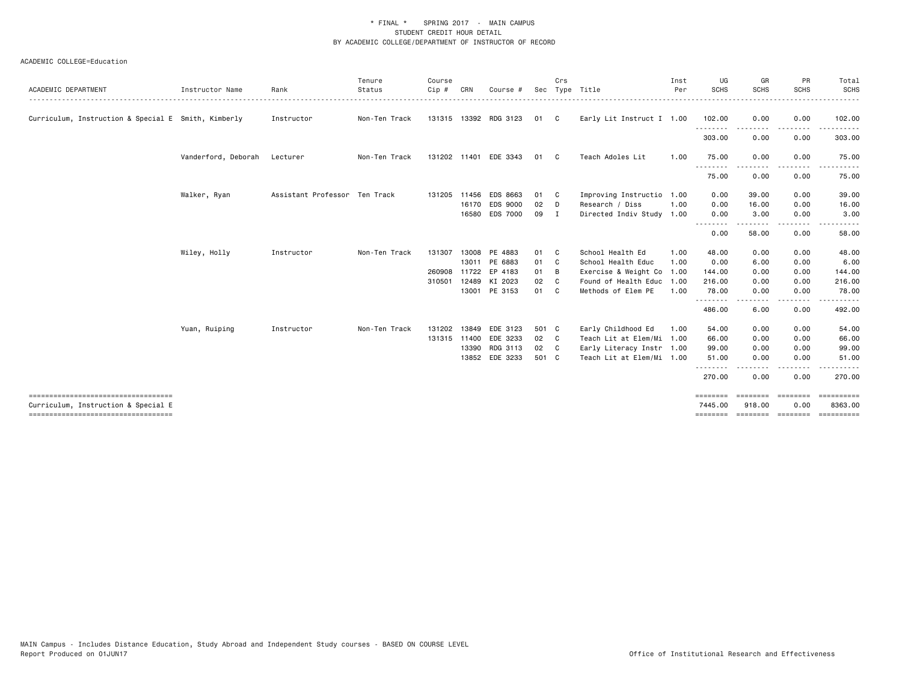| ACADEMIC DEPARTMENT                                                         | Instructor Name     | Rank                          | Tenure<br>Status | Course<br>$Cip$ # | CRN   | Course #              |       | Crs            | Sec Type Title            | Inst<br>Per | UG<br><b>SCHS</b>   | GR<br>SCHS         | PR<br><b>SCHS</b>     | Total<br><b>SCHS</b><br>. |
|-----------------------------------------------------------------------------|---------------------|-------------------------------|------------------|-------------------|-------|-----------------------|-------|----------------|---------------------------|-------------|---------------------|--------------------|-----------------------|---------------------------|
| Curriculum, Instruction & Special E Smith, Kimberly                         |                     | Instructor                    | Non-Ten Track    |                   |       | 131315 13392 RDG 3123 | 01    | C              | Early Lit Instruct I 1.00 |             | 102.00              | 0.00               | 0.00                  | 102.00                    |
|                                                                             |                     |                               |                  |                   |       |                       |       |                |                           |             | .<br>303.00         | -----<br>0.00      | .<br>0.00             | 303.00                    |
|                                                                             | Vanderford, Deborah | Lecturer                      | Non-Ten Track    |                   |       | 131202 11401 EDE 3343 | 01    | C.             | Teach Adoles Lit          | 1.00        | 75.00               | 0.00               | 0.00                  | 75.00                     |
|                                                                             |                     |                               |                  |                   |       |                       |       |                |                           |             | .<br>75.00          | 0.00               | ----<br>0.00          | 75.00                     |
|                                                                             | Walker, Ryan        | Assistant Professor Ten Track |                  |                   |       | 131205 11456 EDS 8663 | 01    | C              | Improving Instructio      | 1.00        | 0.00                | 39.00              | 0.00                  | 39.00                     |
|                                                                             |                     |                               |                  |                   |       | 16170 EDS 9000        | 02    | D              | Research / Diss           | 1.00        | 0.00                | 16.00              | 0.00                  | 16.00                     |
|                                                                             |                     |                               |                  |                   |       | 16580 EDS 7000        | 09    | I              | Directed Indiv Study      | 1.00        | 0.00<br><u>.</u>    | 3.00<br>.          | 0.00<br>$\frac{1}{2}$ | 3.00                      |
|                                                                             |                     |                               |                  |                   |       |                       |       |                |                           |             | 0.00                | 58.00              | 0.00                  | 58.00                     |
|                                                                             | Wiley, Holly        | Instructor                    | Non-Ten Track    | 131307            |       | 13008 PE 4883         | 01    | - C            | School Health Ed          | 1.00        | 48.00               | 0.00               | 0.00                  | 48.00                     |
|                                                                             |                     |                               |                  |                   |       | 13011 PE 6883         | 01    | - C            | School Health Educ        | 1.00        | 0.00                | 6.00               | 0.00                  | 6.00                      |
|                                                                             |                     |                               |                  |                   |       | 260908 11722 EP 4183  | 01    | B              | Exercise & Weight Co      | 1.00        | 144.00              | 0.00               | 0.00                  | 144.00                    |
|                                                                             |                     |                               |                  | 310501            |       | 12489 KI 2023         | 02    | C              | Found of Health Educ      | 1.00        | 216.00              | 0.00               | 0.00                  | 216.00                    |
|                                                                             |                     |                               |                  |                   |       | 13001 PE 3153         | 01    | C.             | Methods of Elem PE        | 1.00        | 78.00               | 0.00               | 0.00                  | 78.00                     |
|                                                                             |                     |                               |                  |                   |       |                       |       |                |                           |             | <u>.</u><br>486.00  | <u>.</u><br>6.00   | -----<br>0.00         | .<br>492.00               |
|                                                                             | Yuan, Ruiping       | Instructor                    | Non-Ten Track    | 131202            | 13849 | EDE 3123              | 501 C |                | Early Childhood Ed        | 1.00        | 54.00               | 0.00               | 0.00                  | 54.00                     |
|                                                                             |                     |                               |                  | 131315 11400      |       | EDE 3233              | 02    | C <sub>1</sub> | Teach Lit at Elem/Mi      | 1.00        | 66.00               | 0.00               | 0.00                  | 66.00                     |
|                                                                             |                     |                               |                  |                   | 13390 | RDG 3113              | 02    | C <sub>1</sub> | Early Literacy Instr 1.00 |             | 99.00               | 0.00               | 0.00                  | 99.00                     |
|                                                                             |                     |                               |                  |                   |       | 13852 EDE 3233        | 501 C |                | Teach Lit at Elem/Mi 1.00 |             | 51.00               | 0.00               | 0.00                  | 51.00                     |
|                                                                             |                     |                               |                  |                   |       |                       |       |                |                           |             | --------<br>270.00  | <u>.</u><br>0.00   | .<br>0.00             | .<br>270.00               |
| ====================================<br>Curriculum, Instruction & Special E |                     |                               |                  |                   |       |                       |       |                |                           |             | ========<br>7445.00 | ========<br>918.00 | ========<br>0.00      | ==========<br>8363.00     |
| ====================================                                        |                     |                               |                  |                   |       |                       |       |                |                           |             | ========            | ========= ======== |                       | <b>CONSESSED</b>          |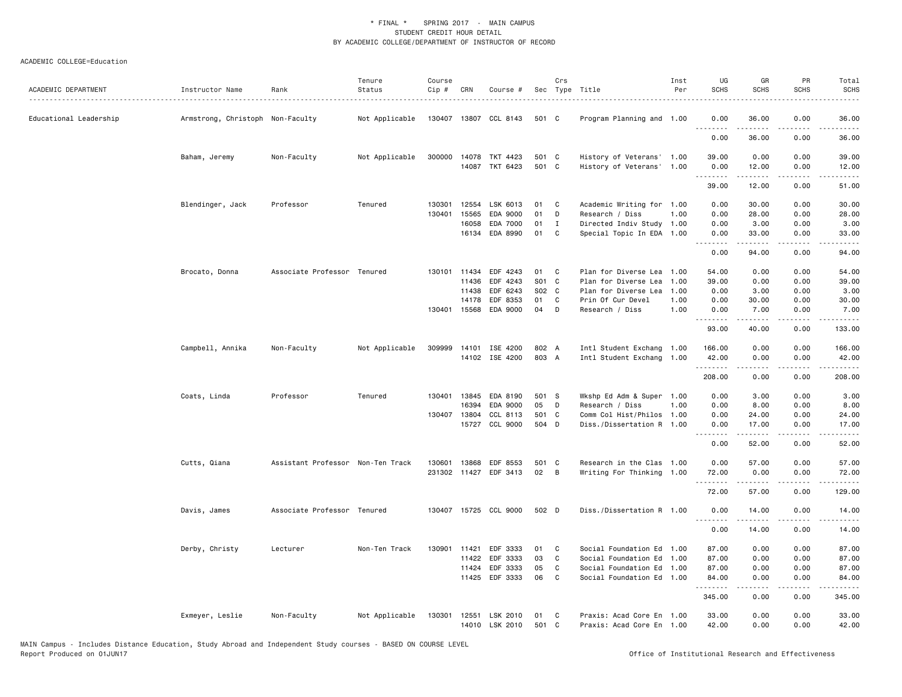| ACADEMIC DEPARTMENT    | Instructor Name                  | Rank                              | Tenure<br>Status<br>. | Course<br>$Cip \#$ | CRN          | Course #              |       | Crs          | Sec Type Title            | Inst<br>Per | UG<br><b>SCHS</b>                      | GR<br><b>SCHS</b> | PR<br><b>SCHS</b>            | Total<br><b>SCHS</b><br>$\frac{1}{2} \left( \frac{1}{2} \right) \left( \frac{1}{2} \right) \left( \frac{1}{2} \right) \left( \frac{1}{2} \right)$ |
|------------------------|----------------------------------|-----------------------------------|-----------------------|--------------------|--------------|-----------------------|-------|--------------|---------------------------|-------------|----------------------------------------|-------------------|------------------------------|---------------------------------------------------------------------------------------------------------------------------------------------------|
| Educational Leadership | Armstrong, Christoph Non-Faculty |                                   | Not Applicable        |                    |              | 130407 13807 CCL 8143 | 501 C |              | Program Planning and 1.00 |             | 0.00<br>.                              | 36.00             | 0.00                         | 36.00                                                                                                                                             |
|                        |                                  |                                   |                       |                    |              |                       |       |              |                           |             | 0.00                                   | 36.00             | 0.00                         | 36.00                                                                                                                                             |
|                        | Baham, Jeremy                    | Non-Faculty                       | Not Applicable        |                    | 300000 14078 | TKT 4423              | 501 C |              | History of Veterans' 1.00 |             | 39.00                                  | 0.00              | 0.00                         | 39.00                                                                                                                                             |
|                        |                                  |                                   |                       |                    |              | 14087 TKT 6423        | 501 C |              | History of Veterans' 1.00 |             | 0.00<br>.                              | 12.00<br>.        | 0.00<br>.                    | 12.00<br>.                                                                                                                                        |
|                        |                                  |                                   |                       |                    |              |                       |       |              |                           |             | 39.00                                  | 12.00             | 0.00                         | 51.00                                                                                                                                             |
|                        | Blendinger, Jack                 | Professor                         | Tenured               | 130301             | 12554        | LSK 6013              | 01    | C            | Academic Writing for 1.00 |             | 0.00                                   | 30.00             | 0.00                         | 30.00                                                                                                                                             |
|                        |                                  |                                   |                       | 130401             | 15565        | EDA 9000              | 01    | D            | Research / Diss           | 1.00        | 0.00                                   | 28.00             | 0.00                         | 28.00                                                                                                                                             |
|                        |                                  |                                   |                       |                    | 16058        | EDA 7000              | 01    | $\mathbf{I}$ | Directed Indiv Study 1.00 |             | 0.00                                   | 3.00              | 0.00                         | 3.00                                                                                                                                              |
|                        |                                  |                                   |                       |                    |              | 16134 EDA 8990        | 01    | C            | Special Topic In EDA 1.00 |             | 0.00<br><u>.</u>                       | 33.00<br>.        | 0.00<br>.                    | 33.00<br>.                                                                                                                                        |
|                        |                                  |                                   |                       |                    |              |                       |       |              |                           |             | 0.00                                   | 94.00             | 0.00                         | 94.00                                                                                                                                             |
|                        | Brocato, Donna                   | Associate Professor Tenured       |                       | 130101             | 11434        | EDF 4243              | 01    | C            | Plan for Diverse Lea      | 1.00        | 54.00                                  | 0.00              | 0.00                         | 54.00                                                                                                                                             |
|                        |                                  |                                   |                       |                    | 11436        | EDF 4243              | S01 C |              | Plan for Diverse Lea      | 1.00        | 39.00                                  | 0.00              | 0.00                         | 39.00                                                                                                                                             |
|                        |                                  |                                   |                       |                    | 11438        | EDF 6243              | S02 C |              | Plan for Diverse Lea      | 1.00        | 0.00                                   | 3.00              | 0.00                         | 3.00                                                                                                                                              |
|                        |                                  |                                   |                       |                    | 14178        | EDF 8353              | 01    | C            | Prin Of Cur Devel         | 1.00        | 0.00                                   | 30.00             | 0.00                         | 30.00                                                                                                                                             |
|                        |                                  |                                   |                       |                    | 130401 15568 | EDA 9000              | 04    | D            | Research / Diss           | 1.00        | 0.00<br>.                              | 7.00<br>.         | 0.00<br>.                    | 7.00<br>.                                                                                                                                         |
|                        |                                  |                                   |                       |                    |              |                       |       |              |                           |             | 93.00                                  | 40.00             | 0.00                         | 133.00                                                                                                                                            |
|                        | Campbell, Annika                 | Non-Faculty                       | Not Applicable        |                    |              | 309999 14101 ISE 4200 | 802 A |              | Intl Student Exchang 1.00 |             | 166.00                                 | 0.00              | 0.00                         | 166.00                                                                                                                                            |
|                        |                                  |                                   |                       |                    |              | 14102 ISE 4200        | 803 A |              | Intl Student Exchang 1.00 |             | 42.00<br><b><i><u><u>.</u></u></i></b> | 0.00<br>.         | 0.00<br>.                    | 42.00<br>.                                                                                                                                        |
|                        |                                  |                                   |                       |                    |              |                       |       |              |                           |             | 208.00                                 | 0.00              | 0.00                         | 208.00                                                                                                                                            |
|                        | Coats, Linda                     | Professor                         | Tenured               |                    | 130401 13845 | EDA 8190              | 501 S |              | Wkshp Ed Adm & Super 1.00 |             | 0.00                                   | 3.00              | 0.00                         | 3.00                                                                                                                                              |
|                        |                                  |                                   |                       |                    | 16394        | EDA 9000              | 05    | D            | Research / Diss           | 1.00        | 0.00                                   | 8.00              | 0.00                         | 8.00                                                                                                                                              |
|                        |                                  |                                   |                       | 130407             | 13804        | CCL 8113              | 501 C |              | Comm Col Hist/Philos 1.00 |             | 0.00                                   | 24.00             | 0.00                         | 24.00                                                                                                                                             |
|                        |                                  |                                   |                       |                    | 15727        | CCL 9000              | 504 D |              | Diss./Dissertation R 1.00 |             | 0.00<br><u>.</u>                       | 17.00<br>.        | 0.00<br>.                    | 17.00<br>.                                                                                                                                        |
|                        |                                  |                                   |                       |                    |              |                       |       |              |                           |             | 0.00                                   | 52.00             | 0.00                         | 52.00                                                                                                                                             |
|                        | Cutts, Qiana                     | Assistant Professor Non-Ten Track |                       | 130601             | 13868        | EDF 8553              | 501   | C            | Research in the Clas 1.00 |             | 0.00                                   | 57.00             | 0.00                         | 57.00                                                                                                                                             |
|                        |                                  |                                   |                       |                    | 231302 11427 | EDF 3413              | 02    | В            | Writing For Thinking 1.00 |             | 72.00                                  | 0.00              | 0.00                         | 72.00                                                                                                                                             |
|                        |                                  |                                   |                       |                    |              |                       |       |              |                           |             | 72.00                                  | .<br>57.00        | .<br>0.00                    | .<br>129.00                                                                                                                                       |
|                        | Davis, James                     | Associate Professor Tenured       |                       |                    |              | 130407 15725 CCL 9000 | 502 D |              | Diss./Dissertation R 1.00 |             | 0.00                                   | 14.00             | 0.00                         | 14.00                                                                                                                                             |
|                        |                                  |                                   |                       |                    |              |                       |       |              |                           |             | .<br>0.00                              | 14.00             | 0.00                         | 14.00                                                                                                                                             |
|                        | Derby, Christy                   | Lecturer                          | Non-Ten Track         | 130901             | 11421        | EDF 3333              | 01    | C            | Social Foundation Ed      | 1.00        | 87.00                                  | 0.00              | 0.00                         | 87.00                                                                                                                                             |
|                        |                                  |                                   |                       |                    | 11422        | EDF 3333              | 03    | C            | Social Foundation Ed 1.00 |             | 87.00                                  | 0.00              | 0.00                         | 87.00                                                                                                                                             |
|                        |                                  |                                   |                       |                    | 11424        | EDF 3333              | 05    | $\mathsf{C}$ | Social Foundation Ed 1.00 |             | 87.00                                  | 0.00              | 0.00                         | 87.00                                                                                                                                             |
|                        |                                  |                                   |                       |                    | 11425        | EDF 3333              | 06    | C            | Social Foundation Ed 1.00 |             | 84.00<br>.                             | 0.00              | 0.00<br>$\sim$ $\sim$ $\sim$ | 84.00                                                                                                                                             |
|                        |                                  |                                   |                       |                    |              |                       |       |              |                           |             | 345.00                                 | 0.00              | 0.00                         | 345.00                                                                                                                                            |
|                        | Exmeyer, Leslie                  | Non-Faculty                       | Not Applicable        | 130301             |              | 12551 LSK 2010        | 01    | C            | Praxis: Acad Core En 1.00 |             | 33.00                                  | 0.00              | 0.00                         | 33.00                                                                                                                                             |
|                        |                                  |                                   |                       |                    |              | 14010 LSK 2010        | 501   | C            | Praxis: Acad Core En 1.00 |             | 42.00                                  | 0.00              | 0.00                         | 42.00                                                                                                                                             |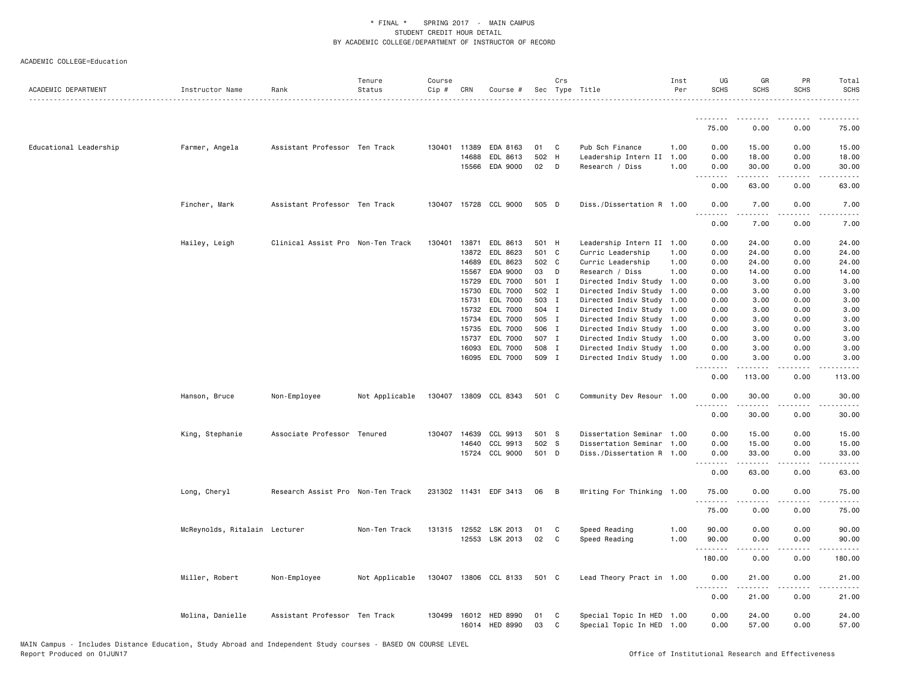| ACADEMIC COLLEGE=Education |  |  |
|----------------------------|--|--|
|----------------------------|--|--|

| ACADEMIC DEPARTMENT    | Instructor Name               | Rank                              | Tenure<br>Status | Course<br>Cip # | CRN          | Course #                         |          | Crs          | Sec Type Title                                         | Inst<br>Per | UG<br><b>SCHS</b>     | GR<br><b>SCHS</b>   | PR<br><b>SCHS</b>                   | Total<br><b>SCHS</b> |
|------------------------|-------------------------------|-----------------------------------|------------------|-----------------|--------------|----------------------------------|----------|--------------|--------------------------------------------------------|-------------|-----------------------|---------------------|-------------------------------------|----------------------|
|                        |                               |                                   |                  |                 |              |                                  |          |              |                                                        |             | <u>.</u>              |                     |                                     |                      |
|                        |                               |                                   |                  |                 |              |                                  |          |              |                                                        |             | 75.00                 | 0.00                | 0.00                                | 75.00                |
| Educational Leadership | Farmer, Angela                | Assistant Professor Ten Track     |                  |                 | 130401 11389 | EDA 8163                         | 01       | C            | Pub Sch Finance                                        | 1.00        | 0.00                  | 15.00               | 0.00                                | 15.00                |
|                        |                               |                                   |                  |                 | 14688        | EDL 8613                         | 502 H    |              | Leadership Intern II                                   | 1.00        | 0.00                  | 18.00               | 0.00                                | 18.00                |
|                        |                               |                                   |                  |                 |              | 15566 EDA 9000                   | 02       | D            | Research / Diss                                        | 1.00        | 0.00<br><u>.</u>      | 30.00<br>.          | 0.00<br>.                           | 30.00<br>. د د د د   |
|                        |                               |                                   |                  |                 |              |                                  |          |              |                                                        |             | 0.00                  | 63.00               | 0.00                                | 63.00                |
|                        | Fincher, Mark                 | Assistant Professor Ten Track     |                  |                 |              | 130407 15728 CCL 9000            | 505 D    |              | Diss./Dissertation R 1.00                              |             | 0.00<br>$\frac{1}{2}$ | 7.00<br>.           | 0.00<br>.                           | 7.00<br>$- - - -$    |
|                        |                               |                                   |                  |                 |              |                                  |          |              |                                                        |             | 0.00                  | 7.00                | 0.00                                | 7.00                 |
|                        | Hailey, Leigh                 | Clinical Assist Pro Non-Ten Track |                  | 130401          | 13871        | EDL 8613                         | 501 H    |              | Leadership Intern II                                   | 1.00        | 0.00                  | 24.00               | 0.00                                | 24.00                |
|                        |                               |                                   |                  |                 | 13872        | EDL 8623                         | 501 C    |              | Curric Leadership                                      | 1.00        | 0.00                  | 24.00               | 0.00                                | 24.00                |
|                        |                               |                                   |                  |                 | 14689        | EDL 8623                         | 502 C    |              | Curric Leadership                                      | 1.00        | 0.00                  | 24.00               | 0.00                                | 24.00                |
|                        |                               |                                   |                  |                 | 15567        | EDA 9000                         | 03       | $\mathsf{D}$ | Research / Diss                                        | 1.00        | 0.00                  | 14.00               | 0.00                                | 14.00                |
|                        |                               |                                   |                  |                 | 15729        | EDL 7000                         | 501 I    |              | Directed Indiv Study                                   | 1.00        | 0.00                  | 3.00                | 0.00                                | 3.00                 |
|                        |                               |                                   |                  |                 | 15730        | EDL 7000                         | 502 I    |              | Directed Indiv Study                                   | 1.00        | 0.00                  | 3.00                | 0.00                                | 3.00                 |
|                        |                               |                                   |                  |                 | 15731        | EDL 7000                         | 503 I    |              | Directed Indiv Study 1.00                              |             | 0.00                  | 3.00                | 0.00                                | 3.00                 |
|                        |                               |                                   |                  |                 | 15732        | EDL 7000                         | 504 I    |              | Directed Indiv Study                                   | 1.00        | 0.00                  | 3.00                | 0.00                                | 3.00                 |
|                        |                               |                                   |                  |                 | 15734        | EDL 7000                         | 505 I    |              | Directed Indiv Study 1.00                              |             | 0.00                  | 3.00                | 0.00                                | 3.00                 |
|                        |                               |                                   |                  |                 | 15735        | EDL 7000                         | 506 I    |              | Directed Indiv Study 1.00                              |             | 0.00                  | 3.00                | 0.00                                | 3.00                 |
|                        |                               |                                   |                  |                 | 15737        | EDL 7000                         | 507 I    |              | Directed Indiv Study 1.00                              |             | 0.00                  | 3.00                | 0.00                                | 3.00                 |
|                        |                               |                                   |                  |                 | 16093        | EDL 7000                         | 508 I    |              | Directed Indiv Study 1.00                              |             | 0.00                  | 3.00                | 0.00                                | 3.00                 |
|                        |                               |                                   |                  |                 |              | 16095 EDL 7000                   | 509 I    |              | Directed Indiv Study 1.00                              |             | 0.00<br>.             | 3.00<br>$- - - - -$ | 0.00<br>$\sim$ $\sim$ $\sim$ $\sim$ | 3.00<br>.            |
|                        |                               |                                   |                  |                 |              |                                  |          |              |                                                        |             | 0.00                  | 113.00              | 0.00                                | 113.00               |
|                        | Hanson, Bruce                 | Non-Employee                      | Not Applicable   |                 |              | 130407 13809 CCL 8343            | 501 C    |              | Community Dev Resour 1.00                              |             | 0.00<br>.             | 30.00<br>-----      | 0.00<br>.                           | 30.00                |
|                        |                               |                                   |                  |                 |              |                                  |          |              |                                                        |             | 0.00                  | 30.00               | 0.00                                | 30.00                |
|                        | King, Stephanie               | Associate Professor Tenured       |                  |                 | 130407 14639 | CCL 9913                         | 501 S    |              | Dissertation Seminar 1.00                              |             | 0.00                  | 15.00               | 0.00                                | 15.00                |
|                        |                               |                                   |                  |                 | 14640        | CCL 9913                         | 502 S    |              | Dissertation Seminar 1.00                              |             | 0.00                  | 15.00               | 0.00                                | 15.00                |
|                        |                               |                                   |                  |                 |              | 15724 CCL 9000                   | 501 D    |              | Diss./Dissertation R 1.00                              |             | 0.00                  | 33.00               | 0.00<br>.                           | 33.00                |
|                        |                               |                                   |                  |                 |              |                                  |          |              |                                                        |             | .<br>0.00             | 63.00               | 0.00                                | .<br>63.00           |
|                        | Long, Cheryl                  | Research Assist Pro Non-Ten Track |                  |                 |              | 231302 11431 EDF 3413            | 06       | B            | Writing For Thinking 1.00                              |             | 75.00                 | 0.00                | 0.00                                | 75.00                |
|                        |                               |                                   |                  |                 |              |                                  |          |              |                                                        |             | 75.00                 | 0.00                | 0.00                                | 75.00                |
|                        |                               |                                   |                  |                 |              |                                  |          |              |                                                        |             |                       |                     |                                     |                      |
|                        | McReynolds, Ritalain Lecturer |                                   | Non-Ten Track    |                 |              | 131315 12552 LSK 2013            | 01       | C            | Speed Reading                                          | 1.00        | 90.00                 | 0.00                | 0.00                                | 90.00                |
|                        |                               |                                   |                  |                 |              | 12553 LSK 2013                   | 02       | C            | Speed Reading                                          | 1.00        | 90.00<br>.            | 0.00<br>.           | 0.00<br>.                           | 90.00<br>.           |
|                        |                               |                                   |                  |                 |              |                                  |          |              |                                                        |             | 180.00                | 0.00                | 0.00                                | 180.00               |
|                        | Miller, Robert                | Non-Employee                      | Not Applicable   |                 |              | 130407 13806 CCL 8133            | 501 C    |              | Lead Theory Pract in 1.00                              |             | 0.00<br>.             | 21.00<br>.          | 0.00<br>.                           | 21.00<br>.           |
|                        |                               |                                   |                  |                 |              |                                  |          |              |                                                        |             | 0.00                  | 21.00               | 0.00                                | 21.00                |
|                        | Molina, Danielle              | Assistant Professor Ten Track     |                  | 130499          |              | 16012 HED 8990<br>16014 HED 8990 | 01<br>03 | C<br>C       | Special Topic In HED 1.00<br>Special Topic In HED 1.00 |             | 0.00<br>0.00          | 24.00<br>57.00      | 0.00<br>0.00                        | 24.00<br>57.00       |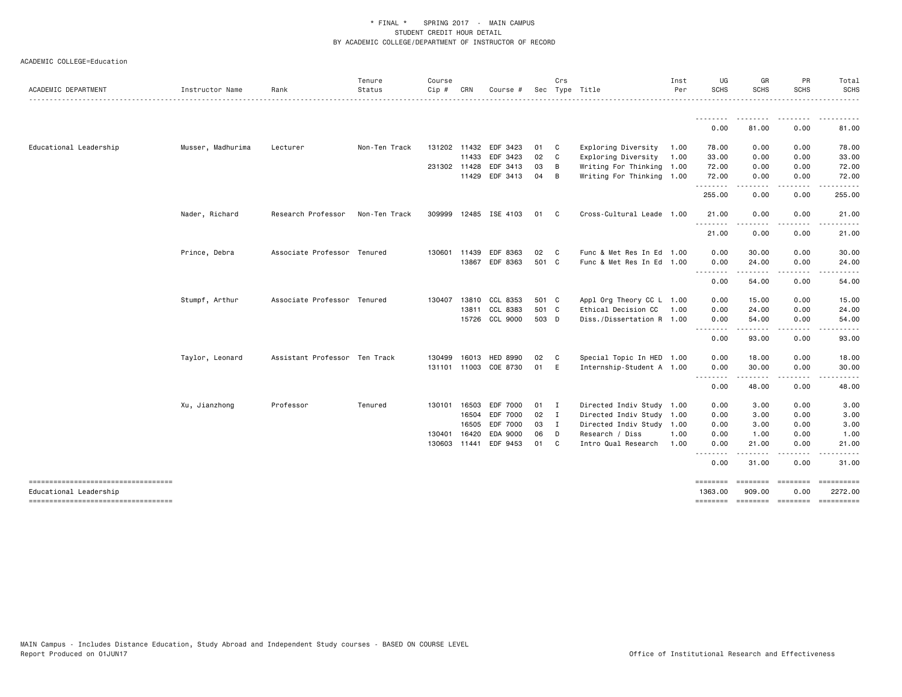| ACADEMIC COLLEGE=Education |  |  |  |
|----------------------------|--|--|--|
|----------------------------|--|--|--|

| <b>ACADEMIC DEPARTMENT</b>                                   | Instructor Name   | Rank                          | Tenure<br>Status | Course<br>Cip # | CRN          | Course #              |              | Crs          | Sec Type Title            | Inst<br>Per | UG<br><b>SCHS</b>                                                                                                                                                                                                                                                                                                                                                                                                                                                                              | GR<br><b>SCHS</b>     | PR<br><b>SCHS</b> | Total<br><b>SCHS</b>                                                                                                                                                                     |
|--------------------------------------------------------------|-------------------|-------------------------------|------------------|-----------------|--------------|-----------------------|--------------|--------------|---------------------------|-------------|------------------------------------------------------------------------------------------------------------------------------------------------------------------------------------------------------------------------------------------------------------------------------------------------------------------------------------------------------------------------------------------------------------------------------------------------------------------------------------------------|-----------------------|-------------------|------------------------------------------------------------------------------------------------------------------------------------------------------------------------------------------|
|                                                              |                   |                               |                  |                 |              |                       |              |              |                           |             | <u>.</u>                                                                                                                                                                                                                                                                                                                                                                                                                                                                                       |                       |                   |                                                                                                                                                                                          |
|                                                              |                   |                               |                  |                 |              |                       |              |              |                           |             | 0.00                                                                                                                                                                                                                                                                                                                                                                                                                                                                                           | 81.00                 | 0.00              | 81.00                                                                                                                                                                                    |
| Educational Leadership                                       | Musser, Madhurima | Lecturer                      | Non-Ten Track    |                 | 131202 11432 | EDF 3423              | 01           | $\mathbf{C}$ | Exploring Diversity       | 1.00        | 78.00                                                                                                                                                                                                                                                                                                                                                                                                                                                                                          | 0.00                  | 0.00              | 78.00                                                                                                                                                                                    |
|                                                              |                   |                               |                  |                 | 11433        | EDF 3423              | 02           | $\mathbf{C}$ | Exploring Diversity       | 1.00        | 33.00                                                                                                                                                                                                                                                                                                                                                                                                                                                                                          | 0.00                  | 0.00              | 33.00                                                                                                                                                                                    |
|                                                              |                   |                               |                  | 231302 11428    |              | EDF 3413              | 03           | B            | Writing For Thinking 1.00 |             | 72.00                                                                                                                                                                                                                                                                                                                                                                                                                                                                                          | 0.00                  | 0.00              | 72.00                                                                                                                                                                                    |
|                                                              |                   |                               |                  |                 | 11429        | EDF 3413              | 04           | B            | Writing For Thinking 1.00 |             | 72.00                                                                                                                                                                                                                                                                                                                                                                                                                                                                                          | 0.00<br>$\frac{1}{2}$ | 0.00              | 72.00                                                                                                                                                                                    |
|                                                              |                   |                               |                  |                 |              |                       |              |              |                           |             | .<br>255.00                                                                                                                                                                                                                                                                                                                                                                                                                                                                                    | 0.00                  | 0.00              | 255.00                                                                                                                                                                                   |
|                                                              | Nader, Richard    | Research Professor            | Non-Ten Track    |                 |              | 309999 12485 ISE 4103 | 01           | C            | Cross-Cultural Leade 1.00 |             | 21.00<br><u>.</u>                                                                                                                                                                                                                                                                                                                                                                                                                                                                              | 0.00                  | 0.00<br>.         | 21.00                                                                                                                                                                                    |
|                                                              |                   |                               |                  |                 |              |                       |              |              |                           |             | 21.00                                                                                                                                                                                                                                                                                                                                                                                                                                                                                          | 0.00                  | 0.00              | 21.00                                                                                                                                                                                    |
|                                                              | Prince, Debra     | Associate Professor Tenured   |                  | 130601          | 11439        | EDF 8363              | 02           | $\mathbf{C}$ | Func & Met Res In Ed 1.00 |             | 0.00                                                                                                                                                                                                                                                                                                                                                                                                                                                                                           | 30.00                 | 0.00              | 30.00                                                                                                                                                                                    |
|                                                              |                   |                               |                  |                 | 13867        | EDF 8363              | 501 C        |              | Func & Met Res In Ed 1.00 |             | 0.00                                                                                                                                                                                                                                                                                                                                                                                                                                                                                           | 24.00                 | 0.00              | 24.00                                                                                                                                                                                    |
|                                                              |                   |                               |                  |                 |              |                       |              |              |                           |             | .<br>0.00                                                                                                                                                                                                                                                                                                                                                                                                                                                                                      | .<br>54.00            | .<br>0.00         | 54.00                                                                                                                                                                                    |
|                                                              | Stumpf, Arthur    | Associate Professor Tenured   |                  |                 | 130407 13810 | CCL 8353              | 501 C        |              | Appl Org Theory CC L 1.00 |             | 0.00                                                                                                                                                                                                                                                                                                                                                                                                                                                                                           | 15.00                 | 0.00              | 15.00                                                                                                                                                                                    |
|                                                              |                   |                               |                  |                 | 13811        | CCL 8383              | 501 C        |              | Ethical Decision CC       | 1.00        | 0.00                                                                                                                                                                                                                                                                                                                                                                                                                                                                                           | 24.00                 | 0.00              | 24.00                                                                                                                                                                                    |
|                                                              |                   |                               |                  |                 |              | 15726 CCL 9000        | 503 D        |              | Diss./Dissertation R 1.00 |             | 0.00                                                                                                                                                                                                                                                                                                                                                                                                                                                                                           | 54.00                 | 0.00              | 54.00                                                                                                                                                                                    |
|                                                              |                   |                               |                  |                 |              |                       |              |              |                           |             | $\begin{array}{cccccccccccccc} \multicolumn{2}{c}{} & \multicolumn{2}{c}{} & \multicolumn{2}{c}{} & \multicolumn{2}{c}{} & \multicolumn{2}{c}{} & \multicolumn{2}{c}{} & \multicolumn{2}{c}{} & \multicolumn{2}{c}{} & \multicolumn{2}{c}{} & \multicolumn{2}{c}{} & \multicolumn{2}{c}{} & \multicolumn{2}{c}{} & \multicolumn{2}{c}{} & \multicolumn{2}{c}{} & \multicolumn{2}{c}{} & \multicolumn{2}{c}{} & \multicolumn{2}{c}{} & \multicolumn{2}{c}{} & \multicolumn{2}{c}{} & \$<br>0.00 | .<br>93.00            | .<br>0.00         | $\frac{1}{2} \left( \frac{1}{2} \right) \left( \frac{1}{2} \right) \left( \frac{1}{2} \right) \left( \frac{1}{2} \right) \left( \frac{1}{2} \right) \left( \frac{1}{2} \right)$<br>93.00 |
|                                                              | Taylor, Leonard   | Assistant Professor Ten Track |                  | 130499          | 16013        | <b>HED 8990</b>       | 02           | $\mathbf{C}$ | Special Topic In HED 1.00 |             | 0.00                                                                                                                                                                                                                                                                                                                                                                                                                                                                                           | 18.00                 | 0.00              | 18.00                                                                                                                                                                                    |
|                                                              |                   |                               |                  |                 |              | 131101 11003 COE 8730 | 01 E         |              | Internship-Student A 1.00 |             | 0.00                                                                                                                                                                                                                                                                                                                                                                                                                                                                                           | 30.00                 | 0.00              | 30.00                                                                                                                                                                                    |
|                                                              |                   |                               |                  |                 |              |                       |              |              |                           |             | .<br>0.00                                                                                                                                                                                                                                                                                                                                                                                                                                                                                      | 48.00                 | 0.00              | 48.00                                                                                                                                                                                    |
|                                                              | Xu, Jianzhong     | Professor                     | Tenured          |                 | 130101 16503 | EDF 7000              | $01 \quad I$ |              | Directed Indiv Study 1.00 |             | 0.00                                                                                                                                                                                                                                                                                                                                                                                                                                                                                           | 3.00                  | 0.00              | 3.00                                                                                                                                                                                     |
|                                                              |                   |                               |                  |                 | 16504        | EDF 7000              | 02 I         |              | Directed Indiv Study 1.00 |             | 0.00                                                                                                                                                                                                                                                                                                                                                                                                                                                                                           | 3.00                  | 0.00              | 3.00                                                                                                                                                                                     |
|                                                              |                   |                               |                  |                 | 16505        | EDF 7000              | 03           | $\mathbf{I}$ | Directed Indiv Study 1.00 |             | 0.00                                                                                                                                                                                                                                                                                                                                                                                                                                                                                           | 3.00                  | 0.00              | 3.00                                                                                                                                                                                     |
|                                                              |                   |                               |                  | 130401          | 16420        | EDA 9000              | 06           | D            | Research / Diss           | 1.00        | 0.00                                                                                                                                                                                                                                                                                                                                                                                                                                                                                           | 1.00                  | 0.00              | 1.00                                                                                                                                                                                     |
|                                                              |                   |                               |                  | 130603          | 11441        | EDF 9453              | 01           | C.           | Intro Qual Research       | 1.00        | 0.00<br>.                                                                                                                                                                                                                                                                                                                                                                                                                                                                                      | 21.00                 | 0.00              | 21.00                                                                                                                                                                                    |
|                                                              |                   |                               |                  |                 |              |                       |              |              |                           |             | 0.00                                                                                                                                                                                                                                                                                                                                                                                                                                                                                           | 31.00                 | 0.00              | 31.00                                                                                                                                                                                    |
| ----------------------------------                           |                   |                               |                  |                 |              |                       |              |              |                           |             | $=$ = = = = = = =                                                                                                                                                                                                                                                                                                                                                                                                                                                                              | ========              | <b>EBBEBBBB</b>   | ==========                                                                                                                                                                               |
| Educational Leadership<br>---------------------------------- |                   |                               |                  |                 |              |                       |              |              |                           |             | 1363.00                                                                                                                                                                                                                                                                                                                                                                                                                                                                                        | 909.00                | 0.00              | 2272.00<br>-------- ------- ------- ---------                                                                                                                                            |
|                                                              |                   |                               |                  |                 |              |                       |              |              |                           |             |                                                                                                                                                                                                                                                                                                                                                                                                                                                                                                |                       |                   |                                                                                                                                                                                          |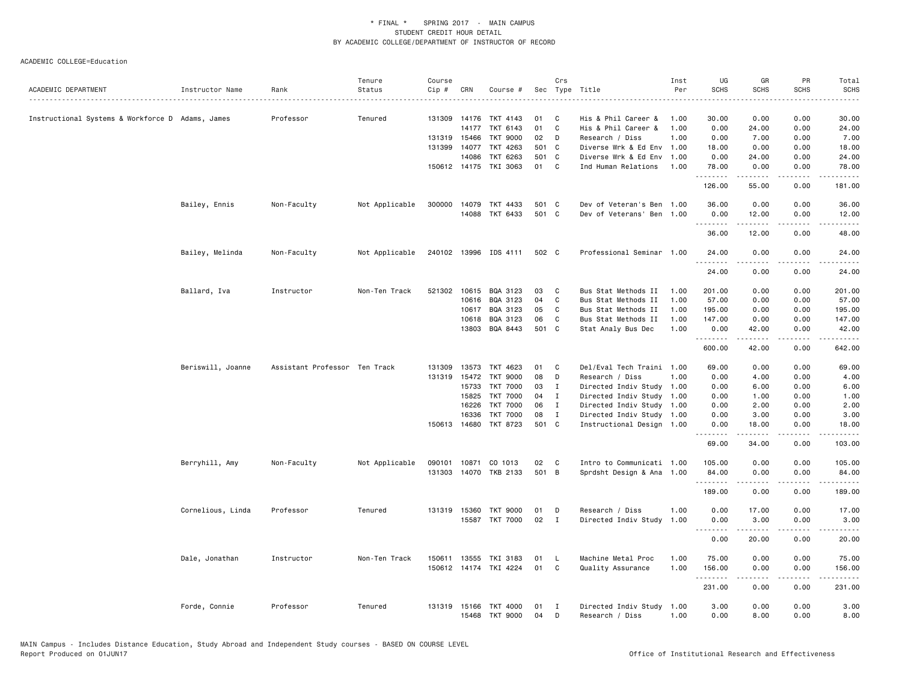|                                                  |                   |                               | Tenure         | Course |              |                            |          | Crs               |                                         | Inst         | UG                | GR                                                                                                                                                            | PR                    | Total                                                                                                                                                          |
|--------------------------------------------------|-------------------|-------------------------------|----------------|--------|--------------|----------------------------|----------|-------------------|-----------------------------------------|--------------|-------------------|---------------------------------------------------------------------------------------------------------------------------------------------------------------|-----------------------|----------------------------------------------------------------------------------------------------------------------------------------------------------------|
| ACADEMIC DEPARTMENT                              | Instructor Name   | Rank                          | Status         | Cip #  | CRN          | Course #                   |          |                   | Sec Type Title                          | Per          | <b>SCHS</b>       | <b>SCHS</b>                                                                                                                                                   | <b>SCHS</b>           | <b>SCHS</b>                                                                                                                                                    |
| Instructional Systems & Workforce D Adams, James |                   | Professor                     | Tenured        |        |              | 131309 14176 TKT 4143      | 01       | C                 | His & Phil Career &                     | 1.00         | 30.00             | 0.00                                                                                                                                                          | 0.00                  | 30.00                                                                                                                                                          |
|                                                  |                   |                               |                |        | 14177        | TKT 6143                   | 01       | $\mathbf{C}$      | His & Phil Career &                     | 1.00         | 0.00              | 24.00                                                                                                                                                         | 0.00                  | 24.00                                                                                                                                                          |
|                                                  |                   |                               |                |        | 131319 15466 | <b>TKT 9000</b>            | 02       | D                 | Research / Diss                         | 1.00         | 0.00              | 7.00                                                                                                                                                          | 0.00                  | 7.00                                                                                                                                                           |
|                                                  |                   |                               |                |        | 131399 14077 | TKT 4263                   |          | 501 C             | Diverse Wrk & Ed Env                    | 1.00         | 18.00             | 0.00                                                                                                                                                          | 0.00                  | 18.00                                                                                                                                                          |
|                                                  |                   |                               |                |        | 14086        | TKT 6263                   | 501 C    |                   | Diverse Wrk & Ed Env 1.00               |              | 0.00              | 24.00                                                                                                                                                         | 0.00                  | 24.00                                                                                                                                                          |
|                                                  |                   |                               |                |        |              | 150612 14175 TKI 3063      | 01       | $\mathbf{C}$      | Ind Human Relations                     | 1.00         | 78.00             | 0.00                                                                                                                                                          | 0.00                  | 78.00                                                                                                                                                          |
|                                                  |                   |                               |                |        |              |                            |          |                   |                                         |              | .<br>126.00       | .<br>55.00                                                                                                                                                    | .<br>0.00             | .<br>181.00                                                                                                                                                    |
|                                                  | Bailey, Ennis     | Non-Faculty                   | Not Applicable |        |              | 300000 14079 TKT 4433      | 501 C    |                   | Dev of Veteran's Ben 1.00               |              | 36.00             | 0.00                                                                                                                                                          | 0.00                  | 36.00                                                                                                                                                          |
|                                                  |                   |                               |                |        |              | 14088 TKT 6433             | 501 C    |                   | Dev of Veterans' Ben 1.00               |              | 0.00<br>.         | 12.00<br>$\frac{1}{2} \left( \frac{1}{2} \right) \left( \frac{1}{2} \right) \left( \frac{1}{2} \right) \left( \frac{1}{2} \right) \left( \frac{1}{2} \right)$ | 0.00<br>.             | 12.00<br>.                                                                                                                                                     |
|                                                  |                   |                               |                |        |              |                            |          |                   |                                         |              | 36.00             | 12.00                                                                                                                                                         | 0.00                  | 48.00                                                                                                                                                          |
|                                                  | Bailey, Melinda   | Non-Faculty                   | Not Applicable |        |              | 240102 13996 IDS 4111      | 502 C    |                   | Professional Seminar 1.00               |              | 24.00             | 0.00                                                                                                                                                          | 0.00                  | 24.00                                                                                                                                                          |
|                                                  |                   |                               |                |        |              |                            |          |                   |                                         |              | 24.00             | 0.00                                                                                                                                                          | 0.00                  | 24.00                                                                                                                                                          |
|                                                  | Ballard, Iva      | Instructor                    | Non-Ten Track  |        |              | 521302 10615 BQA 3123      | 03       | C                 | Bus Stat Methods II                     | 1.00         | 201.00            | 0.00                                                                                                                                                          | 0.00                  | 201.00                                                                                                                                                         |
|                                                  |                   |                               |                |        | 10616        | BQA 3123                   | 04       | $\mathsf{C}$      | Bus Stat Methods II                     | 1.00         | 57.00             | 0.00                                                                                                                                                          | 0.00                  | 57.00                                                                                                                                                          |
|                                                  |                   |                               |                |        | 10617        | BQA 3123                   | 05       | C                 | Bus Stat Methods II                     | 1.00         | 195.00            | 0.00                                                                                                                                                          | 0.00                  | 195.00                                                                                                                                                         |
|                                                  |                   |                               |                |        | 10618        | BQA 3123                   | 06       | C                 | Bus Stat Methods II                     | 1.00         | 147.00            | 0.00                                                                                                                                                          | 0.00                  | 147.00                                                                                                                                                         |
|                                                  |                   |                               |                |        | 13803        | BQA 8443                   | 501 C    |                   | Stat Analy Bus Dec                      | 1.00         | 0.00<br>.         | 42.00<br>.                                                                                                                                                    | 0.00<br>.             | 42.00<br>$\frac{1}{2}$                                                                                                                                         |
|                                                  |                   |                               |                |        |              |                            |          |                   |                                         |              | 600.00            | 42.00                                                                                                                                                         | 0.00                  | 642.00                                                                                                                                                         |
|                                                  | Beriswill, Joanne | Assistant Professor Ten Track |                | 131309 | 13573        | TKT 4623                   | 01       | C                 | Del/Eval Tech Traini 1.00               |              | 69.00             | 0.00                                                                                                                                                          | 0.00                  | 69.00                                                                                                                                                          |
|                                                  |                   |                               |                |        | 131319 15472 | <b>TKT 9000</b>            | 08       | D                 | Research / Diss                         | 1.00         | 0.00              | 4.00                                                                                                                                                          | 0.00                  | 4.00                                                                                                                                                           |
|                                                  |                   |                               |                |        | 15733        | <b>TKT 7000</b>            | 03       | $\mathbf{I}$      | Directed Indiv Study 1.00               |              | 0.00              | 6.00                                                                                                                                                          | 0.00                  | 6.00                                                                                                                                                           |
|                                                  |                   |                               |                |        | 15825        | <b>TKT 7000</b>            | 04       | $\mathbf{I}$      | Directed Indiv Study                    | 1.00         | 0.00              | 1.00                                                                                                                                                          | 0.00                  | 1.00                                                                                                                                                           |
|                                                  |                   |                               |                |        | 16226        | <b>TKT 7000</b>            | 06       | $\mathbf{I}$      | Directed Indiv Study 1.00               |              | 0.00              | 2.00                                                                                                                                                          | 0.00                  | 2.00                                                                                                                                                           |
|                                                  |                   |                               |                |        | 16336        | <b>TKT 7000</b>            | 08       | $\mathbf I$       | Directed Indiv Study 1.00               |              | 0.00              | 3.00                                                                                                                                                          | 0.00                  | 3.00                                                                                                                                                           |
|                                                  |                   |                               |                |        | 150613 14680 | TKT 8723                   | 501 C    |                   | Instructional Design 1.00               |              | 0.00<br>.         | 18.00<br>.                                                                                                                                                    | 0.00<br>$\frac{1}{2}$ | 18.00<br>.                                                                                                                                                     |
|                                                  |                   |                               |                |        |              |                            |          |                   |                                         |              | 69.00             | 34.00                                                                                                                                                         | 0.00                  | 103.00                                                                                                                                                         |
|                                                  | Berryhill, Amy    | Non-Faculty                   | Not Applicable |        |              | 090101 10871 CO 1013       | 02       | $\mathbf{C}$      | Intro to Communicati 1.00               |              | 105.00            | 0.00                                                                                                                                                          | 0.00                  | 105.00                                                                                                                                                         |
|                                                  |                   |                               |                |        |              | 131303 14070 TKB 2133      | 501 B    |                   | Sprdsht Design & Ana 1.00               |              | 84.00<br><u>.</u> | 0.00                                                                                                                                                          | 0.00<br>.             | 84.00                                                                                                                                                          |
|                                                  |                   |                               |                |        |              |                            |          |                   |                                         |              | 189.00            | 0.00                                                                                                                                                          | 0.00                  | 189.00                                                                                                                                                         |
|                                                  | Cornelious, Linda | Professor                     | Tenured        |        |              | 131319 15360 TKT 9000      | 01       | D                 | Research / Diss                         | 1.00         | 0.00              | 17.00                                                                                                                                                         | 0.00                  | 17.00                                                                                                                                                          |
|                                                  |                   |                               |                |        |              | 15587 TKT 7000             | 02       | $\mathbf{I}$      | Directed Indiv Study                    | 1.00         | 0.00<br>.         | 3.00<br>-----                                                                                                                                                 | 0.00<br>.             | 3.00<br>.                                                                                                                                                      |
|                                                  |                   |                               |                |        |              |                            |          |                   |                                         |              | 0.00              | 20.00                                                                                                                                                         | 0.00                  | 20.00                                                                                                                                                          |
|                                                  | Dale, Jonathan    | Instructor                    | Non-Ten Track  | 150611 | 13555        | TKI 3183                   | 01       | L                 | Machine Metal Proc                      | 1.00         | 75.00             | 0.00                                                                                                                                                          | 0.00                  | 75.00                                                                                                                                                          |
|                                                  |                   |                               |                |        |              | 150612 14174 TKI 4224      | 01       | C                 | Quality Assurance                       | 1.00         | 156.00<br>.       | 0.00<br>.                                                                                                                                                     | 0.00<br>.             | 156.00<br>$\frac{1}{2} \left( \frac{1}{2} \right) \left( \frac{1}{2} \right) \left( \frac{1}{2} \right) \left( \frac{1}{2} \right) \left( \frac{1}{2} \right)$ |
|                                                  |                   |                               |                |        |              |                            |          |                   |                                         |              | 231.00            | 0.00                                                                                                                                                          | 0.00                  | 231.00                                                                                                                                                         |
|                                                  | Forde, Connie     | Professor                     | Tenured        |        | 131319 15166 | TKT 4000<br>15468 TKT 9000 | 01<br>04 | $\mathbf{I}$<br>D | Directed Indiv Study<br>Research / Diss | 1.00<br>1.00 | 3.00<br>0.00      | 0.00<br>8.00                                                                                                                                                  | 0.00<br>0.00          | 3.00<br>8.00                                                                                                                                                   |
|                                                  |                   |                               |                |        |              |                            |          |                   |                                         |              |                   |                                                                                                                                                               |                       |                                                                                                                                                                |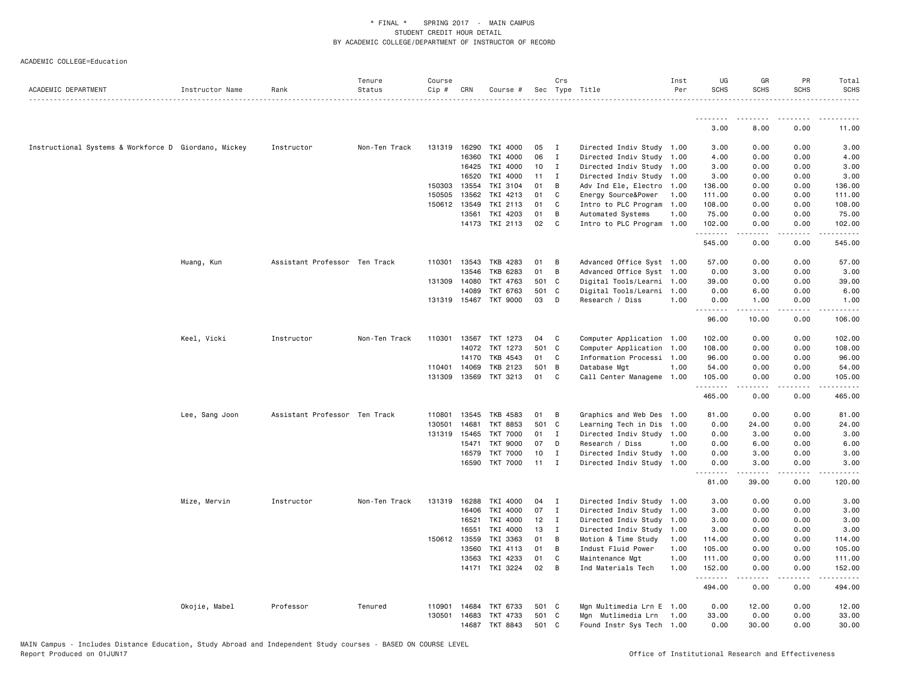| ACADEMIC DEPARTMENT                                  | Instructor Name | Rank                          | Tenure<br>Status | Course<br>Cip # | CRN          | Course #              |                 | Crs            | Sec Type Title            | Inst<br>Per | UG<br><b>SCHS</b> | GR<br><b>SCHS</b> | PR<br><b>SCHS</b>                   | Total<br><b>SCHS</b>    |
|------------------------------------------------------|-----------------|-------------------------------|------------------|-----------------|--------------|-----------------------|-----------------|----------------|---------------------------|-------------|-------------------|-------------------|-------------------------------------|-------------------------|
|                                                      |                 |                               |                  |                 |              |                       |                 |                |                           |             |                   |                   |                                     | .                       |
|                                                      |                 |                               |                  |                 |              |                       |                 |                |                           |             | .                 | ---------         | .                                   | .                       |
|                                                      |                 |                               |                  |                 |              |                       |                 |                |                           |             | 3.00              | 8.00              | 0.00                                | 11.00                   |
| Instructional Systems & Workforce D Giordano, Mickey |                 | Instructor                    | Non-Ten Track    |                 | 131319 16290 | TKI 4000              | 05              | $\mathbf{I}$   | Directed Indiv Study 1.00 |             | 3.00              | 0.00              | 0.00                                | 3.00                    |
|                                                      |                 |                               |                  |                 | 16360        | TKI 4000              | 06              | $\mathbf{I}$   | Directed Indiv Study 1.00 |             | 4.00              | 0.00              | 0.00                                | 4.00                    |
|                                                      |                 |                               |                  |                 | 16425        | TKI 4000              | 10 <sub>1</sub> | I              | Directed Indiv Study 1.00 |             | 3.00              | 0.00              | 0.00                                | 3.00                    |
|                                                      |                 |                               |                  |                 | 16520        | TKI 4000              | 11              | $\mathbf{I}$   | Directed Indiv Study 1.00 |             | 3.00              | 0.00              | 0.00                                | 3.00                    |
|                                                      |                 |                               |                  |                 | 150303 13554 | TKI 3104              | 01              | В              | Adv Ind Ele, Electro 1.00 |             | 136.00            | 0.00              | 0.00                                | 136.00                  |
|                                                      |                 |                               |                  | 150505          | 13562        | TKI 4213              | 01              | C              | Energy Source&Power       | 1.00        | 111.00            | 0.00              | 0.00                                | 111.00                  |
|                                                      |                 |                               |                  |                 | 150612 13549 | TKI 2113              | 01              | C              | Intro to PLC Program      | 1.00        | 108.00            | 0.00              | 0.00                                | 108.00                  |
|                                                      |                 |                               |                  |                 | 13561        | TKI 4203              | 01              | В              | Automated Systems         | 1.00        | 75.00             | 0.00              | 0.00                                | 75.00                   |
|                                                      |                 |                               |                  |                 |              | 14173 TKI 2113        | 02              | C              | Intro to PLC Program 1.00 |             | 102.00<br>.       | 0.00<br>.         | 0.00<br>$\sim$ $\sim$ $\sim$ $\sim$ | 102.00<br>$\frac{1}{2}$ |
|                                                      |                 |                               |                  |                 |              |                       |                 |                |                           |             | 545.00            | 0.00              | 0.00                                | 545.00                  |
|                                                      | Huang, Kun      | Assistant Professor Ten Track |                  |                 | 110301 13543 | TKB 4283              | 01              | в              | Advanced Office Syst 1.00 |             | 57.00             | 0.00              | 0.00                                | 57.00                   |
|                                                      |                 |                               |                  |                 | 13546        | TKB 6283              | 01              | В              | Advanced Office Syst 1.00 |             | 0.00              | 3.00              | 0.00                                | 3.00                    |
|                                                      |                 |                               |                  | 131309          | 14080        | <b>TKT 4763</b>       | 501             | C              | Digital Tools/Learni 1.00 |             | 39.00             | 0.00              | 0.00                                | 39.00                   |
|                                                      |                 |                               |                  |                 | 14089        | TKT 6763              | 501 C           |                | Digital Tools/Learni 1.00 |             | 0.00              | 6.00              | 0.00                                | 6.00                    |
|                                                      |                 |                               |                  |                 |              | 131319 15467 TKT 9000 | 03              | D              | Research / Diss           | 1.00        | 0.00<br>.         | 1.00<br>.         | 0.00<br>.                           | 1.00<br>------          |
|                                                      |                 |                               |                  |                 |              |                       |                 |                |                           |             | 96.00             | 10.00             | 0.00                                | 106.00                  |
|                                                      | Keel, Vicki     | Instructor                    | Non-Ten Track    | 110301          | 13567        | TKT 1273              | 04              | C              | Computer Application 1.00 |             | 102.00            | 0.00              | 0.00                                | 102.00                  |
|                                                      |                 |                               |                  |                 | 14072        | TKT 1273              | 501 C           |                | Computer Application      | 1.00        | 108.00            | 0.00              | 0.00                                | 108.00                  |
|                                                      |                 |                               |                  |                 | 14170        | TKB 4543              | 01              | C              | Information Processi 1.00 |             | 96.00             | 0.00              | 0.00                                | 96.00                   |
|                                                      |                 |                               |                  |                 | 110401 14069 | TKB 2123              | 501 B           |                | Database Mgt              | 1.00        | 54.00             | 0.00              | 0.00                                | 54.00                   |
|                                                      |                 |                               |                  | 131309          | 13569        | TKT 3213              | 01              | C              | Call Center Manageme 1.00 |             | 105.00<br>.       | 0.00<br>.         | 0.00<br>.                           | 105.00<br>.             |
|                                                      |                 |                               |                  |                 |              |                       |                 |                |                           |             | 465.00            | 0.00              | 0.00                                | 465.00                  |
|                                                      | Lee, Sang Joon  | Assistant Professor Ten Track |                  | 110801          | 13545        | TKB 4583              | 01              | B              | Graphics and Web Des 1.00 |             | 81.00             | 0.00              | 0.00                                | 81.00                   |
|                                                      |                 |                               |                  | 130501          | 14681        | <b>TKT 8853</b>       | 501 C           |                | Learning Tech in Dis 1.00 |             | 0.00              | 24.00             | 0.00                                | 24.00                   |
|                                                      |                 |                               |                  |                 | 131319 15465 | <b>TKT 7000</b>       | 01              | $\mathbf{I}$   | Directed Indiv Study 1.00 |             | 0.00              | 3.00              | 0.00                                | 3.00                    |
|                                                      |                 |                               |                  |                 | 15471        | <b>TKT 9000</b>       | 07              | D              | Research / Diss           | 1.00        | 0.00              | 6.00              | 0.00                                | 6.00                    |
|                                                      |                 |                               |                  |                 | 16579        | <b>TKT 7000</b>       | 10              | I              | Directed Indiv Study 1.00 |             | 0.00              | 3.00              | 0.00                                | 3.00                    |
|                                                      |                 |                               |                  |                 | 16590        | <b>TKT 7000</b>       | 11              | I              | Directed Indiv Study 1.00 |             | 0.00<br>.         | 3.00<br>-----     | 0.00<br>$\sim$ $\sim$ $\sim$        | 3.00                    |
|                                                      |                 |                               |                  |                 |              |                       |                 |                |                           |             | 81.00             | 39.00             | 0.00                                | 120.00                  |
|                                                      | Mize, Mervin    | Instructor                    | Non-Ten Track    |                 | 131319 16288 | TKI 4000              | 04              | $\blacksquare$ | Directed Indiv Study 1.00 |             | 3.00              | 0.00              | 0.00                                | 3.00                    |
|                                                      |                 |                               |                  |                 | 16406        | TKI 4000              | 07              | $\mathbf{I}$   | Directed Indiv Study 1.00 |             | 3.00              | 0.00              | 0.00                                | 3.00                    |
|                                                      |                 |                               |                  |                 | 16521        | TKI 4000              | 12              | $\mathbf{I}$   | Directed Indiv Study 1.00 |             | 3.00              | 0.00              | 0.00                                | 3.00                    |
|                                                      |                 |                               |                  |                 | 16551        | TKI 4000              | 13              | $\mathbf{I}$   | Directed Indiv Study      | 1.00        | 3.00              | 0.00              | 0.00                                | 3.00                    |
|                                                      |                 |                               |                  |                 | 150612 13559 | TKI 3363              | 01              | B              | Motion & Time Study       | 1.00        | 114.00            | 0.00              | 0.00                                | 114.00                  |
|                                                      |                 |                               |                  |                 | 13560        | TKI 4113              | 01              | B              | Indust Fluid Power        | 1.00        | 105.00            | 0.00              | 0.00                                | 105.00                  |
|                                                      |                 |                               |                  |                 | 13563        | TKI 4233              | 01              | C              | Maintenance Mgt           | 1.00        | 111.00            | 0.00              | 0.00                                | 111.00                  |
|                                                      |                 |                               |                  |                 | 14171        | TKI 3224              | 02              | В              | Ind Materials Tech        | 1.00        | 152.00            | 0.00              | 0.00                                | 152.00                  |
|                                                      |                 |                               |                  |                 |              |                       |                 |                |                           |             | .<br>494.00       | .<br>0.00         | .<br>0.00                           | .<br>494.00             |
|                                                      | Okojie, Mabel   | Professor                     | Tenured          | 110901          | 14684        | TKT 6733              | 501 C           |                | Mgn Multimedia Lrn E 1.00 |             | 0.00              | 12.00             | 0.00                                | 12.00                   |
|                                                      |                 |                               |                  | 130501          | 14683        | TKT 4733              | 501 C           |                | Mgn Mutlimedia Lrn        | 1.00        | 33.00             | 0.00              | 0.00                                | 33.00                   |
|                                                      |                 |                               |                  |                 | 14687        | TKT 8843              | 501             | C              | Found Instr Sys Tech 1.00 |             | 0.00              | 30.00             | 0.00                                | 30.00                   |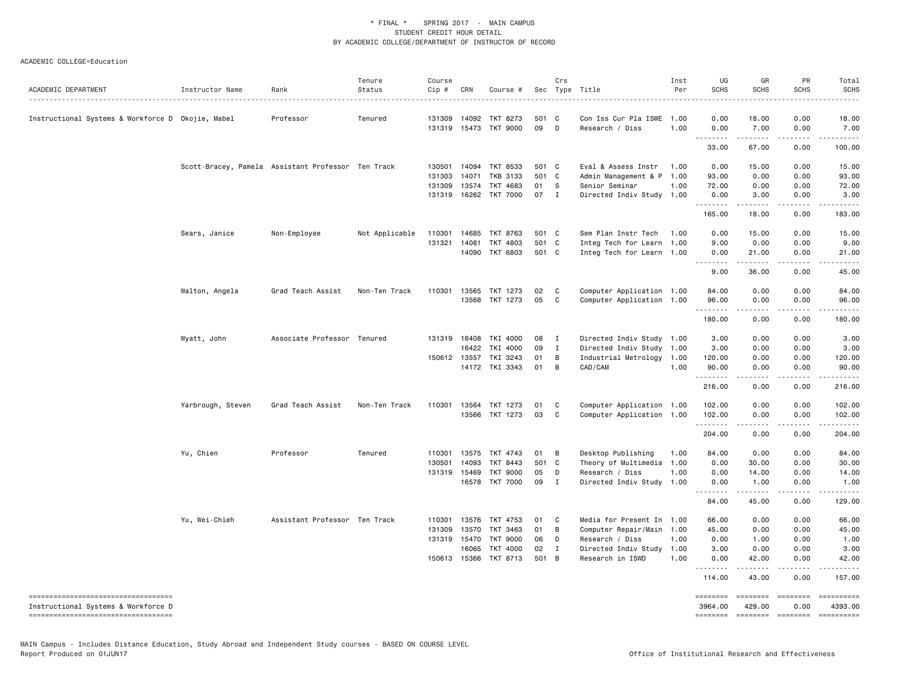| ACADEMIC DEPARTMENT                                                           | Instructor Name   | Rank                                               | Tenure<br>Status | Course<br>Cip # | CRN          | Course #              |       | Crs          | Sec Type Title            | Inst<br>Per | UG<br><b>SCHS</b>                                                                                                                                                                                                                                                                                                                                                                                                                                                                      | GR<br><b>SCHS</b>  | PR<br><b>SCHS</b>                   | Total<br><b>SCHS</b>  |
|-------------------------------------------------------------------------------|-------------------|----------------------------------------------------|------------------|-----------------|--------------|-----------------------|-------|--------------|---------------------------|-------------|----------------------------------------------------------------------------------------------------------------------------------------------------------------------------------------------------------------------------------------------------------------------------------------------------------------------------------------------------------------------------------------------------------------------------------------------------------------------------------------|--------------------|-------------------------------------|-----------------------|
| Instructional Systems & Workforce D Okojie, Mabel                             |                   | Professor                                          | Tenured          | 131309          | 14092        | TKT 8273              | 501 C |              | Con Iss Cur Pla ISWE      | 1.00        | 0.00                                                                                                                                                                                                                                                                                                                                                                                                                                                                                   | 18.00              | $- - - -$<br>0.00                   | $- - - - -$<br>18.00  |
|                                                                               |                   |                                                    |                  |                 |              | 131319 15473 TKT 9000 | 09    | D            | Research / Diss           | 1.00        | 0.00                                                                                                                                                                                                                                                                                                                                                                                                                                                                                   | 7.00               | 0.00                                | 7.00                  |
|                                                                               |                   |                                                    |                  |                 |              |                       |       |              |                           |             | <b></b><br>33.00                                                                                                                                                                                                                                                                                                                                                                                                                                                                       | <u>.</u><br>67.00  | .<br>0.00                           | .<br>100.00           |
|                                                                               |                   | Scott-Bracey, Pamela Assistant Professor Ten Track |                  | 130501          | 14094        | TKT 8533              | 501 C |              | Eval & Assess Instr       | 1.00        | 0.00                                                                                                                                                                                                                                                                                                                                                                                                                                                                                   | 15.00              | 0.00                                | 15.00                 |
|                                                                               |                   |                                                    |                  | 131303          | 14071        | TKB 3133              | 501 C |              | Admin Management & P      | 1.00        | 93.00                                                                                                                                                                                                                                                                                                                                                                                                                                                                                  | 0.00               | 0.00                                | 93.00                 |
|                                                                               |                   |                                                    |                  | 131309          | 13574        | TKT 4683              | 01    | S            | Senior Seminar            | 1.00        | 72.00                                                                                                                                                                                                                                                                                                                                                                                                                                                                                  | 0.00               | 0.00                                | 72.00                 |
|                                                                               |                   |                                                    |                  |                 | 131319 16262 | <b>TKT 7000</b>       | 07    | $\mathbf{I}$ | Directed Indiv Study 1.00 |             | 0.00<br>. <b>.</b>                                                                                                                                                                                                                                                                                                                                                                                                                                                                     | 3.00<br>.          | 0.00<br>.                           | 3.00<br>.             |
|                                                                               |                   |                                                    |                  |                 |              |                       |       |              |                           |             | 165.00                                                                                                                                                                                                                                                                                                                                                                                                                                                                                 | 18.00              | 0.00                                | 183.00                |
|                                                                               | Sears, Janice     | Non-Employee                                       | Not Applicable   | 110301          | 14685        | TKT 8763              | 501 C |              | Sem Plan Instr Tech       | 1.00        | 0.00                                                                                                                                                                                                                                                                                                                                                                                                                                                                                   | 15.00              | 0.00                                | 15.00                 |
|                                                                               |                   |                                                    |                  | 131321          | 14081        | TKT 4803              | 501 C |              | Integ Tech for Learn 1.00 |             | 9.00                                                                                                                                                                                                                                                                                                                                                                                                                                                                                   | 0.00               | 0.00                                | 9.00                  |
|                                                                               |                   |                                                    |                  |                 |              | 14090 TKT 6803        | 501 C |              | Integ Tech for Learn 1.00 |             | 0.00<br>.                                                                                                                                                                                                                                                                                                                                                                                                                                                                              | 21.00<br>.         | 0.00<br>.                           | 21.00<br>.            |
|                                                                               |                   |                                                    |                  |                 |              |                       |       |              |                           |             | 9.00                                                                                                                                                                                                                                                                                                                                                                                                                                                                                   | 36.00              | 0.00                                | 45.00                 |
|                                                                               | Walton, Angela    | Grad Teach Assist                                  | Non-Ten Track    | 110301          | 13565        | TKT 1273              | 02    | C            | Computer Application 1.00 |             | 84.00                                                                                                                                                                                                                                                                                                                                                                                                                                                                                  | 0.00               | 0.00                                | 84.00                 |
|                                                                               |                   |                                                    |                  |                 | 13568        | TKT 1273              | 05    | C            | Computer Application 1.00 |             | 96.00                                                                                                                                                                                                                                                                                                                                                                                                                                                                                  | 0.00               | 0.00                                | 96.00                 |
|                                                                               |                   |                                                    |                  |                 |              |                       |       |              |                           |             | .<br>180.00                                                                                                                                                                                                                                                                                                                                                                                                                                                                            | .<br>0.00          | .<br>0.00                           | ------<br>180.00      |
|                                                                               | Wyatt, John       | Associate Professor Tenured                        |                  |                 | 131319 16408 | TKI 4000              | 08    | I            | Directed Indiv Study 1.00 |             | 3.00                                                                                                                                                                                                                                                                                                                                                                                                                                                                                   | 0.00               | 0.00                                | 3.00                  |
|                                                                               |                   |                                                    |                  |                 | 16422        | TKI 4000              | 09    | $\mathbf{I}$ | Directed Indiv Study 1.00 |             | 3.00                                                                                                                                                                                                                                                                                                                                                                                                                                                                                   | 0.00               | 0.00                                | 3.00                  |
|                                                                               |                   |                                                    |                  |                 | 150612 13557 | TKI 3243              | 01    | В            | Industrial Metrology      | 1.00        | 120.00                                                                                                                                                                                                                                                                                                                                                                                                                                                                                 | 0.00               | 0.00                                | 120.00                |
|                                                                               |                   |                                                    |                  |                 |              | 14172 TKI 3343        | 01    | B            | CAD/CAM                   | 1.00        | 90.00<br>.                                                                                                                                                                                                                                                                                                                                                                                                                                                                             | 0.00<br>.          | 0.00<br>$\frac{1}{2}$               | 90.00<br>.            |
|                                                                               |                   |                                                    |                  |                 |              |                       |       |              |                           |             | 216.00                                                                                                                                                                                                                                                                                                                                                                                                                                                                                 | 0.00               | 0.00                                | 216.00                |
|                                                                               | Yarbrough, Steven | Grad Teach Assist                                  | Non-Ten Track    |                 |              | 110301 13564 TKT 1273 | 01    | C            | Computer Application 1.00 |             | 102.00                                                                                                                                                                                                                                                                                                                                                                                                                                                                                 | 0.00               | 0.00                                | 102.00                |
|                                                                               |                   |                                                    |                  |                 | 13566        | TKT 1273              | 03    | C            | Computer Application 1.00 |             | 102.00                                                                                                                                                                                                                                                                                                                                                                                                                                                                                 | 0.00               | 0.00                                | 102.00                |
|                                                                               |                   |                                                    |                  |                 |              |                       |       |              |                           |             | <u>.</u><br>204.00                                                                                                                                                                                                                                                                                                                                                                                                                                                                     | .<br>0.00          | $\sim$ $\sim$ $\sim$ $\sim$<br>0.00 | .<br>204.00           |
|                                                                               | Yu, Chien         | Professor                                          | Tenured          | 110301          | 13575        | TKT 4743              | 01    | B            | Desktop Publishing        | 1.00        | 84.00                                                                                                                                                                                                                                                                                                                                                                                                                                                                                  | 0.00               | 0.00                                | 84.00                 |
|                                                                               |                   |                                                    |                  | 130501          | 14093        | TKT 8443              | 501   | C            | Theory of Multimedia      | 1.00        | 0.00                                                                                                                                                                                                                                                                                                                                                                                                                                                                                   | 30.00              | 0.00                                | 30.00                 |
|                                                                               |                   |                                                    |                  | 131319 15469    |              | <b>TKT 9000</b>       | 05    | D            | Research / Diss           | 1.00        | 0.00                                                                                                                                                                                                                                                                                                                                                                                                                                                                                   | 14.00              | 0.00                                | 14.00                 |
|                                                                               |                   |                                                    |                  |                 | 16578        | <b>TKT 7000</b>       | 09    | I            | Directed Indiv Study      | 1.00        | 0.00                                                                                                                                                                                                                                                                                                                                                                                                                                                                                   | 1.00               | 0.00                                | 1.00                  |
|                                                                               |                   |                                                    |                  |                 |              |                       |       |              |                           |             | .<br>84.00                                                                                                                                                                                                                                                                                                                                                                                                                                                                             | <b>.</b><br>45.00  | .<br>0.00                           | .<br>129.00           |
|                                                                               | Yu, Wei-Chieh     | Assistant Professor Ten Track                      |                  | 110301          | 13576        | TKT 4753              | 01    | C            | Media for Present In 1.00 |             | 66.00                                                                                                                                                                                                                                                                                                                                                                                                                                                                                  | 0.00               | 0.00                                | 66.00                 |
|                                                                               |                   |                                                    |                  | 131309          | 13570        | TKT 3463              | 01    | B            | Computer Repair/Main      | 1.00        | 45.00                                                                                                                                                                                                                                                                                                                                                                                                                                                                                  | 0.00               | 0.00                                | 45.00                 |
|                                                                               |                   |                                                    |                  | 131319 15470    |              | <b>TKT 9000</b>       | 06    | D            | Research / Diss           | 1.00        | 0.00                                                                                                                                                                                                                                                                                                                                                                                                                                                                                   | 1.00               | 0.00                                | 1.00                  |
|                                                                               |                   |                                                    |                  |                 | 16065        | <b>TKT 4000</b>       | 02    | I            | Directed Indiv Study      | 1.00        | 3.00                                                                                                                                                                                                                                                                                                                                                                                                                                                                                   | 0.00               | 0.00                                | 3,00                  |
|                                                                               |                   |                                                    |                  |                 |              | 150613 15366 TKT 8713 | 501 B |              | Research in ISWD          | 1.00        | 0.00<br><u>.</u>                                                                                                                                                                                                                                                                                                                                                                                                                                                                       | 42.00<br>.         | 0.00<br><u>.</u>                    | 42.00<br>.            |
|                                                                               |                   |                                                    |                  |                 |              |                       |       |              |                           |             | 114.00                                                                                                                                                                                                                                                                                                                                                                                                                                                                                 | 43.00              | 0.00                                | 157.00                |
| ======================================<br>Instructional Systems & Workforce D |                   |                                                    |                  |                 |              |                       |       |              |                           |             | ========<br>3964.00                                                                                                                                                                                                                                                                                                                                                                                                                                                                    | ========<br>429.00 | $= 10000000000$<br>0.00             | ==========<br>4393.00 |
| ------------------------------------                                          |                   |                                                    |                  |                 |              |                       |       |              |                           |             | $\begin{array}{cccccccccc} \multicolumn{2}{c}{} & \multicolumn{2}{c}{} & \multicolumn{2}{c}{} & \multicolumn{2}{c}{} & \multicolumn{2}{c}{} & \multicolumn{2}{c}{} & \multicolumn{2}{c}{} & \multicolumn{2}{c}{} & \multicolumn{2}{c}{} & \multicolumn{2}{c}{} & \multicolumn{2}{c}{} & \multicolumn{2}{c}{} & \multicolumn{2}{c}{} & \multicolumn{2}{c}{} & \multicolumn{2}{c}{} & \multicolumn{2}{c}{} & \multicolumn{2}{c}{} & \multicolumn{2}{c}{} & \multicolumn{2}{c}{} & \mult$ | $= 10000000000$    | $= = = = = = = =$                   | ==========            |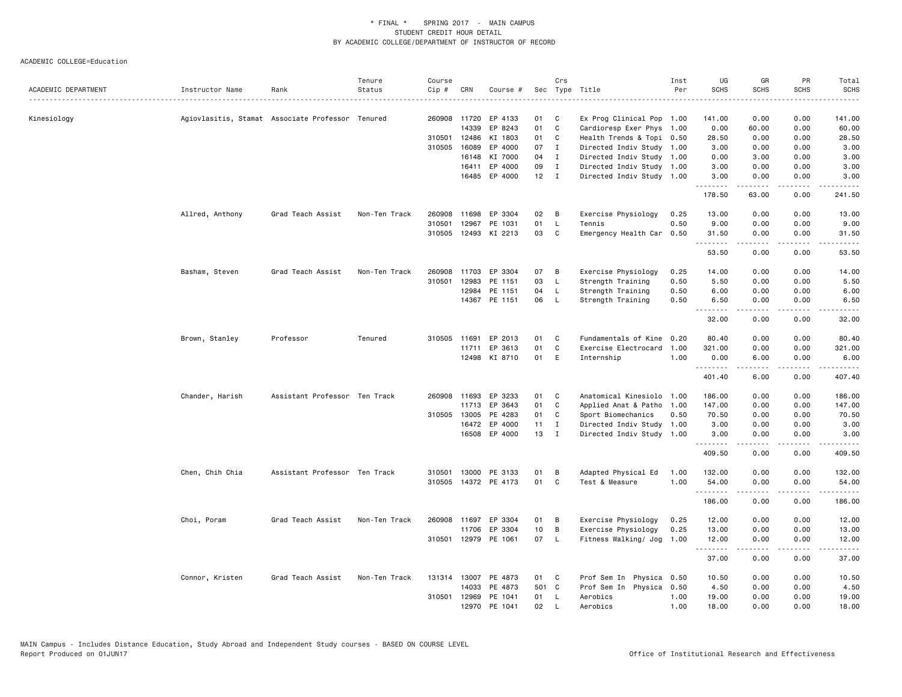|                     |                 |                                                  | Tenure        | Course |              |                      |       | Crs          |                           | Inst | UG          | GR          | PR                           | Total                                                                                                                                                         |
|---------------------|-----------------|--------------------------------------------------|---------------|--------|--------------|----------------------|-------|--------------|---------------------------|------|-------------|-------------|------------------------------|---------------------------------------------------------------------------------------------------------------------------------------------------------------|
| ACADEMIC DEPARTMENT | Instructor Name | Rank                                             | Status        | Cip #  | CRN          | Course #             |       |              | Sec Type Title            | Per  | <b>SCHS</b> | <b>SCHS</b> | <b>SCHS</b>                  | <b>SCHS</b><br>.                                                                                                                                              |
|                     |                 |                                                  |               |        |              |                      |       |              |                           |      |             |             |                              |                                                                                                                                                               |
| Kinesiology         |                 | Agiovlasitis, Stamat Associate Professor Tenured |               |        | 260908 11720 | EP 4133              | 01    | C            | Ex Prog Clinical Pop 1.00 |      | 141.00      | 0.00        | 0.00                         | 141.00                                                                                                                                                        |
|                     |                 |                                                  |               |        | 14339        | EP 8243              | 01    | $\mathbf{C}$ | Cardioresp Exer Phys 1.00 |      | 0.00        | 60.00       | 0.00                         | 60.00                                                                                                                                                         |
|                     |                 |                                                  |               | 310501 | 12486        | KI 1803              | 01    | C            | Health Trends & Topi 0.50 |      | 28.50       | 0.00        | 0.00                         | 28.50                                                                                                                                                         |
|                     |                 |                                                  |               |        | 310505 16089 | EP 4000              | 07    | $\mathbf{I}$ | Directed Indiv Study 1.00 |      | 3.00        | 0.00        | 0.00                         | 3.00                                                                                                                                                          |
|                     |                 |                                                  |               |        | 16148        | KI 7000              | 04    | $\mathbf{I}$ | Directed Indiv Study 1.00 |      | 0.00        | 3.00        | 0.00                         | 3.00                                                                                                                                                          |
|                     |                 |                                                  |               |        | 16411        | EP 4000              | 09    | $\mathbf{I}$ | Directed Indiv Study 1.00 |      | 3.00        | 0.00        | 0.00                         | 3.00                                                                                                                                                          |
|                     |                 |                                                  |               |        |              | 16485 EP 4000        |       | $12$ I       | Directed Indiv Study 1.00 |      | 3.00<br>.   | 0.00<br>.   | 0.00<br>$\frac{1}{2}$        | 3.00<br>.                                                                                                                                                     |
|                     |                 |                                                  |               |        |              |                      |       |              |                           |      | 178.50      | 63.00       | 0.00                         | 241.50                                                                                                                                                        |
|                     | Allred, Anthony | Grad Teach Assist                                | Non-Ten Track |        |              | 260908 11698 EP 3304 | 02    | в            | Exercise Physiology       | 0.25 | 13.00       | 0.00        | 0.00                         | 13.00                                                                                                                                                         |
|                     |                 |                                                  |               | 310501 | 12967        | PE 1031              | 01    | L.           | Tennis                    | 0.50 | 9.00        | 0.00        | 0.00                         | 9.00                                                                                                                                                          |
|                     |                 |                                                  |               |        |              | 310505 12493 KI 2213 | 03    | C            | Emergency Health Car      | 0.50 | 31.50<br>.  | 0.00<br>.   | 0.00<br>$\sim$ $\sim$ $\sim$ | 31.50<br>$\frac{1}{2} \left( \frac{1}{2} \right) \left( \frac{1}{2} \right) \left( \frac{1}{2} \right) \left( \frac{1}{2} \right) \left( \frac{1}{2} \right)$ |
|                     |                 |                                                  |               |        |              |                      |       |              |                           |      | 53.50       | 0.00        | 0.00                         | 53.50                                                                                                                                                         |
|                     | Basham, Steven  | Grad Teach Assist                                | Non-Ten Track |        |              | 260908 11703 EP 3304 | 07    | в            | Exercise Physiology       | 0.25 | 14.00       | 0.00        | 0.00                         | 14.00                                                                                                                                                         |
|                     |                 |                                                  |               | 310501 | 12983        | PE 1151              | 03    | L.           | Strength Training         | 0.50 | 5.50        | 0.00        | 0.00                         | 5.50                                                                                                                                                          |
|                     |                 |                                                  |               |        | 12984        | PE 1151              | 04    | L.           | Strength Training         | 0.50 | 6.00        | 0.00        | 0.00                         | 6.00                                                                                                                                                          |
|                     |                 |                                                  |               |        |              | 14367 PE 1151        | 06    | L.           | Strength Training         | 0.50 | 6.50        | 0.00        | 0.00                         | 6.50                                                                                                                                                          |
|                     |                 |                                                  |               |        |              |                      |       |              |                           |      | .<br>32.00  | .<br>0.00   | .<br>0.00                    | .<br>32.00                                                                                                                                                    |
|                     | Brown, Stanley  | Professor                                        | Tenured       |        | 310505 11691 | EP 2013              | 01    | C            | Fundamentals of Kine 0.20 |      | 80.40       | 0.00        | 0.00                         | 80.40                                                                                                                                                         |
|                     |                 |                                                  |               |        | 11711        | EP 3613              | 01    | $\mathtt{C}$ | Exercise Electrocard      | 1.00 | 321.00      | 0.00        | 0.00                         | 321.00                                                                                                                                                        |
|                     |                 |                                                  |               |        |              | 12498 KI 8710        | 01    | E            | Internship                | 1.00 | 0.00<br>.   | 6.00<br>.   | 0.00<br>.                    | 6.00                                                                                                                                                          |
|                     |                 |                                                  |               |        |              |                      |       |              |                           |      | 401.40      | 6.00        | 0.00                         | 407.40                                                                                                                                                        |
|                     | Chander, Harish | Assistant Professor Ten Track                    |               |        |              | 260908 11693 EP 3233 | 01    | C            | Anatomical Kinesiolo 1.00 |      | 186.00      | 0.00        | 0.00                         | 186.00                                                                                                                                                        |
|                     |                 |                                                  |               |        | 11713        | EP 3643              | 01    | C            | Applied Anat & Patho      | 1.00 | 147.00      | 0.00        | 0.00                         | 147.00                                                                                                                                                        |
|                     |                 |                                                  |               |        | 310505 13005 | PE 4283              | 01    | C            | Sport Biomechanics        | 0.50 | 70.50       | 0.00        | 0.00                         | 70.50                                                                                                                                                         |
|                     |                 |                                                  |               |        |              | 16472 EP 4000        | 11    | $\mathbf{I}$ | Directed Indiv Study 1.00 |      | 3.00        | 0.00        | 0.00                         | 3.00                                                                                                                                                          |
|                     |                 |                                                  |               |        |              | 16508 EP 4000        | 13    | $\mathbf{I}$ | Directed Indiv Study 1.00 |      | 3.00<br>.   | 0.00<br>.   | 0.00<br>.                    | 3.00                                                                                                                                                          |
|                     |                 |                                                  |               |        |              |                      |       |              |                           |      | 409.50      | 0.00        | 0.00                         | ------<br>409.50                                                                                                                                              |
|                     | Chen, Chih Chia | Assistant Professor Ten Track                    |               | 310501 |              | 13000 PE 3133        | 01    | В            | Adapted Physical Ed       | 1.00 | 132.00      | 0.00        | 0.00                         | 132.00                                                                                                                                                        |
|                     |                 |                                                  |               |        |              | 310505 14372 PE 4173 | 01    | C            | Test & Measure            | 1.00 | 54.00       | 0.00<br>.   | 0.00<br>.                    | 54.00                                                                                                                                                         |
|                     |                 |                                                  |               |        |              |                      |       |              |                           |      | .<br>186.00 | 0.00        | 0.00                         | 186.00                                                                                                                                                        |
|                     | Choi, Poram     | Grad Teach Assist                                | Non-Ten Track |        |              | 260908 11697 EP 3304 | 01    | B            | Exercise Physiology       | 0.25 | 12.00       | 0.00        | 0.00                         | 12.00                                                                                                                                                         |
|                     |                 |                                                  |               |        | 11706        | EP 3304              | 10    | В            | Exercise Physiology       | 0.25 | 13.00       | 0.00        | 0.00                         | 13.00                                                                                                                                                         |
|                     |                 |                                                  |               |        |              | 310501 12979 PE 1061 | 07    | L.           | Fitness Walking/ Jog      | 1.00 | 12.00<br>.  | 0.00<br>.   | 0.00<br>.                    | 12.00<br>.                                                                                                                                                    |
|                     |                 |                                                  |               |        |              |                      |       |              |                           |      | 37.00       | 0.00        | 0.00                         | 37.00                                                                                                                                                         |
|                     | Connor, Kristen | Grad Teach Assist                                | Non-Ten Track |        |              | 131314 13007 PE 4873 | 01 C  |              | Prof Sem In Physica 0.50  |      | 10.50       | 0.00        | 0.00                         | 10.50                                                                                                                                                         |
|                     |                 |                                                  |               |        | 14033        | PE 4873              | 501 C |              | Prof Sem In Physica 0.50  |      | 4.50        | 0.00        | 0.00                         | 4.50                                                                                                                                                          |
|                     |                 |                                                  |               | 310501 |              | 12969 PE 1041        | 01    | <b>L</b>     | Aerobics                  | 1.00 | 19,00       | 0.00        | 0.00                         | 19.00                                                                                                                                                         |
|                     |                 |                                                  |               |        |              | 12970 PE 1041        | 02    | $\mathbf{I}$ | Aerobics                  | 1.00 | 18,00       | 0.00        | 0.00                         | 18,00                                                                                                                                                         |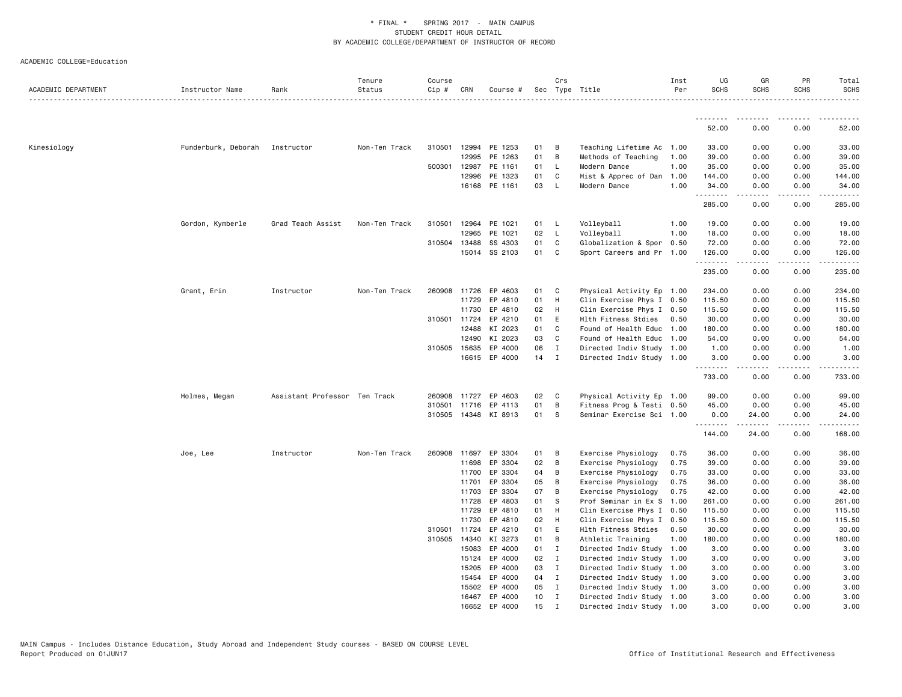| ACADEMIC DEPARTMENT | Instructor Name                | Rank                          | Tenure<br>Status | Course<br>Cip # | CRN            | Course #             |          | Crs               | Sec Type Title                                         | Inst<br>Per | UG<br><b>SCHS</b>      | GR<br><b>SCHS</b>   | PR<br><b>SCHS</b>                   | Total<br><b>SCHS</b> |
|---------------------|--------------------------------|-------------------------------|------------------|-----------------|----------------|----------------------|----------|-------------------|--------------------------------------------------------|-------------|------------------------|---------------------|-------------------------------------|----------------------|
|                     |                                |                               |                  |                 |                |                      |          |                   |                                                        |             | .                      |                     |                                     |                      |
|                     |                                |                               |                  |                 |                |                      |          |                   |                                                        |             | 52.00                  | 0.00                | 0.00                                | 52.00                |
| Kinesiology         | Funderburk, Deborah Instructor |                               | Non-Ten Track    |                 |                | 310501 12994 PE 1253 | 01       | B                 | Teaching Lifetime Ac                                   | 1.00        | 33.00                  | 0.00                | 0.00                                | 33.00                |
|                     |                                |                               |                  |                 | 12995          | PE 1263              | 01       | B                 | Methods of Teaching                                    | 1.00        | 39.00                  | 0.00                | 0.00                                | 39.00                |
|                     |                                |                               |                  |                 | 500301 12987   | PE 1161              | 01       | <b>L</b>          | Modern Dance                                           | 1.00        | 35.00                  | 0.00                | 0.00                                | 35.00                |
|                     |                                |                               |                  |                 | 12996          | PE 1323              | 01       | C                 | Hist & Apprec of Dan                                   | 1.00        | 144.00                 | 0.00                | 0.00                                | 144.00               |
|                     |                                |                               |                  |                 | 16168          | PE 1161              | 03       | L                 | Modern Dance                                           | 1.00        | 34.00<br>.             | 0.00<br>.           | 0.00<br>.                           | 34.00<br>.           |
|                     |                                |                               |                  |                 |                |                      |          |                   |                                                        |             | 285.00                 | 0.00                | 0.00                                | 285.00               |
|                     | Gordon, Kymberle               | Grad Teach Assist             | Non-Ten Track    | 310501          | 12964          | PE 1021              | 01       | L.                | Volleyball                                             | 1.00        | 19.00                  | 0.00                | 0.00                                | 19.00                |
|                     |                                |                               |                  |                 | 12965          | PE 1021              | 02       | L                 | Volleyball                                             | 1.00        | 18.00                  | 0.00                | 0.00                                | 18.00                |
|                     |                                |                               |                  |                 | 310504 13488   | SS 4303              | 01       | C                 | Globalization & Spor 0.50                              |             | 72.00                  | 0.00                | 0.00                                | 72.00                |
|                     |                                |                               |                  |                 |                | 15014 SS 2103        | 01       | $\mathbf{C}$      | Sport Careers and Pr 1.00                              |             | 126.00<br>. <b>.</b> . | 0.00<br>$- - - - -$ | 0.00<br>.                           | 126.00<br>.          |
|                     |                                |                               |                  |                 |                |                      |          |                   |                                                        |             | 235.00                 | 0.00                | 0.00                                | 235.00               |
|                     | Grant, Erin                    | Instructor                    | Non-Ten Track    |                 | 260908 11726   | EP 4603              | 01       | C                 | Physical Activity Ep 1.00                              |             | 234.00                 | 0.00                | 0.00                                | 234.00               |
|                     |                                |                               |                  |                 | 11729          | EP 4810              | 01       | H                 | Clin Exercise Phys I 0.50                              |             | 115.50                 | 0.00                | 0.00                                | 115.50               |
|                     |                                |                               |                  |                 | 11730          | EP 4810              | 02       | H                 | Clin Exercise Phys I 0.50                              |             | 115.50                 | 0.00                | 0.00                                | 115.50               |
|                     |                                |                               |                  |                 | 310501 11724   | EP 4210              | 01       | E                 | Hlth Fitness Stdies                                    | 0.50        | 30.00                  | 0.00                | 0.00                                | 30.00                |
|                     |                                |                               |                  |                 | 12488          | KI 2023              | 01       | C                 | Found of Health Educ                                   | 1.00        | 180.00                 | 0.00                | 0.00                                | 180.00               |
|                     |                                |                               |                  |                 | 12490          | KI 2023              | 03       | C                 | Found of Health Educ                                   | 1.00        | 54.00                  | 0.00                | 0.00                                | 54.00                |
|                     |                                |                               |                  |                 | 310505 15635   | EP 4000              | 06       | $\mathbf I$       | Directed Indiv Study 1.00                              |             | 1.00                   | 0.00                | 0.00                                | 1.00                 |
|                     |                                |                               |                  |                 | 16615          | EP 4000              | 14       | $\mathbf{I}$      | Directed Indiv Study 1.00                              |             | 3.00<br>.              | 0.00<br>.           | 0.00<br>$\sim$ $\sim$ $\sim$ $\sim$ | 3.00<br>-----        |
|                     |                                |                               |                  |                 |                |                      |          |                   |                                                        |             | 733.00                 | 0.00                | 0.00                                | 733.00               |
|                     | Holmes, Megan                  | Assistant Professor Ten Track |                  |                 | 260908 11727   | EP 4603              | 02       | C <sub>c</sub>    | Physical Activity Ep 1.00                              |             | 99.00                  | 0.00                | 0.00                                | 99.00                |
|                     |                                |                               |                  | 310501          | 11716          | EP 4113              | 01       | B                 | Fitness Prog & Testi 0.50                              |             | 45.00                  | 0.00                | 0.00                                | 45.00                |
|                     |                                |                               |                  |                 |                | 310505 14348 KI 8913 | 01       | S                 | Seminar Exercise Sci 1.00                              |             | 0.00                   | 24.00               | 0.00                                | 24.00                |
|                     |                                |                               |                  |                 |                |                      |          |                   |                                                        |             | .<br>144.00            | .<br>24.00          | .<br>0.00                           | .<br>168.00          |
|                     | Joe, Lee                       | Instructor                    | Non-Ten Track    | 260908          | 11697          | EP 3304              | 01       | B                 | Exercise Physiology                                    | 0.75        | 36.00                  | 0.00                | 0.00                                | 36.00                |
|                     |                                |                               |                  |                 | 11698          | EP 3304              | 02       | B                 | Exercise Physiology                                    | 0.75        | 39.00                  | 0.00                | 0.00                                | 39.00                |
|                     |                                |                               |                  |                 | 11700          | EP 3304              | 04       | B                 | Exercise Physiology                                    | 0.75        | 33.00                  | 0.00                | 0.00                                | 33.00                |
|                     |                                |                               |                  |                 | 11701          | EP 3304              | 05       | B                 | Exercise Physiology                                    | 0.75        | 36.00                  | 0.00                | 0.00                                | 36.00                |
|                     |                                |                               |                  |                 | 11703          | EP 3304              | 07       | B                 | Exercise Physiology                                    | 0.75        | 42.00                  | 0.00                | 0.00                                | 42.00                |
|                     |                                |                               |                  |                 | 11728          | EP 4803              | 01       | s                 | Prof Seminar in Ex S                                   | 1.00        | 261.00                 | 0.00                | 0.00                                | 261.00               |
|                     |                                |                               |                  |                 | 11729          | EP 4810              | 01       | H                 | Clin Exercise Phys I 0.50                              |             | 115.50                 | 0.00                | 0.00                                | 115.50               |
|                     |                                |                               |                  |                 | 11730          | EP 4810              | 02       | H                 | Clin Exercise Phys I 0.50                              |             | 115.50                 | 0.00                | 0.00                                | 115.50               |
|                     |                                |                               |                  | 310501          | 11724          | EP 4210              | 01       | E                 | Hlth Fitness Stdies                                    | 0.50        | 30.00                  | 0.00                | 0.00                                | 30.00                |
|                     |                                |                               |                  |                 | 310505 14340   | KI 3273              | 01       | B                 | Athletic Training                                      | 1.00        | 180.00                 | 0.00                | 0.00                                | 180.00               |
|                     |                                |                               |                  |                 | 15083          | EP 4000              | 01       | $\mathbf{I}$      | Directed Indiv Study                                   | 1.00        | 3.00                   | 0.00                | 0.00                                | 3.00                 |
|                     |                                |                               |                  |                 | 15124          | EP 4000              | 02       | $\mathbf{I}$      | Directed Indiv Study 1.00                              |             | 3.00                   | 0.00                | 0.00                                | 3.00                 |
|                     |                                |                               |                  |                 | 15205          | EP 4000              | 03       | $\mathbf{I}$      | Directed Indiv Study 1.00                              |             | 3.00                   | 0.00                | 0.00                                | 3.00                 |
|                     |                                |                               |                  |                 | 15454          | EP 4000              | 04       | $\mathbf{I}$      | Directed Indiv Study 1.00                              |             | 3.00                   | 0.00                | 0.00                                | 3.00                 |
|                     |                                |                               |                  |                 | 15502<br>16467 | EP 4000<br>EP 4000   | 05<br>10 | $\mathbf{I}$<br>I | Directed Indiv Study 1.00<br>Directed Indiv Study 1.00 |             | 3.00<br>3.00           | 0.00<br>0.00        | 0.00<br>0.00                        | 3.00<br>3.00         |
|                     |                                |                               |                  |                 | 16652          | EP 4000              | 15       | $\mathbf I$       | Directed Indiv Study 1.00                              |             | 3.00                   | 0.00                | 0.00                                | 3.00                 |
|                     |                                |                               |                  |                 |                |                      |          |                   |                                                        |             |                        |                     |                                     |                      |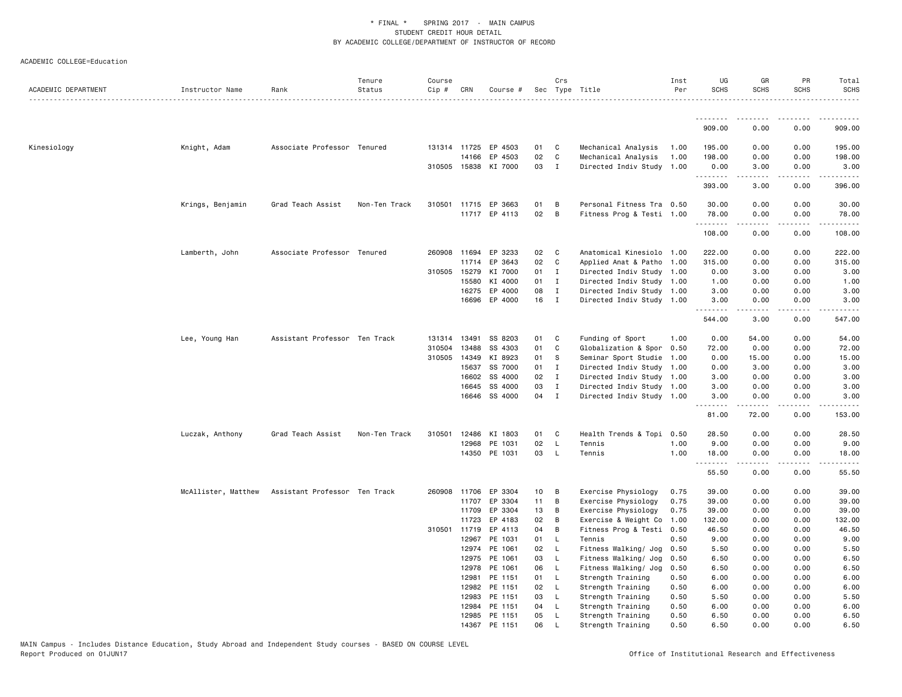| ACADEMIC DEPARTMENT | Instructor Name     | Rank                          | Tenure<br>Status | Course<br>$Cip \#$ | CRN          | Course #             |    | Crs          | Sec Type Title            | Inst<br>Per | UG<br><b>SCHS</b> | GR<br><b>SCHS</b>                                                                                                                                            | PR<br><b>SCHS</b> | Total<br><b>SCHS</b> |
|---------------------|---------------------|-------------------------------|------------------|--------------------|--------------|----------------------|----|--------------|---------------------------|-------------|-------------------|--------------------------------------------------------------------------------------------------------------------------------------------------------------|-------------------|----------------------|
|                     |                     |                               |                  |                    |              |                      |    |              |                           |             | .                 | .                                                                                                                                                            | .                 | .                    |
|                     |                     |                               |                  |                    |              |                      |    |              |                           |             | 909.00            | 0.00                                                                                                                                                         | 0.00              | 909.00               |
| Kinesiology         | Knight, Adam        | Associate Professor Tenured   |                  |                    |              | 131314 11725 EP 4503 | 01 | C            | Mechanical Analysis       | 1.00        | 195.00            | 0.00                                                                                                                                                         | 0.00              | 195.00               |
|                     |                     |                               |                  |                    | 14166        | EP 4503              | 02 | $\mathtt{C}$ | Mechanical Analysis       | 1.00        | 198.00            | 0.00                                                                                                                                                         | 0.00              | 198.00               |
|                     |                     |                               |                  |                    |              | 310505 15838 KI 7000 | 03 | $\mathbf{I}$ | Directed Indiv Study 1.00 |             | 0.00              | 3.00                                                                                                                                                         | 0.00              | 3.00                 |
|                     |                     |                               |                  |                    |              |                      |    |              |                           |             | .                 | .                                                                                                                                                            | د د د د           | .                    |
|                     |                     |                               |                  |                    |              |                      |    |              |                           |             | 393.00            | 3.00                                                                                                                                                         | 0.00              | 396.00               |
|                     | Krings, Benjamin    | Grad Teach Assist             | Non-Ten Track    |                    |              | 310501 11715 EP 3663 | 01 | B            | Personal Fitness Tra 0.50 |             | 30.00             | 0.00                                                                                                                                                         | 0.00              | 30.00                |
|                     |                     |                               |                  |                    |              | 11717 EP 4113        | 02 | B            | Fitness Prog & Testi 1.00 |             | 78.00             | 0.00                                                                                                                                                         | 0.00              | 78.00                |
|                     |                     |                               |                  |                    |              |                      |    |              |                           |             | .<br>108.00       | 0.00                                                                                                                                                         | 0.00              | .<br>108.00          |
|                     | Lamberth, John      | Associate Professor Tenured   |                  |                    | 260908 11694 | EP 3233              | 02 | C            | Anatomical Kinesiolo 1.00 |             | 222.00            | 0.00                                                                                                                                                         | 0.00              | 222.00               |
|                     |                     |                               |                  |                    | 11714        | EP 3643              | 02 | $\mathbf c$  | Applied Anat & Patho 1.00 |             | 315.00            | 0.00                                                                                                                                                         | 0.00              | 315.00               |
|                     |                     |                               |                  | 310505 15279       |              | KI 7000              | 01 | $\mathbf I$  | Directed Indiv Study 1.00 |             | 0.00              | 3.00                                                                                                                                                         | 0.00              | 3.00                 |
|                     |                     |                               |                  |                    | 15580        | KI 4000              | 01 | $\mathbf{I}$ | Directed Indiv Study 1.00 |             | 1.00              | 0.00                                                                                                                                                         | 0.00              | 1.00                 |
|                     |                     |                               |                  |                    | 16275        | EP 4000              | 08 | $\mathbf I$  | Directed Indiv Study 1.00 |             | 3.00              | 0.00                                                                                                                                                         | 0.00              | 3.00                 |
|                     |                     |                               |                  |                    | 16696        | EP 4000              | 16 | $\mathbf{I}$ | Directed Indiv Study 1.00 |             | 3.00              | 0.00                                                                                                                                                         | 0.00              | 3.00                 |
|                     |                     |                               |                  |                    |              |                      |    |              |                           |             | .                 | -----                                                                                                                                                        | .                 | .                    |
|                     |                     |                               |                  |                    |              |                      |    |              |                           |             | 544.00            | 3.00                                                                                                                                                         | 0.00              | 547.00               |
|                     | Lee, Young Han      | Assistant Professor Ten Track |                  |                    | 131314 13491 | SS 8203              | 01 | C            | Funding of Sport          | 1.00        | 0.00              | 54.00                                                                                                                                                        | 0.00              | 54.00                |
|                     |                     |                               |                  | 310504             | 13488        | SS 4303              | 01 | C            | Globalization & Spor      | 0.50        | 72.00             | 0.00                                                                                                                                                         | 0.00              | 72.00                |
|                     |                     |                               |                  |                    | 310505 14349 | KI 8923              | 01 | S            | Seminar Sport Studie      | 1.00        | 0.00              | 15.00                                                                                                                                                        | 0.00              | 15.00                |
|                     |                     |                               |                  |                    | 15637        | SS 7000              | 01 | $\mathbf{I}$ | Directed Indiv Study 1.00 |             | 0.00              | 3.00                                                                                                                                                         | 0.00              | 3.00                 |
|                     |                     |                               |                  |                    | 16602        | SS 4000              | 02 | $\mathbf I$  | Directed Indiv Study      | 1.00        | 3.00              | 0.00                                                                                                                                                         | 0.00              | 3.00                 |
|                     |                     |                               |                  |                    | 16645        | SS 4000              | 03 | $\mathbf{I}$ | Directed Indiv Study 1.00 |             | 3.00              | 0.00                                                                                                                                                         | 0.00              | 3.00                 |
|                     |                     |                               |                  |                    |              | 16646 SS 4000        | 04 | $\mathbf{I}$ | Directed Indiv Study 1.00 |             | 3.00<br><u>.</u>  | 0.00<br>$- - - - -$                                                                                                                                          | 0.00<br>.         | 3.00<br>.            |
|                     |                     |                               |                  |                    |              |                      |    |              |                           |             | 81.00             | 72.00                                                                                                                                                        | 0.00              | 153.00               |
|                     | Luczak, Anthony     | Grad Teach Assist             | Non-Ten Track    | 310501             | 12486        | KI 1803              | 01 | C            | Health Trends & Topi 0.50 |             | 28.50             | 0.00                                                                                                                                                         | 0.00              | 28.50                |
|                     |                     |                               |                  |                    | 12968        | PE 1031              | 02 | $\mathsf{L}$ | Tennis                    | 1.00        | 9.00              | 0.00                                                                                                                                                         | 0.00              | 9.00                 |
|                     |                     |                               |                  |                    |              | 14350 PE 1031        | 03 | $\mathsf{L}$ | Tennis                    | 1.00        | 18.00             | 0.00<br>$\frac{1}{2} \left( \frac{1}{2} \right) \left( \frac{1}{2} \right) \left( \frac{1}{2} \right) \left( \frac{1}{2} \right) \left( \frac{1}{2} \right)$ | 0.00<br>.         | 18.00                |
|                     |                     |                               |                  |                    |              |                      |    |              |                           |             | .<br>55.50        | 0.00                                                                                                                                                         | 0.00              | .<br>55.50           |
|                     | McAllister, Matthew | Assistant Professor Ten Track |                  |                    | 260908 11706 | EP 3304              | 10 | B            | Exercise Physiology       | 0.75        | 39.00             | 0.00                                                                                                                                                         | 0.00              | 39.00                |
|                     |                     |                               |                  |                    | 11707        | EP 3304              | 11 | B            | Exercise Physiology       | 0.75        | 39.00             | 0.00                                                                                                                                                         | 0.00              | 39.00                |
|                     |                     |                               |                  |                    | 11709        | EP 3304              | 13 | B            | Exercise Physiology       | 0.75        | 39.00             | 0.00                                                                                                                                                         | 0.00              | 39.00                |
|                     |                     |                               |                  |                    | 11723        | EP 4183              | 02 | B            | Exercise & Weight Co      | 1.00        | 132.00            | 0.00                                                                                                                                                         | 0.00              | 132.00               |
|                     |                     |                               |                  |                    | 310501 11719 | EP 4113              | 04 | B            | Fitness Prog & Testi 0.50 |             | 46.50             | 0.00                                                                                                                                                         | 0.00              | 46.50                |
|                     |                     |                               |                  |                    | 12967        | PE 1031              | 01 | $\mathsf{L}$ | Tennis                    | 0.50        | 9.00              | 0.00                                                                                                                                                         | 0.00              | 9.00                 |
|                     |                     |                               |                  |                    | 12974        | PE 1061              | 02 | - L          | Fitness Walking/ Jog      | 0.50        | 5.50              | 0.00                                                                                                                                                         | 0.00              | 5.50                 |
|                     |                     |                               |                  |                    | 12975        | PE 1061              | 03 | <b>L</b>     | Fitness Walking/ Jog      | 0.50        | 6.50              | 0.00                                                                                                                                                         | 0.00              | 6.50                 |
|                     |                     |                               |                  |                    | 12978        | PE 1061              | 06 | $\mathsf{L}$ | Fitness Walking/ Jog      | 0.50        | 6.50              | 0.00                                                                                                                                                         | 0.00              | 6.50                 |
|                     |                     |                               |                  |                    | 12981        | PE 1151              | 01 | L.           | Strength Training         | 0.50        | 6.00              | 0.00                                                                                                                                                         | 0.00              | 6.00                 |
|                     |                     |                               |                  |                    | 12982        | PE 1151              | 02 | $\mathsf{L}$ | Strength Training         | 0.50        | 6.00              | 0.00                                                                                                                                                         | 0.00              | 6.00                 |
|                     |                     |                               |                  |                    | 12983        | PE 1151              | 03 | L            | Strength Training         | 0.50        | 5.50              | 0.00                                                                                                                                                         | 0.00              | 5.50                 |
|                     |                     |                               |                  |                    | 12984        | PE 1151              | 04 | L            | Strength Training         | 0.50        | 6.00              | 0.00                                                                                                                                                         | 0.00              | 6.00                 |
|                     |                     |                               |                  |                    | 12985        | PE 1151              | 05 | $\mathsf{L}$ | Strength Training         | 0.50        | 6.50              | 0.00                                                                                                                                                         | 0.00              | 6.50                 |
|                     |                     |                               |                  |                    |              | 14367 PE 1151        | 06 | $\mathsf{L}$ | Strength Training         | 0.50        | 6.50              | 0.00                                                                                                                                                         | 0.00              | 6.50                 |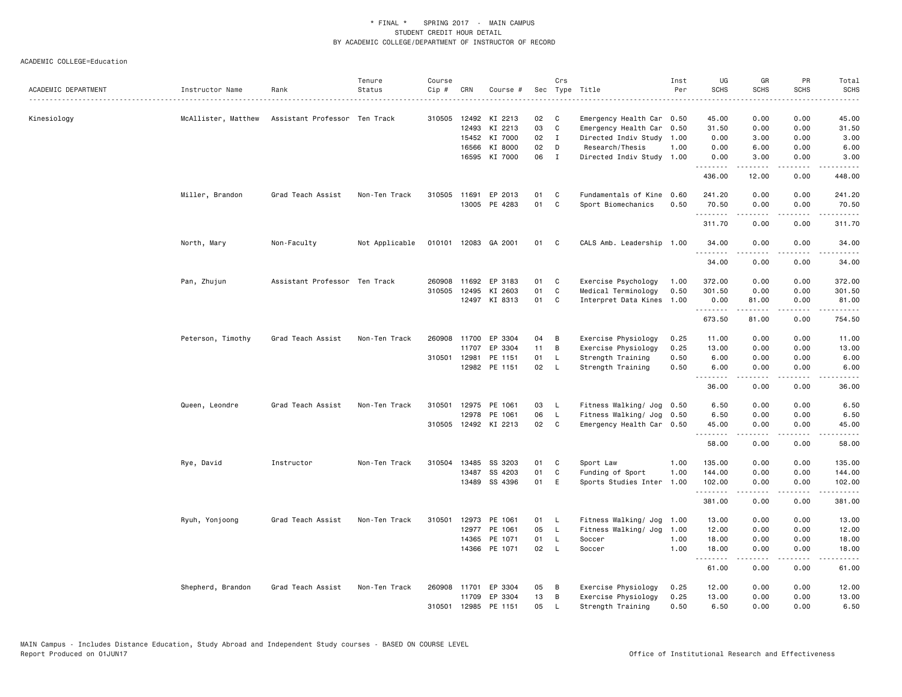|                     |                     |                               | Tenure         | Course       |       |                      |    | Crs            |                                            | Inst         | UG                | GR                                                                                                                                                           | PR                           | Total                            |
|---------------------|---------------------|-------------------------------|----------------|--------------|-------|----------------------|----|----------------|--------------------------------------------|--------------|-------------------|--------------------------------------------------------------------------------------------------------------------------------------------------------------|------------------------------|----------------------------------|
| ACADEMIC DEPARTMENT | Instructor Name     | Rank                          | Status         | Cip #        | CRN   | Course #             |    | Sec Type Title |                                            | Per          | <b>SCHS</b>       | <b>SCHS</b>                                                                                                                                                  | <b>SCHS</b>                  | <b>SCHS</b><br>$\omega$ is a set |
|                     |                     |                               |                |              |       |                      |    |                |                                            |              |                   |                                                                                                                                                              |                              |                                  |
| Kinesiology         | McAllister, Matthew | Assistant Professor Ten Track |                | 310505       |       | 12492 KI 2213        | 02 | C              | Emergency Health Car 0.50                  |              | 45.00             | 0.00                                                                                                                                                         | 0.00                         | 45.00                            |
|                     |                     |                               |                |              |       | 12493 KI 2213        | 03 | C              | Emergency Health Car 0.50                  |              | 31.50             | 0.00                                                                                                                                                         | 0.00                         | 31.50                            |
|                     |                     |                               |                |              | 15452 | KI 7000              | 02 | $\mathbf{I}$   | Directed Indiv Study                       | 1.00         | 0.00              | 3.00                                                                                                                                                         | 0.00                         | 3.00                             |
|                     |                     |                               |                |              | 16566 | KI 8000              | 02 | D              | Research/Thesis                            | 1.00         | 0.00              | 6.00                                                                                                                                                         | 0.00                         | 6.00                             |
|                     |                     |                               |                |              |       | 16595 KI 7000        | 06 | $\mathbf{I}$   | Directed Indiv Study 1.00                  |              | 0.00<br>.         | 3.00<br>$\frac{1}{2} \left( \frac{1}{2} \right) \left( \frac{1}{2} \right) \left( \frac{1}{2} \right) \left( \frac{1}{2} \right) \left( \frac{1}{2} \right)$ | 0.00<br>.                    | 3.00                             |
|                     |                     |                               |                |              |       |                      |    |                |                                            |              | 436.00            | 12.00                                                                                                                                                        | 0.00                         | 448.00                           |
|                     | Miller, Brandon     | Grad Teach Assist             | Non-Ten Track  | 310505       | 11691 | EP 2013              | 01 | C              | Fundamentals of Kine                       | 0.60         | 241.20            | 0.00                                                                                                                                                         | 0.00                         | 241.20                           |
|                     |                     |                               |                |              |       | 13005 PE 4283        | 01 | C              | Sport Biomechanics                         | 0.50         | 70.50             | 0.00                                                                                                                                                         | 0.00                         | 70.50                            |
|                     |                     |                               |                |              |       |                      |    |                |                                            |              | <b></b>           | .                                                                                                                                                            | $   -$                       | <u>.</u>                         |
|                     |                     |                               |                |              |       |                      |    |                |                                            |              | 311.70            | 0.00                                                                                                                                                         | 0.00                         | 311.70                           |
|                     | North, Mary         | Non-Faculty                   | Not Applicable |              |       | 010101 12083 GA 2001 | 01 | C              | CALS Amb. Leadership 1.00                  |              | 34.00<br>.        | 0.00<br>.                                                                                                                                                    | 0.00<br>د د د د              | 34.00<br>.                       |
|                     |                     |                               |                |              |       |                      |    |                |                                            |              | 34.00             | 0.00                                                                                                                                                         | 0.00                         | 34.00                            |
|                     | Pan, Zhujun         | Assistant Professor Ten Track |                | 260908       | 11692 | EP 3183              | 01 | C              | Exercise Psychology                        | 1.00         | 372.00            | 0.00                                                                                                                                                         | 0.00                         | 372.00                           |
|                     |                     |                               |                | 310505       | 12495 | KI 2603              | 01 | C              | Medical Terminology                        | 0.50         | 301.50            | 0.00                                                                                                                                                         | 0.00                         | 301.50                           |
|                     |                     |                               |                |              |       | 12497 KI 8313        | 01 | C              | Interpret Data Kines                       | 1.00         | 0.00              | 81.00                                                                                                                                                        | 0.00                         | 81.00                            |
|                     |                     |                               |                |              |       |                      |    |                |                                            |              | .<br>673.50       | .<br>81.00                                                                                                                                                   | لأعاجب<br>0.00               | 754.50                           |
|                     |                     | Grad Teach Assist             | Non-Ten Track  | 260908       |       | 11700 EP 3304        | 04 | В              |                                            | 0.25         | 11.00             | 0.00                                                                                                                                                         | 0.00                         | 11.00                            |
|                     | Peterson, Timothy   |                               |                |              | 11707 | EP 3304              | 11 | В              | Exercise Physiology<br>Exercise Physiology | 0.25         | 13.00             | 0.00                                                                                                                                                         | 0.00                         | 13.00                            |
|                     |                     |                               |                | 310501 12981 |       | PE 1151              | 01 | <b>L</b>       | Strength Training                          | 0.50         | 6.00              | 0.00                                                                                                                                                         | 0.00                         | 6.00                             |
|                     |                     |                               |                |              |       | 12982 PE 1151        | 02 | - L            | Strength Training                          | 0.50         | 6.00              | 0.00                                                                                                                                                         | 0.00                         | 6.00                             |
|                     |                     |                               |                |              |       |                      |    |                |                                            |              | <u>.</u>          | .                                                                                                                                                            | .                            | .                                |
|                     |                     |                               |                |              |       |                      |    |                |                                            |              | 36.00             | 0.00                                                                                                                                                         | 0.00                         | 36.00                            |
|                     | Queen, Leondre      | Grad Teach Assist             | Non-Ten Track  | 310501       |       | 12975 PE 1061        | 03 | - L            | Fitness Walking/ Jog 0.50                  |              | 6.50              | 0.00                                                                                                                                                         | 0.00                         | 6.50                             |
|                     |                     |                               |                |              |       | 12978 PE 1061        | 06 | $\mathsf{L}$   | Fitness Walking/ Jog 0.50                  |              | 6.50              | 0.00                                                                                                                                                         | 0.00                         | 6.50                             |
|                     |                     |                               |                |              |       | 310505 12492 KI 2213 | 02 | $\mathbf{C}$   | Emergency Health Car 0.50                  |              | 45.00             | 0.00                                                                                                                                                         | 0.00                         | 45.00                            |
|                     |                     |                               |                |              |       |                      |    |                |                                            |              | --------<br>58.00 | -----<br>0.00                                                                                                                                                | .<br>0.00                    | .<br>58.00                       |
|                     | Rye, David          | Instructor                    | Non-Ten Track  | 310504       | 13485 | SS 3203              | 01 | C              | Sport Law                                  | 1.00         | 135.00            | 0.00                                                                                                                                                         | 0.00                         | 135.00                           |
|                     |                     |                               |                |              | 13487 | SS 4203              | 01 | C              | Funding of Sport                           | 1.00         | 144,00            | 0.00                                                                                                                                                         | 0.00                         | 144.00                           |
|                     |                     |                               |                |              |       | 13489 SS 4396        | 01 | E              | Sports Studies Inter 1.00                  |              | 102.00            | 0.00                                                                                                                                                         | 0.00                         | 102.00                           |
|                     |                     |                               |                |              |       |                      |    |                |                                            |              | .<br>381.00       | <b>.</b><br>0.00                                                                                                                                             | .<br>0.00                    | .<br>381.00                      |
|                     | Ryuh, Yonjoong      | Grad Teach Assist             | Non-Ten Track  | 310501       |       | 12973 PE 1061        | 01 | - L            | Fitness Walking/ Jog                       | 1.00         | 13.00             | 0.00                                                                                                                                                         | 0.00                         | 13.00                            |
|                     |                     |                               |                |              |       | 12977 PE 1061        | 05 | - L            | Fitness Walking/ Jog                       | 1.00         | 12.00             | 0.00                                                                                                                                                         | 0.00                         | 12.00                            |
|                     |                     |                               |                |              |       | 14365 PE 1071        | 01 | - L            | Soccer                                     | 1.00         | 18.00             | 0.00                                                                                                                                                         | 0.00                         | 18.00                            |
|                     |                     |                               |                |              |       | 14366 PE 1071        | 02 | - L            | Soccer                                     | 1.00         | 18.00             | 0.00                                                                                                                                                         | 0.00                         | 18.00                            |
|                     |                     |                               |                |              |       |                      |    |                |                                            |              | .<br>61.00        | 0.00                                                                                                                                                         | $\sim$ $\sim$ $\sim$<br>0.00 | 61.00                            |
|                     |                     | Grad Teach Assist             | Non-Ten Track  | 260908       |       | 11701 EP 3304        | 05 |                |                                            |              |                   |                                                                                                                                                              | 0.00                         |                                  |
|                     | Shepherd, Brandon   |                               |                |              |       | 11709 EP 3304        | 13 | В<br>В         | Exercise Physiology<br>Exercise Physiology | 0.25<br>0.25 | 12.00<br>13.00    | 0.00<br>0.00                                                                                                                                                 | 0.00                         | 12.00<br>13.00                   |
|                     |                     |                               |                | 310501       | 12985 | PE 1151              | 05 | L              | Strength Training                          | 0.50         | 6.50              | 0.00                                                                                                                                                         | 0.00                         | 6.50                             |
|                     |                     |                               |                |              |       |                      |    |                |                                            |              |                   |                                                                                                                                                              |                              |                                  |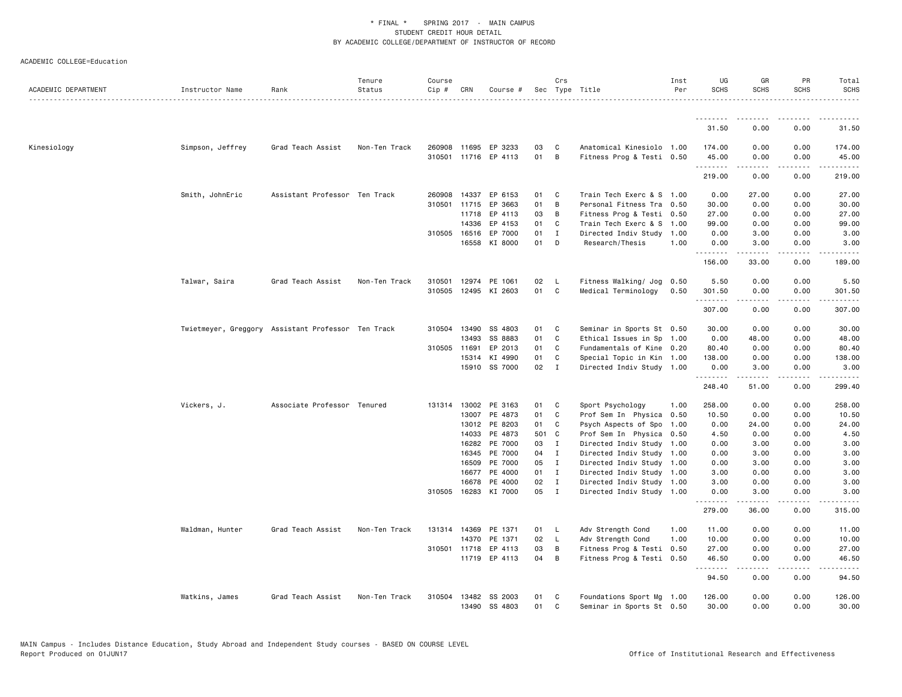|                     |                                                    |                               | Tenure        | Course |              |                      |       | Crs          |                           | Inst | UG                   | GR               | PR                           | Total                                                                                                                |
|---------------------|----------------------------------------------------|-------------------------------|---------------|--------|--------------|----------------------|-------|--------------|---------------------------|------|----------------------|------------------|------------------------------|----------------------------------------------------------------------------------------------------------------------|
| ACADEMIC DEPARTMENT | Instructor Name                                    | Rank                          | Status<br>.   | Cip #  | CRN          | Course #             |       |              | Sec Type Title            | Per  | <b>SCHS</b>          | <b>SCHS</b>      | <b>SCHS</b>                  | <b>SCHS</b><br>$- - - - - -$                                                                                         |
|                     |                                                    |                               |               |        |              |                      |       |              |                           |      | .                    | .                |                              |                                                                                                                      |
|                     |                                                    |                               |               |        |              |                      |       |              |                           |      | 31.50                | 0.00             | 0.00                         | 31.50                                                                                                                |
| Kinesiology         | Simpson, Jeffrey                                   | Grad Teach Assist             | Non-Ten Track | 260908 |              | 11695 EP 3233        | 03    | C            | Anatomical Kinesiolo 1.00 |      | 174.00               | 0.00             | 0.00                         | 174.00                                                                                                               |
|                     |                                                    |                               |               |        |              | 310501 11716 EP 4113 | 01    | B            | Fitness Prog & Testi 0.50 |      | 45.00<br>.           | 0.00<br>-----    | 0.00<br>.                    | 45.00<br>$\begin{array}{cccccccccc} \bullet & \bullet & \bullet & \bullet & \bullet & \bullet & \bullet \end{array}$ |
|                     |                                                    |                               |               |        |              |                      |       |              |                           |      | 219.00               | 0.00             | 0.00                         | 219,00                                                                                                               |
|                     | Smith, JohnEric                                    | Assistant Professor Ten Track |               | 260908 | 14337        | EP 6153              | 01    | C            | Train Tech Exerc & S 1.00 |      | 0.00                 | 27.00            | 0.00                         | 27.00                                                                                                                |
|                     |                                                    |                               |               | 310501 | 11715        | EP 3663              | 01    | B            | Personal Fitness Tra 0.50 |      | 30.00                | 0.00             | 0.00                         | 30.00                                                                                                                |
|                     |                                                    |                               |               |        |              | 11718 EP 4113        | 03    | B            | Fitness Prog & Testi 0.50 |      | 27.00                | 0.00             | 0.00                         | 27.00                                                                                                                |
|                     |                                                    |                               |               |        | 14336        | EP 4153              | 01    | C            | Train Tech Exerc & S      | 1.00 | 99.00                | 0.00             | 0.00                         | 99.00                                                                                                                |
|                     |                                                    |                               |               | 310505 | 16516        | EP 7000              | 01    | $\mathbf{I}$ | Directed Indiv Study      | 1.00 | 0.00                 | 3.00             | 0.00                         | 3.00                                                                                                                 |
|                     |                                                    |                               |               |        |              | 16558 KI 8000        | 01    | D            | Research/Thesis           | 1.00 | 0.00<br>.            | 3.00<br>.        | 0.00<br>.                    | 3.00<br>.                                                                                                            |
|                     |                                                    |                               |               |        |              |                      |       |              |                           |      | 156.00               | 33.00            | 0.00                         | 189.00                                                                                                               |
|                     | Talwar, Saira                                      | Grad Teach Assist             | Non-Ten Track | 310501 | 12974        | PE 1061              | 02    | <b>L</b>     | Fitness Walking/ Jog      | 0.50 | 5.50                 | 0.00             | 0.00                         | 5.50                                                                                                                 |
|                     |                                                    |                               |               | 310505 |              | 12495 KI 2603        | 01    | C            | Medical Terminology       | 0.50 | 301.50<br>. <b>.</b> | 0.00<br>.        | 0.00<br>.                    | 301.50<br>$\frac{1}{2}$                                                                                              |
|                     |                                                    |                               |               |        |              |                      |       |              |                           |      | 307.00               | 0.00             | 0.00                         | 307.00                                                                                                               |
|                     | Twietmeyer, Greggory Assistant Professor Ten Track |                               |               |        | 310504 13490 | SS 4803              | 01    | C            | Seminar in Sports St 0.50 |      | 30.00                | 0.00             | 0.00                         | 30.00                                                                                                                |
|                     |                                                    |                               |               |        | 13493        | SS 8883              | 01    | C            | Ethical Issues in Sp      | 1.00 | 0.00                 | 48.00            | 0.00                         | 48.00                                                                                                                |
|                     |                                                    |                               |               |        | 310505 11691 | EP 2013              | 01    | C            | Fundamentals of Kine 0.20 |      | 80.40                | 0.00             | 0.00                         | 80.40                                                                                                                |
|                     |                                                    |                               |               |        | 15314        | KI 4990              | 01    | C            | Special Topic in Kin 1.00 |      | 138.00               | 0.00             | 0.00                         | 138.00                                                                                                               |
|                     |                                                    |                               |               |        |              | 15910 SS 7000        | 02    | $\mathbf{I}$ | Directed Indiv Study 1.00 |      | 0.00<br>.            | 3.00<br>-----    | 0.00<br>$\sim$ $\sim$ $\sim$ | 3.00<br>.                                                                                                            |
|                     |                                                    |                               |               |        |              |                      |       |              |                           |      | 248.40               | 51.00            | 0.00                         | 299.40                                                                                                               |
|                     | Vickers, J.                                        | Associate Professor Tenured   |               | 131314 |              | 13002 PE 3163        | 01    | C            | Sport Psychology          | 1.00 | 258.00               | 0.00             | 0.00                         | 258,00                                                                                                               |
|                     |                                                    |                               |               |        |              | 13007 PE 4873        | 01    | C            | Prof Sem In Physica 0.50  |      | 10.50                | 0.00             | 0.00                         | 10.50                                                                                                                |
|                     |                                                    |                               |               |        | 13012        | PE 8203              | 01    | C            | Psych Aspects of Spo      | 1.00 | 0.00                 | 24.00            | 0.00                         | 24.00                                                                                                                |
|                     |                                                    |                               |               |        | 14033        | PE 4873              | 501 C |              | Prof Sem In Physica 0.50  |      | 4.50                 | 0.00             | 0.00                         | 4.50                                                                                                                 |
|                     |                                                    |                               |               |        |              | 16282 PE 7000        | 03    | $\mathbf{I}$ | Directed Indiv Study 1.00 |      | 0.00                 | 3.00             | 0.00                         | 3.00                                                                                                                 |
|                     |                                                    |                               |               |        | 16345        | PE 7000              | 04    | $\mathbf{I}$ | Directed Indiv Study 1.00 |      | 0.00                 | 3.00             | 0.00                         | 3.00                                                                                                                 |
|                     |                                                    |                               |               |        | 16509        | PE 7000              | 05    | $\mathbf{I}$ | Directed Indiv Study 1.00 |      | 0.00                 | 3.00             | 0.00                         | 3.00                                                                                                                 |
|                     |                                                    |                               |               |        |              | 16677 PE 4000        | 01 I  |              | Directed Indiv Study 1.00 |      | 3.00                 | 0.00             | 0.00                         | 3.00                                                                                                                 |
|                     |                                                    |                               |               |        | 16678        | PE 4000              | 02    | $\mathbf{I}$ | Directed Indiv Study 1.00 |      | 3.00                 | 0.00             | 0.00                         | 3.00                                                                                                                 |
|                     |                                                    |                               |               |        |              | 310505 16283 KI 7000 | 05    | I            | Directed Indiv Study 1.00 |      | 0.00<br>.            | 3.00<br><b>.</b> | 0.00<br>$   -$               | 3.00<br>.                                                                                                            |
|                     |                                                    |                               |               |        |              |                      |       |              |                           |      | 279.00               | 36.00            | 0.00                         | 315.00                                                                                                               |
|                     | Waldman, Hunter                                    | Grad Teach Assist             | Non-Ten Track |        |              | 131314 14369 PE 1371 | 01    | - L          | Adv Strength Cond         | 1.00 | 11.00                | 0.00             | 0.00                         | 11.00                                                                                                                |
|                     |                                                    |                               |               |        | 14370        | PE 1371              | 02    | L            | Adv Strength Cond         | 1.00 | 10.00                | 0.00             | 0.00                         | 10.00                                                                                                                |
|                     |                                                    |                               |               | 310501 | 11718        | EP 4113              | 03    | В            | Fitness Prog & Testi 0.50 |      | 27.00                | 0.00             | 0.00                         | 27.00                                                                                                                |
|                     |                                                    |                               |               |        |              | 11719 EP 4113        | 04    | B            | Fitness Prog & Testi 0.50 |      | 46.50<br>.           | 0.00<br>.        | 0.00<br>.                    | 46.50<br>.                                                                                                           |
|                     |                                                    |                               |               |        |              |                      |       |              |                           |      | 94.50                | 0.00             | 0.00                         | 94.50                                                                                                                |
|                     | Watkins, James                                     | Grad Teach Assist             | Non-Ten Track | 310504 |              | 13482 SS 2003        | 01    | C            | Foundations Sport Mg 1.00 |      | 126.00               | 0.00             | 0.00                         | 126.00                                                                                                               |
|                     |                                                    |                               |               |        |              | 13490 SS 4803        | 01    | $\mathbf{C}$ | Seminar in Sports St 0.50 |      | 30.00                | 0.00             | 0.00                         | 30.00                                                                                                                |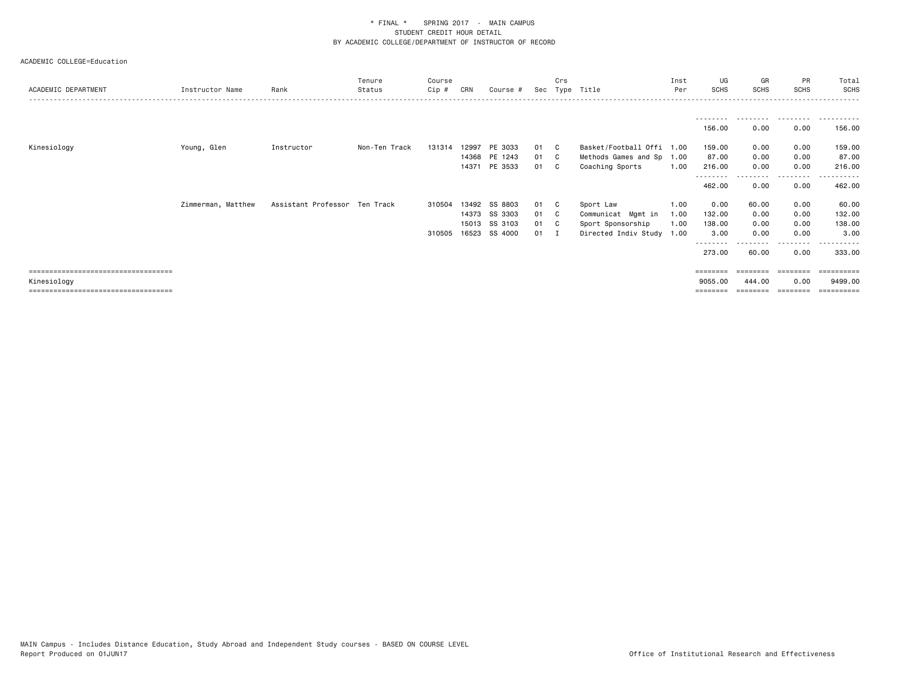| ACADEMIC DEPARTMENT                   | Instructor Name    | Rank                          | Tenure<br>Status | Course<br>Cip # | CRN | Course #      |      | Crs | Sec Type Title            | Inst<br>Per | UG<br><b>SCHS</b>  | GR<br>SCHS | <b>PR</b><br><b>SCHS</b> | Total<br><b>SCHS</b>    |
|---------------------------------------|--------------------|-------------------------------|------------------|-----------------|-----|---------------|------|-----|---------------------------|-------------|--------------------|------------|--------------------------|-------------------------|
|                                       |                    |                               |                  |                 |     |               |      |     |                           |             | ---------          | .          | .                        | .                       |
|                                       |                    |                               |                  |                 |     |               |      |     |                           |             | 156.00             | 0.00       | 0.00                     | 156.00                  |
| Kinesiology                           | Young, Glen        | Instructor                    | Non-Ten Track    | 131314          |     | 12997 PE 3033 | 01   | C C | Basket/Football Offi 1.00 |             | 159.00             | 0.00       | 0.00                     | 159.00                  |
|                                       |                    |                               |                  |                 |     | 14368 PE 1243 | 01 C |     | Methods Games and Sp 1.00 |             | 87.00              | 0.00       | 0.00                     | 87.00                   |
|                                       |                    |                               |                  |                 |     | 14371 PE 3533 | 01   | - C | Coaching Sports           | 1.00        | 216.00<br><u>.</u> | 0.00       | 0.00<br>---------        | 216.00<br>- - - - - - - |
|                                       |                    |                               |                  |                 |     |               |      |     |                           |             | 462.00             | 0.00       | 0.00                     | 462.00                  |
|                                       | Zimmerman, Matthew | Assistant Professor Ten Track |                  | 310504          |     | 13492 SS 8803 | 01   | C.  | Sport Law                 | 1.00        | 0.00               | 60.00      | 0.00                     | 60.00                   |
|                                       |                    |                               |                  |                 |     | 14373 SS 3303 | 01 C |     | Communicat Mgmt in        | 1.00        | 132.00             | 0.00       | 0.00                     | 132.00                  |
|                                       |                    |                               |                  |                 |     | 15013 SS 3103 | 01 C |     | Sport Sponsorship         | 1.00        | 138.00             | 0.00       | 0.00                     | 138.00                  |
|                                       |                    |                               |                  | 310505          |     | 16523 SS 4000 | 01   |     | Directed Indiv Study      | 1.00        | 3.00               | 0.00       | 0.00                     | 3.00                    |
|                                       |                    |                               |                  |                 |     |               |      |     |                           |             | 273.00             | 60.00      | 0.00                     | 333.00                  |
| ====================================  |                    |                               |                  |                 |     |               |      |     |                           |             | ========           |            | $=$ = = = = = = =        | $=$ = = = = = = = = :   |
| Kinesiology                           |                    |                               |                  |                 |     |               |      |     |                           |             | 9055,00            | 444.00     | 0.00                     | 9499.00                 |
| ===================================== |                    |                               |                  |                 |     |               |      |     |                           |             | ========           |            |                          | =========               |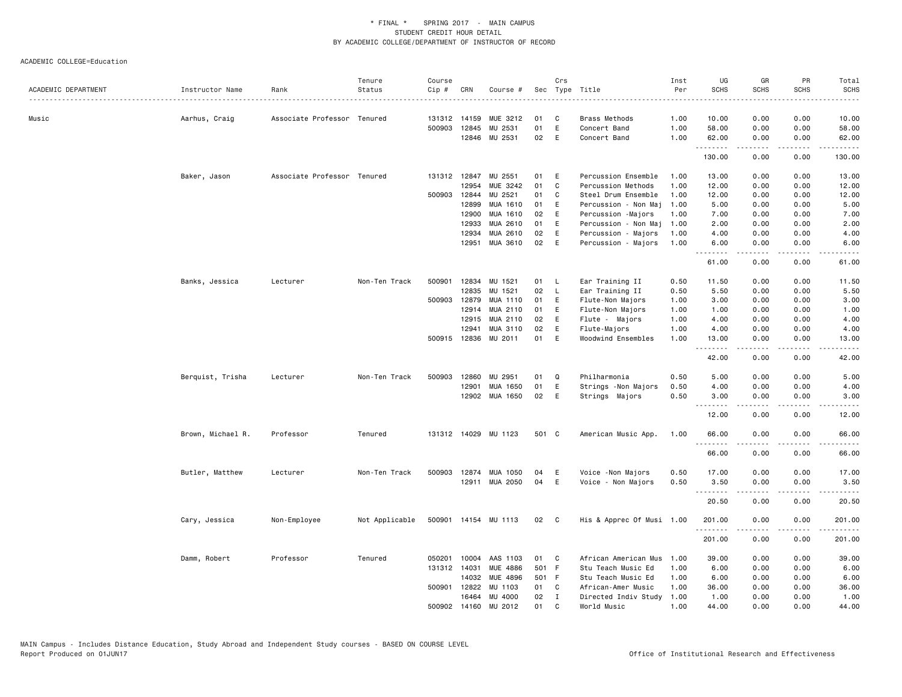| $\frac{1}{2}$<br>.<br>Music<br>Associate Professor Tenured<br>131312 14159<br>MUE 3212<br>01<br>C<br>Brass Methods<br>1.00<br>10.00<br>0.00<br>0.00<br>10.00<br>Aarhus, Craig<br>500903 12845<br>01<br>E<br>0.00<br>0.00<br>MU 2531<br>Concert Band<br>1.00<br>58.00<br>58.00<br>02<br>12846 MU 2531<br>E<br>Concert Band<br>1.00<br>62.00<br>0.00<br>0.00<br>62.00<br>.<br>.<br>.<br>.<br>130.00<br>0.00<br>0.00<br>130.00<br>Baker, Jason<br>Associate Professor Tenured<br>131312 12847<br>MU 2551<br>Percussion Ensemble<br>13.00<br>0.00<br>0.00<br>13.00<br>01<br>Ε<br>1.00<br>MUE 3242<br>01<br>$\mathtt{C}$<br>12954<br>Percussion Methods<br>1.00<br>12.00<br>0.00<br>0.00<br>12.00<br>500903<br>12844<br>MU 2521<br>01<br>1.00<br>12.00<br>0.00<br>12.00<br>C<br>Steel Drum Ensemble<br>0.00<br>12899<br>MUA 1610<br>5.00<br>01<br>Ε<br>Percussion - Non Maj<br>1.00<br>5.00<br>0.00<br>0.00<br>12900<br>MUA 1610<br>02<br>E<br>7.00<br>0.00<br>0.00<br>7.00<br>Percussion -Majors<br>1.00<br>12933<br>MUA 2610<br>01<br>E<br>Percussion - Non Maj<br>2.00<br>0.00<br>0.00<br>2.00<br>1.00<br>12934<br>MUA 2610<br>02<br>E<br>0.00<br>4.00<br>Percussion - Majors<br>1.00<br>4.00<br>0.00<br>02<br>12951<br>MUA 3610<br>E<br>Percussion - Majors<br>1.00<br>6.00<br>0.00<br>0.00<br>6.00<br>.<br>.<br>.<br>المتماما<br>61.00<br>0.00<br>0.00<br>61.00<br>500901<br>12834<br>MU<br>1521<br>Ear Training II<br>11.50<br>11.50<br>Banks, Jessica<br>Lecturer<br>Non-Ten Track<br>01<br>L.<br>0.50<br>0.00<br>0.00<br>02<br>12835<br>MU 1521<br>L<br>Ear Training II<br>0.50<br>5.50<br>0.00<br>0.00<br>5.50<br>500903 12879<br>MUA 1110<br>01<br>E<br>Flute-Non Majors<br>3.00<br>0.00<br>0.00<br>3.00<br>1.00<br>MUA 2110<br>12914<br>01<br>E<br>Flute-Non Majors<br>1.00<br>1.00<br>0.00<br>0.00<br>1.00<br>MUA 2110<br>02<br>4.00<br>12915<br>Ε<br>Flute - Majors<br>1.00<br>4.00<br>0.00<br>0.00<br>02<br>12941<br>MUA 3110<br>E<br>Flute-Majors<br>1.00<br>4.00<br>0.00<br>0.00<br>4.00<br>500915 12836<br>MU 2011<br>01<br>E<br>1.00<br>13.00<br>0.00<br>Woodwind Ensembles<br>0.00<br>13.00<br>.<br>$\sim$ $\sim$ $\sim$<br>42.00<br>0.00<br>0.00<br>42.00<br>Berquist, Trisha<br>Lecturer<br>Non-Ten Track<br>500903<br>12860<br>MU 2951<br>01<br>Q<br>Philharmonia<br>0.50<br>5.00<br>0.00<br>0.00<br>5.00<br>MUA 1650<br>01<br>E<br>0.50<br>4.00<br>0.00<br>12901<br>Strings -Non Majors<br>0.00<br>4.00<br>MUA 1650<br>02<br>E<br>0.50<br>12902<br>Strings Majors<br>3.00<br>0.00<br>0.00<br>3.00<br>.<br>$\sim$ $\sim$ $\sim$ $\sim$<br>$\frac{1}{2} \left( \frac{1}{2} \right) \left( \frac{1}{2} \right) \left( \frac{1}{2} \right) \left( \frac{1}{2} \right)$<br>12.00<br>0.00<br>0.00<br>12.00<br>131312 14029 MU 1123<br>0.00<br>66.00<br>Brown, Michael R.<br>Professor<br>Tenured<br>501 C<br>American Music App.<br>1.00<br>66.00<br>0.00<br><u>.</u><br>$- - - -$<br>.<br>.<br>66.00<br>0.00<br>0.00<br>66.00<br>Butler, Matthew<br>Non-Ten Track<br>500903 12874 MUA 1050<br>0.50<br>17.00<br>0.00<br>0.00<br>17.00<br>Lecturer<br>04<br>E<br>Voice - Non Majors<br>12911 MUA 2050<br>04<br>E<br>Voice - Non Majors<br>0.50<br>3.50<br>0.00<br>0.00<br>3.50<br>$\begin{array}{cccccccccccccc} \multicolumn{2}{c}{} & \multicolumn{2}{c}{} & \multicolumn{2}{c}{} & \multicolumn{2}{c}{} & \multicolumn{2}{c}{} & \multicolumn{2}{c}{} & \multicolumn{2}{c}{} & \multicolumn{2}{c}{} & \multicolumn{2}{c}{} & \multicolumn{2}{c}{} & \multicolumn{2}{c}{} & \multicolumn{2}{c}{} & \multicolumn{2}{c}{} & \multicolumn{2}{c}{} & \multicolumn{2}{c}{} & \multicolumn{2}{c}{} & \multicolumn{2}{c}{} & \multicolumn{2}{c}{} & \multicolumn{2}{c}{} & \$<br>$\sim$ $\sim$ $\sim$ $\sim$<br>المحامية<br>20.50<br>0.00<br>0.00<br>20.50<br>02<br>His & Apprec Of Musi 1.00<br>0.00<br>0.00<br>201.00<br>Cary, Jessica<br>Non-Employee<br>Not Applicable<br>500901 14154 MU 1113<br>$\mathbf{C}$<br>201.00<br>.<br>.<br>.<br>.<br>201.00<br>0.00<br>201.00<br>0.00<br>Damm, Robert<br>Professor<br>Tenured<br>050201<br>10004 AAS 1103<br>01<br>C<br>African American Mus<br>1.00<br>39.00<br>0.00<br>0.00<br>39.00<br>131312 14031<br>MUE 4886<br>501 F<br>Stu Teach Music Ed<br>6.00<br>0.00<br>1.00<br>0.00<br>6.00<br>14032<br>MUE 4896<br>501 F<br>Stu Teach Music Ed<br>1.00<br>6.00<br>0.00<br>0.00<br>6.00<br>500901 12822<br>MU 1103<br>01<br>C<br>African-Amer Music<br>36.00<br>0.00<br>0.00<br>36.00<br>1.00<br>02<br>16464<br>MU 4000<br>$\mathbf{I}$<br>Directed Indiv Study<br>1.00<br>1.00<br>0.00<br>0.00<br>1.00<br>500902 14160<br>MU 2012<br>01<br>$\mathsf{C}$<br>1.00<br>44.00<br>0.00<br>0.00<br>44.00<br>World Music | ACADEMIC DEPARTMENT | Instructor Name | Rank | Tenure<br>Status | Course<br>Cip # | CRN | Course # | Crs | Sec Type Title | Inst<br>Per | UG<br><b>SCHS</b> | GR<br><b>SCHS</b> | PR<br><b>SCHS</b> | Total<br><b>SCHS</b> |
|----------------------------------------------------------------------------------------------------------------------------------------------------------------------------------------------------------------------------------------------------------------------------------------------------------------------------------------------------------------------------------------------------------------------------------------------------------------------------------------------------------------------------------------------------------------------------------------------------------------------------------------------------------------------------------------------------------------------------------------------------------------------------------------------------------------------------------------------------------------------------------------------------------------------------------------------------------------------------------------------------------------------------------------------------------------------------------------------------------------------------------------------------------------------------------------------------------------------------------------------------------------------------------------------------------------------------------------------------------------------------------------------------------------------------------------------------------------------------------------------------------------------------------------------------------------------------------------------------------------------------------------------------------------------------------------------------------------------------------------------------------------------------------------------------------------------------------------------------------------------------------------------------------------------------------------------------------------------------------------------------------------------------------------------------------------------------------------------------------------------------------------------------------------------------------------------------------------------------------------------------------------------------------------------------------------------------------------------------------------------------------------------------------------------------------------------------------------------------------------------------------------------------------------------------------------------------------------------------------------------------------------------------------------------------------------------------------------------------------------------------------------------------------------------------------------------------------------------------------------------------------------------------------------------------------------------------------------------------------------------------------------------------------------------------------------------------------------------------------------------------------------------------------------------------------------------------------------------------------------------------------------------------------------------------------------------------------------------------------------------------------------------------------------------------------------------------------------------------------------------------------------------------------------------------------------------------------------------------------------------------------------------------------------------------------------------------------------------------------------------------------------------------------------------------------------------------------------------------------------------------------------------------------------------------------------------------------------------------------------------------------------------------------------------------------------------------------------------------------------------------------------------------------------------------------------------------------------------------------------------------------------------------------------------------------------------------------------------------------------------------------------------------------------------------------------------------------------------------------------------------------------------------------------------------------------------------------------------------------------------------------------------------------------------|---------------------|-----------------|------|------------------|-----------------|-----|----------|-----|----------------|-------------|-------------------|-------------------|-------------------|----------------------|
|                                                                                                                                                                                                                                                                                                                                                                                                                                                                                                                                                                                                                                                                                                                                                                                                                                                                                                                                                                                                                                                                                                                                                                                                                                                                                                                                                                                                                                                                                                                                                                                                                                                                                                                                                                                                                                                                                                                                                                                                                                                                                                                                                                                                                                                                                                                                                                                                                                                                                                                                                                                                                                                                                                                                                                                                                                                                                                                                                                                                                                                                                                                                                                                                                                                                                                                                                                                                                                                                                                                                                                                                                                                                                                                                                                                                                                                                                                                                                                                                                                                                                                                                                                                                                                                                                                                                                                                                                                                                                                                                                                                                                                                                      |                     |                 |      |                  |                 |     |          |     |                |             |                   |                   |                   |                      |
|                                                                                                                                                                                                                                                                                                                                                                                                                                                                                                                                                                                                                                                                                                                                                                                                                                                                                                                                                                                                                                                                                                                                                                                                                                                                                                                                                                                                                                                                                                                                                                                                                                                                                                                                                                                                                                                                                                                                                                                                                                                                                                                                                                                                                                                                                                                                                                                                                                                                                                                                                                                                                                                                                                                                                                                                                                                                                                                                                                                                                                                                                                                                                                                                                                                                                                                                                                                                                                                                                                                                                                                                                                                                                                                                                                                                                                                                                                                                                                                                                                                                                                                                                                                                                                                                                                                                                                                                                                                                                                                                                                                                                                                                      |                     |                 |      |                  |                 |     |          |     |                |             |                   |                   |                   |                      |
|                                                                                                                                                                                                                                                                                                                                                                                                                                                                                                                                                                                                                                                                                                                                                                                                                                                                                                                                                                                                                                                                                                                                                                                                                                                                                                                                                                                                                                                                                                                                                                                                                                                                                                                                                                                                                                                                                                                                                                                                                                                                                                                                                                                                                                                                                                                                                                                                                                                                                                                                                                                                                                                                                                                                                                                                                                                                                                                                                                                                                                                                                                                                                                                                                                                                                                                                                                                                                                                                                                                                                                                                                                                                                                                                                                                                                                                                                                                                                                                                                                                                                                                                                                                                                                                                                                                                                                                                                                                                                                                                                                                                                                                                      |                     |                 |      |                  |                 |     |          |     |                |             |                   |                   |                   |                      |
|                                                                                                                                                                                                                                                                                                                                                                                                                                                                                                                                                                                                                                                                                                                                                                                                                                                                                                                                                                                                                                                                                                                                                                                                                                                                                                                                                                                                                                                                                                                                                                                                                                                                                                                                                                                                                                                                                                                                                                                                                                                                                                                                                                                                                                                                                                                                                                                                                                                                                                                                                                                                                                                                                                                                                                                                                                                                                                                                                                                                                                                                                                                                                                                                                                                                                                                                                                                                                                                                                                                                                                                                                                                                                                                                                                                                                                                                                                                                                                                                                                                                                                                                                                                                                                                                                                                                                                                                                                                                                                                                                                                                                                                                      |                     |                 |      |                  |                 |     |          |     |                |             |                   |                   |                   |                      |
|                                                                                                                                                                                                                                                                                                                                                                                                                                                                                                                                                                                                                                                                                                                                                                                                                                                                                                                                                                                                                                                                                                                                                                                                                                                                                                                                                                                                                                                                                                                                                                                                                                                                                                                                                                                                                                                                                                                                                                                                                                                                                                                                                                                                                                                                                                                                                                                                                                                                                                                                                                                                                                                                                                                                                                                                                                                                                                                                                                                                                                                                                                                                                                                                                                                                                                                                                                                                                                                                                                                                                                                                                                                                                                                                                                                                                                                                                                                                                                                                                                                                                                                                                                                                                                                                                                                                                                                                                                                                                                                                                                                                                                                                      |                     |                 |      |                  |                 |     |          |     |                |             |                   |                   |                   |                      |
|                                                                                                                                                                                                                                                                                                                                                                                                                                                                                                                                                                                                                                                                                                                                                                                                                                                                                                                                                                                                                                                                                                                                                                                                                                                                                                                                                                                                                                                                                                                                                                                                                                                                                                                                                                                                                                                                                                                                                                                                                                                                                                                                                                                                                                                                                                                                                                                                                                                                                                                                                                                                                                                                                                                                                                                                                                                                                                                                                                                                                                                                                                                                                                                                                                                                                                                                                                                                                                                                                                                                                                                                                                                                                                                                                                                                                                                                                                                                                                                                                                                                                                                                                                                                                                                                                                                                                                                                                                                                                                                                                                                                                                                                      |                     |                 |      |                  |                 |     |          |     |                |             |                   |                   |                   |                      |
|                                                                                                                                                                                                                                                                                                                                                                                                                                                                                                                                                                                                                                                                                                                                                                                                                                                                                                                                                                                                                                                                                                                                                                                                                                                                                                                                                                                                                                                                                                                                                                                                                                                                                                                                                                                                                                                                                                                                                                                                                                                                                                                                                                                                                                                                                                                                                                                                                                                                                                                                                                                                                                                                                                                                                                                                                                                                                                                                                                                                                                                                                                                                                                                                                                                                                                                                                                                                                                                                                                                                                                                                                                                                                                                                                                                                                                                                                                                                                                                                                                                                                                                                                                                                                                                                                                                                                                                                                                                                                                                                                                                                                                                                      |                     |                 |      |                  |                 |     |          |     |                |             |                   |                   |                   |                      |
|                                                                                                                                                                                                                                                                                                                                                                                                                                                                                                                                                                                                                                                                                                                                                                                                                                                                                                                                                                                                                                                                                                                                                                                                                                                                                                                                                                                                                                                                                                                                                                                                                                                                                                                                                                                                                                                                                                                                                                                                                                                                                                                                                                                                                                                                                                                                                                                                                                                                                                                                                                                                                                                                                                                                                                                                                                                                                                                                                                                                                                                                                                                                                                                                                                                                                                                                                                                                                                                                                                                                                                                                                                                                                                                                                                                                                                                                                                                                                                                                                                                                                                                                                                                                                                                                                                                                                                                                                                                                                                                                                                                                                                                                      |                     |                 |      |                  |                 |     |          |     |                |             |                   |                   |                   |                      |
|                                                                                                                                                                                                                                                                                                                                                                                                                                                                                                                                                                                                                                                                                                                                                                                                                                                                                                                                                                                                                                                                                                                                                                                                                                                                                                                                                                                                                                                                                                                                                                                                                                                                                                                                                                                                                                                                                                                                                                                                                                                                                                                                                                                                                                                                                                                                                                                                                                                                                                                                                                                                                                                                                                                                                                                                                                                                                                                                                                                                                                                                                                                                                                                                                                                                                                                                                                                                                                                                                                                                                                                                                                                                                                                                                                                                                                                                                                                                                                                                                                                                                                                                                                                                                                                                                                                                                                                                                                                                                                                                                                                                                                                                      |                     |                 |      |                  |                 |     |          |     |                |             |                   |                   |                   |                      |
|                                                                                                                                                                                                                                                                                                                                                                                                                                                                                                                                                                                                                                                                                                                                                                                                                                                                                                                                                                                                                                                                                                                                                                                                                                                                                                                                                                                                                                                                                                                                                                                                                                                                                                                                                                                                                                                                                                                                                                                                                                                                                                                                                                                                                                                                                                                                                                                                                                                                                                                                                                                                                                                                                                                                                                                                                                                                                                                                                                                                                                                                                                                                                                                                                                                                                                                                                                                                                                                                                                                                                                                                                                                                                                                                                                                                                                                                                                                                                                                                                                                                                                                                                                                                                                                                                                                                                                                                                                                                                                                                                                                                                                                                      |                     |                 |      |                  |                 |     |          |     |                |             |                   |                   |                   |                      |
|                                                                                                                                                                                                                                                                                                                                                                                                                                                                                                                                                                                                                                                                                                                                                                                                                                                                                                                                                                                                                                                                                                                                                                                                                                                                                                                                                                                                                                                                                                                                                                                                                                                                                                                                                                                                                                                                                                                                                                                                                                                                                                                                                                                                                                                                                                                                                                                                                                                                                                                                                                                                                                                                                                                                                                                                                                                                                                                                                                                                                                                                                                                                                                                                                                                                                                                                                                                                                                                                                                                                                                                                                                                                                                                                                                                                                                                                                                                                                                                                                                                                                                                                                                                                                                                                                                                                                                                                                                                                                                                                                                                                                                                                      |                     |                 |      |                  |                 |     |          |     |                |             |                   |                   |                   |                      |
|                                                                                                                                                                                                                                                                                                                                                                                                                                                                                                                                                                                                                                                                                                                                                                                                                                                                                                                                                                                                                                                                                                                                                                                                                                                                                                                                                                                                                                                                                                                                                                                                                                                                                                                                                                                                                                                                                                                                                                                                                                                                                                                                                                                                                                                                                                                                                                                                                                                                                                                                                                                                                                                                                                                                                                                                                                                                                                                                                                                                                                                                                                                                                                                                                                                                                                                                                                                                                                                                                                                                                                                                                                                                                                                                                                                                                                                                                                                                                                                                                                                                                                                                                                                                                                                                                                                                                                                                                                                                                                                                                                                                                                                                      |                     |                 |      |                  |                 |     |          |     |                |             |                   |                   |                   |                      |
|                                                                                                                                                                                                                                                                                                                                                                                                                                                                                                                                                                                                                                                                                                                                                                                                                                                                                                                                                                                                                                                                                                                                                                                                                                                                                                                                                                                                                                                                                                                                                                                                                                                                                                                                                                                                                                                                                                                                                                                                                                                                                                                                                                                                                                                                                                                                                                                                                                                                                                                                                                                                                                                                                                                                                                                                                                                                                                                                                                                                                                                                                                                                                                                                                                                                                                                                                                                                                                                                                                                                                                                                                                                                                                                                                                                                                                                                                                                                                                                                                                                                                                                                                                                                                                                                                                                                                                                                                                                                                                                                                                                                                                                                      |                     |                 |      |                  |                 |     |          |     |                |             |                   |                   |                   |                      |
|                                                                                                                                                                                                                                                                                                                                                                                                                                                                                                                                                                                                                                                                                                                                                                                                                                                                                                                                                                                                                                                                                                                                                                                                                                                                                                                                                                                                                                                                                                                                                                                                                                                                                                                                                                                                                                                                                                                                                                                                                                                                                                                                                                                                                                                                                                                                                                                                                                                                                                                                                                                                                                                                                                                                                                                                                                                                                                                                                                                                                                                                                                                                                                                                                                                                                                                                                                                                                                                                                                                                                                                                                                                                                                                                                                                                                                                                                                                                                                                                                                                                                                                                                                                                                                                                                                                                                                                                                                                                                                                                                                                                                                                                      |                     |                 |      |                  |                 |     |          |     |                |             |                   |                   |                   |                      |
|                                                                                                                                                                                                                                                                                                                                                                                                                                                                                                                                                                                                                                                                                                                                                                                                                                                                                                                                                                                                                                                                                                                                                                                                                                                                                                                                                                                                                                                                                                                                                                                                                                                                                                                                                                                                                                                                                                                                                                                                                                                                                                                                                                                                                                                                                                                                                                                                                                                                                                                                                                                                                                                                                                                                                                                                                                                                                                                                                                                                                                                                                                                                                                                                                                                                                                                                                                                                                                                                                                                                                                                                                                                                                                                                                                                                                                                                                                                                                                                                                                                                                                                                                                                                                                                                                                                                                                                                                                                                                                                                                                                                                                                                      |                     |                 |      |                  |                 |     |          |     |                |             |                   |                   |                   |                      |
|                                                                                                                                                                                                                                                                                                                                                                                                                                                                                                                                                                                                                                                                                                                                                                                                                                                                                                                                                                                                                                                                                                                                                                                                                                                                                                                                                                                                                                                                                                                                                                                                                                                                                                                                                                                                                                                                                                                                                                                                                                                                                                                                                                                                                                                                                                                                                                                                                                                                                                                                                                                                                                                                                                                                                                                                                                                                                                                                                                                                                                                                                                                                                                                                                                                                                                                                                                                                                                                                                                                                                                                                                                                                                                                                                                                                                                                                                                                                                                                                                                                                                                                                                                                                                                                                                                                                                                                                                                                                                                                                                                                                                                                                      |                     |                 |      |                  |                 |     |          |     |                |             |                   |                   |                   |                      |
|                                                                                                                                                                                                                                                                                                                                                                                                                                                                                                                                                                                                                                                                                                                                                                                                                                                                                                                                                                                                                                                                                                                                                                                                                                                                                                                                                                                                                                                                                                                                                                                                                                                                                                                                                                                                                                                                                                                                                                                                                                                                                                                                                                                                                                                                                                                                                                                                                                                                                                                                                                                                                                                                                                                                                                                                                                                                                                                                                                                                                                                                                                                                                                                                                                                                                                                                                                                                                                                                                                                                                                                                                                                                                                                                                                                                                                                                                                                                                                                                                                                                                                                                                                                                                                                                                                                                                                                                                                                                                                                                                                                                                                                                      |                     |                 |      |                  |                 |     |          |     |                |             |                   |                   |                   |                      |
|                                                                                                                                                                                                                                                                                                                                                                                                                                                                                                                                                                                                                                                                                                                                                                                                                                                                                                                                                                                                                                                                                                                                                                                                                                                                                                                                                                                                                                                                                                                                                                                                                                                                                                                                                                                                                                                                                                                                                                                                                                                                                                                                                                                                                                                                                                                                                                                                                                                                                                                                                                                                                                                                                                                                                                                                                                                                                                                                                                                                                                                                                                                                                                                                                                                                                                                                                                                                                                                                                                                                                                                                                                                                                                                                                                                                                                                                                                                                                                                                                                                                                                                                                                                                                                                                                                                                                                                                                                                                                                                                                                                                                                                                      |                     |                 |      |                  |                 |     |          |     |                |             |                   |                   |                   |                      |
|                                                                                                                                                                                                                                                                                                                                                                                                                                                                                                                                                                                                                                                                                                                                                                                                                                                                                                                                                                                                                                                                                                                                                                                                                                                                                                                                                                                                                                                                                                                                                                                                                                                                                                                                                                                                                                                                                                                                                                                                                                                                                                                                                                                                                                                                                                                                                                                                                                                                                                                                                                                                                                                                                                                                                                                                                                                                                                                                                                                                                                                                                                                                                                                                                                                                                                                                                                                                                                                                                                                                                                                                                                                                                                                                                                                                                                                                                                                                                                                                                                                                                                                                                                                                                                                                                                                                                                                                                                                                                                                                                                                                                                                                      |                     |                 |      |                  |                 |     |          |     |                |             |                   |                   |                   |                      |
|                                                                                                                                                                                                                                                                                                                                                                                                                                                                                                                                                                                                                                                                                                                                                                                                                                                                                                                                                                                                                                                                                                                                                                                                                                                                                                                                                                                                                                                                                                                                                                                                                                                                                                                                                                                                                                                                                                                                                                                                                                                                                                                                                                                                                                                                                                                                                                                                                                                                                                                                                                                                                                                                                                                                                                                                                                                                                                                                                                                                                                                                                                                                                                                                                                                                                                                                                                                                                                                                                                                                                                                                                                                                                                                                                                                                                                                                                                                                                                                                                                                                                                                                                                                                                                                                                                                                                                                                                                                                                                                                                                                                                                                                      |                     |                 |      |                  |                 |     |          |     |                |             |                   |                   |                   |                      |
|                                                                                                                                                                                                                                                                                                                                                                                                                                                                                                                                                                                                                                                                                                                                                                                                                                                                                                                                                                                                                                                                                                                                                                                                                                                                                                                                                                                                                                                                                                                                                                                                                                                                                                                                                                                                                                                                                                                                                                                                                                                                                                                                                                                                                                                                                                                                                                                                                                                                                                                                                                                                                                                                                                                                                                                                                                                                                                                                                                                                                                                                                                                                                                                                                                                                                                                                                                                                                                                                                                                                                                                                                                                                                                                                                                                                                                                                                                                                                                                                                                                                                                                                                                                                                                                                                                                                                                                                                                                                                                                                                                                                                                                                      |                     |                 |      |                  |                 |     |          |     |                |             |                   |                   |                   |                      |
|                                                                                                                                                                                                                                                                                                                                                                                                                                                                                                                                                                                                                                                                                                                                                                                                                                                                                                                                                                                                                                                                                                                                                                                                                                                                                                                                                                                                                                                                                                                                                                                                                                                                                                                                                                                                                                                                                                                                                                                                                                                                                                                                                                                                                                                                                                                                                                                                                                                                                                                                                                                                                                                                                                                                                                                                                                                                                                                                                                                                                                                                                                                                                                                                                                                                                                                                                                                                                                                                                                                                                                                                                                                                                                                                                                                                                                                                                                                                                                                                                                                                                                                                                                                                                                                                                                                                                                                                                                                                                                                                                                                                                                                                      |                     |                 |      |                  |                 |     |          |     |                |             |                   |                   |                   |                      |
|                                                                                                                                                                                                                                                                                                                                                                                                                                                                                                                                                                                                                                                                                                                                                                                                                                                                                                                                                                                                                                                                                                                                                                                                                                                                                                                                                                                                                                                                                                                                                                                                                                                                                                                                                                                                                                                                                                                                                                                                                                                                                                                                                                                                                                                                                                                                                                                                                                                                                                                                                                                                                                                                                                                                                                                                                                                                                                                                                                                                                                                                                                                                                                                                                                                                                                                                                                                                                                                                                                                                                                                                                                                                                                                                                                                                                                                                                                                                                                                                                                                                                                                                                                                                                                                                                                                                                                                                                                                                                                                                                                                                                                                                      |                     |                 |      |                  |                 |     |          |     |                |             |                   |                   |                   |                      |
|                                                                                                                                                                                                                                                                                                                                                                                                                                                                                                                                                                                                                                                                                                                                                                                                                                                                                                                                                                                                                                                                                                                                                                                                                                                                                                                                                                                                                                                                                                                                                                                                                                                                                                                                                                                                                                                                                                                                                                                                                                                                                                                                                                                                                                                                                                                                                                                                                                                                                                                                                                                                                                                                                                                                                                                                                                                                                                                                                                                                                                                                                                                                                                                                                                                                                                                                                                                                                                                                                                                                                                                                                                                                                                                                                                                                                                                                                                                                                                                                                                                                                                                                                                                                                                                                                                                                                                                                                                                                                                                                                                                                                                                                      |                     |                 |      |                  |                 |     |          |     |                |             |                   |                   |                   |                      |
|                                                                                                                                                                                                                                                                                                                                                                                                                                                                                                                                                                                                                                                                                                                                                                                                                                                                                                                                                                                                                                                                                                                                                                                                                                                                                                                                                                                                                                                                                                                                                                                                                                                                                                                                                                                                                                                                                                                                                                                                                                                                                                                                                                                                                                                                                                                                                                                                                                                                                                                                                                                                                                                                                                                                                                                                                                                                                                                                                                                                                                                                                                                                                                                                                                                                                                                                                                                                                                                                                                                                                                                                                                                                                                                                                                                                                                                                                                                                                                                                                                                                                                                                                                                                                                                                                                                                                                                                                                                                                                                                                                                                                                                                      |                     |                 |      |                  |                 |     |          |     |                |             |                   |                   |                   |                      |
|                                                                                                                                                                                                                                                                                                                                                                                                                                                                                                                                                                                                                                                                                                                                                                                                                                                                                                                                                                                                                                                                                                                                                                                                                                                                                                                                                                                                                                                                                                                                                                                                                                                                                                                                                                                                                                                                                                                                                                                                                                                                                                                                                                                                                                                                                                                                                                                                                                                                                                                                                                                                                                                                                                                                                                                                                                                                                                                                                                                                                                                                                                                                                                                                                                                                                                                                                                                                                                                                                                                                                                                                                                                                                                                                                                                                                                                                                                                                                                                                                                                                                                                                                                                                                                                                                                                                                                                                                                                                                                                                                                                                                                                                      |                     |                 |      |                  |                 |     |          |     |                |             |                   |                   |                   |                      |
|                                                                                                                                                                                                                                                                                                                                                                                                                                                                                                                                                                                                                                                                                                                                                                                                                                                                                                                                                                                                                                                                                                                                                                                                                                                                                                                                                                                                                                                                                                                                                                                                                                                                                                                                                                                                                                                                                                                                                                                                                                                                                                                                                                                                                                                                                                                                                                                                                                                                                                                                                                                                                                                                                                                                                                                                                                                                                                                                                                                                                                                                                                                                                                                                                                                                                                                                                                                                                                                                                                                                                                                                                                                                                                                                                                                                                                                                                                                                                                                                                                                                                                                                                                                                                                                                                                                                                                                                                                                                                                                                                                                                                                                                      |                     |                 |      |                  |                 |     |          |     |                |             |                   |                   |                   |                      |
|                                                                                                                                                                                                                                                                                                                                                                                                                                                                                                                                                                                                                                                                                                                                                                                                                                                                                                                                                                                                                                                                                                                                                                                                                                                                                                                                                                                                                                                                                                                                                                                                                                                                                                                                                                                                                                                                                                                                                                                                                                                                                                                                                                                                                                                                                                                                                                                                                                                                                                                                                                                                                                                                                                                                                                                                                                                                                                                                                                                                                                                                                                                                                                                                                                                                                                                                                                                                                                                                                                                                                                                                                                                                                                                                                                                                                                                                                                                                                                                                                                                                                                                                                                                                                                                                                                                                                                                                                                                                                                                                                                                                                                                                      |                     |                 |      |                  |                 |     |          |     |                |             |                   |                   |                   |                      |
|                                                                                                                                                                                                                                                                                                                                                                                                                                                                                                                                                                                                                                                                                                                                                                                                                                                                                                                                                                                                                                                                                                                                                                                                                                                                                                                                                                                                                                                                                                                                                                                                                                                                                                                                                                                                                                                                                                                                                                                                                                                                                                                                                                                                                                                                                                                                                                                                                                                                                                                                                                                                                                                                                                                                                                                                                                                                                                                                                                                                                                                                                                                                                                                                                                                                                                                                                                                                                                                                                                                                                                                                                                                                                                                                                                                                                                                                                                                                                                                                                                                                                                                                                                                                                                                                                                                                                                                                                                                                                                                                                                                                                                                                      |                     |                 |      |                  |                 |     |          |     |                |             |                   |                   |                   |                      |
|                                                                                                                                                                                                                                                                                                                                                                                                                                                                                                                                                                                                                                                                                                                                                                                                                                                                                                                                                                                                                                                                                                                                                                                                                                                                                                                                                                                                                                                                                                                                                                                                                                                                                                                                                                                                                                                                                                                                                                                                                                                                                                                                                                                                                                                                                                                                                                                                                                                                                                                                                                                                                                                                                                                                                                                                                                                                                                                                                                                                                                                                                                                                                                                                                                                                                                                                                                                                                                                                                                                                                                                                                                                                                                                                                                                                                                                                                                                                                                                                                                                                                                                                                                                                                                                                                                                                                                                                                                                                                                                                                                                                                                                                      |                     |                 |      |                  |                 |     |          |     |                |             |                   |                   |                   |                      |
|                                                                                                                                                                                                                                                                                                                                                                                                                                                                                                                                                                                                                                                                                                                                                                                                                                                                                                                                                                                                                                                                                                                                                                                                                                                                                                                                                                                                                                                                                                                                                                                                                                                                                                                                                                                                                                                                                                                                                                                                                                                                                                                                                                                                                                                                                                                                                                                                                                                                                                                                                                                                                                                                                                                                                                                                                                                                                                                                                                                                                                                                                                                                                                                                                                                                                                                                                                                                                                                                                                                                                                                                                                                                                                                                                                                                                                                                                                                                                                                                                                                                                                                                                                                                                                                                                                                                                                                                                                                                                                                                                                                                                                                                      |                     |                 |      |                  |                 |     |          |     |                |             |                   |                   |                   |                      |
|                                                                                                                                                                                                                                                                                                                                                                                                                                                                                                                                                                                                                                                                                                                                                                                                                                                                                                                                                                                                                                                                                                                                                                                                                                                                                                                                                                                                                                                                                                                                                                                                                                                                                                                                                                                                                                                                                                                                                                                                                                                                                                                                                                                                                                                                                                                                                                                                                                                                                                                                                                                                                                                                                                                                                                                                                                                                                                                                                                                                                                                                                                                                                                                                                                                                                                                                                                                                                                                                                                                                                                                                                                                                                                                                                                                                                                                                                                                                                                                                                                                                                                                                                                                                                                                                                                                                                                                                                                                                                                                                                                                                                                                                      |                     |                 |      |                  |                 |     |          |     |                |             |                   |                   |                   |                      |
|                                                                                                                                                                                                                                                                                                                                                                                                                                                                                                                                                                                                                                                                                                                                                                                                                                                                                                                                                                                                                                                                                                                                                                                                                                                                                                                                                                                                                                                                                                                                                                                                                                                                                                                                                                                                                                                                                                                                                                                                                                                                                                                                                                                                                                                                                                                                                                                                                                                                                                                                                                                                                                                                                                                                                                                                                                                                                                                                                                                                                                                                                                                                                                                                                                                                                                                                                                                                                                                                                                                                                                                                                                                                                                                                                                                                                                                                                                                                                                                                                                                                                                                                                                                                                                                                                                                                                                                                                                                                                                                                                                                                                                                                      |                     |                 |      |                  |                 |     |          |     |                |             |                   |                   |                   |                      |
|                                                                                                                                                                                                                                                                                                                                                                                                                                                                                                                                                                                                                                                                                                                                                                                                                                                                                                                                                                                                                                                                                                                                                                                                                                                                                                                                                                                                                                                                                                                                                                                                                                                                                                                                                                                                                                                                                                                                                                                                                                                                                                                                                                                                                                                                                                                                                                                                                                                                                                                                                                                                                                                                                                                                                                                                                                                                                                                                                                                                                                                                                                                                                                                                                                                                                                                                                                                                                                                                                                                                                                                                                                                                                                                                                                                                                                                                                                                                                                                                                                                                                                                                                                                                                                                                                                                                                                                                                                                                                                                                                                                                                                                                      |                     |                 |      |                  |                 |     |          |     |                |             |                   |                   |                   |                      |
|                                                                                                                                                                                                                                                                                                                                                                                                                                                                                                                                                                                                                                                                                                                                                                                                                                                                                                                                                                                                                                                                                                                                                                                                                                                                                                                                                                                                                                                                                                                                                                                                                                                                                                                                                                                                                                                                                                                                                                                                                                                                                                                                                                                                                                                                                                                                                                                                                                                                                                                                                                                                                                                                                                                                                                                                                                                                                                                                                                                                                                                                                                                                                                                                                                                                                                                                                                                                                                                                                                                                                                                                                                                                                                                                                                                                                                                                                                                                                                                                                                                                                                                                                                                                                                                                                                                                                                                                                                                                                                                                                                                                                                                                      |                     |                 |      |                  |                 |     |          |     |                |             |                   |                   |                   |                      |
|                                                                                                                                                                                                                                                                                                                                                                                                                                                                                                                                                                                                                                                                                                                                                                                                                                                                                                                                                                                                                                                                                                                                                                                                                                                                                                                                                                                                                                                                                                                                                                                                                                                                                                                                                                                                                                                                                                                                                                                                                                                                                                                                                                                                                                                                                                                                                                                                                                                                                                                                                                                                                                                                                                                                                                                                                                                                                                                                                                                                                                                                                                                                                                                                                                                                                                                                                                                                                                                                                                                                                                                                                                                                                                                                                                                                                                                                                                                                                                                                                                                                                                                                                                                                                                                                                                                                                                                                                                                                                                                                                                                                                                                                      |                     |                 |      |                  |                 |     |          |     |                |             |                   |                   |                   |                      |
|                                                                                                                                                                                                                                                                                                                                                                                                                                                                                                                                                                                                                                                                                                                                                                                                                                                                                                                                                                                                                                                                                                                                                                                                                                                                                                                                                                                                                                                                                                                                                                                                                                                                                                                                                                                                                                                                                                                                                                                                                                                                                                                                                                                                                                                                                                                                                                                                                                                                                                                                                                                                                                                                                                                                                                                                                                                                                                                                                                                                                                                                                                                                                                                                                                                                                                                                                                                                                                                                                                                                                                                                                                                                                                                                                                                                                                                                                                                                                                                                                                                                                                                                                                                                                                                                                                                                                                                                                                                                                                                                                                                                                                                                      |                     |                 |      |                  |                 |     |          |     |                |             |                   |                   |                   |                      |
|                                                                                                                                                                                                                                                                                                                                                                                                                                                                                                                                                                                                                                                                                                                                                                                                                                                                                                                                                                                                                                                                                                                                                                                                                                                                                                                                                                                                                                                                                                                                                                                                                                                                                                                                                                                                                                                                                                                                                                                                                                                                                                                                                                                                                                                                                                                                                                                                                                                                                                                                                                                                                                                                                                                                                                                                                                                                                                                                                                                                                                                                                                                                                                                                                                                                                                                                                                                                                                                                                                                                                                                                                                                                                                                                                                                                                                                                                                                                                                                                                                                                                                                                                                                                                                                                                                                                                                                                                                                                                                                                                                                                                                                                      |                     |                 |      |                  |                 |     |          |     |                |             |                   |                   |                   |                      |
|                                                                                                                                                                                                                                                                                                                                                                                                                                                                                                                                                                                                                                                                                                                                                                                                                                                                                                                                                                                                                                                                                                                                                                                                                                                                                                                                                                                                                                                                                                                                                                                                                                                                                                                                                                                                                                                                                                                                                                                                                                                                                                                                                                                                                                                                                                                                                                                                                                                                                                                                                                                                                                                                                                                                                                                                                                                                                                                                                                                                                                                                                                                                                                                                                                                                                                                                                                                                                                                                                                                                                                                                                                                                                                                                                                                                                                                                                                                                                                                                                                                                                                                                                                                                                                                                                                                                                                                                                                                                                                                                                                                                                                                                      |                     |                 |      |                  |                 |     |          |     |                |             |                   |                   |                   |                      |
|                                                                                                                                                                                                                                                                                                                                                                                                                                                                                                                                                                                                                                                                                                                                                                                                                                                                                                                                                                                                                                                                                                                                                                                                                                                                                                                                                                                                                                                                                                                                                                                                                                                                                                                                                                                                                                                                                                                                                                                                                                                                                                                                                                                                                                                                                                                                                                                                                                                                                                                                                                                                                                                                                                                                                                                                                                                                                                                                                                                                                                                                                                                                                                                                                                                                                                                                                                                                                                                                                                                                                                                                                                                                                                                                                                                                                                                                                                                                                                                                                                                                                                                                                                                                                                                                                                                                                                                                                                                                                                                                                                                                                                                                      |                     |                 |      |                  |                 |     |          |     |                |             |                   |                   |                   |                      |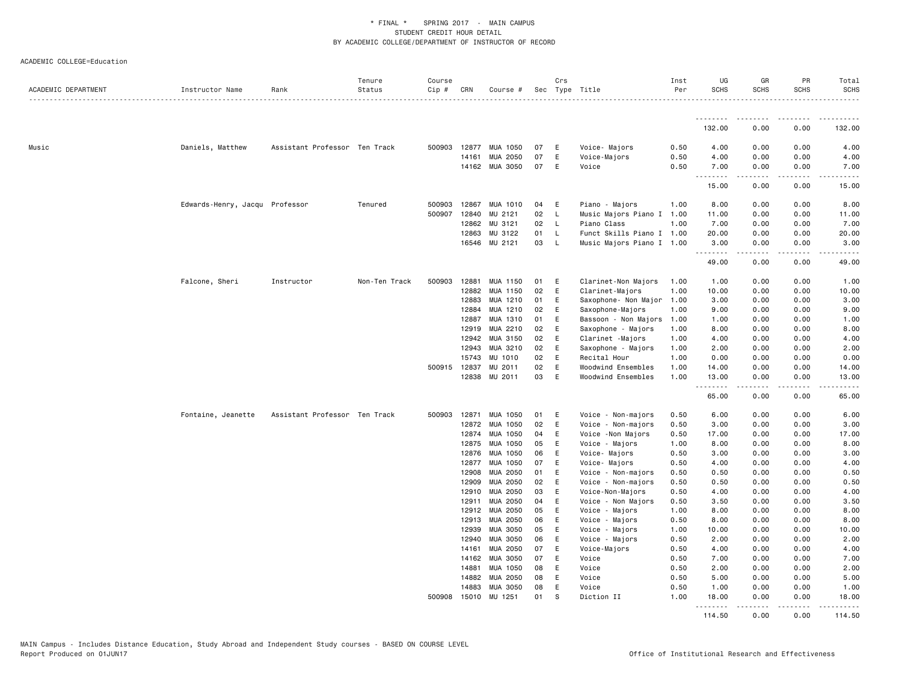| ACADEMIC DEPARTMENT | Instructor Name                | Rank                          | Tenure<br>Status | Course<br>Cip # | CRN            | Course #             |          | Crs      | Sec Type Title                     | Inst<br>Per  | UG<br><b>SCHS</b> | GR<br><b>SCHS</b> | PR<br><b>SCHS</b>                   | Total<br><b>SCHS</b>  |
|---------------------|--------------------------------|-------------------------------|------------------|-----------------|----------------|----------------------|----------|----------|------------------------------------|--------------|-------------------|-------------------|-------------------------------------|-----------------------|
|                     |                                |                               |                  |                 |                |                      |          |          |                                    |              | .                 | . <u>.</u>        | .                                   |                       |
|                     |                                |                               |                  |                 |                |                      |          |          |                                    |              | 132.00            | 0.00              | 0.00                                | 132.00                |
| Music               | Daniels, Matthew               | Assistant Professor Ten Track |                  | 500903          | 12877          | MUA 1050             | 07       | E        | Voice- Majors                      | 0.50         | 4.00              | 0.00              | 0.00                                | 4.00                  |
|                     |                                |                               |                  |                 | 14161          | MUA 2050             | 07       | E        | Voice-Majors                       | 0.50         | 4.00              | 0.00              | 0.00                                | 4.00                  |
|                     |                                |                               |                  |                 | 14162          | MUA 3050             | 07       | E        | Voice                              | 0.50         | 7.00<br>.         | 0.00<br>.         | 0.00<br>.                           | 7.00<br>$\frac{1}{2}$ |
|                     |                                |                               |                  |                 |                |                      |          |          |                                    |              | 15.00             | 0.00              | 0.00                                | 15.00                 |
|                     | Edwards-Henry, Jacqu Professor |                               | Tenured          | 500903          | 12867          | MUA 1010             | 04       | E        | Piano - Majors                     | 1.00         | 8.00              | 0.00              | 0.00                                | 8.00                  |
|                     |                                |                               |                  | 500907          | 12840          | MU 2121              | 02       | L        | Music Majors Piano I 1.00          |              | 11.00             | 0.00              | 0.00                                | 11.00                 |
|                     |                                |                               |                  |                 | 12862          | MU 3121              | 02       | L.       | Piano Class                        | 1.00         | 7.00              | 0.00              | 0.00                                | 7.00                  |
|                     |                                |                               |                  |                 | 12863          | MU 3122              | 01       | L.       | Funct Skills Piano I 1.00          |              | 20.00             | 0.00              | 0.00                                | 20.00                 |
|                     |                                |                               |                  |                 | 16546          | MU 2121              | 03       | L        | Music Majors Piano I 1.00          |              | 3.00<br><u>.</u>  | 0.00<br>.         | 0.00<br>$\sim$ $\sim$ $\sim$ $\sim$ | 3.00                  |
|                     |                                |                               |                  |                 |                |                      |          |          |                                    |              | 49.00             | 0.00              | 0.00                                | 49.00                 |
|                     | Falcone, Sheri                 | Instructor                    | Non-Ten Track    | 500903          | 12881          | MUA 1150             | 01       | Ε        | Clarinet-Non Majors                | 1.00         | 1.00              | 0.00              | 0.00                                | 1.00                  |
|                     |                                |                               |                  |                 | 12882          | MUA 1150             | 02       | E        | Clarinet-Majors                    | 1.00         | 10.00             | 0.00              | 0.00                                | 10.00                 |
|                     |                                |                               |                  |                 | 12883          | MUA 1210             | 01       | E        | Saxophone- Non Major               | 1.00         | 3.00              | 0.00              | 0.00                                | 3.00                  |
|                     |                                |                               |                  |                 | 12884          | MUA 1210             | 02       | E        | Saxophone-Majors                   | 1.00         | 9.00              | 0.00              | 0.00                                | 9.00                  |
|                     |                                |                               |                  |                 | 12887          | MUA 1310             | 01       | E        | Bassoon - Non Majors               | 1.00         | 1.00              | 0.00              | 0.00                                | 1.00                  |
|                     |                                |                               |                  |                 | 12919          | MUA 2210             | 02       | E        | Saxophone - Majors                 | 1.00         | 8.00              | 0.00              | 0.00                                | 8.00                  |
|                     |                                |                               |                  |                 | 12942          | MUA 3150             | 02       | E        | Clarinet -Majors                   | 1.00         | 4.00              | 0.00              | 0.00                                | 4.00                  |
|                     |                                |                               |                  |                 | 12943          | MUA 3210             | 02<br>02 | E        | Saxophone - Majors                 | 1.00         | 2.00              | 0.00              | 0.00                                | 2.00                  |
|                     |                                |                               |                  | 500915 12837    | 15743          | MU 1010<br>MU 2011   | 02       | E<br>Ε   | Recital Hour<br>Woodwind Ensembles | 1.00<br>1.00 | 0.00<br>14.00     | 0.00<br>0.00      | 0.00<br>0.00                        | 0.00<br>14.00         |
|                     |                                |                               |                  |                 | 12838          | MU 2011              | 03       | E        | Woodwind Ensembles                 | 1.00         | 13.00             | 0.00              | 0.00                                | 13.00                 |
|                     |                                |                               |                  |                 |                |                      |          |          |                                    |              | .                 | .                 | .                                   | المتماما              |
|                     |                                |                               |                  |                 |                |                      |          |          |                                    |              | 65.00             | 0.00              | 0.00                                | 65.00                 |
|                     | Fontaine, Jeanette             | Assistant Professor Ten Track |                  | 500903          | 12871          | MUA 1050             | 01       | Ε        | Voice - Non-majors                 | 0.50         | 6.00              | 0.00              | 0.00                                | 6.00                  |
|                     |                                |                               |                  |                 | 12872          | MUA 1050             | 02       | E        | Voice - Non-majors                 | 0.50         | 3.00              | 0.00              | 0.00                                | 3.00                  |
|                     |                                |                               |                  |                 | 12874          | MUA 1050             | 04       | E        | Voice -Non Majors                  | 0.50         | 17.00             | 0.00              | 0.00                                | 17.00                 |
|                     |                                |                               |                  |                 | 12875          | MUA 1050             | 05       | E        | Voice - Majors                     | 1.00         | 8.00              | 0.00              | 0.00                                | 8.00                  |
|                     |                                |                               |                  |                 | 12876          | MUA 1050             | 06       | E        | Voice- Majors                      | 0.50         | 3.00              | 0.00              | 0.00                                | 3.00                  |
|                     |                                |                               |                  |                 | 12877          | MUA 1050             | 07       | E        | Voice- Majors                      | 0.50         | 4.00              | 0.00              | 0.00                                | 4.00                  |
|                     |                                |                               |                  |                 | 12908          | MUA 2050             | 01       | E        | Voice - Non-majors                 | 0.50         | 0.50              | 0.00              | 0.00                                | 0.50                  |
|                     |                                |                               |                  |                 | 12909          | MUA 2050             | 02       | E        | Voice - Non-majors                 | 0.50         | 0.50              | 0.00              | 0.00                                | 0.50                  |
|                     |                                |                               |                  |                 | 12910          | MUA 2050             | 03       | E        | Voice-Non-Majors                   | 0.50         | 4.00              | 0.00              | 0.00                                | 4.00                  |
|                     |                                |                               |                  |                 | 12911<br>12912 | MUA 2050<br>MUA 2050 | 04<br>05 | E<br>E   | Voice - Non Majors                 | 0.50<br>1.00 | 3.50<br>8.00      | 0.00<br>0.00      | 0.00<br>0.00                        | 3.50<br>8.00          |
|                     |                                |                               |                  |                 |                |                      |          | E        | Voice - Majors                     |              |                   |                   |                                     |                       |
|                     |                                |                               |                  |                 | 12913<br>12939 | MUA 2050<br>MUA 3050 | 06<br>05 | E        | Voice - Majors<br>Voice - Majors   | 0.50<br>1.00 | 8.00<br>10.00     | 0.00<br>0.00      | 0.00<br>0.00                        | 8.00<br>10.00         |
|                     |                                |                               |                  |                 | 12940          | MUA 3050             | 06       | Ε        | Voice - Majors                     | 0.50         | 2.00              | 0.00              | 0.00                                | 2.00                  |
|                     |                                |                               |                  |                 | 14161          | MUA 2050             | 07       | E        | Voice-Majors                       | 0.50         | 4.00              | 0.00              | 0.00                                | 4.00                  |
|                     |                                |                               |                  |                 | 14162          | MUA 3050             | 07       | E        | Voice                              | 0.50         | 7.00              | 0.00              | 0.00                                | 7.00                  |
|                     |                                |                               |                  |                 | 14881          | MUA 1050             | 08       | E        | Voice                              | 0.50         | 2.00              | 0.00              | 0.00                                | 2.00                  |
|                     |                                |                               |                  |                 | 14882          | MUA 2050             | 08       | E        | Voice                              | 0.50         | 5.00              | 0.00              | 0.00                                | 5.00                  |
|                     |                                |                               |                  |                 | 14883          | MUA 3050             | 08       | E        | Voice                              | 0.50         | 1.00              | 0.00              | 0.00                                | 1.00                  |
|                     |                                |                               |                  | 500908          | 15010          | MU 1251              | 01       | <b>S</b> | Diction II                         | 1.00         | 18.00<br>.        | 0.00              | 0.00<br>.                           | 18,00<br>.            |
|                     |                                |                               |                  |                 |                |                      |          |          |                                    |              | 114.50            | .<br>0.00         | 0.00                                | 114.50                |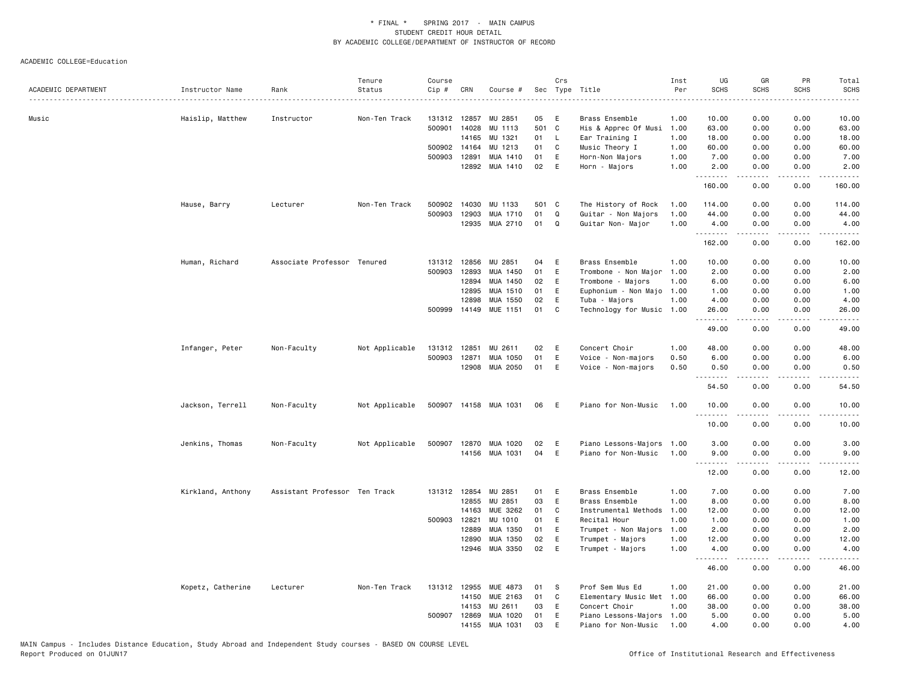|                     |                   |                               | Tenure         | Course |              |                       |       | Crs          |                           | Inst | UG                | GR               | PR              | Total                        |
|---------------------|-------------------|-------------------------------|----------------|--------|--------------|-----------------------|-------|--------------|---------------------------|------|-------------------|------------------|-----------------|------------------------------|
| ACADEMIC DEPARTMENT | Instructor Name   | Rank                          | Status         | Cip #  | CRN          | Course #              |       |              | Sec Type Title            | Per  | <b>SCHS</b>       | <b>SCHS</b>      | SCHS            | <b>SCHS</b><br>$\frac{1}{2}$ |
| Music               | Haislip, Matthew  | Instructor                    | Non-Ten Track  |        | 131312 12857 | MU 2851               | 05    | E            | Brass Ensemble            | 1.00 | 10.00             | 0.00             | 0.00            | 10.00                        |
|                     |                   |                               |                |        | 500901 14028 | MU 1113               | 501   | $\mathbf{C}$ | His & Apprec Of Musi      | 1.00 | 63.00             | 0.00             | 0.00            | 63.00                        |
|                     |                   |                               |                |        | 14165        | MU 1321               | 01    | L.           | Ear Training I            | 1.00 | 18.00             | 0.00             | 0.00            | 18.00                        |
|                     |                   |                               |                |        | 500902 14164 | MU 1213               | 01    | C            | Music Theory I            | 1.00 | 60.00             | 0.00             | 0.00            | 60.00                        |
|                     |                   |                               |                |        | 500903 12891 | MUA 1410              | 01    | E            | Horn-Non Majors           | 1.00 | 7.00              | 0.00             | 0.00            | 7.00                         |
|                     |                   |                               |                |        |              | 12892 MUA 1410        | 02    | E            | Horn - Majors             | 1.00 | 2.00<br>.         | 0.00<br>-----    | 0.00<br>.       | 2.00<br>.                    |
|                     |                   |                               |                |        |              |                       |       |              |                           |      | 160.00            | 0.00             | 0.00            | 160.00                       |
|                     | Hause, Barry      | Lecturer                      | Non-Ten Track  |        | 500902 14030 | MU 1133               | 501 C |              | The History of Rock       | 1.00 | 114.00            | 0.00             | 0.00            | 114.00                       |
|                     |                   |                               |                | 500903 | 12903        | MUA 1710              | 01    | $\Omega$     | Guitar - Non Majors       | 1.00 | 44.00             | 0.00             | 0.00            | 44.00                        |
|                     |                   |                               |                |        | 12935        | MUA 2710              | 01    | Q            | Guitar Non- Major         | 1.00 | 4.00<br>.         | 0.00<br>.        | 0.00<br>د د د د | 4.00                         |
|                     |                   |                               |                |        |              |                       |       |              |                           |      | 162.00            | 0.00             | 0.00            | 162.00                       |
|                     | Human, Richard    | Associate Professor Tenured   |                |        | 131312 12856 | MU 2851               | 04    | E            | Brass Ensemble            | 1.00 | 10.00             | 0.00             | 0.00            | 10.00                        |
|                     |                   |                               |                |        | 500903 12893 | MUA 1450              | 01    | E            | Trombone - Non Major      | 1.00 | 2.00              | 0.00             | 0.00            | 2.00                         |
|                     |                   |                               |                |        | 12894        | MUA 1450              | 02    | E            | Trombone - Majors         | 1.00 | 6.00              | 0.00             | 0.00            | 6.00                         |
|                     |                   |                               |                |        | 12895        | MUA 1510              | 01    | E            | Euphonium - Non Majo      | 1.00 | 1.00              | 0.00             | 0.00            | 1.00                         |
|                     |                   |                               |                |        | 12898        | MUA 1550              | 02    | E            | Tuba - Majors             | 1.00 | 4.00              | 0.00             | 0.00            | 4.00                         |
|                     |                   |                               |                |        | 500999 14149 | MUE 1151              | 01    | C            | Technology for Music      | 1.00 | 26.00<br>.        | 0.00<br>.        | 0.00<br>.       | 26.00<br>$- - - - -$         |
|                     |                   |                               |                |        |              |                       |       |              |                           |      | 49.00             | 0.00             | 0.00            | 49.00                        |
|                     | Infanger, Peter   | Non-Faculty                   | Not Applicable |        | 131312 12851 | MU 2611               | 02    | E            | Concert Choir             | 1.00 | 48.00             | 0.00             | 0.00            | 48.00                        |
|                     |                   |                               |                | 500903 | 12871        | MUA 1050              | 01    | E            | Voice - Non-majors        | 0.50 | 6.00              | 0.00             | 0.00            | 6.00                         |
|                     |                   |                               |                |        |              | 12908 MUA 2050        | 01    | E            | Voice - Non-majors        | 0.50 | 0.50<br>.         | 0.00<br>-----    | 0.00<br>.       | 0.50<br>.                    |
|                     |                   |                               |                |        |              |                       |       |              |                           |      | 54.50             | 0.00             | 0.00            | 54.50                        |
|                     | Jackson, Terrell  | Non-Faculty                   | Not Applicable |        |              | 500907 14158 MUA 1031 | 06    | E            | Piano for Non-Music       | 1.00 | 10.00<br>.        | 0.00<br><u>.</u> | 0.00<br>.       | 10.00<br>.                   |
|                     |                   |                               |                |        |              |                       |       |              |                           |      | 10.00             | 0.00             | 0.00            | 10.00                        |
|                     | Jenkins, Thomas   | Non-Faculty                   | Not Applicable | 500907 | 12870        | MUA 1020              | 02    | E            | Piano Lessons-Majors 1.00 |      | 3.00              | 0.00             | 0.00            | 3.00                         |
|                     |                   |                               |                |        |              | 14156 MUA 1031        | 04    | E            | Piano for Non-Music       | 1.00 | 9.00<br>.         | 0.00             | 0.00<br>.       | 9.00<br>.                    |
|                     |                   |                               |                |        |              |                       |       |              |                           |      | 12.00             | 0.00             | 0.00            | 12.00                        |
|                     | Kirkland, Anthony | Assistant Professor Ten Track |                |        | 131312 12854 | MU 2851               | 01    | E            | Brass Ensemble            | 1.00 | 7.00              | 0.00             | 0.00            | 7.00                         |
|                     |                   |                               |                |        | 12855        | MU 2851               | 03    | E            | Brass Ensemble            | 1.00 | 8.00              | 0.00             | 0.00            | 8.00                         |
|                     |                   |                               |                |        | 14163        | MUE 3262              | 01    | C            | Instrumental Methods      | 1.00 | 12.00             | 0.00             | 0.00            | 12.00                        |
|                     |                   |                               |                |        | 500903 12821 | MU 1010               | 01    | E            | Recital Hour              | 1.00 | 1.00              | 0.00             | 0.00            | 1.00                         |
|                     |                   |                               |                |        | 12889        | MUA 1350              | 01    | E            | Trumpet - Non Majors      | 1.00 | 2.00              | 0.00             | 0.00            | 2.00                         |
|                     |                   |                               |                |        | 12890        | MUA 1350              | 02    | E            | Trumpet - Majors          | 1.00 | 12.00             | 0.00             | 0.00            | 12.00                        |
|                     |                   |                               |                |        | 12946        | MUA 3350              | 02    | E            | Trumpet - Majors          | 1.00 | 4.00              | 0.00             | 0.00            | 4.00                         |
|                     |                   |                               |                |        |              |                       |       |              |                           |      | <u>.</u><br>46.00 | 0.00             | 0.00            | 46.00                        |
|                     | Kopetz, Catherine | Lecturer                      | Non-Ten Track  |        | 131312 12955 | MUE 4873              | 01    | -S           | Prof Sem Mus Ed           | 1.00 | 21.00             | 0.00             | 0.00            | 21.00                        |
|                     |                   |                               |                |        | 14150        | MUE 2163              | 01    | C            | Elementary Music Met 1.00 |      | 66.00             | 0.00             | 0.00            | 66.00                        |
|                     |                   |                               |                |        | 14153        | MU 2611               | 03    | E            | Concert Choir             | 1.00 | 38.00             | 0.00             | 0.00            | 38.00                        |
|                     |                   |                               |                | 500907 | 12869        | MUA 1020              | 01    | E            | Piano Lessons-Majors      | 1.00 | 5.00              | 0.00             | 0.00            | 5.00                         |
|                     |                   |                               |                |        |              | 14155 MUA 1031        | 03    | E            | Piano for Non-Music       | 1.00 | 4.00              | 0.00             | 0.00            | 4.00                         |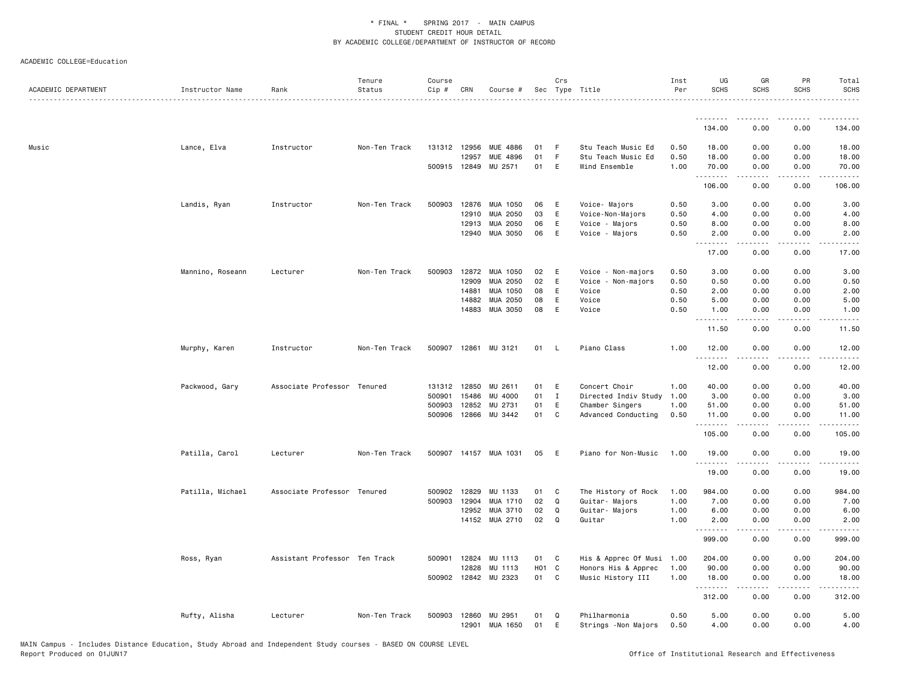| ACADEMIC DEPARTMENT | Instructor Name  | Rank                          | Tenure<br>Status | Course<br>Cip # | CRN          | Course #              |       | Crs          | Sec Type Title            | Inst<br>Per | UG<br><b>SCHS</b>  | GR<br><b>SCHS</b> | PR<br><b>SCHS</b>              | Total<br><b>SCHS</b>                                                                                                                                         |
|---------------------|------------------|-------------------------------|------------------|-----------------|--------------|-----------------------|-------|--------------|---------------------------|-------------|--------------------|-------------------|--------------------------------|--------------------------------------------------------------------------------------------------------------------------------------------------------------|
|                     |                  |                               |                  |                 |              |                       |       |              |                           |             | .                  |                   |                                |                                                                                                                                                              |
|                     |                  |                               |                  |                 |              |                       |       |              |                           |             | 134.00             | 0.00              | 0.00                           | 134.00                                                                                                                                                       |
| Music               | Lance, Elva      | Instructor                    | Non-Ten Track    |                 | 131312 12956 | MUE 4886              | 01    | -F           | Stu Teach Music Ed        | 0.50        | 18.00              | 0.00              | 0.00                           | 18.00                                                                                                                                                        |
|                     |                  |                               |                  |                 | 12957        | MUE 4896              | 01    | F            | Stu Teach Music Ed        | 0.50        | 18.00              | 0.00              | 0.00                           | 18.00                                                                                                                                                        |
|                     |                  |                               |                  |                 |              | 500915 12849 MU 2571  | 01    | E            | Wind Ensemble             | 1.00        | 70.00<br>.         | 0.00<br>-----     | 0.00<br>.                      | 70.00<br>.                                                                                                                                                   |
|                     |                  |                               |                  |                 |              |                       |       |              |                           |             | 106.00             | 0.00              | 0.00                           | 106.00                                                                                                                                                       |
|                     | Landis, Ryan     | Instructor                    | Non-Ten Track    | 500903          |              | 12876 MUA 1050        | 06    | E            | Voice- Majors             | 0.50        | 3.00               | 0.00              | 0.00                           | 3.00                                                                                                                                                         |
|                     |                  |                               |                  |                 | 12910        | MUA 2050              | 03    | E            | Voice-Non-Majors          | 0.50        | 4.00               | 0.00              | 0.00                           | 4.00                                                                                                                                                         |
|                     |                  |                               |                  |                 | 12913        | MUA 2050              | 06    | E            | Voice - Majors            | 0.50        | 8.00               | 0.00              | 0.00                           | 8.00                                                                                                                                                         |
|                     |                  |                               |                  |                 |              | 12940 MUA 3050        | 06    | E            | Voice - Majors            | 0.50        | 2.00<br>.          | 0.00<br>.         | 0.00<br>.                      | 2.00<br>.                                                                                                                                                    |
|                     |                  |                               |                  |                 |              |                       |       |              |                           |             | 17.00              | 0.00              | 0.00                           | 17.00                                                                                                                                                        |
|                     | Mannino, Roseann | Lecturer                      | Non-Ten Track    | 500903          | 12872        | MUA 1050              | 02    | E            | Voice - Non-majors        | 0.50        | 3.00               | 0.00              | 0.00                           | 3.00                                                                                                                                                         |
|                     |                  |                               |                  |                 | 12909        | MUA 2050              | 02    | E            | Voice - Non-majors        | 0.50        | 0.50               | 0.00              | 0.00                           | 0.50                                                                                                                                                         |
|                     |                  |                               |                  |                 | 14881        | MUA 1050              | 08    | E            | Voice                     | 0.50        | 2.00               | 0.00              | 0.00                           | 2.00                                                                                                                                                         |
|                     |                  |                               |                  |                 | 14882        | MUA 2050              | 08    | E            | Voice                     | 0.50        | 5.00               | 0.00              | 0.00                           | 5.00                                                                                                                                                         |
|                     |                  |                               |                  |                 | 14883        | MUA 3050              | 08    | Ε            | Voice                     | 0.50        | 1.00<br><b>.</b> . | 0.00<br>.         | 0.00<br>$\omega$ is a $\omega$ | 1.00<br>$\frac{1}{2} \left( \frac{1}{2} \right) \left( \frac{1}{2} \right) \left( \frac{1}{2} \right) \left( \frac{1}{2} \right) \left( \frac{1}{2} \right)$ |
|                     |                  |                               |                  |                 |              |                       |       |              |                           |             | 11.50              | 0.00              | 0.00                           | 11.50                                                                                                                                                        |
|                     | Murphy, Karen    | Instructor                    | Non-Ten Track    |                 |              | 500907 12861 MU 3121  | 01 L  |              | Piano Class               | 1.00        | 12.00<br>.         | 0.00              | 0.00                           | 12.00<br>.                                                                                                                                                   |
|                     |                  |                               |                  |                 |              |                       |       |              |                           |             | 12.00              | 0.00              | 0.00                           | 12.00                                                                                                                                                        |
|                     | Packwood, Gary   | Associate Professor Tenured   |                  |                 | 131312 12850 | MU 2611               | 01    | E            | Concert Choir             | 1.00        | 40.00              | 0.00              | 0.00                           | 40.00                                                                                                                                                        |
|                     |                  |                               |                  | 500901          | 15486        | MU 4000               | 01    | $\mathbf{I}$ | Directed Indiv Study      | 1.00        | 3.00               | 0.00              | 0.00                           | 3.00                                                                                                                                                         |
|                     |                  |                               |                  | 500903          | 12852        | MU 2731               | 01    | E            | Chamber Singers           | 1.00        | 51.00              | 0.00              | 0.00                           | 51.00                                                                                                                                                        |
|                     |                  |                               |                  | 500906          | 12866        | MU 3442               | 01    | C            | Advanced Conducting       | 0.50        | 11.00              | 0.00              | 0.00<br>$- - - -$              | 11.00<br>.                                                                                                                                                   |
|                     |                  |                               |                  |                 |              |                       |       |              |                           |             | .<br>105.00        | 0.00              | 0.00                           | 105.00                                                                                                                                                       |
|                     | Patilla, Carol   | Lecturer                      | Non-Ten Track    |                 |              | 500907 14157 MUA 1031 | 05    | E            | Piano for Non-Music       | 1.00        | 19.00<br>.         | 0.00              | 0.00                           | 19.00<br>.                                                                                                                                                   |
|                     |                  |                               |                  |                 |              |                       |       |              |                           |             | 19.00              | 0.00              | 0.00                           | 19.00                                                                                                                                                        |
|                     | Patilla, Michael | Associate Professor Tenured   |                  | 500902          | 12829        | MU 1133               | 01    | C            | The History of Rock       | 1.00        | 984.00             | 0.00              | 0.00                           | 984.00                                                                                                                                                       |
|                     |                  |                               |                  | 500903          | 12904        | MUA 1710              | 02    | $\mathsf Q$  | Guitar- Majors            | 1.00        | 7.00               | 0.00              | 0.00                           | 7.00                                                                                                                                                         |
|                     |                  |                               |                  |                 | 12952        | MUA 3710              | 02    | Q            | Guitar- Majors            | 1.00        | 6.00               | 0.00              | 0.00                           | 6.00                                                                                                                                                         |
|                     |                  |                               |                  |                 |              | 14152 MUA 2710        | 02    | Q            | Guitar                    | 1.00        | 2.00               | 0.00              | 0.00                           | 2.00                                                                                                                                                         |
|                     |                  |                               |                  |                 |              |                       |       |              |                           |             | <u>.</u><br>999.00 | 0.00              | 0.00                           | 999.00                                                                                                                                                       |
|                     | Ross, Ryan       | Assistant Professor Ten Track |                  |                 |              | 500901 12824 MU 1113  | 01    | C            | His & Apprec Of Musi 1.00 |             | 204.00             | 0.00              | 0.00                           | 204.00                                                                                                                                                       |
|                     |                  |                               |                  |                 | 12828        | MU 1113               | HO1 C |              | Honors His & Apprec       | 1.00        | 90.00              | 0.00              | 0.00                           | 90.00                                                                                                                                                        |
|                     |                  |                               |                  |                 |              | 500902 12842 MU 2323  | 01    | C            | Music History III         | 1.00        | 18.00              | 0.00              | 0.00                           | 18.00                                                                                                                                                        |
|                     |                  |                               |                  |                 |              |                       |       |              |                           |             | .<br>312.00        | 0.00              | 0.00                           | 312.00                                                                                                                                                       |
|                     | Rufty, Alisha    | Lecturer                      | Non-Ten Track    | 500903          |              | 12860 MU 2951         | 01    | $\Omega$     | Philharmonia              | 0.50        | 5.00               | 0.00              | 0.00                           | 5.00                                                                                                                                                         |
|                     |                  |                               |                  |                 | 12901        | MUA 1650              | 01    | E            | Strings - Non Majors      | 0.50        | 4.00               | 0.00              | 0.00                           | 4.00                                                                                                                                                         |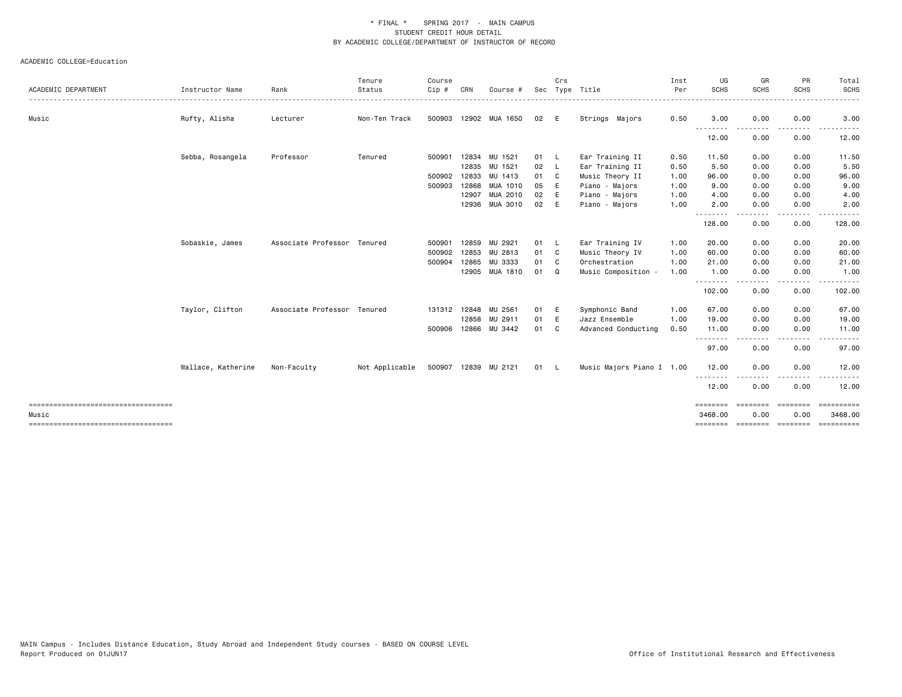|                                                |                    |                             | Tenure         | Course |              |                      |      | Crs          |                           | Inst | UG               | GR          | PR             | Total                 |
|------------------------------------------------|--------------------|-----------------------------|----------------|--------|--------------|----------------------|------|--------------|---------------------------|------|------------------|-------------|----------------|-----------------------|
| ACADEMIC DEPARTMENT                            | Instructor Name    | Rank                        | Status         | Cip #  | CRN          | Course #             | Sec  |              | Type Title                | Per  | <b>SCHS</b>      | <b>SCHS</b> | <b>SCHS</b>    | <b>SCHS</b>           |
| Music                                          | Rufty, Alisha      | Lecturer                    | Non-Ten Track  | 500903 |              | 12902 MUA 1650       | 02   | - E          | Strings Majors            | 0.50 | 3.00             | 0.00        | 0.00           | 3.00                  |
|                                                |                    |                             |                |        |              |                      |      |              |                           |      | 12.00            | 0.00        | 0.00           | 12.00                 |
|                                                | Sebba, Rosangela   | Professor                   | Tenured        | 500901 | 12834        | MU 1521              | 01 L |              | Ear Training II           | 0.50 | 11.50            | 0.00        | 0.00           | 11.50                 |
|                                                |                    |                             |                |        |              | 12835 MU 1521        | 02 L |              | Ear Training II           | 0.50 | 5.50             | 0.00        | 0.00           | 5.50                  |
|                                                |                    |                             |                |        | 500902 12833 | MU 1413              | 01 C |              | Music Theory II           | 1.00 | 96.00            | 0.00        | 0.00           | 96.00                 |
|                                                |                    |                             |                |        | 500903 12868 | MUA 1010             | 05   | E            | Piano - Majors            | 1.00 | 9.00             | 0.00        | 0.00           | 9.00                  |
|                                                |                    |                             |                |        | 12907        | MUA 2010             | 02   | E            | Piano - Majors            | 1.00 | 4.00             | 0.00        | 0.00           | 4.00                  |
|                                                |                    |                             |                |        |              | 12936 MUA 3010       | 02   | - E          | Piano - Majors            | 1.00 | 2.00             | 0.00        | 0.00           | 2.00                  |
|                                                |                    |                             |                |        |              |                      |      |              |                           |      | 128.00           | 0.00        | 0.00           | 128.00                |
|                                                | Sobaskie, James    | Associate Professor Tenured |                | 500901 |              | 12859 MU 2921        | 01 L |              | Ear Training IV           | 1.00 | 20.00            | 0.00        | 0.00           | 20.00                 |
|                                                |                    |                             |                | 500902 |              | 12853 MU 2813        | 01 C |              | Music Theory IV           | 1.00 | 60.00            | 0.00        | 0.00           | 60.00                 |
|                                                |                    |                             |                |        | 500904 12865 | MU 3333              | 01   | $\mathbf{C}$ | Orchestration             | 1.00 | 21.00            | 0.00        | 0.00           | 21.00                 |
|                                                |                    |                             |                |        |              | 12905 MUA 1810       | 01   | Q            | Music Composition -       | 1.00 | 1.00             | 0.00        | 0.00           | 1.00                  |
|                                                |                    |                             |                |        |              |                      |      |              |                           |      | .<br>102.00      | 0.00        | 0.00           | 102.00                |
|                                                | Taylor, Clifton    | Associate Professor Tenured |                |        |              | 131312 12848 MU 2561 | 01 E |              | Symphonic Band            | 1.00 | 67.00            | 0.00        | 0.00           | 67.00                 |
|                                                |                    |                             |                |        | 12858        | MU 2911              | 01 E |              | Jazz Ensemble             | 1.00 | 19.00            | 0.00        | 0.00           | 19.00                 |
|                                                |                    |                             |                |        |              | 500906 12866 MU 3442 | 01 C |              | Advanced Conducting       | 0.50 | 11.00<br>.       | 0.00        | 0.00           | 11.00                 |
|                                                |                    |                             |                |        |              |                      |      |              |                           |      | 97.00            | 0.00        | 0.00           | 97.00                 |
|                                                | Wallace, Katherine | Non-Faculty                 | Not Applicable |        |              | 500907 12839 MU 2121 | 01 L |              | Music Majors Piano I 1.00 |      | 12.00            | 0.00        | 0.00           | 12.00                 |
|                                                |                    |                             |                |        |              |                      |      |              |                           |      | $- - -$<br>12.00 | 0.00        | 0.00           | 12.00                 |
| ===================================            |                    |                             |                |        |              |                      |      |              |                           |      | ========         | ========    | <b>EBBEERE</b> | ==========            |
| Music<br>===================================== |                    |                             |                |        |              |                      |      |              |                           |      | 3468.00          | 0.00        | 0.00           | 3468.00<br>========== |
|                                                |                    |                             |                |        |              |                      |      |              |                           |      |                  |             |                |                       |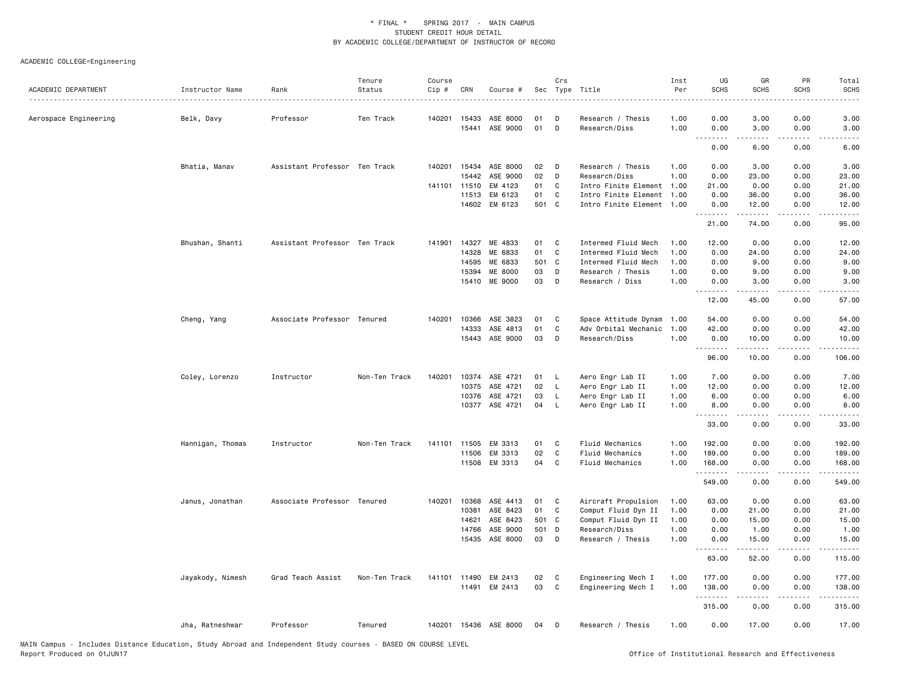| ACADEMIC DEPARTMENT   | Instructor Name  | Rank                          | Tenure<br>Status | Course<br>Cip # | CRN          | Course #                   |          | Crs          | Sec Type Title                       | Inst<br>Per  | UG<br><b>SCHS</b> | GR<br><b>SCHS</b>                                                                                                                                            | PR<br>SCHS                   | Total<br><b>SCHS</b>                                                                                                                                         |
|-----------------------|------------------|-------------------------------|------------------|-----------------|--------------|----------------------------|----------|--------------|--------------------------------------|--------------|-------------------|--------------------------------------------------------------------------------------------------------------------------------------------------------------|------------------------------|--------------------------------------------------------------------------------------------------------------------------------------------------------------|
|                       |                  |                               |                  |                 |              |                            |          |              |                                      |              |                   |                                                                                                                                                              |                              |                                                                                                                                                              |
| Aerospace Engineering | Belk, Davy       | Professor                     | Ten Track        | 140201          | 15433        | ASE 8000                   | 01       | D            | Research / Thesis                    | 1.00         | 0.00              | 3.00                                                                                                                                                         | 0.00                         | 3.00                                                                                                                                                         |
|                       |                  |                               |                  |                 | 15441        | ASE 9000                   | 01       | D            | Research/Diss                        | 1.00         | 0.00<br>.         | 3.00<br>.                                                                                                                                                    | 0.00                         | 3.00<br>$\frac{1}{2} \left( \frac{1}{2} \right) \left( \frac{1}{2} \right) \left( \frac{1}{2} \right) \left( \frac{1}{2} \right) \left( \frac{1}{2} \right)$ |
|                       |                  |                               |                  |                 |              |                            |          |              |                                      |              | 0.00              | 6.00                                                                                                                                                         | 0.00                         | 6.00                                                                                                                                                         |
|                       | Bhatia, Manav    | Assistant Professor Ten Track |                  |                 | 140201 15434 | ASE 8000                   | 02       | D            | Research / Thesis                    | 1.00         | 0.00              | 3.00                                                                                                                                                         | 0.00                         | 3.00                                                                                                                                                         |
|                       |                  |                               |                  |                 | 15442        | ASE 9000                   | 02       | D            | Research/Diss                        | 1.00         | 0.00              | 23.00                                                                                                                                                        | 0.00                         | 23.00                                                                                                                                                        |
|                       |                  |                               |                  |                 | 141101 11510 | EM 4123                    | 01       | C            | Intro Finite Element                 | 1.00         | 21.00             | 0.00                                                                                                                                                         | 0.00                         | 21.00                                                                                                                                                        |
|                       |                  |                               |                  |                 | 11513        | EM 6123                    | 01       | C            | Intro Finite Element                 | 1.00         | 0.00              | 36.00                                                                                                                                                        | 0.00                         | 36.00                                                                                                                                                        |
|                       |                  |                               |                  |                 |              | 14602 EM 6123              | 501 C    |              | Intro Finite Element 1.00            |              | 0.00<br>.         | 12.00<br>.                                                                                                                                                   | 0.00<br>$\sim$ $\sim$ $\sim$ | 12.00<br>.                                                                                                                                                   |
|                       |                  |                               |                  |                 |              |                            |          |              |                                      |              | 21.00             | 74.00                                                                                                                                                        | 0.00                         | 95.00                                                                                                                                                        |
|                       | Bhushan, Shanti  | Assistant Professor Ten Track |                  | 141901          | 14327        | ME 4833                    | 01       | C            | Intermed Fluid Mech                  | 1.00         | 12.00             | 0.00                                                                                                                                                         | 0.00                         | 12.00                                                                                                                                                        |
|                       |                  |                               |                  |                 | 14328        | ME 6833                    | 01       | C            | Intermed Fluid Mech                  | 1.00         | 0.00              | 24.00                                                                                                                                                        | 0.00                         | 24.00                                                                                                                                                        |
|                       |                  |                               |                  |                 | 14595        | ME 6833                    | 501 C    |              | Intermed Fluid Mech                  | 1.00         | 0.00              | 9.00                                                                                                                                                         | 0.00                         | 9.00                                                                                                                                                         |
|                       |                  |                               |                  |                 | 15394        | ME 8000                    | 03       | D            | Research / Thesis                    | 1.00         | 0.00              | 9.00                                                                                                                                                         | 0.00                         | 9.00                                                                                                                                                         |
|                       |                  |                               |                  |                 |              | 15410 ME 9000              | 03       | D            | Research / Diss                      | 1.00         | 0.00              | 3.00                                                                                                                                                         | 0.00                         | 3.00                                                                                                                                                         |
|                       |                  |                               |                  |                 |              |                            |          |              |                                      |              | .<br>12.00        | .<br>45.00                                                                                                                                                   | .<br>0.00                    | . <u>. .</u><br>57.00                                                                                                                                        |
|                       | Cheng, Yang      | Associate Professor Tenured   |                  | 140201          | 10366        | ASE 3823                   | 01       | C            | Space Attitude Dynam                 | 1.00         | 54.00             | 0.00                                                                                                                                                         | 0.00                         | 54.00                                                                                                                                                        |
|                       |                  |                               |                  |                 | 14333        | ASE 4813                   | 01       | C            | Adv Orbital Mechanic                 | 1.00         | 42.00             | 0.00                                                                                                                                                         | 0.00                         | 42.00                                                                                                                                                        |
|                       |                  |                               |                  |                 |              | 15443 ASE 9000             | 03       | D            | Research/Diss                        | 1.00         | 0.00              | 10.00                                                                                                                                                        | 0.00                         | 10.00                                                                                                                                                        |
|                       |                  |                               |                  |                 |              |                            |          |              |                                      |              | .<br>96.00        | .<br>10.00                                                                                                                                                   | .<br>0.00                    | .<br>106.00                                                                                                                                                  |
|                       |                  |                               |                  |                 |              |                            |          |              |                                      |              |                   |                                                                                                                                                              |                              |                                                                                                                                                              |
|                       | Coley, Lorenzo   | Instructor                    | Non-Ten Track    | 140201          | 10375        | 10374 ASE 4721<br>ASE 4721 | 01<br>02 | L<br>L       | Aero Engr Lab II<br>Aero Engr Lab II | 1.00<br>1.00 | 7.00<br>12.00     | 0.00<br>0.00                                                                                                                                                 | 0.00<br>0.00                 | 7.00<br>12.00                                                                                                                                                |
|                       |                  |                               |                  |                 | 10376        | ASE 4721                   | 03       | L            | Aero Engr Lab II                     | 1.00         | 6.00              | 0.00                                                                                                                                                         | 0.00                         | 6.00                                                                                                                                                         |
|                       |                  |                               |                  |                 | 10377        | ASE 4721                   | 04       | $\mathsf{L}$ | Aero Engr Lab II                     | 1.00         | 8.00              | 0.00                                                                                                                                                         | 0.00                         | 8.00                                                                                                                                                         |
|                       |                  |                               |                  |                 |              |                            |          |              |                                      |              | -----             |                                                                                                                                                              |                              |                                                                                                                                                              |
|                       |                  |                               |                  |                 |              |                            |          |              |                                      |              | 33.00             | 0.00                                                                                                                                                         | 0.00                         | 33.00                                                                                                                                                        |
|                       | Hannigan, Thomas | Instructor                    | Non-Ten Track    |                 | 141101 11505 | EM 3313                    | 01       | C            | Fluid Mechanics                      | 1.00         | 192.00            | 0.00                                                                                                                                                         | 0.00                         | 192.00                                                                                                                                                       |
|                       |                  |                               |                  |                 | 11506        | EM 3313                    | 02       | C            | Fluid Mechanics                      | 1.00         | 189.00            | 0.00                                                                                                                                                         | 0.00                         | 189.00                                                                                                                                                       |
|                       |                  |                               |                  |                 | 11508        | EM 3313                    | 04       | C            | Fluid Mechanics                      | 1.00         | 168.00<br>.       | 0.00<br>$\frac{1}{2} \left( \frac{1}{2} \right) \left( \frac{1}{2} \right) \left( \frac{1}{2} \right) \left( \frac{1}{2} \right) \left( \frac{1}{2} \right)$ | 0.00<br>.                    | 168.00<br>.                                                                                                                                                  |
|                       |                  |                               |                  |                 |              |                            |          |              |                                      |              | 549.00            | 0.00                                                                                                                                                         | 0.00                         | 549.00                                                                                                                                                       |
|                       | Janus, Jonathan  | Associate Professor Tenured   |                  | 140201          | 10368        | ASE 4413                   | 01       | C            | Aircraft Propulsion                  | 1.00         | 63.00             | 0.00                                                                                                                                                         | 0.00                         | 63.00                                                                                                                                                        |
|                       |                  |                               |                  |                 | 10381        | ASE 8423                   | 01       | C            | Comput Fluid Dyn II                  | 1.00         | 0.00              | 21.00                                                                                                                                                        | 0.00                         | 21.00                                                                                                                                                        |
|                       |                  |                               |                  |                 | 14621        | ASE 8423                   | 501 C    |              | Comput Fluid Dyn II                  | 1.00         | 0.00              | 15.00                                                                                                                                                        | 0.00                         | 15.00                                                                                                                                                        |
|                       |                  |                               |                  |                 | 14766        | ASE 9000                   | 501 D    |              | Research/Diss                        | 1.00         | 0.00              | 1.00                                                                                                                                                         | 0.00                         | 1.00                                                                                                                                                         |
|                       |                  |                               |                  |                 | 15435        | ASE 8000                   | 03       | D            | Research / Thesis                    | 1.00         | 0.00              | 15.00                                                                                                                                                        | 0.00                         | 15.00                                                                                                                                                        |
|                       |                  |                               |                  |                 |              |                            |          |              |                                      |              | .<br>63.00        | 52.00                                                                                                                                                        | 0.00                         | 115.00                                                                                                                                                       |
|                       | Jayakody, Nimesh | Grad Teach Assist             | Non-Ten Track    |                 | 141101 11490 | EM 2413                    | 02       | C            | Engineering Mech I                   | 1.00         | 177.00            | 0.00                                                                                                                                                         | 0.00                         | 177.00                                                                                                                                                       |
|                       |                  |                               |                  |                 |              | 11491 EM 2413              | 03       | C            | Engineering Mech I                   | 1.00         | 138.00            | 0.00                                                                                                                                                         | 0.00                         | 138.00                                                                                                                                                       |
|                       |                  |                               |                  |                 |              |                            |          |              |                                      |              | <u>.</u>          | -----                                                                                                                                                        | $\frac{1}{2}$                | . <u>.</u> .                                                                                                                                                 |
|                       |                  |                               |                  |                 |              |                            |          |              |                                      |              | 315.00            | 0.00                                                                                                                                                         | 0.00                         | 315.00                                                                                                                                                       |
|                       | Jha, Ratneshwar  | Professor                     | Tenured          |                 |              | 140201 15436 ASE 8000      | 04       | D            | Research / Thesis                    | 1.00         | 0.00              | 17.00                                                                                                                                                        | 0.00                         | 17.00                                                                                                                                                        |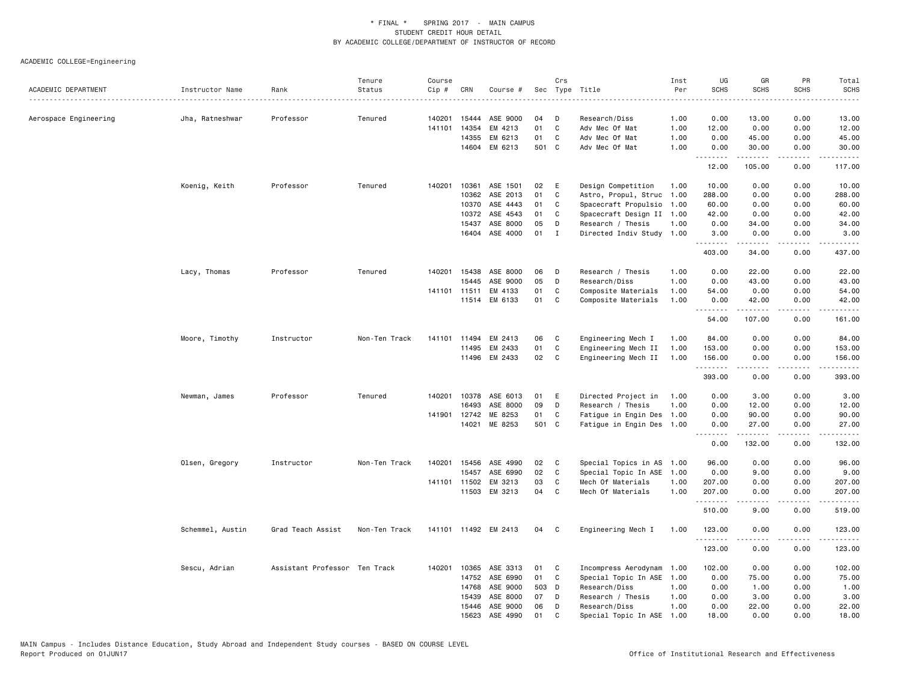| ACADEMIC DEPARTMENT   | Instructor Name  | Rank                          | Tenure<br>Status | Course<br>Cip # | CRN          | Course #             |       | Crs | Sec Type Title            | Inst<br>Per | UG<br><b>SCHS</b> | GR<br><b>SCHS</b> | PR<br><b>SCHS</b> | Total<br><b>SCHS</b> |
|-----------------------|------------------|-------------------------------|------------------|-----------------|--------------|----------------------|-------|-----|---------------------------|-------------|-------------------|-------------------|-------------------|----------------------|
|                       |                  |                               |                  |                 |              |                      |       |     |                           |             |                   |                   |                   | <u>.</u>             |
| Aerospace Engineering | Jha, Ratneshwar  | Professor                     | Tenured          | 140201          | 15444        | ASE 9000             | 04    | D   | Research/Diss             | 1.00        | 0.00              | 13.00             | 0.00              | 13.00                |
|                       |                  |                               |                  | 141101          | 14354        | EM 4213              | 01    | C   | Adv Mec Of Mat            | 1.00        | 12.00             | 0.00              | 0.00              | 12.00                |
|                       |                  |                               |                  |                 | 14355        | EM 6213              | 01    | C   | Adv Mec Of Mat            | 1.00        | 0.00              | 45.00             | 0.00              | 45.00                |
|                       |                  |                               |                  |                 | 14604        | EM 6213              | 501 C |     | Adv Mec Of Mat            | 1.00        | 0.00<br>.         | 30.00<br><u>.</u> | 0.00<br>.         | 30.00<br>------      |
|                       |                  |                               |                  |                 |              |                      |       |     |                           |             | 12.00             | 105.00            | 0.00              | 117.00               |
|                       | Koenig, Keith    | Professor                     | Tenured          | 140201          | 10361        | ASE 1501             | 02    | E   | Design Competition        | 1.00        | 10.00             | 0.00              | 0.00              | 10.00                |
|                       |                  |                               |                  |                 |              | 10362 ASE 2013       | 01    | C   | Astro, Propul, Struc      | 1.00        | 288.00            | 0.00              | 0.00              | 288.00               |
|                       |                  |                               |                  |                 | 10370        | ASE 4443             | 01    | C   | Spacecraft Propulsio      | 1.00        | 60.00             | 0.00              | 0.00              | 60.00                |
|                       |                  |                               |                  |                 | 10372        | ASE 4543             | 01    | C   | Spacecraft Design II 1.00 |             | 42.00             | 0.00              | 0.00              | 42.00                |
|                       |                  |                               |                  |                 | 15437        | ASE 8000             | 05    | D   | Research / Thesis         | 1.00        | 0.00              | 34.00             | 0.00              | 34.00                |
|                       |                  |                               |                  |                 | 16404        | ASE 4000             | 01    | I   | Directed Indiv Study      | 1.00        | 3.00<br>.         | 0.00              | 0.00<br>.         | 3.00<br>.            |
|                       |                  |                               |                  |                 |              |                      |       |     |                           |             | 403.00            | 34.00             | 0.00              | 437.00               |
|                       | Lacy, Thomas     | Professor                     | Tenured          | 140201          | 15438        | ASE 8000             | 06    | D   | Research / Thesis         | 1.00        | 0.00              | 22.00             | 0.00              | 22.00                |
|                       |                  |                               |                  |                 | 15445        | ASE 9000             | 05    | D   | Research/Diss             | 1.00        | 0.00              | 43.00             | 0.00              | 43.00                |
|                       |                  |                               |                  |                 | 141101 11511 | EM 4133              | 01    | C   | Composite Materials       | 1.00        | 54.00             | 0.00              | 0.00              | 54.00                |
|                       |                  |                               |                  |                 |              | 11514 EM 6133        | 01    | C   | Composite Materials       | 1.00        | 0.00<br>.         | 42.00<br>.        | 0.00<br><u>.</u>  | 42.00<br>.           |
|                       |                  |                               |                  |                 |              |                      |       |     |                           |             | 54.00             | 107.00            | 0.00              | 161.00               |
|                       | Moore, Timothy   | Instructor                    | Non-Ten Track    | 141101          | 11494        | EM 2413              | 06    | C   | Engineering Mech I        | 1.00        | 84.00             | 0.00              | 0.00              | 84.00                |
|                       |                  |                               |                  |                 | 11495        | EM 2433              | 01    | C   | Engineering Mech II       | 1.00        | 153.00            | 0.00              | 0.00              | 153.00               |
|                       |                  |                               |                  |                 |              | 11496 EM 2433        | 02    | C   | Engineering Mech II       | 1.00        | 156.00<br>.       | 0.00<br>.         | 0.00<br>.         | 156.00               |
|                       |                  |                               |                  |                 |              |                      |       |     |                           |             | 393.00            | 0.00              | 0.00              | 393.00               |
|                       | Newman, James    | Professor                     | Tenured          | 140201          | 10378        | ASE 6013             | 01    | E   | Directed Project in       | 1.00        | 0.00              | 3.00              | 0.00              | 3.00                 |
|                       |                  |                               |                  |                 | 16493        | ASE 8000             | 09    | D   | Research / Thesis         | 1.00        | 0.00              | 12.00             | 0.00              | 12.00                |
|                       |                  |                               |                  | 141901          | 12742        | ME 8253              | 01    | C   | Fatigue in Engin Des 1.00 |             | 0.00              | 90.00             | 0.00              | 90.00                |
|                       |                  |                               |                  |                 | 14021        | ME 8253              | 501 C |     | Fatigue in Engin Des 1.00 |             | 0.00<br>.         | 27.00<br>.        | 0.00<br>.         | 27.00<br>.           |
|                       |                  |                               |                  |                 |              |                      |       |     |                           |             | 0.00              | 132.00            | 0.00              | 132.00               |
|                       | Olsen, Gregory   | Instructor                    | Non-Ten Track    | 140201          | 15456        | ASE 4990             | 02    | C   | Special Topics in AS 1.00 |             | 96.00             | 0.00              | 0.00              | 96.00                |
|                       |                  |                               |                  |                 | 15457        | ASE 6990             | 02    | C   | Special Topic In ASE      | 1.00        | 0.00              | 9.00              | 0.00              | 9.00                 |
|                       |                  |                               |                  | 141101          | 11502        | EM 3213              | 03    | C   | Mech Of Materials         | 1.00        | 207.00            | 0.00              | 0.00              | 207.00               |
|                       |                  |                               |                  |                 | 11503        | EM 3213              | 04    | C   | Mech Of Materials         | 1.00        | 207.00            | 0.00              | 0.00              | 207.00<br>.          |
|                       |                  |                               |                  |                 |              |                      |       |     |                           |             | 510.00            | 9.00              | 0.00              | 519.00               |
|                       | Schemmel, Austin | Grad Teach Assist             | Non-Ten Track    |                 |              | 141101 11492 EM 2413 | 04    | C   | Engineering Mech I        | 1.00        | 123.00<br>.       | 0.00<br>.         | 0.00<br>.         | 123.00<br>.          |
|                       |                  |                               |                  |                 |              |                      |       |     |                           |             | 123.00            | 0.00              | 0.00              | 123.00               |
|                       | Sescu, Adrian    | Assistant Professor Ten Track |                  | 140201          | 10365        | ASE 3313             | 01    | C   | Incompress Aerodynam      | 1.00        | 102.00            | 0.00              | 0.00              | 102.00               |
|                       |                  |                               |                  |                 | 14752        | ASE 6990             | 01    | C   | Special Topic In ASE 1.00 |             | 0.00              | 75.00             | 0.00              | 75.00                |
|                       |                  |                               |                  |                 | 14768        | ASE 9000             | 503   | D   | Research/Diss             | 1.00        | 0.00              | 1.00              | 0.00              | 1.00                 |
|                       |                  |                               |                  |                 | 15439        | ASE 8000             | 07    | D   | Research / Thesis         | 1.00        | 0.00              | 3.00              | 0.00              | 3.00                 |
|                       |                  |                               |                  |                 | 15446        | ASE 9000             | 06    | D   | Research/Diss             | 1.00        | 0.00              | 22.00             | 0.00              | 22.00                |
|                       |                  |                               |                  |                 | 15623        | ASE 4990             | 01    | C.  | Special Topic In ASE      | 1.00        | 18,00             | 0.00              | 0.00              | 18.00                |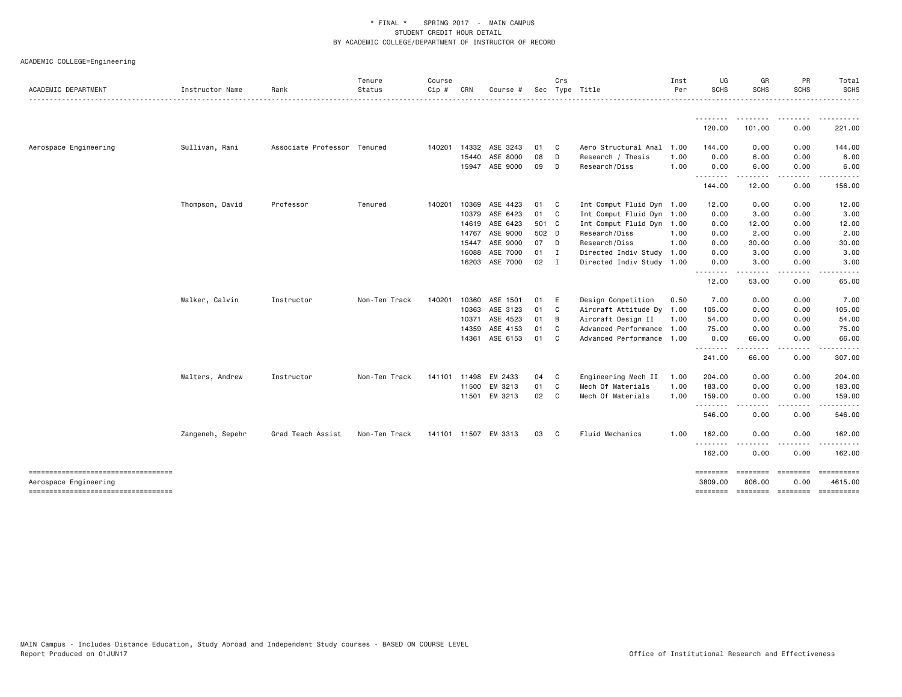| ACADEMIC DEPARTMENT                                         | Instructor Name  | Rank                        | Tenure<br>Status | Course<br>$Cip \#$ | CRN          | Course #             |       | Crs                        | Sec Type Title            | Inst<br>Per | UG<br><b>SCHS</b>     | GR<br><b>SCHS</b> | PR<br><b>SCHS</b>                                                                                                                 | Total<br><b>SCHS</b>  |
|-------------------------------------------------------------|------------------|-----------------------------|------------------|--------------------|--------------|----------------------|-------|----------------------------|---------------------------|-------------|-----------------------|-------------------|-----------------------------------------------------------------------------------------------------------------------------------|-----------------------|
|                                                             |                  |                             |                  |                    |              |                      |       |                            |                           |             |                       |                   |                                                                                                                                   | .                     |
|                                                             |                  |                             |                  |                    |              |                      |       |                            |                           |             | .<br>120.00           | 101.00            | 0.00                                                                                                                              | 221.00                |
| Aerospace Engineering                                       | Sullivan, Rani   | Associate Professor Tenured |                  | 140201             | 14332        | ASE 3243             | 01    | $\overline{\phantom{a}}$ C | Aero Structural Anal      | 1.00        | 144.00                | 0.00              | 0.00                                                                                                                              | 144.00                |
|                                                             |                  |                             |                  |                    |              | 15440 ASE 8000       | 08    | $\mathsf{D}$               | Research / Thesis         | 1.00        | 0.00                  | 6.00              | 0.00                                                                                                                              | 6.00                  |
|                                                             |                  |                             |                  |                    |              | 15947 ASE 9000       | 09 D  |                            | Research/Diss             | 1.00        | 0.00<br>.             | 6.00<br>.         | 0.00<br>$\frac{1}{2} \left( \frac{1}{2} \right) \left( \frac{1}{2} \right) \left( \frac{1}{2} \right) \left( \frac{1}{2} \right)$ | 6.00                  |
|                                                             |                  |                             |                  |                    |              |                      |       |                            |                           |             | 144.00                | 12.00             | 0.00                                                                                                                              | 156.00                |
|                                                             | Thompson, David  | Professor                   | Tenured          | 140201             | 10369        | ASE 4423             | 01    | $\mathbf{C}$               | Int Comput Fluid Dyn 1.00 |             | 12.00                 | 0.00              | 0.00                                                                                                                              | 12.00                 |
|                                                             |                  |                             |                  |                    | 10379        | ASE 6423             | 01 C  |                            | Int Comput Fluid Dyn 1.00 |             | 0.00                  | 3.00              | 0.00                                                                                                                              | 3.00                  |
|                                                             |                  |                             |                  |                    | 14619        | ASE 6423             | 501 C |                            | Int Comput Fluid Dyn 1.00 |             | 0.00                  | 12.00             | 0.00                                                                                                                              | 12.00                 |
|                                                             |                  |                             |                  |                    | 14767        | ASE 9000             | 502 D |                            | Research/Diss             | 1.00        | 0.00                  | 2.00              | 0.00                                                                                                                              | 2.00                  |
|                                                             |                  |                             |                  |                    | 15447        | ASE 9000             | 07 D  |                            | Research/Diss             | 1.00        | 0.00                  | 30.00             | 0.00                                                                                                                              | 30.00                 |
|                                                             |                  |                             |                  |                    | 16088        | ASE 7000             | 01 I  |                            | Directed Indiv Study 1.00 |             | 0.00                  | 3.00              | 0.00                                                                                                                              | 3.00                  |
|                                                             |                  |                             |                  |                    | 16203        | ASE 7000             | 02    | $\mathbf I$                | Directed Indiv Study 1.00 |             | 0.00<br>$\frac{1}{2}$ | 3.00              | 0.00<br>----                                                                                                                      | 3.00                  |
|                                                             |                  |                             |                  |                    |              |                      |       |                            |                           |             | 12.00                 | 53.00             | 0.00                                                                                                                              | 65.00                 |
|                                                             | Walker, Calvin   | Instructor                  | Non-Ten Track    | 140201             | 10360        | ASE 1501             | 01    | E                          | Design Competition        | 0.50        | 7.00                  | 0.00              | 0.00                                                                                                                              | 7.00                  |
|                                                             |                  |                             |                  |                    | 10363        | ASE 3123             | 01 C  |                            | Aircraft Attitude Dy 1.00 |             | 105.00                | 0.00              | 0.00                                                                                                                              | 105.00                |
|                                                             |                  |                             |                  |                    | 10371        | ASE 4523             | 01    | B                          | Aircraft Design II        | 1.00        | 54.00                 | 0.00              | 0.00                                                                                                                              | 54.00                 |
|                                                             |                  |                             |                  |                    | 14359        | ASE 4153             | 01    | C                          | Advanced Performance 1.00 |             | 75.00                 | 0.00              | 0.00                                                                                                                              | 75.00                 |
|                                                             |                  |                             |                  |                    | 14361        | ASE 6153             | 01    | $\mathbf{C}$               | Advanced Performance 1.00 |             | 0.00<br>.             | 66.00             | 0.00<br>.                                                                                                                         | 66.00                 |
|                                                             |                  |                             |                  |                    |              |                      |       |                            |                           |             | 241.00                | 66.00             | 0.00                                                                                                                              | 307.00                |
|                                                             | Walters, Andrew  | Instructor                  | Non-Ten Track    |                    | 141101 11498 | EM 2433              | 04 C  |                            | Engineering Mech II       | 1.00        | 204.00                | 0.00              | 0.00                                                                                                                              | 204.00                |
|                                                             |                  |                             |                  |                    |              | 11500 EM 3213        | 01    | C.                         | Mech Of Materials         | 1.00        | 183.00                | 0.00              | 0.00                                                                                                                              | 183.00                |
|                                                             |                  |                             |                  |                    |              | 11501 EM 3213        | 02    | $\mathbf{C}$               | Mech Of Materials         | 1.00        | 159.00<br>.           | 0.00<br>.         | 0.00<br>.                                                                                                                         | 159.00<br>.           |
|                                                             |                  |                             |                  |                    |              |                      |       |                            |                           |             | 546.00                | 0.00              | 0.00                                                                                                                              | 546.00                |
|                                                             | Zangeneh, Sepehr | Grad Teach Assist           | Non-Ten Track    |                    |              | 141101 11507 EM 3313 | 03    | $\mathbf{C}$               | Fluid Mechanics           | 1.00        | 162.00                | 0.00              | 0.00                                                                                                                              | 162.00                |
|                                                             |                  |                             |                  |                    |              |                      |       |                            |                           |             | <u>.</u><br>162.00    | 0.00              | 0.00                                                                                                                              | 162.00                |
| -------------------------------------                       |                  |                             |                  |                    |              |                      |       |                            |                           |             | <b>EBBEERE</b>        | <b>ESSESSE</b>    | ========                                                                                                                          | ==========            |
| Aerospace Engineering<br>---------------------------------- |                  |                             |                  |                    |              |                      |       |                            |                           |             | 3809.00               | 806.00            | 0.00                                                                                                                              | 4615.00<br>========== |
|                                                             |                  |                             |                  |                    |              |                      |       |                            |                           |             |                       |                   |                                                                                                                                   |                       |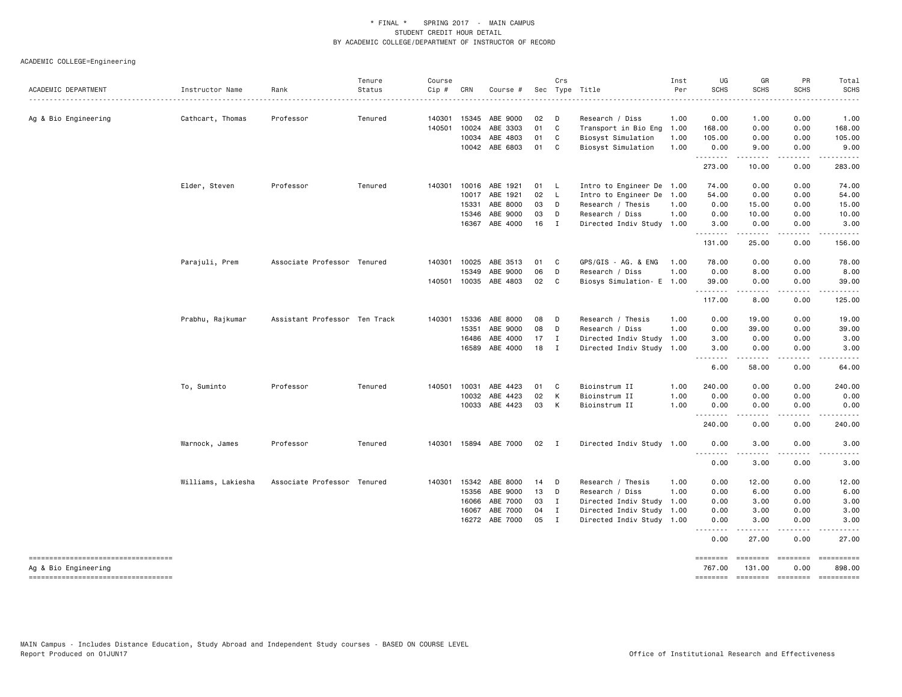| ACADEMIC DEPARTMENT                                         | Instructor Name    | Rank                          | Tenure<br>Status | Course<br>Cip # | CRN            | Course #              |               | Crs            | Sec Type Title                           | Inst<br>Per  | UG<br><b>SCHS</b>     | GR<br><b>SCHS</b>         | PR<br><b>SCHS</b>       | Total<br><b>SCHS</b> |
|-------------------------------------------------------------|--------------------|-------------------------------|------------------|-----------------|----------------|-----------------------|---------------|----------------|------------------------------------------|--------------|-----------------------|---------------------------|-------------------------|----------------------|
|                                                             |                    |                               |                  |                 |                |                       |               |                |                                          |              |                       |                           |                         |                      |
| Ag & Bio Engineering                                        | Cathcart, Thomas   | Professor                     | Tenured          | 140301          | 15345          | ABE 9000              | 02            | $\mathsf{D}$   | Research / Diss                          | 1.00         | 0.00                  | 1.00                      | 0.00                    | 1.00                 |
|                                                             |                    |                               |                  | 140501          | 10024          | ABE 3303              | 01            | C              | Transport in Bio Eng                     | 1.00         | 168.00                | 0.00                      | 0.00                    | 168.00               |
|                                                             |                    |                               |                  |                 | 10034<br>10042 | ABE 4803<br>ABE 6803  | 01<br>01      | C<br>C         | Biosyst Simulation<br>Biosyst Simulation | 1.00<br>1.00 | 105.00<br>0.00        | 0.00<br>9.00              | 0.00<br>0.00            | 105.00<br>9.00       |
|                                                             |                    |                               |                  |                 |                |                       |               |                |                                          |              | .<br>273.00           | 10.00                     | 0.00                    | 283.00               |
|                                                             | Elder, Steven      | Professor                     | Tenured          | 140301 10016    |                | ABE 1921              | 01            | $\mathsf{L}$   | Intro to Engineer De 1.00                |              | 74.00                 | 0.00                      | 0.00                    | 74.00                |
|                                                             |                    |                               |                  |                 | 10017          | ABE 1921              | 02            | - L            | Intro to Engineer De 1.00                |              | 54.00                 | 0.00                      | 0.00                    | 54.00                |
|                                                             |                    |                               |                  |                 | 15331          | ABE 8000              | 03            | D              | Research / Thesis                        | 1.00         | 0.00                  | 15.00                     | 0.00                    | 15.00                |
|                                                             |                    |                               |                  |                 | 15346          | ABE 9000              | 03            | D              | Research / Diss                          | 1.00         | 0.00                  | 10.00                     | 0.00                    | 10.00                |
|                                                             |                    |                               |                  |                 | 16367          | ABE 4000              | 16            | $\blacksquare$ | Directed Indiv Study 1.00                |              | 3.00<br>.             | 0.00                      | 0.00                    | 3.00                 |
|                                                             |                    |                               |                  |                 |                |                       |               |                |                                          |              | 131.00                | .<br>25.00                | .<br>0.00               | 156.00               |
|                                                             | Parajuli, Prem     | Associate Professor Tenured   |                  | 140301 10025    |                | ABE 3513              | 01            | C              | GPS/GIS - AG. & ENG                      | 1.00         | 78.00                 | 0.00                      | 0.00                    | 78.00                |
|                                                             |                    |                               |                  |                 | 15349          | ABE 9000              | 06            | D              | Research / Diss                          | 1.00         | 0.00                  | 8.00                      | 0.00                    | 8.00                 |
|                                                             |                    |                               |                  | 140501 10035    |                | ABE 4803              | 02            | C.             | Biosys Simulation- E 1.00                |              | 39.00<br>.            | 0.00<br>-----             | 0.00<br>.               | 39.00<br>.           |
|                                                             |                    |                               |                  |                 |                |                       |               |                |                                          |              | 117.00                | 8.00                      | 0.00                    | 125.00               |
|                                                             | Prabhu, Rajkumar   | Assistant Professor Ten Track |                  | 140301 15336    |                | ABE 8000              | 08            | D              | Research / Thesis                        | 1.00         | 0.00                  | 19.00                     | 0.00                    | 19.00                |
|                                                             |                    |                               |                  |                 | 15351          | ABE 9000              | 08            | D              | Research / Diss                          | 1.00         | 0.00                  | 39.00                     | 0.00                    | 39.00                |
|                                                             |                    |                               |                  |                 | 16486          | ABE 4000              | $17$ I        |                | Directed Indiv Study 1.00                |              | 3.00                  | 0.00                      | 0.00                    | 3.00                 |
|                                                             |                    |                               |                  |                 | 16589          | ABE 4000              | 18            | $\mathbf{I}$   | Directed Indiv Study 1.00                |              | 3.00<br>الدعاء        | 0.00                      | 0.00                    | 3.00                 |
|                                                             |                    |                               |                  |                 |                |                       |               |                |                                          |              | 6.00                  | 58.00                     | 0.00                    | 64.00                |
|                                                             | To, Suminto        | Professor                     | Tenured          | 140501          | 10031          | ABE 4423              | 01            | C              | Bioinstrum II                            | 1.00         | 240.00                | 0.00                      | 0.00                    | 240.00               |
|                                                             |                    |                               |                  |                 | 10032          | ABE 4423              | 02            | К              | Bioinstrum II                            | 1.00         | 0.00                  | 0.00                      | 0.00                    | 0.00                 |
|                                                             |                    |                               |                  |                 | 10033          | ABE 4423              | 03            | K              | Bioinstrum II                            | 1.00         | 0.00<br><u>.</u>      | 0.00<br>$\frac{1}{2}$     | 0.00<br>.               | 0.00                 |
|                                                             |                    |                               |                  |                 |                |                       |               |                |                                          |              | 240.00                | 0.00                      | 0.00                    | 240.00               |
|                                                             | Warnock, James     | Professor                     | Tenured          |                 |                | 140301 15894 ABE 7000 | $02 \qquad I$ |                | Directed Indiv Study 1.00                |              | 0.00<br>$\sim$ $\sim$ | 3.00                      | 0.00                    | 3.00                 |
|                                                             |                    |                               |                  |                 |                |                       |               |                |                                          |              | 0.00                  | 3.00                      | 0.00                    | 3.00                 |
|                                                             | Williams, Lakiesha | Associate Professor Tenured   |                  | 140301 15342    |                | ABE 8000              | 14            | D              | Research / Thesis                        | 1.00         | 0.00                  | 12.00                     | 0.00                    | 12.00                |
|                                                             |                    |                               |                  |                 | 15356          | ABE 9000              | 13            | D              | Research / Diss                          | 1.00         | 0.00                  | 6.00                      | 0.00                    | 6.00                 |
|                                                             |                    |                               |                  |                 | 16066          | ABE 7000              | 03            | $\mathbf{I}$   | Directed Indiv Study 1.00                |              | 0.00                  | 3.00                      | 0.00                    | 3.00                 |
|                                                             |                    |                               |                  |                 | 16067          | ABE 7000              | 04            | $\mathbf{I}$   | Directed Indiv Study 1.00                |              | 0.00                  | 3.00                      | 0.00                    | 3.00                 |
|                                                             |                    |                               |                  |                 |                | 16272 ABE 7000        | 05            | $\mathbf{I}$   | Directed Indiv Study 1.00                |              | 0.00<br>.             | 3.00                      | 0.00<br>.               | 3.00                 |
|                                                             |                    |                               |                  |                 |                |                       |               |                |                                          |              | 0.00                  | 27.00                     | 0.00                    | 27.00                |
| -----------------------------------<br>Ag & Bio Engineering |                    |                               |                  |                 |                |                       |               |                |                                          |              | ========<br>767.00    | <b>EDESSERS</b><br>131.00 | <b>ESSESSES</b><br>0.00 | 898,00               |
| ------------------------------------                        |                    |                               |                  |                 |                |                       |               |                |                                          |              | eeeeeee               | $=$ ========              | $= 1000000000$          |                      |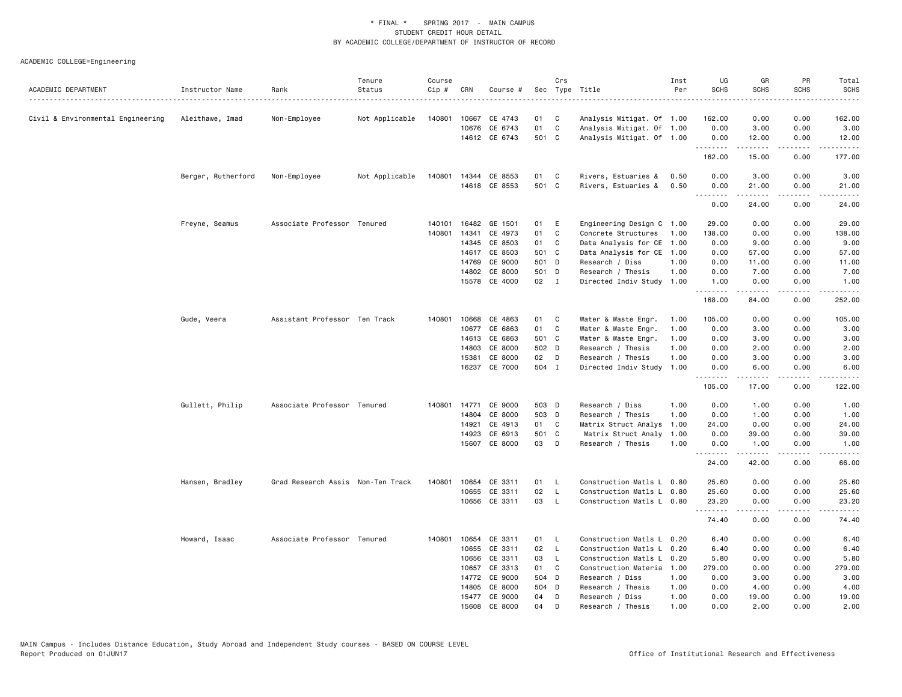|                                   |                    |                                   | Tenure         | Course |       |               |       | Crs          |                           | Inst | UG          | GR                  | PR                         | Total                   |
|-----------------------------------|--------------------|-----------------------------------|----------------|--------|-------|---------------|-------|--------------|---------------------------|------|-------------|---------------------|----------------------------|-------------------------|
| ACADEMIC DEPARTMENT               | Instructor Name    | Rank                              | Status         | Cip #  | CRN   | Course #      |       |              | Sec Type Title            | Per  | <b>SCHS</b> | <b>SCHS</b>         | <b>SCHS</b><br>$- - - - -$ | <b>SCHS</b><br><u>.</u> |
|                                   |                    |                                   |                |        |       |               |       |              |                           |      |             |                     |                            |                         |
| Civil & Environmental Engineering | Aleithawe, Imad    | Non-Employee                      | Not Applicable | 140801 | 10667 | CE 4743       | 01    | C            | Analysis Mitigat. Of 1.00 |      | 162.00      | 0.00                | 0.00                       | 162.00                  |
|                                   |                    |                                   |                |        |       | 10676 CE 6743 | 01    | $\mathbf{C}$ | Analysis Mitigat. Of 1.00 |      | 0.00        | 3.00                | 0.00                       | 3.00                    |
|                                   |                    |                                   |                |        |       | 14612 CE 6743 | 501 C |              | Analysis Mitigat. Of 1.00 |      | 0.00<br>.   | 12.00               | 0.00<br>.                  | 12.00<br>.              |
|                                   |                    |                                   |                |        |       |               |       |              |                           |      | 162.00      | 15.00               | 0.00                       | 177.00                  |
|                                   | Berger, Rutherford | Non-Employee                      | Not Applicable | 140801 |       | 14344 CE 8553 | 01    | C            | Rivers, Estuaries &       | 0.50 | 0.00        | 3.00                | 0.00                       | 3.00                    |
|                                   |                    |                                   |                |        |       | 14618 CE 8553 | 501 C |              | Rivers, Estuaries &       | 0.50 | 0.00<br>.   | 21.00<br>.          | 0.00<br>.                  | 21.00<br>د د د د د      |
|                                   |                    |                                   |                |        |       |               |       |              |                           |      | 0.00        | 24.00               | 0.00                       | 24.00                   |
|                                   | Freyne, Seamus     | Associate Professor Tenured       |                | 140101 | 16482 | GE 1501       | 01    | E            | Engineering Design C 1.00 |      | 29.00       | 0.00                | 0.00                       | 29.00                   |
|                                   |                    |                                   |                | 140801 | 14341 | CE 4973       | 01    | C            | Concrete Structures       | 1.00 | 138.00      | 0.00                | 0.00                       | 138.00                  |
|                                   |                    |                                   |                |        |       | 14345 CE 8503 | 01    | C            | Data Analysis for CE 1.00 |      | 0.00        | 9.00                | 0.00                       | 9.00                    |
|                                   |                    |                                   |                |        | 14617 | CE 8503       | 501 C |              | Data Analysis for CE 1.00 |      | 0.00        | 57.00               | 0.00                       | 57.00                   |
|                                   |                    |                                   |                |        | 14769 | CE 9000       | 501 D |              | Research / Diss           | 1.00 | 0.00        | 11.00               | 0.00                       | 11.00                   |
|                                   |                    |                                   |                |        | 14802 | CE 8000       | 501 D |              | Research / Thesis         | 1.00 | 0.00        | 7.00                | 0.00                       | 7.00                    |
|                                   |                    |                                   |                |        |       | 15578 CE 4000 | 02 I  |              | Directed Indiv Study      | 1.00 | 1.00<br>.   | 0.00<br>$- - - - -$ | 0.00<br>.                  | 1.00<br>.               |
|                                   |                    |                                   |                |        |       |               |       |              |                           |      | 168.00      | 84.00               | 0.00                       | 252.00                  |
|                                   | Gude, Veera        | Assistant Professor Ten Track     |                | 140801 | 10668 | CE 4863       | 01    | C            | Water & Waste Engr.       | 1.00 | 105.00      | 0.00                | 0.00                       | 105.00                  |
|                                   |                    |                                   |                |        |       | 10677 CE 6863 | 01    | C            | Water & Waste Engr.       | 1.00 | 0.00        | 3.00                | 0.00                       | 3.00                    |
|                                   |                    |                                   |                |        | 14613 | CE 6863       | 501 C |              | Water & Waste Engr.       | 1.00 | 0.00        | 3.00                | 0.00                       | 3.00                    |
|                                   |                    |                                   |                |        | 14803 | CE 8000       | 502 D |              | Research / Thesis         | 1.00 | 0.00        | 2.00                | 0.00                       | 2.00                    |
|                                   |                    |                                   |                |        | 15381 | CE 8000       | 02    | D            | Research / Thesis         | 1.00 | 0.00        | 3.00                | 0.00                       | 3.00                    |
|                                   |                    |                                   |                |        | 16237 | CE 7000       | 504 I |              | Directed Indiv Study      | 1.00 | 0.00<br>.   | 6.00<br>.           | 0.00<br>-----              | 6.00<br>.               |
|                                   |                    |                                   |                |        |       |               |       |              |                           |      | 105.00      | 17.00               | 0.00                       | 122.00                  |
|                                   | Gullett, Philip    | Associate Professor Tenured       |                | 140801 | 14771 | CE 9000       | 503 D |              | Research / Diss           | 1.00 | 0.00        | 1.00                | 0.00                       | 1.00                    |
|                                   |                    |                                   |                |        | 14804 | CE 8000       | 503 D |              | Research / Thesis         | 1.00 | 0.00        | 1.00                | 0.00                       | 1.00                    |
|                                   |                    |                                   |                |        | 14921 | CE 4913       | 01    | C.           | Matrix Struct Analys      | 1.00 | 24.00       | 0.00                | 0.00                       | 24.00                   |
|                                   |                    |                                   |                |        | 14923 | CE 6913       | 501 C |              | Matrix Struct Analy       | 1.00 | 0.00        | 39.00               | 0.00                       | 39.00                   |
|                                   |                    |                                   |                |        | 15607 | CE 8000       | 03    | D            | Research / Thesis         | 1.00 | 0.00<br>.   | 1.00<br>-----       | 0.00<br>.                  | 1.00<br>.               |
|                                   |                    |                                   |                |        |       |               |       |              |                           |      | 24.00       | 42.00               | 0.00                       | 66.00                   |
|                                   | Hansen, Bradley    | Grad Research Assis Non-Ten Track |                | 140801 | 10654 | CE 3311       | 01    | <b>L</b>     | Construction Matls L      | 0.80 | 25.60       | 0.00                | 0.00                       | 25.60                   |
|                                   |                    |                                   |                |        | 10655 | CE 3311       | 02    | $\mathsf{L}$ | Construction Matls L 0.80 |      | 25.60       | 0.00                | 0.00                       | 25.60                   |
|                                   |                    |                                   |                |        |       | 10656 CE 3311 | 03    | $\mathsf{L}$ | Construction Matls L 0.80 |      | 23.20       | 0.00                | 0.00                       | 23.20                   |
|                                   |                    |                                   |                |        |       |               |       |              |                           |      | .<br>74.40  | .<br>0.00           | $- - - -$<br>0.00          | .<br>74.40              |
|                                   | Howard, Isaac      | Associate Professor Tenured       |                | 140801 | 10654 | CE 3311       | 01    | $\mathsf{L}$ | Construction Matls L 0.20 |      | 6.40        | 0.00                | 0.00                       | 6.40                    |
|                                   |                    |                                   |                |        | 10655 | CE 3311       | 02    | $\mathsf{L}$ | Construction Matls L      | 0.20 | 6.40        | 0.00                | 0.00                       | 6.40                    |
|                                   |                    |                                   |                |        | 10656 | CE 3311       | 03    | $\mathsf{L}$ | Construction Matls L 0.20 |      | 5.80        | 0.00                | 0.00                       | 5.80                    |
|                                   |                    |                                   |                |        | 10657 | CE 3313       | 01    | C.           | Construction Materia      | 1.00 | 279.00      | 0.00                | 0.00                       | 279.00                  |
|                                   |                    |                                   |                |        | 14772 | CE 9000       | 504 D |              | Research / Diss           | 1.00 | 0.00        | 3.00                | 0.00                       | 3.00                    |
|                                   |                    |                                   |                |        | 14805 | CE 8000       | 504 D |              | Research / Thesis         | 1.00 | 0.00        | 4.00                | 0.00                       | 4.00                    |
|                                   |                    |                                   |                |        | 15477 | CE 9000       | 04    | D            | Research / Diss           | 1.00 | 0.00        | 19,00               | 0.00                       | 19.00                   |
|                                   |                    |                                   |                |        | 15608 | CE 8000       | 04    | D            | Research / Thesis         | 1.00 | 0.00        | 2.00                | 0.00                       | 2.00                    |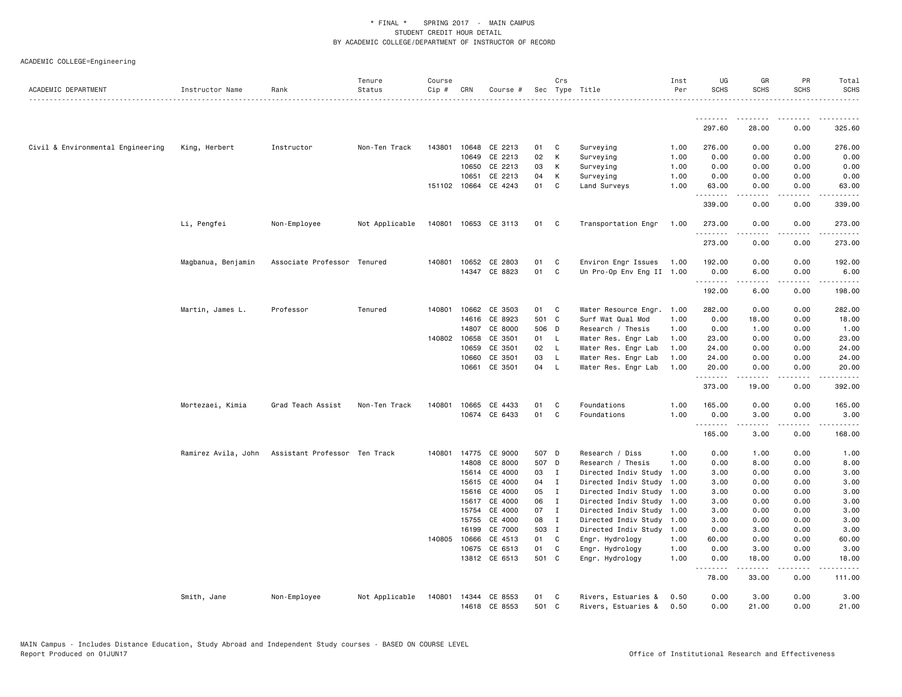|                                   |                     |                               | Tenure         | Course |              |                      |       | Crs          |                           | Inst | UG                 | GR                                                                                                                                                           | PR                                  | Total                                                                                                                                                         |
|-----------------------------------|---------------------|-------------------------------|----------------|--------|--------------|----------------------|-------|--------------|---------------------------|------|--------------------|--------------------------------------------------------------------------------------------------------------------------------------------------------------|-------------------------------------|---------------------------------------------------------------------------------------------------------------------------------------------------------------|
| ACADEMIC DEPARTMENT               | Instructor Name     | Rank                          | Status         | Cip #  | CRN          | Course #             |       |              | Sec Type Title            | Per  | <b>SCHS</b>        | <b>SCHS</b>                                                                                                                                                  | <b>SCHS</b>                         | <b>SCHS</b>                                                                                                                                                   |
|                                   |                     |                               |                |        |              |                      |       |              |                           |      | .                  |                                                                                                                                                              |                                     |                                                                                                                                                               |
|                                   |                     |                               |                |        |              |                      |       |              |                           |      | 297.60             | 28.00                                                                                                                                                        | 0.00                                | 325.60                                                                                                                                                        |
| Civil & Environmental Engineering | King, Herbert       | Instructor                    | Non-Ten Track  |        | 143801 10648 | CE 2213              | 01    | C            | Surveying                 | 1.00 | 276.00             | 0.00                                                                                                                                                         | 0.00                                | 276.00                                                                                                                                                        |
|                                   |                     |                               |                |        | 10649        | CE 2213              | 02    | K            | Surveying                 | 1.00 | 0.00               | 0.00                                                                                                                                                         | 0.00                                | 0.00                                                                                                                                                          |
|                                   |                     |                               |                |        | 10650        | CE 2213              | 03    | K            | Surveying                 | 1.00 | 0.00               | 0.00                                                                                                                                                         | 0.00                                | 0.00                                                                                                                                                          |
|                                   |                     |                               |                |        | 10651        | CE 2213              | 04    | K            | Surveying                 | 1.00 | 0.00               | 0.00                                                                                                                                                         | 0.00                                | 0.00                                                                                                                                                          |
|                                   |                     |                               |                |        | 151102 10664 | CE 4243              | 01    | C            | Land Surveys              | 1.00 | 63.00<br>.         | 0.00<br>.                                                                                                                                                    | 0.00<br>$\sim$ $\sim$ $\sim$ $\sim$ | 63.00<br>.                                                                                                                                                    |
|                                   |                     |                               |                |        |              |                      |       |              |                           |      | 339.00             | 0.00                                                                                                                                                         | 0.00                                | 339.00                                                                                                                                                        |
|                                   | Li, Pengfei         | Non-Employee                  | Not Applicable |        |              | 140801 10653 CE 3113 | 01 C  |              | Transportation Engr       | 1.00 | 273.00             | 0.00                                                                                                                                                         | 0.00                                | 273.00                                                                                                                                                        |
|                                   |                     |                               |                |        |              |                      |       |              |                           |      | .<br>273.00        | 0.00                                                                                                                                                         | 0.00                                | 273.00                                                                                                                                                        |
|                                   | Magbanua, Benjamin  | Associate Professor Tenured   |                |        | 140801 10652 | CE 2803              | 01    | C            | Environ Engr Issues       | 1.00 | 192.00             | 0.00                                                                                                                                                         | 0.00                                | 192.00                                                                                                                                                        |
|                                   |                     |                               |                |        |              | 14347 CE 8823        | 01    | C            | Un Pro-Op Env Eng II 1.00 |      | 0.00               | 6.00                                                                                                                                                         | 0.00                                | 6.00                                                                                                                                                          |
|                                   |                     |                               |                |        |              |                      |       |              |                           |      | .<br>192.00        | $\frac{1}{2} \left( \frac{1}{2} \right) \left( \frac{1}{2} \right) \left( \frac{1}{2} \right) \left( \frac{1}{2} \right) \left( \frac{1}{2} \right)$<br>6.00 | .<br>0.00                           | .<br>198.00                                                                                                                                                   |
|                                   | Martin, James L.    | Professor                     | Tenured        | 140801 | 10662        | CE 3503              | 01    | C            | Water Resource Engr.      | 1.00 | 282.00             | 0.00                                                                                                                                                         | 0.00                                | 282.00                                                                                                                                                        |
|                                   |                     |                               |                |        | 14616        | CE 8923              | 501 C |              | Surf Wat Qual Mod         | 1.00 | 0.00               | 18.00                                                                                                                                                        | 0.00                                | 18.00                                                                                                                                                         |
|                                   |                     |                               |                |        | 14807        | CE 8000              | 506 D |              | Research / Thesis         | 1.00 | 0.00               | 1.00                                                                                                                                                         | 0.00                                | 1.00                                                                                                                                                          |
|                                   |                     |                               |                |        | 140802 10658 | CE 3501              | 01    | - L          | Water Res. Engr Lab       | 1.00 | 23.00              | 0.00                                                                                                                                                         | 0.00                                | 23.00                                                                                                                                                         |
|                                   |                     |                               |                |        | 10659        | CE 3501              | 02    | $\mathsf{L}$ | Water Res. Engr Lab       | 1.00 | 24.00              | 0.00                                                                                                                                                         | 0.00                                | 24.00                                                                                                                                                         |
|                                   |                     |                               |                |        | 10660        | CE 3501              | 03    | $\mathsf{L}$ | Water Res. Engr Lab       | 1.00 | 24.00              | 0.00                                                                                                                                                         | 0.00                                | 24.00                                                                                                                                                         |
|                                   |                     |                               |                |        | 10661        | CE 3501              | 04    | - L          | Water Res. Engr Lab       | 1.00 | 20.00              | 0.00                                                                                                                                                         | 0.00                                | 20.00                                                                                                                                                         |
|                                   |                     |                               |                |        |              |                      |       |              |                           |      | <u>.</u><br>373.00 | 19.00                                                                                                                                                        | 0.00                                | 392.00                                                                                                                                                        |
|                                   | Mortezaei, Kimia    | Grad Teach Assist             | Non-Ten Track  | 140801 | 10665        | CE 4433              | 01    | C            | Foundations               | 1.00 | 165.00             | 0.00                                                                                                                                                         | 0.00                                | 165.00                                                                                                                                                        |
|                                   |                     |                               |                |        |              | 10674 CE 6433        | 01    | C            | Foundations               | 1.00 | 0.00               | 3.00                                                                                                                                                         | 0.00                                | 3.00                                                                                                                                                          |
|                                   |                     |                               |                |        |              |                      |       |              |                           |      | .<br>165.00        | -----<br>3.00                                                                                                                                                | $\sim$ $\sim$ $\sim$ $\sim$<br>0.00 | -----<br>168.00                                                                                                                                               |
|                                   | Ramirez Avila, John | Assistant Professor Ten Track |                | 140801 | 14775        | CE 9000              | 507 D |              | Research / Diss           | 1.00 | 0.00               | 1.00                                                                                                                                                         | 0.00                                | 1.00                                                                                                                                                          |
|                                   |                     |                               |                |        | 14808        | CE 8000              | 507 D |              | Research / Thesis         | 1.00 | 0.00               | 8.00                                                                                                                                                         | 0.00                                | 8.00                                                                                                                                                          |
|                                   |                     |                               |                |        | 15614        | CE 4000              | 03    | $\mathbf{I}$ | Directed Indiv Study      | 1.00 | 3.00               | 0.00                                                                                                                                                         | 0.00                                | 3.00                                                                                                                                                          |
|                                   |                     |                               |                |        | 15615        | CE 4000              | 04    | $\mathbf{I}$ | Directed Indiv Study      | 1.00 | 3.00               | 0.00                                                                                                                                                         | 0.00                                | 3.00                                                                                                                                                          |
|                                   |                     |                               |                |        | 15616        | CE 4000              | 05    | I            | Directed Indiv Study 1.00 |      | 3.00               | 0.00                                                                                                                                                         | 0.00                                | 3.00                                                                                                                                                          |
|                                   |                     |                               |                |        | 15617        | CE 4000              | 06    | $\mathbf{I}$ | Directed Indiv Study 1.00 |      | 3.00               | 0.00                                                                                                                                                         | 0.00                                | 3.00                                                                                                                                                          |
|                                   |                     |                               |                |        | 15754        | CE 4000              | 07    | I            | Directed Indiv Study 1.00 |      | 3.00               | 0.00                                                                                                                                                         | 0.00                                | 3.00                                                                                                                                                          |
|                                   |                     |                               |                |        | 15755        | CE 4000              | 08    | $\mathbf{I}$ | Directed Indiv Study 1.00 |      | 3.00               | 0.00                                                                                                                                                         | 0.00                                | 3.00                                                                                                                                                          |
|                                   |                     |                               |                |        | 16199        | CE 7000              | 503 I |              | Directed Indiv Study 1.00 |      | 0.00               | 3.00                                                                                                                                                         | 0.00                                | 3.00                                                                                                                                                          |
|                                   |                     |                               |                | 140805 | 10666        | CE 4513              | 01    | C            | Engr. Hydrology           | 1.00 | 60.00              | 0.00                                                                                                                                                         | 0.00                                | 60.00                                                                                                                                                         |
|                                   |                     |                               |                |        | 10675        | CE 6513              | 01    | C            | Engr. Hydrology           | 1.00 | 0.00               | 3.00                                                                                                                                                         | 0.00                                | 3.00                                                                                                                                                          |
|                                   |                     |                               |                |        |              | 13812 CE 6513        | 501 C |              | Engr. Hydrology           | 1.00 | 0.00<br>.          | 18.00<br>.                                                                                                                                                   | 0.00<br>.                           | 18.00<br>$\frac{1}{2} \left( \frac{1}{2} \right) \left( \frac{1}{2} \right) \left( \frac{1}{2} \right) \left( \frac{1}{2} \right) \left( \frac{1}{2} \right)$ |
|                                   |                     |                               |                |        |              |                      |       |              |                           |      | 78.00              | 33.00                                                                                                                                                        | 0.00                                | 111.00                                                                                                                                                        |
|                                   | Smith, Jane         | Non-Employee                  | Not Applicable | 140801 |              | 14344 CE 8553        | 01    | C            | Rivers, Estuaries &       | 0.50 | 0.00               | 3.00                                                                                                                                                         | 0.00                                | 3.00                                                                                                                                                          |
|                                   |                     |                               |                |        |              | 14618 CE 8553        | 501 C |              | Rivers, Estuaries &       | 0.50 | 0.00               | 21.00                                                                                                                                                        | 0.00                                | 21.00                                                                                                                                                         |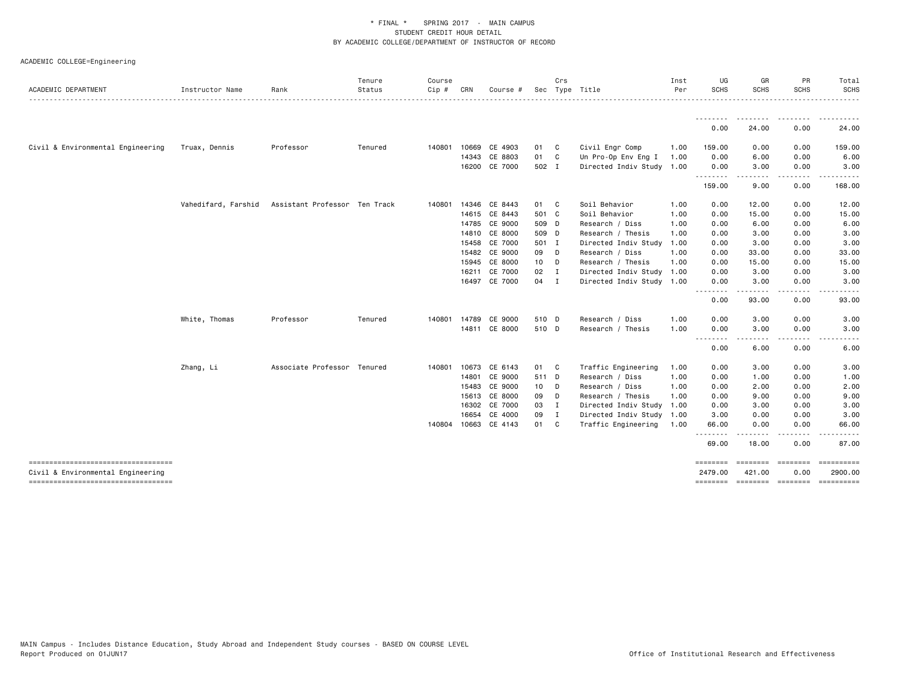|                                                                         |                     |                               | Tenure  | Course       |       |                      |       | Crs    |                           | Inst | UG                         | GR                 | PR                      | Total                                 |
|-------------------------------------------------------------------------|---------------------|-------------------------------|---------|--------------|-------|----------------------|-------|--------|---------------------------|------|----------------------------|--------------------|-------------------------|---------------------------------------|
| ACADEMIC DEPARTMENT                                                     | Instructor Name     | Rank                          | Status  | $Cip \#$     | CRN   | Course #             |       |        | Sec Type Title            | Per  | <b>SCHS</b>                | SCHS               | <b>SCHS</b>             | <b>SCHS</b>                           |
|                                                                         |                     |                               |         |              |       |                      |       |        |                           |      | --------<br>0.00           | 24.00              | 0.00                    | 24.00                                 |
| Civil & Environmental Engineering                                       | Truax, Dennis       | Professor                     | Tenured | 140801       | 10669 | CE 4903              | 01 C  |        | Civil Engr Comp           | 1.00 | 159.00                     | 0.00               | 0.00                    | 159.00                                |
|                                                                         |                     |                               |         |              | 14343 | CE 8803              | 01    | C      | Un Pro-Op Env Eng I       | 1.00 | 0.00                       | 6.00               | 0.00                    | 6.00                                  |
|                                                                         |                     |                               |         |              |       | 16200 CE 7000        | 502 I |        | Directed Indiv Study 1.00 |      | 0.00                       | 3.00               | 0.00                    | 3.00                                  |
|                                                                         |                     |                               |         |              |       |                      |       |        |                           |      | .<br>159.00                | .<br>9.00          | $\frac{1}{2}$<br>0.00   | 168.00                                |
|                                                                         | Vahedifard, Farshid | Assistant Professor Ten Track |         | 140801 14346 |       | CE 8443              | 01 C  |        | Soil Behavior             | 1.00 | 0.00                       | 12.00              | 0.00                    | 12.00                                 |
|                                                                         |                     |                               |         |              |       | 14615 CE 8443        | 501 C |        | Soil Behavior             | 1.00 | 0.00                       | 15.00              | 0.00                    | 15.00                                 |
|                                                                         |                     |                               |         |              |       | 14785 CE 9000        | 509 D |        | Research / Diss           | 1.00 | 0.00                       | 6.00               | 0.00                    | 6.00                                  |
|                                                                         |                     |                               |         |              |       | 14810 CE 8000        | 509 D |        | Research / Thesis         | 1.00 | 0.00                       | 3.00               | 0.00                    | 3.00                                  |
|                                                                         |                     |                               |         |              |       | 15458 CE 7000        | 501 I |        | Directed Indiv Study 1.00 |      | 0.00                       | 3.00               | 0.00                    | 3.00                                  |
|                                                                         |                     |                               |         |              |       | 15482 CE 9000        | 09 D  |        | Research / Diss           | 1.00 | 0.00                       | 33.00              | 0.00                    | 33.00                                 |
|                                                                         |                     |                               |         |              | 15945 | CE 8000              | 10 D  |        | Research / Thesis         | 1.00 | 0.00                       | 15.00              | 0.00                    | 15.00                                 |
|                                                                         |                     |                               |         |              | 16211 | CE 7000              | 02 I  |        | Directed Indiv Study 1.00 |      | 0.00                       | 3.00               | 0.00                    | 3.00                                  |
|                                                                         |                     |                               |         |              |       | 16497 CE 7000        | 04 I  |        | Directed Indiv Study 1.00 |      | 0.00<br><u>.</u>           | 3.00               | 0.00                    | 3.00                                  |
|                                                                         |                     |                               |         |              |       |                      |       |        |                           |      | 0.00                       | 93.00              | 0.00                    | 93.00                                 |
|                                                                         | White, Thomas       | Professor                     | Tenured | 140801       |       | 14789 CE 9000        | 510 D |        | Research / Diss           | 1.00 | 0.00                       | 3.00               | 0.00                    | 3.00                                  |
|                                                                         |                     |                               |         |              |       | 14811 CE 8000        | 510 D |        | Research / Thesis         | 1.00 | 0.00<br>--------           | 3.00<br>.          | 0.00                    | 3.00                                  |
|                                                                         |                     |                               |         |              |       |                      |       |        |                           |      | 0.00                       | 6.00               | 0.00                    | 6.00                                  |
|                                                                         | Zhang, Li           | Associate Professor Tenured   |         | 140801       | 10673 | CE 6143              | 01 C  |        | Traffic Engineering       | 1.00 | 0.00                       | 3.00               | 0.00                    | 3.00                                  |
|                                                                         |                     |                               |         |              | 14801 | CE 9000              | 511 D |        | Research / Diss           | 1.00 | 0.00                       | 1.00               | 0.00                    | 1.00                                  |
|                                                                         |                     |                               |         |              | 15483 | CE 9000              | 10 D  |        | Research / Diss           | 1.00 | 0.00                       | 2.00               | 0.00                    | 2.00                                  |
|                                                                         |                     |                               |         |              |       | 15613 CE 8000        | 09    | $\Box$ | Research / Thesis         | 1.00 | 0.00                       | 9.00               | 0.00                    | 9.00                                  |
|                                                                         |                     |                               |         |              | 16302 | CE 7000              | 03 I  |        | Directed Indiv Study 1.00 |      | 0.00                       | 3.00               | 0.00                    | 3.00                                  |
|                                                                         |                     |                               |         |              | 16654 | CE 4000              | 09 I  |        | Directed Indiv Study 1.00 |      | 3.00                       | 0.00               | 0.00                    | 3.00                                  |
|                                                                         |                     |                               |         |              |       | 140804 10663 CE 4143 | 01 C  |        | Traffic Engineering       | 1.00 | 66.00<br><u>.</u>          | 0.00<br>$\cdots$   | 0.00                    | 66.00                                 |
|                                                                         |                     |                               |         |              |       |                      |       |        |                           |      | 69.00                      | 18.00              | 0.00                    | 87.00                                 |
| ----------------------------------<br>Civil & Environmental Engineering |                     |                               |         |              |       |                      |       |        |                           |      | <b>SEESSEES</b><br>2479.00 | ========<br>421.00 | $= 10000000000$<br>0.00 | 2900.00                               |
| -----------------------------------                                     |                     |                               |         |              |       |                      |       |        |                           |      |                            |                    |                         | ======== ======== ======== ========== |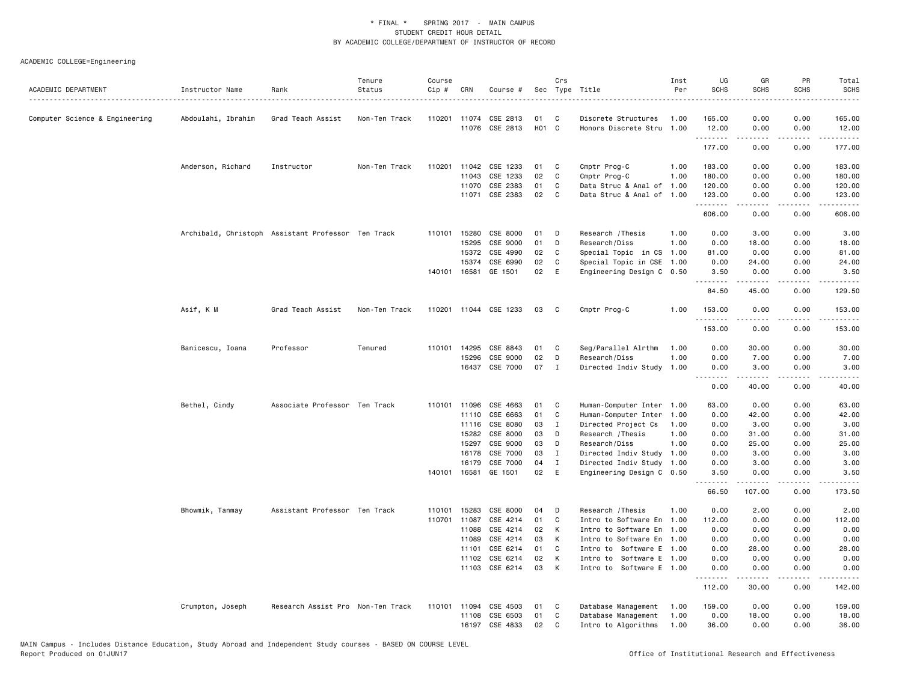|                                |                                                    |                                   | Tenure        | Course |              |                |       | Crs      |                           | Inst | UG              | GR                  | PR                                  | Total                                        |
|--------------------------------|----------------------------------------------------|-----------------------------------|---------------|--------|--------------|----------------|-------|----------|---------------------------|------|-----------------|---------------------|-------------------------------------|----------------------------------------------|
| ACADEMIC DEPARTMENT            | Instructor Name                                    | Rank                              | Status        | Cip #  | CRN          | Course #       |       |          | Sec Type Title            | Per  | <b>SCHS</b>     | <b>SCHS</b>         | <b>SCHS</b>                         | <b>SCHS</b>                                  |
| Computer Science & Engineering | Abdoulahi, Ibrahim                                 | Grad Teach Assist                 | Non-Ten Track |        | 110201 11074 | CSE 2813       | 01    | C        | Discrete Structures       | 1.00 | 165.00          | 0.00                | 0.00                                | 165.00                                       |
|                                |                                                    |                                   |               |        |              | 11076 CSE 2813 | H01 C |          | Honors Discrete Stru 1.00 |      | 12.00           | 0.00                | 0.00                                | 12.00                                        |
|                                |                                                    |                                   |               |        |              |                |       |          |                           |      | .<br>177.00     | .<br>0.00           | .<br>0.00                           | .<br>177.00                                  |
|                                | Anderson, Richard                                  | Instructor                        | Non-Ten Track | 110201 | 11042        | CSE 1233       | 01    | C        | Cmptr Prog-C              | 1.00 | 183.00          | 0.00                | 0.00                                | 183.00                                       |
|                                |                                                    |                                   |               |        | 11043        | CSE 1233       | 02    | C        | Cmptr Prog-C              | 1.00 | 180.00          | 0.00                | 0.00                                | 180.00                                       |
|                                |                                                    |                                   |               |        | 11070        | CSE 2383       | 01    | C        | Data Struc & Anal of      | 1.00 | 120.00          | 0.00                | 0.00                                | 120.00                                       |
|                                |                                                    |                                   |               |        | 11071        | CSE 2383       | 02    | C        | Data Struc & Anal of 1.00 |      | 123.00          | 0.00                | 0.00                                | 123.00                                       |
|                                |                                                    |                                   |               |        |              |                |       |          |                           |      | .<br>606.00     | .<br>0.00           | $   -$<br>0.00                      | .<br>606.00                                  |
|                                | Archibald, Christoph Assistant Professor Ten Track |                                   |               |        | 110101 15280 | CSE 8000       | 01    | D        | Research / Thesis         | 1.00 | 0.00            | 3.00                | 0.00                                | 3.00                                         |
|                                |                                                    |                                   |               |        | 15295        | CSE 9000       | 01    | D        | Research/Diss             | 1.00 | 0.00            | 18.00               | 0.00                                | 18.00                                        |
|                                |                                                    |                                   |               |        | 15372        | CSE 4990       | 02    | C        | Special Topic in CS       | 1.00 | 81.00           | 0.00                | 0.00                                | 81.00                                        |
|                                |                                                    |                                   |               |        | 15374        | CSE 6990       | 02    | C        | Special Topic in CSE      | 1.00 | 0.00            | 24.00               | 0.00                                | 24.00                                        |
|                                |                                                    |                                   |               |        | 140101 16581 | GE 1501        | 02    | E        | Engineering Design C 0.50 |      | 3.50<br>.       | 0.00<br>$- - - - -$ | 0.00<br>.                           | 3.50<br>.                                    |
|                                |                                                    |                                   |               |        |              |                |       |          |                           |      | 84.50           | 45.00               | 0.00                                | 129.50                                       |
|                                | Asif, K M                                          | Grad Teach Assist                 | Non-Ten Track | 110201 |              | 11044 CSE 1233 | 03    | C        | Cmptr Prog-C              | 1.00 | 153.00<br>.     | 0.00<br>.           | 0.00<br>.                           | 153.00<br>$\omega$ is $\omega$ in $\omega$ . |
|                                |                                                    |                                   |               |        |              |                |       |          |                           |      | 153.00          | 0.00                | 0.00                                | 153.00                                       |
|                                | Banicescu, Ioana                                   | Professor                         | Tenured       | 110101 | 14295        | CSE 8843       | 01    | C        | Seg/Parallel Alrthm       | 1.00 | 0.00            | 30.00               | 0.00                                | 30.00                                        |
|                                |                                                    |                                   |               |        | 15296        | CSE 9000       | 02    | D        | Research/Diss             | 1.00 | 0.00            | 7.00                | 0.00                                | 7.00                                         |
|                                |                                                    |                                   |               |        | 16437        | CSE 7000       | 07    | I        | Directed Indiv Study      | 1.00 | 0.00<br><b></b> | 3.00<br>. <u>.</u>  | 0.00<br>.                           | 3.00<br>.                                    |
|                                |                                                    |                                   |               |        |              |                |       |          |                           |      | 0.00            | 40.00               | 0.00                                | 40.00                                        |
|                                | Bethel, Cindy                                      | Associate Professor Ten Track     |               | 110101 | 11096        | CSE 4663       | 01    | C        | Human-Computer Inter      | 1.00 | 63.00           | 0.00                | 0.00                                | 63.00                                        |
|                                |                                                    |                                   |               |        | 11110        | CSE 6663       | 01    | C        | Human-Computer Inter      | 1.00 | 0.00            | 42.00               | 0.00                                | 42.00                                        |
|                                |                                                    |                                   |               |        | 11116        | CSE 8080       | 03    | I        | Directed Project Cs       | 1.00 | 0.00            | 3.00                | 0.00                                | 3.00                                         |
|                                |                                                    |                                   |               |        | 15282        | CSE 8000       | 03    | D        | Research / Thesis         | 1.00 | 0.00            | 31.00               | 0.00                                | 31.00                                        |
|                                |                                                    |                                   |               |        | 15297        | CSE 9000       | 03    | D        | Research/Diss             | 1.00 | 0.00            | 25.00               | 0.00                                | 25.00                                        |
|                                |                                                    |                                   |               |        | 16178        | CSE 7000       | 03    | $\bf{I}$ | Directed Indiv Study      | 1.00 | 0.00            | 3.00                | 0.00                                | 3.00                                         |
|                                |                                                    |                                   |               |        | 16179        | CSE 7000       | 04    | <b>I</b> | Directed Indiv Study      | 1.00 | 0.00            | 3.00                | 0.00                                | 3.00                                         |
|                                |                                                    |                                   |               | 140101 | 16581        | GE 1501        | 02    | Ε        | Engineering Design C 0.50 |      | 3.50            | 0.00<br>$- - - - -$ | 0.00<br>$\sim$ $\sim$ $\sim$ $\sim$ | 3.50<br>د د د د                              |
|                                |                                                    |                                   |               |        |              |                |       |          |                           |      | 66.50           | 107.00              | 0.00                                | 173.50                                       |
|                                | Bhowmik, Tanmay                                    | Assistant Professor Ten Track     |               | 110101 | 15283        | CSE 8000       | 04    | D        | Research / Thesis         | 1.00 | 0.00            | 2.00                | 0.00                                | 2.00                                         |
|                                |                                                    |                                   |               | 110701 | 11087        | CSE 4214       | 01    | C        | Intro to Software En      | 1.00 | 112.00          | 0.00                | 0.00                                | 112.00                                       |
|                                |                                                    |                                   |               |        | 11088        | CSE 4214       | 02    | К        | Intro to Software En      | 1.00 | 0.00            | 0.00                | 0.00                                | 0.00                                         |
|                                |                                                    |                                   |               |        | 11089        | CSE 4214       | 03    | К        | Intro to Software En 1.00 |      | 0.00            | 0.00                | 0.00                                | 0.00                                         |
|                                |                                                    |                                   |               |        | 11101        | CSE 6214       | 01    | C        | Intro to Software E       | 1.00 | 0.00            | 28.00               | 0.00                                | 28.00                                        |
|                                |                                                    |                                   |               |        | 11102        | CSE 6214       | 02    | К        | Intro to Software E 1.00  |      | 0.00            | 0.00                | 0.00                                | 0.00                                         |
|                                |                                                    |                                   |               |        |              | 11103 CSE 6214 | 03    | K        | Intro to Software E 1.00  |      | 0.00<br>.       | 0.00<br>.           | 0.00<br>.                           | 0.00<br>.                                    |
|                                |                                                    |                                   |               |        |              |                |       |          |                           |      | 112.00          | 30.00               | 0.00                                | 142.00                                       |
|                                | Crumpton, Joseph                                   | Research Assist Pro Non-Ten Track |               | 110101 | 11094        | CSE 4503       | 01    | C        | Database Management       | 1.00 | 159.00          | 0.00                | 0.00                                | 159.00                                       |
|                                |                                                    |                                   |               |        | 11108        | CSE 6503       | 01    | C        | Database Management       | 1.00 | 0.00            | 18.00               | 0.00                                | 18.00                                        |
|                                |                                                    |                                   |               |        | 16197        | CSE 4833       | 02    | C.       | Intro to Algorithms       | 1.00 | 36.00           | 0.00                | 0.00                                | 36.00                                        |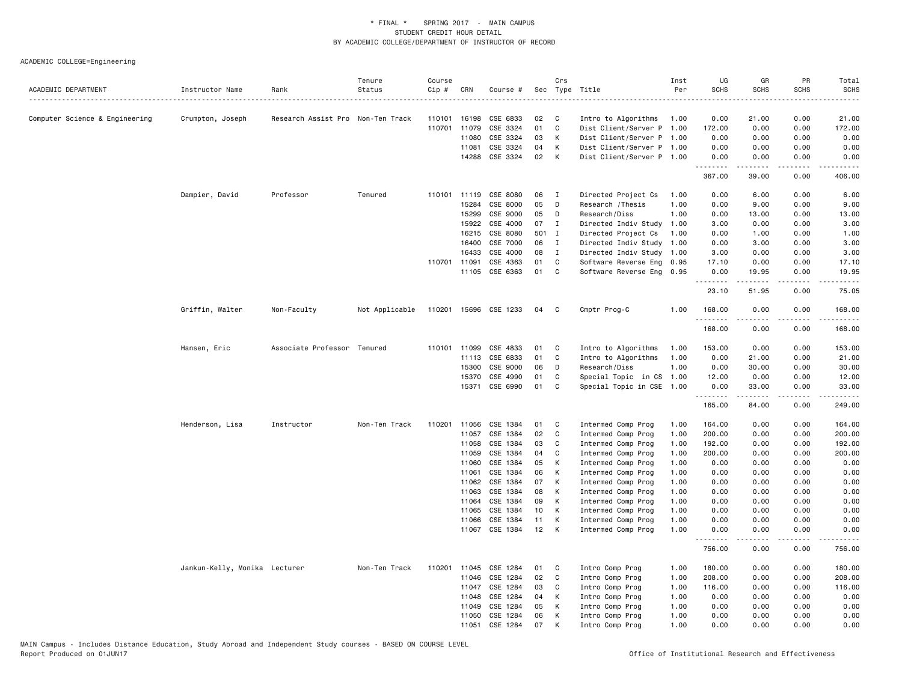| ACADEMIC DEPARTMENT            | Instructor Name               | Rank                              | Tenure<br>Status | Course<br>Cip # | CRN          | Course #              |       | Crs | Sec Type Title            | Inst<br>Per | UG<br><b>SCHS</b> | GR<br><b>SCHS</b>                                                                                                                                            | PR<br>SCHS            | Total<br><b>SCHS</b>  |
|--------------------------------|-------------------------------|-----------------------------------|------------------|-----------------|--------------|-----------------------|-------|-----|---------------------------|-------------|-------------------|--------------------------------------------------------------------------------------------------------------------------------------------------------------|-----------------------|-----------------------|
|                                |                               |                                   |                  |                 |              |                       |       |     |                           |             |                   |                                                                                                                                                              |                       |                       |
| Computer Science & Engineering | Crumpton, Joseph              | Research Assist Pro Non-Ten Track |                  | 110101          | 16198        | CSE 6833              | 02    | C   | Intro to Algorithms       | 1.00        | 0.00              | 21.00                                                                                                                                                        | 0.00                  | 21.00                 |
|                                |                               |                                   |                  |                 | 110701 11079 | CSE 3324              | 01    | C   | Dist Client/Server P 1.00 |             | 172.00            | 0.00                                                                                                                                                         | 0.00                  | 172.00                |
|                                |                               |                                   |                  |                 | 11080        | CSE 3324              | 03    | К   | Dist Client/Server P 1.00 |             | 0.00              | 0.00                                                                                                                                                         | 0.00                  | 0.00                  |
|                                |                               |                                   |                  |                 | 11081        | CSE 3324              | 04    | К   | Dist Client/Server P 1.00 |             | 0.00              | 0.00                                                                                                                                                         | 0.00                  | 0.00                  |
|                                |                               |                                   |                  |                 | 14288        | CSE 3324              | 02    | К   | Dist Client/Server P 1.00 |             | 0.00<br>د د د د د | 0.00<br>$\frac{1}{2} \left( \frac{1}{2} \right) \left( \frac{1}{2} \right) \left( \frac{1}{2} \right) \left( \frac{1}{2} \right) \left( \frac{1}{2} \right)$ | 0.00<br>$\frac{1}{2}$ | 0.00                  |
|                                |                               |                                   |                  |                 |              |                       |       |     |                           |             | 367.00            | 39.00                                                                                                                                                        | 0.00                  | 406.00                |
|                                | Dampier, David                | Professor                         | Tenured          |                 | 110101 11119 | CSE 8080              | 06    | I   | Directed Project Cs       | 1.00        | 0.00              | 6.00                                                                                                                                                         | 0.00                  | 6.00                  |
|                                |                               |                                   |                  |                 | 15284        | CSE 8000              | 05    | D   | Research / Thesis         | 1.00        | 0.00              | 9.00                                                                                                                                                         | 0.00                  | 9.00                  |
|                                |                               |                                   |                  |                 | 15299        | CSE 9000              | 05    | D   | Research/Diss             | 1.00        | 0.00              | 13.00                                                                                                                                                        | 0.00                  | 13.00                 |
|                                |                               |                                   |                  |                 | 15922        | CSE 4000              | 07    | Ι   | Directed Indiv Study      | 1.00        | 3.00              | 0.00                                                                                                                                                         | 0.00                  | 3.00                  |
|                                |                               |                                   |                  |                 | 16215        | CSE 8080              | 501 I |     | Directed Project Cs       | 1.00        | 0.00              | 1.00                                                                                                                                                         | 0.00                  | 1.00                  |
|                                |                               |                                   |                  |                 | 16400        | CSE 7000              | 06    | I   | Directed Indiv Study      | 1.00        | 0.00              | 3.00                                                                                                                                                         | 0.00                  | 3.00                  |
|                                |                               |                                   |                  |                 | 16433        | CSE 4000              | 08    | I   | Directed Indiv Study 1.00 |             | 3.00              | 0.00                                                                                                                                                         | 0.00                  | 3.00                  |
|                                |                               |                                   |                  | 110701 11091    |              | CSE 4363              | 01    | C   | Software Reverse Eng 0.95 |             | 17.10             | 0.00                                                                                                                                                         | 0.00                  | 17.10                 |
|                                |                               |                                   |                  |                 | 11105        | CSE 6363              | 01    | C   | Software Reverse Eng      | 0.95        | 0.00              | 19.95                                                                                                                                                        | 0.00                  | 19.95                 |
|                                |                               |                                   |                  |                 |              |                       |       |     |                           |             | .<br>23.10        | .<br>51.95                                                                                                                                                   | .<br>0.00             | .<br>75.05            |
|                                | Griffin, Walter               | Non-Faculty                       | Not Applicable   |                 |              | 110201 15696 CSE 1233 | 04    | - C | Cmptr Prog-C              | 1.00        | 168.00            | 0.00                                                                                                                                                         | 0.00                  | 168.00                |
|                                |                               |                                   |                  |                 |              |                       |       |     |                           |             | 168.00            | 0.00                                                                                                                                                         | 0.00                  | 168.00                |
|                                | Hansen, Eric                  | Associate Professor Tenured       |                  |                 | 110101 11099 | CSE 4833              | 01    | C   | Intro to Algorithms       | 1.00        | 153.00            | 0.00                                                                                                                                                         | 0.00                  | 153.00                |
|                                |                               |                                   |                  |                 | 11113        | CSE 6833              | 01    | C   | Intro to Algorithms       | 1.00        | 0.00              | 21.00                                                                                                                                                        | 0.00                  | 21.00                 |
|                                |                               |                                   |                  |                 | 15300        | CSE 9000              | 06    | D   | Research/Diss             | 1.00        | 0.00              | 30.00                                                                                                                                                        | 0.00                  | 30.00                 |
|                                |                               |                                   |                  |                 | 15370        | CSE 4990              | 01    | C   | Special Topic in CS       | 1.00        | 12.00             | 0.00                                                                                                                                                         | 0.00                  | 12.00                 |
|                                |                               |                                   |                  |                 | 15371        | CSE 6990              | 01    | C   | Special Topic in CSE      | 1.00        | 0.00              | 33.00                                                                                                                                                        | 0.00                  | 33.00                 |
|                                |                               |                                   |                  |                 |              |                       |       |     |                           |             | .<br>165.00       | .<br>84.00                                                                                                                                                   | $\frac{1}{2}$<br>0.00 | 249.00                |
|                                | Henderson, Lisa               | Instructor                        | Non-Ten Track    |                 | 110201 11056 | CSE 1384              | 01    | C   | Intermed Comp Prog        | 1.00        | 164.00            | 0.00                                                                                                                                                         | 0.00                  | 164.00                |
|                                |                               |                                   |                  |                 | 11057        | CSE 1384              | 02    | C   | Intermed Comp Prog        | 1.00        | 200,00            | 0.00                                                                                                                                                         | 0.00                  | 200.00                |
|                                |                               |                                   |                  |                 | 11058        | CSE 1384              | 03    | C   | Intermed Comp Prog        | 1.00        | 192.00            | 0.00                                                                                                                                                         | 0.00                  | 192.00                |
|                                |                               |                                   |                  |                 | 11059        | CSE 1384              | 04    | C   | Intermed Comp Prog        | 1.00        | 200.00            | 0.00                                                                                                                                                         | 0.00                  | 200.00                |
|                                |                               |                                   |                  |                 | 11060        | CSE 1384              | 05    | К   | Intermed Comp Prog        | 1.00        | 0.00              | 0.00                                                                                                                                                         | 0.00                  | 0.00                  |
|                                |                               |                                   |                  |                 | 11061        | CSE 1384              | 06    | К   | Intermed Comp Prog        | 1.00        | 0.00              | 0.00                                                                                                                                                         | 0.00                  | 0.00                  |
|                                |                               |                                   |                  |                 | 11062        | CSE 1384              | 07    | К   | Intermed Comp Prog        | 1.00        | 0.00              | 0.00                                                                                                                                                         | 0.00                  | 0.00                  |
|                                |                               |                                   |                  |                 | 11063        | CSE 1384              | 08    | К   | Intermed Comp Prog        | 1.00        | 0.00              | 0.00                                                                                                                                                         | 0.00                  | 0.00                  |
|                                |                               |                                   |                  |                 | 11064        | CSE 1384              | 09    | К   | Intermed Comp Prog        | 1.00        | 0.00              | 0.00                                                                                                                                                         | 0.00                  | 0.00                  |
|                                |                               |                                   |                  |                 | 11065        | CSE 1384              | 10    | К   | Intermed Comp Prog        | 1.00        | 0.00              | 0.00                                                                                                                                                         | 0.00                  | 0.00                  |
|                                |                               |                                   |                  |                 | 11066        | CSE 1384              | 11    | К   | Intermed Comp Prog        | 1.00        | 0.00              | 0.00                                                                                                                                                         | 0.00                  | 0.00                  |
|                                |                               |                                   |                  |                 | 11067        | CSE 1384              | 12    | К   | Intermed Comp Prog        | 1.00        | 0.00              | 0.00                                                                                                                                                         | 0.00                  | 0.00                  |
|                                |                               |                                   |                  |                 |              |                       |       |     |                           |             | .<br>756.00       | <u>.</u><br>0.00                                                                                                                                             | .<br>0.00             | $- - - - -$<br>756.00 |
|                                | Jankun-Kelly, Monika Lecturer |                                   | Non-Ten Track    | 110201          | 11045        | CSE 1284              | 01    | C   | Intro Comp Prog           | 1.00        | 180.00            | 0.00                                                                                                                                                         | 0.00                  | 180.00                |
|                                |                               |                                   |                  |                 | 11046        | CSE 1284              | 02    | C   | Intro Comp Prog           | 1.00        | 208.00            | 0.00                                                                                                                                                         | 0.00                  | 208.00                |
|                                |                               |                                   |                  |                 | 11047        | CSE 1284              | 03    | C   | Intro Comp Prog           | 1.00        | 116.00            | 0.00                                                                                                                                                         | 0.00                  | 116.00                |
|                                |                               |                                   |                  |                 | 11048        | CSE 1284              | 04    | К   | Intro Comp Prog           | 1.00        | 0.00              | 0.00                                                                                                                                                         | 0.00                  | 0.00                  |
|                                |                               |                                   |                  |                 | 11049        | CSE 1284              | 05    | К   | Intro Comp Prog           | 1.00        | 0.00              | 0.00                                                                                                                                                         | 0.00                  | 0.00                  |
|                                |                               |                                   |                  |                 | 11050        | CSE 1284              | 06    | K   | Intro Comp Prog           | 1.00        | 0.00              | 0.00                                                                                                                                                         | 0.00                  | 0.00                  |
|                                |                               |                                   |                  |                 | 11051        | CSE 1284              | 07    | K   | Intro Comp Prog           | 1.00        | 0.00              | 0.00                                                                                                                                                         | 0.00                  | 0.00                  |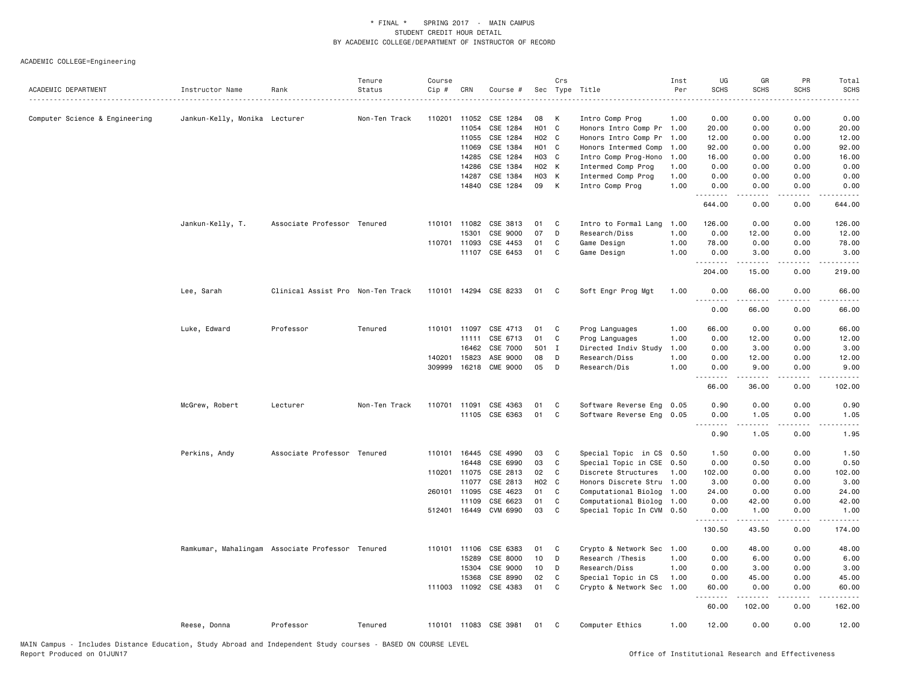| ACADEMIC DEPARTMENT            | Instructor Name               | Rank                                             | Tenure<br>Status | Course<br>Cip # | CRN          | Course #              |       | Crs | Sec Type Title            | Inst<br>Per | UG<br><b>SCHS</b> | GR<br><b>SCHS</b>                                                                                                                                            | PR<br><b>SCHS</b>                   | Total<br><b>SCHS</b>                                                                                                              |
|--------------------------------|-------------------------------|--------------------------------------------------|------------------|-----------------|--------------|-----------------------|-------|-----|---------------------------|-------------|-------------------|--------------------------------------------------------------------------------------------------------------------------------------------------------------|-------------------------------------|-----------------------------------------------------------------------------------------------------------------------------------|
|                                |                               |                                                  |                  |                 |              |                       |       |     |                           |             |                   |                                                                                                                                                              |                                     | $\frac{1}{2} \left( \frac{1}{2} \right) \left( \frac{1}{2} \right) \left( \frac{1}{2} \right) \left( \frac{1}{2} \right)$         |
| Computer Science & Engineering | Jankun-Kelly, Monika Lecturer |                                                  | Non-Ten Track    | 110201 11052    |              | CSE 1284              | 08    | К   | Intro Comp Prog           | 1.00        | 0.00              | 0.00                                                                                                                                                         | 0.00                                | 0.00                                                                                                                              |
|                                |                               |                                                  |                  |                 | 11054        | CSE 1284              | HO1 C |     | Honors Intro Comp Pr      | 1.00        | 20.00             | 0.00                                                                                                                                                         | 0.00                                | 20.00                                                                                                                             |
|                                |                               |                                                  |                  |                 | 11055        | CSE 1284              | H02 C |     | Honors Intro Comp Pr      | 1.00        | 12.00             | 0.00                                                                                                                                                         | 0.00                                | 12.00                                                                                                                             |
|                                |                               |                                                  |                  |                 | 11069        | CSE 1384              | HO1 C |     | Honors Intermed Comp      | 1.00        | 92.00             | 0.00                                                                                                                                                         | 0.00                                | 92.00                                                                                                                             |
|                                |                               |                                                  |                  |                 | 14285        | CSE 1284              | H03 C |     | Intro Comp Prog-Hono      | 1.00        | 16.00             | 0.00                                                                                                                                                         | 0.00                                | 16.00                                                                                                                             |
|                                |                               |                                                  |                  |                 | 14286        | CSE 1384              | H02 K |     | Intermed Comp Prog        | 1.00        | 0.00              | 0.00                                                                                                                                                         | 0.00                                | 0.00                                                                                                                              |
|                                |                               |                                                  |                  |                 | 14287        | CSE 1384              | H03 K |     | Intermed Comp Prog        | 1.00        | 0.00              | 0.00                                                                                                                                                         | 0.00                                | 0.00                                                                                                                              |
|                                |                               |                                                  |                  |                 | 14840        | CSE 1284              | 09    | K   | Intro Comp Prog           | 1.00        | 0.00<br>.         | 0.00                                                                                                                                                         | 0.00                                | 0.00                                                                                                                              |
|                                |                               |                                                  |                  |                 |              |                       |       |     |                           |             | 644.00            | 0.00                                                                                                                                                         | 0.00                                | 644.00                                                                                                                            |
|                                | Jankun-Kelly, T.              | Associate Professor Tenured                      |                  | 110101 11082    |              | CSE 3813              | 01    | C   | Intro to Formal Lang      | 1.00        | 126.00            | 0.00                                                                                                                                                         | 0.00                                | 126.00                                                                                                                            |
|                                |                               |                                                  |                  |                 | 15301        | CSE 9000              | 07    | D   | Research/Diss             | 1.00        | 0.00              | 12.00                                                                                                                                                        | 0.00                                | 12.00                                                                                                                             |
|                                |                               |                                                  |                  | 110701 11093    |              | CSE 4453              | 01    | C   | Game Design               | 1.00        | 78.00             | 0.00                                                                                                                                                         | 0.00                                | 78.00                                                                                                                             |
|                                |                               |                                                  |                  |                 | 11107        | CSE 6453              | 01    | C   | Game Design               | 1.00        | 0.00<br>.         | 3.00<br>.                                                                                                                                                    | 0.00<br>$\sim$ $\sim$ $\sim$ $\sim$ | 3.00<br>.                                                                                                                         |
|                                |                               |                                                  |                  |                 |              |                       |       |     |                           |             | 204.00            | 15.00                                                                                                                                                        | 0.00                                | 219.00                                                                                                                            |
|                                | Lee, Sarah                    | Clinical Assist Pro Non-Ten Track                |                  |                 |              | 110101 14294 CSE 8233 | 01    | C   | Soft Engr Prog Mgt        | 1.00        | 0.00<br><u>.</u>  | 66.00                                                                                                                                                        | 0.00                                | 66.00                                                                                                                             |
|                                |                               |                                                  |                  |                 |              |                       |       |     |                           |             | 0.00              | 66.00                                                                                                                                                        | 0.00                                | 66.00                                                                                                                             |
|                                | Luke, Edward                  | Professor                                        | Tenured          |                 | 110101 11097 | CSE 4713              | 01    | C   | Prog Languages            | 1.00        | 66.00             | 0.00                                                                                                                                                         | 0.00                                | 66.00                                                                                                                             |
|                                |                               |                                                  |                  |                 | 11111        | CSE 6713              | 01    | C   | Prog Languages            | 1.00        | 0.00              | 12.00                                                                                                                                                        | 0.00                                | 12.00                                                                                                                             |
|                                |                               |                                                  |                  |                 | 16462        | CSE 7000              | 501 I |     | Directed Indiv Study      | 1.00        | 0.00              | 3.00                                                                                                                                                         | 0.00                                | 3.00                                                                                                                              |
|                                |                               |                                                  |                  | 140201          | 15823        | ASE 9000              | 08    | D   | Research/Diss             | 1.00        | 0.00              | 12.00                                                                                                                                                        | 0.00                                | 12.00                                                                                                                             |
|                                |                               |                                                  |                  | 309999          | 16218        | <b>CME 9000</b>       | 05    | D   | Research/Dis              | 1.00        | 0.00<br>.         | 9.00<br>.                                                                                                                                                    | 0.00<br>.                           | 9.00                                                                                                                              |
|                                |                               |                                                  |                  |                 |              |                       |       |     |                           |             | 66.00             | 36.00                                                                                                                                                        | 0.00                                | 102.00                                                                                                                            |
|                                | McGrew, Robert                | Lecturer                                         | Non-Ten Track    | 110701 11091    |              | CSE 4363              | 01    | C   | Software Reverse Eng 0.05 |             | 0.90              | 0.00                                                                                                                                                         | 0.00                                | 0.90                                                                                                                              |
|                                |                               |                                                  |                  |                 |              | 11105 CSE 6363        | 01    | C   | Software Reverse Eng 0.05 |             | 0.00              | 1.05                                                                                                                                                         | 0.00                                | 1.05                                                                                                                              |
|                                |                               |                                                  |                  |                 |              |                       |       |     |                           |             | .<br>0.90         | $\frac{1}{2} \left( \frac{1}{2} \right) \left( \frac{1}{2} \right) \left( \frac{1}{2} \right) \left( \frac{1}{2} \right) \left( \frac{1}{2} \right)$<br>1.05 | .<br>0.00                           | $\frac{1}{2} \left( \frac{1}{2} \right) \left( \frac{1}{2} \right) \left( \frac{1}{2} \right) \left( \frac{1}{2} \right)$<br>1.95 |
|                                | Perkins, Andy                 | Associate Professor Tenured                      |                  |                 | 110101 16445 | CSE 4990              | 03    | C   | Special Topic in CS 0.50  |             | 1.50              | 0.00                                                                                                                                                         | 0.00                                | 1.50                                                                                                                              |
|                                |                               |                                                  |                  |                 | 16448        | CSE 6990              | 03    | C   | Special Topic in CSE 0.50 |             | 0.00              | 0.50                                                                                                                                                         | 0.00                                | 0.50                                                                                                                              |
|                                |                               |                                                  |                  |                 | 110201 11075 | CSE 2813              | 02    | C   | Discrete Structures       | 1.00        | 102.00            | 0.00                                                                                                                                                         | 0.00                                | 102.00                                                                                                                            |
|                                |                               |                                                  |                  |                 | 11077        | CSE 2813              | H02 C |     | Honors Discrete Stru      | 1.00        | 3.00              | 0.00                                                                                                                                                         | 0.00                                | 3.00                                                                                                                              |
|                                |                               |                                                  |                  |                 | 260101 11095 | CSE 4623              | 01    | C   | Computational Biolog      | 1.00        | 24.00             | 0.00                                                                                                                                                         | 0.00                                | 24.00                                                                                                                             |
|                                |                               |                                                  |                  |                 | 11109        | CSE 6623              | 01    | C   | Computational Biolog      | 1.00        | 0.00              | 42.00                                                                                                                                                        | 0.00                                | 42.00                                                                                                                             |
|                                |                               |                                                  |                  |                 | 512401 16449 | CVM 6990              | 03    | C   | Special Topic In CVM 0.50 |             | 0.00<br>.         | 1.00<br>.                                                                                                                                                    | 0.00<br>$\sim$ $\sim$ $\sim$ $\sim$ | 1.00<br>.                                                                                                                         |
|                                |                               |                                                  |                  |                 |              |                       |       |     |                           |             | 130.50            | 43.50                                                                                                                                                        | 0.00                                | 174.00                                                                                                                            |
|                                |                               | Ramkumar, Mahalingam Associate Professor Tenured |                  |                 | 110101 11106 | CSE 6383              | 01    | C   | Crypto & Network Sec      | 1.00        | 0.00              | 48.00                                                                                                                                                        | 0.00                                | 48.00                                                                                                                             |
|                                |                               |                                                  |                  |                 | 15289        | CSE 8000              | 10    | D   | Research / Thesis         | 1.00        | 0.00              | 6.00                                                                                                                                                         | 0.00                                | 6.00                                                                                                                              |
|                                |                               |                                                  |                  |                 | 15304        | CSE 9000              | 10    | D   | Research/Diss             | 1.00        | 0.00              | 3.00                                                                                                                                                         | 0.00                                | 3.00                                                                                                                              |
|                                |                               |                                                  |                  |                 | 15368        | CSE 8990              | 02    | C   | Special Topic in CS       | 1.00        | 0.00              | 45.00                                                                                                                                                        | 0.00                                | 45.00                                                                                                                             |
|                                |                               |                                                  |                  |                 |              | 111003 11092 CSE 4383 | 01    | C   | Crypto & Network Sec      | 1.00        | 60.00<br>.        | 0.00<br>.                                                                                                                                                    | 0.00<br>.                           | 60.00<br>.                                                                                                                        |
|                                |                               |                                                  |                  |                 |              |                       |       |     |                           |             | 60.00             | 102.00                                                                                                                                                       | 0.00                                | 162.00                                                                                                                            |
|                                | Reese, Donna                  | Professor                                        | Tenured          |                 |              | 110101 11083 CSE 3981 | 01    | C   | Computer Ethics           | 1.00        | 12.00             | 0.00                                                                                                                                                         | 0.00                                | 12.00                                                                                                                             |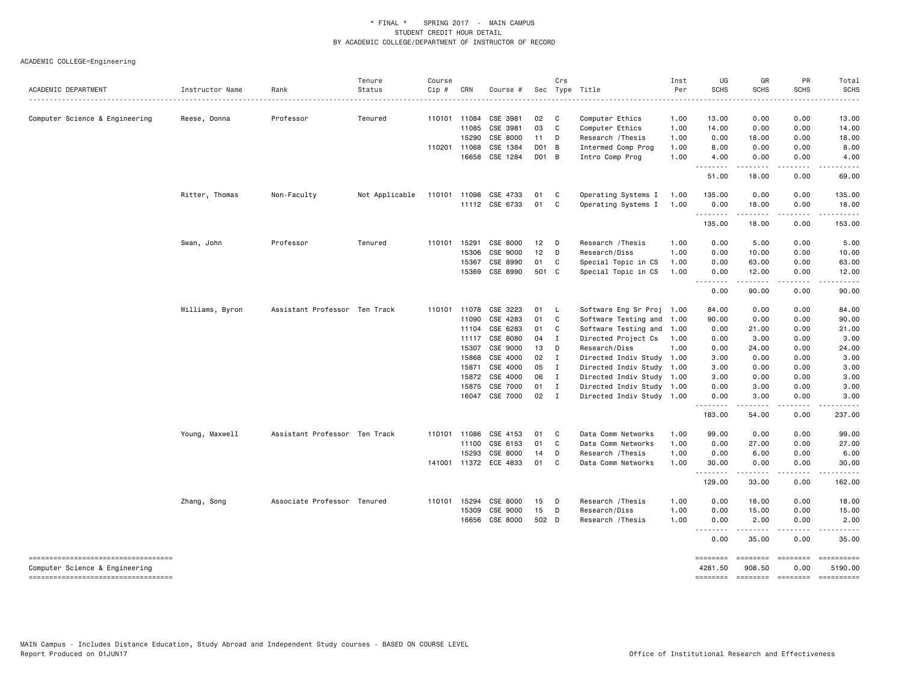| ACADEMIC DEPARTMENT                                                   | Instructor Name | Rank                          | Tenure<br>Status | Course<br>Cip# | CRN                   | Course #              |               | Crs                | Sec Type Title                     | Inst<br>Per  | UG<br><b>SCHS</b>   | GR<br><b>SCHS</b>                                                                                                                                             | PR<br><b>SCHS</b>     | Total<br><b>SCHS</b>  |
|-----------------------------------------------------------------------|-----------------|-------------------------------|------------------|----------------|-----------------------|-----------------------|---------------|--------------------|------------------------------------|--------------|---------------------|---------------------------------------------------------------------------------------------------------------------------------------------------------------|-----------------------|-----------------------|
|                                                                       |                 |                               |                  |                |                       |                       |               |                    |                                    |              |                     |                                                                                                                                                               |                       |                       |
| Computer Science & Engineering                                        | Reese, Donna    | Professor                     | Tenured          |                | 110101 11084<br>11085 | CSE 3981<br>CSE 3981  | 02<br>03      | $\mathbf{C}$<br>C. | Computer Ethics<br>Computer Ethics | 1.00<br>1.00 | 13.00<br>14.00      | 0.00<br>0.00                                                                                                                                                  | 0.00<br>0.00          | 13.00<br>14.00        |
|                                                                       |                 |                               |                  |                | 15290                 | CSE 8000              | 11 D          |                    | Research / Thesis                  | 1.00         | 0.00                | 18.00                                                                                                                                                         | 0.00                  | 18.00                 |
|                                                                       |                 |                               |                  |                | 110201 11068          | CSE 1384              | D01 B         |                    | Intermed Comp Prog                 | 1.00         | 8.00                | 0.00                                                                                                                                                          | 0.00                  | 8.00                  |
|                                                                       |                 |                               |                  |                | 16658                 | CSE 1284              | D01 B         |                    | Intro Comp Prog                    | 1.00         | 4.00                | 0.00                                                                                                                                                          | 0.00                  | 4.00                  |
|                                                                       |                 |                               |                  |                |                       |                       |               |                    |                                    |              | .<br>51.00          | .<br>18.00                                                                                                                                                    | $\frac{1}{2}$<br>0.00 | 69.00                 |
|                                                                       | Ritter, Thomas  | Non-Faculty                   | Not Applicable   | 110101         | 11098                 | CSE 4733              | 01            | C                  | Operating Systems I                | 1.00         | 135.00              | 0.00                                                                                                                                                          | 0.00                  | 135.00                |
|                                                                       |                 |                               |                  |                |                       | 11112 CSE 6733        | 01            | C.                 | Operating Systems I                | 1.00         | 0.00<br>.           | 18.00<br>$- - - - -$                                                                                                                                          | 0.00<br>.             | 18.00<br>------       |
|                                                                       |                 |                               |                  |                |                       |                       |               |                    |                                    |              | 135.00              | 18.00                                                                                                                                                         | 0.00                  | 153.00                |
|                                                                       | Swan, John      | Professor                     | Tenured          | 110101         | 15291                 | CSE 8000              | 12            | $\mathsf{D}$       | Research / Thesis                  | 1.00         | 0.00                | 5.00                                                                                                                                                          | 0.00                  | 5.00                  |
|                                                                       |                 |                               |                  |                | 15306                 | CSE 9000              | 12            | D                  | Research/Diss                      | 1.00         | 0.00                | 10.00                                                                                                                                                         | 0.00                  | 10.00                 |
|                                                                       |                 |                               |                  |                | 15367                 | CSE 8990              | 01            | C                  | Special Topic in CS                | 1.00         | 0.00                | 63.00                                                                                                                                                         | 0.00                  | 63.00                 |
|                                                                       |                 |                               |                  |                | 15369                 | CSE 8990              | 501 C         |                    | Special Topic in CS                | 1.00         | 0.00<br>.           | 12.00<br>$\frac{1}{2} \left( \frac{1}{2} \right) \left( \frac{1}{2} \right) \left( \frac{1}{2} \right) \left( \frac{1}{2} \right) \left( \frac{1}{2} \right)$ | 0.00                  | 12.00                 |
|                                                                       |                 |                               |                  |                |                       |                       |               |                    |                                    |              | 0.00                | 90.00                                                                                                                                                         | 0.00                  | 90.00                 |
|                                                                       | Williams, Byron | Assistant Professor Ten Track |                  | 110101         | 11078                 | CSE 3223              | 01            | - L                | Software Eng Sr Proj 1.00          |              | 84.00               | 0.00                                                                                                                                                          | 0.00                  | 84.00                 |
|                                                                       |                 |                               |                  |                | 11090                 | CSE 4283              | 01            | C                  | Software Testing and 1.00          |              | 90.00               | 0.00                                                                                                                                                          | 0.00                  | 90.00                 |
|                                                                       |                 |                               |                  |                | 11104                 | CSE 6283              | 01            | C                  | Software Testing and 1.00          |              | 0.00                | 21.00                                                                                                                                                         | 0.00                  | 21.00                 |
|                                                                       |                 |                               |                  |                | 11117                 | CSE 8080              | 04 I          |                    | Directed Project Cs                | 1.00         | 0.00                | 3.00                                                                                                                                                          | 0.00                  | 3.00                  |
|                                                                       |                 |                               |                  |                | 15307                 | CSE 9000              | 13            | D                  | Research/Diss                      | 1.00         | 0.00                | 24.00                                                                                                                                                         | 0.00                  | 24.00                 |
|                                                                       |                 |                               |                  |                | 15868                 | CSE 4000              | 02 I          |                    | Directed Indiv Study 1.00          |              | 3.00                | 0.00                                                                                                                                                          | 0.00                  | 3.00                  |
|                                                                       |                 |                               |                  |                | 15871                 | CSE 4000              | 05            | $\mathbf{I}$       | Directed Indiv Study 1.00          |              | 3.00                | 0.00                                                                                                                                                          | 0.00                  | 3.00                  |
|                                                                       |                 |                               |                  |                | 15872                 | CSE 4000              | 06            | $\mathbf{I}$       | Directed Indiv Study 1.00          |              | 3.00                | 0.00                                                                                                                                                          | 0.00                  | 3.00                  |
|                                                                       |                 |                               |                  |                | 15875                 | CSE 7000              | 01            | $\mathbf{I}$       | Directed Indiv Study 1.00          |              | 0.00                | 3.00                                                                                                                                                          | 0.00                  | 3.00                  |
|                                                                       |                 |                               |                  |                |                       | 16047 CSE 7000        | $02 \qquad I$ |                    | Directed Indiv Study 1.00          |              | 0.00<br>.           | 3.00                                                                                                                                                          | 0.00<br>$- - - -$     | 3.00                  |
|                                                                       |                 |                               |                  |                |                       |                       |               |                    |                                    |              | 183.00              | 54.00                                                                                                                                                         | 0.00                  | 237.00                |
|                                                                       | Young, Maxwell  | Assistant Professor Ten Track |                  | 110101         | 11086                 | CSE 4153              | 01            | C                  | Data Comm Networks                 | 1.00         | 99.00               | 0.00                                                                                                                                                          | 0.00                  | 99.00                 |
|                                                                       |                 |                               |                  |                | 11100                 | CSE 6153              | 01            | C                  | Data Comm Networks                 | 1.00         | 0.00                | 27.00                                                                                                                                                         | 0.00                  | 27.00                 |
|                                                                       |                 |                               |                  |                | 15293                 | CSE 8000              | 14            | D                  | Research / Thesis                  | 1.00         | 0.00                | 6.00                                                                                                                                                          | 0.00                  | 6.00                  |
|                                                                       |                 |                               |                  |                |                       | 141001 11372 ECE 4833 | 01            | C                  | Data Comm Networks                 | 1.00         | 30.00<br>.          | 0.00<br>.                                                                                                                                                     | 0.00<br>.             | 30.00<br>.            |
|                                                                       |                 |                               |                  |                |                       |                       |               |                    |                                    |              | 129.00              | 33.00                                                                                                                                                         | 0.00                  | 162.00                |
|                                                                       | Zhang, Song     | Associate Professor Tenured   |                  | 110101         | 15294                 | CSE 8000              | 15            | D                  | Research / Thesis                  | 1.00         | 0.00                | 18.00                                                                                                                                                         | 0.00                  | 18.00                 |
|                                                                       |                 |                               |                  |                | 15309                 | CSE 9000              | 15            | $\mathsf{D}$       | Research/Diss                      | 1.00         | 0.00                | 15.00                                                                                                                                                         | 0.00                  | 15.00                 |
|                                                                       |                 |                               |                  |                | 16656                 | CSE 8000              | 502 D         |                    | Research / Thesis                  | 1.00         | 0.00<br>.           | 2.00<br>$\cdots$                                                                                                                                              | 0.00<br>.             | 2.00                  |
|                                                                       |                 |                               |                  |                |                       |                       |               |                    |                                    |              | 0.00                | 35.00                                                                                                                                                         | 0.00                  | 35.00                 |
| -----------------------------------<br>Computer Science & Engineering |                 |                               |                  |                |                       |                       |               |                    |                                    |              | ========<br>4281.50 | ========<br>908.50                                                                                                                                            | ========<br>0.00      | ==========<br>5190.00 |
| -----------------------------------                                   |                 |                               |                  |                |                       |                       |               |                    |                                    |              | <b>SEBERBER</b>     | $=$ ========                                                                                                                                                  | ========              |                       |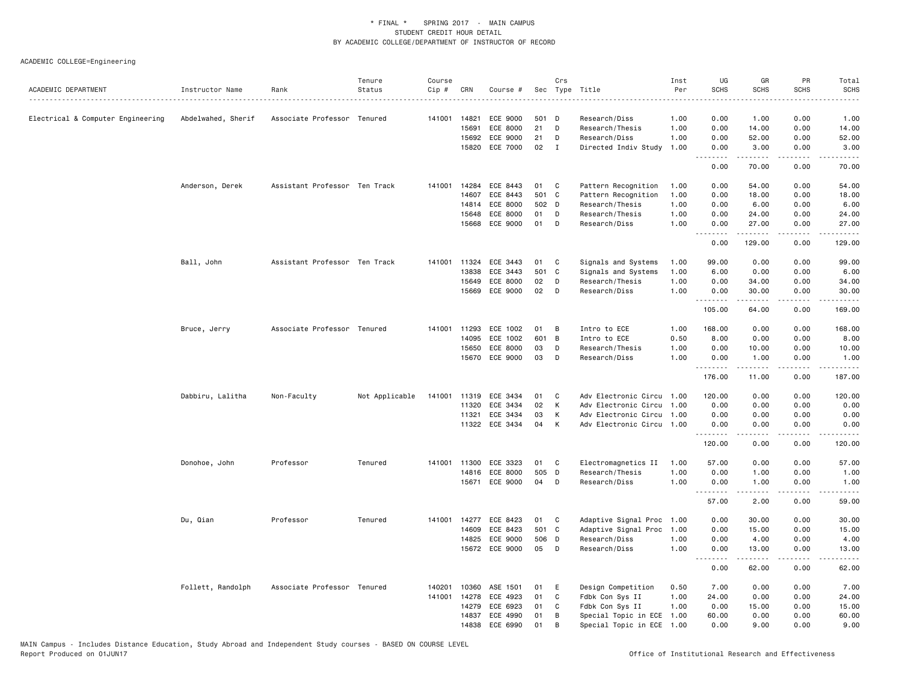| ACADEMIC DEPARTMENT               | Instructor Name    | Rank                          | Tenure<br>Status | Course<br>$Cip \#$ | CRN          | Course #       |       | Crs          | Sec Type Title            | Inst<br>Per | UG<br><b>SCHS</b> | GR<br><b>SCHS</b> | PR<br><b>SCHS</b>                   | Total<br><b>SCHS</b>                                                                                                                                         |
|-----------------------------------|--------------------|-------------------------------|------------------|--------------------|--------------|----------------|-------|--------------|---------------------------|-------------|-------------------|-------------------|-------------------------------------|--------------------------------------------------------------------------------------------------------------------------------------------------------------|
|                                   |                    |                               |                  |                    |              |                |       |              |                           |             |                   |                   |                                     |                                                                                                                                                              |
| Electrical & Computer Engineering | Abdelwahed, Sherif | Associate Professor Tenured   |                  | 141001             | 14821        | ECE 9000       | 501 D |              | Research/Diss             | 1.00        | 0.00              | 1.00              | 0.00                                | 1.00                                                                                                                                                         |
|                                   |                    |                               |                  |                    | 15691        | ECE 8000       | 21    | D            | Research/Thesis           | 1.00        | 0.00              | 14.00             | 0.00                                | 14.00                                                                                                                                                        |
|                                   |                    |                               |                  |                    | 15692        | ECE 9000       | 21    | D            | Research/Diss             | 1.00        | 0.00              | 52.00             | 0.00                                | 52.00                                                                                                                                                        |
|                                   |                    |                               |                  |                    | 15820        | ECE 7000       | 02    | $\mathbf{I}$ | Directed Indiv Study      | 1.00        | 0.00<br>.         | 3.00<br>.         | 0.00<br>$\sim$ $\sim$ $\sim$ $\sim$ | 3.00<br>.                                                                                                                                                    |
|                                   |                    |                               |                  |                    |              |                |       |              |                           |             | 0.00              | 70.00             | 0.00                                | 70.00                                                                                                                                                        |
|                                   | Anderson, Derek    | Assistant Professor Ten Track |                  | 141001             | 14284        | ECE 8443       | 01    | C            | Pattern Recognition       | 1.00        | 0.00              | 54.00             | 0.00                                | 54.00                                                                                                                                                        |
|                                   |                    |                               |                  |                    | 14607        | ECE 8443       | 501 C |              | Pattern Recognition       | 1.00        | 0.00              | 18.00             | 0.00                                | 18.00                                                                                                                                                        |
|                                   |                    |                               |                  |                    | 14814        | ECE 8000       | 502 D |              | Research/Thesis           | 1.00        | 0.00              | 6.00              | 0.00                                | 6.00                                                                                                                                                         |
|                                   |                    |                               |                  |                    | 15648        | ECE 8000       | 01    | D            | Research/Thesis           | 1.00        | 0.00              | 24.00             | 0.00                                | 24.00                                                                                                                                                        |
|                                   |                    |                               |                  |                    | 15668        | ECE 9000       | 01    | D            | Research/Diss             | 1.00        | 0.00<br>.         | 27.00             | 0.00                                | 27.00                                                                                                                                                        |
|                                   |                    |                               |                  |                    |              |                |       |              |                           |             | 0.00              | 129.00            | 0.00                                | 129.00                                                                                                                                                       |
|                                   | Ball, John         | Assistant Professor Ten Track |                  |                    | 141001 11324 | ECE 3443       | 01    | C            | Signals and Systems       | 1.00        | 99.00             | 0.00              | 0.00                                | 99.00                                                                                                                                                        |
|                                   |                    |                               |                  |                    | 13838        | ECE 3443       | 501 C |              | Signals and Systems       | 1.00        | 6.00              | 0.00              | 0.00                                | 6.00                                                                                                                                                         |
|                                   |                    |                               |                  |                    | 15649        | ECE 8000       | 02    | D            | Research/Thesis           | 1.00        | 0.00              | 34.00             | 0.00                                | 34.00                                                                                                                                                        |
|                                   |                    |                               |                  |                    | 15669        | ECE 9000       | 02    | D            | Research/Diss             | 1.00        | 0.00<br><u>.</u>  | 30.00<br>.        | 0.00<br>.                           | 30.00<br>.                                                                                                                                                   |
|                                   |                    |                               |                  |                    |              |                |       |              |                           |             | 105.00            | 64.00             | 0.00                                | 169.00                                                                                                                                                       |
|                                   | Bruce, Jerry       | Associate Professor Tenured   |                  | 141001             | 11293        | ECE 1002       | 01    | В            | Intro to ECE              | 1.00        | 168.00            | 0.00              | 0.00                                | 168.00                                                                                                                                                       |
|                                   |                    |                               |                  |                    | 14095        | ECE 1002       | 601 B |              | Intro to ECE              | 0.50        | 8.00              | 0.00              | 0.00                                | 8.00                                                                                                                                                         |
|                                   |                    |                               |                  |                    | 15650        | ECE 8000       | 03    | D            | Research/Thesis           | 1.00        | 0.00              | 10.00             | 0.00                                | 10.00                                                                                                                                                        |
|                                   |                    |                               |                  |                    |              | 15670 ECE 9000 | 03    | D            | Research/Diss             | 1.00        | 0.00<br>.         | 1.00<br>.         | 0.00<br>.                           | 1.00<br>.                                                                                                                                                    |
|                                   |                    |                               |                  |                    |              |                |       |              |                           |             | 176.00            | 11.00             | 0.00                                | 187.00                                                                                                                                                       |
|                                   | Dabbiru, Lalitha   | Non-Faculty                   | Not Applicable   | 141001             | 11319        | ECE 3434       | 01    | C            | Adv Electronic Circu 1.00 |             | 120.00            | 0.00              | 0.00                                | 120.00                                                                                                                                                       |
|                                   |                    |                               |                  |                    | 11320        | ECE 3434       | 02    | К            | Adv Electronic Circu 1.00 |             | 0.00              | 0.00              | 0.00                                | 0.00                                                                                                                                                         |
|                                   |                    |                               |                  |                    | 11321        | ECE 3434       | 03    | К            | Adv Electronic Circu 1.00 |             | 0.00              | 0.00              | 0.00                                | 0.00                                                                                                                                                         |
|                                   |                    |                               |                  |                    |              | 11322 ECE 3434 | 04    | К            | Adv Electronic Circu 1.00 |             | 0.00<br>.         | 0.00<br>.         | 0.00<br>.                           | 0.00<br>$\frac{1}{2} \left( \frac{1}{2} \right) \left( \frac{1}{2} \right) \left( \frac{1}{2} \right) \left( \frac{1}{2} \right) \left( \frac{1}{2} \right)$ |
|                                   |                    |                               |                  |                    |              |                |       |              |                           |             | 120.00            | 0.00              | 0.00                                | 120.00                                                                                                                                                       |
|                                   | Donohoe, John      | Professor                     | Tenured          | 141001             | 11300        | ECE 3323       | 01    | C            | Electromagnetics II       | 1.00        | 57.00             | 0.00              | 0.00                                | 57.00                                                                                                                                                        |
|                                   |                    |                               |                  |                    | 14816        | ECE 8000       | 505 D |              | Research/Thesis           | 1.00        | 0.00              | 1.00              | 0.00                                | 1.00                                                                                                                                                         |
|                                   |                    |                               |                  |                    | 15671        | ECE 9000       | 04    | D            | Research/Diss             | 1.00        | 0.00<br>.         | 1.00<br>.         | 0.00<br>$\sim$ $\sim$ $\sim$ $\sim$ | 1.00<br>$\frac{1}{2} \left( \frac{1}{2} \right) \left( \frac{1}{2} \right) \left( \frac{1}{2} \right) \left( \frac{1}{2} \right)$                            |
|                                   |                    |                               |                  |                    |              |                |       |              |                           |             | 57.00             | 2.00              | 0.00                                | 59.00                                                                                                                                                        |
|                                   | Du, Qian           | Professor                     | Tenured          | 141001             | 14277        | ECE 8423       | 01    | C            | Adaptive Signal Proc      | 1.00        | 0.00              | 30.00             | 0.00                                | 30.00                                                                                                                                                        |
|                                   |                    |                               |                  |                    | 14609        | ECE 8423       | 501 C |              | Adaptive Signal Proc 1.00 |             | 0.00              | 15.00             | 0.00                                | 15.00                                                                                                                                                        |
|                                   |                    |                               |                  |                    | 14825        | ECE 9000       | 506 D |              | Research/Diss             | 1.00        | 0.00              | 4.00              | 0.00                                | 4.00                                                                                                                                                         |
|                                   |                    |                               |                  |                    | 15672        | ECE 9000       | 05    | D            | Research/Diss             | 1.00        | 0.00<br>.         | 13.00<br>.        | 0.00<br>$\sim$ $\sim$ $\sim$ $\sim$ | 13.00<br>$\frac{1}{2} \left( \frac{1}{2} \right) \left( \frac{1}{2} \right) \left( \frac{1}{2} \right) \left( \frac{1}{2} \right)$                           |
|                                   |                    |                               |                  |                    |              |                |       |              |                           |             | 0.00              | 62.00             | 0.00                                | 62.00                                                                                                                                                        |
|                                   | Follett, Randolph  | Associate Professor Tenured   |                  | 140201             | 10360        | ASE 1501       | 01    | Ε            | Design Competition        | 0.50        | 7.00              | 0.00              | 0.00                                | 7.00                                                                                                                                                         |
|                                   |                    |                               |                  | 141001             | 14278        | ECE 4923       | 01    | $\mathtt{C}$ | Fdbk Con Sys II           | 1.00        | 24.00             | 0.00              | 0.00                                | 24.00                                                                                                                                                        |
|                                   |                    |                               |                  |                    | 14279        | ECE 6923       | 01    | C            | Fdbk Con Sys II           | 1.00        | 0.00              | 15.00             | 0.00                                | 15.00                                                                                                                                                        |
|                                   |                    |                               |                  |                    | 14837        | ECE 4990       | 01    | В            | Special Topic in ECE      | 1.00        | 60.00             | 0.00              | 0.00                                | 60.00                                                                                                                                                        |
|                                   |                    |                               |                  |                    | 14838        | ECE 6990       | 01    | B            | Special Topic in ECE      | 1.00        | 0.00              | 9.00              | 0.00                                | 9.00                                                                                                                                                         |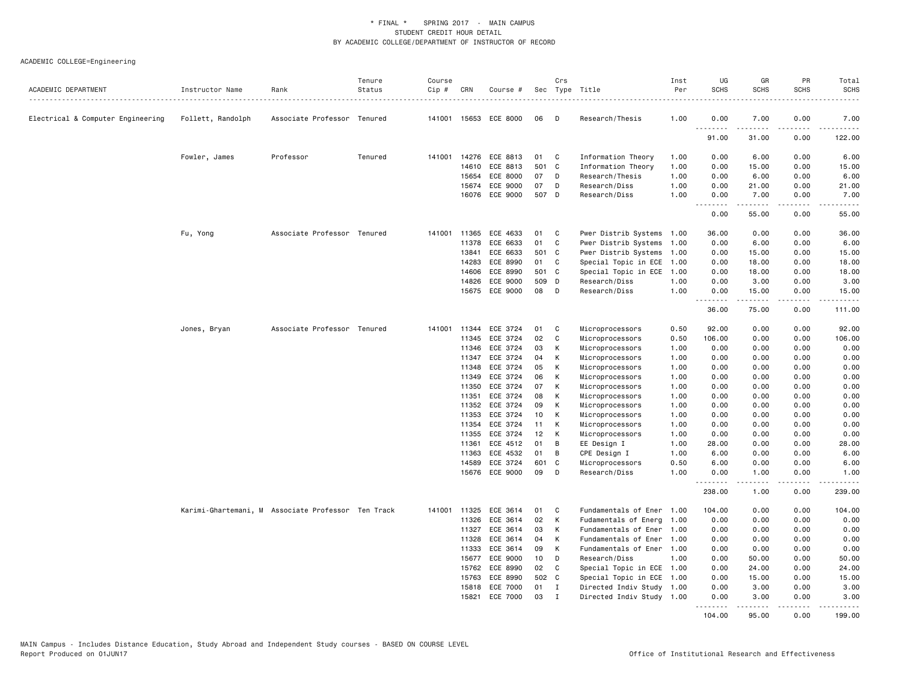| ACADEMIC DEPARTMENT               | Instructor Name   | Rank                                               | Tenure<br>Status | Course<br>Cip # | CRN   | Course #                   |           | Crs<br>Sec Type Title |                                  | Inst<br>Per<br>. <u>.</u> . | UG<br><b>SCHS</b> | GR<br>SCHS        | PR<br><b>SCHS</b> | Total<br><b>SCHS</b><br>$- - - - -$ |
|-----------------------------------|-------------------|----------------------------------------------------|------------------|-----------------|-------|----------------------------|-----------|-----------------------|----------------------------------|-----------------------------|-------------------|-------------------|-------------------|-------------------------------------|
| Electrical & Computer Engineering | Follett, Randolph | Associate Professor Tenured                        |                  |                 |       | 141001 15653 ECE 8000      | 06        | D                     | Research/Thesis                  | 1.00                        | 0.00              | 7.00              | 0.00              | 7.00                                |
|                                   |                   |                                                    |                  |                 |       |                            |           |                       |                                  |                             | .<br>91.00        | 31.00             | 0.00              | 122.00                              |
|                                   | Fowler, James     | Professor                                          | Tenured          |                 |       | 141001 14276 ECE 8813      | 01        | C                     | Information Theory               | 1.00                        | 0.00              | 6.00              | 0.00              | 6.00                                |
|                                   |                   |                                                    |                  |                 | 14610 | ECE 8813                   | 501 C     |                       | Information Theory               | 1.00                        | 0.00              | 15.00             | 0.00              | 15.00                               |
|                                   |                   |                                                    |                  |                 | 15654 | ECE 8000                   | 07        | D                     | Research/Thesis                  | 1.00                        | 0.00              | 6.00              | 0.00              | 6.00                                |
|                                   |                   |                                                    |                  |                 | 15674 | ECE 9000                   | 07        | D                     | Research/Diss                    | 1.00                        | 0.00              | 21.00             | 0.00              | 21.00                               |
|                                   |                   |                                                    |                  |                 |       | 16076 ECE 9000             | 507 D     |                       | Research/Diss                    | 1.00                        | 0.00<br><b></b>   | 7.00<br>.         | 0.00<br>.         | 7.00<br>.                           |
|                                   |                   |                                                    |                  |                 |       |                            |           |                       |                                  |                             | 0.00              | 55.00             | 0.00              | 55.00                               |
|                                   | Fu, Yong          | Associate Professor Tenured                        |                  | 141001          | 11365 | ECE 4633                   | 01        | C                     | Pwer Distrib Systems             | 1.00                        | 36.00             | 0.00              | 0.00              | 36.00                               |
|                                   |                   |                                                    |                  |                 | 11378 | ECE 6633                   | 01        | C                     | Pwer Distrib Systems             | 1.00                        | 0.00              | 6.00              | 0.00              | 6.00                                |
|                                   |                   |                                                    |                  |                 | 13841 | ECE 6633                   | 501 C     |                       | Pwer Distrib Systems             | 1.00                        | 0.00              | 15.00             | 0.00              | 15.00                               |
|                                   |                   |                                                    |                  |                 | 14283 | ECE 8990                   | 01        | C                     | Special Topic in ECE             | 1.00                        | 0.00              | 18.00             | 0.00              | 18.00                               |
|                                   |                   |                                                    |                  |                 | 14606 | ECE 8990                   | 501       | $\mathbf{C}$          | Special Topic in ECE             | 1.00                        | 0.00              | 18.00             | 0.00              | 18.00                               |
|                                   |                   |                                                    |                  |                 | 14826 | ECE 9000                   | 509       | D                     | Research/Diss                    | 1.00                        | 0.00              | 3.00              | 0.00              | 3.00                                |
|                                   |                   |                                                    |                  |                 | 15675 | ECE 9000                   | 08        | D                     | Research/Diss                    | 1.00                        | 0.00<br>.         | 15.00<br><u>.</u> | 0.00<br>.         | 15.00<br>.                          |
|                                   |                   |                                                    |                  |                 |       |                            |           |                       |                                  |                             | 36.00             | 75.00             | 0.00              | 111.00                              |
|                                   | Jones, Bryan      | Associate Professor Tenured                        |                  | 141001 11344    |       | ECE 3724                   | 01        | C                     | Microprocessors                  | 0.50                        | 92.00             | 0.00              | 0.00              | 92.00                               |
|                                   |                   |                                                    |                  |                 | 11345 | ECE 3724                   | 02        | $\mathbb{C}$          | Microprocessors                  | 0.50                        | 106.00            | 0.00              | 0.00              | 106.00                              |
|                                   |                   |                                                    |                  |                 | 11346 | ECE 3724                   | 03        | К                     | Microprocessors                  | 1.00                        | 0.00              | 0.00              | 0.00              | 0.00                                |
|                                   |                   |                                                    |                  |                 | 11347 | ECE 3724                   | 04        | К                     | Microprocessors                  | 1.00                        | 0.00              | 0.00              | 0.00              | 0.00                                |
|                                   |                   |                                                    |                  |                 | 11348 | ECE 3724                   | 05        | К                     | Microprocessors                  | 1.00                        | 0.00              | 0.00              | 0.00              | 0.00                                |
|                                   |                   |                                                    |                  |                 | 11349 | ECE 3724                   | 06        | К                     | Microprocessors                  | 1.00                        | 0.00              | 0.00              | 0.00              | 0.00                                |
|                                   |                   |                                                    |                  |                 | 11350 | ECE 3724                   | 07        | К                     | Microprocessors                  | 1.00                        | 0.00              | 0.00              | 0.00              | 0.00                                |
|                                   |                   |                                                    |                  |                 | 11351 | ECE 3724                   | 08        | К                     | Microprocessors                  | 1.00                        | 0.00              | 0.00              | 0.00              | 0.00                                |
|                                   |                   |                                                    |                  |                 | 11352 | ECE 3724                   | 09        | К                     | Microprocessors                  | 1.00                        | 0.00              | 0.00              | 0.00              | 0.00                                |
|                                   |                   |                                                    |                  |                 | 11353 | ECE 3724                   | 10        | К                     | Microprocessors                  | 1.00                        | 0.00              | 0.00              | 0.00              | 0.00                                |
|                                   |                   |                                                    |                  |                 | 11354 | ECE 3724                   | 11        | К                     | Microprocessors                  | 1.00                        | 0.00              | 0.00              | 0.00              | 0.00                                |
|                                   |                   |                                                    |                  |                 | 11355 | ECE 3724                   | 12        | К                     | Microprocessors                  | 1.00                        | 0.00              | 0.00              | 0.00              | 0.00                                |
|                                   |                   |                                                    |                  |                 | 11361 | ECE 4512                   | 01        | В                     | EE Design I                      | 1.00                        | 28.00             | 0.00              | 0.00              | 28.00                               |
|                                   |                   |                                                    |                  |                 | 11363 | ECE 4532                   | 01        | B                     | CPE Design I                     | 1.00                        | 6.00              | 0.00              | 0.00              | 6.00                                |
|                                   |                   |                                                    |                  |                 | 14589 | ECE 3724<br>15676 ECE 9000 | 601<br>09 | C<br>D                | Microprocessors<br>Research/Diss | 0.50<br>1.00                | 6.00<br>0.00      | 0.00<br>1.00      | 0.00<br>0.00      | 6.00<br>1.00                        |
|                                   |                   |                                                    |                  |                 |       |                            |           |                       |                                  |                             | <b></b><br>238.00 | <u>.</u><br>1.00  | .<br>0.00         | .<br>239.00                         |
|                                   |                   | Karimi-Ghartemani, M Associate Professor Ten Track |                  | 141001          | 11325 | ECE 3614                   | 01        | C                     | Fundamentals of Ener             | 1.00                        | 104.00            | 0.00              | 0.00              | 104.00                              |
|                                   |                   |                                                    |                  |                 | 11326 | ECE 3614                   | 02        | К                     | Fudamentals of Energ 1.00        |                             | 0.00              | 0.00              | 0.00              | 0.00                                |
|                                   |                   |                                                    |                  |                 | 11327 | ECE 3614                   | 03        | К                     | Fundamentals of Ener             | 1.00                        | 0.00              | 0.00              | 0.00              | 0.00                                |
|                                   |                   |                                                    |                  |                 | 11328 | ECE 3614                   | 04        | К                     | Fundamentals of Ener             | 1.00                        | 0.00              | 0.00              | 0.00              | 0.00                                |
|                                   |                   |                                                    |                  |                 | 11333 | ECE 3614                   | 09        | к                     | Fundamentals of Ener 1.00        |                             | 0.00              | 0.00              | 0.00              | 0.00                                |
|                                   |                   |                                                    |                  |                 | 15677 | ECE 9000                   | 10        | D                     | Research/Diss                    | 1.00                        | 0.00              | 50.00             | 0.00              | 50.00                               |
|                                   |                   |                                                    |                  |                 | 15762 | ECE 8990                   | 02        | C                     | Special Topic in ECE 1.00        |                             | 0.00              | 24.00             | 0.00              | 24.00                               |
|                                   |                   |                                                    |                  |                 | 15763 | ECE 8990                   | 502 C     |                       | Special Topic in ECE 1.00        |                             | 0.00              | 15.00             | 0.00              | 15.00                               |
|                                   |                   |                                                    |                  |                 | 15818 | ECE 7000                   | 01        | $\mathbf{I}$          | Directed Indiv Study 1.00        |                             | 0.00              | 3.00              | 0.00              | 3.00                                |
|                                   |                   |                                                    |                  |                 | 15821 | ECE 7000                   | 03        | $\mathbf{I}$          | Directed Indiv Study 1.00        |                             | 0.00<br>.         | 3,00<br>.         | 0.00<br>.         | 3.00<br>.                           |
|                                   |                   |                                                    |                  |                 |       |                            |           |                       |                                  |                             | 104.00            | 95.00             | 0.00              | 199.00                              |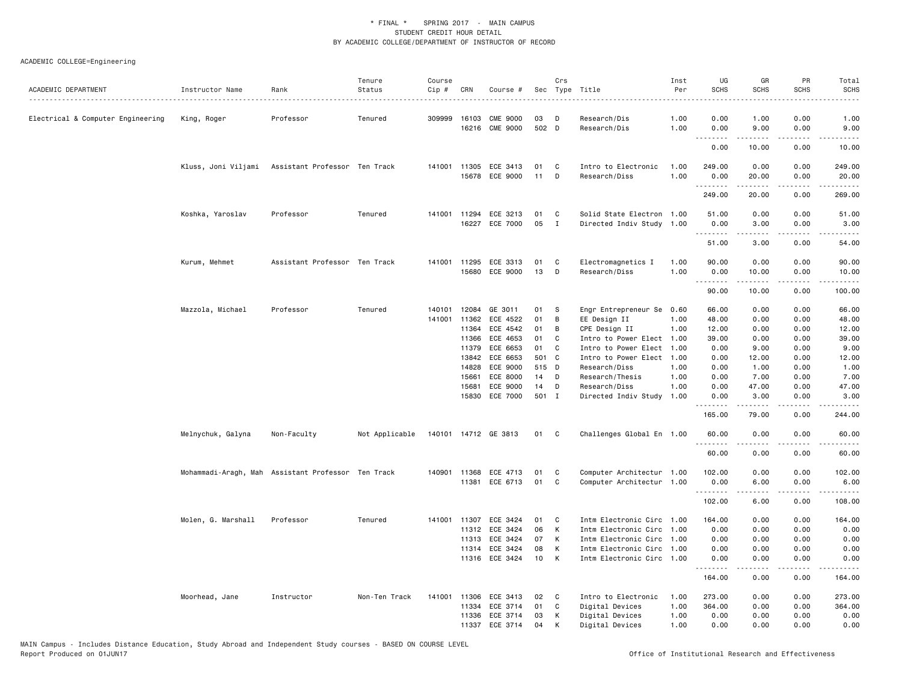| ACADEMIC DEPARTMENT               | Instructor Name                                    | Rank                          | Tenure<br>Status | Course<br>Cip # | CRN          | Course #                                |             | Crs               | Sec Type Title                                         | Inst<br>Per  | UG<br><b>SCHS</b> | GR<br><b>SCHS</b>                                                                                                                                            | PR<br><b>SCHS</b>                   | Total<br><b>SCHS</b><br>$- - - - -$ |
|-----------------------------------|----------------------------------------------------|-------------------------------|------------------|-----------------|--------------|-----------------------------------------|-------------|-------------------|--------------------------------------------------------|--------------|-------------------|--------------------------------------------------------------------------------------------------------------------------------------------------------------|-------------------------------------|-------------------------------------|
| Electrical & Computer Engineering | King, Roger                                        | Professor                     | Tenured          | 309999          | 16103        | <b>CME 9000</b><br>16216 CME 9000       | 03<br>502 D | D                 | Research/Dis<br>Research/Dis                           | 1.00<br>1.00 | 0.00<br>0.00      | 1.00<br>9.00                                                                                                                                                 | 0.00<br>0.00                        | 1.00<br>9.00                        |
|                                   |                                                    |                               |                  |                 |              |                                         |             |                   |                                                        |              |                   |                                                                                                                                                              | د د د د                             |                                     |
|                                   |                                                    |                               |                  |                 |              |                                         |             |                   |                                                        |              | 0.00              | 10.00                                                                                                                                                        | 0.00                                | 10.00                               |
|                                   | Kluss, Joni Viljami Assistant Professor Ten Track  |                               |                  |                 |              | 141001 11305 ECE 3413                   | 01          | C                 | Intro to Electronic                                    | 1.00         | 249.00            | 0.00                                                                                                                                                         | 0.00                                | 249.00                              |
|                                   |                                                    |                               |                  |                 | 15678        | ECE 9000                                | 11          | D                 | Research/Diss                                          | 1.00         | 0.00              | 20.00                                                                                                                                                        | 0.00                                | 20.00                               |
|                                   |                                                    |                               |                  |                 |              |                                         |             |                   |                                                        |              | .<br>249.00       | 20.00                                                                                                                                                        | .<br>0.00                           | 269.00                              |
|                                   |                                                    |                               |                  |                 |              |                                         |             |                   |                                                        |              |                   |                                                                                                                                                              |                                     |                                     |
|                                   | Koshka, Yaroslav                                   | Professor                     | Tenured          |                 |              | 141001 11294 ECE 3213<br>16227 ECE 7000 | 01<br>05    | C<br>$\mathbf{I}$ | Solid State Electron 1.00<br>Directed Indiv Study 1.00 |              | 51.00<br>0.00     | 0.00<br>3.00                                                                                                                                                 | 0.00<br>0.00                        | 51.00<br>3.00                       |
|                                   |                                                    |                               |                  |                 |              |                                         |             |                   |                                                        |              | <u>.</u>          | .                                                                                                                                                            | $\frac{1}{2}$                       | $    -$                             |
|                                   |                                                    |                               |                  |                 |              |                                         |             |                   |                                                        |              | 51.00             | 3.00                                                                                                                                                         | 0.00                                | 54.00                               |
|                                   | Kurum, Mehmet                                      | Assistant Professor Ten Track |                  |                 |              | 141001 11295 ECE 3313                   | 01          | C                 | Electromagnetics I                                     | 1.00         | 90.00             | 0.00                                                                                                                                                         | 0.00                                | 90.00                               |
|                                   |                                                    |                               |                  |                 | 15680        | ECE 9000                                | 13          | D                 | Research/Diss                                          | 1.00         | 0.00              | 10.00                                                                                                                                                        | 0.00                                | 10,00                               |
|                                   |                                                    |                               |                  |                 |              |                                         |             |                   |                                                        |              | <u>.</u><br>90.00 | .<br>10.00                                                                                                                                                   | .<br>0.00                           | .<br>100.00                         |
|                                   |                                                    |                               |                  | 140101          | 12084        | GE 3011                                 | 01          |                   |                                                        |              | 66.00             | 0.00                                                                                                                                                         | 0.00                                |                                     |
|                                   | Mazzola, Michael                                   | Professor                     | Tenured          | 141001          | 11362        | ECE 4522                                | 01          | -S<br>B           | Engr Entrepreneur Se 0.60<br>EE Design II              | 1.00         | 48.00             | 0.00                                                                                                                                                         | 0.00                                | 66.00<br>48.00                      |
|                                   |                                                    |                               |                  |                 | 11364        | ECE 4542                                | 01          | B                 | CPE Design II                                          | 1.00         | 12.00             | 0.00                                                                                                                                                         | 0.00                                | 12.00                               |
|                                   |                                                    |                               |                  |                 | 11366        | ECE 4653                                | 01          | C                 | Intro to Power Elect 1.00                              |              | 39.00             | 0.00                                                                                                                                                         | 0.00                                | 39.00                               |
|                                   |                                                    |                               |                  |                 | 11379        | ECE 6653                                | 01          | C                 | Intro to Power Elect 1.00                              |              | 0.00              | 9.00                                                                                                                                                         | 0.00                                | 9.00                                |
|                                   |                                                    |                               |                  |                 | 13842        | ECE 6653                                | 501 C       |                   | Intro to Power Elect 1.00                              |              | 0.00              | 12.00                                                                                                                                                        | 0.00                                | 12.00                               |
|                                   |                                                    |                               |                  |                 | 14828        | ECE 9000                                | 515 D       |                   | Research/Diss                                          | 1.00         | 0.00              | 1.00                                                                                                                                                         | 0.00                                | 1.00                                |
|                                   |                                                    |                               |                  |                 | 15661        | ECE 8000                                | 14          | D                 | Research/Thesis                                        | 1.00         | 0.00              | 7.00                                                                                                                                                         | 0.00                                | 7.00                                |
|                                   |                                                    |                               |                  |                 | 15681        | ECE 9000                                | 14          | D                 | Research/Diss                                          | 1.00         | 0.00              | 47.00                                                                                                                                                        | 0.00                                | 47.00                               |
|                                   |                                                    |                               |                  |                 |              | 15830 ECE 7000                          | 501 I       |                   | Directed Indiv Study 1.00                              |              | 0.00<br><u>.</u>  | 3.00<br>-----                                                                                                                                                | 0.00<br>.                           | 3.00<br>.                           |
|                                   |                                                    |                               |                  |                 |              |                                         |             |                   |                                                        |              | 165.00            | 79.00                                                                                                                                                        | 0.00                                | 244.00                              |
|                                   | Melnychuk, Galyna                                  | Non-Faculty                   | Not Applicable   |                 |              | 140101 14712 GE 3813                    | 01 C        |                   | Challenges Global En 1.00                              |              | 60.00             | 0.00                                                                                                                                                         | 0.00                                | 60.00                               |
|                                   |                                                    |                               |                  |                 |              |                                         |             |                   |                                                        |              | .<br>60.00        | $\frac{1}{2} \left( \frac{1}{2} \right) \left( \frac{1}{2} \right) \left( \frac{1}{2} \right) \left( \frac{1}{2} \right) \left( \frac{1}{2} \right)$<br>0.00 | .<br>0.00                           | .<br>60.00                          |
|                                   |                                                    |                               |                  |                 |              |                                         |             |                   |                                                        |              |                   |                                                                                                                                                              |                                     |                                     |
|                                   | Mohammadi-Aragh, Mah Assistant Professor Ten Track |                               |                  |                 | 140901 11368 | ECE 4713                                | 01          | C                 | Computer Architectur 1.00                              |              | 102.00            | 0.00                                                                                                                                                         | 0.00                                | 102.00                              |
|                                   |                                                    |                               |                  |                 |              | 11381 ECE 6713                          | 01          | C                 | Computer Architectur 1.00                              |              | 0.00<br>.         | 6.00<br><u>.</u>                                                                                                                                             | 0.00<br>.                           | 6.00<br>.                           |
|                                   |                                                    |                               |                  |                 |              |                                         |             |                   |                                                        |              | 102.00            | 6.00                                                                                                                                                         | 0.00                                | 108.00                              |
|                                   | Molen, G. Marshall                                 | Professor                     | Tenured          | 141001          | 11307        | ECE 3424                                | 01          | C                 | Intm Electronic Circ 1.00                              |              | 164.00            | 0.00                                                                                                                                                         | 0.00                                | 164.00                              |
|                                   |                                                    |                               |                  |                 |              | 11312 ECE 3424                          | 06          | K                 | Intm Electronic Circ 1.00                              |              | 0.00              | 0.00                                                                                                                                                         | 0.00                                | 0.00                                |
|                                   |                                                    |                               |                  |                 | 11313        | ECE 3424                                | 07          | К                 | Intm Electronic Circ 1.00                              |              | 0.00              | 0.00                                                                                                                                                         | 0.00                                | 0.00                                |
|                                   |                                                    |                               |                  |                 | 11314        | ECE 3424                                | 08          | К                 | Intm Electronic Circ 1.00                              |              | 0.00              | 0.00                                                                                                                                                         | 0.00                                | 0.00                                |
|                                   |                                                    |                               |                  |                 |              | 11316 ECE 3424                          | 10          | K                 | Intm Electronic Circ 1.00                              |              | 0.00<br>.         | 0.00<br>.                                                                                                                                                    | 0.00<br>$\sim$ $\sim$ $\sim$ $\sim$ | 0.00<br>.                           |
|                                   |                                                    |                               |                  |                 |              |                                         |             |                   |                                                        |              | 164.00            | 0.00                                                                                                                                                         | 0.00                                | 164.00                              |
|                                   | Moorhead, Jane                                     | Instructor                    | Non-Ten Track    |                 | 141001 11306 | ECE 3413                                | 02          | C                 | Intro to Electronic                                    | 1.00         | 273.00            | 0.00                                                                                                                                                         | 0.00                                | 273.00                              |
|                                   |                                                    |                               |                  |                 | 11334        | ECE 3714                                | 01          | C                 | Digital Devices                                        | 1.00         | 364.00            | 0.00                                                                                                                                                         | 0.00                                | 364.00                              |
|                                   |                                                    |                               |                  |                 |              | 11336 ECE 3714                          | 03          | К                 | Digital Devices                                        | 1.00         | 0.00              | 0.00                                                                                                                                                         | 0.00                                | 0.00                                |
|                                   |                                                    |                               |                  |                 | 11337        | ECE 3714                                | 04          | K                 | Digital Devices                                        | 1.00         | 0.00              | 0.00                                                                                                                                                         | 0.00                                | 0.00                                |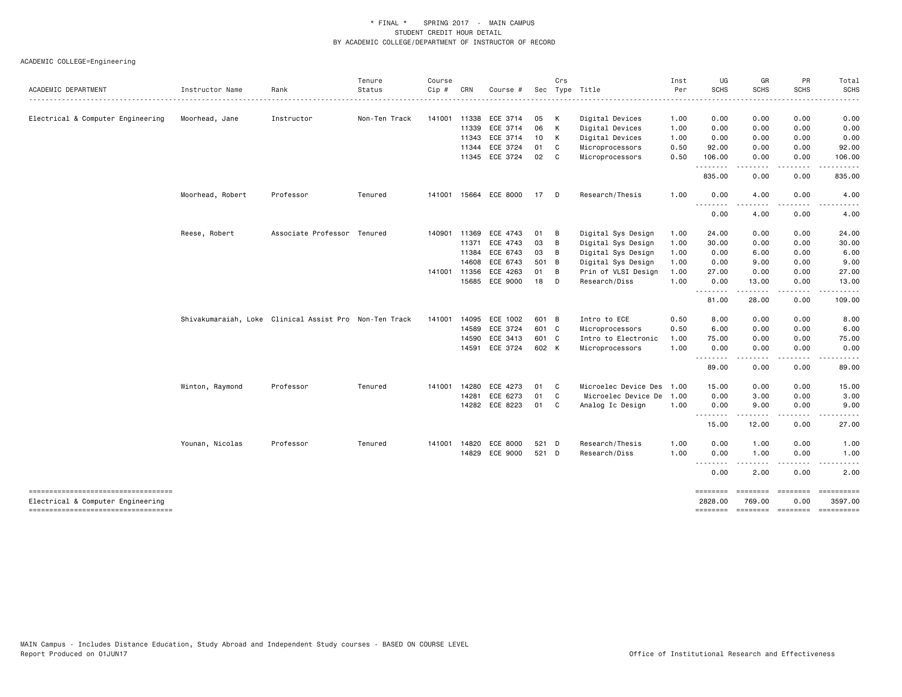| ACADEMIC DEPARTMENT                                                      | Instructor Name  | Rank                                                   | Tenure<br>Status | Course<br>Cip # | CRN   | Course #       |       | Crs | Sec Type Title           | Inst<br>Per | UG<br><b>SCHS</b> | GR<br><b>SCHS</b>                   | PR<br><b>SCHS</b>                                                                                                                 | Total<br><b>SCHS</b>  |
|--------------------------------------------------------------------------|------------------|--------------------------------------------------------|------------------|-----------------|-------|----------------|-------|-----|--------------------------|-------------|-------------------|-------------------------------------|-----------------------------------------------------------------------------------------------------------------------------------|-----------------------|
|                                                                          |                  |                                                        |                  |                 |       |                |       |     |                          |             |                   |                                     |                                                                                                                                   |                       |
| Electrical & Computer Engineering                                        | Moorhead, Jane   | Instructor                                             | Non-Ten Track    | 141001          | 11338 | ECE 3714       | 05    | K   | Digital Devices          | 1.00        | 0.00              | 0.00                                | 0.00                                                                                                                              | 0.00                  |
|                                                                          |                  |                                                        |                  |                 | 11339 | ECE 3714       | 06    | K   | Digital Devices          | 1.00        | 0.00              | 0.00                                | 0.00                                                                                                                              | 0.00                  |
|                                                                          |                  |                                                        |                  |                 | 11343 | ECE 3714       | 10    | K   | Digital Devices          | 1.00        | 0.00              | 0.00                                | 0.00                                                                                                                              | 0.00                  |
|                                                                          |                  |                                                        |                  |                 | 11344 | ECE 3724       | 01    | C   | Microprocessors          | 0.50        | 92.00             | 0.00                                | 0.00                                                                                                                              | 92.00                 |
|                                                                          |                  |                                                        |                  |                 | 11345 | ECE 3724       | 02    | C   | Microprocessors          | 0.50        | 106.00<br>.       | 0.00                                | 0.00<br>$\frac{1}{2} \left( \frac{1}{2} \right) \left( \frac{1}{2} \right) \left( \frac{1}{2} \right) \left( \frac{1}{2} \right)$ | 106.00<br>د د د د د   |
|                                                                          |                  |                                                        |                  |                 |       |                |       |     |                          |             | 835.00            | 0.00                                | 0.00                                                                                                                              | 835.00                |
|                                                                          | Moorhead, Robert | Professor                                              | Tenured          | 141001          |       | 15664 ECE 8000 | 17    | D   | Research/Thesis          | 1.00        | 0.00              | 4.00                                | 0.00                                                                                                                              | 4.00                  |
|                                                                          |                  |                                                        |                  |                 |       |                |       |     |                          |             | <u>.</u><br>0.00  | .<br>4.00                           | $\frac{1}{2}$<br>0.00                                                                                                             | .<br>4.00             |
|                                                                          | Reese, Robert    | Associate Professor Tenured                            |                  | 140901          | 11369 | ECE 4743       | 01    | B   | Digital Sys Design       | 1.00        | 24.00             | 0.00                                | 0.00                                                                                                                              | 24.00                 |
|                                                                          |                  |                                                        |                  |                 | 11371 | ECE 4743       | 03    | B   | Digital Sys Design       | 1.00        | 30.00             | 0.00                                | 0.00                                                                                                                              | 30.00                 |
|                                                                          |                  |                                                        |                  |                 | 11384 | ECE 6743       | 03    | B   | Digital Sys Design       | 1.00        | 0.00              | 6.00                                | 0.00                                                                                                                              | 6.00                  |
|                                                                          |                  |                                                        |                  |                 | 14608 | ECE 6743       | 501 B |     | Digital Sys Design       | 1.00        | 0.00              | 9.00                                | 0.00                                                                                                                              | 9.00                  |
|                                                                          |                  |                                                        |                  | 141001          | 11356 | ECE 4263       | 01    | B   | Prin of VLSI Design      | 1.00        | 27.00             | 0.00                                | 0.00                                                                                                                              | 27.00                 |
|                                                                          |                  |                                                        |                  |                 | 15685 | ECE 9000       | 18    | D   | Research/Diss            | 1.00        | 0.00<br>.         | 13.00<br>. <u>.</u>                 | 0.00<br><u>.</u>                                                                                                                  | 13.00<br>.            |
|                                                                          |                  |                                                        |                  |                 |       |                |       |     |                          |             | 81.00             | 28.00                               | 0.00                                                                                                                              | 109.00                |
|                                                                          |                  | Shivakumaraiah, Loke Clinical Assist Pro Non-Ten Track |                  | 141001          | 14095 | ECE 1002       | 601 B |     | Intro to ECE             | 0.50        | 8.00              | 0.00                                | 0.00                                                                                                                              | 8.00                  |
|                                                                          |                  |                                                        |                  |                 | 14589 | ECE 3724       | 601 C |     | Microprocessors          | 0.50        | 6.00              | 0.00                                | 0.00                                                                                                                              | 6.00                  |
|                                                                          |                  |                                                        |                  |                 | 14590 | ECE 3413       | 601 C |     | Intro to Electronic      | 1.00        | 75.00             | 0.00                                | 0.00                                                                                                                              | 75.00                 |
|                                                                          |                  |                                                        |                  |                 | 14591 | ECE 3724       | 602 K |     | Microprocessors          | 1.00        | 0.00<br>.         | 0.00<br>.                           | 0.00<br>$- - - -$                                                                                                                 | 0.00<br>-----         |
|                                                                          |                  |                                                        |                  |                 |       |                |       |     |                          |             | 89.00             | 0.00                                | 0.00                                                                                                                              | 89.00                 |
|                                                                          | Winton, Raymond  | Professor                                              | Tenured          | 141001          | 14280 | ECE 4273       | 01    | C   | Microelec Device Des     | 1.00        | 15.00             | 0.00                                | 0.00                                                                                                                              | 15.00                 |
|                                                                          |                  |                                                        |                  |                 | 14281 | ECE 6273       | 01    | C   | Microelec Device De 1.00 |             | 0.00              | 3.00                                | 0.00                                                                                                                              | 3.00                  |
|                                                                          |                  |                                                        |                  |                 | 14282 | ECE 8223       | 01    | C   | Analog Ic Design         | 1.00        | 0.00<br><u>.</u>  | 9.00                                | 0.00<br>$- - - -$                                                                                                                 | 9.00<br>-----         |
|                                                                          |                  |                                                        |                  |                 |       |                |       |     |                          |             | 15.00             | 12.00                               | 0.00                                                                                                                              | 27.00                 |
|                                                                          | Younan, Nicolas  | Professor                                              | Tenured          | 141001          | 14820 | ECE 8000       | 521 D |     | Research/Thesis          | 1.00        | 0.00              | 1.00                                | 0.00                                                                                                                              | 1.00                  |
|                                                                          |                  |                                                        |                  |                 | 14829 | ECE 9000       | 521 D |     | Research/Diss            | 1.00        | 0.00<br><u>.</u>  | 1.00                                | 0.00<br>.                                                                                                                         | 1.00<br>-----<br>$ -$ |
|                                                                          |                  |                                                        |                  |                 |       |                |       |     |                          |             | 0.00              | 2.00                                | 0.00                                                                                                                              | 2.00                  |
| ----------------------------------                                       |                  |                                                        |                  |                 |       |                |       |     |                          |             | ========          | ========                            | ========                                                                                                                          |                       |
| Electrical & Computer Engineering<br>----------------------------------- |                  |                                                        |                  |                 |       |                |       |     |                          |             | 2828.00           | 769.00<br>-------- -------- ------- | 0.00                                                                                                                              | 3597.00<br>========== |
|                                                                          |                  |                                                        |                  |                 |       |                |       |     |                          |             |                   |                                     |                                                                                                                                   |                       |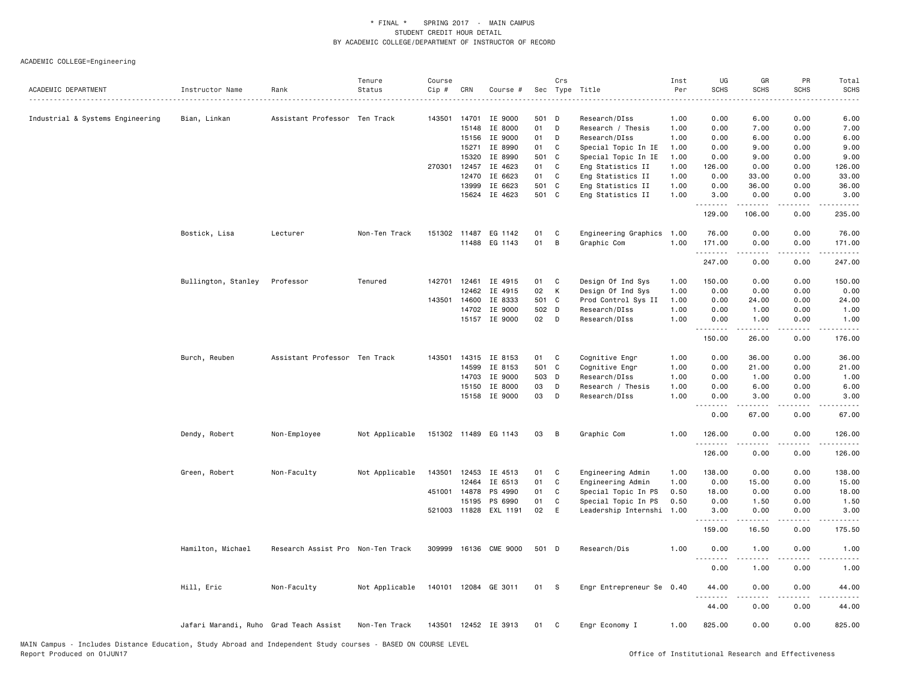| ACADEMIC DEPARTMENT                  | Instructor Name                        | Rank                              | Tenure<br>Status | Course<br>Cip # | CRN          | Course #             |       | Crs<br>Sec Type Title |                      | Inst<br>Per | UG<br><b>SCHS</b> | GR<br><b>SCHS</b>                                                                                                                                            | PR<br>SCHS                    | Total<br><b>SCHS</b>                                                                                                                                           |
|--------------------------------------|----------------------------------------|-----------------------------------|------------------|-----------------|--------------|----------------------|-------|-----------------------|----------------------|-------------|-------------------|--------------------------------------------------------------------------------------------------------------------------------------------------------------|-------------------------------|----------------------------------------------------------------------------------------------------------------------------------------------------------------|
| ------------------------------------ |                                        |                                   |                  |                 |              |                      |       |                       |                      |             |                   |                                                                                                                                                              |                               |                                                                                                                                                                |
| Industrial & Systems Engineering     | Bian, Linkan                           | Assistant Professor Ten Track     |                  | 143501          | 14701        | IE 9000              | 501 D |                       | Research/DIss        | 1.00        | 0.00              | 6.00                                                                                                                                                         | 0.00                          | 6.00                                                                                                                                                           |
|                                      |                                        |                                   |                  |                 | 15148        | IE 8000              | 01    | D                     | Research / Thesis    | 1.00        | 0.00              | 7.00                                                                                                                                                         | 0.00                          | 7.00                                                                                                                                                           |
|                                      |                                        |                                   |                  |                 | 15156        | IE 9000              | 01    | D                     | Research/DIss        | 1.00        | 0.00              | 6.00                                                                                                                                                         | 0.00                          | 6.00                                                                                                                                                           |
|                                      |                                        |                                   |                  |                 | 15271        | IE 8990              | 01    | C                     | Special Topic In IE  | 1.00        | 0.00              | 9.00                                                                                                                                                         | 0.00                          | 9.00                                                                                                                                                           |
|                                      |                                        |                                   |                  |                 | 15320        | IE 8990              | 501 C |                       | Special Topic In IE  | 1.00        | 0.00              | 9.00                                                                                                                                                         | 0.00                          | 9.00                                                                                                                                                           |
|                                      |                                        |                                   |                  | 270301          | 12457        | IE 4623              | 01    | C                     | Eng Statistics II    | 1.00        | 126.00            | 0.00                                                                                                                                                         | 0.00                          | 126.00                                                                                                                                                         |
|                                      |                                        |                                   |                  |                 | 12470        | IE 6623              | 01    | C                     | Eng Statistics II    | 1.00        | 0.00              | 33.00                                                                                                                                                        | 0.00                          | 33.00                                                                                                                                                          |
|                                      |                                        |                                   |                  |                 | 13999        | IE 6623              | 501 C |                       | Eng Statistics II    | 1.00        | 0.00              | 36.00                                                                                                                                                        | 0.00                          | 36.00                                                                                                                                                          |
|                                      |                                        |                                   |                  |                 | 15624        | IE 4623              | 501 C |                       | Eng Statistics II    | 1.00        | 3.00<br>.         | 0.00                                                                                                                                                         | 0.00                          | 3.00                                                                                                                                                           |
|                                      |                                        |                                   |                  |                 |              |                      |       |                       |                      |             | 129.00            | 106.00                                                                                                                                                       | 0.00                          | 235.00                                                                                                                                                         |
|                                      | Bostick, Lisa                          | Lecturer                          | Non-Ten Track    |                 | 151302 11487 | EG 1142              | 01    | C                     | Engineering Graphics | 1.00        | 76.00             | 0.00                                                                                                                                                         | 0.00                          | 76.00                                                                                                                                                          |
|                                      |                                        |                                   |                  |                 | 11488        | EG 1143              | 01    | B                     | Graphic Com          | 1.00        | 171.00            | 0.00                                                                                                                                                         | 0.00                          | 171.00                                                                                                                                                         |
|                                      |                                        |                                   |                  |                 |              |                      |       |                       |                      |             | .                 |                                                                                                                                                              | $- - - -$                     | $\frac{1}{2} \left( \frac{1}{2} \right) \left( \frac{1}{2} \right) \left( \frac{1}{2} \right) \left( \frac{1}{2} \right) \left( \frac{1}{2} \right)$<br>247.00 |
|                                      |                                        |                                   |                  |                 |              |                      |       |                       |                      |             | 247.00            | 0.00                                                                                                                                                         | 0.00                          |                                                                                                                                                                |
|                                      | Bullington, Stanley                    | Professor                         | Tenured          | 142701 12461    |              | IE 4915              | 01    | C                     | Design Of Ind Sys    | 1.00        | 150.00            | 0.00                                                                                                                                                         | 0.00                          | 150.00                                                                                                                                                         |
|                                      |                                        |                                   |                  |                 | 12462        | IE 4915              | 02    | К                     | Design Of Ind Sys    | 1.00        | 0.00              | 0.00                                                                                                                                                         | 0.00                          | 0.00                                                                                                                                                           |
|                                      |                                        |                                   |                  | 143501          | 14600        | IE 8333              | 501 C |                       | Prod Control Sys II  | 1.00        | 0.00              | 24.00                                                                                                                                                        | 0.00                          | 24.00                                                                                                                                                          |
|                                      |                                        |                                   |                  |                 | 14702        | IE 9000              | 502 D |                       | Research/DIss        | 1.00        | 0.00              | 1.00                                                                                                                                                         | 0.00                          | 1.00                                                                                                                                                           |
|                                      |                                        |                                   |                  |                 |              | 15157 IE 9000        | 02    | $\Box$                | Research/DIss        | 1.00        | 0.00<br>.         | 1.00                                                                                                                                                         | 0.00                          | 1.00                                                                                                                                                           |
|                                      |                                        |                                   |                  |                 |              |                      |       |                       |                      |             | 150.00            | 26.00                                                                                                                                                        | 0.00                          | 176.00                                                                                                                                                         |
|                                      | Burch, Reuben                          | Assistant Professor Ten Track     |                  |                 |              | 143501 14315 IE 8153 | 01    | C                     | Cognitive Engr       | 1.00        | 0.00              | 36.00                                                                                                                                                        | 0.00                          | 36.00                                                                                                                                                          |
|                                      |                                        |                                   |                  |                 | 14599        | IE 8153              | 501 C |                       | Cognitive Engr       | 1.00        | 0.00              | 21.00                                                                                                                                                        | 0.00                          | 21.00                                                                                                                                                          |
|                                      |                                        |                                   |                  |                 | 14703        | IE 9000              | 503 D |                       | Research/DIss        | 1.00        | 0.00              | 1.00                                                                                                                                                         | 0.00                          | 1.00                                                                                                                                                           |
|                                      |                                        |                                   |                  |                 | 15150        | IE 8000              | 03    | D                     | Research / Thesis    | 1.00        | 0.00              | 6.00                                                                                                                                                         | 0.00                          | 6.00                                                                                                                                                           |
|                                      |                                        |                                   |                  |                 | 15158        | IE 9000              | 03    | D                     | Research/DIss        | 1.00        | 0.00<br><u>.</u>  | 3.00<br>$\frac{1}{2}$                                                                                                                                        | 0.00<br>.                     | 3.00<br>$\sim$ $\sim$ $\sim$ $\sim$                                                                                                                            |
|                                      |                                        |                                   |                  |                 |              |                      |       |                       |                      |             | 0.00              | 67.00                                                                                                                                                        | 0.00                          | 67.00                                                                                                                                                          |
|                                      | Dendy, Robert                          | Non-Employee                      | Not Applicable   |                 |              | 151302 11489 EG 1143 | 03    | B                     | Graphic Com          | 1.00        | 126.00<br>.       | 0.00<br>.                                                                                                                                                    | 0.00<br>.                     | 126.00<br>$\frac{1}{2} \left( \frac{1}{2} \right) \left( \frac{1}{2} \right) \left( \frac{1}{2} \right) \left( \frac{1}{2} \right) \left( \frac{1}{2} \right)$ |
|                                      |                                        |                                   |                  |                 |              |                      |       |                       |                      |             | 126.00            | 0.00                                                                                                                                                         | 0.00                          | 126.00                                                                                                                                                         |
|                                      | Green, Robert                          | Non-Faculty                       | Not Applicable   | 143501          | 12453        | IE 4513              | 01    | C                     | Engineering Admin    | 1.00        | 138,00            | 0.00                                                                                                                                                         | 0.00                          | 138.00                                                                                                                                                         |
|                                      |                                        |                                   |                  |                 | 12464        | IE 6513              | 01    | C                     | Engineering Admin    | 1.00        | 0.00              | 15.00                                                                                                                                                        | 0.00                          | 15.00                                                                                                                                                          |
|                                      |                                        |                                   |                  | 451001 14878    |              | PS 4990              | 01    | C                     | Special Topic In PS  | 0.50        | 18.00             | 0.00                                                                                                                                                         | 0.00                          | 18.00                                                                                                                                                          |
|                                      |                                        |                                   |                  |                 | 15195        | PS 6990              | 01    | C                     | Special Topic In PS  | 0.50        | 0.00              | 1.50                                                                                                                                                         | 0.00                          | 1.50                                                                                                                                                           |
|                                      |                                        |                                   |                  |                 | 521003 11828 | EXL 1191             | 02    | E                     | Leadership Internshi | 1.00        | 3.00<br>.         | 0.00<br>$\frac{1}{2} \left( \frac{1}{2} \right) \left( \frac{1}{2} \right) \left( \frac{1}{2} \right) \left( \frac{1}{2} \right) \left( \frac{1}{2} \right)$ | 0.00<br>$\omega$ and $\omega$ | 3.00<br>.                                                                                                                                                      |
|                                      |                                        |                                   |                  |                 |              |                      |       |                       |                      |             | 159.00            | 16.50                                                                                                                                                        | 0.00                          | 175.50                                                                                                                                                         |
|                                      | Hamilton, Michael                      | Research Assist Pro Non-Ten Track |                  | 309999          |              | 16136 CME 9000       | 501 D |                       | Research/Dis         | 1.00        | 0.00<br>- - - - - | 1.00<br>-----                                                                                                                                                | 0.00<br>$- - - -$             | 1.00<br>$\frac{1}{2} \left( \frac{1}{2} \right) \left( \frac{1}{2} \right) \left( \frac{1}{2} \right) \left( \frac{1}{2} \right)$                              |
|                                      |                                        |                                   |                  |                 |              |                      |       |                       |                      |             | 0.00              | 1.00                                                                                                                                                         | 0.00                          | 1.00                                                                                                                                                           |
|                                      | Hill, Eric                             | Non-Faculty                       | Not Applicable   | 140101          | 12084        | GE 3011              | 01    | - S                   | Engr Entrepreneur Se | 0.40        | 44.00             | 0.00                                                                                                                                                         | 0.00                          | 44.00                                                                                                                                                          |
|                                      |                                        |                                   |                  |                 |              |                      |       |                       |                      |             | - - -<br>44.00    | 0.00                                                                                                                                                         | 0.00                          | 44.00                                                                                                                                                          |
|                                      | Jafari Marandi, Ruho Grad Teach Assist |                                   | Non-Ten Track    |                 |              | 143501 12452 IE 3913 | 01    | <b>C</b>              | Engr Economy I       | 1.00        | 825.00            | 0.00                                                                                                                                                         | 0.00                          | 825.00                                                                                                                                                         |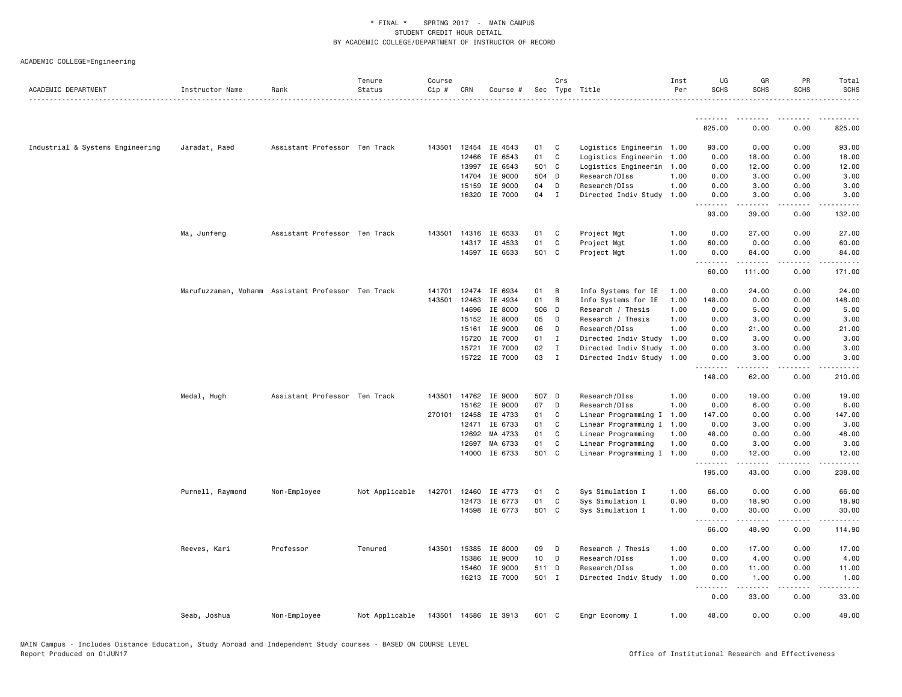|                                  |                  |                                                    | Tenure         | Course |              |                          |             | Crs          |                                                 | Inst<br>Per | UG<br><b>SCHS</b>    | GR<br><b>SCHS</b>   | PR<br><b>SCHS</b>     | Total<br><b>SCHS</b> |
|----------------------------------|------------------|----------------------------------------------------|----------------|--------|--------------|--------------------------|-------------|--------------|-------------------------------------------------|-------------|----------------------|---------------------|-----------------------|----------------------|
| ACADEMIC DEPARTMENT              | Instructor Name  | Rank                                               | Status         | Cip #  | CRN          | Course #                 |             |              | Sec Type Title                                  |             |                      |                     |                       | .                    |
|                                  |                  |                                                    |                |        |              |                          |             |              |                                                 |             | <u>.</u> .<br>825.00 | <b></b><br>0.00     | .<br>0.00             | .<br>825.00          |
|                                  |                  |                                                    |                |        |              |                          |             |              |                                                 |             |                      |                     |                       |                      |
| Industrial & Systems Engineering | Jaradat, Raed    | Assistant Professor Ten Track                      |                |        |              | 143501 12454 IE 4543     | 01          | C            | Logistics Engineerin 1.00                       |             | 93.00                | 0.00                | 0.00                  | 93.00                |
|                                  |                  |                                                    |                |        | 12466        | IE 6543                  | 01          | C            | Logistics Engineerin                            | 1.00        | 0.00                 | 18.00               | 0.00                  | 18.00                |
|                                  |                  |                                                    |                |        | 13997        | IE 6543                  | 501 C       |              | Logistics Engineerin 1.00                       |             | 0.00                 | 12.00               | 0.00                  | 12.00                |
|                                  |                  |                                                    |                |        | 14704        | IE 9000                  | 504 D       |              | Research/DIss                                   | 1.00        | 0.00                 | 3.00                | 0.00                  | 3.00                 |
|                                  |                  |                                                    |                |        | 15159        | IE 9000                  | 04          | D            | Research/DIss                                   | 1.00        | 0.00                 | 3.00                | 0.00                  | 3.00                 |
|                                  |                  |                                                    |                |        |              | 16320 IE 7000            | 04          | $\mathbf{I}$ | Directed Indiv Study                            | 1.00        | 0.00<br>.            | 3.00<br>.           | 0.00<br>.             | 3.00<br><u>.</u>     |
|                                  |                  |                                                    |                |        |              |                          |             |              |                                                 |             | 93.00                | 39.00               | 0.00                  | 132.00               |
|                                  | Ma, Junfeng      | Assistant Professor Ten Track                      |                | 143501 |              | 14316 IE 6533            | 01          | C            | Project Mgt                                     | 1.00        | 0.00                 | 27.00               | 0.00                  | 27.00                |
|                                  |                  |                                                    |                |        |              | 14317 IE 4533            | 01          | C            | Project Mgt                                     | 1.00        | 60.00                | 0.00                | 0.00                  | 60.00                |
|                                  |                  |                                                    |                |        |              | 14597 IE 6533            | 501 C       |              | Project Mgt                                     | 1.00        | 0.00<br>.            | 84.00<br>.          | 0.00<br>.             | 84.00<br>.           |
|                                  |                  |                                                    |                |        |              |                          |             |              |                                                 |             | 60.00                | 111.00              | 0.00                  | 171.00               |
|                                  |                  | Marufuzzaman, Mohamm Assistant Professor Ten Track |                | 141701 | 12474        | IE 6934                  | 01          | B            | Info Systems for IE                             | 1.00        | 0.00                 | 24.00               | 0.00                  | 24.00                |
|                                  |                  |                                                    |                | 143501 | 12463        | IE 4934                  | 01          | B            | Info Systems for IE                             | 1.00        | 148.00               | 0.00                | 0.00                  | 148.00               |
|                                  |                  |                                                    |                |        | 14696        | IE 8000                  | 506 D       |              | Research / Thesis                               | 1.00        | 0.00                 | 5.00                | 0.00                  | 5.00                 |
|                                  |                  |                                                    |                |        | 15152        | IE 8000                  | 05          | D            | Research / Thesis                               | 1.00        | 0.00                 | 3.00                | 0.00                  | 3.00                 |
|                                  |                  |                                                    |                |        | 15161        | IE 9000                  | 06          | D            | Research/DIss                                   | 1.00        | 0.00                 | 21.00               | 0.00                  | 21.00                |
|                                  |                  |                                                    |                |        | 15720        | IE 7000                  | 01          | $\mathbf{I}$ | Directed Indiv Study                            | 1.00        | 0.00                 | 3.00                | 0.00                  | 3.00                 |
|                                  |                  |                                                    |                |        | 15721        | IE 7000                  | 02          | $\mathbf{I}$ | Directed Indiv Study                            | 1.00        | 0.00                 | 3.00                | 0.00                  | 3.00                 |
|                                  |                  |                                                    |                |        |              | 15722 IE 7000            | 03          | $\mathbf{I}$ | Directed Indiv Study 1.00                       |             | 0.00<br>.            | 3.00<br>$- - - - -$ | 0.00<br>$\frac{1}{2}$ | 3.00<br>.            |
|                                  |                  |                                                    |                |        |              |                          |             |              |                                                 |             | 148.00               | 62.00               | 0.00                  | 210.00               |
|                                  | Medal, Hugh      | Assistant Professor Ten Track                      |                |        |              | 143501 14762 IE 9000     | 507 D       |              | Research/DIss                                   | 1.00        | 0.00                 | 19.00               | 0.00                  | 19.00                |
|                                  |                  |                                                    |                |        | 15162        | IE 9000                  | 07          | D            | Research/DIss                                   | 1.00        | 0.00                 | 6.00                | 0.00                  | 6.00                 |
|                                  |                  |                                                    |                |        | 270101 12458 | IE 4733                  | 01          | C            | Linear Programming I                            | 1.00        | 147.00               | 0.00                | 0.00                  | 147.00               |
|                                  |                  |                                                    |                |        | 12471        | IE 6733                  | 01          | C            | Linear Programming I                            | 1.00        | 0.00                 | 3.00                | 0.00                  | 3.00                 |
|                                  |                  |                                                    |                |        | 12692        | MA 4733                  | 01          | C            | Linear Programming                              | 1.00        | 48.00                | 0.00                | 0.00                  | 48.00                |
|                                  |                  |                                                    |                |        | 12697        | MA 6733<br>14000 IE 6733 | 01<br>501 C | C            | Linear Programming<br>Linear Programming I 1.00 | 1.00        | 0.00<br>0.00         | 3.00<br>12.00       | 0.00<br>0.00          | 3.00<br>12.00        |
|                                  |                  |                                                    |                |        |              |                          |             |              |                                                 |             | .<br>195.00          | 43.00               | 0.00                  | 238.00               |
|                                  | Purnell, Raymond |                                                    | Not Applicable |        | 142701 12460 | IE 4773                  | 01          | C            |                                                 | 1.00        | 66.00                | 0.00                | 0.00                  | 66.00                |
|                                  |                  | Non-Employee                                       |                |        |              | 12473 IE 6773            | 01          | C            | Sys Simulation I<br>Sys Simulation I            | 0.90        | 0.00                 | 18.90               | 0.00                  | 18.90                |
|                                  |                  |                                                    |                |        | 14598        | IE 6773                  | 501 C       |              | Sys Simulation I                                | 1.00        | 0.00                 | 30.00               | 0.00                  | 30.00                |
|                                  |                  |                                                    |                |        |              |                          |             |              |                                                 |             | .                    | .                   | $- - - -$             |                      |
|                                  |                  |                                                    |                |        |              |                          |             |              |                                                 |             | 66.00                | 48.90               | 0.00                  | 114.90               |
|                                  | Reeves, Kari     | Professor                                          | Tenured        |        | 143501 15385 | IE 8000                  | 09          | D            | Research / Thesis                               | 1.00        | 0.00                 | 17.00               | 0.00                  | 17.00                |
|                                  |                  |                                                    |                |        | 15386        | IE 9000                  | 10          | D            | Research/DIss                                   | 1.00        | 0.00                 | 4.00                | 0.00                  | 4.00                 |
|                                  |                  |                                                    |                |        | 15460        | IE 9000                  | 511 D       |              | Research/DIss                                   | 1.00        | 0.00                 | 11.00               | 0.00                  | 11.00                |
|                                  |                  |                                                    |                |        |              | 16213 IE 7000            | 501 I       |              | Directed Indiv Study                            | 1.00        | 0.00<br>.            | 1.00<br>.           | 0.00<br>.             | 1.00<br>.            |
|                                  |                  |                                                    |                |        |              |                          |             |              |                                                 |             | 0.00                 | 33.00               | 0.00                  | 33.00                |
|                                  | Seab, Joshua     | Non-Employee                                       | Not Applicable |        |              | 143501 14586 IE 3913     | 601 C       |              | Engr Economy I                                  | 1.00        | 48.00                | 0.00                | 0.00                  | 48.00                |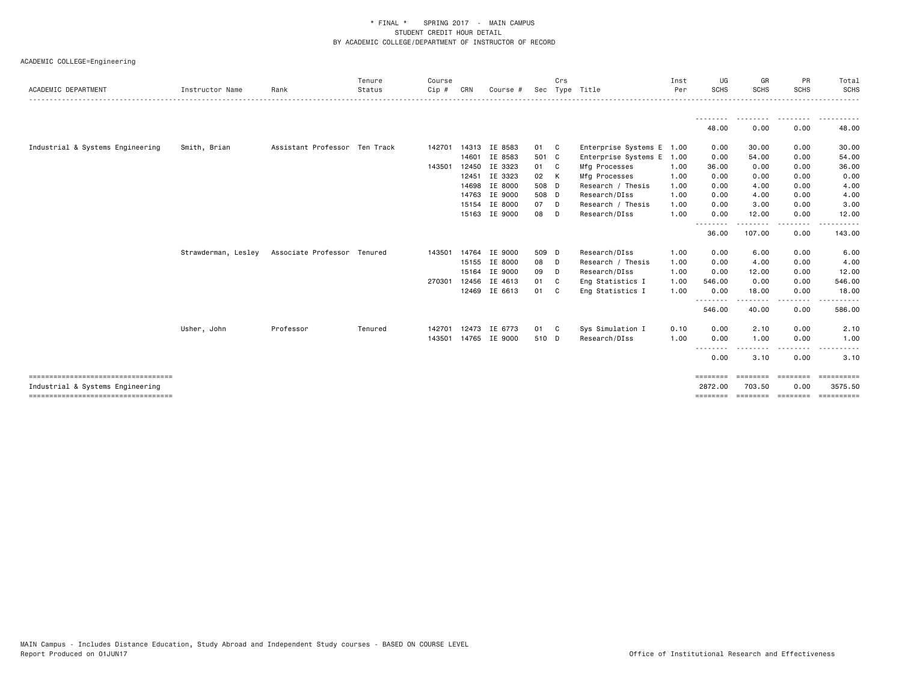| ACADEMIC DEPARTMENT                   | Instructor Name     | Rank                          | Tenure<br>Status | Course<br>Cip # | CRN   | Course #      |       | Crs | Sec Type Title            | Inst<br>Per | UG<br>SCHS              | GR<br><b>SCHS</b>   | <b>PR</b><br><b>SCHS</b> | Total<br><b>SCHS</b> |
|---------------------------------------|---------------------|-------------------------------|------------------|-----------------|-------|---------------|-------|-----|---------------------------|-------------|-------------------------|---------------------|--------------------------|----------------------|
|                                       |                     |                               |                  |                 |       |               |       |     |                           |             |                         |                     |                          |                      |
|                                       |                     |                               |                  |                 |       |               |       |     |                           |             | 48.00                   | 0.00                | .<br>0.00                | .<br>48.00           |
| Industrial & Systems Engineering      | Smith, Brian        | Assistant Professor Ten Track |                  | 142701          |       | 14313 IE 8583 | 01 C  |     | Enterprise Systems E 1.00 |             | 0.00                    | 30.00               | 0.00                     | 30.00                |
|                                       |                     |                               |                  |                 | 14601 | IE 8583       | 501 C |     | Enterprise Systems E      | 1.00        | 0.00                    | 54.00               | 0.00                     | 54.00                |
|                                       |                     |                               |                  | 143501 12450    |       | IE 3323       | 01 C  |     | Mfg Processes             | 1.00        | 36.00                   | 0.00                | 0.00                     | 36.00                |
|                                       |                     |                               |                  |                 | 12451 | IE 3323       | 02 K  |     | Mfg Processes             | 1.00        | 0.00                    | 0.00                | 0.00                     | 0.00                 |
|                                       |                     |                               |                  |                 | 14698 | IE 8000       | 508 D |     | Research / Thesis         | 1.00        | 0.00                    | 4.00                | 0.00                     | 4.00                 |
|                                       |                     |                               |                  |                 | 14763 | IE 9000       | 508 D |     | Research/DIss             | 1.00        | 0.00                    | 4.00                | 0.00                     | 4.00                 |
|                                       |                     |                               |                  |                 | 15154 | IE 8000       | 07    | D   | Research / Thesis         | 1.00        | 0.00                    | 3.00                | 0.00                     | 3.00                 |
|                                       |                     |                               |                  |                 |       | 15163 IE 9000 | 08    | D   | Research/DIss             | 1.00        | 0.00                    | 12.00               | 0.00                     | 12.00                |
|                                       |                     |                               |                  |                 |       |               |       |     |                           |             | <u>.</u><br>36.00       | ---------<br>107.00 | <u>.</u><br>0.00         | .<br>143.00          |
|                                       | Strawderman, Lesley | Associate Professor Tenured   |                  | 143501          | 14764 | IE 9000       | 509 D |     | Research/DIss             | 1.00        | 0.00                    | 6.00                | 0.00                     | 6.00                 |
|                                       |                     |                               |                  |                 | 15155 | IE 8000       | 08    | D   | Research / Thesis         | 1.00        | 0.00                    | 4.00                | 0.00                     | 4.00                 |
|                                       |                     |                               |                  |                 | 15164 | IE 9000       | 09    | D   | Research/DIss             | 1.00        | 0.00                    | 12.00               | 0.00                     | 12.00                |
|                                       |                     |                               |                  | 270301          | 12456 | IE 4613       | 01    | - C | Eng Statistics I          | 1.00        | 546.00                  | 0.00                | 0.00                     | 546.00               |
|                                       |                     |                               |                  |                 |       | 12469 IE 6613 | 01    | - C | Eng Statistics I          | 1.00        | 0.00                    | 18.00               | 0.00                     | 18.00                |
|                                       |                     |                               |                  |                 |       |               |       |     |                           |             | 546.00                  | 40.00               | 0.00                     | 586.00               |
|                                       | Usher, John         | Professor                     | Tenured          | 142701          | 12473 | IE 6773       | 01    | - C | Sys Simulation I          | 0.10        | 0.00                    | 2.10                | 0.00                     | 2.10                 |
|                                       |                     |                               |                  | 143501          |       | 14765 IE 9000 | 510 D |     | Research/DIss             | 1.00        | 0.00                    | 1.00                | 0.00                     | 1.00                 |
|                                       |                     |                               |                  |                 |       |               |       |     |                           |             | - - - - - - - -<br>0.00 | -----<br>3.10       | .<br>0.00                | 3.10                 |
| ===================================== |                     |                               |                  |                 |       |               |       |     |                           |             | ========                | ========            | ========                 | ==========           |
| Industrial & Systems Engineering      |                     |                               |                  |                 |       |               |       |     |                           |             | 2872.00                 | 703.50              | 0.00                     | 3575.50              |
| ------------------------------------  |                     |                               |                  |                 |       |               |       |     |                           |             | ========                | ========            | ========                 | ==========           |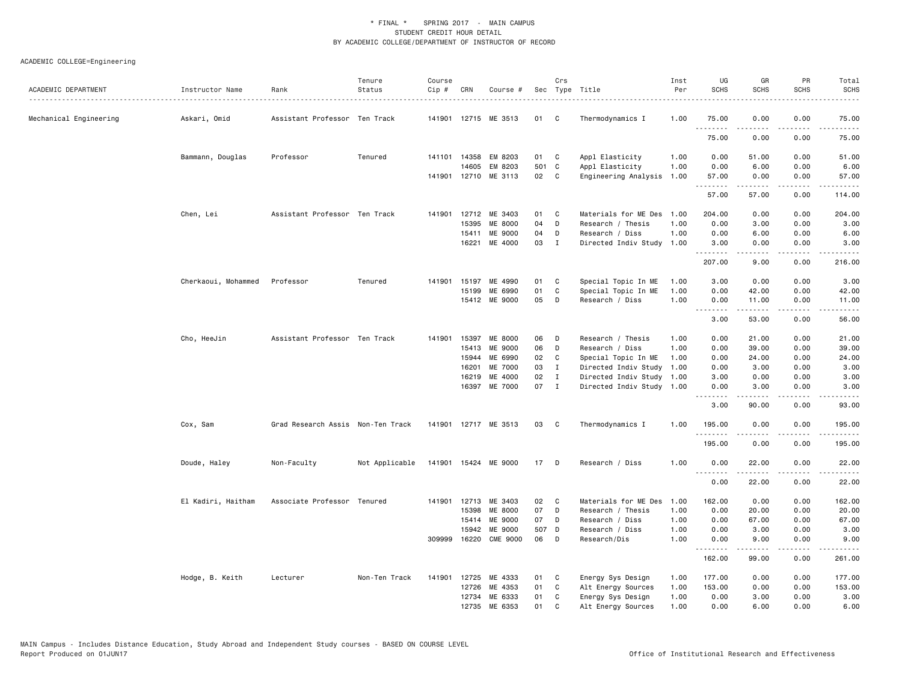| ACADEMIC DEPARTMENT    | Instructor Name     | Rank                              | Tenure<br>Status | Course<br>Cip # | CRN   | Course #             |       | Crs          | Sec Type Title            | Inst<br>Per | UG<br><b>SCHS</b>                   | GR<br><b>SCHS</b> | PR<br><b>SCHS</b>                                                                                                                 | Total<br><b>SCHS</b>                                                                                                                                          |
|------------------------|---------------------|-----------------------------------|------------------|-----------------|-------|----------------------|-------|--------------|---------------------------|-------------|-------------------------------------|-------------------|-----------------------------------------------------------------------------------------------------------------------------------|---------------------------------------------------------------------------------------------------------------------------------------------------------------|
|                        |                     |                                   |                  |                 |       |                      |       |              |                           |             |                                     |                   |                                                                                                                                   | .                                                                                                                                                             |
| Mechanical Engineering | Askari, Omid        | Assistant Professor Ten Track     |                  |                 |       | 141901 12715 ME 3513 | 01    | C            | Thermodynamics I          | 1.00        | 75.00<br>.                          | 0.00<br><b>.</b>  | 0.00<br>$   -$                                                                                                                    | 75.00<br>.                                                                                                                                                    |
|                        |                     |                                   |                  |                 |       |                      |       |              |                           |             | 75.00                               | 0.00              | 0.00                                                                                                                              | 75.00                                                                                                                                                         |
|                        | Bammann, Douglas    | Professor                         | Tenured          |                 |       | 141101 14358 EM 8203 | 01 C  |              | Appl Elasticity           | 1.00        | 0.00                                | 51.00             | 0.00                                                                                                                              | 51.00                                                                                                                                                         |
|                        |                     |                                   |                  |                 | 14605 | EM 8203              | 501 C |              | Appl Elasticity           | 1.00        | 0.00                                | 6.00              | 0.00                                                                                                                              | 6.00                                                                                                                                                          |
|                        |                     |                                   |                  |                 |       | 141901 12710 ME 3113 | 02    | $\mathbf{C}$ | Engineering Analysis 1.00 |             | 57.00<br>.                          | 0.00<br>.         | 0.00<br>د د د د                                                                                                                   | 57.00<br>.                                                                                                                                                    |
|                        |                     |                                   |                  |                 |       |                      |       |              |                           |             | 57.00                               | 57.00             | 0.00                                                                                                                              | 114.00                                                                                                                                                        |
|                        | Chen, Lei           | Assistant Professor Ten Track     |                  |                 |       | 141901 12712 ME 3403 | 01    | C            | Materials for ME Des      | 1.00        | 204.00                              | 0.00              | 0.00                                                                                                                              | 204.00                                                                                                                                                        |
|                        |                     |                                   |                  |                 | 15395 | <b>ME 8000</b>       | 04    | D            | Research / Thesis         | 1.00        | 0.00                                | 3.00              | 0.00                                                                                                                              | 3.00                                                                                                                                                          |
|                        |                     |                                   |                  |                 | 15411 | ME 9000              | 04    | D            | Research / Diss           | 1.00        | 0.00                                | 6.00              | 0.00                                                                                                                              | 6.00                                                                                                                                                          |
|                        |                     |                                   |                  |                 | 16221 | ME 4000              | 03    | $\mathbf{I}$ | Directed Indiv Study 1.00 |             | 3.00<br>.                           | 0.00<br>.         | 0.00<br>د د د د                                                                                                                   | 3.00<br>.                                                                                                                                                     |
|                        |                     |                                   |                  |                 |       |                      |       |              |                           |             | 207.00                              | 9.00              | 0.00                                                                                                                              | 216.00                                                                                                                                                        |
|                        | Cherkaoui, Mohammed | Professor                         | Tenured          | 141901          | 15197 | ME 4990              | 01    | C            | Special Topic In ME       | 1.00        | 3.00                                | 0.00              | 0.00                                                                                                                              | 3.00                                                                                                                                                          |
|                        |                     |                                   |                  |                 | 15199 | ME 6990              | 01    | C            | Special Topic In ME       | 1.00        | 0.00                                | 42.00             | 0.00                                                                                                                              | 42.00                                                                                                                                                         |
|                        |                     |                                   |                  |                 |       | 15412 ME 9000        | 05    | D            | Research / Diss           | 1.00        | 0.00                                | 11.00             | 0.00                                                                                                                              | 11.00                                                                                                                                                         |
|                        |                     |                                   |                  |                 |       |                      |       |              |                           |             | .<br>3.00                           | .<br>53.00        | .<br>0.00                                                                                                                         | .<br>56.00                                                                                                                                                    |
|                        | Cho, HeeJin         | Assistant Professor Ten Track     |                  | 141901          | 15397 | <b>ME 8000</b>       | 06    | D            | Research / Thesis         | 1.00        | 0.00                                | 21.00             | 0.00                                                                                                                              | 21.00                                                                                                                                                         |
|                        |                     |                                   |                  |                 | 15413 | ME 9000              | 06    | D            | Research / Diss           | 1.00        | 0.00                                | 39.00             | 0.00                                                                                                                              | 39.00                                                                                                                                                         |
|                        |                     |                                   |                  |                 | 15944 | ME 6990              | 02    | C            | Special Topic In ME       | 1.00        | 0.00                                | 24.00             | 0.00                                                                                                                              | 24.00                                                                                                                                                         |
|                        |                     |                                   |                  |                 | 16201 | ME 7000              | 03    | $\mathbf I$  | Directed Indiv Study      | 1.00        | 0.00                                | 3.00              | 0.00                                                                                                                              | 3.00                                                                                                                                                          |
|                        |                     |                                   |                  |                 | 16219 | ME 4000              | 02    | $\mathbf{I}$ | Directed Indiv Study      | 1.00        | 3.00                                | 0.00              | 0.00                                                                                                                              | 3.00                                                                                                                                                          |
|                        |                     |                                   |                  |                 |       | 16397 ME 7000        | 07    | $\mathbf{I}$ | Directed Indiv Study 1.00 |             | 0.00                                | 3.00              | 0.00                                                                                                                              | 3.00                                                                                                                                                          |
|                        |                     |                                   |                  |                 |       |                      |       |              |                           |             | .<br>3.00                           | -----<br>90.00    | الداعات<br>0.00                                                                                                                   | $\frac{1}{2} \left( \frac{1}{2} \right) \left( \frac{1}{2} \right) \left( \frac{1}{2} \right) \left( \frac{1}{2} \right) \left( \frac{1}{2} \right)$<br>93.00 |
|                        | Cox, Sam            | Grad Research Assis Non-Ten Track |                  |                 |       | 141901 12717 ME 3513 | 03    | C            | Thermodynamics I          | 1.00        | 195.00                              | 0.00              | 0.00                                                                                                                              | 195.00                                                                                                                                                        |
|                        |                     |                                   |                  |                 |       |                      |       |              |                           |             | .<br>195.00                         | 0.00              | .<br>0.00                                                                                                                         | .<br>195.00                                                                                                                                                   |
|                        | Doude, Haley        | Non-Faculty                       | Not Applicable   |                 |       | 141901 15424 ME 9000 | 17    | D            | Research / Diss           | 1.00        | 0.00                                | 22.00             | 0.00                                                                                                                              | 22.00                                                                                                                                                         |
|                        |                     |                                   |                  |                 |       |                      |       |              |                           |             | $\sim$ $\sim$ $\sim$ $\sim$<br>0.00 | 22.00             | $\frac{1}{2} \left( \frac{1}{2} \right) \left( \frac{1}{2} \right) \left( \frac{1}{2} \right) \left( \frac{1}{2} \right)$<br>0.00 | 22.00                                                                                                                                                         |
|                        | El Kadiri, Haitham  | Associate Professor Tenured       |                  |                 |       | 141901 12713 ME 3403 | 02    | C            | Materials for ME Des      | 1.00        | 162.00                              | 0.00              | 0.00                                                                                                                              | 162.00                                                                                                                                                        |
|                        |                     |                                   |                  |                 | 15398 | ME 8000              | 07    | D            | Research / Thesis         | 1.00        | 0.00                                | 20.00             | 0.00                                                                                                                              | 20.00                                                                                                                                                         |
|                        |                     |                                   |                  |                 | 15414 | ME 9000              | 07    | D            | Research / Diss           | 1.00        | 0.00                                | 67.00             | 0.00                                                                                                                              | 67.00                                                                                                                                                         |
|                        |                     |                                   |                  |                 | 15942 | ME 9000              | 507 D |              | Research / Diss           | 1.00        | 0.00                                | 3.00              | 0.00                                                                                                                              | 3.00                                                                                                                                                          |
|                        |                     |                                   |                  | 309999          |       | 16220 CME 9000       | 06    | D            | Research/Dis              | 1.00        | 0.00                                | 9.00              | 0.00                                                                                                                              | 9.00                                                                                                                                                          |
|                        |                     |                                   |                  |                 |       |                      |       |              |                           |             | .<br>162.00                         | 99.00             | 0.00                                                                                                                              | 261.00                                                                                                                                                        |
|                        | Hodge, B. Keith     | Lecturer                          | Non-Ten Track    | 141901          | 12725 | ME 4333              | 01    | C            | Energy Sys Design         | 1.00        | 177.00                              | 0.00              | 0.00                                                                                                                              | 177.00                                                                                                                                                        |
|                        |                     |                                   |                  |                 | 12726 | ME 4353              | 01    | C            | Alt Energy Sources        | 1.00        | 153.00                              | 0.00              | 0.00                                                                                                                              | 153.00                                                                                                                                                        |
|                        |                     |                                   |                  |                 |       | 12734 ME 6333        | 01    | C            | Energy Sys Design         | 1.00        | 0.00                                | 3.00              | 0.00                                                                                                                              | 3.00                                                                                                                                                          |
|                        |                     |                                   |                  |                 | 12735 | ME 6353              | 01    | C            | Alt Energy Sources        | 1.00        | 0.00                                | 6.00              | 0.00                                                                                                                              | 6.00                                                                                                                                                          |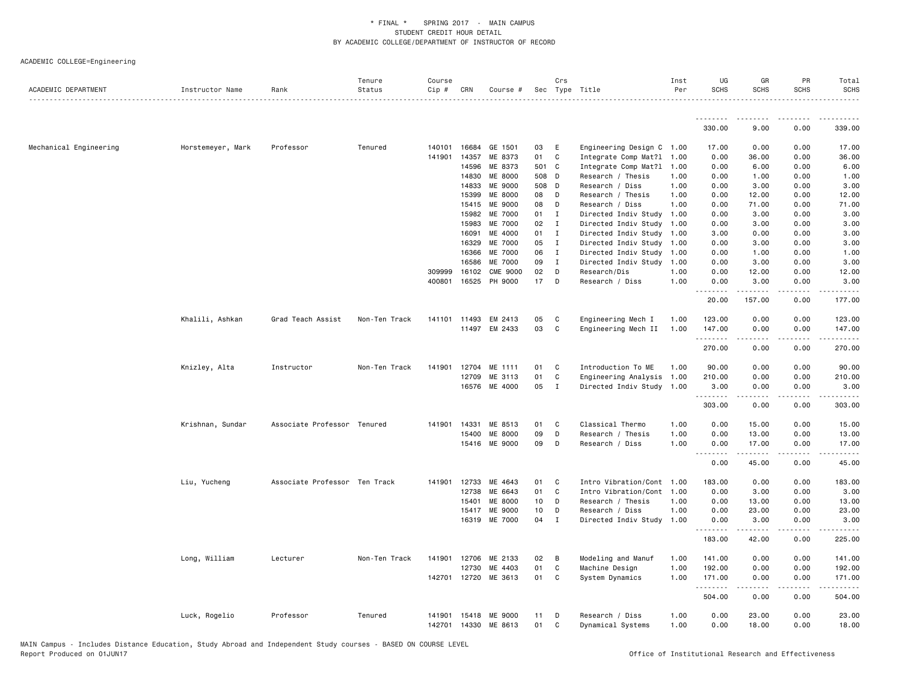| ACADEMIC DEPARTMENT    | Instructor Name   | Rank                          | Tenure<br>Status | Course<br>Cip # | CRN          | Course #             |       | Crs          | Sec Type Title                                 | Inst<br>Per | UG<br><b>SCHS</b>                                                                                                                                                                    | GR<br><b>SCHS</b>                                                                                                                                    | PR<br><b>SCHS</b>   | Total<br><b>SCHS</b> |
|------------------------|-------------------|-------------------------------|------------------|-----------------|--------------|----------------------|-------|--------------|------------------------------------------------|-------------|--------------------------------------------------------------------------------------------------------------------------------------------------------------------------------------|------------------------------------------------------------------------------------------------------------------------------------------------------|---------------------|----------------------|
|                        |                   |                               |                  |                 |              |                      |       |              |                                                |             | <u>.</u>                                                                                                                                                                             | $\frac{1}{2} \left( \frac{1}{2} \right) \left( \frac{1}{2} \right) \left( \frac{1}{2} \right) \left( \frac{1}{2} \right)$                            | .                   |                      |
|                        |                   |                               |                  |                 |              |                      |       |              |                                                |             | 330.00                                                                                                                                                                               | 9.00                                                                                                                                                 | 0.00                | 339.00               |
| Mechanical Engineering | Horstemeyer, Mark | Professor                     | Tenured          | 140101          | 16684        | GE 1501              | 03    | - E          | Engineering Design C 1.00                      |             | 17.00                                                                                                                                                                                | 0.00                                                                                                                                                 | 0.00                | 17.00                |
|                        |                   |                               |                  | 141901          | 14357        | ME 8373              | 01    | $\mathbf{C}$ | Integrate Comp Mat?1 1.00                      |             | 0.00                                                                                                                                                                                 | 36.00                                                                                                                                                | 0.00                | 36.00                |
|                        |                   |                               |                  |                 | 14596        | ME 8373              | 501 C |              | Integrate Comp Mat?1 1.00                      |             | 0.00                                                                                                                                                                                 | 6.00                                                                                                                                                 | 0.00                | 6.00                 |
|                        |                   |                               |                  |                 | 14830        | <b>ME 8000</b>       | 508 D |              | Research / Thesis                              | 1.00        | 0.00                                                                                                                                                                                 | 1.00                                                                                                                                                 | 0.00                | 1.00                 |
|                        |                   |                               |                  |                 | 14833        | <b>ME 9000</b>       | 508 D |              | Research / Diss                                | 1.00        | 0.00                                                                                                                                                                                 | 3.00                                                                                                                                                 | 0.00                | 3.00                 |
|                        |                   |                               |                  |                 | 15399        | <b>ME 8000</b>       | 08    | D            | Research / Thesis                              | 1.00        | 0.00                                                                                                                                                                                 | 12.00                                                                                                                                                | 0.00                | 12.00                |
|                        |                   |                               |                  |                 | 15415        | <b>ME 9000</b>       | 08    | D            | Research / Diss                                | 1.00        | 0.00                                                                                                                                                                                 | 71.00                                                                                                                                                | 0.00                | 71.00                |
|                        |                   |                               |                  |                 | 15982        | <b>ME 7000</b>       | 01    | $\mathbf{I}$ | Directed Indiv Study 1.00                      |             | 0.00                                                                                                                                                                                 | 3.00                                                                                                                                                 | 0.00                | 3.00                 |
|                        |                   |                               |                  |                 | 15983        | <b>ME 7000</b>       | 02    | $\mathbf{I}$ | Directed Indiv Study 1.00                      |             | 0.00                                                                                                                                                                                 | 3.00                                                                                                                                                 | 0.00                | 3.00                 |
|                        |                   |                               |                  |                 | 16091        | ME 4000              | 01    | Ι.           | Directed Indiv Study 1.00                      |             | 3.00                                                                                                                                                                                 | 0.00                                                                                                                                                 | 0.00                | 3.00                 |
|                        |                   |                               |                  |                 | 16329        | ME 7000              | 05    | $\mathbf{I}$ | Directed Indiv Study 1.00                      |             | 0.00                                                                                                                                                                                 | 3.00                                                                                                                                                 | 0.00                | 3.00                 |
|                        |                   |                               |                  |                 | 16366        | <b>ME 7000</b>       | 06    | I            | Directed Indiv Study 1.00                      |             | 0.00                                                                                                                                                                                 | 1.00                                                                                                                                                 | 0.00                | 1.00                 |
|                        |                   |                               |                  |                 | 16586        | ME 7000              | 09    | I            | Directed Indiv Study 1.00                      |             | 0.00                                                                                                                                                                                 | 3.00                                                                                                                                                 | 0.00                | 3.00                 |
|                        |                   |                               |                  | 309999          | 16102        | <b>CME 9000</b>      | 02    | D            | Research/Dis                                   | 1.00        | 0.00                                                                                                                                                                                 | 12.00                                                                                                                                                | 0.00                | 12.00                |
|                        |                   |                               |                  | 400801          | 16525        | PH 9000              | 17 D  |              | Research / Diss                                | 1.00        | 0.00<br>.<br>- - -                                                                                                                                                                   | 3.00<br>.                                                                                                                                            | 0.00<br>.           | 3.00<br>.            |
|                        |                   |                               |                  |                 |              |                      |       |              |                                                |             | 20.00                                                                                                                                                                                | 157.00                                                                                                                                               | 0.00                | 177.00               |
|                        | Khalili, Ashkan   | Grad Teach Assist             | Non-Ten Track    | 141101          | 11493        | EM 2413              | 05    | $\mathbf{C}$ | Engineering Mech I                             | 1.00        | 123.00                                                                                                                                                                               | 0.00                                                                                                                                                 | 0.00                | 123.00               |
|                        |                   |                               |                  |                 |              | 11497 EM 2433        | 03    | $\mathbf{C}$ | Engineering Mech II                            | 1.00        | 147.00                                                                                                                                                                               | 0.00                                                                                                                                                 | 0.00                | 147.00               |
|                        |                   |                               |                  |                 |              |                      |       |              |                                                |             | .                                                                                                                                                                                    |                                                                                                                                                      |                     |                      |
|                        |                   |                               |                  |                 |              |                      |       |              |                                                |             | 270.00                                                                                                                                                                               | 0.00                                                                                                                                                 | 0.00                | 270.00               |
|                        | Knizley, Alta     | Instructor                    | Non-Ten Track    |                 | 141901 12704 | ME 1111              | 01    | C.           | Introduction To ME                             | 1.00        | 90.00                                                                                                                                                                                | 0.00                                                                                                                                                 | 0.00                | 90.00                |
|                        |                   |                               |                  |                 | 12709        | ME 3113              | 01    | $\mathbf c$  | Engineering Analysis 1.00                      |             | 210.00                                                                                                                                                                               | 0.00                                                                                                                                                 | 0.00                | 210.00               |
|                        |                   |                               |                  |                 | 16576        | ME 4000              | 05    | $\mathbf{I}$ | Directed Indiv Study 1.00                      |             | 3.00<br>.                                                                                                                                                                            | 0.00                                                                                                                                                 | 0.00                | 3.00                 |
|                        |                   |                               |                  |                 |              |                      |       |              |                                                |             | 303.00                                                                                                                                                                               | 0.00                                                                                                                                                 | 0.00                | 303.00               |
|                        | Krishnan, Sundar  | Associate Professor Tenured   |                  | 141901          | 14331        | ME 8513              | 01    | $\mathbf{C}$ | Classical Thermo                               | 1.00        | 0.00                                                                                                                                                                                 | 15.00                                                                                                                                                | 0.00                | 15.00                |
|                        |                   |                               |                  |                 | 15400        | <b>ME 8000</b>       | 09    | D            | Research / Thesis                              | 1.00        | 0.00                                                                                                                                                                                 | 13.00                                                                                                                                                | 0.00                | 13.00                |
|                        |                   |                               |                  |                 |              | 15416 ME 9000        | 09    | D            | Research / Diss                                | 1.00        | 0.00                                                                                                                                                                                 | 17.00                                                                                                                                                | 0.00                | 17.00                |
|                        |                   |                               |                  |                 |              |                      |       |              |                                                |             | $\frac{1}{2} \left( \frac{1}{2} \right) \left( \frac{1}{2} \right) \left( \frac{1}{2} \right) \left( \frac{1}{2} \right) \left( \frac{1}{2} \right)$<br>$\sim$ $\sim$ $\sim$<br>0.00 | .<br>45.00                                                                                                                                           | .<br>0.00           | .<br>45.00           |
|                        | Liu, Yucheng      | Associate Professor Ten Track |                  | 141901          | 12733        | ME 4643              | 01    | $\mathbf{C}$ | Intro Vibration/Cont 1.00                      |             | 183.00                                                                                                                                                                               | 0.00                                                                                                                                                 | 0.00                | 183.00               |
|                        |                   |                               |                  |                 | 12738        | ME 6643              | 01    | C            |                                                |             |                                                                                                                                                                                      | 3.00                                                                                                                                                 | 0.00                | 3.00                 |
|                        |                   |                               |                  |                 | 15401        | ME 8000              | 10    | D            | Intro Vibration/Cont 1.00<br>Research / Thesis | 1.00        | 0.00<br>0.00                                                                                                                                                                         | 13.00                                                                                                                                                | 0.00                | 13.00                |
|                        |                   |                               |                  |                 | 15417        | ME 9000              | 10    | D            | Research / Diss                                | 1.00        | 0.00                                                                                                                                                                                 | 23.00                                                                                                                                                | 0.00                | 23.00                |
|                        |                   |                               |                  |                 | 16319        | ME 7000              | 04    | $\mathbf{I}$ | Directed Indiv Study 1.00                      |             | 0.00                                                                                                                                                                                 | 3.00                                                                                                                                                 | 0.00                | 3.00                 |
|                        |                   |                               |                  |                 |              |                      |       |              |                                                |             | .                                                                                                                                                                                    | $\frac{1}{2} \left( \frac{1}{2} \right) \left( \frac{1}{2} \right) \left( \frac{1}{2} \right) \left( \frac{1}{2} \right) \left( \frac{1}{2} \right)$ | .                   | .                    |
|                        |                   |                               |                  |                 |              |                      |       |              |                                                |             | 183.00                                                                                                                                                                               | 42.00                                                                                                                                                | 0.00                | 225.00               |
|                        | Long, William     | Lecturer                      | Non-Ten Track    | 141901          | 12706        | ME 2133              | 02 B  |              | Modeling and Manuf                             | 1.00        | 141.00                                                                                                                                                                               | 0.00                                                                                                                                                 | 0.00                | 141.00               |
|                        |                   |                               |                  |                 | 12730        | ME 4403              | 01    | C            | Machine Design                                 | 1.00        | 192.00                                                                                                                                                                               | 0.00                                                                                                                                                 | 0.00                | 192.00               |
|                        |                   |                               |                  |                 |              | 142701 12720 ME 3613 | 01    | C            | System Dynamics                                | 1.00        | 171.00<br>.                                                                                                                                                                          | 0.00<br>$\frac{1}{2} \left( \frac{1}{2} \right) \left( \frac{1}{2} \right) \left( \frac{1}{2} \right) \left( \frac{1}{2} \right)$                    | 0.00<br>$-$ - $-$ - | 171.00               |
|                        |                   |                               |                  |                 |              |                      |       |              |                                                |             | 504.00                                                                                                                                                                               | 0.00                                                                                                                                                 | 0.00                | 504.00               |
|                        | Luck, Rogelio     | Professor                     | Tenured          | 141901          |              | 15418 ME 9000        | 11    | D            | Research / Diss                                | 1.00        | 0.00                                                                                                                                                                                 | 23.00                                                                                                                                                | 0.00                | 23.00                |
|                        |                   |                               |                  | 142701          |              | 14330 ME 8613        | 01    | C            | Dynamical Systems                              | 1.00        | 0.00                                                                                                                                                                                 | 18.00                                                                                                                                                | 0.00                | 18.00                |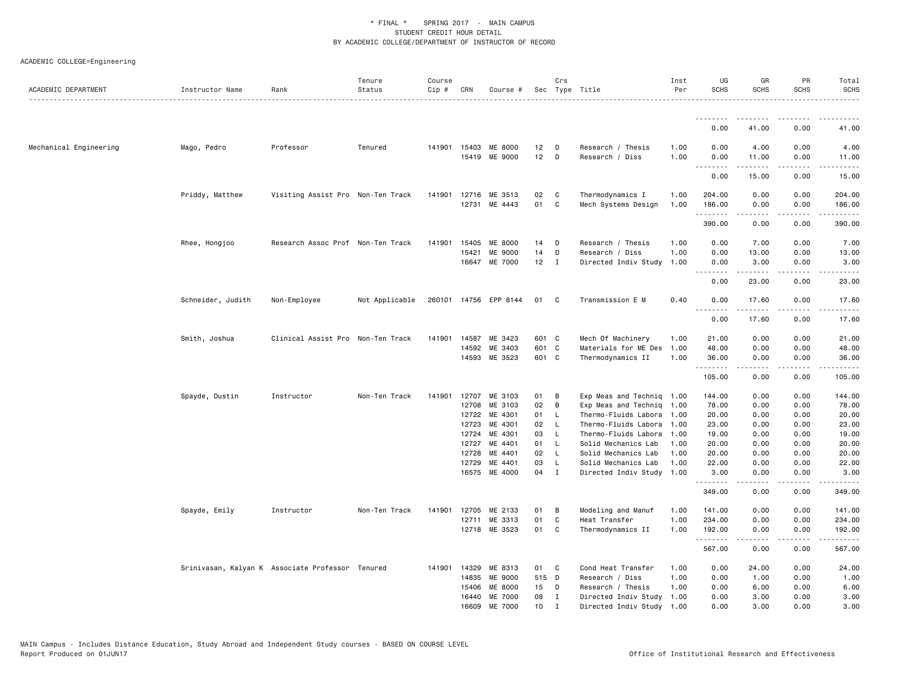| ACADEMIC DEPARTMENT    | Instructor Name                                  | Rank                              | Tenure<br>Status | Course<br>Cip # | CRN            | Course #                  |                  | Crs                        | Sec Type Title                                         | Inst<br>Per  | UG<br><b>SCHS</b>                                                                                                                 | GR<br><b>SCHS</b> | PR<br><b>SCHS</b>                   | Total<br><b>SCHS</b>                                                                                                                                                                                                                                                                                                                                                                                                                                                                             |
|------------------------|--------------------------------------------------|-----------------------------------|------------------|-----------------|----------------|---------------------------|------------------|----------------------------|--------------------------------------------------------|--------------|-----------------------------------------------------------------------------------------------------------------------------------|-------------------|-------------------------------------|--------------------------------------------------------------------------------------------------------------------------------------------------------------------------------------------------------------------------------------------------------------------------------------------------------------------------------------------------------------------------------------------------------------------------------------------------------------------------------------------------|
|                        |                                                  |                                   |                  |                 |                |                           |                  |                            |                                                        |              |                                                                                                                                   |                   |                                     |                                                                                                                                                                                                                                                                                                                                                                                                                                                                                                  |
|                        |                                                  |                                   |                  |                 |                |                           |                  |                            |                                                        |              | 0.00                                                                                                                              | 41.00             | 0.00                                | 41.00                                                                                                                                                                                                                                                                                                                                                                                                                                                                                            |
| Mechanical Engineering | Mago, Pedro                                      | Professor                         | Tenured          |                 | 141901 15403   | <b>ME 8000</b>            | 12               | D                          | Research / Thesis                                      | 1.00         | 0.00                                                                                                                              | 4.00              | 0.00                                | 4.00                                                                                                                                                                                                                                                                                                                                                                                                                                                                                             |
|                        |                                                  |                                   |                  |                 |                | 15419 ME 9000             | 12               | D                          | Research / Diss                                        | 1.00         | 0.00<br>.                                                                                                                         | 11.00<br>.        | 0.00<br>.                           | 11.00<br>$\frac{1}{2} \left( \frac{1}{2} \right) \left( \frac{1}{2} \right) \left( \frac{1}{2} \right) \left( \frac{1}{2} \right) \left( \frac{1}{2} \right)$                                                                                                                                                                                                                                                                                                                                    |
|                        |                                                  |                                   |                  |                 |                |                           |                  |                            |                                                        |              | 0.00                                                                                                                              | 15.00             | 0.00                                | 15.00                                                                                                                                                                                                                                                                                                                                                                                                                                                                                            |
|                        | Priddy, Matthew                                  | Visiting Assist Pro Non-Ten Track |                  |                 |                | 141901 12716 ME 3513      | 02               | $\mathbf{C}$               | Thermodynamics I                                       | 1.00         | 204.00                                                                                                                            | 0.00              | 0.00                                | 204.00                                                                                                                                                                                                                                                                                                                                                                                                                                                                                           |
|                        |                                                  |                                   |                  |                 |                | 12731 ME 4443             | 01               | C                          | Mech Systems Design                                    | 1.00         | 186.00                                                                                                                            | 0.00              | 0.00                                | 186.00                                                                                                                                                                                                                                                                                                                                                                                                                                                                                           |
|                        |                                                  |                                   |                  |                 |                |                           |                  |                            |                                                        |              | .<br>390.00                                                                                                                       | .<br>0.00         | بالمحام<br>0.00                     | .<br>390.00                                                                                                                                                                                                                                                                                                                                                                                                                                                                                      |
|                        | Rhee, Hongjoo                                    | Research Assoc Prof Non-Ten Track |                  | 141901          | 15405          | ME 8000                   | 14               | D                          | Research / Thesis                                      | 1.00         | 0.00                                                                                                                              | 7.00              | 0.00                                | 7.00                                                                                                                                                                                                                                                                                                                                                                                                                                                                                             |
|                        |                                                  |                                   |                  |                 | 15421          | <b>ME 9000</b>            | 14               | D                          | Research / Diss                                        | 1.00         | 0.00                                                                                                                              | 13.00             | 0.00                                | 13.00                                                                                                                                                                                                                                                                                                                                                                                                                                                                                            |
|                        |                                                  |                                   |                  |                 |                | 16647 ME 7000             | 12               | $\mathbf{I}$               | Directed Indiv Study                                   | 1.00         | 0.00<br>$\frac{1}{2} \left( \frac{1}{2} \right) \left( \frac{1}{2} \right) \left( \frac{1}{2} \right) \left( \frac{1}{2} \right)$ | 3.00<br>-----     | 0.00<br>$\sim$ $\sim$ $\sim$ $\sim$ | 3.00<br>$\frac{1}{2} \left( \frac{1}{2} \right) \left( \frac{1}{2} \right) \left( \frac{1}{2} \right) \left( \frac{1}{2} \right) \left( \frac{1}{2} \right)$                                                                                                                                                                                                                                                                                                                                     |
|                        |                                                  |                                   |                  |                 |                |                           |                  |                            |                                                        |              | 0.00                                                                                                                              | 23.00             | 0.00                                | 23.00                                                                                                                                                                                                                                                                                                                                                                                                                                                                                            |
|                        | Schneider, Judith                                | Non-Employee                      | Not Applicable   |                 |                | 260101 14756 EPP 8144     | 01               | C                          | Transmission E M                                       | 0.40         | 0.00<br>.                                                                                                                         | 17.60             | 0.00<br>$\frac{1}{2}$               | 17.60<br>.                                                                                                                                                                                                                                                                                                                                                                                                                                                                                       |
|                        |                                                  |                                   |                  |                 |                |                           |                  |                            |                                                        |              | 0.00                                                                                                                              | .<br>17.60        | 0.00                                | 17.60                                                                                                                                                                                                                                                                                                                                                                                                                                                                                            |
|                        | Smith, Joshua                                    | Clinical Assist Pro Non-Ten Track |                  |                 | 141901 14587   | ME 3423                   | 601 C            |                            | Mech Of Machinery                                      | 1.00         | 21.00                                                                                                                             | 0.00              | 0.00                                | 21.00                                                                                                                                                                                                                                                                                                                                                                                                                                                                                            |
|                        |                                                  |                                   |                  |                 | 14592          | ME 3403                   | 601 C            |                            | Materials for ME Des                                   | 1.00         | 48.00                                                                                                                             | 0.00              | 0.00                                | 48.00                                                                                                                                                                                                                                                                                                                                                                                                                                                                                            |
|                        |                                                  |                                   |                  |                 | 14593          | ME 3523                   | 601 C            |                            | Thermodynamics II                                      | 1.00         | 36.00<br>.                                                                                                                        | 0.00<br>.         | 0.00<br>د د د د                     | 36.00<br>.                                                                                                                                                                                                                                                                                                                                                                                                                                                                                       |
|                        |                                                  |                                   |                  |                 |                |                           |                  |                            |                                                        |              | 105.00                                                                                                                            | 0.00              | 0.00                                | 105.00                                                                                                                                                                                                                                                                                                                                                                                                                                                                                           |
|                        | Spayde, Dustin                                   | Instructor                        | Non-Ten Track    | 141901          | 12707          | ME 3103                   | 01               | В                          | Exp Meas and Techniq 1.00                              |              | 144.00                                                                                                                            | 0.00              | 0.00                                | 144.00                                                                                                                                                                                                                                                                                                                                                                                                                                                                                           |
|                        |                                                  |                                   |                  |                 | 12708          | ME 3103                   | 02               | В                          | Exp Meas and Techniq                                   | 1.00         | 78.00                                                                                                                             | 0.00              | 0.00                                | 78.00                                                                                                                                                                                                                                                                                                                                                                                                                                                                                            |
|                        |                                                  |                                   |                  |                 | 12722          | ME 4301                   | 01               | $\mathsf{L}$               | Thermo-Fluids Labora                                   | 1.00         | 20.00                                                                                                                             | 0.00              | 0.00                                | 20.00                                                                                                                                                                                                                                                                                                                                                                                                                                                                                            |
|                        |                                                  |                                   |                  |                 | 12723          | ME 4301                   | 02               | - L                        | Thermo-Fluids Labora                                   | 1.00         | 23.00                                                                                                                             | 0.00              | 0.00                                | 23.00                                                                                                                                                                                                                                                                                                                                                                                                                                                                                            |
|                        |                                                  |                                   |                  |                 | 12724          | ME 4301                   | 03               | L.                         | Thermo-Fluids Labora                                   | 1.00         | 19.00                                                                                                                             | 0.00              | 0.00                                | 19.00                                                                                                                                                                                                                                                                                                                                                                                                                                                                                            |
|                        |                                                  |                                   |                  |                 | 12727          | ME 4401                   | 01               | <b>L</b>                   | Solid Mechanics Lab                                    | 1.00         | 20.00                                                                                                                             | 0.00              | 0.00                                | 20.00                                                                                                                                                                                                                                                                                                                                                                                                                                                                                            |
|                        |                                                  |                                   |                  |                 | 12728          | ME 4401                   | 02               | <b>L</b>                   | Solid Mechanics Lab                                    | 1.00         | 20.00                                                                                                                             | 0.00              | 0.00                                | 20.00                                                                                                                                                                                                                                                                                                                                                                                                                                                                                            |
|                        |                                                  |                                   |                  |                 | 12729          | ME 4401<br>16575 ME 4000  | 03<br>04         | L.<br>$\mathbf{I}$         | Solid Mechanics Lab<br>Directed Indiv Study 1.00       | 1.00         | 22.00<br>3.00                                                                                                                     | 0.00<br>0.00      | 0.00<br>0.00                        | 22.00<br>3.00                                                                                                                                                                                                                                                                                                                                                                                                                                                                                    |
|                        |                                                  |                                   |                  |                 |                |                           |                  |                            |                                                        |              | .<br>349.00                                                                                                                       | .<br>0.00         | .<br>0.00                           | .<br>349.00                                                                                                                                                                                                                                                                                                                                                                                                                                                                                      |
|                        |                                                  |                                   |                  | 141901          |                | 12705 ME 2133             |                  |                            |                                                        |              |                                                                                                                                   |                   |                                     |                                                                                                                                                                                                                                                                                                                                                                                                                                                                                                  |
|                        | Spayde, Emily                                    | Instructor                        | Non-Ten Track    |                 | 12711          | ME 3313                   | 01<br>01         | В<br>$\mathbb{C}$          | Modeling and Manuf<br>Heat Transfer                    | 1.00<br>1.00 | 141.00<br>234.00                                                                                                                  | 0.00<br>0.00      | 0.00<br>0.00                        | 141.00<br>234.00                                                                                                                                                                                                                                                                                                                                                                                                                                                                                 |
|                        |                                                  |                                   |                  |                 |                | 12718 ME 3523             | 01               | C                          | Thermodynamics II                                      | 1.00         | 192.00                                                                                                                            | 0.00              | 0.00                                | 192.00                                                                                                                                                                                                                                                                                                                                                                                                                                                                                           |
|                        |                                                  |                                   |                  |                 |                |                           |                  |                            |                                                        |              | .<br>567.00                                                                                                                       | .<br>0.00         | د د د د<br>0.00                     | $\begin{array}{cccccccccccccc} \multicolumn{2}{c}{} & \multicolumn{2}{c}{} & \multicolumn{2}{c}{} & \multicolumn{2}{c}{} & \multicolumn{2}{c}{} & \multicolumn{2}{c}{} & \multicolumn{2}{c}{} & \multicolumn{2}{c}{} & \multicolumn{2}{c}{} & \multicolumn{2}{c}{} & \multicolumn{2}{c}{} & \multicolumn{2}{c}{} & \multicolumn{2}{c}{} & \multicolumn{2}{c}{} & \multicolumn{2}{c}{} & \multicolumn{2}{c}{} & \multicolumn{2}{c}{} & \multicolumn{2}{c}{} & \multicolumn{2}{c}{} & \$<br>567.00 |
|                        |                                                  |                                   |                  |                 |                |                           |                  |                            |                                                        |              |                                                                                                                                   |                   |                                     |                                                                                                                                                                                                                                                                                                                                                                                                                                                                                                  |
|                        | Srinivasan, Kalyan K Associate Professor Tenured |                                   |                  |                 | 141901 14329   | ME 8313                   | 01               | C                          | Cond Heat Transfer                                     | 1.00         | 0.00                                                                                                                              | 24.00             | 0.00                                | 24.00                                                                                                                                                                                                                                                                                                                                                                                                                                                                                            |
|                        |                                                  |                                   |                  |                 | 14835          | ME 9000                   | 515 D            |                            | Research / Diss                                        | 1.00         | 0.00                                                                                                                              | 1.00              | 0.00                                | 1.00                                                                                                                                                                                                                                                                                                                                                                                                                                                                                             |
|                        |                                                  |                                   |                  |                 | 15406          | <b>ME 8000</b><br>ME 7000 | 15<br>08         | D                          | Research / Thesis                                      | 1.00         | 0.00<br>0.00                                                                                                                      | 6.00<br>3.00      | 0.00<br>0.00                        | 6.00<br>3.00                                                                                                                                                                                                                                                                                                                                                                                                                                                                                     |
|                        |                                                  |                                   |                  |                 | 16440<br>16609 | ME 7000                   | 10 <sup>10</sup> | $\mathbf I$<br>$\mathbf I$ | Directed Indiv Study 1.00<br>Directed Indiv Study 1.00 |              | 0.00                                                                                                                              | 3.00              | 0.00                                | 3.00                                                                                                                                                                                                                                                                                                                                                                                                                                                                                             |
|                        |                                                  |                                   |                  |                 |                |                           |                  |                            |                                                        |              |                                                                                                                                   |                   |                                     |                                                                                                                                                                                                                                                                                                                                                                                                                                                                                                  |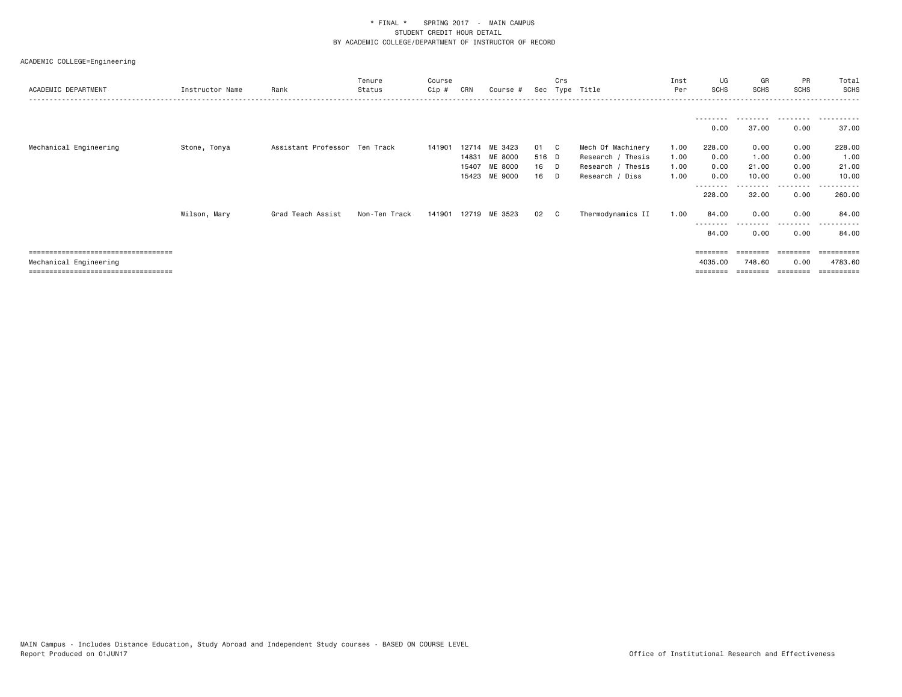| ACADEMIC DEPARTMENT                   | Instructor Name | Rank                          | Tenure<br>Status | Course<br>$Cip$ # | CRN            | Course #                            |                   | Crs          | Sec Type Title                                            | Inst<br>Per          | UG<br>SCHS           | GR<br>SCHS             | PR<br><b>SCHS</b>    | Total<br><b>SCHS</b>   |
|---------------------------------------|-----------------|-------------------------------|------------------|-------------------|----------------|-------------------------------------|-------------------|--------------|-----------------------------------------------------------|----------------------|----------------------|------------------------|----------------------|------------------------|
|                                       |                 |                               |                  |                   |                |                                     |                   |              |                                                           |                      | --------             | <u>.</u>               | .                    | .                      |
| Mechanical Engineering                | Stone, Tonya    | Assistant Professor Ten Track |                  | 141901            |                | 12714 ME 3423                       | 01 C              |              | Mech Of Machinery                                         | 1.00                 | 0.00<br>228.00       | 37.00<br>0.00          | 0.00<br>0.00         | 37.00<br>228.00        |
|                                       |                 |                               |                  |                   | 14831<br>15407 | ME 8000<br>ME 8000<br>15423 ME 9000 | 516 D<br>16<br>16 | - D<br>- D   | Research / Thesis<br>Research / Thesis<br>Research / Diss | 1.00<br>1.00<br>1.00 | 0.00<br>0.00<br>0.00 | 1.00<br>21.00<br>10.00 | 0.00<br>0.00<br>0.00 | 1.00<br>21.00<br>10.00 |
|                                       |                 |                               |                  |                   |                |                                     |                   |              |                                                           |                      | 228.00               | 32.00                  | ---------<br>0.00    | 260.00                 |
|                                       | Wilson, Mary    | Grad Teach Assist             | Non-Ten Track    | 141901            |                | 12719 ME 3523                       | 02                | $\mathbf{C}$ | Thermodynamics II                                         | 1.00                 | 84.00                | 0.00                   | 0.00                 | 84.00                  |
|                                       |                 |                               |                  |                   |                |                                     |                   |              |                                                           |                      | 84.00                | 0.00                   | .<br>0.00            | ------<br>84.00        |
| ====================================  |                 |                               |                  |                   |                |                                     |                   |              |                                                           |                      | ========             | --------               |                      |                        |
| Mechanical Engineering                |                 |                               |                  |                   |                |                                     |                   |              |                                                           |                      | 4035,00              | 748.60                 | 0.00                 | 4783.60                |
| ===================================== |                 |                               |                  |                   |                |                                     |                   |              |                                                           |                      | ========             | ========               | ---------            | ==========             |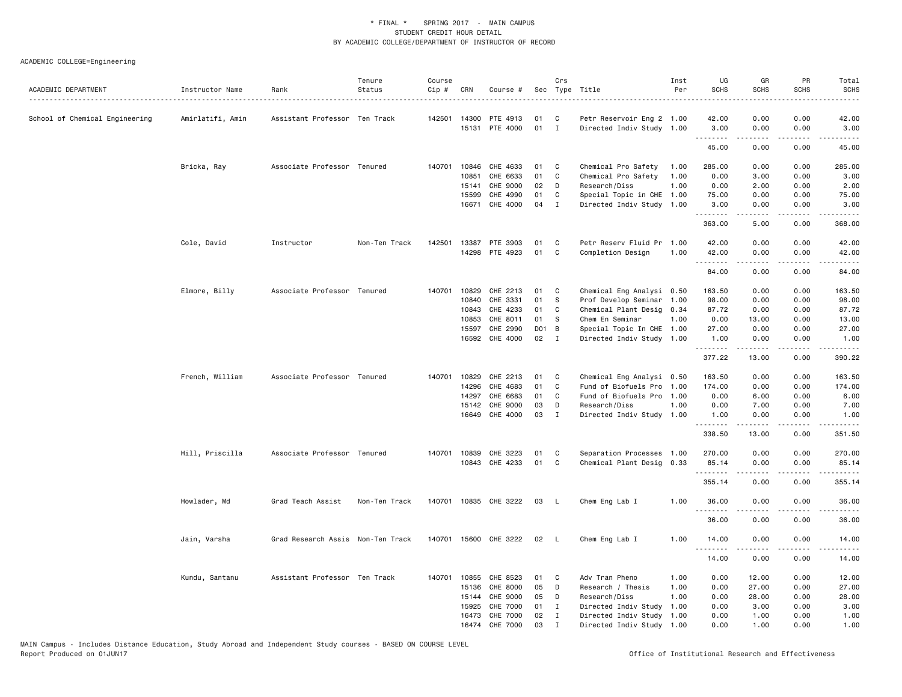| ACADEMIC DEPARTMENT            | Instructor Name  | Rank                              | Tenure<br>Status | Course<br>Cip# | CRN          | Course #              |     | Crs<br>Sec Type Title |                           | Inst<br>Per | UG<br><b>SCHS</b> | GR<br><b>SCHS</b> | PR<br><b>SCHS</b>                   | Total<br><b>SCHS</b>                                                                                                                                          |
|--------------------------------|------------------|-----------------------------------|------------------|----------------|--------------|-----------------------|-----|-----------------------|---------------------------|-------------|-------------------|-------------------|-------------------------------------|---------------------------------------------------------------------------------------------------------------------------------------------------------------|
|                                |                  |                                   |                  |                |              |                       |     |                       |                           |             |                   |                   |                                     | $\frac{1}{2} \left( \frac{1}{2} \right) \left( \frac{1}{2} \right) \left( \frac{1}{2} \right) \left( \frac{1}{2} \right) \left( \frac{1}{2} \right)$          |
| School of Chemical Engineering | Amirlatifi, Amin | Assistant Professor Ten Track     |                  |                | 142501 14300 | PTE 4913              | 01  | C                     | Petr Reservoir Eng 2 1.00 |             | 42.00             | 0.00              | 0.00                                | 42.00                                                                                                                                                         |
|                                |                  |                                   |                  |                |              | 15131 PTE 4000        | 01  | $\mathbf{I}$          | Directed Indiv Study 1.00 |             | 3.00              | 0.00              | 0.00                                | 3.00                                                                                                                                                          |
|                                |                  |                                   |                  |                |              |                       |     |                       |                           |             | .<br>45.00        | 0.00              | .<br>0.00                           | $\frac{1}{2} \left( \frac{1}{2} \right) \left( \frac{1}{2} \right) \left( \frac{1}{2} \right) \left( \frac{1}{2} \right) \left( \frac{1}{2} \right)$<br>45.00 |
|                                | Bricka, Ray      | Associate Professor Tenured       |                  |                |              | 140701 10846 CHE 4633 | 01  | C                     | Chemical Pro Safety       | 1.00        | 285.00            | 0.00              | 0.00                                | 285.00                                                                                                                                                        |
|                                |                  |                                   |                  |                | 10851        | CHE 6633              | 01  | C                     | Chemical Pro Safety       | 1.00        | 0.00              | 3.00              | 0.00                                | 3.00                                                                                                                                                          |
|                                |                  |                                   |                  |                | 15141        | CHE 9000              | 02  | D                     | Research/Diss             | 1.00        | 0.00              | 2.00              | 0.00                                | 2.00                                                                                                                                                          |
|                                |                  |                                   |                  |                | 15599        | CHE 4990              | 01  | C                     | Special Topic in CHE      | 1.00        | 75.00             | 0.00              | 0.00                                | 75.00                                                                                                                                                         |
|                                |                  |                                   |                  |                | 16671        | CHE 4000              | 04  | $\mathbf I$           | Directed Indiv Study 1.00 |             | 3.00              | 0.00              | 0.00                                | 3.00                                                                                                                                                          |
|                                |                  |                                   |                  |                |              |                       |     |                       |                           |             | .<br>363.00       | .<br>5.00         | $\sim$ $\sim$ $\sim$ $\sim$<br>0.00 | .<br>368.00                                                                                                                                                   |
|                                | Cole, David      | Instructor                        | Non-Ten Track    | 142501         |              | 13387 PTE 3903        | 01  | C                     | Petr Reserv Fluid Pr      | 1.00        | 42.00             | 0.00              | 0.00                                | 42.00                                                                                                                                                         |
|                                |                  |                                   |                  |                |              | 14298 PTE 4923        | 01  | C                     | Completion Design         | 1.00        | 42.00             | 0.00              | 0.00                                | 42.00                                                                                                                                                         |
|                                |                  |                                   |                  |                |              |                       |     |                       |                           |             | 84.00             | 0.00              | 0.00                                | 84.00                                                                                                                                                         |
|                                |                  |                                   |                  |                |              |                       |     |                       |                           |             |                   |                   |                                     |                                                                                                                                                               |
|                                | Elmore, Billy    | Associate Professor Tenured       |                  |                | 140701 10829 | CHE 2213              | 01  | C                     | Chemical Eng Analysi 0.50 |             | 163.50            | 0.00              | 0.00                                | 163.50                                                                                                                                                        |
|                                |                  |                                   |                  |                | 10840        | CHE 3331              | 01  | - S                   | Prof Develop Seminar      | 1.00        | 98.00             | 0.00              | 0.00                                | 98.00                                                                                                                                                         |
|                                |                  |                                   |                  |                | 10843        | CHE 4233              | 01  | C                     | Chemical Plant Desig 0.34 |             | 87.72             | 0.00              | 0.00                                | 87.72                                                                                                                                                         |
|                                |                  |                                   |                  |                | 10853        | CHE 8011              | 01  | -S                    | Chem En Seminar           | 1.00        | 0.00              | 13.00             | 0.00                                | 13.00                                                                                                                                                         |
|                                |                  |                                   |                  |                | 15597        | CHE 2990              | DO1 | B                     | Special Topic In CHE 1.00 |             | 27.00             | 0.00              | 0.00                                | 27.00                                                                                                                                                         |
|                                |                  |                                   |                  |                |              | 16592 CHE 4000        | 02  | $\mathbf{I}$          | Directed Indiv Study 1.00 |             | 1.00<br>.         | 0.00<br><b>.</b>  | 0.00<br>د د د د                     | 1.00<br><u>.</u>                                                                                                                                              |
|                                |                  |                                   |                  |                |              |                       |     |                       |                           |             | 377.22            | 13.00             | 0.00                                | 390.22                                                                                                                                                        |
|                                | French, William  | Associate Professor Tenured       |                  | 140701         | 10829        | CHE 2213              | 01  | C                     | Chemical Eng Analysi 0.50 |             | 163.50            | 0.00              | 0.00                                | 163.50                                                                                                                                                        |
|                                |                  |                                   |                  |                | 14296        | CHE 4683              | 01  | C                     | Fund of Biofuels Pro 1.00 |             | 174.00            | 0.00              | 0.00                                | 174.00                                                                                                                                                        |
|                                |                  |                                   |                  |                | 14297        | CHE 6683              | 01  | C                     | Fund of Biofuels Pro 1.00 |             | 0.00              | 6.00              | 0.00                                | 6.00                                                                                                                                                          |
|                                |                  |                                   |                  |                | 15142        | <b>CHE 9000</b>       | 03  | D                     | Research/Diss             | 1.00        | 0.00              | 7.00              | 0.00                                | 7.00                                                                                                                                                          |
|                                |                  |                                   |                  |                | 16649        | CHE 4000              | 03  | $\mathbf{I}$          | Directed Indiv Study 1.00 |             | 1.00              | 0.00              | 0.00                                | 1.00                                                                                                                                                          |
|                                |                  |                                   |                  |                |              |                       |     |                       |                           |             | .<br>338.50       | <u>.</u><br>13.00 | .<br>0.00                           | .<br>351.50                                                                                                                                                   |
|                                | Hill, Priscilla  | Associate Professor Tenured       |                  |                |              | 140701 10839 CHE 3223 | 01  | C                     | Separation Processes 1.00 |             | 270.00            | 0.00              | 0.00                                | 270.00                                                                                                                                                        |
|                                |                  |                                   |                  |                |              | 10843 CHE 4233        | 01  | C                     | Chemical Plant Desig 0.33 |             | 85.14             | 0.00              | 0.00                                | 85.14                                                                                                                                                         |
|                                |                  |                                   |                  |                |              |                       |     |                       |                           |             | .<br>355.14       | .<br>0.00         | د د د د<br>0.00                     | .<br>355.14                                                                                                                                                   |
|                                | Howlader, Md     | Grad Teach Assist                 | Non-Ten Track    |                |              | 140701 10835 CHE 3222 | 03  | - L                   | Chem Eng Lab I            | 1.00        | 36.00             | 0.00              | 0.00                                | 36.00                                                                                                                                                         |
|                                |                  |                                   |                  |                |              |                       |     |                       |                           |             | <u>.</u>          | .                 | . <u>. .</u>                        | .                                                                                                                                                             |
|                                |                  |                                   |                  |                |              |                       |     |                       |                           |             | 36.00             | 0.00              | 0.00                                | 36.00                                                                                                                                                         |
|                                | Jain, Varsha     | Grad Research Assis Non-Ten Track |                  |                |              | 140701 15600 CHE 3222 | 02  | - L                   | Chem Eng Lab I            | 1.00        | 14.00<br>.        | 0.00<br>.         | 0.00<br>.                           | 14.00<br>.                                                                                                                                                    |
|                                |                  |                                   |                  |                |              |                       |     |                       |                           |             | 14.00             | 0.00              | 0.00                                | 14.00                                                                                                                                                         |
|                                | Kundu, Santanu   | Assistant Professor Ten Track     |                  | 140701         | 10855        | CHE 8523              | 01  | C                     | Adv Tran Pheno            | 1.00        | 0.00              | 12.00             | 0.00                                | 12.00                                                                                                                                                         |
|                                |                  |                                   |                  |                | 15136        | CHE 8000              | 05  | D                     | Research / Thesis         | 1.00        | 0.00              | 27.00             | 0.00                                | 27.00                                                                                                                                                         |
|                                |                  |                                   |                  |                | 15144        | CHE 9000              | 05  | D                     | Research/Diss             | 1.00        | 0.00              | 28.00             | 0.00                                | 28.00                                                                                                                                                         |
|                                |                  |                                   |                  |                | 15925        | CHE 7000              | 01  | $\mathbf{I}$          | Directed Indiv Study      | 1.00        | 0.00              | 3.00              | 0.00                                | 3.00                                                                                                                                                          |
|                                |                  |                                   |                  |                | 16473        | CHE 7000              | 02  | $\mathbf{I}$          | Directed Indiv Study 1.00 |             | 0.00              | 1.00              | 0.00                                | 1.00                                                                                                                                                          |
|                                |                  |                                   |                  |                |              | 16474 CHE 7000        | 03  | $\mathbf{I}$          | Directed Indiv Study 1.00 |             | 0.00              | 1.00              | 0.00                                | 1.00                                                                                                                                                          |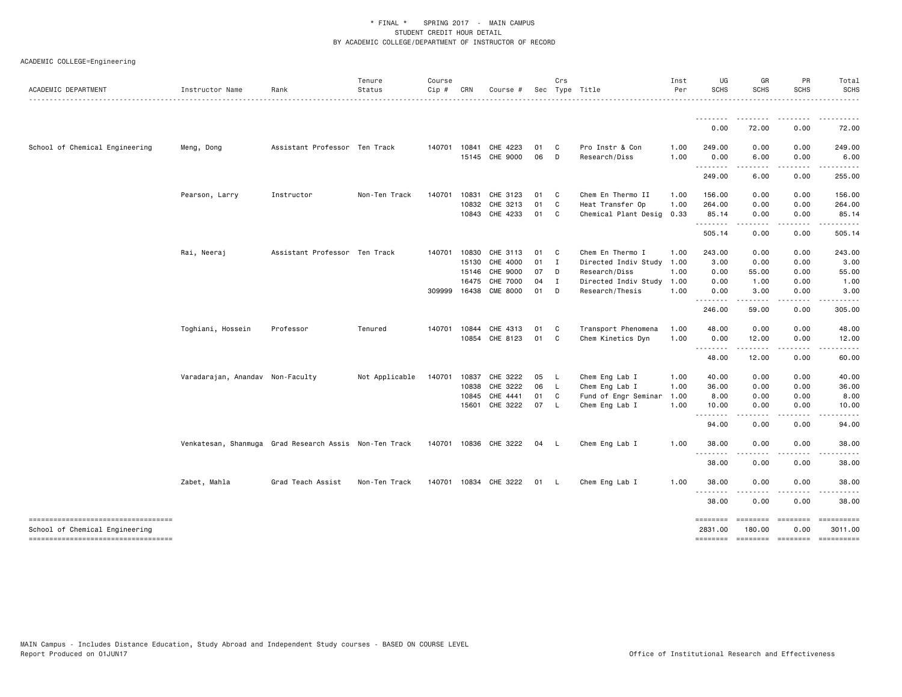| ACADEMIC DEPARTMENT                                                   | Instructor Name                                        | Rank                          | Tenure<br>Status | Course<br>$Cip$ # | CRN          | Course #              |      | Crs          | Sec Type Title            | Inst<br>Per | UG<br><b>SCHS</b>   | GR<br><b>SCHS</b>                   | PR<br><b>SCHS</b>                 | Total<br><b>SCHS</b>  |
|-----------------------------------------------------------------------|--------------------------------------------------------|-------------------------------|------------------|-------------------|--------------|-----------------------|------|--------------|---------------------------|-------------|---------------------|-------------------------------------|-----------------------------------|-----------------------|
|                                                                       |                                                        |                               |                  |                   |              |                       |      |              |                           |             | <u>.</u>            |                                     |                                   |                       |
|                                                                       |                                                        |                               |                  |                   |              |                       |      |              |                           |             | 0.00                | 72.00                               | 0.00                              | 72.00                 |
| School of Chemical Engineering                                        | Meng, Dong                                             | Assistant Professor Ten Track |                  |                   | 140701 10841 | CHE 4223              | 01   | $\mathbf{C}$ | Pro Instr & Con           | 1.00        | 249.00              | 0.00                                | 0.00                              | 249.00                |
|                                                                       |                                                        |                               |                  |                   |              | 15145 CHE 9000        | 06   | D            | Research/Diss             | 1.00        | 0.00<br>.           | 6.00<br>----                        | 0.00<br>.                         | 6.00<br>.             |
|                                                                       |                                                        |                               |                  |                   |              |                       |      |              |                           |             | 249.00              | 6.00                                | 0.00                              | 255.00                |
|                                                                       | Pearson, Larry                                         | Instructor                    | Non-Ten Track    | 140701            | 10831        | CHE 3123              | 01   | $\mathbf{C}$ | Chem En Thermo II         | 1.00        | 156.00              | 0.00                                | 0.00                              | 156.00                |
|                                                                       |                                                        |                               |                  |                   | 10832        | CHE 3213              | 01   | C            | Heat Transfer Op          | 1.00        | 264.00              | 0.00                                | 0.00                              | 264.00                |
|                                                                       |                                                        |                               |                  |                   |              | 10843 CHE 4233        | 01 C |              | Chemical Plant Desig      | 0.33        | 85.14<br>.          | 0.00<br>$\sim$ $\sim$ $\sim$ $\sim$ | 0.00<br>.                         | 85.14<br>.            |
|                                                                       |                                                        |                               |                  |                   |              |                       |      |              |                           |             | 505.14              | 0.00                                | 0.00                              | 505.14                |
|                                                                       | Rai, Neeraj                                            | Assistant Professor Ten Track |                  | 140701            | 10830        | CHE 3113              | 01   | $\mathbf{C}$ | Chem En Thermo I          | 1.00        | 243.00              | 0.00                                | 0.00                              | 243.00                |
|                                                                       |                                                        |                               |                  |                   | 15130        | CHE 4000              | 01   | $\mathbf{I}$ | Directed Indiv Study 1.00 |             | 3.00                | 0.00                                | 0.00                              | 3.00                  |
|                                                                       |                                                        |                               |                  |                   | 15146        | CHE 9000              | 07   | D            | Research/Diss             | 1.00        | 0.00                | 55.00                               | 0.00                              | 55.00                 |
|                                                                       |                                                        |                               |                  |                   | 16475        | CHE 7000              | 04   | $\mathbf{I}$ | Directed Indiv Study      | 1.00        | 0.00                | 1.00                                | 0.00                              | 1.00                  |
|                                                                       |                                                        |                               |                  |                   |              | 309999 16438 CME 8000 | 01 D |              | Research/Thesis           | 1.00        | 0.00<br>.           | 3.00<br>.                           | 0.00<br>.                         | 3.00<br>.             |
|                                                                       |                                                        |                               |                  |                   |              |                       |      |              |                           |             | 246.00              | 59.00                               | 0.00                              | 305.00                |
|                                                                       | Toghiani, Hossein                                      | Professor                     | Tenured          | 140701            | 10844        | CHE 4313              | 01   | C.           | Transport Phenomena       | 1.00        | 48.00               | 0.00                                | 0.00                              | 48.00                 |
|                                                                       |                                                        |                               |                  |                   | 10854        | CHE 8123              | 01   | C            | Chem Kinetics Dyn         | 1.00        | 0.00                | 12.00<br>-----                      | 0.00                              | 12.00                 |
|                                                                       |                                                        |                               |                  |                   |              |                       |      |              |                           |             | 48.00               | 12.00                               | 0.00                              | 60.00                 |
|                                                                       | Varadarajan, Anandav Non-Faculty                       |                               | Not Applicable   | 140701            | 10837        | CHE 3222              | 05   | <b>L</b>     | Chem Eng Lab I            | 1.00        | 40.00               | 0.00                                | 0.00                              | 40.00                 |
|                                                                       |                                                        |                               |                  |                   | 10838        | CHE 3222              | 06 L |              | Chem Eng Lab I            | 1.00        | 36.00               | 0.00                                | 0.00                              | 36.00                 |
|                                                                       |                                                        |                               |                  |                   | 10845        | CHE 4441              | 01   | C            | Fund of Engr Seminar      | 1.00        | 8.00                | 0.00                                | 0.00                              | 8.00                  |
|                                                                       |                                                        |                               |                  |                   | 15601        | CHE 3222              | 07   | - L          | Chem Eng Lab I            | 1.00        | 10.00<br><u>.</u>   | 0.00<br>.                           | 0.00<br>.                         | 10.00                 |
|                                                                       |                                                        |                               |                  |                   |              |                       |      |              |                           |             | 94.00               | 0.00                                | 0.00                              | 94.00                 |
|                                                                       | Venkatesan, Shanmuga Grad Research Assis Non-Ten Track |                               |                  |                   |              | 140701 10836 CHE 3222 | 04   | - L          | Chem Eng Lab I            | 1.00        | 38.00               | 0.00                                | 0.00                              | 38.00                 |
|                                                                       |                                                        |                               |                  |                   |              |                       |      |              |                           |             | .<br>- - -<br>38.00 | 0.00                                | 0.00                              | 38.00                 |
|                                                                       | Zabet, Mahla                                           | Grad Teach Assist             | Non-Ten Track    | 140701            |              | 10834 CHE 3222        | 01 L |              | Chem Eng Lab I            | 1.00        | 38.00               | 0.00                                | 0.00                              | 38.00                 |
|                                                                       |                                                        |                               |                  |                   |              |                       |      |              |                           |             | .<br>.<br>38.00     | 0.00                                | 0.00                              | 38.00                 |
| -----------------------------------                                   |                                                        |                               |                  |                   |              |                       |      |              |                           |             | ========            | ========                            | ========                          | ==========            |
| School of Chemical Engineering<br>----------------------------------- |                                                        |                               |                  |                   |              |                       |      |              |                           |             | 2831.00             | 180.00                              | 0.00<br>======== ======== ======= | 3011.00<br>========== |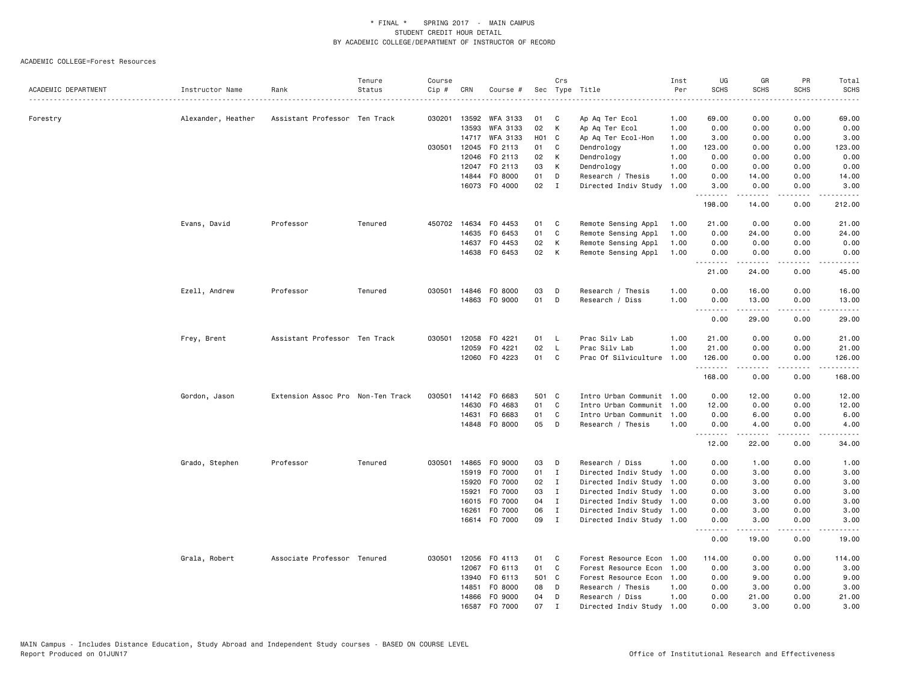|                     |                    |                                   | Tenure  | Course |              |                      |                  | Crs            |                           | Inst | UG                                  | GR                                                                                                                                                           | PR                                  | Total                            |
|---------------------|--------------------|-----------------------------------|---------|--------|--------------|----------------------|------------------|----------------|---------------------------|------|-------------------------------------|--------------------------------------------------------------------------------------------------------------------------------------------------------------|-------------------------------------|----------------------------------|
| ACADEMIC DEPARTMENT | Instructor Name    | Rank                              | Status  | Cip #  | CRN          | Course #             |                  |                | Sec Type Title<br>.       | Per  | <b>SCHS</b>                         | <b>SCHS</b>                                                                                                                                                  | <b>SCHS</b>                         | <b>SCHS</b><br>$\omega$ is a set |
|                     |                    |                                   |         |        |              |                      |                  |                |                           |      |                                     |                                                                                                                                                              |                                     |                                  |
| Forestry            | Alexander, Heather | Assistant Professor Ten Track     |         |        | 030201 13592 | WFA 3133             | 01               | C              | Ap Aq Ter Ecol            | 1.00 | 69.00                               | 0.00                                                                                                                                                         | 0.00                                | 69.00                            |
|                     |                    |                                   |         |        | 13593        | WFA 3133             | 02               | K              | Ap Aq Ter Ecol            | 1.00 | 0.00                                | 0.00                                                                                                                                                         | 0.00                                | 0.00                             |
|                     |                    |                                   |         |        | 14717        | WFA 3133             | H <sub>0</sub> 1 | $\mathbf{C}$   | Ap Aq Ter Ecol-Hon        | 1.00 | 3.00                                | 0.00                                                                                                                                                         | 0.00                                | 3.00                             |
|                     |                    |                                   |         | 030501 | 12045        | F0 2113              | 01               | C              | Dendrology                | 1.00 | 123.00                              | 0.00                                                                                                                                                         | 0.00                                | 123.00                           |
|                     |                    |                                   |         |        | 12046        | F0 2113              | 02               | K              | Dendrology                | 1.00 | 0.00                                | 0.00                                                                                                                                                         | 0.00                                | 0.00                             |
|                     |                    |                                   |         |        | 12047        | F0 2113              | 03               | K              | Dendrology                | 1.00 | 0.00                                | 0.00                                                                                                                                                         | 0.00                                | 0.00                             |
|                     |                    |                                   |         |        | 14844        | FO 8000              | 01               | D              | Research / Thesis         | 1.00 | 0.00                                | 14.00                                                                                                                                                        | 0.00                                | 14.00                            |
|                     |                    |                                   |         |        |              | 16073 F0 4000        | 02               | $\mathbf{I}$   | Directed Indiv Study      | 1.00 | 3.00<br>.                           | 0.00<br>$\frac{1}{2} \left( \frac{1}{2} \right) \left( \frac{1}{2} \right) \left( \frac{1}{2} \right) \left( \frac{1}{2} \right) \left( \frac{1}{2} \right)$ | 0.00<br>.                           | 3.00<br>.                        |
|                     |                    |                                   |         |        |              |                      |                  |                |                           |      | 198.00                              | 14.00                                                                                                                                                        | 0.00                                | 212.00                           |
|                     | Evans, David       | Professor                         | Tenured | 450702 | 14634        | F0 4453              | 01               | C              | Remote Sensing Appl       | 1.00 | 21.00                               | 0.00                                                                                                                                                         | 0.00                                | 21.00                            |
|                     |                    |                                   |         |        | 14635        | F0 6453              | 01               | C              | Remote Sensing Appl       | 1.00 | 0.00                                | 24.00                                                                                                                                                        | 0.00                                | 24.00                            |
|                     |                    |                                   |         |        | 14637        | F0 4453              | 02               | K              | Remote Sensing Appl       | 1.00 | 0.00                                | 0.00                                                                                                                                                         | 0.00                                | 0.00                             |
|                     |                    |                                   |         |        |              | 14638 FO 6453        | 02               | K              | Remote Sensing Appl       | 1.00 | 0.00<br><u>.</u>                    | 0.00                                                                                                                                                         | 0.00<br>.                           | 0.00<br>$\frac{1}{2}$            |
|                     |                    |                                   |         |        |              |                      |                  |                |                           |      | 21.00                               | 24.00                                                                                                                                                        | 0.00                                | 45.00                            |
|                     | Ezell, Andrew      | Professor                         | Tenured |        |              | 030501 14846 FO 8000 | 03               | D              | Research / Thesis         | 1.00 | 0.00                                | 16.00                                                                                                                                                        | 0.00                                | 16.00                            |
|                     |                    |                                   |         |        |              | 14863 FO 9000        | 01               | D              | Research / Diss           | 1.00 | 0.00<br>.                           | 13.00<br>المتمالين                                                                                                                                           | 0.00<br>$\sim$ $\sim$ $\sim$ $\sim$ | 13.00<br>د د د د د               |
|                     |                    |                                   |         |        |              |                      |                  |                |                           |      | 0.00                                | 29.00                                                                                                                                                        | 0.00                                | 29.00                            |
|                     | Frey, Brent        | Assistant Professor Ten Track     |         | 030501 | 12058        | F0 4221              | 01               | - L            | Prac Silv Lab             | 1.00 | 21.00                               | 0.00                                                                                                                                                         | 0.00                                | 21.00                            |
|                     |                    |                                   |         |        | 12059        | F0 4221              | 02               | $\mathsf{L}$   | Prac Silv Lab             | 1.00 | 21.00                               | 0.00                                                                                                                                                         | 0.00                                | 21.00                            |
|                     |                    |                                   |         |        |              | 12060 FO 4223        | 01               | C.             | Prac Of Silviculture      | 1.00 | 126.00<br>.                         | 0.00<br>.                                                                                                                                                    | 0.00<br>.                           | 126.00<br>.                      |
|                     |                    |                                   |         |        |              |                      |                  |                |                           |      | 168.00                              | 0.00                                                                                                                                                         | 0.00                                | 168.00                           |
|                     | Gordon, Jason      | Extension Assoc Pro Non-Ten Track |         | 030501 |              | 14142 FO 6683        | 501 C            |                | Intro Urban Communit 1.00 |      | 0.00                                | 12.00                                                                                                                                                        | 0.00                                | 12.00                            |
|                     |                    |                                   |         |        | 14630        | F0 4683              | 01               | C              | Intro Urban Communit 1.00 |      | 12.00                               | 0.00                                                                                                                                                         | 0.00                                | 12.00                            |
|                     |                    |                                   |         |        | 14631        | F0 6683              | 01               | C              | Intro Urban Communit      | 1.00 | 0.00                                | 6.00                                                                                                                                                         | 0.00                                | 6.00                             |
|                     |                    |                                   |         |        |              | 14848 FO 8000        | 05               | D              | Research / Thesis         | 1.00 | 0.00                                | 4.00<br>.                                                                                                                                                    | 0.00<br>.                           | 4.00<br>.                        |
|                     |                    |                                   |         |        |              |                      |                  |                |                           |      | .<br>12.00                          | 22.00                                                                                                                                                        | 0.00                                | 34.00                            |
|                     | Grado, Stephen     | Professor                         | Tenured | 030501 |              | 14865 F0 9000        | 03               | D              | Research / Diss           | 1.00 | 0.00                                | 1.00                                                                                                                                                         | 0.00                                | 1.00                             |
|                     |                    |                                   |         |        | 15919        | F0 7000              | 01               | $\mathbf I$    | Directed Indiv Study      | 1.00 | 0.00                                | 3.00                                                                                                                                                         | 0.00                                | 3.00                             |
|                     |                    |                                   |         |        |              | 15920 F0 7000        | 02               | $\blacksquare$ | Directed Indiv Study      | 1.00 | 0.00                                | 3.00                                                                                                                                                         | 0.00                                | 3.00                             |
|                     |                    |                                   |         |        | 15921        | F0 7000              | 03               | I              | Directed Indiv Study 1.00 |      | 0.00                                | 3.00                                                                                                                                                         | 0.00                                | 3.00                             |
|                     |                    |                                   |         |        | 16015        | F0 7000              | 04               | $\mathbf{I}$   | Directed Indiv Study 1.00 |      | 0.00                                | 3.00                                                                                                                                                         | 0.00                                | 3.00                             |
|                     |                    |                                   |         |        | 16261        | F0 7000              | 06               | $\mathbf{I}$   | Directed Indiv Study 1.00 |      | 0.00                                | 3.00                                                                                                                                                         | 0.00                                | 3.00                             |
|                     |                    |                                   |         |        |              | 16614 FO 7000        | 09               | $\blacksquare$ | Directed Indiv Study 1.00 |      | 0.00<br>$\sim$ $\sim$ $\sim$ $\sim$ | 3.00<br>.                                                                                                                                                    | 0.00<br>$\sim$ $\sim$ $\sim$        | 3.00                             |
|                     |                    |                                   |         |        |              |                      |                  |                |                           |      | 0.00                                | 19.00                                                                                                                                                        | 0.00                                | 19.00                            |
|                     | Grala, Robert      | Associate Professor Tenured       |         | 030501 |              | 12056 FO 4113        | 01               | C              | Forest Resource Econ      | 1.00 | 114.00                              | 0.00                                                                                                                                                         | 0.00                                | 114.00                           |
|                     |                    |                                   |         |        | 12067        | FO 6113              | 01               | C.             | Forest Resource Econ      | 1.00 | 0.00                                | 3.00                                                                                                                                                         | 0.00                                | 3.00                             |
|                     |                    |                                   |         |        | 13940        | FO 6113              | 501              | $\mathbf{C}$   | Forest Resource Econ 1.00 |      | 0.00                                | 9.00                                                                                                                                                         | 0.00                                | 9.00                             |
|                     |                    |                                   |         |        | 14851        | F0 8000              | 08               | D              | Research / Thesis         | 1.00 | 0.00                                | 3.00                                                                                                                                                         | 0.00                                | 3.00                             |
|                     |                    |                                   |         |        | 14866        | F0 9000              | 04               | D              | Research / Diss           | 1.00 | 0.00                                | 21.00                                                                                                                                                        | 0.00                                | 21.00                            |
|                     |                    |                                   |         |        | 16587        | F0 7000              | 07               | $\mathbf I$    | Directed Indiv Study 1.00 |      | 0.00                                | 3.00                                                                                                                                                         | 0.00                                | 3.00                             |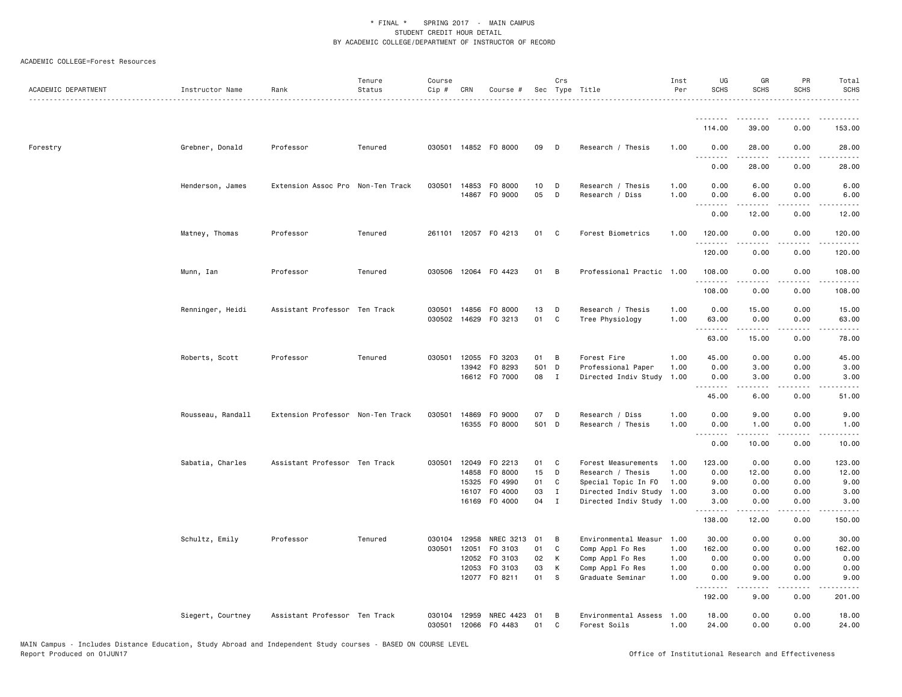| ACADEMIC DEPARTMENT | Instructor Name   | Rank                              | Tenure<br>Status | Course<br>Cip #  | CRN   | Course #                              |             | Crs               | Sec Type Title                             | Inst<br>Per  | UG<br>SCHS                                  | GR<br><b>SCHS</b>                                                                                                                                            | PR<br><b>SCHS</b>                           | Total<br><b>SCHS</b><br>.                                                                                                                                     |
|---------------------|-------------------|-----------------------------------|------------------|------------------|-------|---------------------------------------|-------------|-------------------|--------------------------------------------|--------------|---------------------------------------------|--------------------------------------------------------------------------------------------------------------------------------------------------------------|---------------------------------------------|---------------------------------------------------------------------------------------------------------------------------------------------------------------|
|                     |                   |                                   |                  |                  |       |                                       |             |                   |                                            |              | <u>.</u><br>114.00                          | $\sim$ $\sim$ $\sim$ $\sim$<br>39.00                                                                                                                         | 0.00                                        | 153.00                                                                                                                                                        |
| Forestry            | Grebner, Donald   | Professor                         | Tenured          |                  |       | 030501 14852 F0 8000                  | 09          | D                 | Research / Thesis                          | 1.00         | 0.00                                        | 28.00                                                                                                                                                        | 0.00                                        | 28.00                                                                                                                                                         |
|                     |                   |                                   |                  |                  |       |                                       |             |                   |                                            |              | .<br>0.00                                   | 28.00                                                                                                                                                        | .<br>0.00                                   | .<br>28.00                                                                                                                                                    |
|                     | Henderson, James  | Extension Assoc Pro Non-Ten Track |                  | 030501           |       | 14853 FO 8000<br>14867 FO 9000        | 10<br>05    | D<br>D            | Research / Thesis                          | 1.00         | 0.00                                        | 6.00                                                                                                                                                         | 0.00                                        | 6.00                                                                                                                                                          |
|                     |                   |                                   |                  |                  |       |                                       |             |                   | Research / Diss                            | 1.00         | 0.00<br>$\sim$ $\sim$ $\sim$ $\sim$<br>0.00 | 6.00<br>-----<br>12.00                                                                                                                                       | 0.00<br>$\sim$ $\sim$ $\sim$ $\sim$<br>0.00 | 6.00<br>$\omega$ is a set<br>12.00                                                                                                                            |
|                     | Matney, Thomas    | Professor                         | Tenured          |                  |       | 261101 12057 FO 4213                  | 01          | C                 | Forest Biometrics                          | 1.00         | 120.00                                      | 0.00                                                                                                                                                         | 0.00                                        | 120.00                                                                                                                                                        |
|                     |                   |                                   |                  |                  |       |                                       |             |                   |                                            |              | . <b>.</b> .<br>120.00                      | -----<br>0.00                                                                                                                                                | .<br>0.00                                   | 120.00                                                                                                                                                        |
|                     | Munn, Ian         | Professor                         | Tenured          |                  |       | 030506 12064 F0 4423                  | 01          | B                 | Professional Practic 1.00                  |              | 108.00                                      | 0.00                                                                                                                                                         | 0.00                                        | 108.00                                                                                                                                                        |
|                     |                   |                                   |                  |                  |       |                                       |             |                   |                                            |              | .<br>108.00                                 | $\frac{1}{2} \left( \frac{1}{2} \right) \left( \frac{1}{2} \right) \left( \frac{1}{2} \right) \left( \frac{1}{2} \right) \left( \frac{1}{2} \right)$<br>0.00 | .<br>0.00                                   | .<br>108.00                                                                                                                                                   |
|                     | Renninger, Heidi  | Assistant Professor Ten Track     |                  | 030501           |       | 14856 FO 8000<br>030502 14629 F0 3213 | 13<br>01    | D<br>C            | Research / Thesis<br>Tree Physiology       | 1.00<br>1.00 | 0.00<br>63.00                               | 15.00<br>0.00                                                                                                                                                | 0.00<br>0.00                                | 15.00<br>63.00                                                                                                                                                |
|                     |                   |                                   |                  |                  |       |                                       |             |                   |                                            |              | .<br>63.00                                  | د د د د د<br>15.00                                                                                                                                           | .<br>0.00                                   | .<br>78.00                                                                                                                                                    |
|                     | Roberts, Scott    | Professor                         | Tenured          | 030501           |       | 12055 FO 3203                         | 01          | В                 | Forest Fire                                | 1.00         | 45.00                                       | 0.00                                                                                                                                                         | 0.00                                        | 45.00                                                                                                                                                         |
|                     |                   |                                   |                  |                  |       | 13942 FO 8293<br>16612 FO 7000        | 501<br>08   | D<br>$\mathbf{I}$ | Professional Paper<br>Directed Indiv Study | 1.00<br>1.00 | 0.00<br>0.00                                | 3.00<br>3.00                                                                                                                                                 | 0.00<br>0.00                                | 3.00<br>3.00                                                                                                                                                  |
|                     |                   |                                   |                  |                  |       |                                       |             |                   |                                            |              | .<br>45.00                                  | .<br>6.00                                                                                                                                                    | .<br>0.00                                   | $\frac{1}{2} \left( \frac{1}{2} \right) \left( \frac{1}{2} \right) \left( \frac{1}{2} \right) \left( \frac{1}{2} \right) \left( \frac{1}{2} \right)$<br>51.00 |
|                     | Rousseau, Randall | Extension Professor Non-Ten Track |                  | 030501           |       | 14869 FO 9000<br>16355 FO 8000        | 07<br>501 D | D                 | Research / Diss<br>Research / Thesis       | 1.00<br>1.00 | 0.00<br>0.00                                | 9.00<br>1.00                                                                                                                                                 | 0.00<br>0.00                                | 9.00<br>1.00                                                                                                                                                  |
|                     |                   |                                   |                  |                  |       |                                       |             |                   |                                            |              | .<br>0.00                                   | .<br>10.00                                                                                                                                                   | .<br>0.00                                   | .<br>10.00                                                                                                                                                    |
|                     | Sabatia, Charles  | Assistant Professor Ten Track     |                  | 030501           |       | 12049 FO 2213                         | 01          | C                 | Forest Measurements                        | 1.00         | 123.00                                      | 0.00                                                                                                                                                         | 0.00                                        | 123.00                                                                                                                                                        |
|                     |                   |                                   |                  |                  | 15325 | 14858 F0 8000<br>F0 4990              | 15<br>01    | D<br>C            | Research / Thesis<br>Special Topic In FO   | 1.00<br>1.00 | 0.00<br>9.00                                | 12.00<br>0.00                                                                                                                                                | 0.00<br>0.00                                | 12.00<br>9.00                                                                                                                                                 |
|                     |                   |                                   |                  |                  |       | 16107 F0 4000                         | 03          | $\mathbf{I}$      | Directed Indiv Study 1.00                  |              | 3.00                                        | 0.00                                                                                                                                                         | 0.00                                        | 3.00                                                                                                                                                          |
|                     |                   |                                   |                  |                  |       | 16169 F0 4000                         | 04          | $\mathbf I$       | Directed Indiv Study 1.00                  |              | 3.00<br>.                                   | 0.00                                                                                                                                                         | 0.00<br>$  -$                               | 3.00                                                                                                                                                          |
|                     |                   |                                   |                  |                  |       |                                       |             |                   |                                            |              | 138.00                                      | 12.00                                                                                                                                                        | 0.00                                        | 150.00                                                                                                                                                        |
|                     | Schultz, Emily    | Professor                         | Tenured          | 030104           | 12958 | NREC 3213 01                          |             | B                 | Environmental Measur                       | 1.00         | 30.00                                       | 0.00                                                                                                                                                         | 0.00                                        | 30.00                                                                                                                                                         |
|                     |                   |                                   |                  | 030501           | 12051 | F0 3103                               | 01          | $\mathtt{C}$      | Comp Appl Fo Res                           | 1.00         | 162.00                                      | 0.00                                                                                                                                                         | 0.00                                        | 162.00                                                                                                                                                        |
|                     |                   |                                   |                  |                  | 12053 | 12052 F0 3103<br>F0 3103              | 02<br>03    | К<br>К            | Comp Appl Fo Res<br>Comp Appl Fo Res       | 1.00<br>1.00 | 0.00<br>0.00                                | 0.00<br>0.00                                                                                                                                                 | 0.00<br>0.00                                | 0.00<br>0.00                                                                                                                                                  |
|                     |                   |                                   |                  |                  |       | 12077 F0 8211                         | 01          | <b>S</b>          | Graduate Seminar                           | 1.00         | 0.00<br>.                                   | 9.00<br>.                                                                                                                                                    | 0.00<br>.                                   | 9.00<br>.                                                                                                                                                     |
|                     |                   |                                   |                  |                  |       |                                       |             |                   |                                            |              | 192.00                                      | 9.00                                                                                                                                                         | 0.00                                        | 201.00                                                                                                                                                        |
|                     | Siegert, Courtney | Assistant Professor Ten Track     |                  | 030104<br>030501 | 12959 | NREC 4423 01<br>12066 FO 4483         | 01          | В<br>C            | Environmental Assess<br>Forest Soils       | 1.00<br>1.00 | 18.00<br>24.00                              | 0.00<br>0.00                                                                                                                                                 | 0.00<br>0.00                                | 18.00<br>24.00                                                                                                                                                |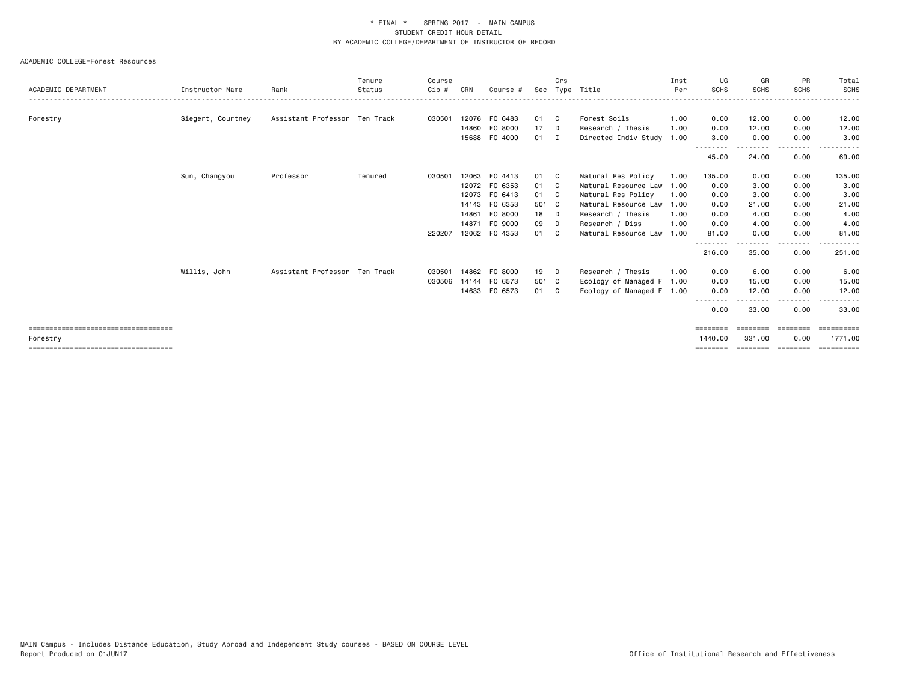|                                       |                   |                               | Tenure  | Course |       |               |        | Crs |                           | Inst | UG                | GR                              | PR          | Total           |
|---------------------------------------|-------------------|-------------------------------|---------|--------|-------|---------------|--------|-----|---------------------------|------|-------------------|---------------------------------|-------------|-----------------|
| ACADEMIC DEPARTMENT                   | Instructor Name   | Rank                          | Status  | Cip #  | CRN   | Course #      |        |     | Sec Type Title            | Per  | <b>SCHS</b>       | <b>SCHS</b>                     | <b>SCHS</b> | <b>SCHS</b>     |
| Forestry                              | Siegert, Courtney | Assistant Professor Ten Track |         | 030501 |       | 12076 FO 6483 | 01 C   |     | Forest Soils              | 1.00 | 0.00              | 12.00                           | 0.00        | 12.00           |
|                                       |                   |                               |         |        |       | 14860 FO 8000 | 17     | D   | Research / Thesis         | 1.00 | 0.00              | 12.00                           | 0.00        | 12.00           |
|                                       |                   |                               |         |        |       | 15688 F0 4000 | $01$ I |     | Directed Indiv Study      | 1.00 | 3.00              | 0.00                            | 0.00        | 3.00            |
|                                       |                   |                               |         |        |       |               |        |     |                           |      | --------<br>45.00 | <u>- - - - - - - -</u><br>24.00 | .<br>0.00   | 69.00           |
|                                       | Sun, Changyou     | Professor                     | Tenured | 030501 |       | 12063 FO 4413 | 01 C   |     | Natural Res Policy        | 1.00 | 135.00            | 0.00                            | 0.00        | 135.00          |
|                                       |                   |                               |         |        |       | 12072 FO 6353 | 01 C   |     | Natural Resource Law      | 1.00 | 0.00              | 3.00                            | 0.00        | 3.00            |
|                                       |                   |                               |         |        | 12073 | FO 6413       | 01 C   |     | Natural Res Policy        | 1.00 | 0.00              | 3.00                            | 0.00        | 3.00            |
|                                       |                   |                               |         |        |       | 14143 FO 6353 | 501 C  |     | Natural Resource Law      | 1.00 | 0.00              | 21.00                           | 0.00        | 21.00           |
|                                       |                   |                               |         |        | 14861 | FO 8000       | 18     | D   | Research / Thesis         | 1.00 | 0.00              | 4.00                            | 0.00        | 4.00            |
|                                       |                   |                               |         |        | 14871 | FO 9000       | 09     | D   | Research / Diss           | 1.00 | 0.00              | 4.00                            | 0.00        | 4.00            |
|                                       |                   |                               |         | 220207 |       | 12062 FO 4353 | 01     | C.  | Natural Resource Law      | 1.00 | 81.00             | 0.00<br>- - - - - - - -         | 0.00<br>.   | 81,00<br>------ |
|                                       |                   |                               |         |        |       |               |        |     |                           |      | 216.00            | 35.00                           | 0.00        | 251.00          |
|                                       | Willis, John      | Assistant Professor Ten Track |         | 030501 |       | 14862 FO 8000 | 19     | D   | Research / Thesis         | 1.00 | 0.00              | 6.00                            | 0.00        | 6.00            |
|                                       |                   |                               |         | 030506 |       | 14144 FO 6573 | 501 C  |     | Ecology of Managed F      | 1.00 | 0.00              | 15.00                           | 0.00        | 15.00           |
|                                       |                   |                               |         |        |       | 14633 FO 6573 | 01 C   |     | Ecology of Managed F 1.00 |      | 0.00              | 12.00                           | 0.00        | 12.00           |
|                                       |                   |                               |         |        |       |               |        |     |                           |      | --------<br>0.00  | 33.00                           | 0.00        | 33.00           |
| ===================================== |                   |                               |         |        |       |               |        |     |                           |      | ========          | ========                        | ========    | ==========      |
| Forestry                              |                   |                               |         |        |       |               |        |     |                           |      | 1440.00           | 331.00                          | 0.00        | 1771.00         |
| ------------------------------------- |                   |                               |         |        |       |               |        |     |                           |      |                   |                                 |             |                 |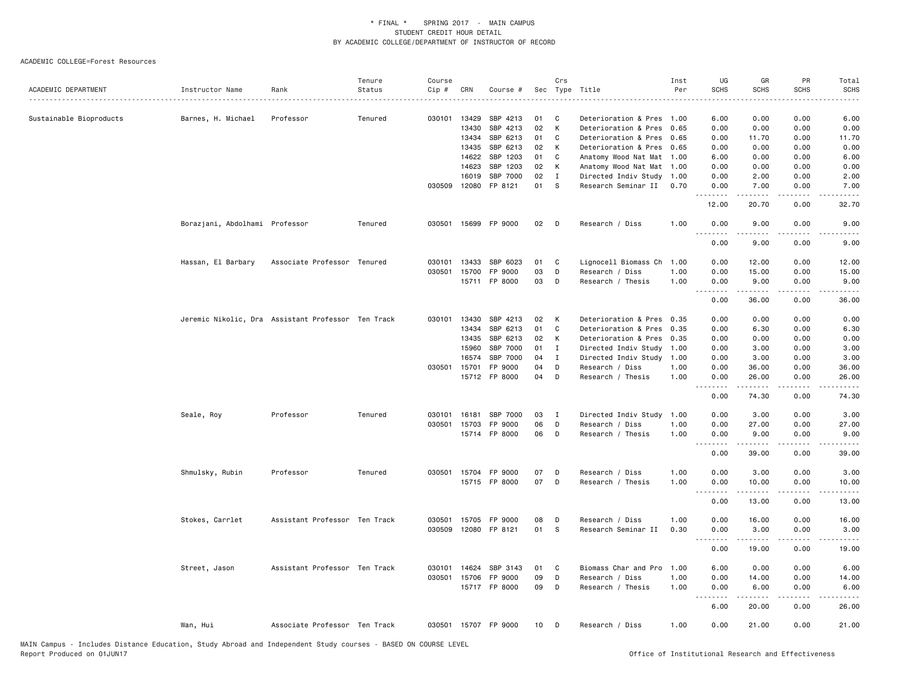|                         |                                                    |                               | Tenure  | Course |                |                      |          | Crs          |                                              | Inst         | UG               | GR                                                                                                                                                            | PR                    | Total                                                                                                                                                        |
|-------------------------|----------------------------------------------------|-------------------------------|---------|--------|----------------|----------------------|----------|--------------|----------------------------------------------|--------------|------------------|---------------------------------------------------------------------------------------------------------------------------------------------------------------|-----------------------|--------------------------------------------------------------------------------------------------------------------------------------------------------------|
| ACADEMIC DEPARTMENT     | Instructor Name                                    | Rank                          | Status  | Cip #  | CRN            | Course #             |          |              | Sec Type Title                               | Per          | <b>SCHS</b>      | <b>SCHS</b>                                                                                                                                                   | <b>SCHS</b>           | <b>SCHS</b>                                                                                                                                                  |
|                         |                                                    |                               |         |        |                |                      |          |              |                                              |              |                  |                                                                                                                                                               |                       |                                                                                                                                                              |
| Sustainable Bioproducts | Barnes, H. Michael                                 | Professor                     | Tenured | 030101 | 13429<br>13430 | SBP 4213<br>SBP 4213 | 01<br>02 | C<br>K       | Deterioration & Pres<br>Deterioration & Pres | 1.00<br>0.65 | 6.00<br>0.00     | 0.00<br>0.00                                                                                                                                                  | 0.00<br>0.00          | 6.00<br>0.00                                                                                                                                                 |
|                         |                                                    |                               |         |        | 13434          | SBP 6213             | 01       | $\mathbb{C}$ | Deterioration & Pres                         | 0.65         | 0.00             | 11.70                                                                                                                                                         | 0.00                  | 11.70                                                                                                                                                        |
|                         |                                                    |                               |         |        | 13435          | SBP 6213             | 02       | К            | Deterioration & Pres                         | 0.65         | 0.00             | 0.00                                                                                                                                                          | 0.00                  | 0.00                                                                                                                                                         |
|                         |                                                    |                               |         |        | 14622          | SBP 1203             | 01       | C            | Anatomy Wood Nat Mat                         | 1.00         | 6.00             | 0.00                                                                                                                                                          | 0.00                  | 6.00                                                                                                                                                         |
|                         |                                                    |                               |         |        | 14623          | SBP 1203             | 02       | К            | Anatomy Wood Nat Mat 1.00                    |              | 0.00             | 0.00                                                                                                                                                          | 0.00                  | 0.00                                                                                                                                                         |
|                         |                                                    |                               |         |        | 16019          | SBP 7000             | 02       | $\mathbf{I}$ | Directed Indiv Study                         | 1.00         | 0.00             | 2.00                                                                                                                                                          | 0.00                  | 2.00                                                                                                                                                         |
|                         |                                                    |                               |         |        |                | 030509 12080 FP 8121 | 01       | S            | Research Seminar II                          | 0.70         | 0.00             | 7.00                                                                                                                                                          | 0.00                  | 7.00                                                                                                                                                         |
|                         |                                                    |                               |         |        |                |                      |          |              |                                              |              | .<br>12.00       | $\frac{1}{2} \left( \frac{1}{2} \right) \left( \frac{1}{2} \right) \left( \frac{1}{2} \right) \left( \frac{1}{2} \right) \left( \frac{1}{2} \right)$<br>20.70 | .<br>0.00             | $\omega$ is $\omega$ in .<br>32.70                                                                                                                           |
|                         | Borazjani, Abdolhami Professor                     |                               | Tenured | 030501 |                | 15699 FP 9000        | 02       | D            | Research / Diss                              | 1.00         | 0.00<br>.        | 9.00                                                                                                                                                          | 0.00<br>$\frac{1}{2}$ | 9.00<br>$- - - -$                                                                                                                                            |
|                         |                                                    |                               |         |        |                |                      |          |              |                                              |              | 0.00             | .<br>9.00                                                                                                                                                     | 0.00                  | 9.00                                                                                                                                                         |
|                         | Hassan, El Barbary                                 | Associate Professor Tenured   |         | 030101 | 13433          | SBP 6023             | 01       | C            | Lignocell Biomass Ch                         | 1.00         | 0.00             | 12.00                                                                                                                                                         | 0.00                  | 12.00                                                                                                                                                        |
|                         |                                                    |                               |         | 030501 | 15700          | FP 9000              | 03       | D            | Research / Diss                              | 1.00         | 0.00             | 15.00                                                                                                                                                         | 0.00                  | 15.00                                                                                                                                                        |
|                         |                                                    |                               |         |        |                | 15711 FP 8000        | 03       | D            | Research / Thesis                            | 1.00         | 0.00<br>.        | 9.00<br>.                                                                                                                                                     | 0.00<br>.             | 9.00<br>المتمامات                                                                                                                                            |
|                         |                                                    |                               |         |        |                |                      |          |              |                                              |              | 0.00             | 36.00                                                                                                                                                         | 0.00                  | 36.00                                                                                                                                                        |
|                         | Jeremic Nikolic, Dra Assistant Professor Ten Track |                               |         | 030101 | 13430          | SBP 4213             | 02       | К            | Deterioration & Pres                         | 0.35         | 0.00             | 0.00                                                                                                                                                          | 0.00                  | 0.00                                                                                                                                                         |
|                         |                                                    |                               |         |        | 13434          | SBP 6213             | 01       | $\mathbb{C}$ | Deterioration & Pres                         | 0.35         | 0.00             | 6.30                                                                                                                                                          | 0.00                  | 6.30                                                                                                                                                         |
|                         |                                                    |                               |         |        | 13435          | SBP 6213             | 02       | К            | Deterioration & Pres                         | 0.35         | 0.00             | 0.00                                                                                                                                                          | 0.00                  | 0.00                                                                                                                                                         |
|                         |                                                    |                               |         |        | 15960          | SBP 7000             | 01       | I            | Directed Indiv Study                         | 1.00         | 0.00             | 3.00                                                                                                                                                          | 0.00                  | 3.00                                                                                                                                                         |
|                         |                                                    |                               |         |        | 16574          | SBP 7000             | 04       | I            | Directed Indiv Study                         | 1.00         | 0.00             | 3.00                                                                                                                                                          | 0.00                  | 3.00                                                                                                                                                         |
|                         |                                                    |                               |         | 030501 | 15701          | FP 9000              | 04       | D            | Research / Diss                              | 1.00         | 0.00             | 36.00                                                                                                                                                         | 0.00                  | 36.00                                                                                                                                                        |
|                         |                                                    |                               |         |        |                | 15712 FP 8000        | 04       | D            | Research / Thesis                            | 1.00         | 0.00             | 26.00                                                                                                                                                         | 0.00                  | 26.00                                                                                                                                                        |
|                         |                                                    |                               |         |        |                |                      |          |              |                                              |              | .<br>0.00        | 74.30                                                                                                                                                         | $- - - -$<br>0.00     | 74.30                                                                                                                                                        |
|                         | Seale, Roy                                         | Professor                     | Tenured | 030101 | 16181          | SBP 7000             | 03       | I            | Directed Indiv Study                         | 1.00         | 0.00             | 3.00                                                                                                                                                          | 0.00                  | 3.00                                                                                                                                                         |
|                         |                                                    |                               |         | 030501 | 15703          | FP 9000              | 06       | D            | Research / Diss                              | 1.00         | 0.00             | 27.00                                                                                                                                                         | 0.00                  | 27.00                                                                                                                                                        |
|                         |                                                    |                               |         |        |                | 15714 FP 8000        | 06       | D            | Research / Thesis                            | 1.00         | 0.00<br>.        | 9.00<br>.                                                                                                                                                     | 0.00<br>.             | 9.00<br>.                                                                                                                                                    |
|                         |                                                    |                               |         |        |                |                      |          |              |                                              |              | 0.00             | 39.00                                                                                                                                                         | 0.00                  | 39.00                                                                                                                                                        |
|                         | Shmulsky, Rubin                                    | Professor                     | Tenured | 030501 |                | 15704 FP 9000        | 07       | D            | Research / Diss                              | 1.00         | 0.00             | 3.00                                                                                                                                                          | 0.00                  | 3.00                                                                                                                                                         |
|                         |                                                    |                               |         |        |                | 15715 FP 8000        | 07       | D            | Research / Thesis                            | 1.00         | 0.00<br>.        | 10.00                                                                                                                                                         | 0.00                  | 10.00                                                                                                                                                        |
|                         |                                                    |                               |         |        |                |                      |          |              |                                              |              | 0.00             | 13.00                                                                                                                                                         | 0.00                  | 13.00                                                                                                                                                        |
|                         | Stokes, Carrlet                                    | Assistant Professor Ten Track |         | 030501 |                | 15705 FP 9000        | 08       | D            | Research / Diss                              | 1.00         | 0.00             | 16.00                                                                                                                                                         | 0.00                  | 16.00                                                                                                                                                        |
|                         |                                                    |                               |         | 030509 |                | 12080 FP 8121        | 01       | S            | Research Seminar II                          | 0.30         | 0.00<br><u>.</u> | 3.00<br>-----                                                                                                                                                 | 0.00                  | 3.00<br>$\frac{1}{2} \left( \frac{1}{2} \right) \left( \frac{1}{2} \right) \left( \frac{1}{2} \right) \left( \frac{1}{2} \right) \left( \frac{1}{2} \right)$ |
|                         |                                                    |                               |         |        |                |                      |          |              |                                              |              | 0.00             | 19.00                                                                                                                                                         | 0.00                  | 19.00                                                                                                                                                        |
|                         | Street, Jason                                      | Assistant Professor Ten Track |         | 030101 | 14624          | SBP 3143             | 01       | C            | Biomass Char and Pro                         | 1.00         | 6.00             | 0.00                                                                                                                                                          | 0.00                  | 6.00                                                                                                                                                         |
|                         |                                                    |                               |         |        |                | 030501 15706 FP 9000 | 09       | D            | Research / Diss                              | 1.00         | 0.00             | 14.00                                                                                                                                                         | 0.00                  | 14.00                                                                                                                                                        |
|                         |                                                    |                               |         |        |                | 15717 FP 8000        | 09       | D            | Research / Thesis                            | 1.00         | 0.00<br>.        | 6.00<br>$\begin{array}{cccccccccc} \bullet & \bullet & \bullet & \bullet & \bullet & \bullet & \bullet \end{array}$                                           | 0.00<br>.             | 6.00<br>المتماما                                                                                                                                             |
|                         |                                                    |                               |         |        |                |                      |          |              |                                              |              | 6.00             | 20.00                                                                                                                                                         | 0.00                  | 26.00                                                                                                                                                        |
|                         | Wan, Hui                                           | Associate Professor Ten Track |         |        |                | 030501 15707 FP 9000 | 10       | D            | Research / Diss                              | 1.00         | 0.00             | 21.00                                                                                                                                                         | 0.00                  | 21.00                                                                                                                                                        |
|                         |                                                    |                               |         |        |                |                      |          |              |                                              |              |                  |                                                                                                                                                               |                       |                                                                                                                                                              |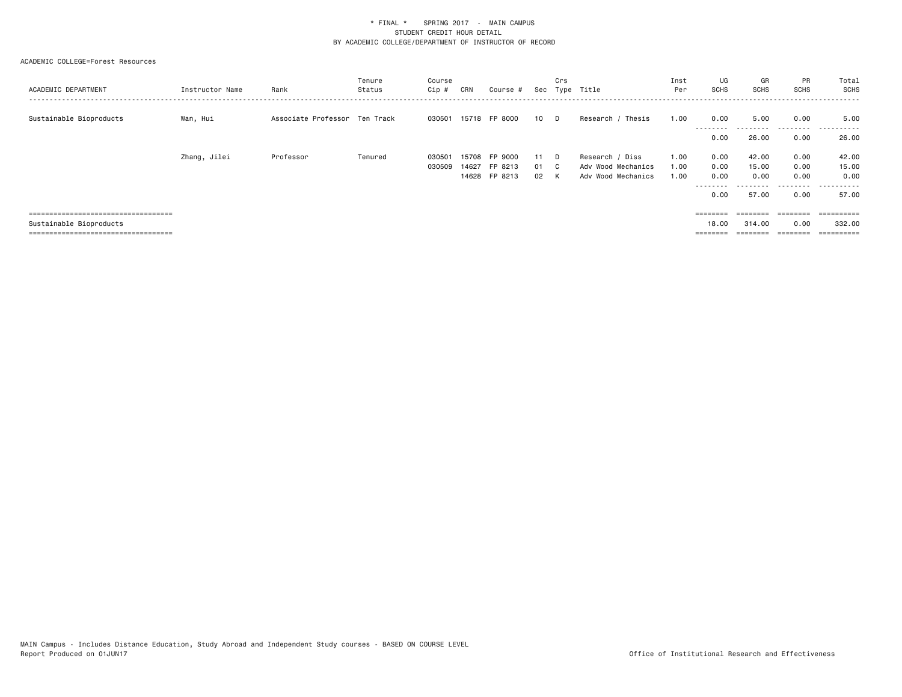| ACADEMIC DEPARTMENT                   | Instructor Name | Rank                          | Tenure<br>Status | Course<br>Cip # | CRN   | Course #      |      | Crs | Sec Type Title       | Inst<br>Per | UG<br><b>SCHS</b> | GR<br>SCHS               | <b>PR</b><br><b>SCHS</b> | Total<br>SCHS                     |
|---------------------------------------|-----------------|-------------------------------|------------------|-----------------|-------|---------------|------|-----|----------------------|-------------|-------------------|--------------------------|--------------------------|-----------------------------------|
| Sustainable Bioproducts               | Wan, Hui        | Associate Professor Ten Track |                  | 030501          |       | 15718 FP 8000 | 10 D |     | Thesis<br>Research / | 1.00        | 0.00<br>--------- | 5.00<br>- - - - - - - -  | 0.00<br>.                | 5.00<br>-------<br>$- - -$        |
|                                       |                 |                               |                  |                 |       |               |      |     |                      |             | 0.00              | 26.00                    | 0.00                     | 26.00                             |
|                                       | Zhang, Jilei    | Professor                     | Tenured          | 030501          | 15708 | FP 9000       | 11   | D.  | Research / Diss      | 1.00        | 0.00              | 42.00                    | 0.00                     | 42.00                             |
|                                       |                 |                               |                  | 030509          | 14627 | FP 8213       | 01   | C.  | Adv Wood Mechanics   | 1.00        | 0.00              | 15.00                    | 0.00                     | 15.00                             |
|                                       |                 |                               |                  |                 |       | 14628 FP 8213 | 02   | K   | Adv Wood Mechanics   | 1.00        | 0.00              | 0.00                     | 0.00                     | 0.00                              |
|                                       |                 |                               |                  |                 |       |               |      |     |                      |             | ---------<br>0.00 | - - - - - - - -<br>57.00 | .<br>0.00                | - - - - - - -<br>$- - -$<br>57.00 |
| ====================================  |                 |                               |                  |                 |       |               |      |     |                      |             | ========          | $=$ = = = = = = =        | ========                 | ==========                        |
| Sustainable Bioproducts               |                 |                               |                  |                 |       |               |      |     |                      |             | 18.00             | 314,00                   | 0.00                     | 332.00                            |
| ===================================== |                 |                               |                  |                 |       |               |      |     |                      |             |                   |                          | _______                  | $=$ =========                     |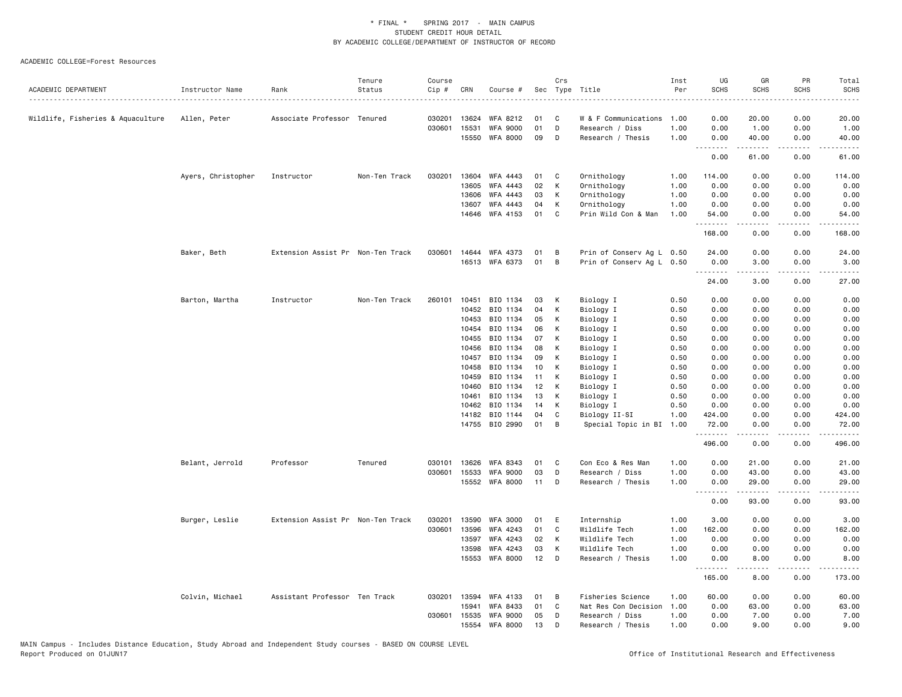|                                   |                    |                                   | Tenure        | Course           |       |                             |          | Crs    |                                         | Inst | UG                                                                                                                                                                                                                                                                                                                                                                                                                                                                                     | GR            | PR                                  | Total                                             |
|-----------------------------------|--------------------|-----------------------------------|---------------|------------------|-------|-----------------------------|----------|--------|-----------------------------------------|------|----------------------------------------------------------------------------------------------------------------------------------------------------------------------------------------------------------------------------------------------------------------------------------------------------------------------------------------------------------------------------------------------------------------------------------------------------------------------------------------|---------------|-------------------------------------|---------------------------------------------------|
| ACADEMIC DEPARTMENT               | Instructor Name    | Rank                              | Status        | Cip #            | CRN   | Course #                    |          |        | Sec Type Title                          | Per  | <b>SCHS</b>                                                                                                                                                                                                                                                                                                                                                                                                                                                                            | <b>SCHS</b>   | <b>SCHS</b>                         | <b>SCHS</b><br>$\sim$ $\sim$ $\sim$ $\sim$ $\sim$ |
|                                   |                    |                                   |               |                  | 13624 |                             |          |        |                                         | 1.00 |                                                                                                                                                                                                                                                                                                                                                                                                                                                                                        |               | 0.00                                | 20.00                                             |
| Wildlife, Fisheries & Aquaculture | Allen, Peter       | Associate Professor Tenured       |               | 030201<br>030601 | 15531 | WFA 8212<br><b>WFA 9000</b> | 01<br>01 | C<br>D | W & F Communications<br>Research / Diss | 1.00 | 0.00<br>0.00                                                                                                                                                                                                                                                                                                                                                                                                                                                                           | 20.00<br>1.00 | 0.00                                | 1.00                                              |
|                                   |                    |                                   |               |                  |       | 15550 WFA 8000              | 09       | D      | Research / Thesis                       | 1.00 | 0.00                                                                                                                                                                                                                                                                                                                                                                                                                                                                                   | 40.00         | 0.00                                | 40.00                                             |
|                                   |                    |                                   |               |                  |       |                             |          |        |                                         |      | $\begin{array}{cccccccccccccc} \multicolumn{2}{c}{} & \multicolumn{2}{c}{} & \multicolumn{2}{c}{} & \multicolumn{2}{c}{} & \multicolumn{2}{c}{} & \multicolumn{2}{c}{} & \multicolumn{2}{c}{} & \multicolumn{2}{c}{} & \multicolumn{2}{c}{} & \multicolumn{2}{c}{} & \multicolumn{2}{c}{} & \multicolumn{2}{c}{} & \multicolumn{2}{c}{} & \multicolumn{2}{c}{} & \multicolumn{2}{c}{} & \multicolumn{2}{c}{} & \multicolumn{2}{c}{} & \multicolumn{2}{c}{} & \multicolumn{2}{c}{} & \$ | .             | .                                   | .                                                 |
|                                   |                    |                                   |               |                  |       |                             |          |        |                                         |      | 0.00                                                                                                                                                                                                                                                                                                                                                                                                                                                                                   | 61.00         | 0.00                                | 61.00                                             |
|                                   | Ayers, Christopher | Instructor                        | Non-Ten Track | 030201           | 13604 | WFA 4443                    | 01       | C      | Ornithology                             | 1.00 | 114.00                                                                                                                                                                                                                                                                                                                                                                                                                                                                                 | 0.00          | 0.00                                | 114.00                                            |
|                                   |                    |                                   |               |                  | 13605 | <b>WFA 4443</b>             | 02       | К      | Ornithology                             | 1.00 | 0.00                                                                                                                                                                                                                                                                                                                                                                                                                                                                                   | 0.00          | 0.00                                | 0.00                                              |
|                                   |                    |                                   |               |                  | 13606 | WFA 4443                    | 03       | К      | Ornithology                             | 1.00 | 0.00                                                                                                                                                                                                                                                                                                                                                                                                                                                                                   | 0.00          | 0.00                                | 0.00                                              |
|                                   |                    |                                   |               |                  | 13607 | WFA 4443                    | 04       | К      | Ornithology                             | 1.00 | 0.00                                                                                                                                                                                                                                                                                                                                                                                                                                                                                   | 0.00          | 0.00                                | 0.00                                              |
|                                   |                    |                                   |               |                  | 14646 | WFA 4153                    | 01       | C      | Prin Wild Con & Man                     | 1.00 | 54.00<br>.                                                                                                                                                                                                                                                                                                                                                                                                                                                                             | 0.00          | 0.00<br>.                           | 54.00<br>.                                        |
|                                   |                    |                                   |               |                  |       |                             |          |        |                                         |      | 168.00                                                                                                                                                                                                                                                                                                                                                                                                                                                                                 | 0.00          | 0.00                                | 168.00                                            |
|                                   | Baker, Beth        | Extension Assist Pr Non-Ten Track |               | 030601           | 14644 | WFA 4373                    | 01       | в      | Prin of Conserv Ag L 0.50               |      | 24.00                                                                                                                                                                                                                                                                                                                                                                                                                                                                                  | 0.00          | 0.00                                | 24.00                                             |
|                                   |                    |                                   |               |                  |       | 16513 WFA 6373              | 01       | B      | Prin of Conserv Ag L 0.50               |      | 0.00                                                                                                                                                                                                                                                                                                                                                                                                                                                                                   | 3.00          | 0.00                                | 3.00                                              |
|                                   |                    |                                   |               |                  |       |                             |          |        |                                         |      | 24.00                                                                                                                                                                                                                                                                                                                                                                                                                                                                                  | 3.00          | $\sim$ $\sim$ $\sim$ $\sim$<br>0.00 | 27.00                                             |
|                                   | Barton, Martha     | Instructor                        | Non-Ten Track | 260101           | 10451 | BIO 1134                    | 03       | К      | Biology I                               | 0.50 | 0.00                                                                                                                                                                                                                                                                                                                                                                                                                                                                                   | 0.00          | 0.00                                | 0.00                                              |
|                                   |                    |                                   |               |                  | 10452 | BIO 1134                    | 04       | К      | Biology I                               | 0.50 | 0.00                                                                                                                                                                                                                                                                                                                                                                                                                                                                                   | 0.00          | 0.00                                | 0.00                                              |
|                                   |                    |                                   |               |                  | 10453 | BIO 1134                    | 05       | К      | Biology I                               | 0.50 | 0.00                                                                                                                                                                                                                                                                                                                                                                                                                                                                                   | 0.00          | 0.00                                | 0.00                                              |
|                                   |                    |                                   |               |                  | 10454 | BIO 1134                    | 06       | К      | Biology I                               | 0.50 | 0.00                                                                                                                                                                                                                                                                                                                                                                                                                                                                                   | 0.00          | 0.00                                | 0.00                                              |
|                                   |                    |                                   |               |                  | 10455 | BIO 1134                    | 07       | К      | Biology I                               | 0.50 | 0.00                                                                                                                                                                                                                                                                                                                                                                                                                                                                                   | 0.00          | 0.00                                | 0.00                                              |
|                                   |                    |                                   |               |                  | 10456 | BIO 1134                    | 08       | К      | Biology I                               | 0.50 | 0.00                                                                                                                                                                                                                                                                                                                                                                                                                                                                                   | 0.00          | 0.00                                | 0.00                                              |
|                                   |                    |                                   |               |                  | 10457 | BIO 1134                    | 09       | К      | Biology I                               | 0.50 | 0.00                                                                                                                                                                                                                                                                                                                                                                                                                                                                                   | 0.00          | 0.00                                | 0.00                                              |
|                                   |                    |                                   |               |                  | 10458 | BIO 1134                    | 10       | К      | Biology I                               | 0.50 | 0.00                                                                                                                                                                                                                                                                                                                                                                                                                                                                                   | 0.00          | 0.00                                | 0.00                                              |
|                                   |                    |                                   |               |                  | 10459 | BIO 1134                    | 11       | К      | Biology I                               | 0.50 | 0.00                                                                                                                                                                                                                                                                                                                                                                                                                                                                                   | 0.00          | 0.00                                | 0.00                                              |
|                                   |                    |                                   |               |                  | 10460 | BIO 1134                    | 12       | К      | Biology I                               | 0.50 | 0.00                                                                                                                                                                                                                                                                                                                                                                                                                                                                                   | 0.00          | 0.00                                | 0.00                                              |
|                                   |                    |                                   |               |                  | 10461 | BIO 1134                    | 13       | K      | Biology I                               | 0.50 | 0.00                                                                                                                                                                                                                                                                                                                                                                                                                                                                                   | 0.00          | 0.00                                | 0.00                                              |
|                                   |                    |                                   |               |                  | 10462 | BIO 1134                    | 14       | к      | Biology I                               | 0.50 | 0.00                                                                                                                                                                                                                                                                                                                                                                                                                                                                                   | 0.00          | 0.00                                | 0.00                                              |
|                                   |                    |                                   |               |                  | 14182 | BIO 1144                    | 04       | C      | Biology II-SI                           | 1.00 | 424.00                                                                                                                                                                                                                                                                                                                                                                                                                                                                                 | 0.00          | 0.00                                | 424.00                                            |
|                                   |                    |                                   |               |                  |       | 14755 BIO 2990              | 01       | В      | Special Topic in BI                     | 1.00 | 72.00<br>.                                                                                                                                                                                                                                                                                                                                                                                                                                                                             | 0.00<br>----- | 0.00<br>.                           | 72.00<br>$- - - - - - -$                          |
|                                   |                    |                                   |               |                  |       |                             |          |        |                                         |      | 496.00                                                                                                                                                                                                                                                                                                                                                                                                                                                                                 | 0.00          | 0.00                                | 496.00                                            |
|                                   | Belant, Jerrold    | Professor                         | Tenured       | 030101           | 13626 | WFA 8343                    | 01       | C      | Con Eco & Res Man                       | 1.00 | 0.00                                                                                                                                                                                                                                                                                                                                                                                                                                                                                   | 21.00         | 0.00                                | 21.00                                             |
|                                   |                    |                                   |               | 030601           | 15533 | <b>WFA 9000</b>             | 03       | D      | Research / Diss                         | 1.00 | 0.00                                                                                                                                                                                                                                                                                                                                                                                                                                                                                   | 43.00         | 0.00                                | 43.00                                             |
|                                   |                    |                                   |               |                  |       | 15552 WFA 8000              | 11       | D      | Research / Thesis                       | 1.00 | 0.00<br>.                                                                                                                                                                                                                                                                                                                                                                                                                                                                              | 29.00<br>.    | 0.00<br>.                           | 29.00<br>.                                        |
|                                   |                    |                                   |               |                  |       |                             |          |        |                                         |      | 0.00                                                                                                                                                                                                                                                                                                                                                                                                                                                                                   | 93.00         | 0.00                                | 93.00                                             |
|                                   | Burger, Leslie     | Extension Assist Pr Non-Ten Track |               | 030201           | 13590 | <b>WFA 3000</b>             | 01       | E      | Internship                              | 1.00 | 3.00                                                                                                                                                                                                                                                                                                                                                                                                                                                                                   | 0.00          | 0.00                                | 3.00                                              |
|                                   |                    |                                   |               | 030601           | 13596 | WFA 4243                    | 01       | C      | Wildlife Tech                           | 1.00 | 162.00                                                                                                                                                                                                                                                                                                                                                                                                                                                                                 | 0.00          | 0.00                                | 162.00                                            |
|                                   |                    |                                   |               |                  | 13597 | WFA 4243                    | 02       | К      | Wildlife Tech                           | 1.00 | 0.00                                                                                                                                                                                                                                                                                                                                                                                                                                                                                   | 0.00          | 0.00                                | 0.00                                              |
|                                   |                    |                                   |               |                  | 13598 | WFA 4243                    | 03       | К      | Wildlife Tech                           | 1.00 | 0.00                                                                                                                                                                                                                                                                                                                                                                                                                                                                                   | 0.00          | 0.00                                | 0.00                                              |
|                                   |                    |                                   |               |                  |       | 15553 WFA 8000              | 12       | D      | Research / Thesis                       | 1.00 | 0.00<br>.                                                                                                                                                                                                                                                                                                                                                                                                                                                                              | 8.00<br>.     | 0.00<br>$\sim$ $\sim$ $\sim$ $\sim$ | 8.00<br>.                                         |
|                                   |                    |                                   |               |                  |       |                             |          |        |                                         |      | 165.00                                                                                                                                                                                                                                                                                                                                                                                                                                                                                 | 8.00          | 0.00                                | 173.00                                            |
|                                   | Colvin, Michael    | Assistant Professor Ten Track     |               | 030201           | 13594 | WFA 4133                    | 01       | B      | Fisheries Science                       | 1.00 | 60.00                                                                                                                                                                                                                                                                                                                                                                                                                                                                                  | 0.00          | 0.00                                | 60.00                                             |
|                                   |                    |                                   |               |                  | 15941 | WFA 8433                    | 01       | C      | Nat Res Con Decision                    | 1.00 | 0.00                                                                                                                                                                                                                                                                                                                                                                                                                                                                                   | 63.00         | 0.00                                | 63.00                                             |
|                                   |                    |                                   |               | 030601           | 15535 | WFA 9000                    | 05       | D      | Research / Diss                         | 1.00 | 0.00                                                                                                                                                                                                                                                                                                                                                                                                                                                                                   | 7.00          | 0.00                                | 7.00                                              |
|                                   |                    |                                   |               |                  | 15554 | <b>WFA 8000</b>             | 13       | D      | Research / Thesis                       | 1.00 | 0.00                                                                                                                                                                                                                                                                                                                                                                                                                                                                                   | 9.00          | 0.00                                | 9.00                                              |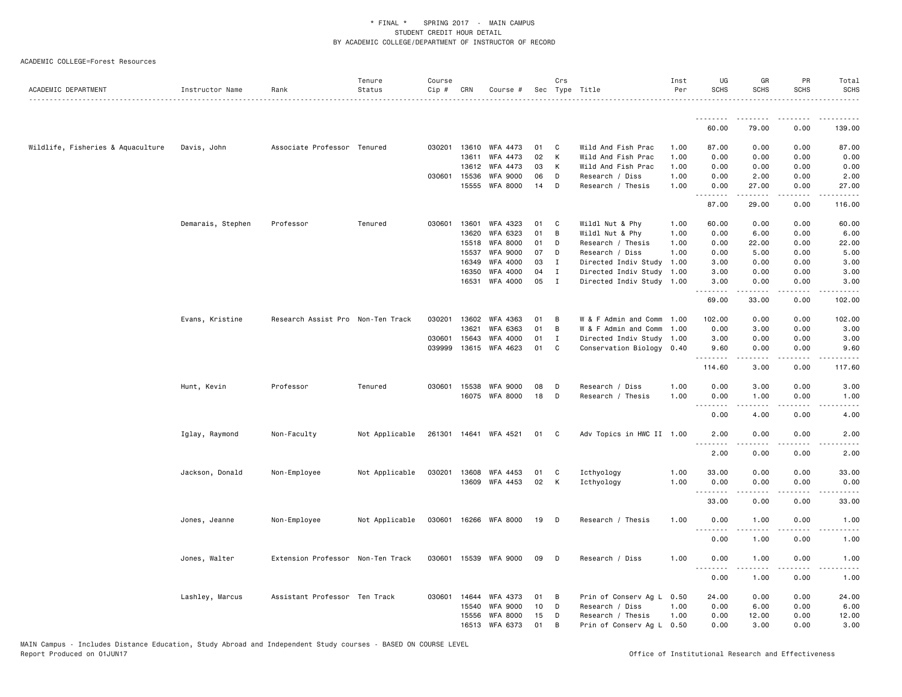| ACADEMIC DEPARTMENT               | Instructor Name   | Rank                              | Tenure<br>Status | Course<br>Cip # | CRN   | Course #              |      | Crs          | Sec Type Title            | Inst<br>Per | UG<br><b>SCHS</b>                                                                                                         | GR<br><b>SCHS</b> | PR<br><b>SCHS</b>            | Total<br><b>SCHS</b>  |
|-----------------------------------|-------------------|-----------------------------------|------------------|-----------------|-------|-----------------------|------|--------------|---------------------------|-------------|---------------------------------------------------------------------------------------------------------------------------|-------------------|------------------------------|-----------------------|
|                                   |                   |                                   |                  |                 |       |                       |      |              |                           |             |                                                                                                                           |                   |                              | .                     |
|                                   |                   |                                   |                  |                 |       |                       |      |              |                           |             | .<br>60.00                                                                                                                | <u>.</u><br>79.00 | $- - -$<br>0.00              | .<br>139.00           |
| Wildlife, Fisheries & Aquaculture | Davis, John       | Associate Professor Tenured       |                  | 030201          |       | 13610 WFA 4473        | 01   | C            | Wild And Fish Prac        | 1.00        | 87.00                                                                                                                     | 0.00              | 0.00                         | 87.00                 |
|                                   |                   |                                   |                  |                 | 13611 | WFA 4473              | 02   | К            | Wild And Fish Prac        | 1.00        | 0.00                                                                                                                      | 0.00              | 0.00                         | 0.00                  |
|                                   |                   |                                   |                  |                 | 13612 | WFA 4473              | 03   | К            | Wild And Fish Prac        | 1.00        | 0.00                                                                                                                      | 0.00              | 0.00                         | 0.00                  |
|                                   |                   |                                   |                  | 030601          | 15536 | <b>WFA 9000</b>       | 06   | D            | Research / Diss           | 1.00        | 0.00                                                                                                                      | 2.00              | 0.00                         | 2.00                  |
|                                   |                   |                                   |                  |                 | 15555 | WFA 8000              | 14   | D            | Research / Thesis         | 1.00        | 0.00<br>.                                                                                                                 | 27.00             | 0.00<br>$\frac{1}{2}$        | 27.00<br>.            |
|                                   |                   |                                   |                  |                 |       |                       |      |              |                           |             | 87.00                                                                                                                     | 29.00             | 0.00                         | 116.00                |
|                                   | Demarais, Stephen | Professor                         | Tenured          | 030601          | 13601 | WFA 4323              | 01   | C            | Wildl Nut & Phy           | 1.00        | 60.00                                                                                                                     | 0.00              | 0.00                         | 60.00                 |
|                                   |                   |                                   |                  |                 | 13620 | WFA 6323              | 01   | B            | Wildl Nut & Phy           | 1.00        | 0.00                                                                                                                      | 6.00              | 0.00                         | 6.00                  |
|                                   |                   |                                   |                  |                 | 15518 | <b>WFA 8000</b>       | 01   | D            | Research / Thesis         | 1.00        | 0.00                                                                                                                      | 22.00             | 0.00                         | 22.00                 |
|                                   |                   |                                   |                  |                 | 15537 | <b>WFA 9000</b>       | 07   | D            | Research / Diss           | 1.00        | 0.00                                                                                                                      | 5.00              | 0.00                         | 5.00                  |
|                                   |                   |                                   |                  |                 | 16349 | WFA 4000              | 03   | Ι.           | Directed Indiv Study      | 1.00        | 3.00                                                                                                                      | 0.00              | 0.00                         | 3.00                  |
|                                   |                   |                                   |                  |                 | 16350 | WFA 4000              | 04   | $\mathbf{I}$ | Directed Indiv Study      | 1.00        | 3.00                                                                                                                      | 0.00              | 0.00                         | 3.00                  |
|                                   |                   |                                   |                  |                 | 16531 | WFA 4000              | 05   | $\mathbf{I}$ | Directed Indiv Study 1.00 |             | 3.00                                                                                                                      | 0.00              | 0.00                         | 3.00<br>$\frac{1}{2}$ |
|                                   |                   |                                   |                  |                 |       |                       |      |              |                           |             | 69.00                                                                                                                     | 33.00             | 0.00                         | 102.00                |
|                                   | Evans, Kristine   | Research Assist Pro Non-Ten Track |                  | 030201          |       | 13602 WFA 4363        | 01   | В            | W & F Admin and Comm      | 1.00        | 102.00                                                                                                                    | 0.00              | 0.00                         | 102.00                |
|                                   |                   |                                   |                  |                 | 13621 | WFA 6363              | 01   | В            | W & F Admin and Comm      | 1.00        | 0.00                                                                                                                      | 3.00              | 0.00                         | 3.00                  |
|                                   |                   |                                   |                  | 030601          | 15643 | <b>WFA 4000</b>       | 01   | $\mathbf{I}$ | Directed Indiv Study 1.00 |             | 3.00                                                                                                                      | 0.00              | 0.00                         | 3.00                  |
|                                   |                   |                                   |                  | 039999          |       | 13615 WFA 4623        | 01   | C            | Conservation Biology 0.40 |             | 9.60<br>.                                                                                                                 | 0.00<br>.         | 0.00<br>.                    | 9.60                  |
|                                   |                   |                                   |                  |                 |       |                       |      |              |                           |             | 114.60                                                                                                                    | 3.00              | 0.00                         | 117.60                |
|                                   | Hunt, Kevin       | Professor                         | Tenured          | 030601          | 15538 | WFA 9000              | 08   | D            | Research / Diss           | 1.00        | 0.00                                                                                                                      | 3.00              | 0.00                         | 3.00                  |
|                                   |                   |                                   |                  |                 |       | 16075 WFA 8000        | 18   | D            | Research / Thesis         | 1.00        | 0.00                                                                                                                      | 1.00              | 0.00                         | 1.00                  |
|                                   |                   |                                   |                  |                 |       |                       |      |              |                           |             | $\frac{1}{2} \left( \frac{1}{2} \right) \left( \frac{1}{2} \right) \left( \frac{1}{2} \right) \left( \frac{1}{2} \right)$ | .<br>4.00         | $\sim$ $\sim$ $\sim$ $\sim$  | .                     |
|                                   |                   |                                   |                  |                 |       |                       |      |              |                           |             | 0.00                                                                                                                      |                   | 0.00                         | 4.00                  |
|                                   | Iglay, Raymond    | Non-Faculty                       | Not Applicable   |                 |       | 261301 14641 WFA 4521 | 01 C |              | Adv Topics in HWC II 1.00 |             | 2.00<br><u>.</u>                                                                                                          | 0.00<br><u>.</u>  | 0.00<br>$\sim$ $\sim$ $\sim$ | 2.00<br>-----         |
|                                   |                   |                                   |                  |                 |       |                       |      |              |                           |             | 2.00                                                                                                                      | 0.00              | 0.00                         | 2.00                  |
|                                   | Jackson, Donald   | Non-Employee                      | Not Applicable   | 030201          |       | 13608 WFA 4453        | 01   | C            | Icthyology                | 1.00        | 33.00                                                                                                                     | 0.00              | 0.00                         | 33.00                 |
|                                   |                   |                                   |                  |                 |       | 13609 WFA 4453        | 02   | K            | Icthyology                | 1.00        | 0.00                                                                                                                      | 0.00              | 0.00                         | 0.00                  |
|                                   |                   |                                   |                  |                 |       |                       |      |              |                           |             | <u>.</u><br>33.00                                                                                                         | .<br>0.00         | .<br>0.00                    | $- - - - -$<br>33.00  |
|                                   |                   |                                   | Not Applicable   | 030601          |       | 16266 WFA 8000        | 19   | D            | Research / Thesis         | 1.00        | 0.00                                                                                                                      | 1.00              | 0.00                         | 1.00                  |
|                                   | Jones, Jeanne     | Non-Employee                      |                  |                 |       |                       |      |              |                           |             | <u>.</u>                                                                                                                  |                   |                              |                       |
|                                   |                   |                                   |                  |                 |       |                       |      |              |                           |             | 0.00                                                                                                                      | 1.00              | 0.00                         | 1.00                  |
|                                   | Jones, Walter     | Extension Professor Non-Ten Track |                  | 030601          |       | 15539 WFA 9000        | 09   | D            | Research / Diss           | 1.00        | 0.00<br>$\sim$ $\sim$ $\sim$                                                                                              | 1.00<br>.         | 0.00<br>$- - - -$            | 1.00<br>.             |
|                                   |                   |                                   |                  |                 |       |                       |      |              |                           |             | 0.00                                                                                                                      | 1.00              | 0.00                         | 1.00                  |
|                                   | Lashley, Marcus   | Assistant Professor Ten Track     |                  | 030601          | 14644 | WFA 4373              | 01   | В            | Prin of Conserv Ag L 0.50 |             | 24.00                                                                                                                     | 0.00              | 0.00                         | 24.00                 |
|                                   |                   |                                   |                  |                 | 15540 | <b>WFA 9000</b>       | 10   | D            | Research / Diss           | 1.00        | 0.00                                                                                                                      | 6.00              | 0.00                         | 6.00                  |
|                                   |                   |                                   |                  |                 | 15556 | WFA 8000              | 15   | D            | Research / Thesis         | 1.00        | 0.00                                                                                                                      | 12.00             | 0.00                         | 12.00                 |
|                                   |                   |                                   |                  |                 |       | 16513 WFA 6373        | 01   | В            | Prin of Conserv Ag L 0.50 |             | 0.00                                                                                                                      | 3.00              | 0.00                         | 3.00                  |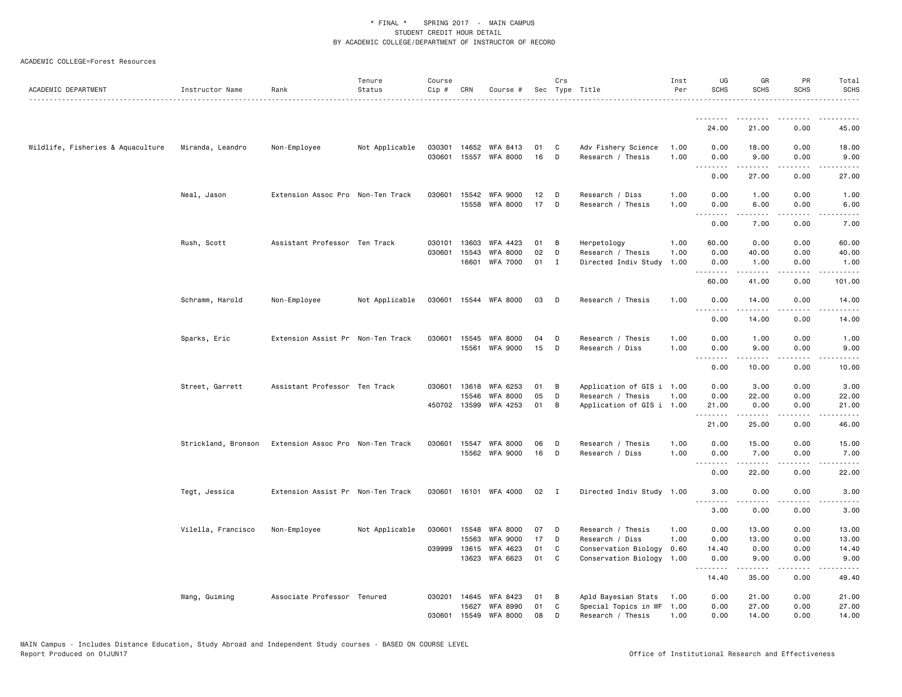| ACADEMIC DEPARTMENT               | Instructor Name     | Rank                              | Tenure<br>Status | Course<br>Cip # | CRN                   | Course #                           |          | Crs               | Sec Type Title                                 | Inst<br>Per  | UG<br><b>SCHS</b> | GR<br>SCHS       | PR<br><b>SCHS</b>     | Total<br><b>SCHS</b> |
|-----------------------------------|---------------------|-----------------------------------|------------------|-----------------|-----------------------|------------------------------------|----------|-------------------|------------------------------------------------|--------------|-------------------|------------------|-----------------------|----------------------|
|                                   |                     |                                   |                  |                 |                       |                                    |          |                   |                                                |              |                   |                  |                       |                      |
|                                   |                     |                                   |                  |                 |                       |                                    |          |                   |                                                |              | .<br>24,00        | 21.00            | 0.00                  | 45.00                |
| Wildlife, Fisheries & Aquaculture | Miranda, Leandro    | Non-Employee                      | Not Applicable   | 030301          |                       | 14652 WFA 8413                     | 01       | C                 | Adv Fishery Science                            | 1.00         | 0.00              | 18.00            | 0.00                  | 18.00                |
|                                   |                     |                                   |                  | 030601          |                       | 15557 WFA 8000                     | 16       | D                 | Research / Thesis                              | 1.00         | 0.00              | 9.00<br>.        | 0.00<br>.             | 9.00<br>المتماما     |
|                                   |                     |                                   |                  |                 |                       |                                    |          |                   |                                                |              | 0.00              | 27.00            | 0.00                  | 27.00                |
|                                   | Neal, Jason         | Extension Assoc Pro Non-Ten Track |                  | 030601          | 15542                 | <b>WFA 9000</b>                    | 12       | D                 | Research / Diss                                | 1.00         | 0.00              | 1.00             | 0.00                  | 1.00                 |
|                                   |                     |                                   |                  |                 |                       | 15558 WFA 8000                     | 17       | D                 | Research / Thesis                              | 1.00         | 0.00<br><b></b>   | 6.00<br>.        | 0.00<br>.             | 6.00<br>.            |
|                                   |                     |                                   |                  |                 |                       |                                    |          |                   |                                                |              | 0.00              | 7.00             | 0.00                  | 7.00                 |
|                                   | Rush, Scott         | Assistant Professor Ten Track     |                  | 030101          | 13603                 | WFA 4423                           | 01       | В                 | Herpetology                                    | 1.00         | 60.00             | 0.00             | 0.00                  | 60.00                |
|                                   |                     |                                   |                  | 030601          | 15543<br>16601        | <b>WFA 8000</b><br><b>WFA 7000</b> | 02<br>01 | D<br>$\mathbf{I}$ | Research / Thesis<br>Directed Indiv Study      | 1.00<br>1.00 | 0.00<br>0.00      | 40.00<br>1.00    | 0.00<br>0.00          | 40.00<br>1.00        |
|                                   |                     |                                   |                  |                 |                       |                                    |          |                   |                                                |              | <u>.</u>          |                  |                       | .                    |
|                                   |                     |                                   |                  |                 |                       |                                    |          |                   |                                                |              | 60.00             | 41.00            | 0.00                  | 101.00               |
|                                   | Schramm, Harold     | Non-Employee                      | Not Applicable   |                 |                       | 030601 15544 WFA 8000              | 03       | D                 | Research / Thesis                              | 1.00         | 0.00<br>.         | 14.00<br>.       | 0.00<br>$\frac{1}{2}$ | 14.00<br>.           |
|                                   |                     |                                   |                  |                 |                       |                                    |          |                   |                                                |              | 0.00              | 14.00            | 0.00                  | 14.00                |
|                                   | Sparks, Eric        | Extension Assist Pr Non-Ten Track |                  | 030601          | 15545                 | <b>WFA 8000</b>                    | 04       | D                 | Research / Thesis                              | 1.00         | 0.00              | 1.00             | 0.00                  | 1.00                 |
|                                   |                     |                                   |                  |                 | 15561                 | <b>WFA 9000</b>                    | 15       | D                 | Research / Diss                                | 1.00         | 0.00<br>----      | 9.00<br>.        | 0.00<br>- - - -       | 9.00                 |
|                                   |                     |                                   |                  |                 |                       |                                    |          |                   |                                                |              | 0.00              | 10.00            | 0.00                  | 10.00                |
|                                   | Street, Garrett     | Assistant Professor Ten Track     |                  | 030601          | 13618                 | WFA 6253                           | 01       | в                 | Application of GIS i 1.00                      |              | 0.00              | 3.00             | 0.00                  | 3.00                 |
|                                   |                     |                                   |                  |                 | 15546<br>450702 13599 | <b>WFA 8000</b><br>WFA 4253        | 05<br>01 | D<br>B            | Research / Thesis                              | 1.00         | 0.00<br>21.00     | 22.00<br>0.00    | 0.00<br>0.00          | 22.00<br>21.00       |
|                                   |                     |                                   |                  |                 |                       |                                    |          |                   | Application of GIS i 1.00                      |              | .                 | .                | .                     | . د د د د            |
|                                   |                     |                                   |                  |                 |                       |                                    |          |                   |                                                |              | 21.00             | 25.00            | 0.00                  | 46.00                |
|                                   | Strickland, Bronson | Extension Assoc Pro Non-Ten Track |                  | 030601          | 15547                 | <b>WFA 8000</b>                    | 06       | D                 | Research / Thesis                              | 1.00         | 0.00              | 15.00            | 0.00                  | 15.00                |
|                                   |                     |                                   |                  |                 |                       | 15562 WFA 9000                     | 16       | D                 | Research / Diss                                | 1.00         | 0.00<br><u>.</u>  | 7.00<br>.        | 0.00<br>.             | 7.00<br>المتمام      |
|                                   |                     |                                   |                  |                 |                       |                                    |          |                   |                                                |              | 0.00              | 22.00            | 0.00                  | 22.00                |
|                                   | Tegt, Jessica       | Extension Assist Pr Non-Ten Track |                  |                 |                       | 030601 16101 WFA 4000              | 02 I     |                   | Directed Indiv Study 1.00                      |              | 3.00              | 0.00             | 0.00                  | 3.00                 |
|                                   |                     |                                   |                  |                 |                       |                                    |          |                   |                                                |              | <u>.</u><br>3.00  | <u>.</u><br>0.00 | .<br>0.00             | ----<br>3.00         |
|                                   | Vilella, Francisco  | Non-Employee                      | Not Applicable   | 030601          | 15548                 | <b>WFA 8000</b>                    | 07       | D                 | Research / Thesis                              | 1.00         | 0.00              | 13.00            | 0.00                  | 13.00                |
|                                   |                     |                                   |                  |                 | 15563                 | <b>WFA 9000</b>                    | 17       | D                 | Research / Diss                                | 1.00         | 0.00              | 13.00            | 0.00                  | 13.00                |
|                                   |                     |                                   |                  |                 | 039999 13615          | WFA 4623                           | 01       | C                 | Conservation Biology                           | 0.60         | 14.40             | 0.00             | 0.00                  | 14.40                |
|                                   |                     |                                   |                  |                 | 13623                 | WFA 6623                           | 01       | C                 | Conservation Biology 1.00                      |              | 0.00<br><u>.</u>  | 9.00<br>.        | 0.00<br>.             | 9.00<br>. د د د د    |
|                                   |                     |                                   |                  |                 |                       |                                    |          |                   |                                                |              | 14.40             | 35.00            | 0.00                  | 49.40                |
|                                   | Wang, Guiming       | Associate Professor Tenured       |                  | 030201          | 14645                 | WFA 8423                           | 01       | B                 | Apld Bayesian Stats                            | 1.00         | 0.00              | 21.00            | 0.00                  | 21.00                |
|                                   |                     |                                   |                  | 030601          |                       | 15627 WFA 8990<br>15549 WFA 8000   | 01<br>08 | C<br>D            | Special Topics in WF 1.00<br>Research / Thesis | 1.00         | 0.00<br>0.00      | 27.00<br>14.00   | 0.00<br>0.00          | 27.00<br>14.00       |
|                                   |                     |                                   |                  |                 |                       |                                    |          |                   |                                                |              |                   |                  |                       |                      |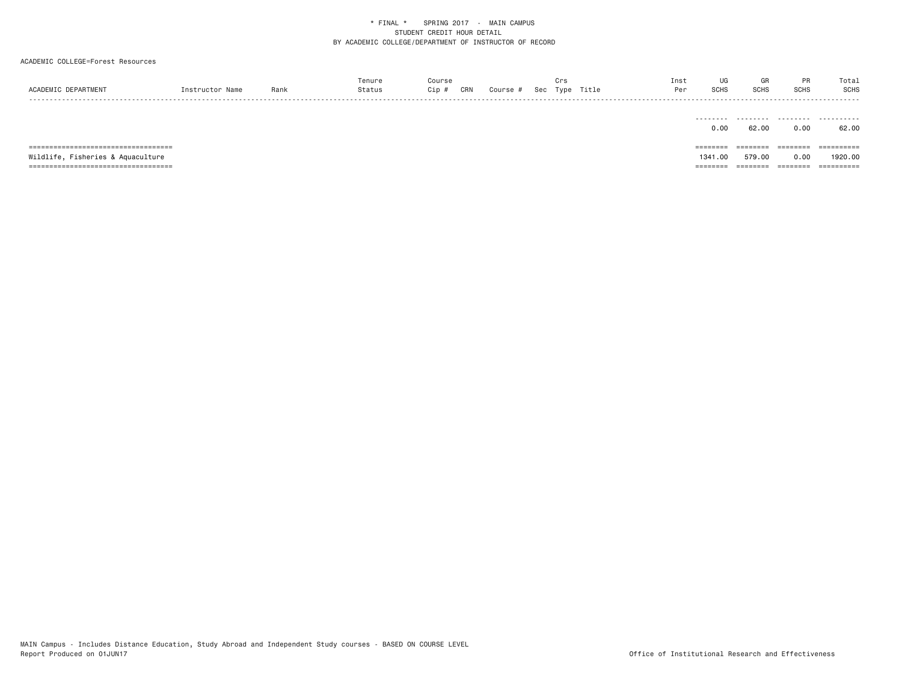| ACADEMIC DEPARTMENT                    | Instructor Name | Rank | Tenure<br>Status | Course<br>Cip # | CRN | Course # | Crs | Sec Type Title | Inst<br>Per | UG<br>SCHS        | GR<br><b>SCHS</b> | PR<br>SCHS | Total<br>SCHS<br> |
|----------------------------------------|-----------------|------|------------------|-----------------|-----|----------|-----|----------------|-------------|-------------------|-------------------|------------|-------------------|
|                                        |                 |      |                  |                 |     |          |     |                |             | .<br>0.00         | .<br>62.00        | .<br>0.00  | .<br>62.00        |
|                                        |                 |      |                  |                 |     |          |     |                |             | ========          | ========          | --------   | ==========        |
| Wildlife, Fisheries & Aquaculture      |                 |      |                  |                 |     |          |     |                |             | 1341.00           | 579.00            | 0.00       | 1920.00           |
| ====================================== |                 |      |                  |                 |     |          |     |                |             | $=$ = = = = = = = | ========          | ========   | ==========        |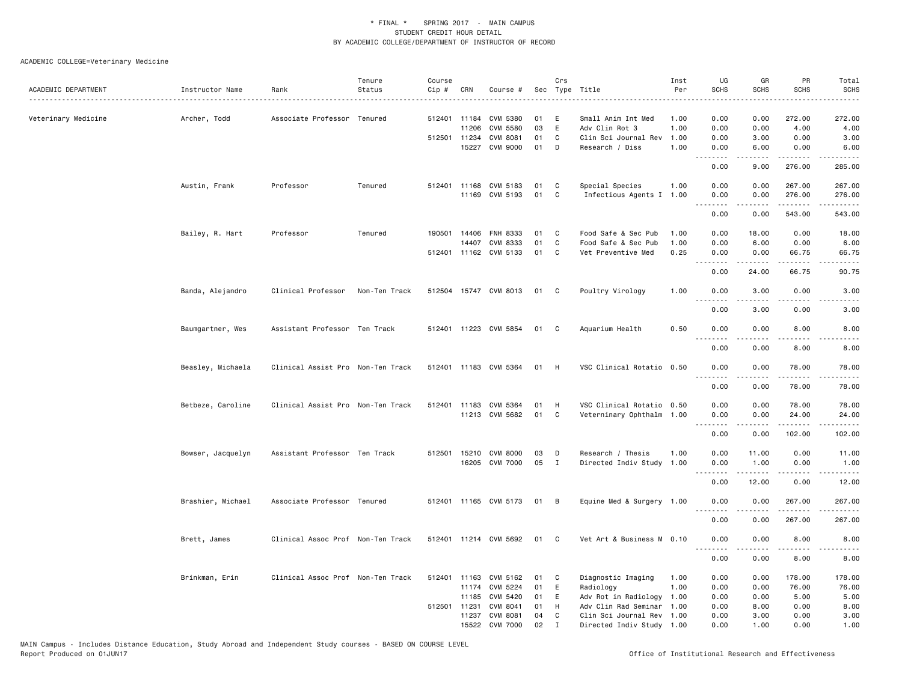| ACADEMIC DEPARTMENT | Instructor Name   | Rank                              | Tenure<br>Status | Course<br>Cip # | CRN          | Course #              |      | Crs          | Sec Type Title            | Inst<br>Per | UG<br><b>SCHS</b>                                                                                                                 | GR<br><b>SCHS</b> | PR<br><b>SCHS</b>            | Total<br><b>SCHS</b>  |
|---------------------|-------------------|-----------------------------------|------------------|-----------------|--------------|-----------------------|------|--------------|---------------------------|-------------|-----------------------------------------------------------------------------------------------------------------------------------|-------------------|------------------------------|-----------------------|
|                     |                   |                                   |                  |                 |              |                       |      |              |                           |             |                                                                                                                                   |                   |                              |                       |
| Veterinary Medicine | Archer, Todd      | Associate Professor Tenured       |                  |                 | 512401 11184 | CVM 5380              | 01   | E            | Small Anim Int Med        | 1.00        | 0.00                                                                                                                              | 0.00              | 272.00                       | 272.00                |
|                     |                   |                                   |                  |                 | 11206        | CVM 5580              | 03   | E            | Adv Clin Rot 3            | 1.00        | 0.00                                                                                                                              | 0.00              | 4.00                         | 4.00                  |
|                     |                   |                                   |                  |                 | 512501 11234 | <b>CVM 8081</b>       | 01   | C            | Clin Sci Journal Rev      | 1.00        | 0.00                                                                                                                              | 3.00              | 0.00                         | 3.00                  |
|                     |                   |                                   |                  |                 | 15227        | <b>CVM 9000</b>       | 01   | D            | Research / Diss           | 1.00        | 0.00<br>.                                                                                                                         | 6.00              | 0.00<br>.                    | 6.00                  |
|                     |                   |                                   |                  |                 |              |                       |      |              |                           |             | 0.00                                                                                                                              | 9.00              | 276.00                       | 285.00                |
|                     | Austin, Frank     | Professor                         | Tenured          |                 |              | 512401 11168 CVM 5183 | 01   | $\mathbf{C}$ | Special Species           | 1.00        | 0.00                                                                                                                              | 0.00              | 267.00                       | 267.00                |
|                     |                   |                                   |                  |                 |              | 11169 CVM 5193        | 01   | C            | Infectious Agents I 1.00  |             | 0.00<br>$   -$                                                                                                                    | 0.00              | 276.00<br>.                  | 276.00<br><u>.</u>    |
|                     |                   |                                   |                  |                 |              |                       |      |              |                           |             | 0.00                                                                                                                              | 0.00              | 543.00                       | 543.00                |
|                     | Bailey, R. Hart   | Professor                         | Tenured          |                 |              | 190501 14406 FNH 8333 | 01   | C            | Food Safe & Sec Pub       | 1.00        | 0.00                                                                                                                              | 18.00             | 0.00                         | 18.00                 |
|                     |                   |                                   |                  |                 | 14407        | CVM 8333              | 01   | C            | Food Safe & Sec Pub       | 1.00        | 0.00                                                                                                                              | 6.00              | 0.00                         | 6.00                  |
|                     |                   |                                   |                  |                 |              | 512401 11162 CVM 5133 | 01   | $\mathbf{C}$ | Vet Preventive Med        | 0.25        | 0.00<br>.                                                                                                                         | 0.00              | 66.75                        | 66.75<br>.            |
|                     |                   |                                   |                  |                 |              |                       |      |              |                           |             | 0.00                                                                                                                              | 24.00             | 66.75                        | 90.75                 |
|                     | Banda, Alejandro  | Clinical Professor                | Non-Ten Track    |                 |              | 512504 15747 CVM 8013 | 01   | C.           | Poultry Virology          | 1.00        | 0.00<br>.                                                                                                                         | 3.00              | 0.00                         | 3.00                  |
|                     |                   |                                   |                  |                 |              |                       |      |              |                           |             | 0.00                                                                                                                              | 3.00              | 0.00                         | 3.00                  |
|                     | Baumgartner, Wes  | Assistant Professor Ten Track     |                  |                 |              | 512401 11223 CVM 5854 | 01   | $\mathbf{C}$ | Aquarium Health           | 0.50        | 0.00<br><u>.</u>                                                                                                                  | 0.00<br>.         | 8.00<br>.                    | 8.00<br>.             |
|                     |                   |                                   |                  |                 |              |                       |      |              |                           |             | 0.00                                                                                                                              | 0.00              | 8.00                         | 8.00                  |
|                     | Beasley, Michaela | Clinical Assist Pro Non-Ten Track |                  |                 |              | 512401 11183 CVM 5364 | 01   | H            | VSC Clinical Rotatio 0.50 |             | 0.00<br>.                                                                                                                         | 0.00<br>.         | 78.00<br><u>.</u>            | 78.00                 |
|                     |                   |                                   |                  |                 |              |                       |      |              |                           |             | 0.00                                                                                                                              | 0.00              | 78.00                        | 78.00                 |
|                     |                   |                                   |                  |                 |              | 512401 11183 CVM 5364 | 01   | H            | VSC Clinical Rotatio 0.50 |             | 0.00                                                                                                                              | 0.00              | 78.00                        | 78.00                 |
|                     | Betbeze, Caroline | Clinical Assist Pro Non-Ten Track |                  |                 |              | 11213 CVM 5682        | 01   | C            | Veterninary Ophthalm 1.00 |             | 0.00                                                                                                                              | 0.00              | 24.00                        | 24.00                 |
|                     |                   |                                   |                  |                 |              |                       |      |              |                           |             |                                                                                                                                   |                   |                              |                       |
|                     |                   |                                   |                  |                 |              |                       |      |              |                           |             | 0.00                                                                                                                              | 0.00              | 102.00                       | 102.00                |
|                     | Bowser, Jacquelyn | Assistant Professor Ten Track     |                  |                 |              | 512501 15210 CVM 8000 | 03   | D            | Research / Thesis         | 1.00        | 0.00                                                                                                                              | 11.00             | 0.00                         | 11.00                 |
|                     |                   |                                   |                  |                 |              | 16205 CVM 7000        | 05   | I            | Directed Indiv Study 1.00 |             | 0.00                                                                                                                              | 1.00              | 0.00                         | 1.00                  |
|                     |                   |                                   |                  |                 |              |                       |      |              |                           |             | $\frac{1}{2} \left( \frac{1}{2} \right) \left( \frac{1}{2} \right) \left( \frac{1}{2} \right) \left( \frac{1}{2} \right)$<br>0.00 | 12.00             | $\sim$ $\sim$ $\sim$<br>0.00 | د د د د د<br>12.00    |
|                     |                   |                                   |                  |                 |              |                       |      |              |                           |             |                                                                                                                                   |                   |                              |                       |
|                     | Brashier, Michael | Associate Professor Tenured       |                  |                 |              | 512401 11165 CVM 5173 | 01 B |              | Equine Med & Surgery 1.00 |             | 0.00                                                                                                                              | 0.00              | 267.00<br>. <b>.</b>         | 267.00<br>.           |
|                     |                   |                                   |                  |                 |              |                       |      |              |                           |             | 0.00                                                                                                                              | 0.00              | 267.00                       | 267.00                |
|                     | Brett, James      | Clinical Assoc Prof Non-Ten Track |                  |                 |              | 512401 11214 CVM 5692 | 01   | $\mathbf{C}$ | Vet Art & Business M 0.10 |             | 0.00<br>المناسبات                                                                                                                 | 0.00<br>.         | 8.00<br>.                    | 8.00<br>المتمام المنا |
|                     |                   |                                   |                  |                 |              |                       |      |              |                           |             | 0.00                                                                                                                              | 0.00              | 8.00                         | 8.00                  |
|                     | Brinkman, Erin    | Clinical Assoc Prof Non-Ten Track |                  |                 |              | 512401 11163 CVM 5162 | 01   | C            | Diagnostic Imaging        | 1.00        | 0.00                                                                                                                              | 0.00              | 178.00                       | 178.00                |
|                     |                   |                                   |                  |                 | 11174        | CVM 5224              | 01   | E            | Radiology                 | 1.00        | 0.00                                                                                                                              | 0.00              | 76.00                        | 76.00                 |
|                     |                   |                                   |                  |                 | 11185        | CVM 5420              | 01   | E            | Adv Rot in Radiology 1.00 |             | 0.00                                                                                                                              | 0.00              | 5.00                         | 5.00                  |
|                     |                   |                                   |                  |                 | 512501 11231 | CVM 8041              | 01   | H            | Adv Clin Rad Seminar      | 1.00        | 0.00                                                                                                                              | 8.00              | 0.00                         | 8.00                  |
|                     |                   |                                   |                  |                 | 11237        | <b>CVM 8081</b>       | 04   | C            | Clin Sci Journal Rev 1.00 |             | 0.00                                                                                                                              | 3.00              | 0.00                         | 3.00                  |
|                     |                   |                                   |                  |                 | 15522        | <b>CVM 7000</b>       | 02   | $\mathbf I$  | Directed Indiv Study 1.00 |             | 0.00                                                                                                                              | 1.00              | 0.00                         | 1.00                  |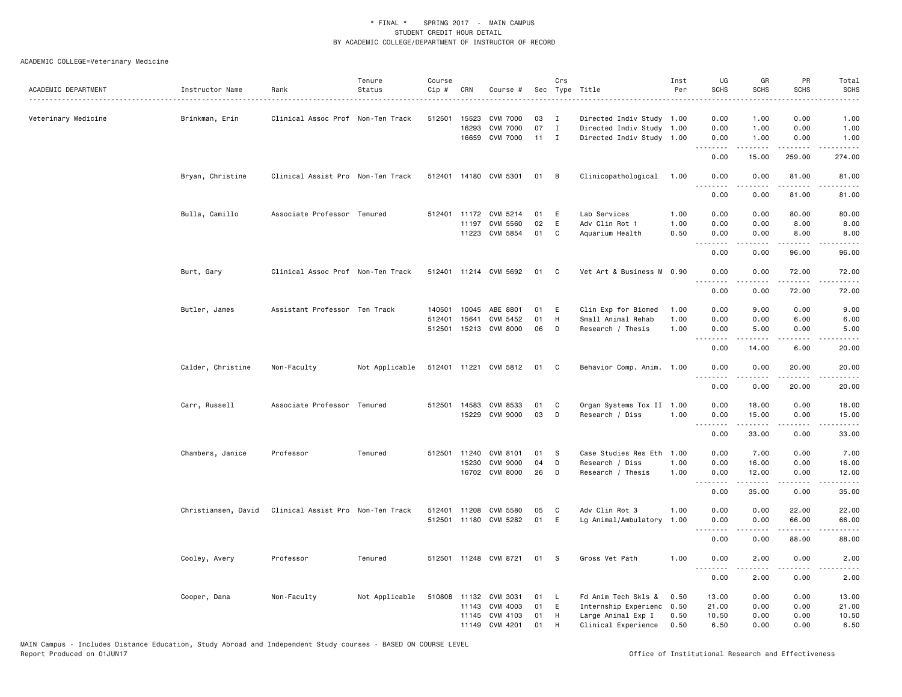|                     |                     |                                   | Tenure         | Course |              |                       |        | Crs          |                           | Inst | UG                                | GR                | PR                 | Total          |
|---------------------|---------------------|-----------------------------------|----------------|--------|--------------|-----------------------|--------|--------------|---------------------------|------|-----------------------------------|-------------------|--------------------|----------------|
| ACADEMIC DEPARTMENT | Instructor Name     | Rank                              | Status         | Cip #  | CRN          | Course #              |        |              | Sec Type Title            | Per  | <b>SCHS</b>                       | SCHS              | <b>SCHS</b>        | <b>SCHS</b>    |
| Veterinary Medicine | Brinkman, Erin      | Clinical Assoc Prof Non-Ten Track |                | 512501 | 15523        | <b>CVM 7000</b>       | 03     | $\mathbf{I}$ | Directed Indiv Study 1.00 |      | 0.00                              | 1.00              | 0.00               | 1.00           |
|                     |                     |                                   |                |        | 16293        | <b>CVM 7000</b>       | 07     | $\mathbf{I}$ | Directed Indiv Study 1.00 |      | 0.00                              | 1.00              | 0.00               | 1.00           |
|                     |                     |                                   |                |        |              | 16659 CVM 7000        | $11$ I |              | Directed Indiv Study 1.00 |      | 0.00                              | 1.00              | 0.00               | 1.00           |
|                     |                     |                                   |                |        |              |                       |        |              |                           |      | .<br>0.00                         | .<br>15.00        | 259.00             | .<br>274.00    |
|                     | Bryan, Christine    | Clinical Assist Pro Non-Ten Track |                |        |              | 512401 14180 CVM 5301 | 01     | в            | Clinicopathological       | 1.00 | 0.00<br>$\omega$ is $\omega$ in   | 0.00<br>.         | 81.00<br>د د د د د | 81.00<br>.     |
|                     |                     |                                   |                |        |              |                       |        |              |                           |      | 0.00                              | 0.00              | 81.00              | 81.00          |
|                     | Bulla, Camillo      | Associate Professor Tenured       |                |        | 512401 11172 | CVM 5214              | 01     | Ε            | Lab Services              | 1.00 | 0.00                              | 0.00              | 80.00              | 80.00          |
|                     |                     |                                   |                |        | 11197        | CVM 5560              | 02     | E            | Adv Clin Rot 1            | 1.00 | 0.00                              | 0.00              | 8.00               | 8.00           |
|                     |                     |                                   |                |        | 11223        | CVM 5854              | 01     | C            | Aquarium Health           | 0.50 | 0.00<br>.                         | 0.00              | 8.00<br>$- - - -$  | 8.00           |
|                     |                     |                                   |                |        |              |                       |        |              |                           |      | 0.00                              | 0.00              | 96.00              | 96.00          |
|                     | Burt, Gary          | Clinical Assoc Prof Non-Ten Track |                |        |              | 512401 11214 CVM 5692 | 01     | C            | Vet Art & Business M 0.90 |      | 0.00                              | 0.00              | 72.00              | 72.00          |
|                     |                     |                                   |                |        |              |                       |        |              |                           |      | .<br>0.00                         | -----<br>0.00     | .<br>72.00         | .<br>72.00     |
|                     | Butler, James       | Assistant Professor Ten Track     |                | 140501 | 10045        | ABE 8801              | 01     | Ε            | Clin Exp for Biomed       | 1.00 | 0.00                              | 9.00              | 0.00               | 9.00           |
|                     |                     |                                   |                | 512401 | 15641        | CVM 5452              | 01     | H            | Small Animal Rehab        | 1.00 | 0.00                              | 0.00              | 6.00               | 6.00           |
|                     |                     |                                   |                | 512501 |              | 15213 CVM 8000        | 06     | D            | Research / Thesis         | 1.00 | 0.00<br>.                         | 5.00              | 0.00               | 5.00           |
|                     |                     |                                   |                |        |              |                       |        |              |                           |      | 0.00                              | 14.00             | 6.00               | -----<br>20.00 |
|                     | Calder, Christine   | Non-Faculty                       | Not Applicable |        |              | 512401 11221 CVM 5812 | 01     | C            | Behavior Comp. Anim. 1.00 |      | 0.00                              | 0.00              | 20.00              | 20.00          |
|                     |                     |                                   |                |        |              |                       |        |              |                           |      | 0.00                              | 0.00              | 20.00              | 20.00          |
|                     | Carr, Russell       | Associate Professor Tenured       |                |        | 512501 14583 | CVM 8533              | 01     | C            | Organ Systems Tox II 1.00 |      | 0.00                              | 18.00             | 0.00               | 18.00          |
|                     |                     |                                   |                |        | 15229        | <b>CVM 9000</b>       | 03     | D            | Research / Diss           | 1.00 | 0.00<br>.                         | 15.00<br><u>.</u> | 0.00<br>$   -$     | 15.00<br>.     |
|                     |                     |                                   |                |        |              |                       |        |              |                           |      | 0.00                              | 33.00             | 0.00               | 33.00          |
|                     | Chambers, Janice    | Professor                         | Tenured        | 512501 | 11240        | CVM 8101              | 01     | S            | Case Studies Res Eth      | 1.00 | 0.00                              | 7.00              | 0.00               | 7.00           |
|                     |                     |                                   |                |        | 15230        | <b>CVM 9000</b>       | 04     | D            | Research / Diss           | 1.00 | 0.00                              | 16.00             | 0.00               | 16.00          |
|                     |                     |                                   |                |        |              | 16702 CVM 8000        | 26     | D            | Research / Thesis         | 1.00 | 0.00<br>.                         | 12.00<br>.        | 0.00<br>.          | 12.00<br>.     |
|                     |                     |                                   |                |        |              |                       |        |              |                           |      | 0.00                              | 35.00             | 0.00               | 35.00          |
|                     | Christiansen, David | Clinical Assist Pro Non-Ten Track |                | 512401 | 11208        | CVM 5580              | 05     | C            | Adv Clin Rot 3            | 1.00 | 0.00                              | 0.00              | 22.00              | 22.00          |
|                     |                     |                                   |                | 512501 | 11180        | CVM 5282              | 01     | Ε            | Lg Animal/Ambulatory      | 1.00 | 0.00<br>.<br>$\sim$ $\sim$ $\sim$ | 0.00              | 66.00              | 66.00          |
|                     |                     |                                   |                |        |              |                       |        |              |                           |      | 0.00                              | 0.00              | 88.00              | 88.00          |
|                     | Cooley, Avery       | Professor                         | Tenured        |        |              | 512501 11248 CVM 8721 | 01     | -S           | Gross Vet Path            | 1.00 | 0.00                              | 2.00              | 0.00               | 2.00           |
|                     |                     |                                   |                |        |              |                       |        |              |                           |      | 0.00                              | 2.00              | 0.00               | 2.00           |
|                     | Cooper, Dana        | Non-Faculty                       | Not Applicable |        | 510808 11132 | CVM 3031              | 01     | L            | Fd Anim Tech Skls &       | 0.50 | 13.00                             | 0.00              | 0.00               | 13.00          |
|                     |                     |                                   |                |        | 11143        | CVM 4003              | 01     | E            | Internship Experienc      | 0.50 | 21.00                             | 0.00              | 0.00               | 21.00          |
|                     |                     |                                   |                |        |              | 11145 CVM 4103        | 01     | H            | Large Animal Exp I        | 0.50 | 10.50                             | 0.00              | 0.00               | 10.50          |
|                     |                     |                                   |                |        |              | 11149 CVM 4201        | 01     | H            | Clinical Experience       | 0.50 | 6.50                              | 0.00              | 0.00               | 6.50           |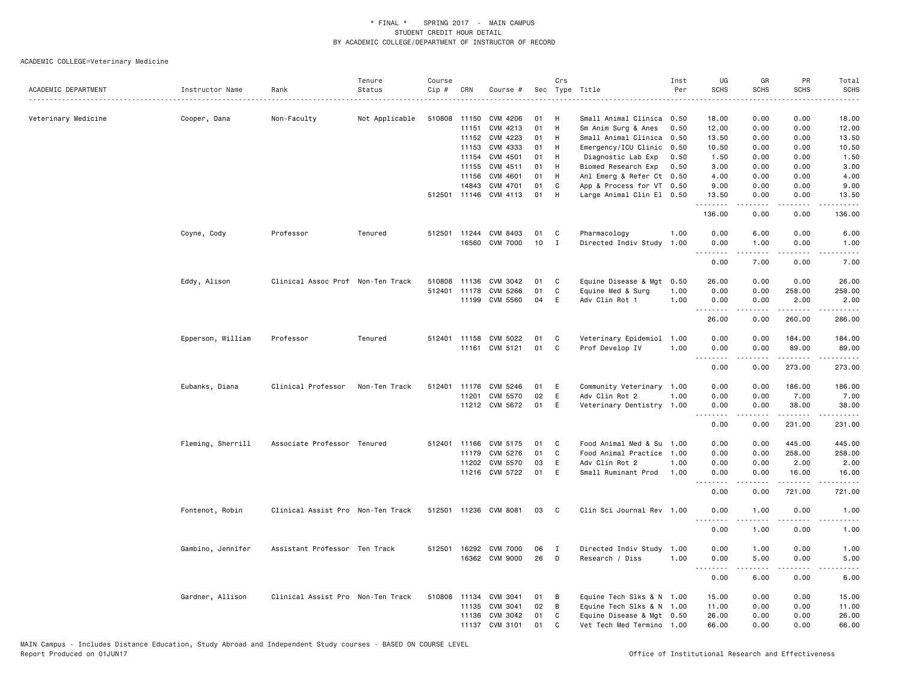|                     |                   |                                   | Tenure         | Course |                |                       |     | Crs          |                           | Inst | UG                                                                                                                                                           | GR                                                                                                                                                           | PR                        | Total                              |
|---------------------|-------------------|-----------------------------------|----------------|--------|----------------|-----------------------|-----|--------------|---------------------------|------|--------------------------------------------------------------------------------------------------------------------------------------------------------------|--------------------------------------------------------------------------------------------------------------------------------------------------------------|---------------------------|------------------------------------|
| ACADEMIC DEPARTMENT | Instructor Name   | Rank                              | Status         | Cip #  | CRN            | Course #              | Sec |              | Type Title                | Per  | <b>SCHS</b>                                                                                                                                                  | <b>SCHS</b>                                                                                                                                                  | <b>SCHS</b>               | SCHS<br>$\cdots$                   |
| Veterinary Medicine |                   |                                   |                |        |                |                       | 01  | H            | Small Animal Clinica 0.50 |      | 18,00                                                                                                                                                        | 0.00                                                                                                                                                         | 0.00                      | 18.00                              |
|                     | Cooper, Dana      | Non-Faculty                       | Not Applicable | 510808 | 11150<br>11151 | CVM 4206<br>CVM 4213  | 01  | H            | Sm Anim Surg & Anes       | 0.50 | 12.00                                                                                                                                                        | 0.00                                                                                                                                                         | 0.00                      | 12.00                              |
|                     |                   |                                   |                |        |                | 11152 CVM 4223        | 01  | H            | Small Animal Clinica      | 0.50 | 13.50                                                                                                                                                        | 0.00                                                                                                                                                         | 0.00                      | 13.50                              |
|                     |                   |                                   |                |        | 11153          | CVM 4333              | 01  | H            | Emergency/ICU Clinic      | 0.50 | 10.50                                                                                                                                                        | 0.00                                                                                                                                                         | 0.00                      | 10.50                              |
|                     |                   |                                   |                |        | 11154          | CVM 4501              | 01  | H            | Diagnostic Lab Exp        | 0.50 | 1.50                                                                                                                                                         | 0.00                                                                                                                                                         | 0.00                      | 1.50                               |
|                     |                   |                                   |                |        | 11155          | CVM 4511              | 01  | H            | Biomed Research Exp       | 0.50 | 3.00                                                                                                                                                         | 0.00                                                                                                                                                         | 0.00                      | 3.00                               |
|                     |                   |                                   |                |        | 11156          | CVM 4601              | 01  | H            | Anl Emerg & Refer Ct 0.50 |      | 4.00                                                                                                                                                         | 0.00                                                                                                                                                         | 0.00                      | 4.00                               |
|                     |                   |                                   |                |        | 14843          | CVM 4701              | 01  | C            | App & Process for VT 0.50 |      | 9.00                                                                                                                                                         | 0.00                                                                                                                                                         | 0.00                      | 9.00                               |
|                     |                   |                                   |                |        |                | 512501 11146 CVM 4113 | 01  | H            | Large Animal Clin El 0.50 |      | 13.50                                                                                                                                                        | 0.00                                                                                                                                                         | 0.00                      | 13.50                              |
|                     |                   |                                   |                |        |                |                       |     |              |                           |      | <b>.</b> .<br>136.00                                                                                                                                         | .<br>0.00                                                                                                                                                    | .<br>0.00                 | .<br>136.00                        |
|                     | Coyne, Cody       | Professor                         | Tenured        |        |                | 512501 11244 CVM 8403 | 01  | C            | Pharmacology              | 1.00 | 0.00                                                                                                                                                         | 6.00                                                                                                                                                         | 0.00                      | 6.00                               |
|                     |                   |                                   |                |        |                | 16560 CVM 7000        | 10  | $\mathbf{I}$ | Directed Indiv Study      | 1.00 | 0.00                                                                                                                                                         | 1.00                                                                                                                                                         | 0.00                      | 1.00                               |
|                     |                   |                                   |                |        |                |                       |     |              |                           |      | <u>.</u><br>0.00                                                                                                                                             | <b>.</b><br>7.00                                                                                                                                             | $\omega$ is a set<br>0.00 | د د د د د<br>$\frac{1}{2}$<br>7.00 |
|                     | Eddy, Alison      | Clinical Assoc Prof Non-Ten Track |                | 510808 | 11136          | CVM 3042              | 01  | C            | Equine Disease & Mgt      | 0.50 | 26.00                                                                                                                                                        | 0.00                                                                                                                                                         | 0.00                      | 26.00                              |
|                     |                   |                                   |                |        |                | 512401 11178 CVM 5266 | 01  | C            | Equine Med & Surg         | 1.00 | 0.00                                                                                                                                                         | 0.00                                                                                                                                                         | 258.00                    | 258.00                             |
|                     |                   |                                   |                |        |                | 11199 CVM 5560        | 04  | E            | Adv Clin Rot 1            | 1.00 | 0.00                                                                                                                                                         | 0.00                                                                                                                                                         | 2.00                      | 2.00                               |
|                     |                   |                                   |                |        |                |                       |     |              |                           |      | . <b>.</b><br>26.00                                                                                                                                          | .<br>0.00                                                                                                                                                    | .<br>260.00               | .<br>286.00                        |
|                     | Epperson, William | Professor                         | Tenured        |        |                | 512401 11158 CVM 5022 | 01  | C            | Veterinary Epidemiol 1.00 |      | 0.00                                                                                                                                                         | 0.00                                                                                                                                                         | 184.00                    | 184.00                             |
|                     |                   |                                   |                |        |                | 11161 CVM 5121        | 01  | C            | Prof Develop IV           | 1.00 | 0.00                                                                                                                                                         | 0.00                                                                                                                                                         | 89.00                     | 89.00                              |
|                     |                   |                                   |                |        |                |                       |     |              |                           |      | 0.00                                                                                                                                                         | 0.00                                                                                                                                                         | 273.00                    | .<br>273.00                        |
|                     | Eubanks, Diana    | Clinical Professor                | Non-Ten Track  |        |                | 512401 11176 CVM 5246 | 01  | E            | Community Veterinary 1.00 |      | 0.00                                                                                                                                                         | 0.00                                                                                                                                                         | 186.00                    | 186.00                             |
|                     |                   |                                   |                |        | 11201          | CVM 5570              | 02  | E            | Adv Clin Rot 2            | 1.00 | 0.00                                                                                                                                                         | 0.00                                                                                                                                                         | 7.00                      | 7.00                               |
|                     |                   |                                   |                |        |                | 11212 CVM 5672        | 01  | E            | Veterinary Dentistry 1.00 |      | 0.00<br>.                                                                                                                                                    | 0.00<br>$\frac{1}{2} \left( \frac{1}{2} \right) \left( \frac{1}{2} \right) \left( \frac{1}{2} \right) \left( \frac{1}{2} \right) \left( \frac{1}{2} \right)$ | 38.00<br>.                | 38.00<br>------                    |
|                     |                   |                                   |                |        |                |                       |     |              |                           |      | 0.00                                                                                                                                                         | 0.00                                                                                                                                                         | 231.00                    | 231.00                             |
|                     | Fleming, Sherrill | Associate Professor Tenured       |                |        | 512401 11166   | CVM 5175              | 01  | C            | Food Animal Med & Su 1.00 |      | 0.00                                                                                                                                                         | 0.00                                                                                                                                                         | 445.00                    | 445.00                             |
|                     |                   |                                   |                |        |                | 11179 CVM 5276        | 01  | C            | Food Animal Practice      | 1.00 | 0.00                                                                                                                                                         | 0.00                                                                                                                                                         | 258.00                    | 258.00                             |
|                     |                   |                                   |                |        |                | 11202 CVM 5570        | 03  | E            | Adv Clin Rot 2            | 1.00 | 0.00                                                                                                                                                         | 0.00                                                                                                                                                         | 2.00                      | 2.00                               |
|                     |                   |                                   |                |        |                | 11216 CVM 5722        | 01  | E            | Small Ruminant Prod       | 1.00 | 0.00<br>$\frac{1}{2} \left( \frac{1}{2} \right) \left( \frac{1}{2} \right) \left( \frac{1}{2} \right) \left( \frac{1}{2} \right) \left( \frac{1}{2} \right)$ | 0.00                                                                                                                                                         | 16.00<br>.                | 16.00<br>.                         |
|                     |                   |                                   |                |        |                |                       |     |              |                           |      | 0.00                                                                                                                                                         | 0.00                                                                                                                                                         | 721.00                    | 721.00                             |
|                     | Fontenot, Robin   | Clinical Assist Pro Non-Ten Track |                |        |                | 512501 11236 CVM 8081 | 03  | C            | Clin Sci Journal Rev 1.00 |      | 0.00<br>.                                                                                                                                                    | 1.00<br>.                                                                                                                                                    | 0.00<br>$   -$            | 1.00<br>.                          |
|                     |                   |                                   |                |        |                |                       |     |              |                           |      | 0.00                                                                                                                                                         | 1.00                                                                                                                                                         | 0.00                      | 1.00                               |
|                     | Gambino, Jennifer | Assistant Professor Ten Track     |                |        |                | 512501 16292 CVM 7000 | 06  | $\mathbf{I}$ | Directed Indiv Study      | 1.00 | 0.00                                                                                                                                                         | 1.00                                                                                                                                                         | 0.00                      | 1.00                               |
|                     |                   |                                   |                |        |                | 16362 CVM 9000        | 26  | D            | Research / Diss           | 1.00 | 0.00<br>.                                                                                                                                                    | 5.00<br>.                                                                                                                                                    | 0.00<br>.                 | 5.00<br>$- - - - -$                |
|                     |                   |                                   |                |        |                |                       |     |              |                           |      | 0.00                                                                                                                                                         | 6.00                                                                                                                                                         | 0.00                      | 6.00                               |
|                     | Gardner, Allison  | Clinical Assist Pro Non-Ten Track |                | 510808 |                | 11134 CVM 3041        | 01  | В            | Equine Tech Slks & N 1.00 |      | 15.00                                                                                                                                                        | 0.00                                                                                                                                                         | 0.00                      | 15.00                              |
|                     |                   |                                   |                |        |                | 11135 CVM 3041        | 02  | В            | Equine Tech Slks & N 1.00 |      | 11.00                                                                                                                                                        | 0.00                                                                                                                                                         | 0.00                      | 11.00                              |
|                     |                   |                                   |                |        |                | 11136 CVM 3042        | 01  | C            | Equine Disease & Mgt 0.50 |      | 26.00                                                                                                                                                        | 0.00                                                                                                                                                         | 0.00                      | 26.00                              |
|                     |                   |                                   |                |        |                | 11137 CVM 3101        | 01  | C            | Vet Tech Med Termino 1.00 |      | 66.00                                                                                                                                                        | 0.00                                                                                                                                                         | 0.00                      | 66.00                              |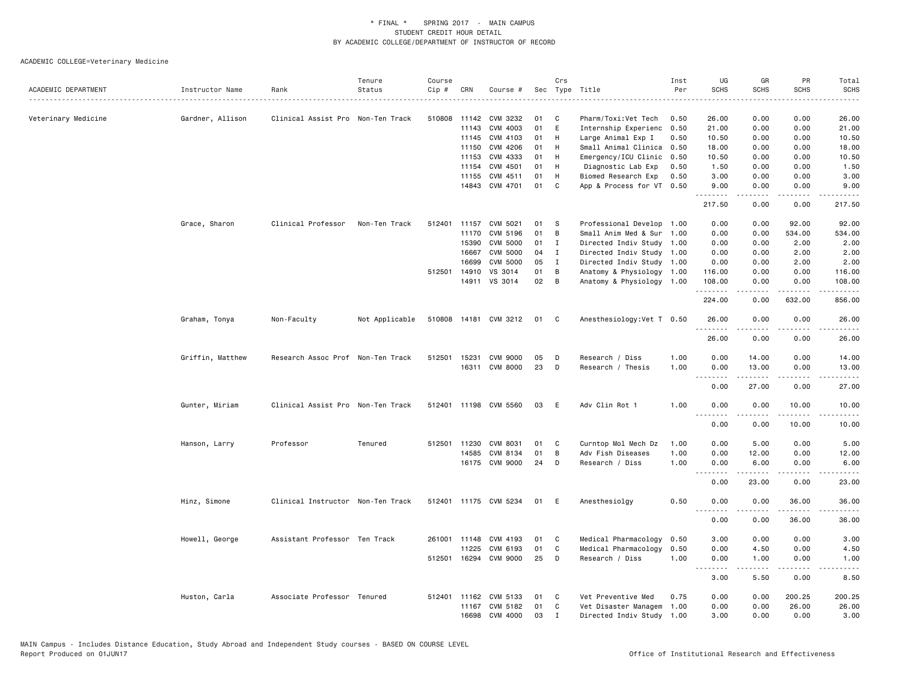| ACADEMIC DEPARTMENT | Instructor Name  | Rank                              | Tenure<br>Status | Course<br>Cip # | CRN   | Course #              |    | Crs          | Sec Type Title                           | Inst<br>Per | UG<br><b>SCHS</b> | GR<br><b>SCHS</b> | PR<br><b>SCHS</b>            | Total<br><b>SCHS</b><br>$- - - -$                                                                                                                              |
|---------------------|------------------|-----------------------------------|------------------|-----------------|-------|-----------------------|----|--------------|------------------------------------------|-------------|-------------------|-------------------|------------------------------|----------------------------------------------------------------------------------------------------------------------------------------------------------------|
| Veterinary Medicine | Gardner, Allison | Clinical Assist Pro Non-Ten Track |                  | 510808          | 11142 | CVM 3232              | 01 | C            | Pharm/Toxi:Vet Tech                      | 0.50        | 26.00             | 0.00              | 0.00                         | 26.00                                                                                                                                                          |
|                     |                  |                                   |                  |                 | 11143 | CVM 4003              | 01 | E            | Internship Experienc                     | 0.50        | 21.00             | 0.00              | 0.00                         | 21.00                                                                                                                                                          |
|                     |                  |                                   |                  |                 | 11145 | CVM 4103              | 01 | H            | Large Animal Exp I                       | 0.50        | 10.50             | 0.00              | 0.00                         | 10.50                                                                                                                                                          |
|                     |                  |                                   |                  |                 | 11150 | CVM 4206              | 01 | H            | Small Animal Clinica                     | 0.50        | 18.00             | 0.00              | 0.00                         | 18.00                                                                                                                                                          |
|                     |                  |                                   |                  |                 | 11153 | CVM 4333              | 01 | H            | Emergency/ICU Clinic                     | 0.50        | 10.50             | 0.00              | 0.00                         | 10.50                                                                                                                                                          |
|                     |                  |                                   |                  |                 | 11154 | CVM 4501              | 01 | H            | Diagnostic Lab Exp                       | 0.50        | 1.50              | 0.00              | 0.00                         | 1.50                                                                                                                                                           |
|                     |                  |                                   |                  |                 | 11155 | CVM 4511              | 01 | H            | Biomed Research Exp                      | 0.50        | 3.00              | 0.00              | 0.00                         | 3.00                                                                                                                                                           |
|                     |                  |                                   |                  |                 |       | 14843 CVM 4701        | 01 | C            | App & Process for VT 0.50                |             | 9.00<br>.         | 0.00<br>.         | 0.00<br>$\sim$ $\sim$ $\sim$ | 9.00                                                                                                                                                           |
|                     |                  |                                   |                  |                 |       |                       |    |              |                                          |             | 217.50            | 0.00              | 0.00                         | 217.50                                                                                                                                                         |
|                     | Grace, Sharon    | Clinical Professor                | Non-Ten Track    | 512401          | 11157 | CVM 5021              | 01 | S            | Professional Develop 1.00                |             | 0.00              | 0.00              | 92.00                        | 92.00                                                                                                                                                          |
|                     |                  |                                   |                  |                 | 11170 | CVM 5196              | 01 | B            | Small Anim Med & Sur                     | 1.00        | 0.00              | 0.00              | 534.00                       | 534.00                                                                                                                                                         |
|                     |                  |                                   |                  |                 | 15390 | <b>CVM 5000</b>       | 01 | $\mathbf{I}$ | Directed Indiv Study 1.00                |             | 0.00              | 0.00              | 2.00                         | 2.00                                                                                                                                                           |
|                     |                  |                                   |                  |                 | 16667 | <b>CVM 5000</b>       | 04 | $\mathbf{I}$ | Directed Indiv Study 1.00                |             | 0.00              | 0.00              | 2.00                         | 2.00                                                                                                                                                           |
|                     |                  |                                   |                  |                 | 16699 | <b>CVM 5000</b>       | 05 | $\mathbf{I}$ | Directed Indiv Study 1.00                |             | 0.00              | 0.00              | 2.00                         | 2.00                                                                                                                                                           |
|                     |                  |                                   |                  | 512501          | 14910 | VS 3014               | 01 | В            | Anatomy & Physiology 1.00                |             | 116.00            | 0.00              | 0.00                         | 116.00                                                                                                                                                         |
|                     |                  |                                   |                  |                 |       | 14911 VS 3014         | 02 | B            | Anatomy & Physiology 1.00                |             | 108.00<br>.       | 0.00<br>-----     | 0.00<br>.                    | 108.00<br>$\frac{1}{2} \left( \frac{1}{2} \right) \left( \frac{1}{2} \right) \left( \frac{1}{2} \right) \left( \frac{1}{2} \right) \left( \frac{1}{2} \right)$ |
|                     |                  |                                   |                  |                 |       |                       |    |              |                                          |             | 224.00            | 0.00              | 632.00                       | 856.00                                                                                                                                                         |
|                     | Graham, Tonya    | Non-Faculty                       | Not Applicable   |                 |       | 510808 14181 CVM 3212 | 01 | C            | Anesthesiology: Vet T 0.50               |             | 26.00<br>.        | 0.00<br>.         | 0.00<br>.                    | 26.00<br>.                                                                                                                                                     |
|                     |                  |                                   |                  |                 |       |                       |    |              |                                          |             | 26.00             | 0.00              | 0.00                         | 26.00                                                                                                                                                          |
|                     | Griffin, Matthew | Research Assoc Prof Non-Ten Track |                  | 512501          | 15231 | <b>CVM 9000</b>       | 05 | D            | Research / Diss                          | 1.00        | 0.00              | 14.00             | 0.00                         | 14.00                                                                                                                                                          |
|                     |                  |                                   |                  |                 |       | 16311 CVM 8000        | 23 | D            | Research / Thesis                        | 1.00        | 0.00              | 13.00             | 0.00                         | 13.00                                                                                                                                                          |
|                     |                  |                                   |                  |                 |       |                       |    |              |                                          |             | .<br>0.00         | <b>.</b><br>27.00 | $   -$<br>0.00               | .<br>27.00                                                                                                                                                     |
|                     | Gunter, Miriam   | Clinical Assist Pro Non-Ten Track |                  |                 |       | 512401 11198 CVM 5560 | 03 | E            | Adv Clin Rot 1                           | 1.00        | 0.00              | 0.00              | 10.00                        | 10.00                                                                                                                                                          |
|                     |                  |                                   |                  |                 |       |                       |    |              |                                          |             | .<br>0.00         | -----<br>0.00     | .<br>10.00                   | .<br>10.00                                                                                                                                                     |
|                     |                  | Professor                         | Tenured          | 512501          | 11230 | CVM 8031              | 01 |              |                                          | 1.00        | 0.00              | 5.00              | 0.00                         |                                                                                                                                                                |
|                     | Hanson, Larry    |                                   |                  |                 | 14585 | CVM 8134              | 01 | C<br>В       | Curntop Mol Mech Dz<br>Adv Fish Diseases | 1.00        | 0.00              | 12.00             | 0.00                         | 5.00<br>12.00                                                                                                                                                  |
|                     |                  |                                   |                  |                 |       | 16175 CVM 9000        | 24 | D            | Research / Diss                          | 1.00        | 0.00              | 6.00              | 0.00                         | 6.00                                                                                                                                                           |
|                     |                  |                                   |                  |                 |       |                       |    |              |                                          |             | .                 | .                 | $\sim$ $\sim$ $\sim$         | .                                                                                                                                                              |
|                     |                  |                                   |                  |                 |       |                       |    |              |                                          |             | 0.00              | 23.00             | 0.00                         | 23.00                                                                                                                                                          |
|                     | Hinz, Simone     | Clinical Instructor Non-Ten Track |                  |                 |       | 512401 11175 CVM 5234 | 01 | Ε            | Anesthesiolgy                            | 0.50        | 0.00<br><u>.</u>  | 0.00<br>-----     | 36.00<br>.                   | 36.00<br>.                                                                                                                                                     |
|                     |                  |                                   |                  |                 |       |                       |    |              |                                          |             | 0.00              | 0.00              | 36.00                        | 36.00                                                                                                                                                          |
|                     | Howell, George   | Assistant Professor Ten Track     |                  | 261001          | 11148 | CVM 4193              | 01 | C            | Medical Pharmacology                     | 0.50        | 3.00              | 0.00              | 0.00                         | 3.00                                                                                                                                                           |
|                     |                  |                                   |                  |                 | 11225 | CVM 6193              | 01 | C            | Medical Pharmacology                     | 0.50        | 0.00              | 4.50              | 0.00                         | 4.50                                                                                                                                                           |
|                     |                  |                                   |                  |                 |       | 512501 16294 CVM 9000 | 25 | D            | Research / Diss                          | 1.00        | 0.00<br>.         | 1.00<br>-----     | 0.00<br>.                    | 1.00<br>$\frac{1}{2}$                                                                                                                                          |
|                     |                  |                                   |                  |                 |       |                       |    |              |                                          |             | 3.00              | 5.50              | 0.00                         | 8.50                                                                                                                                                           |
|                     | Huston, Carla    | Associate Professor Tenured       |                  | 512401          | 11162 | CVM 5133              | 01 | C            | Vet Preventive Med                       | 0.75        | 0.00              | 0.00              | 200.25                       | 200.25                                                                                                                                                         |
|                     |                  |                                   |                  |                 | 11167 | CVM 5182              | 01 | C            | Vet Disaster Managem                     | 1.00        | 0.00              | 0.00              | 26.00                        | 26.00                                                                                                                                                          |
|                     |                  |                                   |                  |                 | 16698 | CVM 4000              | 03 | $\mathbf{I}$ | Directed Indiv Study 1.00                |             | 3.00              | 0.00              | 0.00                         | 3.00                                                                                                                                                           |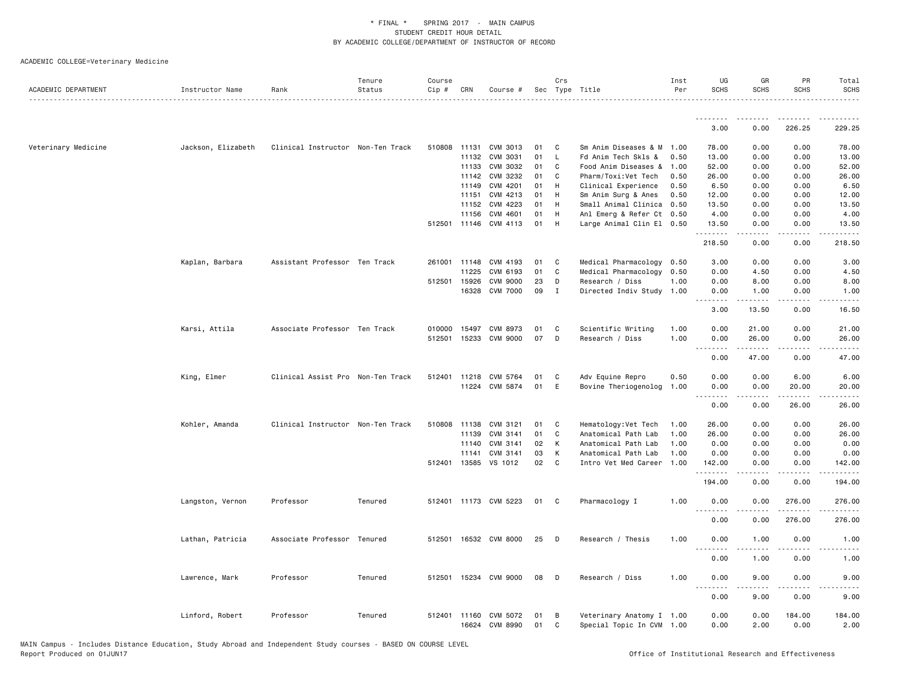| ACADEMIC DEPARTMENT | Instructor Name    | Rank                              | Tenure<br>Status | Course<br>Cip # | CRN          | Course #                   |          | Crs    | Sec Type Title                                         | Inst<br>Per | UG<br><b>SCHS</b>  | GR<br><b>SCHS</b>  | PR<br><b>SCHS</b>     | Total<br><b>SCHS</b>                        |
|---------------------|--------------------|-----------------------------------|------------------|-----------------|--------------|----------------------------|----------|--------|--------------------------------------------------------|-------------|--------------------|--------------------|-----------------------|---------------------------------------------|
|                     |                    |                                   |                  |                 |              |                            |          |        |                                                        |             |                    |                    |                       |                                             |
|                     |                    |                                   |                  |                 |              |                            |          |        |                                                        |             | 3.00               | 0.00               | 226.25                | 229.25                                      |
| Veterinary Medicine | Jackson, Elizabeth | Clinical Instructor Non-Ten Track |                  |                 |              | 510808 11131 CVM 3013      | 01       | C.     | Sm Anim Diseases & M 1.00                              |             | 78.00              | 0.00               | 0.00                  | 78.00                                       |
|                     |                    |                                   |                  |                 | 11132        | CVM 3031                   | 01       | L.     | Fd Anim Tech Skls &                                    | 0.50        | 13.00              | 0.00               | 0.00                  | 13.00                                       |
|                     |                    |                                   |                  |                 | 11133        | CVM 3032                   | 01       | C      | Food Anim Diseases &                                   | 1.00        | 52.00              | 0.00               | 0.00                  | 52.00                                       |
|                     |                    |                                   |                  |                 | 11142        | CVM 3232                   | 01       | C      | Pharm/Toxi:Vet Tech                                    | 0.50        | 26.00              | 0.00               | 0.00                  | 26.00                                       |
|                     |                    |                                   |                  |                 | 11149        | CVM 4201                   | 01       | H      | Clinical Experience                                    | 0.50        | 6.50               | 0.00               | 0.00                  | 6.50                                        |
|                     |                    |                                   |                  |                 | 11151        | CVM 4213                   | 01       | H      | Sm Anim Surg & Anes                                    | 0.50        | 12.00              | 0.00               | 0.00                  | 12.00                                       |
|                     |                    |                                   |                  |                 | 11152        | CVM 4223                   | 01       | H      | Small Animal Clinica 0.50                              |             | 13.50              | 0.00               | 0.00                  | 13.50                                       |
|                     |                    |                                   |                  |                 | 11156        | CVM 4601                   | 01       | H      | Anl Emerg & Refer Ct 0.50                              |             | 4.00               | 0.00               | 0.00                  | 4.00                                        |
|                     |                    |                                   |                  |                 |              | 512501 11146 CVM 4113      | 01       | H      | Large Animal Clin El 0.50                              |             | 13.50              | 0.00               | 0.00                  | 13.50                                       |
|                     |                    |                                   |                  |                 |              |                            |          |        |                                                        |             | .<br>218.50        | .<br>0.00          | .<br>0.00             | .<br>218.50                                 |
|                     | Kaplan, Barbara    | Assistant Professor Ten Track     |                  |                 | 261001 11148 | CVM 4193                   | 01       | C      | Medical Pharmacology 0.50                              |             | 3.00               | 0.00               | 0.00                  | 3.00                                        |
|                     |                    |                                   |                  |                 | 11225        | CVM 6193                   | 01       | C      | Medical Pharmacology                                   | 0.50        | 0.00               | 4.50               | 0.00                  | 4.50                                        |
|                     |                    |                                   |                  | 512501          | 15926        | <b>CVM 9000</b>            | 23       | D      | Research / Diss                                        | 1.00        | 0.00               | 8.00               | 0.00                  | 8.00                                        |
|                     |                    |                                   |                  |                 | 16328        | <b>CVM 7000</b>            | 09       | I      | Directed Indiv Study 1.00                              |             | 0.00               | 1.00               | 0.00                  | 1.00                                        |
|                     |                    |                                   |                  |                 |              |                            |          |        |                                                        |             | .<br>3.00          | .<br>13.50         | .<br>0.00             | د د د د د<br>16.50                          |
|                     | Karsi, Attila      | Associate Professor Ten Track     |                  | 010000          | 15497        | CVM 8973                   | 01       | C      | Scientific Writing                                     | 1.00        | 0.00               | 21.00              | 0.00                  | 21.00                                       |
|                     |                    |                                   |                  | 512501          | 15233        | <b>CVM 9000</b>            | 07       | D      | Research / Diss                                        | 1.00        | 0.00               | 26.00              | 0.00                  | 26.00                                       |
|                     |                    |                                   |                  |                 |              |                            |          |        |                                                        |             | .<br>0.00          | المتمالين<br>47.00 | د د د د<br>0.00       | $\sim$ $\sim$ $\sim$ $\sim$ $\sim$<br>47.00 |
|                     | King, Elmer        | Clinical Assist Pro Non-Ten Track |                  | 512401          |              | 11218 CVM 5764             | 01       | C      | Adv Equine Repro                                       | 0.50        | 0.00               | 0.00               | 6.00                  | 6.00                                        |
|                     |                    |                                   |                  |                 |              | 11224 CVM 5874             | 01       | E      | Bovine Theriogenolog                                   | 1.00        | 0.00               | 0.00               | 20.00                 | 20.00                                       |
|                     |                    |                                   |                  |                 |              |                            |          |        |                                                        |             |                    |                    |                       | .                                           |
|                     |                    |                                   |                  |                 |              |                            |          |        |                                                        |             | 0.00               | 0.00               | 26.00                 | 26.00                                       |
|                     | Kohler, Amanda     | Clinical Instructor Non-Ten Track |                  | 510808          | 11138        | CVM 3121                   | 01       | C      | Hematology: Vet Tech                                   | 1.00        | 26.00              | 0.00               | 0.00                  | 26.00                                       |
|                     |                    |                                   |                  |                 | 11139        | CVM 3141                   | 01       | C      | Anatomical Path Lab                                    | 1.00        | 26.00              | 0.00               | 0.00                  | 26.00                                       |
|                     |                    |                                   |                  |                 | 11140        | CVM 3141                   | 02       | К      | Anatomical Path Lab                                    | 1.00        | 0.00               | 0.00               | 0.00                  | 0.00                                        |
|                     |                    |                                   |                  |                 | 11141        | CVM 3141                   | 03       | К      | Anatomical Path Lab                                    | 1.00        | 0.00               | 0.00               | 0.00                  | 0.00                                        |
|                     |                    |                                   |                  | 512401          |              | 13585 VS 1012              | 02       | C      | Intro Vet Med Career                                   | 1.00        | 142.00<br><u>.</u> | 0.00<br>.          | 0.00<br>$\frac{1}{2}$ | 142.00<br>.                                 |
|                     |                    |                                   |                  |                 |              |                            |          |        |                                                        |             | 194.00             | 0.00               | 0.00                  | 194.00                                      |
|                     | Langston, Vernon   | Professor                         | Tenured          |                 |              | 512401 11173 CVM 5223      | 01 C     |        | Pharmacology I                                         | 1.00        | 0.00               | 0.00               | 276.00                | 276.00                                      |
|                     |                    |                                   |                  |                 |              |                            |          |        |                                                        |             | 0.00               | 0.00               | 276.00                | 276.00                                      |
|                     | Lathan, Patricia   | Associate Professor Tenured       |                  |                 |              | 512501 16532 CVM 8000      | 25       | D      | Research / Thesis                                      | 1.00        | 0.00<br><u>.</u>   | 1.00<br>-----      | 0.00<br>.             | 1.00<br>$- - - -$                           |
|                     |                    |                                   |                  |                 |              |                            |          |        |                                                        |             | 0.00               | 1.00               | 0.00                  | 1.00                                        |
|                     | Lawrence, Mark     | Professor                         | Tenured          | 512501          |              | 15234 CVM 9000             | 08       | D      | Research / Diss                                        | 1.00        | 0.00<br>.          | 9.00<br>.          | 0.00<br>د د د د       | 9.00<br>$\omega$ is $\omega$ in             |
|                     |                    |                                   |                  |                 |              |                            |          |        |                                                        |             | 0.00               | 9.00               | 0.00                  | 9.00                                        |
|                     | Linford, Robert    | Professor                         | Tenured          |                 | 512401 11160 | CVM 5072<br>16624 CVM 8990 | 01<br>01 | В<br>C | Veterinary Anatomy I 1.00<br>Special Topic In CVM 1.00 |             | 0.00<br>0.00       | 0.00<br>2.00       | 184.00<br>0.00        | 184.00<br>2.00                              |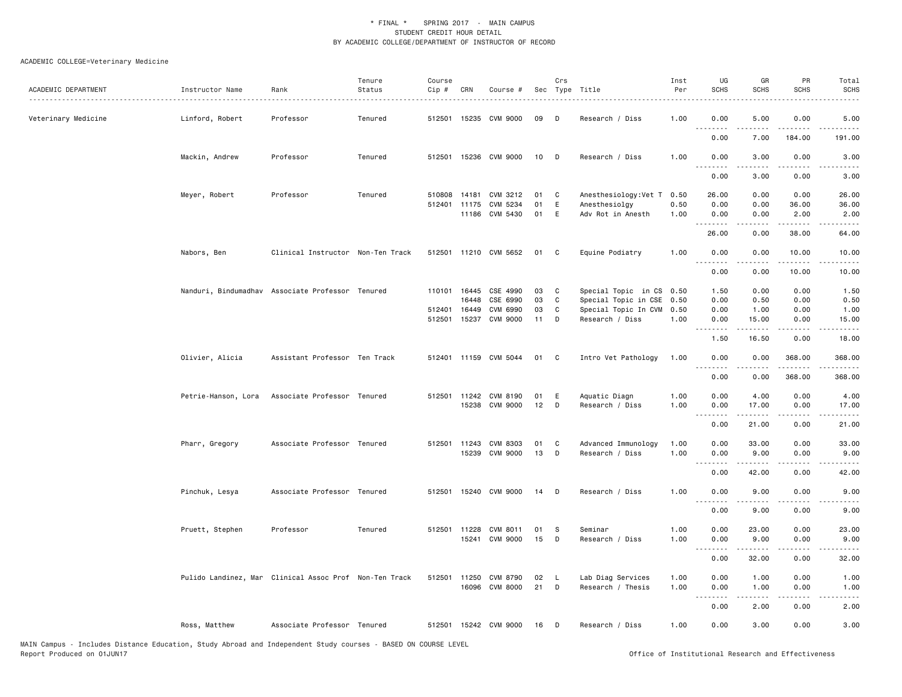| ACADEMIC DEPARTMENT | Instructor Name     | Rank                                                   | Tenure<br>Status | Course<br>Cip # | CRN          | Course #              |    | Crs | Sec Type Title       | Inst<br>Per | UG<br><b>SCHS</b>     | GR<br>SCHS       | PR<br><b>SCHS</b>    | Total<br><b>SCHS</b>        |
|---------------------|---------------------|--------------------------------------------------------|------------------|-----------------|--------------|-----------------------|----|-----|----------------------|-------------|-----------------------|------------------|----------------------|-----------------------------|
| Veterinary Medicine | Linford, Robert     | Professor                                              | Tenured          |                 |              | 512501 15235 CVM 9000 | 09 | D   | Research / Diss      | 1.00        | 0.00<br>.             | 5.00             | 0.00                 | 5.00                        |
|                     |                     |                                                        |                  |                 |              |                       |    |     |                      |             | 0.00                  | 7.00             | 184.00               | 191.00                      |
|                     | Mackin, Andrew      | Professor                                              | Tenured          | 512501          |              | 15236 CVM 9000        | 10 | D   | Research / Diss      | 1.00        | 0.00<br>. <b>.</b>    | 3.00             | 0.00                 | 3.00                        |
|                     |                     |                                                        |                  |                 |              |                       |    |     |                      |             | 0.00                  | 3.00             | 0.00                 | 3.00                        |
|                     | Meyer, Robert       | Professor                                              | Tenured          | 510808 14181    |              | CVM 3212              | 01 | C   | Anesthesiology:Vet T | 0.50        | 26.00                 | 0.00             | 0.00                 | 26.00                       |
|                     |                     |                                                        |                  |                 | 512401 11175 | CVM 5234              | 01 | E   | Anesthesiolgy        | 0.50        | 0.00                  | 0.00             | 36.00                | 36.00                       |
|                     |                     |                                                        |                  |                 | 11186        | CVM 5430              | 01 | E   | Adv Rot in Anesth    | 1.00        | 0.00                  | 0.00             | 2.00                 | 2.00                        |
|                     |                     |                                                        |                  |                 |              |                       |    |     |                      |             | .<br>26.00            | .<br>0.00        | .<br>38.00           | .<br>64.00                  |
|                     | Nabors, Ben         | Clinical Instructor Non-Ten Track                      |                  |                 |              | 512501 11210 CVM 5652 | 01 | C   | Equine Podiatry      | 1.00        | 0.00                  | 0.00             | 10.00                | 10.00                       |
|                     |                     |                                                        |                  |                 |              |                       |    |     |                      |             | $\frac{1}{2}$<br>0.00 | .<br>0.00        | .<br>10.00           | .<br>10.00                  |
|                     |                     | Nanduri, Bindumadhav Associate Professor Tenured       |                  | 110101          | 16445        | CSE 4990              | 03 | C   | Special Topic in CS  | 0.50        | 1.50                  | 0.00             | 0.00                 | 1.50                        |
|                     |                     |                                                        |                  |                 | 16448        | CSE 6990              | 03 | C   | Special Topic in CSE | 0.50        | 0.00                  | 0.50             | 0.00                 | 0.50                        |
|                     |                     |                                                        |                  | 512401 16449    |              | CVM 6990              | 03 | C   | Special Topic In CVM | 0.50        | 0.00                  | 1.00             | 0.00                 | 1.00                        |
|                     |                     |                                                        |                  | 512501          | 15237        | CVM 9000              | 11 | D   | Research / Diss      | 1.00        | 0.00                  | 15.00            | 0.00                 | 15.00                       |
|                     |                     |                                                        |                  |                 |              |                       |    |     |                      |             | .<br>1.50             | .<br>16.50       | .<br>0.00            | .<br>18.00                  |
|                     |                     |                                                        |                  |                 |              |                       |    |     |                      |             |                       |                  |                      |                             |
|                     | Olivier, Alicia     | Assistant Professor Ten Track                          |                  |                 |              | 512401 11159 CVM 5044 | 01 | C   | Intro Vet Pathology  | 1.00        | 0.00<br>.             | 0.00<br><u>.</u> | 368.00<br>.          | 368.00<br>.                 |
|                     |                     |                                                        |                  |                 |              |                       |    |     |                      |             | 0.00                  | 0.00             | 368.00               | 368.00                      |
|                     | Petrie-Hanson, Lora | Associate Professor Tenured                            |                  |                 | 512501 11242 | CVM 8190              | 01 | Ε   | Aquatic Diagn        | 1.00        | 0.00                  | 4.00             | 0.00                 | 4.00                        |
|                     |                     |                                                        |                  |                 |              | 15238 CVM 9000        | 12 | D   | Research / Diss      | 1.00        | 0.00                  | 17.00            | 0.00                 | 17.00                       |
|                     |                     |                                                        |                  |                 |              |                       |    |     |                      |             | .                     |                  |                      |                             |
|                     |                     |                                                        |                  |                 |              |                       |    |     |                      |             | 0.00                  | 21.00            | 0.00                 | 21.00                       |
|                     | Pharr, Gregory      | Associate Professor Tenured                            |                  |                 |              | 512501 11243 CVM 8303 | 01 | C   | Advanced Immunology  | 1.00        | 0.00                  | 33.00            | 0.00                 | 33.00                       |
|                     |                     |                                                        |                  |                 |              | 15239 CVM 9000        | 13 | D   | Research / Diss      | 1.00        | 0.00                  | 9.00             | 0.00                 | 9.00                        |
|                     |                     |                                                        |                  |                 |              |                       |    |     |                      |             | .                     | .                | $\sim$ $\sim$ $\sim$ | $\sim$ $\sim$ $\sim$ $\sim$ |
|                     |                     |                                                        |                  |                 |              |                       |    |     |                      |             | 0.00                  | 42.00            | 0.00                 | 42.00                       |
|                     | Pinchuk, Lesya      | Associate Professor Tenured                            |                  |                 |              | 512501 15240 CVM 9000 | 14 | D   | Research / Diss      | 1.00        | 0.00<br>.             | 9.00<br><u>.</u> | 0.00<br>.            | 9.00                        |
|                     |                     |                                                        |                  |                 |              |                       |    |     |                      |             | 0.00                  | 9.00             | 0.00                 | 9.00                        |
|                     | Pruett, Stephen     | Professor                                              | Tenured          | 512501 11228    |              | CVM 8011              | 01 | s   | Seminar              | 1.00        | 0.00                  | 23.00            | 0.00                 | 23.00                       |
|                     |                     |                                                        |                  |                 | 15241        | CVM 9000              | 15 | D   | Research / Diss      | 1.00        | 0.00                  | 9.00             | 0.00                 | 9.00                        |
|                     |                     |                                                        |                  |                 |              |                       |    |     |                      |             |                       |                  |                      |                             |
|                     |                     |                                                        |                  |                 |              |                       |    |     |                      |             | 0.00                  | 32.00            | 0.00                 | 32.00                       |
|                     |                     | Pulido Landinez, Mar Clinical Assoc Prof Non-Ten Track |                  | 512501 11250    |              | CVM 8790              | 02 | - L | Lab Diag Services    | 1.00        | 0.00                  | 1.00             | 0.00                 | 1.00                        |
|                     |                     |                                                        |                  |                 |              | 16096 CVM 8000        | 21 | D   | Research / Thesis    | 1.00        | 0.00                  | 1.00             | 0.00                 | 1.00                        |
|                     |                     |                                                        |                  |                 |              |                       |    |     |                      |             | .                     | .                | .                    | $- - - -$                   |
|                     |                     |                                                        |                  |                 |              |                       |    |     |                      |             | 0.00                  | 2.00             | 0.00                 | 2.00                        |
|                     | Ross, Matthew       | Associate Professor Tenured                            |                  |                 |              | 512501 15242 CVM 9000 | 16 | D   | Research / Diss      | 1.00        | 0.00                  | 3.00             | 0.00                 | 3.00                        |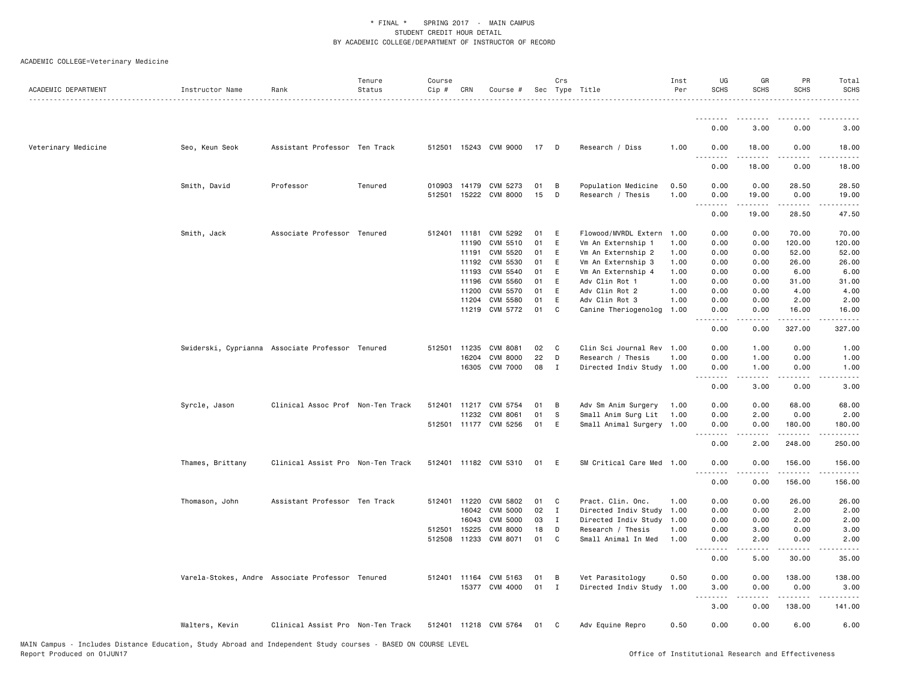| ACADEMIC DEPARTMENT | Instructor Name                                  | Rank                              | Tenure<br>Status | Course<br>Cip # | CRN   | Course #              |    | Crs          | Sec Type Title            | Inst<br>Per | UG<br><b>SCHS</b> | GR<br><b>SCHS</b> | PR<br><b>SCHS</b>                   | Total<br><b>SCHS</b>                                                                                                                                                                      |
|---------------------|--------------------------------------------------|-----------------------------------|------------------|-----------------|-------|-----------------------|----|--------------|---------------------------|-------------|-------------------|-------------------|-------------------------------------|-------------------------------------------------------------------------------------------------------------------------------------------------------------------------------------------|
|                     |                                                  |                                   |                  |                 |       |                       |    |              |                           |             | <u>.</u>          |                   | .                                   | .                                                                                                                                                                                         |
|                     |                                                  |                                   |                  |                 |       |                       |    |              |                           |             | 0.00              | 3.00              | 0.00                                | 3.00                                                                                                                                                                                      |
| Veterinary Medicine | Seo, Keun Seok                                   | Assistant Professor Ten Track     |                  |                 |       | 512501 15243 CVM 9000 | 17 | D            | Research / Diss           | 1.00        | 0.00              | 18.00             | 0.00<br>$\sim$ $\sim$ $\sim$ $\sim$ | 18.00<br><u>.</u>                                                                                                                                                                         |
|                     |                                                  |                                   |                  |                 |       |                       |    |              |                           |             | 0.00              | 18.00             | 0.00                                | 18.00                                                                                                                                                                                     |
|                     | Smith, David                                     | Professor                         | Tenured          | 010903          | 14179 | CVM 5273              | 01 | B            | Population Medicine       | 0.50        | 0.00              | 0.00              | 28.50                               | 28.50                                                                                                                                                                                     |
|                     |                                                  |                                   |                  | 512501          | 15222 | CVM 8000              | 15 | D            | Research / Thesis         | 1.00        | 0.00<br>.         | 19.00             | 0.00<br>.                           | 19.00<br>د د د د د                                                                                                                                                                        |
|                     |                                                  |                                   |                  |                 |       |                       |    |              |                           |             | 0.00              | 19.00             | 28.50                               | 47.50                                                                                                                                                                                     |
|                     | Smith, Jack                                      | Associate Professor Tenured       |                  | 512401 11181    |       | CVM 5292              | 01 | E            | Flowood/MVRDL Extern 1.00 |             | 0.00              | 0.00              | 70.00                               | 70.00                                                                                                                                                                                     |
|                     |                                                  |                                   |                  |                 | 11190 | CVM 5510              | 01 | E            | Vm An Externship 1        | 1.00        | 0.00              | 0.00              | 120.00                              | 120.00                                                                                                                                                                                    |
|                     |                                                  |                                   |                  |                 | 11191 | CVM 5520              | 01 | E            | Vm An Externship 2        | 1.00        | 0.00              | 0.00              | 52.00                               | 52.00                                                                                                                                                                                     |
|                     |                                                  |                                   |                  |                 | 11192 | CVM 5530              | 01 | E            | Vm An Externship 3        | 1.00        | 0.00              | 0.00              | 26.00                               | 26.00                                                                                                                                                                                     |
|                     |                                                  |                                   |                  |                 | 11193 | CVM 5540              | 01 | $\mathsf{E}$ | Vm An Externship 4        | 1.00        | 0.00              | 0.00              | 6.00                                | 6.00                                                                                                                                                                                      |
|                     |                                                  |                                   |                  |                 | 11196 | CVM 5560              | 01 | E            | Adv Clin Rot 1            | 1.00        | 0.00              | 0.00              | 31.00                               | 31.00                                                                                                                                                                                     |
|                     |                                                  |                                   |                  |                 | 11200 | CVM 5570              | 01 | E            | Adv Clin Rot 2            | 1.00        | 0.00              | 0.00              | 4.00                                | 4.00                                                                                                                                                                                      |
|                     |                                                  |                                   |                  |                 | 11204 | CVM 5580              | 01 | E            | Adv Clin Rot 3            | 1.00        | 0.00              | 0.00              | 2.00                                | 2.00                                                                                                                                                                                      |
|                     |                                                  |                                   |                  |                 |       | 11219 CVM 5772        | 01 | C            | Canine Theriogenolog      | 1.00        | 0.00              | 0.00              | 16.00<br>.                          | 16.00<br>$\frac{1}{2}$                                                                                                                                                                    |
|                     |                                                  |                                   |                  |                 |       |                       |    |              |                           |             | 0.00              | 0.00              | 327.00                              | 327.00                                                                                                                                                                                    |
|                     | Swiderski, Cyprianna Associate Professor Tenured |                                   |                  | 512501          | 11235 | CVM 8081              | 02 | C            | Clin Sci Journal Rev 1.00 |             | 0.00              | 1.00              | 0.00                                | 1.00                                                                                                                                                                                      |
|                     |                                                  |                                   |                  |                 | 16204 | <b>CVM 8000</b>       | 22 | D            | Research / Thesis         | 1.00        | 0.00              | 1.00              | 0.00                                | 1.00                                                                                                                                                                                      |
|                     |                                                  |                                   |                  |                 |       | 16305 CVM 7000        | 08 | $\mathbf{I}$ | Directed Indiv Study 1.00 |             | 0.00              | 1.00              | 0.00                                | 1.00                                                                                                                                                                                      |
|                     |                                                  |                                   |                  |                 |       |                       |    |              |                           |             | <u>.</u><br>0.00  | .<br>3.00         | -----<br>0.00                       | $   -$<br>3.00                                                                                                                                                                            |
|                     | Syrcle, Jason                                    | Clinical Assoc Prof Non-Ten Track |                  | 512401          |       | 11217 CVM 5754        | 01 | B            | Adv Sm Anim Surgery       | 1.00        | 0.00              | 0.00              | 68.00                               | 68.00                                                                                                                                                                                     |
|                     |                                                  |                                   |                  |                 | 11232 | CVM 8061              | 01 | S            | Small Anim Surg Lit       | 1.00        | 0.00              | 2.00              | 0.00                                | 2.00                                                                                                                                                                                      |
|                     |                                                  |                                   |                  |                 |       | 512501 11177 CVM 5256 | 01 | E            | Small Animal Surgery 1.00 |             | 0.00              | 0.00              | 180.00                              | 180.00                                                                                                                                                                                    |
|                     |                                                  |                                   |                  |                 |       |                       |    |              |                           |             | 0.00              | -----<br>2.00     | <u>.</u><br>248.00                  | $\frac{1}{2} \left( \frac{1}{2} \right) \left( \frac{1}{2} \right) \left( \frac{1}{2} \right) \left( \frac{1}{2} \right) \left( \frac{1}{2} \right) \left( \frac{1}{2} \right)$<br>250.00 |
|                     | Thames, Brittany                                 | Clinical Assist Pro Non-Ten Track |                  |                 |       | 512401 11182 CVM 5310 | 01 | E            | SM Critical Care Med 1.00 |             | 0.00              | 0.00              | 156.00                              | 156.00                                                                                                                                                                                    |
|                     |                                                  |                                   |                  |                 |       |                       |    |              |                           |             |                   |                   | .                                   | 1.1.1.1.1                                                                                                                                                                                 |
|                     |                                                  |                                   |                  |                 |       |                       |    |              |                           |             | 0.00              | 0.00              | 156.00                              | 156.00                                                                                                                                                                                    |
|                     | Thomason, John                                   | Assistant Professor Ten Track     |                  | 512401 11220    |       | CVM 5802              | 01 | C            | Pract. Clin. Onc.         | 1.00        | 0.00              | 0.00              | 26.00                               | 26.00                                                                                                                                                                                     |
|                     |                                                  |                                   |                  |                 | 16042 | <b>CVM 5000</b>       | 02 | $\mathbf{I}$ | Directed Indiv Study      | 1.00        | 0.00              | 0.00              | 2.00                                | 2.00                                                                                                                                                                                      |
|                     |                                                  |                                   |                  |                 | 16043 | <b>CVM 5000</b>       | 03 | $\mathbf{I}$ | Directed Indiv Study      | 1.00        | 0.00              | 0.00              | 2.00                                | 2.00                                                                                                                                                                                      |
|                     |                                                  |                                   |                  | 512501          | 15225 | <b>CVM 8000</b>       | 18 | D            | Research / Thesis         | 1.00        | 0.00              | 3.00              | 0.00                                | 3.00                                                                                                                                                                                      |
|                     |                                                  |                                   |                  | 512508          | 11233 | CVM 8071              | 01 | C            | Small Animal In Med       | 1.00        | 0.00              | 2.00              | 0.00                                | 2.00                                                                                                                                                                                      |
|                     |                                                  |                                   |                  |                 |       |                       |    |              |                           |             | <u>.</u><br>0.00  | .<br>5.00         | .<br>30.00                          | $\frac{1}{2} \left( \frac{1}{2} \right) \left( \frac{1}{2} \right) \left( \frac{1}{2} \right) \left( \frac{1}{2} \right) \left( \frac{1}{2} \right)$<br>35.00                             |
|                     | Varela-Stokes, Andre Associate Professor Tenured |                                   |                  |                 |       | 512401 11164 CVM 5163 | 01 | B            | Vet Parasitology          | 0.50        | 0.00              | 0.00              | 138.00                              | 138.00                                                                                                                                                                                    |
|                     |                                                  |                                   |                  |                 |       | 15377 CVM 4000        | 01 | $\mathbf I$  | Directed Indiv Study      | 1.00        | 3.00              | 0.00              | 0.00                                | 3.00                                                                                                                                                                                      |
|                     |                                                  |                                   |                  |                 |       |                       |    |              |                           |             | .                 |                   | .                                   | $\frac{1}{2} \left( \frac{1}{2} \right) \left( \frac{1}{2} \right) \left( \frac{1}{2} \right) \left( \frac{1}{2} \right) \left( \frac{1}{2} \right) \left( \frac{1}{2} \right)$           |
|                     |                                                  |                                   |                  |                 |       |                       |    |              |                           |             | 3.00              | 0.00              | 138.00                              | 141.00                                                                                                                                                                                    |
|                     | Walters, Kevin                                   | Clinical Assist Pro Non-Ten Track |                  |                 |       | 512401 11218 CVM 5764 | 01 | C            | Adv Equine Repro          | 0.50        | 0.00              | 0.00              | 6.00                                | 6.00                                                                                                                                                                                      |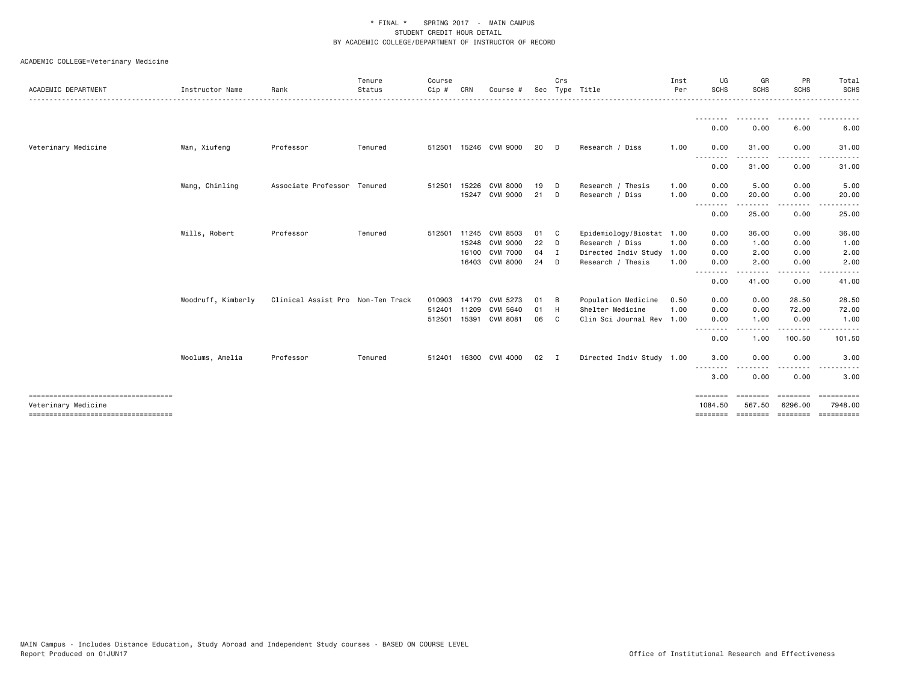|                                                             |                    |                                   | Tenure  | Course       |       |                 |     | Crs            |                           | Inst | UG                  | GR                 | PR                | Total                |
|-------------------------------------------------------------|--------------------|-----------------------------------|---------|--------------|-------|-----------------|-----|----------------|---------------------------|------|---------------------|--------------------|-------------------|----------------------|
| ACADEMIC DEPARTMENT                                         | Instructor Name    | Rank                              | Status  | Cip #        | CRN   | Course #        | Sec |                | Type Title                | Per  | SCHS                | <b>SCHS</b>        | <b>SCHS</b>       | <b>SCHS</b>          |
|                                                             |                    |                                   |         |              |       |                 |     |                |                           |      | <u>.</u><br>0.00    | --------<br>0.00   | 6.00              | . <b>.</b> .<br>6.00 |
|                                                             |                    |                                   |         |              |       |                 |     |                |                           |      |                     |                    |                   |                      |
| Veterinary Medicine                                         | Wan, Xiufeng       | Professor                         | Tenured | 512501       |       | 15246 CVM 9000  | 20  | D.             | Research / Diss           | 1.00 | 0.00<br><u>.</u>    | 31.00<br>-----     | 0.00<br>----      | 31.00                |
|                                                             |                    |                                   |         |              |       |                 |     |                |                           |      | 0.00                | 31.00              | 0.00              | 31.00                |
|                                                             | Wang, Chinling     | Associate Professor Tenured       |         | 512501       | 15226 | CVM 8000        | 19  | D              | Research / Thesis         | 1.00 | 0.00                | 5.00               | 0.00              | 5.00                 |
|                                                             |                    |                                   |         |              | 15247 | CVM 9000        | 21  | D.             | Research / Diss           | 1.00 | 0.00                | 20.00<br>.         | 0.00              | 20.00                |
|                                                             |                    |                                   |         |              |       |                 |     |                |                           |      | 0.00                | 25.00              | 0.00              | 25.00                |
|                                                             | Wills, Robert      | Professor                         | Tenured | 512501 11245 |       | CVM 8503        | 01  | - C            | Epidemiology/Biostat      | 1.00 | 0.00                | 36.00              | 0.00              | 36.00                |
|                                                             |                    |                                   |         |              |       | 15248 CVM 9000  | 22  | - D            | Research / Diss           | 1.00 | 0.00                | 1.00               | 0.00              | 1.00                 |
|                                                             |                    |                                   |         |              | 16100 | <b>CVM 7000</b> | 04  | I.             | Directed Indiv Study      | 1.00 | 0.00                | 2.00               | 0.00              | 2.00                 |
|                                                             |                    |                                   |         |              |       | 16403 CVM 8000  | 24  | - D            | Research / Thesis         | 1.00 | 0.00<br><u>.</u>    | 2.00               | 0.00              | 2.00                 |
|                                                             |                    |                                   |         |              |       |                 |     |                |                           |      | 0.00                | 41.00              | 0.00              | 41.00                |
|                                                             | Woodruff, Kimberly | Clinical Assist Pro Non-Ten Track |         | 010903       | 14179 | CVM 5273        | 01  | B              | Population Medicine       | 0.50 | 0.00                | 0.00               | 28.50             | 28.50                |
|                                                             |                    |                                   |         | 512401       | 11209 | CVM 5640        | 01  | H              | Shelter Medicine          | 1.00 | 0.00                | 0.00               | 72.00             | 72.00                |
|                                                             |                    |                                   |         | 512501       |       | 15391 CVM 8081  | 06  | C              | Clin Sci Journal Rev      | 1.00 | 0.00                | 1.00               | 0.00              | 1.00                 |
|                                                             |                    |                                   |         |              |       |                 |     |                |                           |      | .<br>0.00           | 1.00               | .<br>100.50       | 101.50               |
|                                                             | Woolums, Amelia    | Professor                         | Tenured | 512401       |       | 16300 CVM 4000  | 02  | $\blacksquare$ | Directed Indiv Study 1.00 |      | 3.00                | 0.00               | 0.00              | 3.00                 |
|                                                             |                    |                                   |         |              |       |                 |     |                |                           |      | .<br>3.00           | 0.00               | $- - - -$<br>0.00 | 3.00                 |
| ====================================                        |                    |                                   |         |              |       |                 |     |                |                           |      | ========            | <b>EBBEEBBE</b>    | ========          | EEEEEEEE<br>7948.00  |
| Veterinary Medicine<br>==================================== |                    |                                   |         |              |       |                 |     |                |                           |      | 1084.50<br>======== | 567.50<br>======== | 6296.00           | ========= ========== |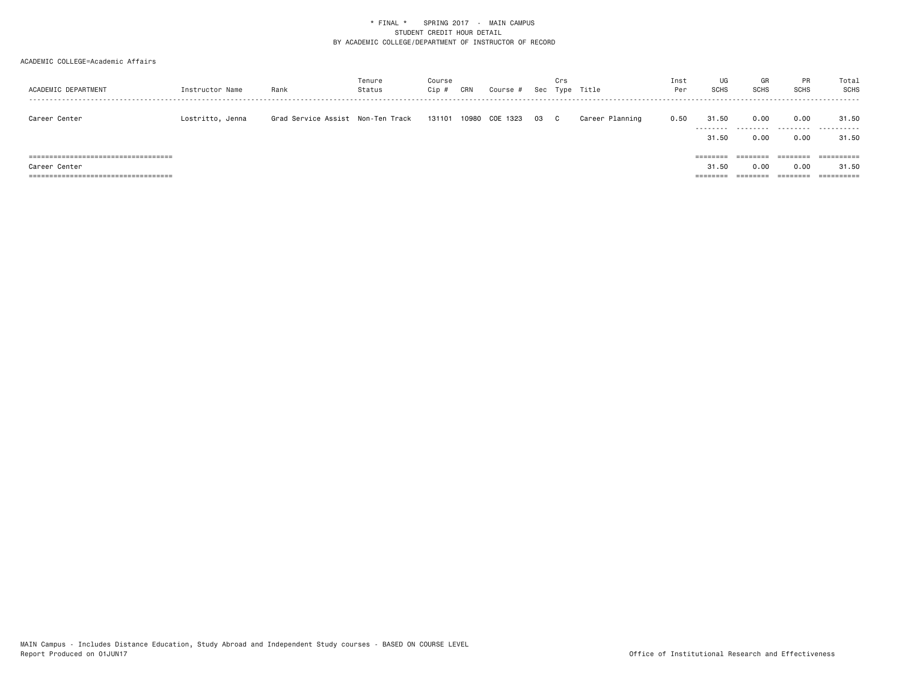#### ACADEMIC COLLEGE=Academic Affairs

| ACADEMIC DEPARTMENT                      | Instructor Name  | Rank                              | Tenure<br>Status | Course<br>Cip # | CRN | Course #       |    | Crs | Sec Type Title  | Inst<br>Per | UG<br>SCHS | GR<br><b>SCHS</b> | <b>PR</b><br>SCHS | Total<br>SCHS         |
|------------------------------------------|------------------|-----------------------------------|------------------|-----------------|-----|----------------|----|-----|-----------------|-------------|------------|-------------------|-------------------|-----------------------|
| Career Center                            | Lostritto, Jenna | Grad Service Assist Non-Ten Track |                  | 131101          |     | 10980 COE 1323 | 03 | - C | Career Planning | 0.50        | 31.50<br>. | 0.00<br>.         | 0.00<br>.         | 31.50<br>.            |
|                                          |                  |                                   |                  |                 |     |                |    |     |                 |             | 31.50      | 0.00              | 0.00              | 31.50                 |
| ===============================<br>===== |                  |                                   |                  |                 |     |                |    |     |                 |             | ========   |                   | -----             |                       |
| Career Center                            |                  |                                   |                  |                 |     |                |    |     |                 |             | 31.50      | 0.00              | 0.00              | 31.50                 |
| ======================================   |                  |                                   |                  |                 |     |                |    |     |                 |             | ========   | ========          | ========          | $=$ = = = = = = = = = |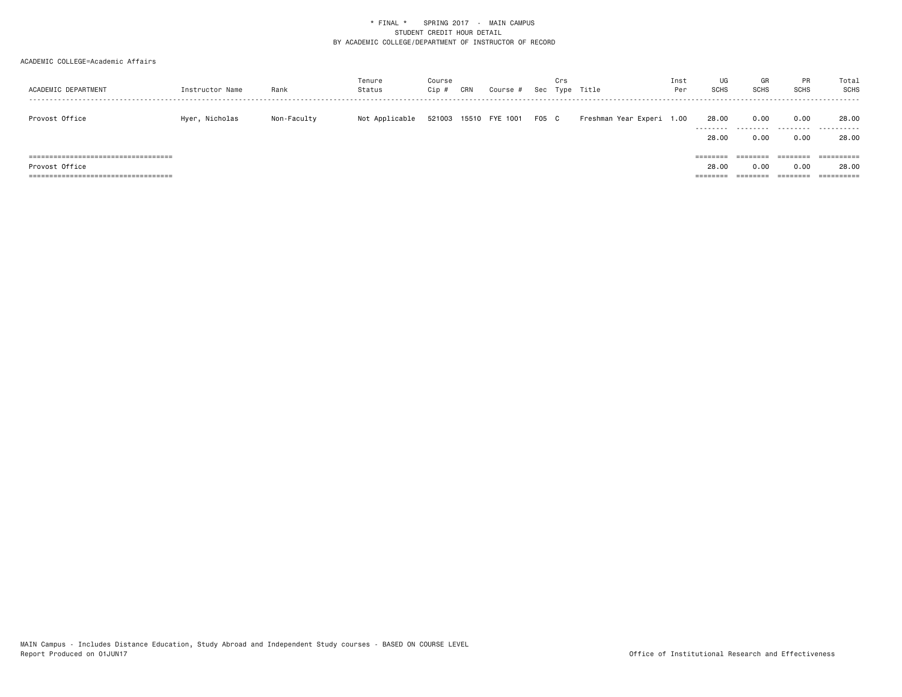#### ACADEMIC COLLEGE=Academic Affairs

| ACADEMIC DEPARTMENT                    | Instructor Name | Rank        | Tenure<br>Status | Course<br>Cip # | CRN | Course #              |       | Crs<br>Sec Type | Title                     | Inst<br>Per | UG<br><b>SCHS</b>  | GR<br><b>SCHS</b> | PR<br><b>SCHS</b> | Total<br>SCHS      |
|----------------------------------------|-----------------|-------------|------------------|-----------------|-----|-----------------------|-------|-----------------|---------------------------|-------------|--------------------|-------------------|-------------------|--------------------|
| Provost Office                         | Hyer, Nicholas  | Non-Faculty | Not Applicable   |                 |     | 521003 15510 FYE 1001 | F05 C |                 | Freshman Year Experi 1.00 |             | 28.00<br>--------- | 0.00<br>.         | 0.00<br>.         | 28,00<br>.<br>---- |
|                                        |                 |             |                  |                 |     |                       |       |                 |                           |             | 28.00              | 0.00              | 0.00              | 28.00              |
| ====================================== |                 |             |                  |                 |     |                       |       |                 |                           |             | ========           | --------          | ========          | ==========         |
| Provost Office                         |                 |             |                  |                 |     |                       |       |                 |                           |             | 28.00              | 0.00              | 0.00              | 28,00              |
| =============================<br>===== |                 |             |                  |                 |     |                       |       |                 |                           |             | ====               |                   | $= 222222222$     | ==========         |